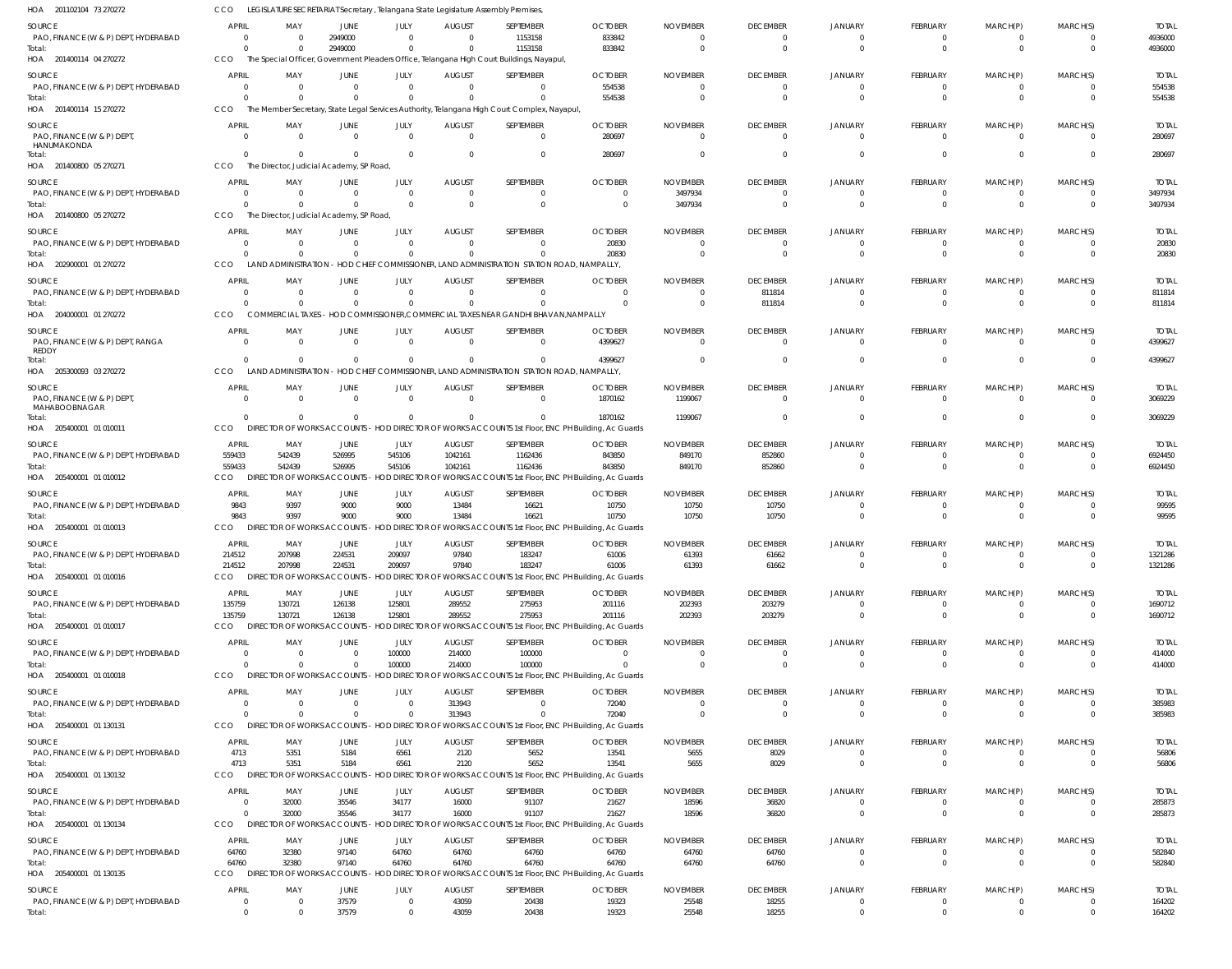| HOA 201102104 73 270272                        | CCO                                        |                                          |                              |                             | LEGISLATURE SECRETARIAT Secretary, Telangana State Legislature Assembly Premises, |                                                                                                       |                                                                                                            |                             |                                   |                                  |                            |                            |                                  |                         |
|------------------------------------------------|--------------------------------------------|------------------------------------------|------------------------------|-----------------------------|-----------------------------------------------------------------------------------|-------------------------------------------------------------------------------------------------------|------------------------------------------------------------------------------------------------------------|-----------------------------|-----------------------------------|----------------------------------|----------------------------|----------------------------|----------------------------------|-------------------------|
| <b>SOURCE</b>                                  | <b>APRIL</b>                               | MAY                                      | JUNE                         | JULY                        | <b>AUGUST</b>                                                                     | SEPTEMBER                                                                                             | <b>OCTOBER</b>                                                                                             | <b>NOVEMBER</b>             | <b>DECEMBER</b>                   | <b>JANUARY</b>                   | FEBRUARY                   | MARCH(P)                   | MARCH(S)                         | <b>TOTAL</b>            |
| PAO, FINANCE (W & P) DEPT, HYDERABAD           | $\overline{0}$                             |                                          | 2949000                      | $\Omega$                    | $\Omega$                                                                          | 1153158                                                                                               | 833842                                                                                                     | $\Omega$                    | $\overline{0}$                    | $\overline{0}$                   | $\Omega$                   | $\Omega$                   | $\overline{0}$                   | 4936000                 |
| Total:<br>HOA 201400114 04 270272              | $\Omega$<br>CCO                            |                                          | 2949000                      | $\Omega$                    | $\Omega$                                                                          | 1153158<br>The Special Officer, Government Pleaders Office, Telangana High Court Buildings, Nayapul,  | 833842                                                                                                     | $\Omega$                    | $\overline{0}$                    | $\overline{0}$                   | $\Omega$                   | $\Omega$                   | $\overline{0}$                   | 4936000                 |
|                                                |                                            |                                          |                              |                             |                                                                                   |                                                                                                       |                                                                                                            |                             |                                   |                                  |                            |                            |                                  |                         |
| SOURCE<br>PAO, FINANCE (W & P) DEPT, HYDERABAD | <b>APRIL</b><br>$\circ$                    | MAY                                      | JUNE<br>$\Omega$             | JULY<br>$\mathbf{0}$        | <b>AUGUST</b><br>$\Omega$                                                         | SEPTEMBER<br>$\overline{0}$                                                                           | <b>OCTOBER</b><br>554538                                                                                   | <b>NOVEMBER</b><br>$\Omega$ | <b>DECEMBER</b><br>$\overline{0}$ | <b>JANUARY</b><br>$\overline{0}$ | FEBRUARY<br>$\Omega$       | MARCH(P)<br>$\Omega$       | MARCH(S)<br>$\overline{0}$       | <b>TOTAL</b><br>554538  |
| Total:                                         | $\Omega$                                   |                                          | $\Omega$                     | $\Omega$                    |                                                                                   | $\Omega$                                                                                              | 554538                                                                                                     | $\Omega$                    | $\Omega$                          | $\Omega$                         | $\Omega$                   | $\Omega$                   | $\Omega$                         | 554538                  |
| HOA 201400114 15 270272                        | CCO                                        |                                          |                              |                             |                                                                                   | The Member Secretary, State Legal Services Authority, Telangana High Court Complex, Nayapul,          |                                                                                                            |                             |                                   |                                  |                            |                            |                                  |                         |
| SOURCE                                         | <b>APRIL</b>                               | MAY                                      | JUNE                         | JULY                        | <b>AUGUST</b>                                                                     | SEPTEMBER                                                                                             | <b>OCTOBER</b>                                                                                             | <b>NOVEMBER</b>             | <b>DECEMBER</b>                   | <b>JANUARY</b>                   | FEBRUARY                   | MARCH(P)                   | MARCH(S)                         | <b>TOTAL</b>            |
| PAO, FINANCE (W & P) DEPT                      | $\Omega$                                   | $\Omega$                                 | $\overline{0}$               | $\Omega$                    | $\Omega$                                                                          | $\mathbf 0$                                                                                           | 280697                                                                                                     | $\Omega$                    | $\Omega$                          | $\Omega$                         | $\Omega$                   | $\Omega$                   | $\Omega$                         | 280697                  |
| HANUMAKONDA<br>Total:                          | $\Omega$                                   |                                          | $\Omega$                     | $\Omega$                    | $\Omega$                                                                          | $\mathbf 0$                                                                                           | 280697                                                                                                     |                             | $\overline{0}$                    | $\Omega$                         | $\Omega$                   | $\Omega$                   | $\overline{0}$                   | 280697                  |
| HOA 201400800 05 270271                        | CCO                                        | The Director, Judicial Academy, SP Road, |                              |                             |                                                                                   |                                                                                                       |                                                                                                            |                             |                                   |                                  |                            |                            |                                  |                         |
| SOURCE                                         | <b>APRIL</b>                               | MAY                                      | JUNE                         | JULY                        | <b>AUGUST</b>                                                                     | SEPTEMBER                                                                                             | <b>OCTOBER</b>                                                                                             | <b>NOVEMBER</b>             | <b>DECEMBER</b>                   | <b>JANUARY</b>                   | FEBRUARY                   | MARCH(P)                   | MARCH(S)                         | <b>TOTAL</b>            |
| PAO, FINANCE (W & P) DEPT, HYDERABAD           | - 0                                        |                                          | 0                            | $\mathbf{0}$                | $\Omega$                                                                          | $\overline{0}$                                                                                        | $\Omega$                                                                                                   | 3497934                     | $\overline{0}$                    | $\mathbf{0}$                     | $\Omega$                   | $\Omega$                   | $\Omega$                         | 3497934                 |
| Total:                                         | $\Omega$                                   |                                          | $\Omega$                     | $\Omega$                    | $\Omega$                                                                          | $\mathbf{0}$                                                                                          | $\mathbf{0}$                                                                                               | 3497934                     | $\overline{0}$                    | $\Omega$                         | $\Omega$                   | $\Omega$                   | $\overline{0}$                   | 3497934                 |
| HOA 201400800 05 270272                        | CCO                                        | The Director, Judicial Academy, SP Road, |                              |                             |                                                                                   |                                                                                                       |                                                                                                            |                             |                                   |                                  |                            |                            |                                  |                         |
| SOURCE                                         | <b>APRIL</b>                               | MAY                                      | JUNE                         | JULY                        | <b>AUGUST</b>                                                                     | SEPTEMBER                                                                                             | <b>OCTOBER</b>                                                                                             | <b>NOVEMBER</b>             | <b>DECEMBER</b>                   | <b>JANUARY</b>                   | FEBRUARY                   | MARCH(P)                   | MARCH(S)                         | <b>TOTAL</b>            |
| PAO, FINANCE (W & P) DEPT, HYDERABAD           | $\Omega$                                   | - 0                                      | $\Omega$                     | $\mathbf{0}$                | $\Omega$                                                                          | $\mathbf{0}$                                                                                          | 20830                                                                                                      | $\Omega$                    | $\mathbf{0}$                      | $\mathbf{0}$                     | $\Omega$                   | $\Omega$                   | $\mathbf{0}$                     | 20830                   |
| Total:<br>HOA 202900001 01 270272              | $\Omega$<br>CCO                            |                                          | $\Omega$                     | $\Omega$                    | $\Omega$                                                                          | $\Omega$<br>LAND ADMINISTRATION - HOD CHIEF COMMISSIONER, LAND ADMINISTRATION STATION ROAD, NAMPALLY, | 20830                                                                                                      | $\Omega$                    | $\Omega$                          | $\Omega$                         | $\Omega$                   | $\Omega$                   | $\Omega$                         | 20830                   |
|                                                |                                            |                                          |                              |                             |                                                                                   |                                                                                                       |                                                                                                            |                             |                                   |                                  |                            |                            |                                  |                         |
| SOURCE<br>PAO, FINANCE (W & P) DEPT, HYDERABAD | <b>APRIL</b><br>$\overline{0}$             | MAY                                      | JUNE<br>$\Omega$             | JULY<br>$\mathbf{0}$        | <b>AUGUST</b><br>$\Omega$                                                         | SEPTEMBER<br>$\overline{0}$                                                                           | <b>OCTOBER</b><br>$\Omega$                                                                                 | <b>NOVEMBER</b><br>$\Omega$ | <b>DECEMBER</b><br>811814         | <b>JANUARY</b><br>$\overline{0}$ | FEBRUARY<br>$\Omega$       | MARCH(P)<br>$\Omega$       | MARCH(S)<br>$\overline{0}$       | <b>TOTAL</b><br>811814  |
| Total:                                         | $\Omega$                                   |                                          | $\Omega$                     | $\mathbf{0}$                |                                                                                   | $\mathbf 0$                                                                                           | $\Omega$                                                                                                   | $\Omega$                    | 811814                            | $\Omega$                         | $\Omega$                   | $\Omega$                   | $\Omega$                         | 811814                  |
| HOA 204000001 01 270272                        | CCO                                        |                                          |                              |                             |                                                                                   | COMMERCIAL TAXES - HOD COMMISSIONER.COMMERCIAL TAXES NEAR GANDHI BHAVAN.NAMPALLY                      |                                                                                                            |                             |                                   |                                  |                            |                            |                                  |                         |
| SOURCE                                         | <b>APRIL</b>                               | MAY                                      | JUNE                         | JULY                        | <b>AUGUST</b>                                                                     | SEPTEMBER                                                                                             | <b>OCTOBER</b>                                                                                             | <b>NOVEMBER</b>             | <b>DECEMBER</b>                   | <b>JANUARY</b>                   | FEBRUARY                   | MARCH(P)                   | MARCH(S)                         | <b>TOTAL</b>            |
| PAO, FINANCE (W & P) DEPT, RANGA               | $\Omega$                                   | $\Omega$                                 | $\overline{0}$               | $\Omega$                    | $\Omega$                                                                          | $\overline{0}$                                                                                        | 4399627                                                                                                    | $\Omega$                    | $\overline{0}$                    | $\Omega$                         | $\Omega$                   | $\Omega$                   | $\Omega$                         | 4399627                 |
| REDDY<br>Total:                                | $\Omega$                                   |                                          | $\Omega$                     | $\Omega$                    | $\Omega$                                                                          | $\Omega$                                                                                              | 4399627                                                                                                    | $\Omega$                    | $\Omega$                          | $\Omega$                         | $\Omega$                   | $\Omega$                   | $\overline{0}$                   | 4399627                 |
| HOA 205300093 03 270272                        | CCO                                        |                                          |                              |                             |                                                                                   | LAND ADMINISTRATION - HOD CHIEF COMMISSIONER, LAND ADMINISTRATION STATION ROAD, NAMPALLY,             |                                                                                                            |                             |                                   |                                  |                            |                            |                                  |                         |
| <b>SOURCE</b>                                  | <b>APRIL</b>                               | MAY                                      | <b>JUNE</b>                  | JULY                        | <b>AUGUST</b>                                                                     | SEPTEMBER                                                                                             | <b>OCTOBER</b>                                                                                             | <b>NOVEMBER</b>             | <b>DECEMBER</b>                   | <b>JANUARY</b>                   | <b>FEBRUARY</b>            | MARCH(P)                   | MARCH(S)                         | <b>TOTAL</b>            |
| PAO, FINANCE (W & P) DEPT                      | $\overline{0}$                             | $\Omega$                                 | $\Omega$                     | $\overline{0}$              | $\Omega$                                                                          | $\overline{0}$                                                                                        | 1870162                                                                                                    | 1199067                     | $\overline{0}$                    | $\overline{0}$                   | $\Omega$                   | $\Omega$                   | $\Omega$                         | 3069229                 |
| MAHABOOBNAGAR                                  | $\Omega$                                   |                                          | $\Omega$                     | $\mathbf{0}$                | $\Omega$                                                                          | $\Omega$                                                                                              | 1870162                                                                                                    | 1199067                     | $\overline{0}$                    | $\Omega$                         | $\Omega$                   | $\Omega$                   | $\overline{0}$                   | 3069229                 |
| Total:<br>HOA 205400001 01 010011              | CCO                                        |                                          |                              |                             |                                                                                   |                                                                                                       | DIRECTOR OF WORKS ACCOUNTS - HOD DIRECTOR OF WORKS ACCOUNTS 1st Floor, ENC PH Building, Ac Guards          |                             |                                   |                                  |                            |                            |                                  |                         |
| <b>SOURCE</b>                                  | <b>APRIL</b>                               | MAY                                      |                              | JULY                        | <b>AUGUST</b>                                                                     | SEPTEMBER                                                                                             | <b>OCTOBER</b>                                                                                             | <b>NOVEMBER</b>             | <b>DECEMBER</b>                   | <b>JANUARY</b>                   | <b>FEBRUARY</b>            | MARCH(P)                   | MARCH(S)                         | <b>TOTAL</b>            |
| PAO, FINANCE (W & P) DEPT, HYDERABAD           | 559433                                     | 542439                                   | JUNE<br>526995               | 545106                      | 1042161                                                                           | 1162436                                                                                               | 843850                                                                                                     | 849170                      | 852860                            | $\Omega$                         | - 0                        | - 0                        | $\overline{0}$                   | 6924450                 |
| Total:                                         | 559433                                     | 542439                                   | 526995                       | 545106                      | 1042161                                                                           | 1162436                                                                                               | 843850                                                                                                     | 849170                      | 852860                            | $\Omega$                         | $\Omega$                   | $\Omega$                   | $\Omega$                         | 6924450                 |
| HOA 205400001 01 010012                        | CCO                                        | <b>DIREC</b>                             | <b>IOR OF WORKS ACCOUNTS</b> |                             |                                                                                   |                                                                                                       | HOD DIRECTOR OF WORKS ACCOUNTS 1st Floor, ENC PH Building, Ac Guards                                       |                             |                                   |                                  |                            |                            |                                  |                         |
| <b>SOURCE</b>                                  | <b>APRIL</b>                               | MAY                                      | JUNE                         | JULY                        | <b>AUGUST</b>                                                                     | SEPTEMBER                                                                                             | <b>OCTOBER</b>                                                                                             | <b>NOVEMBER</b>             | <b>DECEMBER</b>                   | <b>JANUARY</b>                   | FEBRUARY                   | MARCH(P)                   | MARCH(S)                         | <b>TOTAL</b>            |
| PAO, FINANCE (W & P) DEPT, HYDERABAD           | 9843                                       | 9397                                     | 9000                         | 9000                        | 13484                                                                             | 16621                                                                                                 | 10750                                                                                                      | 10750                       | 10750                             | $\overline{0}$                   | $\Omega$                   | $\Omega$                   | $\overline{0}$                   | 99595                   |
| Total:<br>HOA 205400001 01 010013              | 9843<br>CCO                                | 9397                                     | 9000                         | 9000                        | 13484                                                                             | 16621                                                                                                 | 10750                                                                                                      | 10750                       | 10750                             | $\Omega$                         | $\Omega$                   | $\Omega$                   | $\Omega$                         | 99595                   |
|                                                |                                            | <b>DIRECTOR OF WORKS ACCOUNTS</b>        |                              |                             |                                                                                   |                                                                                                       | HOD DIRECTOR OF WORKS ACCOUNTS 1st Floor, ENC PH Building, Ac Guards                                       |                             |                                   |                                  |                            |                            |                                  |                         |
| SOURCE<br>PAO, FINANCE (W & P) DEPT, HYDERABAD | <b>APRIL</b><br>214512                     | MAY<br>207998                            | JUNE<br>224531               | JULY<br>209097              | <b>AUGUST</b><br>97840                                                            | SEPTEMBER<br>183247                                                                                   | <b>OCTOBER</b><br>61006                                                                                    | <b>NOVEMBER</b><br>61393    | <b>DECEMBER</b><br>61662          | <b>JANUARY</b><br>$\Omega$       | FEBRUARY                   | MARCH(P)                   | MARCH(S)<br>$\overline{0}$       | <b>TOTAL</b><br>1321286 |
| Total:                                         | 214512                                     | 207998                                   | 224531                       | 209097                      | 97840                                                                             | 183247                                                                                                | 61006                                                                                                      | 61393                       | 61662                             | $\overline{0}$                   | $\Omega$                   | $\Omega$                   | $\overline{0}$                   | 1321286                 |
| HOA 205400001 01 010016                        | CCO                                        |                                          |                              |                             |                                                                                   |                                                                                                       | DIRECTOR OF WORKS ACCOUNTS - HOD DIRECTOR OF WORKS ACCOUNTS 1st Floor, ENC PH Building, Ac Guards          |                             |                                   |                                  |                            |                            |                                  |                         |
| SOURCE                                         | APRIL                                      | MAY                                      | <b>JUNE</b>                  | JULY                        | <b>AUGUST</b>                                                                     | SEPTEMBER                                                                                             | <b>OCTOBER</b>                                                                                             | <b>NOVEMBER</b>             | <b>DECEMBER</b>                   | <b>JANUARY</b>                   | <b>FEBRUARY</b>            | MARCH(P)                   | MARCH(S)                         | <b>TOTAL</b>            |
| PAO, FINANCE (W & P) DEPT, HYDERABAD           | 135759                                     | 130721                                   | 126138                       | 125801                      | 289552                                                                            | 275953                                                                                                | 201116                                                                                                     | 202393                      | 203279                            | $\overline{0}$                   | - 0                        | - 0                        | $\overline{0}$                   | 1690712                 |
| Total:                                         | 135759                                     | 130721                                   | 126138                       | 125801                      | 289552                                                                            | 275953                                                                                                | 201116                                                                                                     | 202393                      | 203279                            | $\overline{0}$                   | $\mathbf{0}$               | $\mathbf{0}$               | $\overline{0}$                   | 1690712                 |
| HOA 205400001 01 010017                        | CCO                                        |                                          |                              |                             |                                                                                   |                                                                                                       | DIRECTOR OF WORKS ACCOUNTS - HOD DIRECTOR OF WORKS ACCOUNTS 1st Floor, ENC PH Building, Ac Guards          |                             |                                   |                                  |                            |                            |                                  |                         |
| SOURCE                                         | <b>APRIL</b>                               | MAY                                      | JUNE                         | JULY                        | <b>AUGUST</b>                                                                     | SEPTEMBER                                                                                             | <b>OCTOBER</b>                                                                                             | <b>NOVEMBER</b>             | <b>DECEMBER</b>                   | <b>JANUARY</b>                   | FEBRUARY                   | MARCH(P)                   | MARCH(S)                         | <b>TOTAL</b>            |
| PAO, FINANCE (W & P) DEPT, HYDERABAD<br>Total: | $\Omega$<br>$\Omega$                       | $\Omega$<br>$\Omega$                     | $\overline{0}$<br>$\Omega$   | 100000<br>100000            | 214000<br>214000                                                                  | 100000<br>100000                                                                                      | $\Omega$<br>$\Omega$                                                                                       | $\Omega$<br>$\Omega$        | $\overline{0}$<br>$\overline{0}$  | $\overline{0}$<br>$\overline{0}$ | $\Omega$<br>$\Omega$       | $\Omega$<br>$\Omega$       | $\overline{0}$<br>$\overline{0}$ | 414000<br>414000        |
| HOA 205400001 01 010018                        | CCO                                        | <b>DIRECTOR OF WORKS ACCOUNTS</b>        |                              |                             |                                                                                   |                                                                                                       | HOD DIRECTOR OF WORKS ACCOUNTS 1st Floor, ENC PH Building, Ac Guards                                       |                             |                                   |                                  |                            |                            |                                  |                         |
| SOURCE                                         | APRIL                                      | MAY                                      | JUNE                         | JULY                        | <b>AUGUST</b>                                                                     | SEPTEMBER                                                                                             | <b>OCTOBER</b>                                                                                             | <b>NOVEMBER</b>             | <b>DECEMBER</b>                   | <b>JANUARY</b>                   | FEBRUARY                   | MARCH(P)                   | MARCH(S)                         | <b>TOTAL</b>            |
| PAO, FINANCE (W & P) DEPT, HYDERABAD           | $\overline{0}$                             | $\Omega$                                 | $\overline{0}$               | $\mathbf 0$                 | 313943                                                                            | $\overline{0}$                                                                                        | 72040                                                                                                      | $\Omega$                    | $\overline{0}$                    | $\overline{0}$                   | $\Omega$                   | $\Omega$                   | $\overline{0}$                   | 385983                  |
| Total:                                         | $\overline{0}$                             |                                          | $\mathbf{0}$                 | $\mathbf 0$                 | 313943                                                                            | $\mathbf 0$                                                                                           | 72040                                                                                                      | $\Omega$                    | $\overline{0}$                    | $\overline{0}$                   | $\Omega$                   | $\Omega$                   | $\overline{0}$                   | 385983                  |
| HOA 205400001 01 130131                        | CCO                                        |                                          |                              |                             |                                                                                   |                                                                                                       | DIRECTOR OF WORKS ACCOUNTS - HOD DIRECTOR OF WORKS ACCOUNTS 1st Floor, ENC PH Building, Ac Guards          |                             |                                   |                                  |                            |                            |                                  |                         |
| SOURCE                                         | <b>APRIL</b>                               | MAY                                      | JUNE                         | JULY                        | <b>AUGUST</b>                                                                     | SEPTEMBER                                                                                             | <b>OCTOBER</b>                                                                                             | <b>NOVEMBER</b>             | <b>DECEMBER</b>                   | <b>JANUARY</b>                   | <b>FEBRUARY</b>            | MARCH(P)                   | MARCH(S)                         | <b>TOTAL</b>            |
| PAO, FINANCE (W & P) DEPT, HYDERABAD           | 4713                                       | 5351                                     | 5184                         | 6561                        | 2120                                                                              | 5652                                                                                                  | 13541                                                                                                      | 5655                        | 8029                              | $\overline{0}$                   | - 0                        | - 0                        | $\overline{0}$                   | 56806                   |
| Total:<br>HOA 205400001 01 130132              | 4713<br>CCO                                | 5351                                     | 5184                         | 6561                        | 2120                                                                              | 5652                                                                                                  | 13541<br>DIRECTOR OF WORKS ACCOUNTS - HOD DIRECTOR OF WORKS ACCOUNTS 1st Floor, ENC PH Building, Ac Guards | 5655                        | 8029                              | $\overline{0}$                   | $\Omega$                   | $\overline{0}$             | $\overline{0}$                   | 56806                   |
|                                                |                                            |                                          |                              |                             |                                                                                   |                                                                                                       |                                                                                                            |                             |                                   |                                  |                            |                            |                                  |                         |
| SOURCE<br>PAO, FINANCE (W & P) DEPT, HYDERABAD | <b>APRIL</b><br>$\overline{0}$             | MAY<br>32000                             | JUNE<br>35546                | JULY<br>34177               | <b>AUGUST</b><br>16000                                                            | SEPTEMBER<br>91107                                                                                    | <b>OCTOBER</b><br>21627                                                                                    | <b>NOVEMBER</b><br>18596    | <b>DECEMBER</b><br>36820          | <b>JANUARY</b><br>$\overline{0}$ | <b>FEBRUARY</b><br>- 0     | MARCH(P)<br>$\Omega$       | MARCH(S)<br>$\circ$              | <b>TOTAL</b><br>285873  |
| Total:                                         | $\overline{0}$                             | 32000                                    | 35546                        | 34177                       | 16000                                                                             | 91107                                                                                                 | 21627                                                                                                      | 18596                       | 36820                             | $\overline{0}$                   | $\overline{0}$             | $\mathbf{0}$               | $\overline{0}$                   | 285873                  |
| HOA 205400001 01 130134                        | CCO                                        | DIRECTOR OF WORKS ACCOUNTS               |                              |                             |                                                                                   |                                                                                                       | HOD DIRECTOR OF WORKS ACCOUNTS 1st Floor, ENC PH Building, Ac Guards                                       |                             |                                   |                                  |                            |                            |                                  |                         |
| SOURCE                                         | <b>APRIL</b>                               | MAY                                      | JUNE                         | JULY                        | <b>AUGUST</b>                                                                     | SEPTEMBER                                                                                             | <b>OCTOBER</b>                                                                                             | <b>NOVEMBER</b>             | <b>DECEMBER</b>                   | <b>JANUARY</b>                   | <b>FEBRUARY</b>            | MARCH(P)                   | MARCH(S)                         | <b>TOTAL</b>            |
| PAO, FINANCE (W & P) DEPT, HYDERABAD           | 64760                                      | 32380                                    | 97140                        | 64760                       | 64760                                                                             | 64760                                                                                                 | 64760                                                                                                      | 64760                       | 64760                             | $\overline{0}$                   | $\mathbf 0$                | $\Omega$                   | $\overline{0}$                   | 582840                  |
| Total:                                         | 64760                                      | 32380                                    | 97140                        | 64760                       | 64760                                                                             | 64760                                                                                                 | 64760                                                                                                      | 64760                       | 64760                             | $\overline{0}$                   | $\Omega$                   | $\Omega$                   | $\overline{0}$                   | 582840                  |
| HOA 205400001 01 130135                        | CCO                                        | <b>DIRECTOR OF WORKS ACCOUNTS</b>        |                              |                             |                                                                                   |                                                                                                       | - HOD DIRECTOR OF WORKS ACCOUNTS 1st Floor, ENC PH Building, Ac Guards                                     |                             |                                   |                                  |                            |                            |                                  |                         |
| <b>SOURCE</b>                                  | <b>APRIL</b>                               | MAY                                      | JUNE                         | JULY                        | <b>AUGUST</b>                                                                     | SEPTEMBER                                                                                             | <b>OCTOBER</b>                                                                                             | <b>NOVEMBER</b>             | <b>DECEMBER</b>                   | <b>JANUARY</b>                   | <b>FEBRUARY</b>            | MARCH(P)                   | MARCH(S)                         | <b>TOTAL</b>            |
| PAO, FINANCE (W & P) DEPT, HYDERABAD           | $\overline{\phantom{0}}$<br>$\overline{0}$ |                                          | 37579<br>37579               | $\mathbf 0$<br>$\mathbf{0}$ | 43059<br>43059                                                                    | 20438<br>20438                                                                                        | 19323<br>19323                                                                                             | 25548<br>25548              | 18255<br>18255                    | $\overline{0}$<br>$\overline{0}$ | $\overline{0}$<br>$\Omega$ | $\overline{0}$<br>$\Omega$ | $\overline{0}$<br>$\overline{0}$ | 164202                  |
| Total:                                         |                                            |                                          |                              |                             |                                                                                   |                                                                                                       |                                                                                                            |                             |                                   |                                  |                            |                            |                                  | 164202                  |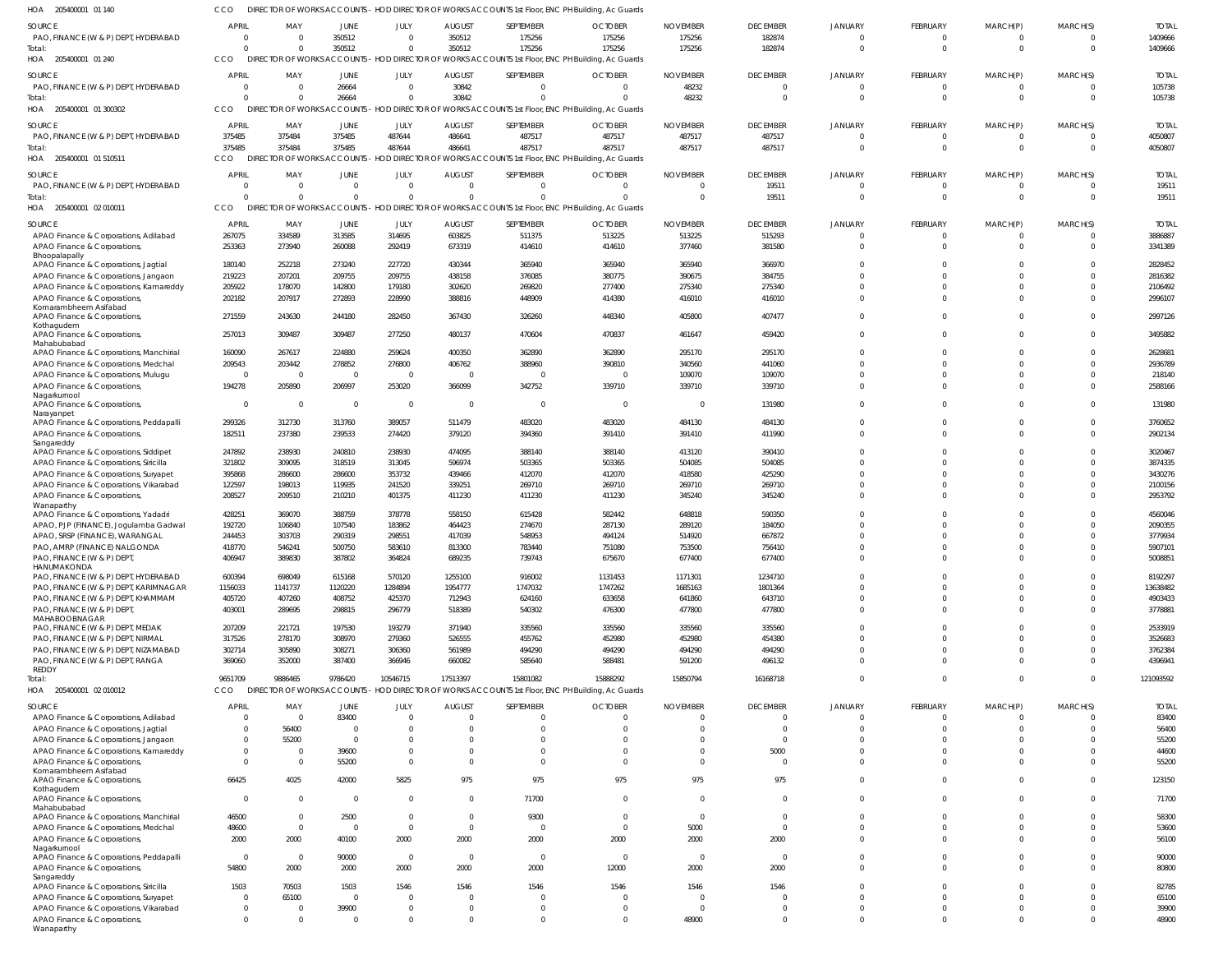| HOA 205400001 01 140                                                   | CCO                      |                            |                       |                            |                                  | DIRECTOR OF WORKS ACCOUNTS - HOD DIRECTOR OF WORKS ACCOUNTS 1st Floor, ENC PH Building, Ac Guards |                                           |                          |                 |                      |                      |                      |                      |                |
|------------------------------------------------------------------------|--------------------------|----------------------------|-----------------------|----------------------------|----------------------------------|---------------------------------------------------------------------------------------------------|-------------------------------------------|--------------------------|-----------------|----------------------|----------------------|----------------------|----------------------|----------------|
| SOURCE                                                                 | <b>APRIL</b>             | MAY                        | JUNE                  | JULY                       | <b>AUGUST</b>                    | SEPTEMBER                                                                                         | <b>OCTOBER</b>                            | <b>NOVEMBER</b>          | <b>DECEMBER</b> | <b>JANUARY</b>       | <b>FEBRUARY</b>      | MARCH(P)             | MARCH(S)             | <b>TOTAL</b>   |
| PAO, FINANCE (W & P) DEPT, HYDERABAD                                   | $\Omega$                 | $\Omega$                   | 350512                | $\Omega$                   | 350512                           | 175256                                                                                            | 175256                                    | 175256                   | 182874          |                      | $\mathbf 0$          | -0                   | $\Omega$             | 1409666        |
| iotal                                                                  | $\Omega$                 | $\Omega$                   | 350512                | $\Omega$                   | 350512                           | 175256                                                                                            | 175256                                    | 175256                   | 182874          | $\Omega$             | $\overline{0}$       | $\overline{0}$       | $\overline{0}$       | 1409666        |
| HOA 205400001 01 240                                                   | CCO                      |                            |                       |                            |                                  | DIRECTOR OF WORKS ACCOUNTS - HOD DIRECTOR OF WORKS ACCOUNTS 1st Floor, ENC PH Building, Ac Guards |                                           |                          |                 |                      |                      |                      |                      |                |
| SOURCE                                                                 | <b>APRIL</b>             | MAY                        | JUNE                  | JULY                       | <b>AUGUST</b>                    | SEPTEMBER                                                                                         | <b>OCTOBER</b>                            | <b>NOVEMBER</b>          | <b>DECEMBER</b> | <b>JANUARY</b>       | <b>FEBRUARY</b>      | MARCH(P)             | MARCH(S)             | <b>TOTAL</b>   |
| PAO, FINANCE (W & P) DEPT, HYDERABAD                                   |                          | $\Omega$                   | 26664                 | $\overline{0}$             | 30842                            | $\Omega$                                                                                          | $\overline{\mathbf{0}}$                   | 48232                    | $\Omega$        |                      | $\mathbf 0$          | $\mathbf 0$          | $\Omega$             | 105738         |
| Total                                                                  |                          | $\Omega$                   | 26664                 | $\Omega$                   | 30842                            |                                                                                                   | $\Omega$                                  | 48232                    | $\Omega$        | $\Omega$             | $\Omega$             | $\overline{0}$       | $\Omega$             | 105738         |
| HOA 205400001 01 300302                                                | CCO                      |                            |                       |                            |                                  | DIRECTOR OF WORKS ACCOUNTS - HOD DIRECTOR OF WORKS ACCOUNTS 1st Floor, ENC PH Building, Ac Guards |                                           |                          |                 |                      |                      |                      |                      |                |
| SOURCE                                                                 | <b>APRIL</b>             | MAY                        | JUNE                  | JULY                       | <b>AUGUST</b>                    | SEPTEMBER                                                                                         | <b>OCTOBER</b>                            | <b>NOVEMBER</b>          | <b>DECEMBER</b> | <b>JANUARY</b>       | <b>FEBRUARY</b>      | MARCH(P)             | MARCH(S)             | <b>TOTAL</b>   |
| PAO, FINANCE (W & P) DEPT, HYDERABAD                                   | 375485                   | 375484                     | 375485                | 487644                     | 486641                           | 487517                                                                                            | 487517                                    | 487517                   | 487517          | $\Omega$             | $\mathbf 0$          | $^{\circ}$           | $\overline{0}$       | 4050807        |
| iotal                                                                  | 375485                   | 375484                     | 375485                | 487644                     | 486641                           | 487517                                                                                            | 487517                                    | 487517                   | 487517          | $\Omega$             | $\overline{0}$       | $\overline{0}$       | $\overline{0}$       | 4050807        |
| HOA 205400001 01 510511                                                | CCO                      |                            |                       |                            |                                  | DIRECTOR OF WORKS ACCOUNTS - HOD DIRECTOR OF WORKS ACCOUNTS 1st Floor, ENC PH Building, Ac Guards |                                           |                          |                 |                      |                      |                      |                      |                |
| SOURCE                                                                 | <b>APRIL</b>             | MAY                        | <b>JUNE</b>           | JULY                       | <b>AUGUST</b>                    | SEPTEMBER                                                                                         | <b>OCTOBER</b>                            | <b>NOVEMBER</b>          | <b>DECEMBER</b> | <b>JANUARY</b>       | FEBRUARY             | MARCH(P)             | MARCH(S)             | <b>TOTAL</b>   |
| PAO, FINANCE (W & P) DEPT, HYDERABAD                                   |                          | $\Omega$                   | $\Omega$              | $\overline{0}$             | - 0                              | $\Omega$                                                                                          | $\Omega$                                  | $\Omega$                 | 19511           |                      | $\Omega$             | $\Omega$             | $\Omega$             | 19511          |
| Total:                                                                 |                          | $\Omega$                   | $\Omega$              | $\Omega$                   | $\Omega$                         |                                                                                                   | $\Omega$                                  | $\overline{0}$           | 19511           | $\Omega$             | $\overline{0}$       | $\overline{0}$       | $\overline{0}$       | 19511          |
| HOA 205400001 02 010011                                                | CCO                      |                            |                       |                            |                                  | DIRECTOR OF WORKS ACCOUNTS - HOD DIRECTOR OF WORKS ACCOUNTS 1st Floor, ENC PH Building, Ac Guards |                                           |                          |                 |                      |                      |                      |                      |                |
| SOURCE                                                                 | <b>APRIL</b>             | MAY                        | JUNE                  | JULY                       | <b>AUGUST</b>                    | SEPTEMBER                                                                                         | <b>OCTOBER</b>                            | <b>NOVEMBER</b>          | <b>DECEMBER</b> | <b>JANUARY</b>       | FEBRUARY             | MARCH(P)             | MARCH(S)             | <b>TOTAL</b>   |
| APAO Finance & Corporations, Adilabad                                  | 267075                   | 334589                     | 313585                | 314695                     | 603825                           | 511375                                                                                            | 513225                                    | 513225                   | 515293          |                      | $\mathbf 0$          | 0                    | $\Omega$             | 3886887        |
| APAO Finance & Corporations,                                           | 253363                   | 273940                     | 260088                | 292419                     | 673319                           | 414610                                                                                            | 414610                                    | 377460                   | 381580          |                      | $\mathbf 0$          | $\mathbf 0$          | $\Omega$             | 3341389        |
| Bhoopalapally<br>APAO Finance & Corporations, Jagtial                  | 180140                   | 252218                     | 273240                | 227720                     | 430344                           | 365940                                                                                            | 365940                                    | 365940                   | 366970          |                      | $\Omega$             | $\Omega$             | $\Omega$             | 2828452        |
| APAO Finance & Corporations, Jangaon                                   | 219223                   | 207201                     | 209755                | 209755                     | 438158                           | 376085                                                                                            | 380775                                    | 390675                   | 384755          |                      | $\Omega$             | $\Omega$             | $\Omega$             | 2816382        |
| APAO Finance & Corporations, Kamareddy                                 | 205922                   | 178070                     | 142800                | 179180                     | 302620                           | 269820                                                                                            | 277400                                    | 275340                   | 275340          |                      | $\Omega$             | $\Omega$             | $\Omega$             | 2106492        |
| APAO Finance & Corporations                                            | 202182                   | 207917                     | 272893                | 228990                     | 388816                           | 448909                                                                                            | 414380                                    | 416010                   | 416010          | $\Omega$             | $\Omega$             | $\Omega$             | $\Omega$             | 2996107        |
| Komarambheem Asifabad<br>APAO Finance & Corporations,                  | 271559                   | 243630                     | 244180                | 282450                     | 367430                           | 326260                                                                                            | 448340                                    | 405800                   | 407477          | $\Omega$             | $\mathbf 0$          | $\mathbf 0$          | $\Omega$             | 2997126        |
| Kothagudem                                                             |                          |                            |                       |                            |                                  |                                                                                                   |                                           |                          |                 |                      |                      |                      |                      |                |
| APAO Finance & Corporations,                                           | 257013                   | 309487                     | 309487                | 277250                     | 480137                           | 470604                                                                                            | 470837                                    | 461647                   | 459420          | $\Omega$             | $\mathbf 0$          | $\Omega$             | $\Omega$             | 3495882        |
| Mahabubabad<br>APAO Finance & Corporations, Manchirial                 | 160090                   | 267617                     | 224880                | 259624                     | 400350                           | 362890                                                                                            | 362890                                    | 295170                   | 295170          | $\Omega$             | $\mathbf 0$          | $\Omega$             | $\Omega$             | 2628681        |
| APAO Finance & Corporations, Medchal                                   | 209543                   | 203442                     | 278852                | 276800                     | 406762                           | 388960                                                                                            | 390810                                    | 340560                   | 441060          |                      | $\Omega$             | $\Omega$             | $\Omega$             | 2936789        |
| APAO Finance & Corporations, Mulugu                                    | $\overline{0}$           | $\overline{\mathbf{0}}$    | $\overline{0}$        | 0                          | - 0                              |                                                                                                   | $\overline{0}$                            | 109070                   | 109070          |                      | $\Omega$             | $\Omega$             | $\Omega$             | 218140         |
| APAO Finance & Corporations,                                           | 194278                   | 205890                     | 206997                | 253020                     | 366099                           | 342752                                                                                            | 339710                                    | 339710                   | 339710          | $\Omega$             | $\Omega$             | $\Omega$             | $\Omega$             | 2588166        |
| Nagarkurnool<br>APAO Finance & Corporations,                           | $\Omega$                 | $\Omega$                   | $\overline{0}$        | 0                          | $\overline{0}$                   | $\Omega$                                                                                          | $\overline{\mathbf{0}}$                   | $\overline{\phantom{0}}$ | 131980          |                      | $\Omega$             | $\Omega$             | $\Omega$             | 131980         |
| Narayanpet                                                             |                          |                            |                       |                            |                                  |                                                                                                   |                                           |                          |                 |                      |                      |                      |                      |                |
| APAO Finance & Corporations, Peddapalli                                | 299326                   | 312730                     | 313760                | 389057                     | 511479                           | 483020                                                                                            | 483020                                    | 484130                   | 484130          | $\Omega$             | $\Omega$             | $\Omega$             | $\Omega$             | 3760652        |
| APAO Finance & Corporations,                                           | 182511                   | 237380                     | 239533                | 274420                     | 379120                           | 394360                                                                                            | 391410                                    | 391410                   | 411990          | $\Omega$             | $\Omega$             | $\Omega$             | $\Omega$             | 2902134        |
| Sangareddy<br>APAO Finance & Corporations, Siddipet                    | 247892                   | 238930                     | 240810                | 238930                     | 474095                           | 388140                                                                                            | 388140                                    | 413120                   | 390410          | $\Omega$             | $\Omega$             | $\Omega$             | $\Omega$             | 3020467        |
| APAO Finance & Corporations, Siricilla                                 | 321802                   | 309095                     | 318519                | 313045                     | 596974                           | 503365                                                                                            | 503365                                    | 504085                   | 504085          |                      | $\Omega$             | $\Omega$             | $\Omega$             | 3874335        |
| APAO Finance & Corporations, Suryapet                                  | 395868                   | 286600                     | 286600                | 353732                     | 439466                           | 412070                                                                                            | 412070                                    | 418580                   | 425290          |                      | $\Omega$             | $\Omega$             | $\Omega$             | 3430276        |
| APAO Finance & Corporations, Vikarabad                                 | 122597                   | 198013                     | 119935                | 241520                     | 339251                           | 269710                                                                                            | 269710                                    | 269710                   | 269710          |                      | $\Omega$             | $\Omega$             | $\Omega$             | 2100156        |
| APAO Finance & Corporations,                                           | 208527                   | 209510                     | 210210                | 401375                     | 411230                           | 411230                                                                                            | 411230                                    | 345240                   | 345240          | $\Omega$             | $\Omega$             | $\Omega$             | $\Omega$             | 2953792        |
| Wanaparthy<br>APAO Finance & Corporations, Yadadr                      | 428251                   | 369070                     | 388759                | 378778                     | 558150                           | 615428                                                                                            | 582442                                    | 648818                   | 590350          |                      | $\Omega$             | $\Omega$             | $\Omega$             | 4560046        |
| APAO, PJP (FINANCE), Jogulamba Gadwal                                  | 192720                   | 106840                     | 107540                | 183862                     | 464423                           | 274670                                                                                            | 287130                                    | 289120                   | 184050          |                      | $\Omega$             | $\Omega$             | $\Omega$             | 2090355        |
| APAO, SRSP (FINANCE), WARANGAL                                         | 244453                   | 303703                     | 290319                | 298551                     | 417039                           | 548953                                                                                            | 494124                                    | 514920                   | 667872          |                      | $\Omega$             | $\Omega$             | $\Omega$             | 3779934        |
| PAO, AMRP (FINANCE) NALGONDA                                           | 418770                   | 546241                     | 500750                | 583610                     | 813300                           | 783440                                                                                            | 751080                                    | 753500                   | 756410          |                      | $\Omega$             | $\Omega$             | $\Omega$             | 5907101        |
| PAO, FINANCE (W & P) DEPT<br>HANUMAKONDA                               | 406947                   | 389830                     | 387802                | 364824                     | 689235                           | 739743                                                                                            | 675670                                    | 677400                   | 677400          |                      |                      |                      |                      | 5008851        |
| PAO, FINANCE (W & P) DEPT, HYDERABAD                                   | 600394                   | 698049                     | 615168                | 570120                     | 1255100                          | 916002                                                                                            | 1131453                                   | 1171301                  | 1234710         | $\Omega$             | $\Omega$             | $\Omega$             | $\Omega$             | 8192297        |
| PAO, FINANCE (W & P) DEPT, KARIMNAGAR                                  | 1156033                  | 1141737                    | 1120220               | 1284894                    | 1954777                          | 1747032                                                                                           | 1747262                                   | 1685163                  | 1801364         | $\Omega$             | $\Omega$             | $\Omega$             | $\Omega$             | 13638482       |
| PAO, FINANCE (W & P) DEPT, KHAMMAM                                     | 405720                   | 407260                     | 408752                | 425370                     | 712943                           | 624160                                                                                            | 633658                                    | 641860                   | 643710          | $\Omega$             | $\Omega$             | $\Omega$             | $\Omega$             | 4903433        |
| PAO, FINANCE (W & P) DEPT,                                             | 403001                   | 289695                     | 298815                | 296779                     | 518389                           | 540302                                                                                            | 476300                                    | 477800                   | 477800          | $\Omega$             | $\Omega$             | $\Omega$             | $\Omega$             | 3778881        |
| MAHABOOBNAGAR<br>PAO, FINANCE (W & P) DEPT, MEDAK                      | 207209                   | 221721                     | 197530                | 193279                     | 371940                           | 335560                                                                                            | 335560                                    | 335560                   | 335560          | $\Omega$             | $\Omega$             | $\Omega$             | $\Omega$             | 2533919        |
| PAO, FINANCE (W & P) DEPT, NIRMAL                                      | 317526                   | 278170                     | 308970                | 279360                     | 526555                           | 455762                                                                                            | 452980                                    | 452980                   | 454380          |                      | $\Omega$             | $\Omega$             | $\Omega$             | 3526683        |
| PAO, FINANCE (W & P) DEPT, NIZAMABAD                                   | 302714                   | 305890                     | 308271                | 306360                     | 561989                           | 494290                                                                                            | 494290                                    | 494290                   | 494290          | $\Omega$             | $\Omega$             | $\Omega$             | $\Omega$             | 3762384        |
| PAO, FINANCE (W & P) DEPT, RANGA                                       | 369060                   | 352000                     | 387400                | 366946                     | 660082                           | 585640                                                                                            | 588481                                    | 591200                   | 496132          | $\Omega$             | $\Omega$             | $\Omega$             | $\Omega$             | 4396941        |
| REDDY<br>iotal:                                                        | 9651709                  | 9886465                    | 9786420               | 10546715                   | 17513397                         | 15801082                                                                                          | 15888292                                  | 15850794                 | 16168718        | $\Omega$             | $\Omega$             | $\mathbf 0$          | $\Omega$             | 121093592      |
| HOA 205400001 02 010012                                                | CCO                      |                            |                       |                            |                                  | DIRECTOR OF WORKS ACCOUNTS - HOD DIRECTOR OF WORKS ACCOUNTS 1st Floor, ENC PH Building, Ac Guards |                                           |                          |                 |                      |                      |                      |                      |                |
| SOURCE                                                                 | <b>APRIL</b>             | MAY                        | JUNE                  | JULY                       | <b>AUGUST</b>                    | SEPTEMBER                                                                                         | <b>OCTOBER</b>                            | <b>NOVEMBER</b>          | <b>DECEMBER</b> | <b>JANUARY</b>       | <b>FEBRUARY</b>      | MARCH(P)             | MARCH(S)             | <b>TOTAL</b>   |
| APAO Finance & Corporations, Adilabad                                  |                          | $\Omega$                   | 83400                 | $\Omega$                   | $\Omega$                         | $\Omega$                                                                                          | $\Omega$                                  | $\Omega$                 | $\Omega$        |                      | $\Omega$             | $\Omega$             | $\Omega$             | 83400          |
| APAO Finance & Corporations, Jagtial                                   |                          | 56400                      | $\Omega$              | $\Omega$                   | $\Omega$                         |                                                                                                   | $\Omega$                                  | $\Omega$                 | $\Omega$        |                      | $\Omega$             | $\Omega$             | $\Omega$             | 56400          |
| APAO Finance & Corporations, Jangaon                                   |                          | 55200                      | $\Omega$              | $\Omega$                   | $\Omega$                         |                                                                                                   | $\Omega$                                  | $\Omega$                 | $\Omega$        | $\Omega$             | $\Omega$             | $\Omega$             | $\Omega$             | 55200          |
| APAO Finance & Corporations, Kamareddy                                 | $\Omega$                 | $\Omega$                   | 39600                 | $\Omega$                   | $\Omega$                         |                                                                                                   | $\Omega$                                  | $\Omega$                 | 5000            | $\Omega$             | $\Omega$             | $\Omega$             | $\Omega$             | 44600          |
| APAO Finance & Corporations,                                           | $\Omega$                 | $\Omega$                   | 55200                 | $\Omega$                   | $\Omega$                         | $\Omega$                                                                                          | $\Omega$                                  | $\Omega$                 | $\Omega$        | $\Omega$             | $\Omega$             | $\Omega$             | $\Omega$             | 55200          |
| Komarambheem Asifabad<br>APAO Finance & Corporations,                  | 66425                    | 4025                       | 42000                 | 5825                       | 975                              | 975                                                                                               | 975                                       | 975                      | 975             | $\Omega$             | $\Omega$             | $\Omega$             | $\overline{0}$       | 123150         |
| Kothagudem                                                             |                          |                            |                       |                            |                                  |                                                                                                   |                                           |                          |                 |                      |                      |                      |                      |                |
| APAO Finance & Corporations,                                           | $\Omega$                 | $\Omega$                   | $\overline{0}$        | $\overline{0}$             | $\overline{\mathbf{0}}$          | 71700                                                                                             | $\overline{\mathbf{0}}$                   | $\overline{0}$           | $\Omega$        | $\Omega$             | $\Omega$             | $\Omega$             | $\overline{0}$       | 71700          |
| Mahabubabad<br>APAO Finance & Corporations, Manchirial                 | 46500                    | $\Omega$                   | 2500                  | $\overline{0}$             | $\overline{0}$                   | 9300                                                                                              | $\overline{0}$                            | $\overline{\mathbf{0}}$  | $\Omega$        | $\Omega$             | $\Omega$             | $\Omega$             | $\Omega$             | 58300          |
| APAO Finance & Corporations, Medchal                                   | 48600                    | $\overline{0}$             | $\overline{0}$        | $\overline{0}$             | $\overline{0}$                   | $\Omega$                                                                                          | $\overline{0}$                            | 5000                     | $\Omega$        | $\Omega$             | $\Omega$             | $\Omega$             | $\Omega$             | 53600          |
| APAO Finance & Corporations,                                           | 2000                     | 2000                       | 40100                 | 2000                       | 2000                             | 2000                                                                                              | 2000                                      | 2000                     | 2000            | $\Omega$             | $\Omega$             | $\Omega$             | $\Omega$             | 56100          |
| Nagarkurnool<br>APAO Finance & Corporations, Peddapalli                | $\mathbf 0$              | $\overline{0}$             | 90000                 | $\overline{0}$             | $\overline{\mathbf{0}}$          | $\Omega$                                                                                          | $\overline{\mathbf{0}}$                   | $\overline{0}$           | $\Omega$        | $\Omega$             | $\Omega$             | $\Omega$             | $\Omega$             | 90000          |
| APAO Finance & Corporations,                                           | 54800                    | 2000                       | 2000                  | 2000                       | 2000                             | 2000                                                                                              | 12000                                     | 2000                     | 2000            | $\Omega$             | $\Omega$             | $\Omega$             | $\Omega$             | 80800          |
| Sangareddy                                                             |                          |                            |                       |                            |                                  |                                                                                                   |                                           |                          |                 |                      |                      |                      |                      |                |
| APAO Finance & Corporations, Siricilla                                 | 1503                     | 70503                      | 1503                  | 1546                       | 1546                             | 1546                                                                                              | 1546                                      | 1546                     | 1546            | $\Omega$             | $\Omega$             | $\Omega$             | $\Omega$             | 82785          |
| APAO Finance & Corporations, Suryapet                                  | $\Omega$                 | 65100                      | $\overline{0}$        | $\Omega$                   | $\Omega$                         |                                                                                                   | $\Omega$                                  | $\Omega$<br>$\Omega$     | $\Omega$        | $\Omega$<br>$\Omega$ | $\Omega$<br>$\Omega$ | $\Omega$             | $\Omega$<br>$\Omega$ | 65100          |
| APAO Finance & Corporations, Vikarabad<br>APAO Finance & Corporations, | $\Omega$<br>$\mathbf{0}$ | $\Omega$<br>$\overline{0}$ | 39900<br>$\mathbf{0}$ | $\mathbf 0$<br>$\mathbf 0$ | $\overline{0}$<br>$\overline{0}$ | $\Omega$                                                                                          | $\overline{\mathbf{0}}$<br>$\overline{0}$ | 48900                    | $\Omega$        | $\Omega$             | $\Omega$             | $\Omega$<br>$\Omega$ | $\Omega$             | 39900<br>48900 |
| Wanaparthy                                                             |                          |                            |                       |                            |                                  |                                                                                                   |                                           |                          |                 |                      |                      |                      |                      |                |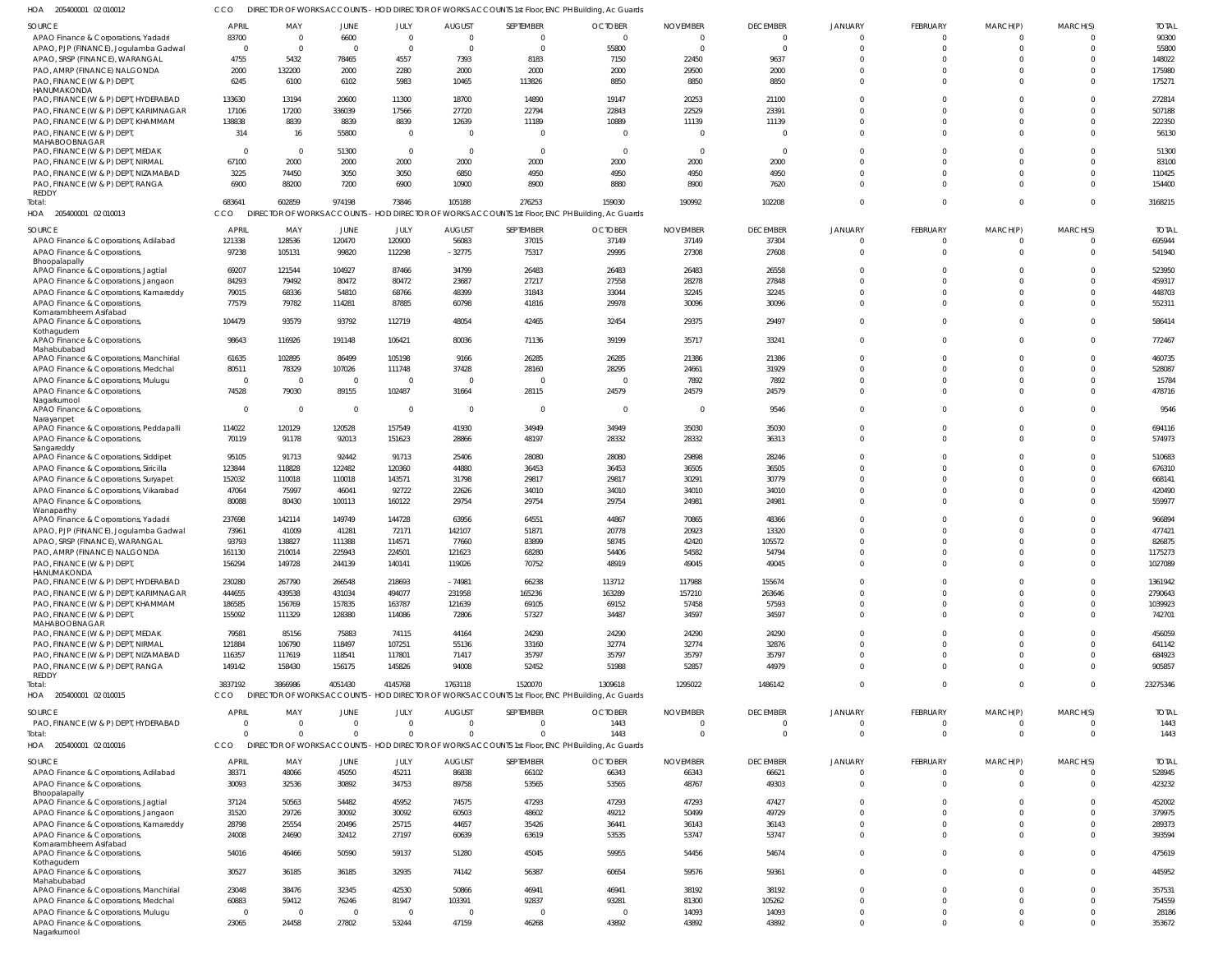205400001 02 010012 HOA CCO DIRECTOR OF WORKS ACCOUNTS - HOD DIRECTOR OF WORKS ACCOUNTS 1st Floor, ENC PH Building, Ac Guards

| SOURCE                                     | <b>APRIL</b>   | MAY            | <b>JUNE</b>    | JULY           | <b>AUGUST</b> | SEPTEMBER                                                                                         | <b>OCTOBER</b> | <b>NOVEMBER</b> | <b>DECEMBER</b> | <b>JANUARY</b> | <b>FEBRUARY</b> | MARCH(P)       | MARCH(S)       | <b>TOTAL</b> |
|--------------------------------------------|----------------|----------------|----------------|----------------|---------------|---------------------------------------------------------------------------------------------------|----------------|-----------------|-----------------|----------------|-----------------|----------------|----------------|--------------|
| APAO Finance & Corporations, Yadadri       | 83700          | - 0            | 6600           | $\overline{0}$ | $\Omega$      | $\circ$                                                                                           | 0              | -0              | $\Omega$        | $\cap$         | $\Omega$        | 0              | $\mathbf{0}$   | 90300        |
| APAO, PJP (FINANCE), Jogulamba Gadwal      | $\overline{0}$ | $\Omega$       | $\overline{0}$ | $\mathbf 0$    | $\Omega$      | $\overline{0}$                                                                                    | 55800          | $\overline{0}$  | $\Omega$        | $\Omega$       | $\Omega$        | $\mathbf 0$    | $\mathbf 0$    | 55800        |
|                                            |                |                |                |                |               |                                                                                                   |                |                 |                 | $\Omega$       |                 |                |                |              |
| APAO, SRSP (FINANCE), WARANGAL             | 4755           | 5432           | 78465          | 4557           | 7393          | 8183                                                                                              | 7150           | 22450           | 9637            |                | U               | $\Omega$       | $\Omega$       | 148022       |
| PAO, AMRP (FINANCE) NALGONDA               | 2000           | 132200         | 2000           | 2280           | 2000          | 2000                                                                                              | 2000           | 29500           | 2000            | $\Omega$       |                 | $\Omega$       | $\mathbf 0$    | 175980       |
| PAO, FINANCE (W & P) DEPT,                 | 6245           | 6100           | 6102           | 5983           | 10465         | 113826                                                                                            | 8850           | 8850            | 8850            | $\Omega$       |                 | $\Omega$       | $\Omega$       | 175271       |
| HANUMAKONDA                                |                |                |                |                |               |                                                                                                   |                |                 |                 |                |                 |                |                |              |
| PAO, FINANCE (W & P) DEPT, HYDERABAD       | 133630         | 13194          | 20600          | 11300          | 18700         | 14890                                                                                             | 19147          | 20253           | 21100           | $\Omega$       |                 | $\Omega$       | $\mathbf 0$    | 272814       |
| PAO, FINANCE (W & P) DEPT, KARIMNAGAR      | 17106          | 17200          | 336039         | 17566          | 27720         | 22794                                                                                             | 22843          | 22529           | 23391           | $\Omega$       |                 | $\Omega$       | $\mathbf 0$    | 507188       |
| PAO, FINANCE (W & P) DEPT, KHAMMAM         | 138838         | 8839           | 8839           | 8839           | 12639         | 11189                                                                                             | 10889          | 11139           | 11139           | $\Omega$       |                 | $\Omega$       | $\mathbf 0$    | 222350       |
|                                            |                |                |                |                |               |                                                                                                   |                |                 |                 |                |                 |                |                |              |
| PAO, FINANCE (W & P) DEPT,                 | 314            | 16             | 55800          | $\mathbf 0$    | $\Omega$      | $\Omega$                                                                                          | $\Omega$       | $\Omega$        |                 | $\Omega$       | $\Omega$        | $\Omega$       | $\Omega$       | 56130        |
| MAHABOOBNAGAR                              |                |                |                |                |               |                                                                                                   |                |                 |                 |                |                 |                |                |              |
| PAO, FINANCE (W & P) DEPT, MEDAK           | $\overline{0}$ | $\overline{0}$ | 51300          | $\mathbf 0$    | $\Omega$      | $\overline{0}$                                                                                    | 0              | $\overline{0}$  | $\Omega$        | $\Omega$       |                 | $\Omega$       | $\mathbf 0$    | 51300        |
| PAO, FINANCE (W & P) DEPT, NIRMAL          | 67100          | 2000           | 2000           | 2000           | 2000          | 2000                                                                                              | 2000           | 2000            | 2000            | $\Omega$       | $\Omega$        | $\Omega$       | $\mathbf 0$    | 83100        |
| PAO, FINANCE (W & P) DEPT, NIZAMABAD       | 3225           | 74450          | 3050           | 3050           | 6850          | 4950                                                                                              | 4950           | 4950            | 4950            | $\Omega$       |                 | $\Omega$       | $\mathbf 0$    | 110425       |
| PAO, FINANCE (W & P) DEPT, RANGA           | 6900           | 88200          | 7200           | 6900           | 10900         | 8900                                                                                              | 8880           | 8900            | 7620            | $\Omega$       | $\Omega$        | $\Omega$       | $\mathbf{0}$   | 154400       |
| REDDY                                      |                |                |                |                |               |                                                                                                   |                |                 |                 |                |                 |                |                |              |
| Total:                                     | 683641         | 602859         | 974198         | 73846          | 105188        | 276253                                                                                            | 159030         | 190992          | 102208          | $\Omega$       | $\Omega$        | $\overline{0}$ | $\mathbf{0}$   | 3168215      |
| HOA 205400001 02 010013                    | CCO            |                |                |                |               | DIRECTOR OF WORKS ACCOUNTS - HOD DIRECTOR OF WORKS ACCOUNTS 1st Floor, ENC PH Building, Ac Guards |                |                 |                 |                |                 |                |                |              |
|                                            |                |                |                |                |               |                                                                                                   |                |                 |                 |                |                 |                |                |              |
| SOURCE                                     | <b>APRIL</b>   | MAY            | JUNE           | JULY           | <b>AUGUST</b> | SEPTEMBER                                                                                         | <b>OCTOBER</b> | <b>NOVEMBER</b> | <b>DECEMBER</b> | <b>JANUARY</b> | <b>FEBRUARY</b> | MARCH(P)       | MARCH(S)       | <b>TOTAL</b> |
|                                            | 121338         | 128536         | 120470         | 120900         | 56083         | 37015                                                                                             | 37149          | 37149           | 37304           | $\Omega$       | $\Omega$        | $\overline{0}$ | $\mathbf 0$    | 695944       |
| APAO Finance & Corporations, Adilabad      |                |                |                |                |               |                                                                                                   |                |                 |                 |                |                 |                |                |              |
| APAO Finance & Corporations,               | 97238          | 105131         | 99820          | 112298         | $-32775$      | 75317                                                                                             | 29995          | 27308           | 27608           | $\Omega$       | $\Omega$        | $\mathbf 0$    | $\mathbf{0}$   | 541940       |
| Bhoopalapally                              |                |                |                |                |               |                                                                                                   |                |                 |                 |                |                 |                |                |              |
| APAO Finance & Corporations, Jagtial       | 69207          | 121544         | 104927         | 87466          | 34799         | 26483                                                                                             | 26483          | 26483           | 26558           | $\Omega$       |                 | $\Omega$       | $\mathbf 0$    | 523950       |
| APAO Finance & Corporations, Jangaon       | 84293          | 79492          | 80472          | 80472          | 23687         | 27217                                                                                             | 27558          | 28278           | 27848           | $\Omega$       |                 | $\Omega$       | $\mathbf 0$    | 459317       |
| APAO Finance & Corporations, Kamareddy     | 79015          | 68336          | 54810          | 68766          | 48399         | 31843                                                                                             | 33044          | 32245           | 32245           | $\Omega$       |                 | $\Omega$       | $\mathbf 0$    | 448703       |
| APAO Finance & Corporations,               | 77579          | 79782          | 114281         | 87885          | 60798         | 41816                                                                                             | 29978          | 30096           | 30096           | $\Omega$       | $\Omega$        | $\Omega$       | $\mathbf 0$    | 552311       |
| Komarambheem Asifabad                      |                |                |                |                |               |                                                                                                   |                |                 |                 |                |                 |                |                |              |
| APAO Finance & Corporations,               | 104479         | 93579          | 93792          | 112719         | 48054         | 42465                                                                                             | 32454          | 29375           | 29497           | $\Omega$       | $\Omega$        | $\Omega$       | $\mathbf{0}$   | 586414       |
|                                            |                |                |                |                |               |                                                                                                   |                |                 |                 |                |                 |                |                |              |
| Kothagudem<br>APAO Finance & Corporations, | 98643          | 116926         | 191148         | 106421         | 80036         | 71136                                                                                             | 39199          | 35717           | 33241           | $\Omega$       | $\Omega$        | $\Omega$       | $\mathbf{0}$   | 772467       |
|                                            |                |                |                |                |               |                                                                                                   |                |                 |                 |                |                 |                |                |              |
| Mahabubabad                                |                |                |                |                |               |                                                                                                   |                |                 |                 | $\Omega$       |                 |                |                |              |
| APAO Finance & Corporations, Manchirial    | 61635          | 102895         | 86499          | 105198         | 9166          | 26285                                                                                             | 26285          | 21386           | 21386           |                |                 | $\Omega$       | $\mathbf 0$    | 460735       |
| APAO Finance & Corporations, Medchal       | 80511          | 78329          | 107026         | 111748         | 37428         | 28160                                                                                             | 28295          | 24661           | 31929           | $\Omega$       | $\Omega$        | $\Omega$       | $\mathbf 0$    | 528087       |
| APAO Finance & Corporations, Mulugu        | $\overline{0}$ | $\Omega$       | $\overline{0}$ | $\overline{0}$ | $\Omega$      | $\overline{0}$                                                                                    | 0              | 7892            | 7892            | $\Omega$       |                 | $\Omega$       | $\mathbf 0$    | 15784        |
| APAO Finance & Corporations,               | 74528          | 79030          | 89155          | 102487         | 31664         | 28115                                                                                             | 24579          | 24579           | 24579           | $\Omega$       | $\Omega$        | $\Omega$       | $\mathbf 0$    | 478716       |
| Nagarkurnool                               |                |                |                |                |               |                                                                                                   |                |                 |                 |                |                 |                |                |              |
| APAO Finance & Corporations,               | $\overline{0}$ | $\Omega$       | $\overline{0}$ | $\mathbf{0}$   | $\Omega$      | $\overline{0}$                                                                                    | - 0            | - 0             | 9546            | $\Omega$       |                 | $\Omega$       | $\mathbf{0}$   | 9546         |
| Narayanpet                                 |                |                |                |                |               |                                                                                                   |                |                 |                 |                |                 |                |                |              |
| APAO Finance & Corporations, Peddapalli    | 114022         | 120129         | 120528         | 157549         | 41930         | 34949                                                                                             | 34949          | 35030           | 35030           | $\Omega$       | $\Omega$        | $\Omega$       | $\Omega$       | 694116       |
|                                            |                |                |                | 151623         | 28866         | 48197                                                                                             | 28332          | 28332           |                 | $\Omega$       | $\Omega$        | $\Omega$       | $\Omega$       | 574973       |
| APAO Finance & Corporations,               | 70119          | 91178          | 92013          |                |               |                                                                                                   |                |                 | 36313           |                |                 |                |                |              |
| Sangareddy                                 |                |                |                |                |               |                                                                                                   |                |                 |                 | $\Omega$       |                 | $\Omega$       | $\Omega$       |              |
| APAO Finance & Corporations, Siddipet      | 95105          | 91713          | 92442          | 91713          | 25406         | 28080                                                                                             | 28080          | 29898           | 28246           |                |                 |                |                | 510683       |
| APAO Finance & Corporations, Siricilla     | 123844         | 118828         | 122482         | 120360         | 44880         | 36453                                                                                             | 36453          | 36505           | 36505           | $\Omega$       |                 | $\Omega$       | $\Omega$       | 676310       |
| APAO Finance & Corporations, Suryapet      | 152032         | 110018         | 110018         | 143571         | 31798         | 29817                                                                                             | 29817          | 30291           | 30779           | $\Omega$       | U               | $\Omega$       | $\Omega$       | 668141       |
| APAO Finance & Corporations, Vikarabad     | 47064          | 75997          | 46041          | 92722          | 22626         | 34010                                                                                             | 34010          | 34010           | 34010           | $\Omega$       |                 | $\Omega$       | $\Omega$       | 420490       |
|                                            | 80088          |                | 100113         | 160122         | 29754         | 29754                                                                                             | 29754          | 24981           | 24981           | $\Omega$       | $\Omega$        | $\Omega$       | $\Omega$       | 559977       |
| APAO Finance & Corporations,               |                | 80430          |                |                |               |                                                                                                   |                |                 |                 |                |                 |                |                |              |
| Wanaparthy                                 |                |                | 149749         |                |               |                                                                                                   |                |                 |                 | $\Omega$       |                 | $\Omega$       | $\Omega$       | 966894       |
| APAO Finance & Corporations, Yadadr        | 237698         | 142114         |                | 144728         | 63956         | 64551                                                                                             | 44867          | 70865           | 48366           |                |                 |                |                |              |
| APAO, PJP (FINANCE), Jogulamba Gadwal      | 73961          | 41009          | 41281          | 72171          | 142107        | 51871                                                                                             | 20778          | 20923           | 13320           | $\Omega$       |                 | $\Omega$       | $\Omega$       | 477421       |
| APAO, SRSP (FINANCE), WARANGAL             | 93793          | 138827         | 111388         | 114571         | 77660         | 83899                                                                                             | 58745          | 42420           | 105572          | $\Omega$       |                 |                | $\Omega$       | 826875       |
| PAO, AMRP (FINANCE) NALGONDA               | 161130         | 210014         | 225943         | 224501         | 121623        | 68280                                                                                             | 54406          | 54582           | 54794           | $\Omega$       |                 | $\Omega$       | $\Omega$       | 1175273      |
| PAO, FINANCE (W & P) DEPT,                 | 156294         | 149728         | 244139         | 140141         | 119026        | 70752                                                                                             | 48919          | 49045           | 49045           |                |                 |                |                | 1027089      |
| HANUMAKONDA                                |                |                |                |                |               |                                                                                                   |                |                 |                 |                |                 |                |                |              |
| PAO, FINANCE (W & P) DEPT, HYDERABAD       | 230280         | 267790         | 266548         | 218693         | $-74981$      | 66238                                                                                             | 113712         | 117988          | 155674          | $\Omega$       | $\Omega$        | $\Omega$       | $\Omega$       | 1361942      |
|                                            |                |                |                |                |               |                                                                                                   |                |                 |                 | $\Omega$       | $\Omega$        | $\Omega$       | $\Omega$       |              |
| PAO, FINANCE (W & P) DEPT, KARIMNAGAR      | 444655         | 439538         | 431034         | 494077         | 231958        | 165236                                                                                            | 163289         | 157210          | 263646          |                |                 |                |                | 2790643      |
| PAO, FINANCE (W & P) DEPT, KHAMMAM         | 186585         | 156769         | 157835         | 163787         | 121639        | 69105                                                                                             | 69152          | 57458           | 57593           | $\Omega$       | $\Omega$        | $\Omega$       | $\Omega$       | 1039923      |
| PAO, FINANCE (W & P) DEPT,                 | 155092         | 111329         | 128380         | 114086         | 72806         | 57327                                                                                             | 34487          | 34597           | 34597           | $\Omega$       | $\Omega$        | $\Omega$       | $\Omega$       | 742701       |
| MAHABOOBNAGAR                              |                |                |                |                |               |                                                                                                   |                |                 |                 |                |                 |                |                |              |
| PAO, FINANCE (W & P) DEPT, MEDAK           | 79581          | 85156          | 75883          | 74115          | 44164         | 24290                                                                                             | 24290          | 24290           | 24290           | $\Omega$       | U               | $\Omega$       | $\Omega$       | 456059       |
| PAO, FINANCE (W & P) DEPT, NIRMAL          | 121884         | 106790         | 118497         | 107251         | 55136         | 33160                                                                                             | 32774          | 32774           | 32876           | $\Omega$       |                 | $\Omega$       | $\Omega$       | 641142       |
| PAO, FINANCE (W & P) DEPT, NIZAMABAD       | 116357         | 117619         | 118541         | 117801         | 71417         | 35797                                                                                             | 35797          | 35797           | 35797           | $\Omega$       | $\Omega$        | $\Omega$       | $\Omega$       | 684923       |
|                                            |                |                |                |                |               |                                                                                                   |                |                 |                 |                |                 |                |                |              |
| PAO, FINANCE (W & P) DEPT, RANGA           | 149142         | 158430         | 156175         | 145826         | 94008         | 52452                                                                                             | 51988          | 52857           | 44979           | $\Omega$       | $\Omega$        | $\Omega$       | $\Omega$       | 905857       |
| REDDY                                      |                |                |                |                |               |                                                                                                   |                |                 |                 |                |                 |                |                |              |
| Total:                                     | 3837192        | 3866986        | 4051430        | 4145768        | 1763118       | 1520070                                                                                           | 1309618        | 1295022         | 1486142         | $\Omega$       | $\Omega$        | $\mathbf{0}$   | $\Omega$       | 23275346     |
| HOA 205400001 02 010015                    | CCO            |                |                |                |               | DIRECTOR OF WORKS ACCOUNTS - HOD DIRECTOR OF WORKS ACCOUNTS 1st Floor, ENC PH Building, Ac Guards |                |                 |                 |                |                 |                |                |              |
|                                            |                |                |                |                |               |                                                                                                   |                |                 |                 |                |                 |                |                |              |
| SOURCE                                     | <b>APRIL</b>   | MAY            | JUNE           | JULY           | <b>AUGUST</b> | SEPTEMBER                                                                                         | <b>OCTOBER</b> | <b>NOVEMBER</b> | <b>DECEMBER</b> | JANUARY        | <b>FEBRUARY</b> | MARCH(P)       | MARCH(S)       | <b>TOTAL</b> |
| PAO, FINANCE (W & P) DEPT, HYDERABAD       | $\overline{0}$ | $\Omega$       | $\overline{0}$ | $\mathbf{0}$   | $\Omega$      | $\overline{0}$                                                                                    | 1443           | $\overline{0}$  | $\Omega$        | $\Omega$       | $\mathbf 0$     | $\overline{0}$ | $\overline{0}$ | 1443         |
| Total:                                     | $\Omega$       | $\Omega$       | $\Omega$       | $\Omega$       | $\cap$        | $\Omega$                                                                                          | 1443           | $\Omega$        | $\Omega$        | $\Omega$       | $\mathbf 0$     | $\overline{0}$ | $\mathbf 0$    | 1443         |
| HOA 205400001 02 010016                    | CCO            |                |                |                |               | DIRECTOR OF WORKS ACCOUNTS - HOD DIRECTOR OF WORKS ACCOUNTS 1st Floor, ENC PH Building, Ac Guards |                |                 |                 |                |                 |                |                |              |
|                                            |                |                |                |                |               |                                                                                                   |                |                 |                 |                |                 |                |                |              |
| SOURCE                                     | <b>APRIL</b>   | MAY            | JUNE           | JULY           | <b>AUGUST</b> | SEPTEMBER                                                                                         | <b>OCTOBER</b> | <b>NOVEMBER</b> | <b>DECEMBER</b> | <b>JANUARY</b> | <b>FEBRUARY</b> | MARCH(P)       | MARCH(S)       | <b>TOTAL</b> |
| APAO Finance & Corporations, Adilabad      | 38371          | 48066          | 45050          | 45211          | 86838         | 66102                                                                                             | 66343          | 66343           | 66621           | $\Omega$       | $\Omega$        | $\Omega$       | $\Omega$       | 528945       |
|                                            |                |                |                |                |               |                                                                                                   |                |                 |                 |                |                 |                |                |              |
| APAO Finance & Corporations,               | 30093          | 32536          | 30892          | 34753          | 89758         | 53565                                                                                             | 53565          | 48767           | 49303           | $\Omega$       | $\Omega$        | $\Omega$       | $\Omega$       | 423232       |
| Bhoopalapally                              |                |                |                |                |               |                                                                                                   |                |                 |                 | $\Omega$       | $\Omega$        |                |                |              |
| APAO Finance & Corporations, Jagtial       | 37124          | 50563          | 54482          | 45952          | 74575         | 47293                                                                                             | 47293          | 47293           | 47427           |                |                 | $\Omega$       | $\Omega$       | 452002       |
| APAO Finance & Corporations, Jangaon       | 31520          | 29726          | 30092          | 30092          | 60503         | 48602                                                                                             | 49212          | 50499           | 49729           | $\Omega$       | $\Omega$        | $\Omega$       | $\Omega$       | 379975       |
| APAO Finance & Corporations, Kamareddy     | 28798          | 25554          | 20496          | 25715          | 44657         | 35426                                                                                             | 36441          | 36143           | 36143           | $\Omega$       | $\Omega$        | $\Omega$       | $\Omega$       | 289373       |
| APAO Finance & Corporations,               | 24008          | 24690          | 32412          | 27197          | 60639         | 63619                                                                                             | 53535          | 53747           | 53747           | $\Omega$       | $\Omega$        | $\Omega$       | $\Omega$       | 393594       |
| Komarambheem Asifabad                      |                |                |                |                |               |                                                                                                   |                |                 |                 |                |                 |                |                |              |
| APAO Finance & Corporations,               | 54016          | 46466          | 50590          | 59137          | 51280         | 45045                                                                                             | 59955          | 54456           | 54674           | $\Omega$       | $\Omega$        | $\Omega$       | $\Omega$       | 475619       |
| Kothagudem                                 |                |                |                |                |               |                                                                                                   |                |                 |                 |                |                 |                |                |              |
| APAO Finance & Corporations,               | 30527          | 36185          | 36185          | 32935          | 74142         | 56387                                                                                             | 60654          | 59576           | 59361           | $\Omega$       | $\Omega$        | $\Omega$       | $\Omega$       | 445952       |
| Mahabubabad                                |                |                |                |                |               |                                                                                                   |                |                 |                 |                |                 |                |                |              |
| APAO Finance & Corporations, Manchirial    | 23048          | 38476          | 32345          | 42530          | 50866         | 46941                                                                                             | 46941          | 38192           | 38192           | $\Omega$       | $\Omega$        | $\Omega$       | $\Omega$       | 357531       |
|                                            |                |                |                |                |               |                                                                                                   |                |                 |                 | $\Omega$       | $\Omega$        | $\Omega$       | $\Omega$       |              |
| APAO Finance & Corporations, Medchal       | 60883          | 59412          | 76246          | 81947          | 103391        | 92837                                                                                             | 93281          | 81300           | 105262          |                |                 |                |                | 754559       |
| APAO Finance & Corporations, Mulugu        | $\overline{0}$ | $\Omega$       | $\Omega$       | $\overline{0}$ | $\Omega$      | $\Omega$                                                                                          | $\mathbf 0$    | 14093           | 14093           | $\Omega$       | $\Omega$        | $\Omega$       | $\Omega$       | 28186        |
| APAO Finance & Corporations,               | 23065          | 24458          | 27802          | 53244          | 47159         | 46268                                                                                             | 43892          | 43892           | 43892           | $\Omega$       | $\Omega$        | $\Omega$       | $\Omega$       | 353672       |
| Nagarkurnool                               |                |                |                |                |               |                                                                                                   |                |                 |                 |                |                 |                |                |              |
|                                            |                |                |                |                |               |                                                                                                   |                |                 |                 |                |                 |                |                |              |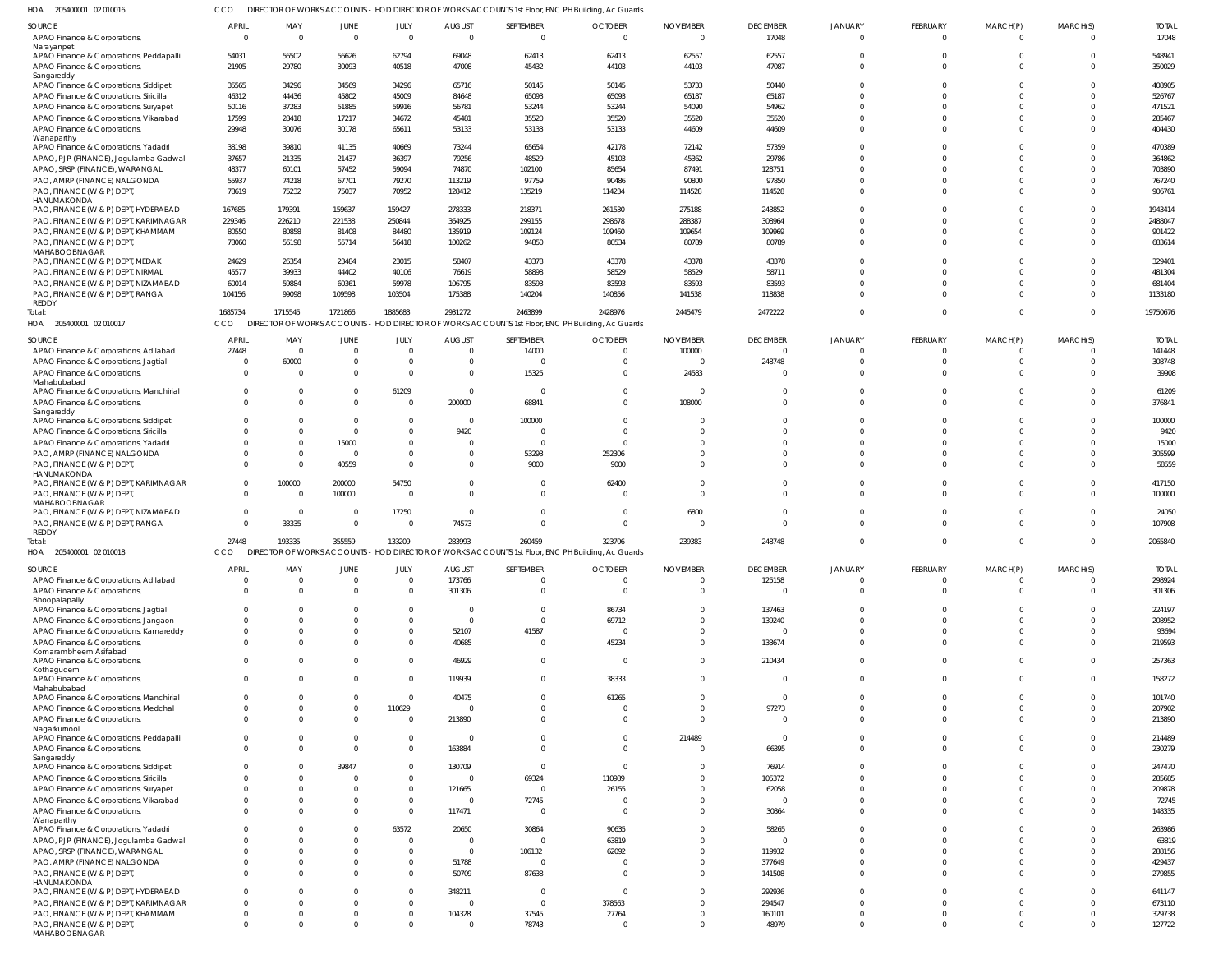205400001 02 010016 HOA CCO DIRECTOR OF WORKS ACCOUNTS - HOD DIRECTOR OF WORKS ACCOUNTS 1st Floor, ENC PH Building, Ac Guards

| SOURCE<br>APAO Finance & Corporations,                                  | <b>APRIL</b><br>$\overline{0}$ | MAY<br>$\overline{\mathbf{0}}$ | JUNE<br>$\overline{0}$ | JULY<br>$\Omega$   | <b>AUGUST</b><br>$\overline{0}$ | SEPTEMBER<br>$\Omega$                                                                             | <b>OCTOBER</b><br>$\overline{0}$ | <b>NOVEMBER</b><br>$\Omega$ | <b>DECEMBER</b><br>17048 | <b>JANUARY</b><br>$\Omega$ | FEBRUARY<br>$\Omega$ | MARCH(P)<br>$\Omega$ | MARCH(S)             | <b>TOTAL</b><br>17048 |
|-------------------------------------------------------------------------|--------------------------------|--------------------------------|------------------------|--------------------|---------------------------------|---------------------------------------------------------------------------------------------------|----------------------------------|-----------------------------|--------------------------|----------------------------|----------------------|----------------------|----------------------|-----------------------|
| Narayanpet                                                              |                                |                                |                        |                    |                                 |                                                                                                   |                                  |                             |                          |                            |                      |                      |                      |                       |
| APAO Finance & Corporations, Peddapalli<br>APAO Finance & Corporations, | 54031<br>21905                 | 56502<br>29780                 | 56626<br>30093         | 62794<br>40518     | 69048<br>47008                  | 62413<br>45432                                                                                    | 62413<br>44103                   | 62557<br>44103              | 62557<br>47087           | $\Omega$<br>$\Omega$       | $\Omega$<br>$\Omega$ | $\Omega$             |                      | 548941<br>350029      |
| Sangareddy<br>APAO Finance & Corporations, Siddipet                     | 35565                          | 34296                          | 34569                  | 34296              | 65716                           | 50145                                                                                             | 50145                            | 53733                       | 50440                    | $\Omega$                   |                      |                      |                      | 408905                |
| APAO Finance & Corporations, Siricilla                                  | 46312                          | 44436                          | 45802                  | 45009              | 84648                           | 65093                                                                                             | 65093                            | 65187                       | 65187                    | $\Omega$                   |                      |                      |                      | 526767                |
| APAO Finance & Corporations, Suryapet                                   | 50116                          | 37283                          | 51885                  | 59916              | 56781                           | 53244                                                                                             | 53244                            | 54090                       | 54962                    | $\Omega$                   |                      |                      |                      | 471521                |
| APAO Finance & Corporations, Vikarabad                                  | 17599                          | 28418                          | 17217                  | 34672              | 45481                           | 35520                                                                                             | 35520                            | 35520                       | 35520                    | $\Omega$                   | $\Omega$             |                      |                      | 285467                |
| APAO Finance & Corporations,                                            | 29948                          | 30076                          | 30178                  | 65611              | 53133                           | 53133                                                                                             | 53133                            | 44609                       | 44609                    | $\Omega$                   | $\Omega$             |                      |                      | 404430                |
| Wanaparthy                                                              |                                |                                |                        |                    |                                 |                                                                                                   |                                  |                             |                          |                            |                      |                      |                      |                       |
| APAO Finance & Corporations, Yadadri                                    | 38198                          | 39810                          | 41135                  | 40669              | 73244                           | 65654                                                                                             | 42178                            | 72142                       | 57359                    | $\Omega$                   | <sup>0</sup>         |                      |                      | 470389                |
| APAO, PJP (FINANCE), Jogulamba Gadwal                                   | 37657                          | 21335                          | 21437                  | 36397              | 79256                           | 48529                                                                                             | 45103                            | 45362                       | 29786                    | $\Omega$                   |                      |                      |                      | 364862                |
| APAO, SRSP (FINANCE), WARANGAL                                          | 48377                          | 60101                          | 57452                  | 59094              | 74870                           | 102100                                                                                            | 85654                            | 87491                       | 128751                   | $\Omega$                   |                      |                      |                      | 703890                |
| PAO, AMRP (FINANCE) NALGONDA                                            | 55937                          | 74218                          | 67701                  | 79270              | 113219                          | 97759                                                                                             | 90486                            | 90800                       | 97850                    | $\Omega$                   | $\Omega$             |                      |                      | 767240                |
| PAO, FINANCE (W & P) DEPT,                                              | 78619                          | 75232                          | 75037                  | 70952              | 128412                          | 135219                                                                                            | 114234                           | 114528                      | 114528                   | $\Omega$                   | $\Omega$             |                      |                      | 906761                |
| HANUMAKONDA<br>PAO, FINANCE (W & P) DEPT, HYDERABAD                     | 167685                         | 179391                         | 159637                 | 159427             | 278333                          | 218371                                                                                            | 261530                           | 275188                      | 243852                   | $\Omega$                   | <sup>0</sup>         |                      |                      | 1943414               |
| PAO, FINANCE (W & P) DEPT, KARIMNAGAR                                   | 229346                         | 226210                         | 221538                 | 250844             | 364925                          | 299155                                                                                            | 298678                           | 288387                      | 308964                   | $\Omega$                   | <sup>0</sup>         |                      |                      | 2488047               |
| PAO, FINANCE (W & P) DEPT, KHAMMAM                                      | 80550                          | 80858                          | 81408                  | 84480              | 135919                          | 109124                                                                                            | 109460                           | 109654                      | 109969                   | $\Omega$                   | $\Omega$             |                      |                      | 901422                |
| PAO, FINANCE (W & P) DEPT,                                              | 78060                          | 56198                          | 55714                  | 56418              | 100262                          | 94850                                                                                             | 80534                            | 80789                       | 80789                    | $\Omega$                   | $\Omega$             |                      |                      | 683614                |
| MAHABOOBNAGAR                                                           |                                |                                |                        |                    |                                 |                                                                                                   |                                  |                             |                          |                            |                      |                      |                      |                       |
| PAO, FINANCE (W & P) DEPT, MEDAK                                        | 24629                          | 26354                          | 23484                  | 23015              | 58407                           | 43378                                                                                             | 43378                            | 43378                       | 43378                    | $\cap$                     |                      |                      |                      | 329401                |
| PAO, FINANCE (W & P) DEPT, NIRMAL                                       | 45577                          | 39933                          | 44402                  | 40106              | 76619                           | 58898                                                                                             | 58529                            | 58529                       | 58711                    | $\Omega$                   |                      |                      |                      | 481304                |
| PAO, FINANCE (W & P) DEPT, NIZAMABAD                                    | 60014                          | 59884                          | 60361                  | 59978              | 106795                          | 83593                                                                                             | 83593                            | 83593                       | 83593                    | $\Omega$                   | 0                    |                      |                      | 681404                |
| PAO, FINANCE (W & P) DEPT, RANGA                                        | 104156                         | 99098                          | 109598                 | 103504             | 175388                          | 140204                                                                                            | 140856                           | 141538                      | 118838                   | $\Omega$                   | $\Omega$             |                      |                      | 1133180               |
| REDDY<br>Total:                                                         | 1685734                        | 1715545                        | 1721866                | 1885683            | 2931272                         | 2463899                                                                                           | 2428976                          | 2445479                     | 2472222                  | $\Omega$                   | $\Omega$             | $\Omega$             | $\Omega$             | 19750676              |
| HOA 205400001 02 010017                                                 | CCO                            |                                |                        |                    |                                 | DIRECTOR OF WORKS ACCOUNTS - HOD DIRECTOR OF WORKS ACCOUNTS 1st Floor, ENC PH Building, Ac Guards |                                  |                             |                          |                            |                      |                      |                      |                       |
|                                                                         |                                |                                |                        |                    |                                 |                                                                                                   |                                  |                             |                          |                            |                      |                      |                      |                       |
| SOURCE                                                                  | <b>APRIL</b>                   | MAY                            | JUNE                   | JULY               | <b>AUGUST</b>                   | SEPTEMBER                                                                                         | <b>OCTOBER</b>                   | <b>NOVEMBER</b>             | <b>DECEMBER</b>          | <b>JANUARY</b>             | FEBRUARY             | MARCH(P)             | MARCH(S)             | <b>TOTAI</b>          |
| APAO Finance & Corporations, Adilabad                                   | 27448                          | $\overline{\mathbf{0}}$        | $\Omega$               | $\Omega$           | $\overline{0}$                  | 14000                                                                                             | $\overline{0}$                   | 100000                      | $\Omega$                 | $\Omega$                   | $\mathbf 0$          |                      | $\Omega$             | 141448                |
| APAO Finance & Corporations, Jagtial                                    | $\Omega$                       | 60000                          | $\Omega$               | $\Omega$           | $\overline{0}$                  | $\Omega$                                                                                          | $\Omega$                         | $\overline{0}$              | 248748                   | $\Omega$                   | $\Omega$             | $\Omega$             | $\Omega$             | 308748                |
| APAO Finance & Corporations,                                            | $\Omega$                       | $\overline{0}$                 | $\Omega$               | $\Omega$           | $\overline{0}$                  | 15325                                                                                             | $\overline{0}$                   | 24583                       | $\Omega$                 | $\Omega$                   | 0                    |                      | $\Omega$             | 39908                 |
| Mahabubabad<br>APAO Finance & Corporations, Manchirial                  | $\Omega$                       | - 0                            | $\overline{0}$         | 61209              | $\overline{0}$                  | $\Omega$                                                                                          | $\Omega$                         | - 0                         | $\Omega$                 | $\Omega$                   | 0                    |                      | $\Omega$             | 61209                 |
| APAO Finance & Corporations,                                            | $\Omega$                       | $\Omega$                       | $\Omega$               | $\Omega$           | 200000                          | 68841                                                                                             | $\Omega$                         | 108000                      | $\Omega$                 | $\Omega$                   | $\Omega$             |                      | $\Omega$             | 376841                |
| Sangareddy                                                              |                                |                                |                        |                    |                                 |                                                                                                   |                                  |                             |                          |                            |                      |                      |                      |                       |
| APAO Finance & Corporations, Siddipet                                   | $\Omega$                       | $\Omega$                       | $\Omega$               | $\Omega$           | $\overline{0}$                  | 100000                                                                                            | $\Omega$                         | - 0                         | $\Omega$                 | $\Omega$                   |                      |                      | $\Omega$             | 100000                |
| APAO Finance & Corporations, Siricilla                                  | $\Omega$                       | $\Omega$                       | $\overline{0}$         | $\Omega$           | 9420                            | $\Omega$                                                                                          | $\Omega$                         | C                           | $\Omega$                 | $\Omega$                   |                      |                      |                      | 9420                  |
| APAO Finance & Corporations, Yadadri                                    | $\Omega$                       | $\Omega$                       | 15000                  | $\Omega$           | $\overline{0}$                  | $\Omega$                                                                                          | $\Omega$                         | $\Omega$                    | $\Omega$                 | $\Omega$                   | <sup>0</sup>         |                      | $\Omega$             | 15000                 |
| PAO, AMRP (FINANCE) NALGONDA                                            | $\Omega$                       | 0                              | - 0                    | $\Omega$           | $\overline{0}$                  | 53293                                                                                             | 252306                           | $\mathsf{C}$                | $\Omega$                 | $\Omega$                   | $\Omega$             |                      |                      | 305599                |
| PAO, FINANCE (W & P) DEPT,                                              | $\Omega$                       | $\Omega$                       | 40559                  | $\Omega$           | $\Omega$                        | 9000                                                                                              | 9000                             | $\Omega$                    | $\Omega$                 | $\Omega$                   | <sup>0</sup>         |                      | $\Omega$             | 58559                 |
| HANUMAKONDA<br>PAO, FINANCE (W & P) DEPT, KARIMNAGAR                    | $\overline{0}$                 | 100000                         | 200000                 | 54750              | $\overline{0}$                  | $\Omega$                                                                                          | 62400                            | $\Omega$                    | $\Omega$                 | $\Omega$                   |                      |                      |                      | 417150                |
|                                                                         |                                |                                |                        |                    |                                 |                                                                                                   |                                  |                             |                          |                            |                      |                      |                      |                       |
|                                                                         |                                |                                |                        |                    |                                 |                                                                                                   |                                  |                             |                          |                            |                      |                      |                      |                       |
| PAO, FINANCE (W & P) DEPT,<br>MAHABOOBNAGAR                             | $\Omega$                       | $\overline{\mathbf{0}}$        | 100000                 | $\overline{0}$     | $\overline{0}$                  | $\Omega$                                                                                          | $\Omega$                         | $\Omega$                    | $\Omega$                 | $\Omega$                   | $\Omega$             |                      | $\Omega$             | 100000                |
| PAO, FINANCE (W & P) DEPT, NIZAMABAD                                    | $\overline{0}$                 | $\overline{\mathbf{0}}$        | - 0                    | 17250              | $\overline{0}$                  | $\Omega$                                                                                          | $\overline{0}$                   | 6800                        | $\Omega$                 | $\Omega$                   |                      |                      | $\Omega$             | 24050                 |
| PAO, FINANCE (W & P) DEPT, RANGA                                        | $\Omega$                       | 33335                          | $\overline{0}$         | $\overline{0}$     | 74573                           | $\Omega$                                                                                          | $\Omega$                         | $\Omega$                    | $\Omega$                 | $\Omega$                   | $\Omega$             |                      |                      | 107908                |
| REDDY                                                                   |                                |                                |                        |                    |                                 |                                                                                                   |                                  |                             |                          |                            |                      |                      |                      |                       |
| Total:                                                                  | 27448                          | 193335                         | 355559                 | 133209             | 283993                          | 260459                                                                                            | 323706                           | 239383                      | 248748                   | $\Omega$                   | $\Omega$             |                      |                      | 2065840               |
| HOA 205400001 02 010018                                                 | CCO                            |                                |                        |                    |                                 | DIRECTOR OF WORKS ACCOUNTS - HOD DIRECTOR OF WORKS ACCOUNTS 1st Floor, ENC PH Building, Ac Guards |                                  |                             |                          |                            |                      |                      |                      |                       |
| SOURCE                                                                  | <b>APRIL</b>                   | MAY                            | JUNE                   | JULY               | <b>AUGUST</b>                   | SEPTEMBER                                                                                         | <b>OCTOBER</b>                   | <b>NOVEMBER</b>             | <b>DECEMBER</b>          | <b>JANUARY</b>             | FEBRUARY             | MARCH(P)             | MARCH(S)             | <b>TOTAL</b>          |
| APAO Finance & Corporations, Adilabad                                   | $\overline{0}$                 | $\overline{\mathbf{0}}$        | $\overline{0}$         | $\Omega$           | 173766                          | $\mathbf 0$                                                                                       | $\overline{0}$                   | $\overline{0}$              | 125158                   | $\Omega$                   | $\mathbf 0$          | 0                    | $\Omega$             | 298924                |
| APAO Finance & Corporations,                                            | $\Omega$                       | $\overline{0}$                 | $\mathbf 0$            | $\Omega$           | 301306                          | $\mathbf 0$                                                                                       | $\overline{0}$                   | $\overline{0}$              | $\Omega$                 | $\Omega$                   | $\mathbf 0$          | $\mathbf 0$          | $\Omega$             | 301306                |
| Bhoopalapally                                                           |                                |                                |                        |                    |                                 |                                                                                                   |                                  |                             |                          |                            |                      |                      |                      |                       |
| APAO Finance & Corporations, Jagtial                                    | $\Omega$                       | $\overline{0}$                 | $\Omega$               | - 0                | 0                               | $\Omega$                                                                                          | 86734                            | $\Omega$                    | 137463                   | $\Omega$                   | 0                    |                      | $\Omega$             | 224197                |
| APAO Finance & Corporations, Jangaon                                    | $\Omega$                       | $\overline{0}$                 | $\Omega$               | $\cap$             | $\overline{0}$                  | $\Omega$                                                                                          | 69712                            | $\overline{0}$              | 139240                   | $\Omega$                   | $\Omega$             |                      | $\Omega$             | 208952                |
| APAO Finance & Corporations, Kamareddy                                  | $\overline{0}$<br>$\Omega$     | $\overline{0}$<br>$\Omega$     | $\Omega$<br>$\Omega$   | $\cap$<br>$\Omega$ | 52107                           | 41587                                                                                             | $\overline{0}$                   | $\Omega$                    | $\Omega$                 | $\Omega$<br>$\Omega$       | $\Omega$<br>$\Omega$ |                      | $\Omega$<br>$\Omega$ | 93694                 |
| APAO Finance & Corporations,<br>Komarambheem Asifabad                   |                                |                                |                        |                    | 40685                           | $\mathbf 0$                                                                                       | 45234                            | $\overline{0}$              | 133674                   |                            |                      |                      |                      | 219593                |
| APAO Finance & Corporations,                                            | $\Omega$                       | $\Omega$                       | $\Omega$               |                    | 46929                           | $\mathbf 0$                                                                                       | $\overline{0}$                   | $\Omega$                    | 210434                   | $\Omega$                   | $\mathbf 0$          | $\Omega$             | $\Omega$             | 257363                |
| Kothagudem                                                              |                                |                                |                        |                    |                                 |                                                                                                   |                                  |                             |                          |                            |                      |                      |                      |                       |
| APAO Finance & Corporations,<br>Mahabubabad                             | $\overline{0}$                 | $\overline{0}$                 | $\mathbf 0$            | $\Omega$           | 119939                          | $\overline{0}$                                                                                    | 38333                            | $\overline{0}$              | $\Omega$                 | $\Omega$                   | $\mathbf 0$          | $\Omega$             | $\Omega$             | 158272                |
| APAO Finance & Corporations, Manchirial                                 | $\overline{0}$                 | $\overline{0}$                 | $\mathbf 0$            | $\Omega$           | 40475                           | $\mathbf 0$                                                                                       | 61265                            | $\overline{0}$              | $\Omega$                 | $\Omega$                   | $\Omega$             |                      | $\Omega$             | 101740                |
| APAO Finance & Corporations, Medchal                                    | $\Omega$                       | $\overline{0}$                 | $\mathbf 0$            | 110629             | $\overline{0}$                  | $\Omega$                                                                                          | $\overline{0}$                   | $\overline{0}$              | 97273                    | $\Omega$                   | $\Omega$             |                      | $\Omega$             | 207902                |
| APAO Finance & Corporations,                                            | $\Omega$                       | $\Omega$                       | $\mathbf 0$            | $\Omega$           | 213890                          | $\Omega$                                                                                          | $\Omega$                         | $\Omega$                    | $\Omega$                 | $\Omega$                   | $\Omega$             | $\Omega$             | $\Omega$             | 213890                |
| Nagarkurnool                                                            |                                |                                |                        |                    |                                 |                                                                                                   |                                  |                             |                          |                            |                      |                      |                      |                       |
| APAO Finance & Corporations, Peddapalli                                 | $\Omega$                       | $\Omega$                       | $\Omega$               | $\Omega$           | $\overline{0}$                  | $\Omega$                                                                                          | $\overline{0}$                   | 214489                      | $\Omega$                 | $\Omega$                   | $\Omega$             |                      | $\cap$               | 214489                |
| APAO Finance & Corporations,                                            | $\Omega$                       | $\Omega$                       | $\Omega$               | $\Omega$           | 163884                          | $\Omega$                                                                                          | $\Omega$                         | $\Omega$                    | 66395                    | $\Omega$                   | $\Omega$             | $\Omega$             | $\Omega$             | 230279                |
| Sangareddy<br>APAO Finance & Corporations, Siddipet                     | $\Omega$                       | $\Omega$                       | 39847                  | $\Omega$           | 130709                          | $\overline{0}$                                                                                    | $\overline{0}$                   | C                           | 76914                    | $\Omega$                   | $\Omega$             |                      | $\cap$               | 247470                |
| APAO Finance & Corporations, Siricilla                                  | $\Omega$                       | $\overline{0}$                 | $\Omega$               | $\Omega$           | $\overline{0}$                  | 69324                                                                                             | 110989                           | $\sqrt{2}$                  | 105372                   | $\Omega$                   |                      |                      | $\cap$               | 285685                |
| APAO Finance & Corporations, Suryapet                                   | $\Omega$                       | $\Omega$                       | $\Omega$               | $\Omega$           | 121665                          | $\overline{0}$                                                                                    | 26155                            | $\Omega$                    | 62058                    | $\Omega$                   | $\Omega$             |                      | $\Omega$             | 209878                |
| APAO Finance & Corporations, Vikarabad                                  | $\overline{0}$                 | $\Omega$                       | 0                      | $\Omega$           | $\overline{0}$                  | 72745                                                                                             | $\Omega$                         | $\Omega$                    | $\Omega$                 | $\Omega$                   | $\Omega$             |                      | $\Omega$             | 72745                 |
| APAO Finance & Corporations,                                            | $\Omega$                       | $\Omega$                       | $\Omega$               | $\Omega$           | 117471                          | $\overline{0}$                                                                                    | $\overline{0}$                   | $\mathbf 0$                 | 30864                    | $\Omega$                   | $\Omega$             |                      | $\Omega$             | 148335                |
| Wanaparthy                                                              |                                |                                |                        |                    |                                 |                                                                                                   |                                  |                             |                          |                            |                      |                      |                      |                       |
| APAO Finance & Corporations, Yadadri                                    | $\overline{0}$                 | $\Omega$                       | $\mathbf 0$            | 63572              | 20650                           | 30864                                                                                             | 90635                            | $\mathbf 0$                 | 58265                    | $\Omega$                   | $\Omega$             |                      | $\Omega$             | 263986                |
| APAO, PJP (FINANCE), Jogulamba Gadwal                                   | $\Omega$                       | $\Omega$                       | $\Omega$               | $\Omega$           | $\overline{0}$                  | $\Omega$                                                                                          | 63819                            | $\Omega$                    | $\Omega$                 | $\Omega$                   | $\Omega$             |                      | $\Omega$             | 63819                 |
| APAO, SRSP (FINANCE), WARANGAL                                          | $\Omega$                       | $\Omega$                       | 0                      | $\Omega$           | $\overline{0}$                  | 106132                                                                                            | 62092                            | $\Omega$                    | 119932                   | $\Omega$                   | $\Omega$             |                      | $\Omega$             | 288156                |
| PAO, AMRP (FINANCE) NALGONDA                                            | $\Omega$                       | $\Omega$                       | $\Omega$               | $\Omega$           | 51788                           | $\overline{\mathbf{0}}$                                                                           | $\overline{0}$                   | $\Omega$                    | 377649                   | $\Omega$                   | $\Omega$             |                      | $\cap$               | 429437                |
| PAO, FINANCE (W & P) DEPT,                                              | $\Omega$                       | $\Omega$                       | $\Omega$               | $\Omega$           | 50709                           | 87638                                                                                             | $\Omega$                         | $\Omega$                    | 141508                   | $\Omega$                   | $\Omega$             |                      | $\cap$               | 279855                |
| HANUMAKONDA<br>PAO, FINANCE (W & P) DEPT, HYDERABAD                     | $\Omega$                       | $\Omega$                       | $\Omega$               | $\Omega$           | 348211                          | $\Omega$                                                                                          | $\overline{0}$                   | $\Omega$                    | 292936                   | $\Omega$                   | $\Omega$             |                      | $\cap$               | 641147                |
| PAO, FINANCE (W & P) DEPT, KARIMNAGAR                                   | $\overline{0}$                 | $\Omega$                       | 0                      | $\Omega$           | $\overline{0}$                  | $\Omega$                                                                                          | 378563                           | $\Omega$                    | 294547                   | $\Omega$                   | $\Omega$             |                      | $\Omega$             | 673110                |
| PAO, FINANCE (W & P) DEPT, KHAMMAM                                      | $\Omega$                       | $\Omega$                       | -0                     |                    | 104328                          | 37545                                                                                             | 27764                            | $\Omega$                    | 160101                   | $\Omega$                   | $\Omega$             |                      | $\Omega$             | 329738                |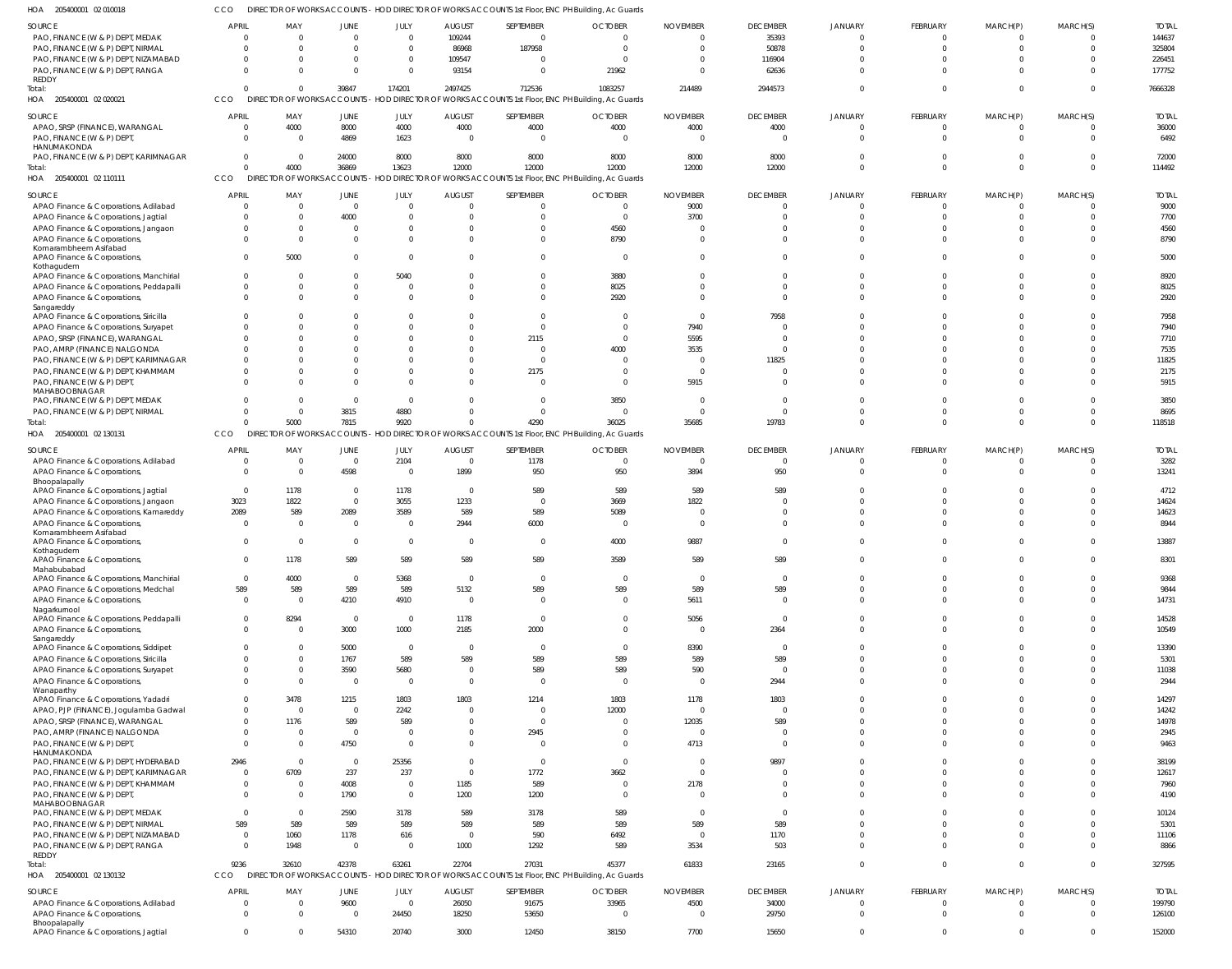CCO DIRECTOR OF WORKS ACCOUNTS - HOD DIRECTOR OF WORKS ACCOUNTS 1st Floor, ENC PH Building, Ac Guards

| HOA<br>205400001 02 010018                            | CCO                            | DIRECTOR OF WORKS ACCOUNTS - HOD DIRECTOR OF WORKS ACCOUNTS 1st Floor, ENC PH Building, Ac Guards |                          |                       |                |                |                                                                                                   |                        |                 |                |                |                |              |              |
|-------------------------------------------------------|--------------------------------|---------------------------------------------------------------------------------------------------|--------------------------|-----------------------|----------------|----------------|---------------------------------------------------------------------------------------------------|------------------------|-----------------|----------------|----------------|----------------|--------------|--------------|
| SOURCE                                                | <b>APRIL</b>                   | MAY                                                                                               | <b>JUNE</b>              | JULY                  | <b>AUGUST</b>  | SEPTEMBER      | <b>OCTOBER</b>                                                                                    | <b>NOVEMBER</b>        | <b>DECEMBER</b> | <b>JANUARY</b> | FEBRUARY       | MARCH(P)       | MARCH(S)     | <b>TOTAL</b> |
| PAO, FINANCE (W & P) DEPT, MEDAK                      | $\Omega$                       | $\Omega$                                                                                          | $\Omega$                 | $\mathbf 0$           | 109244         | $\mathbf{0}$   | $\Omega$                                                                                          | $\Omega$               | 35393           | $\Omega$       | $\overline{0}$ | $\Omega$       | $\Omega$     | 144637       |
| PAO, FINANCE (W & P) DEPT, NIRMAL                     | $\Omega$                       | $\Omega$                                                                                          | $\Omega$                 | $\mathbf{0}$          | 86968          | 187958         | $\Omega$                                                                                          | $\Omega$               | 50878           | $\Omega$       | $\Omega$       | $\Omega$       | $\Omega$     | 325804       |
| PAO, FINANCE (W & P) DEPT, NIZAMABAD                  | $\Omega$                       | $\Omega$                                                                                          | $\Omega$                 | $\mathbf{0}$          | 109547         | $\mathbf{0}$   | $\Omega$                                                                                          |                        | 116904          |                | $\Omega$       |                |              | 226451       |
| PAO, FINANCE (W & P) DEPT, RANGA                      | $\Omega$                       |                                                                                                   | $\Omega$                 | $\mathbf{0}$          | 93154          | $\Omega$       | 21962                                                                                             | $\Omega$               | 62636           | $\cap$         | $\Omega$       | $\cap$         | $\Omega$     | 177752       |
| REDDY                                                 |                                |                                                                                                   |                          |                       |                |                |                                                                                                   |                        |                 |                |                |                |              |              |
| Total:                                                | $\Omega$                       | $\Omega$                                                                                          | 39847                    | 174201                | 2497425        | 712536         | 1083257                                                                                           | 214489                 | 2944573         | $\Omega$       | $\Omega$       | $\Omega$       | $\Omega$     | 7666328      |
| HOA 205400001 02 020021                               | CCO                            |                                                                                                   |                          |                       |                |                | DIRECTOR OF WORKS ACCOUNTS - HOD DIRECTOR OF WORKS ACCOUNTS 1st Floor, ENC PH Building, Ac Guards |                        |                 |                |                |                |              |              |
| SOURCE                                                | <b>APRIL</b>                   | MAY                                                                                               | <b>JUNE</b>              | JULY                  | <b>AUGUST</b>  | SEPTEMBER      | <b>OCTOBER</b>                                                                                    | <b>NOVEMBER</b>        | <b>DECEMBER</b> | <b>JANUARY</b> | FEBRUARY       | MARCH(P)       | MARCH(S)     | <b>TOTAL</b> |
| APAO, SRSP (FINANCE), WARANGAL                        | $\overline{0}$                 | 4000                                                                                              | 8000                     | 4000                  | 4000           | 4000           | 4000                                                                                              | 4000                   | 4000            | $\Omega$       | $\overline{0}$ |                | $\Omega$     | 36000        |
| PAO, FINANCE (W & P) DEPT                             | $\mathbf{0}$                   | $\Omega$                                                                                          | 4869                     | 1623                  | $\overline{0}$ | $\overline{0}$ | $\Omega$                                                                                          | $\Omega$               | $\Omega$        | $\Omega$       | $\mathbf{0}$   | $\Omega$       | $\Omega$     | 6492         |
| HANUMAKONDA                                           |                                |                                                                                                   |                          |                       |                |                |                                                                                                   |                        |                 |                |                |                |              |              |
| PAO, FINANCE (W & P) DEPT, KARIMNAGAR                 | $\overline{0}$                 | $\Omega$                                                                                          | 24000                    | 8000                  | 8000           | 8000           | 8000                                                                                              | 8000                   | 8000            | $\Omega$       | $\Omega$       | - 0            | $\Omega$     | 72000        |
| Total:                                                | $\Omega$                       | 4000                                                                                              | 36869                    | 13623                 | 12000          | 12000          | 12000                                                                                             | 12000                  | 12000           | $\Omega$       | $\Omega$       | $\Omega$       | $\Omega$     | 114492       |
| HOA 205400001 02 110111                               | CCO                            |                                                                                                   |                          |                       |                |                | DIRECTOR OF WORKS ACCOUNTS - HOD DIRECTOR OF WORKS ACCOUNTS 1st Floor, ENC PH Building, Ac Guards |                        |                 |                |                |                |              |              |
|                                                       |                                |                                                                                                   |                          |                       |                |                |                                                                                                   |                        |                 |                |                |                |              |              |
| SOURCE                                                | <b>APRIL</b>                   | MAY                                                                                               | <b>JUNE</b>              | JULY                  | <b>AUGUST</b>  | SEPTEMBER      | <b>OCTOBER</b>                                                                                    | <b>NOVEMBER</b>        | <b>DECEMBER</b> | <b>JANUARY</b> | FEBRUARY       | MARCH(P)       | MARCH(S)     | <b>TOTAL</b> |
| APAO Finance & Corporations, Adilabad                 | $\overline{0}$                 | $\Omega$                                                                                          | $\overline{0}$           | $\mathbf{0}$          | $\Omega$       | $\overline{0}$ | $\Omega$                                                                                          | 9000                   | $\Omega$        | $\Omega$       | $\Omega$       | $\Omega$       | $\Omega$     | 9000         |
| APAO Finance & Corporations, Jagtial                  | $\Omega$                       | $\Omega$                                                                                          | 4000                     | $\Omega$              |                | $\mathbf 0$    | $\Omega$                                                                                          | 3700                   | $\Omega$        | $\cap$         | $\Omega$       | $\cap$         | $\Omega$     | 7700         |
| APAO Finance & Corporations, Jangaon                  | $\mathbf{0}$                   | $\Omega$                                                                                          | $\overline{0}$           | $\mathbf 0$           |                | $\mathbf 0$    | 4560                                                                                              | $\Omega$               | $\Omega$        | $\cap$         | $\Omega$       |                | $\Omega$     | 4560         |
| APAO Finance & Corporations,                          | $\Omega$                       | $\Omega$                                                                                          | $\Omega$                 | $\Omega$              |                | $\Omega$       | 8790                                                                                              | $\Omega$               | $\Omega$        | $\Omega$       | $\Omega$       | $\Omega$       | $\Omega$     | 8790         |
| Komarambheem Asifabad<br>APAO Finance & Corporations, | $\Omega$                       | 5000                                                                                              | $\Omega$                 | $\Omega$              |                | $\Omega$       | $\Omega$                                                                                          |                        | $\Omega$        |                | $\Omega$       |                |              | 5000         |
| Kothagudem                                            |                                |                                                                                                   |                          |                       |                |                |                                                                                                   |                        |                 |                |                |                |              |              |
| APAO Finance & Corporations, Manchirial               | $\overline{0}$                 |                                                                                                   | $\Omega$                 | 5040                  |                | $\mathbf 0$    | 3880                                                                                              | $\Omega$               | $\Omega$        |                | $\Omega$       |                | $\Omega$     | 8920         |
| APAO Finance & Corporations, Peddapalli               | $\mathbf 0$                    | $\Omega$                                                                                          | $\Omega$                 | $\mathbf{0}$          |                | $\mathbf 0$    | 8025                                                                                              | $\Omega$               | $\Omega$        | $\cap$         | $\Omega$       |                | $\Omega$     | 8025         |
| APAO Finance & Corporations,                          | $\Omega$                       | $\Omega$                                                                                          | $\Omega$                 | $\Omega$              |                | $\Omega$       | 2920                                                                                              | $\Omega$               | $\Omega$        | $\cap$         | $\Omega$       |                | $\Omega$     | 2920         |
| Sangareddy                                            |                                |                                                                                                   |                          |                       |                |                |                                                                                                   |                        |                 |                |                |                |              |              |
| APAO Finance & Corporations, Siricilla                | <sup>0</sup>                   |                                                                                                   | $\Omega$                 | $\Omega$              |                | $\Omega$       | $\Omega$                                                                                          | $\Omega$               | 7958            |                | $\Omega$       |                | $\Omega$     | 7958         |
| APAO Finance & Corporations, Suryapet                 | $\Omega$                       |                                                                                                   | $\Omega$                 | $\Omega$              |                | $\mathbf{0}$   | $\Omega$                                                                                          | 7940                   | $\cap$          | $\cap$         | $\Omega$       |                | $\Omega$     | 7940         |
| APAO, SRSP (FINANCE), WARANGAL                        | <sup>0</sup>                   | $\Omega$                                                                                          | $\Omega$                 | $\Omega$              |                | 2115           | $\Omega$                                                                                          | 5595                   | $\Omega$        | $\cap$         | $\Omega$       |                | $\Omega$     | 7710         |
| PAO, AMRP (FINANCE) NALGONDA                          | $\Omega$                       |                                                                                                   | $\Omega$                 | $\Omega$              |                | $\overline{0}$ | 4000                                                                                              | 3535                   | $\cap$          | $\cap$         | $\cap$         |                | $\Omega$     | 7535         |
| PAO, FINANCE (W & P) DEPT, KARIMNAGAR                 | $\Omega$                       |                                                                                                   | $\Omega$                 | $\Omega$              |                | $\mathbf{0}$   | $\Omega$                                                                                          | $\Omega$               | 11825           |                | $\cap$         |                |              | 11825        |
| PAO, FINANCE (W & P) DEPT, KHAMMAM                    | $\Omega$                       |                                                                                                   | $\Omega$                 | $\Omega$              |                | 2175           | $\Omega$                                                                                          | $\Omega$               | $\cap$          | $\Omega$       | $\Omega$       |                | $\Omega$     | 2175         |
| PAO, FINANCE (W & P) DEPT,                            | $\Omega$                       |                                                                                                   | $\Omega$                 | $\Omega$              |                | $\Omega$       | $\Omega$                                                                                          | 5915                   | $\Omega$        | $\cap$         | $\Omega$       |                | $\cap$       | 5915         |
| MAHABOOBNAGAR<br>PAO, FINANCE (W & P) DEPT, MEDAK     | $\Omega$                       |                                                                                                   | $\Omega$                 | $\overline{0}$        |                | $\Omega$       | 3850                                                                                              | $\Omega$               | $\Omega$        | $\cap$         | $\Omega$       |                | $\cap$       | 3850         |
| PAO, FINANCE (W & P) DEPT, NIRMAL                     | $\Omega$                       | $\Omega$                                                                                          | 3815                     | 4880                  |                | $\mathbf 0$    | $\Omega$                                                                                          | $\Omega$               | $\Omega$        | $\cap$         | $\Omega$       |                | $\Omega$     | 8695         |
| Total:                                                | $\cap$                         | 5000                                                                                              | 7815                     | 9920                  |                | 4290           | 36025                                                                                             | 35685                  | 19783           | $\Omega$       | $\Omega$       | $\cap$         | $\Omega$     | 118518       |
| 205400001 02 130131<br>HOA                            | CCO                            |                                                                                                   |                          |                       |                |                | DIRECTOR OF WORKS ACCOUNTS - HOD DIRECTOR OF WORKS ACCOUNTS 1st Floor, ENC PH Building, Ac Guards |                        |                 |                |                |                |              |              |
|                                                       |                                |                                                                                                   |                          |                       |                |                |                                                                                                   |                        |                 |                |                |                |              |              |
| SOURCE                                                | <b>APRIL</b>                   | MAY                                                                                               | <b>JUNE</b>              | JULY                  | <b>AUGUST</b>  | SEPTEMBER      | <b>OCTOBER</b>                                                                                    | <b>NOVEMBER</b>        | <b>DECEMBER</b> | <b>JANUARY</b> | FEBRUARY       | MARCH(P)       | MARCH(S)     | <b>TOTAL</b> |
| APAO Finance & Corporations, Adilabad                 | $\overline{0}$                 | 0                                                                                                 | $\overline{0}$           | 2104                  | $\Omega$       | 1178           | $\Omega$                                                                                          | $\overline{0}$         | $\Omega$        | $\Omega$       | $\overline{0}$ | - 0            | $\mathbf{0}$ | 3282         |
| APAO Finance & Corporations,                          | $\mathbf{0}$                   | $\Omega$                                                                                          | 4598                     | $\overline{0}$        | 1899           | 950            | 950                                                                                               | 3894                   | 950             | $\Omega$       | $\Omega$       | $\cap$         | $\Omega$     | 13241        |
| Bhoopalapally                                         |                                |                                                                                                   |                          |                       |                |                |                                                                                                   |                        |                 |                |                |                |              |              |
| APAO Finance & Corporations, Jagtial                  | $\overline{0}$                 | 1178                                                                                              | $\Omega$                 | 1178                  | $\Omega$       | 589            | 589                                                                                               | 589                    | 589             |                | $\Omega$       |                | $\Omega$     | 4712         |
| APAO Finance & Corporations, Jangaon                  | 3023                           | 1822                                                                                              | $\overline{0}$           | 3055                  | 1233           | $\overline{0}$ | 3669                                                                                              | 1822                   | $\cap$          | $\cap$         | $\Omega$       |                | $\Omega$     | 14624        |
| APAO Finance & Corporations, Kamareddy                | 2089                           | 589                                                                                               | 2089                     | 3589                  | 589            | 589            | 5089                                                                                              | $\sqrt{ }$             | $\Omega$        |                | $\Omega$       |                | $\Omega$     | 14623        |
| APAO Finance & Corporations,<br>Komarambheem Asifabad | $\Omega$                       | 0                                                                                                 | $\overline{0}$           | $\overline{0}$        | 2944           | 6000           | - 0                                                                                               |                        | $\Omega$        |                | $\Omega$       |                | $\Omega$     | 8944         |
| APAO Finance & Corporations,                          | $\overline{0}$                 | $\Omega$                                                                                          | $\overline{0}$           | $\overline{0}$        | $\Omega$       | $\overline{0}$ | 4000                                                                                              | 9887                   | $\Omega$        | $\Omega$       | $\Omega$       | $\Omega$       | $\Omega$     | 13887        |
| Kothagudem                                            |                                |                                                                                                   |                          |                       |                |                |                                                                                                   |                        |                 |                |                |                |              |              |
| APAO Finance & Corporations,                          | $\overline{0}$                 | 1178                                                                                              | 589                      | 589                   | 589            | 589            | 3589                                                                                              | 589                    | 58              |                |                |                |              | 8301         |
| Mahabubabad                                           |                                |                                                                                                   | $\Omega$                 | 5368                  | $\overline{0}$ | $\overline{0}$ | $\overline{0}$                                                                                    | $\overline{0}$         | $\Omega$        | $\Omega$       | $\Omega$       | $\Omega$       |              |              |
| APAO Finance & Corporations, Manchirial               | $\overline{0}$                 | 4000                                                                                              |                          |                       |                |                |                                                                                                   |                        |                 |                |                |                |              | 9368         |
| APAO Finance & Corporations, Medchal                  | 589                            |                                                                                                   |                          |                       |                |                |                                                                                                   |                        |                 |                |                |                | $\Omega$     |              |
| APAO Finance & Corporations,<br>Nagarkurnool          |                                | 589                                                                                               | 589                      | 589                   | 5132           | 589            | 589                                                                                               | 589                    | 589             | $\Omega$       | $\Omega$       | $\Omega$       | $\Omega$     | 9844         |
| APAO Finance & Corporations, Peddapalli               | $\overline{0}$                 | $\overline{0}$                                                                                    | 4210                     | 4910                  | $\overline{0}$ | $\overline{0}$ | $\overline{0}$                                                                                    | 5611                   | $\Omega$        | $\Omega$       | $\mathbf{0}$   | $\Omega$       | $\Omega$     | 14731        |
|                                                       |                                |                                                                                                   |                          |                       |                |                | $\Omega$                                                                                          |                        | $\Omega$        | $\Omega$       | $\mathbf 0$    | $\Omega$       | $\mathbf{0}$ |              |
|                                                       | $\overline{0}$<br>$\mathbf{0}$ | 8294<br>$\Omega$                                                                                  | $\overline{\mathbf{0}}$  | $\overline{0}$        | 1178           | $\overline{0}$ | $\Omega$                                                                                          | 5056<br>$\overline{0}$ |                 | $\Omega$       | $\Omega$       | $\Omega$       | $\Omega$     | 14528        |
| APAO Finance & Corporations,<br>Sangareddy            |                                |                                                                                                   | 3000                     | 1000                  | 2185           | 2000           |                                                                                                   |                        | 2364            |                |                |                |              | 10549        |
| APAO Finance & Corporations, Siddipet                 | $\mathbf 0$                    | 0                                                                                                 | 5000                     | $\overline{0}$        | $\Omega$       | $\overline{0}$ | $\overline{0}$                                                                                    | 8390                   | $\Omega$        | $\Omega$       | $\Omega$       | $\Omega$       | $\Omega$     | 13390        |
| APAO Finance & Corporations, Siricilla                | $\Omega$                       | $\Omega$                                                                                          | 1767                     | 589                   | 589            | 589            | 589                                                                                               | 589                    | 589             | $\Omega$       | $\Omega$       | $\Omega$       | $\Omega$     | 5301         |
| APAO Finance & Corporations, Suryapet                 | $\mathbf 0$                    | $\mathbf 0$                                                                                       | 3590                     | 5680                  | $\Omega$       | 589            | 589                                                                                               | 590                    | $\Omega$        | $\Omega$       | $\Omega$       | $\Omega$       | $\Omega$     | 11038        |
| APAO Finance & Corporations,                          | $\Omega$                       | $\mathbf 0$                                                                                       | $\overline{\phantom{0}}$ | $\overline{0}$        | $\Omega$       | $\overline{0}$ | $\overline{0}$                                                                                    | $\overline{0}$         | 2944            | $\Omega$       | $\Omega$       | $\Omega$       | $\Omega$     | 2944         |
| Wanaparthy                                            |                                |                                                                                                   |                          |                       |                |                |                                                                                                   |                        |                 |                |                |                |              |              |
| APAO Finance & Corporations, Yadadri                  | $\overline{0}$                 | 3478                                                                                              | 1215                     | 1803                  | 1803           | 1214           | 1803                                                                                              | 1178                   | 1803            | $\Omega$       | $\Omega$       | $\cap$         | $\Omega$     | 14297        |
| APAO, PJP (FINANCE), Jogulamba Gadwal                 | $\mathbf{0}$                   | $\Omega$                                                                                          | $\overline{0}$           | 2242                  | $\Omega$       | $\overline{0}$ | 12000                                                                                             | $\overline{0}$         | $\Omega$        | $\Omega$       | $\Omega$       | $\cap$         | $\Omega$     | 14242        |
| APAO, SRSP (FINANCE), WARANGAL                        | $\mathbf{0}$                   | 1176                                                                                              | 589                      | 589                   | $\Omega$       | $\overline{0}$ | $\Omega$                                                                                          | 12035                  | 589             | $\Omega$       | $\Omega$       | $\Omega$       | $\Omega$     | 14978        |
| PAO, AMRP (FINANCE) NALGONDA                          | $\mathbf 0$                    | $\mathbf 0$                                                                                       | $\overline{\mathbf{0}}$  | $\overline{0}$        | $\Omega$       | 2945           | $\Omega$                                                                                          | $\overline{0}$         | $\Omega$        | $\Omega$       | $\Omega$       | $\Omega$       | $\Omega$     | 2945         |
| PAO, FINANCE (W & P) DEPT,                            | $\Omega$                       | $\Omega$                                                                                          | 4750                     | $\mathbf{0}$          | $\Omega$       | $\overline{0}$ | $\Omega$                                                                                          | 4713                   | $\Omega$        | $\Omega$       | $\Omega$       | $\Omega$       | $\Omega$     | 9463         |
| HANUMAKONDA<br>PAO, FINANCE (W & P) DEPT, HYDERABAD   | 2946                           | $\Omega$                                                                                          | $\overline{\mathbf{0}}$  | 25356                 | $\Omega$       | $\overline{0}$ | $\overline{0}$                                                                                    | $\Omega$               | 9897            | $\Omega$       | $\Omega$       | $\Omega$       | $\Omega$     | 38199        |
|                                                       |                                |                                                                                                   |                          |                       | $\Omega$       |                |                                                                                                   | $\Omega$               | $\Omega$        | $\Omega$       | $\Omega$       | $\cap$         | $\Omega$     |              |
| PAO, FINANCE (W & P) DEPT, KARIMNAGAR                 | $\overline{0}$<br>$\mathbf{0}$ | 6709<br>$\mathbf 0$                                                                               | 237<br>4008              | 237<br>$\overline{0}$ |                | 1772           | 3662<br>$\overline{0}$                                                                            |                        | $\Omega$        | $\Omega$       | $\Omega$       | $\Omega$       | $\Omega$     | 12617        |
| PAO, FINANCE (W & P) DEPT, KHAMMAM                    | $\mathbf{0}$                   | $\Omega$                                                                                          | 1790                     | $\overline{0}$        | 1185           | 589            | $\overline{0}$                                                                                    | 2178<br>$\Omega$       | $\Omega$        | $\Omega$       | $\Omega$       | $\Omega$       | $\Omega$     | 7960         |
| PAO, FINANCE (W & P) DEPT,<br>MAHABOOBNAGAR           |                                |                                                                                                   |                          |                       | 1200           | 1200           |                                                                                                   |                        |                 |                |                |                |              | 4190         |
| PAO, FINANCE (W & P) DEPT, MEDAK                      | $\overline{0}$                 | $\mathbf 0$                                                                                       | 2590                     | 3178                  | 589            | 3178           | 589                                                                                               | $\Omega$               | $\Omega$        | $\Omega$       | $\Omega$       | $\Omega$       | $\Omega$     | 10124        |
| PAO, FINANCE (W & P) DEPT, NIRMAL                     | 589                            | 589                                                                                               | 589                      | 589                   | 589            | 589            | 589                                                                                               | 589                    | 589             | $\Omega$       | $\Omega$       | $\Omega$       | $\Omega$     | 5301         |
| PAO, FINANCE (W & P) DEPT, NIZAMABAD                  | $\overline{0}$                 | 1060                                                                                              | 1178                     | 616                   | $\Omega$       | 590            | 6492                                                                                              | $\overline{0}$         | 1170            | $\Omega$       | $\Omega$       | $\Omega$       | $\Omega$     | 11106        |
| PAO, FINANCE (W & P) DEPT, RANGA                      | $\mathbf{0}$                   | 1948                                                                                              | $\overline{\mathbf{0}}$  | $\overline{0}$        | 1000           | 1292           | 589                                                                                               | 3534                   | 503             | $\Omega$       | $\Omega$       | $\Omega$       | $\Omega$     | 8866         |
| REDDY                                                 |                                |                                                                                                   |                          |                       |                |                |                                                                                                   |                        |                 |                |                |                |              |              |
| Total:                                                | 9236                           | 32610                                                                                             | 42378                    | 63261                 | 22704          | 27031          | 45377                                                                                             | 61833                  | 23165           | $\Omega$       | $\Omega$       | $\Omega$       | $\mathbf{0}$ | 327595       |
| HOA 205400001 02 130132                               | CCO                            |                                                                                                   |                          |                       |                |                | DIRECTOR OF WORKS ACCOUNTS - HOD DIRECTOR OF WORKS ACCOUNTS 1st Floor, ENC PH Building, Ac Guards |                        |                 |                |                |                |              |              |
| SOURCE                                                | <b>APRIL</b>                   | MAY                                                                                               | JUNE                     | JULY                  | <b>AUGUST</b>  | SEPTEMBER      | <b>OCTOBER</b>                                                                                    | <b>NOVEMBER</b>        | <b>DECEMBER</b> | <b>JANUARY</b> | FEBRUARY       | MARCH(P)       | MARCH(S)     | <b>TOTAL</b> |
| APAO Finance & Corporations, Adilabad                 | $\overline{0}$                 |                                                                                                   | 9600                     | $\overline{0}$        | 26050          | 91675          | 33965                                                                                             | 4500                   | 34000           | $\Omega$       | $\Omega$       | $\Omega$       | $\Omega$     | 199790       |
| APAO Finance & Corporations,                          | $\Omega$                       | $\Omega$                                                                                          | $\overline{0}$           | 24450                 | 18250          | 53650          | $\Omega$                                                                                          | $\Omega$               | 29750           | $\Omega$       | $\Omega$       | $\Omega$       | $\Omega$     | 126100       |
| Bhoopalapally<br>APAO Finance & Corporations, Jagtial | $\mathbf{0}$                   | $\Omega$                                                                                          | 54310                    | 20740                 | 3000           | 12450          | 38150                                                                                             | 7700                   | 15650           | $\overline{0}$ | $\mathbf{0}$   | $\overline{0}$ | $\mathbf 0$  | 152000       |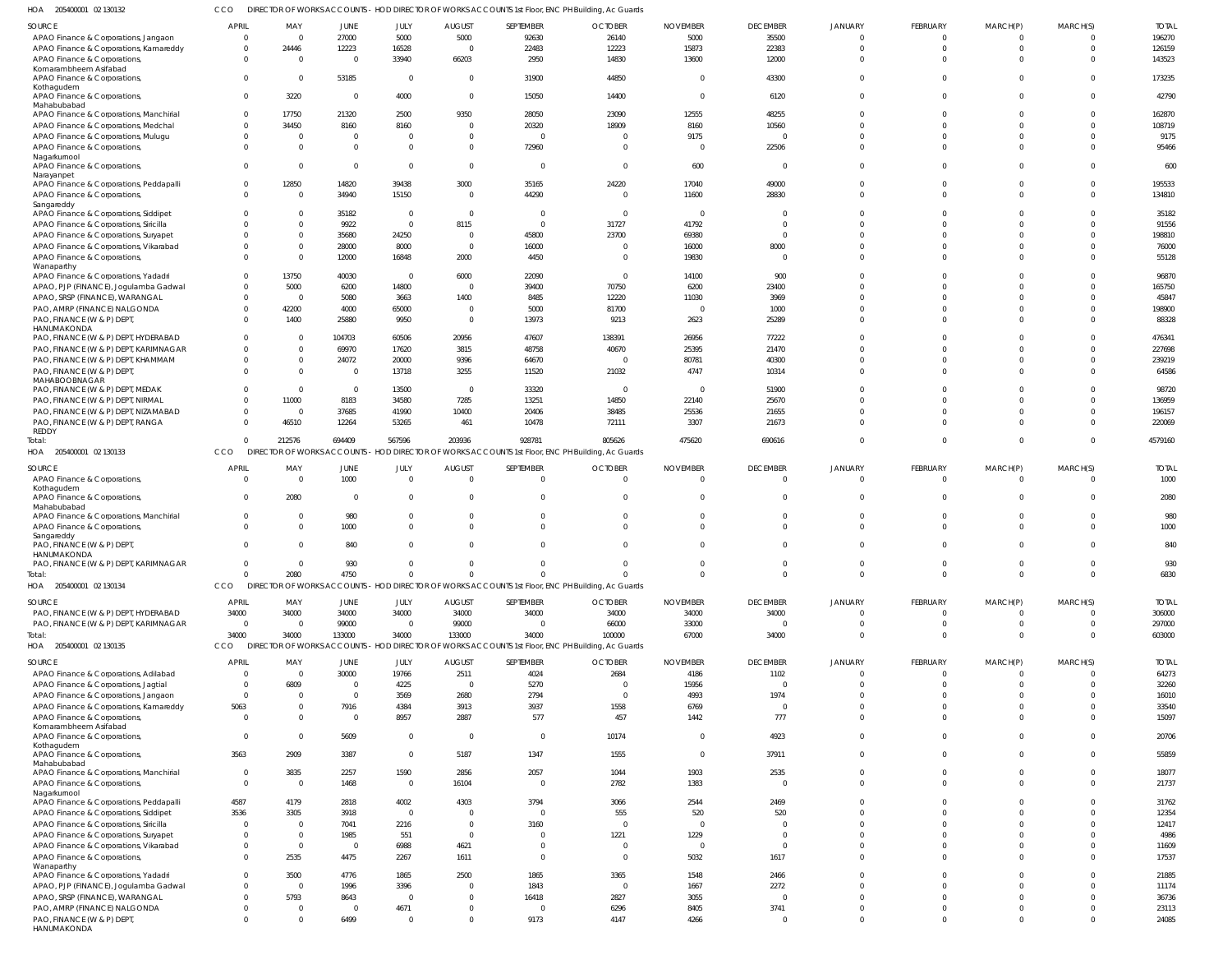205400001 02 130132 HOA CCO DIRECTOR OF WORKS ACCOUNTS - HOD DIRECTOR OF WORKS ACCOUNTS 1st Floor, ENC PH Building, Ac Guards

| SOURCE                                                 | <b>APRIL</b>            | MAY                      | JUNE           | JULY           | <b>AUGUST</b>  | SEPTEMBER               | <b>OCTOBER</b>                                                                                    | <b>NOVEMBER</b>          | <b>DECEMBER</b> | <b>JANUARY</b> | FEBRUARY        | MARCH(P)   | MARCH(S) | <b>TOTAL</b> |
|--------------------------------------------------------|-------------------------|--------------------------|----------------|----------------|----------------|-------------------------|---------------------------------------------------------------------------------------------------|--------------------------|-----------------|----------------|-----------------|------------|----------|--------------|
| APAO Finance & Corporations, Jangaon                   | $\overline{0}$          | $\Omega$                 | 27000          | 5000           | 5000           | 92630                   | 26140                                                                                             | 5000                     | 35500           |                |                 |            |          | 196270       |
| APAO Finance & Corporations, Kamareddy                 | $\overline{0}$          | 24446                    | 12223          | 16528          | $\overline{0}$ | 22483                   | 12223                                                                                             | 15873                    | 22383           | $\Omega$       | $\Omega$        | $\Omega$   | $\Omega$ | 126159       |
| APAO Finance & Corporations,                           | $\Omega$                | - 0                      | $\Omega$       | 33940          | 66203          | 2950                    | 14830                                                                                             | 13600                    | 12000           | $\Omega$       |                 |            |          | 143523       |
| Komarambheem Asifabad                                  |                         |                          |                |                |                |                         |                                                                                                   |                          |                 |                |                 |            |          |              |
| APAO Finance & Corporations,<br>Kothagudem             | $\Omega$                | - 0                      | 53185          | $\overline{0}$ | $\overline{0}$ | 31900                   | 44850                                                                                             | $\Omega$                 | 43300           | $\Omega$       |                 |            |          | 173235       |
| APAO Finance & Corporations,                           | $\overline{0}$          | 3220                     | $\Omega$       | 4000           | $\Omega$       | 15050                   | 14400                                                                                             | $\Omega$                 | 6120            | $\Omega$       | U               |            |          | 42790        |
| Mahabubabad<br>APAO Finance & Corporations, Manchirial | $\Omega$                | 17750                    | 21320          | 2500           | 9350           | 28050                   | 23090                                                                                             | 12555                    | 48255           |                |                 |            |          | 162870       |
|                                                        | $\mathbf{0}$            |                          | 8160           | 8160           | $\Omega$       | 20320                   | 18909                                                                                             | 8160                     | 10560           | $\Omega$       |                 |            |          | 108719       |
| APAO Finance & Corporations, Medchal                   |                         | 34450                    |                |                |                |                         |                                                                                                   |                          |                 |                |                 |            |          |              |
| APAO Finance & Corporations, Muluqu                    | $\overline{0}$          | $\Omega$                 | $\Omega$       |                | $\Omega$       | $\Omega$                | $\overline{0}$                                                                                    | 9175                     | $\Omega$        | $\Omega$       |                 |            |          | 9175         |
| APAO Finance & Corporations,                           | $\Omega$                | $\Omega$                 | $\Omega$       | $\Omega$       | $\Omega$       | 72960                   | $\Omega$                                                                                          | $\sqrt{ }$               | 22506           | $\Omega$       |                 |            |          | 95466        |
| Nagarkurnool<br>APAO Finance & Corporations,           | $\Omega$                | $\Omega$                 | $\Omega$       | $\Omega$       | $\Omega$       | $\Omega$                | $\Omega$                                                                                          | 600                      | $\Omega$        | $\Omega$       |                 |            |          | 600          |
| Narayanpet<br>APAO Finance & Corporations, Peddapalli  | $\overline{0}$          | 12850                    | 14820          | 39438          | 3000           | 35165                   | 24220                                                                                             | 17040                    | 49000           | $\Omega$       |                 |            |          | 195533       |
| APAO Finance & Corporations,                           | $\Omega$                | $\Omega$                 | 34940          | 15150          | $\Omega$       | 44290                   | $\Omega$                                                                                          | 11600                    | 28830           | $\Omega$       |                 |            |          | 134810       |
| Sangareddy                                             |                         |                          |                |                |                |                         |                                                                                                   |                          |                 |                |                 |            |          |              |
| APAO Finance & Corporations, Siddipet                  | $\Omega$                | $\Omega$                 | 35182          | - 0            | $\Omega$       | $\Omega$                | $\overline{0}$                                                                                    | $\overline{0}$           | $\Omega$        |                |                 |            |          | 35182        |
| APAO Finance & Corporations, Siricilla                 | $\Omega$                | $\Omega$                 | 9922           | $\Omega$       | 8115           | $\Omega$                | 31727                                                                                             | 41792                    | $\Omega$        | $\Omega$       |                 |            |          | 91556        |
| APAO Finance & Corporations, Suryapet                  | $\Omega$                | $\Omega$                 | 35680          | 24250          | $\Omega$       | 45800                   | 23700                                                                                             | 69380                    | $\Omega$        | $\Omega$       |                 |            |          | 198810       |
| APAO Finance & Corporations, Vikarabad                 | $\Omega$                | $\Omega$                 | 28000          | 8000           | $\Omega$       | 16000                   | $\Omega$                                                                                          | 16000                    | 8000            | $\Omega$       |                 |            |          | 76000        |
| APAO Finance & Corporations,                           | $\Omega$                | $\Omega$                 | 12000          | 16848          | 2000           | 4450                    | $\Omega$                                                                                          | 19830                    | $\Omega$        | $\Omega$       |                 |            |          | 55128        |
| Wanaparthy                                             |                         |                          |                |                |                |                         |                                                                                                   |                          |                 |                |                 |            |          |              |
| APAO Finance & Corporations, Yadadri                   | $\Omega$                | 13750                    | 40030          | $\Omega$       | 6000           | 22090                   | $\Omega$                                                                                          | 14100                    | 900             | $\Omega$       |                 |            |          | 96870        |
| APAO, PJP (FINANCE), Jogulamba Gadwal                  | $\Omega$                | 5000                     | 6200           | 14800          | $\Omega$       | 39400                   | 70750                                                                                             | 6200                     | 23400           |                |                 |            |          | 165750       |
| APAO, SRSP (FINANCE), WARANGAL                         | $\Omega$                | $\Omega$                 | 5080           | 3663           | 1400           | 8485                    | 12220                                                                                             | 11030                    | 3969            | $\Omega$       |                 |            |          | 45847        |
| PAO, AMRP (FINANCE) NALGONDA                           | $\Omega$                |                          |                | 65000          | $\Omega$       | 5000                    | 81700                                                                                             | $\sqrt{ }$               |                 | $\Omega$       |                 |            |          | 198900       |
|                                                        |                         | 42200                    | 4000           |                |                |                         |                                                                                                   |                          | 1000            |                |                 |            |          |              |
| PAO, FINANCE (W & P) DEPT,<br>HANUMAKONDA              | $\Omega$                | 1400                     | 25880          | 9950           | $\Omega$       | 13973                   | 9213                                                                                              | 2623                     | 25289           | $\Omega$       |                 |            |          | 88328        |
| PAO, FINANCE (W & P) DEPT, HYDERABAD                   | $\Omega$                | - 0                      | 104703         | 60506          | 20956          | 47607                   | 138391                                                                                            | 26956                    | 77222           | $\Omega$       |                 |            |          | 476341       |
| PAO, FINANCE (W & P) DEPT, KARIMNAGAR                  | $\Omega$                | $\Omega$                 | 69970          | 17620          | 3815           | 48758                   | 40670                                                                                             | 25395                    | 21470           | $\Omega$       |                 |            |          | 227698       |
| PAO, FINANCE (W & P) DEPT, KHAMMAM                     | $\Omega$                | $\Omega$                 | 24072          | 20000          | 9396           | 64670                   | $\overline{0}$                                                                                    | 80781                    | 40300           | $\Omega$       |                 |            |          | 239219       |
| PAO, FINANCE (W & P) DEPT,                             | $\Omega$                | $\Omega$                 | $\overline{0}$ | 13718          | 3255           | 11520                   | 21032                                                                                             | 4747                     | 10314           | $\Omega$       |                 |            |          | 64586        |
| MAHABOOBNAGAR                                          |                         |                          |                |                |                |                         |                                                                                                   |                          |                 |                |                 |            |          |              |
| PAO, FINANCE (W & P) DEPT, MEDAK                       | $\Omega$                | $\overline{\mathbf{0}}$  | $\overline{0}$ | 13500          | $\mathbf{0}$   | 33320                   | $\overline{\phantom{0}}$                                                                          | $\overline{\phantom{0}}$ | 51900           | $\Omega$       |                 |            |          | 98720        |
| PAO, FINANCE (W & P) DEPT, NIRMAL                      | $\Omega$                | 11000                    | 8183           | 34580          | 7285           | 13251                   | 14850                                                                                             | 22140                    | 25670           | $\Omega$       |                 |            |          | 136959       |
| PAO, FINANCE (W & P) DEPT, NIZAMABAD                   | $\Omega$                | $\overline{\phantom{0}}$ | 37685          | 41990          | 10400          | 20406                   | 38485                                                                                             | 25536                    | 21655           | $\cap$         |                 |            |          | 196157       |
| PAO, FINANCE (W & P) DEPT, RANGA                       | $\Omega$                | 46510                    | 12264          | 53265          | 461            | 10478                   | 72111                                                                                             | 3307                     | 21673           | $\Omega$       |                 |            |          | 220069       |
| <b>REDDY</b>                                           |                         |                          |                |                |                |                         |                                                                                                   |                          |                 |                |                 |            |          |              |
| Total:                                                 | $\Omega$                | 212576                   | 694409         | 567596         | 203936         | 928781                  | 805626                                                                                            | 475620                   | 690616          | $\Omega$       | $\Omega$        | $\Omega$   | $\Omega$ | 4579160      |
| HOA 205400001 02 130133                                | CCO                     |                          |                |                |                |                         | DIRECTOR OF WORKS ACCOUNTS - HOD DIRECTOR OF WORKS ACCOUNTS 1st Floor, ENC PH Building, Ac Guards |                          |                 |                |                 |            |          |              |
| SOURCE                                                 | <b>APRIL</b>            | MAY                      | JUNE           | <b>JULY</b>    | <b>AUGUST</b>  | SEPTEMBER               | <b>OCTOBER</b>                                                                                    | <b>NOVEMBER</b>          | <b>DECEMBER</b> | <b>JANUARY</b> | FEBRUARY        | MARCH(P)   | MARCH(S) | <b>TOTAI</b> |
| APAO Finance & Corporations,                           | $\Omega$                | $\overline{\mathbf{0}}$  | 1000           | $\Omega$       | $\overline{0}$ | $\Omega$                | $\overline{0}$                                                                                    | $\Omega$                 | $\Omega$        | $\Omega$       | $\Omega$        | $\Omega$   | $\Omega$ | 1000         |
| Kothagudem                                             |                         |                          |                |                |                |                         |                                                                                                   |                          |                 |                |                 |            |          |              |
| APAO Finance & Corporations,                           | $\Omega$                | 2080                     | $\Omega$       | $\Omega$       | $\mathbf{0}$   | $\Omega$                | $\overline{0}$                                                                                    | $\Omega$                 | $\Omega$        | $\Omega$       |                 |            |          | 2080         |
| Mahabubabad                                            |                         |                          |                |                |                |                         |                                                                                                   |                          |                 |                |                 |            |          |              |
| APAO Finance & Corporations, Manchirial                | $\mathbf{0}$            | 0                        | 980            | - 0            | 0              | $\Omega$                | $\Omega$                                                                                          | $\Omega$                 | $\Omega$        | $\Omega$       |                 |            | $\Omega$ | 980          |
| APAO Finance & Corporations,                           | $\Omega$                | $\Omega$                 | 1000           |                | $\Omega$       | $\Omega$                | $\Omega$                                                                                          | $\Omega$                 | $\Omega$        | $\Omega$       |                 |            | $\Omega$ | 1000         |
| Sangareddy                                             | $\Omega$                | - 0                      | 840            | $\Omega$       | $\Omega$       | $\Omega$                | $\Omega$                                                                                          | $\cup$                   | $\Omega$        | $\Omega$       |                 |            |          | 840          |
| PAO, FINANCE (W & P) DEPT,<br>HANUMAKONDA              |                         |                          |                |                |                |                         |                                                                                                   |                          |                 |                |                 |            |          |              |
| PAO, FINANCE (W & P) DEPT, KARIMNAGAR                  | 0                       | - 0                      | 930            |                |                |                         |                                                                                                   |                          |                 |                |                 |            |          | 930          |
| Total:                                                 | $\Omega$                | 2080                     | 4750           |                | $\Omega$       | $\Omega$                | $\Omega$                                                                                          | $\Omega$                 | $\Omega$        | $\Omega$       | $\Omega$        | $\Omega$   | $\Omega$ | 6830         |
| HOA 205400001 02 130134                                | CCO                     |                          |                |                |                |                         | DIRECTOR OF WORKS ACCOUNTS - HOD DIRECTOR OF WORKS ACCOUNTS 1st Floor, ENC PH Building, Ac Guards |                          |                 |                |                 |            |          |              |
|                                                        |                         |                          |                |                |                |                         |                                                                                                   |                          |                 |                |                 |            |          |              |
| SOURCE                                                 | <b>APRIL</b>            | MAY                      | JUNE           | JULY           | <b>AUGUST</b>  | SEPTEMBER               | <b>OCTOBER</b>                                                                                    | <b>NOVEMBER</b>          | <b>DECEMBER</b> | <b>JANUARY</b> | <b>FEBRUARY</b> | MARCH(P)   | MARCH(S) | <b>TOTAL</b> |
| PAO, FINANCE (W & P) DEPT, HYDERABAD                   | 34000                   | 34000                    | 34000          | 34000          | 34000          | 34000                   | 34000                                                                                             | 34000                    | 34000           | $\Omega$       | $\mathbf 0$     | $^{\circ}$ | $\Omega$ | 306000       |
| PAO, FINANCE (W & P) DEPT, KARIMNAGAR                  | $\Omega$                | $\overline{\mathbf{0}}$  | 99000          | $\Omega$       | 99000          | $\Omega$                | 66000                                                                                             | 33000                    | $\Omega$        | $\Omega$       | $\Omega$        | $\Omega$   | $\Omega$ | 297000       |
| Total:                                                 | 34000                   | 34000                    | 133000         | 34000          | 133000         | 34000                   | 100000                                                                                            | 67000                    | 34000           | $\Omega$       | $\Omega$        | $\Omega$   | $\Omega$ | 603000       |
| HOA 205400001 02 130135                                | CCO                     |                          |                |                |                |                         | DIRECTOR OF WORKS ACCOUNTS - HOD DIRECTOR OF WORKS ACCOUNTS 1st Floor, ENC PH Building, Ac Guards |                          |                 |                |                 |            |          |              |
|                                                        |                         |                          |                |                |                |                         |                                                                                                   |                          |                 |                |                 |            |          |              |
| <b>SOURCE</b>                                          | APRIL                   | MAY                      | JUNE           | JULY           | <b>AUGUST</b>  | SEPTEMBER               | <b>OCTOBER</b>                                                                                    | <b>NOVEMBER</b>          | <b>DECEMBER</b> | <b>JANUARY</b> | FEBRUARY        | MARCH(P)   | MARCH(S) | <b>TOTAL</b> |
| APAO Finance & Corporations, Adilabad                  | $\overline{\mathbf{0}}$ | $\overline{\mathbf{0}}$  | 30000          | 19766          | 2511           | 4024                    | 2684                                                                                              | 4186                     | 1102            | $\Omega$       | $\Omega$        |            |          | 64273        |
| APAO Finance & Corporations, Jagtial                   | $\overline{0}$          | 6809                     | $\overline{0}$ | 4225           | $\overline{0}$ | 5270                    | $\overline{0}$                                                                                    | 15956                    | $\Omega$        | $\Omega$       | $\Omega$        | $\Omega$   | $\Omega$ | 32260        |
| APAO Finance & Corporations, Jangaon                   | $\overline{0}$          | $\overline{\mathbf{0}}$  | $\overline{0}$ | 3569           | 2680           | 2794                    | $\overline{0}$                                                                                    | 4993                     | 1974            | $\Omega$       |                 |            | $\Omega$ | 16010        |
| APAO Finance & Corporations, Kamareddy                 | 5063                    | $\overline{0}$           | 7916           | 4384           | 3913           | 3937                    | 1558                                                                                              | 6769                     | $\Omega$        | $\Omega$       |                 |            | $\Omega$ | 33540        |
| APAO Finance & Corporations,                           | $\overline{0}$          | $\Omega$                 | $\overline{0}$ | 8957           | 2887           | 577                     | 457                                                                                               | 1442                     | 777             | $\Omega$       | $\Omega$        |            | $\Omega$ | 15097        |
| Komarambheem Asifabad                                  |                         |                          |                |                |                |                         |                                                                                                   |                          |                 |                |                 |            |          |              |
| APAO Finance & Corporations,                           | $\overline{0}$          | - 0                      | 5609           | $\Omega$       | $\overline{0}$ | $\overline{\mathbf{0}}$ | 10174                                                                                             | $\overline{0}$           | 4923            | $\Omega$       | $\Omega$        |            | $\Omega$ | 20706        |
| Kothagudem<br>APAO Finance & Corporations,             | 3563                    | 2909                     | 3387           | $\Omega$       | 5187           | 1347                    | 1555                                                                                              | $\overline{0}$           | 37911           | $\Omega$       |                 |            | $\Omega$ | 55859        |
| Mahabubabad                                            |                         |                          |                |                |                |                         |                                                                                                   |                          |                 |                |                 |            |          |              |
| APAO Finance & Corporations, Manchirial                | $\overline{0}$          | 3835                     | 2257           | 1590           | 2856           | 2057                    | 1044                                                                                              | 1903                     | 2535            | $\Omega$       | $\Omega$        | $\Omega$   | $\Omega$ | 18077        |
| APAO Finance & Corporations,                           | $\overline{0}$          | $\overline{\mathbf{0}}$  | 1468           | $\overline{0}$ | 16104          | $\overline{0}$          | 2782                                                                                              | 1383                     | $\Omega$        | $\Omega$       | $\Omega$        |            | $\Omega$ | 21737        |
| Nagarkurnool                                           |                         |                          |                |                |                |                         |                                                                                                   |                          |                 |                |                 |            |          |              |
| APAO Finance & Corporations, Peddapalli                | 4587                    | 4179                     | 2818           | 4002           | 4303           | 3794                    | 3066                                                                                              | 2544                     | 2469            | $\Omega$       |                 |            | $\Omega$ | 31762        |
| APAO Finance & Corporations, Siddipet                  | 3536                    | 3305                     | 3918           | $\Omega$       | $\overline{0}$ | $\Omega$                | 555                                                                                               | 520                      | 520             | $\Omega$       |                 |            | $\Omega$ | 12354        |
| APAO Finance & Corporations, Siricilla                 | $\overline{0}$          | $\overline{\mathbf{0}}$  | 7041           | 2216           | $\overline{0}$ | 3160                    | $\overline{\phantom{0}}$                                                                          | $\overline{0}$           | $\Omega$        | $\Omega$       |                 |            | $\Omega$ | 12417        |
| APAO Finance & Corporations, Suryapet                  | $\overline{0}$          | $\overline{\mathbf{0}}$  | 1985           | 551            | $\overline{0}$ | $\Omega$                | 1221                                                                                              | 1229                     | $\Omega$        | $\Omega$       |                 |            | $\Omega$ | 4986         |
| APAO Finance & Corporations, Vikarabad                 | $\overline{0}$          | $\overline{\mathbf{0}}$  | $\overline{0}$ | 6988           | 4621           | $\Omega$                | $\overline{0}$                                                                                    | $\overline{0}$           | $\Omega$        | $\Omega$       |                 |            | $\Omega$ | 11609        |
| APAO Finance & Corporations,                           | $\Omega$                | 2535                     | 4475           | 2267           | 1611           | $\Omega$                | $\overline{0}$                                                                                    | 5032                     | 1617            | $\Omega$       | $\Omega$        |            |          | 17537        |
| Wanaparthy                                             |                         |                          |                |                |                |                         |                                                                                                   |                          |                 |                |                 |            |          |              |
| APAO Finance & Corporations, Yadadri                   |                         | 3500                     | 4776           | 1865           | 2500           | 1865                    | 3365                                                                                              | 1548                     | 2466            | $\Omega$       | $\Omega$        |            | $\Omega$ | 21885        |
|                                                        | $\mathbf{0}$            |                          |                |                |                |                         |                                                                                                   |                          |                 |                |                 |            |          |              |
| APAO, PJP (FINANCE), Jogulamba Gadwal                  | $\overline{0}$          | $\overline{\mathbf{0}}$  | 1996           | 3396           | $\Omega$       | 1843                    | $\overline{0}$                                                                                    | 1667                     | 2272            | $\Omega$       |                 |            | $\Omega$ | 11174        |
| APAO, SRSP (FINANCE), WARANGAL                         | $\Omega$                | 5793                     | 8643           | - 0            | $\Omega$       | 16418                   | 2827                                                                                              | 3055                     | $\Omega$        | $\Omega$       |                 |            | $\Omega$ | 36736        |
| PAO, AMRP (FINANCE) NALGONDA                           | $\overline{0}$          | $\overline{\mathbf{0}}$  | $\overline{0}$ | 4671           | $\Omega$       | $\Omega$                | 6296                                                                                              | 8405                     | 3741            | $\Omega$       |                 |            |          | 23113        |
| PAO, FINANCE (W & P) DEPT,                             | $\Omega$                | $\overline{\mathbf{0}}$  | 6499           | $\Omega$       | $\Omega$       | 9173                    | 4147                                                                                              | 4266                     | $\Omega$        | $\Omega$       | $\Omega$        | $\Omega$   | $\Omega$ | 24085        |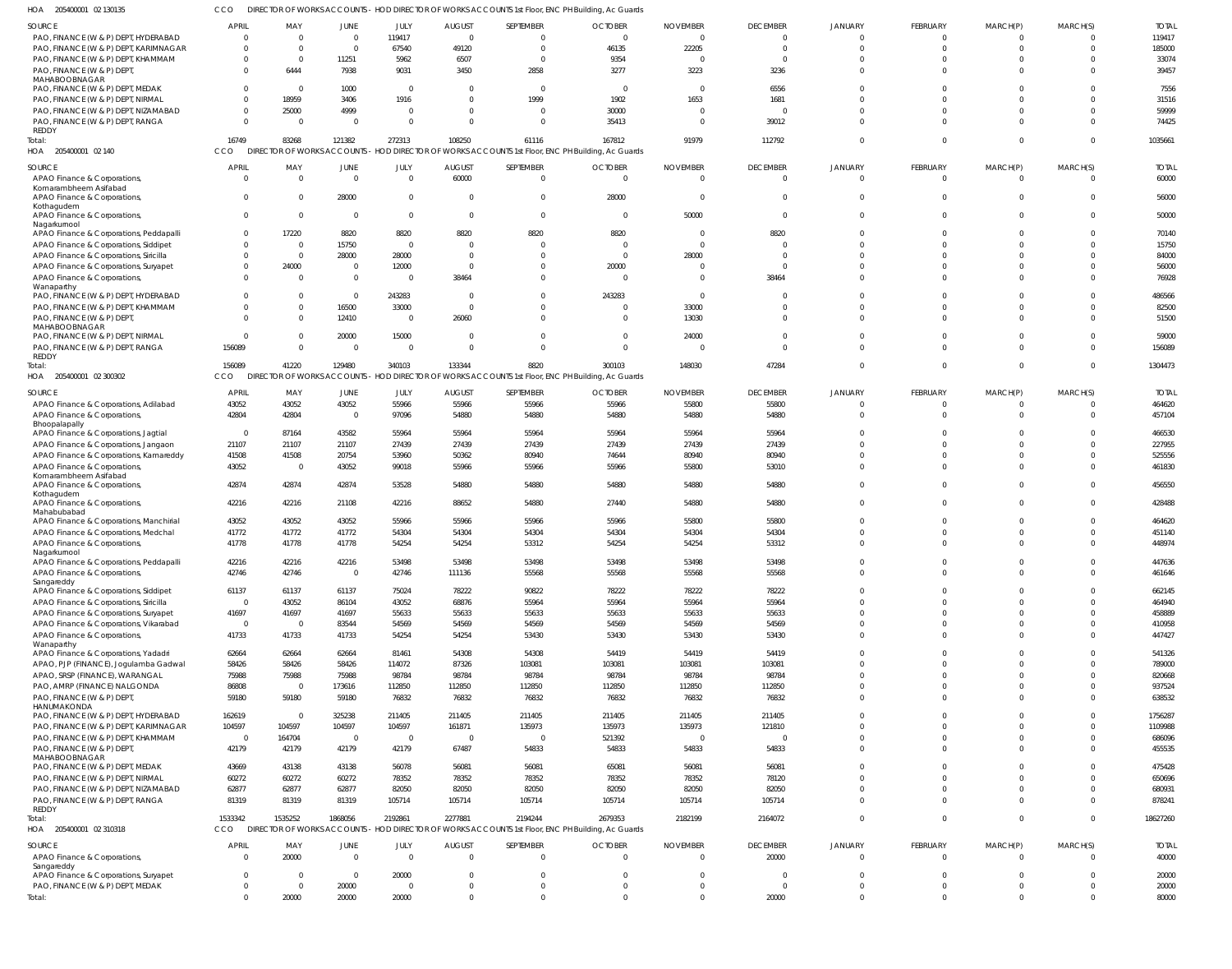CCO DIRECTOR OF WORKS ACCOUNTS - HOD DIRECTOR OF WORKS ACCOUNTS 1st Floor, ENC PH Building, Ac Guards

| HOA<br>205400001 02 130135                        |                          |                         |                |                |                | DIRECTOR OF WORKS ACCOUNTS - HOD DIRECTOR OF WORKS ACCOUNTS 1st Floor, ENC PH Building, Ac Guards |                                                                                                   |                 |                 |                |                  |                |              |              |
|---------------------------------------------------|--------------------------|-------------------------|----------------|----------------|----------------|---------------------------------------------------------------------------------------------------|---------------------------------------------------------------------------------------------------|-----------------|-----------------|----------------|------------------|----------------|--------------|--------------|
| SOURCE                                            | <b>APRIL</b>             | MAY                     | <b>JUNE</b>    | JULY           | <b>AUGUST</b>  | SEPTEMBER                                                                                         | <b>OCTOBER</b>                                                                                    | <b>NOVEMBER</b> | <b>DECEMBER</b> | <b>JANUARY</b> | <b>FEBRUARY</b>  | MARCH(P)       | MARCH(S)     | <b>TOTAL</b> |
| PAO, FINANCE (W & P) DEPT, HYDERABAD              | $\overline{0}$           | $\overline{0}$          | $\Omega$       | 119417         | $\Omega$       | 0                                                                                                 | $\mathbf{0}$                                                                                      | $\Omega$        | $\Omega$        | $\Omega$       | $\Omega$         | $\Omega$       | $\Omega$     | 119417       |
| PAO, FINANCE (W & P) DEPT, KARIMNAGAR             | $\overline{0}$           | $\overline{0}$          | $\Omega$       | 67540          | 49120          | $\Omega$                                                                                          | 46135                                                                                             | 22205           | $\Omega$        | $\Omega$       | $\Omega$         | $\Omega$       | $\mathbf 0$  | 185000       |
| PAO, FINANCE (W & P) DEPT, KHAMMAM                | $\mathbf 0$              | $\overline{0}$          | 11251          | 5962           | 6507           | $\mathbf{0}$                                                                                      | 9354                                                                                              | $\Omega$        | $\Omega$        | $\Omega$       |                  |                | $\Omega$     | 33074        |
| PAO, FINANCE (W & P) DEPT,                        | $\Omega$                 | 6444                    | 7938           | 9031           | 3450           | 2858                                                                                              | 3277                                                                                              | 3223            | 3236            | $\Omega$       | $\Omega$         | $\Omega$       | $\Omega$     | 39457        |
| MAHABOOBNAGAR                                     |                          |                         |                |                |                |                                                                                                   |                                                                                                   |                 |                 |                |                  |                |              |              |
| PAO, FINANCE (W & P) DEPT, MEDAK                  | $\mathbf 0$              | $\overline{\mathbf{0}}$ | 1000           | $\overline{0}$ | - 0            | $\mathbf{0}$                                                                                      | $\overline{0}$                                                                                    | $\overline{0}$  | 6556            | $\Omega$       |                  |                | $\Omega$     | 7556         |
| PAO, FINANCE (W & P) DEPT, NIRMAL                 | $\mathbf 0$              | 18959                   | 3406           | 1916           | - 0            | 1999                                                                                              | 1902                                                                                              | 1653            | 1681            | $\Omega$       |                  | $\Omega$       | $\Omega$     | 31516        |
| PAO, FINANCE (W & P) DEPT, NIZAMABAD              | $\overline{0}$           | 25000                   | 4999           | $\overline{0}$ | $\Omega$       | $\overline{0}$                                                                                    | 30000                                                                                             | $\Omega$        | $\Omega$        | $\Omega$       |                  | $\Omega$       | $\Omega$     | 59999        |
| PAO, FINANCE (W & P) DEPT, RANGA                  | $\overline{0}$           | $\overline{\mathbf{0}}$ | $\Omega$       | $\overline{0}$ | $\Omega$       | $\Omega$                                                                                          | 35413                                                                                             | $\Omega$        | 39012           | $\Omega$       |                  | $\Omega$       | $\Omega$     | 74425        |
| REDDY                                             | 16749                    | 83268                   | 121382         | 272313         | 108250         | 61116                                                                                             | 167812                                                                                            | 91979           | 112792          | $\Omega$       | $\Omega$         | $\Omega$       | $\Omega$     | 1035661      |
| Total:<br>HOA 205400001 02 140                    | CCO                      |                         |                |                |                | DIRECTOR OF WORKS ACCOUNTS - HOD DIRECTOR OF WORKS ACCOUNTS 1st Floor, ENC PH Building, Ac Guards |                                                                                                   |                 |                 |                |                  |                |              |              |
|                                                   |                          |                         |                |                |                |                                                                                                   |                                                                                                   |                 |                 |                |                  |                |              |              |
| SOURCE                                            | <b>APRIL</b>             | MAY                     | JUNE           | JULY           | <b>AUGUST</b>  | SEPTEMBER                                                                                         | <b>OCTOBER</b>                                                                                    | <b>NOVEMBER</b> | <b>DECEMBER</b> | JANUARY        | <b>FEBRUARY</b>  | MARCH(P)       | MARCH(S)     | <b>TOTAL</b> |
| APAO Finance & Corporations,                      | $\overline{\mathbf{0}}$  | $\overline{0}$          | $\overline{0}$ | $\overline{0}$ | 60000          | $\mathbf{0}$                                                                                      | $\overline{0}$                                                                                    | $\overline{0}$  | $\Omega$        | $\Omega$       | $\mathbf 0$      | $\overline{0}$ | $\mathbf 0$  | 60000        |
| Komarambheem Asifabad                             |                          |                         |                |                |                |                                                                                                   |                                                                                                   |                 |                 |                |                  |                |              |              |
| APAO Finance & Corporations                       | $\overline{0}$           | 0                       | 28000          | $\overline{0}$ | - 0            | $\mathbf{0}$                                                                                      | 28000                                                                                             | 0               | $\Omega$        | $\Omega$       | $\Omega$         | $\overline{0}$ | $\mathbf{0}$ | 56000        |
| Kothagudem<br>APAO Finance & Corporations,        | $\overline{0}$           | $\overline{0}$          | $\Omega$       | $\overline{0}$ | $\Omega$       | $\mathbf{0}$                                                                                      | $\overline{0}$                                                                                    | 50000           | $\Omega$        | $\Omega$       | $\Omega$         | $\Omega$       | $\Omega$     | 50000        |
| Nagarkurnool                                      |                          |                         |                |                |                |                                                                                                   |                                                                                                   |                 |                 |                |                  |                |              |              |
| APAO Finance & Corporations, Peddapalli           | $\overline{0}$           | 17220                   | 8820           | 8820           | 8820           | 8820                                                                                              | 8820                                                                                              | 0               | 8820            | $\cap$         | $\Omega$         | $\Omega$       | $\Omega$     | 70140        |
| APAO Finance & Corporations, Siddipet             | $\overline{0}$           | 0                       | 15750          | $\overline{0}$ |                | 0                                                                                                 | $\overline{0}$                                                                                    | $\Omega$        | $\cap$          | $\cap$         |                  |                | $\Omega$     | 15750        |
| APAO Finance & Corporations, Siricilla            | $\overline{0}$           | $\overline{0}$          | 28000          | 28000          | - 0            | $\Omega$                                                                                          | $\overline{0}$                                                                                    | 28000           | $\Omega$        | $\cap$         |                  |                | $\Omega$     | 84000        |
| APAO Finance & Corporations, Suryapet             | $\overline{0}$           | 24000                   | $\overline{0}$ | 12000          | - 0            | $\Omega$                                                                                          | 20000                                                                                             | $\Omega$        | $\Omega$        | $\cap$         |                  |                | $\Omega$     | 56000        |
| APAO Finance & Corporations,                      | $\overline{0}$           | $\overline{0}$          | $\Omega$       | $\overline{0}$ | 38464          | $\Omega$                                                                                          | $\overline{0}$                                                                                    | $\Omega$        | 38464           | $\Omega$       |                  | $\Omega$       | $\Omega$     | 76928        |
| Wanaparthy                                        |                          |                         |                |                |                |                                                                                                   |                                                                                                   |                 |                 |                |                  |                |              |              |
| PAO, FINANCE (W & P) DEPT, HYDERABAD              | $\overline{0}$           | 0                       | $\overline{0}$ | 243283         | - 0            | $\mathbf{0}$                                                                                      | 243283                                                                                            | $\overline{0}$  | $\Omega$        | $\Omega$       |                  | $\Omega$       | $\Omega$     | 486566       |
| PAO, FINANCE (W & P) DEPT, KHAMMAM                | $\Omega$                 | 0                       | 16500          | 33000          | $\Omega$       | $\Omega$                                                                                          | $\overline{0}$                                                                                    | 33000           | $\Omega$        | $\Omega$       | $\Omega$         | $\Omega$       | $\Omega$     | 82500        |
| PAO, FINANCE (W & P) DEPT,<br>MAHABOOBNAGAR       | $\Omega$                 | $\Omega$                | 12410          | $\overline{0}$ | 26060          | $\Omega$                                                                                          | $\overline{0}$                                                                                    | 13030           | $\Omega$        | $\cap$         |                  | $\Omega$       | $\Omega$     | 51500        |
| PAO, FINANCE (W & P) DEPT, NIRMAL                 | $\overline{0}$           | $\mathbf 0$             | 20000          | 15000          | - 0            | $\mathbf 0$                                                                                       | $\overline{0}$                                                                                    | 24000           | $\Omega$        | $\Omega$       |                  | $\Omega$       | $\Omega$     | 59000        |
| PAO, FINANCE (W & P) DEPT, RANGA                  | 156089                   | $\Omega$                | $\Omega$       | $\overline{0}$ | $\bigcap$      | $\Omega$                                                                                          | $\Omega$                                                                                          | $\Omega$        | $\Omega$        | $\Omega$       | $\Omega$         | $\Omega$       | $\Omega$     | 156089       |
| REDDY                                             |                          |                         |                |                |                |                                                                                                   |                                                                                                   |                 |                 |                |                  |                |              |              |
| Total:                                            | 156089                   | 41220                   | 129480         | 340103         | 133344         | 8820                                                                                              | 300103                                                                                            | 148030          | 47284           | $\Omega$       | $\Omega$         | $\Omega$       | $\Omega$     | 1304473      |
| HOA 205400001 02 300302                           | CCO                      |                         |                |                |                |                                                                                                   | DIRECTOR OF WORKS ACCOUNTS - HOD DIRECTOR OF WORKS ACCOUNTS 1st Floor, ENC PH Building, Ac Guards |                 |                 |                |                  |                |              |              |
| SOURCE                                            | APRIL                    | MAY                     | JUNE           | JULY           | <b>AUGUST</b>  | SEPTEMBER                                                                                         | <b>OCTOBER</b>                                                                                    | <b>NOVEMBER</b> | <b>DECEMBER</b> | <b>JANUARY</b> | <b>FEBRUARY</b>  | MARCH(P)       | MARCH(S)     | <b>TOTAL</b> |
| APAO Finance & Corporations, Adilabad             | 43052                    | 43052                   | 43052          | 55966          | 55966          | 55966                                                                                             | 55966                                                                                             | 55800           | 55800           | $\Omega$       | $\mathbf 0$      | $\Omega$       | $\Omega$     | 464620       |
| APAO Finance & Corporations,                      | 42804                    | 42804                   | $\Omega$       | 97096          | 54880          | 54880                                                                                             | 54880                                                                                             | 54880           | 54880           | $\Omega$       | $\Omega$         | $\Omega$       | $\Omega$     | 457104       |
| Bhoopalapally                                     |                          |                         |                |                |                |                                                                                                   |                                                                                                   |                 |                 |                |                  |                |              |              |
| APAO Finance & Corporations, Jagtial              | $\overline{0}$           | 87164                   | 43582          | 55964          | 55964          | 55964                                                                                             | 55964                                                                                             | 55964           | 55964           | $\Omega$       |                  |                |              | 466530       |
| APAO Finance & Corporations, Jangaon              | 21107                    | 21107                   | 21107          | 27439          | 27439          | 27439                                                                                             | 27439                                                                                             | 27439           | 27439           | $\Omega$       |                  |                | $\Omega$     | 227955       |
| APAO Finance & Corporations, Kamareddy            | 41508                    | 41508                   | 20754          | 53960          | 50362          | 80940                                                                                             | 74644                                                                                             | 80940           | 80940           | $\Omega$       |                  | $\Omega$       |              | 525556       |
| APAO Finance & Corporations                       | 43052                    | $\overline{\mathbf{0}}$ | 43052          | 99018          | 55966          | 55966                                                                                             | 55966                                                                                             | 55800           | 53010           | $\Omega$       | $\Omega$         | $\Omega$       | $\Omega$     | 461830       |
| Komarambheem Asifabad                             |                          |                         |                |                |                |                                                                                                   |                                                                                                   |                 |                 |                |                  |                |              |              |
| APAO Finance & Corporations                       | 42874                    | 42874                   | 42874          | 53528          | 54880          | 54880                                                                                             | 54880                                                                                             | 54880           | 54880           | $\Omega$       |                  | $\Omega$       | $\Omega$     | 456550       |
| Kothagudem<br>APAO Finance & Corporations,        | 42216                    | 42216                   | 21108          | 42216          | 88652          | 54880                                                                                             | 27440                                                                                             | 54880           | 54880           | $\Omega$       | $\Omega$         | $\Omega$       | $\Omega$     | 428488       |
| Mahabubabad                                       |                          |                         |                |                |                |                                                                                                   |                                                                                                   |                 |                 |                |                  |                |              |              |
| APAO Finance & Corporations, Manchirial           | 43052                    | 43052                   | 43052          | 55966          | 55966          | 55966                                                                                             | 55966                                                                                             | 55800           | 55800           | $\Omega$       |                  |                |              | 464620       |
| APAO Finance & Corporations, Medchal              | 41772                    | 41772                   | 41772          | 54304          | 54304          | 54304                                                                                             | 54304                                                                                             | 54304           | 54304           | $\Omega$       |                  | $\Omega$       | $\Omega$     | 451140       |
| APAO Finance & Corporations,                      | 41778                    | 41778                   | 41778          | 54254          | 54254          | 53312                                                                                             | 54254                                                                                             | 54254           | 53312           | $\Omega$       | $\Omega$         | $\Omega$       | $\Omega$     | 448974       |
| Nagarkurnool                                      |                          |                         |                |                |                |                                                                                                   |                                                                                                   |                 |                 |                |                  |                |              |              |
| APAO Finance & Corporations, Peddapalli           | 42216                    | 42216                   | 42216          | 53498          | 53498          | 53498                                                                                             | 53498                                                                                             | 53498           | 53498           | $\Omega$       | $\mathbf 0$      | $\mathbf 0$    | $\Omega$     | 447636       |
| APAO Finance & Corporations,<br>Sangareddy        | 42746                    | 42746                   | $\overline{0}$ | 42746          | 111136         | 55568                                                                                             | 55568                                                                                             | 55568           | 55568           | $\Omega$       | $\Omega$         | $\Omega$       | $\Omega$     | 461646       |
| APAO Finance & Corporations, Siddipet             | 61137                    | 61137                   | 61137          | 75024          | 78222          | 90822                                                                                             | 78222                                                                                             | 78222           | 78222           | $\Omega$       | $\Omega$         | $\Omega$       | $\Omega$     | 662145       |
| APAO Finance & Corporations, Siricilla            | $\overline{0}$           | 43052                   | 86104          | 43052          | 68876          | 55964                                                                                             | 55964                                                                                             | 55964           | 55964           | $\Omega$       | $\Omega$         | $\Omega$       | $\Omega$     | 464940       |
| APAO Finance & Corporations, Suryapet             | 41697                    | 41697                   | 41697          | 55633          | 55633          | 55633                                                                                             | 55633                                                                                             | 55633           | 55633           | $\Omega$       | $\Omega$         | $\Omega$       | $\Omega$     | 458889       |
| APAO Finance & Corporations, Vikarabad            | $\overline{\mathbf{0}}$  | $\overline{\mathbf{0}}$ | 83544          | 54569          | 54569          | 54569                                                                                             | 54569                                                                                             | 54569           | 54569           | $\Omega$       | $\Omega$         | $\mathbf 0$    | $\Omega$     | 410958       |
| APAO Finance & Corporations,                      | 41733                    | 41733                   | 41733          | 54254          | 54254          | 53430                                                                                             | 53430                                                                                             | 53430           | 53430           | $\Omega$       | $\Omega$         | $\Omega$       | $\Omega$     | 447427       |
| Wanaparthy                                        |                          |                         |                |                |                |                                                                                                   |                                                                                                   |                 |                 |                |                  |                |              |              |
| APAO Finance & Corporations, Yadadri              | 62664                    | 62664                   | 62664          | 81461          | 54308          | 54308                                                                                             | 54419                                                                                             | 54419           | 54419           | $\Omega$       |                  | $\Omega$       |              | 541326       |
| APAO, PJP (FINANCE), Jogulamba Gadwal             | 58426                    | 58426                   | 58426          | 114072         | 87326          | 103081                                                                                            | 103081                                                                                            | 103081          | 103081          | $\Omega$       | $\Omega$         | $\Omega$       | $\Omega$     | 789000       |
| APAO, SRSP (FINANCE), WARANGAL                    | 75988                    | 75988                   | 75988          | 98784          | 98784          | 98784                                                                                             | 98784                                                                                             | 98784           | 98784           | $\Omega$       | $\Omega$         | $\Omega$       | $\Omega$     | 820668       |
| PAO, AMRP (FINANCE) NALGONDA                      | 86808                    | $\overline{0}$          | 173616         | 112850         | 112850         | 112850                                                                                            | 112850                                                                                            | 112850          | 112850          | $\Omega$       | $\Omega$         | $\Omega$       | $\Omega$     | 937524       |
| PAO, FINANCE (W & P) DEPT,                        | 59180                    | 59180                   | 59180          | 76832          | 76832          | 76832                                                                                             | 76832                                                                                             | 76832           | 76832           | $\Omega$       | $\Omega$         | $\Omega$       | $\Omega$     | 638532       |
| HANUMAKONDA                                       |                          |                         |                |                |                |                                                                                                   |                                                                                                   |                 |                 |                |                  |                |              |              |
| PAO, FINANCE (W & P) DEPT, HYDERABAD              | 162619                   | - 0                     | 325238         | 211405         | 211405         | 211405                                                                                            | 211405                                                                                            | 211405          | 211405          | $\Omega$       | $\Omega$         | $\Omega$       | $\Omega$     | 1756287      |
| PAO, FINANCE (W & P) DEPT, KARIMNAGAR             | 104597                   | 104597                  | 104597         | 104597         | 161871         | 135973                                                                                            | 135973                                                                                            | 135973          | 121810          | $\Omega$       | $\Omega$         | $\Omega$       | $\Omega$     | 1109988      |
| PAO, FINANCE (W & P) DEPT, KHAMMAM                | $\overline{\mathbf{0}}$  | 164704                  | $\Omega$       | $\Omega$       | - 0            | $\Omega$                                                                                          | 521392                                                                                            | $\Omega$        |                 | $\Omega$       | $\Omega$         | $\Omega$       | $\Omega$     | 686096       |
| PAO, FINANCE (W & P) DEPT,                        | 42179                    | 42179                   | 42179          | 42179          | 67487          | 54833                                                                                             | 54833                                                                                             | 54833           | 54833           | $\Omega$       | $\Omega$         | $\Omega$       | $\Omega$     | 455535       |
| MAHABOOBNAGAR<br>PAO, FINANCE (W & P) DEPT, MEDAK | 43669                    | 43138                   | 43138          | 56078          | 56081          | 56081                                                                                             | 65081                                                                                             | 56081           | 56081           | $\Omega$       | $\Omega$         | $\Omega$       | $\Omega$     | 475428       |
| PAO, FINANCE (W & P) DEPT, NIRMAL                 | 60272                    | 60272                   | 60272          | 78352          | 78352          | 78352                                                                                             | 78352                                                                                             | 78352           | 78120           | $\Omega$       | $\Omega$         | $\Omega$       | $\Omega$     | 650696       |
| PAO, FINANCE (W & P) DEPT, NIZAMABAD              | 62877                    | 62877                   | 62877          | 82050          | 82050          | 82050                                                                                             | 82050                                                                                             | 82050           | 82050           | $\Omega$       | $\Omega$         | $\Omega$       | $\Omega$     | 680931       |
| PAO, FINANCE (W & P) DEPT, RANGA                  | 81319                    | 81319                   | 81319          | 105714         | 105714         | 105714                                                                                            | 105714                                                                                            | 105714          | 105714          | $\Omega$       | $\Omega$         | $\Omega$       | $\Omega$     | 878241       |
| REDDY                                             |                          |                         |                |                |                |                                                                                                   |                                                                                                   |                 |                 |                |                  |                |              |              |
| Total:                                            | 1533342                  | 1535252                 | 1868056        | 2192861        | 2277881        | 2194244                                                                                           | 2679353                                                                                           | 2182199         | 2164072         | $\Omega$       | $\Omega$         | $\Omega$       | $\Omega$     | 18627260     |
| HOA 205400001 02 310318                           | <b>CCO</b>               |                         |                |                |                | DIRECTOR OF WORKS ACCOUNTS - HOD DIRECTOR OF WORKS ACCOUNTS 1st Floor, ENC PH Building, Ac Guards |                                                                                                   |                 |                 |                |                  |                |              |              |
| SOURCE                                            | APRIL                    | MAY                     | <b>JUNE</b>    | JULY           | <b>AUGUST</b>  | <b>SEPTEMBER</b>                                                                                  | <b>OCTOBER</b>                                                                                    | <b>NOVEMBER</b> | <b>DECEMBER</b> | JANUARY        | <b>FEBRUARY</b>  | MARCH(P)       | MARCH(S)     | <b>TOTAL</b> |
| APAO Finance & Corporations,                      | $\overline{\mathbf{0}}$  | 20000                   | $\overline{0}$ | $\overline{0}$ | $\overline{0}$ | $\mathbf{0}$                                                                                      | $\overline{0}$                                                                                    | $\overline{0}$  | 20000           | $\Omega$       | $\mathbf 0$      | $\overline{0}$ | $\mathbf{0}$ | 40000        |
| Sangareddy                                        |                          |                         |                |                |                |                                                                                                   |                                                                                                   |                 |                 |                |                  |                |              |              |
| APAO Finance & Corporations, Suryapet             | $\overline{\phantom{0}}$ | $\overline{\mathbf{0}}$ | $\overline{0}$ | 20000          | - 0            | $\mathbf{0}$                                                                                      | $\overline{0}$                                                                                    | $\overline{0}$  | $\Omega$        | $\Omega$       | $\mathbf 0$      | $\overline{0}$ | $\mathbf{0}$ | 20000        |
| PAO, FINANCE (W & P) DEPT, MEDAK                  | $\overline{\phantom{0}}$ | $\overline{0}$          | 20000          | $\overline{0}$ | $\Omega$       | $\mathbf 0$                                                                                       | $\mathbf 0$                                                                                       | $\overline{0}$  | $\Omega$        | $\Omega$       | $\boldsymbol{0}$ | $\mathbf 0$    | $\mathbf 0$  | 20000        |
| Total:                                            | $\overline{0}$           | 20000                   | 20000          | 20000          | $\Omega$       | 0                                                                                                 | $\mathbf 0$                                                                                       | $\mathbf 0$     | 20000           | $\Omega$       | $\overline{0}$   | $\mathbf 0$    | $\mathbf 0$  | 80000        |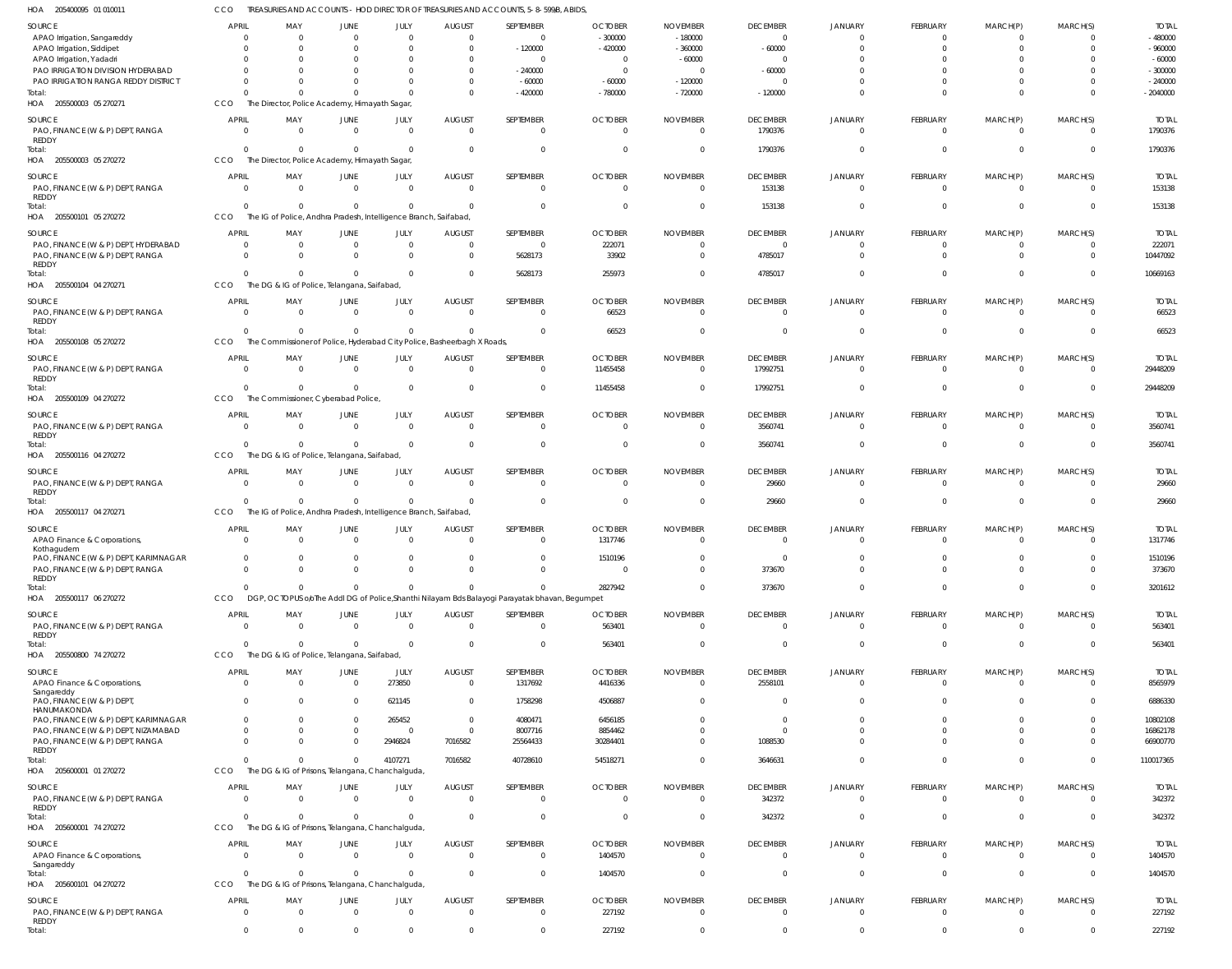205400095 01 010011 HOA CCO TREASURIES AND ACCOUNTS - HOD DIRECTOR OF TREASURIES AND ACCOUNTS, 5-8-599/B, ABIDS,

|                                                  |                         |                |                                                                  |              |                                                                         | <u> NEAJUNEJ AND ACCOUNTJ - HOD DINECTOR OF INEAJUNEJ AND ACCOUNTJ, J-0-J771D, ADIDJ</u>       |                         |                 |                 |                |                 |              |          |              |
|--------------------------------------------------|-------------------------|----------------|------------------------------------------------------------------|--------------|-------------------------------------------------------------------------|------------------------------------------------------------------------------------------------|-------------------------|-----------------|-----------------|----------------|-----------------|--------------|----------|--------------|
| SOURCE                                           | <b>APRIL</b>            | MAY            | <b>JUNE</b>                                                      | JULY         | <b>AUGUST</b>                                                           | SEPTEMBER                                                                                      | <b>OCTOBER</b>          | <b>NOVEMBER</b> | <b>DECEMBER</b> | JANUARY        | FEBRUARY        | MARCH(P)     | MARCH(S) | <b>TOTAL</b> |
| APAO Irrigation, Sangareddy                      | $\Omega$                | $\Omega$       | $\overline{0}$                                                   | $\Omega$     | $\Omega$                                                                | $\Omega$                                                                                       | $-300000$               | $-180000$       | $\overline{0}$  | $\overline{0}$ | $^{\circ}$      | 0            |          | $-480000$    |
|                                                  |                         | $\Omega$       | $\mathbf{0}$                                                     |              | $\Omega$                                                                | $-120000$                                                                                      | $-420000$               | $-360000$       | $-60000$        | $\Omega$       | $\Omega$        |              |          | $-960000$    |
| APAO Irrigation, Siddipet                        |                         |                |                                                                  |              |                                                                         |                                                                                                |                         |                 |                 |                |                 |              |          |              |
| APAO Irrigation, Yadadri                         |                         | $\Omega$       | $\Omega$                                                         |              | $\Omega$                                                                | - 0                                                                                            | $\overline{\mathbf{0}}$ | $-60000$        | $\Omega$        | $\Omega$       | $\Omega$        |              |          | $-60000$     |
| PAO IRRIGATION DIVISION HYDERABAD                |                         | $\Omega$       | $\Omega$                                                         |              | $\Omega$                                                                | $-240000$                                                                                      | $\overline{0}$          | $\Omega$        | $-60000$        |                | $\Omega$        |              |          | $-300000$    |
| PAO IRRIGATION RANGA REDDY DISTRICT              |                         | $\Omega$       | $\Omega$                                                         |              | $\Omega$                                                                | $-60000$                                                                                       | $-60000$                | $-120000$       | $\Omega$        |                | $\Omega$        |              | $\Omega$ | $-240000$    |
| Total:                                           |                         | <sup>0</sup>   | $\Omega$                                                         | $\Omega$     | $\Omega$                                                                | $-420000$                                                                                      | $-780000$               | $-720000$       | $-120000$       | $\Omega$       | $\Omega$        | $\Omega$     | $\Omega$ | $-2040000$   |
| HOA 205500003 05 270271                          | CCO                     |                | The Director, Police Academy, Himayath Sagar,                    |              |                                                                         |                                                                                                |                         |                 |                 |                |                 |              |          |              |
| <b>SOURCE</b>                                    | <b>APRIL</b>            | MAY            | <b>JUNE</b>                                                      | JULY         | <b>AUGUST</b>                                                           | SEPTEMBER                                                                                      | <b>OCTOBER</b>          | <b>NOVEMBER</b> | <b>DECEMBER</b> | <b>JANUARY</b> | <b>FEBRUARY</b> | MARCH(P)     | MARCH(S) | <b>TOTAL</b> |
|                                                  |                         |                |                                                                  |              |                                                                         |                                                                                                |                         |                 |                 |                |                 |              |          |              |
| PAO, FINANCE (W & P) DEPT, RANGA<br><b>REDDY</b> | $\Omega$                | $\Omega$       | $\overline{0}$                                                   | $\Omega$     | $\overline{0}$                                                          | $\Omega$                                                                                       | $\overline{0}$          | $\Omega$        | 1790376         | $\overline{0}$ | $\overline{0}$  | 0            | $\Omega$ | 1790376      |
| Total:                                           | $\Omega$                | $\Omega$       | $\mathbf{0}$                                                     | $\Omega$     | $\Omega$                                                                | $\Omega$                                                                                       | $\Omega$                |                 | 1790376         | $\Omega$       | $\Omega$        | $\Omega$     | $\Omega$ | 1790376      |
| HOA 205500003 05 270272                          | CCO                     |                |                                                                  |              |                                                                         |                                                                                                |                         |                 |                 |                |                 |              |          |              |
|                                                  |                         |                | The Director, Police Academy, Himayath Sagar,                    |              |                                                                         |                                                                                                |                         |                 |                 |                |                 |              |          |              |
| <b>SOURCE</b>                                    | <b>APRIL</b>            | MAY            | <b>JUNE</b>                                                      | JULY         | <b>AUGUST</b>                                                           | SEPTEMBER                                                                                      | <b>OCTOBER</b>          | <b>NOVEMBER</b> | <b>DECEMBER</b> | <b>JANUARY</b> | <b>FEBRUARY</b> | MARCH(P)     | MARCH(S) | <b>TOTAL</b> |
| PAO, FINANCE (W & P) DEPT, RANGA                 | $\Omega$                | $\Omega$       | $\overline{0}$                                                   | $\Omega$     | $\Omega$                                                                | $\Omega$                                                                                       | $\Omega$                | $\Omega$        | 153138          | $\Omega$       | $\overline{0}$  | $\Omega$     |          | 153138       |
| REDDY                                            |                         |                |                                                                  |              |                                                                         |                                                                                                |                         |                 |                 |                |                 |              |          |              |
| Total:                                           | $\Omega$                | $\Omega$       | $\mathbf{0}$                                                     | $\Omega$     | $\Omega$                                                                | $\Omega$                                                                                       | $\Omega$                |                 | 153138          | $\Omega$       | $\Omega$        | $\Omega$     | $\Omega$ | 153138       |
| HOA<br>205500101 05 270272                       | CCO                     |                | The IG of Police, Andhra Pradesh, Intelligence Branch, Saifabad, |              |                                                                         |                                                                                                |                         |                 |                 |                |                 |              |          |              |
|                                                  |                         |                |                                                                  |              |                                                                         |                                                                                                |                         |                 |                 |                |                 |              |          |              |
| SOURCE                                           | <b>APRIL</b>            | MAY            | JUNE                                                             | JULY         | <b>AUGUST</b>                                                           | SEPTEMBER                                                                                      | <b>OCTOBER</b>          | <b>NOVEMBER</b> | <b>DECEMBER</b> | JANUARY        | <b>FEBRUARY</b> | MARCH(P)     | MARCH(S) | <b>TOTAL</b> |
| PAO, FINANCE (W & P) DEPT, HYDERABAD             | $\overline{0}$          | $\mathbf{0}$   | $\overline{0}$                                                   | $\Omega$     | $\mathbf{0}$                                                            | $\Omega$                                                                                       | 222071                  |                 | $\overline{0}$  | $\Omega$       | $\mathbf 0$     | 0            |          | 222071       |
| PAO, FINANCE (W & P) DEPT, RANGA                 | $\Omega$                | $\Omega$       | $\mathbf{0}$                                                     | $\Omega$     | $\Omega$                                                                | 5628173                                                                                        | 33902                   |                 | 4785017         | $\Omega$       | $\Omega$        | $\Omega$     | $\Omega$ | 10447092     |
| REDDY                                            |                         |                |                                                                  |              |                                                                         |                                                                                                |                         |                 |                 |                |                 |              |          |              |
| Total:                                           | $\Omega$                | $\Omega$       | $\Omega$                                                         | $\Omega$     | $\Omega$                                                                | 5628173                                                                                        | 255973                  |                 | 4785017         | $\Omega$       | $\Omega$        | $\Omega$     | $\Omega$ | 10669163     |
| HOA 205500104 04 270271                          | CCO                     |                | The DG & IG of Police, Telangana, Saifabad,                      |              |                                                                         |                                                                                                |                         |                 |                 |                |                 |              |          |              |
| SOURCE                                           | <b>APRIL</b>            | MAY            | JUNE                                                             | JULY         | <b>AUGUST</b>                                                           | SEPTEMBER                                                                                      | <b>OCTOBER</b>          | <b>NOVEMBER</b> | <b>DECEMBER</b> | <b>JANUARY</b> | <b>FEBRUARY</b> | MARCH(P)     | MARCH(S) | <b>TOTAL</b> |
|                                                  | $\Omega$                | $\Omega$       | $\overline{0}$                                                   | $\Omega$     | $\Omega$                                                                | $\Omega$                                                                                       | 66523                   | $\Omega$        | $\Omega$        | $\Omega$       | $\overline{0}$  | $\mathbf 0$  | $\Omega$ | 66523        |
| PAO, FINANCE (W & P) DEPT, RANGA<br>REDDY        |                         |                |                                                                  |              |                                                                         |                                                                                                |                         |                 |                 |                |                 |              |          |              |
| Total:                                           | $\Omega$                | $\Omega$       | $\overline{0}$                                                   | $\Omega$     | $\Omega$                                                                | $\Omega$                                                                                       | 66523                   |                 | $\Omega$        | $\Omega$       | $\Omega$        | $\mathbf 0$  | $\Omega$ | 66523        |
| HOA 205500108 05 270272                          | CCO                     |                |                                                                  |              | The Commissioner of Police, Hyderabad City Police, Basheerbagh X Roads, |                                                                                                |                         |                 |                 |                |                 |              |          |              |
|                                                  |                         |                |                                                                  |              |                                                                         |                                                                                                |                         |                 |                 |                |                 |              |          |              |
| SOURCE                                           | <b>APRIL</b>            | MAY            | JUNE                                                             | JULY         | <b>AUGUST</b>                                                           | SEPTEMBER                                                                                      | <b>OCTOBER</b>          | <b>NOVEMBER</b> | <b>DECEMBER</b> | <b>JANUARY</b> | FEBRUARY        | MARCH(P)     | MARCH(S) | <b>TOTAL</b> |
| PAO, FINANCE (W & P) DEPT, RANGA                 | $\Omega$                | $\mathbf{0}$   | $\overline{0}$                                                   | $\Omega$     | $\overline{0}$                                                          | $\Omega$                                                                                       | 11455458                | $\Omega$        | 17992751        | $\overline{0}$ | $\overline{0}$  | $\mathbf 0$  | $\Omega$ | 29448209     |
| <b>REDDY</b>                                     |                         |                |                                                                  |              |                                                                         |                                                                                                |                         |                 |                 |                |                 |              |          |              |
| Total:                                           | $\Omega$                | $\Omega$       | $\overline{0}$                                                   | $\Omega$     | $\Omega$                                                                | $\Omega$                                                                                       | 11455458                |                 | 17992751        | $\Omega$       | $\Omega$        | $\mathbf 0$  | $\Omega$ | 29448209     |
| HOA 205500109 04 270272                          | CCO                     |                | The Commissioner, Cyberabad Police,                              |              |                                                                         |                                                                                                |                         |                 |                 |                |                 |              |          |              |
|                                                  |                         |                |                                                                  |              |                                                                         |                                                                                                |                         |                 |                 |                |                 |              |          |              |
| <b>SOURCE</b>                                    | <b>APRIL</b>            | MAY            | <b>JUNE</b>                                                      | JULY         | <b>AUGUST</b>                                                           | SEPTEMBER                                                                                      | <b>OCTOBER</b>          | <b>NOVEMBER</b> | <b>DECEMBER</b> | JANUARY        | FEBRUARY        | MARCH(P)     | MARCH(S) | <b>TOTAL</b> |
| PAO, FINANCE (W & P) DEPT, RANGA                 | $\Omega$                | $\Omega$       | $\overline{0}$                                                   | $\Omega$     | $\overline{0}$                                                          | $\Omega$                                                                                       | $\overline{0}$          | $\Omega$        | 3560741         | $\Omega$       | $\overline{0}$  | $\mathbf 0$  | $\Omega$ | 3560741      |
| REDDY                                            |                         |                |                                                                  |              |                                                                         |                                                                                                |                         |                 |                 |                |                 |              |          |              |
| Total:                                           |                         | $\Omega$       | $\overline{0}$                                                   | $\Omega$     | $\Omega$                                                                | $\Omega$                                                                                       | $\Omega$                |                 | 3560741         | $\Omega$       | $\overline{0}$  | $\mathbf{0}$ | $\Omega$ | 3560741      |
| HOA 205500116 04 270272                          | <b>CCO</b>              |                | The DG & IG of Police, Telangana, Saifabad,                      |              |                                                                         |                                                                                                |                         |                 |                 |                |                 |              |          |              |
| SOURCE                                           | <b>APRIL</b>            | MAY            | JUNE                                                             | JULY         | <b>AUGUST</b>                                                           | SEPTEMBER                                                                                      | <b>OCTOBER</b>          | <b>NOVEMBER</b> | <b>DECEMBER</b> | JANUARY        | FEBRUARY        | MARCH(P)     | MARCH(S) | <b>TOTAL</b> |
| PAO, FINANCE (W & P) DEPT, RANGA                 | $\Omega$                | $\Omega$       | $\overline{0}$                                                   | $\Omega$     | $\Omega$                                                                | $\Omega$                                                                                       | $\Omega$                | $\Omega$        | 29660           | $\Omega$       | $\overline{0}$  | $\mathbf 0$  |          | 29660        |
|                                                  |                         |                |                                                                  |              |                                                                         |                                                                                                |                         |                 |                 |                |                 |              |          |              |
|                                                  |                         |                |                                                                  |              |                                                                         |                                                                                                |                         |                 |                 |                |                 |              |          |              |
| <b>REDDY</b><br>Total:                           | $\Omega$                | $\Omega$       | $\mathbf{0}$                                                     | $\Omega$     | $\Omega$                                                                | $\Omega$                                                                                       | $\Omega$                |                 | 29660           | $\Omega$       | $\Omega$        | $\Omega$     | $\Omega$ | 29660        |
|                                                  |                         |                |                                                                  |              |                                                                         |                                                                                                |                         |                 |                 |                |                 |              |          |              |
| HOA 205500117 04 270271                          | CCO                     |                | The IG of Police, Andhra Pradesh, Intelligence Branch, Saifabad, |              |                                                                         |                                                                                                |                         |                 |                 |                |                 |              |          |              |
| SOURCE                                           | <b>APRIL</b>            | MAY            | <b>JUNE</b>                                                      | JULY         | <b>AUGUST</b>                                                           | SEPTEMBER                                                                                      | <b>OCTOBER</b>          | <b>NOVEMBER</b> | <b>DECEMBER</b> | <b>JANUARY</b> | <b>FEBRUARY</b> | MARCH(P)     | MARCH(S) | <b>TOTAL</b> |
| APAO Finance & Corporations,                     |                         | $\Omega$       | $\overline{0}$                                                   | $\Omega$     | $\Omega$                                                                | $\Omega$                                                                                       | 1317746                 |                 | $\Omega$        | $\Omega$       | $\overline{0}$  | $\Omega$     |          | 1317746      |
| Kothagudem                                       |                         |                |                                                                  |              |                                                                         |                                                                                                |                         |                 |                 |                |                 |              |          |              |
| PAO, FINANCE (W & P) DEPT, KARIMNAGAR            | $\overline{0}$          | $\mathbf{0}$   | $\overline{0}$                                                   | $\mathbf{0}$ |                                                                         |                                                                                                | 1510196                 |                 |                 |                |                 |              |          | 1510196      |
| PAO, FINANCE (W & P) DEPT, RANGA                 | $\Omega$                | $\Omega$       | $\Omega$                                                         |              | $\Omega$                                                                | $\Omega$                                                                                       | $\Omega$                | $\Omega$        | 373670          | $\Omega$       | $\Omega$        | $\Omega$     |          | 373670       |
| REDDY                                            |                         |                |                                                                  |              |                                                                         |                                                                                                |                         |                 |                 |                |                 |              |          |              |
| Total:                                           | $\Omega$                | $\Omega$       | $\overline{0}$                                                   | $\Omega$     | $\Omega$                                                                | $\Omega$                                                                                       | 2827942                 | $\Omega$        | 373670          | $\overline{0}$ | $\overline{0}$  | $\mathbf{0}$ | $\Omega$ | 3201612      |
| HOA 205500117 06 270272                          | CCO                     |                |                                                                  |              |                                                                         | DGP, OCTOPUS o/oThe Addl DG of Police, Shanthi Nilayam Bds Balayogi Parayatak bhavan, Begumpet |                         |                 |                 |                |                 |              |          |              |
|                                                  |                         |                |                                                                  |              |                                                                         |                                                                                                |                         |                 |                 |                |                 |              |          |              |
| SOURCE                                           | <b>APRIL</b>            | MAY            | JUNE                                                             | JULY         | <b>AUGUST</b>                                                           | SEPTEMBER                                                                                      | <b>OCTOBER</b>          | <b>NOVEMBER</b> | <b>DECEMBER</b> | <b>JANUARY</b> | <b>FEBRUARY</b> | MARCH(P)     | MARCH(S) | <b>TOTAL</b> |
| PAO, FINANCE (W & P) DEPT, RANGA                 | $\overline{0}$          | $\overline{0}$ | $\mathbf{0}$                                                     | $\Omega$     | $\overline{0}$                                                          | $\overline{0}$                                                                                 | 563401                  | $\Omega$        | $\overline{0}$  | $\overline{0}$ | $\overline{0}$  | $\mathbf 0$  | $\Omega$ | 563401       |
| REDDY                                            |                         |                |                                                                  |              |                                                                         |                                                                                                |                         |                 |                 |                |                 |              |          |              |
| Total:                                           | $\overline{0}$          | $\mathbf{0}$   | $\mathbf{0}$                                                     | $\Omega$     | $\overline{0}$                                                          | $\Omega$                                                                                       | 563401                  | $\Omega$        | $\overline{0}$  | $\overline{0}$ | $\overline{0}$  | $\mathbf{0}$ | $\Omega$ | 563401       |
| HOA 205500800 74 270272                          | CCO                     |                | The DG & IG of Police, Telangana, Saifabad,                      |              |                                                                         |                                                                                                |                         |                 |                 |                |                 |              |          |              |
| SOURCE                                           | <b>APRIL</b>            | MAY            | JUNE                                                             | JULY         | <b>AUGUST</b>                                                           | SEPTEMBER                                                                                      | <b>OCTOBER</b>          | <b>NOVEMBER</b> | <b>DECEMBER</b> | <b>JANUARY</b> | <b>FEBRUARY</b> | MARCH(P)     | MARCH(S) | <b>TOTAL</b> |
| APAO Finance & Corporations,                     | $\Omega$                | $\Omega$       | $\mathbf{0}$                                                     | 273850       | $\overline{0}$                                                          | 1317692                                                                                        | 4416336                 | $\Omega$        | 2558101         | $\overline{0}$ | $\overline{0}$  | $\mathbf 0$  | $\Omega$ | 8565979      |
| Sangareddy                                       |                         |                |                                                                  |              |                                                                         |                                                                                                |                         |                 |                 |                |                 |              |          |              |
| PAO, FINANCE (W & P) DEPT,                       | $\Omega$                | $\Omega$       | $\overline{0}$                                                   | 621145       | $\mathbf 0$                                                             | 1758298                                                                                        | 4506887                 |                 | $\mathbf 0$     | $\overline{0}$ | $\mathbf 0$     | $\Omega$     | $\Omega$ | 6886330      |
| HANUMAKONDA                                      |                         |                |                                                                  |              |                                                                         |                                                                                                |                         |                 |                 |                |                 |              |          |              |
| PAO, FINANCE (W & P) DEPT, KARIMNAGAR            | $\Omega$                | $\Omega$       | $\overline{0}$                                                   | 265452       | $\mathbf{0}$                                                            | 4080471                                                                                        | 6456185                 | $\Omega$        | $\overline{0}$  | $\overline{0}$ | $\Omega$        | $\Omega$     | $\Omega$ | 10802108     |
| PAO, FINANCE (W & P) DEPT, NIZAMABAD             | $\Omega$                | $\Omega$       | $\overline{0}$                                                   | $\Omega$     | $\mathbf{0}$                                                            | 8007716                                                                                        | 8854462                 | $\Omega$        | $\overline{0}$  | $\Omega$       | $\Omega$        |              |          | 16862178     |
| PAO, FINANCE (W & P) DEPT, RANGA                 | $\Omega$                | $\Omega$       | $\overline{0}$                                                   | 2946824      | 7016582                                                                 | 25564433                                                                                       | 30284401                | $\Omega$        | 1088530         | $\Omega$       | $\Omega$        | $\Omega$     | $\Omega$ | 66900770     |
| REDDY                                            |                         |                |                                                                  |              |                                                                         |                                                                                                |                         |                 |                 |                |                 |              |          |              |
| Total:                                           | $\Omega$                | $\Omega$       | $\mathbf{0}$                                                     | 4107271      | 7016582                                                                 | 40728610                                                                                       | 54518271                | $\Omega$        | 3646631         | $\Omega$       | $\overline{0}$  | $\mathbf{0}$ | $\Omega$ | 110017365    |
| HOA 205600001 01 270272                          | CCO                     |                | The DG & IG of Prisons, Telangana, Chanchalguda,                 |              |                                                                         |                                                                                                |                         |                 |                 |                |                 |              |          |              |
|                                                  |                         |                |                                                                  |              |                                                                         |                                                                                                |                         |                 |                 |                |                 |              |          |              |
| SOURCE                                           | <b>APRIL</b>            | MAY            | <b>JUNE</b>                                                      | JULY         | <b>AUGUST</b>                                                           | SEPTEMBER                                                                                      | <b>OCTOBER</b>          | <b>NOVEMBER</b> | <b>DECEMBER</b> | <b>JANUARY</b> | FEBRUARY        | MARCH(P)     | MARCH(S) | <b>TOTAL</b> |
| PAO, FINANCE (W & P) DEPT, RANGA                 | $\Omega$                | $\overline{0}$ | $\mathbf{0}$                                                     | $\mathbf 0$  | $\overline{0}$                                                          | $\Omega$                                                                                       | $\overline{0}$          | $\Omega$        | 342372          | $\overline{0}$ | $\overline{0}$  | $\mathbf 0$  | $\Omega$ | 342372       |
| REDDY                                            | $\Omega$                |                |                                                                  | $\Omega$     |                                                                         | $\Omega$                                                                                       |                         | $\Omega$        |                 |                |                 |              | $\Omega$ |              |
| Total:                                           |                         | $\mathbf 0$    | $\mathbf{0}$                                                     |              | $\mathbf{0}$                                                            |                                                                                                | $\overline{0}$          |                 | 342372          | $\overline{0}$ | $\overline{0}$  | $\mathbf{0}$ |          | 342372       |
| HOA 205600001 74 270272                          | CCO                     |                | The DG & IG of Prisons, Telangana, Chanchalguda,                 |              |                                                                         |                                                                                                |                         |                 |                 |                |                 |              |          |              |
| SOURCE                                           | <b>APRIL</b>            | MAY            | <b>JUNE</b>                                                      | JULY         | <b>AUGUST</b>                                                           | SEPTEMBER                                                                                      | <b>OCTOBER</b>          | <b>NOVEMBER</b> | <b>DECEMBER</b> | <b>JANUARY</b> | FEBRUARY        | MARCH(P)     | MARCH(S) | <b>TOTAL</b> |
| APAO Finance & Corporations,                     | $\Omega$                | $\Omega$       | $\overline{0}$                                                   | $\Omega$     | $\Omega$                                                                | $\overline{0}$                                                                                 | 1404570                 | $\Omega$        | $\overline{0}$  | $\overline{0}$ | $\overline{0}$  | $\mathbf 0$  | $\Omega$ | 1404570      |
| Sangareddy                                       |                         |                |                                                                  |              |                                                                         |                                                                                                |                         |                 |                 |                |                 |              |          |              |
| Total:                                           | $\Omega$                | $\Omega$       | $\mathbf{0}$                                                     | $\Omega$     | $\Omega$                                                                | $\Omega$                                                                                       | 1404570                 | $\Omega$        | $\mathbf 0$     | $\overline{0}$ | $\overline{0}$  | $\mathbf{0}$ | $\Omega$ | 1404570      |
| HOA 205600101 04 270272                          | CCO                     |                | The DG & IG of Prisons, Telangana, Chanchalguda,                 |              |                                                                         |                                                                                                |                         |                 |                 |                |                 |              |          |              |
|                                                  |                         |                |                                                                  |              |                                                                         |                                                                                                |                         |                 |                 |                |                 |              |          |              |
| SOURCE                                           | <b>APRIL</b>            | MAY            | JUNE                                                             | JULY         | <b>AUGUST</b>                                                           | SEPTEMBER                                                                                      | <b>OCTOBER</b>          | <b>NOVEMBER</b> | <b>DECEMBER</b> | <b>JANUARY</b> | FEBRUARY        | MARCH(P)     | MARCH(S) | <b>TOTAL</b> |
| PAO, FINANCE (W & P) DEPT, RANGA                 | $\overline{\mathbf{0}}$ | $\overline{0}$ | $\mathbf{0}$                                                     | $\mathbf 0$  | $\overline{0}$                                                          | $\overline{0}$                                                                                 | 227192                  | $\Omega$        | $\overline{0}$  | $\overline{0}$ | $\overline{0}$  | $\mathbf 0$  | $\Omega$ | 227192       |
| REDDY<br>Total:                                  | $\overline{0}$          | $\mathbf{0}$   | $\mathbf{0}$                                                     | $\mathbf{0}$ | $\mathbf{0}$                                                            | $\Omega$                                                                                       | 227192                  | $\Omega$        | $\mathbf 0$     | $\overline{0}$ | $\overline{0}$  | $\mathbf 0$  | $\Omega$ | 227192       |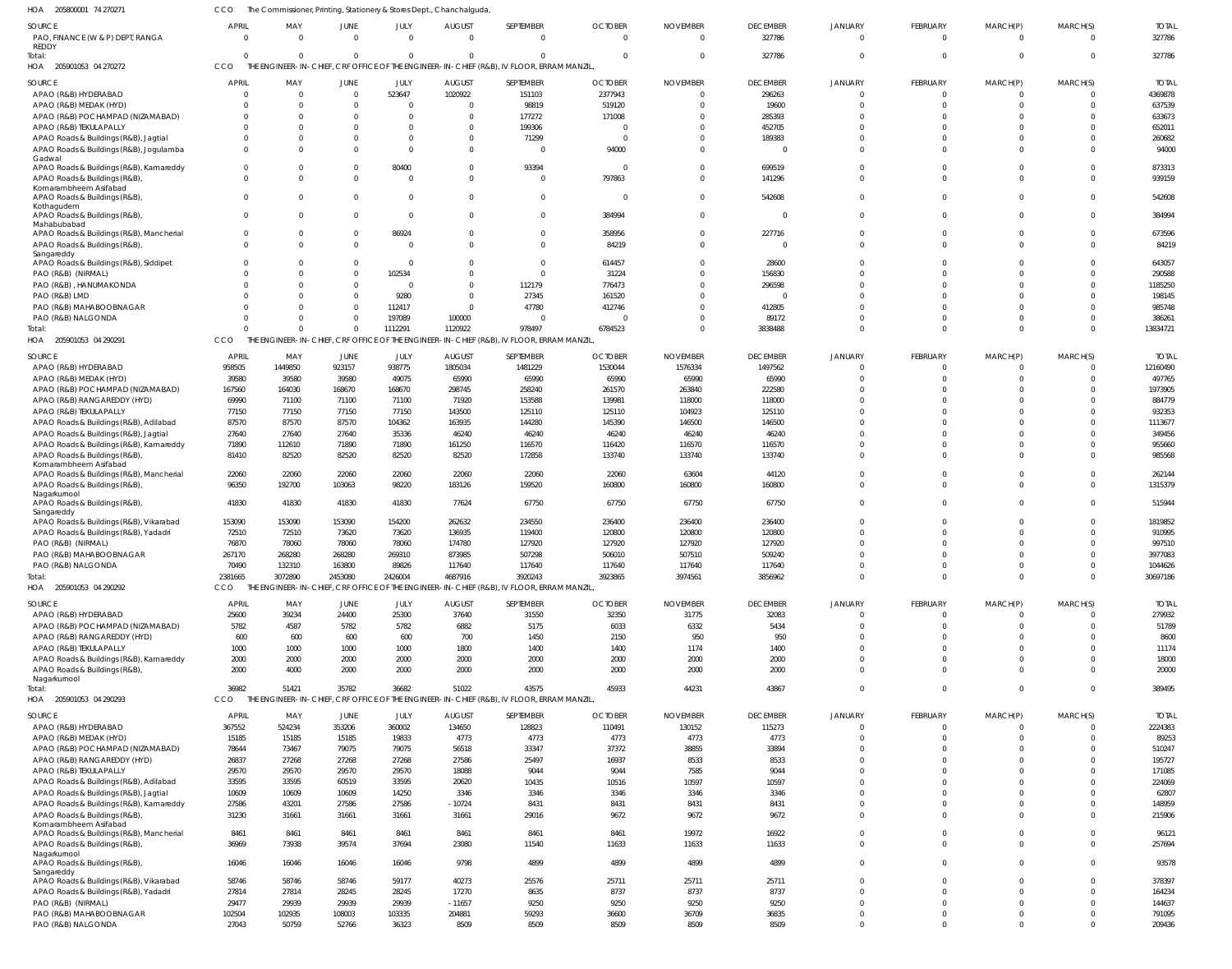205800001 74 270271 HOA CCO The Commissioner, Printing, Stationery & Stores Dept., Chanchalguda,

| SOURCE                                                                                             | <b>APRIL</b>   | MAY               | JUNE                 | JULY                   | <b>AUGUST</b>            | SEPTEMBER                                                                                             | <b>OCTOBER</b>     | <b>NOVEMBER</b>  | <b>DECEMBER</b>    | <b>JANUARY</b>       | FEBRUARY             | MARCH(P)             | MARCH(S)             | <b>TOTAI</b>      |
|----------------------------------------------------------------------------------------------------|----------------|-------------------|----------------------|------------------------|--------------------------|-------------------------------------------------------------------------------------------------------|--------------------|------------------|--------------------|----------------------|----------------------|----------------------|----------------------|-------------------|
| PAO, FINANCE (W & P) DEPT, RANGA<br>REDDY                                                          |                | $\Omega$          | $\Omega$             | $\Omega$               | $\Omega$                 | $\Omega$                                                                                              | $\Omega$           | $\Omega$         | 327786             | $\Omega$             | $\Omega$             | $\Omega$             | $\Omega$             | 327786            |
| Total:<br>HOA 205901053 04 270272                                                                  | CCO            | $\Omega$          | $\Omega$             | $\Omega$               | $\Omega$                 | $\Omega$<br>THE ENGINEER-IN-CHIEF, CRF OFFICE OF THE ENGINEER-IN-CHIEF (R&B), IV FLOOR, ERRAM MANZIL, |                    |                  | 327786             | $\Omega$             | $\Omega$             | $\Omega$             | $\Omega$             | 327786            |
|                                                                                                    | <b>APRIL</b>   |                   | JUNE                 |                        | <b>AUGUST</b>            | SEPTEMBER                                                                                             | <b>OCTOBER</b>     |                  | <b>DECEMBER</b>    | JANUARY              | FEBRUARY             | MARCH(P)             |                      | <b>TOTAL</b>      |
| SOURCE<br>APAO (R&B) HYDERABAD                                                                     |                | MAY               | $\Omega$             | JULY<br>523647         | 1020922                  | 151103                                                                                                | 2377943            | <b>NOVEMBER</b>  | 296263             | $\Omega$             | $\Omega$             | $\Omega$             | MARCH(S)<br>$\Omega$ | 4369878           |
| APAO (R&B) MEDAK (HYD)                                                                             |                | $\Omega$          | $\Omega$             | $\Omega$               | 0                        | 98819                                                                                                 | 519120             |                  | 19600              | $\Omega$             | $\Omega$             | $\Omega$             | $\Omega$             | 637539            |
| APAO (R&B) POCHAMPAD (NIZAMABAD)                                                                   |                | <sup>0</sup>      | $\Omega$             | $\Omega$               |                          | 177272                                                                                                | 171008             |                  | 285393             | $\Omega$             | $\Omega$             | $\Omega$             | $\Omega$             | 633673            |
| APAO (R&B) TEKULAPALLY                                                                             |                |                   | <sup>0</sup>         | $\Omega$               |                          | 199306                                                                                                |                    |                  | 452705             | $\Omega$             | $\Omega$             | $\Omega$             | $\Omega$             | 652011            |
| APAO Roads & Buildings (R&B), Jagtial                                                              |                | <sup>0</sup>      | 0                    | $\Omega$               | 0                        | 71299                                                                                                 |                    |                  | 189383             | $\Omega$             | $\Omega$             | $\Omega$             | $\Omega$             | 260682            |
| APAO Roads & Buildings (R&B), Jogulamba<br>Gadwal                                                  |                |                   | $\Omega$             | $\Omega$               | 0                        | $\Omega$                                                                                              | 94000              |                  | $\Omega$           | $\Omega$             | $\Omega$             | $\Omega$             | $\Omega$             | 94000             |
| APAO Roads & Buildings (R&B), Kamareddy<br>APAO Roads & Buildings (R&B),                           |                | U<br><sup>0</sup> | $\Omega$<br>$\Omega$ | 80400<br>$\mathbf{0}$  | 0<br>$\Omega$            | 93394<br>$\Omega$                                                                                     | $\Omega$<br>797863 | $\Omega$         | 699519<br>141296   | $\Omega$<br>$\Omega$ | $\Omega$<br>$\Omega$ | $\Omega$<br>$\Omega$ | $\Omega$<br>$\Omega$ | 873313<br>939159  |
| Komarambheem Asifabad<br>APAO Roads & Buildings (R&B),                                             |                | <sup>0</sup>      | $\Omega$             | $\mathbf 0$            | 0                        | $\Omega$                                                                                              | $\Omega$           | $\Omega$         | 542608             | $\Omega$             | $\Omega$             | $\Omega$             | $\Omega$             | 542608            |
| Kothagudem<br>APAO Roads & Buildings (R&B),                                                        | $\Omega$       | 0                 | $\Omega$             | $\overline{0}$         | 0                        | $\Omega$                                                                                              | 384994             | $\Omega$         | 0                  | $\mathbf 0$          | $\Omega$             | $\Omega$             | $\mathbf 0$          | 384994            |
| Mahabubabad<br>APAO Roads & Buildings (R&B), Mancherial                                            |                | 0                 | 0                    | 86924                  | 0                        | $\Omega$                                                                                              | 358956             | 0                | 227716             | $\Omega$             | $\Omega$             | $\Omega$             | $\mathbf 0$          | 673596            |
| APAO Roads & Buildings (R&B),<br>Sangareddy                                                        |                | $\Omega$          | $\Omega$             | $\overline{0}$         |                          | $\Omega$                                                                                              | 84219              |                  | $\Omega$           | $\Omega$             | $\Omega$             | $\Omega$             | $\Omega$             | 84219             |
| APAO Roads & Buildings (R&B), Siddipet                                                             |                |                   | 0                    | $\overline{0}$         |                          | $\Omega$                                                                                              | 614457             |                  | 28600              | $\Omega$             | $\Omega$             | $\Omega$             | $\Omega$             | 643057            |
| PAO (R&B) (NIRMAL)                                                                                 |                | <sup>0</sup>      | $\Omega$             | 102534                 | 0                        | $\Omega$                                                                                              | 31224              |                  | 156830             | $\Omega$             | $\Omega$             | $\Omega$             | $\Omega$             | 290588            |
| PAO (R&B), HANUMAKONDA<br>PAO (R&B) LMD                                                            |                | <sup>0</sup>      | $\Omega$<br>$\Omega$ | $\overline{0}$<br>9280 | $\Omega$<br><sup>0</sup> | 112179<br>27345                                                                                       | 776473<br>161520   |                  | 296598<br>$\Omega$ | $\Omega$<br>$\Omega$ | $\Omega$             | $\Omega$<br>$\Omega$ | $\Omega$<br>$\Omega$ | 1185250<br>198145 |
| PAO (R&B) MAHABOOBNAGAR                                                                            |                |                   | $\Omega$             | 112417                 | $\Omega$                 | 47780                                                                                                 | 412746             |                  | 412805             | $\Omega$             | $\Omega$             | $\Omega$             | $\Omega$             | 985748            |
| PAO (R&B) NALGONDA                                                                                 |                |                   | $\Omega$             | 197089                 | 100000                   | - 0                                                                                                   |                    | U                | 89172              | $\Omega$             | $\Omega$             | $\Omega$             | $\Omega$             | 386261            |
| Total:                                                                                             |                | $\Omega$          | $\Omega$             | 1112291                | 1120922                  | 978497                                                                                                | 6784523            | $\Omega$         | 3838488            | $\Omega$             | $\Omega$             | $\Omega$             | $\Omega$             | 13834721          |
| HOA 205901053 04 290291                                                                            | <b>CCO</b>     |                   |                      |                        |                          | THE ENGINEER-IN-CHIEF, CRF OFFICE OF THE ENGINEER-IN-CHIEF (R&B), IV FLOOR, ERRAM MANZIL              |                    |                  |                    |                      |                      |                      |                      |                   |
| SOURCE                                                                                             | <b>APRIL</b>   | MAY               | JUNE                 | JULY                   | <b>AUGUST</b>            | SEPTEMBER                                                                                             | <b>OCTOBER</b>     | <b>NOVEMBER</b>  | <b>DECEMBER</b>    | <b>JANUARY</b>       | FEBRUARY             | MARCH(P)             | MARCH(S)             | <b>TOTA</b>       |
| APAO (R&B) HYDERABAD                                                                               | 958505         | 1449850           | 923157               | 938775                 | 1805034                  | 1481229                                                                                               | 1530044            | 1576334          | 1497562            | $\Omega$             | $\Omega$             |                      | $\Omega$             | 12160490          |
| APAO (R&B) MEDAK (HYD)                                                                             | 39580          | 39580             | 39580                | 49075                  | 65990                    | 65990                                                                                                 | 65990              | 65990            | 65990              | $\Omega$             | $\Omega$             | $\Omega$             | $\Omega$             | 497765            |
| APAO (R&B) POCHAMPAD (NIZAMABAD)                                                                   | 167560         | 164030            | 168670               | 168670                 | 298745                   | 258240                                                                                                | 261570             | 263840           | 222580             | -C                   | $\Omega$             | $\Omega$             | $\Omega$             | 1973905           |
| APAO (R&B) RANGAREDDY (HYD)                                                                        | 69990          | 71100             | 71100                | 71100                  | 71920                    | 153588                                                                                                | 139981             | 118000           | 118000             | -C                   | $\Omega$             | $\Omega$             | C                    | 884779            |
| APAO (R&B) TEKULAPALLY                                                                             | 77150          | 77150             | 77150                | 77150                  | 143500                   | 125110                                                                                                | 125110             | 104923           | 125110             | $\Omega$             |                      |                      | $\Omega$             | 932353            |
| APAO Roads & Buildings (R&B), Adilabad                                                             | 87570          | 87570             | 87570                | 104362                 | 163935                   | 144280                                                                                                | 145390             | 146500           | 146500             | $\Omega$             | $\Omega$             |                      | $\mathsf{C}$         | 1113677           |
| APAO Roads & Buildings (R&B), Jagtial                                                              | 27640          | 27640             | 27640                | 35336                  | 46240                    | 46240                                                                                                 | 46240              | 46240            | 46240              | $\Omega$             | $\Omega$             | $\Omega$             | $\Omega$             | 349456            |
| APAO Roads & Buildings (R&B), Kamareddy                                                            | 71890<br>81410 | 112610<br>82520   | 71890<br>82520       | 71890<br>82520         | 161250<br>82520          | 116570<br>172858                                                                                      | 116420<br>133740   | 116570<br>133740 | 116570<br>133740   | $\Omega$<br>$\Omega$ | $\Omega$<br>$\Omega$ | $\Omega$<br>$\Omega$ | $\Omega$<br>$\Omega$ | 955660<br>985568  |
| APAO Roads & Buildings (R&B),<br>Komarambheem Asifabad<br>APAO Roads & Buildings (R&B), Mancherial | 22060          | 22060             | 22060                | 22060                  | 22060                    | 22060                                                                                                 | 22060              | 63604            | 44120              | $\Omega$             |                      | $\Omega$             | $\Omega$             | 262144            |
| APAO Roads & Buildings (R&B),                                                                      | 96350          | 192700            | 103063               | 98220                  | 183126                   | 159520                                                                                                | 160800             | 160800           | 160800             | $\Omega$             | $\Omega$             | $\Omega$             | $\Omega$             | 1315379           |
| Nagarkurnool<br>APAO Roads & Buildings (R&B),                                                      | 41830          | 41830             | 41830                | 41830                  | 77624                    | 67750                                                                                                 | 67750              | 67750            | 67750              | $\Omega$             | $\Omega$             | $\Omega$             | $\Omega$             | 515944            |
| Sangareddy<br>APAO Roads & Buildings (R&B), Vikarabad                                              | 153090         | 153090            | 153090               | 154200                 | 262632                   | 234550                                                                                                | 236400             | 236400           | 236400             | $\Omega$             | $\Omega$             | $\Omega$             | $\Omega$             | 1819852           |
| APAO Roads & Buildings (R&B), Yadadri                                                              | 72510          | 72510             | 73620                | 73620                  | 136935                   | 119400                                                                                                | 120800             | 120800           | 120800             |                      | $\Omega$             | $\Omega$             | $\Omega$             | 910995            |
| PAO (R&B) (NIRMAL)                                                                                 | 76870          | 78060             | 78060                | 78060                  | 174780                   | 127920                                                                                                | 127920             | 127920           | 127920             |                      | $\Omega$             |                      | C                    | 997510            |
| PAO (R&B) MAHABOOBNAGAR                                                                            | 267170         | 268280            | 268280               | 269310                 | 873985                   | 507298                                                                                                | 506010             | 507510           | 509240             |                      | $\Omega$             |                      | $\Omega$             | 3977083           |
| PAO (R&B) NALGONDA                                                                                 | 70490          | 132310            | 163800               | 89826                  | 117640                   | 117640                                                                                                | 117640             | 117640           | 117640             |                      |                      |                      | $\Omega$             | 1044626           |
| Total:                                                                                             | 2381665        | 3072890           | 2453080              | 2426004                | 4687916                  | 3920243                                                                                               | 3923865            | 3974561          | 3856962            | $\mathbf{0}$         | $\Omega$             | $\Omega$             | $\overline{0}$       | 30697186          |
| 205901053 04 290292<br>HOA                                                                         | CCO            |                   |                      |                        |                          | THE ENGINEER-IN-CHIEF, CRF OFFICE OF THE ENGINEER-IN-CHIEF (R&B), IV FLOOR, ERRAM MANZIL              |                    |                  |                    |                      |                      |                      |                      |                   |
| SOURCE                                                                                             | <b>APRIL</b>   | MAY               | <b>JUNE</b>          | JULY                   | <b>AUGUST</b>            | SEPTEMBER                                                                                             | <b>OCTOBER</b>     | <b>NOVEMBER</b>  | <b>DECEMBER</b>    | JANUARY              | FEBRUARY             | MARCH(P)             | MARCH(S)             | <b>TOTAL</b>      |
| APAO (R&B) HYDERABAD                                                                               | 25600          | 39234             | 24400                | 25300                  | 37640                    | 31550                                                                                                 | 32350              | 31775            | 32083              | $\overline{0}$       | $\Omega$             | $\Omega$             | $\Omega$             | 279932            |
| APAO (R&B) POCHAMPAD (NIZAMABAD)                                                                   | 5782           | 4587              | 5782                 | 5782                   | 6882                     | 5175                                                                                                  | 6033               | 6332             | 5434               | $\overline{0}$       | $\Omega$             | $\Omega$             | $\overline{0}$       | 51789             |
| APAO (R&B) RANGAREDDY (HYD)                                                                        | 600            | 600               | 600                  | 600                    | 700                      | 1450                                                                                                  | 2150               | 950              | 950                | $\Omega$             | $\Omega$             | $\Omega$             | $\Omega$             | 8600              |
| APAO (R&B) TEKULAPALLY                                                                             | 1000           | 1000              | 1000                 | 1000                   | 1800                     | 1400                                                                                                  | 1400               | 1174             | 1400               | $\Omega$             | $\Omega$             | $\Omega$             | $\Omega$             | 11174             |
| APAO Roads & Buildings (R&B), Kamareddy<br>APAO Roads & Buildings (R&B),                           | 2000<br>2000   | 2000<br>4000      | 2000<br>2000         | 2000<br>2000           | 2000<br>2000             | 2000<br>2000                                                                                          | 2000<br>2000       | 2000<br>2000     | 2000<br>2000       | $\Omega$<br>$\Omega$ | $\Omega$<br>$\Omega$ | $\Omega$<br>$\Omega$ | $\Omega$<br>$\Omega$ | 18000<br>20000    |
| Nagarkurnool<br>Total:                                                                             | 36982          | 51421             | 35782                | 36682                  | 51022                    | 43575                                                                                                 | 45933              | 44231            | 43867              | $\overline{0}$       | $\Omega$             | $\Omega$             | $\overline{0}$       | 389495            |
| HOA 205901053 04 290293                                                                            | <b>CCO</b>     |                   |                      |                        |                          | THE ENGINEER-IN-CHIEF, CRF OFFICE OF THE ENGINEER-IN-CHIEF (R&B), IV FLOOR, ERRAM MANZIL              |                    |                  |                    |                      |                      |                      |                      |                   |
| <b>SOURCE</b>                                                                                      | <b>APRIL</b>   | MAY               | <b>JUNE</b>          | JULY                   | <b>AUGUST</b>            | SEPTEMBER                                                                                             | <b>OCTOBER</b>     | <b>NOVEMBER</b>  | <b>DECEMBER</b>    | <b>JANUARY</b>       | FEBRUARY             | MARCH(P)             | MARCH(S)             | <b>TOTAL</b>      |
| APAO (R&B) HYDERABAD                                                                               | 367552         | 524234            | 353206               | 360002                 | 134650                   | 128823                                                                                                | 110491             | 130152           | 115273             | 0                    | $\Omega$             | $\Omega$             | $\Omega$             | 2224383           |
| APAO (R&B) MEDAK (HYD)                                                                             | 15185          | 15185             | 15185                | 19833                  | 4773                     | 4773                                                                                                  | 4773               | 4773             | 4773               | $\Omega$             | $\Omega$             | $\Omega$             | $\Omega$             | 89253             |
| APAO (R&B) POCHAMPAD (NIZAMABAD)                                                                   | 78644          | 73467             | 79075                | 79075                  | 56518                    | 33347                                                                                                 | 37372              | 38855            | 33894              | $\Omega$             | $\Omega$             | $\Omega$             | $\Omega$             | 510247            |
| APAO (R&B) RANGAREDDY (HYD)                                                                        | 26837          | 27268             | 27268                | 27268                  | 27586                    | 25497                                                                                                 | 16937              | 8533             | 8533               | $\Omega$             | $\Omega$             | $\Omega$             | $\Omega$             | 195727            |
| APAO (R&B) TEKULAPALLY                                                                             | 29570          | 29570             | 29570                | 29570                  | 18088                    | 9044                                                                                                  | 9044               | 7585             | 9044               | $\Omega$             | $\Omega$             | $\Omega$             | $\Omega$             | 171085            |
| APAO Roads & Buildings (R&B), Adilabad                                                             | 33595          | 33595             | 60519                | 33595                  | 20620                    | 10435                                                                                                 | 10516              | 10597            | 10597              | $\Omega$             | $\Omega$             | $\Omega$             | $\Omega$             | 224069            |
| APAO Roads & Buildings (R&B), Jagtial                                                              | 10609          | 10609             | 10609                | 14250                  | 3346                     | 3346                                                                                                  | 3346               | 3346             | 3346               | $\Omega$             | $\Omega$             | $\Omega$             | $\Omega$             | 6280              |
| APAO Roads & Buildings (R&B), Kamareddy                                                            | 27586          | 43201             | 27586                | 27586                  | $-10724$                 | 8431                                                                                                  | 8431               | 8431             | 8431               | $\Omega$             | $\Omega$             | $\Omega$             | $\Omega$             | 148959            |
| APAO Roads & Buildings (R&B),<br>Komarambheem Asifabad                                             | 31230          | 31661             | 31661                | 31661                  | 31661                    | 29016                                                                                                 | 9672               | 9672             | 9672               | $\Omega$             | $\Omega$             | $\Omega$             | $\Omega$             | 215906            |
| APAO Roads & Buildings (R&B), Mancherial                                                           | 8461           | 8461              | 8461                 | 8461                   | 8461                     | 8461                                                                                                  | 8461               | 19972            | 16922              | $\mathbf{0}$         | $\Omega$             | $\Omega$             | $\overline{0}$       | 96121             |
| APAO Roads & Buildings (R&B),                                                                      | 36969          | 73938             | 39574                | 37694                  | 23080                    | 11540                                                                                                 | 11633              | 11633            | 11633              | $\mathbf 0$          | $\Omega$             | $\Omega$             | $\Omega$             | 257694            |
| Nagarkurnool<br>APAO Roads & Buildings (R&B),                                                      | 16046          | 16046             | 16046                | 16046                  | 9798                     | 4899                                                                                                  | 4899               | 4899             | 4899               | $\mathbf 0$          | $\Omega$             | $\Omega$             | $\mathbf 0$          | 93578             |
| Sangareddy                                                                                         |                |                   |                      |                        |                          |                                                                                                       |                    |                  |                    |                      |                      |                      |                      |                   |
| APAO Roads & Buildings (R&B), Vikarabad                                                            | 58746          | 58746             | 58746                | 59177                  | 40273                    | 25576                                                                                                 | 25711              | 25711            | 25711              | $\mathbf{0}$         | $\Omega$             | $\Omega$             | $\mathbf 0$          | 378397            |
| APAO Roads & Buildings (R&B), Yadadri<br>PAO (R&B) (NIRMAL)                                        | 27814<br>29477 | 27814<br>29939    | 28245<br>29939       | 28245<br>29939         | 17270<br>$-11657$        | 8635<br>9250                                                                                          | 8737<br>9250       | 8737<br>9250     | 8737<br>9250       | $\Omega$<br>$\Omega$ | $\Omega$<br>$\Omega$ | $\Omega$<br>$\Omega$ | $\Omega$<br>$\Omega$ | 164234<br>144637  |
| PAO (R&B) MAHABOOBNAGAR                                                                            | 102504         | 102935            | 108003               | 103335                 | 204881                   | 59293                                                                                                 | 36600              | 36709            | 36835              | 0                    | $\Omega$             | $\Omega$             | $\overline{0}$       | 791095            |
| PAO (R&B) NALGONDA                                                                                 | 27043          | 50759             | 52766                | 36323                  | 8509                     | 8509                                                                                                  | 8509               | 8509             | 8509               | $\Omega$             | $\Omega$             | $\Omega$             | $\Omega$             | 209436            |
|                                                                                                    |                |                   |                      |                        |                          |                                                                                                       |                    |                  |                    |                      |                      |                      |                      |                   |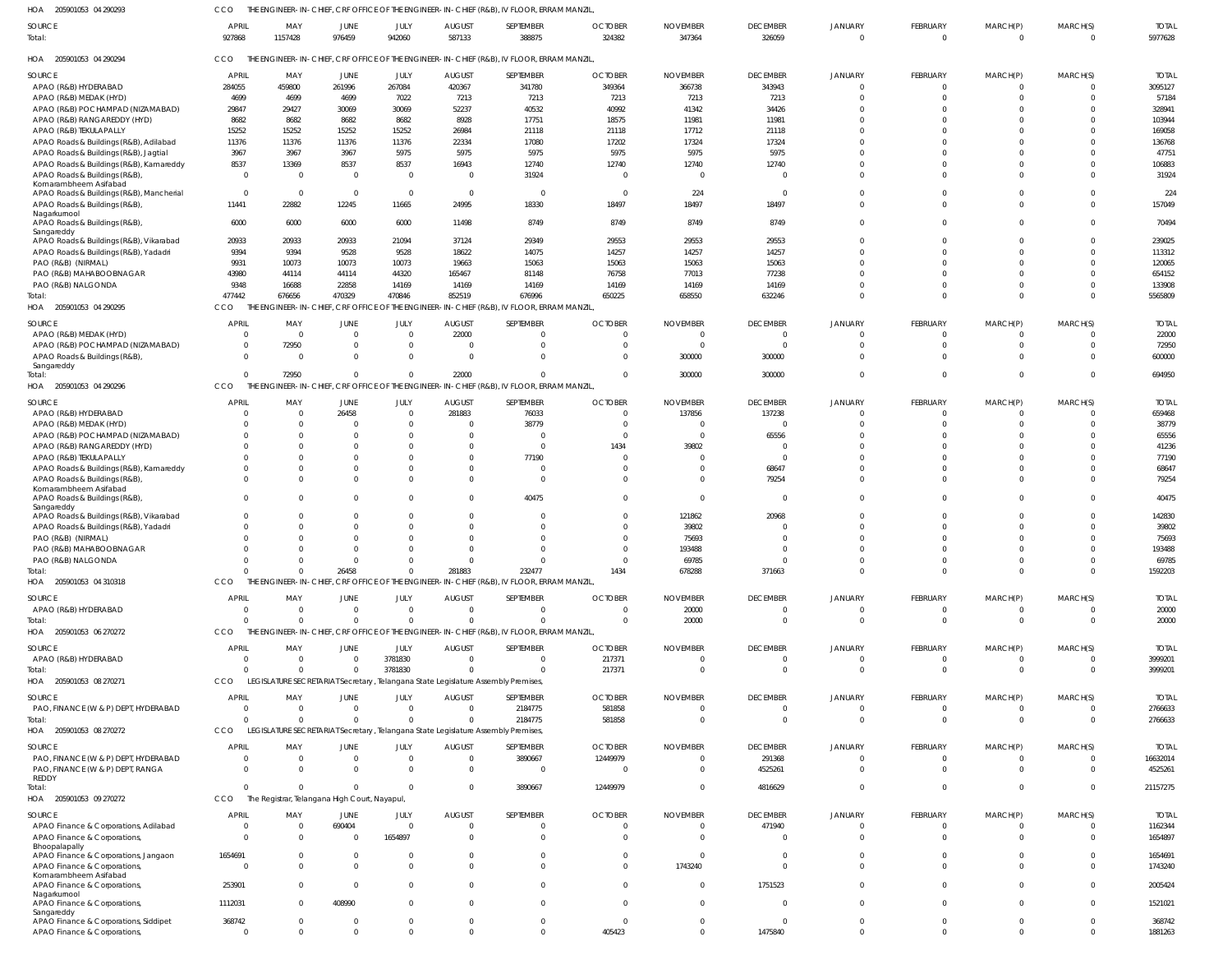205901053 04 290294 HOA 205901053 04 290295 HOA 205901053 04 290296 HOA 205901053 04 310318 HOA 205901053 06 270272 205901053 08 270271 HOA 205901053 08 270272 HOA 205901053 09 270272 HOA HOA THE ENGINEER-IN-CHIEF, CRF OFFICE OF THE ENGINEER-IN-CHIEF (R&B), IV FLOOR, ERRAM MANZIL, THE ENGINEER-IN-CHIEF, CRF OFFICE OF THE ENGINEER-IN-CHIEF (R&B), IV FLOOR, ERRAM MANZIL, THE ENGINEER-IN-CHIEF, CRF OFFICE OF THE ENGINEER-IN-CHIEF (R&B), IV FLOOR, ERRAM MANZIL, THE ENGINEER-IN-CHIEF, CRF OFFICE OF THE ENGINEER-IN-CHIEF (R&B), IV FLOOR, ERRAM MANZIL, THE ENGINEER-IN-CHIEF, CRF OFFICE OF THE ENGINEER-IN-CHIEF (R&B), IV FLOOR, ERRAM MANZIL LEGISLATURE SECRETARIAT Secretary , Telangana State Legislature Assembly Premises, LEGISLATURE SECRETARIAT Secretary , Telangana State Legislature Assembly Premises, CCO The Registrar, Telangana High Court, Nayapul, CCO CCO **CCO CCO CCO** CCO CCO 927868 477442  $\Omega$ 0  $\Omega$  $\Omega$ 0 0 1157428 676656 72950 0  $\Omega$  $\Omega$ 0 0 976459 470329  $\Omega$ 26458  $\Omega$  $\theta$ 0 0 942060 470846  $\Omega$ 0  $\Omega$ 3781830 0 0 587133 852519 22000 281883 0  $\Omega$ 0 0 388875 676996  $\Omega$ 232477  $\Omega$  $\Omega$ 2184775 3890667 324382 650225  $\Omega$ 1434  $\Omega$ 217371 581858 12449979 347364 658550 300000 678288 20000 0 0 0 326059 632246 300000 371663 0  $\Omega$ 0 4816629 0 0 0 0 0 0 0 0 0  $\Omega$  $\Omega$ 0 0 0 0 0  $\Omega$ 0 0 0 0 0 0 0  $\Omega$  $\Omega$  $\Omega$ 0 0  $\Omega$ 0 0 APAO (R&B) HYDERABAD APAO (R&B) MEDAK (HYD) APAO (R&B) POCHAMPAD (NIZAMABAD) APAO (R&B) RANGAREDDY (HYD) APAO (R&B) TEKULAPALLY APAO Roads & Buildings (R&B), Adilabad APAO Roads & Buildings (R&B), Jagtial APAO Roads & Buildings (R&B), Kamareddy APAO Roads & Buildings (R&B), Komarambheem Asifabad APAO Roads & Buildings (R&B), Mancherial APAO Roads & Buildings (R&B), Nagarkurnool APAO Roads & Buildings (R&B), Sangareddy APAO Roads & Buildings (R&B), Vikarabad APAO Roads & Buildings (R&B), Yadadri PAO (R&B) (NIRMAL) PAO (R&B) MAHABOOBNAGAR PAO (R&B) NALGONDA APAO (R&B) MEDAK (HYD) APAO (R&B) POCHAMPAD (NIZAMABAD) APAO Roads & Buildings (R&B), Sangareddy APAO (R&B) HYDERABAD APAO (R&B) MEDAK (HYD) APAO (R&B) POCHAMPAD (NIZAMABAD) APAO (R&B) RANGAREDDY (HYD) APAO (R&B) TEKULAPALLY APAO Roads & Buildings (R&B), Kamareddy APAO Roads & Buildings (R&B), Komarambheem Asifabad APAO Roads & Buildings (R&B), Sangareddy APAO Roads & Buildings (R&B), Vikarabad APAO Roads & Buildings (R&B), Yadadri PAO (R&B) (NIRMAL) PAO (R&B) MAHABOOBNAGAR PAO (R&B) NALGONDA APAO (R&B) HYDERABAD APAO (R&B) HYDERABAD PAO, FINANCE (W & P) DEPT, HYDERABAD PAO, FINANCE (W & P) DEPT, HYDERABAD PAO, FINANCE (W & P) DEPT, RANGA REDDY APAO Finance & Corporations, Adilabad APAO Finance & Corporations, Bhoopalapally SOURCE **SOURCE** SOURCE SOURCE **SOURCE** SOURCE SOURCE **SOURCE** 284055 4699 29847 8682 15252 11376 3967 8537 0  $\mathfrak{c}$ 11441 6000 20933 9394 9931 43980 9348 0 0  $\Omega$ 0  $\Omega$  $\mathfrak{c}$ 0 0  $\Omega$  $\Omega$  $\Omega$  $\mathfrak{c}$  $\Omega$  $\Omega$  $\Omega$ 0  $\mathfrak{c}$ 0 0  $\mathfrak{c}$ 0  $\mathfrak{c}$ 0 APRIL APRIL **APRIL APRIL** APRIL APRIL APRIL APRIL 459800 4699 29427 8682 15252 11376 3967 13369 0 0 22882 6000 20933 9394 10073 44114 16688  $\sqrt{2}$ 72950  $\Omega$ 0  $\Omega$ 0 0 0  $\Omega$  $\Omega$  $\Omega$ 0  $\Omega$  $\Omega$  $\Omega$ 0 0 0 0 0 0 0 0 MAY MAY MAY MAY MAY MAY MAY MAY 261996 4699 30069 8682 15252 11376 3967 8537 0 0 12245 6000 20933 9528 10073 44114 22858 0 0  $\Omega$ 26458  $\Omega$ 0 0 0  $\Omega$  $\Omega$ 0 0  $\Omega$  $\Omega$  $\Omega$  $\sqrt{2}$ 0 0  $\Omega$  $\mathbf 0$ 0 690404 0 JUNE JUNE JUNE **JUNE** JUNE JUNE **JUNE JUNE** 267084 7022 30069 8682 15252 11376 5975 8537 0 0 11665 6000 21094 9528 10073 44320 14169  $\Omega$ 0  $\Omega$ 0  $\Omega$ 0  $\Omega$  $\bigcap$ 0 0 0 0  $\Omega$  $\bigcap$ 0 0 0 3781830 0 0 0 0 1654897 JULY JULY JULY JULY JULY JULY JULY JULY 420367 7213 52237 8928 26984 22334 5975 16943 0 0 24995 11498 37124 18622 19663 165467 14169 22000 0  $\Omega$ 281883  $\Omega$ 0 0 0 0 0 0 0 0 0  $\Omega$  $\Omega$ 0 0 0 0 0 0 0 **AUGUST** AUGUST AUGUST **AUGUST** AUGUST AUGUST **AUGUST** AUGUST 341780 7213 40532 17751 21118 17080 5975 12740 31924 0 18330 8749 29349 14075 15063 81148 14169  $\sqrt{2}$ 0  $\Omega$ 76033 38779 0 0 77190  $\Omega$  $\Omega$ 40475 0  $\Omega$  $\sqrt{2}$ 0 0 0  $\Omega$ 2184775 3890667  $\Omega$ 0  $\Omega$ **SEPTEMBER** SEPTEMBER SEPTEMBER SEPTEMBER SEPTEMBER SEPTEMBER **SEPTEMBER SEPTEMBER** 349364 7213 40992 18575 21118 17202 5975 12740  $\Omega$  $\Omega$ 18497 8749 29553 14257 15063 76758 14169  $\Omega$ 0  $\Omega$ 0  $\Omega$ 0 1434 0  $\Omega$  $\Omega$  $\Omega$ 0 0  $\Omega$  $\Omega$ 0 0 217371 581858 12449979  $\Omega$ 0 0 OCTOBER OCTOBER **OCTOBER** OCTOBER **OCTOBER** OCTOBER OCTOBER **OCTOBER** 366738 7213 41342 11981 17712 17324 5975 12740 0 224 18497 8749 29553 14257 15063 77013 14169  $\Omega$ 0 300000 137856  $\Omega$ 0 39802  $\Omega$  $\Omega$  $\Omega$  $\Omega$ 121862 39802 75693 193488 69785 20000  $\Omega$  $\Omega$ 0 0 0 0 NOVEMBER NOVEMBER NOVEMBER NOVEMBER NOVEMBER NOVEMBER NOVEMBER NOVEMBER 343943 7213 34426 11981 21118 17324 5975 12740 0  $\Omega$ 18497 8749 29553 14257 15063 77238 14169  $\Omega$ 0 300000 137238  $\bigcap$ 65556  $\Omega$ 0 68647 79254  $\Omega$ 20968  $\Omega$  $\bigcap$  $\Omega$ 0 0  $\Omega$  $\Omega$ 291368 4525261 471940 0 **DECEMBER** DECEMBER **DECEMBER DECEMBER** DECEMBER DECEMBER **DECEMBER** DECEMBER 0 0 0  $\Omega$  $\Omega$ 0  $\Omega$ 0 0 0 0 0  $\Omega$ 0  $\Omega$  $\mathfrak{c}$ 0  $\Omega$ 0  $\Omega$ 0  $\Omega$  $\mathfrak{c}$ 0  $\Omega$  $\Omega$  $\Omega$  $\Omega$ 0 0  $\Omega$  $\Omega$  $\Omega$ 0 0  $\Omega$  $\mathbf{C}$ 0 0 0 JANUARY JANUARY JANUARY JANUARY JANUARY JANUARY JANUARY JANUARY 0 0 0  $\Omega$  $\Omega$ 0  $\Omega$ 0 0 0  $\Omega$ 0  $\sqrt{2}$ 0  $\Omega$ 0  $\Omega$  $\Omega$ 0  $\Omega$ 0  $\Omega$ 0 0 0  $\Omega$  $\Omega$  $\Omega$ 0  $\Omega$  $\Omega$  $\Omega$  $\Omega$ 0  $\Omega$  $\Omega$ 0 0 0 0 FEBRUARY FEBRUARY FEBRUARY FEBRUARY FEBRUARY FEBRUARY **FEBRUARY** FEBRUARY 0 0 0  $\Omega$  $\Omega$ 0  $\Omega$ 0 0 0 0  $\overline{0}$  $\Omega$ 0  $\Omega$  $\overline{0}$ 0  $\Omega$ 0  $\Omega$ 0  $\Omega$  $\overline{0}$  $\Omega$  $\Omega$  $\Omega$  $\Omega$ 0 0 0  $\Omega$  $\Omega$  $\Omega$ 0  $\Omega$  $\Omega$ 0 0 0 0 MARCH(P) MARCH(P) MARCH(P) MARCH(P) MARCH(P) MARCH(P) MARCH(P) MARCH(P) 0 0  $\Omega$ 0  $\Omega$ 0  $\Omega$ 0  $\Omega$ 0  $\Omega$ 0  $\bigcap$ 0  $\Omega$ 0 0 0 0  $\Omega$ 0  $\Omega$ 0  $\Omega$  $\bigcap$ 0  $\Omega$  $\Omega$  $\Omega$  $\Omega$  $\bigcap$  $\Omega$  $\Omega$ 0  $\Omega$  $\sqrt{2}$ 0 0 0 0 MARCH(S) MARCH(S) MARCH(S) MARCH(S) MARCH(S) MARCH(S) MARCH(S) MARCH(S) Total: Total: Total: Total: Total: Total: Total: Total:

5977628

TOTAL

TOTAL

5565809

694950

TOTAL

22000 72950 600000

TOTAL

1592203

20000

20000

TOTAL

3999201

3999201

TOTAL

2766633

2766633

TOTAL

21157275

TOTAL

16632014 4525261

TOTAL

THE ENGINEER-IN-CHIEF, CRF OFFICE OF THE ENGINEER-IN-CHIEF (R&B), IV FLOOR, ERRAM MANZIL,

AUGUST

SEPTEMBER

OCTOBER

NOVEMBER

DECEMBER

JANUARY

FEBRUARY

MARCH(P)

MARCH(S)

JULY

205901053 04 290293 HOA

**SOURCE** 

APAO Finance & Corporations, Jangaon APAO Finance & Corporations, Komarambheem Asifabad APAO Finance & Corporations,

0  $\Omega$ 0 0  $\Omega$  $\mathbf 0$ 

APAO Finance & Corporations, Siddipet APAO Finance & Corporations,

APAO Finance & Corporations,

Nagarkurnool

Sangareddy

CCO

APRIL

MAY

JUNE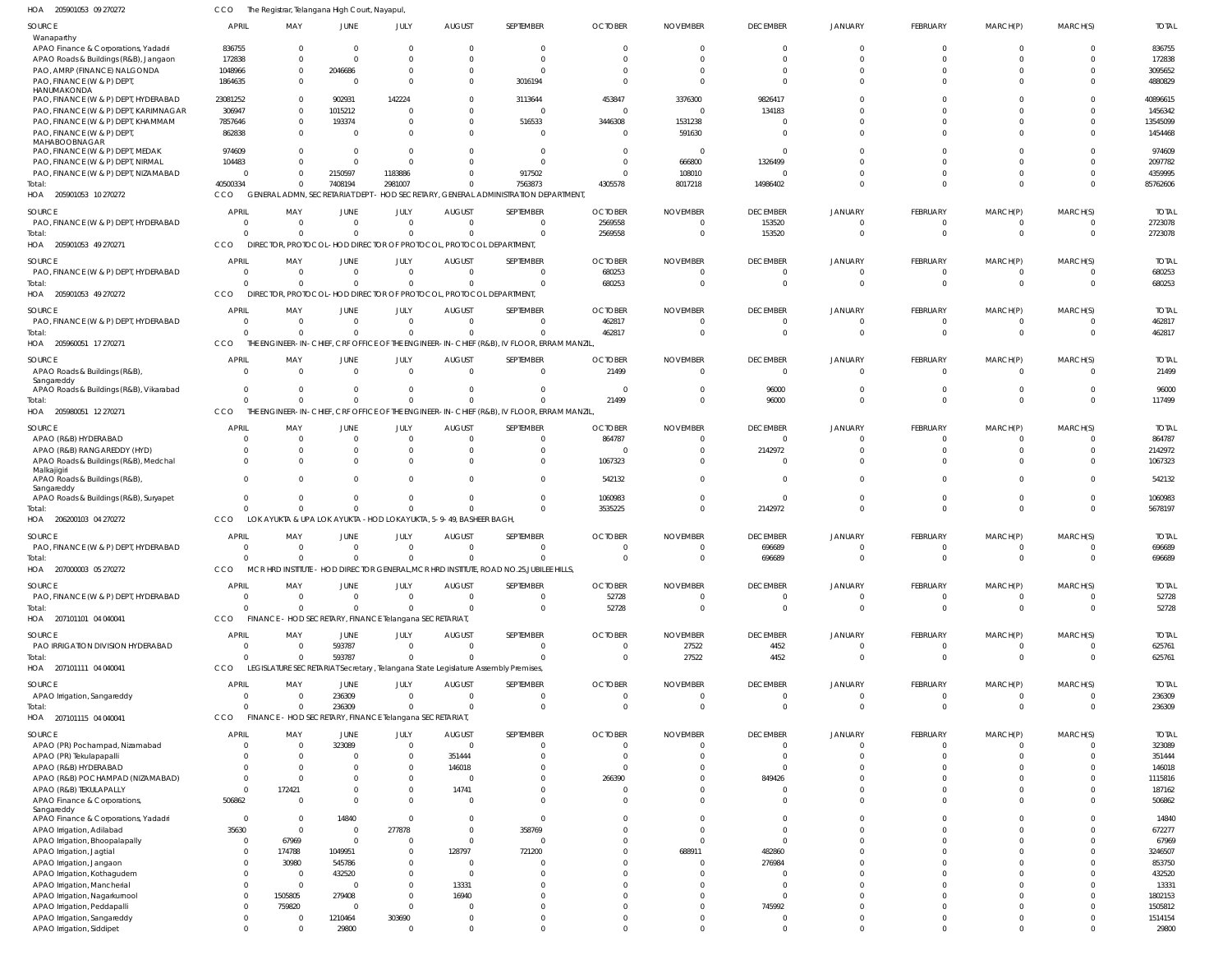205901053 09 270272 HOA 205901053 10 270272 205901053 49 270271 205901053 49 270272 205960051 17 270271 205980051 12 270271 206200103 04 270272 207000003 05 270272 207101101 04 040041 207101111 04 040041 207101115 04 040041 HOA HOA HOA HOA HOA HOA HOA HOA HOA HOA The Registrar, Telangana High Court, Nayapul, GENERAL ADMN, SECRETARIAT DEPT - HOD SECRETARY, GENERAL ADMINISTRATION DEPARTMENT, DIRECTOR, PROTOCOL-HOD DIRECTOR OF PROTOCOL, PROTOCOL DEPARTMENT, DIRECTOR, PROTOCOL-HOD DIRECTOR OF PROTOCOL, PROTOCOL DEPARTMENT, CCO THE ENGINEER-IN-CHIEF, CRF OFFICE OF THE ENGINEER-IN-CHIEF (R&B), IV FLOOR, ERRAM MANZIL, THE ENGINEER-IN-CHIEF, CRF OFFICE OF THE ENGINEER-IN-CHIEF (R&B), IV FLOOR, ERRAM MANZIL, LOK AYUKTA & UPA LOK AYUKTA -HOD LOKAYUKTA, 5-9-49, BASHEER BAGH, MCR HRD INSTITUTE - HOD DIRECTOR GENERAL, MCR HRD INSTITUTE, ROAD NO.25, JUBILEE HILLS, FINANCE - HOD SECRETARY, FINANCE Telangana SECRETARIAT, LEGISLATURE SECRETARIAT Secretary , Telangana State Legislature Assembly Premises, CCO FINANCE - HOD SECRETARY, FINANCE Telangana SECRETARIAT, CCO CCO **CCO CCO** CCO. **CCO** CCO **CCO** CCO 40500334  $\Omega$  $\Omega$ 0 0 0 0  $\Omega$  $\Omega$ 0 0 0 0 0 0  $\Omega$ 0  $\Omega$  $\bigcap$ 0 7408194  $\Omega$  $\Omega$ 0  $\mathbf{C}$  $\mathfrak{g}$ 0 0 593787 236309 2981007  $\Omega$  $\Omega$ 0 0 0 0  $\Omega$  $\bigcap$ 0 0  $\Omega$ 0 0 0  $\Omega$ 0 0  $\Omega$ 0 7563873  $\sqrt{2}$ 0 0 0 0 0  $\Omega$  $\bigcap$ 0 4305578 2569558 680253 462817 21499 3535225 0 52728  $\Omega$ 0 8017218  $\Omega$ 0 0 0  $\Omega$ 0 0 27522 0 14986402 153520 0 0 96000 2142972 696689 0 4452 0 0  $\Omega$  $\,$  0  $\,$ 0 0  $\Omega$ 0 0  $\Omega$ 0 0  $\Omega$  $\Omega$ 0 0 0 0  $\Omega$  $\bigcap$ 0 0  $\Omega$ 0 0 0  $\Omega$ 0 0 0 0 0  $\Omega$  $\Omega$ 0 0  $\Omega$ 0  $\Omega$  $\bigcap$ 0 85762606 2723078 680253 462817 117499 5678197 696689 52728 625761 236309 Wanaparthy APAO Finance & Corporations, Yadadri APAO Roads & Buildings (R&B), Jangaon PAO, AMRP (FINANCE) NALGONDA PAO, FINANCE (W & P) DEPT, **HANUMAKONDA** PAO, FINANCE (W & P) DEPT, HYDERABAD PAO, FINANCE (W & P) DEPT, KARIMNAGAR PAO, FINANCE (W & P) DEPT, KHAMMAM PAO, FINANCE (W & P) DEPT, MAHABOOBNAGAR PAO, FINANCE (W & P) DEPT, MEDAK PAO, FINANCE (W & P) DEPT, NIRMAL PAO, FINANCE (W & P) DEPT, NIZAMABAD PAO, FINANCE (W & P) DEPT, HYDERABAD PAO, FINANCE (W & P) DEPT, HYDERABAD PAO, FINANCE (W & P) DEPT, HYDERABAD APAO Roads & Buildings (R&B), Sangareddy APAO Roads & Buildings (R&B), Vikarabad APAO (R&B) HYDERABAD APAO (R&B) RANGAREDDY (HYD) APAO Roads & Buildings (R&B), Medchal Malkajigiri APAO Roads & Buildings (R&B), Sangareddy APAO Roads & Buildings (R&B), Suryapet PAO, FINANCE (W & P) DEPT, HYDERABAD PAO, FINANCE (W & P) DEPT, HYDERABAD PAO IRRIGATION DIVISION HYDERABAD APAO Irrigation, Sangareddy APAO (PR) Pochampad, Nizamabad APAO (PR) Tekulapapalli APAO (R&B) HYDERABAD APAO (R&B) POCHAMPAD (NIZAMABAD) APAO (R&B) TEKULAPALLY APAO Finance & Corporations, Sangareddy APAO Finance & Corporations, Yadadri APAO Irrigation, Adilabad APAO Irrigation, Bhoopalapally APAO Irrigation, Jagtial APAO Irrigation, Jangaon APAO Irrigation, Kothagudem APAO Irrigation, Mancherial APAO Irrigation, Nagarkurnool APAO Irrigation, Peddapalli APAO Irrigation, Sangareddy APAO Irrigation, Siddipet SOURCE SOURCE SOURCE **SOURCE** SOURCE **SOURCE** SOURCE SOURCE SOURCE **SOURCE SOURCE** 836755 172838 1048966 1864635 23081252 306947 7857646 862838 974609 104483  $\sqrt{0}$ 0 0 0 0  $\Omega$ 0  $\Omega$  $\mathfrak{c}$  $\Omega$ 0 0  $\mathfrak{c}$ 0 0  $\mathfrak{c}$ 0 0  $\Omega$  $\Omega$ 506862  $\Omega$ 35630 0 0 0 0 0 0 0 0 0 APRIL APRIL **APRIL** APRIL APRIL **APRIL** APRIL APRIL APRIL APRIL APRIL 0  $\Omega$ 0 0 0 0 0  $\Omega$ 0 0 0 0 0 0 0  $\Omega$ 0  $\Omega$ 0  $\Omega$  $\Omega$ 0 0 0  $\Omega$ 0 0 0  $\Omega$ 172421 0 0 0 67969 174788 30980 0 0 1505805 759820 0 0 MAY MAY MAY MAY MAY MAY MAY MAY MAY MAY MAY 0  $\Omega$ 2046686  $\Omega$ 902931 1015212 193374  $\Omega$ 0  $\Omega$ 2150597 0 0 0  $\mathbf{C}$  $\Omega$  $\mathbf{C}$  $\Omega$  $\overline{0}$  $\Omega$  $\Omega$  $\Omega$  $\mathfrak{c}$ 593787 236309 323089 0 0  $\Omega$  $\Omega$ 0 14840 0  $\Omega$ 1049951 545786 432520 0 279408 0 1210464 29800 JUNE **JUNE** JUNE JUNE JUNE JUNE JUNE **JUNE** JUNE JUNE **JUNE** 0  $\Omega$ 0 0 142224  $\Omega$ 0 0 0 0 1183886 0 0  $\Omega$ 0  $\bigcap$ 0  $\sqrt{2}$ 0 0 0  $\Omega$ 0  $\Omega$ 0 0 0  $\Omega$  $\Omega$  $\Omega$ 0  $\Omega$ 277878  $\Omega$ 0  $\Omega$  $\Omega$ 0  $\Omega$ 0 303690 0 JULY JULY JULY JULY JULY JULY JULY JULY JULY JULY JULY 0  $\Omega$ 0 0 0 0 0  $\Omega$ 0 0  $\Omega$ 0 0 0 0  $\Omega$ 0  $\Omega$ 0  $\Omega$  $\Omega$ 0 0 0 0 0 351444 146018  $\Omega$ 14741 0  $\Omega$ 0  $\Omega$ 128797 0  $\Omega$ 13331 16940 0 0 0 AUGUST AUGUST AUGUST AUGUST AUGUST AUGUST AUGUST **AUGUST** AUGUST AUGUST AUGUST 0  $\Omega$ 0 3016194 3113644 0 516533  $\Omega$  $\bigcap$ 0 917502 0  $\Omega$  $\sqrt{2}$ 0  $\bigcap$ 0 0 0  $\Omega$  $\Omega$  $\Omega$ 0  $\Omega$ 0 0  $\Omega$  $\bigcap$ 0 0 0 0 358769 0 721200 0 0 0 0 0 0 0 SEPTEMBER **SEPTEMBER** SEPTEMBER SEPTEMBER SEPTEMBER SEPTEMBER SEPTEMBER SEPTEMBER SEPTEMBER SEPTEMBER **SEPTEMBER** 0  $\Omega$ 0 0 453847 0 3446308 0 0 0 0 2569558 680253 462817 21499  $\Omega$ 864787  $\Omega$ 1067323 542132 1060983  $\Omega$ 52728  $\Omega$  $\Omega$ 0  $\Omega$ 0 266390 0 0 0 0  $\Omega$ 0 0 0 0  $\Omega$ 0 0 0 **OCTOBER OCTOBER** OCTOBER **OCTOBER OCTOBER** OCTOBER OCTOBER OCTOBER OCTOBER OCTOBER OCTOBER 0  $\Omega$ 0 0 3376300 0 1531238 591630 0 666800 108010 0  $\Omega$ 0 0  $\bigcap$ 0  $\sqrt{2}$ 0  $\Omega$  $\Omega$ 0 0 27522  $\Omega$ 0 0 0  $\Omega$  $\sqrt{2}$ 0  $\Omega$ 0  $\Omega$ 688911 0 0 0  $\Omega$ 0 0 0 NOVEMBER NOVEMBER NOVEMBER NOVEMBER NOVEMBER NOVEMBER NOVEMBER NOVEMBER NOVEMBER NOVEMBER NOVEMBER 0  $\Omega$ 0  $\Omega$ 9826417 134183 0  $\Omega$  $\Omega$ 1326499 0 153520 0 0 0 96000 0 2142972 0  $\Omega$  $\Omega$ 696689 0 4452 0 0 0 0 849426 0 0  $\Omega$ 0  $\cap$ 482860 276984 0 0  $\cap$ 745992 0 0 DECEMBER **DECEMBER** DECEMBER DECEMBER DECEMBER **DECEMBER** DECEMBER DECEMBER DECEMBER DECEMBER **DECEMBER** 0  $\Omega$ 0  $\Omega$  $\mathfrak{g}$ 0 0  $\Omega$ 0 0  $\Omega$ 0 0  $\Omega$ 0  $\mathfrak{g}$ 0  $\Omega$  $\mathfrak{c}$  $\Omega$  $\Omega$ 0 0  $\Omega$  $\mathfrak{g}$ 0 0 0  $\Omega$  $\Omega$ 0  $\Omega$ 0  $\Omega$ 0  $\Omega$  $\Omega$ 0  $\Omega$ 0 0 0 JANUARY JANUARY JANUARY JANUARY JANUARY JANUARY JANUARY JANUARY JANUARY JANUARY JANUARY 0  $\Omega$ 0 0 0  $\Omega$ 0 0 0  $\Omega$ 0 0  $\Omega$ 0 0 0 0  $\sqrt{2}$ 0 0 0 0 0  $\Omega$ 0 0 0 0 0 0 0 0 0 0 0 0 0 0 0 0 0 0 FEBRUARY FEBRUARY FEBRUARY FEBRUARY FEBRUARY FEBRUARY FEBRUARY **FEBRUARY** FEBRUARY FEBRUARY FEBRUARY 0  $\Omega$ 0 0 0 0 0  $\Omega$ 0 0  $\Omega$ 0 0  $\Omega$ 0 0 0  $\Omega$ 0  $\Omega$ 0  $\Omega$ 0  $\Omega$  $\Omega$ 0 0 0  $\Omega$  $\Omega$ 0  $\Omega$ 0  $\Omega$  $\theta$ 0  $\Omega$ 0 0 0 0  $\,$  0  $\,$ MARCH(P) MARCH(P) MARCH(P) MARCH(P) MARCH(P) MARCH(P) MARCH(P) MARCH(P) MARCH(P) MARCH(P) MARCH(P) 0  $\Omega$ 0  $\Omega$ 0  $\Omega$ 0 0 0  $\Omega$  $\bigcap$ 0  $\Omega$ 0 0 0 0  $\cap$ 0  $\Omega$  $\Omega$ 0 0  $\Omega$ 0 0 0  $\Omega$ 0 0 0 0 0  $\Omega$ 0 0 0 0  $\Omega$ 0 0 0 MARCH(S) MARCH(S) MARCH(S) MARCH(S) MARCH(S) MARCH(S) MARCH(S) MARCH(S) MARCH(S) MARCH(S) MARCH(S) 836755 172838 3095652 4880829 40896615 1456342 13545099 1454468 974609 2097782 4359995 2723078 680253 462817 21499 96000 864787 2142972 1067323 542132 1060983 696689 52728 625761 236309 323089 351444 146018 1115816 187162 506862 14840 672277 67969 3246507 853750 432520 13331 1802153 1505812 1514154 29800 TOTAL TOTAL TOTAL TOTAL TOTAL TOTAL TOTAL TOTAL TOTAL TOTAL TOTAL Total: Total: Total: Total: Total: Total: Total: Total: Total: Total: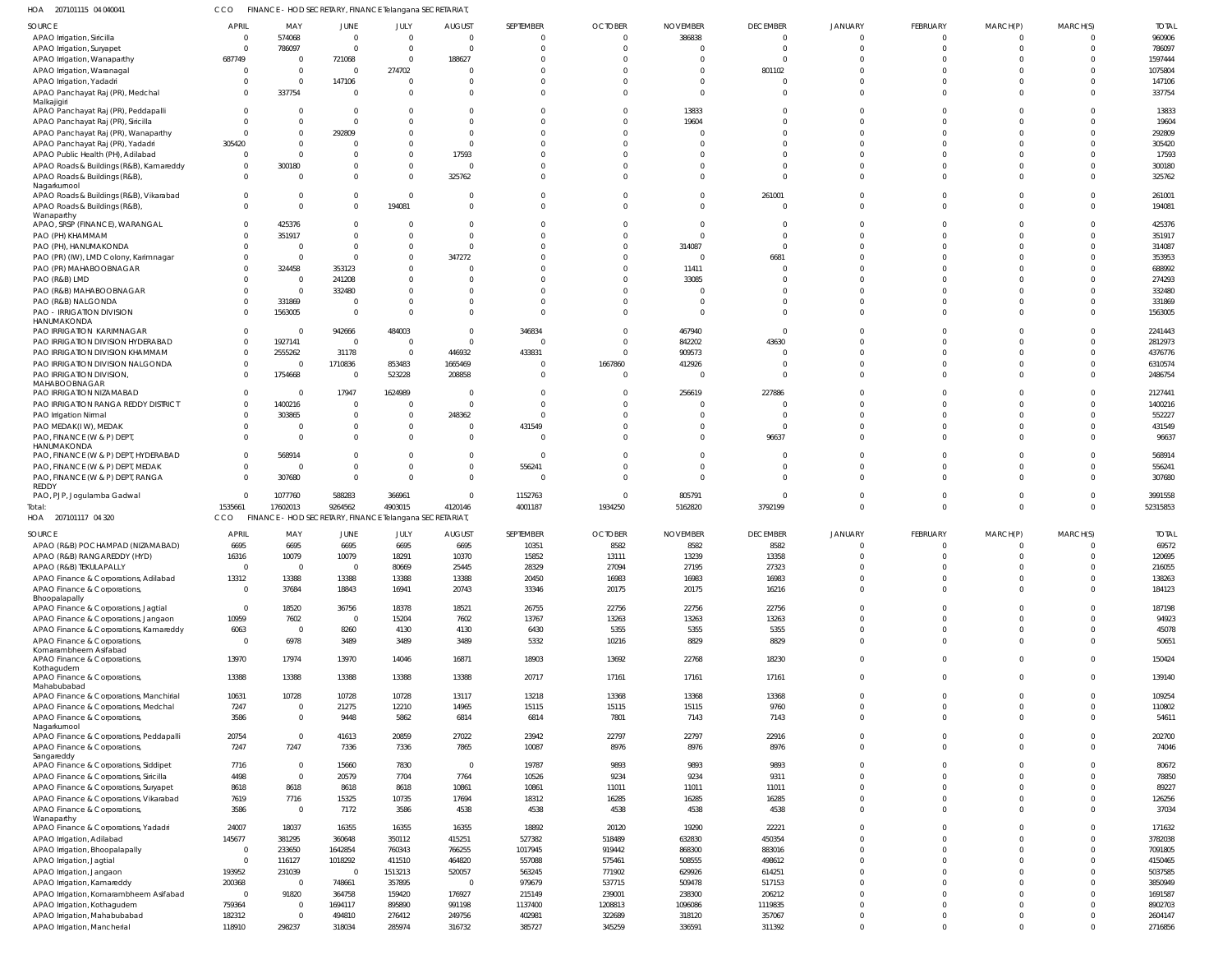207101115 04 040041 HOA CCO FINANCE - HOD SECRETARY, FINANCE Telangana SECRETARIAT,

| SOURCE                                  | <b>APRIL</b>            | MAY                                                     | JUNE     | JULY           | <b>AUGUST</b>  | SEPTEMBER | <b>OCTOBER</b> | <b>NOVEMBER</b> | <b>DECEMBER</b> | <b>JANUARY</b> | FEBRUARY     | MARCH(P)     | MARCH(S)       | <b>TOTAL</b> |
|-----------------------------------------|-------------------------|---------------------------------------------------------|----------|----------------|----------------|-----------|----------------|-----------------|-----------------|----------------|--------------|--------------|----------------|--------------|
| APAO Irrigation, Siricilla              | $\overline{0}$          | 574068                                                  | $\Omega$ | $\overline{0}$ | $\mathsf{C}$   |           | $\overline{0}$ | 386838          | $\Omega$        |                | 0            |              | $\mathbf{0}$   | 960906       |
| APAO Irrigation, Suryapet               | $\overline{0}$          | 786097                                                  | $\Omega$ | $\overline{0}$ |                |           | 0              | 0               | $\Omega$        | $\cap$         | $\mathbf 0$  | $\Omega$     | $\mathbf 0$    | 786097       |
|                                         |                         |                                                         |          |                |                |           |                |                 |                 |                |              |              |                |              |
| APAO Irrigation, Wanaparthy             | 687749                  | - 0                                                     | 721068   | $\Omega$       | 188627         |           | $\Omega$       | $\cup$          | $\Omega$        |                |              |              | $\Omega$       | 1597444      |
| APAO Irrigation, Waranagal              | 0                       | 0                                                       | $\Omega$ | 274702         |                |           | $\Omega$       | $\Omega$        | 801102          |                |              |              | $\Omega$       | 1075804      |
| APAO Irrigation, Yadadri                | $\Omega$                | 0                                                       | 147106   | $\Omega$       |                |           | 0              | $\Omega$        |                 |                |              |              | $\Omega$       | 147106       |
| APAO Panchayat Raj (PR), Medchal        | $\Omega$                | 337754                                                  | - 0      | $\Omega$       |                |           | $\Omega$       | $\Omega$        | $\Omega$        | $\cap$         | $\Omega$     | <sup>0</sup> | $\mathbf 0$    | 337754       |
| Malkajigiri                             |                         |                                                         |          |                |                |           |                |                 |                 |                |              |              |                |              |
| APAO Panchayat Raj (PR), Peddapalli     | 0                       | 0                                                       |          | <sup>0</sup>   |                |           | $\Omega$       | 13833           | $\cap$          |                |              |              | $\Omega$       | 13833        |
| APAO Panchayat Raj (PR), Siricilla      | $\Omega$                | $\Omega$                                                |          |                |                |           | $\Omega$       | 19604           | $\cap$          |                |              |              | $\Omega$       | 19604        |
|                                         |                         |                                                         |          |                |                |           |                |                 |                 |                |              |              |                |              |
| APAO Panchayat Raj (PR), Wanaparthy     | $\overline{0}$          | 0                                                       | 292809   | $\Omega$       |                |           | $\Omega$       | $\Omega$        | $\cap$          |                | $\Omega$     |              | $\Omega$       | 292809       |
| APAO Panchayat Raj (PR), Yadadri        | 305420                  | $\Omega$                                                |          | $\Omega$       |                |           | $\Omega$       | $\cup$          | $\cap$          |                |              |              | $\Omega$       | 305420       |
| APAO Public Health (PH), Adilabad       | $\overline{0}$          | $\Omega$                                                |          | $\mathbf{0}$   | 17593          |           | -0             |                 | $\cap$          |                |              |              | $\Omega$       | 17593        |
|                                         | $\Omega$                |                                                         |          | $\Omega$       |                |           |                |                 | $\cap$          |                |              |              | $\Omega$       |              |
| APAO Roads & Buildings (R&B), Kamareddy |                         | 300180                                                  |          |                |                |           | $\Omega$       | $\Omega$        |                 |                |              |              |                | 300180       |
| APAO Roads & Buildings (R&B),           | $\Omega$                | $\Omega$                                                |          | $\Omega$       | 325762         |           | $\Omega$       | $\cup$          | $\cap$          |                | $\Omega$     | <sup>0</sup> | $\Omega$       | 325762       |
| Nagarkurnool                            |                         |                                                         |          |                |                |           |                |                 |                 |                |              |              |                |              |
| APAO Roads & Buildings (R&B), Vikarabad | $\overline{0}$          | 0                                                       | $\Omega$ | $\Omega$       |                |           | $\Omega$       | $\Omega$        | 261001          |                | $\Omega$     |              | $\Omega$       | 261001       |
| APAO Roads & Buildings (R&B),           | $\Omega$                | $\Omega$                                                | $\Omega$ | 194081         |                |           | $\Omega$       | $\Omega$        | $\Omega$        |                | $\Omega$     | $\Omega$     | $\Omega$       | 194081       |
| Wanaparthy                              |                         |                                                         |          |                |                |           |                |                 |                 |                |              |              |                |              |
| APAO, SRSP (FINANCE), WARANGAL          | $\Omega$                | 425376                                                  | $\Omega$ | $\Omega$       |                |           | 0              | $\Omega$        | $\Omega$        |                | $\Omega$     |              | $\Omega$       | 425376       |
|                                         | $\Omega$                | 351917                                                  |          | $\Omega$       |                |           | $\Omega$       | $\Omega$        | $\Omega$        |                | U            |              | $\Omega$       |              |
| PAO (PH) KHAMMAM                        |                         |                                                         |          |                |                |           |                |                 |                 |                |              |              |                | 351917       |
| PAO (PH), HANUMAKONDA                   | $\Omega$                | 0                                                       |          | $\Omega$       |                |           | $\Omega$       | 314087          | $\Omega$        |                |              |              | $\Omega$       | 314087       |
| PAO (PR) (IW), LMD Colony, Karimnagar   | $\Omega$                | $\overline{0}$                                          | $\Omega$ | $\Omega$       | 347272         |           | $\Omega$       | $\Omega$        | 6681            |                |              |              | $\Omega$       | 353953       |
| PAO (PR) MAHABOOBNAGAR                  | $\Omega$                | 324458                                                  | 353123   | <sup>0</sup>   |                |           | $\Omega$       | 11411           | $\cap$          |                |              |              | $\Omega$       | 688992       |
|                                         |                         |                                                         |          |                |                |           |                |                 |                 |                |              |              |                |              |
| PAO (R&B) LMD                           | $\Omega$                | 0                                                       | 241208   | $\Omega$       |                |           | 0              | 33085           | $\cap$          |                |              |              | $\Omega$       | 274293       |
| PAO (R&B) MAHABOOBNAGAR                 | $\Omega$                | 0                                                       | 332480   | <sup>0</sup>   |                |           | $\Omega$       | $\Omega$        | $\cap$          |                |              |              | $\Omega$       | 332480       |
| PAO (R&B) NALGONDA                      | $\Omega$                | 331869                                                  |          | $\Omega$       |                |           | $\Omega$       | $\Omega$        | $\cap$          |                |              |              | $\Omega$       | 331869       |
| <b>PAO - IRRIGATION DIVISION</b>        | $\Omega$                | 1563005                                                 | - 0      | $\Omega$       |                |           | $\Omega$       | $\Omega$        | $\Omega$        | $\cap$         | $\Omega$     |              | $\mathbf 0$    | 1563005      |
| HANUMAKONDA                             |                         |                                                         |          |                |                |           |                |                 |                 |                |              |              |                |              |
| PAO IRRIGATION KARIMNAGAR               | $\overline{0}$          | - 0                                                     | 942666   | 484003         |                | 346834    | $\Omega$       | 467940          | $\Omega$        |                |              |              | $\Omega$       | 2241443      |
|                                         |                         |                                                         |          |                |                |           |                |                 |                 |                |              |              |                |              |
| PAO IRRIGATION DIVISION HYDERABAD       | $\Omega$                | 1927141                                                 | $\Omega$ | $\overline{0}$ | - 0            |           | $\Omega$       | 842202          | 43630           |                | U            |              | $\Omega$       | 2812973      |
| PAO IRRIGATION DIVISION KHAMMAM         | $\overline{0}$          | 2555262                                                 | 31178    | $\overline{0}$ | 446932         | 433831    | $\Omega$       | 909573          | $\cap$          |                |              |              | $\Omega$       | 4376776      |
| PAO IRRIGATION DIVISION NALGONDA        | $\Omega$                | 0                                                       | 1710836  | 853483         | 1665469        |           | 1667860        | 412926          | $\Omega$        |                | $\Omega$     |              | $\Omega$       | 6310574      |
| PAO IRRIGATION DIVISION,                | $\Omega$                | 1754668                                                 | $\Omega$ | 523228         | 208858         |           | $\Omega$       | $\Omega$        | $\Omega$        |                | $\Omega$     | $\Omega$     | $\Omega$       | 2486754      |
| MAHABOOBNAGAR                           |                         |                                                         |          |                |                |           |                |                 |                 |                |              |              |                |              |
|                                         |                         |                                                         |          |                |                |           |                |                 |                 |                |              |              | $\Omega$       |              |
| PAO IRRIGATION NIZAMABAD                | $\overline{0}$          | - 0                                                     | 17947    | 1624989        | - 0            |           | $\Omega$       | 256619          | 227886          |                |              |              |                | 2127441      |
| PAO IRRIGATION RANGA REDDY DISTRICT     | $\overline{0}$          | 1400216                                                 | - 0      | $\Omega$       |                |           | -0             | $\Omega$        |                 |                |              |              | $\Omega$       | 1400216      |
| PAO Irrigation Nirmal                   | $\Omega$                | 303865                                                  |          | $\Omega$       | 248362         |           | $\Omega$       | $\Omega$        | $\Omega$        |                | $\Omega$     |              | $\Omega$       | 552227       |
| PAO MEDAK(IW), MEDAK                    | $\mathbf{0}$            | -0                                                      |          | $\Omega$       |                | 431549    | $\Omega$       | $\cup$          | $\Omega$        |                | $\Omega$     |              | $\Omega$       | 431549       |
|                                         |                         |                                                         |          |                |                |           |                |                 |                 |                |              |              |                |              |
| PAO, FINANCE (W & P) DEPT               | $\Omega$                | - 0                                                     |          | $\Omega$       |                |           | $\Omega$       | $\Omega$        | 96637           |                | $\Omega$     |              | $\Omega$       | 96637        |
| HANUMAKONDA                             |                         |                                                         |          |                |                |           |                |                 |                 |                |              |              |                |              |
| PAO, FINANCE (W & P) DEPT, HYDERABAD    | $\overline{0}$          | 568914                                                  |          | $\Omega$       |                | $\Omega$  | $\Omega$       | $\Omega$        | $\Omega$        | $\Omega$       | $\Omega$     |              | $\mathbf 0$    | 568914       |
| PAO, FINANCE (W & P) DEPT, MEDAK        | $\overline{0}$          | 0                                                       |          | $\Omega$       | - 0            | 556241    | 0              | $\Omega$        | $\Omega$        | $\cap$         | $\Omega$     |              | $\mathbf 0$    | 556241       |
| PAO, FINANCE (W & P) DEPT, RANGA        | $\Omega$                | 307680                                                  | $\Omega$ | $\Omega$       |                | $\Omega$  | $\Omega$       | $\Omega$        | $\Omega$        |                | $\Omega$     | $\Omega$     | $\Omega$       | 307680       |
| <b>REDDY</b>                            |                         |                                                         |          |                |                |           |                |                 |                 |                |              |              |                |              |
| PAO, PJP, Jogulamba Gadwal              | $\overline{0}$          | 1077760                                                 | 588283   | 366961         | -C             | 1152763   | $\overline{0}$ | 805791          | $\cap$          |                | $\Omega$     | <sup>0</sup> | $\mathbf 0$    | 3991558      |
|                                         |                         |                                                         |          |                |                |           |                |                 |                 | $\Omega$       | $\Omega$     | $\Omega$     | $\Omega$       | 52315853     |
| Total:                                  | 1535661                 | 17602013                                                | 9264562  | 4903015        | 4120146        | 4001187   | 1934250        | 5162820         | 3792199         |                |              |              |                |              |
| HOA 207101117 04 320                    | CCO                     | FINANCE - HOD SECRETARY, FINANCE Telangana SECRETARIAT, |          |                |                |           |                |                 |                 |                |              |              |                |              |
|                                         |                         |                                                         |          |                |                |           |                |                 |                 |                |              |              |                |              |
| SOURCE                                  | <b>APRIL</b>            | MAY                                                     | JUNE     | JULY           | <b>AUGUST</b>  | SEPTEMBER | <b>OCTOBER</b> | <b>NOVEMBER</b> | <b>DECEMBER</b> | JANUARY        | FEBRUARY     | MARCH(P)     | MARCH(S)       | <b>TOTAL</b> |
| APAO (R&B) POCHAMPAD (NIZAMABAD)        | 6695                    | 6695                                                    | 6695     | 6695           | 6695           | 10351     | 8582           | 8582            | 8582            |                | $\Omega$     |              | $\Omega$       | 69572        |
| APAO (R&B) RANGAREDDY (HYD)             | 16316                   | 10079                                                   | 10079    | 18291          | 10370          | 15852     | 13111          | 13239           | 13358           | $\cap$         | $\Omega$     | $\Omega$     | $\Omega$       | 120695       |
| APAO (R&B) TEKULAPALLY                  | $\overline{0}$          | $\overline{0}$                                          | $\Omega$ | 80669          | 25445          | 28329     | 27094          | 27195           | 27323           | $\Omega$       | $\mathbf 0$  | $\mathbf{0}$ | $\mathbf 0$    | 216055       |
|                                         |                         |                                                         |          |                |                |           |                |                 |                 |                |              |              |                |              |
| APAO Finance & Corporations, Adilabad   | 13312                   | 13388                                                   | 13388    | 13388          | 13388          | 20450     | 16983          | 16983           | 16983           | $\Omega$       | $\mathbf 0$  | $\Omega$     | $\mathbf 0$    | 138263       |
| APAO Finance & Corporations,            | $\overline{0}$          | 37684                                                   | 18843    | 16941          | 20743          | 33346     | 20175          | 20175           | 16216           | $\Omega$       | $\mathbf{0}$ | $\Omega$     | $\overline{0}$ | 184123       |
| Bhoopalapally                           |                         |                                                         |          |                |                |           |                |                 |                 |                |              |              |                |              |
| APAO Finance & Corporations, Jagtial    | $\overline{0}$          | 18520                                                   | 36756    | 18378          | 18521          | 26755     | 22756          | 22756           | 22756           | $\Omega$       | $\Omega$     | $\Omega$     | $\mathbf 0$    | 187198       |
| APAO Finance & Corporations, Jangaon    | 10959                   | 7602                                                    | $\Omega$ | 15204          | 7602           | 13767     | 13263          | 13263           | 13263           | $\Omega$       | $\Omega$     | $\Omega$     | $\mathbf 0$    | 94923        |
|                                         |                         | $\overline{0}$                                          |          |                | 4130           |           | 5355           | 5355            | 5355            | $\Omega$       | $\mathbf 0$  | $\mathbf 0$  | $\mathbf 0$    | 45078        |
| APAO Finance & Corporations, Kamareddy  | 6063                    |                                                         | 8260     | 4130           |                | 6430      |                |                 |                 |                |              |              |                |              |
| APAO Finance & Corporations,            | $\overline{0}$          | 6978                                                    | 3489     | 3489           | 3489           | 5332      | 10216          | 8829            | 8829            | $\Omega$       | $\Omega$     | $\mathbf 0$  | $\mathbf 0$    | 50651        |
| Komarambheem Asifabad                   |                         |                                                         |          |                |                |           |                |                 |                 |                |              |              |                |              |
| APAO Finance & Corporations,            | 13970                   | 17974                                                   | 13970    | 14046          | 16871          | 18903     | 13692          | 22768           | 18230           | $\Omega$       | $\Omega$     | $\Omega$     | $\Omega$       | 150424       |
| Kothagudem                              |                         |                                                         |          |                |                |           |                |                 |                 |                |              |              |                |              |
| APAO Finance & Corporations,            | 13388                   | 13388                                                   | 13388    | 13388          | 13388          | 20717     | 17161          | 17161           | 17161           | $\Omega$       | $\mathbf{0}$ | $\Omega$     | $\Omega$       | 139140       |
| Mahabubabad                             |                         |                                                         |          |                |                |           |                |                 |                 |                |              |              |                |              |
| APAO Finance & Corporations, Manchirial | 10631                   | 10728                                                   | 10728    | 10728          | 13117          | 13218     | 13368          | 13368           | 13368           | $\Omega$       | $\Omega$     | $\Omega$     | $\Omega$       | 109254       |
| APAO Finance & Corporations, Medchal    | 7247                    | $\overline{0}$                                          | 21275    | 12210          | 14965          | 15115     | 15115          | 15115           | 9760            | $\Omega$       | $\Omega$     | $\Omega$     | $\Omega$       | 110802       |
| APAO Finance & Corporations,            | 3586                    | $\overline{0}$                                          | 9448     | 5862           | 6814           | 6814      | 7801           | 7143            | 7143            | $\Omega$       | $\Omega$     | $\Omega$     | $\Omega$       | 54611        |
| Nagarkurnool                            |                         |                                                         |          |                |                |           |                |                 |                 |                |              |              |                |              |
|                                         | 20754                   | $\overline{0}$                                          | 41613    | 20859          | 27022          | 23942     | 22797          | 22797           | 22916           | $\Omega$       | $\mathbf 0$  | $\Omega$     | $\Omega$       | 202700       |
| APAO Finance & Corporations, Peddapalli |                         |                                                         |          |                |                |           |                |                 |                 |                |              |              |                |              |
| APAO Finance & Corporations,            | 7247                    | 7247                                                    | 7336     | 7336           | 7865           | 10087     | 8976           | 8976            | 8976            | $\Omega$       | $\Omega$     | $\Omega$     | $\Omega$       | 74046        |
| Sangareddy                              |                         |                                                         |          |                |                |           |                |                 |                 |                |              |              |                |              |
| APAO Finance & Corporations, Siddipet   | 7716                    | $\overline{0}$                                          | 15660    | 7830           | $\overline{0}$ | 19787     | 9893           | 9893            | 9893            | $\Omega$       | $\Omega$     | $\Omega$     | $\Omega$       | 80672        |
| APAO Finance & Corporations, Siricilla  | 4498                    | $\overline{0}$                                          | 20579    | 7704           | 7764           | 10526     | 9234           | 9234            | 9311            | $\Omega$       | $\Omega$     | $\Omega$     | $\Omega$       | 78850        |
| APAO Finance & Corporations, Suryapet   | 8618                    | 8618                                                    | 8618     | 8618           | 10861          | 10861     | 11011          | 11011           | 11011           | $\Omega$       | $\Omega$     | $\Omega$     | $\Omega$       | 89227        |
|                                         |                         | 7716                                                    |          |                |                |           |                |                 |                 | $\Omega$       | $\Omega$     | $\Omega$     | $\Omega$       |              |
| APAO Finance & Corporations, Vikarabad  |                         |                                                         | 15325    | 10735          | 17694          | 18312     | 16285          | 16285           | 16285           |                |              |              |                | 126256       |
|                                         | 7619                    |                                                         |          |                |                | 4538      | 4538           | 4538            | 4538            | $\Omega$       | $\Omega$     | $\Omega$     | $\Omega$       | 37034        |
| APAO Finance & Corporations,            | 3586                    | $\overline{0}$                                          | 7172     | 3586           | 4538           |           |                |                 |                 |                |              |              |                |              |
| Wanaparthy                              |                         |                                                         |          |                |                |           |                |                 |                 |                |              |              |                |              |
| APAO Finance & Corporations, Yadadri    | 24007                   | 18037                                                   | 16355    | 16355          | 16355          | 18892     | 20120          | 19290           | 22221           | $\Omega$       | $\Omega$     | $\Omega$     | $\Omega$       | 171632       |
|                                         |                         |                                                         |          |                |                |           |                |                 |                 | $\Omega$       | $\Omega$     | $\Omega$     | $\Omega$       |              |
| APAO Irrigation, Adilabad               | 145677                  | 381295                                                  | 360648   | 350112         | 415251         | 527382    | 518489         | 632830          | 450354          |                |              |              |                | 3782038      |
| APAO Irrigation, Bhoopalapally          | $\overline{\mathbf{0}}$ | 233650                                                  | 1642854  | 760343         | 766255         | 1017945   | 919442         | 868300          | 883016          | $\Omega$       | $\Omega$     | $\Omega$     | $\Omega$       | 7091805      |
| APAO Irrigation, Jagtial                | $\overline{0}$          | 116127                                                  | 1018292  | 411510         | 464820         | 557088    | 575461         | 508555          | 498612          | $\Omega$       | $\Omega$     | $\Omega$     | $\Omega$       | 4150465      |
| APAO Irrigation, Jangaon                | 193952                  | 231039                                                  | $\Omega$ | 1513213        | 520057         | 563245    | 771902         | 629926          | 614251          | $\Omega$       | $\Omega$     | $\Omega$     | $\Omega$       | 5037585      |
|                                         |                         | $\overline{0}$                                          |          |                | $\Omega$       |           |                |                 |                 | $\Omega$       | $\Omega$     | $\Omega$     | $\Omega$       |              |
| APAO Irrigation, Kamareddy              | 200368                  |                                                         | 748661   | 357895         |                | 979679    | 537715         | 509478          | 517153          |                |              |              |                | 3850949      |
| APAO Irrigation, Komarambheem Asifabad  | $\overline{0}$          | 91820                                                   | 364758   | 159420         | 176927         | 215149    | 239001         | 238300          | 206212          | $\Omega$       | $\Omega$     | $\Omega$     | $\Omega$       | 1691587      |
| APAO Irrigation, Kothagudem             | 759364                  | $\overline{0}$                                          | 1694117  | 895890         | 991198         | 1137400   | 1208813        | 1096086         | 1119835         | $\Omega$       | $\Omega$     | $\Omega$     | $\Omega$       | 8902703      |
| APAO Irrigation, Mahabubabad            | 182312                  | $\overline{0}$                                          | 494810   | 276412         | 249756         | 402981    | 322689         | 318120          | 357067          | $\Omega$       | 0            | $\mathbf 0$  | $\Omega$       | 2604147      |
| APAO Irrigation, Mancherial             | 118910                  | 298237                                                  | 318034   | 285974         | 316732         | 385727    | 345259         | 336591          | 311392          | $\Omega$       | $\mathbf 0$  | $\Omega$     | $\Omega$       | 2716856      |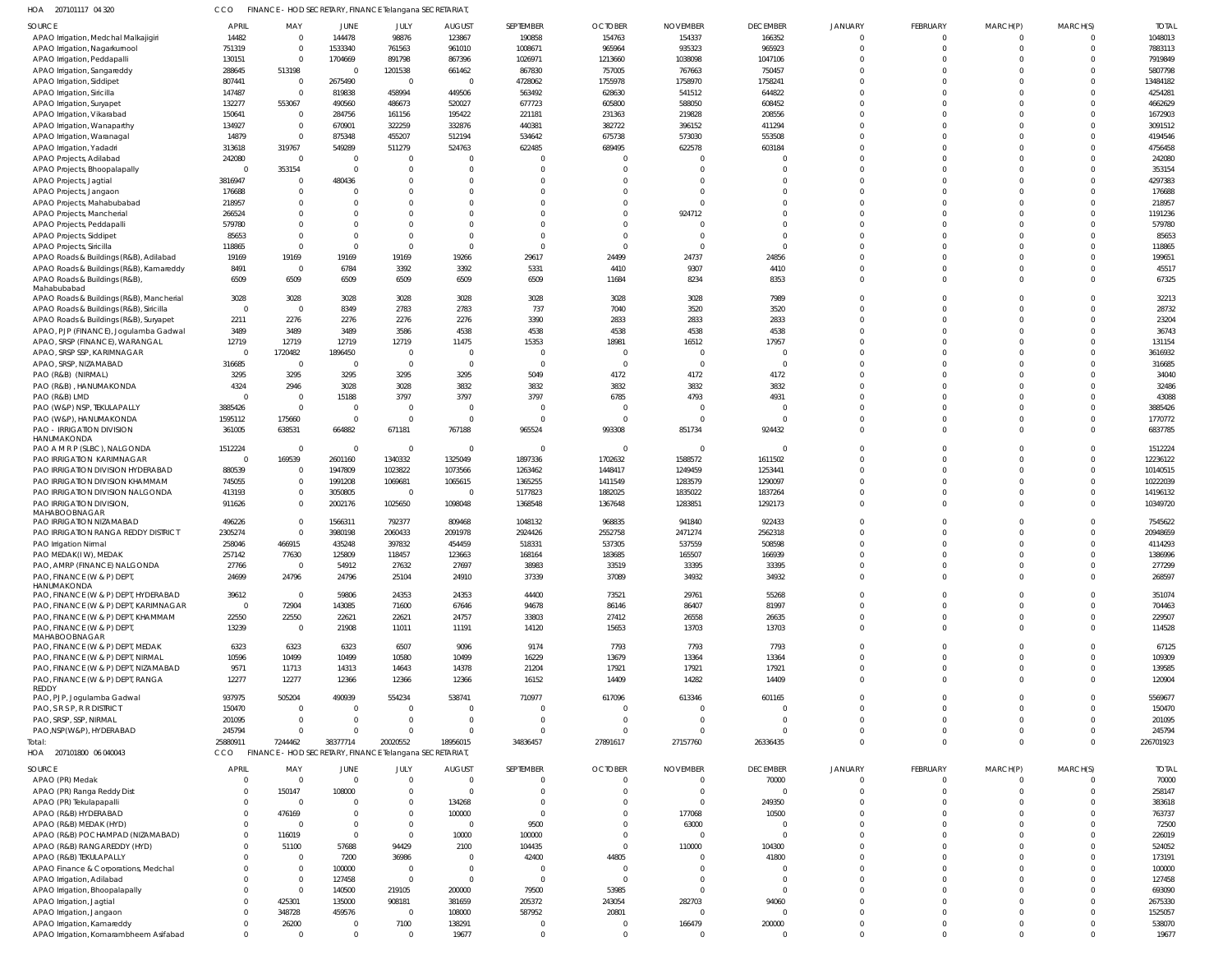| HOA 207101117 04 320                                         | CCO                |                                  |                         | FINANCE - HOD SECRETARY, FINANCE Telangana SECRETARIAT  |                                  |                      |                              |                                  |                            |                            |                      |                            |                      |                      |
|--------------------------------------------------------------|--------------------|----------------------------------|-------------------------|---------------------------------------------------------|----------------------------------|----------------------|------------------------------|----------------------------------|----------------------------|----------------------------|----------------------|----------------------------|----------------------|----------------------|
| <b>SOURCE</b>                                                | <b>APRIL</b>       | MAY                              | JUNE                    | JULY                                                    | <b>AUGUST</b>                    | SEPTEMBER            | <b>OCTOBER</b>               | <b>NOVEMBER</b>                  | <b>DECEMBER</b>            | <b>JANUARY</b>             | FEBRUARY             | MARCH(P)                   | MARCH(S)             | <b>TOTAL</b>         |
| APAO Irrigation, Medchal Malkajigiri                         | 14482              | $\overline{0}$                   | 144478                  | 98876                                                   | 123867                           | 190858               | 154763                       | 154337                           | 166352                     | $\mathbf 0$                | $\Omega$             | $\Omega$                   | $\Omega$             | 1048013              |
| APAO Irrigation, Nagarkurnool                                | 751319             | $\mathbf 0$                      | 1533340                 | 761563                                                  | 961010                           | 1008671              | 965964                       | 935323                           | 965923                     | $\Omega$                   | $\Omega$             | $\Omega$                   | $\Omega$             | 7883113              |
| APAO Irrigation, Peddapalli<br>APAO Irrigation, Sangareddy   | 130151<br>288645   | $\overline{0}$<br>513198         | 1704669<br>$\Omega$     | 891798<br>1201538                                       | 867396<br>661462                 | 1026971<br>867830    | 1213660<br>757005            | 1038098<br>767663                | 1047106<br>750457          | $\Omega$<br>$\Omega$       | $\cup$               | $\Omega$<br>$\Omega$       | $\Omega$             | 7919849<br>5807798   |
| APAO Irrigation, Siddipet                                    | 807441             | $\overline{0}$                   | 2675490                 | $\overline{0}$                                          | $\Omega$                         | 4728062              | 1755978                      | 1758970                          | 1758241                    | $\Omega$                   |                      | $\Omega$                   | $\Omega$             | 13484182             |
| APAO Irrigation, Siricilla                                   | 147487             | $\overline{0}$                   | 819838                  | 458994                                                  | 449506                           | 563492               | 628630                       | 541512                           | 644822                     | $\Omega$                   |                      | $\Omega$                   | $\Omega$             | 4254281              |
| APAO Irrigation, Suryapet                                    | 132277             | 553067                           | 490560                  | 486673                                                  | 520027                           | 677723               | 605800                       | 588050                           | 608452                     | $\Omega$                   |                      | $\Omega$                   |                      | 4662629              |
| APAO Irrigation, Vikarabad                                   | 150641             | $\overline{0}$                   | 284756                  | 161156                                                  | 195422                           | 221181               | 231363                       | 219828                           | 208556                     | $\Omega$                   |                      | $\Omega$                   | $\Omega$             | 1672903              |
| APAO Irrigation, Wanaparthy                                  | 134927             | $\overline{0}$                   | 670901                  | 322259                                                  | 332876                           | 440381               | 382722                       | 396152                           | 411294                     | $\Omega$                   |                      | $\Omega$                   | $\Omega$             | 3091512              |
| APAO Irrigation, Waranagal                                   | 14879              | $\mathbf 0$                      | 875348                  | 455207                                                  | 512194                           | 534642               | 675738                       | 573030                           | 553508                     | $\Omega$                   |                      | $\Omega$                   | $\Omega$             | 4194546              |
| APAO Irrigation, Yadadri                                     | 313618             | 319767                           | 549289                  | 511279                                                  | 524763                           | 622485               | 689495                       | 622578                           | 603184                     | $\Omega$                   |                      | $\Omega$                   | $\Omega$             | 4756458              |
| APAO Projects, Adilabad                                      | 242080             | $\overline{0}$                   | $\overline{0}$          | $\mathbf{0}$                                            | $\Omega$                         | C                    | $\Omega$                     | $\Omega$                         |                            | $\Omega$                   |                      | $\Omega$                   | $\Omega$             | 242080               |
| APAO Projects, Bhoopalapally                                 |                    | 353154                           | $\overline{0}$          | $\mathbf 0$                                             | $\Omega$                         | $\Omega$             | $\Omega$                     | $\Omega$                         |                            | $\Omega$                   |                      | $\Omega$                   | $\Omega$             | 353154               |
| APAO Projects, Jagtial<br>APAO Projects, Jangaon             | 3816947<br>176688  | $\mathbf{0}$<br>$\mathbf{0}$     | 480436<br>$\Omega$      | $\Omega$<br>$\mathbf 0$                                 | $\Omega$<br>$\Omega$             | $\Omega$<br>$\Omega$ | $\Omega$<br>$\Omega$         | $\Omega$<br>$\Omega$             | $\Omega$                   | $\Omega$<br>$\Omega$       |                      | $\Omega$<br>$\Omega$       | $\Omega$<br>$\Omega$ | 4297383<br>176688    |
| APAO Projects, Mahabubabad                                   | 218957             | $\mathbf 0$                      | $\Omega$                | $\Omega$                                                | $\Omega$                         | $\Omega$             | $\Omega$                     | $\sqrt{ }$                       | $\Omega$                   | $\Omega$                   |                      | $\Omega$                   | $\Omega$             | 218957               |
| APAO Projects, Mancherial                                    | 266524             | $\mathbf 0$                      | $\Omega$                | $\Omega$                                                | $\Omega$                         | $\Omega$             | $\Omega$                     | 924712                           | $\Omega$                   | $\Omega$                   |                      | $\Omega$                   | $\Omega$             | 1191236              |
| APAO Projects, Peddapalli                                    | 579780             | $\mathbf 0$                      | $\Omega$                | $\Omega$                                                | $\Omega$                         | $\Omega$             | $\Omega$                     | $\Omega$                         | $\Omega$                   | $\Omega$                   |                      | $\Omega$                   | $\Omega$             | 579780               |
| APAO Projects, Siddipet                                      | 85653              | $\mathbf 0$                      | $\Omega$                | $\mathbf 0$                                             | $\Omega$                         | $\Omega$             | $\Omega$                     | $\Omega$                         | $\Omega$                   | $\Omega$                   |                      | $\Omega$                   |                      | 85653                |
| APAO Projects, Siricilla                                     | 118865             | $\mathbf 0$                      | $\Omega$                | $\mathbf 0$                                             | $\Omega$                         | $\Omega$             | $\Omega$                     | $\Omega$                         | $\Omega$                   | $\Omega$                   |                      | $\Omega$                   | $\Omega$             | 118865               |
| APAO Roads & Buildings (R&B), Adilabad                       | 19169              | 19169                            | 19169                   | 19169                                                   | 19266                            | 29617                | 24499                        | 24737                            | 24856                      | $\Omega$                   |                      | $\Omega$                   | $\Omega$             | 199651               |
| APAO Roads & Buildings (R&B), Kamareddy                      | 8491               | $\mathbf{0}$                     | 6784                    | 3392                                                    | 3392                             | 5331                 | 4410                         | 9307                             | 4410                       | $\Omega$                   |                      | $\Omega$                   | $\Omega$             | 45517                |
| APAO Roads & Buildings (R&B)                                 | 6509               | 6509                             | 6509                    | 6509                                                    | 6509                             | 6509                 | 11684                        | 8234                             | 8353                       | $\Omega$                   |                      | $\Omega$                   | $\Omega$             | 67325                |
| Mahabubabad<br>APAO Roads & Buildings (R&B), Mancherial      | 3028               | 3028                             | 3028                    | 3028                                                    | 3028                             | 3028                 | 3028                         | 3028                             | 7989                       | $\Omega$                   |                      | $\Omega$                   | $\Omega$             | 32213                |
| APAO Roads & Buildings (R&B), Siricilla                      | $\Omega$           | $\mathbf{0}$                     | 8349                    | 2783                                                    | 2783                             | 737                  | 7040                         | 3520                             | 3520                       | $\Omega$                   |                      | $\Omega$                   | $\Omega$             | 28732                |
| APAO Roads & Buildings (R&B), Suryapet                       | 2211               | 2276                             | 2276                    | 2276                                                    | 2276                             | 3390                 | 2833                         | 2833                             | 2833                       | $\Omega$                   |                      | $\Omega$                   | $\Omega$             | 23204                |
| APAO, PJP (FINANCE), Jogulamba Gadwal                        | 3489               | 3489                             | 3489                    | 3586                                                    | 4538                             | 4538                 | 4538                         | 4538                             | 4538                       | $\Omega$                   |                      | $\Omega$                   | $\Omega$             | 36743                |
| APAO, SRSP (FINANCE), WARANGAL                               | 12719              | 12719                            | 12719                   | 12719                                                   | 11475                            | 15353                | 18981                        | 16512                            | 17957                      | $\Omega$                   |                      | $\Omega$                   | $\Omega$             | 131154               |
| APAO, SRSP SSP, KARIMNAGAR                                   | $\Omega$           | 1720482                          | 1896450                 | $\overline{0}$                                          | $\overline{0}$                   | $\Omega$             | $\mathbf 0$                  | $\overline{0}$                   | $\Omega$                   | $\Omega$                   |                      | $\Omega$                   |                      | 3616932              |
| APAO, SRSP, NIZAMABAD                                        | 316685             | $\overline{0}$                   | $\overline{0}$          | $\mathbf{0}$                                            | $\Omega$                         | $\Omega$             | $^{\circ}$                   | $\overline{0}$                   | 0                          | $\Omega$                   |                      | $\Omega$                   |                      | 316685               |
| PAO (R&B) (NIRMAL)                                           | 3295               | 3295                             | 3295                    | 3295                                                    | 3295                             | 5049                 | 4172                         | 4172                             | 4172                       | $\Omega$                   |                      | $\Omega$                   | $\Omega$             | 34040                |
| PAO (R&B), HANUMAKONDA                                       | 4324               | 2946                             | 3028                    | 3028                                                    | 3832                             | 3832                 | 3832                         | 3832                             | 3832                       | $\Omega$                   |                      | $\Omega$                   | $\Omega$             | 32486                |
| PAO (R&B) LMD                                                |                    | $\overline{0}$<br>$\overline{0}$ | 15188<br>$\overline{0}$ | 3797<br>$\overline{0}$                                  | 3797<br>$\Omega$                 | 3797<br>C            | 6785<br>$\Omega$             | 4793<br>$\Omega$                 | 4931<br>$\Omega$           | $\Omega$<br>$\Omega$       |                      | $\Omega$<br>$\Omega$       | $\Omega$             | 43088<br>3885426     |
| PAO (W&P) NSP, TEKULAPALLY<br>PAO (W&P), HANUMAKONDA         | 3885426<br>1595112 | 175660                           | $\overline{0}$          | $\overline{0}$                                          | $\overline{0}$                   | $\Omega$             | $^{\circ}$                   | $\Omega$                         | $\Omega$                   | $\Omega$                   | $\Omega$             | $\mathbf 0$                |                      | 1770772              |
| PAO - IRRIGATION DIVISION                                    | 361005             | 638531                           | 664882                  | 671181                                                  | 767188                           | 965524               | 993308                       | 851734                           | 924432                     | $\Omega$                   |                      | $\Omega$                   | $\Omega$             | 6837785              |
| HANUMAKONDA                                                  |                    |                                  |                         |                                                         |                                  |                      |                              |                                  |                            |                            |                      |                            |                      |                      |
| PAO A M R P (SLBC), NALGONDA                                 | 1512224            | $\mathbf{0}$                     | $\circ$                 | $\overline{0}$                                          | $\Omega$                         | $\mathbf 0$          | $^{\circ}$                   | $\Omega$                         | 0                          | $\Omega$                   |                      | $\Omega$                   |                      | 1512224              |
| PAO IRRIGATION KARIMNAGAR                                    |                    | 169539                           | 2601160                 | 1340332                                                 | 1325049                          | 1897336              | 1702632                      | 1588572                          | 1611502                    | $\Omega$                   |                      | $\Omega$                   | $\Omega$             | 12236122             |
| PAO IRRIGATION DIVISION HYDERABAD                            | 880539             | $\overline{0}$                   | 1947809                 | 1023822                                                 | 1073566                          | 1263462              | 1448417                      | 1249459                          | 1253441                    | $\Omega$                   | $\cup$               | $\Omega$                   | $\Omega$             | 10140515             |
| PAO IRRIGATION DIVISION KHAMMAM                              | 745055             | $\mathbf{0}$                     | 1991208                 | 1069681                                                 | 1065615                          | 1365255              | 1411549                      | 1283579                          | 1290097                    | $\Omega$<br>$\Omega$       | $\cup$               | $\Omega$                   |                      | 10222039             |
| PAO IRRIGATION DIVISION NALGONDA<br>PAO IRRIGATION DIVISION, | 413193<br>911626   | $\mathbf{0}$<br>$\mathbf{0}$     | 3050805<br>2002176      | $\overline{0}$<br>1025650                               | $\Omega$<br>1098048              | 5177823<br>1368548   | 1882025<br>1367648           | 1835022<br>1283851               | 1837264<br>1292173         | $\Omega$                   |                      | $\Omega$<br>$\Omega$       | $\Omega$             | 14196132<br>10349720 |
| MAHABOOBNAGAR                                                |                    |                                  |                         |                                                         |                                  |                      |                              |                                  |                            |                            |                      |                            |                      |                      |
| PAO IRRIGATION NIZAMABAD                                     | 496226             | $\mathbf{0}$                     | 1566311                 | 792377                                                  | 809468                           | 1048132              | 968835                       | 941840                           | 922433                     | $\Omega$                   |                      | $\Omega$                   |                      | 7545622              |
| PAO IRRIGATION RANGA REDDY DISTRICT                          | 2305274            | $\Omega$                         | 3980198                 | 2060433                                                 | 2091978                          | 2924426              | 2552758                      | 2471274                          | 2562318                    | $\Omega$                   | $\cup$               | $\Omega$                   |                      | 20948659             |
| PAO Irrigation Nirmal                                        | 258046             | 466915                           | 435248                  | 397832                                                  | 454459                           | 518331               | 537305                       | 537559                           | 508598                     | $\Omega$                   | $\Omega$             | $\Omega$                   | $\Omega$             | 4114293              |
| PAO MEDAK(IW), MEDAK                                         | 257142             | 77630                            | 125809                  | 118457                                                  | 123663                           | 168164               | 183685                       | 165507                           | 166939                     | $\Omega$                   |                      | $\Omega$                   | $\overline{0}$       | 1386996              |
| PAO, AMRP (FINANCE) NALGONDA                                 | 27766<br>24699     | $\mathbf{0}$<br>24796            | 54912                   | 27632                                                   | 27697                            | 38983                | 33519                        | 33395<br>34932                   | 33395                      | $\mathbf 0$<br>$\mathbf 0$ | $\Omega$<br>$\Omega$ | $\overline{0}$<br>$\Omega$ | $\Omega$<br>$\Omega$ | 277299<br>268597     |
| PAO, FINANCE (W & P) DEPT,<br>HANUMAKONDA                    |                    |                                  | 24796                   | 25104                                                   | 24910                            | 37339                | 37089                        |                                  | 34932                      |                            |                      |                            |                      |                      |
| PAO, FINANCE (W & P) DEPT, HYDERABAD                         | 39612              | $\overline{0}$                   | 59806                   | 24353                                                   | 24353                            | 44400                | 73521                        | 29761                            | 55268                      | $\mathbf 0$                | $\Omega$             | $\overline{0}$             | $\Omega$             | 351074               |
| PAO, FINANCE (W & P) DEPT, KARIMNAGAR                        | $\Omega$           | 72904                            | 143085                  | 71600                                                   | 67646                            | 94678                | 86146                        | 86407                            | 81997                      | $\Omega$                   | $\Omega$             | $\Omega$                   | $\Omega$             | 704463               |
| PAO, FINANCE (W & P) DEPT, KHAMMAM                           | 22550              | 22550                            | 22621                   | 22621                                                   | 24757                            | 33803                | 27412                        | 26558                            | 26635                      | $\mathbf 0$                | $\mathbf 0$          | $\overline{0}$             | $\Omega$             | 229507               |
| PAO, FINANCE (W & P) DEPT,                                   | 13239              | $\overline{0}$                   | 21908                   | 11011                                                   | 11191                            | 14120                | 15653                        | 13703                            | 13703                      | $\mathbf 0$                | $\Omega$             | $\Omega$                   | $\Omega$             | 114528               |
| MAHABOOBNAGAR<br>PAO, FINANCE (W & P) DEPT, MEDAK            | 6323               | 6323                             | 6323                    | 6507                                                    | 9096                             | 9174                 | 7793                         | 7793                             | 7793                       | $\mathbf 0$                | $\Omega$             | $\overline{0}$             | $\Omega$             | 67125                |
| PAO, FINANCE (W & P) DEPT, NIRMAL                            | 10596              | 10499                            | 10499                   | 10580                                                   | 10499                            | 16229                | 13679                        | 13364                            | 13364                      | $\Omega$                   | $\Omega$             | $\Omega$                   | $\Omega$             | 109309               |
| PAO, FINANCE (W & P) DEPT, NIZAMABAD                         | 9571               | 11713                            | 14313                   | 14643                                                   | 14378                            | 21204                | 17921                        | 17921                            | 17921                      | $\mathbf 0$                | $\Omega$             | $\overline{0}$             | $\Omega$             | 139585               |
| PAO, FINANCE (W & P) DEPT, RANGA                             | 12277              | 12277                            | 12366                   | 12366                                                   | 12366                            | 16152                | 14409                        | 14282                            | 14409                      | $\Omega$                   | $\Omega$             | $\Omega$                   | $\Omega$             | 120904               |
| REDDY                                                        | 937975             | 505204                           | 490939                  | 554234                                                  | 538741                           | 710977               | 617096                       | 613346                           | 601165                     | $\Omega$                   | $\Omega$             | $\Omega$                   | $\Omega$             | 5569677              |
| PAO, PJP, Jogulamba Gadwal<br>PAO, S R S P, R R DISTRICT     | 150470             | $\mathbf 0$                      | $\overline{0}$          | $\overline{0}$                                          | $\overline{0}$                   | $\mathbf 0$          | $\mathbf 0$                  | $\overline{0}$                   | -0                         | $\Omega$                   | $\Omega$             | $\Omega$                   | $\Omega$             | 150470               |
| PAO, SRSP, SSP, NIRMAL                                       | 201095             | $\mathbf 0$                      | $\overline{0}$          | $\mathbf{0}$                                            | $\overline{0}$                   | $\Omega$             | $\mathbf 0$                  | $\Omega$                         | $\mathbf 0$                | $\Omega$                   | $\Omega$             | $\Omega$                   | $\Omega$             | 201095               |
| PAO, NSP(W&P), HYDERABAD                                     | 245794             | $\mathbf 0$                      | $\Omega$                | $\mathbf 0$                                             | $\Omega$                         | $\Omega$             | $\Omega$                     | $\Omega$                         | $\Omega$                   | $\Omega$                   | $\Omega$             | $\Omega$                   | $\Omega$             | 245794               |
| Total:                                                       | 25880911           | 7244462                          | 38377714                | 20020552                                                | 18956015                         | 34836457             | 27891617                     | 27157760                         | 26336435                   | $\mathbf{0}$               | $\Omega$             | $\Omega$                   | $\Omega$             | 226701923            |
| HOA<br>207101800 06 040043                                   | CCO                |                                  |                         | FINANCE - HOD SECRETARY, FINANCE Telangana SECRETARIAT, |                                  |                      |                              |                                  |                            |                            |                      |                            |                      |                      |
| <b>SOURCE</b>                                                | <b>APRIL</b>       | MAY                              | <b>JUNE</b>             | JULY                                                    | <b>AUGUST</b>                    | SEPTEMBER            | <b>OCTOBER</b>               | <b>NOVEMBER</b>                  | <b>DECEMBER</b>            | JANUARY                    | FEBRUARY             | MARCH(P)                   | MARCH(S)             | <b>TOTAL</b>         |
| APAO (PR) Medak                                              |                    | $\mathbf 0$                      | $\overline{0}$          | $\overline{0}$                                          | $\overline{0}$                   | 0                    | $^{\circ}$                   | $\overline{0}$                   | 70000                      | $\mathbf 0$                | -0                   | - 0                        | - 0                  | 70000                |
| APAO (PR) Ranga Reddy Dist                                   | $\Omega$           | 150147                           | 108000                  | $\mathbf 0$                                             | $\overline{0}$                   | $\overline{0}$       | $^{\circ}$                   | $\overline{0}$                   | $\mathbf{0}$               | $\mathbf 0$                | $\Omega$             | $\overline{0}$             |                      | 258147               |
| APAO (PR) Tekulapapalli                                      | $\Omega$           | $\overline{0}$                   | $\overline{0}$          | $\mathbf 0$                                             | 134268                           | $\overline{0}$       | $\Omega$                     | $\overline{0}$                   | 249350                     | $\mathbf 0$                |                      | $\Omega$                   |                      | 383618               |
| APAO (R&B) HYDERABAD                                         | $\Omega$           | 476169                           | $\overline{0}$          | $\mathbf 0$                                             | 100000                           | $\mathbf 0$          | $\Omega$                     | 177068                           | 10500                      | $\Omega$                   | $\Omega$             | $\Omega$                   |                      | 763737               |
| APAO (R&B) MEDAK (HYD)                                       | $\Omega$           | $\overline{0}$                   | $\overline{0}$          | $\overline{0}$                                          | $\overline{0}$                   | 9500                 | $\Omega$                     | 63000                            | $\mathbf 0$                | $\Omega$                   |                      | $\Omega$                   | $\Omega$             | 72500                |
| APAO (R&B) POCHAMPAD (NIZAMABAD)                             | $\Omega$           | 116019                           | $\overline{0}$          | $\mathbf 0$                                             | 10000                            | 100000               | $\Omega$                     | $\overline{0}$                   | $\mathbf 0$                | $\Omega$                   |                      | $\Omega$                   |                      | 226019               |
| APAO (R&B) RANGAREDDY (HYD)                                  | $\Omega$           | 51100                            | 57688                   | 94429                                                   | 2100                             | 104435               | $\mathbf 0$                  | 110000                           | 104300                     | $\Omega$                   |                      | $\Omega$                   | $\Omega$             | 524052               |
| APAO (R&B) TEKULAPALLY                                       |                    | $\mathbf{0}$                     | 7200                    | 36986                                                   | $\overline{0}$                   | 42400                | 44805                        | $\overline{0}$                   | 41800                      | $\Omega$                   |                      | $\Omega$                   |                      | 173191               |
| APAO Finance & Corporations, Medchal                         | $\Omega$           | $\overline{0}$<br>$\mathbf 0$    | 100000<br>127458        | $\mathbf{0}$<br>$\overline{0}$                          | $\overline{0}$<br>$\overline{0}$ | 0<br>$\overline{0}$  | $^{\circ}$<br>$\overline{0}$ | $\overline{0}$<br>$\overline{0}$ | $\mathbf 0$<br>$\mathbf 0$ | $\Omega$<br>$\Omega$       |                      | $\Omega$<br>$\Omega$       | $\Omega$             | 100000<br>127458     |
| APAO Irrigation, Adilabad<br>APAO Irrigation, Bhoopalapally  | $\Omega$           | $\overline{0}$                   | 140500                  | 219105                                                  | 200000                           | 79500                | 53985                        | $\overline{0}$                   | $\mathbf 0$                | $\Omega$                   |                      | $\Omega$                   | $\Omega$             | 693090               |
| APAO Irrigation, Jagtial                                     |                    | 425301                           | 135000                  | 908181                                                  | 381659                           | 205372               | 243054                       | 282703                           | 94060                      | $\Omega$                   | $\Omega$             | $\Omega$                   |                      | 2675330              |
| APAO Irrigation, Jangaon                                     | $\Omega$           | 348728                           | 459576                  | $\overline{0}$                                          | 108000                           | 587952               | 20801                        | $\overline{0}$                   | $\mathbf 0$                | $\Omega$                   | $\cup$               | $\Omega$                   | $\Omega$             | 1525057              |
| APAO Irrigation, Kamareddy                                   | $\Omega$           | 26200                            | $\overline{0}$          | 7100                                                    | 138291                           | $\mathbf 0$          | -0                           | 166479                           | 200000                     | $\mathbf 0$                | $\Omega$             | 0                          |                      | 538070               |
| APAO Irrigation, Komarambheem Asifabad                       | $\mathbf 0$        | $\overline{0}$                   | $\mathbf 0$             | $\overline{0}$                                          | 19677                            | $\mathbf 0$          | $\mathbf 0$                  | $\overline{0}$                   | $\mathbf{0}$               | $\mathbf 0$                | $\Omega$             | $\Omega$                   | $\Omega$             | 19677                |
|                                                              |                    |                                  |                         |                                                         |                                  |                      |                              |                                  |                            |                            |                      |                            |                      |                      |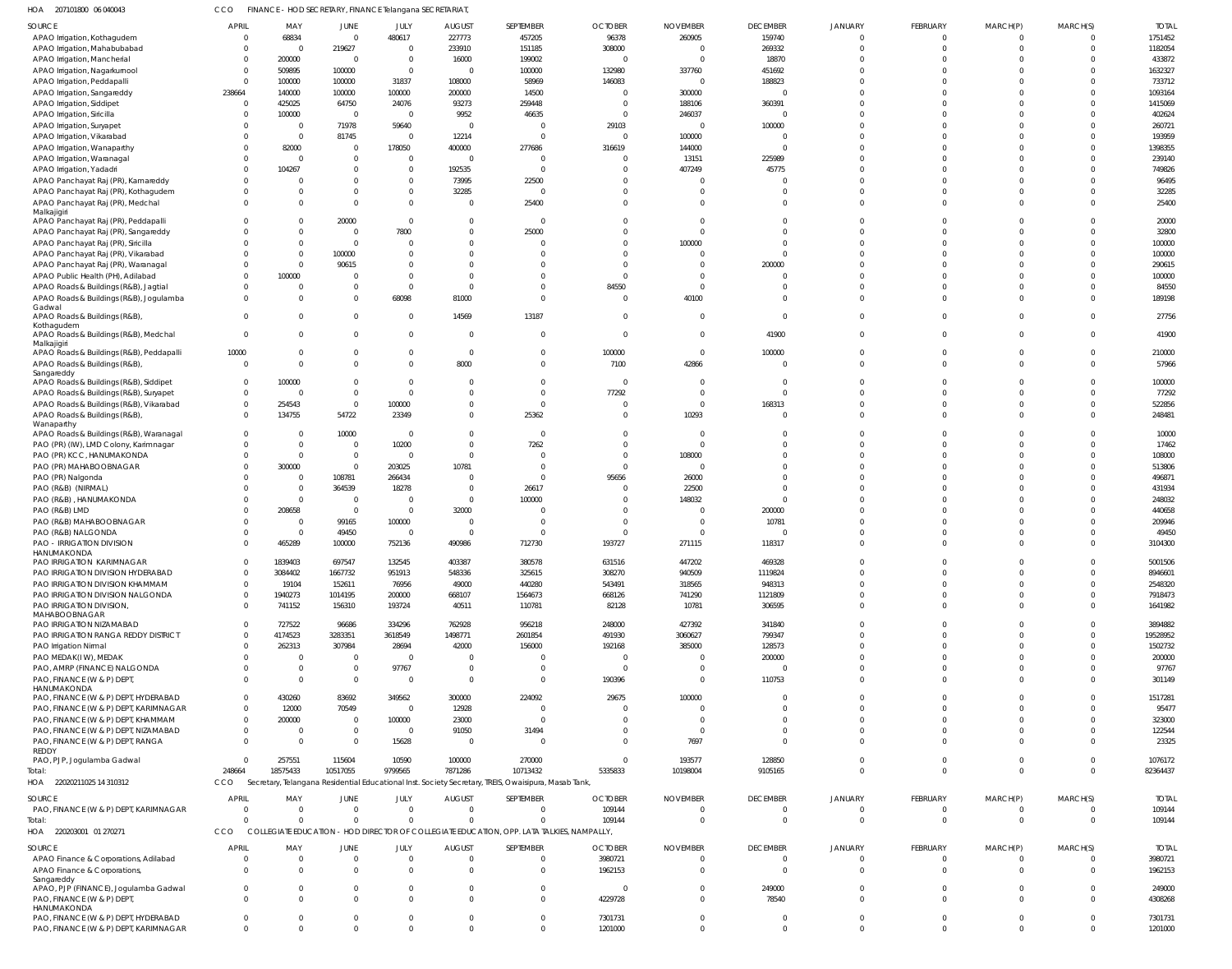| HOA<br>207101800 06 040043                                                    | CCO                    | FINANCE - HOD SECRETARY, FINANCE Telangana SECRETARIAT |                                           |                         |                          |                                                                                                                  |                      |                    |                    |                          |                      |                      |                         |                     |
|-------------------------------------------------------------------------------|------------------------|--------------------------------------------------------|-------------------------------------------|-------------------------|--------------------------|------------------------------------------------------------------------------------------------------------------|----------------------|--------------------|--------------------|--------------------------|----------------------|----------------------|-------------------------|---------------------|
| SOURCE                                                                        | <b>APRIL</b>           | MAY                                                    | <b>JUNE</b>                               | JULY                    | <b>AUGUST</b>            | SEPTEMBER                                                                                                        | <b>OCTOBER</b>       | <b>NOVEMBER</b>    | <b>DECEMBER</b>    | <b>JANUARY</b>           | <b>FEBRUARY</b>      | MARCH(P)             | MARCH(S)                | <b>TOTAL</b>        |
| APAO Irrigation, Kothagudem                                                   |                        | 68834                                                  | $\overline{0}$                            | 480617                  | 227773                   | 457205                                                                                                           | 96378                | 260905             | 159740             | 0                        | $\Omega$             | $\Omega$             | $\mathbf 0$             | 1751452             |
| APAO Irrigation, Mahabubabad                                                  |                        | $\overline{0}$                                         | 219627                                    | $\overline{0}$          | 233910                   | 151185                                                                                                           | 308000               | $\Omega$           | 269332             | $\Omega$                 | $\Omega$             | $\Omega$             | $\mathbf 0$             | 1182054             |
| APAO Irrigation, Mancherial                                                   |                        | 200000                                                 | $\overline{\mathbf{0}}$                   | $\overline{0}$          | 16000                    | 199002                                                                                                           | $\overline{0}$       | $\Omega$           | 18870              | $\Omega$                 | $\Omega$             | $\Omega$             | $\Omega$                | 433872              |
| APAO Irrigation, Nagarkurnool                                                 | $\Omega$               | 509895<br>100000                                       | 100000<br>100000                          | $\overline{0}$<br>31837 | $\overline{0}$<br>108000 | 100000<br>58969                                                                                                  | 132980<br>146083     | 337760<br>$\Omega$ | 451692<br>188823   | $\Omega$<br>$\Omega$     | $\Omega$<br>$\Omega$ | $\Omega$<br>$\Omega$ | $\Omega$<br>$\Omega$    | 1632327<br>733712   |
| APAO Irrigation, Peddapalli<br>APAO Irrigation, Sangareddy                    | 238664                 | 140000                                                 | 100000                                    | 100000                  | 200000                   | 14500                                                                                                            | $\overline{0}$       | 300000             | $\Omega$           | $\Omega$                 | $\Omega$             | $\Omega$             | $\Omega$                | 1093164             |
| APAO Irrigation, Siddipet                                                     | - 0                    | 425025                                                 | 64750                                     | 24076                   | 93273                    | 259448                                                                                                           | - 0                  | 188106             | 360391             | $\Omega$                 | $\Omega$             | $\Omega$             | $\Omega$                | 1415069             |
| APAO Irrigation, Siricilla                                                    |                        | 100000                                                 | $\overline{0}$                            | $\mathsf{C}$            | 9952                     | 46635                                                                                                            | $\overline{0}$       | 246037             | $\Omega$           | $\Omega$                 | $\Omega$             | $\Omega$             | $\Omega$                | 402624              |
| APAO Irrigation, Suryapet                                                     |                        | $\overline{0}$                                         | 71978                                     | 59640                   | $\overline{0}$           | $\Omega$                                                                                                         | 29103                | $\Omega$           | 100000             | $\Omega$                 | $\Omega$             | $\Omega$             | $\Omega$                | 260721              |
| APAO Irrigation, Vikarabad                                                    |                        | $\overline{0}$                                         | 81745                                     | C                       | 12214                    | $\Omega$                                                                                                         | $\circ$              | 100000             | $\Omega$           | $\Omega$                 | $\Omega$             | $\Omega$             | $\Omega$                | 193959              |
| APAO Irrigation, Wanaparthy                                                   |                        | 82000                                                  | $\overline{0}$                            | 178050                  | 400000                   | 277686                                                                                                           | 316619               | 144000             | $\Omega$           | $\Omega$                 | $\Omega$             | $\Omega$             | $\Omega$                | 1398355             |
| APAO Irrigation, Waranagal                                                    |                        | $\Omega$                                               | $\overline{0}$                            | $\overline{0}$          | $\mathbf 0$              |                                                                                                                  | $\overline{0}$       | 13151              | 225989             | $\Omega$                 | $\Omega$             | $\Omega$             | $\Omega$                | 239140              |
| APAO Irrigation, Yadadri                                                      |                        | 104267                                                 | $\Omega$                                  | $\Omega$                | 192535                   |                                                                                                                  | $\Omega$             | 407249             | 45775              | $\Omega$                 | $\Omega$             | $\Omega$<br>$\Omega$ | $\Omega$                | 749826              |
| APAO Panchayat Raj (PR), Kamareddy<br>APAO Panchayat Raj (PR), Kothagudem     |                        | $\Omega$<br>$\overline{0}$                             | $\Omega$<br>$\overline{0}$                | $\Omega$<br>$\Omega$    | 73995<br>32285           | 22500<br>$\Omega$                                                                                                | $\Omega$<br>$\Omega$ |                    |                    | $\Omega$<br>$\Omega$     | $\Omega$<br>$\Omega$ | $\Omega$             | $\Omega$<br>$\mathbf 0$ | 96495<br>32285      |
| APAO Panchayat Raj (PR), Medchal                                              | $\Omega$               | $\Omega$                                               | $\Omega$                                  | $\Omega$                | $\overline{0}$           | 25400                                                                                                            | $\Omega$             |                    | $\Omega$           | $\Omega$                 | $\Omega$             | $\Omega$             | $\Omega$                | 25400               |
| Malkajigiri                                                                   |                        |                                                        |                                           |                         |                          |                                                                                                                  |                      |                    |                    |                          |                      |                      |                         |                     |
| APAO Panchayat Raj (PR), Peddapalli                                           |                        | $\Omega$                                               | 20000                                     | $\Omega$                | 0                        | $\Omega$                                                                                                         | $\Omega$             |                    | $\Omega$           | $\Omega$                 | $\Omega$             | $\Omega$             | $\Omega$                | 20000               |
| APAO Panchayat Raj (PR), Sangareddy                                           |                        | $\Omega$                                               | $\overline{0}$                            | 7800                    | $\Omega$                 | 25000                                                                                                            | -0                   |                    | $\Omega$           | $\Omega$                 | $\cap$               | $\Omega$             | $\Omega$                | 32800               |
| APAO Panchayat Raj (PR), Siricilla                                            |                        | $\overline{0}$                                         | $\overline{0}$                            | -C                      | 0                        |                                                                                                                  | $\Omega$             | 100000             | $\Omega$           | $\Omega$                 | $\Omega$             | $\Omega$             | $\Omega$                | 100000              |
| APAO Panchayat Raj (PR), Vikarabad<br>APAO Panchayat Raj (PR), Waranagal      |                        | $\Omega$<br>$\overline{0}$                             | 100000<br>90615                           | - 0                     | $\Omega$<br>$\Omega$     |                                                                                                                  | -0<br>$\Omega$       |                    | $\Omega$<br>200000 | $\Omega$<br>$\Omega$     | $\cap$<br>$\Omega$   | $\Omega$<br>$\Omega$ | $\Omega$<br>$\Omega$    | 100000<br>290615    |
| APAO Public Health (PH), Adilabad                                             |                        | 100000                                                 | $\Omega$                                  | $\Omega$                | $\Omega$                 |                                                                                                                  | $\Omega$             |                    |                    | $\Omega$                 | $\cap$               | $\Omega$             | $\Omega$                | 100000              |
| APAO Roads & Buildings (R&B), Jagtial                                         |                        | $\overline{0}$                                         | $\overline{0}$                            | $\Omega$                | $\overline{0}$           |                                                                                                                  | 84550                | $\Omega$           |                    | $\Omega$                 | $\Omega$             | $\Omega$             | $\mathbf{0}$            | 84550               |
| APAO Roads & Buildings (R&B), Jogulamba                                       |                        | $\Omega$                                               | $\overline{0}$                            | 68098                   | 81000                    | $\Omega$                                                                                                         | $\Omega$             | 40100              | $\Omega$           | $\Omega$                 | $\Omega$             | $\Omega$             | $\Omega$                | 189198              |
| Gadwal                                                                        |                        |                                                        |                                           |                         |                          |                                                                                                                  |                      |                    |                    |                          |                      |                      |                         |                     |
| APAO Roads & Buildings (R&B),<br>Kothagudem                                   |                        | $\Omega$                                               | $\overline{0}$                            | - 0                     | 14569                    | 13187                                                                                                            | $\overline{0}$       |                    | $\Omega$           | $\Omega$                 | $\Omega$             | $\Omega$             | $\mathbf 0$             | 27756               |
| APAO Roads & Buildings (R&B), Medchal                                         | $\Omega$               | $\Omega$                                               | $\overline{0}$                            | $\Omega$                | $\overline{0}$           | $\Omega$                                                                                                         | $\overline{0}$       | $\Omega$           | 41900              | $\mathbf{0}$             | $\Omega$             | $\Omega$             | $\overline{0}$          | 41900               |
| Malkajigiri                                                                   |                        |                                                        |                                           |                         |                          |                                                                                                                  |                      |                    |                    |                          |                      |                      |                         |                     |
| APAO Roads & Buildings (R&B), Peddapalli                                      | 10000                  | $\overline{0}$                                         | $\overline{0}$                            | - 0                     | $\overline{0}$           | $\Omega$                                                                                                         | 100000               | 0                  | 100000             | 0                        | $\Omega$             | $\Omega$             | $\mathbf 0$             | 210000              |
| APAO Roads & Buildings (R&B),<br>Sangareddy                                   | $\Omega$               | $\Omega$                                               | $\Omega$                                  | $\Omega$                | 8000                     | $\Omega$                                                                                                         | 7100                 | 42866              | $\Omega$           | $\Omega$                 | $\Omega$             | $\Omega$             | $\Omega$                | 57966               |
| APAO Roads & Buildings (R&B), Siddipet                                        |                        | 100000                                                 | $\overline{0}$                            | - 0                     | 0                        |                                                                                                                  | $\overline{0}$       |                    | $\Omega$           | $\Omega$                 | - 0                  | $\Omega$             | $\mathbf 0$             | 100000              |
| APAO Roads & Buildings (R&B), Suryapet                                        | $\Omega$               | $\Omega$                                               | $\overline{0}$                            | $\mathsf{C}$            | $\Omega$                 | $\Omega$                                                                                                         | 77292                | $\Omega$           | $\Omega$           | $\Omega$                 | $\Omega$             | $\Omega$             | $\Omega$                | 77292               |
| APAO Roads & Buildings (R&B), Vikarabad                                       | $\mathbf{0}$           | 254543                                                 | $\overline{0}$                            | 100000                  | $\mathbf 0$              | $\Omega$                                                                                                         | $\circ$              | $\Omega$           | 168313             | $\Omega$                 | $\Omega$             | $\Omega$             | $\mathbf 0$             | 522856              |
| APAO Roads & Buildings (R&B),                                                 | $\Omega$               | 134755                                                 | 54722                                     | 23349                   | $\mathbf 0$              | 25362                                                                                                            | $\overline{0}$       | 10293              | $\Omega$           | $\Omega$                 | $\Omega$             | $\Omega$             | $\Omega$                | 248481              |
| Wanaparthy<br>APAO Roads & Buildings (R&B), Waranagal                         |                        | $\overline{\mathbf{0}}$                                | 10000                                     | C                       | $\mathbf 0$              | $\Omega$                                                                                                         | - 0                  | - (                |                    | $\Omega$                 |                      | $\Omega$             | $\mathbf{0}$            | 10000               |
| PAO (PR) (IW), LMD Colony, Karimnagar                                         |                        | $\overline{0}$                                         | $\overline{0}$                            | 10200                   | $\Omega$                 | 7262                                                                                                             | $\Omega$             |                    | $\Omega$           | $\Omega$                 | $\cap$               | $\Omega$             | $\Omega$                | 17462               |
| PAO (PR) KCC, HANUMAKONDA                                                     |                        | $\overline{0}$                                         | $\overline{0}$                            | C                       | $\overline{0}$           |                                                                                                                  | $\overline{0}$       | 108000             |                    | $\Omega$                 | $\Omega$             | $\Omega$             | $\Omega$                | 108000              |
| PAO (PR) MAHABOOBNAGAR                                                        |                        | 300000                                                 | $\overline{0}$                            | 203025                  | 10781                    |                                                                                                                  | $\Omega$             |                    |                    | $\Omega$                 | $\cap$               | $\Omega$             | $\Omega$                | 513806              |
| PAO (PR) Nalgonda                                                             |                        | $\overline{\mathbf{0}}$                                | 108781                                    | 266434                  | $\mathbf 0$              | $\Omega$                                                                                                         | 95656                | 26000              |                    | $\Omega$                 | $\Omega$             | $\Omega$             | $\Omega$                | 496871              |
| PAO (R&B) (NIRMAL)                                                            |                        | $\overline{0}$                                         | 364539                                    | 18278                   | $\overline{0}$           | 26617                                                                                                            | $\Omega$             | 22500              | $\Omega$           | $\Omega$                 |                      | $\Omega$             | $\Omega$                | 431934              |
| PAO (R&B), HANUMAKONDA                                                        |                        | $\overline{0}$                                         | $\overline{\mathbf{0}}$<br>$\overline{0}$ | C<br>$\Omega$           | $\overline{0}$<br>32000  | 100000                                                                                                           | - 0                  | 148032             | $\Omega$<br>200000 | $\Omega$<br>$\Omega$     | $\Omega$             | $\Omega$<br>$\Omega$ | $\Omega$<br>$\Omega$    | 248032<br>440658    |
| PAO (R&B) LMD<br>PAO (R&B) MAHABOOBNAGAR                                      |                        | 208658<br>$\overline{\mathbf{0}}$                      | 99165                                     | 100000                  | $\overline{0}$           |                                                                                                                  | -0<br>$\Omega$       |                    | 10781              | $\Omega$                 |                      | $\Omega$             | $\Omega$                | 209946              |
| PAO (R&B) NALGONDA                                                            |                        | $\Omega$                                               | 49450                                     |                         | $\Omega$                 |                                                                                                                  |                      |                    |                    | $\Omega$                 | $\Omega$             | $\Omega$             | $\Omega$                | 49450               |
| PAO - IRRIGATION DIVISION                                                     | $\Omega$               | 465289                                                 | 100000                                    | 752136                  | 490986                   | 712730                                                                                                           | 193727               | 271115             | 118317             | $\Omega$                 | $\Omega$             | $\Omega$             | $\Omega$                | 3104300             |
| HANUMAKONDA                                                                   |                        |                                                        |                                           |                         |                          |                                                                                                                  |                      |                    |                    |                          |                      |                      |                         |                     |
| PAO IRRIGATION KARIMNAGAR                                                     |                        | 1839403<br>3084402                                     | 697547                                    | 132545                  | 403387                   | 380578                                                                                                           | 631516<br>308270     | 447202<br>940509   | 469328             | $\mathbf{0}$<br>$\Omega$ | $\Omega$<br>$\Omega$ | $\Omega$<br>$\Omega$ | $\mathbf 0$<br>$\Omega$ | 5001506             |
| PAO IRRIGATION DIVISION HYDERABAD<br>PAO IRRIGATION DIVISION KHAMMAM          |                        | 19104                                                  | 1667732<br>152611                         | 951913<br>76956         | 548336<br>49000          | 325615<br>440280                                                                                                 | 543491               | 318565             | 1119824<br>948313  | $\Omega$                 | $\Omega$             | $\Omega$             | $\Omega$                | 8946601<br>2548320  |
| PAO IRRIGATION DIVISION NALGONDA                                              |                        | 1940273                                                | 1014195                                   | 200000                  | 668107                   | 1564673                                                                                                          | 668126               | 741290             | 1121809            | $\Omega$                 | $\Omega$             | $\Omega$             | $\Omega$                | 7918473             |
| PAO IRRIGATION DIVISION,                                                      |                        | 741152                                                 | 156310                                    | 193724                  | 40511                    | 110781                                                                                                           | 82128                | 10781              | 306595             | $\Omega$                 | $\Omega$             | $\Omega$             | $\Omega$                | 1641982             |
| MAHABOOBNAGAR                                                                 |                        |                                                        |                                           |                         |                          |                                                                                                                  |                      |                    |                    |                          |                      |                      |                         |                     |
| PAO IRRIGATION NIZAMABAD                                                      |                        | 727522                                                 | 96686                                     | 334296                  | 762928                   | 956218                                                                                                           | 248000               | 427392             | 341840             | $\Omega$<br>$\Omega$     | $\Omega$<br>$\Omega$ | $\Omega$<br>$\Omega$ | $\Omega$<br>$\Omega$    | 3894882             |
| PAO IRRIGATION RANGA REDDY DISTRICT<br>PAO Irrigation Nirmal                  |                        | 4174523<br>262313                                      | 3283351<br>307984                         | 3618549<br>28694        | 1498771<br>42000         | 2601854<br>156000                                                                                                | 491930<br>192168     | 3060627<br>385000  | 799347<br>128573   | $\Omega$                 | $\Omega$             | $\Omega$             | $\Omega$                | 19528952<br>1502732 |
| PAO MEDAK(IW), MEDAK                                                          |                        | $\Omega$                                               | $\overline{0}$                            | - 0                     | $\Omega$                 |                                                                                                                  | - 0                  |                    | 200000             | $\Omega$                 | $\Omega$             | $\Omega$             | $\Omega$                | 200000              |
| PAO, AMRP (FINANCE) NALGONDA                                                  |                        | $\overline{0}$                                         | $\overline{0}$                            | 97767                   | $\overline{0}$           | $\Omega$                                                                                                         | $\overline{0}$       |                    | $\mathbf 0$        | $\Omega$                 | $\Omega$             | $\Omega$             | $\Omega$                | 97767               |
| PAO, FINANCE (W & P) DEPT,                                                    |                        | $\Omega$                                               | $\overline{0}$                            | - 0                     | $\Omega$                 | $\Omega$                                                                                                         | 190396               | $\cup$             | 110753             | $\Omega$                 | $\Omega$             | $\Omega$             | $\Omega$                | 301149              |
| HANUMAKONDA                                                                   |                        |                                                        |                                           |                         |                          |                                                                                                                  |                      |                    |                    |                          |                      |                      |                         |                     |
| PAO, FINANCE (W & P) DEPT, HYDERABAD<br>PAO, FINANCE (W & P) DEPT, KARIMNAGAR |                        | 430260<br>12000                                        | 83692<br>70549                            | 349562                  | 300000<br>12928          | 224092                                                                                                           | 29675                | 100000             | U<br>U             | $\Omega$<br>$\Omega$     | $\Omega$<br>$\Omega$ | $\Omega$<br>$\Omega$ | $\Omega$<br>$\Omega$    | 1517281<br>95477    |
| PAO, FINANCE (W & P) DEPT, KHAMMAM                                            |                        | 200000                                                 | $\overline{0}$                            | 100000                  | 23000                    | $\Omega$                                                                                                         | $\Omega$             |                    | U                  | $\Omega$                 | $\Omega$             | $\Omega$             | $\Omega$                | 323000              |
| PAO, FINANCE (W & P) DEPT, NIZAMABAD                                          |                        | $\Omega$                                               | $\overline{0}$                            | $\Omega$                | 91050                    | 31494                                                                                                            | -0                   |                    | U                  | $\Omega$                 | $\Omega$             | $\Omega$             | $\Omega$                | 122544              |
| PAO, FINANCE (W & P) DEPT, RANGA                                              |                        | $\Omega$                                               | $\Omega$                                  | 15628                   | $\overline{0}$           | $\Omega$                                                                                                         | $\Omega$             | 7697               | $\Omega$           | $\Omega$                 | $\Omega$             | $\Omega$             | $\Omega$                | 23325               |
| REDDY                                                                         |                        |                                                        |                                           |                         |                          |                                                                                                                  |                      |                    |                    |                          |                      |                      |                         |                     |
| PAO, PJP, Jogulamba Gadwal                                                    | $\Omega$               | 257551                                                 | 115604                                    | 10590                   | 100000                   | 270000                                                                                                           | $\Omega$             | 193577             | 128850             | $\mathbf{0}$             | $\Omega$             | $\Omega$             | $\overline{0}$          | 1076172             |
| Total:<br>HOA 22020211025 14 310312                                           | 248664<br><b>CCO</b>   | 18575433                                               | 10517055                                  | 9799565                 | 7871286                  | 10713432<br>Secretary, Telangana Residential Educational Inst. Society Secretary, TREIS, Owaisipura, Masab Tank, | 5335833              | 10198004           | 9105165            | $\Omega$                 | $\Omega$             | $\Omega$             | $\Omega$                | 82364437            |
|                                                                               |                        |                                                        |                                           |                         |                          |                                                                                                                  |                      |                    |                    |                          |                      |                      |                         |                     |
| SOURCE                                                                        | APRIL                  | MAY                                                    | JUNE                                      | JULY                    | <b>AUGUST</b>            | SEPTEMBER                                                                                                        | <b>OCTOBER</b>       | <b>NOVEMBER</b>    | <b>DECEMBER</b>    | JANUARY                  | <b>FEBRUARY</b>      | MARCH(P)             | MARCH(S)                | <b>TOTAL</b>        |
| PAO, FINANCE (W & P) DEPT, KARIMNAGAR                                         | $\Omega$               | $\overline{0}$                                         | $\overline{\mathbf{0}}$                   | $\Omega$                | $\overline{0}$           | $\mathbf{0}$                                                                                                     | 109144               |                    | 0                  | $\mathbf{0}$             | $^{\circ}$           | $\overline{0}$       | $\mathbf{0}$            | 109144              |
| Total:                                                                        | $\Omega$<br><b>CCO</b> | $\Omega$                                               | $\overline{0}$                            | $\Omega$                | $\overline{0}$           | $\Omega$                                                                                                         | 109144               | $\Omega$           | $\overline{0}$     | $\overline{0}$           | $\overline{0}$       | $\Omega$             | $\overline{0}$          | 109144              |
| HOA<br>220203001 01 270271                                                    |                        |                                                        |                                           |                         |                          | COLLEGIATE EDUCATION - HOD DIRECTOR OF COLLEGIATE EDUCATION, OPP. LATA TALKIES, NAMPALLY                         |                      |                    |                    |                          |                      |                      |                         |                     |
| SOURCE                                                                        | APRIL                  | MAY                                                    | <b>JUNE</b>                               | JULY                    | <b>AUGUST</b>            | SEPTEMBER                                                                                                        | <b>OCTOBER</b>       | <b>NOVEMBER</b>    | <b>DECEMBER</b>    | JANUARY                  | <b>FEBRUARY</b>      | MARCH(P)             | MARCH(S)                | <b>TOTAL</b>        |
| APAO Finance & Corporations, Adilabad                                         |                        | $\overline{0}$                                         | $\overline{0}$                            | $\Omega$                | $\overline{0}$           | $\Omega$                                                                                                         | 3980721              | $\cup$             | $\mathbf 0$        | $\mathbf{0}$             | $\Omega$             | $\Omega$             | $\mathbf{0}$            | 3980721             |
| APAO Finance & Corporations<br>Sangareddy                                     | $\Omega$               | $\Omega$                                               | $\Omega$                                  | $\Omega$                | $\Omega$                 | $\Omega$                                                                                                         | 1962153              | $\cup$             | $\mathbf 0$        | $\Omega$                 | $\Omega$             | $\Omega$             | $\Omega$                | 1962153             |
| APAO, PJP (FINANCE), Jogulamba Gadwal                                         |                        | $\overline{0}$                                         | $\Omega$                                  |                         | $\Omega$                 | $\Omega$                                                                                                         | - 0                  |                    | 249000             | $\mathbf{0}$             | $\Omega$             | $\Omega$             | $\Omega$                | 249000              |
| PAO, FINANCE (W & P) DEPT,                                                    |                        | $\Omega$                                               | $\Omega$                                  |                         | $\Omega$                 | $\Omega$                                                                                                         | 4229728              |                    | 78540              | $\Omega$                 | $\Omega$             | $\Omega$             | $\Omega$                | 4308268             |
| HANUMAKONDA                                                                   |                        | $\overline{0}$                                         | $\overline{0}$                            |                         | $\mathbf 0$              | $\mathbf 0$                                                                                                      | 7301731              | $\Omega$           | 0                  | $\mathbf{0}$             | $\mathbf{0}$         | $\overline{0}$       | $\mathbf 0$             | 7301731             |
| PAO, FINANCE (W & P) DEPT, HYDERABAD<br>PAO, FINANCE (W & P) DEPT, KARIMNAGAR | $\mathbf{0}$           | $\Omega$                                               | $\Omega$                                  |                         | $\Omega$                 | $\Omega$                                                                                                         | 1201000              | $\Omega$           | $\mathbf 0$        | $\mathbf{0}$             | $\Omega$             | $\Omega$             | $\Omega$                | 1201000             |
|                                                                               |                        |                                                        |                                           |                         |                          |                                                                                                                  |                      |                    |                    |                          |                      |                      |                         |                     |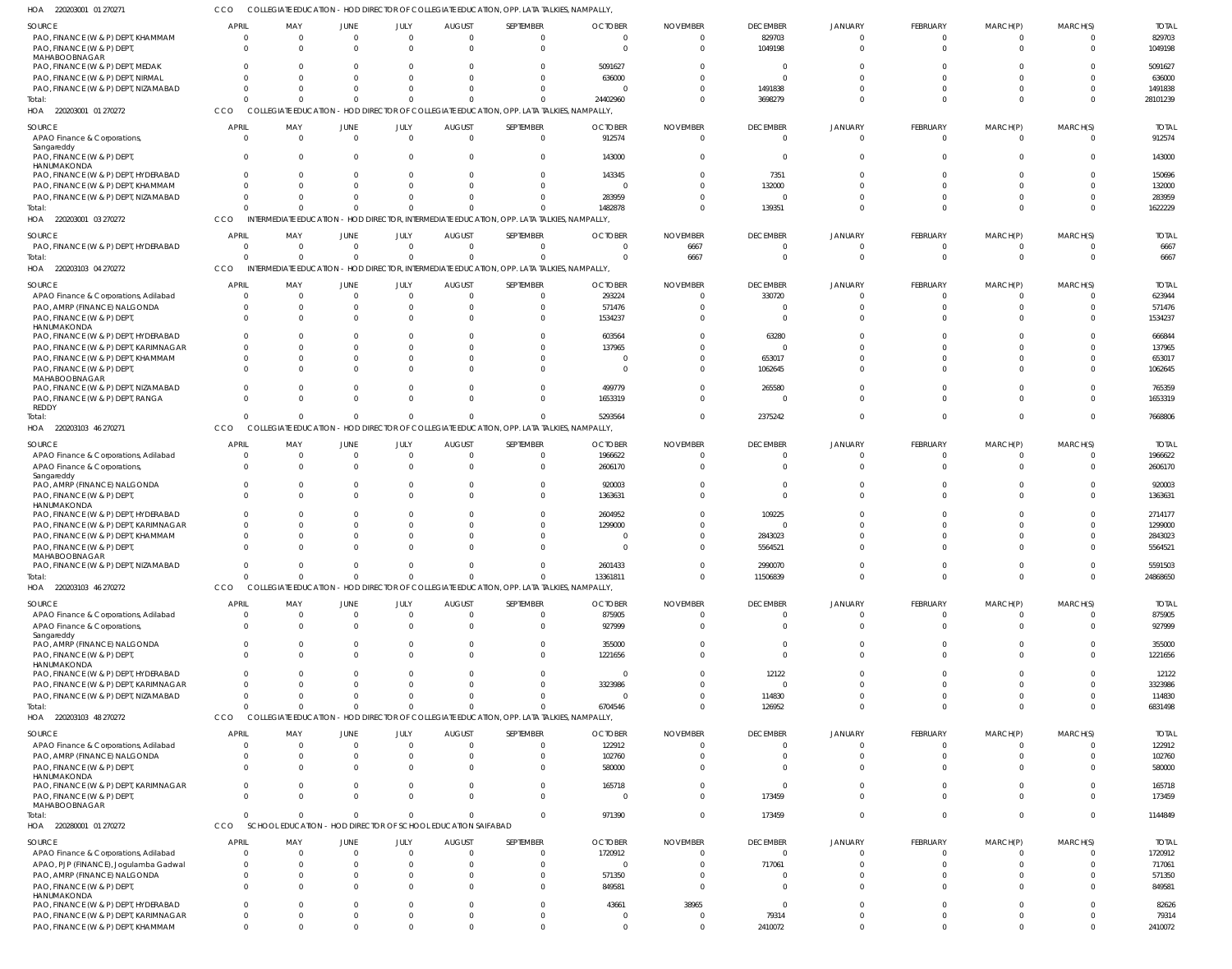220203001 01 270272 HOA 220203001 03 270272 220203103 04 270272 220203103 46 270271 HOA 220203103 46 270272 HOA 220203103 48 270272 HOA 220280001 01 270272 HOA HOA HOA COLLEGIATE EDUCATION - HOD DIRECTOR OF COLLEGIATE EDUCATION, OPP. LATA TALKIES, NAMPALLY, INTERMEDIATE EDUCATION - HOD DIRECTOR, INTERMEDIATE EDUCATION, OPP. LATA TALKIES, NAMPALLY, INTERMEDIATE EDUCATION - HOD DIRECTOR, INTERMEDIATE EDUCATION, OPP. LATA TALKIES, NAMPALLY, COLLEGIATE EDUCATION - HOD DIRECTOR OF COLLEGIATE EDUCATION, OPP. LATA TALKIES, NAMPALLY, COLLEGIATE EDUCATION - HOD DIRECTOR OF COLLEGIATE EDUCATION, OPP. LATA TALKIES, NAMPALLY, COLLEGIATE EDUCATION - HOD DIRECTOR OF COLLEGIATE EDUCATION, OPP. LATA TALKIES, NAMPALLY, CCO SCHOOL EDUCATION - HOD DIRECTOR OF SCHOOL EDUCATION SAIFABAD CCO **CCO CCO CCO CCO CCO** 0  $\sqrt{2}$ 0 0 0 0 0 0  $\sqrt{2}$ 0  $\Omega$  $\Omega$ 0 0 0  $\Omega$ 0  $\Omega$  $\Omega$ 0  $\Omega$ 0  $\cap$  $\Omega$  $\Omega$  $\Omega$ 0  $\cap$ 0  $\Omega$ 0 0  $\Omega$ 0 0 0  $\sqrt{2}$  $\Omega$  $\Omega$  $\Omega$ 0  $\Omega$ 24402960 1482878 0 5293564 13361811 6704546 971390 0  $\Omega$ 6667  $\Omega$ 0 0  $\Omega$ 3698279 139351 0 2375242 11506839 126952 173459 0  $\Omega$ 0 0  $\Omega$ 0  $\Omega$ 0  $\Omega$ 0  $\Omega$  $\Omega$ 0  $\Omega$ 0  $\Omega$ 0  $\Omega$  $\Omega$ 0 0 0  $\Omega$ 0 0 0 0 0 28101239 1622229 6667 7668806 24868650 6831498 1144849 PAO, FINANCE (W & P) DEPT, KHAMMAM PAO, FINANCE (W & P) DEPT, MAHABOOBNAGAR PAO, FINANCE (W & P) DEPT, MEDAK PAO, FINANCE (W & P) DEPT, NIRMAL PAO, FINANCE (W & P) DEPT, NIZAMABAD APAO Finance & Corporations, Sangareddy PAO, FINANCE (W & P) DEPT, HANUMAKONDA PAO, FINANCE (W & P) DEPT, HYDERABAD PAO, FINANCE (W & P) DEPT, KHAMMAM PAO, FINANCE (W & P) DEPT, NIZAMABAD PAO, FINANCE (W & P) DEPT, HYDERABAD APAO Finance & Corporations, Adilabad PAO, AMRP (FINANCE) NALGONDA PAO, FINANCE (W & P) DEPT HANUMAKONDA PAO, FINANCE (W & P) DEPT, HYDERABAD PAO, FINANCE (W & P) DEPT, KARIMNAGAR PAO, FINANCE (W & P) DEPT, KHAMMAM PAO, FINANCE (W & P) DEPT MAHABOOBNAGAR PAO, FINANCE (W & P) DEPT, NIZAMABAD PAO, FINANCE (W & P) DEPT, RANGA **REDDY** APAO Finance & Corporations, Adilabad APAO Finance & Corporations, Sangareddy PAO, AMRP (FINANCE) NALGONDA PAO, FINANCE (W & P) DEPT HANUMAKONDA PAO, FINANCE (W & P) DEPT, HYDERABAD PAO, FINANCE (W & P) DEPT, KARIMNAGAR PAO, FINANCE (W & P) DEPT, KHAMMAM PAO, FINANCE (W & P) DEPT MAHABOOBNAGAR PAO, FINANCE (W & P) DEPT, NIZAMABAD APAO Finance & Corporations, Adilabad APAO Finance & Corporations, Sangareddy PAO, AMRP (FINANCE) NALGONDA PAO, FINANCE (W & P) DEPT, **HANUMAKONDA** PAO, FINANCE (W & P) DEPT, HYDERABAD PAO, FINANCE (W & P) DEPT, KARIMNAGAR PAO, FINANCE (W & P) DEPT, NIZAMABAD APAO Finance & Corporations, Adilabad PAO, AMRP (FINANCE) NALGONDA PAO, FINANCE (W & P) DEPT, HANUMAKONDA PAO, FINANCE (W & P) DEPT, KARIMNAGAR PAO, FINANCE (W & P) DEPT MAHABOOBNAGAR APAO Finance & Corporations, Adilabad APAO, PJP (FINANCE), Jogulamba Gadwal PAO, AMRP (FINANCE) NALGONDA PAO, FINANCE (W & P) DEPT, HANUMAKONDA PAO, FINANCE (W & P) DEPT, HYDERABAD PAO, FINANCE (W & P) DEPT, KARIMNAGAR PAO, FINANCE (W & P) DEPT, KHAMMAM SOURCE SOURCE **SOURCE** SOURCE SOURCE SOURCE SOURCE SOURCE  $\Omega$  $\mathbf{C}$  $\sqrt{2}$ 0  $\Omega$  $\mathfrak{c}$ 0 0  $\Omega$ 0  $\Omega$  $\mathfrak{c}$ 0  $\Omega$  $\Omega$  $\Omega$  $\mathbf{C}$  $\cap$ 0  $\Omega$  $\Omega$  $\Omega$  $\Omega$ 0  $\mathfrak{g}$ 0  $\Omega$  $\Omega$ 0 0 0  $\sqrt{2}$ 0  $\sqrt{2}$  $\Omega$ 0  $\mathbf 0$ 0  $\Omega$  $\Omega$ 0 0  $\mathbf 0$  $\Omega$  $\Omega$ 0 0  $\Omega$ APRIL APRIL **APRIL** APRIL **APRIL** APRIL **APRIL** APRIL  $\Omega$ 0  $\Omega$ 0  $\Omega$ 0  $\Omega$  $\Omega$ 0 0 0 0  $\Omega$  $\Omega$  $\Omega$  $\Omega$ 0  $\Omega$  $\Omega$  $\Omega$  $\Omega$  $\Omega$  $\Omega$  $\Omega$  $\Omega$ 0 0  $\Omega$ 0 0 0  $\Omega$ 0  $\Omega$ 0 0 0 0 0 0 0 0 0 0  $\Omega$ 0 0  $\Omega$ MAY MAY MAY MAY MAY MAY MAY MAY  $\Omega$ 0  $\sqrt{2}$ 0  $\Omega$ 0  $\Omega$  $\Omega$  $\mathfrak{g}$ 0  $\Omega$  $\mathfrak{g}$  $\Omega$  $\Omega$  $\Omega$  $\mathfrak{g}$  $\mathbf{C}$  $\Omega$  $\Omega$  $\Omega$  $\Omega$  $\Omega$  $\Omega$  $\mathfrak{g}$  $\Omega$ 0  $\Omega$  $\Omega$ 0  $\Omega$ 0  $\Omega$ 0  $\mathbf{0}$  $\Omega$  $\Omega$ 0 0 0  $\Omega$ 0  $\Omega$ 0  $\Omega$ 0 0 0  $\Omega$ JUNE JUNE JUNE JUNE JUNE JUNE JUNE JUNE  $\Omega$ 0 0 0  $\sqrt{2}$ 0 0 0 0 0  $\Omega$ 0 0  $\Omega$ 0 0 0  $\sqrt{2}$ 0  $\sqrt{2}$ 0  $\bigcap$ 0 0 0 0 0 0 0 0 0 0 0 0 0  $\Omega$ 0  $\Omega$ 0 0 0  $\Omega$ 0 0  $\Omega$ 0 0 0 JULY JULY JULY JULY JULY JULY JULY JULY  $\Omega$ 0  $\Omega$ 0  $\Omega$ 0  $\Omega$  $\Omega$  $\Omega$ 0  $\Omega$ 0  $\Omega$ 0 0  $\Omega$ 0  $\Omega$  $\Omega$  $\Omega$  $\Omega$ 0 0 0 0  $\Omega$  $\Omega$  $\Omega$ 0 0 0  $\theta$ 0  $\Omega$ 0  $\Omega$ 0 0 0  $\Omega$ 0 0 0 0 0 0 0 0 AUGUST **AUGUST** AUGUST AUGUST AUGUST AUGUST AUGUST AUGUST 0 0 0 0 0 0  $\Omega$ 0 0 0  $\Omega$ 0 0  $\Omega$ 0 0 0  $\Omega$ 0 0 0  $\Omega$  $\Omega$ 0 0 0 0 0 0 0 0 0 0 0 0 0 0 0 0 0 0  $\bigcap$ 0 0 0 0 0 0 SEPTEMBER SEPTEMBER SEPTEMBER SEPTEMBER SEPTEMBER SEPTEMBER SEPTEMBER SEPTEMBER  $\Omega$ 0 5091627 636000  $\bigcap$ 912574 143000 143345  $\Omega$ 283959  $\Omega$ 293224 571476 1534237 603564 137965 0  $\Omega$ 499779 1653319 1966622 2606170 920003 1363631 2604952 1299000 0  $\Omega$ 2601433 875905 927999 355000 1221656 0 3323986 0 122912 102760 580000 165718 0 1720912 0 571350 849581 43661 0 0 **OCTOBER OCTOBER OCTOBER** OCTOBER **OCTOBER** OCTOBER **OCTOBER** OCTOBER 0 0 0 0  $\Omega$ 0  $\Omega$  $\Omega$  $\Omega$ 0 6667 0 0  $\Omega$  $\Omega$ 0 0  $\Omega$  $\Omega$  $\sqrt{2}$ 0  $\Omega$  $\Omega$ 0 0 0  $\Omega$ 0  $\Omega$ 0 0 0 0 0  $\Omega$ 0 0  $\Omega$  $\Omega$ 0 0  $\Omega$ 0 0  $\Omega$ 38965 0  $\Omega$ NOVEMBER NOVEMBER NOVEMBER NOVEMBER NOVEMBER NOVEMBER NOVEMBER NOVEMBER 829703 1049198  $\bigcap$ 0 1491838 0  $\Omega$ 7351 132000 0  $\Omega$ 330720  $\Omega$  $\Omega$ 63280 0 653017 1062645 265580  $\Omega$ 0  $\Omega$  $\Omega$  $\bigcap$ 109225 0 2843023 5564521 2990070 0 0  $\Omega$ 0 12122 0 114830 0 0 0  $\Omega$ 173459  $\cap$ 717061 0  $\Omega$ 0 79314 2410072 DECEMBER **DECEMBER** DECEMBER DECEMBER DECEMBER DECEMBER **DECEMBER** DECEMBER  $\Omega$ 0  $\sqrt{2}$  $\mathbf{C}$  $\Omega$  $\mathfrak{c}$ 0 0  $\Omega$  $\mathbf{C}$  $\Omega$  $\Omega$  $\mathsf{C}$  $\Omega$  $\Omega$  $\mathfrak{g}$  $\mathbf{C}$  $\Omega$  $\Omega$  $\Omega$ 0  $\Omega$ 0  $\mathfrak{g}$  $\mathfrak{g}$  $\mathfrak{g}$  $\Omega$  $\Omega$  $\Omega$  $\mathfrak{g}$ 0  $\mathfrak{g}$ 0  $\mathfrak{g}$  $\Omega$  $\Omega$ 0 0 0  $\Omega$ 0 0  $\mathbf 0$ 0  $\Omega$ 0 0  $\Omega$ JANUARY JANUARY JANUARY JANUARY JANUARY JANUARY JANUARY JANUARY  $\Omega$ 0  $\sqrt{2}$ 0  $\Omega$ 0  $\Omega$ 0 0 0  $\Omega$  $\Omega$ 0  $\Omega$ 0 0 0  $\Omega$  $\Omega$  $\sqrt{2}$ 0  $\Omega$ 0 0 0 0 0  $\sqrt{2}$ 0 0 0  $\Omega$ 0 0 0 0 0 0 0  $\Omega$ 0 0 0 0  $\Omega$ 0 0  $\Omega$ FEBRUARY FEBRUARY FEBRUARY FEBRUARY FEBRUARY FEBRUARY FEBRUARY FEBRUARY  $\Omega$ 0  $\Omega$ 0  $\Omega$ 0  $\Omega$  $\Omega$  $\Omega$ 0  $\sqrt{2}$ 0  $\sqrt{2}$  $\Omega$  $\Omega$  $\Omega$ 0  $\Omega$  $\Omega$  $\Omega$  $\sqrt{ }$  $\Omega$  $\Omega$  $\Omega$  $\Omega$  $\Omega$ 0 0  $\Omega$  $\Omega$ 0  $\Omega$ 0  $\Omega$ 0 0 0 0 0  $\Omega$ 0 0  $\mathbf 0$ 0 0 0 0 0 MARCH(P) MARCH(P) MARCH(P) MARCH(P) MARCH(P) MARCH(P) MARCH(P) MARCH(P) 0 0 0 0  $\Omega$ 0  $\Omega$ 0  $\Omega$ 0  $\Omega$ 0 0  $\Omega$  $\Omega$ 0 0  $\Omega$ 0  $\bigcap$ 0  $\Omega$ 0 0  $\Omega$ 0  $\Omega$ 0  $\Omega$ 0 0 0 0 0  $\Omega$ 0 0 0 0  $\cap$ 0  $\Omega$ 0 0 0 0 0  $\Omega$ MARCH(S) MARCH(S) MARCH(S) MARCH(S) MARCH(S) MARCH(S) MARCH(S) MARCH(S) 829703 1049198 5091627 636000 1491838 912574 143000 150696 132000 283959 6667 623944 571476 1534237 666844 137965 653017 1062645 765359 1653319 1966622 2606170 920003 1363631 2714177 1299000 2843023 5564521 5591503 875905 927999 355000 1221656 12122 3323986 114830 122912 102760 580000 165718 173459 1720912 717061 571350 849581 82626 79314 2410072 TOTAL TOTAL TOTAL TOTAL TOTAL TOTAL TOTAL TOTAL **Total** Total: **Total** Total: Total: **Total** Total:

COLLEGIATE EDUCATION - HOD DIRECTOR OF COLLEGIATE EDUCATION, OPP. LATA TALKIES, NAMPALLY,

220203001 01 270271 HOA

CCO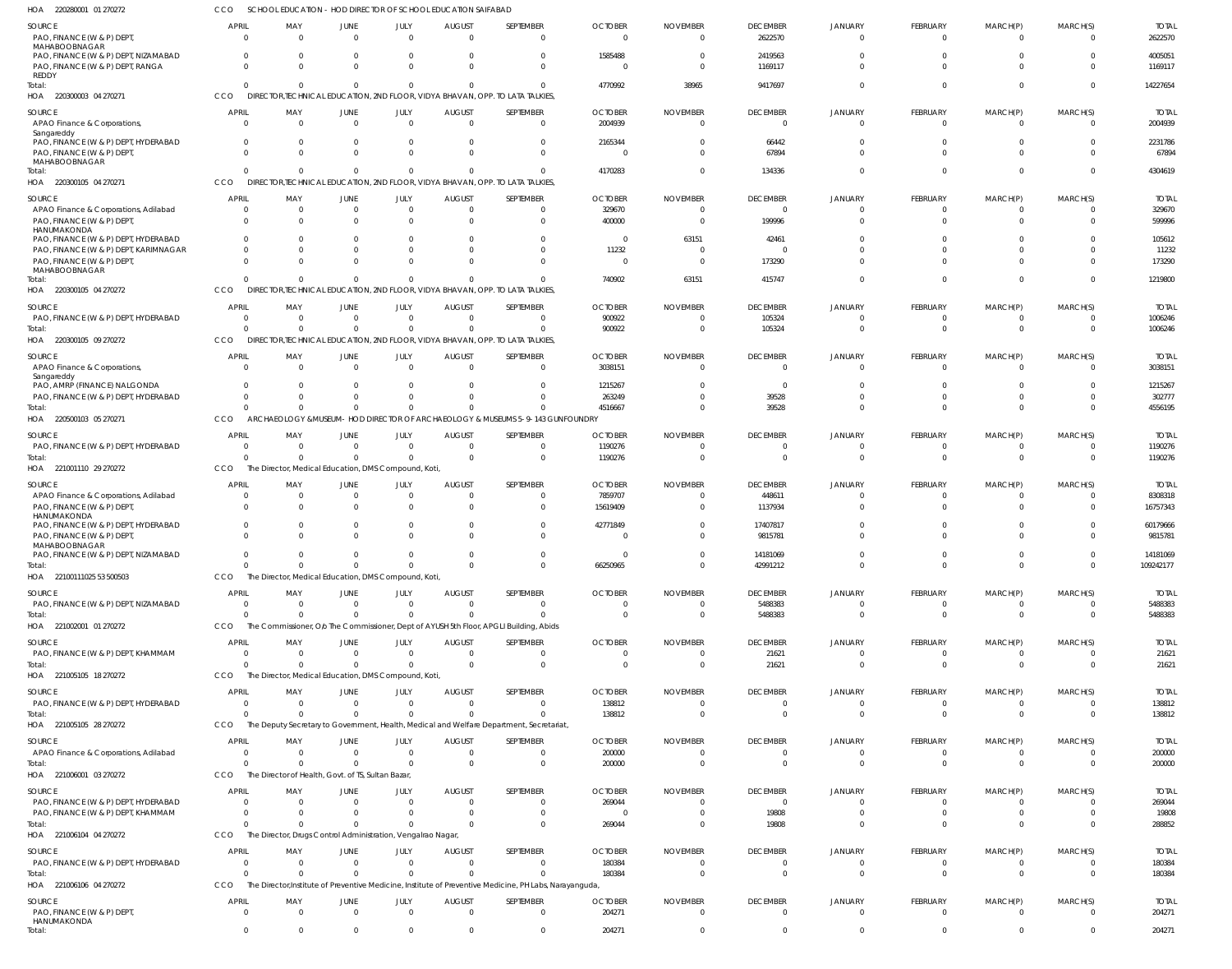220280001 01 270272 HOA 220300003 04 270271 HOA 220300105 04 270271 HOA 220300105 04 270272 HOA 220300105 09 270272 HOA 220500103 05 270271 221001110 29 270272 HOA 22100111025 53 500503 221002001 01 270272 221005105 18 270272 HOA 221005105 28 270272 221006001 03 270272 221006104 04 270272 221006106 04 270272 HOA HOA HOA HOA HOA HOA HOA SCHOOL EDUCATION - HOD DIRECTOR OF SCHOOL EDUCATION SAIFABAD DIRECTOR,TECHNICAL EDUCATION, 2ND FLOOR, VIDYA BHAVAN, OPP. TO LATA TALKIES, DIRECTOR,TECHNICAL EDUCATION, 2ND FLOOR, VIDYA BHAVAN, OPP. TO LATA TALKIES, DIRECTOR,TECHNICAL EDUCATION, 2ND FLOOR, VIDYA BHAVAN, OPP. TO LATA TALKIES, CCO DIRECTOR,TECHNICAL EDUCATION, 2ND FLOOR, VIDYA BHAVAN, OPP. TO LATA TALKIES, ARCHAEOLOGY &MUSEUM- HOD DIRECTOR OF ARCHAEOLOGY & MUSEUMS 5-9-143 GUNFOUNDRY The Director, Medical Education, DMS Compound, Koti, The Director, Medical Education, DMS Compound, Koti, The Commissioner, O/o The Commissioner, Dept of AYUSH 5th Floor, APGLI Building, Abids The Director, Medical Education, DMS Compound, Koti, The Deputy Secretary to Government, Health, Medical and Welfare Department, Secretariat, The Director of Health, Govt. of TS, Sultan Bazar, The Director, Drugs Control Administration, Vengalrao Nagar The Director,Institute of Preventive Medicine, Institute of Preventive Medicine, PH Labs, Narayanguda, CCO CCO CCO. **CCO CCO** CCO **CCO CCO** CCO **CCO CCO** CCO CCO  $\Omega$ 0  $\Omega$ 0  $\Omega$  $\Omega$  $\Omega$  $\Omega$ 0  $\Omega$  $\Omega$ 0 0 0  $\Omega$ 0  $\Omega$ 0 0  $\Omega$ 0 0 0 0 0 0 0 0  $\Omega$ 0  $\Omega$ 0  $\Omega$ 0  $\Omega$  $\Omega$ 0 0  $\theta$ 0 0 0 0 0  $\Omega$ 0  $\Omega$  $\bigcap$ 0 0 0  $\Omega$  $\Omega$ 0  $\theta$ 0  $\Omega$ 0  $\Omega$ 0  $\Omega$ 0 0  $\Omega$ 0 0 0 0 0 0  $\Omega$ 0  $\Omega$ 0 0  $\Omega$ 0 0 0 0 0 0  $\Omega$ 0 4770992 4170283 740902 900922 4516667 1190276 66250965 0 0 138812 200000 269044 180384 204271 38965 0 63151 0  $\Omega$  $\Omega$ 0 0 0 0 0 0  $\Omega$ 0 9417697 134336 415747 105324 39528  $\Omega$ 42991212 5488383 21621 0 0 19808 0 0  $\Omega$ 0  $\Omega$ 0  $\Omega$ 0 0  $\Omega$ 0  $\Omega$  $\Omega$ 0 0 0  $\Omega$ 0  $\Omega$ 0  $\Omega$  $\bigcap$ 0 0 0 0 0 0 0 0  $\Omega$ 0 0 0  $\Omega$ 0 0 0 0  $\Omega$ 0 0 0 0  $\Omega$ 0  $\Omega$ 0  $\Omega$  $\Omega$ 0 0 0 0 0  $\Omega$ 0 0 14227654 4304619 1219800 1006246 4556195 1190276 109242177 5488383 21621 138812 200000 288852 180384 204271 PAO, FINANCE (W & P) DEPT MAHABOOBNAGAR PAO, FINANCE (W & P) DEPT, NIZAMABAD PAO, FINANCE (W & P) DEPT, RANGA REDDY APAO Finance & Corporations, Sangareddy PAO, FINANCE (W & P) DEPT, HYDERABAD PAO, FINANCE (W & P) DEPT MAHABOOBNAGAR APAO Finance & Corporations, Adilabad PAO, FINANCE (W & P) DEPT, HANUMAKONDA PAO, FINANCE (W & P) DEPT, HYDERABAD PAO, FINANCE (W & P) DEPT, KARIMNAGAR PAO, FINANCE (W & P) DEPT, MAHABOOBNAGAR PAO, FINANCE (W & P) DEPT, HYDERABAD APAO Finance & Corporations, **Sangareddy** PAO, AMRP (FINANCE) NALGONDA PAO, FINANCE (W & P) DEPT, HYDERABAD PAO, FINANCE (W & P) DEPT, HYDERABAD APAO Finance & Corporations, Adilabad PAO, FINANCE (W & P) DEPT, **HANUMAKONDA** PAO, FINANCE (W & P) DEPT, HYDERABAD PAO, FINANCE (W & P) DEPT, MAHABOOBNAGAR PAO, FINANCE (W & P) DEPT, NIZAMABAD PAO, FINANCE (W & P) DEPT, NIZAMABAD PAO, FINANCE (W & P) DEPT, KHAMMAM PAO, FINANCE (W & P) DEPT, HYDERABAD APAO Finance & Corporations, Adilabad PAO, FINANCE (W & P) DEPT, HYDERABAD PAO, FINANCE (W & P) DEPT, KHAMMAM PAO, FINANCE (W & P) DEPT, HYDERABAD PAO, FINANCE (W & P) DEPT HANUMAKONDA SOURCE SOURCE **SOURCE** SOURCE **SOURCE** SOURCE SOURCE SOURCE SOURCE SOURCE SOURCE SOURCE SOURCE SOURCE 0  $\Omega$  $\Omega$ 0 0  $\Omega$ 0  $\Omega$ 0  $\Omega$ 0 0 0  $\Omega$ 0 0  $\Omega$  $\mathbf{C}$  $\mathfrak{g}$  $\Omega$ 0 0  $\Omega$ 0 0 0 0 0 0 APRIL **APRIL APRIL APRIL** APRIL APRIL APRIL APRIL APRIL APRIL APRIL **APRIL** APRIL APRIL  $\Omega$  $\Omega$  $\Omega$ 0 0  $\Omega$ 0  $\Omega$ 0  $\Omega$ 0 0 0  $\Omega$ 0 0  $\Omega$ 0  $\Omega$ 0 0 0 0 0 0 0 0 0 0 MAY MAY MAY MAY MAY MAY MAY MAY MAY MAY MAY MAY MAY MAY 0 0  $\Omega$ 0 0  $\Omega$  $\mathbf{C}$  $\Omega$ 0  $\Omega$ 0  $\Omega$ 0  $\Omega$ 0 0  $\sqrt{2}$  $\mathbf{C}$  $\Omega$ 0 0 0 0 0 0  $\Omega$ 0 0  $\Omega$ JUNE JUNE JUNE JUNE **JUNE** JUNE JUNE JUNE JUNE JUNE JUNE JUNE JUNE JUNE  $\Omega$  $\Omega$  $\bigcap$ 0 0  $\Omega$ 0  $\bigcap$ 0  $\sqrt{2}$ 0 0 0  $\Omega$ 0 0  $\bigcap$ 0 0 0 0 0 0 0 0 0 0 0 0 JULY JULY JULY JULY JULY JULY JULY JULY JULY JULY JULY JULY JULY JULY 0 0  $\Omega$ 0 0  $\Omega$ 0  $\Omega$ 0  $\Omega$ 0 0 0 0 0 0  $\Omega$ 0 0 0 0 0 0 0 0 0 0 0 0 AUGUST AUGUST AUGUST AUGUST **AUGUST** AUGUST AUGUST AUGUST AUGUST AUGUST AUGUST AUGUST AUGUST AUGUST  $\Omega$  $\Omega$  $\Omega$ 0 0  $\Omega$ 0  $\Omega$ 0 0 0  $\Omega$ 0  $\Omega$ 0  $\Omega$ 0 0 0 0 0 0 0 0 0 0 0 0 0 SEPTEMBER SEPTEMBER SEPTEMBER **SEPTEMBER SEPTEMBER** SEPTEMBER SEPTEMBER SEPTEMBER SEPTEMBER SEPTEMBER SEPTEMBER SEPTEMBER SEPTEMBER SEPTEMBER  $\Omega$ 1585488  $\Omega$ 2004939 2165344  $\Omega$ 329670 400000 0 11232 0 900922 3038151 1215267 263249 1190276 7859707 15619409 42771849 0 0 0 0 138812 200000 269044 0 180384 204271 **OCTOBER** OCTOBER **OCTOBER** OCTOBER **OCTOBER** OCTOBER OCTOBER OCTOBER OCTOBER **OCTOBER** OCTOBER OCTOBER OCTOBER OCTOBER  $\Omega$  $\Omega$  $\bigcap$ 0 0  $\Omega$ 0  $\Omega$ 63151  $\sqrt{2}$ 0  $\sqrt{2}$ 0  $\Omega$ 0  $\Omega$ 0 0 0 0 0 0  $\cap$ 0 0  $\Omega$ 0 0 0 NOVEMBER NOVEMBER NOVEMBER NOVEMBER NOVEMBER NOVEMBER NOVEMBER NOVEMBER NOVEMBER NOVEMBER NOVEMBER NOVEMBER NOVEMBER NOVEMBER 2622570 2419563 1169117 0 66442 67894 0 199996 42461  $\bigcap$ 173290 105324 0  $\bigcap$ 39528  $\Omega$ 448611 1137934 17407817 9815781 14181069 5488383 21621 0 0 0 19808  $\Omega$ 0 DECEMBER DECEMBER DECEMBER DECEMBER **DECEMBER** DECEMBER DECEMBER DECEMBER DECEMBER **DECEMBER** DECEMBER DECEMBER DECEMBER DECEMBER 0 0  $\mathfrak{g}$ 0 0  $\Omega$ 0  $\Omega$ 0  $\Omega$ 0 0 0  $\Omega$ 0 0  $\Omega$ 0  $\mathfrak{g}$  $\Omega$ 0  $\Omega$ 0 0 0 0 0 0  $\theta$ JANUARY JANUARY **JANUARY** JANUARY JANUARY JANUARY JANUARY JANUARY JANUARY JANUARY JANUARY JANUARY JANUARY JANUARY 0  $\Omega$  $\Omega$ 0 0  $\Omega$ 0  $\Omega$ 0  $\sqrt{2}$ 0  $\sqrt{2}$ 0  $\Omega$ 0  $\Omega$ 0 0  $\Omega$  $\Omega$ 0 0 0 0 0 0 0  $\Omega$ 0 FEBRUARY FEBRUARY FEBRUARY FEBRUARY **FEBRUARY** FEBRUARY FEBRUARY FEBRUARY FEBRUARY FEBRUARY FEBRUARY FEBRUARY FEBRUARY FEBRUARY  $\Omega$ 0 0 0 0  $\Omega$ 0  $\Omega$ 0  $\Omega$ 0  $\Omega$ 0  $\Omega$ 0  $\Omega$  $\sqrt{2}$ 0  $\Omega$ 0 0 0 0 0 0  $\Omega$ 0 0 0 MARCH(P) MARCH(P) MARCH(P) MARCH(P) MARCH(P) MARCH(P) MARCH(P) MARCH(P) MARCH(P) MARCH(P) MARCH(P) MARCH(P) MARCH(P) MARCH(P)  $\Omega$  $\Omega$  $\Omega$ 0 0  $\bigcap$ 0  $\Omega$ 0 0 0 0 0  $\Omega$ 0 0 0 0 0  $\Omega$ 0 0 0 0 0  $\Omega$ 0 0 0 MARCH(S) MARCH(S) MARCH(S) MARCH(S) MARCH(S) MARCH(S) MARCH(S) MARCH(S) MARCH(S) MARCH(S) MARCH(S) MARCH(S) MARCH(S) MARCH(S) 2622570 4005051 1169117 2004939 2231786 67894 329670 599996 105612 11232 173290 1006246 3038151 1215267 302777 1190276 8308318 16757343 60179666 9815781 14181069 5488383 21621 138812 200000 269044 19808 180384 204271 TOTAL TOTAL TOTAL TOTAL TOTAL TOTAL TOTAL TOTAL TOTAL TOTAL TOTAL TOTAL TOTAL TOTAL Total: Total: Total: Total: Total: Total: Total: Total: Total: Total: Total: Total: Total: Total: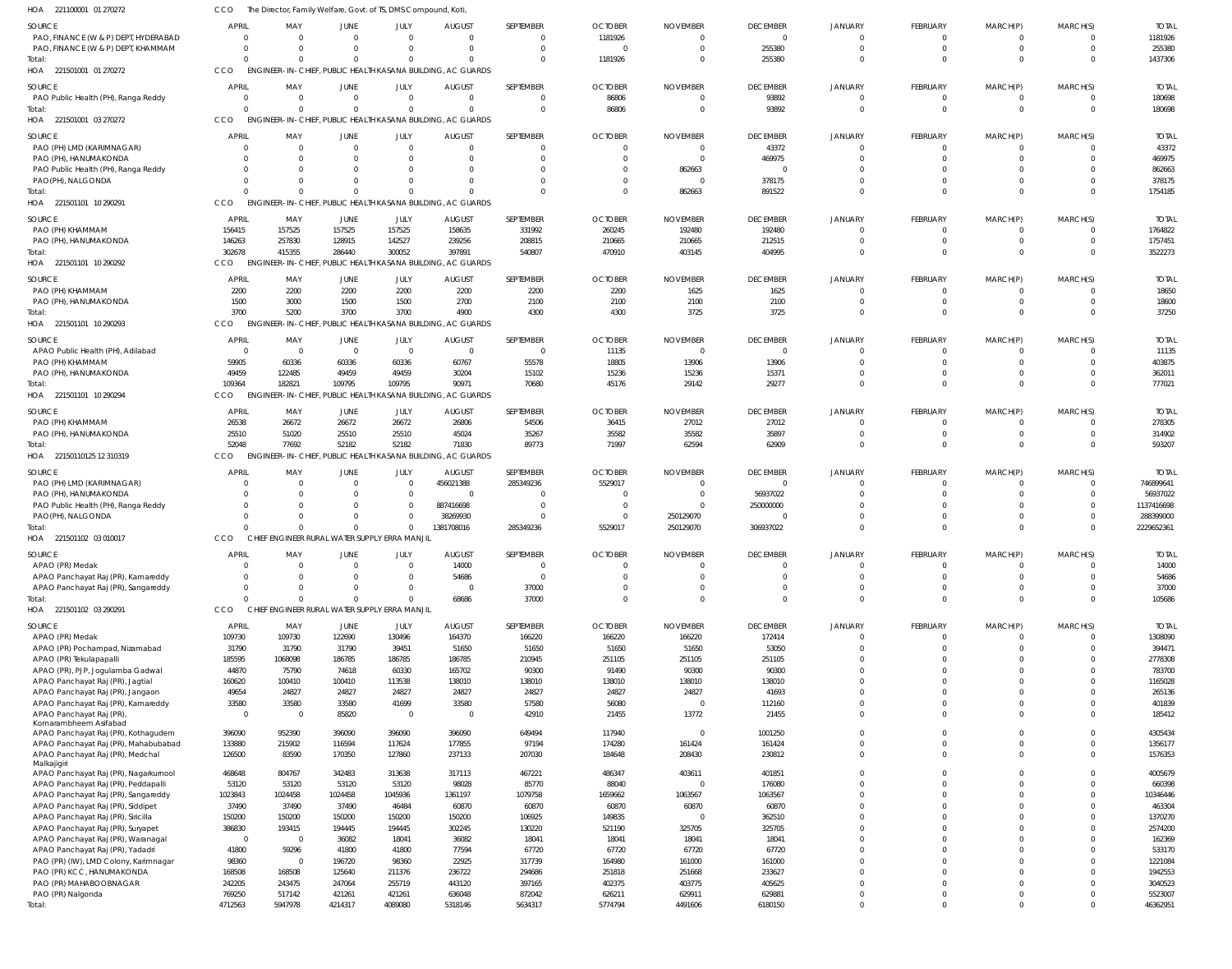| HOA 221100001 01 270272                                                 | cco                      | The Director, Family Welfare, Govt. of TS, DMS Compound, Koti, |                               |                        |                                                                         |                            |                           |                           |                                   |                            |                            |                             |                            |                           |
|-------------------------------------------------------------------------|--------------------------|----------------------------------------------------------------|-------------------------------|------------------------|-------------------------------------------------------------------------|----------------------------|---------------------------|---------------------------|-----------------------------------|----------------------------|----------------------------|-----------------------------|----------------------------|---------------------------|
| SOURCE<br>PAO, FINANCE (W & P) DEPT, HYDERABAD                          | <b>APRIL</b><br>$\Omega$ | MAY<br>$\cap$                                                  | <b>JUNE</b><br>$\Omega$       | JULY<br>$\overline{0}$ | <b>AUGUST</b><br>$\Omega$                                               | SEPTEMBER<br>$^{\circ}$    | <b>OCTOBER</b><br>1181926 | <b>NOVEMBER</b>           | <b>DECEMBER</b><br>$\overline{0}$ | JANUARY<br>$\overline{0}$  | FEBRUARY<br>$\mathbf{0}$   | MARCH(P)<br>$^{\circ}$      | MARCH(S)<br>$\overline{0}$ | <b>TOTAL</b><br>1181926   |
| PAO, FINANCE (W & P) DEPT, KHAMMAM<br>Total:                            | $\Omega$<br>$\Omega$     | $\cap$<br>$\Omega$                                             | $\Omega$<br>$\Omega$          | $\Omega$<br>$\Omega$   | $\Omega$<br>$\Omega$                                                    | $\mathbf 0$<br>$\mathbf 0$ | $\Omega$<br>1181926       | $\Omega$                  | 255380<br>255380                  | $\Omega$<br>$\Omega$       | $\mathbf 0$<br>$\Omega$    | $\mathbf{0}$<br>$\mathbf 0$ | $\overline{0}$<br>$\Omega$ | 255380<br>1437306         |
| HOA 221501001 01 270272                                                 | CCO                      |                                                                |                               |                        | ENGINEER-IN-CHIEF, PUBLIC HEALTH KASANA BUILDING, AC GUARDS             |                            |                           |                           |                                   |                            |                            |                             |                            |                           |
| SOURCE<br>PAO Public Health (PH), Ranga Reddy                           | <b>APRIL</b><br>- 0      | MAY<br>$\Omega$                                                | <b>JUNE</b><br>$\overline{0}$ | JULY<br>$\overline{0}$ | <b>AUGUST</b><br>$\overline{0}$                                         | SEPTEMBER<br>$\mathbf 0$   | <b>OCTOBER</b><br>86806   | <b>NOVEMBER</b>           | <b>DECEMBER</b><br>93892          | JANUARY<br>$\overline{0}$  | FEBRUARY<br>$\mathbf 0$    | MARCH(P)<br>$\mathbf 0$     | MARCH(S)<br>$\Omega$       | <b>TOTAL</b><br>180698    |
| Total:<br>HOA 221501001 03 270272                                       | $\Omega$<br>CCO          |                                                                | $\Omega$                      | $\overline{0}$         | $\Omega$<br>ENGINEER-IN-CHIEF, PUBLIC HEALTH KASANA BUILDING, AC GUARDS | $\overline{0}$             | 86806                     |                           | 93892                             | $\Omega$                   | $\mathbf 0$                | $\overline{0}$              | $\overline{\mathbf{0}}$    | 180698                    |
| <b>SOURCE</b>                                                           | <b>APRIL</b>             | MAY                                                            | <b>JUNE</b>                   | JULY                   | <b>AUGUST</b>                                                           | SEPTEMBER                  | <b>OCTOBER</b>            | <b>NOVEMBER</b>           | <b>DECEMBER</b>                   | JANUARY                    | FEBRUARY                   | MARCH(P)                    | MARCH(S)                   | <b>TOTAL</b>              |
| PAO (PH) LMD (KARIMNAGAR)                                               | -0                       | $\Omega$                                                       | $\Omega$                      | $\overline{0}$         | $\Omega$                                                                | $^{\circ}$                 | $\Omega$                  | $\Omega$                  | 43372                             | $\Omega$                   | $\mathbf{0}$               | $^{\circ}$                  | $\Omega$                   | 43372                     |
| PAO (PH), HANUMAKONDA                                                   | $\Omega$                 | $\Omega$                                                       |                               | $\Omega$               | $\Omega$                                                                | $\mathbf 0$                | $\Omega$                  |                           | 469975                            | $\Omega$                   | $\overline{0}$             | $\mathbf 0$                 | $\Omega$                   | 469975                    |
| PAO Public Health (PH), Ranga Reddy                                     |                          |                                                                |                               | $\Omega$               | $\Omega$                                                                | $\mathbf 0$                | $\Omega$                  | 862663                    | $\overline{0}$                    |                            | $\Omega$                   | $\mathbf 0$                 | $\Omega$                   | 862663                    |
| PAO(PH), NALGONDA                                                       | -0                       |                                                                | $\Omega$                      | $\Omega$               | $\Omega$                                                                | $\Omega$                   | $\Omega$                  | $\Omega$                  | 378175                            | $\Omega$                   | $\Omega$                   | $\mathbf 0$                 | $\Omega$                   | 378175                    |
| Total:<br>HOA 221501101 10 290291                                       | $\Omega$<br>CCO          |                                                                | $\Omega$                      | $\Omega$               | $\Omega$<br>ENGINEER-IN-CHIEF, PUBLIC HEALTH KASANA BUILDING, AC GUARDS | $\Omega$                   | $\Omega$                  | 862663                    | 891522                            | $\Omega$                   | $\Omega$                   | $\mathbf 0$                 | $\Omega$                   | 1754185                   |
|                                                                         |                          |                                                                |                               |                        |                                                                         |                            |                           |                           |                                   |                            |                            |                             |                            |                           |
| SOURCE<br>PAO (PH) KHAMMAM                                              | <b>APRIL</b><br>156415   | MAY<br>157525                                                  | <b>JUNE</b><br>157525         | JULY<br>157525         | <b>AUGUST</b><br>158635                                                 | SEPTEMBER<br>331992        | <b>OCTOBER</b><br>260245  | <b>NOVEMBER</b><br>192480 | <b>DECEMBER</b><br>192480         | JANUARY<br>$\overline{0}$  | FEBRUARY<br>$\mathbf 0$    | MARCH(P)<br>$^{\circ}$      | MARCH(S)<br>$\Omega$       | <b>TOTAL</b><br>1764822   |
| PAO (PH), HANUMAKONDA                                                   | 146263                   | 257830                                                         | 128915                        | 142527                 | 239256                                                                  | 208815                     | 210665                    | 210665                    | 212515                            | $\Omega$                   | $\mathbf 0$                | $\overline{0}$              | $\Omega$                   | 1757451                   |
| Total:                                                                  | 302678                   | 415355                                                         | 286440                        | 300052                 | 397891                                                                  | 540807                     | 470910                    | 403145                    | 404995                            | $\Omega$                   | $\mathbf 0$                | $\mathbf 0$                 | $\Omega$                   | 3522273                   |
| HOA 221501101 10 290292                                                 | CCO                      |                                                                |                               |                        | ENGINEER-IN-CHIEF, PUBLIC HEALTH KASANA BUILDING, AC GUARDS             |                            |                           |                           |                                   |                            |                            |                             |                            |                           |
| SOURCE                                                                  | <b>APRIL</b>             | MAY                                                            | <b>JUNE</b>                   | JULY                   | <b>AUGUST</b>                                                           | SEPTEMBER                  | <b>OCTOBER</b>            | <b>NOVEMBER</b>           | <b>DECEMBER</b>                   | <b>JANUARY</b>             | FEBRUARY                   | MARCH(P)                    | MARCH(S)                   | <b>TOTAL</b>              |
| PAO (PH) KHAMMAM                                                        | 2200                     | 2200                                                           | 2200                          | 2200                   | 2200                                                                    | 2200                       | 2200                      | 1625                      | 1625                              | $\Omega$                   | $\overline{0}$             | 0                           | $\Omega$                   | 18650                     |
| PAO (PH), HANUMAKONDA<br>Total:                                         | 1500<br>3700             | 3000<br>5200                                                   | 1500<br>3700                  | 1500<br>3700           | 2700<br>4900                                                            | 2100<br>4300               | 2100<br>4300              | 2100<br>3725              | 2100<br>3725                      | $\Omega$<br>$\Omega$       | $\overline{0}$<br>$\Omega$ | $\mathbf 0$<br>$\mathbf 0$  | $\Omega$<br>$\Omega$       | 18600<br>37250            |
| HOA 221501101 10 290293                                                 | CCO                      |                                                                |                               |                        | ENGINEER-IN-CHIEF, PUBLIC HEALTH KASANA BUILDING, AC GUARDS             |                            |                           |                           |                                   |                            |                            |                             |                            |                           |
| SOURCE                                                                  | <b>APRIL</b>             | MAY                                                            | <b>JUNE</b>                   | JULY                   | <b>AUGUST</b>                                                           | SEPTEMBER                  | <b>OCTOBER</b>            | <b>NOVEMBER</b>           | <b>DECEMBER</b>                   | JANUARY                    | FEBRUARY                   | MARCH(P)                    | MARCH(S)                   | <b>TOTAL</b>              |
| APAO Public Health (PH), Adilabad                                       | $\overline{0}$           | $\overline{0}$                                                 | $\overline{0}$                | $\overline{0}$         | $\overline{0}$                                                          | $\overline{0}$             | 11135                     | $\Omega$                  | $\overline{0}$                    | $\overline{0}$             | $\mathbf 0$                | $\mathbf 0$                 | $\Omega$                   | 11135                     |
| PAO (PH) KHAMMAM                                                        | 59905                    | 60336                                                          | 60336                         | 60336                  | 60767                                                                   | 55578                      | 18805                     | 13906                     | 13906                             | $\Omega$                   | $\mathbf 0$                | $\mathbf 0$                 | $\Omega$                   | 403875                    |
| PAO (PH), HANUMAKONDA                                                   | 49459                    | 122485                                                         | 49459                         | 49459                  | 30204                                                                   | 15102                      | 15236                     | 15236                     | 15371                             | $\Omega$                   | $\mathbf 0$                | $\mathbf 0$                 | $\Omega$                   | 362011                    |
| Total:<br>HOA 221501101 10 290294                                       | 109364<br>CCO            | 182821                                                         | 109795                        | 109795                 | 90971<br>ENGINEER-IN-CHIEF, PUBLIC HEALTH KASANA BUILDING, AC GUARDS    | 70680                      | 45176                     | 29142                     | 29277                             | $\Omega$                   | $\Omega$                   | $\mathbf 0$                 | $\Omega$                   | 777021                    |
| SOURCE                                                                  | <b>APRIL</b>             | MAY                                                            | <b>JUNE</b>                   | JULY                   | <b>AUGUST</b>                                                           | SEPTEMBER                  | <b>OCTOBER</b>            | <b>NOVEMBER</b>           | <b>DECEMBER</b>                   | JANUARY                    | FEBRUARY                   | MARCH(P)                    | MARCH(S)                   | <b>TOTAL</b>              |
| PAO (PH) KHAMMAM                                                        | 26538                    | 26672                                                          | 26672                         | 26672                  | 26806                                                                   | 54506                      | 36415                     | 27012                     | 27012                             | $\Omega$                   | $\Omega$                   | 0                           | $\Omega$                   | 278305                    |
| PAO (PH), HANUMAKONDA                                                   | 25510                    | 51020                                                          | 25510                         | 25510                  | 45024                                                                   | 35267                      | 35582                     | 35582                     | 35897                             | $\Omega$                   | $\overline{0}$             | $\mathbf 0$                 | $\Omega$                   | 314902                    |
| Total:<br>HOA 22150110125 12 310319                                     | 52048<br>CCO             | 77692                                                          | 52182                         | 52182                  | 71830<br>ENGINEER-IN-CHIEF, PUBLIC HEALTH KASANA BUILDING, AC GUARDS    | 89773                      | 71997                     | 62594                     | 62909                             | $\Omega$                   | $\Omega$                   | $\mathbf 0$                 | $\Omega$                   | 593207                    |
|                                                                         |                          |                                                                |                               |                        |                                                                         |                            |                           |                           |                                   |                            |                            |                             |                            |                           |
| SOURCE<br>PAO (PH) LMD (KARIMNAGAR)                                     | <b>APRIL</b><br>- 0      | MAY                                                            | JUNE<br>$\overline{0}$        | JULY<br>$\overline{0}$ | <b>AUGUST</b><br>456021388                                              | SEPTEMBER<br>285349236     | <b>OCTOBER</b><br>5529017 | <b>NOVEMBER</b>           | <b>DECEMBER</b><br>$\overline{0}$ | JANUARY<br>$\overline{0}$  | FEBRUARY<br>$\mathbf 0$    | MARCH(P)<br>$\mathbf 0$     | MARCH(S)<br>$\overline{0}$ | <b>TOTAL</b><br>746899641 |
| PAO (PH), HANUMAKONDA                                                   | -0                       |                                                                | 0                             | $\overline{0}$         | $\Omega$                                                                | $\mathbf 0$                |                           |                           | 56937022                          | $\Omega$                   | $\mathbf 0$                | $\mathbf 0$                 | $\Omega$                   | 56937022                  |
| PAO Public Health (PH), Ranga Reddy                                     |                          |                                                                |                               | $\overline{0}$         | 887416698                                                               | $\mathbf{0}$               | $\Omega$                  |                           | 250000000                         |                            | $\mathbf 0$                | $\mathbf 0$                 | $\Omega$                   | 1137416698                |
| PAO(PH), NALGONDA                                                       |                          |                                                                | $\Omega$                      | $\overline{0}$         | 38269930                                                                | $\mathbf 0$                | $\Omega$                  | 250129070                 | $\overline{0}$                    | $\Omega$                   | $\mathbf 0$                | $\mathbf 0$                 | $\Omega$                   | 288399000                 |
| Total:<br>HOA 221501102 03 010017                                       | CCO                      | CHIEF ENGINEER RURAL WATER SUPPLY ERRA MANJIL                  | $\Omega$                      | $\mathbf{0}$           | 1381708016                                                              | 285349236                  | 5529017                   | 250129070                 | 306937022                         | $\Omega$                   | $\mathbf 0$                | $\mathbf 0$                 | $\Omega$                   | 2229652361                |
| <b>SOURCE</b>                                                           | <b>APRIL</b>             | MAY                                                            | <b>JUNE</b>                   | JULY                   | <b>AUGUST</b>                                                           | SEPTEMBER                  | <b>OCTOBER</b>            | <b>NOVEMBER</b>           | <b>DECEMBER</b>                   | <b>JANUARY</b>             | FEBRUARY                   | MARCH(P)                    | MARCH(S)                   | <b>TOTAL</b>              |
| APAO (PR) Medak                                                         | $\Omega$                 |                                                                |                               | $\Omega$               | 14000                                                                   | $\mathbf 0$                | $\Omega$                  |                           | $\Omega$                          | $\Omega$                   | $\mathbf 0$                | $\mathbf 0$                 | $\Omega$                   | 14000                     |
| APAO Panchayat Raj (PR), Kamareddy                                      | $\Omega$                 | $\Omega$                                                       | $\Omega$                      | $\overline{0}$         | 54686                                                                   | $\mathbf 0$                | $\Omega$                  | $\Omega$                  | $\mathbf 0$                       | $\mathbf 0$                | $\mathbf 0$                | $\mathbf 0$                 | $\Omega$                   | 54686                     |
| APAO Panchayat Raj (PR), Sangareddy                                     | $\mathbf{0}$             | $\Omega$                                                       | $\Omega$                      | $\overline{0}$         | $\Omega$                                                                | 37000                      | $\Omega$                  | $\Omega$                  | $\mathbf 0$                       | $\mathbf 0$                | $\mathbf 0$                | $\mathbf 0$                 | $\overline{0}$             | 37000                     |
| Total:<br>HOA 221501102 03 290291                                       | $\Omega$<br>CCO          | $\Omega$<br>CHIEF ENGINEER RURAL WATER SUPPLY ERRA MANJIL      | $\Omega$                      | $\mathbf 0$            | 68686                                                                   | 37000                      | $\Omega$                  | $\Omega$                  | $\Omega$                          | $\Omega$                   | $\mathbf 0$                | $\mathbf 0$                 | $\Omega$                   | 105686                    |
|                                                                         |                          |                                                                |                               |                        |                                                                         |                            | <b>OCTOBER</b>            |                           |                                   |                            |                            | MARCH(P)                    |                            |                           |
| SOURCE<br>APAO (PR) Medak                                               | <b>APRIL</b><br>109730   | MAY<br>109730                                                  | <b>JUNE</b><br>122690         | JULY<br>130496         | <b>AUGUST</b><br>164370                                                 | SEPTEMBER<br>166220        | 166220                    | <b>NOVEMBER</b><br>166220 | <b>DECEMBER</b><br>172414         | JANUARY<br>$\overline{0}$  | FEBRUARY<br>$\mathbf 0$    | $\mathbf 0$                 | MARCH(S)<br>$\overline{0}$ | <b>TOTAL</b><br>1308090   |
| APAO (PR) Pochampad, Nizamabad                                          | 31790                    | 31790                                                          | 31790                         | 39451                  | 51650                                                                   | 51650                      | 51650                     | 51650                     | 53050                             | $\overline{0}$             | $\mathbf 0$                | $\mathbf 0$                 | $\overline{0}$             | 394471                    |
| APAO (PR) Tekulapapalli                                                 | 185595                   | 1068098                                                        | 186785                        | 186785                 | 186785                                                                  | 210945                     | 251105                    | 251105                    | 251105                            | $\overline{0}$             | $\mathbf 0$                | $\mathbf 0$                 | $\Omega$                   | 2778308                   |
| APAO (PR), PJP, Jogulamba Gadwal                                        | 44870<br>160620          | 75790<br>100410                                                | 74618<br>100410               | 60330<br>113538        | 165702<br>138010                                                        | 90300<br>138010            | 91490<br>138010           | 90300<br>138010           | 90300<br>138010                   | $\mathbf 0$<br>$\mathbf 0$ | $\mathbf 0$<br>$\mathbf 0$ | $\mathbf 0$<br>$\mathbf 0$  | $\Omega$<br>$\Omega$       | 783700<br>1165028         |
| APAO Panchayat Raj (PR), Jagtial<br>APAO Panchayat Raj (PR), Jangaon    | 49654                    | 24827                                                          | 24827                         | 24827                  | 24827                                                                   | 24827                      | 24827                     | 24827                     | 41693                             | $\mathbf 0$                | $\mathbf 0$                | $\mathbf 0$                 | $\Omega$                   | 265136                    |
| APAO Panchayat Raj (PR), Kamareddy                                      | 33580                    | 33580                                                          | 33580                         | 41699                  | 33580                                                                   | 57580                      | 56080                     | $\Omega$                  | 112160                            | $\mathbf 0$                | $\mathbf 0$                | $\mathbf 0$                 | $\Omega$                   | 401839                    |
| APAO Panchayat Raj (PR)                                                 | $\overline{0}$           | - 0                                                            | 85820                         | $\overline{0}$         | $\overline{0}$                                                          | 42910                      | 21455                     | 13772                     | 21455                             | $\mathbf 0$                | $\mathbf 0$                | $\mathbf 0$                 | $\Omega$                   | 185412                    |
| Komarambheem Asifabad<br>APAO Panchayat Raj (PR), Kothagudem            | 396090                   | 952390                                                         | 396090                        | 396090                 | 396090                                                                  | 649494                     | 117940                    | $\Omega$                  | 1001250                           | $\mathbf 0$                | $\mathbf 0$                | $\mathbf 0$                 | $\Omega$                   | 4305434                   |
| APAO Panchayat Raj (PR), Mahabubabad                                    | 133880                   | 215902                                                         | 116594                        | 117624                 | 177855                                                                  | 97194                      | 174280                    | 161424                    | 161424                            | $\mathbf 0$                | $\mathbf 0$                | $\mathbf 0$                 | $\overline{0}$             | 1356177                   |
| APAO Panchayat Raj (PR), Medchal<br>Malkajigiri                         | 126500                   | 83590                                                          | 170350                        | 127860                 | 237133                                                                  | 207030                     | 184648                    | 208430                    | 230812                            | $\overline{0}$             | $\mathbf 0$                | $\mathbf 0$                 | $\overline{0}$             | 1576353                   |
| APAO Panchayat Raj (PR), Nagarkurnool                                   | 468648                   | 804767                                                         | 342483                        | 313638                 | 317113                                                                  | 467221                     | 486347                    | 403611                    | 401851                            | $\mathbf 0$                | $\mathbf 0$                | $\mathbf 0$                 | $\overline{0}$             | 4005679                   |
| APAO Panchayat Raj (PR), Peddapalli                                     | 53120                    | 53120                                                          | 53120                         | 53120                  | 98028                                                                   | 85770                      | 88040                     |                           | 176080                            | $\mathbf 0$                | $\mathbf 0$                | $\mathbf 0$                 | $\overline{0}$             | 660398                    |
| APAO Panchayat Raj (PR), Sangareddy                                     | 1023843                  | 1024458                                                        | 1024458                       | 1045936                | 1361197                                                                 | 1079758                    | 1659662                   | 1063567                   | 1063567                           | $\mathbf 0$<br>$\mathbf 0$ | $\mathbf 0$<br>$\mathbf 0$ | $\mathbf 0$<br>$\mathbf 0$  | $\Omega$<br>$\Omega$       | 10346446                  |
| APAO Panchayat Raj (PR), Siddipet<br>APAO Panchayat Raj (PR), Siricilla | 37490<br>150200          | 37490<br>150200                                                | 37490<br>150200               | 46484<br>150200        | 60870<br>150200                                                         | 60870<br>106925            | 60870<br>149835           | 60870                     | 60870<br>362510                   | $\mathbf 0$                | $\mathbf 0$                | $\mathbf 0$                 | $\Omega$                   | 463304<br>1370270         |
| APAO Panchayat Raj (PR), Suryapet                                       | 386830                   | 193415                                                         | 194445                        | 194445                 | 302245                                                                  | 130220                     | 521190                    | 325705                    | 325705                            | $\mathbf 0$                | $\mathbf 0$                | $\mathbf 0$                 | $\Omega$                   | 2574200                   |
| APAO Panchayat Raj (PR), Waranagal                                      | $\overline{0}$           | - 0                                                            | 36082                         | 18041                  | 36082                                                                   | 18041                      | 18041                     | 18041                     | 18041                             | $\mathbf 0$                | $\mathbf 0$                | $\mathbf 0$                 | $\Omega$                   | 162369                    |
| APAO Panchayat Raj (PR), Yadadri                                        | 41800                    | 59296                                                          | 41800                         | 41800                  | 77594                                                                   | 67720                      | 67720                     | 67720                     | 67720                             | $\mathbf 0$                | $\Omega$                   | $\mathbf 0$                 | $\Omega$<br>$\Omega$       | 533170                    |
| PAO (PR) (IW), LMD Colony, Karimnagar<br>PAO (PR) KCC, HANUMAKONDA      | 98360<br>168508          | - 0<br>168508                                                  | 196720<br>125640              | 98360<br>211376        | 22925<br>236722                                                         | 317739<br>294686           | 164980<br>251818          | 161000<br>251668          | 161000<br>233627                  | $\mathbf 0$<br>$\mathbf 0$ | $\mathbf 0$<br>$\mathbf 0$ | $\mathbf 0$<br>$\mathbf 0$  | $\Omega$                   | 1221084<br>1942553        |
| PAO (PR) MAHABOOBNAGAR                                                  | 242205                   | 243475                                                         | 247064                        | 255719                 | 443120                                                                  | 397165                     | 402375                    | 403775                    | 405625                            | $\mathbf 0$                | $\mathbf 0$                | $\mathbf 0$                 | $\Omega$                   | 3040523                   |
| PAO (PR) Nalgonda                                                       | 769250                   | 517142                                                         | 421261                        | 421261                 | 636048                                                                  | 872042                     | 626211                    | 629911                    | 629881                            | $\mathbf 0$                | $\mathbf 0$                | $\mathbf 0$                 | $\overline{0}$             | 5523007                   |
| Total:                                                                  | 4712563                  | 5947978                                                        | 4214317                       | 4089080                | 5318146                                                                 | 5634317                    | 5774794                   | 4491606                   | 6180150                           | $\overline{0}$             | $\mathbf 0$                | $\mathbf 0$                 | $\Omega$                   | 46362951                  |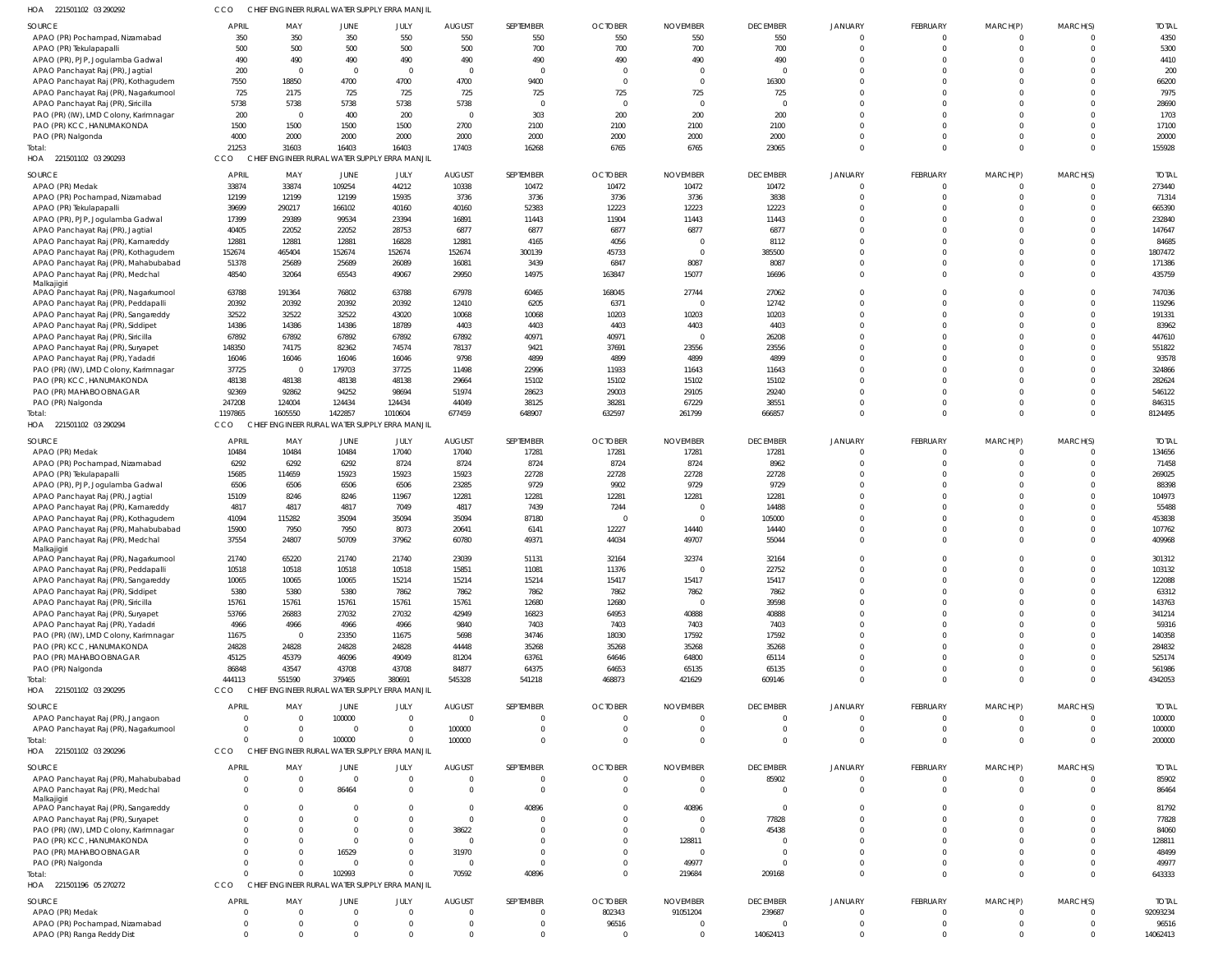| HOA<br>221501102 03 290292                                              |                                |                 | CHIEF ENGINEER RURAL WATER SUPPLY ERRA MANJI             |                     |                           |                             |                            |                             |                                |                         |                            |                            |                            |                        |
|-------------------------------------------------------------------------|--------------------------------|-----------------|----------------------------------------------------------|---------------------|---------------------------|-----------------------------|----------------------------|-----------------------------|--------------------------------|-------------------------|----------------------------|----------------------------|----------------------------|------------------------|
| SOURCE                                                                  | <b>APRIL</b>                   | MAY             | JUNE                                                     | JULY                | <b>AUGUST</b>             | SEPTEMBER                   | <b>OCTOBER</b>             | <b>NOVEMBER</b>             | <b>DECEMBER</b>                | <b>JANUARY</b>          | FEBRUARY                   | MARCH(P)                   | MARCH(S)                   | <b>TOTAL</b>           |
| APAO (PR) Pochampad, Nizamabad                                          | 350                            | 350             | 350                                                      | 550                 | 550                       | 550                         | 550                        | 550                         | 550                            |                         | $^{\circ}$                 | $\Omega$                   | $\Omega$                   | 4350                   |
| APAO (PR) Tekulapapalli                                                 | 500                            | 500             | 500                                                      | 500                 | 500                       | 700                         | 700                        | 700                         | 700                            |                         | $\mathbf 0$                | $\mathbf 0$                | $\Omega$                   | 5300                   |
| APAO (PR), PJP, Jogulamba Gadwal<br>APAO Panchayat Raj (PR), Jagtial    | 490<br>200                     | 490<br>- 0      | 490<br>$\Omega$                                          | 490<br>$\Omega$     | 490<br>$\Omega$           | 490<br>$\Omega$             | 490<br>$\Omega$            | 490                         | 490<br>$\Omega$                | <sup>0</sup>            | $\Omega$<br>$\Omega$       | $\Omega$<br>$\Omega$       | $\Omega$<br>$\Omega$       | 4410<br>200            |
| APAO Panchayat Raj (PR), Kothagudem                                     | 7550                           | 18850           | 4700                                                     | 4700                | 4700                      | 9400                        | $\Omega$                   | $\Omega$                    | 16300                          |                         | $\Omega$                   | $\Omega$                   | $\Omega$                   | 66200                  |
| APAO Panchayat Raj (PR), Nagarkurnool                                   | 725                            | 2175            | 725                                                      | 725                 | 725                       | 725                         | 725                        | 725                         | 725                            |                         | $\Omega$                   | $\Omega$                   | $\Omega$                   | 7975                   |
| APAO Panchayat Raj (PR), Siricilla                                      | 5738                           | 5738            | 5738                                                     | 5738                | 5738                      | $\overline{0}$              | $\Omega$                   | $\Omega$                    | $\Omega$                       |                         | $\Omega$                   | $\Omega$                   | $\Omega$                   | 28690                  |
| PAO (PR) (IW), LMD Colony, Karimnagar                                   | 200                            | - 0             | 400                                                      | 200                 | $\Omega$                  | 303                         | 200                        | 200                         | 200                            | $\Omega$                | $\Omega$                   | $\Omega$                   | $\Omega$                   | 1703                   |
| PAO (PR) KCC, HANUMAKONDA                                               | 1500                           | 1500            | 1500                                                     | 1500                | 2700                      | 2100                        | 2100                       | 2100                        | 2100                           |                         | $\Omega$                   | $\Omega$                   | $\Omega$                   | 17100                  |
| PAO (PR) Nalgonda                                                       | 4000                           | 2000            | 2000                                                     | 2000                | 2000                      | 2000                        | 2000                       | 2000                        | 2000                           |                         | $\Omega$                   | $\Omega$                   | $\Omega$                   | 20000                  |
| Total:<br>HOA 221501102 03 290293                                       | 21253<br>CCO                   | 31603           | 16403<br>CHIEF ENGINEER RURAL WATER SUPPLY ERRA MANJIL   | 16403               | 17403                     | 16268                       | 6765                       | 6765                        | 23065                          | $\Omega$                | $\mathbf 0$                | $\mathbf 0$                | $\Omega$                   | 155928                 |
|                                                                         |                                |                 |                                                          |                     |                           |                             |                            |                             |                                |                         |                            |                            |                            |                        |
| SOURCE                                                                  | <b>APRIL</b>                   | MAY             | JUNE                                                     | JULY                | <b>AUGUST</b>             | SEPTEMBER                   | <b>OCTOBER</b>             | <b>NOVEMBER</b>             | <b>DECEMBER</b>                | <b>JANUARY</b>          | FEBRUARY                   | MARCH(P)                   | MARCH(S)                   | <b>TOTAL</b>           |
| APAO (PR) Medak                                                         | 33874<br>12199                 | 33874<br>12199  | 109254<br>12199                                          | 44212<br>15935      | 10338<br>3736             | 10472<br>3736               | 10472<br>3736              | 10472<br>3736               | 10472<br>3838                  |                         | $\mathbf 0$<br>$\mathbf 0$ | 0<br>$\mathbf 0$           | $\overline{0}$<br>$\Omega$ | 273440<br>71314        |
| APAO (PR) Pochampad, Nizamabad<br>APAO (PR) Tekulapapalli               | 39699                          | 290217          | 166102                                                   | 40160               | 40160                     | 52383                       | 12223                      | 12223                       | 12223                          |                         | $\mathbf 0$                | $\mathbf 0$                | $\Omega$                   | 665390                 |
| APAO (PR), PJP, Jogulamba Gadwal                                        | 17399                          | 29389           | 99534                                                    | 23394               | 16891                     | 11443                       | 11904                      | 11443                       | 11443                          |                         | $\mathbf 0$                | $\mathbf 0$                | $\Omega$                   | 232840                 |
| APAO Panchayat Raj (PR), Jagtial                                        | 40405                          | 22052           | 22052                                                    | 28753               | 6877                      | 6877                        | 6877                       | 6877                        | 6877                           | <sup>0</sup>            | $\mathbf 0$                | $\mathbf 0$                | $\Omega$                   | 147647                 |
| APAO Panchayat Raj (PR), Kamareddy                                      | 12881                          | 12881           | 12881                                                    | 16828               | 12881                     | 4165                        | 4056                       | $\sqrt{ }$                  | 8112                           |                         | $\Omega$                   | $\Omega$                   | $\Omega$                   | 84685                  |
| APAO Panchayat Raj (PR), Kothagudem                                     | 152674                         | 465404          | 152674                                                   | 152674              | 152674                    | 300139                      | 45733                      | $\Omega$                    | 385500                         |                         | $\mathbf 0$                | $\mathbf 0$                | $\Omega$                   | 1807472                |
| APAO Panchayat Raj (PR), Mahabubabad                                    | 51378                          | 25689           | 25689                                                    | 26089               | 16081                     | 3439                        | 6847                       | 8087                        | 8087                           | $\Omega$                | $\mathbf 0$                | $\mathbf 0$                | $\Omega$                   | 171386                 |
| APAO Panchayat Raj (PR), Medchal<br>Malkajigiri                         | 48540                          | 32064           | 65543                                                    | 49067               | 29950                     | 14975                       | 163847                     | 15077                       | 16696                          | $\Omega$                | $\mathbf 0$                | $\mathbf 0$                | $\Omega$                   | 435759                 |
| APAO Panchayat Raj (PR), Nagarkurnool                                   | 63788                          | 191364          | 76802                                                    | 63788               | 67978                     | 60465                       | 168045                     | 27744                       | 27062                          | $\Omega$                | $\mathbf 0$                | $\Omega$                   | $\Omega$                   | 747036                 |
| APAO Panchayat Raj (PR), Peddapalli                                     | 20392                          | 20392           | 20392                                                    | 20392               | 12410                     | 6205                        | 6371                       | $\sqrt{ }$                  | 12742                          | $\Omega$                | $\mathbf 0$                | $\Omega$                   | $\overline{0}$             | 119296                 |
| APAO Panchayat Raj (PR), Sangareddy                                     | 32522                          | 32522           | 32522                                                    | 43020               | 10068                     | 10068                       | 10203                      | 10203                       | 10203                          | $\Omega$                | $\mathbf 0$                | $\mathbf 0$                | $\Omega$                   | 191331                 |
| APAO Panchayat Raj (PR), Siddipet                                       | 14386                          | 14386           | 14386                                                    | 18789               | 4403                      | 4403                        | 4403                       | 4403                        | 4403                           | $\Omega$                | $\mathbf 0$                | $\mathbf 0$                | $\Omega$                   | 83962                  |
| APAO Panchayat Raj (PR), Siricilla<br>APAO Panchayat Raj (PR), Suryapet | 67892<br>148350                | 67892<br>74175  | 67892<br>82362                                           | 67892<br>74574      | 67892<br>78137            | 40971<br>9421               | 40971<br>37691             | - 0<br>23556                | 26208<br>23556                 | $\Omega$<br>$\Omega$    | $\Omega$<br>$\Omega$       | $\Omega$<br>$\Omega$       | $\Omega$<br>$\Omega$       | 447610<br>551822       |
| APAO Panchayat Raj (PR), Yadadri                                        | 16046                          | 16046           | 16046                                                    | 16046               | 9798                      | 4899                        | 4899                       | 4899                        | 4899                           |                         | $\Omega$                   | $\Omega$                   | $\Omega$                   | 93578                  |
| PAO (PR) (IW), LMD Colony, Karimnagar                                   | 37725                          | C               | 179703                                                   | 37725               | 11498                     | 22996                       | 11933                      | 11643                       | 11643                          | $\Omega$                | $\mathbf 0$                | $\mathbf 0$                | $\Omega$                   | 324866                 |
| PAO (PR) KCC, HANUMAKONDA                                               | 48138                          | 48138           | 48138                                                    | 48138               | 29664                     | 15102                       | 15102                      | 15102                       | 15102                          |                         | $\Omega$                   | $\Omega$                   | $\Omega$                   | 282624                 |
| PAO (PR) MAHABOOBNAGAR                                                  | 92369                          | 92862           | 94252                                                    | 98694               | 51974                     | 28623                       | 29003                      | 29105                       | 29240                          |                         | $\mathbf 0$                | $\mathbf 0$                | $\Omega$                   | 546122                 |
| PAO (PR) Nalgonda                                                       | 247208                         | 124004          | 124434                                                   | 124434              | 44049                     | 38125                       | 38281                      | 67229                       | 38551                          |                         | $\mathbf 0$                | $\mathbf 0$                | $\Omega$                   | 846315                 |
| Total:<br>HOA 221501102 03 290294                                       | 1197865<br><b>CCO</b>          | 1605550         | 1422857<br>CHIEF ENGINEER RURAL WATER SUPPLY ERRA MANJIL | 1010604             | 677459                    | 648907                      | 632597                     | 261799                      | 666857                         | $\Omega$                | $\mathbf 0$                | $\mathbf 0$                | $\Omega$                   | 8124495                |
|                                                                         |                                |                 |                                                          |                     |                           |                             |                            |                             |                                |                         |                            |                            |                            |                        |
| SOURCE                                                                  | <b>APRIL</b>                   | MAY             | JUNE                                                     | JULY                | <b>AUGUST</b>             | SEPTEMBER                   | <b>OCTOBER</b>             | <b>NOVEMBER</b>             | <b>DECEMBER</b>                | JANUARY                 | FEBRUARY                   | MARCH(P)                   | MARCH(S)                   | <b>TOTAL</b>           |
| APAO (PR) Medak                                                         | 10484<br>6292                  | 10484<br>6292   | 10484<br>6292                                            | 17040<br>8724       | 17040<br>8724             | 17281<br>8724               | 17281<br>8724              | 17281<br>8724               | 17281<br>8962                  |                         | $\Omega$<br>$\Omega$       | $\Omega$<br>$\Omega$       | $\Omega$<br>$\Omega$       | 134656<br>71458        |
| APAO (PR) Pochampad, Nizamabad<br>APAO (PR) Tekulapapalli               | 15685                          | 114659          | 15923                                                    | 15923               | 15923                     | 22728                       | 22728                      | 22728                       | 22728                          |                         | $\Omega$                   | $\Omega$                   | $\Omega$                   | 269025                 |
| APAO (PR), PJP, Jogulamba Gadwal                                        | 6506                           | 6506            | 6506                                                     | 6506                | 23285                     | 9729                        | 9902                       | 9729                        | 9729                           |                         | $\mathbf 0$                | $\Omega$                   | $\Omega$                   | 88398                  |
| APAO Panchayat Raj (PR), Jagtial                                        | 15109                          | 8246            | 8246                                                     | 11967               | 12281                     | 12281                       | 12281                      | 12281                       | 12281                          |                         | $\Omega$                   | $\Omega$                   | $\Omega$                   | 104973                 |
| APAO Panchayat Raj (PR), Kamareddy                                      | 4817                           | 4817            | 4817                                                     | 7049                | 4817                      | 7439                        | 7244                       | ſ                           | 14488                          |                         | $\Omega$                   | $\Omega$                   | $\Omega$                   | 55488                  |
| APAO Panchayat Raj (PR), Kothagudem                                     | 41094                          | 115282          | 35094                                                    | 35094               | 35094                     | 87180                       | - 0                        | $\bigcap$                   | 105000                         |                         | $\Omega$                   | $\Omega$                   | $\Omega$                   | 453838                 |
| APAO Panchayat Raj (PR), Mahabubabad                                    | 15900                          | 7950            | 7950                                                     | 8073                | 20641                     | 6141                        | 12227                      | 14440                       | 14440                          |                         | $\mathbf 0$<br>$\Omega$    | $\mathbf 0$<br>$\Omega$    | $\Omega$<br>$\Omega$       | 107762                 |
| APAO Panchayat Raj (PR), Medchal<br>Malkajigiri                         | 37554                          | 24807           | 50709                                                    | 37962               | 60780                     | 49371                       | 44034                      | 49707                       | 55044                          |                         |                            |                            |                            | 409968                 |
| APAO Panchayat Raj (PR), Nagarkurnool                                   | 21740                          | 65220           | 21740                                                    | 21740               | 23039                     | 51131                       | 32164                      | 32374                       | 32164                          |                         |                            |                            |                            | 301312                 |
| APAO Panchayat Raj (PR), Peddapalli                                     | 10518                          | 10518           | 10518                                                    | 10518               | 15851                     | 11081                       | 11376                      | $\Omega$                    | 22752                          |                         | $\Omega$                   | $\Omega$                   | $\Omega$                   | 103132                 |
| APAO Panchayat Raj (PR), Sangareddy                                     | 10065                          | 10065           | 10065                                                    | 15214               | 15214                     | 15214                       | 15417                      | 15417                       | 15417                          |                         | $\mathbf 0$                | $\mathbf 0$                | $\Omega$                   | 122088                 |
| APAO Panchayat Raj (PR), Siddipet<br>APAO Panchayat Raj (PR), Siricilla | 5380<br>15761                  | 5380<br>15761   | 5380<br>15761                                            | 7862<br>15761       | 7862<br>15761             | 7862<br>12680               | 7862<br>12680              | 7862<br>$\Omega$            | 7862<br>39598                  | $\Omega$                | $\Omega$<br>$\Omega$       | $\Omega$<br>$\Omega$       | $\Omega$<br>$\Omega$       | 63312<br>143763        |
| APAO Panchayat Raj (PR), Suryapet                                       | 53766                          | 26883           | 27032                                                    | 27032               | 42949                     | 16823                       | 64953                      | 40888                       | 40888                          |                         | $\Omega$                   | $\Omega$                   | $\Omega$                   | 341214                 |
| APAO Panchayat Raj (PR), Yadadr                                         | 4966                           | 4966            | 4966                                                     | 4966                | 9840                      | 7403                        | 7403                       | 7403                        | 7403                           |                         | $\Omega$                   | $\Omega$                   | $\Omega$                   | 59316                  |
| PAO (PR) (IW), LMD Colony, Karimnagar                                   | 11675                          | C               | 23350                                                    | 11675               | 5698                      | 34746                       | 18030                      | 17592                       | 17592                          |                         | $\Omega$                   | $\Omega$                   | $\Omega$                   | 140358                 |
| PAO (PR) KCC, HANUMAKONDA                                               | 24828                          | 24828           | 24828                                                    | 24828               | 44448                     | 35268                       | 35268                      | 35268                       | 35268                          |                         | $\Omega$                   | $\Omega$                   | $\Omega$                   | 284832                 |
| PAO (PR) MAHABOOBNAGAR                                                  | 45125                          | 45379           | 46096                                                    | 49049               | 81204                     | 63761                       | 64646                      | 64800                       | 65114                          | $\Omega$                | $\Omega$                   | $\Omega$                   | $\Omega$                   | 525174                 |
| PAO (PR) Nalgonda                                                       | 86848<br>444113                | 43547<br>551590 | 43708<br>379465                                          | 43708<br>380691     | 84877<br>545328           | 64375<br>541218             | 64653<br>468873            | 65135<br>421629             | 65135<br>609146                | $\Omega$<br>$\Omega$    | $\mathbf 0$<br>$\Omega$    | $\mathbf 0$<br>$\mathbf 0$ | $\Omega$<br>$\Omega$       | 561986<br>4342053      |
| Total:<br>HOA 221501102 03 290295                                       | CCO                            |                 | CHIEF ENGINEER RURAL WATER SUPPLY ERRA MANJIL            |                     |                           |                             |                            |                             |                                |                         |                            |                            |                            |                        |
|                                                                         |                                |                 |                                                          |                     |                           |                             |                            |                             |                                |                         |                            |                            |                            |                        |
| SOURCE<br>APAO Panchayat Raj (PR), Jangaon                              | <b>APRIL</b><br>$\overline{0}$ | MAY             | JUNE<br>100000                                           | JULY<br>$\mathbf 0$ | <b>AUGUST</b><br>$\Omega$ | SEPTEMBER<br>$\overline{0}$ | <b>OCTOBER</b><br>$\Omega$ | <b>NOVEMBER</b><br>$\Omega$ | <b>DECEMBER</b><br>$\mathbf 0$ | JANUARY<br>$\mathbf{0}$ | FEBRUARY<br>$\mathbf{0}$   | MARCH(P)<br>$\mathbf{0}$   | MARCH(S)<br>$\overline{0}$ | <b>TOTAL</b><br>100000 |
| APAO Panchayat Raj (PR), Nagarkurnool                                   | C                              |                 | - 0                                                      | 0                   | 100000                    | $\mathbf 0$                 | $\Omega$                   |                             | $\mathbf 0$                    | $\Omega$                | $\mathbf 0$                | $\mathbf 0$                | $\overline{0}$             | 100000                 |
| Total:                                                                  | $\Omega$                       |                 | 100000                                                   | $\mathbf 0$         | 100000                    | $\mathbf 0$                 | $\Omega$                   |                             | $\Omega$                       | $\Omega$                | $\mathbf 0$                | $\mathbf 0$                | $\overline{0}$             | 200000                 |
| HOA 221501102 03 290296                                                 | CCO                            |                 | CHIEF ENGINEER RURAL WATER SUPPLY ERRA MANJIL            |                     |                           |                             |                            |                             |                                |                         |                            |                            |                            |                        |
| SOURCE                                                                  | <b>APRIL</b>                   | MAY             | JUNE                                                     | JULY                | <b>AUGUST</b>             | SEPTEMBER                   | <b>OCTOBER</b>             | <b>NOVEMBER</b>             | <b>DECEMBER</b>                | JANUARY                 | FEBRUARY                   | MARCH(P)                   | MARCH(S)                   | <b>TOTAL</b>           |
| APAO Panchayat Raj (PR), Mahabubabad                                    | $\overline{0}$                 | $\Omega$        | $\overline{0}$                                           | 0                   | $\Omega$                  | $\mathbf 0$                 | $\Omega$                   |                             | 85902                          | $\Omega$                | $^{\circ}$                 | 0                          | $\overline{0}$             | 85902                  |
| APAO Panchayat Raj (PR), Medchal                                        | $\overline{0}$                 |                 | 86464                                                    | $\mathbf 0$         | $\Omega$                  | $\mathbf 0$                 | $\Omega$                   | $\Omega$                    | $\Omega$                       | $\Omega$                | $\mathbf 0$                | $\mathbf 0$                | $\overline{0}$             | 86464                  |
| Malkajigiri<br>APAO Panchayat Raj (PR), Sangareddy                      | $\Omega$                       |                 |                                                          | 0                   | - 0                       | 40896                       |                            | 40896                       | $\mathbf 0$                    |                         | $\mathbf 0$                | 0                          | $\mathbf 0$                | 81792                  |
| APAO Panchayat Raj (PR), Suryapet                                       | $\Omega$                       |                 | $\Omega$                                                 | $\Omega$            | $\Omega$                  | $\Omega$                    |                            | $\Omega$                    | 77828                          | $\Omega$                | $\Omega$                   | $\Omega$                   | $\Omega$                   | 77828                  |
| PAO (PR) (IW), LMD Colony, Karimnagar                                   | $\Omega$                       |                 | $\Omega$                                                 | 0                   | 38622                     | $\mathbf 0$                 |                            | $\Omega$                    | 45438                          |                         | $\Omega$                   | $\Omega$                   | $\Omega$                   | 84060                  |
| PAO (PR) KCC, HANUMAKONDA                                               | $\Omega$                       |                 | $\Omega$                                                 | $\Omega$            |                           | $\Omega$                    |                            | 128811                      |                                |                         | $\Omega$                   | $\Omega$                   | $\Omega$                   | 128811                 |
| PAO (PR) MAHABOOBNAGAR                                                  | $\Omega$                       |                 | 16529                                                    | 0                   | 31970                     | $\Omega$                    |                            | - 0                         |                                |                         | $\Omega$                   | $\Omega$                   | $\Omega$                   | 48499                  |
| PAO (PR) Nalgonda                                                       | $\Omega$                       |                 | $\Omega$                                                 | $\Omega$            | $\Omega$                  | $\mathbf 0$                 | $\Omega$                   | 49977                       |                                | $\Omega$                | $\Omega$                   | $\mathbf 0$                | $\overline{0}$             | 49977                  |
| Total:<br>HOA 221501196 05 270272                                       | $\Omega$<br>CCO                | $\Omega$        | 102993<br>CHIEF ENGINEER RURAL WATER SUPPLY ERRA MANJIL  | 0                   | 70592                     | 40896                       | $\Omega$                   | 219684                      | 209168                         | $\Omega$                | $\Omega$                   | $\mathbf 0$                | $\Omega$                   | 643333                 |
|                                                                         |                                |                 |                                                          |                     |                           |                             |                            |                             |                                |                         |                            |                            |                            |                        |
| SOURCE                                                                  | <b>APRIL</b>                   | MAY             | JUNE                                                     | JULY<br>$\mathbf 0$ | <b>AUGUST</b><br>- 0      | SEPTEMBER<br>$\mathbf 0$    | <b>OCTOBER</b>             | <b>NOVEMBER</b>             | <b>DECEMBER</b>                | JANUARY<br>$\Omega$     | FEBRUARY<br>$\mathbf 0$    | MARCH(P)                   | MARCH(S)<br>- 0            | <b>TOTAL</b>           |
| APAO (PR) Medak<br>APAO (PR) Pochampad, Nizamabad                       | C<br>$\overline{0}$            |                 | 0<br>$\Omega$                                            | $\mathbf 0$         | $\Omega$                  | $\mathbf 0$                 | 802343<br>96516            | 91051204                    | 239687<br>$\mathbf 0$          | $\mathbf{0}$            | $\mathbf 0$                | 0<br>$\mathbf 0$           | $\overline{0}$             | 92093234<br>96516      |
| APAO (PR) Ranga Reddy Dist                                              | $\overline{0}$                 |                 | $\Omega$                                                 | $\mathbf 0$         |                           | $\mathbf 0$                 | $\Omega$                   |                             | 14062413                       | $\mathbf 0$             | $\mathbf 0$                | $\mathbf 0$                | $\Omega$                   | 14062413               |
|                                                                         |                                |                 |                                                          |                     |                           |                             |                            |                             |                                |                         |                            |                            |                            |                        |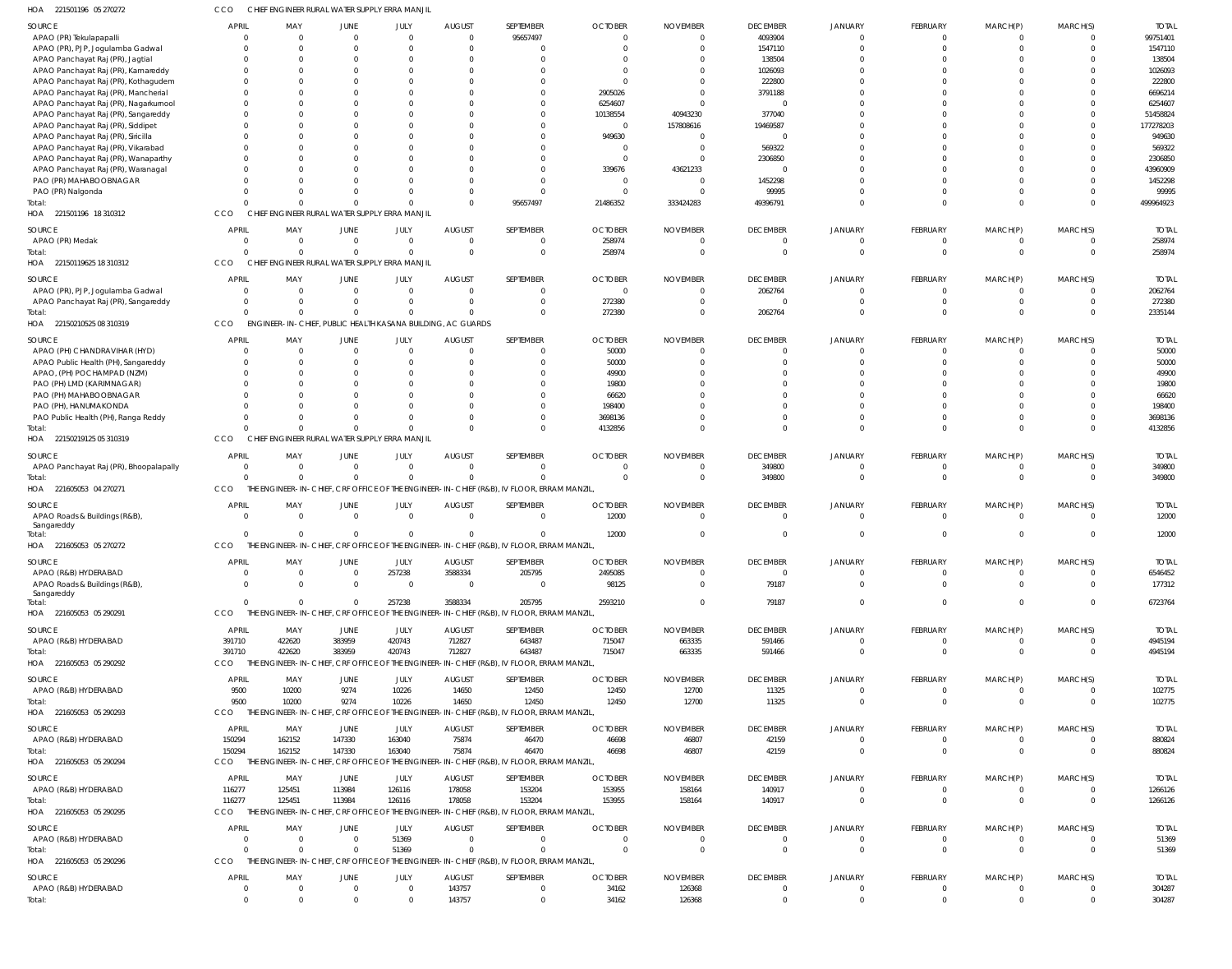| HOA<br>221501196 05 270272                                              | CCO                            | CHIEF ENGINEER RURAL WATER SUPPLY ERRA MANJIL               |                                         |                                |                                 |                                                                                           |                                  |                           |                                   |                |                            |                      |                 |                         |
|-------------------------------------------------------------------------|--------------------------------|-------------------------------------------------------------|-----------------------------------------|--------------------------------|---------------------------------|-------------------------------------------------------------------------------------------|----------------------------------|---------------------------|-----------------------------------|----------------|----------------------------|----------------------|-----------------|-------------------------|
| SOURCE                                                                  | <b>APRIL</b>                   | MAY                                                         | <b>JUNE</b>                             | JULY                           | <b>AUGUST</b>                   | SEPTEMBER                                                                                 | <b>OCTOBER</b>                   | <b>NOVEMBER</b>           | <b>DECEMBER</b>                   | <b>JANUARY</b> | <b>FEBRUARY</b>            | MARCH(P)             | MARCH(S)        | <b>TOTAL</b>            |
| APAO (PR) Tekulapapalli                                                 | $\Omega$                       | $\Omega$                                                    | $\Omega$                                | $\overline{0}$                 | $\Omega$                        | 95657497                                                                                  | $\Omega$                         |                           | 4093904                           |                | $\overline{0}$             | $\Omega$             | $\Omega$        | 99751401                |
| APAO (PR), PJP, Jogulamba Gadwal                                        | $\Omega$                       | $\Omega$                                                    | $\Omega$                                | $\Omega$                       | $\Omega$                        | $\Omega$                                                                                  | $\Omega$                         |                           | 1547110                           |                | $\Omega$                   |                      | $\Omega$        | 1547110                 |
| APAO Panchayat Raj (PR), Jagtial                                        | $\Omega$                       | $\Omega$                                                    |                                         | $\Omega$                       |                                 | $\Omega$                                                                                  |                                  |                           | 138504                            |                |                            |                      |                 | 138504                  |
| APAO Panchayat Raj (PR), Kamareddy                                      | $\Omega$                       | $\Omega$                                                    |                                         |                                | <sup>0</sup>                    | $\Omega$                                                                                  |                                  |                           | 1026093                           |                |                            |                      |                 | 1026093                 |
| APAO Panchayat Raj (PR), Kothagudem                                     | $\Omega$                       | - 0                                                         |                                         |                                |                                 | - 0                                                                                       |                                  |                           | 222800                            |                |                            |                      |                 | 222800                  |
| APAO Panchayat Raj (PR), Mancherial                                     | $\Omega$                       | $\Omega$                                                    |                                         |                                |                                 | $\Omega$                                                                                  | 2905026                          |                           | 3791188                           |                |                            |                      |                 | 6696214                 |
| APAO Panchayat Raj (PR), Nagarkurnool                                   | $\Omega$                       | - 0                                                         |                                         |                                |                                 |                                                                                           | 6254607                          |                           | - 0                               |                |                            |                      |                 | 6254607                 |
| APAO Panchayat Raj (PR), Sangareddy                                     | $\Omega$<br>$\Omega$           | $\Omega$                                                    |                                         |                                |                                 | $\Omega$<br>$\Omega$                                                                      | 10138554<br>$\Omega$             | 40943230                  | 377040                            |                | $\Omega$<br>$\Omega$       |                      |                 | 51458824                |
| APAO Panchayat Raj (PR), Siddipet<br>APAO Panchayat Raj (PR), Siricilla | $\Omega$                       | $\Omega$                                                    |                                         |                                |                                 | $\Omega$                                                                                  | 949630                           | 157808616                 | 19469587<br>$\Omega$              |                |                            |                      |                 | 177278203<br>949630     |
| APAO Panchayat Raj (PR), Vikarabad                                      |                                | $\Omega$                                                    |                                         |                                |                                 | $\Omega$                                                                                  |                                  |                           | 569322                            |                |                            |                      |                 | 569322                  |
| APAO Panchayat Raj (PR), Wanaparthy                                     | $\Omega$                       | $\Omega$                                                    |                                         |                                |                                 | $\Omega$                                                                                  | $\Omega$                         |                           | 2306850                           |                | $\Omega$                   |                      |                 | 2306850                 |
| APAO Panchayat Raj (PR), Waranagal                                      |                                |                                                             |                                         |                                |                                 | $\Omega$                                                                                  | 339676                           | 43621233                  | $\Omega$                          |                |                            |                      |                 | 43960909                |
| PAO (PR) MAHABOOBNAGAR                                                  | $\Omega$                       | - 0                                                         |                                         |                                | $\Omega$                        | $\Omega$                                                                                  | $\Omega$                         |                           | 1452298                           |                |                            |                      |                 | 1452298                 |
| PAO (PR) Nalgonda                                                       |                                |                                                             |                                         |                                | $\Omega$                        | $\Omega$                                                                                  | $\Omega$                         |                           | 99995                             |                | $\Omega$                   |                      |                 | 99995                   |
| Total:                                                                  | $\Omega$                       | $\Omega$                                                    | $\Omega$                                | $\Omega$                       | $\Omega$                        | 95657497                                                                                  | 21486352                         | 333424283                 | 49396791                          |                | $\Omega$                   | $\Omega$             | $\cap$          | 499964923               |
| HOA 221501196 18 310312                                                 | CCO                            | <b>CHIEF</b>                                                | ENGINEER RURAL WATER SUPPLY ERRA MANJIL |                                |                                 |                                                                                           |                                  |                           |                                   |                |                            |                      |                 |                         |
| SOURCE                                                                  | <b>APRIL</b>                   | MAY                                                         | <b>JUNE</b>                             | JULY                           | <b>AUGUST</b>                   | SEPTEMBER                                                                                 | <b>OCTOBER</b>                   | <b>NOVEMBER</b>           | <b>DECEMBER</b>                   | <b>JANUARY</b> | FEBRUARY                   | MARCH(P)             | MARCH(S)        | <b>TOTAL</b>            |
| APAO (PR) Medak                                                         | $\overline{0}$                 | $\Omega$                                                    | $\overline{0}$                          | $\mathbf{0}$                   | $\overline{0}$                  | $\mathbf 0$                                                                               | 258974                           | $\Omega$                  | - 0                               |                | $\overline{0}$             | $\mathbf 0$          | $\Omega$        | 258974                  |
| Total:                                                                  | $\Omega$                       | $\Omega$                                                    | $\Omega$                                | $\mathbf{0}$                   | $\Omega$                        | $\mathbf 0$                                                                               | 258974                           | $\Omega$                  | $\Omega$                          |                | $\Omega$                   | $\Omega$             | $\Omega$        | 258974                  |
| HOA 22150119625 18 310312                                               | CCO                            | CHIEF ENGINEER RURAL WATER SUPPLY ERRA MANJIL               |                                         |                                |                                 |                                                                                           |                                  |                           |                                   |                |                            |                      |                 |                         |
|                                                                         |                                |                                                             |                                         |                                |                                 |                                                                                           |                                  |                           |                                   |                |                            |                      |                 |                         |
| SOURCE                                                                  | <b>APRIL</b>                   | MAY                                                         | JUNE                                    | JULY                           | <b>AUGUST</b>                   | SEPTEMBER                                                                                 | <b>OCTOBER</b>                   | <b>NOVEMBER</b>           | <b>DECEMBER</b>                   | <b>JANUARY</b> | FEBRUARY                   | MARCH(P)             | MARCH(S)        | <b>TOTAL</b>            |
| APAO (PR), PJP, Jogulamba Gadwal                                        | $\Omega$<br>$\overline{0}$     | $\Omega$<br>$\Omega$                                        | $\Omega$<br>$\Omega$                    | $\overline{0}$<br>$\mathbf{0}$ | $\Omega$<br>$\Omega$            | $\overline{0}$<br>$\mathbf 0$                                                             | $\Omega$                         |                           | 2062764<br>$\mathbf{0}$           | - 0            | $\Omega$<br>$\Omega$       |                      | - 0             | 2062764<br>272380       |
| APAO Panchayat Raj (PR), Sangareddy<br>Total:                           | $\Omega$                       | $\Omega$                                                    | $\Omega$                                | $\Omega$                       | $\Omega$                        | $\Omega$                                                                                  | 272380<br>272380                 | $\Omega$                  | 2062764                           | $\Omega$       | $\Omega$                   | $\Omega$             | $\Omega$        | 2335144                 |
| HOA 22150210525 08 310319                                               | CCO                            | ENGINEER-IN-CHIEF, PUBLIC HEALTH KASANA BUILDING, AC GUARDS |                                         |                                |                                 |                                                                                           |                                  |                           |                                   |                |                            |                      |                 |                         |
|                                                                         |                                |                                                             |                                         |                                |                                 |                                                                                           |                                  |                           |                                   |                |                            |                      |                 |                         |
| SOURCE                                                                  | <b>APRIL</b>                   | MAY                                                         | <b>JUNE</b>                             | JULY                           | <b>AUGUST</b>                   | SEPTEMBER                                                                                 | <b>OCTOBER</b>                   | <b>NOVEMBER</b>           | <b>DECEMBER</b>                   | <b>JANUARY</b> | <b>FEBRUARY</b>            | MARCH(P)             | MARCH(S)        | <b>TOTAL</b>            |
| APAO (PH) CHANDRAVIHAR (HYD)                                            | $\overline{0}$                 | $\circ$                                                     | $\Omega$                                | $\mathbf 0$                    | $\overline{0}$                  | $\mathbf 0$                                                                               | 50000                            |                           | - 0                               |                | $\Omega$                   | $\Omega$             |                 | 50000                   |
| APAO Public Health (PH), Sangareddy                                     | $\Omega$                       | $\Omega$                                                    |                                         | $\Omega$                       | <sup>0</sup>                    | $\mathbf 0$                                                                               | 50000                            |                           | $\Omega$                          |                | $\Omega$                   |                      |                 | 50000                   |
| APAO, (PH) POCHAMPAD (NZM)                                              | $\Omega$                       |                                                             |                                         | $\Omega$                       |                                 | $\Omega$                                                                                  | 49900                            |                           |                                   |                |                            |                      |                 | 49900                   |
| PAO (PH) LMD (KARIMNAGAR)                                               | $\Omega$<br>$\Omega$           | - 0                                                         |                                         | $\Omega$                       |                                 | $\Omega$<br>$\Omega$                                                                      | 19800                            |                           |                                   |                |                            |                      |                 | 19800                   |
| PAO (PH) MAHABOOBNAGAR<br>PAO (PH), HANUMAKONDA                         | $\Omega$                       | - 0                                                         |                                         | $\Omega$                       | <sup>0</sup>                    | $\Omega$                                                                                  | 66620<br>198400                  |                           |                                   |                |                            |                      |                 | 66620<br>198400         |
| PAO Public Health (PH), Ranga Reddy                                     | $\Omega$                       |                                                             |                                         | $\Omega$                       | $\Omega$                        | $\Omega$                                                                                  | 3698136                          |                           | -0                                |                | $\Omega$                   |                      |                 | 3698136                 |
| Total:                                                                  | $\Omega$                       | $\cap$                                                      | $\Omega$                                | $\Omega$                       | $\Omega$                        | $\Omega$                                                                                  | 4132856                          |                           | $\Omega$                          |                | $\Omega$                   | $\Omega$             |                 | 4132856                 |
| HOA 22150219125 05 310319                                               | CCO                            | CHIEF ENGINEER RURAL WATER SUPPLY ERRA MANJIL               |                                         |                                |                                 |                                                                                           |                                  |                           |                                   |                |                            |                      |                 |                         |
|                                                                         |                                |                                                             |                                         |                                |                                 |                                                                                           |                                  |                           |                                   |                |                            |                      |                 |                         |
| SOURCE                                                                  | <b>APRIL</b>                   | MAY                                                         | JUNE                                    | JULY                           | <b>AUGUST</b>                   | SEPTEMBER                                                                                 | <b>OCTOBER</b>                   | <b>NOVEMBER</b>           | <b>DECEMBER</b>                   | <b>JANUARY</b> | <b>FEBRUARY</b>            | MARCH(P)             | MARCH(S)        | <b>TOTAL</b>            |
| APAO Panchayat Raj (PR), Bhoopalapally                                  | $\overline{0}$                 | $\overline{0}$                                              | $\Omega$                                | $\mathbf{0}$                   | $\Omega$                        | $\Omega$                                                                                  | $\Omega$                         |                           | 349800                            |                | $\Omega$                   |                      |                 | 349800                  |
| Total:                                                                  | $\Omega$                       | $\Omega$                                                    | $\Omega$                                | $\Omega$                       | $\Omega$                        | $\Omega$                                                                                  | $\Omega$                         |                           | 349800                            |                |                            | $\Omega$             | $\Omega$        | 349800                  |
| HOA 221605053 04 270271                                                 | CCO                            |                                                             |                                         |                                |                                 | THE ENGINEER-IN-CHIEF, CRF OFFICE OF THE ENGINEER-IN-CHIEF (R&B), IV FLOOR, ERRAM MANZIL, |                                  |                           |                                   |                |                            |                      |                 |                         |
| SOURCE                                                                  | <b>APRIL</b>                   | MAY                                                         | JUNE                                    | JULY                           | <b>AUGUST</b>                   | SEPTEMBER                                                                                 | <b>OCTOBER</b>                   | <b>NOVEMBER</b>           | <b>DECEMBER</b>                   | <b>JANUARY</b> | <b>FEBRUARY</b>            | MARCH(P)             | MARCH(S)        | <b>TOTAL</b>            |
| APAO Roads & Buildings (R&B),                                           | $\overline{0}$                 | $\overline{0}$                                              | $\overline{0}$                          | $\mathbf 0$                    | $\overline{0}$                  | $\overline{0}$                                                                            | 12000                            | $\Omega$                  | $\overline{0}$                    | $\Omega$       | $\Omega$                   | $\Omega$             | $\Omega$        | 12000                   |
| Sangareddy<br>Total:                                                    | $\Omega$                       | $\Omega$                                                    | $\Omega$                                | $\mathbf 0$                    | $\Omega$                        | $\Omega$                                                                                  | 12000                            |                           | $\Omega$                          |                | $\Omega$                   | $\Omega$             | $\Omega$        | 12000                   |
| HOA 221605053 05 270272                                                 | CCO                            |                                                             |                                         |                                |                                 | THE ENGINEER-IN-CHIEF, CRF OFFICE OF THE ENGINEER-IN-CHIEF (R&B), IV FLOOR, ERRAM MANZIL, |                                  |                           |                                   |                |                            |                      |                 |                         |
|                                                                         |                                |                                                             |                                         |                                |                                 |                                                                                           |                                  |                           |                                   |                |                            |                      |                 |                         |
| SOURCE                                                                  | <b>APRIL</b>                   | MAY                                                         | JUNE                                    | JULY                           | <b>AUGUST</b>                   | SEPTEMBER                                                                                 | <b>OCTOBER</b>                   | <b>NOVEMBER</b>           | <b>DECEMBER</b>                   | <b>JANUARY</b> | FEBRUARY                   | MARCH(P)             | MARCH(S)        | <b>TOTAL</b>            |
| APAO (R&B) HYDERABAD                                                    | $\overline{0}$                 | $\overline{0}$                                              | $\overline{0}$                          | 257238                         | 3588334                         | 205795                                                                                    | 2495085                          | $\mathbf{0}$              | $\overline{0}$                    | $\Omega$       | $\overline{0}$             | $\mathbf 0$          | $\Omega$        | 6546452                 |
| APAO Roads & Buildings (R&B),<br>Sangareddy                             | $\Omega$                       | $\Omega$                                                    | $\mathbf 0$                             | $\overline{0}$                 | $\overline{0}$                  | $\mathbf 0$                                                                               | 98125                            | $\mathbf 0$               | 79187                             | $\mathbf 0$    | $\overline{0}$             | $\Omega$             | $\Omega$        | 177312                  |
| Total:                                                                  | $\Omega$                       | $\Omega$                                                    | $\mathbf{0}$                            | 257238                         | 3588334                         | 205795                                                                                    | 2593210                          | $\mathbf{0}$              | 79187                             | $\mathbf 0$    | $\overline{0}$             | $\overline{0}$       | $\Omega$        | 6723764                 |
| HOA 221605053 05 290291                                                 | CCO                            |                                                             |                                         |                                |                                 | THE ENGINEER-IN-CHIEF, CRF OFFICE OF THE ENGINEER-IN-CHIEF (R&B), IV FLOOR, ERRAM MANZIL, |                                  |                           |                                   |                |                            |                      |                 |                         |
|                                                                         |                                |                                                             |                                         |                                |                                 |                                                                                           |                                  |                           |                                   |                |                            |                      |                 |                         |
| SOURCE<br>APAO (R&B) HYDERABAD                                          | <b>APRIL</b><br>391710         | MAY<br>422620                                               | JUNE<br>383959                          | JULY<br>420743                 | <b>AUGUST</b><br>712827         | SEPTEMBER<br>643487                                                                       | <b>OCTOBER</b><br>715047         | <b>NOVEMBER</b><br>663335 | <b>DECEMBER</b><br>591466         | <b>JANUARY</b> | FEBRUARY<br>$\overline{0}$ | MARCH(P)<br>$\Omega$ | MARCH(S)<br>- 0 | <b>TOTAL</b><br>4945194 |
| Total:                                                                  | 391710                         | 422620                                                      | 383959                                  | 420743                         | 712827                          | 643487                                                                                    | 715047                           | 663335                    | 591466                            |                | $\overline{0}$             | $\overline{0}$       | $\Omega$        | 4945194                 |
| HOA 221605053 05 290292                                                 | CCO                            |                                                             |                                         |                                |                                 | THE ENGINEER-IN-CHIEF, CRF OFFICE OF THE ENGINEER-IN-CHIEF (R&B), IV FLOOR, ERRAM MANZIL, |                                  |                           |                                   |                |                            |                      |                 |                         |
|                                                                         |                                |                                                             |                                         |                                |                                 |                                                                                           |                                  |                           |                                   |                |                            |                      |                 |                         |
| SOURCE                                                                  | <b>APRIL</b>                   | MAY                                                         | <b>JUNE</b>                             | JULY                           | <b>AUGUST</b>                   | SEPTEMBER                                                                                 | <b>OCTOBER</b>                   | <b>NOVEMBER</b>           | <b>DECEMBER</b>                   | <b>JANUARY</b> | FEBRUARY                   | MARCH(P)             | MARCH(S)        | <b>TOTAL</b>            |
| APAO (R&B) HYDERABAD                                                    | 9500                           | 10200                                                       | 9274                                    | 10226                          | 14650                           | 12450                                                                                     | 12450                            | 12700                     | 11325                             | $\overline{0}$ | $\overline{0}$             | 0                    | - 0             | 102775                  |
| Total:                                                                  | 9500                           | 10200                                                       | 9274                                    | 10226                          | 14650                           | 12450                                                                                     | 12450                            | 12700                     | 11325                             | $\Omega$       | $\Omega$                   | $\Omega$             | $\Omega$        | 102775                  |
| HOA 221605053 05 290293                                                 | <b>CCO</b>                     |                                                             |                                         |                                |                                 | THE ENGINEER-IN-CHIEF, CRF OFFICE OF THE ENGINEER-IN-CHIEF (R&B), IV FLOOR, ERRAM MANZIL, |                                  |                           |                                   |                |                            |                      |                 |                         |
| SOURCE                                                                  | <b>APRIL</b>                   | MAY                                                         | JUNE                                    | JULY                           | <b>AUGUST</b>                   | SEPTEMBER                                                                                 | <b>OCTOBER</b>                   | <b>NOVEMBER</b>           | <b>DECEMBER</b>                   | <b>JANUARY</b> | FEBRUARY                   | MARCH(P)             | MARCH(S)        | <b>TOTAL</b>            |
| APAO (R&B) HYDERABAD                                                    | 150294                         | 162152                                                      | 147330                                  | 163040                         | 75874                           | 46470                                                                                     | 46698                            | 46807                     | 42159                             | C              | $\overline{0}$             | $\mathbf 0$          | - 0             | 880824                  |
| Total:                                                                  | 150294                         | 162152                                                      | 147330                                  | 163040                         | 75874                           | 46470                                                                                     | 46698                            | 46807                     | 42159                             | $\Omega$       | $\overline{0}$             | $\Omega$             | $\Omega$        | 880824                  |
| HOA 221605053 05 290294                                                 | CCO                            |                                                             |                                         |                                |                                 | THE ENGINEER-IN-CHIEF, CRF OFFICE OF THE ENGINEER-IN-CHIEF (R&B), IV FLOOR, ERRAM MANZIL, |                                  |                           |                                   |                |                            |                      |                 |                         |
| SOURCE                                                                  | <b>APRIL</b>                   | MAY                                                         | JUNE                                    | JULY                           | <b>AUGUST</b>                   | SEPTEMBER                                                                                 | <b>OCTOBER</b>                   | <b>NOVEMBER</b>           | <b>DECEMBER</b>                   | <b>JANUARY</b> | FEBRUARY                   | MARCH(P)             | MARCH(S)        | <b>TOTAL</b>            |
| APAO (R&B) HYDERABAD                                                    | 116277                         | 125451                                                      | 113984                                  | 126116                         | 178058                          | 153204                                                                                    | 153955                           | 158164                    | 140917                            | $\overline{0}$ | $\overline{0}$             | 0                    | $\Omega$        | 1266126                 |
| Total:                                                                  | 116277                         | 125451                                                      | 113984                                  | 126116                         | 178058                          | 153204                                                                                    | 153955                           | 158164                    | 140917                            | $\Omega$       | $\overline{0}$             | $\Omega$             | $\Omega$        | 1266126                 |
| HOA 221605053 05 290295                                                 | CCO                            |                                                             |                                         |                                |                                 | THE ENGINEER-IN-CHIEF, CRF OFFICE OF THE ENGINEER-IN-CHIEF (R&B), IV FLOOR, ERRAM MANZIL, |                                  |                           |                                   |                |                            |                      |                 |                         |
|                                                                         |                                |                                                             |                                         |                                |                                 |                                                                                           |                                  |                           |                                   |                |                            |                      |                 |                         |
| SOURCE<br>APAO (R&B) HYDERABAD                                          | <b>APRIL</b><br>$\overline{0}$ | MAY<br>- 0                                                  | <b>JUNE</b><br>$\Omega$                 | JULY<br>51369                  | <b>AUGUST</b><br>$\overline{0}$ | SEPTEMBER<br>$\mathbf 0$                                                                  | <b>OCTOBER</b><br>$\overline{0}$ | <b>NOVEMBER</b><br>0      | <b>DECEMBER</b><br>$\overline{0}$ | <b>JANUARY</b> | FEBRUARY<br>$\overline{0}$ | MARCH(P)<br>0        | MARCH(S)        | <b>TOTAL</b><br>51369   |
| Total:                                                                  | $\Omega$                       | $\Omega$                                                    | $\Omega$                                | 51369                          | $\Omega$                        | $\mathbf 0$                                                                               | $\Omega$                         | $\overline{0}$            | $\overline{0}$                    | $\overline{0}$ | $\overline{0}$             | $\overline{0}$       | - 0             | 51369                   |
| HOA 221605053 05 290296                                                 | CCO                            |                                                             |                                         |                                |                                 | THE ENGINEER-IN-CHIEF, CRF OFFICE OF THE ENGINEER-IN-CHIEF (R&B), IV FLOOR, ERRAM MANZIL, |                                  |                           |                                   |                |                            |                      |                 |                         |
|                                                                         |                                |                                                             |                                         |                                |                                 |                                                                                           |                                  |                           |                                   |                |                            |                      |                 |                         |
| <b>SOURCE</b>                                                           | <b>APRIL</b>                   | MAY                                                         | JUNE                                    | JULY                           | <b>AUGUST</b>                   | SEPTEMBER                                                                                 | <b>OCTOBER</b>                   | <b>NOVEMBER</b>           | <b>DECEMBER</b>                   | <b>JANUARY</b> | FEBRUARY                   | MARCH(P)             | MARCH(S)        | <b>TOTAL</b>            |
| APAO (R&B) HYDERABAD                                                    | $\overline{0}$                 | $\overline{0}$                                              | $\overline{0}$                          | $\mathbf 0$                    | 143757                          | $\mathbf 0$                                                                               | 34162                            | 126368                    | $\mathbf 0$                       | $\overline{0}$ | $\overline{0}$             |                      | - 0             | 304287                  |
| Total:                                                                  | $\overline{0}$                 | $\Omega$                                                    | $\Omega$                                | $\Omega$                       | 143757                          | $\overline{0}$                                                                            | 34162                            | 126368                    | $\Omega$                          |                | $\Omega$                   |                      |                 | 304287                  |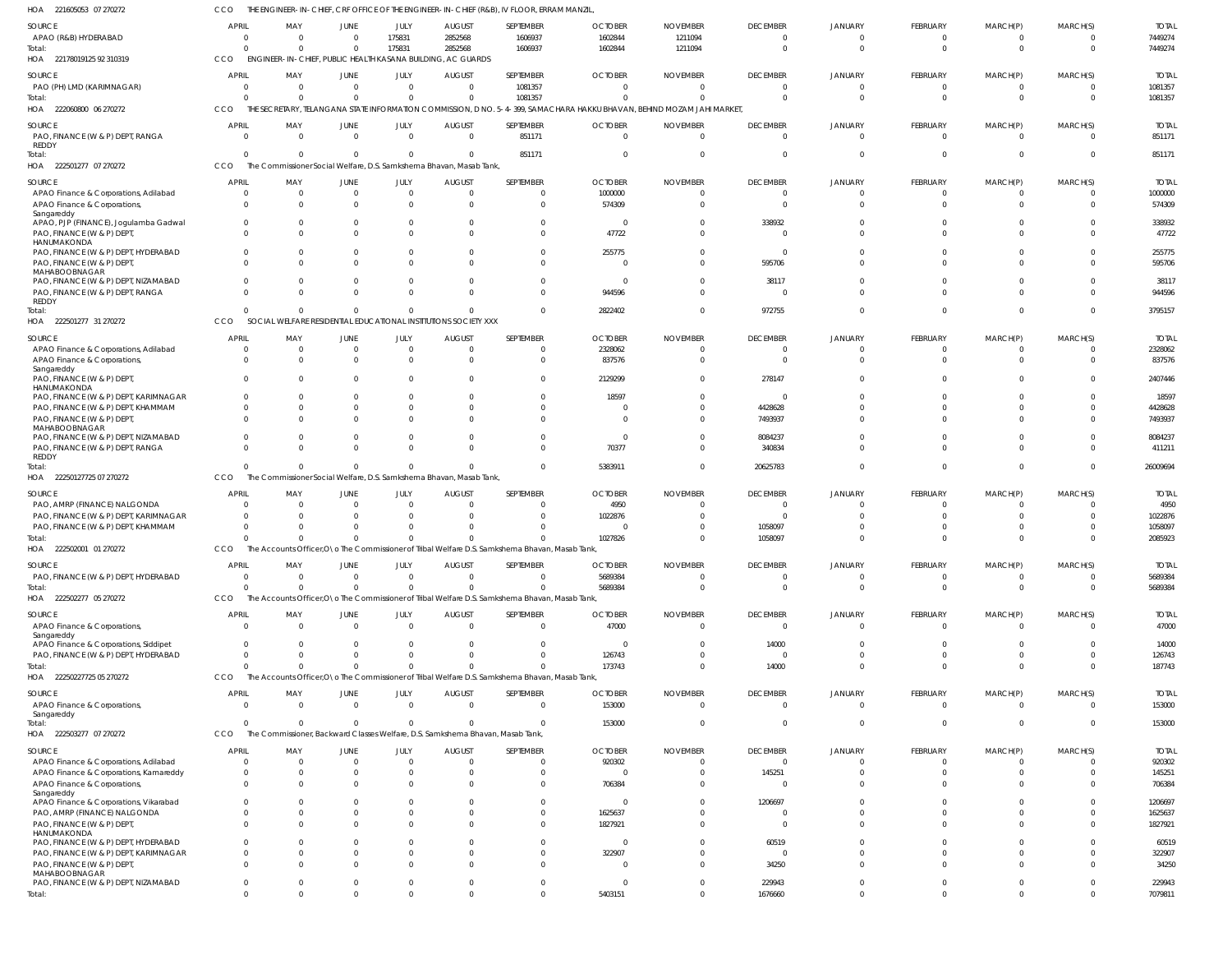| HOA<br>221605053 07 270272                          | CCO                           |                                                                                |                         |                            |                               | THE ENGINEER-IN-CHIEF, CRF OFFICE OF THE ENGINEER-IN-CHIEF (R&B), IV FLOOR, ERRAM MANZIL         |                                                                                                                         |                            |                             |                            |                            |                  |                      |                    |
|-----------------------------------------------------|-------------------------------|--------------------------------------------------------------------------------|-------------------------|----------------------------|-------------------------------|--------------------------------------------------------------------------------------------------|-------------------------------------------------------------------------------------------------------------------------|----------------------------|-----------------------------|----------------------------|----------------------------|------------------|----------------------|--------------------|
| SOURCE                                              | <b>APRIL</b>                  | MAY                                                                            | <b>JUNE</b>             | JULY                       | <b>AUGUST</b>                 | SEPTEMBER                                                                                        | <b>OCTOBER</b>                                                                                                          | <b>NOVEMBER</b>            | <b>DECEMBER</b>             | <b>JANUARY</b>             | FEBRUARY                   | MARCH(P)         | MARCH(S)             | <b>TOTAI</b>       |
| APAO (R&B) HYDERABAD                                | $\overline{0}$                | $\Omega$                                                                       | $\Omega$                | 175831                     | 2852568                       | 1606937                                                                                          | 1602844                                                                                                                 | 1211094                    | $\Omega$                    | - 0                        | 0                          | $\Omega$         |                      | 7449274            |
| Total:                                              | $\Omega$                      | $\Omega$                                                                       | $\Omega$                | 175831                     | 2852568                       | 1606937                                                                                          | 1602844                                                                                                                 | 1211094                    | $\Omega$                    | $\Omega$                   | $\mathbf 0$                | $\mathbf 0$      | $\Omega$             | 7449274            |
| HOA 22178019125 92 310319                           | CCO                           | ENGINEER-IN-CHIEF, PUBLIC HEALTH KASANA BUILDING, AC GUARDS                    |                         |                            |                               |                                                                                                  |                                                                                                                         |                            |                             |                            |                            |                  |                      |                    |
|                                                     |                               |                                                                                |                         |                            |                               |                                                                                                  |                                                                                                                         |                            |                             |                            |                            |                  |                      |                    |
| SOURCE                                              | <b>APRIL</b>                  | MAY                                                                            | <b>JUNE</b><br>$\Omega$ | JULY                       | <b>AUGUST</b><br>$\mathsf{C}$ | SEPTEMBER                                                                                        | <b>OCTOBER</b>                                                                                                          | <b>NOVEMBER</b>            | <b>DECEMBER</b><br>$\Omega$ | <b>JANUARY</b><br>$\Omega$ | FEBRUARY                   | MARCH(P)         | MARCH(S)<br>$\Omega$ | <b>TOTAL</b>       |
| PAO (PH) LMD (KARIMNAGAR)                           | $\overline{0}$<br>$\Omega$    | 0<br>$\Omega$                                                                  | $\Omega$                | $\overline{0}$<br>$\Omega$ |                               | 1081357<br>1081357                                                                               | $\overline{0}$<br>$\sqrt{ }$                                                                                            | $\overline{0}$<br>$\Omega$ | $\Omega$                    | $\Omega$                   | $\mathbf 0$<br>$\mathbf 0$ | 0<br>$\mathbf 0$ | $\Omega$             | 1081357<br>1081357 |
| Total:<br>HOA 222060800 06 270272                   | <b>CCO</b>                    |                                                                                |                         |                            |                               |                                                                                                  | THE SECRETARY, TELANGANA STATE INFORMATION COMMISSION, D NO. 5-4-399, SAMACHARA HAKKU BHAVAN, BEHIND MOZAM JAHI MARKET, |                            |                             |                            |                            |                  |                      |                    |
|                                                     |                               |                                                                                |                         |                            |                               |                                                                                                  |                                                                                                                         |                            |                             |                            |                            |                  |                      |                    |
| SOURCE                                              | <b>APRIL</b>                  | MAY                                                                            | JUNE                    | JULY                       | <b>AUGUST</b>                 | SEPTEMBER                                                                                        | <b>OCTOBER</b>                                                                                                          | <b>NOVEMBER</b>            | <b>DECEMBER</b>             | <b>JANUARY</b>             | FEBRUARY                   | MARCH(P)         | MARCH(S)             | <b>TOTAL</b>       |
| PAO, FINANCE (W & P) DEPT, RANGA                    | $\Omega$                      | $\Omega$                                                                       | $\Omega$                | $\overline{0}$             | $\Omega$                      | 851171                                                                                           | $\overline{0}$                                                                                                          | $\Omega$                   | $\Omega$                    | $\Omega$                   | $\Omega$                   | $\Omega$         | $\Omega$             | 851171             |
| REDDY<br>Total:                                     | $\Omega$                      | $\Omega$                                                                       | $\Omega$                | $\Omega$                   |                               | 851171                                                                                           | $\overline{0}$                                                                                                          | 0                          | $\Omega$                    |                            | $\Omega$                   | $\Omega$         | $\Omega$             | 851171             |
| HOA 222501277 07 270272                             | CCO                           | The Commissioner Social Welfare, D.S. Samkshema Bhavan, Masab Tank,            |                         |                            |                               |                                                                                                  |                                                                                                                         |                            |                             |                            |                            |                  |                      |                    |
|                                                     |                               |                                                                                |                         |                            |                               |                                                                                                  |                                                                                                                         |                            |                             |                            |                            |                  |                      |                    |
| SOURCE                                              | <b>APRIL</b>                  | MAY                                                                            | <b>JUNE</b>             | JULY                       | <b>AUGUST</b>                 | SEPTEMBER                                                                                        | <b>OCTOBER</b>                                                                                                          | <b>NOVEMBER</b>            | <b>DECEMBER</b>             | <b>JANUARY</b>             | FEBRUARY                   | MARCH(P)         | MARCH(S)             | <b>TOTAL</b>       |
| APAO Finance & Corporations, Adilabad               | $\overline{0}$                | $\overline{0}$                                                                 | $\Omega$                | $\overline{0}$             |                               | 0                                                                                                | 1000000                                                                                                                 | 0                          | $\Omega$                    |                            | 0                          |                  |                      | 1000000            |
| APAO Finance & Corporations                         | $\overline{0}$                | - 0                                                                            |                         | $\Omega$                   |                               | $\mathbf 0$                                                                                      | 574309                                                                                                                  | 0                          | $\Omega$                    | $\cap$                     | $\Omega$                   |                  | $\Omega$             | 574309             |
| Sangareddy<br>APAO, PJP (FINANCE), Jogulamba Gadwal | $\mathbf{0}$                  | $\Omega$                                                                       |                         | $\Omega$                   |                               | $\mathbf 0$                                                                                      | - 0                                                                                                                     | $\Omega$                   | 338932                      |                            |                            |                  | $\Omega$             | 338932             |
| PAO, FINANCE (W & P) DEPT                           | $\Omega$                      | $\Omega$                                                                       |                         | $\Omega$                   |                               | $\mathbf 0$                                                                                      | 47722                                                                                                                   | $\Omega$                   | $\Omega$                    | $\Omega$                   | $\Omega$                   |                  | $\Omega$             | 47722              |
| HANUMAKONDA                                         |                               |                                                                                |                         |                            |                               |                                                                                                  |                                                                                                                         |                            |                             |                            |                            |                  |                      |                    |
| PAO, FINANCE (W & P) DEPT, HYDERABAD                | $\Omega$                      | 0                                                                              |                         | $\Omega$                   |                               | $\mathbf 0$                                                                                      | 255775                                                                                                                  | $\Omega$                   | $\Omega$                    |                            | $\Omega$                   |                  |                      | 255775             |
| PAO, FINANCE (W & P) DEPT                           | $\Omega$                      | $\Omega$                                                                       |                         | $\Omega$                   |                               | $\Omega$                                                                                         | - 0                                                                                                                     | $\Omega$                   | 595706                      | $\Omega$                   | $\Omega$                   |                  | $\Omega$             | 595706             |
| MAHABOOBNAGAR                                       |                               |                                                                                |                         |                            |                               |                                                                                                  |                                                                                                                         |                            |                             |                            |                            |                  |                      |                    |
| PAO, FINANCE (W & P) DEPT, NIZAMABAD                | $\mathbf{0}$                  | 0                                                                              |                         | $\Omega$                   |                               | 0                                                                                                | - 0                                                                                                                     | $\Omega$                   | 38117                       | $\Omega$                   | $\Omega$                   |                  | $\Omega$<br>$\Omega$ | 38117              |
| PAO, FINANCE (W & P) DEPT, RANGA<br>REDDY           | $\Omega$                      | $\Omega$                                                                       |                         | $\Omega$                   |                               | $\Omega$                                                                                         | 944596                                                                                                                  | $\Omega$                   | $\Omega$                    |                            | $\Omega$                   |                  |                      | 944596             |
| Total:                                              | $\Omega$                      | $\Omega$                                                                       | $\Omega$                | $\Omega$                   |                               | $\Omega$                                                                                         | 2822402                                                                                                                 | $\Omega$                   | 972755                      | $\Omega$                   | $\mathbf 0$                | $\mathbf 0$      | $\Omega$             | 3795157            |
| HOA 222501277 31 270272                             | CCO                           | SOCIAL WELFARE RESIDENTIAL EDUCATIONAL INSTITUTIONS SOCIETY XXX                |                         |                            |                               |                                                                                                  |                                                                                                                         |                            |                             |                            |                            |                  |                      |                    |
|                                                     | <b>APRIL</b>                  |                                                                                |                         |                            |                               |                                                                                                  |                                                                                                                         |                            |                             |                            |                            |                  |                      |                    |
| SOURCE                                              |                               | MAY                                                                            | JUNE                    | JULY                       | <b>AUGUST</b>                 | SEPTEMBER<br>$\Omega$                                                                            | <b>OCTOBER</b>                                                                                                          | <b>NOVEMBER</b>            | <b>DECEMBER</b>             | <b>JANUARY</b>             | <b>FEBRUARY</b>            | MARCH(P)         | MARCH(S)             | <b>TOTAL</b>       |
| APAO Finance & Corporations, Adilabad               | $\mathbf{0}$<br>$\Omega$      | 0<br>$\Omega$                                                                  | $\Omega$<br>$\Omega$    | $\overline{0}$<br>$\Omega$ | - 0<br>$\Omega$               | $\mathbf 0$                                                                                      | 2328062                                                                                                                 | $\Omega$<br>$\Omega$       | - 0<br>$\Omega$             | $\Omega$                   | 0<br>$\Omega$              |                  | $\Omega$             | 2328062            |
| APAO Finance & Corporations<br>Sangareddy           |                               |                                                                                |                         |                            |                               |                                                                                                  | 837576                                                                                                                  |                            |                             |                            |                            |                  |                      | 837576             |
| PAO, FINANCE (W & P) DEPT                           | $\Omega$                      | - 0                                                                            | $\Omega$                | $\Omega$                   |                               | $\mathbf 0$                                                                                      | 2129299                                                                                                                 | $\Omega$                   | 278147                      | $\Omega$                   | $\Omega$                   |                  | $\Omega$             | 2407446            |
| HANUMAKONDA                                         |                               |                                                                                |                         |                            |                               |                                                                                                  |                                                                                                                         |                            |                             |                            |                            |                  |                      |                    |
| PAO, FINANCE (W & P) DEPT, KARIMNAGAR               | $\Omega$                      | $\Omega$                                                                       |                         | $\Omega$                   |                               | $\Omega$                                                                                         | 18597                                                                                                                   | 0                          | $\Omega$                    |                            |                            |                  |                      | 18597              |
| PAO, FINANCE (W & P) DEPT, KHAMMAM                  | $\Omega$                      | $\Omega$                                                                       |                         | $\Omega$                   |                               | $\Omega$                                                                                         | - 0                                                                                                                     | $\Omega$                   | 4428628                     |                            |                            |                  | $\Omega$             | 4428628            |
| PAO, FINANCE (W & P) DEPT<br>MAHABOOBNAGAR          | $\Omega$                      | $\Omega$                                                                       |                         | $\Omega$                   |                               | $\Omega$                                                                                         | $\overline{0}$                                                                                                          | $\Omega$                   | 7493937                     |                            | $\Omega$                   |                  |                      | 7493937            |
| PAO, FINANCE (W & P) DEPT, NIZAMABAD                | $\Omega$                      | $\Omega$                                                                       | $\Omega$                | $\Omega$                   |                               | $\Omega$                                                                                         | $\overline{0}$                                                                                                          | $\Omega$                   | 8084237                     | $\Omega$                   | $\Omega$                   |                  |                      | 8084237            |
| PAO, FINANCE (W & P) DEPT, RANGA                    | $\Omega$                      | $\Omega$                                                                       |                         | $\Omega$                   |                               | $\Omega$                                                                                         | 70377                                                                                                                   | $\Omega$                   | 340834                      | $\Omega$                   | $\Omega$                   |                  |                      | 411211             |
| <b>REDDY</b>                                        |                               |                                                                                |                         |                            |                               |                                                                                                  |                                                                                                                         |                            |                             |                            |                            |                  |                      |                    |
| Total:                                              | $\Omega$                      | $\Omega$                                                                       | $\Omega$                | $\Omega$                   |                               | $\Omega$                                                                                         | 5383911                                                                                                                 | $\Omega$                   | 20625783                    | $\Omega$                   | $\Omega$                   | $\Omega$         | $\Omega$             | 26009694           |
| HOA 22250127725 07 270272                           | CCO                           | The Commissioner Social Welfare, D.S. Samkshema Bhavan, Masab Tank,            |                         |                            |                               |                                                                                                  |                                                                                                                         |                            |                             |                            |                            |                  |                      |                    |
| SOURCE                                              | <b>APRIL</b>                  | MAY                                                                            | JUNE                    | JULY                       | <b>AUGUST</b>                 | SEPTEMBER                                                                                        | <b>OCTOBER</b>                                                                                                          | <b>NOVEMBER</b>            | <b>DECEMBER</b>             | <b>JANUARY</b>             | FEBRUARY                   | MARCH(P)         | MARCH(S)             | <b>TOTAI</b>       |
| PAO, AMRP (FINANCE) NALGONDA                        | $\Omega$                      | - 0                                                                            | $\Omega$                | $\Omega$                   |                               | $\Omega$                                                                                         | 4950                                                                                                                    | $\Omega$                   | $\Omega$                    |                            | $\Omega$                   |                  | $\Omega$             | 4950               |
| PAO, FINANCE (W & P) DEPT, KARIMNAGAR               |                               |                                                                                |                         |                            |                               | $\mathbf 0$                                                                                      | 1022876                                                                                                                 | $\Omega$                   | $\Omega$                    |                            | $\Omega$                   |                  | $\Omega$             | 1022876            |
|                                                     | $\Omega$                      | - 0                                                                            |                         | $\Omega$                   |                               |                                                                                                  |                                                                                                                         |                            |                             |                            |                            |                  |                      |                    |
| PAO, FINANCE (W & P) DEPT, KHAMMAM                  | $\Omega$                      | $\Omega$                                                                       |                         | $\Omega$                   |                               | <sup>0</sup>                                                                                     | -0                                                                                                                      | $\Omega$                   | 1058097                     |                            | $\Omega$                   |                  |                      | 1058097            |
| Total:                                              | $\Omega$                      | $\Omega$                                                                       |                         | <sup>0</sup>               |                               | <sup>0</sup>                                                                                     | 1027826                                                                                                                 | $\Omega$                   | 1058097                     |                            | $\Omega$                   | <sup>0</sup>     |                      | 2085923            |
| HOA 222502001 01 270272                             | CCO                           |                                                                                |                         |                            |                               | The Accounts Officer, ONo The Commissioner of Tribal Welfare D.S. Samkshema Bhavan, Masab Tank,  |                                                                                                                         |                            |                             |                            |                            |                  |                      |                    |
|                                                     |                               |                                                                                |                         |                            |                               |                                                                                                  |                                                                                                                         |                            |                             |                            |                            |                  |                      |                    |
| SOURCE                                              | <b>APRIL</b>                  | MAY                                                                            | JUNE                    | JULY                       | <b>AUGUST</b>                 | SEPTEMBER                                                                                        | <b>OCTOBER</b>                                                                                                          | <b>NOVEMBER</b>            | <b>DECEMBER</b>             | <b>JANUARY</b>             | FEBRUARY                   | MARCH(P)         | MARCH(S)             | <b>TOTAL</b>       |
| PAO, FINANCE (W & P) DEPT, HYDERABAD                | $\mathbf{0}$                  | $\Omega$                                                                       | $\Omega$                | $\overline{0}$             | $\Omega$                      | 0                                                                                                | 5689384                                                                                                                 | $\Omega$                   | - 0                         | $\Omega$                   | 0                          | 0                |                      | 5689384            |
| Total:                                              | $\Omega$                      | $\Omega$                                                                       | $\Omega$                | $\Omega$                   |                               | $\Omega$                                                                                         | 5689384                                                                                                                 | $\Omega$                   | $\Omega$                    | $\Omega$                   | $\mathbf{0}$               | $\mathbf 0$      | $\Omega$             | 5689384            |
| HOA 222502277 05 270272                             | CCO                           |                                                                                |                         |                            |                               | The Accounts Officer, O \o The Commissioner of Tribal Welfare D.S. Samkshema Bhavan, Masab Tank, |                                                                                                                         |                            |                             |                            |                            |                  |                      |                    |
| SOURCE                                              | <b>APRIL</b>                  | MAY                                                                            | JUNE                    | JULY                       | <b>AUGUST</b>                 | SEPTEMBER                                                                                        | <b>OCTOBER</b>                                                                                                          | <b>NOVEMBER</b>            | <b>DECEMBER</b>             | <b>JANUARY</b>             | FEBRUARY                   | MARCH(P)         | MARCH(S)             | <b>TOTAL</b>       |
| APAO Finance & Corporations,                        | $\overline{0}$                | $\Omega$                                                                       | $\overline{0}$          | $\overline{0}$             | $\Omega$                      | 0                                                                                                | 47000                                                                                                                   | $\Omega$                   | $\Omega$                    | $\Omega$                   | $\mathbf 0$                | $\mathbf 0$      | $\Omega$             | 47000              |
| Sangareddy                                          |                               |                                                                                |                         |                            |                               |                                                                                                  |                                                                                                                         |                            |                             |                            |                            |                  |                      |                    |
| APAO Finance & Corporations, Siddipet               | $\Omega$                      | - 0                                                                            | - 0                     | $\Omega$                   |                               | $\mathbf 0$                                                                                      | - 0                                                                                                                     | $\overline{0}$             | 14000                       | $\Omega$                   | $\mathbf 0$                | $\Omega$         | $\Omega$             | 14000              |
| PAO, FINANCE (W & P) DEPT, HYDERABAD                | $\Omega$                      | $\Omega$                                                                       | $\Omega$                | $\Omega$                   |                               | $\mathbf 0$                                                                                      | 126743                                                                                                                  | $\Omega$                   | $\Omega$                    | $\Omega$                   | $\Omega$                   | $\Omega$         | $\Omega$             | 126743             |
| Total:                                              | $\Omega$                      | $\Omega$                                                                       | $\Omega$                | $\Omega$                   |                               | $\Omega$                                                                                         | 173743                                                                                                                  | $\Omega$                   | 14000                       | $\Omega$                   | $\Omega$                   | $\mathbf 0$      | $\Omega$             | 187743             |
| HOA 22250227725 05 270272                           | CCO                           |                                                                                |                         |                            |                               | The Accounts Officer, O \o The Commissioner of Tribal Welfare D.S. Samkshema Bhavan, Masab Tank, |                                                                                                                         |                            |                             |                            |                            |                  |                      |                    |
| SOURCE                                              | <b>APRIL</b>                  | MAY                                                                            | <b>JUNE</b>             | JULY                       | <b>AUGUST</b>                 | SEPTEMBER                                                                                        | <b>OCTOBER</b>                                                                                                          | <b>NOVEMBER</b>            | <b>DECEMBER</b>             | <b>JANUARY</b>             | FEBRUARY                   | MARCH(P)         | MARCH(S)             | <b>TOTAL</b>       |
| APAO Finance & Corporations                         | $\Omega$                      | $\Omega$                                                                       | $\Omega$                | $\overline{0}$             | $\Omega$                      | $\mathbf 0$                                                                                      | 153000                                                                                                                  | $\Omega$                   | $\Omega$                    | $\Omega$                   | $\Omega$                   | $\Omega$         | $\Omega$             | 153000             |
| Sangareddy                                          |                               |                                                                                |                         |                            |                               |                                                                                                  |                                                                                                                         |                            |                             |                            |                            |                  |                      |                    |
| Total:                                              | $\Omega$                      | $\Omega$                                                                       | $\Omega$                | $\Omega$                   |                               | $\Omega$                                                                                         | 153000                                                                                                                  | $\Omega$                   | $\Omega$                    | $\Omega$                   | $\Omega$                   | $\mathbf 0$      | $\Omega$             | 153000             |
| HOA 222503277 07 270272                             | CCO                           | The Commissioner, Backward Classes Welfare, D.S. Samkshema Bhavan, Masab Tank, |                         |                            |                               |                                                                                                  |                                                                                                                         |                            |                             |                            |                            |                  |                      |                    |
| SOURCE                                              | <b>APRIL</b>                  | MAY                                                                            | JUNE                    | JULY                       | <b>AUGUST</b>                 | SEPTEMBER                                                                                        | <b>OCTOBER</b>                                                                                                          | <b>NOVEMBER</b>            | <b>DECEMBER</b>             | <b>JANUARY</b>             | FEBRUARY                   | MARCH(P)         | MARCH(S)             | <b>TOTAL</b>       |
| APAO Finance & Corporations, Adilabad               | $\overline{0}$                | $\Omega$                                                                       | $\Omega$                | $\Omega$                   | -C                            | $\mathbf 0$                                                                                      | 920302                                                                                                                  | $\Omega$                   | $\Omega$                    | $\Omega$                   | $\mathbf 0$                | 0                | $\Omega$             | 920302             |
| APAO Finance & Corporations, Kamareddy              | $\overline{0}$                | - 0                                                                            |                         | $\overline{0}$             |                               | $\mathbf 0$                                                                                      | $\overline{0}$                                                                                                          | $\Omega$                   | 145251                      | $\Omega$                   | $\mathbf 0$                | 0                | $\Omega$             | 145251             |
| APAO Finance & Corporations,                        | $\Omega$                      | - 0                                                                            | - 0                     | $\Omega$                   |                               | $\mathbf 0$                                                                                      | 706384                                                                                                                  | $\Omega$                   | $\Omega$                    | $\Omega$                   | $\Omega$                   | U                | $\Omega$             | 706384             |
| Sangareddy                                          |                               |                                                                                |                         |                            |                               |                                                                                                  |                                                                                                                         |                            |                             | $\Omega$                   |                            |                  |                      |                    |
| APAO Finance & Corporations, Vikarabad              | $\mathbf{0}$                  | $\Omega$                                                                       |                         | $\Omega$                   |                               | $\mathbf 0$                                                                                      | $\overline{0}$                                                                                                          | $\Omega$                   | 1206697<br>$\Omega$         | $\Omega$                   | $\Omega$                   |                  | $\cap$               | 1206697            |
| PAO, AMRP (FINANCE) NALGONDA                        | $\Omega$<br>$\Omega$          | $\Omega$<br>$\Omega$                                                           |                         | $\Omega$<br>$\Omega$       |                               | $\Omega$<br>$\Omega$                                                                             | 1625637                                                                                                                 | $\Omega$<br>$\Omega$       | $\Omega$                    | $\Omega$                   | $\Omega$<br>$\Omega$       |                  | $\Omega$             | 1625637            |
| PAO, FINANCE (W & P) DEPT<br>HANUMAKONDA            |                               |                                                                                |                         |                            |                               |                                                                                                  | 1827921                                                                                                                 |                            |                             |                            |                            |                  |                      | 1827921            |
| PAO, FINANCE (W & P) DEPT, HYDERABAD                | $\mathbf{0}$                  | - 0                                                                            |                         | <sup>0</sup>               |                               | $\mathbf 0$                                                                                      | - 0                                                                                                                     | $\Omega$                   | 60519                       | $\Omega$                   | $\Omega$                   |                  | $\Omega$             | 60519              |
| PAO, FINANCE (W & P) DEPT, KARIMNAGAR               | $\mathbf 0$                   | $\Omega$                                                                       | $\Omega$                | $\Omega$                   |                               | $\mathbf 0$                                                                                      | 322907                                                                                                                  | $\Omega$                   | $\Omega$                    | $\Omega$                   | $\mathbf 0$                |                  | $\Omega$             | 322907             |
| PAO, FINANCE (W & P) DEPT,                          | $\Omega$                      | $\Omega$                                                                       |                         | $\Omega$                   |                               | $\mathbf 0$                                                                                      | $\overline{0}$                                                                                                          | $\Omega$                   | 34250                       | $\Omega$                   | $\Omega$                   |                  | $\Omega$             | 34250              |
| MAHABOOBNAGAR                                       |                               |                                                                                |                         |                            |                               |                                                                                                  |                                                                                                                         |                            |                             |                            |                            |                  |                      |                    |
| PAO, FINANCE (W & P) DEPT, NIZAMABAD<br>Total:      | $\mathbf 0$<br>$\overline{0}$ | $\Omega$<br>$\Omega$                                                           | $\Omega$<br>$\Omega$    | $\Omega$<br>$\Omega$       | $\Omega$                      | 0<br>$\mathbf 0$                                                                                 | $\overline{0}$<br>5403151                                                                                               | $\overline{0}$<br>$\Omega$ | 229943<br>1676660           | $\Omega$<br>$\Omega$       | $\mathbf 0$<br>$\mathbf 0$ | 0<br>$\Omega$    | $\Omega$<br>$\Omega$ | 229943<br>7079811  |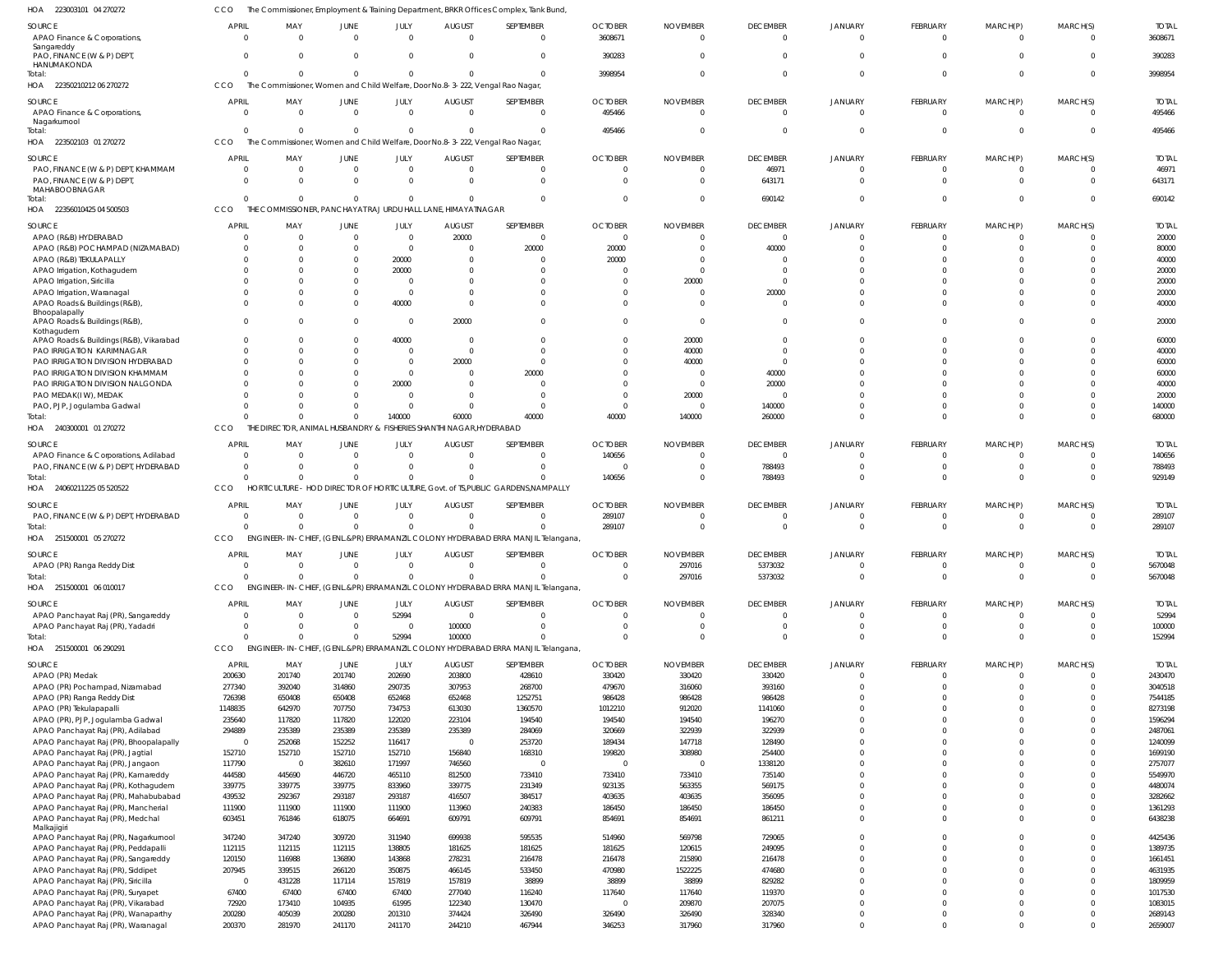| HOA<br>223003101 04 270272                                                        |                          |                                                                                                 |                             |                         |                                             | The Commissioner, Employment & Training Department, BRKR Offices Complex, Tank Bund          |                                  |                                   |                                   |                                  |                                |                            |                            |                         |
|-----------------------------------------------------------------------------------|--------------------------|-------------------------------------------------------------------------------------------------|-----------------------------|-------------------------|---------------------------------------------|----------------------------------------------------------------------------------------------|----------------------------------|-----------------------------------|-----------------------------------|----------------------------------|--------------------------------|----------------------------|----------------------------|-------------------------|
| SOURCE<br>APAO Finance & Corporations,                                            | <b>APRIL</b><br>$\Omega$ | MAY<br>$\Omega$                                                                                 | JUNE<br>$\Omega$            | <b>JULY</b><br>$\Omega$ | <b>AUGUST</b><br>$\Omega$                   | SEPTEMBER<br>$\overline{0}$                                                                  | <b>OCTOBER</b><br>3608671        | <b>NOVEMBER</b><br>$\Omega$       | <b>DECEMBER</b><br>$\overline{0}$ | JANUARY<br>$\Omega$              | <b>FEBRUARY</b><br>$\mathbf 0$ | MARCH(P)<br>$^{\circ}$     | MARCH(S)<br>$\overline{0}$ | <b>TOTAL</b><br>3608671 |
| Sangareddy<br>PAO, FINANCE (W & P) DEPT,<br>HANUMAKONDA                           | $\Omega$                 | $\Omega$                                                                                        | $\Omega$                    | - 0                     | $\overline{0}$                              | $\overline{0}$                                                                               | 390283                           | $\Omega$                          | $\Omega$                          | $\Omega$                         | $\Omega$                       | $\Omega$                   | $\Omega$                   | 390283                  |
| Total:<br>HOA 22350210212 06 270272                                               | $\Omega$<br>CCO          | $\Omega$<br>The Commissioner, Women and Child Welfare, Door No.8-3-222, Vengal Rao Nagar,       | $\overline{0}$              | $\Omega$                | $\Omega$                                    | $\Omega$                                                                                     | 3998954                          | $\Omega$                          | $\Omega$                          | $\Omega$                         | $\mathbf 0$                    | $\mathbf 0$                | $\overline{0}$             | 3998954                 |
| SOURCE<br>APAO Finance & Corporations,<br>Nagarkurnool                            | <b>APRIL</b><br>$\Omega$ | MAY<br>- 0                                                                                      | JUNE<br>$\overline{0}$      | JULY<br>$\Omega$        | <b>AUGUST</b><br>$\overline{0}$             | SEPTEMBER<br>$\overline{0}$                                                                  | <b>OCTOBER</b><br>495466         | <b>NOVEMBER</b><br>$\Omega$       | <b>DECEMBER</b><br>$\overline{0}$ | <b>JANUARY</b><br>$\Omega$       | <b>FEBRUARY</b><br>$\mathbf 0$ | MARCH(P)<br>0              | MARCH(S)<br>$\Omega$       | <b>TOTAL</b><br>495466  |
| Total:<br>HOA 223502103 01 270272                                                 | $\Omega$<br>CCO          | $\overline{0}$<br>The Commissioner, Women and Child Welfare, Door No.8-3-222, Vengal Rao Nagar, | $\overline{0}$              | $\Omega$                | $\mathbf{0}$                                | $\Omega$                                                                                     | 495466                           | 0                                 | $\Omega$                          | $\Omega$                         | $\overline{0}$                 | $\mathbf{0}$               | $\Omega$                   | 495466                  |
| SOURCE                                                                            | <b>APRIL</b>             | MAY                                                                                             | JUNE                        | JULY                    | <b>AUGUST</b>                               | SEPTEMBER                                                                                    | <b>OCTOBER</b>                   | <b>NOVEMBER</b>                   | <b>DECEMBER</b>                   | JANUARY                          | <b>FEBRUARY</b>                | MARCH(P)                   | MARCH(S)                   | <b>TOTAL</b>            |
| PAO, FINANCE (W & P) DEPT, KHAMMAM<br>PAO, FINANCE (W & P) DEPT,<br>MAHABOOBNAGAR | $\Omega$<br>$\Omega$     | $\overline{0}$<br>$\Omega$                                                                      | $\mathbf{0}$<br>$\Omega$    | $\Omega$<br>$\Omega$    | $\overline{0}$<br>$\Omega$                  | $\Omega$<br>$\Omega$                                                                         | 0<br>$\Omega$                    | 0<br>$\Omega$                     | 46971<br>643171                   | $\Omega$<br>$\Omega$             | 0<br>$\mathbf{0}$              | 0<br>$\mathbf 0$           | $\Omega$<br>$\Omega$       | 46971<br>643171         |
| lotal:<br>HOA 22356010425 04 500503                                               | $\Omega$<br>CCO          | $\Omega$<br>THE COMMISSIONER, PANCHAYAT RAJ URDU HALL LANE, HIMAYATNAGAR                        | $\Omega$                    |                         | $\Omega$                                    | $\Omega$                                                                                     | $\Omega$                         | $\Omega$                          | 690142                            | $\Omega$                         | $\Omega$                       | $\Omega$                   | $\Omega$                   | 690142                  |
| SOURCE                                                                            | <b>APRIL</b>             | MAY                                                                                             | JUNE                        | JULY                    | <b>AUGUST</b>                               | SEPTEMBER                                                                                    | <b>OCTOBER</b>                   | <b>NOVEMBER</b>                   | <b>DECEMBER</b>                   | <b>JANUARY</b>                   | <b>FEBRUARY</b>                | MARCH(P)                   | MARCH(S)                   | <b>TOTAL</b>            |
| APAO (R&B) HYDERABAD                                                              |                          | $\overline{0}$                                                                                  | $\mathbf{0}$                | - 0                     | 20000                                       | $\Omega$                                                                                     | 0                                | $\Omega$                          | $\overline{0}$                    |                                  | 0                              | C                          | $\Omega$                   | 20000                   |
| APAO (R&B) POCHAMPAD (NIZAMABAD)                                                  |                          | $\Omega$                                                                                        | 0                           | $\Omega$                | 0                                           | 20000                                                                                        | 20000                            | 0                                 | 40000                             |                                  | $\mathbf 0$                    | $\Omega$                   | $\Omega$                   | 80000                   |
| APAO (R&B) TEKULAPALLY                                                            |                          | $\Omega$                                                                                        | $\Omega$                    | 20000                   | $\Omega$                                    |                                                                                              | 20000                            | -0                                | $\Omega$                          |                                  | $\Omega$<br>$\Omega$           |                            | $\Omega$<br>$\Omega$       | 40000                   |
| APAO Irrigation, Kothagudem<br>APAO Irrigation, Siricilla                         |                          | <sup>0</sup>                                                                                    | $\Omega$<br>0               | 20000<br>- 0            | $\Omega$<br>0                               |                                                                                              | 0<br>-0                          | $\Omega$<br>20000                 | $\Omega$                          |                                  | $\Omega$                       |                            | $\Omega$                   | 20000<br>20000          |
| APAO Irrigation, Waranagal                                                        |                          | 0                                                                                               | $\Omega$                    | - 0                     | $\Omega$                                    |                                                                                              | -0                               | 0                                 | 20000                             |                                  | $\Omega$                       | $\Omega$                   | $\Omega$                   | 20000                   |
| APAO Roads & Buildings (R&B),                                                     | $\Omega$                 | $\Omega$                                                                                        | $\Omega$                    | 40000                   | $\Omega$                                    |                                                                                              | $\Omega$                         | $\Omega$                          | $\Omega$                          | $\Omega$                         | $\Omega$                       | $\Omega$                   | $\Omega$                   | 40000                   |
| Bhoopalapally                                                                     |                          |                                                                                                 |                             |                         |                                             |                                                                                              |                                  |                                   |                                   |                                  |                                |                            |                            |                         |
| APAO Roads & Buildings (R&B),<br>Kothagudem                                       |                          | $\Omega$                                                                                        | $\Omega$                    | - 0                     | 20000                                       |                                                                                              | $\Omega$                         | $\Omega$                          | $\Omega$                          | $\Omega$                         | $\Omega$                       | $\Omega$                   | $\Omega$                   | 20000                   |
| APAO Roads & Buildings (R&B), Vikarabad<br>PAO IRRIGATION KARIMNAGAR              |                          | $\Omega$<br>$\Omega$                                                                            | $\Omega$<br>0               | 40000<br>$\Omega$       | 0<br>$\overline{0}$                         |                                                                                              | -0<br>$\Omega$                   | 20000<br>40000                    | $\Omega$<br>$\Omega$              | $\cap$                           | $\Omega$<br>$\Omega$           | $\Omega$<br>$\Omega$       | $\Omega$<br>$\Omega$       | 60000<br>40000          |
| PAO IRRIGATION DIVISION HYDERABAD                                                 |                          | $\Omega$                                                                                        | 0                           | $\Omega$                | 20000                                       | $\Omega$                                                                                     | -0                               | 40000                             | $\Omega$                          | $\Omega$                         | $\Omega$                       |                            | $\Omega$                   | 60000                   |
| PAO IRRIGATION DIVISION KHAMMAM                                                   |                          |                                                                                                 | 0                           | $\Omega$                | $\Omega$                                    | 20000                                                                                        | -0                               | - 0                               | 40000                             |                                  | $\Omega$                       |                            |                            | 60000                   |
| PAO IRRIGATION DIVISION NALGONDA                                                  |                          |                                                                                                 | 0                           | 20000                   | 0                                           |                                                                                              | $\Omega$                         | - 0                               | 20000                             |                                  | $\Omega$                       |                            |                            | 40000                   |
| PAO MEDAK(IW), MEDAK                                                              |                          |                                                                                                 | 0                           | $\Omega$                | 0                                           |                                                                                              | -0                               | 20000                             | $\Omega$                          |                                  | $\Omega$                       | $\Omega$                   |                            | 20000                   |
| PAO, PJP, Jogulamba Gadwal                                                        |                          | $\Omega$                                                                                        | $\Omega$                    | $\Omega$                | $\Omega$                                    |                                                                                              | $\Omega$                         | - 0                               | 140000                            | $\Omega$                         | $\Omega$                       | $\Omega$                   | $\Omega$                   | 140000                  |
| lotal:<br>HOA 240300001 01 270272                                                 | CCO                      | $\Omega$<br>THE DIRECTOR, ANIMAL HUSBANDRY &                                                    | $\Omega$                    | 140000                  | 60000<br>FISHERIES SHANTHI NAGAR, HYDERABAD | 40000                                                                                        | 40000                            | 140000                            | 260000                            | $\Omega$                         | $\Omega$                       | $\mathbf 0$                | $\Omega$                   | 680000                  |
|                                                                                   |                          |                                                                                                 |                             |                         |                                             |                                                                                              |                                  |                                   |                                   |                                  |                                |                            |                            |                         |
| SOURCE                                                                            | <b>APRIL</b>             | MAY                                                                                             | JUNE                        | JULY                    | <b>AUGUST</b>                               | SEPTEMBER                                                                                    | <b>OCTOBER</b>                   | <b>NOVEMBER</b>                   | <b>DECEMBER</b>                   | JANUARY                          | <b>FEBRUARY</b>                | MARCH(P)                   | MARCH(S)                   | <b>TOTAL</b>            |
| APAO Finance & Corporations, Adilabad                                             | $\Omega$<br>$\Omega$     | $\overline{0}$<br>$\Omega$                                                                      | $\mathbf{0}$                | - 0<br>$\Omega$         | 0                                           | $\Omega$<br>$\Omega$                                                                         | 140656                           | $\Omega$                          | $\overline{0}$                    | $\Omega$<br>$\Omega$             | 0                              | $\Omega$                   | $\Omega$                   | 140656                  |
| PAO, FINANCE (W & P) DEPT, HYDERABAD<br>Total:                                    | $\Omega$                 | $\Omega$                                                                                        | $\Omega$<br>$\Omega$        |                         | $\Omega$<br>$\Omega$                        |                                                                                              | -0<br>140656                     | 0<br>$\Omega$                     | 788493<br>788493                  | $\Omega$                         | $\mathbf 0$<br>$\Omega$        | $\mathbf 0$<br>$\Omega$    | $\overline{0}$<br>$\Omega$ | 788493<br>929149        |
| HOA 24060211225 05 520522                                                         | CCO                      |                                                                                                 |                             |                         |                                             | HORTICULTURE - HOD DIRECTOR OF HORTICULTURE, Govt. of TS, PUBLIC GARDENS, NAMPALLY           |                                  |                                   |                                   |                                  |                                |                            |                            |                         |
|                                                                                   |                          |                                                                                                 |                             |                         |                                             |                                                                                              |                                  |                                   |                                   |                                  |                                |                            |                            |                         |
| SOURCE                                                                            | <b>APRIL</b>             | MAY                                                                                             | JUNE                        | JULY                    | <b>AUGUST</b>                               | SEPTEMBER                                                                                    | <b>OCTOBER</b>                   | <b>NOVEMBER</b>                   | <b>DECEMBER</b>                   | <b>JANUARY</b>                   | <b>FEBRUARY</b>                | MARCH(P)                   | MARCH(S)                   | <b>TOTAL</b>            |
| PAO, FINANCE (W & P) DEPT, HYDERABAD                                              | $\Omega$                 | $\overline{0}$                                                                                  | $\mathbf{0}$                | - 0                     | $\overline{0}$                              | $\Omega$                                                                                     | 289107                           | $\Omega$                          | $\Omega$                          |                                  | $\mathbf 0$                    | $\Omega$                   | $\Omega$                   | 289107                  |
| Total:<br>HOA 251500001 05 270272                                                 | $\Omega$<br><b>CCO</b>   | $\Omega$                                                                                        | $\mathbf 0$                 | $\Omega$                | $\mathbf{0}$                                | $\Omega$<br>ENGINEER-IN-CHIEF, (GENL.&PR) ERRAMANZIL COLONY HYDERABAD ERRA MANJIL Telangana, | 289107                           | $\mathbf{0}$                      | $\overline{0}$                    | $\Omega$                         | $\mathbf 0$                    | $\mathbf{0}$               | $\overline{0}$             | 289107                  |
|                                                                                   |                          |                                                                                                 |                             |                         |                                             |                                                                                              |                                  |                                   |                                   |                                  |                                |                            |                            |                         |
| SOURCE                                                                            | <b>APRIL</b>             | MAY                                                                                             | <b>JUNE</b>                 | JULY                    | <b>AUGUST</b>                               | SEPTEMBER                                                                                    | <b>OCTOBER</b>                   | <b>NOVEMBER</b>                   | <b>DECEMBER</b>                   | <b>JANUARY</b>                   | FEBRUARY                       | MARCH(P)                   | MARCH(S)                   | <b>TOTAL</b>            |
| APAO (PR) Ranga Reddy Dist<br>Total:                                              | $\Omega$<br>$\Omega$     | $\Omega$<br>$\Omega$                                                                            | $\Omega$<br>$\Omega$        | $\Omega$<br>$\cap$      | $\Omega$<br>$\Omega$                        | $\Omega$                                                                                     | $\overline{0}$<br>$\Omega$       | 297016<br>297016                  | 5373032<br>5373032                | $\Omega$<br>$\overline{0}$       | $\mathbf 0$<br>$\mathbf 0$     | $\mathbf 0$<br>$\mathbf 0$ | $\overline{0}$<br>$\Omega$ | 5670048<br>5670048      |
| HOA 251500001 06 010017                                                           | <b>CCO</b>               |                                                                                                 |                             |                         |                                             | ENGINEER-IN-CHIEF, (GENL.&PR) ERRAMANZIL COLONY HYDERABAD ERRA MANJIL Telangana,             |                                  |                                   |                                   |                                  |                                |                            |                            |                         |
|                                                                                   |                          |                                                                                                 |                             |                         |                                             |                                                                                              |                                  |                                   |                                   |                                  |                                |                            |                            |                         |
| SOURCE                                                                            | <b>APRIL</b><br>$\Omega$ | MAY<br>$\overline{0}$                                                                           | <b>JUNE</b><br>$\mathbf{0}$ | JULY<br>52994           | <b>AUGUST</b><br>$\overline{0}$             | SEPTEMBER<br>$\mathbf 0$                                                                     | <b>OCTOBER</b><br>$\overline{0}$ | <b>NOVEMBER</b><br>$\overline{0}$ | <b>DECEMBER</b><br>$\overline{0}$ | <b>JANUARY</b><br>$\overline{0}$ | <b>FEBRUARY</b><br>$\mathbf 0$ | MARCH(P)<br>$\mathbf 0$    | MARCH(S)<br>$\overline{0}$ | <b>TOTAL</b><br>52994   |
| APAO Panchayat Raj (PR), Sangareddy<br>APAO Panchayat Raj (PR), Yadadri           | $\Omega$                 | $\overline{0}$                                                                                  | $\mathbf 0$                 | - 0                     | 100000                                      | $\mathbf 0$                                                                                  | $\mathbf{0}$                     | $\overline{0}$                    | $\overline{0}$                    | $\overline{0}$                   | $\mathbf 0$                    | $\mathbf 0$                | $\overline{0}$             | 100000                  |
| Total:                                                                            | $\Omega$                 | $\Omega$                                                                                        | $\Omega$                    | 52994                   | 100000                                      |                                                                                              | $\mathbf{0}$                     | $\mathbf 0$                       | $\overline{0}$                    | $\overline{0}$                   | $\mathbf 0$                    | $\mathbf 0$                | $\overline{0}$             | 152994                  |
| HOA 251500001 06 290291                                                           | <b>CCO</b>               |                                                                                                 |                             |                         |                                             | ENGINEER-IN-CHIEF, (GENL.&PR) ERRAMANZIL COLONY HYDERABAD ERRA MANJIL Telangana,             |                                  |                                   |                                   |                                  |                                |                            |                            |                         |
|                                                                                   |                          |                                                                                                 |                             |                         |                                             |                                                                                              |                                  |                                   |                                   |                                  |                                |                            |                            |                         |
| SOURCE                                                                            | APRIL<br>200630          | MAY<br>201740                                                                                   | JUNE<br>201740              | JULY<br>202690          | <b>AUGUST</b>                               | SEPTEMBER<br>428610                                                                          | <b>OCTOBER</b>                   | <b>NOVEMBER</b>                   | <b>DECEMBER</b><br>330420         | <b>JANUARY</b><br>$\Omega$       | <b>FEBRUARY</b><br>$\mathbf 0$ | MARCH(P)<br>$\overline{0}$ | MARCH(S)<br>$\overline{0}$ | <b>TOTAL</b><br>2430470 |
| APAO (PR) Medak<br>APAO (PR) Pochampad, Nizamabad                                 | 277340                   | 392040                                                                                          | 314860                      | 290735                  | 203800<br>307953                            | 268700                                                                                       | 330420<br>479670                 | 330420<br>316060                  | 393160                            | $\overline{0}$                   | $\mathbf 0$                    | $\mathbf 0$                | $\overline{0}$             | 3040518                 |
| APAO (PR) Ranga Reddy Dist                                                        | 726398                   | 650408                                                                                          | 650408                      | 652468                  | 652468                                      | 1252751                                                                                      | 986428                           | 986428                            | 986428                            | $\Omega$                         | $\mathbf 0$                    | $\mathbf 0$                | $\Omega$                   | 7544185                 |
| APAO (PR) Tekulapapalli                                                           | 1148835                  | 642970                                                                                          | 707750                      | 734753                  | 613030                                      | 1360570                                                                                      | 1012210                          | 912020                            | 1141060                           | $\Omega$                         | $\Omega$                       | $\Omega$                   | $\Omega$                   | 8273198                 |
| APAO (PR), PJP, Jogulamba Gadwal                                                  | 235640                   | 117820                                                                                          | 117820                      | 122020                  | 223104                                      | 194540                                                                                       | 194540                           | 194540                            | 196270                            | $\Omega$                         | $\Omega$                       | $\Omega$                   | $\Omega$                   | 1596294                 |
| APAO Panchayat Raj (PR), Adilabad                                                 | 294889                   | 235389                                                                                          | 235389                      | 235389                  | 235389                                      | 284069                                                                                       | 320669                           | 322939                            | 322939                            | $\Omega$                         | $\Omega$                       | $\Omega$                   | $\Omega$                   | 2487061                 |
| APAO Panchayat Raj (PR), Bhoopalapally                                            | $\overline{0}$           | 252068                                                                                          | 152252                      | 116417                  | $\overline{0}$                              | 253720                                                                                       | 189434                           | 147718                            | 128490                            | $\Omega$                         | $\Omega$                       | $\Omega$                   | $\Omega$                   | 1240099                 |
| APAO Panchayat Raj (PR), Jagtial                                                  | 152710                   | 152710                                                                                          | 152710                      | 152710                  | 156840                                      | 168310                                                                                       | 199820                           | 308980                            | 254400                            | $\Omega$                         | $\Omega$                       | $\Omega$                   | $\Omega$                   | 1699190                 |
| APAO Panchayat Raj (PR), Jangaon                                                  | 117790                   | $\overline{0}$                                                                                  | 382610                      | 171997                  | 746560                                      | $\overline{0}$                                                                               | $\overline{0}$                   | - 0                               | 1338120                           | $\Omega$                         | $\Omega$                       | $\Omega$                   | $\Omega$                   | 2757077                 |
| APAO Panchayat Raj (PR), Kamareddy                                                | 444580                   | 445690                                                                                          | 446720                      | 465110                  | 812500                                      | 733410                                                                                       | 733410                           | 733410                            | 735140                            | $\Omega$                         | $\Omega$                       | $\Omega$                   | $\Omega$                   | 5549970                 |
| APAO Panchayat Raj (PR), Kothagudem                                               | 339775                   | 339775                                                                                          | 339775                      | 833960                  | 339775                                      | 231349                                                                                       | 923135                           | 563355                            | 569175                            | $\Omega$                         | $\Omega$                       | $\Omega$                   | $\Omega$                   | 4480074                 |
| APAO Panchayat Raj (PR), Mahabubabad                                              | 439532                   | 292367                                                                                          | 293187                      | 293187                  | 416507                                      | 384517                                                                                       | 403635                           | 403635                            | 356095                            | $\overline{0}$                   | $\Omega$                       | $\Omega$                   | $\Omega$                   | 3282662                 |
| APAO Panchayat Raj (PR), Mancherial                                               | 111900                   | 111900                                                                                          | 111900                      | 111900                  | 113960                                      | 240383                                                                                       | 186450                           | 186450                            | 186450                            | $\overline{0}$                   | $\mathbf 0$                    | $\mathbf 0$                | $\overline{0}$             | 1361293                 |
| APAO Panchayat Raj (PR), Medchal<br>Malkajigiri                                   | 603451                   | 761846                                                                                          | 618075                      | 664691                  | 609791                                      | 609791                                                                                       | 854691                           | 854691                            | 861211                            | $\overline{0}$                   | $\Omega$                       | $\Omega$                   | $\overline{0}$             | 6438238                 |
| APAO Panchayat Raj (PR), Nagarkurnool                                             | 347240                   | 347240                                                                                          | 309720                      | 311940                  | 699938                                      | 595535                                                                                       | 514960                           | 569798                            | 729065                            | $\overline{0}$                   | $\mathbf 0$                    | $\mathbf 0$                | $\overline{0}$             | 4425436                 |
| APAO Panchayat Raj (PR), Peddapalli                                               | 112115                   | 112115                                                                                          | 112115                      | 138805                  | 181625                                      | 181625                                                                                       | 181625                           | 120615                            | 249095                            | $\overline{0}$                   | $\Omega$                       | $\Omega$                   | $\overline{0}$             | 1389735                 |
| APAO Panchayat Raj (PR), Sangareddy                                               | 120150                   | 116988                                                                                          | 136890                      | 143868                  | 278231                                      | 216478                                                                                       | 216478                           | 215890                            | 216478                            | $\overline{0}$                   | $\mathbf 0$                    | $\mathbf 0$                | $\Omega$                   | 1661451                 |
| APAO Panchayat Raj (PR), Siddipet                                                 | 207945                   | 339515                                                                                          | 266120                      | 350875                  | 466145                                      | 533450                                                                                       | 470980                           | 1522225                           | 474680                            | $\Omega$                         | $\Omega$                       | $\Omega$                   | $\Omega$                   | 4631935                 |
| APAO Panchayat Raj (PR), Siricilla                                                | $\overline{0}$           | 431228                                                                                          | 117114                      | 157819                  | 157819                                      | 38899                                                                                        | 38899                            | 38899                             | 829282                            | $\overline{0}$                   | $\Omega$                       | $\Omega$                   | $\Omega$                   | 1809959                 |
| APAO Panchayat Raj (PR), Suryapet                                                 | 67400                    | 67400                                                                                           | 67400                       | 67400                   | 277040                                      | 116240                                                                                       | 117640                           | 117640                            | 119370                            | $\Omega$                         | $\Omega$                       | $\Omega$                   | $\Omega$                   | 1017530                 |
| APAO Panchayat Raj (PR), Vikarabad                                                | 72920                    | 173410                                                                                          | 104935                      | 61995                   | 122340                                      | 130470                                                                                       | $\overline{0}$                   | 209870                            | 207075                            | $\overline{0}$                   | $\mathbf 0$                    | $\mathbf 0$                | $\Omega$                   | 1083015                 |
| APAO Panchayat Raj (PR), Wanaparthy                                               | 200280<br>200370         | 405039                                                                                          | 200280                      | 201310                  | 374424                                      | 326490                                                                                       | 326490                           | 326490                            | 328340                            | $\overline{0}$                   | $\mathbf 0$                    | $\mathbf 0$                | $\overline{0}$             | 2689143                 |
| APAO Panchayat Raj (PR), Waranagal                                                |                          | 281970                                                                                          | 241170                      | 241170                  | 244210                                      | 467944                                                                                       | 346253                           | 317960                            | 317960                            | $\overline{0}$                   | $\mathbf 0$                    | $\Omega$                   | $\overline{0}$             | 2659007                 |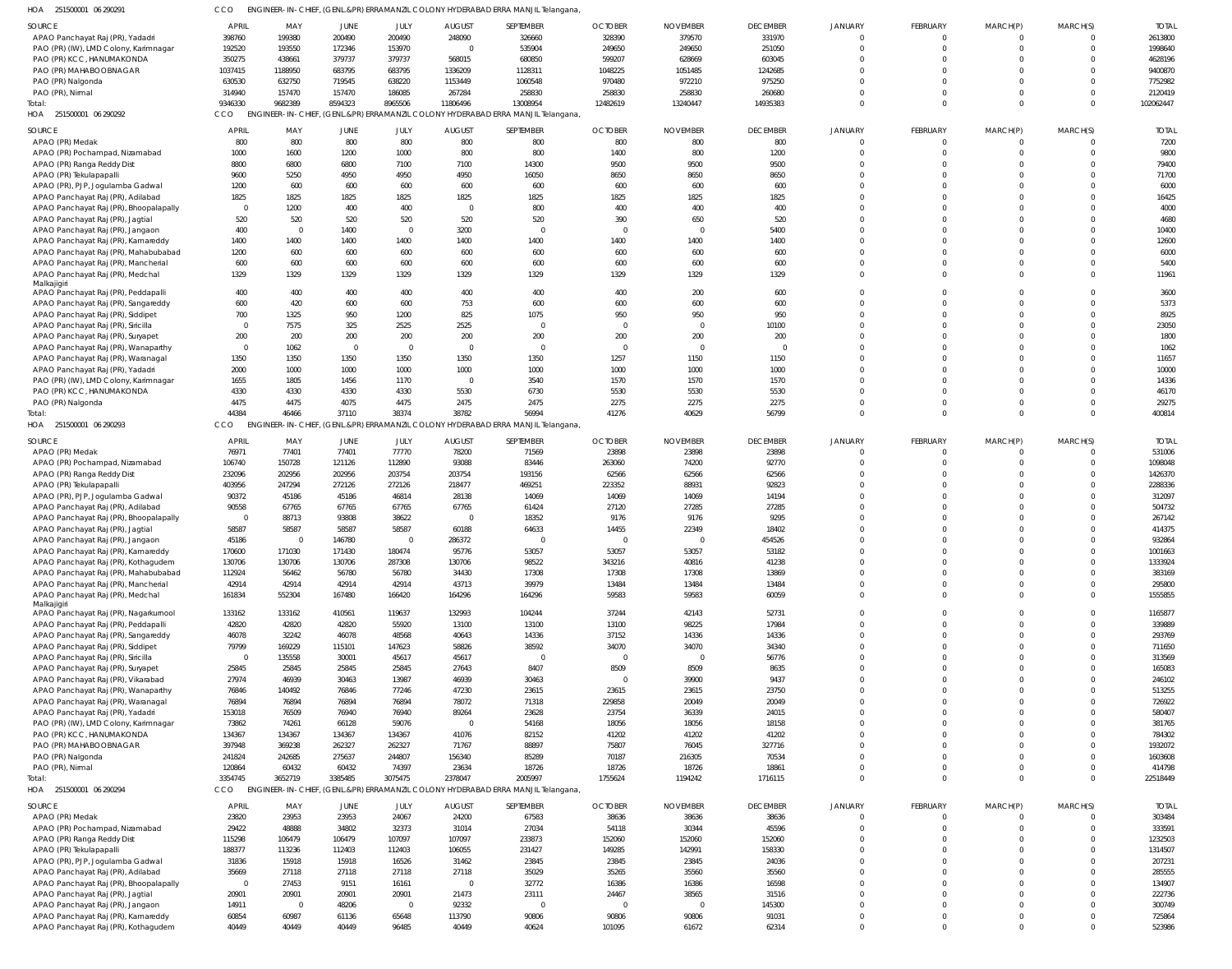| HOA 251500001 06 290291 | CCO ENGINEER-IN-CHIEF, (GENL.&PR) ERRAMANZIL COLONY HYDERABAD ERRA MANJIL Telangana, |
|-------------------------|--------------------------------------------------------------------------------------|

| SOURCE                                 | <b>APRIL</b>   | MAY      | JUNE     | JULY        | <b>AUGUST</b> | SEPTEMBER                                                                       | <b>OCTOBER</b> | <b>NOVEMBER</b> | <b>DECEMBER</b> | JANUARY        | <b>FEBRUARY</b> | MARCH(P)    | MARCH(S) | <b>TOTAL</b> |
|----------------------------------------|----------------|----------|----------|-------------|---------------|---------------------------------------------------------------------------------|----------------|-----------------|-----------------|----------------|-----------------|-------------|----------|--------------|
| APAO Panchayat Raj (PR), Yadadri       | 398760         | 199380   | 200490   | 200490      | 248090        | 326660                                                                          | 328390         | 379570          | 331970          | $\Omega$       | $\mathbf 0$     | $\mathbf 0$ | $\Omega$ | 2613800      |
| PAO (PR) (IW), LMD Colony, Karimnagar  | 192520         | 193550   | 172346   | 153970      | $\Omega$      | 535904                                                                          | 249650         | 249650          | 251050          | $\Omega$       | $\mathbf 0$     | $\Omega$    | $\Omega$ | 1998640      |
| PAO (PR) KCC, HANUMAKONDA              | 350275         | 438661   | 379737   | 379737      | 568015        | 680850                                                                          | 599207         | 628669          | 603045          | $\Omega$       | $\Omega$        | $\Omega$    | $\Omega$ | 4628196      |
| PAO (PR) MAHABOOBNAGAR                 | 1037415        | 1188950  | 683795   | 683795      | 1336209       | 1128311                                                                         | 1048225        | 1051485         | 1242685         | $\Omega$       | $\Omega$        | $\Omega$    | $\Omega$ | 9400870      |
| PAO (PR) Nalgonda                      | 630530         | 632750   | 719545   | 638220      | 1153449       | 1060548                                                                         | 970480         | 972210          | 975250          | $\Omega$       | $\Omega$        | $\Omega$    | $\Omega$ | 7752982      |
| PAO (PR), Nirmal                       | 314940         | 157470   | 157470   | 186085      | 267284        | 258830                                                                          | 258830         | 258830          | 260680          | $\Omega$       | $\Omega$        | $\Omega$    | $\Omega$ | 2120419      |
| Total:                                 | 9346330        | 9682389  | 8594323  | 8965506     | 11806496      | 13008954                                                                        | 12482619       | 13240447        | 14935383        | $\Omega$       | $\Omega$        | $\Omega$    | $\Omega$ | 102062447    |
| HOA<br>251500001 06 290292             | CCO            |          |          |             |               | ENGINEER-IN-CHIEF, (GENL.&PR) ERRAMANZIL COLONY HYDERABAD ERRA MANJIL Telangana |                |                 |                 |                |                 |             |          |              |
|                                        |                |          |          |             |               |                                                                                 |                |                 |                 |                |                 |             |          |              |
| SOURCE                                 | <b>APRIL</b>   | MAY      | JUNE     | JULY        | <b>AUGUST</b> | SEPTEMBER                                                                       | <b>OCTOBER</b> | <b>NOVEMBER</b> | <b>DECEMBER</b> | JANUARY        | FEBRUARY        | MARCH(P)    | MARCH(S) | <b>TOTAI</b> |
| APAO (PR) Medak                        | 800            | 800      | 800      | 800         | 800           | 800                                                                             | 800            | 800             | 800             | $\Omega$       | $\Omega$        | $\Omega$    | $\Omega$ | 7200         |
| APAO (PR) Pochampad, Nizamabad         | 1000           | 1600     | 1200     | 1000        | 800           | 800                                                                             | 1400           | 800             | 1200            | $\Omega$       | $\Omega$        | $\Omega$    | $\Omega$ | 9800         |
| APAO (PR) Ranga Reddy Dist             | 8800           | 6800     | 6800     | 7100        | 7100          | 14300                                                                           | 9500           | 9500            | 9500            | $\Omega$       | $\Omega$        | $\Omega$    | $\Omega$ | 79400        |
| APAO (PR) Tekulapapalli                | 9600           | 5250     | 4950     | 4950        | 4950          | 16050                                                                           | 8650           | 8650            | 8650            | $\Omega$       | $\Omega$        | $\Omega$    | $\Omega$ | 71700        |
| APAO (PR), PJP, Jogulamba Gadwal       | 1200           | 600      | 600      | 600         | 600           | 600                                                                             | 600            | 600             | 600             | $\Omega$       | $\sqrt{ }$      | $\Omega$    | $\Omega$ | 6000         |
| APAO Panchayat Raj (PR), Adilabad      | 1825           | 1825     | 1825     | 1825        | 1825          | 1825                                                                            | 1825           | 1825            | 1825            | $\Omega$       | $\Omega$        | $\Omega$    | $\Omega$ | 16425        |
| APAO Panchayat Raj (PR), Bhoopalapally |                | 1200     | 400      | 400         | $\Omega$      | 800                                                                             | 400            | 400             | 400             | $\Omega$       | $\Omega$        | $\Omega$    | $\Omega$ | 4000         |
| APAO Panchayat Raj (PR), Jagtial       | 520            | 520      | 520      | 520         | 520           | 520                                                                             | 390            | 650             | 520             | $\Omega$       | $\Omega$        | $\Omega$    | $\Omega$ | 4680         |
| APAO Panchayat Raj (PR), Jangaon       | 400            | $\Omega$ | 1400     | 0           | 3200          | $\Omega$                                                                        | $\Omega$       | $\Omega$        | 5400            | $\Omega$       | $\sqrt{ }$      | $\Omega$    | $\Omega$ | 10400        |
| APAO Panchayat Raj (PR), Kamareddy     | 1400           | 1400     | 1400     | 1400        | 1400          | 1400                                                                            | 1400           | 1400            | 1400            | $\Omega$       | $\Omega$        | $\Omega$    | $\Omega$ | 12600        |
| APAO Panchayat Raj (PR), Mahabubabad   | 1200           | 600      | 600      | 600         | 600           | 600                                                                             | 600            | 600             | 600             | $\Omega$       | $\sqrt{ }$      | $\Omega$    | $\Omega$ | 6000         |
| APAO Panchayat Raj (PR), Mancherial    | 600            | 600      | 600      | 600         | 600           | 600                                                                             | 600            | 600             | 600             | $\Omega$       | $\Omega$        | $\Omega$    | $\Omega$ | 5400         |
| APAO Panchayat Raj (PR), Medchal       | 1329           | 1329     |          | 1329        | 1329          | 1329                                                                            | 1329           | 1329            | 1329            | $\Omega$       | $\Omega$        | $\Omega$    | $\Omega$ | 11961        |
| Malkajigiri                            |                |          | 1329     |             |               |                                                                                 |                |                 |                 |                |                 |             |          |              |
| APAO Panchayat Raj (PR), Peddapalli    | 400            | 400      | 400      | 400         | 400           | 400                                                                             | 400            | 200             | 600             | $\Omega$       | $\sqrt{ }$      | $\Omega$    | $\Omega$ | 3600         |
| APAO Panchayat Raj (PR), Sangareddy    | 600            | 420      | 600      | 600         | 753           | 600                                                                             | 600            | 600             | 600             | $\Omega$       | $\sqrt{ }$      | $\Omega$    | $\Omega$ | 5373         |
| APAO Panchayat Raj (PR), Siddipet      | 700            | 1325     | 950      | 1200        | 825           | 1075                                                                            | 950            | 950             | 950             | $\Omega$       | $\Omega$        | $\Omega$    | $\Omega$ | 8925         |
|                                        | $\Omega$       | 7575     | 325      | 2525        | 2525          | $\Omega$                                                                        | $\Omega$       | $\Omega$        | 10100           | $\Omega$       | $\Omega$        | $\Omega$    | $\Omega$ | 23050        |
| APAO Panchayat Raj (PR), Siricilla     | 200            | 200      | 200      | 200         | 200           | 200                                                                             | 200            | 200             | 200             | $\Omega$       | $\Omega$        | $\Omega$    | $\Omega$ | 1800         |
| APAO Panchayat Raj (PR), Suryapet      |                |          |          |             |               |                                                                                 |                |                 |                 |                |                 |             |          |              |
| APAO Panchayat Raj (PR), Wanaparthy    | $\Omega$       | 1062     | $\Omega$ | 0           | $\Omega$      | $\Omega$                                                                        | $\Omega$       | $\Omega$        |                 | $\Omega$       | $\sqrt{ }$      | $\Omega$    | $\Omega$ | 1062         |
| APAO Panchayat Raj (PR), Waranagal     | 1350           | 1350     | 1350     | 1350        | 1350          | 1350                                                                            | 1257           | 1150            | 1150            | $\Omega$       | $\Omega$        | $\Omega$    | $\Omega$ | 11657        |
| APAO Panchayat Raj (PR), Yadadri       | 2000           | 1000     | 1000     | 1000        | 1000          | 1000                                                                            | 1000           | 1000            | 1000            | $\Omega$       | $\sqrt{ }$      | $\Omega$    | $\Omega$ | 10000        |
| PAO (PR) (IW), LMD Colony, Karimnagar  | 1655           | 1805     | 1456     | 1170        | $\Omega$      | 3540                                                                            | 1570           | 1570            | 1570            | $\Omega$       | $\sqrt{ }$      | $\Omega$    | $\Omega$ | 14336        |
| PAO (PR) KCC, HANUMAKONDA              | 4330           | 4330     | 4330     | 4330        | 5530          | 6730                                                                            | 5530           | 5530            | 5530            | $\Omega$       | $\Omega$        | $\Omega$    | $\Omega$ | 46170        |
| PAO (PR) Nalgonda                      | 4475           | 4475     | 4075     | 4475        | 2475          | 2475                                                                            | 2275           | 2275            | 2275            | $\Omega$       | $\Omega$        | $\Omega$    | $\Omega$ | 29275        |
| Total:                                 | 44384          | 46466    | 37110    | 38374       | 38782         | 56994                                                                           | 41276          | 40629           | 56799           | $\Omega$       | $\Omega$        | $\Omega$    | $\Omega$ | 400814       |
| HOA<br>251500001 06 290293             | CCO            |          |          |             |               | ENGINEER-IN-CHIEF, (GENL.&PR) ERRAMANZIL COLONY HYDERABAD ERRA MANJIL Telangana |                |                 |                 |                |                 |             |          |              |
|                                        |                |          |          |             |               |                                                                                 |                |                 |                 |                |                 |             |          |              |
| SOURCE                                 | <b>APRIL</b>   | MAY      | JUNE     | JULY        | <b>AUGUST</b> | SEPTEMBER                                                                       | <b>OCTOBER</b> | <b>NOVEMBER</b> | <b>DECEMBER</b> | JANUARY        | <b>FEBRUARY</b> | MARCH(P)    | MARCH(S) | <b>TOTAI</b> |
| APAO (PR) Medak                        | 76971          | 77401    | 77401    | 77770       | 78200         | 71569                                                                           | 23898          | 23898           | 23898           | $\Omega$       | $\mathbf 0$     | $\mathbf 0$ | $\Omega$ | 531006       |
| APAO (PR) Pochampad, Nizamabad         | 106740         | 150728   | 121126   | 112890      | 93088         | 83446                                                                           | 263060         | 74200           | 92770           | $\Omega$       | $\mathbf 0$     | $\mathbf 0$ | $\Omega$ | 1098048      |
| APAO (PR) Ranga Reddy Dist             | 232096         | 202956   | 202956   | 203754      | 203754        | 193156                                                                          | 62566          | 62566           | 62566           | $\Omega$       | $\Omega$        | $\Omega$    | $\Omega$ | 1426370      |
| APAO (PR) Tekulapapalli                | 403956         | 247294   | 272126   | 272126      | 218477        | 469251                                                                          | 223352         | 88931           | 92823           | $\Omega$       | $\Omega$        | $\Omega$    | $\Omega$ | 2288336      |
| APAO (PR), PJP, Jogulamba Gadwal       | 90372          | 45186    | 45186    | 46814       | 28138         | 14069                                                                           | 14069          | 14069           | 14194           | $\Omega$       | $\sqrt{ }$      | $\Omega$    | $\Omega$ | 312097       |
| APAO Panchayat Raj (PR), Adilabad      | 90558          | 67765    | 67765    | 67765       | 67765         | 61424                                                                           | 27120          | 27285           | 27285           | $\Omega$       | $\Omega$        | $\Omega$    | $\Omega$ | 504732       |
| APAO Panchayat Raj (PR), Bhoopalapally | $\overline{0}$ | 88713    | 93808    | 38622       | $\mathbf 0$   | 18352                                                                           | 9176           | 9176            | 9295            | $\Omega$       | $\sqrt{ }$      | $\Omega$    | $\Omega$ | 267142       |
| APAO Panchayat Raj (PR), Jagtial       | 58587          | 58587    | 58587    | 58587       | 60188         | 64633                                                                           | 14455          | 22349           | 18402           | $\Omega$       | $\Omega$        | $\Omega$    | $\Omega$ | 414375       |
| APAO Panchayat Raj (PR), Jangaon       | 45186          |          | 146780   | $\mathbf 0$ | 286372        | $\Omega$                                                                        | $\Omega$       | - 0             | 454526          | $\Omega$       | $\Omega$        |             | $\Omega$ | 932864       |
| APAO Panchayat Raj (PR), Kamareddy     | 170600         | 171030   | 171430   | 180474      | 95776         | 53057                                                                           | 53057          | 53057           | 53182           | $\Omega$       | $\Omega$        | $\Omega$    | $\Omega$ | 1001663      |
| APAO Panchayat Raj (PR), Kothagudem    | 130706         | 130706   | 130706   | 287308      | 130706        | 98522                                                                           | 343216         | 40816           | 41238           |                |                 |             | $\cap$   | 1333924      |
| APAO Panchayat Raj (PR), Mahabubabad   | 112924         | 56462    | 56780    | 56780       | 34430         | 17308                                                                           | 17308          | 17308           | 13869           | $\Omega$       | $\Omega$        | $\Omega$    | $\Omega$ | 383169       |
| APAO Panchayat Raj (PR), Mancherial    | 42914          | 42914    | 42914    | 42914       | 43713         | 39979                                                                           | 13484          | 13484           | 13484           | $\overline{0}$ | $\mathbf 0$     | $\mathbf 0$ | $\Omega$ | 295800       |
| APAO Panchayat Raj (PR), Medchal       | 161834         | 552304   | 167480   | 166420      | 164296        | 164296                                                                          | 59583          | 59583           | 60059           | $\overline{0}$ | $\Omega$        | $\Omega$    | $\Omega$ | 1555855      |
| Malkajigiri                            |                |          |          |             |               |                                                                                 |                |                 |                 |                |                 |             |          |              |
| APAO Panchayat Raj (PR), Nagarkurnool  | 133162         | 133162   | 410561   | 119637      | 132993        | 104244                                                                          | 37244          | 42143           | 52731           | $\overline{0}$ | $\Omega$        | $\Omega$    | $\Omega$ | 1165877      |
| APAO Panchayat Raj (PR), Peddapalli    | 42820          | 42820    | 42820    | 55920       | 13100         | 13100                                                                           | 13100          | 98225           | 17984           | $\overline{0}$ | $\Omega$        | $\Omega$    | $\Omega$ | 339889       |
| APAO Panchayat Raj (PR), Sangareddy    | 46078          | 32242    | 46078    | 48568       | 40643         | 14336                                                                           | 37152          | 14336           | 14336           | $\overline{0}$ | $\Omega$        | $\Omega$    | $\Omega$ | 293769       |
| APAO Panchayat Raj (PR), Siddipet      | 79799          | 169229   | 115101   | 147623      | 58826         | 38592                                                                           | 34070          | 34070           | 34340           | $\Omega$       | $\Omega$        | $\Omega$    | $\Omega$ | 711650       |
| APAO Panchayat Raj (PR), Siricilla     | $\overline{0}$ | 135558   | 30001    | 45617       | 45617         | $\mathbf 0$                                                                     | $\overline{0}$ | $\Omega$        | 56776           | $\Omega$       | $\Omega$        | $\Omega$    | $\Omega$ | 313569       |
| APAO Panchayat Raj (PR), Suryapet      | 25845          | 25845    | 25845    | 25845       | 27643         | 8407                                                                            | 8509           | 8509            | 8635            | $\Omega$       | $\Omega$        | $\Omega$    | $\Omega$ | 165083       |
| APAO Panchayat Raj (PR), Vikarabad     | 27974          | 46939    | 30463    | 13987       | 46939         | 30463                                                                           | $\Omega$       | 39900           | 9437            | $\Omega$       | $\Omega$        | $\Omega$    | $\Omega$ | 246102       |
| APAO Panchayat Raj (PR), Wanaparthy    | 76846          | 140492   | 76846    | 77246       | 47230         | 23615                                                                           | 23615          | 23615           | 23750           | $\Omega$       | $\Omega$        | $\Omega$    | $\Omega$ | 513255       |
| APAO Panchayat Raj (PR), Waranagal     | 76894          | 76894    | 76894    | 76894       | 78072         | 71318                                                                           | 229858         | 20049           | 20049           | $\overline{0}$ | $\Omega$        | $\Omega$    | $\Omega$ | 726922       |
| APAO Panchayat Raj (PR), Yadadri       | 153018         | 76509    | 76940    | 76940       | 89264         | 23628                                                                           | 23754          | 36339           | 24015           | $\Omega$       | $\Omega$        | $\Omega$    | $\Omega$ | 580407       |
|                                        | 73862          | 74261    | 66128    | 59076       | $\mathbf 0$   | 54168                                                                           | 18056          | 18056           | 18158           | $\Omega$       | $\Omega$        | $\Omega$    | $\Omega$ | 381765       |
| PAO (PR) (IW), LMD Colony, Karimnagar  |                |          |          |             |               |                                                                                 |                |                 |                 | $\Omega$       | $\Omega$        | $\Omega$    | $\Omega$ |              |
| PAO (PR) KCC, HANUMAKONDA              | 134367         | 134367   | 134367   | 134367      | 41076         | 82152                                                                           | 41202          | 41202           | 41202           | $\Omega$       |                 |             | $\Omega$ | 784302       |
| PAO (PR) MAHABOOBNAGAR                 | 397948         | 369238   | 262327   | 262327      | 71767         | 88897                                                                           | 75807          | 76045           | 327716          |                | $\Omega$        | $\Omega$    |          | 1932072      |
| PAO (PR) Nalgonda                      | 241824         | 242685   | 275637   | 244807      | 156340        | 85289                                                                           | 70187          | 216305          | 70534           | $\Omega$       | $\Omega$        | $\Omega$    | $\Omega$ | 1603608      |
| PAO (PR), Nirmal                       | 120864         | 60432    | 60432    | 74397       | 23634         | 18726                                                                           | 18726          | 18726           | 18861           | $\overline{0}$ | $\mathbf 0$     | $\mathbf 0$ | $\Omega$ | 414798       |
| Total:                                 | 3354745        | 3652719  | 3385485  | 3075475     | 2378047       | 2005997                                                                         | 1755624        | 1194242         | 1716115         | $\Omega$       | $\Omega$        | $\Omega$    | $\Omega$ | 22518449     |
| HOA 251500001 06 290294                | <b>CCO</b>     |          |          |             |               | ENGINEER-IN-CHIEF, (GENL.&PR) ERRAMANZIL COLONY HYDERABAD ERRA MANJIL Telangana |                |                 |                 |                |                 |             |          |              |
| SOURCE                                 | <b>APRIL</b>   | MAY      | JUNE     | JULY        | <b>AUGUST</b> | SEPTEMBER                                                                       | <b>OCTOBER</b> | <b>NOVEMBER</b> | <b>DECEMBER</b> | <b>JANUARY</b> | <b>FEBRUARY</b> | MARCH(P)    | MARCH(S) | <b>TOTAL</b> |
| APAO (PR) Medak                        | 23820          | 23953    | 23953    | 24067       | 24200         | 67583                                                                           | 38636          | 38636           | 38636           | $\Omega$       | $\Omega$        |             | $\Omega$ | 303484       |
| APAO (PR) Pochampad, Nizamabad         | 29422          | 48888    | 34802    | 32373       | 31014         | 27034                                                                           | 54118          | 30344           | 45596           | $\Omega$       | $\Omega$        | $\Omega$    | $\Omega$ | 333591       |
|                                        |                |          |          |             |               |                                                                                 |                |                 |                 | $\Omega$       | $\Omega$        | $\Omega$    | $\Omega$ |              |
| APAO (PR) Ranga Reddy Dist             | 115298         | 106479   | 106479   | 107097      | 107097        | 233873                                                                          | 152060         | 152060          | 152060          |                |                 |             |          | 1232503      |
| APAO (PR) Tekulapapalli                | 188377         | 113236   | 112403   | 112403      | 106055        | 231427                                                                          | 149285         | 142991          | 158330          | $\Omega$       | $\Omega$        | $\Omega$    | $\Omega$ | 1314507      |
| APAO (PR), PJP, Jogulamba Gadwal       | 31836          | 15918    | 15918    | 16526       | 31462         | 23845                                                                           | 23845          | 23845           | 24036           | $\Omega$       | $\Omega$        | $\Omega$    | $\Omega$ | 207231       |
| APAO Panchayat Raj (PR), Adilabad      | 35669          | 27118    | 27118    | 27118       | 27118         | 35029                                                                           | 35265          | 35560           | 35560           | $\Omega$       | $\Omega$        | $\Omega$    | $\Omega$ | 285555       |
| APAO Panchayat Raj (PR), Bhoopalapally | $\Omega$       | 27453    | 9151     | 16161       | $\mathbf 0$   | 32772                                                                           | 16386          | 16386           | 16598           | $\Omega$       | $\Omega$        | $\Omega$    | $\Omega$ | 134907       |
| APAO Panchayat Raj (PR), Jagtial       | 20901          | 20901    | 20901    | 20901       | 21473         | 23111                                                                           | 24467          | 38565           | 31516           | $\Omega$       | $\Omega$        | $\Omega$    | $\Omega$ | 222736       |
| APAO Panchayat Raj (PR), Jangaon       | 14911          | $\Omega$ | 48206    | $\mathbf 0$ | 92332         | $\mathbf{0}$                                                                    | $\Omega$       | $\Omega$        | 145300          | $\Omega$       | $\Omega$        | $\Omega$    | $\Omega$ | 300749       |
| APAO Panchayat Raj (PR), Kamareddy     | 60854          | 60987    | 61136    | 65648       | 113790        | 90806                                                                           | 90806          | 90806           | 91031           | $\overline{0}$ | $\mathbf 0$     | $\mathbf 0$ | $\Omega$ | 725864       |
| APAO Panchayat Raj (PR), Kothagudem    | 40449          | 40449    | 40449    | 96485       | 40449         | 40624                                                                           | 101095         | 61672           | 62314           | $\mathbf 0$    | $\Omega$        | $\Omega$    | $\Omega$ | 523986       |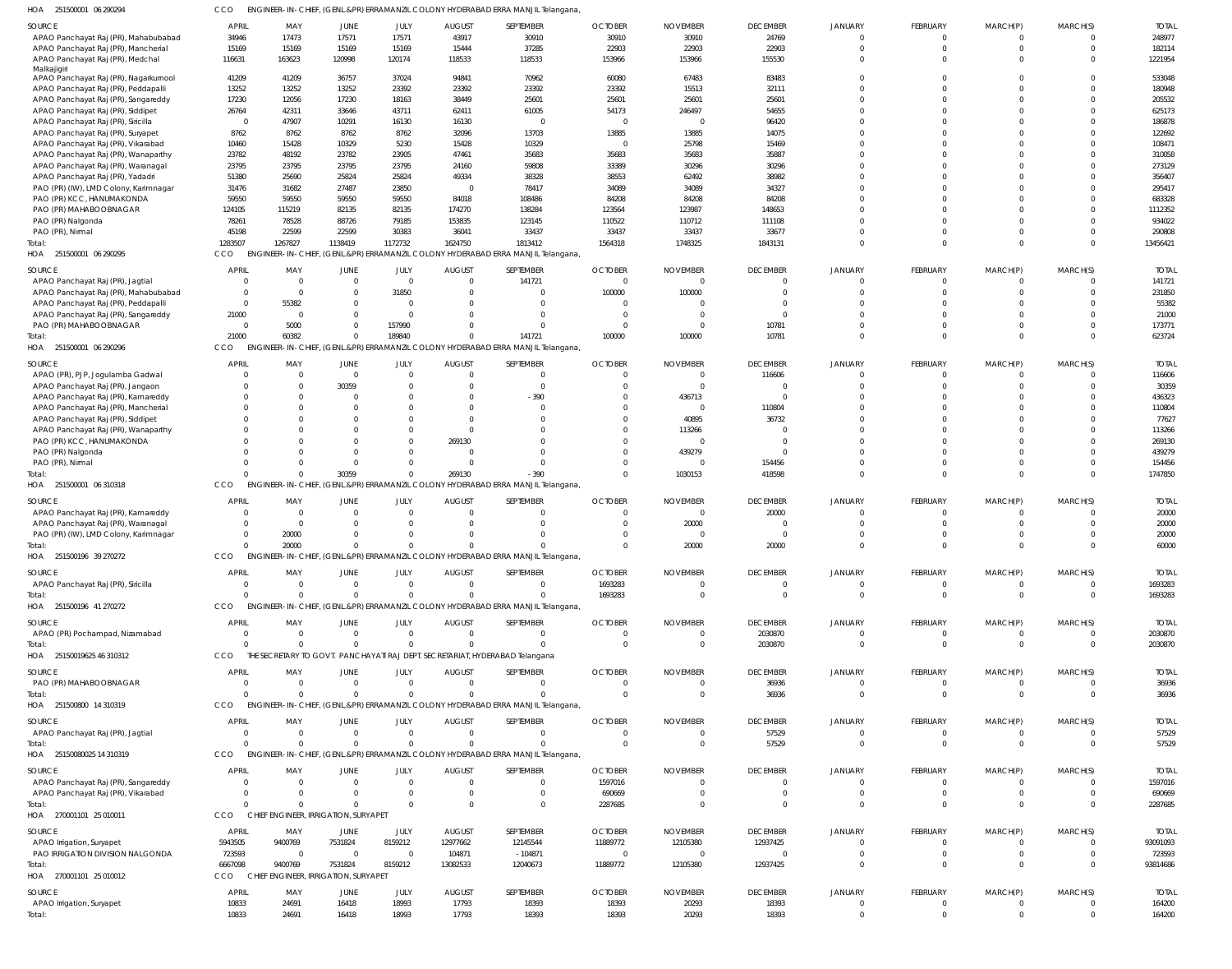| HOA 251500001 06 290294 | CCO ENGINEER-IN-CHIEF, (GENL.&PR) ERRAMANZIL COLONY HYDERABAD ERRA MANJIL Telangana, |
|-------------------------|--------------------------------------------------------------------------------------|

| SOURCE                                | <b>APRIL</b>   | MAY                                  | JUNE           | JULY           | <b>AUGUST</b>  | SEPTEMBER                                                                        | <b>OCTOBER</b> | <b>NOVEMBER</b>         | <b>DECEMBER</b> | <b>JANUARY</b> | FEBRUARY        | MARCH(P) | MARCH(S)     | <b>TOTAL</b>     |
|---------------------------------------|----------------|--------------------------------------|----------------|----------------|----------------|----------------------------------------------------------------------------------|----------------|-------------------------|-----------------|----------------|-----------------|----------|--------------|------------------|
| APAO Panchayat Raj (PR), Mahabubabad  | 34946          | 17473                                | 17571          | 17571          | 43917          | 30910                                                                            | 30910          | 30910                   | 24769           | $\Omega$       |                 |          |              | 248977           |
| APAO Panchayat Raj (PR), Mancherial   | 15169          | 15169                                | 15169          | 15169          | 15444          | 37285                                                                            | 22903          | 22903                   | 22903           | $\Omega$       |                 |          | $\Omega$     | 182114           |
| APAO Panchayat Raj (PR), Medchal      | 116631         | 163623                               | 120998         | 120174         | 118533         | 118533                                                                           | 153966         | 153966                  | 155530          | $\Omega$       |                 |          | $\Omega$     | 1221954          |
| Malkajigiri                           |                |                                      |                |                |                |                                                                                  |                |                         |                 |                |                 |          |              |                  |
| APAO Panchayat Raj (PR), Nagarkurnool | 41209          | 41209                                | 36757          | 37024          | 94841          | 70962                                                                            | 60080          | 67483                   | 83483           | $\Omega$       |                 |          |              | 533048           |
| APAO Panchayat Raj (PR), Peddapalli   | 13252          | 13252                                | 13252          | 23392          | 23392          | 23392                                                                            | 23392          | 15513                   | 32111           | $\Omega$       |                 |          |              | 180948           |
| APAO Panchayat Raj (PR), Sangareddy   | 17230          | 12056                                | 17230          | 18163          | 38449          | 25601                                                                            | 25601          | 25601                   | 25601           | $\Omega$       |                 |          |              | 205532           |
| APAO Panchayat Raj (PR), Siddipet     | 26764          | 42311                                | 33646          | 43711          | 62411          | 61005                                                                            | 54173          | 246497                  | 54655           | $\Omega$       |                 |          |              | 625173           |
| APAO Panchayat Raj (PR), Siricilla    | $\Omega$       | 47907                                | 10291          | 16130          | 16130          | $\sqrt{ }$                                                                       | $\overline{0}$ | $\overline{\mathbf{0}}$ | 96420           | $\Omega$       |                 |          |              | 186878           |
| APAO Panchayat Raj (PR), Suryapet     | 8762           | 8762                                 | 8762           | 8762           | 32096          | 13703                                                                            | 13885          | 13885                   | 14075           | $\Omega$       |                 |          |              | 122692           |
| APAO Panchayat Raj (PR), Vikarabad    | 10460          | 15428                                | 10329          | 5230           | 15428          | 10329                                                                            | $\overline{0}$ | 25798                   | 15469           | $\Omega$       |                 |          |              | 108471           |
| APAO Panchayat Raj (PR), Wanaparthy   | 23782          | 48192                                | 23782          | 23905          | 47461          | 35683                                                                            | 35683          | 35683                   | 35887           | $\Omega$       |                 |          |              | 310058           |
| APAO Panchayat Raj (PR), Waranagal    | 23795          | 23795                                | 23795          | 23795          | 24160          | 59808                                                                            | 33389          | 30296                   | 30296           | $\Omega$       |                 |          |              | 273129           |
| APAO Panchayat Raj (PR), Yadadri      | 51380          | 25690                                | 25824          | 25824          | 49334          | 38328                                                                            | 38553          | 62492                   | 38982           | $\Omega$       |                 |          |              | 356407           |
| PAO (PR) (IW), LMD Colony, Karimnagar | 31476          | 31682                                | 27487          | 23850          | $\overline{0}$ | 78417                                                                            | 34089          | 34089                   | 34327           | $\Omega$       |                 |          |              | 295417           |
|                                       |                | 59550                                |                |                |                |                                                                                  |                |                         |                 |                |                 |          |              |                  |
| PAO (PR) KCC, HANUMAKONDA             | 59550          |                                      | 59550          | 59550          | 84018          | 108486                                                                           | 84208          | 84208                   | 84208           | $\Omega$       |                 |          |              | 683328           |
| PAO (PR) MAHABOOBNAGAR                | 124105         | 115219                               | 82135          | 82135          | 174270         | 138284                                                                           | 123564         | 123987                  | 148653          | $\Omega$       |                 |          |              | 1112352          |
| PAO (PR) Nalgonda                     | 78261          | 78528                                | 88726          | 79185          | 153835         | 123145                                                                           | 110522         | 110712                  | 111108          | $\Omega$       |                 |          |              | 934022           |
| PAO (PR), Nirmal                      | 45198          | 22599                                | 22599          | 30383          | 36041          | 33437                                                                            | 33437          | 33437                   | 33677           | $\Omega$       |                 |          |              | 290808           |
| lotal:                                | 1283507        | 1267827                              | 1138419        | 1172732        | 1624750        | 1813412                                                                          | 1564318        | 1748325                 | 1843131         | $\Omega$       |                 |          | $\Omega$     | 13456421         |
| HOA 251500001 06 290295               | CCO            | <b>ENGINEER-IN-CHIEF</b>             |                |                |                | (GENL.&PR) ERRAMANZIL COLONY HYDERABAD ERRA MANJIL Telangana,                    |                |                         |                 |                |                 |          |              |                  |
| SOURCE                                | <b>APRIL</b>   | MAY                                  | JUNE           | JULY           | <b>AUGUST</b>  | SEPTEMBER                                                                        | <b>OCTOBER</b> | <b>NOVEMBER</b>         | <b>DECEMBER</b> | <b>JANUARY</b> | FEBRUARY        | MARCH(P) | MARCH(S)     | <b>TOTAL</b>     |
|                                       | $\Omega$       | $\overline{0}$                       | $\overline{0}$ | $\overline{0}$ | $\overline{0}$ | 141721                                                                           | $\overline{0}$ | $\Omega$                | $\mathbf 0$     | $\Omega$       |                 |          | $\Omega$     | 141721           |
| APAO Panchayat Raj (PR), Jagtial      |                |                                      |                |                |                |                                                                                  |                |                         |                 |                | - 0             |          |              |                  |
| APAO Panchayat Raj (PR), Mahabubabad  | $\Omega$       | $\overline{0}$                       | $\overline{0}$ | 31850          | $\Omega$       |                                                                                  | 100000         | 100000                  | $\Omega$        | $\Omega$       |                 |          | $\Omega$     | 231850           |
| APAO Panchayat Raj (PR), Peddapalli   | $\Omega$       | 55382                                | $\Omega$       | $\overline{0}$ | $\Omega$       |                                                                                  | $\Omega$       | $\Omega$                | $\Omega$        | $\Omega$       |                 |          | $\Omega$     | 55382            |
| APAO Panchayat Raj (PR), Sangareddy   | 21000          | $\overline{0}$                       | $\overline{0}$ | $\overline{0}$ | $\Omega$       |                                                                                  | $\overline{0}$ | $\Omega$                | $\Omega$        | $\Omega$       |                 |          | $\Omega$     | 21000            |
| PAO (PR) MAHABOOBNAGAR                | $\Omega$       | 5000                                 | $\overline{0}$ | 157990         |                |                                                                                  | $\overline{0}$ | $\Omega$                | 10781           | $\Omega$       |                 |          | $\Omega$     | 173771           |
| Total:                                | 21000          | 60382                                | $\Omega$       | 189840         | $\Omega$       | 141721                                                                           | 100000         | 100000                  | 10781           | $\Omega$       |                 | $\Omega$ | $\Omega$     | 623724           |
| HOA 251500001 06 290296               | CCO            |                                      |                |                |                | ENGINEER-IN-CHIEF, (GENL.&PR) ERRAMANZIL COLONY HYDERABAD ERRA MANJIL Telangana, |                |                         |                 |                |                 |          |              |                  |
|                                       | APRIL          | MAY                                  |                | JULY           | <b>AUGUST</b>  | SEPTEMBER                                                                        | <b>OCTOBER</b> |                         | <b>DECEMBER</b> |                |                 |          |              | <b>TOTAL</b>     |
| SOURCE                                |                |                                      | JUNE           |                |                |                                                                                  |                | <b>NOVEMBER</b>         |                 | JANUARY        | <b>FEBRUARY</b> | MARCH(P) | MARCH(S)     |                  |
| APAO (PR), PJP, Jogulamba Gadwal      |                | $\overline{0}$                       | $\overline{0}$ | $\overline{0}$ | $\Omega$       |                                                                                  | $\Omega$       | $\Omega$                | 116606          | $\Omega$       |                 |          |              | 116606           |
| APAO Panchayat Raj (PR), Jangaon      |                | $\Omega$                             | 30359          | $\overline{0}$ | $\Omega$       |                                                                                  | $\Omega$       | $\overline{0}$          | $\mathbf 0$     | $\Omega$       |                 |          | $\Omega$     | 30359            |
| APAO Panchayat Raj (PR), Kamareddy    |                | $\Omega$                             | $\Omega$       | $\Omega$       | $\Omega$       | $-390$                                                                           | $\Omega$       | 436713                  | $\Omega$        | $\Omega$       |                 |          |              | 436323           |
| APAO Panchayat Raj (PR), Mancherial   |                |                                      |                | $\Omega$       | $\Omega$       |                                                                                  | $\Omega$       | $\Omega$                | 110804          | $\Omega$       |                 |          |              | 110804           |
| APAO Panchayat Raj (PR), Siddipet     |                | $\Omega$                             |                | $\Omega$       | $\Omega$       |                                                                                  | $\Omega$       | 40895                   | 36732           | $\Omega$       |                 |          |              | 77627            |
| APAO Panchayat Raj (PR), Wanaparthy   |                |                                      |                | $\Omega$       | $\Omega$       |                                                                                  | $\Omega$       | 113266                  | C               | $\Omega$       |                 |          |              | 113266           |
| PAO (PR) KCC, HANUMAKONDA             |                | $\Omega$                             | $\Omega$       | $\Omega$       | 269130         |                                                                                  | $\Omega$       | $\Omega$                | $\Omega$        | $\Omega$       |                 |          |              | 269130           |
| PAO (PR) Nalgonda                     |                |                                      | $\Omega$       | $\Omega$       | $\Omega$       |                                                                                  | $\Omega$       | 439279                  | $\Omega$        | $\Omega$       |                 |          |              | 439279           |
| PAO (PR), Nirmal                      |                | $\Omega$                             | $\Omega$       | $\Omega$       | $\Omega$       |                                                                                  | $\Omega$       | $\Omega$                | 154456          | $\Omega$       |                 |          | $\Omega$     | 154456           |
| lotal:                                |                | $\Omega$                             | 30359          | $\mathbf{0}$   | 269130         | $-390$                                                                           | $\Omega$       | 1030153                 | 418598          | $\Omega$       |                 |          | $\Omega$     | 1747850          |
| HOA 251500001 06 310318               | CCO            | ENGINEER-IN-CHIEF,                   |                |                |                | (GENL.&PR) ERRAMANZIL COLONY HYDERABAD ERRA MANJIL Telangana,                    |                |                         |                 |                |                 |          |              |                  |
|                                       |                |                                      |                |                |                |                                                                                  |                |                         |                 |                |                 |          |              |                  |
|                                       |                |                                      |                |                |                |                                                                                  |                |                         |                 |                |                 |          |              |                  |
| <b>SOURCE</b>                         | <b>APRIL</b>   | MAY                                  | JUNE           | JULY           | <b>AUGUST</b>  | SEPTEMBER                                                                        | <b>OCTOBER</b> | <b>NOVEMBER</b>         | <b>DECEMBER</b> | JANUARY        | FEBRUARY        | MARCH(P) | MARCH(S)     | <b>TOTAL</b>     |
| APAO Panchayat Raj (PR), Kamareddy    | $\Omega$       | $\Omega$                             | $\Omega$       | $\overline{0}$ | $\Omega$       |                                                                                  | $\overline{0}$ | $\overline{0}$          | 20000           | $\Omega$       |                 |          | $\Omega$     | 20000            |
| APAO Panchayat Raj (PR), Waranagal    | $\Omega$       | $\overline{0}$                       | $\Omega$       | $\overline{0}$ | $\Omega$       |                                                                                  | $\Omega$       | 20000                   | $\Omega$        | $\Omega$       |                 | $\Omega$ | $\Omega$     | 20000            |
| PAO (PR) (IW), LMD Colony, Karimnagar | $\Omega$       | 20000                                | $\Omega$       | $\Omega$       | $\Omega$       |                                                                                  | $\overline{0}$ | $\Omega$                | $\overline{0}$  | $\Omega$       |                 |          | $\Omega$     | 20000            |
| lotal:                                | $\Omega$       | 20000                                | $\Omega$       | $\Omega$       | $\Omega$       |                                                                                  | $\Omega$       | 20000                   | 20000           | $\Omega$       |                 |          | $\Omega$     | 60000            |
| HOA 251500196 39 270272               | CCO            |                                      |                |                |                | ENGINEER-IN-CHIEF, (GENL.&PR) ERRAMANZIL COLONY HYDERABAD ERRA MANJIL Telangana, |                |                         |                 |                |                 |          |              |                  |
|                                       |                |                                      |                |                |                |                                                                                  |                |                         |                 |                |                 |          |              |                  |
| SOURCE                                | APRIL          | MAY                                  | <b>JUNE</b>    | JULY           | <b>AUGUST</b>  | SEPTEMBER                                                                        | <b>OCTOBER</b> | <b>NOVEMBER</b>         | <b>DECEMBER</b> | <b>JANUARY</b> | <b>FEBRUARY</b> | MARCH(P) | MARCH(S)     | <b>TOTAL</b>     |
| APAO Panchayat Raj (PR), Siricilla    | $\Omega$       | $\Omega$                             | $\Omega$       | $\overline{0}$ | $\overline{0}$ |                                                                                  | 1693283        | $\overline{0}$          | 0               | - 0            |                 |          | $\Omega$     | 1693283          |
| Total:                                | $\cap$         | $\Omega$                             | $\Omega$       | $\Omega$       | $\Omega$       |                                                                                  | 1693283        | $\Omega$                | $\Omega$        | $\Omega$       | $\Omega$        |          | $\Omega$     | 1693283          |
| HOA 251500196 41 270272               | CCO            |                                      |                |                |                | ENGINEER-IN-CHIEF, (GENL.&PR) ERRAMANZIL COLONY HYDERABAD ERRA MANJIL Telangana, |                |                         |                 |                |                 |          |              |                  |
|                                       |                |                                      |                |                |                |                                                                                  |                |                         |                 |                |                 |          |              |                  |
| SOURCE                                | APRIL          | MAY                                  | <b>JUNE</b>    | JULY           | <b>AUGUST</b>  | SEPTEMBER                                                                        | <b>OCTOBER</b> | <b>NOVEMBER</b>         | <b>DECEMBER</b> | <b>JANUARY</b> | FEBRUARY        | MARCH(P) | MARCH(S)     | <b>TOTAL</b>     |
| APAO (PR) Pochampad, Nizamabad        | $\Omega$       | $\overline{0}$                       | $\overline{0}$ | $\mathbf{0}$   | $\overline{0}$ | $\Omega$                                                                         | $\overline{0}$ | $\overline{0}$          | 2030870         | $\mathbf{0}$   | $\Omega$        |          | $\Omega$     | 2030870          |
| Total:                                | $\Omega$       | $\Omega$                             | $\Omega$       | $\Omega$       | $\Omega$       | $\Omega$                                                                         | $\Omega$       | $\overline{0}$          | 2030870         | $\Omega$       | $\Omega$        | $\Omega$ | $\mathbf 0$  | 2030870          |
| HOA 25150019625 46 310312             | CCO            |                                      |                |                |                | THE SECRETARY TO GOVT. PANCHAYATI RAJ DEPT. SECRETARIAT, HYDERABAD Telangana     |                |                         |                 |                |                 |          |              |                  |
| SOURCE                                | APRIL          | MAY                                  | <b>JUNE</b>    | JULY           | <b>AUGUST</b>  | SEPTEMBER                                                                        | <b>OCTOBER</b> | <b>NOVEMBER</b>         | <b>DECEMBER</b> | JANUARY        | FEBRUARY        | MARCH(P) | MARCH(S)     | <b>TOTAL</b>     |
|                                       |                | $\overline{0}$                       | $\overline{0}$ | $\overline{0}$ | $\overline{0}$ |                                                                                  | $\overline{0}$ | $\overline{0}$          |                 | 0              |                 |          |              |                  |
| PAO (PR) MAHABOOBNAGAR                | $\Omega$       | $\Omega$                             | $\Omega$       | $\overline{0}$ | $\Omega$       |                                                                                  | $\Omega$       | $\overline{0}$          | 36936           | $\Omega$       | $\Omega$        |          | $\Omega$     | 36936            |
| Total:                                |                |                                      |                |                |                |                                                                                  |                |                         | 36936           |                |                 |          |              | 36936            |
| HOA 251500800 14 310319               | CCO            |                                      |                |                |                | ENGINEER-IN-CHIEF, (GENL.&PR) ERRAMANZIL COLONY HYDERABAD ERRA MANJIL Telangana, |                |                         |                 |                |                 |          |              |                  |
| SOURCE                                | <b>APRIL</b>   | MAY                                  | <b>JUNE</b>    | JULY           | <b>AUGUST</b>  | SEPTEMBER                                                                        | <b>OCTOBER</b> | <b>NOVEMBER</b>         | <b>DECEMBER</b> | JANUARY        | <b>FEBRUARY</b> | MARCH(P) | MARCH(S)     | <b>TOTAL</b>     |
| APAO Panchayat Raj (PR), Jagtial      | $\Omega$       | $\overline{0}$                       | $\overline{0}$ | $\mathbf{0}$   | $\overline{0}$ | $\Omega$                                                                         | $\overline{0}$ | $\overline{0}$          | 57529           | $\Omega$       | $\Omega$        | $\Omega$ | $\Omega$     | 57529            |
| Total:                                | $\Omega$       | $\Omega$                             | $\overline{0}$ | $\Omega$       | $\Omega$       |                                                                                  | $\Omega$       | $\overline{0}$          | 57529           | $\Omega$       | $\Omega$        | $\Omega$ | $\mathbf{0}$ | 57529            |
| HOA 25150080025 14 310319             | CCO            |                                      |                |                |                | ENGINEER-IN-CHIEF, (GENL.&PR) ERRAMANZIL COLONY HYDERABAD ERRA MANJIL Telangana, |                |                         |                 |                |                 |          |              |                  |
|                                       |                |                                      |                |                |                |                                                                                  |                |                         |                 |                |                 |          |              |                  |
| SOURCE                                | <b>APRIL</b>   | MAY                                  | JUNE           | JULY           | <b>AUGUST</b>  | SEPTEMBER                                                                        | <b>OCTOBER</b> | <b>NOVEMBER</b>         | <b>DECEMBER</b> | <b>JANUARY</b> | <b>FEBRUARY</b> | MARCH(P) | MARCH(S)     | <b>TOTAL</b>     |
| APAO Panchayat Raj (PR), Sangareddy   |                | $\Omega$                             | $\overline{0}$ | $\overline{0}$ | $\overline{0}$ |                                                                                  | 1597016        | $\overline{0}$          | 0               | $\Omega$       |                 |          | $\Omega$     | 1597016          |
| APAO Panchayat Raj (PR), Vikarabad    | $\Omega$       | $\Omega$                             | $\Omega$       | $\overline{0}$ | $\Omega$       |                                                                                  | 690669         | $\Omega$                | $\Omega$        | $\Omega$       |                 |          |              | 690669           |
| Total:                                | $\cap$         | $\Omega$                             | $\overline{0}$ | $\Omega$       | $\Omega$       |                                                                                  | 2287685        | $\Omega$                | $\Omega$        | $\Omega$       |                 |          | $\Omega$     | 2287685          |
| HOA 270001101 25 010011               | CCO            | CHIEF ENGINEER, IRRIGATION, SURYAPET |                |                |                |                                                                                  |                |                         |                 |                |                 |          |              |                  |
|                                       |                |                                      |                |                |                |                                                                                  |                |                         |                 |                |                 |          |              |                  |
| <b>SOURCE</b>                         | <b>APRIL</b>   | MAY                                  | JUNE           | JULY           | <b>AUGUST</b>  | SEPTEMBER                                                                        | <b>OCTOBER</b> | <b>NOVEMBER</b>         | <b>DECEMBER</b> | JANUARY        | <b>FEBRUARY</b> | MARCH(P) | MARCH(S)     | <b>TOTAL</b>     |
| APAO Irrigation, Suryapet             | 5943505        | 9400769                              | 7531824        | 8159212        | 12977662       | 12145544                                                                         | 11889772       | 12105380                | 12937425        | $\Omega$       |                 |          |              | 93091093         |
| PAO IRRIGATION DIVISION NALGONDA      | 723593         | $\overline{0}$                       | $\overline{0}$ | $\Omega$       | 104871         | $-104871$                                                                        | $\overline{0}$ | $\Omega$                | 0               | $\Omega$       | $\Omega$        | $\Omega$ | $\Omega$     | 723593           |
| Total:                                | 6667098        | 9400769                              | 7531824        | 8159212        | 13082533       | 12040673                                                                         | 11889772       | 12105380                | 12937425        | $\Omega$       |                 | $\Omega$ | $\Omega$     | 93814686         |
| HOA 270001101 25 010012               | CCO            | CHIEF ENGINEER, IRRIGATION, SURYAPET |                |                |                |                                                                                  |                |                         |                 |                |                 |          |              |                  |
| SOURCE                                | APRIL          | MAY                                  | JUNE           | JULY           | <b>AUGUST</b>  | SEPTEMBER                                                                        | <b>OCTOBER</b> | <b>NOVEMBER</b>         | <b>DECEMBER</b> | JANUARY        | FEBRUARY        | MARCH(P) | MARCH(S)     | <b>TOTAL</b>     |
|                                       |                |                                      |                |                |                |                                                                                  |                |                         |                 | 0              |                 |          |              |                  |
| APAO Irrigation, Suryapet<br>Total:   | 10833<br>10833 | 24691<br>24691                       | 16418<br>16418 | 18993<br>18993 | 17793<br>17793 | 18393<br>18393                                                                   | 18393<br>18393 | 20293<br>20293          | 18393<br>18393  | $\overline{0}$ | $\Omega$        |          | $\mathbf{0}$ | 164200<br>164200 |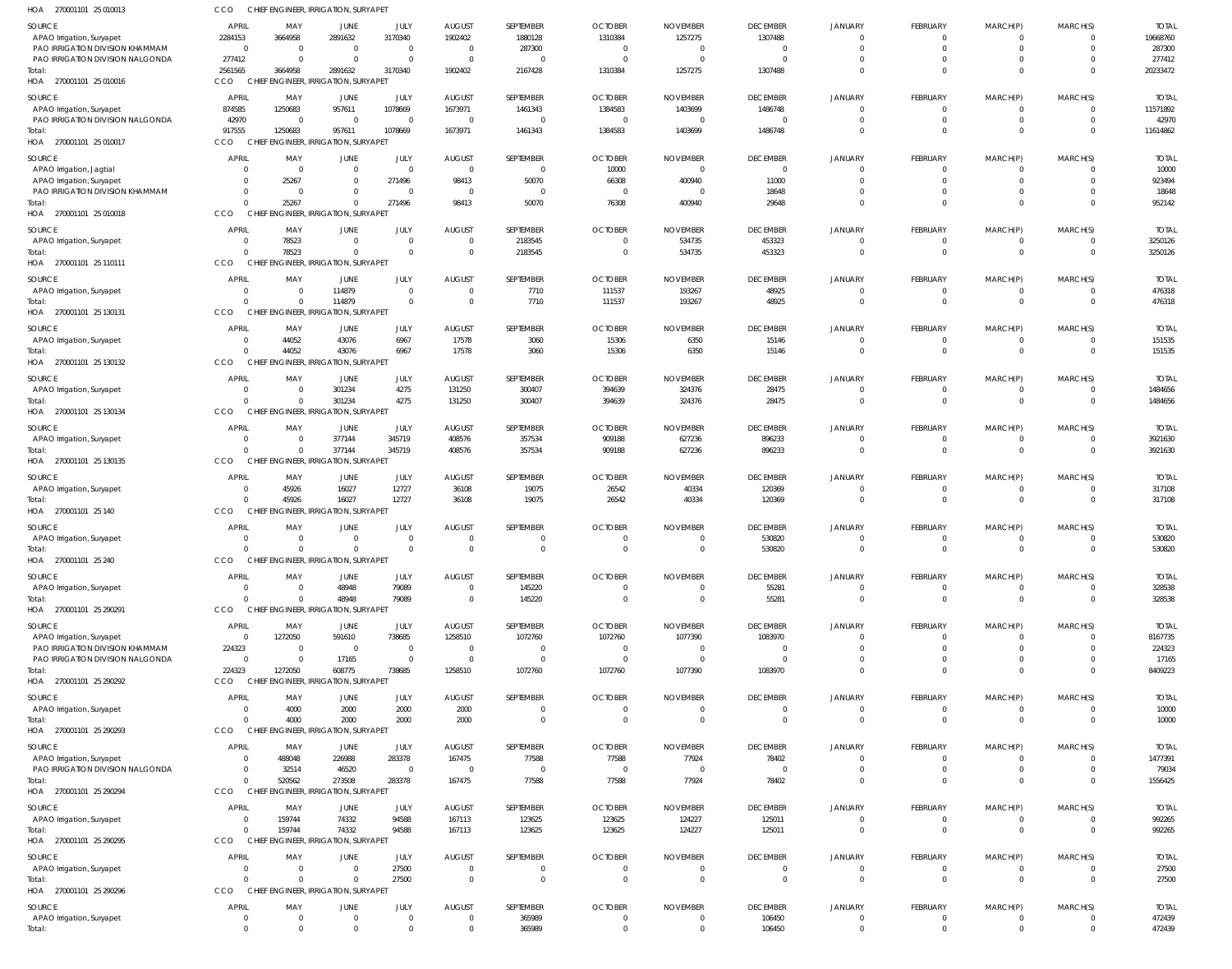| HOA 270001101 25 010013                                       | CCO                              |                      | CHIEF ENGINEER, IRRIGATION, SURYAPE              |                            |                          |                               |                           |                            |                            |                                |                               |                                |                                  |                         |
|---------------------------------------------------------------|----------------------------------|----------------------|--------------------------------------------------|----------------------------|--------------------------|-------------------------------|---------------------------|----------------------------|----------------------------|--------------------------------|-------------------------------|--------------------------------|----------------------------------|-------------------------|
| SOURCE                                                        | APRIL                            | MAY                  | JUNE                                             | JULY                       | <b>AUGUST</b>            | SEPTEMBER                     | <b>OCTOBER</b>            | <b>NOVEMBER</b>            | <b>DECEMBER</b>            | <b>JANUARY</b>                 | FEBRUARY                      | MARCH(P)                       | MARCH(S)                         | <b>TOTAL</b>            |
| APAO Irrigation, Suryapet<br>PAO IRRIGATION DIVISION KHAMMAM  | 2284153<br>$\overline{0}$        | 3664958<br>$\Omega$  | 2891632<br>$\overline{0}$                        | 3170340<br>$\mathbf 0$     | 1902402<br>$\Omega$      | 1880128<br>287300             | 1310384<br>$\Omega$       | 1257275<br>$\Omega$        | 1307488<br>$\mathbf 0$     | $\mathbf{0}$<br>$\mathbf 0$    | $^{\circ}$<br>$\mathbf 0$     | $^{\circ}$<br>$\mathbf 0$      | $\overline{0}$<br>$\overline{0}$ | 19668760<br>287300      |
| PAO IRRIGATION DIVISION NALGONDA                              | 277412                           |                      | $\Omega$                                         | $\Omega$                   | $\Omega$                 | $\overline{0}$                | $\Omega$                  | $\Omega$                   | $\Omega$                   | $\Omega$                       | $\mathbf 0$                   | $\mathbf 0$                    | $\overline{0}$                   | 277412                  |
| Total:<br>HOA 270001101 25 010016                             | 2561565<br>CCO                   | 3664958              | 2891632<br>CHIEF ENGINEER, IRRIGATION, SURYAPET  | 3170340                    | 1902402                  | 2167428                       | 1310384                   | 1257275                    | 1307488                    | $\Omega$                       | $\mathbf 0$                   | $\overline{0}$                 | $\Omega$                         | 20233472                |
| SOURCE                                                        | APRIL                            | MAY                  | JUNE                                             | JULY                       | <b>AUGUST</b>            | SEPTEMBER                     | <b>OCTOBER</b>            | <b>NOVEMBER</b>            | <b>DECEMBER</b>            | <b>JANUARY</b>                 | FEBRUARY                      | MARCH(P)                       | MARCH(S)                         | <b>TOTAL</b>            |
| APAO Irrigation, Suryapet<br>PAO IRRIGATION DIVISION NALGONDA | 874585<br>42970                  | 1250683<br>$\Omega$  | 957611<br>$\overline{0}$                         | 1078669<br>$\mathbf 0$     | 1673971<br>$\Omega$      | 1461343<br>$\overline{0}$     | 1384583<br>- 0            | 1403699<br>$\Omega$        | 1486748<br>$\mathbf 0$     | $\mathbf{0}$<br>$\Omega$       | $\mathbf{0}$<br>$\mathbf 0$   | $\mathbf 0$<br>$\mathbf{0}$    | $\overline{0}$<br>$\overline{0}$ | 11571892<br>42970       |
| Total:<br>HOA 270001101 25 010017                             | 917555<br><b>CCO</b>             | 1250683              | 957611<br>CHIEF ENGINEER, IRRIGATION, SURYAPET   | 1078669                    | 1673971                  | 1461343                       | 1384583                   | 1403699                    | 1486748                    | $\Omega$                       | $\mathbf 0$                   | $\overline{0}$                 | $\Omega$                         | 11614862                |
| SOURCE                                                        | <b>APRIL</b>                     | MAY                  | JUNE                                             | JULY                       | <b>AUGUST</b>            | SEPTEMBER                     | <b>OCTOBER</b>            | <b>NOVEMBER</b>            | <b>DECEMBER</b>            | <b>JANUARY</b>                 | FEBRUARY                      | MARCH(P)                       | MARCH(S)                         | <b>TOTAL</b>            |
| APAO Irrigation, Jagtial<br>APAO Irrigation, Suryapet         | $\overline{0}$<br>$\overline{0}$ | $\Omega$<br>25267    | - 0<br>$\Omega$                                  | $\mathbf 0$<br>271496      | $\Omega$<br>98413        | $\overline{0}$<br>50070       | 10000<br>66308            | $\Omega$<br>400940         | $\mathbf{0}$<br>11000      | $\Omega$<br>$\mathbf 0$        | $^{\circ}$<br>$\mathbf 0$     | $\overline{0}$<br>$\mathbf 0$  | $\overline{0}$<br>$\overline{0}$ | 10000<br>923494         |
| PAO IRRIGATION DIVISION KHAMMAM                               | $\overline{0}$                   | $\Omega$             | $\mathbf{0}$                                     | $\mathbf 0$                | $\Omega$                 | $\overline{0}$                | $\overline{0}$            | $\Omega$                   | 18648                      | $\Omega$                       | $\mathbf 0$                   | $\mathbf 0$                    | $\overline{0}$                   | 18648                   |
| Total:<br>HOA 270001101 25 010018                             | $\Omega$<br>CCO                  | 25267                | $\Omega$<br>CHIEF ENGINEER, IRRIGATION, SURYAPE  | 271496                     | 98413                    | 50070                         | 76308                     | 400940                     | 29648                      | $\Omega$                       | $\mathbf 0$                   | $\mathbf{0}$                   | $\Omega$                         | 952142                  |
| SOURCE                                                        | <b>APRIL</b>                     | MAY                  | JUNE                                             | JULY                       | <b>AUGUST</b>            | SEPTEMBER                     | <b>OCTOBER</b>            | <b>NOVEMBER</b>            | <b>DECEMBER</b>            | <b>JANUARY</b>                 | FEBRUARY                      | MARCH(P)                       | MARCH(S)                         | <b>TOTAL</b>            |
| APAO Irrigation, Suryapet                                     | $\overline{0}$                   | 78523                | $\overline{0}$                                   | $\mathbf 0$                | $\Omega$                 | 2183545                       | $\Omega$                  | 534735                     | 453323                     | $\mathbf{0}$                   | $\mathbf{0}$                  | $\mathbf 0$                    | $\overline{0}$                   | 3250126                 |
| Total:<br>HOA 270001101 25 110111                             | $\mathsf{C}$<br>CCO              | 78523                | $\Omega$<br>CHIEF ENGINEER, IRRIGATION, SURYAPET | $\mathbf 0$                | $\Omega$                 | 2183545                       | $\Omega$                  | 534735                     | 453323                     | $\Omega$                       | $\overline{0}$                | $\overline{0}$                 | $\overline{0}$                   | 3250126                 |
| SOURCE                                                        | <b>APRIL</b>                     | MAY                  | JUNE                                             | JULY                       | <b>AUGUST</b>            | SEPTEMBER                     | <b>OCTOBER</b>            | <b>NOVEMBER</b>            | <b>DECEMBER</b>            | <b>JANUARY</b>                 | FEBRUARY                      | MARCH(P)                       | MARCH(S)                         | <b>TOTAL</b>            |
| APAO Irrigation, Suryapet                                     | $\overline{0}$                   | $\Omega$             | 114879                                           | $\mathbf 0$                | $\Omega$                 | 7710                          | 111537                    | 193267                     | 48925                      | $\Omega$                       | $^{\circ}$                    | 0                              | $\overline{0}$                   | 476318                  |
| Total:<br>HOA 270001101 25 130131                             | $\Omega$<br>CCO                  | $\Omega$             | 114879<br>CHIEF ENGINEER, IRRIGATION, SURYAPET   | $\mathbf 0$                | $\Omega$                 | 7710                          | 111537                    | 193267                     | 48925                      | $\Omega$                       | $\mathbf{0}$                  | $\overline{0}$                 | $\overline{0}$                   | 476318                  |
| SOURCE                                                        | <b>APRIL</b>                     | MAY                  | JUNE                                             | JULY                       | <b>AUGUST</b>            | SEPTEMBER                     | <b>OCTOBER</b>            | <b>NOVEMBER</b>            | <b>DECEMBER</b>            | <b>JANUARY</b>                 | FEBRUARY                      | MARCH(P)                       | MARCH(S)                         | <b>TOTAL</b>            |
| APAO Irrigation, Suryapet                                     | $\overline{0}$                   | 44052                | 43076                                            | 6967                       | 17578                    | 3060                          | 15306                     | 6350                       | 15146                      | $\mathbf{0}$                   | $\mathbf{0}$                  | $\mathbf{0}$                   | $\overline{0}$                   | 151535                  |
| Total:<br>HOA 270001101 25 130132                             | $\Omega$<br>CCO                  | 44052                | 43076<br>CHIEF ENGINEER, IRRIGATION, SURYAPET    | 6967                       | 17578                    | 3060                          | 15306                     | 6350                       | 15146                      | $\Omega$                       | $\overline{0}$                | $\overline{0}$                 | $\overline{0}$                   | 151535                  |
| SOURCE                                                        | <b>APRIL</b>                     | MAY                  | JUNE                                             | JULY                       | <b>AUGUST</b>            | SEPTEMBER                     | <b>OCTOBER</b>            | <b>NOVEMBER</b>            | <b>DECEMBER</b>            | <b>JANUARY</b>                 | FEBRUARY                      | MARCH(P)                       | MARCH(S)                         | <b>TOTAL</b>            |
| APAO Irrigation, Suryapet<br>Total:                           | $\overline{0}$<br>$\Omega$       | $\Omega$             | 301234<br>301234                                 | 4275<br>4275               | 131250<br>131250         | 300407<br>300407              | 394639<br>394639          | 324376<br>324376           | 28475<br>28475             | $\mathbf{0}$<br>$\Omega$       | $\mathbf{0}$<br>$\mathbf{0}$  | $\mathbf{0}$<br>$\overline{0}$ | $\overline{0}$<br>$\overline{0}$ | 1484656<br>1484656      |
| HOA 270001101 25 130134                                       | CCO                              |                      | CHIEF ENGINEER, IRRIGATION, SURYAPET             |                            |                          |                               |                           |                            |                            |                                |                               |                                |                                  |                         |
| SOURCE                                                        | <b>APRIL</b><br>$\overline{0}$   | MAY                  | JUNE<br>377144                                   | JULY<br>345719             | <b>AUGUST</b><br>408576  | SEPTEMBER<br>357534           | <b>OCTOBER</b><br>909188  | <b>NOVEMBER</b><br>627236  | <b>DECEMBER</b><br>896233  | <b>JANUARY</b><br>$\mathbf{0}$ | FEBRUARY<br>$\mathbf{0}$      | MARCH(P)<br>$\mathbf{0}$       | MARCH(S)<br>$\overline{0}$       | <b>TOTAL</b><br>3921630 |
| APAO Irrigation, Suryapet<br>Total:                           | $\Omega$                         |                      | 377144                                           | 345719                     | 408576                   | 357534                        | 909188                    | 627236                     | 896233                     | $\Omega$                       | $\mathbf{0}$                  | $\overline{0}$                 | $\overline{0}$                   | 3921630                 |
| HOA 270001101 25 130135                                       | CCO                              |                      | CHIEF ENGINEER, IRRIGATION, SURYAPET             |                            |                          |                               |                           |                            |                            |                                |                               |                                |                                  |                         |
| SOURCE                                                        | <b>APRIL</b>                     | MAY                  | JUNE                                             | JULY                       | <b>AUGUST</b>            | SEPTEMBER                     | <b>OCTOBER</b>            | <b>NOVEMBER</b>            | <b>DECEMBER</b>            | <b>JANUARY</b>                 | FEBRUARY                      | MARCH(P)                       | MARCH(S)                         | <b>TOTAL</b>            |
| APAO Irrigation, Suryapet<br>Total:                           | $\overline{0}$<br>$\Omega$       | 45926<br>45926       | 16027<br>16027                                   | 12727<br>12727             | 36108<br>36108           | 19075<br>19075                | 26542<br>26542            | 40334<br>40334             | 120369<br>120369           | 0<br>$\Omega$                  | 0<br>$\mathbf{0}$             | 0<br>$\overline{0}$            | $\overline{0}$<br>$\overline{0}$ | 317108<br>317108        |
| HOA 270001101 25 140                                          | CCO                              |                      | CHIEF ENGINEER, IRRIGATION, SURYAPE              |                            |                          |                               |                           |                            |                            |                                |                               |                                |                                  |                         |
| SOURCE                                                        | <b>APRIL</b>                     | MAY                  | JUNE                                             | JULY                       | <b>AUGUST</b>            | SEPTEMBER                     | <b>OCTOBER</b>            | <b>NOVEMBER</b>            | <b>DECEMBER</b>            | <b>JANUARY</b>                 | FEBRUARY                      | MARCH(P)                       | MARCH(S)                         | <b>TOTAL</b>            |
| APAO Irrigation, Suryapet<br>Total:                           | C<br>$\overline{0}$              | $\Omega$             | 0<br>$\Omega$                                    | $\mathbf 0$<br>$\mathbf 0$ | $\Omega$<br>$\Omega$     | $\mathbf 0$<br>$\mathbf 0$    | - 0<br>$\Omega$           | $\Omega$                   | 530820<br>530820           | $\mathbf 0$<br>$\Omega$        | $\mathbf 0$<br>$\overline{0}$ | 0<br>$\overline{0}$            | $\Omega$<br>$\Omega$             | 530820<br>530820        |
| HOA 270001101 25 240                                          | CCO                              |                      | CHIEF ENGINEER, IRRIGATION, SURYAPET             |                            |                          |                               |                           |                            |                            |                                |                               |                                |                                  |                         |
| SOURCE                                                        | <b>APRIL</b>                     | MAY                  | <b>JUNE</b>                                      | JULY                       | <b>AUGUST</b>            | SEPTEMBER                     | <b>OCTOBER</b>            | <b>NOVEMBER</b>            | <b>DECEMBER</b>            | <b>JANUARY</b>                 | FEBRUARY                      | MARCH(P)                       | MARCH(S)                         | <b>TOTAL</b>            |
| APAO Irrigation, Suryapet<br>Total:                           | $\overline{0}$<br>$\Omega$       | $\Omega$<br>$\Omega$ | 48948<br>48948                                   | 79089<br>79089             | $\Omega$<br>$\Omega$     | 145220<br>145220              | $\Omega$<br>$\Omega$      | $\Omega$<br>$\Omega$       | 55281<br>55281             | $\mathbf 0$<br>$\mathbf 0$     | $^{\circ}$<br>$\overline{0}$  | $^{\circ}$<br>$\mathbf 0$      | $\overline{0}$<br>$\overline{0}$ | 328538<br>328538        |
| HOA 270001101 25 290291                                       | CCO                              |                      | CHIEF ENGINEER, IRRIGATION, SURYAPE              |                            |                          |                               |                           |                            |                            |                                |                               |                                |                                  |                         |
| SOURCE<br>APAO Irrigation, Suryapet                           | APRIL<br>$\overline{0}$          | MAY<br>1272050       | JUNE<br>591610                                   | JULY<br>738685             | <b>AUGUST</b><br>1258510 | SEPTEMBER<br>1072760          | <b>OCTOBER</b><br>1072760 | <b>NOVEMBER</b><br>1077390 | <b>DECEMBER</b><br>1083970 | <b>JANUARY</b><br>$\mathbf 0$  | FEBRUARY<br>$\mathbf 0$       | MARCH(P)<br>$\mathbf 0$        | MARCH(S)<br>$\overline{0}$       | <b>TOTAL</b><br>8167735 |
| PAO IRRIGATION DIVISION KHAMMAM                               | 224323                           |                      | $\overline{0}$                                   | $\mathbf 0$                | - 0                      | $\overline{0}$                |                           |                            | $\Omega$                   |                                | $\mathbf 0$                   | $\mathbf 0$                    | $\Omega$                         | 224323                  |
| PAO IRRIGATION DIVISION NALGONDA<br>Total:                    | $\overline{0}$<br>224323         | - 0<br>1272050       | 17165<br>608775                                  | $\mathbf 0$<br>738685      | $\Omega$<br>1258510      | $\mathbf 0$<br>1072760        | $\Omega$<br>1072760       | $\Omega$<br>1077390        | $\overline{0}$<br>1083970  | $\Omega$<br>$\Omega$           | $\mathbf 0$<br>$\mathbf 0$    | $\mathbf 0$<br>$\overline{0}$  | $\Omega$<br>$\Omega$             | 17165<br>8409223        |
| HOA 270001101 25 290292                                       | CCO                              |                      | CHIEF ENGINEER, IRRIGATION, SURYAPET             |                            |                          |                               |                           |                            |                            |                                |                               |                                |                                  |                         |
| SOURCE                                                        | <b>APRIL</b>                     | MAY                  | JUNE                                             | JULY                       | <b>AUGUST</b>            | SEPTEMBER                     | <b>OCTOBER</b>            | <b>NOVEMBER</b>            | <b>DECEMBER</b>            | <b>JANUARY</b>                 | FEBRUARY                      | MARCH(P)                       | MARCH(S)                         | <b>TOTAL</b>            |
| APAO Irrigation, Suryapet<br>Total:                           | C<br>$\Omega$                    | 4000<br>4000         | 2000<br>2000                                     | 2000<br>2000               | 2000<br>2000             | $\mathbf 0$<br>$\mathbf 0$    | - 0<br>$\Omega$           | $\Omega$<br>$\Omega$       | $\mathbf 0$<br>$\mathbf 0$ | 0<br>$\Omega$                  | $^{\circ}$<br>$\mathbf{0}$    | 0<br>$\overline{0}$            | $\overline{0}$<br>$\overline{0}$ | 10000<br>10000          |
| HOA 270001101 25 290293                                       | CCO                              |                      | CHIEF ENGINEER, IRRIGATION, SURYAPET             |                            |                          |                               |                           |                            |                            |                                |                               |                                |                                  |                         |
| SOURCE                                                        | <b>APRIL</b>                     | MAY                  | <b>JUNE</b>                                      | JULY                       | <b>AUGUST</b>            | SEPTEMBER                     | <b>OCTOBER</b>            | <b>NOVEMBER</b>            | <b>DECEMBER</b>            | <b>JANUARY</b>                 | FEBRUARY                      | MARCH(P)                       | MARCH(S)                         | <b>TOTAL</b>            |
| APAO Irrigation, Suryapet<br>PAO IRRIGATION DIVISION NALGONDA | $\overline{0}$<br>$\overline{0}$ | 488048<br>32514      | 226988<br>46520                                  | 283378<br>$\mathbf 0$      | 167475<br>$\Omega$       | 77588<br>$\mathbf 0$          | 77588<br>$\overline{0}$   | 77924<br>$\overline{0}$    | 78402<br>$\mathbf 0$       | 0<br>$\Omega$                  | $\mathbf 0$<br>$\mathbf 0$    | 0<br>$\mathbf 0$               | $\overline{0}$<br>$\overline{0}$ | 1477391<br>79034        |
| Total:                                                        | $\Omega$                         | 520562               | 273508                                           | 283378                     | 167475                   | 77588                         | 77588                     | 77924                      | 78402                      | $\Omega$                       | $\overline{0}$                | $\overline{0}$                 | $\Omega$                         | 1556425                 |
| HOA 270001101 25 290294                                       | CCO                              |                      | CHIEF ENGINEER, IRRIGATION, SURYAPET             |                            |                          |                               |                           |                            |                            |                                |                               |                                |                                  |                         |
| SOURCE<br>APAO Irrigation, Suryapet                           | <b>APRIL</b><br>$\overline{0}$   | MAY<br>159744        | JUNE<br>74332                                    | JULY<br>94588              | <b>AUGUST</b><br>167113  | SEPTEMBER<br>123625           | <b>OCTOBER</b><br>123625  | <b>NOVEMBER</b><br>124227  | <b>DECEMBER</b><br>125011  | <b>JANUARY</b><br>$\Omega$     | FEBRUARY<br>$^{\circ}$        | MARCH(P)<br>0                  | MARCH(S)<br>$\overline{0}$       | <b>TOTAL</b><br>992265  |
| Total:                                                        | $\overline{0}$                   | 159744               | 74332                                            | 94588                      | 167113                   | 123625                        | 123625                    | 124227                     | 125011                     | $\Omega$                       | $\mathbf{0}$                  | $\overline{0}$                 | $\overline{0}$                   | 992265                  |
| HOA 270001101 25 290295                                       | CCO                              |                      | CHIEF ENGINEER, IRRIGATION, SURYAPET             |                            |                          |                               |                           |                            |                            |                                |                               |                                |                                  |                         |
| SOURCE                                                        | <b>APRIL</b>                     | MAY                  | JUNE                                             | JULY                       | <b>AUGUST</b>            | SEPTEMBER                     | <b>OCTOBER</b>            | <b>NOVEMBER</b>            | <b>DECEMBER</b>            | <b>JANUARY</b>                 | FEBRUARY                      | MARCH(P)                       | MARCH(S)                         | <b>TOTAL</b>            |
| APAO Irrigation, Suryapet<br>Total:                           | $\mathbf{0}$<br>$\Omega$         |                      | 0<br>$\Omega$                                    | 27500<br>27500             | $\Omega$<br>$\Omega$     | $\overline{0}$<br>$\mathbf 0$ | - 0<br>$\Omega$           | $\Omega$                   | 0<br>$\mathbf 0$           | 0<br>$\mathbf 0$               | $\mathbf 0$<br>$\overline{0}$ | 0<br>$\overline{0}$            | $\overline{0}$<br>$\overline{0}$ | 27500<br>27500          |
| HOA 270001101 25 290296                                       | CCO                              |                      | CHIEF ENGINEER, IRRIGATION, SURYAPET             |                            |                          |                               |                           |                            |                            |                                |                               |                                |                                  |                         |
| SOURCE                                                        | <b>APRIL</b>                     | MAY                  | JUNE                                             | JULY                       | <b>AUGUST</b>            | SEPTEMBER                     | <b>OCTOBER</b>            | <b>NOVEMBER</b>            | <b>DECEMBER</b>            | <b>JANUARY</b>                 | FEBRUARY                      | MARCH(P)                       | MARCH(S)                         | <b>TOTAL</b>            |
| APAO Irrigation, Suryapet<br>Total:                           | $\overline{0}$<br>$\Omega$       | $\Omega$<br>$\Omega$ | $\mathbf{0}$<br>$\Omega$                         | $\mathbf 0$<br>$\mathbf 0$ | $\Omega$<br>$\Omega$     | 365989<br>365989              | $\Omega$<br>$\Omega$      | $\Omega$<br>$\Omega$       | 106450<br>106450           | $\mathbf 0$<br>$\mathbf 0$     | $\mathbf 0$<br>$\mathbf 0$    | $\mathbf 0$<br>$\mathbf 0$     | $\overline{0}$<br>$\overline{0}$ | 472439<br>472439        |
|                                                               |                                  |                      |                                                  |                            |                          |                               |                           |                            |                            |                                |                               |                                |                                  |                         |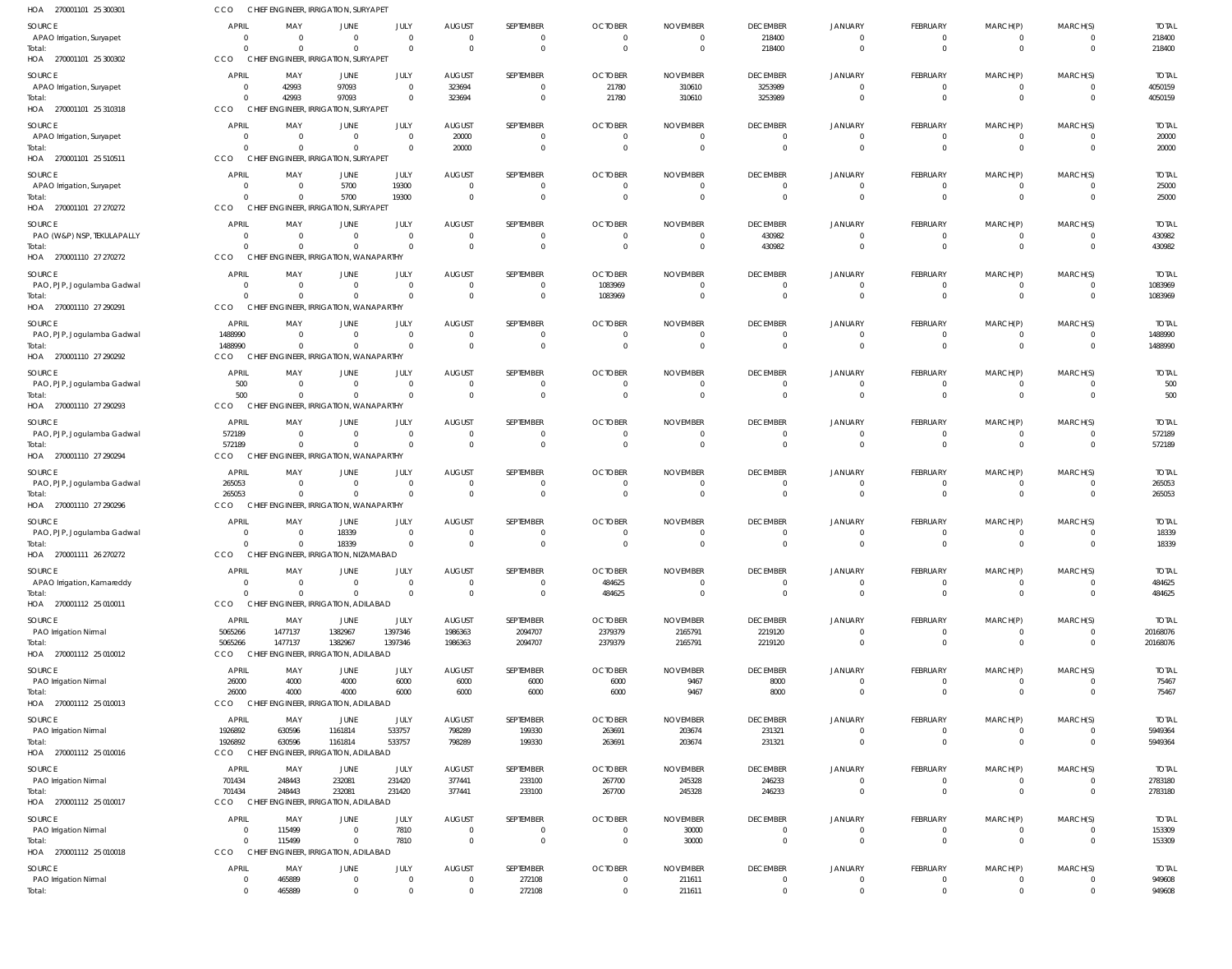| HOA 270001101 25 300301                                                  | CCO                                                     |                                         | CHIEF ENGINEER, IRRIGATION, SURYAPET                               |                                          |                                             |                                             |                                                    |                                                     |                                                     |                                                    |                                                |                                        |                                         |                                      |
|--------------------------------------------------------------------------|---------------------------------------------------------|-----------------------------------------|--------------------------------------------------------------------|------------------------------------------|---------------------------------------------|---------------------------------------------|----------------------------------------------------|-----------------------------------------------------|-----------------------------------------------------|----------------------------------------------------|------------------------------------------------|----------------------------------------|-----------------------------------------|--------------------------------------|
| SOURCE<br>APAO Irrigation, Suryapet<br>Total:                            | <b>APRIL</b><br>$\overline{0}$<br>$\Omega$              | MAY<br>$\overline{0}$<br>$\Omega$       | JUNE<br>$\Omega$<br>$\Omega$                                       | JULY<br>$\overline{0}$<br>$\overline{0}$ | <b>AUGUST</b><br>$\overline{0}$<br>$\Omega$ | SEPTEMBER<br>$\mathbf{0}$<br>$\mathbf 0$    | <b>OCTOBER</b><br>$\mathbf{0}$<br>$\Omega$         | <b>NOVEMBER</b><br>$\overline{0}$<br>$\overline{0}$ | <b>DECEMBER</b><br>218400<br>218400                 | <b>JANUARY</b><br>$\overline{0}$<br>$\Omega$       | <b>FEBRUARY</b><br>0<br>$\mathbf 0$            | MARCH(P)<br>0<br>$\mathbf 0$           | MARCH(S)<br>$\Omega$<br>$\Omega$        | <b>TOTAL</b><br>218400<br>218400     |
| HOA 270001101 25 300302                                                  | CCO                                                     |                                         | CHIEF ENGINEER, IRRIGATION, SURYAPET                               |                                          |                                             |                                             |                                                    |                                                     |                                                     |                                                    |                                                |                                        |                                         |                                      |
| SOURCE<br>APAO Irrigation, Suryapet<br>Total:<br>HOA 270001101 25 310318 | <b>APRIL</b><br>$\overline{0}$<br>$\overline{0}$<br>CCO | MAY<br>42993<br>42993                   | JUNE<br>97093<br>97093<br>CHIEF ENGINEER, IRRIGATION, SURYAPET     | JULY<br>$\Omega$<br>$\mathbf 0$          | <b>AUGUST</b><br>323694<br>323694           | SEPTEMBER<br>$\mathbf{0}$<br>$\mathbf 0$    | <b>OCTOBER</b><br>21780<br>21780                   | <b>NOVEMBER</b><br>310610<br>310610                 | <b>DECEMBER</b><br>3253989<br>3253989               | <b>JANUARY</b><br>$\Omega$                         | <b>FEBRUARY</b><br>0<br>$\mathbf 0$            | MARCH(P)<br>0<br>$\mathbf 0$           | MARCH(S)<br>$\Omega$                    | <b>TOTAL</b><br>4050159<br>4050159   |
| SOURCE<br>APAO Irrigation, Suryapet<br>Total:                            | <b>APRIL</b><br>$\overline{0}$<br>$\Omega$              | MAY<br>$\overline{0}$<br>$\Omega$       | JUNE<br>$\Omega$<br>$\Omega$                                       | JULY<br>$\overline{0}$<br>$\overline{0}$ | <b>AUGUST</b><br>20000<br>20000             | SEPTEMBER<br>$\mathbf{0}$<br>$\mathbf 0$    | <b>OCTOBER</b><br>$\overline{0}$<br>$\overline{0}$ | <b>NOVEMBER</b><br>$\overline{0}$<br>$\overline{0}$ | <b>DECEMBER</b><br>$\overline{0}$<br>$\overline{0}$ | <b>JANUARY</b><br>$\Omega$                         | FEBRUARY<br>$\mathbf 0$<br>$\overline{0}$      | MARCH(P)<br>0<br>$\mathbf 0$           | MARCH(S)<br>$\Omega$<br>$\overline{0}$  | <b>TOTAL</b><br>20000<br>20000       |
| HOA 270001101 25 510511<br>SOURCE                                        | CCO<br><b>APRIL</b>                                     | MAY                                     | CHIEF ENGINEER, IRRIGATION, SURYAPET<br>JUNE                       | JULY                                     | <b>AUGUST</b>                               | SEPTEMBER                                   | <b>OCTOBER</b>                                     | <b>NOVEMBER</b>                                     | <b>DECEMBER</b>                                     | <b>JANUARY</b>                                     | <b>FEBRUARY</b>                                | MARCH(P)                               | MARCH(S)                                | <b>TOTAL</b>                         |
| APAO Irrigation, Suryapet<br>Total:<br>HOA 270001101 27 270272           | $\overline{0}$<br>$\Omega$<br>CCO                       | $\overline{0}$<br>$\Omega$              | 5700<br>5700<br>CHIEF ENGINEER, IRRIGATION, SURYAPET               | 19300<br>19300                           | $\Omega$<br>$\Omega$                        | $\mathbf{0}$<br>$\mathbf 0$                 | $\Omega$<br>$\Omega$                               | $\overline{0}$<br>$\overline{0}$                    | $\overline{0}$<br>$\overline{0}$                    | $\Omega$<br>$\Omega$                               | 0<br>$\mathbf 0$                               | 0<br>$\mathbf 0$                       | $\Omega$<br>$\Omega$                    | 25000<br>25000                       |
| SOURCE<br>PAO (W&P) NSP, TEKULAPALLY<br>Total:                           | <b>APRIL</b><br>$\overline{0}$<br>$\Omega$              | MAY<br>$\overline{0}$<br>$\Omega$       | JUNE<br>$\Omega$<br>$\Omega$                                       | JULY<br>$\overline{0}$<br>$\overline{0}$ | <b>AUGUST</b><br>$\Omega$<br>$\Omega$       | SEPTEMBER<br>$\mathbf{0}$<br>$\mathbf 0$    | <b>OCTOBER</b><br>$\Omega$<br>$\Omega$             | <b>NOVEMBER</b><br>$\overline{0}$<br>$\overline{0}$ | <b>DECEMBER</b><br>430982<br>430982                 | <b>JANUARY</b><br>$\Omega$<br>$\Omega$             | <b>FEBRUARY</b><br>0<br>$\mathbf 0$            | MARCH(P)<br>0<br>$\mathbf 0$           | MARCH(S)<br>$\Omega$<br>$\Omega$        | <b>TOTAL</b><br>430982<br>430982     |
| HOA 270001110 27 270272                                                  | CCO                                                     |                                         | CHIEF ENGINEER, IRRIGATION, WANAPARTHY                             |                                          |                                             |                                             |                                                    |                                                     |                                                     |                                                    |                                                |                                        |                                         |                                      |
| SOURCE<br>PAO, PJP, Jogulamba Gadwal<br>Total:                           | <b>APRIL</b><br>$\overline{0}$<br>$\Omega$              | MAY<br>$\overline{0}$<br>$\Omega$       | JUNE<br>$\Omega$<br>$\Omega$                                       | JULY<br>$\overline{0}$<br>$\Omega$       | <b>AUGUST</b><br>$\Omega$<br>$\Omega$       | SEPTEMBER<br>$\mathbf{0}$<br>$\mathbf{0}$   | <b>OCTOBER</b><br>1083969<br>1083969               | <b>NOVEMBER</b><br>$\overline{0}$<br>$\circ$        | <b>DECEMBER</b><br>$\overline{0}$<br>$\overline{0}$ | <b>JANUARY</b>                                     | <b>FEBRUARY</b><br>$\mathbf 0$<br>$\mathbf{0}$ | MARCH(P)<br>0<br>$\mathbf 0$           | MARCH(S)<br>$\Omega$                    | <b>TOTAL</b><br>1083969<br>1083969   |
| HOA 270001110 27 290291                                                  | CCO                                                     |                                         | CHIEF ENGINEER, IRRIGATION, WANAPARTHY                             |                                          |                                             |                                             |                                                    |                                                     |                                                     |                                                    |                                                |                                        |                                         |                                      |
| SOURCE<br>PAO, PJP, Jogulamba Gadwal<br>Total:                           | <b>APRIL</b><br>1488990<br>1488990                      | MAY<br>$\overline{0}$<br>$\Omega$       | JUNE<br>$\Omega$<br>$\Omega$                                       | JULY<br>$\overline{0}$<br>$\Omega$       | <b>AUGUST</b><br>$\Omega$<br>$\Omega$       | SEPTEMBER<br>$\mathbf{0}$<br>$\mathbf{0}$   | <b>OCTOBER</b><br>$\overline{0}$<br>$\Omega$       | <b>NOVEMBER</b><br>- 0<br>$\overline{0}$            | <b>DECEMBER</b><br>$\overline{0}$<br>$\overline{0}$ | <b>JANUARY</b><br>$\Omega$<br>$\Omega$             | <b>FEBRUARY</b><br>0<br>$\mathbf{0}$           | MARCH(P)<br>0<br>$\mathbf 0$           | MARCH(S)<br>$\Omega$                    | <b>TOTAL</b><br>1488990<br>1488990   |
| HOA 270001110 27 290292<br>SOURCE                                        | CCO<br><b>APRIL</b>                                     | MAY                                     | CHIEF ENGINEER, IRRIGATION, WANAPARTHY<br>JUNE                     | JULY                                     | <b>AUGUST</b>                               | SEPTEMBER                                   | <b>OCTOBER</b>                                     | <b>NOVEMBER</b>                                     | <b>DECEMBER</b>                                     | <b>JANUARY</b>                                     | <b>FEBRUARY</b>                                | MARCH(P)                               | MARCH(S)                                | <b>TOTAL</b>                         |
| PAO, PJP, Jogulamba Gadwal<br>Total:<br>HOA 270001110 27 290293          | 500<br>500<br><b>CCO</b>                                | $\Omega$<br>$\Omega$                    | $\Omega$<br>$\Omega$<br>CHIEF ENGINEER, IRRIGATION, WANAPARTHY     | $\overline{0}$<br>$\overline{0}$         | $\Omega$<br>$\Omega$                        | $\mathbf{0}$<br>$\mathbf{0}$                | $\Omega$<br>$\Omega$                               | $\overline{0}$<br>$\Omega$                          | $\overline{0}$<br>$\overline{0}$                    | $\Omega$<br>$\Omega$                               | $\mathbf 0$<br>$\mathbf{0}$                    | 0<br>$\mathbf 0$                       | $\Omega$<br>$\Omega$                    | 500<br>500                           |
| SOURCE                                                                   | <b>APRIL</b>                                            | MAY                                     | JUNE                                                               | JULY                                     | <b>AUGUST</b>                               | SEPTEMBER                                   | <b>OCTOBER</b>                                     | <b>NOVEMBER</b>                                     | <b>DECEMBER</b>                                     | <b>JANUARY</b>                                     | <b>FEBRUARY</b>                                | MARCH(P)                               | MARCH(S)                                | <b>TOTAL</b>                         |
| PAO, PJP, Jogulamba Gadwal<br>Total:<br>HOA 270001110 27 290294          | 572189<br>572189<br>CCO                                 | $\overline{0}$<br>$\Omega$              | $\Omega$<br>$\Omega$<br>CHIEF ENGINEER, IRRIGATION, WANAPARTHY     | $\overline{0}$<br>$\overline{0}$         | $\Omega$<br>$\Omega$                        | $\mathbf{0}$<br>$\mathbf{0}$                | $\overline{0}$<br>$\Omega$                         | $\overline{0}$<br>$\overline{0}$                    | $\overline{0}$<br>$\overline{0}$                    | $\Omega$<br>$\Omega$                               | $\mathbf 0$<br>$\mathbf{0}$                    | 0<br>$\mathbf 0$                       | $\Omega$<br>$\Omega$                    | 572189<br>572189                     |
| SOURCE<br>PAO, PJP, Jogulamba Gadwal<br>Total:                           | <b>APRIL</b><br>265053<br>265053                        | MAY<br>$\overline{0}$<br>$\overline{0}$ | JUNE<br>$\Omega$<br>$\Omega$                                       | JULY<br>$\overline{0}$<br>$\overline{0}$ | <b>AUGUST</b><br>$\Omega$                   | SEPTEMBER<br>0<br>$\mathbf{0}$              | <b>OCTOBER</b><br>$\Omega$<br>$\overline{0}$       | <b>NOVEMBER</b><br>$\Omega$<br>$\overline{0}$       | <b>DECEMBER</b><br>$\overline{0}$<br>$\overline{0}$ | <b>JANUARY</b><br>$\Omega$                         | FEBRUARY<br>0<br>$\mathbf{0}$                  | MARCH(P)<br>0<br>$\mathbf 0$           | MARCH(S)<br>$\Omega$                    | <b>TOTAL</b><br>265053<br>265053     |
| HOA 270001110 27 290296                                                  | <b>CCO</b>                                              |                                         | CHIEF ENGINEER, IRRIGATION, WANAPARTHY                             |                                          |                                             |                                             |                                                    |                                                     |                                                     |                                                    |                                                |                                        |                                         |                                      |
| SOURCE<br>PAO, PJP, Jogulamba Gadwal                                     | <b>APRIL</b><br>- 0                                     | MAY<br>- 0                              | JUNE<br>18339                                                      | JULY<br>$\overline{0}$                   | <b>AUGUST</b><br>$\Omega$                   | SEPTEMBER<br>$\mathbf{0}$                   | <b>OCTOBER</b><br>$\overline{0}$                   | <b>NOVEMBER</b><br>- 0                              | <b>DECEMBER</b><br>$\overline{0}$                   | <b>JANUARY</b>                                     | <b>FEBRUARY</b><br>0                           | MARCH(P)<br>0                          | MARCH(S)                                | <b>TOTAL</b><br>18339                |
| Total:<br>HOA 270001111 26 270272                                        | $\Omega$<br>CCO                                         | $\Omega$                                | 18339<br>CHIEF ENGINEER, IRRIGATION, NIZAMABAD                     | $\overline{0}$                           | $\Omega$                                    | $\mathbf{0}$                                | $\Omega$                                           | $\Omega$                                            | $\Omega$                                            | $\Omega$                                           | $\Omega$                                       | $\Omega$                               | $\Omega$                                | 18339                                |
| SOURCE<br>APAO Irrigation, Kamareddy                                     | <b>APRIL</b><br>$\overline{0}$                          | MAY<br>$\Omega$                         | JUNE<br>$\Omega$                                                   | JULY<br>$\overline{0}$                   | <b>AUGUST</b><br>$\Omega$                   | SEPTEMBER<br>$\mathbf 0$                    | <b>OCTOBER</b><br>484625                           | <b>NOVEMBER</b><br>$\overline{0}$                   | <b>DECEMBER</b><br>$\overline{0}$                   | <b>JANUARY</b><br>$\overline{0}$                   | <b>FEBRUARY</b><br>$\mathbf 0$                 | MARCH(P)<br>$\mathbf 0$                | MARCH(S)<br>$\Omega$                    | <b>TOTAL</b><br>484625               |
| Total:<br>HOA 270001112 25 010011                                        | $\Omega$<br>CCO                                         | $\Omega$                                | $\Omega$<br>CHIEF ENGINEER, IRRIGATION, ADILABAD                   | $\overline{0}$                           | $\Omega$                                    | $\mathbf{0}$                                | 484625                                             | $\overline{0}$                                      | $\overline{0}$                                      | $\Omega$                                           | $\mathbf{0}$                                   | $\mathbf 0$                            | $\Omega$                                | 484625                               |
| SOURCE<br>PAO Irrigation Nirmal<br>Total:<br>HOA 270001112 25 010012     | <b>APRIL</b><br>5065266<br>5065266<br>CCO               | MAY<br>1477137<br>1477137               | JUNE<br>1382967<br>1382967<br>CHIEF ENGINEER, IRRIGATION, ADILABAD | JULY<br>1397346<br>1397346               | <b>AUGUST</b><br>1986363<br>1986363         | SEPTEMBER<br>2094707<br>2094707             | <b>OCTOBER</b><br>2379379<br>2379379               | <b>NOVEMBER</b><br>2165791<br>2165791               | <b>DECEMBER</b><br>2219120<br>2219120               | JANUARY<br>$\overline{0}$<br>$\overline{0}$        | FEBRUARY<br>$\mathbf 0$<br>$\overline{0}$      | MARCH(P)<br>0<br>$\overline{0}$        | MARCH(S)<br>$\mathbf 0$<br>$\mathbf{0}$ | <b>TOTAL</b><br>20168076<br>20168076 |
| SOURCE                                                                   | <b>APRIL</b>                                            | MAY                                     | JUNE                                                               | JULY                                     | <b>AUGUST</b>                               | SEPTEMBER                                   | <b>OCTOBER</b>                                     | <b>NOVEMBER</b>                                     | <b>DECEMBER</b>                                     | <b>JANUARY</b>                                     | <b>FEBRUARY</b>                                | MARCH(P)                               | MARCH(S)                                | <b>TOTAL</b>                         |
| PAO Irrigation Nirmal<br>Total:<br>HOA 270001112 25 010013               | 26000<br>26000<br><b>CCO</b>                            | 4000<br>4000                            | 4000<br>4000<br>CHIEF ENGINEER, IRRIGATION, ADILABAD               | 6000<br>6000                             | 6000<br>6000                                | 6000<br>6000                                | 6000<br>6000                                       | 9467<br>9467                                        | 8000<br>8000                                        | $\mathbf{0}$<br>$\Omega$                           | 0<br>$\mathbf{0}$                              | 0<br>$\mathbf 0$                       | $\Omega$                                | 75467<br>75467                       |
| SOURCE<br>PAO Irrigation Nirmal                                          | APRIL<br>1926892                                        | MAY<br>630596                           | JUNE<br>1161814                                                    | JULY<br>533757                           | <b>AUGUST</b><br>798289                     | SEPTEMBER<br>199330                         | <b>OCTOBER</b><br>263691                           | <b>NOVEMBER</b><br>203674                           | <b>DECEMBER</b><br>231321                           | <b>JANUARY</b><br>$\Omega$                         | FEBRUARY<br>$\mathbf 0$                        | MARCH(P)<br>$\mathbf 0$                | MARCH(S)<br>$\Omega$                    | <b>TOTAL</b><br>5949364              |
| Total:<br>HOA 270001112 25 010016                                        | 1926892<br>CCO                                          | 630596                                  | 1161814<br>CHIEF ENGINEER, IRRIGATION, ADILABAD                    | 533757                                   | 798289                                      | 199330                                      | 263691                                             | 203674                                              | 231321                                              | $\Omega$                                           | $\overline{0}$                                 | $\mathbf 0$                            | $\Omega$                                | 5949364                              |
| SOURCE<br>PAO Irrigation Nirmal<br>Total:                                | APRIL<br>701434<br>701434                               | MAY<br>248443<br>248443                 | JUNE<br>232081<br>232081                                           | JULY<br>231420<br>231420                 | <b>AUGUST</b><br>377441<br>377441           | SEPTEMBER<br>233100<br>233100               | <b>OCTOBER</b><br>267700<br>267700                 | <b>NOVEMBER</b><br>245328<br>245328                 | <b>DECEMBER</b><br>246233<br>246233                 | <b>JANUARY</b><br>$\overline{0}$<br>$\overline{0}$ | FEBRUARY<br>$\mathbf 0$<br>$\mathbf 0$         | MARCH(P)<br>$\mathbf 0$<br>$\mathbf 0$ | MARCH(S)<br>$\Omega$<br>$\Omega$        | <b>TOTAL</b><br>2783180<br>2783180   |
| HOA 270001112 25 010017                                                  | CCO                                                     |                                         | CHIEF ENGINEER, IRRIGATION, ADILABAD                               |                                          |                                             |                                             |                                                    |                                                     |                                                     |                                                    |                                                |                                        |                                         |                                      |
| SOURCE<br>PAO Irrigation Nirmal<br>Total:                                | <b>APRIL</b><br>$\overline{0}$<br>$\overline{0}$        | MAY<br>115499<br>115499                 | <b>JUNE</b><br>$\Omega$<br>$\Omega$                                | JULY<br>7810<br>7810                     | <b>AUGUST</b><br>$\Omega$<br>$\overline{0}$ | SEPTEMBER<br>$\mathbf{0}$<br>$\overline{0}$ | <b>OCTOBER</b><br>$\overline{0}$<br>$\overline{0}$ | <b>NOVEMBER</b><br>30000<br>30000                   | <b>DECEMBER</b><br>$\overline{0}$<br>$\overline{0}$ | <b>JANUARY</b><br>$\overline{0}$<br>$\Omega$       | FEBRUARY<br>$\mathbf 0$<br>$\overline{0}$      | MARCH(P)<br>0<br>$\overline{0}$        | MARCH(S)<br>$\Omega$<br>$\Omega$        | <b>TOTAL</b><br>153309<br>153309     |
| HOA 270001112 25 010018                                                  | CCO                                                     |                                         | CHIEF ENGINEER, IRRIGATION, ADILABAD                               |                                          |                                             |                                             |                                                    |                                                     |                                                     |                                                    |                                                |                                        |                                         |                                      |
| SOURCE<br>PAO Irrigation Nirmal<br>Total:                                | <b>APRIL</b><br>$\overline{0}$<br>$\overline{0}$        | MAY<br>465889<br>465889                 | JUNE<br>$\Omega$<br>$\Omega$                                       | JULY<br>$\mathbf 0$<br>$\mathbf{0}$      | <b>AUGUST</b><br>$\mathbf 0$<br>$\Omega$    | SEPTEMBER<br>272108<br>272108               | <b>OCTOBER</b><br>$^{\circ}$<br>$\mathbf 0$        | <b>NOVEMBER</b><br>211611<br>211611                 | <b>DECEMBER</b><br>$\overline{0}$<br>$\overline{0}$ | <b>JANUARY</b><br>$\overline{0}$<br>$\Omega$       | FEBRUARY<br>0<br>$\mathbf{0}$                  | MARCH(P)<br>0<br>$\mathbf 0$           | MARCH(S)<br>$\Omega$                    | <b>TOTAL</b><br>949608<br>949608     |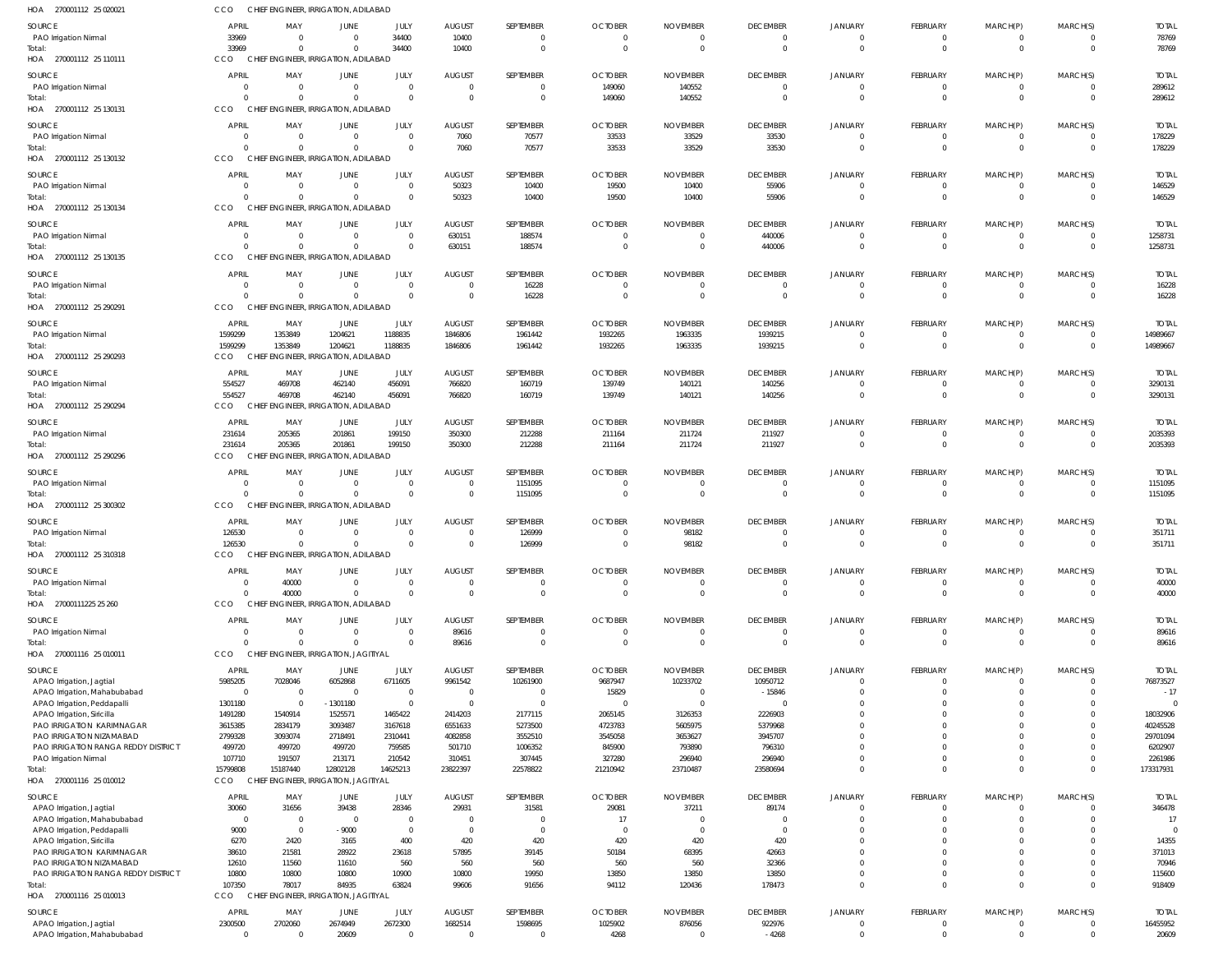| HOA<br>270001112 25 020021                               | CCO                       |                     | CHIEF ENGINEER, IRRIGATION, ADILABAD   |                           |                           |                            |                 |                    |                            |                                  |                               |                              |                                  |                   |
|----------------------------------------------------------|---------------------------|---------------------|----------------------------------------|---------------------------|---------------------------|----------------------------|-----------------|--------------------|----------------------------|----------------------------------|-------------------------------|------------------------------|----------------------------------|-------------------|
| <b>SOURCE</b>                                            | <b>APRIL</b>              | MAY                 | <b>JUNE</b>                            | JULY                      | <b>AUGUST</b>             | SEPTEMBER                  | <b>OCTOBER</b>  | <b>NOVEMBER</b>    | <b>DECEMBER</b>            | JANUARY                          | FEBRUARY                      | MARCH(P)                     | MARCH(S)                         | <b>TOTAL</b>      |
| PAO Irrigation Nirmal                                    | 33969                     | $\Omega$            | $\overline{0}$                         | 34400                     | 10400                     | $\overline{0}$             | $\overline{0}$  | $\Omega$           | $\overline{0}$             | $\overline{0}$                   | $\overline{0}$                | $\mathbf 0$                  | $\overline{\mathbf{0}}$          | 78769             |
| Total:                                                   | 33969                     | $\Omega$            | $\Omega$                               | 34400                     | 10400                     | $\mathbf 0$                | $\Omega$        | $\Omega$           | $\overline{0}$             | $\overline{0}$                   | $\mathbf 0$                   | $\mathbf 0$                  | $\overline{0}$                   | 78769             |
| HOA 270001112 25 110111                                  | CCO                       |                     | CHIEF ENGINEER, IRRIGATION, ADILABAD   |                           |                           |                            |                 |                    |                            |                                  |                               |                              |                                  |                   |
|                                                          |                           |                     |                                        |                           |                           |                            |                 |                    |                            |                                  |                               |                              |                                  |                   |
| SOURCE                                                   | <b>APRIL</b>              | MAY                 | <b>JUNE</b>                            | JULY                      | <b>AUGUST</b>             | SEPTEMBER                  | <b>OCTOBER</b>  | <b>NOVEMBER</b>    | <b>DECEMBER</b>            | JANUARY                          | FEBRUARY                      | MARCH(P)                     | MARCH(S)                         | <b>TOTAL</b>      |
| PAO Irrigation Nirmal                                    | $\overline{0}$            | - 0                 | $\overline{0}$                         | $\overline{0}$            | $\overline{0}$            | $\mathbf 0$                | 149060          | 140552             | $\overline{0}$             | $\overline{0}$                   | $\mathbf 0$                   | $\mathbf 0$                  | $\overline{0}$                   | 289612            |
| Total:                                                   | $\Omega$                  |                     | $\Omega$                               | $\overline{0}$            | $\Omega$                  | $\overline{0}$             | 149060          | 140552             | $\overline{0}$             | $\overline{0}$                   | $\mathbf 0$                   | $\overline{0}$               | $\overline{0}$                   | 289612            |
| HOA 270001112 25 130131                                  | CCO                       |                     | CHIEF ENGINEER, IRRIGATION, ADILABAD   |                           |                           |                            |                 |                    |                            |                                  |                               |                              |                                  |                   |
| SOURCE                                                   | <b>APRIL</b>              | MAY                 | JUNE                                   | JULY                      | <b>AUGUST</b>             | SEPTEMBER                  | <b>OCTOBER</b>  | <b>NOVEMBER</b>    | <b>DECEMBER</b>            | JANUARY                          | FEBRUARY                      | MARCH(P)                     | MARCH(S)                         | <b>TOTAL</b>      |
| PAO Irrigation Nirmal                                    | $\overline{0}$            | $\overline{0}$      | $\overline{0}$                         | $\overline{0}$            | 7060                      | 70577                      | 33533           | 33529              | 33530                      | $\mathbf 0$                      | $\mathbf 0$                   | $^{\circ}$                   | $\overline{0}$                   | 178229            |
| Total:                                                   | $\Omega$                  | $\Omega$            | $\Omega$                               | $\overline{0}$            | 7060                      | 70577                      | 33533           | 33529              | 33530                      | $\overline{0}$                   | $\overline{0}$                | $\overline{0}$               | $\overline{0}$                   | 178229            |
| HOA 270001112 25 130132                                  | CCO                       |                     | CHIEF ENGINEER, IRRIGATION, ADILABAD   |                           |                           |                            |                 |                    |                            |                                  |                               |                              |                                  |                   |
|                                                          |                           |                     |                                        |                           |                           |                            |                 |                    |                            |                                  |                               |                              |                                  |                   |
| SOURCE                                                   | <b>APRIL</b>              | MAY                 | <b>JUNE</b>                            | JULY                      | <b>AUGUST</b>             | SEPTEMBER                  | <b>OCTOBER</b>  | <b>NOVEMBER</b>    | <b>DECEMBER</b>            | JANUARY                          | FEBRUARY                      | MARCH(P)                     | MARCH(S)                         | <b>TOTAL</b>      |
| PAO Irrigation Nirmal                                    | - 0                       | $\Omega$            | $\overline{0}$                         | $\overline{0}$            | 50323                     | 10400                      | 19500           | 10400              | 55906                      | $\mathbf{0}$                     | $\mathbf 0$                   | $\mathbf 0$                  | $\overline{0}$                   | 146529            |
| Total:                                                   | $\Omega$                  | $\cap$              | $\Omega$                               | $\overline{0}$            | 50323                     | 10400                      | 19500           | 10400              | 55906                      | $\overline{0}$                   | $\mathbf 0$                   | $\overline{0}$               | $\overline{0}$                   | 146529            |
| HOA 270001112 25 130134                                  | CCO                       |                     | CHIEF ENGINEER, IRRIGATION, ADILABAD   |                           |                           |                            |                 |                    |                            |                                  |                               |                              |                                  |                   |
| SOURCE                                                   | <b>APRIL</b>              | MAY                 | <b>JUNE</b>                            | JULY                      | <b>AUGUST</b>             | SEPTEMBER                  | <b>OCTOBER</b>  | <b>NOVEMBER</b>    | <b>DECEMBER</b>            | JANUARY                          | FEBRUARY                      | MARCH(P)                     | MARCH(S)                         | <b>TOTAL</b>      |
| PAO Irrigation Nirmal                                    | $\mathbf{0}$              | $\Omega$            | $\overline{0}$                         | $\overline{0}$            | 630151                    | 188574                     | $\Omega$        | $\Omega$           | 440006                     | $\overline{0}$                   | $\overline{0}$                | $\mathbf 0$                  | $\overline{\mathbf{0}}$          | 1258731           |
| Total:                                                   | $\Omega$                  | $\Omega$            | $\Omega$                               | $\overline{0}$            | 630151                    | 188574                     | $\Omega$        | $\Omega$           | 440006                     | $\mathbf 0$                      | $\overline{0}$                | $\mathbf 0$                  | $\overline{0}$                   | 1258731           |
| HOA 270001112 25 130135                                  | CCO                       |                     | CHIEF ENGINEER, IRRIGATION, ADILABAD   |                           |                           |                            |                 |                    |                            |                                  |                               |                              |                                  |                   |
|                                                          |                           |                     |                                        |                           |                           |                            |                 |                    |                            |                                  |                               |                              |                                  |                   |
| SOURCE                                                   | <b>APRIL</b>              | MAY                 | <b>JUNE</b>                            | JULY                      | <b>AUGUST</b>             | SEPTEMBER                  | <b>OCTOBER</b>  | <b>NOVEMBER</b>    | <b>DECEMBER</b>            | JANUARY                          | FEBRUARY                      | MARCH(P)                     | MARCH(S)                         | <b>TOTAL</b>      |
| PAO Irrigation Nirmal                                    | $\circ$                   | $\Omega$            | $\overline{0}$                         | $\overline{0}$            | $\overline{0}$            | 16228                      | $\Omega$        | $\Omega$           | $\overline{0}$             | $\overline{0}$                   | $\mathbf 0$                   | $\mathbf 0$                  | $\overline{0}$                   | 16228             |
| Total:                                                   | $\Omega$                  |                     | $\Omega$                               | $\overline{0}$            | $\mathbf 0$               | 16228                      | $\Omega$        | $\Omega$           | $\overline{0}$             | $\overline{0}$                   | $\mathbf 0$                   | $\overline{0}$               | $\overline{0}$                   | 16228             |
| HOA 270001112 25 290291                                  | CCO                       |                     | CHIEF ENGINEER, IRRIGATION, ADILABAD   |                           |                           |                            |                 |                    |                            |                                  |                               |                              |                                  |                   |
| SOURCE                                                   | <b>APRIL</b>              | MAY                 | <b>JUNE</b>                            | JULY                      | <b>AUGUST</b>             | SEPTEMBER                  | <b>OCTOBER</b>  | <b>NOVEMBER</b>    | <b>DECEMBER</b>            | JANUARY                          | FEBRUARY                      | MARCH(P)                     | MARCH(S)                         | <b>TOTAL</b>      |
| PAO Irrigation Nirmal                                    | 1599299                   | 1353849             | 1204621                                | 1188835                   | 1846806                   | 1961442                    | 1932265         | 1963335            | 1939215                    | $\mathbf{0}$                     | $\overline{0}$                | $^{\circ}$                   | $\overline{0}$                   | 14989667          |
|                                                          | 1599299                   | 1353849             | 1204621                                | 1188835                   | 1846806                   |                            |                 | 1963335            |                            | $\overline{0}$                   | $\overline{0}$                | $\overline{0}$               | $\overline{0}$                   | 14989667          |
| Total:                                                   | CCO                       |                     | CHIEF ENGINEER, IRRIGATION, ADILABAD   |                           |                           | 1961442                    | 1932265         |                    | 1939215                    |                                  |                               |                              |                                  |                   |
| HOA 270001112 25 290293                                  |                           |                     |                                        |                           |                           |                            |                 |                    |                            |                                  |                               |                              |                                  |                   |
| SOURCE                                                   | <b>APRIL</b>              | MAY                 | <b>JUNE</b>                            | JULY                      | <b>AUGUST</b>             | SEPTEMBER                  | <b>OCTOBER</b>  | <b>NOVEMBER</b>    | <b>DECEMBER</b>            | JANUARY                          | FEBRUARY                      | MARCH(P)                     | MARCH(S)                         | <b>TOTAL</b>      |
| PAO Irrigation Nirmal                                    | 554527                    | 469708              | 462140                                 | 456091                    | 766820                    | 160719                     | 139749          | 140121             | 140256                     | $\mathbf{0}$                     | $\overline{0}$                | $\mathbf{0}$                 | $\overline{0}$                   | 3290131           |
| Total:                                                   | 554527                    | 469708              | 462140                                 | 456091                    | 766820                    | 160719                     | 139749          | 140121             | 140256                     | $\overline{0}$                   | $\mathbf 0$                   | $\overline{0}$               | $\overline{0}$                   | 3290131           |
| HOA 270001112 25 290294                                  | CCO                       |                     | CHIEF ENGINEER, IRRIGATION, ADILABAD   |                           |                           |                            |                 |                    |                            |                                  |                               |                              |                                  |                   |
|                                                          |                           |                     |                                        |                           |                           |                            |                 |                    |                            |                                  |                               |                              |                                  |                   |
| SOURCE                                                   | <b>APRIL</b>              | MAY                 | <b>JUNE</b>                            | JULY                      | <b>AUGUST</b>             | SEPTEMBER                  | <b>OCTOBER</b>  | <b>NOVEMBER</b>    | <b>DECEMBER</b>            | JANUARY                          | FEBRUARY                      | MARCH(P)                     | MARCH(S)                         | <b>TOTAL</b>      |
| PAO Irrigation Nirmal                                    | 231614                    | 205365              | 201861                                 | 199150                    | 350300                    | 212288                     | 211164          | 211724             | 211927                     | $\overline{0}$                   | $\mathbf 0$                   | $\mathbf 0$                  | $\overline{0}$                   | 2035393           |
| Total:                                                   | 231614                    | 205365              | 201861                                 | 199150                    | 350300                    | 212288                     | 211164          | 211724             | 211927                     | $\overline{0}$                   | $\overline{0}$                | $\mathbf 0$                  | $\overline{0}$                   | 2035393           |
| HOA 270001112 25 290296                                  | <b>CCO</b>                |                     | CHIEF ENGINEER, IRRIGATION, ADILABAD   |                           |                           |                            |                 |                    |                            |                                  |                               |                              |                                  |                   |
| SOURCE                                                   | <b>APRIL</b>              | MAY                 | JUNE                                   | JULY                      | <b>AUGUST</b>             | SEPTEMBER                  | <b>OCTOBER</b>  | <b>NOVEMBER</b>    | <b>DECEMBER</b>            | JANUARY                          | FEBRUARY                      | MARCH(P)                     | MARCH(S)                         | <b>TOTAL</b>      |
| PAO Irrigation Nirmal                                    | $\circ$                   | $\Omega$            | $\overline{0}$                         | $\overline{0}$            | $\overline{0}$            | 1151095                    | $\overline{0}$  | $\Omega$           | $\overline{0}$             | $\overline{0}$                   | $\mathbf 0$                   | $\mathbf 0$                  | $\overline{0}$                   | 1151095           |
| Total:                                                   | $\Omega$                  |                     | $\mathbf 0$                            | $\overline{0}$            | $\mathbf{0}$              | 1151095                    | $\Omega$        | $\Omega$           | $\overline{0}$             | $\overline{0}$                   | $\mathbf 0$                   | $\overline{0}$               | $\overline{0}$                   | 1151095           |
| HOA 270001112 25 300302                                  | CCO                       |                     | CHIEF ENGINEER, IRRIGATION, ADILABAD   |                           |                           |                            |                 |                    |                            |                                  |                               |                              |                                  |                   |
|                                                          |                           |                     |                                        |                           |                           |                            |                 |                    |                            |                                  |                               |                              |                                  |                   |
| SOURCE                                                   | <b>APRIL</b>              | MAY                 | JUNE                                   | JULY                      | <b>AUGUST</b>             | SEPTEMBER                  | <b>OCTOBER</b>  | <b>NOVEMBER</b>    | <b>DECEMBER</b>            | JANUARY                          | FEBRUARY                      | MARCH(P)                     | MARCH(S)                         | <b>TOTAL</b>      |
| PAO Irrigation Nirmal                                    | 126530                    | $\Omega$            | $\Omega$                               | $\overline{0}$            | $\Omega$                  | 126999                     | $\Omega$        | 98182              | $\mathbf{0}$               | $\Omega$                         | $^{\circ}$                    | $\Omega$                     | $\Omega$                         | 351711            |
| Total:                                                   | 126530                    | $\Omega$            | $\Omega$                               | $\Omega$                  | $\mathbf 0$               | 126999                     | $\Omega$        | 98182              | $\overline{0}$             | $\overline{0}$                   | $\mathbf 0$                   | $\overline{0}$               | $\overline{0}$                   | 351711            |
| HOA 270001112 25 310318                                  | CCO                       |                     | CHIEF ENGINEER, IRRIGATION, ADILABAD   |                           |                           |                            |                 |                    |                            |                                  |                               |                              |                                  |                   |
| SOURCE                                                   | <b>APRIL</b>              | MAY                 | <b>JUNE</b>                            | JULY                      | <b>AUGUST</b>             | SEPTEMBER                  | <b>OCTOBER</b>  | <b>NOVEMBER</b>    | <b>DECEMBER</b>            | <b>JANUARY</b>                   | FEBRUARY                      | MARCH(P)                     | MARCH(S)                         | <b>TOTAL</b>      |
| PAO Irrigation Nirmal                                    | $\circ$                   | 40000               | $\overline{0}$                         | $\overline{0}$            | $\mathbf{0}$              | $\overline{0}$             |                 |                    | $\overline{0}$             | $\overline{0}$                   | $\overline{0}$                | $^{\circ}$                   | $\overline{0}$                   | 40000             |
| Total:                                                   | $\Omega$                  | 40000               | $\Omega$                               | $\Omega$                  | $\Omega$                  | $\overline{0}$             | $\Omega$        |                    | $\overline{0}$             | $\Omega$                         | $\mathbf 0$                   | $\overline{0}$               | $\overline{0}$                   | 40000             |
| HOA 27000111225 25 260                                   | CCO                       |                     | CHIEF ENGINEER, IRRIGATION, ADILABAD   |                           |                           |                            |                 |                    |                            |                                  |                               |                              |                                  |                   |
|                                                          |                           |                     |                                        |                           |                           |                            |                 |                    |                            |                                  |                               |                              |                                  |                   |
| SOURCE                                                   | <b>APRIL</b>              | MAY                 | <b>JUNE</b>                            | JULY                      |                           |                            |                 |                    |                            |                                  |                               |                              |                                  | <b>TOTAL</b>      |
| PAO Irrigation Nirmal                                    | $\circ$                   |                     |                                        |                           | <b>AUGUST</b>             | SEPTEMBER                  | <b>OCTOBER</b>  | <b>NOVEMBER</b>    | <b>DECEMBER</b>            | JANUARY                          | FEBRUARY                      | MARCH(P)                     | MARCH(S)                         |                   |
| Total:                                                   |                           | $\Omega$            | $\overline{0}$                         | $\overline{0}$            | 89616                     | $\mathbf 0$                | $\Omega$        | $\Omega$           | $\overline{0}$             | $\overline{0}$                   | $\overline{0}$                | $\mathbf 0$                  | $\overline{0}$                   | 89616             |
|                                                          | $\Omega$                  | $\Omega$            | $\mathbf 0$                            | $\Omega$                  | 89616                     | $\overline{0}$             | $\Omega$        | $\Omega$           | $\overline{0}$             | $\Omega$                         | $\mathbf 0$                   | $\overline{0}$               | $\Omega$                         | 89616             |
| HOA 270001116 25 010011                                  | CCO                       |                     | CHIEF ENGINEER, IRRIGATION, JAGITIYAL  |                           |                           |                            |                 |                    |                            |                                  |                               |                              |                                  |                   |
| SOURCE                                                   | <b>APRIL</b>              | MAY                 | <b>JUNE</b>                            | JULY                      | <b>AUGUST</b>             | SEPTEMBER                  | <b>OCTOBER</b>  | <b>NOVEMBER</b>    | <b>DECEMBER</b>            | JANUARY                          | FEBRUARY                      | MARCH(P)                     | MARCH(S)                         | <b>TOTAL</b>      |
|                                                          |                           |                     |                                        |                           |                           |                            |                 |                    |                            | $\overline{0}$                   | $\mathbf 0$                   | $\mathbf 0$                  | $\overline{0}$                   |                   |
| APAO Irrigation, Jagtial                                 | 5985205<br>$\overline{0}$ | 7028046<br>$\Omega$ | 6052868<br>$\overline{\mathbf{0}}$     | 6711605<br>$\overline{0}$ | 9961542<br>$\overline{0}$ | 10261900<br>$\overline{0}$ | 9687947         | 10233702           | 10950712                   | $\Omega$                         | $\mathbf 0$                   | $\mathbf 0$                  | $\Omega$                         | 76873527          |
| APAO Irrigation, Mahabubabad                             |                           | - 0                 |                                        | $\overline{0}$            | $\mathbf{0}$              |                            | 15829           |                    | $-15846$<br>$\overline{0}$ | $\Omega$                         | $\mathbf 0$                   | $\mathbf 0$                  | $\Omega$                         | $-17$<br>$\Omega$ |
| APAO Irrigation, Peddapalli                              | 1301180                   |                     | $-1301180$                             |                           |                           | $\overline{0}$             |                 |                    |                            | $\Omega$                         |                               |                              | $\Omega$                         |                   |
| APAO Irrigation, Siricilla                               | 1491280                   | 1540914             | 1525571                                | 1465422                   | 2414203                   | 2177115                    | 2065145         | 3126353            | 2226903                    |                                  | $\mathbf 0$                   | $\mathbf 0$                  |                                  | 18032906          |
| PAO IRRIGATION KARIMNAGAR                                | 3615385                   | 2834179             | 3093487                                | 3167618                   | 6551633                   | 5273500                    | 4723783         | 5605975            | 5379968                    | $\Omega$                         | $\mathbf 0$                   | $\mathbf 0$                  | $\Omega$                         | 40245528          |
| PAO IRRIGATION NIZAMABAD                                 | 2799328                   | 3093074             | 2718491                                | 2310441                   | 4082858                   | 3552510                    | 3545058         | 3653627            | 3945707                    | $\Omega$                         | $\mathbf 0$                   | $\mathbf 0$                  | $\Omega$                         | 29701094          |
| PAO IRRIGATION RANGA REDDY DISTRICT                      | 499720                    | 499720              | 499720                                 | 759585                    | 501710                    | 1006352                    | 845900          | 793890             | 796310                     | $\Omega$                         | $\mathbf 0$                   | $\mathbf 0$                  | $\Omega$                         | 6202907           |
| PAO Irrigation Nirmal                                    | 107710                    | 191507              | 213171                                 | 210542                    | 310451                    | 307445                     | 327280          | 296940             | 296940                     | $\Omega$                         | $\mathbf 0$                   | $\mathbf 0$                  | $\Omega$                         | 2261986           |
| Total:                                                   | 15799808                  | 15187440            | 12802128                               | 14625213                  | 23822397                  | 22578822                   | 21210942        | 23710487           | 23580694                   | $\Omega$                         | $\mathbf 0$                   | $\mathbf 0$                  | $\Omega$                         | 173317931         |
| HOA 270001116 25 010012                                  | CCO                       | <b>CHIE</b>         | F ENGINEER, IRRIGATION, JAGITIYAL      |                           |                           |                            |                 |                    |                            |                                  |                               |                              |                                  |                   |
| SOURCE                                                   | <b>APRIL</b>              | MAY                 | <b>JUNE</b>                            | JULY                      | <b>AUGUST</b>             | SEPTEMBER                  | <b>OCTOBER</b>  | <b>NOVEMBER</b>    | <b>DECEMBER</b>            | JANUARY                          | FEBRUARY                      | MARCH(P)                     | MARCH(S)                         | <b>TOTAL</b>      |
| APAO Irrigation, Jagtial                                 | 30060                     | 31656               | 39438                                  | 28346                     | 29931                     | 31581                      | 29081           | 37211              | 89174                      | $\overline{0}$                   | $\mathbf 0$                   | $^{\circ}$                   | $\overline{0}$                   | 346478            |
| APAO Irrigation, Mahabubabad                             | $\overline{0}$            | $\overline{0}$      | $\overline{0}$                         | $\overline{0}$            | $\mathbf{0}$              | $\overline{0}$             | 17              | - 0                | $\overline{0}$             | $\overline{0}$                   | $\mathbf 0$                   | $\mathbf 0$                  | $\overline{0}$                   | 17                |
| APAO Irrigation, Peddapalli                              | 9000                      | $\overline{0}$      | $-9000$                                | $\overline{0}$            | $\Omega$                  | $\mathbf{0}$               | $\Omega$        | $\Omega$           | $\overline{0}$             | $\Omega$                         | $\mathbf 0$                   | $\Omega$                     | $\Omega$                         |                   |
| APAO Irrigation, Siricilla                               | 6270                      | 2420                | 3165                                   | 400                       | 420                       | 420                        | 420             | 420                | 420                        | $\Omega$                         | $\Omega$                      | $\Omega$                     | $\Omega$                         | 14355             |
| PAO IRRIGATION KARIMNAGAR                                | 38610                     | 21581               | 28922                                  | 23618                     | 57895                     | 39145                      | 50184           | 68395              | 42663                      | $\Omega$                         | $\Omega$                      | $\Omega$                     | $\Omega$                         | 371013            |
| PAO IRRIGATION NIZAMABAD                                 | 12610                     | 11560               | 11610                                  | 560                       | 560                       | 560                        | 560             | 560                | 32366                      | $\Omega$                         | $\Omega$                      | $\Omega$                     | $\Omega$                         | 70946             |
| PAO IRRIGATION RANGA REDDY DISTRICT                      | 10800                     | 10800               | 10800                                  | 10900                     | 10800                     | 19950                      | 13850           | 13850              | 13850                      | $\Omega$                         | $\mathbf 0$                   | $\mathbf 0$                  | $\overline{0}$                   | 115600            |
| Total:                                                   | 107350                    | 78017               | 84935                                  | 63824                     | 99606                     | 91656                      | 94112           | 120436             | 178473                     | $\Omega$                         | $\Omega$                      | $\Omega$                     | $\Omega$                         | 918409            |
| HOA 270001116 25 010013                                  | CCO                       | <b>CHIEF</b>        | <b>ENGINEER, IRRIGATION, JAGITIYAL</b> |                           |                           |                            |                 |                    |                            |                                  |                               |                              |                                  |                   |
|                                                          |                           |                     |                                        |                           |                           |                            |                 |                    |                            |                                  |                               |                              |                                  |                   |
| SOURCE                                                   | <b>APRIL</b>              | MAY                 | <b>JUNE</b>                            | JULY                      | <b>AUGUST</b>             | SEPTEMBER                  | <b>OCTOBER</b>  | <b>NOVEMBER</b>    | <b>DECEMBER</b>            | JANUARY                          | FEBRUARY                      | MARCH(P)                     | MARCH(S)                         | <b>TOTAL</b>      |
| APAO Irrigation, Jagtial<br>APAO Irrigation, Mahabubabad | 2300500<br>$\overline{0}$ | 2702060<br>$\Omega$ | 2674949<br>20609                       | 2672300<br>$\overline{0}$ | 1682514<br>$\mathbf{0}$   | 1598695<br>$\overline{0}$  | 1025902<br>4268 | 876056<br>$\Omega$ | 922976<br>$-4268$          | $\overline{0}$<br>$\overline{0}$ | $\overline{0}$<br>$\mathbf 0$ | $\mathbf{0}$<br>$\mathbf{0}$ | $\overline{0}$<br>$\overline{0}$ | 16455952<br>20609 |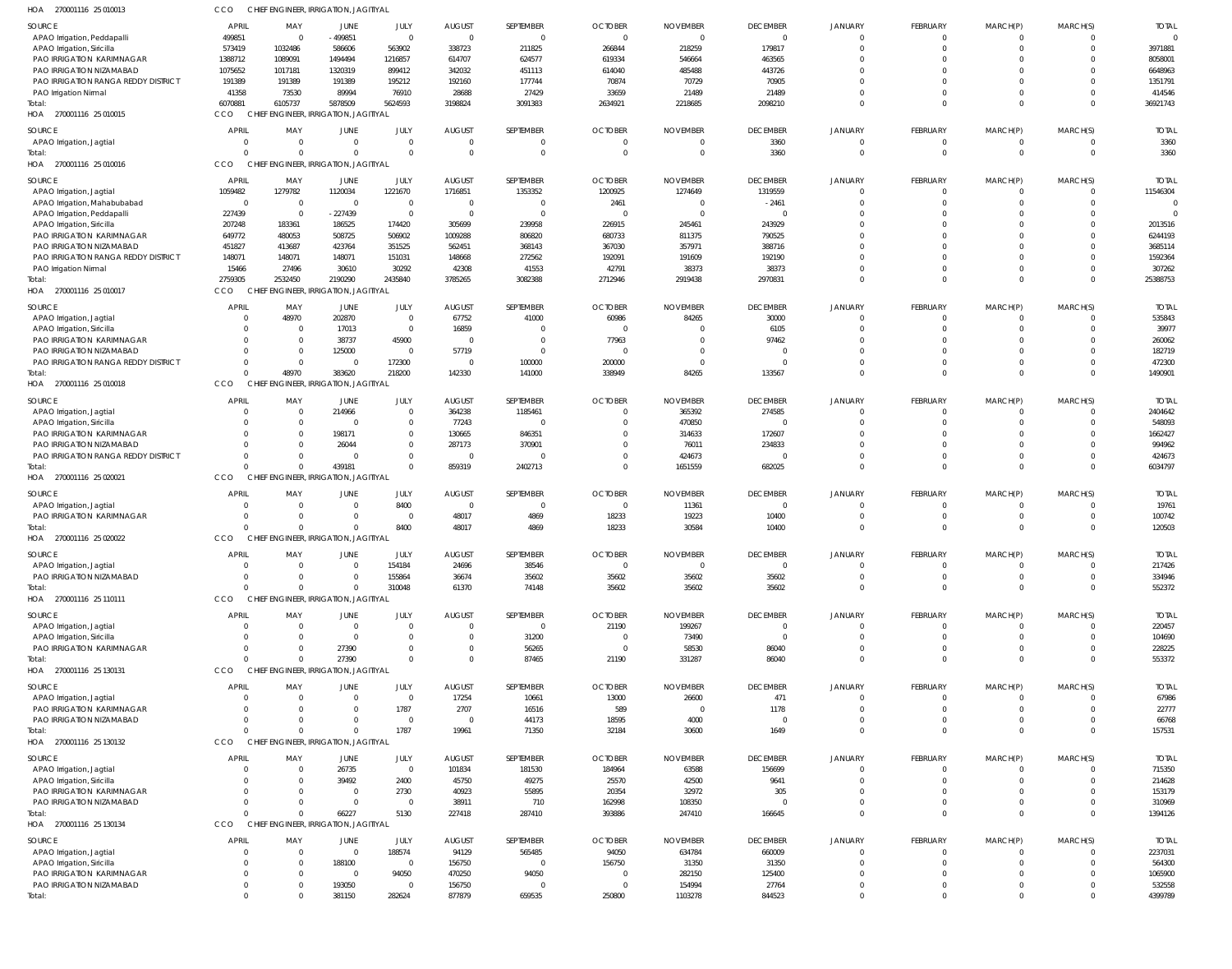| HOA<br>270001116 25 010013                                      | CCO                        | CHIEF ENGINEER, IRRIGATION, JAGITIYAL             |                     |                               |                        |                       |                                  |                                   |                             |                            |                                 |                  |                      |                        |
|-----------------------------------------------------------------|----------------------------|---------------------------------------------------|---------------------|-------------------------------|------------------------|-----------------------|----------------------------------|-----------------------------------|-----------------------------|----------------------------|---------------------------------|------------------|----------------------|------------------------|
| <b>SOURCE</b>                                                   | <b>APRIL</b>               | MAY                                               | JUNE                | JULY                          | <b>AUGUST</b>          | SEPTEMBER             | <b>OCTOBER</b>                   | <b>NOVEMBER</b>                   | <b>DECEMBER</b>             | <b>JANUARY</b>             | <b>FEBRUARY</b>                 | MARCH(P)         | MARCH(S)             | <b>TOTAL</b>           |
| APAO Irrigation, Peddapalli                                     | 499851                     | $\overline{0}$                                    | $-499851$           | $\overline{0}$                | $\Omega$               | $\mathbf{0}$          | $\overline{0}$                   | $\overline{0}$                    | $\overline{0}$              | $\Omega$                   | $\mathbf{0}$                    | 0                | $\Omega$             |                        |
| APAO Irrigation, Siricilla<br>PAO IRRIGATION KARIMNAGAR         | 573419<br>1388712          | 1032486<br>1089091                                | 586606<br>1494494   | 563902<br>1216857             | 338723<br>614707       | 211825<br>624577      | 266844<br>619334                 | 218259<br>546664                  | 179817<br>463565            | $\Omega$<br>$\Omega$       | $\Omega$<br>$\Omega$            | $\mathbf 0$      | $\Omega$             | 3971881<br>8058001     |
| PAO IRRIGATION NIZAMABAD                                        | 1075652                    | 1017181                                           | 1320319             | 899412                        | 342032                 | 451113                | 614040                           | 485488                            | 443726                      | $\Omega$                   | $\Omega$                        | <sup>0</sup>     |                      | 6648963                |
| PAO IRRIGATION RANGA REDDY DISTRICT                             | 191389                     | 191389                                            | 191389              | 195212                        | 192160                 | 177744                | 70874                            | 70729                             | 70905                       | $\Omega$                   | $\Omega$                        |                  |                      | 1351791                |
| PAO Irrigation Nirmal                                           | 41358                      | 73530                                             | 89994               | 76910                         | 28688                  | 27429                 | 33659                            | 21489                             | 21489                       | $\Omega$                   | $\Omega$                        | $\Omega$         | $\Omega$             | 414546                 |
| Total:<br>HOA 270001116 25 010015                               | 6070881<br>CCO             | 6105737<br>CHIEF ENGINEER, IRRIGATION, JAGITIYAL  | 5878509             | 5624593                       | 3198824                | 3091383               | 2634921                          | 2218685                           | 2098210                     | $\Omega$                   | $\Omega$                        | $\Omega$         | $\Omega$             | 36921743               |
| SOURCE                                                          | <b>APRIL</b>               | MAY                                               | JUNE                | JULY                          | <b>AUGUST</b>          | SEPTEMBER             | <b>OCTOBER</b>                   | <b>NOVEMBER</b>                   | <b>DECEMBER</b>             | <b>JANUARY</b>             | <b>FEBRUARY</b>                 | MARCH(P)         | MARCH(S)             | <b>TOTAL</b>           |
| APAO Irrigation, Jagtial                                        | $\overline{0}$             | $\overline{0}$                                    | $\Omega$            | $\mathbf 0$                   | $\bigcap$              | $\overline{0}$        | -0                               | - 0                               | 3360                        | $\Omega$                   | $\mathbf{0}$                    | 0                |                      | 3360                   |
| Total:<br>HOA 270001116 25 010016                               | $\Omega$<br>CCO            | $\Omega$<br>CHIEF ENGINEER, IRRIGATION, JAGITIYAL | $\Omega$            | $\Omega$                      | $\Omega$               | $\mathbf 0$           | $\Omega$                         | $\overline{0}$                    | 3360                        | $\Omega$                   | $\mathbf 0$                     | $\mathbf 0$      | $\Omega$             | 3360                   |
| SOURCE                                                          | <b>APRIL</b>               | MAY                                               | JUNE                | JULY                          | <b>AUGUST</b>          | SEPTEMBER             | <b>OCTOBER</b>                   | <b>NOVEMBER</b>                   | <b>DECEMBER</b>             | <b>JANUARY</b>             | <b>FEBRUARY</b>                 | MARCH(P)         | MARCH(S)             | <b>TOTAI</b>           |
| APAO Irrigation, Jagtial                                        | 1059482                    | 1279782                                           | 1120034             | 1221670                       | 1716851                | 1353352               | 1200925                          | 1274649                           | 1319559                     | $\Omega$                   | $\mathbf{0}$                    | $\mathbf 0$      | $\Omega$             | 11546304               |
| APAO Irrigation, Mahabubabad                                    | $\overline{0}$             | $\overline{0}$                                    | $\overline{0}$      | $\overline{0}$                | $\Omega$               | $\overline{0}$        | 2461                             | - 0                               | $-2461$                     | $\Omega$                   | $\Omega$                        | $\Omega$         | $\Omega$             | $\Omega$               |
| APAO Irrigation, Peddapalli<br>APAO Irrigation, Siricilla       | 227439<br>207248           | $\overline{0}$<br>183361                          | $-227439$<br>186525 | $\overline{0}$<br>174420      | $\Omega$<br>305699     | $\mathbf 0$<br>239958 | $\Omega$<br>226915               | $\overline{0}$<br>245461          | $\Omega$<br>243929          | $\Omega$                   | $\Omega$<br>$\Omega$            |                  |                      | 2013516                |
| PAO IRRIGATION KARIMNAGAR                                       | 649772                     | 480053                                            | 508725              | 506902                        | 1009288                | 806820                | 680733                           | 811375                            | 790525                      | $\Omega$                   | $\Omega$                        |                  |                      | 6244193                |
| PAO IRRIGATION NIZAMABAD                                        | 451827                     | 413687                                            | 423764              | 351525                        | 562451                 | 368143                | 367030                           | 357971                            | 388716                      | $\Omega$                   | $\Omega$                        |                  |                      | 3685114                |
| PAO IRRIGATION RANGA REDDY DISTRICT                             | 148071                     | 148071                                            | 148071              | 151031                        | 148668                 | 272562                | 192091                           | 191609                            | 192190                      | $\Omega$                   | $\Omega$                        | <sup>0</sup>     |                      | 1592364                |
| PAO Irrigation Nirmal                                           | 15466                      | 27496                                             | 30610               | 30292                         | 42308                  | 41553                 | 42791                            | 38373                             | 38373                       | $\Omega$<br>$\Omega$       | $\Omega$                        | $\Omega$         | $\Omega$             | 307262                 |
| Total:<br>HOA 270001116 25 010017                               | 2759305<br>CCO             | 2532450<br>CHIEF ENGINEER, IRRIGATION, JAGITIYAL  | 2190290             | 2435840                       | 3785265                | 3082388               | 2712946                          | 2919438                           | 2970831                     |                            | $\Omega$                        | $\Omega$         | $\Omega$             | 25388753               |
|                                                                 |                            |                                                   |                     |                               |                        |                       |                                  |                                   |                             |                            |                                 |                  |                      |                        |
| SOURCE                                                          | <b>APRIL</b><br>$\Omega$   | MAY<br>48970                                      | JUNE<br>202870      | JULY<br>$\overline{0}$        | <b>AUGUST</b><br>67752 | SEPTEMBER<br>41000    | <b>OCTOBER</b><br>60986          | <b>NOVEMBER</b><br>84265          | <b>DECEMBER</b><br>30000    | <b>JANUARY</b><br>$\Omega$ | <b>FEBRUARY</b><br>$\mathbf{0}$ | MARCH(P)<br>0    | MARCH(S)<br>$\Omega$ | <b>TOTAI</b><br>535843 |
| APAO Irrigation, Jagtial<br>APAO Irrigation, Siricilla          | $\Omega$                   | - 0                                               | 17013               | $\overline{0}$                | 16859                  | $\mathbf{0}$          | $\circ$                          | $\Omega$                          | 6105                        | $\cap$                     | $\Omega$                        | $\mathbf 0$      | $\Omega$             | 39977                  |
| PAO IRRIGATION KARIMNAGAR                                       | $\Omega$                   | $\overline{0}$                                    | 38737               | 45900                         | $\overline{0}$         | $\mathbf{0}$          | 77963                            | $\Omega$                          | 97462                       |                            | $\Omega$                        | $\Omega$         | $\Omega$             | 260062                 |
| PAO IRRIGATION NIZAMABAD                                        | $\Omega$                   | $\overline{0}$                                    | 125000              | $\overline{\mathbf{0}}$       | 57719                  | $\mathbf{0}$          | -0                               | $\Omega$                          | $\Omega$                    | $\Omega$                   | $\Omega$                        | $\Omega$         | $\Omega$             | 182719                 |
| PAO IRRIGATION RANGA REDDY DISTRICT                             | $\overline{0}$             | $\overline{0}$                                    | $\Omega$            | 172300                        | $\Omega$               | 100000                | 200000                           | $\overline{0}$                    | $\Omega$                    | $\Omega$                   | $\mathbf 0$                     | 0                | $\Omega$             | 472300                 |
| Total:<br>HOA 270001116 25 010018                               | $\Omega$<br>CCO            | 48970<br>CHIEF ENGINEER, IRRIGATION, JAGITIYAL    | 383620              | 218200                        | 142330                 | 141000                | 338949                           | 84265                             | 133567                      | $\Omega$                   | 0                               | $\Omega$         | $\Omega$             | 1490901                |
| SOURCE                                                          | <b>APRIL</b>               | MAY                                               | JUNE                | JULY                          | <b>AUGUST</b>          | SEPTEMBER             | <b>OCTOBER</b>                   | <b>NOVEMBER</b>                   | <b>DECEMBER</b>             | <b>JANUARY</b>             | <b>FEBRUARY</b>                 | MARCH(P)         | MARCH(S)             | <b>TOTAI</b>           |
| APAO Irrigation, Jagtial                                        | $\overline{0}$             | $\overline{0}$                                    | 214966              | $\mathbf 0$                   | 364238                 | 1185461               | $\circ$                          | 365392                            | 274585                      | $\Omega$                   | $\mathbf{0}$                    | $\mathbf 0$      | $\Omega$             | 2404642                |
| APAO Irrigation, Siricilla                                      | $\Omega$                   | $\overline{0}$                                    | - 0                 | $\overline{0}$                | 77243                  | $\Omega$              | $\Omega$                         | 470850                            | $\Omega$                    | $\Omega$                   | $\Omega$                        | $\Omega$         | $\Omega$             | 548093                 |
| PAO IRRIGATION KARIMNAGAR                                       | $\Omega$<br>$\Omega$       | $\overline{0}$<br>$\Omega$                        | 198171              | $\mathbf 0$<br>$\overline{0}$ | 130665                 | 846351<br>370901      | $\overline{0}$                   | 314633                            | 172607                      | $\Omega$                   | $\Omega$<br>$\Omega$            |                  | $\Omega$             | 1662427                |
| PAO IRRIGATION NIZAMABAD<br>PAO IRRIGATION RANGA REDDY DISTRICT | $\Omega$                   | $\Omega$                                          | 26044<br>$\Omega$   | $\mathbf 0$                   | 287173<br>$\Omega$     | $\Omega$              | - 0<br>$\Omega$                  | 76011<br>424673                   | 234833<br>$\Omega$          | $\Omega$                   | $\mathbf 0$                     | 0                | $\Omega$             | 994962<br>424673       |
| Total:                                                          | $\Omega$                   | $\Omega$                                          | 439181              | $\Omega$                      | 859319                 | 2402713               | $\Omega$                         | 1651559                           | 682025                      | $\Omega$                   | $\Omega$                        | $\Omega$         | $\Omega$             | 6034797                |
| HOA<br>270001116 25 020021                                      | CCO                        | CHIEF ENGINEER, IRRIGATION, JAGITIYAL             |                     |                               |                        |                       |                                  |                                   |                             |                            |                                 |                  |                      |                        |
| SOURCE                                                          | <b>APRIL</b>               | MAY                                               | JUNE                | JULY                          | <b>AUGUST</b>          | SEPTEMBER             | <b>OCTOBER</b>                   | <b>NOVEMBER</b>                   | <b>DECEMBER</b>             | <b>JANUARY</b>             | <b>FEBRUARY</b>                 | MARCH(P)         | MARCH(S)             | <b>TOTAI</b>           |
| APAO Irrigation, Jagtial                                        | $\overline{0}$             | $\circ$                                           | $\Omega$            | 8400                          | $\overline{0}$         | $\overline{0}$        | $\circ$                          | 11361                             | $\overline{0}$              | $\Omega$                   | $\mathbf{0}$                    | $\mathbf 0$      | $\Omega$             | 19761                  |
| <b>PAO IRRIGATION KARIMNAGAR</b>                                | $\Omega$                   | $\Omega$                                          | $\Omega$            | $\overline{\mathbf{0}}$       | 48017                  | 4869                  | 18233                            | 19223                             | 10400                       | $\Omega$                   | $\mathbf{0}$                    | $\mathbf 0$      | $\Omega$             | 100742                 |
| Total:<br>HOA 270001116 25 020022                               | $\Omega$<br>CCO            | $\Omega$<br>CHIEF ENGINEER, IRRIGATION, JAGITIYAL | $\Omega$            | 8400                          | 48017                  | 4869                  | 18233                            | 30584                             | 10400                       | $\Omega$                   | $\mathbf 0$                     | $\Omega$         | $\Omega$             | 120503                 |
|                                                                 |                            |                                                   |                     |                               |                        |                       |                                  |                                   |                             |                            |                                 |                  |                      |                        |
| <b>SOURCE</b>                                                   | <b>APRIL</b><br>$\circ$    | MAY<br>$\Omega$                                   | JUNE<br>$\Omega$    | JULY<br>154184                | <b>AUGUST</b><br>24696 | SEPTEMBER<br>38546    | <b>OCTOBER</b><br>$\overline{0}$ | <b>NOVEMBER</b><br>$\overline{0}$ | <b>DECEMBER</b><br>$\Omega$ | <b>JANUARY</b>             | <b>FEBRUARY</b><br>$\Omega$     | MARCH(P)         | MARCH(S)<br>$\Omega$ | <b>TOTAI</b><br>217426 |
| APAO Irrigation, Jagtial<br>PAO IRRIGATION NIZAMABAD            | $\overline{0}$             | $\Omega$                                          | $\Omega$            | 155864                        | 36674                  | 35602                 | 35602                            | 35602                             | 35602                       | $\Omega$                   | $\mathbf 0$                     | 0                | $\Omega$             | 334946                 |
| Total:                                                          | $\Omega$                   | $\Omega$                                          | $\Omega$            | 310048                        | 61370                  | 74148                 | 35602                            | 35602                             | 35602                       | $\Omega$                   | $\mathbf 0$                     | $\Omega$         | $\Omega$             | 552372                 |
| HOA 270001116 25 110111                                         | CCO                        | CHIEF ENGINEER, IRRIGATION, JAGITIYAL             |                     |                               |                        |                       |                                  |                                   |                             |                            |                                 |                  |                      |                        |
| SOURCE                                                          | <b>APRIL</b>               | MAY                                               | JUNE                | JULY                          | <b>AUGUST</b>          | SEPTEMBER             | <b>OCTOBER</b>                   | <b>NOVEMBER</b>                   | <b>DECEMBER</b>             | <b>JANUARY</b>             | <b>FEBRUARY</b>                 | MARCH(P)         | MARCH(S)             | <b>TOTAL</b>           |
| APAO Irrigation, Jagtial                                        | - 0                        | $\overline{0}$                                    | $\Omega$            | $\mathbf 0$                   |                        | $\overline{0}$        | 21190                            | 199267                            | $\Omega$                    |                            | $\overline{0}$                  | 0                |                      | 220457                 |
| APAO Irrigation, Siricilla                                      | $\Omega$                   | $\overline{0}$                                    | - 0                 | $\Omega$                      |                        | 31200                 | - 0                              | 73490                             | $\Omega$                    |                            | $\mathbf{0}$                    | 0                | $\Omega$             | 104690                 |
| PAO IRRIGATION KARIMNAGAR<br>Total:                             | $\overline{0}$<br>$\Omega$ | $\Omega$<br>$\Omega$                              | 27390<br>27390      | $\Omega$<br>$\Omega$          | $\Omega$               | 56265<br>87465        | - 0<br>21190                     | 58530<br>331287                   | 86040<br>86040              | $\Omega$<br>$\Omega$       | $\mathbf{0}$<br>$\mathbf 0$     | 0<br>$\mathbf 0$ | $\Omega$<br>$\Omega$ | 228225<br>553372       |
| HOA 270001116 25 130131                                         | CCO                        | CHIEF ENGINEER, IRRIGATION, JAGITIYAL             |                     |                               |                        |                       |                                  |                                   |                             |                            |                                 |                  |                      |                        |
| SOURCE                                                          | <b>APRIL</b>               | MAY                                               | JUNE                | JULY                          | <b>AUGUST</b>          | SEPTEMBER             | <b>OCTOBER</b>                   | <b>NOVEMBER</b>                   | <b>DECEMBER</b>             | <b>JANUARY</b>             | <b>FEBRUARY</b>                 | MARCH(P)         | MARCH(S)             | <b>TOTAL</b>           |
| APAO Irrigation, Jagtial                                        | - 0                        | $\overline{0}$                                    | - 0                 | $\overline{0}$                | 17254                  | 10661                 | 13000                            | 26600                             | 471                         |                            | $\mathbf{0}$                    | 0                |                      | 67986                  |
| PAO IRRIGATION KARIMNAGAR                                       | $\Omega$                   | $\Omega$                                          | $\Omega$            | 1787                          | 2707                   | 16516                 | 589                              | $\overline{0}$                    | 1178                        |                            | $\Omega$                        | $\Omega$         | $\Omega$             | 22777                  |
| PAO IRRIGATION NIZAMABAD                                        | $\Omega$                   | $\Omega$                                          | $\Omega$            | $\Omega$                      | $\overline{0}$         | 44173                 | 18595                            | 4000                              | $\Omega$                    | $\Omega$                   | $\mathbf 0$                     | 0                | $\Omega$             | 66768                  |
| Total:                                                          | $\Omega$                   | $\Omega$                                          | $\Omega$            | 1787                          | 19961                  | 71350                 | 32184                            | 30600                             | 1649                        | $\Omega$                   | $\Omega$                        | $\Omega$         | $\Omega$             | 157531                 |
| HOA 270001116 25 130132                                         | CCO                        | CHIEF ENGINEER, IRRIGATION, JAGITIYAL             |                     |                               |                        |                       |                                  |                                   |                             |                            |                                 |                  |                      |                        |
| SOURCE                                                          | <b>APRIL</b>               | MAY                                               | <b>JUNE</b>         | JULY                          | <b>AUGUST</b>          | SEPTEMBER             | <b>OCTOBER</b>                   | <b>NOVEMBER</b>                   | <b>DECEMBER</b>             | <b>JANUARY</b>             | <b>FEBRUARY</b>                 | MARCH(P)         | MARCH(S)             | <b>TOTAL</b>           |
| APAO Irrigation, Jagtial                                        | $\overline{0}$             | - 0                                               | 26735               | $\overline{0}$                | 101834                 | 181530                | 184964                           | 63588                             | 156699                      |                            | $\mathbf{0}$                    | 0                | $\Omega$             | 715350                 |
| APAO Irrigation, Siricilla<br>PAO IRRIGATION KARIMNAGAR         | $\Omega$<br>$\Omega$       | - 0<br>$\Omega$                                   | 39492<br>$\Omega$   | 2400<br>2730                  | 45750<br>40923         | 49275<br>55895        | 25570<br>20354                   | 42500<br>32972                    | 9641<br>305                 |                            | $\Omega$<br>$\Omega$            | 0                | $\Omega$<br>$\Omega$ | 214628<br>153179       |
| PAO IRRIGATION NIZAMABAD                                        | $\Omega$                   | $\Omega$                                          | $\Omega$            | $\overline{\mathbf{0}}$       | 38911                  | 710                   | 162998                           | 108350                            | $\Omega$                    | $\Omega$                   | $\mathbf{0}$                    | 0                | $\Omega$             | 310969                 |
| Total:                                                          | $\Omega$                   | $\Omega$                                          | 66227               | 5130                          | 227418                 | 287410                | 393886                           | 247410                            | 166645                      | $\Omega$                   | 0                               | $\Omega$         | $\Omega$             | 1394126                |
| HOA 270001116 25 130134                                         | CCO                        | CHIEF ENGINEER, IRRIGATION, JAGITIYAL             |                     |                               |                        |                       |                                  |                                   |                             |                            |                                 |                  |                      |                        |
| SOURCE                                                          | <b>APRIL</b>               | MAY                                               | JUNE                | JULY                          | <b>AUGUST</b>          | SEPTEMBER             | <b>OCTOBER</b>                   | <b>NOVEMBER</b>                   | <b>DECEMBER</b>             | <b>JANUARY</b>             | FEBRUARY                        | MARCH(P)         | MARCH(S)             | <b>TOTAI</b>           |
| APAO Irrigation, Jagtial                                        | $\Omega$                   | $\overline{0}$                                    | $\Omega$            | 188574                        | 94129                  | 565485                | 94050                            | 634784                            | 660009                      | $\Omega$                   | $\mathbf{0}$                    | $\Omega$         |                      | 2237031                |
| APAO Irrigation, Siricilla                                      | $\Omega$                   | $\Omega$                                          | 188100              | $\overline{0}$                | 156750                 | $\mathbf{0}$          | 156750                           | 31350                             | 31350                       | $\Omega$                   | $\Omega$                        | $\Omega$         | $\Omega$             | 564300                 |
| PAO IRRIGATION KARIMNAGAR                                       | $\Omega$<br>$\overline{0}$ | $\mathbf{0}$<br>$\Omega$                          | $\overline{0}$      | 94050<br>$\overline{0}$       | 470250                 | 94050<br>$\Omega$     | - 0<br>$\circ$                   | 282150                            | 125400                      | $\Omega$<br>$\Omega$       | $\Omega$<br>$\mathbf 0$         |                  |                      | 1065900                |
| PAO IRRIGATION NIZAMABAD<br>Total:                              | $\overline{0}$             | $\Omega$                                          | 193050<br>381150    | 282624                        | 156750<br>877879       | 659535                | 250800                           | 154994<br>1103278                 | 27764<br>844523             | $\overline{0}$             | 0                               | $\Omega$         | $\Omega$             | 532558<br>4399789      |
|                                                                 |                            |                                                   |                     |                               |                        |                       |                                  |                                   |                             |                            |                                 |                  |                      |                        |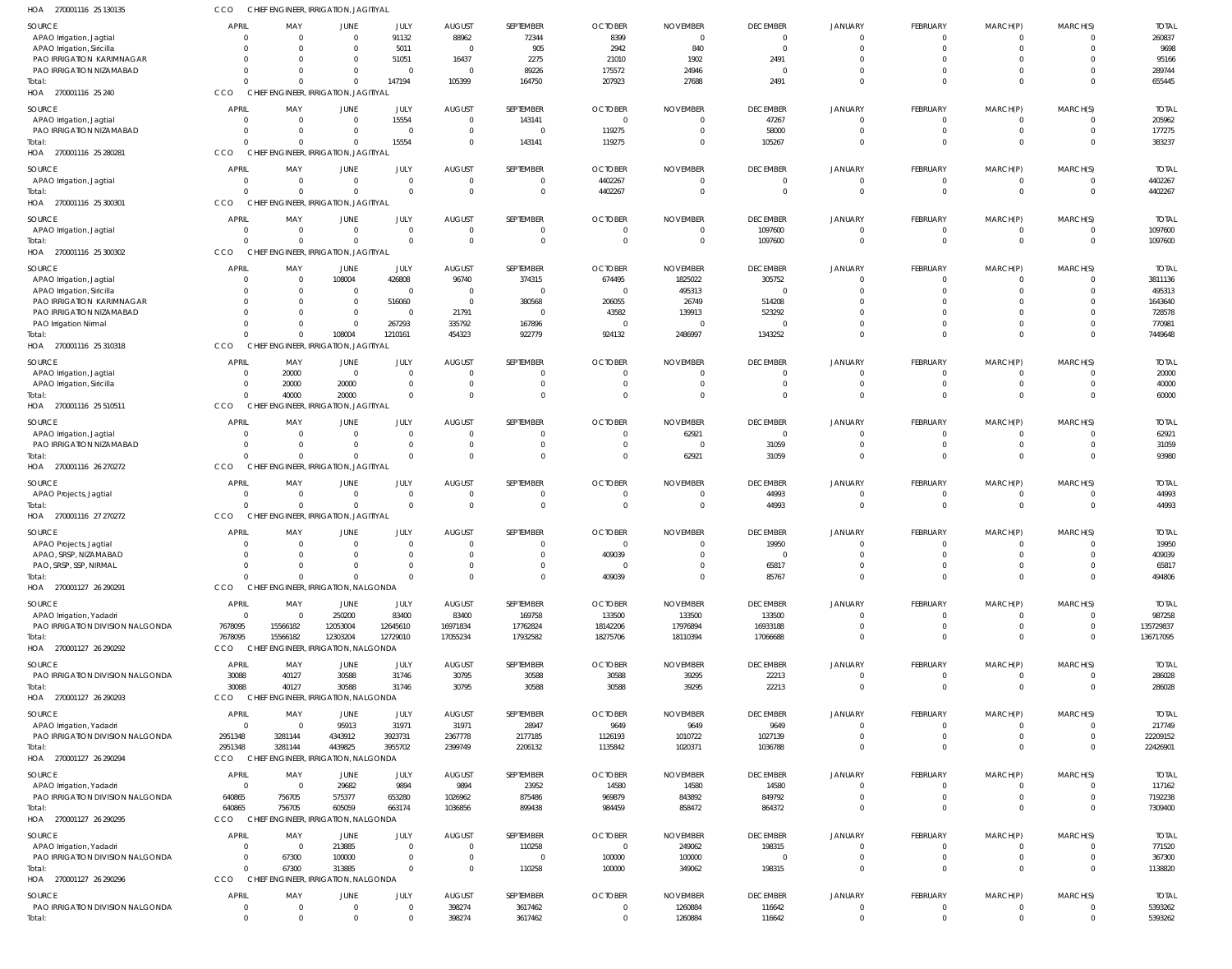| HOA<br>270001116 25 130135        | cco                | CHIEF ENGINEER, IRRIGATION, JAGITIYAL |                                        |                        |                                 |                             |                                  |                 |                          |                               |                         |                           |                  |                       |
|-----------------------------------|--------------------|---------------------------------------|----------------------------------------|------------------------|---------------------------------|-----------------------------|----------------------------------|-----------------|--------------------------|-------------------------------|-------------------------|---------------------------|------------------|-----------------------|
| SOURCE                            | <b>APRIL</b>       | MAY                                   | <b>JUNE</b>                            | JULY                   | <b>AUGUST</b>                   | SEPTEMBER                   | <b>OCTOBER</b>                   | <b>NOVEMBER</b> | <b>DECEMBER</b>          | JANUARY                       | FEBRUARY                | MARCH(P)                  | MARCH(S)         | <b>TOTAI</b>          |
| APAO Irrigation, Jagtial          | -0                 | $\Omega$                              | 0                                      | 91132                  | 88962                           | 72344                       | 8399                             | $\Omega$        | $\overline{0}$           | $\mathbf 0$                   | -0                      | $^{\circ}$                | $\Omega$         | 260837                |
| APAO Irrigation, Siricilla        | -0                 |                                       | $\Omega$                               | 5011                   | $\overline{0}$                  | 905                         | 2942                             | 840             | $\overline{0}$           | $\mathbf 0$                   | $\Omega$                | $\mathbf 0$               | $\Omega$         | 9698                  |
| PAO IRRIGATION KARIMNAGAR         |                    | $\Omega$                              | 0                                      | 51051                  | 16437                           | 2275                        | 21010                            | 1902            | 2491                     | $\Omega$                      |                         | $\Omega$                  |                  | 95166                 |
| PAO IRRIGATION NIZAMABAD          |                    |                                       | 0                                      | $\overline{0}$         | $\Omega$                        | 89226                       | 175572                           | 24946           | $\Omega$                 | $\Omega$                      | $\Omega$                | $^{\circ}$                | $\Omega$         | 289744                |
| Total:                            |                    | $\Omega$                              | $\Omega$                               | 147194                 | 105399                          | 164750                      | 207923                           | 27688           | 2491                     | $\mathbf 0$                   | $\Omega$                | $\mathbf 0$               | $\Omega$         | 655445                |
| HOA 270001116 25 240              | CCO                | CHIEF ENGINEER, IRRIGATION, JAGITIYAL |                                        |                        |                                 |                             |                                  |                 |                          |                               |                         |                           |                  |                       |
| SOURCE                            | <b>APRIL</b>       | MAY                                   | <b>JUNE</b>                            | JULY                   | <b>AUGUST</b>                   | SEPTEMBER                   | <b>OCTOBER</b>                   | <b>NOVEMBER</b> | <b>DECEMBER</b>          | JANUARY                       | FEBRUARY                | MARCH(P)                  | MARCH(S)         | <b>TOTAL</b>          |
| APAO Irrigation, Jagtial          | -0                 | - 0                                   | $\mathbf{0}$                           | 15554                  | $\overline{0}$                  | 143141                      | $\overline{0}$                   |                 | 47267                    | $\mathbf 0$                   | 0                       | $^{\circ}$                | 0                | 205962                |
| PAO IRRIGATION NIZAMABAD          |                    |                                       | 0                                      | $\overline{0}$         | $\overline{0}$                  | $\overline{0}$              | 119275                           |                 | 58000                    | $\overline{0}$                | $\mathbf 0$             | $\mathbf 0$               | $\Omega$         | 177275                |
| Total:                            |                    |                                       | $\Omega$                               | 15554                  | $\Omega$                        | 143141                      | 119275                           | $\Omega$        | 105267                   | $\overline{0}$                | $\Omega$                | $\mathbf 0$               | $\Omega$         | 383237                |
| HOA 270001116 25 280281           | CCO                | <b>CHIEF</b>                          | <b>ENGINEER, IRRIGATION, JAGITIYAL</b> |                        |                                 |                             |                                  |                 |                          |                               |                         |                           |                  |                       |
| SOURCE                            | <b>APRIL</b>       | MAY                                   | JUNE                                   | JULY                   | <b>AUGUST</b>                   | SEPTEMBER                   | <b>OCTOBER</b>                   | <b>NOVEMBER</b> | <b>DECEMBER</b>          | JANUARY                       | FEBRUARY                | MARCH(P)                  | MARCH(S)         | <b>TOTAL</b>          |
| APAO Irrigation, Jagtial          | $\mathbf{0}$       | $\Omega$                              | $\overline{0}$                         | $\overline{0}$         | $\overline{0}$                  | $\mathbf{0}$                | 4402267                          | $\Omega$        | $\overline{0}$           | $\mathbf 0$                   | -0                      | 0                         | $\Omega$         | 4402267               |
| Total:                            | $\Omega$           | $\Omega$                              | $\Omega$                               | $\overline{0}$         | $\Omega$                        | $\mathbf 0$                 | 4402267                          | $\Omega$        | $\overline{0}$           | $\Omega$                      | $\mathbf 0$             | $\mathbf 0$               | $\mathbf 0$      | 4402267               |
| HOA 270001116 25 300301           | CCO                | CHIEF ENGINEER, IRRIGATION, JAGITIYAL |                                        |                        |                                 |                             |                                  |                 |                          |                               |                         |                           |                  |                       |
|                                   |                    |                                       |                                        |                        |                                 |                             |                                  |                 |                          |                               |                         |                           |                  |                       |
| SOURCE                            | <b>APRIL</b>       | MAY                                   | <b>JUNE</b>                            | JULY<br>$\overline{0}$ | <b>AUGUST</b><br>$\overline{0}$ | SEPTEMBER<br>$\mathbf 0$    | <b>OCTOBER</b>                   | <b>NOVEMBER</b> | <b>DECEMBER</b>          | <b>JANUARY</b><br>$\mathbf 0$ | FEBRUARY<br>$\mathbf 0$ | MARCH(P)                  | MARCH(S)         | <b>TOTAL</b>          |
| APAO Irrigation, Jagtial          | - 0                |                                       | 0<br>$\mathbf 0$                       | $\overline{0}$         | $\Omega$                        | $\mathbf 0$                 | $\overline{0}$<br>$\overline{0}$ | $\Omega$        | 1097600<br>1097600       | $\overline{0}$                | $\mathbf 0$             | $^{\circ}$<br>$\mathbf 0$ | 0<br>$\mathbf 0$ | 1097600<br>1097600    |
| Total:<br>HOA 270001116 25 300302 | CCO                | CHIEF ENGINEER, IRRIGATION, JAGITIYAL |                                        |                        |                                 |                             |                                  |                 |                          |                               |                         |                           |                  |                       |
|                                   |                    |                                       |                                        |                        |                                 |                             |                                  |                 |                          |                               |                         |                           |                  |                       |
| SOURCE                            | <b>APRIL</b>       | MAY                                   | <b>JUNE</b>                            | JULY                   | <b>AUGUST</b>                   | SEPTEMBER                   | <b>OCTOBER</b>                   | <b>NOVEMBER</b> | <b>DECEMBER</b>          | <b>JANUARY</b>                | FEBRUARY                | MARCH(P)                  | MARCH(S)         | <b>TOTAL</b>          |
| APAO Irrigation, Jagtial          | - 0                | $\Omega$                              | 108004                                 | 426808                 | 96740                           | 374315                      | 674495                           | 1825022         | 305752                   | $\mathbf 0$                   | -0                      | $\Omega$                  | $\Omega$         | 3811136               |
| APAO Irrigation, Siricilla        | -0                 | $\Omega$                              | $\overline{0}$                         | $\overline{0}$         | $\overline{0}$                  | $\circ$                     | $\Omega$                         | 495313          | $\circ$                  | $\Omega$                      | $\Omega$                | $^{\circ}$                | $\Omega$         | 495313                |
| PAO IRRIGATION KARIMNAGAR         |                    |                                       | $\mathbf 0$                            | 516060                 | $\overline{0}$                  | 380568                      | 206055                           | 26749           | 514208                   | $\Omega$                      |                         | $\Omega$                  |                  | 1643640               |
| PAO IRRIGATION NIZAMABAD          |                    | $\Omega$                              | $\Omega$                               | $\overline{0}$         | 21791                           | - 0                         | 43582                            | 139913          | 523292                   | $\Omega$                      |                         | $\Omega$                  |                  | 728578                |
| PAO Irrigation Nirmal             |                    | $\Omega$                              | $\mathbf 0$                            | 267293                 | 335792                          | 167896                      | $\Omega$                         | $\Omega$        | $\overline{0}$           | $\Omega$                      | $\mathbf 0$             | $\mathbf 0$               |                  | 770981                |
| Total:                            |                    | $\Omega$                              | 108004                                 | 1210161                | 454323                          | 922779                      | 924132                           | 2486997         | 1343252                  | $\Omega$                      | $\Omega$                | $\Omega$                  | $\Omega$         | 7449648               |
| HOA 270001116 25 310318           | CCO                | <b>CHIEF</b>                          | <b>ENGINEER, IRRIGATION, JAGITIYAL</b> |                        |                                 |                             |                                  |                 |                          |                               |                         |                           |                  |                       |
| SOURCE                            | <b>APRIL</b>       | MAY                                   | <b>JUNE</b>                            | JULY                   | <b>AUGUST</b>                   | SEPTEMBER                   | <b>OCTOBER</b>                   | <b>NOVEMBER</b> | <b>DECEMBER</b>          | <b>JANUARY</b>                | FEBRUARY                | MARCH(P)                  | MARCH(S)         | <b>TOTAI</b>          |
| APAO Irrigation, Jagtial          | - 0                | 20000                                 | $\overline{0}$                         | $\overline{0}$         | $\overline{0}$                  | $\mathbf 0$                 | $\overline{0}$                   |                 | $\overline{0}$           | $\mathbf 0$                   | $\mathbf 0$             | $\mathbf 0$               | $\mathbf 0$      | 20000                 |
| APAO Irrigation, Siricilla        | -0                 | 20000                                 | 20000                                  | $\overline{0}$         | $\Omega$                        | $\mathbf{0}$                | $\Omega$                         |                 | $\overline{0}$           | $\overline{0}$                | $\mathbf 0$             | $\mathbf 0$               | $\mathbf 0$      | 40000                 |
| Total:                            | $\Omega$           | 40000                                 | 20000                                  | $\Omega$               | $\Omega$                        | $\mathbf{0}$                | $\Omega$                         | $\Omega$        | $\overline{0}$           | $\overline{0}$                | $\mathbf 0$             | $\mathbf 0$               | $\Omega$         | 60000                 |
| HOA 270001116 25 510511           | CCO                | CHIEF ENGINEER, IRRIGATION, JAGITIYAL |                                        |                        |                                 |                             |                                  |                 |                          |                               |                         |                           |                  |                       |
| SOURCE                            | <b>APRIL</b>       | MAY                                   | JUNE                                   | JULY                   | <b>AUGUST</b>                   | SEPTEMBER                   | <b>OCTOBER</b>                   | <b>NOVEMBER</b> | <b>DECEMBER</b>          | <b>JANUARY</b>                | FEBRUARY                | MARCH(P)                  | MARCH(S)         | <b>TOTAI</b>          |
| APAO Irrigation, Jagtial          | -0                 |                                       | $\Omega$                               | $\overline{0}$         | $\Omega$                        | $\overline{0}$              | $\overline{0}$                   | 62921           | $\overline{0}$           | 0                             | 0                       | $^{\circ}$                | $\Omega$         | 62921                 |
| PAO IRRIGATION NIZAMABAD          | $\Omega$           | $\Omega$                              | $\Omega$                               | $\Omega$               | $\Omega$                        | $\mathbf 0$                 | $\Omega$                         | $\Omega$        | 31059                    | $\overline{0}$                | $\Omega$                | $\mathbf 0$               | $\Omega$         | 31059                 |
| Total:                            | $\Omega$           | $\Omega$                              | $\Omega$                               | $\Omega$               | $\Omega$                        | $\mathbf 0$                 | $\Omega$                         | 62921           | 31059                    | $\Omega$                      | $\Omega$                | $\mathbf 0$               | $\Omega$         | 93980                 |
| HOA 270001116 26 270272           | CCO                | CHIEF ENGINEER, IRRIGATION, JAGITIYAL |                                        |                        |                                 |                             |                                  |                 |                          |                               |                         |                           |                  |                       |
|                                   |                    |                                       |                                        |                        |                                 |                             |                                  |                 |                          |                               |                         |                           |                  |                       |
| SOURCE<br>APAO Projects, Jagtial  | <b>APRIL</b><br>-0 | MAY<br>- 0                            | <b>JUNE</b><br>0                       | JULY<br>$\overline{0}$ | <b>AUGUST</b><br>$\overline{0}$ | SEPTEMBER<br>$\overline{0}$ | <b>OCTOBER</b><br>$\overline{0}$ | <b>NOVEMBER</b> | <b>DECEMBER</b><br>44993 | <b>JANUARY</b><br>$\mathbf 0$ | FEBRUARY<br>0           | MARCH(P)<br>$^{\circ}$    | MARCH(S)<br>0    | <b>TOTAL</b><br>44993 |
| Total:                            |                    | $\Omega$                              | $\mathbf 0$                            | $\mathbf 0$            | $\overline{0}$                  | $\mathbf 0$                 | $\overline{0}$                   | $\overline{0}$  | 44993                    | $\overline{0}$                | $\mathbf 0$             | $\mathbf 0$               | $\mathbf 0$      | 44993                 |
| HOA 270001116 27 270272           | CCO                | CHIEF ENGINEER, IRRIGATION, JAGITIYAL |                                        |                        |                                 |                             |                                  |                 |                          |                               |                         |                           |                  |                       |
|                                   |                    |                                       |                                        |                        |                                 |                             |                                  |                 |                          |                               |                         |                           |                  |                       |
| SOURCE                            | <b>APRIL</b>       | MAY                                   | JUNE                                   | JULY                   | <b>AUGUST</b>                   | SEPTEMBER                   | <b>OCTOBER</b>                   | <b>NOVEMBER</b> | <b>DECEMBER</b>          | <b>JANUARY</b>                | FEBRUARY                | MARCH(P)                  | MARCH(S)         | <b>TOTAL</b>          |
| APAO Projects, Jagtial            | $\overline{0}$     | $\Omega$                              | $\overline{0}$                         | $\mathbf 0$            | $\overline{0}$                  | $\Omega$                    | $\Omega$                         | $\Omega$        | 19950                    | $\Omega$                      | $\Omega$                | $\Omega$                  | $\Omega$         | 19950                 |
| APAO, SRSP, NIZAMABAD             | $\overline{0}$     | $\overline{0}$                        | $\mathbf 0$                            | $\overline{0}$         | $\overline{0}$                  | $\Omega$                    | 409039                           | $\mathbf{0}$    | $\overline{0}$           | $\cap$                        |                         | $\Omega$                  | $\mathbf 0$      | 409039                |
| PAO, SRSP, SSP, NIRMAL            | $\Omega$           | $\Omega$                              | $\Omega$                               | $\Omega$               | $\Omega$                        | $\mathbf 0$                 | $\mathbf{0}$                     | $\Omega$        | 65817                    | $\Omega$                      | $\mathbf 0$             | $\mathbf 0$               | $\Omega$         | 65817                 |
| Total:<br>HOA 270001127 26 290291 | $\Omega$<br>CCO    | CHIEF ENGINEER, IRRIGATION, NALGONDA  | $\Omega$                               | $\Omega$               | $\Omega$                        | $\mathbf 0$                 | 409039                           | $\overline{0}$  | 85767                    | $\overline{0}$                | $\mathbf 0$             | $\mathbf 0$               | $\mathbf 0$      | 494806                |
|                                   |                    |                                       |                                        |                        |                                 |                             |                                  |                 |                          |                               |                         |                           |                  |                       |
| SOURCE                            | <b>APRIL</b>       | MAY                                   | <b>JUNE</b>                            | JULY                   | <b>AUGUST</b>                   | SEPTEMBER                   | <b>OCTOBER</b>                   | <b>NOVEMBER</b> | <b>DECEMBER</b>          | <b>JANUARY</b>                | FEBRUARY                | MARCH(P)                  | MARCH(S)         | <b>TOTAL</b>          |
| APAO Irrigation, Yadadri          | $\overline{0}$     | $\Omega$                              | 250200                                 | 83400                  | 83400                           | 169758                      | 133500                           | 133500          | 133500                   | $\overline{0}$                | $\mathbf 0$             | $\mathbf 0$               | $\mathbf 0$      | 987258                |
| PAO IRRIGATION DIVISION NALGONDA  | 7678095            | 15566182                              | 12053004                               | 12645610               | 16971834                        | 17762824                    | 18142206                         | 17976894        | 16933188                 | 0                             | $\mathbf 0$             | $\mathbf 0$               | $\mathbf 0$      | 135729837             |
| Total:                            | 7678095            | 15566182                              | 12303204                               | 12729010               | 17055234                        | 17932582                    | 18275706                         | 18110394        | 17066688                 | $\overline{0}$                | $\mathbf 0$             | $\mathbf 0$               | $\Omega$         | 136717095             |
| HOA 270001127 26 290292           | CCO                | CHIEF ENGINEER, IRRIGATION, NALGONDA  |                                        |                        |                                 |                             |                                  |                 |                          |                               |                         |                           |                  |                       |
| SOURCE                            | <b>APRIL</b>       | MAY                                   | <b>JUNE</b>                            | JULY                   | <b>AUGUST</b>                   | SEPTEMBER                   | <b>OCTOBER</b>                   | <b>NOVEMBER</b> | <b>DECEMBER</b>          | <b>JANUARY</b>                | FEBRUARY                | MARCH(P)                  | MARCH(S)         | <b>TOTAL</b>          |
| PAO IRRIGATION DIVISION NALGONDA  | 30088              | 40127                                 | 30588                                  | 31746                  | 30795                           | 30588                       | 30588                            | 39295           | 22213                    | $\overline{0}$                | 0                       | $^{\circ}$                | 0                | 286028                |
| Total:                            | 30088              | 40127                                 | 30588                                  | 31746                  | 30795                           | 30588                       | 30588                            | 39295           | 22213                    | $\overline{0}$                | $\mathbf 0$             | $\mathbf{0}$              | $\overline{0}$   | 286028                |
| HOA 270001127 26 290293           | CCO                | CHIEF ENGINEER, IRRIGATION, NALGONDA  |                                        |                        |                                 |                             |                                  |                 |                          |                               |                         |                           |                  |                       |
| SOURCE                            | <b>APRIL</b>       | MAY                                   | <b>JUNE</b>                            | JULY                   | <b>AUGUST</b>                   | SEPTEMBER                   | <b>OCTOBER</b>                   | <b>NOVEMBER</b> | <b>DECEMBER</b>          | <b>JANUARY</b>                | FEBRUARY                | MARCH(P)                  | MARCH(S)         | <b>TOTAL</b>          |
| APAO Irrigation, Yadadri          | $\circ$            | - 0                                   | 95913                                  | 31971                  | 31971                           | 28947                       | 9649                             | 9649            | 9649                     | $\overline{0}$                | $\mathbf 0$             | $\mathbf 0$               | $\Omega$         | 217749                |
| PAO IRRIGATION DIVISION NALGONDA  | 2951348            | 3281144                               | 4343912                                | 3923731                | 2367778                         | 2177185                     | 1126193                          | 1010722         | 1027139                  | 0                             | $\mathbf 0$             | $\mathbf 0$               | $\mathbf 0$      | 22209152              |
| Total:                            | 2951348            | 3281144                               | 4439825                                | 3955702                | 2399749                         | 2206132                     | 1135842                          | 1020371         | 1036788                  | $\overline{0}$                | $\mathbf 0$             | $\mathbf 0$               | $\overline{0}$   | 22426901              |
| HOA 270001127 26 290294           | CCO                | CHIEF ENGINEER, IRRIGATION, NALGONDA  |                                        |                        |                                 |                             |                                  |                 |                          |                               |                         |                           |                  |                       |
|                                   |                    |                                       |                                        |                        |                                 |                             |                                  |                 |                          |                               |                         |                           |                  |                       |
| SOURCE                            | <b>APRIL</b>       | MAY                                   | <b>JUNE</b>                            | JULY                   | <b>AUGUST</b>                   | SEPTEMBER                   | <b>OCTOBER</b>                   | <b>NOVEMBER</b> | <b>DECEMBER</b>          | <b>JANUARY</b>                | FEBRUARY                | MARCH(P)                  | MARCH(S)         | <b>TOTAL</b>          |
| APAO Irrigation, Yadadri          | $\overline{0}$     | $\Omega$                              | 29682                                  | 9894                   | 9894                            | 23952                       | 14580                            | 14580           | 14580                    | $\mathbf 0$                   | -0                      | $^{\circ}$                | $\Omega$         | 117162                |
| PAO IRRIGATION DIVISION NALGONDA  | 640865             | 756705                                | 575377                                 | 653280                 | 1026962                         | 875486                      | 969879                           | 843892          | 849792                   | $\mathbf 0$                   | $\mathbf 0$             | $\mathbf 0$               | $\mathbf 0$      | 7192238               |
| Total:                            | 640865<br>CCO      | 756705                                | 605059                                 | 663174                 | 1036856                         | 899438                      | 984459                           | 858472          | 864372                   | $\overline{0}$                | $\mathbf 0$             | $\mathbf 0$               | $\overline{0}$   | 7309400               |
| HOA 270001127 26 290295           |                    | CHIEF ENGINEER, IRRIGATION, NALGONDA  |                                        |                        |                                 |                             |                                  |                 |                          |                               |                         |                           |                  |                       |
| SOURCE                            | <b>APRIL</b>       | MAY                                   | <b>JUNE</b>                            | JULY                   | <b>AUGUST</b>                   | SEPTEMBER                   | <b>OCTOBER</b>                   | <b>NOVEMBER</b> | <b>DECEMBER</b>          | <b>JANUARY</b>                | FEBRUARY                | MARCH(P)                  | MARCH(S)         | <b>TOTAL</b>          |
| APAO Irrigation, Yadadri          | - 0                | - 0                                   | 213885                                 | $\overline{0}$         | $\overline{0}$                  | 110258                      | $\overline{0}$                   | 249062          | 198315                   | $\mathbf 0$                   | $\Omega$                | $^{\circ}$                | $\Omega$         | 771520                |
| PAO IRRIGATION DIVISION NALGONDA  | -0                 | 67300                                 | 100000                                 | $\overline{0}$         | $\overline{0}$                  | $\overline{0}$              | 100000                           | 100000          | $\overline{\phantom{0}}$ | 0                             | $\mathbf 0$             | $\mathbf{0}$              | $\mathbf 0$      | 367300                |
| Total:                            | $\Omega$           | 67300                                 | 313885                                 | $\mathbf 0$            | $\mathbf 0$                     | 110258                      | 100000                           | 349062          | 198315                   | $\overline{0}$                | $\Omega$                | $\mathbf 0$               | $\Omega$         | 1138820               |
| HOA 270001127 26 290296           | CCO                | CHIEF ENGINEER, IRRIGATION, NALGONDA  |                                        |                        |                                 |                             |                                  |                 |                          |                               |                         |                           |                  |                       |
| SOURCE                            | <b>APRIL</b>       | MAY                                   | JUNE                                   | JULY                   | <b>AUGUST</b>                   | SEPTEMBER                   | <b>OCTOBER</b>                   | <b>NOVEMBER</b> | <b>DECEMBER</b>          | <b>JANUARY</b>                | FEBRUARY                | MARCH(P)                  | MARCH(S)         | <b>TOTAL</b>          |
| PAO IRRIGATION DIVISION NALGONDA  | $\overline{0}$     | $\Omega$                              | $\mathbf 0$                            | $\overline{0}$         | 398274                          | 3617462                     | $\mathbf{0}$                     | 1260884         | 116642                   | $\mathbf 0$                   | -0                      | $^{\circ}$                | $\mathbf 0$      | 5393262               |
| Total:                            | $\mathbf 0$        | $\Omega$                              | $\mathbf 0$                            | $\mathbf 0$            | 398274                          | 3617462                     | $\mathbf 0$                      | 1260884         | 116642                   | $\overline{\mathbf{0}}$       | $\mathbf 0$             | $\mathbf 0$               | $\mathbf 0$      | 5393262               |
|                                   |                    |                                       |                                        |                        |                                 |                             |                                  |                 |                          |                               |                         |                           |                  |                       |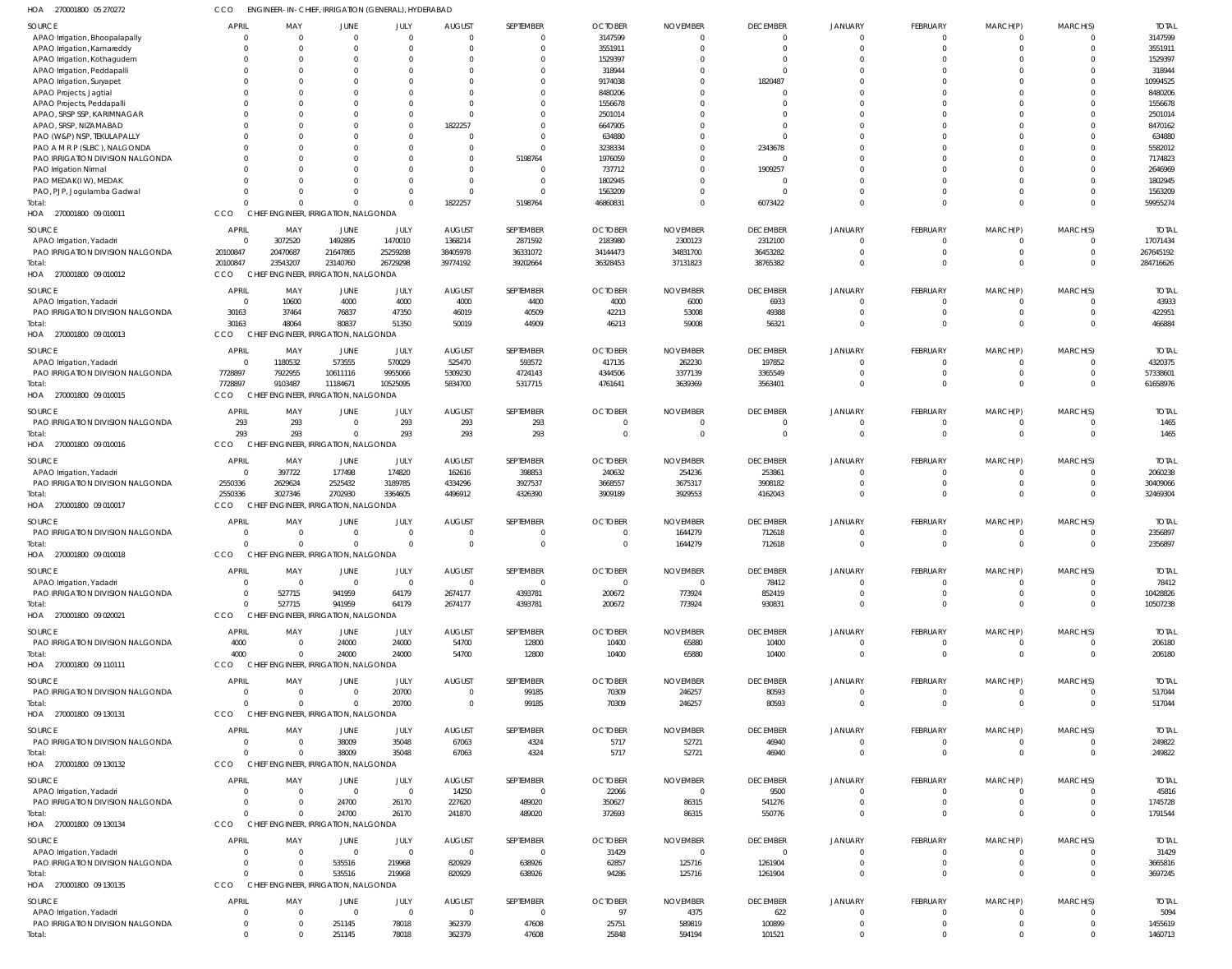| 270001800 05 270272<br>HOA                                   | CCO                      |                                      |                                | ENGINEER-IN-CHIEF, IRRIGATION (GENERAL), HYDERABAD |                        |                      |                         |                                   |                         |                      |                             |                                |                            |                        |
|--------------------------------------------------------------|--------------------------|--------------------------------------|--------------------------------|----------------------------------------------------|------------------------|----------------------|-------------------------|-----------------------------------|-------------------------|----------------------|-----------------------------|--------------------------------|----------------------------|------------------------|
| SOURCE                                                       | <b>APRIL</b>             | MAY                                  | JUNE                           | JULY                                               | <b>AUGUST</b>          | SEPTEMBER            | <b>OCTOBER</b>          | <b>NOVEMBER</b>                   | <b>DECEMBER</b>         | <b>JANUARY</b>       | <b>FEBRUARY</b>             | MARCH(P)                       | MARCH(S)                   | <b>TOTAI</b>           |
| APAO Irrigation, Bhoopalapally                               | $\Omega$                 | $\Omega$                             | $\mathbf{0}$                   | $\overline{0}$                                     | $\overline{0}$         | $\Omega$             | 3147599                 | $\Omega$                          | $\Omega$                | $\Omega$             | $\Omega$                    | 0                              | $\Omega$                   | 3147599                |
| APAO Irrigation, Kamareddy                                   | $\Omega$                 | $\Omega$                             | $\Omega$                       | $\overline{0}$                                     | $\overline{0}$         | $\Omega$             | 3551911                 | C                                 | $\Omega$                |                      | $\Omega$                    | $\Omega$                       | $\Omega$                   | 3551911                |
| APAO Irrigation, Kothagudem                                  | $\Omega$                 | $\Omega$                             | 0                              | $\Omega$                                           | $\Omega$               |                      | 1529397                 | -C                                |                         |                      | $\Omega$                    | $\Omega$                       | $\Omega$                   | 1529397                |
| APAO Irrigation, Peddapalli                                  | $\Omega$                 | $\Omega$                             |                                | 0                                                  | $\Omega$               |                      | 318944                  | C                                 | $\Omega$                |                      | $\Omega$                    | $\Omega$                       | $\Omega$                   | 318944                 |
| APAO Irrigation, Suryapet                                    | $\Omega$                 | $\Omega$                             |                                | $\Omega$                                           | $\Omega$               |                      | 9174038                 | $\Omega$                          | 1820487                 | $\Omega$             | $\Omega$                    | $\Omega$                       | $\Omega$                   | 10994525               |
| APAO Projects, Jagtial                                       | $\Omega$                 |                                      |                                | 0                                                  | $\Omega$               |                      | 8480206                 | C                                 |                         |                      | $\Omega$                    | $\Omega$                       |                            | 8480206                |
| APAO Projects, Peddapalli                                    | $\Omega$                 | $\Omega$                             |                                | $\Omega$                                           | $\Omega$               |                      | 1556678                 | C                                 |                         |                      | $\Omega$                    | $\Omega$                       | $\Omega$                   | 1556678                |
| APAO, SRSP SSP, KARIMNAGAR<br>APAO, SRSP, NIZAMABAD          | $\Omega$                 | $\Omega$<br>$\Omega$                 |                                | $\mathbf{0}$                                       | $\Omega$               |                      | 2501014                 | C<br>C                            |                         | $\Omega$             | $\Omega$<br>$\Omega$        | $\Omega$<br>$\Omega$           | $\Omega$                   | 2501014                |
| PAO (W&P) NSP, TEKULAPALLY                                   | $\Omega$<br>$\Omega$     | $\Omega$                             |                                | $\mathbf{0}$<br>$\mathbf{0}$                       | 1822257<br>$\Omega$    |                      | 6647905<br>634880       | C                                 |                         |                      | $\Omega$                    | $\Omega$                       | $\Omega$                   | 8470162<br>634880      |
| PAO A M R P (SLBC), NALGONDA                                 | $\Omega$                 | $\Omega$                             |                                | $\Omega$                                           | $\Omega$               | $\Omega$             | 3238334                 | C                                 | 2343678                 |                      | $\Omega$                    | $\Omega$                       | $\Omega$                   | 5582012                |
| PAO IRRIGATION DIVISION NALGONDA                             | $\Omega$                 |                                      |                                | $\Omega$                                           | $\overline{0}$         | 5198764              | 1976059                 | C                                 |                         |                      | $\Omega$                    | $\Omega$                       | $\Omega$                   | 7174823                |
| PAO Irrigation Nirmal                                        | $\Omega$                 |                                      |                                | $\Omega$                                           | $\Omega$               | $\Omega$             | 737712                  | $\Omega$                          | 1909257                 |                      | $\Omega$                    | $\Omega$                       | $\Omega$                   | 2646969                |
| PAO MEDAK(IW), MEDAK                                         | $\Omega$                 | $\Omega$                             |                                | $\Omega$                                           | $\Omega$               | $\Omega$             | 1802945                 | $\Omega$                          |                         |                      | $\Omega$                    | $\Omega$                       | $\Omega$                   | 1802945                |
| PAO, PJP, Jogulamba Gadwal                                   | $\Omega$                 | $\Omega$                             | $\Omega$                       | $\Omega$                                           | $\Omega$               |                      | 1563209                 | $\Omega$                          |                         | $\Omega$             | $\Omega$                    | $\Omega$                       | $\Omega$                   | 1563209                |
| Total                                                        | $\Omega$                 | $\Omega$                             | $\Omega$                       | $\Omega$                                           | 1822257                | 5198764              | 46860831                | $\Omega$                          | 6073422                 | $\Omega$             | $\Omega$                    | $\Omega$                       | $\Omega$                   | 59955274               |
| HOA 270001800 09 010011                                      | CCO                      | CHIEF ENGINEER, IRRIGATION, NALGONDA |                                |                                                    |                        |                      |                         |                                   |                         |                      |                             |                                |                            |                        |
|                                                              |                          |                                      |                                |                                                    |                        |                      |                         |                                   |                         |                      |                             |                                |                            |                        |
| SOURCE                                                       | <b>APRIL</b>             | MAY                                  | JUNE                           | JULY                                               | <b>AUGUST</b>          | SEPTEMBER            | <b>OCTOBER</b>          | <b>NOVEMBER</b>                   | <b>DECEMBER</b>         | JANUARY              | <b>FEBRUARY</b>             | MARCH(P)                       | MARCH(S)                   | <b>TOTAI</b>           |
| APAO Irrigation, Yadadri                                     | $\Omega$                 | 3072520<br>20470687                  | 1492895                        | 1470010                                            | 1368214                | 2871592              | 2183980                 | 2300123                           | 2312100                 | $\Omega$<br>$\Omega$ | 0<br>$\mathbf 0$            | $\mathbf{0}$<br>$\overline{0}$ | $\Omega$<br>$\overline{0}$ | 17071434               |
| PAO IRRIGATION DIVISION NALGONDA                             | 20100847<br>20100847     | 23543207                             | 21647865<br>23140760           | 25259288<br>26729298                               | 38405978<br>39774192   | 36331072<br>39202664 | 34144473<br>36328453    | 34831700<br>37131823              | 36453282<br>38765382    | $\Omega$             | $\Omega$                    | $\mathbf{0}$                   | $\Omega$                   | 267645192<br>284716626 |
| HOA 270001800 09 010012                                      | CCO                      | CHIEF ENGINEER, IRRIGATION, NALGONDA |                                |                                                    |                        |                      |                         |                                   |                         |                      |                             |                                |                            |                        |
|                                                              |                          |                                      |                                |                                                    |                        |                      |                         |                                   |                         |                      |                             |                                |                            |                        |
| SOURCE                                                       | <b>APRIL</b>             | MAY                                  | JUNE                           | JULY                                               | <b>AUGUST</b>          | SEPTEMBER            | <b>OCTOBER</b>          | <b>NOVEMBER</b>                   | <b>DECEMBER</b>         | <b>JANUARY</b>       | <b>FEBRUARY</b>             | MARCH(P)                       | MARCH(S)                   | <b>TOTAL</b>           |
| APAO Irrigation, Yadadri                                     | 0                        | 10600                                | 4000                           | 4000                                               | 4000                   | 4400                 | 4000                    | 6000                              | 6933                    | $\Omega$             | $\Omega$                    | 0                              | $\Omega$                   | 43933                  |
| PAO IRRIGATION DIVISION NALGONDA                             | 30163                    | 37464                                | 76837                          | 47350                                              | 46019                  | 40509                | 42213                   | 53008                             | 49388                   | $\Omega$             | $\mathbf 0$                 | $\mathbf{0}$                   | $\Omega$                   | 422951                 |
| Total:                                                       | 30163                    | 48064                                | 80837                          | 51350                                              | 50019                  | 44909                | 46213                   | 59008                             | 56321                   | $\Omega$             | $\Omega$                    | $\Omega$                       | $\Omega$                   | 466884                 |
| 270001800 09 010013<br>HOA                                   | CCO                      | CHIEF ENGINEER, IRRIGATION, NALGONDA |                                |                                                    |                        |                      |                         |                                   |                         |                      |                             |                                |                            |                        |
| SOURCE                                                       | <b>APRIL</b>             | MAY                                  | JUNE                           | JULY                                               | <b>AUGUST</b>          | SEPTEMBER            | <b>OCTOBER</b>          | <b>NOVEMBER</b>                   | <b>DECEMBER</b>         | JANUARY              | <b>FEBRUARY</b>             | MARCH(P)                       | MARCH(S)                   | <b>TOTAL</b>           |
| APAO Irrigation, Yadadri                                     | $\mathbf 0$              | 1180532                              | 573555                         | 570029                                             | 525470                 | 593572               | 417135                  | 262230                            | 197852                  | $\Omega$             | $\overline{0}$              | $\mathbf{0}$                   | $\Omega$                   | 4320375                |
| PAO IRRIGATION DIVISION NALGONDA                             | 7728897                  | 7922955                              | 10611116                       | 9955066                                            | 5309230                | 4724143              | 4344506                 | 3377139                           | 3365549                 | $\Omega$             | $\mathbf 0$                 | $\mathbf 0$                    | $\Omega$                   | 57338601               |
| Total                                                        | 7728897                  | 9103487                              | 11184671                       | 10525095                                           | 5834700                | 5317715              | 4761641                 | 3639369                           | 3563401                 | $\Omega$             | $\mathbf 0$                 | $\mathbf 0$                    | $\Omega$                   | 61658976               |
| HOA 270001800 09 010015                                      | CCO                      | CHIEF ENGINEER, IRRIGATION, NALGONDA |                                |                                                    |                        |                      |                         |                                   |                         |                      |                             |                                |                            |                        |
| SOURCE                                                       | <b>APRIL</b>             | MAY                                  | <b>JUNE</b>                    | JULY                                               | <b>AUGUST</b>          | SEPTEMBER            | <b>OCTOBER</b>          | <b>NOVEMBER</b>                   | <b>DECEMBER</b>         | JANUARY              | <b>FEBRUARY</b>             | MARCH(P)                       | MARCH(S)                   | <b>TOTAL</b>           |
| PAO IRRIGATION DIVISION NALGONDA                             | 293                      | 293                                  | $\mathbf{0}$                   | 293                                                | 293                    | 293                  | $\overline{0}$          | 0                                 | $\Omega$                | $\Omega$             | $\overline{0}$              | $\mathbf{0}$                   | $\overline{0}$             | 1465                   |
| Total                                                        | 293                      | 293                                  | $\mathbf 0$                    | 293                                                | 293                    | 293                  | $\Omega$                | $\overline{0}$                    | $\Omega$                | $\Omega$             | $\mathbf 0$                 | $\mathbf{0}$                   | $\Omega$                   | 1465                   |
| HOA<br>270001800 09 010016                                   | CCO                      | <b>CHIEF</b>                         | ENGINEER, IRRIGATION, NALGONDA |                                                    |                        |                      |                         |                                   |                         |                      |                             |                                |                            |                        |
|                                                              |                          |                                      |                                |                                                    |                        |                      |                         |                                   |                         |                      |                             |                                |                            |                        |
| SOURCE                                                       | <b>APRIL</b>             | MAY                                  | JUNE                           | JULY                                               | <b>AUGUST</b>          | SEPTEMBER            | <b>OCTOBER</b>          | <b>NOVEMBER</b>                   | <b>DECEMBER</b>         | JANUARY              | <b>FEBRUARY</b>             | MARCH(P)                       | MARCH(S)                   | <b>TOTAL</b>           |
| APAO Irrigation, Yadadri                                     | $\mathbf 0$              | 397722                               | 177498                         | 174820                                             | 162616                 | 398853               | 240632                  | 254236                            | 253861                  | $\Omega$             | $\overline{0}$              | $\overline{0}$                 | $\overline{0}$             | 2060238                |
| PAO IRRIGATION DIVISION NALGONDA                             | 2550336                  | 2629624                              | 2525432                        | 3189785                                            | 4334296                | 3927537              | 3668557                 | 3675317                           | 3908182                 | $\Omega$             | $\mathbf 0$                 | $\overline{0}$                 | $\Omega$                   | 30409066               |
| Total                                                        | 2550336                  | 3027346                              | 2702930                        | 3364605                                            | 4496912                | 4326390              | 3909189                 | 3929553                           | 4162043                 | $\Omega$             | $\mathbf 0$                 | $\mathbf 0$                    | $\Omega$                   | 32469304               |
| 270001800 09 010017<br>HOA                                   | CCO                      | CHIEF ENGINEER, IRRIGATION, NALGONDA |                                |                                                    |                        |                      |                         |                                   |                         |                      |                             |                                |                            |                        |
| SOURCE                                                       | <b>APRIL</b>             | MAY                                  | JUNE                           | JULY                                               | <b>AUGUST</b>          | SEPTEMBER            | <b>OCTOBER</b>          | <b>NOVEMBER</b>                   | <b>DECEMBER</b>         | JANUARY              | <b>FEBRUARY</b>             | MARCH(P)                       | MARCH(S)                   | <b>TOTAI</b>           |
| PAO IRRIGATION DIVISION NALGONDA                             | $\Omega$                 | $\Omega$                             | $\mathbf 0$                    | $\overline{0}$                                     | $\overline{0}$         |                      | $\circ$                 | 1644279                           | 712618                  |                      | $\overline{0}$              | $\mathbf{0}$                   | $\Omega$                   | 2356897                |
| Total:                                                       | $\mathbf{0}$             | $\Omega$                             | $\mathbf 0$                    | $\Omega$                                           | $\Omega$               | $\Omega$             | $\Omega$                | 1644279                           | 712618                  | $\Omega$             | $\Omega$                    | $\Omega$                       | $\Omega$                   | 2356897                |
| 270001800 09 010018<br>HOA                                   | <b>CCO</b>               | CHIEF ENGINEER, IRRIGATION, NALGONDA |                                |                                                    |                        |                      |                         |                                   |                         |                      |                             |                                |                            |                        |
| SOURCE                                                       | <b>APRIL</b>             | MAY                                  | JUNE                           | JULY                                               | <b>AUGUST</b>          | SEPTEMBER            | <b>OCTOBER</b>          | <b>NOVEMBER</b>                   | <b>DECEMBER</b>         | JANUARY              | <b>FEBRUARY</b>             | MARCH(P)                       | MARCH(S)                   | <b>TOTAL</b>           |
| APAO Irrigation, Yadadri                                     | $\overline{0}$           | $\Omega$                             | $\overline{0}$                 | $\overline{0}$                                     | $\overline{0}$         | $\Omega$             | $\overline{\mathbf{0}}$ | $\overline{0}$                    | 78412                   | $\Omega$             | $\mathbf 0$                 | $\overline{0}$                 | $\Omega$                   | 78412                  |
| PAO IRRIGATION DIVISION NALGONDA                             | $\Omega$                 | 527715                               | 941959                         | 64179                                              | 2674177                | 4393781              | 200672                  | 773924                            | 852419                  | $\Omega$             | $\mathbf{0}$                | $\overline{0}$                 | $\Omega$                   | 10428826               |
| Total:                                                       | $\overline{0}$           | 527715                               | 941959                         | 64179                                              | 2674177                | 4393781              | 200672                  | 773924                            | 930831                  | $\Omega$             | $\mathbf 0$                 | $\overline{0}$                 | $\Omega$                   | 10507238               |
| HOA 270001800 09 020021                                      | CCO                      | CHIEF ENGINEER, IRRIGATION, NALGONDA |                                |                                                    |                        |                      |                         |                                   |                         |                      |                             |                                |                            |                        |
|                                                              |                          |                                      |                                |                                                    |                        |                      |                         |                                   |                         |                      |                             |                                |                            |                        |
| SOURCE                                                       | <b>APRIL</b>             | MAY                                  | <b>JUNE</b>                    | JULY                                               | <b>AUGUST</b>          | SEPTEMBER            | <b>OCTOBER</b>          | <b>NOVEMBER</b>                   | <b>DECEMBER</b>         | JANUARY              | <b>FEBRUARY</b>             | MARCH(P)                       | MARCH(S)                   | <b>TOTAL</b>           |
| PAO IRRIGATION DIVISION NALGONDA                             | 4000<br>4000             | $\Omega$<br>$\Omega$                 | 24000<br>24000                 | 24000<br>24000                                     | 54700                  | 12800                | 10400                   | 65880                             | 10400                   | $\Omega$<br>$\Omega$ | $\mathbf{0}$<br>$\mathbf 0$ | $\overline{0}$<br>$\mathbf{0}$ | $\overline{0}$<br>$\Omega$ | 206180                 |
| Total:<br>HOA 270001800 09 110111                            | CCO                      | CHIEF ENGINEER, IRRIGATION, NALGONDA |                                |                                                    | 54700                  | 12800                | 10400                   | 65880                             | 10400                   |                      |                             |                                |                            | 206180                 |
|                                                              |                          |                                      |                                |                                                    |                        |                      |                         |                                   |                         |                      |                             |                                |                            |                        |
| SOURCE                                                       | <b>APRIL</b>             | MAY                                  | JUNE                           | JULY                                               | <b>AUGUST</b>          | SEPTEMBER            | <b>OCTOBER</b>          | <b>NOVEMBER</b>                   | <b>DECEMBER</b>         | JANUARY              | <b>FEBRUARY</b>             | MARCH(P)                       | MARCH(S)                   | <b>TOTAL</b>           |
| PAO IRRIGATION DIVISION NALGONDA                             | $\overline{0}$           | $\Omega$                             | $\overline{0}$                 | 20700                                              | $\overline{0}$         | 99185                | 70309                   | 246257                            | 80593                   | $\Omega$             | $\mathbf 0$                 | $\mathbf{0}$                   | $\Omega$                   | 517044                 |
| Total:                                                       | $\Omega$                 | $\Omega$                             | $\Omega$                       | 20700                                              | $\overline{0}$         | 99185                | 70309                   | 246257                            | 80593                   | $\overline{0}$       | $\mathbf 0$                 | $\mathbf{0}$                   | $\Omega$                   | 517044                 |
| HOA 270001800 09 130131                                      | CCO                      | CHIEF ENGINEER, IRRIGATION, NALGONDA |                                |                                                    |                        |                      |                         |                                   |                         |                      |                             |                                |                            |                        |
| SOURCE                                                       | <b>APRIL</b>             | MAY                                  | JUNE                           | JULY                                               | <b>AUGUST</b>          | SEPTEMBER            | <b>OCTOBER</b>          | <b>NOVEMBER</b>                   | <b>DECEMBER</b>         | <b>JANUARY</b>       | <b>FEBRUARY</b>             | MARCH(P)                       | MARCH(S)                   | <b>TOTAL</b>           |
| PAO IRRIGATION DIVISION NALGONDA                             | $^{\circ}$               | $\Omega$                             | 38009                          | 35048                                              | 67063                  | 4324                 | 5717                    | 52721                             | 46940                   | $\Omega$             | $\mathbf{0}$                | $\mathbf{0}$                   | $\overline{0}$             | 249822                 |
| Total:                                                       | $\Omega$                 | $\Omega$                             | 38009                          | 35048                                              | 67063                  | 4324                 | 5717                    | 52721                             | 46940                   | $\Omega$             | $\mathbf 0$                 | $\mathbf{0}$                   | $\overline{0}$             | 249822                 |
| HOA 270001800 09 130132                                      | CCO                      | CHIEF ENGINEER, IRRIGATION, NALGONDA |                                |                                                    |                        |                      |                         |                                   |                         |                      |                             |                                |                            |                        |
|                                                              |                          |                                      |                                |                                                    |                        |                      |                         |                                   |                         |                      |                             |                                |                            |                        |
| SOURCE                                                       | <b>APRIL</b><br>$\Omega$ | MAY<br>$\Omega$                      | JUNE<br>$\overline{0}$         | JULY<br>$\overline{0}$                             | <b>AUGUST</b><br>14250 | SEPTEMBER<br>- 0     | <b>OCTOBER</b>          | <b>NOVEMBER</b><br>$\overline{0}$ | <b>DECEMBER</b><br>9500 | JANUARY              | FEBRUARY<br>0               | MARCH(P)<br>0                  | MARCH(S)<br>$\Omega$       | <b>TOTAL</b><br>45816  |
| APAO Irrigation, Yadadri<br>PAO IRRIGATION DIVISION NALGONDA | $\mathbf 0$              | $\Omega$                             | 24700                          | 26170                                              | 227620                 | 489020               | 22066<br>350627         | 86315                             | 541276                  | $\Omega$             | $\mathbf 0$                 | $\overline{0}$                 | $\overline{0}$             | 1745728                |
| Total:                                                       | $\Omega$                 | $\Omega$                             | 24700                          | 26170                                              | 241870                 | 489020               | 372693                  | 86315                             | 550776                  | $\Omega$             | $\mathbf 0$                 | $\overline{0}$                 | $\Omega$                   | 1791544                |
| HOA 270001800 09 130134                                      | CCO                      | CHIEF ENGINEER, IRRIGATION, NALGONDA |                                |                                                    |                        |                      |                         |                                   |                         |                      |                             |                                |                            |                        |
|                                                              |                          |                                      |                                |                                                    |                        |                      |                         |                                   |                         |                      |                             |                                |                            |                        |
| SOURCE                                                       | <b>APRIL</b>             | MAY                                  | JUNE                           | JULY                                               | <b>AUGUST</b>          | SEPTEMBER            | <b>OCTOBER</b>          | <b>NOVEMBER</b>                   | <b>DECEMBER</b>         | <b>JANUARY</b>       | <b>FEBRUARY</b>             | MARCH(P)                       | MARCH(S)                   | <b>TOTAL</b>           |
| APAO Irrigation, Yadadri                                     | $\Omega$                 | $\Omega$                             | $\overline{0}$                 | $\overline{0}$                                     | $\overline{0}$         | - 0                  | 31429                   | - 0                               |                         | $\Omega$             | $\Omega$                    | 0                              | $\Omega$                   | 31429                  |
| PAO IRRIGATION DIVISION NALGONDA                             | $\mathbf 0$              | $\overline{0}$                       | 535516                         | 219968                                             | 820929                 | 638926               | 62857                   | 125716                            | 1261904                 | $\Omega$             | $\mathbf 0$                 | $\mathbf{0}$                   | $\overline{0}$             | 3665816                |
| Total:                                                       | $\Omega$                 | $\Omega$                             | 535516                         | 219968                                             | 820929                 | 638926               | 94286                   | 125716                            | 1261904                 | $\Omega$             | $\mathbf 0$                 | $\mathbf{0}$                   | $\Omega$                   | 3697245                |
| HOA 270001800 09 130135                                      | CCO                      | CHIEF ENGINEER, IRRIGATION, NALGONDA |                                |                                                    |                        |                      |                         |                                   |                         |                      |                             |                                |                            |                        |
| SOURCE                                                       | <b>APRIL</b>             | MAY                                  | JUNE                           | JULY                                               | <b>AUGUST</b>          | SEPTEMBER            | <b>OCTOBER</b>          | <b>NOVEMBER</b>                   | <b>DECEMBER</b>         | JANUARY              | <b>FEBRUARY</b>             | MARCH(P)                       | MARCH(S)                   | <b>TOTAL</b>           |
| APAO Irrigation, Yadadri                                     | $^{\circ}$               | $\Omega$                             | $\overline{0}$                 | $\overline{0}$                                     | $\overline{0}$         | - 0                  | 97                      | 4375                              | 622                     | $\Omega$             | 0                           | $\mathbf{0}$                   | $\Omega$                   | 5094                   |
| PAO IRRIGATION DIVISION NALGONDA                             | $^{\circ}$               | $\overline{0}$                       | 251145                         | 78018                                              | 362379                 | 47608                | 25751                   | 589819                            | 100899                  | $\Omega$             | $\mathbf 0$                 | $\mathbf 0$                    | $\overline{0}$             | 1455619                |
| Total:                                                       | $\mathbf{0}$             | $\overline{0}$                       | 251145                         | 78018                                              | 362379                 | 47608                | 25848                   | 594194                            | 101521                  | $\overline{0}$       | $\mathbf 0$                 | $\mathbf 0$                    | $\overline{0}$             | 1460713                |
|                                                              |                          |                                      |                                |                                                    |                        |                      |                         |                                   |                         |                      |                             |                                |                            |                        |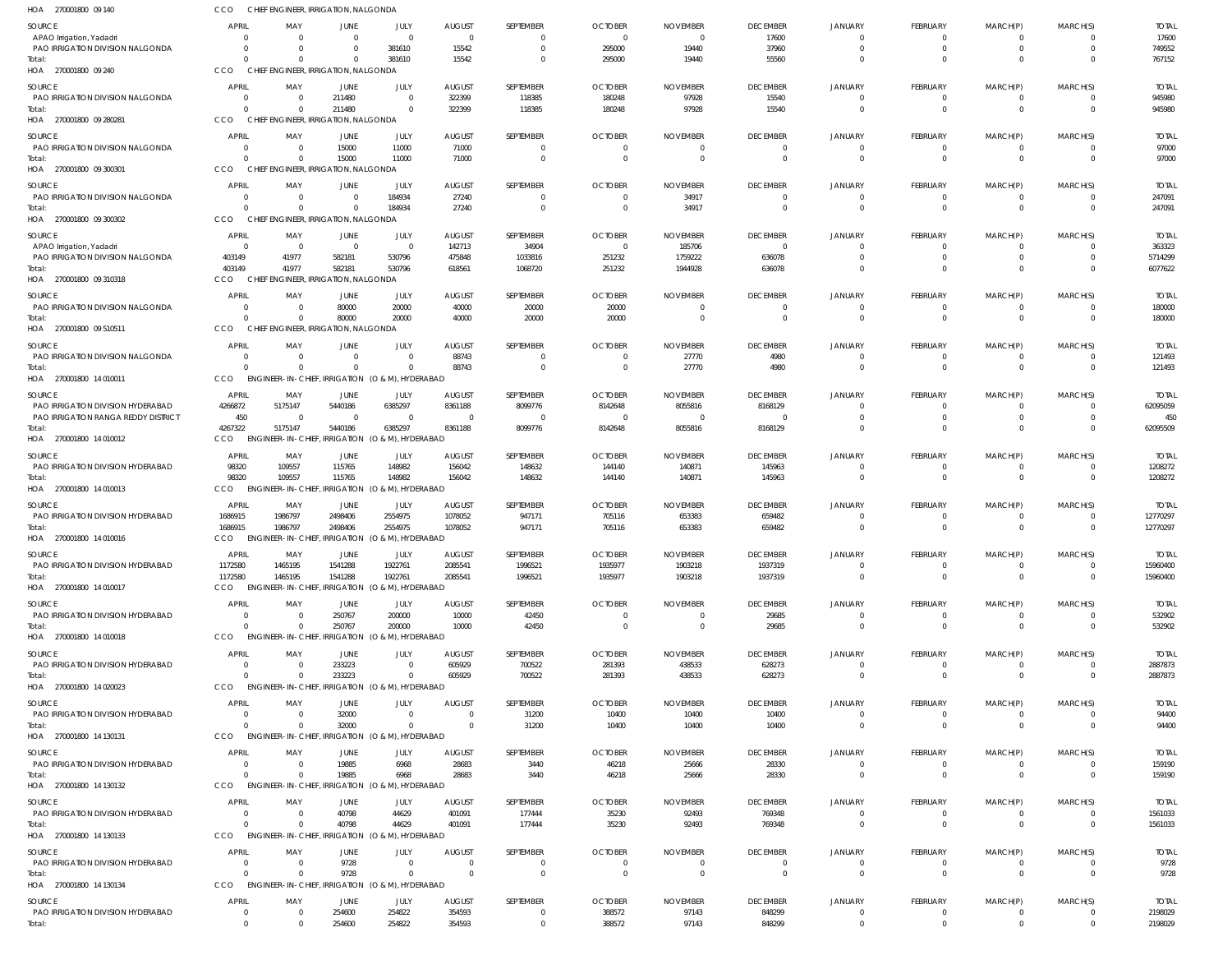| HOA 270001800 09 140                               | CCO                              | CHIEF ENGINEER, IRRIGATION, NALGONDA                        |                            |                                 |                            |                                  |                                  |                            |                             |                             |                                   |                                  |                                |                          |
|----------------------------------------------------|----------------------------------|-------------------------------------------------------------|----------------------------|---------------------------------|----------------------------|----------------------------------|----------------------------------|----------------------------|-----------------------------|-----------------------------|-----------------------------------|----------------------------------|--------------------------------|--------------------------|
| <b>SOURCE</b>                                      | APRIL                            | MAY                                                         | JUNE                       | JULY                            | <b>AUGUST</b>              | SEPTEMBER                        | <b>OCTOBER</b>                   | <b>NOVEMBER</b>            | <b>DECEMBER</b>             | <b>JANUARY</b>              | <b>FEBRUARY</b>                   | MARCH(P)                         | MARCH(S)                       | <b>TOTAL</b>             |
| APAO Irrigation, Yadadri                           | $\Omega$                         | - 0                                                         | $\Omega$                   | $\Omega$                        | $\overline{0}$             | $\overline{0}$                   | $\overline{0}$                   | - 0                        | 17600                       |                             | $\Omega$                          | $\Omega$                         | $\Omega$                       | 17600                    |
| PAO IRRIGATION DIVISION NALGONDA                   | $\Omega$                         | $\Omega$                                                    | $\Omega$                   | 381610                          | 15542                      | $\Omega$                         | 295000                           | 19440                      | 37960                       |                             | $\Omega$                          | $\Omega$                         | $\Omega$                       | 749552                   |
| Total:<br>HOA 270001800 09 240                     | $\Omega$<br>CCO                  | $\Omega$<br>CHIEF ENGINEER, IRRIGATION, NALGONDA            | $\Omega$                   | 381610                          | 15542                      | $\Omega$                         | 295000                           | 19440                      | 55560                       |                             | $\Omega$                          | $\Omega$                         | $\Omega$                       | 767152                   |
|                                                    |                                  |                                                             |                            |                                 |                            |                                  |                                  |                            |                             |                             |                                   |                                  |                                |                          |
| <b>SOURCE</b><br>PAO IRRIGATION DIVISION NALGONDA  | <b>APRIL</b><br>$\Omega$         | MAY<br>$\overline{\mathbf{0}}$                              | JUNE<br>211480             | JULY<br>$\Omega$                | <b>AUGUST</b><br>322399    | SEPTEMBER<br>118385              | <b>OCTOBER</b><br>180248         | <b>NOVEMBER</b><br>97928   | <b>DECEMBER</b><br>15540    | JANUARY<br>$\Omega$         | <b>FEBRUARY</b><br>$\overline{0}$ | MARCH(P)<br>$\overline{0}$       | MARCH(S)<br>$\overline{0}$     | <b>TOTAL</b><br>945980   |
| Total:                                             | $\Omega$                         | $\Omega$                                                    | 211480                     | $\Omega$                        | 322399                     | 118385                           | 180248                           | 97928                      | 15540                       | $\Omega$                    | $\overline{0}$                    | $\mathbf{0}$                     | $\overline{0}$                 | 945980                   |
| HOA 270001800 09 280281                            | CCO                              | CHIEF ENGINEER, IRRIGATION, NALGONDA                        |                            |                                 |                            |                                  |                                  |                            |                             |                             |                                   |                                  |                                |                          |
| <b>SOURCE</b>                                      | APRIL                            | MAY                                                         | JUNE                       | JULY                            | <b>AUGUST</b>              | SEPTEMBER                        | <b>OCTOBER</b>                   | <b>NOVEMBER</b>            | <b>DECEMBER</b>             | <b>JANUARY</b>              | FEBRUARY                          | MARCH(P)                         | MARCH(S)                       | <b>TOTAL</b>             |
| PAO IRRIGATION DIVISION NALGONDA                   | $\Omega$                         | $\overline{\mathbf{0}}$                                     | 15000                      | 11000                           | 71000                      | $\Omega$                         | $\Omega$                         | - 0                        |                             |                             | $\overline{0}$                    | $\Omega$                         | $\Omega$                       | 97000                    |
| Total:                                             | $\Omega$                         | $\Omega$                                                    | 15000                      | 11000                           | 71000                      | $\overline{0}$                   | $\Omega$                         | $\overline{0}$             | $\Omega$                    |                             | $\overline{0}$                    | $\Omega$                         | $\Omega$                       | 97000                    |
| HOA 270001800 09 300301                            | CCO                              | CHIEF ENGINEER, IRRIGATION, NALGONDA                        |                            |                                 |                            |                                  |                                  |                            |                             |                             |                                   |                                  |                                |                          |
| SOURCE                                             | APRIL                            | MAY                                                         | JUNE                       | JULY                            | <b>AUGUST</b>              | SEPTEMBER                        | <b>OCTOBER</b>                   | <b>NOVEMBER</b>            | <b>DECEMBER</b>             | <b>JANUARY</b>              | FEBRUARY                          | MARCH(P)                         | MARCH(S)                       | <b>TOTAL</b>             |
| PAO IRRIGATION DIVISION NALGONDA                   | $\Omega$<br>$\Omega$             | $\overline{\mathbf{0}}$<br>$\Omega$                         | $\overline{0}$<br>$\Omega$ | 184934<br>184934                | 27240<br>27240             | $\overline{0}$<br>$\overline{0}$ | $\overline{0}$<br>$\overline{0}$ | 34917<br>34917             | $\Omega$<br>$\Omega$        | $\Omega$                    | $\overline{0}$<br>$\mathbf{0}$    | $\overline{0}$<br>$\overline{0}$ | $\mathbf{0}$<br>$\overline{0}$ | 247091<br>247091         |
| Total:<br>HOA 270001800 09 300302                  | CCO                              | CHIEF ENGINEER, IRRIGATION, NALGONDA                        |                            |                                 |                            |                                  |                                  |                            |                             |                             |                                   |                                  |                                |                          |
|                                                    |                                  |                                                             |                            |                                 |                            |                                  |                                  |                            |                             |                             |                                   |                                  |                                |                          |
| SOURCE<br>APAO Irrigation, Yadadri                 | <b>APRIL</b><br>$\Omega$         | MAY<br>$\overline{\mathbf{0}}$                              | JUNE<br>$\overline{0}$     | JULY<br>$\Omega$                | <b>AUGUST</b><br>142713    | SEPTEMBER<br>34904               | <b>OCTOBER</b><br>$\overline{0}$ | <b>NOVEMBER</b><br>185706  | <b>DECEMBER</b><br>$\Omega$ | JANUARY                     | <b>FEBRUARY</b><br>$\Omega$       | MARCH(P)<br>$\Omega$             | MARCH(S)<br>$\Omega$           | <b>TOTAL</b><br>363323   |
| PAO IRRIGATION DIVISION NALGONDA                   | 403149                           | 41977                                                       | 582181                     | 530796                          | 475848                     | 1033816                          | 251232                           | 1759222                    | 636078                      |                             | $\Omega$                          | $\Omega$                         | $\Omega$                       | 5714299                  |
| Total:                                             | 403149                           | 41977                                                       | 582181                     | 530796                          | 618561                     | 1068720                          | 251232                           | 1944928                    | 636078                      |                             | $\Omega$                          | $\Omega$                         | $\Omega$                       | 6077622                  |
| HOA 270001800 09 310318                            | CCO                              | CHIEF ENGINEER, IRRIGATION, NALGONDA                        |                            |                                 |                            |                                  |                                  |                            |                             |                             |                                   |                                  |                                |                          |
| SOURCE                                             | APRIL                            | MAY                                                         | JUNE                       | JULY                            | <b>AUGUST</b>              | SEPTEMBER                        | <b>OCTOBER</b>                   | <b>NOVEMBER</b>            | <b>DECEMBER</b>             | <b>JANUARY</b>              | <b>FEBRUARY</b>                   | MARCH(P)                         | MARCH(S)                       | <b>TOTAL</b>             |
| PAO IRRIGATION DIVISION NALGONDA                   | $\Omega$                         | $\overline{\mathbf{0}}$                                     | 80000                      | 20000                           | 40000                      | 20000                            | 20000                            | - 0                        | $\Omega$                    |                             | $\overline{0}$                    | $\overline{0}$                   | $\Omega$                       | 180000                   |
| Total:                                             | $\Omega$                         | - 0                                                         | 80000                      | 20000                           | 40000                      | 20000                            | 20000                            | $\overline{0}$             | $\Omega$                    | $\Omega$                    | $\overline{0}$                    | $\overline{0}$                   | $\overline{0}$                 | 180000                   |
| HOA 270001800 09 510511                            | CCO                              | CHIEF ENGINEER, IRRIGATION, NALGONDA                        |                            |                                 |                            |                                  |                                  |                            |                             |                             |                                   |                                  |                                |                          |
| SOURCE                                             | <b>APRIL</b>                     | MAY                                                         | JUNE                       | JULY                            | <b>AUGUST</b>              | SEPTEMBER                        | <b>OCTOBER</b>                   | <b>NOVEMBER</b>            | <b>DECEMBER</b>             | JANUARY                     | <b>FEBRUARY</b>                   | MARCH(P)                         | MARCH(S)                       | <b>TOTAL</b>             |
| PAO IRRIGATION DIVISION NALGONDA                   | $\Omega$<br>$\Omega$             | $\Omega$<br>$\Omega$                                        | $\Omega$<br>$\Omega$       | $\Omega$<br>$\Omega$            | 88743<br>88743             | $\Omega$<br>$\mathbf{0}$         | $\overline{0}$<br>$\overline{0}$ | 27770<br>27770             | 4980<br>4980                | $\Omega$                    | $\overline{0}$<br>$\Omega$        | $\overline{0}$<br>$\Omega$       | $\Omega$<br>$\Omega$           | 121493<br>121493         |
| Total:<br>HOA 270001800 14 010011                  | CCO                              | ENGINEER-IN-CHIEF, IRRIGATION (O & M), HYDERABAD            |                            |                                 |                            |                                  |                                  |                            |                             |                             |                                   |                                  |                                |                          |
|                                                    |                                  |                                                             |                            |                                 |                            |                                  |                                  |                            |                             |                             |                                   |                                  |                                |                          |
| <b>SOURCE</b><br>PAO IRRIGATION DIVISION HYDERABAD | <b>APRIL</b><br>4266872          | MAY<br>5175147                                              | JUNE<br>5440186            | JULY<br>6385297                 | <b>AUGUST</b><br>8361188   | SEPTEMBER<br>8099776             | <b>OCTOBER</b><br>8142648        | <b>NOVEMBER</b><br>8055816 | <b>DECEMBER</b><br>8168129  | JANUARY<br>$\Omega$         | FEBRUARY<br>$\overline{0}$        | MARCH(P)<br>$\overline{0}$       | MARCH(S)<br>$\mathbf{0}$       | <b>TOTAL</b><br>62095059 |
| PAO IRRIGATION RANGA REDDY DISTRICT                | 450                              | $\overline{\mathbf{0}}$                                     | $\overline{0}$             | $\overline{0}$                  | $\Omega$                   | $\overline{0}$                   | $\overline{0}$                   | $\overline{\phantom{0}}$   | $\Omega$                    | $\Omega$                    | $\overline{0}$                    | $\overline{0}$                   | $\Omega$                       | 450                      |
| Total                                              | 4267322                          | 5175147                                                     | 5440186                    | 6385297                         | 8361188                    | 8099776                          | 8142648                          | 8055816                    | 8168129                     |                             | $\Omega$                          | $\Omega$                         | $\mathbf 0$                    | 62095509                 |
| HOA 270001800 14 010012                            | CCO                              | ENGINEER-IN-CHIEF, IRRIGATION (O & M), HYDERABAD            |                            |                                 |                            |                                  |                                  |                            |                             |                             |                                   |                                  |                                |                          |
| SOURCE                                             | APRIL                            | MAY                                                         | JUNE                       | JULY                            | <b>AUGUST</b>              | SEPTEMBER                        | <b>OCTOBER</b>                   | <b>NOVEMBER</b>            | <b>DECEMBER</b>             | JANUARY                     | <b>FEBRUARY</b>                   | MARCH(P)                         | MARCH(S)                       | <b>TOTAL</b>             |
| PAO IRRIGATION DIVISION HYDERABAD                  | 98320                            | 109557                                                      | 115765                     | 148982                          | 156042                     | 148632                           | 144140                           | 140871                     | 145963                      |                             | $\Omega$                          | $\Omega$                         | $\Omega$                       | 1208272                  |
| Total:                                             | 98320                            | 109557                                                      | 115765                     | 148982                          | 156042                     | 148632                           | 144140                           | 140871                     | 145963                      | $\Omega$                    | $\overline{0}$                    | $\Omega$                         | $\Omega$                       | 1208272                  |
| HOA 270001800 14 010013                            | CCO                              | <b>ENGINEER-IN-CHIEF</b>                                    |                            | IRRIGATION (O & M), HYDERABAD   |                            |                                  |                                  |                            |                             |                             |                                   |                                  |                                |                          |
| <b>SOURCE</b>                                      | APRIL                            | MAY                                                         | JUNE                       | JULY                            | <b>AUGUST</b>              | SEPTEMBER                        | <b>OCTOBER</b>                   | <b>NOVEMBER</b>            | <b>DECEMBER</b>             | <b>JANUARY</b>              | FEBRUARY                          | MARCH(P)                         | MARCH(S)                       | <b>TOTAL</b>             |
| PAO IRRIGATION DIVISION HYDERABAD                  | 1686915                          | 1986797                                                     | 2498406                    | 2554975                         | 1078052                    | 947171                           | 705116                           | 653383                     | 659482                      | $\Omega$                    | $\overline{0}$                    | $\overline{0}$                   | $\overline{0}$                 | 12770297                 |
| Total:<br>HOA 270001800 14 010016                  | 1686915<br>CCO                   | 1986797<br>ENGINEER-IN-CHIEF, IRRIGATION (O & M), HYDERABAD | 2498406                    | 2554975                         | 1078052                    | 947171                           | 705116                           | 653383                     | 659482                      |                             | $\Omega$                          | $\Omega$                         | $\Omega$                       | 12770297                 |
|                                                    |                                  |                                                             |                            |                                 |                            |                                  |                                  |                            |                             |                             |                                   |                                  |                                |                          |
| SOURCE<br>PAO IRRIGATION DIVISION HYDERABAD        | <b>APRIL</b><br>1172580          | MAY<br>1465195                                              | JUNE<br>1541288            | JULY<br>1922761                 | <b>AUGUST</b><br>2085541   | SEPTEMBER<br>1996521             | <b>OCTOBER</b><br>1935977        | <b>NOVEMBER</b><br>1903218 | <b>DECEMBER</b><br>1937319  | JANUARY                     | FEBRUARY<br>$\Omega$              | MARCH(P)<br>$\Omega$             | MARCH(S)<br>$\Omega$           | <b>TOTAL</b><br>15960400 |
| Total:                                             | 1172580                          | 1465195                                                     | 1541288                    | 1922761                         | 2085541                    | 1996521                          | 1935977                          | 1903218                    | 1937319                     | $\Omega$                    | $\overline{0}$                    | $\overline{0}$                   | $\overline{0}$                 | 15960400                 |
| HOA 270001800 14 010017                            | CCO                              | <b>ENGINEER-IN-CHIEF</b>                                    |                            | IRRIGATION (O & M), HYDERABAD   |                            |                                  |                                  |                            |                             |                             |                                   |                                  |                                |                          |
| SOURCE                                             | <b>APRIL</b>                     | MAY                                                         | JUNE                       | JULY                            | <b>AUGUST</b>              | SEPTEMBER                        | <b>OCTOBER</b>                   | <b>NOVEMBER</b>            | <b>DECEMBER</b>             | <b>JANUARY</b>              | <b>FEBRUARY</b>                   | MARCH(P)                         | MARCH(S)                       | <b>TOTAL</b>             |
| PAO IRRIGATION DIVISION HYDERABAD                  | $\Omega$                         | - 0                                                         | 250767                     | 200000                          | 10000                      | 42450                            | $\overline{0}$                   | $\overline{0}$             | 29685                       |                             | $\overline{0}$                    | $\mathbf{0}$                     | $\mathbf{0}$                   | 532902                   |
| Total:                                             | $\Omega$                         | - 0                                                         | 250767                     | 200000                          | 10000                      | 42450                            | $\overline{0}$                   | $\overline{\mathbf{0}}$    | 29685                       | $\Omega$                    | $\overline{0}$                    | $\mathbf{0}$                     | $\overline{0}$                 | 532902                   |
| HOA 270001800 14 010018                            | CCO                              | ENGINEER-IN-CHIEF, IRRIGATION (O & M), HYDERABAD            |                            |                                 |                            |                                  |                                  |                            |                             |                             |                                   |                                  |                                |                          |
| <b>SOURCE</b>                                      | APRIL                            | MAY                                                         | JUNE                       | JULY                            | <b>AUGUST</b>              | SEPTEMBER                        | <b>OCTOBER</b>                   | <b>NOVEMBER</b>            | <b>DECEMBER</b>             | <b>JANUARY</b>              | <b>FEBRUARY</b>                   | MARCH(P)                         | MARCH(S)                       | <b>TOTAL</b>             |
| PAO IRRIGATION DIVISION HYDERABAD                  | $\Omega$                         | $\Omega$                                                    | 233223                     | $\Omega$                        | 605929                     | 700522                           | 281393                           | 438533                     | 628273                      |                             | $\Omega$                          | $\overline{0}$                   | $\Omega$                       | 2887873                  |
| Total:                                             | $\Omega$<br>CCO                  | $\Omega$<br><b>ENGINEER-IN-CHIEF</b>                        | 233223                     | $\Omega$                        | 605929                     | 700522                           | 281393                           | 438533                     | 628273                      | $\Omega$                    | $\overline{0}$                    | $\mathbf{0}$                     | $\mathbf{0}$                   | 2887873                  |
| HOA 270001800 14 020023                            |                                  |                                                             |                            | , IRRIGATION (O & M), HYDERABAD |                            |                                  |                                  |                            |                             |                             |                                   |                                  |                                |                          |
| SOURCE                                             | <b>APRIL</b>                     | MAY                                                         | JUNE                       | JULY                            | <b>AUGUST</b>              | SEPTEMBER                        | <b>OCTOBER</b>                   | <b>NOVEMBER</b>            | <b>DECEMBER</b>             | <b>JANUARY</b>              | <b>FEBRUARY</b>                   | MARCH(P)                         | MARCH(S)                       | <b>TOTAL</b>             |
| PAO IRRIGATION DIVISION HYDERABAD<br>Total:        | $\Omega$<br>$\Omega$             | $\overline{0}$<br>- 0                                       | 32000<br>32000             | $\Omega$<br>$\Omega$            | $\overline{0}$<br>$\Omega$ | 31200<br>31200                   | 10400<br>10400                   | 10400<br>10400             | 10400<br>10400              | $\mathbf{0}$<br>$\Omega$    | $\overline{0}$<br>$\mathbf{0}$    | $\overline{0}$<br>$\overline{0}$ | $\overline{0}$<br>$\mathbf{0}$ | 94400<br>94400           |
| HOA 270001800 14 130131                            | CCO                              | ENGINEER-IN-CHIEF, IRRIGATION (O & M), HYDERABAD            |                            |                                 |                            |                                  |                                  |                            |                             |                             |                                   |                                  |                                |                          |
|                                                    | APRIL                            |                                                             |                            |                                 |                            |                                  |                                  |                            |                             |                             |                                   |                                  |                                |                          |
| SOURCE<br>PAO IRRIGATION DIVISION HYDERABAD        | $\Omega$                         | MAY<br>- 0                                                  | JUNE<br>19885              | JULY<br>6968                    | <b>AUGUST</b><br>28683     | SEPTEMBER<br>3440                | <b>OCTOBER</b><br>46218          | <b>NOVEMBER</b><br>25666   | <b>DECEMBER</b><br>28330    | <b>JANUARY</b>              | FEBRUARY<br>$\overline{0}$        | MARCH(P)<br>$\Omega$             | MARCH(S)<br>$\Omega$           | <b>TOTAL</b><br>159190   |
| Total:                                             | $\Omega$                         | $\Omega$                                                    | 19885                      | 6968                            | 28683                      | 3440                             | 46218                            | 25666                      | 28330                       | $\mathbf{0}$                | $\overline{0}$                    | $\overline{0}$                   | $\mathbf{0}$                   | 159190                   |
| HOA 270001800 14 130132                            | CCO                              | <b>ENGINEER-IN-CHIEF</b>                                    |                            | , IRRIGATION (O & M), HYDERABAD |                            |                                  |                                  |                            |                             |                             |                                   |                                  |                                |                          |
| <b>SOURCE</b>                                      | <b>APRIL</b>                     | MAY                                                         | JUNE                       | JULY                            | <b>AUGUST</b>              | SEPTEMBER                        | <b>OCTOBER</b>                   | <b>NOVEMBER</b>            | <b>DECEMBER</b>             | <b>JANUARY</b>              | <b>FEBRUARY</b>                   | MARCH(P)                         | MARCH(S)                       | <b>TOTAL</b>             |
| PAO IRRIGATION DIVISION HYDERABAD                  | $\overline{0}$                   | $\overline{\mathbf{0}}$                                     | 40798                      | 44629                           | 401091                     | 177444                           | 35230                            | 92493                      | 769348                      |                             | $\overline{0}$                    | $\overline{0}$                   | $\mathbf{0}$                   | 1561033                  |
| Total:                                             | $\Omega$                         | $\overline{0}$                                              | 40798                      | 44629                           | 401091                     | 177444                           | 35230                            | 92493                      | 769348                      | $\Omega$                    | $\overline{0}$                    | $\mathbf{0}$                     | $\mathbf{0}$                   | 1561033                  |
| HOA 270001800 14 130133                            | CCO                              | ENGINEER-IN-CHIEF, IRRIGATION (O & M), HYDERABAD            |                            |                                 |                            |                                  |                                  |                            |                             |                             |                                   |                                  |                                |                          |
| SOURCE                                             | <b>APRIL</b>                     | MAY                                                         | JUNE                       | JULY                            | <b>AUGUST</b>              | SEPTEMBER                        | <b>OCTOBER</b>                   | <b>NOVEMBER</b>            | <b>DECEMBER</b>             | <b>JANUARY</b>              | <b>FEBRUARY</b>                   | MARCH(P)                         | MARCH(S)                       | <b>TOTAL</b>             |
| PAO IRRIGATION DIVISION HYDERABAD                  | $\Omega$                         | $\overline{\mathbf{0}}$                                     | 9728                       | $\Omega$                        | $\Omega$                   | $\overline{0}$                   | $\overline{0}$                   | $\overline{0}$             | $\Omega$                    |                             | $\overline{0}$                    | $\overline{0}$                   | $\Omega$                       | 9728                     |
| Total:                                             | $\Omega$                         | $\Omega$                                                    | 9728                       | $\Omega$                        | $\Omega$                   | $\mathbf{0}$                     | $\Omega$                         | $\Omega$                   | $\Omega$                    | $\Omega$                    | $\Omega$                          | $\Omega$                         | $\Omega$                       | 9728                     |
| HOA 270001800 14 130134                            | CCO                              | ENGINEER-IN-CHIEF, IRRIGATION (O & M), HYDERABAD            |                            |                                 |                            |                                  |                                  |                            |                             |                             |                                   |                                  |                                |                          |
| SOURCE                                             | <b>APRIL</b>                     | MAY                                                         | JUNE                       | JULY                            | <b>AUGUST</b>              | SEPTEMBER                        | <b>OCTOBER</b>                   | <b>NOVEMBER</b>            | <b>DECEMBER</b>             | <b>JANUARY</b>              | <b>FEBRUARY</b>                   | MARCH(P)                         | MARCH(S)                       | <b>TOTAL</b>             |
| PAO IRRIGATION DIVISION HYDERABAD<br>Total:        | $\overline{0}$<br>$\overline{0}$ | $\overline{\mathbf{0}}$<br>$\Omega$                         | 254600<br>254600           | 254822<br>254822                | 354593<br>354593           | $\mathbf 0$<br>$\overline{0}$    | 388572<br>388572                 | 97143<br>97143             | 848299<br>848299            | $\mathbf 0$<br>$\mathbf{0}$ | $\overline{0}$<br>$\overline{0}$  | $\mathbf 0$<br>$\mathbf{0}$      | $\overline{0}$<br>$\mathbf 0$  | 2198029<br>2198029       |
|                                                    |                                  |                                                             |                            |                                 |                            |                                  |                                  |                            |                             |                             |                                   |                                  |                                |                          |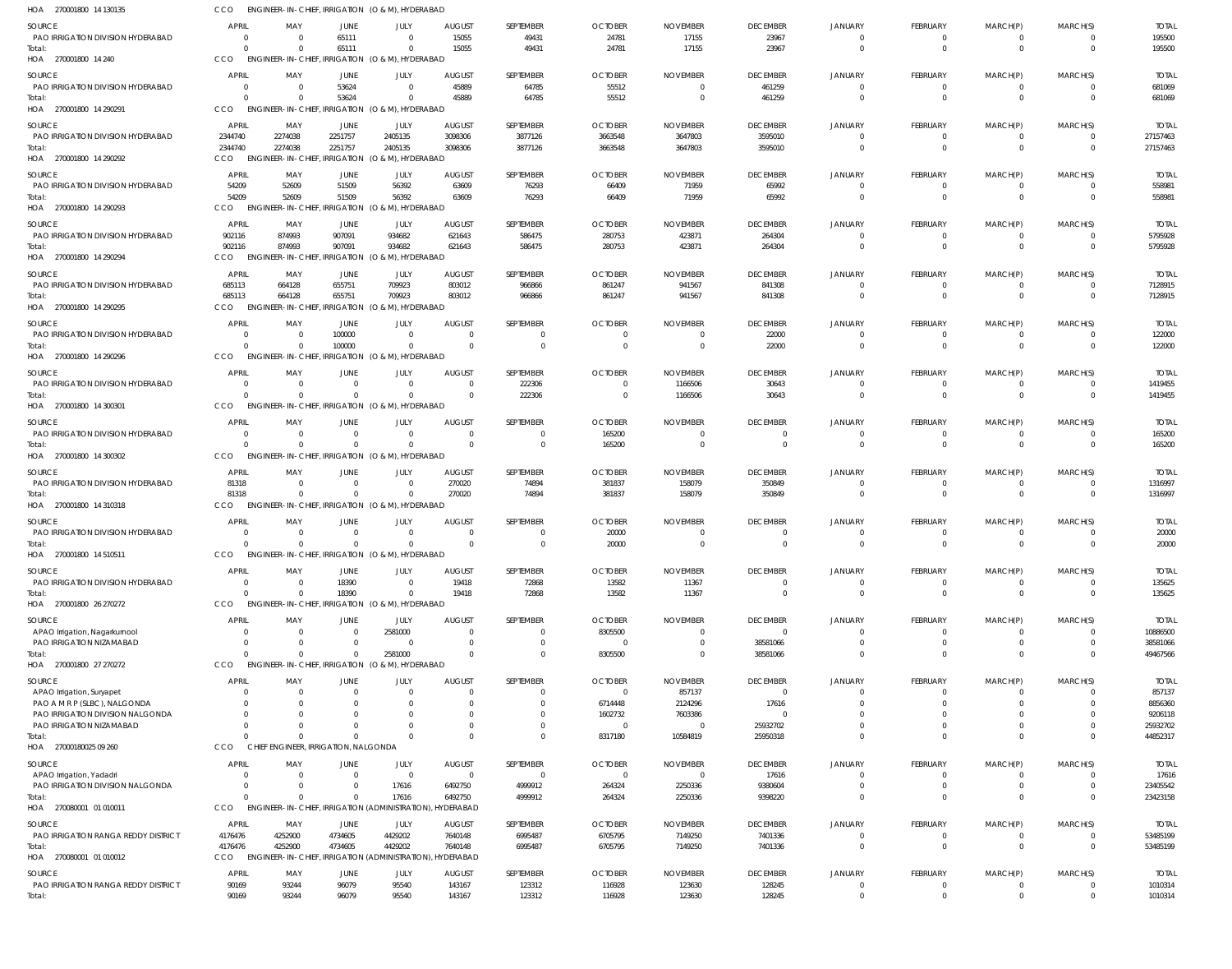| HOA 270001800 14 130135                                      | CCO                      | ENGINEER-IN-CHIEF, IRRIGATION (O & M), HYDERABAD             |                      |                                 |                            |                     |                                  |                                   |                                   |                            |                            |                            |                      |                         |
|--------------------------------------------------------------|--------------------------|--------------------------------------------------------------|----------------------|---------------------------------|----------------------------|---------------------|----------------------------------|-----------------------------------|-----------------------------------|----------------------------|----------------------------|----------------------------|----------------------|-------------------------|
| <b>SOURCE</b>                                                | <b>APRIL</b>             | MAY                                                          | JUNE                 | JULY                            | <b>AUGUST</b>              | SEPTEMBER           | <b>OCTOBER</b>                   | <b>NOVEMBER</b>                   | <b>DECEMBER</b>                   | <b>JANUARY</b>             | FEBRUARY                   | MARCH(P)                   | MARCH(S)             | <b>TOTAL</b>            |
| PAO IRRIGATION DIVISION HYDERABAD                            | $\Omega$                 | $\Omega$                                                     | 65111                | $\Omega$                        | 15055                      | 49431               | 24781                            | 17155                             | 23967                             | $\Omega$                   | $^{\circ}$                 | $^{\circ}$                 | - 0                  | 195500                  |
| Total:<br>HOA 270001800 14 240                               | $\Omega$<br>CCO          | $\Omega$<br>ENGINEER-IN-CHIEF, IRRIGATION (O & M), HYDERABAD | 65111                | $\Omega$                        | 15055                      | 49431               | 24781                            | 17155                             | 23967                             | $\Omega$                   | $\overline{0}$             | $\overline{0}$             | $\Omega$             | 195500                  |
|                                                              |                          |                                                              |                      |                                 |                            |                     |                                  |                                   |                                   |                            |                            |                            |                      |                         |
| <b>SOURCE</b><br>PAO IRRIGATION DIVISION HYDERABAD           | <b>APRIL</b><br>$\Omega$ | MAY<br>$\overline{0}$                                        | JUNE<br>53624        | JULY<br>$\Omega$                | <b>AUGUST</b><br>45889     | SEPTEMBER<br>64785  | <b>OCTOBER</b><br>55512          | <b>NOVEMBER</b><br>$\overline{0}$ | <b>DECEMBER</b><br>461259         | <b>JANUARY</b><br>$\Omega$ | FEBRUARY<br>$\mathbf 0$    | MARCH(P)<br>$\mathbf 0$    | MARCH(S)<br>$\Omega$ | <b>TOTAL</b><br>681069  |
| Total:                                                       | $\Omega$                 | $\Omega$                                                     | 53624                | $\Omega$                        | 45889                      | 64785               | 55512                            | $\overline{0}$                    | 461259                            | $\Omega$                   | $\mathbf 0$                | $\overline{0}$             | $\Omega$             | 681069                  |
| HOA 270001800 14 290291                                      | CCO                      | ENGINEER-IN-CHIEF, IRRIGATION (O & M), HYDERABAD             |                      |                                 |                            |                     |                                  |                                   |                                   |                            |                            |                            |                      |                         |
| SOURCE                                                       | <b>APRIL</b>             | MAY                                                          | JUNE                 | JULY                            | <b>AUGUST</b>              | SEPTEMBER           | <b>OCTOBER</b>                   | <b>NOVEMBER</b>                   | <b>DECEMBER</b>                   | <b>JANUARY</b>             | FEBRUARY                   | MARCH(P)                   | MARCH(S)             | <b>TOTAL</b>            |
| PAO IRRIGATION DIVISION HYDERABAD                            | 2344740                  | 2274038                                                      | 2251757              | 2405135                         | 3098306                    | 3877126             | 3663548                          | 3647803                           | 3595010                           | $\Omega$                   | $^{\circ}$                 | $^{\circ}$                 | $\Omega$             | 27157463                |
| Total:                                                       | 2344740                  | 2274038                                                      | 2251757              | 2405135                         | 3098306                    | 3877126             | 3663548                          | 3647803                           | 3595010                           | $\Omega$                   | $\overline{0}$             | $\overline{0}$             | $\overline{0}$       | 27157463                |
| HOA 270001800 14 290292                                      | CCO                      | <b>ENGINEER-IN-CHIEF</b>                                     |                      | , IRRIGATION (O & M), HYDERABAD |                            |                     |                                  |                                   |                                   |                            |                            |                            |                      |                         |
| <b>SOURCE</b>                                                | <b>APRIL</b>             | MAY                                                          | <b>JUNE</b>          | JULY                            | <b>AUGUST</b>              | SEPTEMBER           | <b>OCTOBER</b>                   | <b>NOVEMBER</b>                   | <b>DECEMBER</b>                   | <b>JANUARY</b>             | FEBRUARY                   | MARCH(P)                   | MARCH(S)             | <b>TOTAL</b>            |
| PAO IRRIGATION DIVISION HYDERABAD                            | 54209                    | 52609                                                        | 51509                | 56392                           | 63609                      | 76293               | 66409                            | 71959                             | 65992                             | $\Omega$                   | $^{\circ}$                 | -0                         | $\Omega$             | 558981                  |
| Total:<br>HOA 270001800 14 290293                            | 54209<br>CCO             | 52609<br>ENGINEER-IN-CHIEF, IRRIGATION (O & M), HYDERABAD    | 51509                | 56392                           | 63609                      | 76293               | 66409                            | 71959                             | 65992                             | $\Omega$                   | $\mathbf 0$                | $\mathbf 0$                | $\Omega$             | 558981                  |
|                                                              |                          |                                                              |                      |                                 |                            |                     |                                  |                                   |                                   |                            |                            |                            |                      |                         |
| <b>SOURCE</b><br>PAO IRRIGATION DIVISION HYDERABAD           | <b>APRIL</b><br>902116   | MAY<br>874993                                                | JUNE<br>907091       | JULY<br>934682                  | <b>AUGUST</b><br>621643    | SEPTEMBER<br>586475 | <b>OCTOBER</b><br>280753         | <b>NOVEMBER</b><br>423871         | <b>DECEMBER</b><br>264304         | <b>JANUARY</b><br>$\Omega$ | FEBRUARY<br>$\mathbf 0$    | MARCH(P)<br>$\overline{0}$ | MARCH(S)<br>$\Omega$ | <b>TOTAL</b><br>5795928 |
| Total:                                                       | 902116                   | 874993                                                       | 907091               | 934682                          | 621643                     | 586475              | 280753                           | 423871                            | 264304                            | $\Omega$                   | $\mathbf 0$                | $\overline{0}$             | $\Omega$             | 5795928                 |
| HOA 270001800 14 290294                                      | CCO                      | <b>ENGINEER-IN-CHIEF</b>                                     |                      | IRRIGATION (O & M), HYDERABAD   |                            |                     |                                  |                                   |                                   |                            |                            |                            |                      |                         |
| SOURCE                                                       | APRIL                    | MAY                                                          | JUNE                 | JULY                            | <b>AUGUST</b>              | SEPTEMBER           | <b>OCTOBER</b>                   | <b>NOVEMBER</b>                   | <b>DECEMBER</b>                   | <b>JANUARY</b>             | FEBRUARY                   | MARCH(P)                   | MARCH(S)             | <b>TOTAL</b>            |
| PAO IRRIGATION DIVISION HYDERABAD                            | 685113                   | 664128                                                       | 655751               | 709923                          | 803012                     | 966866              | 861247                           | 941567                            | 841308                            | $\Omega$                   | $^{\circ}$                 | $\mathbf 0$                | $\Omega$             | 7128915                 |
| Total:                                                       | 685113                   | 664128                                                       | 655751               | 709923                          | 803012                     | 966866              | 861247                           | 941567                            | 841308                            | $\Omega$                   | $\mathbf 0$                | $\overline{0}$             | $\Omega$             | 7128915                 |
| HOA 270001800 14 290295                                      | CCO                      | ENGINEER-IN-CHIEF, IRRIGATION (O & M), HYDERABAD             |                      |                                 |                            |                     |                                  |                                   |                                   |                            |                            |                            |                      |                         |
| SOURCE                                                       | APRIL                    | MAY                                                          | JUNE                 | JULY                            | <b>AUGUST</b>              | SEPTEMBER           | <b>OCTOBER</b>                   | <b>NOVEMBER</b>                   | <b>DECEMBER</b>                   | <b>JANUARY</b>             | FEBRUARY                   | MARCH(P)                   | MARCH(S)             | <b>TOTAL</b>            |
| PAO IRRIGATION DIVISION HYDERABAD                            | $\Omega$                 | $\overline{\mathbf{0}}$                                      | 100000               | $\Omega$                        | $\overline{0}$             | $\Omega$            | $\overline{0}$                   | $\overline{0}$                    | 22000                             | $\Omega$                   | $^{\circ}$                 | $^{\circ}$                 | $\Omega$             | 122000                  |
| Total:                                                       | $\Omega$<br>CCO          | $\Omega$<br><b>ENGINEER-IN-CHIEF.</b>                        | 100000               | $\Omega$                        | $\Omega$                   | $\Omega$            | $\overline{0}$                   | $\overline{0}$                    | 22000                             | $\Omega$                   | $\mathbf 0$                | $\overline{0}$             | $\Omega$             | 122000                  |
| HOA 270001800 14 290296                                      |                          |                                                              |                      | , IRRIGATION (O & M), HYDERABAD |                            |                     |                                  |                                   |                                   |                            |                            |                            |                      |                         |
| <b>SOURCE</b>                                                | <b>APRIL</b>             | MAY                                                          | JUNE                 | JULY                            | <b>AUGUST</b>              | SEPTEMBER           | <b>OCTOBER</b>                   | <b>NOVEMBER</b>                   | <b>DECEMBER</b>                   | <b>JANUARY</b>             | FEBRUARY                   | MARCH(P)                   | MARCH(S)             | <b>TOTAL</b>            |
| PAO IRRIGATION DIVISION HYDERABAD<br>Total:                  | $\Omega$<br>$\Omega$     | $\overline{\mathbf{0}}$<br>$\Omega$                          | - 0<br>$\Omega$      | $\Omega$<br>$\Omega$            | $\overline{0}$<br>$\Omega$ | 222306<br>222306    | $\overline{0}$<br>$\overline{0}$ | 1166506<br>1166506                | 30643<br>30643                    | $\Omega$<br>$\Omega$       | $^{\circ}$<br>$\mathbf 0$  | -0<br>$\mathbf 0$          | $\Omega$<br>$\Omega$ | 1419455<br>1419455      |
| HOA 270001800 14 300301                                      | CCO                      | ENGINEER-IN-CHIEF, IRRIGATION (O & M), HYDERABAD             |                      |                                 |                            |                     |                                  |                                   |                                   |                            |                            |                            |                      |                         |
| <b>SOURCE</b>                                                | <b>APRIL</b>             | MAY                                                          | JUNE                 | JULY                            | <b>AUGUST</b>              | <b>SEPTEMBER</b>    | <b>OCTOBER</b>                   | <b>NOVEMBER</b>                   | <b>DECEMBER</b>                   | <b>JANUARY</b>             | FEBRUARY                   | MARCH(P)                   | MARCH(S)             | <b>TOTAL</b>            |
| PAO IRRIGATION DIVISION HYDERABAD                            | $\Omega$                 | $\overline{\mathbf{0}}$                                      | - 0                  | $\Omega$                        | $\overline{0}$             | $\Omega$            | 165200                           | $\overline{0}$                    | $\overline{0}$                    | $\Omega$                   | $^{\circ}$                 | $^{\circ}$                 | $\Omega$             | 165200                  |
| Total:                                                       | $\Omega$                 | $\Omega$                                                     | $\Omega$             | $\Omega$                        | $\Omega$                   | $\mathbf 0$         | 165200                           | $\overline{0}$                    | $\overline{0}$                    | $\Omega$                   | $\overline{0}$             | $\overline{0}$             | $\Omega$             | 165200                  |
| HOA 270001800 14 300302                                      | CCO                      | ENGINEER-IN-CHIEF, IRRIGATION (O & M), HYDERABAD             |                      |                                 |                            |                     |                                  |                                   |                                   |                            |                            |                            |                      |                         |
| <b>SOURCE</b>                                                | <b>APRIL</b>             | MAY                                                          | JUNE                 | JULY                            | <b>AUGUST</b>              | SEPTEMBER           | <b>OCTOBER</b>                   | <b>NOVEMBER</b>                   | <b>DECEMBER</b>                   | <b>JANUARY</b>             | FEBRUARY                   | MARCH(P)                   | MARCH(S)             | <b>TOTAL</b>            |
| PAO IRRIGATION DIVISION HYDERABAD                            | 81318                    | $\overline{\mathbf{0}}$                                      | $\Omega$             | $\Omega$                        | 270020                     | 74894               | 381837                           | 158079                            | 350849                            | $\overline{0}$             | $\mathbf 0$                | $\mathbf 0$                | $\Omega$             | 1316997                 |
| Total:                                                       | 81318                    | - 0                                                          | $\Omega$             | $\Omega$                        | 270020                     | 74894               | 381837                           | 158079                            | 350849                            | $\Omega$                   | $\mathbf 0$                | $\overline{0}$             | $\Omega$             | 1316997                 |
| HOA 270001800 14 310318                                      | CCO                      | ENGINEER-IN-CHIEF, IRRIGATION (O & M), HYDERABAD             |                      |                                 |                            |                     |                                  |                                   |                                   |                            |                            |                            |                      |                         |
| SOURCE                                                       | <b>APRIL</b>             | MAY                                                          | JUNE                 | JULY                            | <b>AUGUST</b>              | SEPTEMBER           | <b>OCTOBER</b>                   | <b>NOVEMBER</b>                   | <b>DECEMBER</b>                   | <b>JANUARY</b>             | FEBRUARY                   | MARCH(P)                   | MARCH(S)             | <b>TOTAL</b>            |
| PAO IRRIGATION DIVISION HYDERABAD<br>Total:                  | $\Omega$<br>$\Omega$     | - 0<br>$\Omega$                                              | -0<br>$\Omega$       | $\Omega$<br>$\Omega$            | - 0<br>$\Omega$            | $\mathbf 0$         | 20000<br>20000                   | - 0<br>$\Omega$                   | $\Omega$<br>$\Omega$              | $\Omega$<br>$\Omega$       | $\Omega$<br>$\overline{0}$ | -0<br>$\overline{0}$       | $\Omega$<br>$\Omega$ | 20000<br>20000          |
| HOA 270001800 14 510511                                      | CCO                      | ENGINEER-IN-CHIEF, IRRIGATION (O & M), HYDERABAD             |                      |                                 |                            |                     |                                  |                                   |                                   |                            |                            |                            |                      |                         |
| SOURCE                                                       | <b>APRIL</b>             | MAY                                                          | JUNE                 | JULY                            | <b>AUGUST</b>              | SEPTEMBER           | <b>OCTOBER</b>                   | <b>NOVEMBER</b>                   | <b>DECEMBER</b>                   | <b>JANUARY</b>             | FEBRUARY                   | MARCH(P)                   | MARCH(S)             | <b>TOTAL</b>            |
| PAO IRRIGATION DIVISION HYDERABAD                            | $\overline{0}$           | $\overline{\mathbf{0}}$                                      | 18390                | $\Omega$                        | 19418                      | 72868               | 13582                            | 11367                             | $\Omega$                          | $\Omega$                   | $^{\circ}$                 | -0                         |                      | 135625                  |
| Total:                                                       | $\Omega$                 | $\overline{\mathbf{0}}$                                      | 18390                | $\Omega$                        | 19418                      | 72868               | 13582                            | 11367                             | $\overline{0}$                    | $\Omega$                   | $\mathbf 0$                | $\mathbf 0$                | $\Omega$             | 135625                  |
| HOA 270001800 26 270272                                      | CCO                      | ENGINEER-IN-CHIEF, IRRIGATION (O & M), HYDERABAD             |                      |                                 |                            |                     |                                  |                                   |                                   |                            |                            |                            |                      |                         |
| SOURCE                                                       | <b>APRIL</b>             | MAY                                                          | JUNE                 | JULY                            | <b>AUGUST</b>              | SEPTEMBER           | <b>OCTOBER</b>                   | <b>NOVEMBER</b>                   | <b>DECEMBER</b>                   | <b>JANUARY</b>             | FEBRUARY                   | MARCH(P)                   | MARCH(S)             | <b>TOTAI</b>            |
| APAO Irrigation, Nagarkurnool                                | $\Omega$                 | $\Omega$                                                     | $\Omega$             | 2581000                         | $\Omega$                   | 0                   | 8305500                          | $\Omega$                          | $\Omega$                          | $\Omega$                   | $\mathbf 0$                | $^{\circ}$                 |                      | 10886500                |
| PAO IRRIGATION NIZAMABAD                                     | $\Omega$<br>$\Omega$     | $\Omega$<br>$\Omega$                                         | $\Omega$             | $\Omega$                        | $\Omega$                   | $\Omega$            | $\overline{0}$                   | $\overline{0}$                    | 38581066                          | $\Omega$<br>$\Omega$       | $\mathbf 0$                | $\mathbf 0$                | $\Omega$             | 38581066                |
| Total:<br>HOA 270001800 27 270272                            | CCO                      | ENGINEER-IN-CHIEF, IRRIGATION (O & M), HYDERABAD             | $\Omega$             | 2581000                         | $\Omega$                   | $\Omega$            | 8305500                          | $\Omega$                          | 38581066                          |                            | $\Omega$                   | $\mathbf 0$                | $\Omega$             | 49467566                |
|                                                              |                          |                                                              |                      |                                 |                            |                     |                                  |                                   |                                   |                            |                            |                            |                      |                         |
| SOURCE<br>APAO Irrigation, Suryapet                          | <b>APRIL</b>             | MAY<br>$\overline{0}$                                        | JUNE                 | JULY                            | <b>AUGUST</b><br>-0        | SEPTEMBER           | <b>OCTOBER</b><br>$\overline{0}$ | <b>NOVEMBER</b><br>857137         | <b>DECEMBER</b><br>$\overline{0}$ | <b>JANUARY</b>             | FEBRUARY<br>-0             | MARCH(P)<br>-0             | MARCH(S)             | <b>TOTAI</b><br>857137  |
| PAO A M R P (SLBC), NALGONDA                                 |                          | $\Omega$                                                     |                      |                                 | $\Omega$                   |                     | 6714448                          | 2124296                           | 17616                             |                            | $\Omega$                   | $\Omega$                   |                      | 8856360                 |
| PAO IRRIGATION DIVISION NALGONDA                             |                          | $\Omega$                                                     |                      |                                 | $\Omega$                   |                     | 1602732                          | 7603386                           | $\Omega$                          |                            | $\Omega$                   | 0                          |                      | 9206118                 |
| PAO IRRIGATION NIZAMABAD                                     |                          | $\Omega$                                                     |                      |                                 | $\Omega$                   |                     | $\overline{0}$                   | $\overline{0}$                    | 25932702                          |                            | $\Omega$                   | $\Omega$                   |                      | 25932702                |
| Total:<br>HOA 27000180025 09 260                             | $\cap$<br>CCO            | $\cap$<br>CHIEF ENGINEER, IRRIGATION, NALGONDA               |                      | $\Omega$                        | $\Omega$                   | $\mathbf 0$         | 8317180                          | 10584819                          | 25950318                          | $\Omega$                   | $\Omega$                   | $\mathbf 0$                | $\Omega$             | 44852317                |
|                                                              |                          |                                                              |                      |                                 |                            |                     |                                  |                                   |                                   |                            |                            |                            |                      |                         |
| SOURCE                                                       | <b>APRIL</b>             | MAY                                                          | JUNE                 | JULY                            | <b>AUGUST</b>              | SEPTEMBER           | <b>OCTOBER</b>                   | <b>NOVEMBER</b>                   | <b>DECEMBER</b>                   | <b>JANUARY</b>             | FEBRUARY                   | MARCH(P)                   | MARCH(S)             | <b>TOTAL</b>            |
| APAO Irrigation, Yadadri<br>PAO IRRIGATION DIVISION NALGONDA | $\Omega$<br>$\Omega$     | $\overline{\mathbf{0}}$<br>$\Omega$                          | $\Omega$<br>$\Omega$ | $\Omega$<br>17616               | $\overline{0}$<br>6492750  | $\Omega$<br>4999912 | $\overline{0}$<br>264324         | - 0<br>2250336                    | 17616<br>9380604                  | $\Omega$<br>$\Omega$       | $^{\circ}$<br>$\mathbf 0$  | $\Omega$<br>$\mathbf 0$    | $\Omega$<br>$\Omega$ | 17616<br>23405542       |
| Total:                                                       | $\Omega$                 | $\Omega$                                                     | $\Omega$             | 17616                           | 6492750                    | 4999912             | 264324                           | 2250336                           | 9398220                           | $\Omega$                   | $\Omega$                   | $\Omega$                   | $\Omega$             | 23423158                |
| HOA 270080001 01 010011                                      | CCO                      | ENGINEER-IN-CHIEF, IRRIGATION (ADMINISTRATION), HYDERABAD    |                      |                                 |                            |                     |                                  |                                   |                                   |                            |                            |                            |                      |                         |
| SOURCE                                                       | <b>APRIL</b>             | MAY                                                          | JUNE                 | JULY                            | <b>AUGUST</b>              | SEPTEMBER           | <b>OCTOBER</b>                   | <b>NOVEMBER</b>                   | <b>DECEMBER</b>                   | <b>JANUARY</b>             | FEBRUARY                   | MARCH(P)                   | MARCH(S)             | <b>TOTAL</b>            |
| PAO IRRIGATION RANGA REDDY DISTRICT                          | 4176476                  | 4252900                                                      | 4734605              | 4429202                         | 7640148                    | 6995487             | 6705795                          | 7149250                           | 7401336                           | $\Omega$                   | $\mathbf 0$                | $\mathbf 0$                | $\Omega$             | 53485199                |
| Total:                                                       | 4176476                  | 4252900                                                      | 4734605              | 4429202                         | 7640148                    | 6995487             | 6705795                          | 7149250                           | 7401336                           | $\Omega$                   | $\mathbf 0$                | $\mathbf 0$                | $\Omega$             | 53485199                |
| HOA 270080001 01 010012                                      | CCO                      | ENGINEER-IN-CHIEF, IRRIGATION (ADMINISTRATION), HYDERABAD    |                      |                                 |                            |                     |                                  |                                   |                                   |                            |                            |                            |                      |                         |
| <b>SOURCE</b>                                                | <b>APRIL</b>             | MAY                                                          | JUNE                 | JULY                            | <b>AUGUST</b>              | SEPTEMBER           | <b>OCTOBER</b>                   | <b>NOVEMBER</b>                   | <b>DECEMBER</b>                   | <b>JANUARY</b>             | FEBRUARY                   | MARCH(P)                   | MARCH(S)             | <b>TOTAL</b>            |
| PAO IRRIGATION RANGA REDDY DISTRICT                          | 90169<br>90169           | 93244                                                        | 96079                | 95540<br>95540                  | 143167                     | 123312              | 116928                           | 123630                            | 128245                            | $\overline{0}$<br>$\Omega$ | $^{\circ}$<br>$\mathbf 0$  | -0<br>$\mathbf 0$          | $\Omega$<br>$\Omega$ | 1010314                 |
| Total:                                                       |                          | 93244                                                        | 96079                |                                 | 143167                     | 123312              | 116928                           | 123630                            | 128245                            |                            |                            |                            |                      | 1010314                 |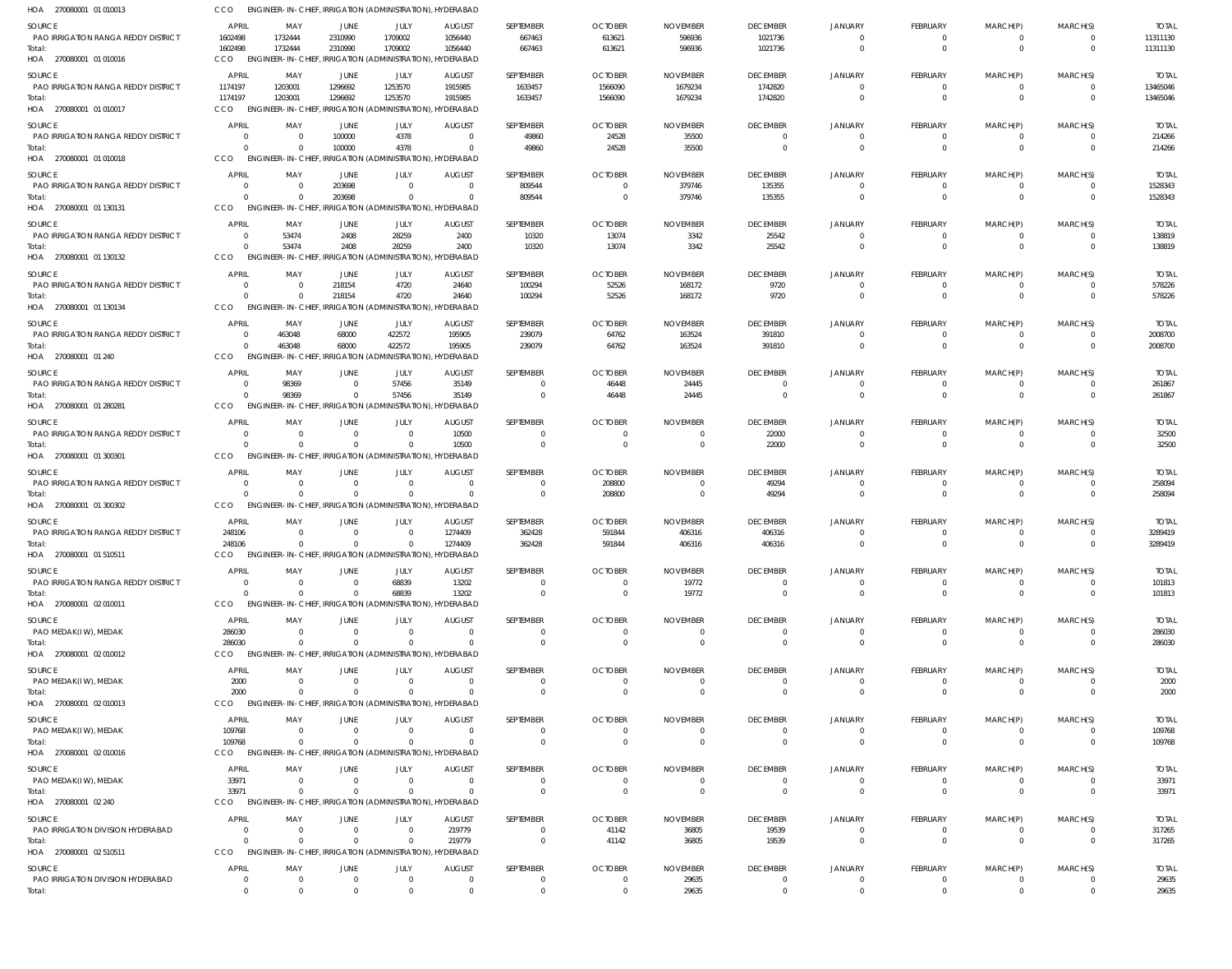| HOA 270080001 01 010013                                                  | CCO                            | ENGINEER-IN-CHIEF, IRRIGATION (ADMINISTRATION), HYDERABAD                       |                        |                                         |                                        |                               |                            |                             |                                |                                |                              |                                  |                                           |                         |
|--------------------------------------------------------------------------|--------------------------------|---------------------------------------------------------------------------------|------------------------|-----------------------------------------|----------------------------------------|-------------------------------|----------------------------|-----------------------------|--------------------------------|--------------------------------|------------------------------|----------------------------------|-------------------------------------------|-------------------------|
| SOURCE                                                                   | <b>APRIL</b>                   | MAY                                                                             | <b>JUNE</b>            | JULY                                    | <b>AUGUST</b>                          | SEPTEMBER                     | <b>OCTOBER</b>             | <b>NOVEMBER</b>             | <b>DECEMBER</b>                | <b>JANUARY</b>                 | FEBRUARY                     | MARCH(P)                         | MARCH(S)                                  | <b>TOTAL</b>            |
| PAO IRRIGATION RANGA REDDY DISTRICT<br>Total:<br>HOA 270080001 01 010016 | 1602498<br>1602498<br>CCO      | 1732444<br>1732444<br>ENGINEER-IN-CHIEF, IRRIGATION (ADMINISTRATION), HYDERABAD | 2310990<br>2310990     | 1709002<br>1709002                      | 1056440<br>1056440                     | 667463<br>667463              | 613621<br>613621           | 596936<br>596936            | 1021736<br>1021736             | $\Omega$<br>$\Omega$           | $^{\circ}$<br>$\mathbf{0}$   | $\overline{0}$<br>$\overline{0}$ | $\overline{0}$<br>$\overline{0}$          | 11311130<br>11311130    |
| SOURCE                                                                   | <b>APRIL</b>                   | MAY                                                                             | JUNE                   | JULY                                    | <b>AUGUST</b>                          | SEPTEMBER                     | <b>OCTOBER</b>             | <b>NOVEMBER</b>             | <b>DECEMBER</b>                | <b>JANUARY</b>                 | FEBRUARY                     | MARCH(P)                         | MARCH(S)                                  | <b>TOTAL</b>            |
| PAO IRRIGATION RANGA REDDY DISTRICT                                      | 1174197                        | 1203001                                                                         | 1296692                | 1253570                                 | 1915985                                | 1633457                       | 1566090                    | 1679234                     | 1742820                        | $\Omega$                       | $\mathbf{0}$                 | $\mathbf{0}$                     | $\overline{0}$                            | 13465046                |
| Total:<br>HOA 270080001 01 010017                                        | 1174197<br><b>CCO</b>          | 1203001<br><b>ENGINEER-IN-CHIEF,</b>                                            | 1296692                | 1253570<br>IRRIGATION (ADMINISTRATION), | 1915985<br>HYDERABAD                   | 1633457                       | 1566090                    | 1679234                     | 1742820                        | $\Omega$                       | $\mathbf{0}$                 | $\overline{0}$                   | $\Omega$                                  | 13465046                |
| SOURCE                                                                   | <b>APRIL</b>                   | MAY                                                                             | JUNE                   | JULY                                    | <b>AUGUST</b>                          | SEPTEMBER                     | <b>OCTOBER</b>             | <b>NOVEMBER</b>             | <b>DECEMBER</b>                | <b>JANUARY</b>                 | FEBRUARY                     | MARCH(P)                         | MARCH(S)                                  | <b>TOTAL</b>            |
| <b>PAO IRRIGATION RANGA REDDY DISTRICT</b><br>Total:                     | $\Omega$<br>$\Omega$           | $\Omega$<br>$\Omega$                                                            | 100000<br>100000       | 4378<br>4378                            | $\Omega$<br>$\Omega$                   | 49860<br>49860                | 24528<br>24528             | 35500<br>35500              | $\Omega$<br>$\mathbf{0}$       | $\Omega$<br>$\Omega$           | $^{\circ}$<br>$\overline{0}$ | 0<br>$\mathbf{0}$                | $\overline{\mathbf{0}}$<br>$\overline{0}$ | 214266<br>214266        |
| HOA 270080001 01 010018                                                  | CCO                            | <b>ENGINEER-IN-CHIEF</b>                                                        |                        |                                         | IRRIGATION (ADMINISTRATION), HYDERABAD |                               |                            |                             |                                |                                |                              |                                  |                                           |                         |
| SOURCE                                                                   | APRIL                          | MAY                                                                             | JUNE                   | JULY                                    | <b>AUGUST</b>                          | SEPTEMBER                     | <b>OCTOBER</b>             | <b>NOVEMBER</b>             | <b>DECEMBER</b>                | <b>JANUARY</b>                 | FEBRUARY                     | MARCH(P)                         | MARCH(S)                                  | <b>TOTAL</b>            |
| PAO IRRIGATION RANGA REDDY DISTRICT                                      | C                              |                                                                                 | 203698                 | $\mathbf 0$                             | - 0                                    | 809544                        | - 0                        | 379746                      | 135355                         | $\Omega$                       | $^{\circ}$                   | $\overline{0}$                   | $\overline{0}$                            | 1528343                 |
| Total:<br>HOA 270080001 01 130131                                        | $\mathsf{C}$<br>CCO            | ENGINEER-IN-CHIEF, IRRIGATION (ADMINISTRATION), HYDERABAD                       | 203698                 | $\Omega$                                | $\Omega$                               | 809544                        | $\Omega$                   | 379746                      | 135355                         | $\Omega$                       | $\mathbf{0}$                 | $\mathbf{0}$                     | $\overline{0}$                            | 1528343                 |
| SOURCE                                                                   | <b>APRIL</b>                   | MAY                                                                             | JUNE                   | JULY                                    | <b>AUGUST</b>                          | SEPTEMBER                     | <b>OCTOBER</b>             | <b>NOVEMBER</b>             | <b>DECEMBER</b>                | <b>JANUARY</b>                 | FEBRUARY                     | MARCH(P)                         | MARCH(S)                                  | <b>TOTAL</b>            |
| PAO IRRIGATION RANGA REDDY DISTRICT                                      | $\Omega$                       | 53474                                                                           | 2408                   | 28259                                   | 2400                                   | 10320                         | 13074                      | 3342                        | 25542                          | $\Omega$                       | $\overline{0}$               | $\overline{0}$                   | $\overline{0}$                            | 138819                  |
| Total:                                                                   | $\Omega$                       | 53474                                                                           | 2408                   | 28259                                   | 2400                                   | 10320                         | 13074                      | 3342                        | 25542                          | $\Omega$                       | $\mathbf{0}$                 | $\mathbf{0}$                     | $\overline{0}$                            | 138819                  |
| HOA 270080001 01 130132                                                  | CCO                            | ENGINEER-IN-CHIEF, IRRIGATION (ADMINISTRATION), HYDERABAD                       |                        |                                         |                                        |                               |                            |                             |                                |                                |                              |                                  |                                           |                         |
| SOURCE<br>PAO IRRIGATION RANGA REDDY DISTRICT                            | <b>APRIL</b><br>$\Omega$       | MAY                                                                             | JUNE<br>218154         | JULY<br>4720                            | <b>AUGUST</b><br>24640                 | SEPTEMBER<br>100294           | <b>OCTOBER</b><br>52526    | <b>NOVEMBER</b><br>168172   | <b>DECEMBER</b><br>9720        | <b>JANUARY</b><br>$\mathbf{0}$ | FEBRUARY<br>$\mathbf{0}$     | MARCH(P)<br>$\mathbf{0}$         | MARCH(S)<br>$\overline{\mathbf{0}}$       | <b>TOTAL</b><br>578226  |
| Total:                                                                   | $\Omega$                       |                                                                                 | 218154                 | 4720                                    | 24640                                  | 100294                        | 52526                      | 168172                      | 9720                           | $\Omega$                       | $\mathbf{0}$                 | $\overline{0}$                   | $\Omega$                                  | 578226                  |
| HOA 270080001 01 130134                                                  | CCO                            | ENGINEER-IN-CHIEF, IRRIGATION (ADMINISTRATION), HYDERABAD                       |                        |                                         |                                        |                               |                            |                             |                                |                                |                              |                                  |                                           |                         |
| SOURCE                                                                   | <b>APRIL</b>                   | MAY                                                                             | JUNE                   | JULY                                    | <b>AUGUST</b>                          | SEPTEMBER                     | <b>OCTOBER</b>             | <b>NOVEMBER</b>             | <b>DECEMBER</b>                | <b>JANUARY</b>                 | FEBRUARY                     | MARCH(P)                         | MARCH(S)                                  | <b>TOTAL</b>            |
| PAO IRRIGATION RANGA REDDY DISTRICT                                      | $\overline{0}$<br>$\Omega$     | 463048<br>463048                                                                | 68000<br>68000         | 422572<br>422572                        | 195905<br>195905                       | 239079                        | 64762                      | 163524                      | 391810                         | $\Omega$<br>$\Omega$           | 0<br>$\mathbf 0$             | 0<br>$\mathbf{0}$                | $\overline{\mathbf{0}}$<br>$\overline{0}$ | 2008700                 |
| Total:<br>HOA 270080001 01 240                                           | CCO                            | ENGINEER-IN-CHIEF, IRRIGATION (ADMINISTRATION), HYDERABAD                       |                        |                                         |                                        | 239079                        | 64762                      | 163524                      | 391810                         |                                |                              |                                  |                                           | 2008700                 |
| SOURCE                                                                   | <b>APRIL</b>                   | MAY                                                                             | JUNE                   | JULY                                    | <b>AUGUST</b>                          | SEPTEMBER                     | <b>OCTOBER</b>             | <b>NOVEMBER</b>             | <b>DECEMBER</b>                | <b>JANUARY</b>                 | FEBRUARY                     | MARCH(P)                         | MARCH(S)                                  | <b>TOTAL</b>            |
| PAO IRRIGATION RANGA REDDY DISTRICT                                      | C                              | 98369                                                                           | $\Omega$               | 57456                                   | 35149                                  | $\overline{0}$                | 46448                      | 24445                       | $\mathbf 0$                    | $\Omega$                       | $\mathbf 0$                  | 0                                | $\Omega$                                  | 261867                  |
| Total:<br>HOA 270080001 01 280281                                        | $\Omega$<br>CCO                | 98369<br>ENGINEER-IN-CHIEF, IRRIGATION (ADMINISTRATION), HYDERABAD              | $\overline{0}$         | 57456                                   | 35149                                  | $\mathbf 0$                   | 46448                      | 24445                       | $\overline{0}$                 | $\Omega$                       | $\mathbf{0}$                 | $\mathbf{0}$                     | $\overline{0}$                            | 261867                  |
| SOURCE                                                                   | <b>APRIL</b>                   | MAY                                                                             | JUNE                   | JULY                                    | <b>AUGUST</b>                          | SEPTEMBER                     | <b>OCTOBER</b>             | <b>NOVEMBER</b>             | <b>DECEMBER</b>                | <b>JANUARY</b>                 | FEBRUARY                     | MARCH(P)                         | MARCH(S)                                  | <b>TOTAL</b>            |
| PAO IRRIGATION RANGA REDDY DISTRICT                                      | $\Omega$<br>$\Omega$           | $\Omega$                                                                        | $\Omega$<br>$\Omega$   | $\mathbf 0$<br>$\Omega$                 | 10500<br>10500                         | 0<br>$\mathbf{0}$             | - 0<br>$\Omega$            | $\Omega$<br>$\Omega$        | 22000<br>22000                 | $\Omega$<br>$\Omega$           | $^{\circ}$<br>$\mathbf{0}$   | $\overline{0}$<br>$\mathbf{0}$   | $\overline{\mathbf{0}}$<br>$\Omega$       | 32500<br>32500          |
| Total:<br>HOA 270080001 01 300301                                        | CCO                            | ENGINEER-IN-CHIEF, IRRIGATION (ADMINISTRATION), HYDERABAD                       |                        |                                         |                                        |                               |                            |                             |                                |                                |                              |                                  |                                           |                         |
| SOURCE                                                                   | <b>APRIL</b>                   | MAY                                                                             | JUNE                   | JULY                                    | <b>AUGUST</b>                          | SEPTEMBER                     | <b>OCTOBER</b>             | <b>NOVEMBER</b>             | <b>DECEMBER</b>                | <b>JANUARY</b>                 | FEBRUARY                     | MARCH(P)                         | MARCH(S)                                  | <b>TOTAL</b>            |
| PAO IRRIGATION RANGA REDDY DISTRICT                                      | - 0                            |                                                                                 | $\Omega$               | $\mathbf 0$                             | $\Omega$                               | $\mathbf 0$                   | 208800                     | $\Omega$                    | 49294                          | $\mathbf{0}$                   | $\mathbf{0}$                 | $\overline{0}$                   | $\overline{\mathbf{0}}$                   | 258094                  |
| Total:<br>HOA 270080001 01 300302                                        | $\Omega$<br>CCO                | ENGINEER-IN-CHIEF, IRRIGATION (ADMINISTRATION), HYDERABAD                       | $\Omega$               | $\Omega$                                | $\cap$                                 | $\mathbf 0$                   | 208800                     | $\Omega$                    | 49294                          | $\Omega$                       | $\overline{0}$               | $\overline{0}$                   | - 0                                       | 258094                  |
|                                                                          |                                |                                                                                 |                        |                                         |                                        |                               |                            |                             |                                |                                |                              |                                  |                                           |                         |
| SOURCE<br>PAO IRRIGATION RANGA REDDY DISTRICT                            | APRIL<br>248106                | MAY<br>$\Omega$                                                                 | JUNE<br>$\Omega$       | JULY<br>$\Omega$                        | <b>AUGUST</b><br>1274409               | SEPTEMBER<br>362428           | <b>OCTOBER</b><br>591844   | <b>NOVEMBER</b><br>406316   | <b>DECEMBER</b><br>406316      | <b>JANUARY</b>                 | FEBRUARY<br>$\Omega$         | MARCH(P)<br>$\Omega$             | MARCH(S)<br>$\Omega$                      | <b>TOTAL</b><br>3289419 |
| Total:                                                                   | 248106                         |                                                                                 | $\Omega$               | $\Omega$                                | 1274409                                | 362428                        | 591844                     | 406316                      | 406316                         | $\Omega$                       | $\mathbf 0$                  | $\mathbf{0}$                     | $\Omega$                                  | 3289419                 |
| HOA 270080001 01 510511                                                  | CCO                            | ENGINEER-IN-CHIEF, IRRIGATION (ADMINISTRATION), HYDERABAD                       |                        |                                         |                                        |                               |                            |                             |                                |                                |                              |                                  |                                           |                         |
| SOURCE                                                                   | <b>APRIL</b>                   | MAY                                                                             | JUNE                   | JULY                                    | <b>AUGUST</b>                          | SEPTEMBER                     | <b>OCTOBER</b>             | <b>NOVEMBER</b>             | <b>DECEMBER</b>                | <b>JANUARY</b>                 | FEBRUARY                     | MARCH(P)                         | MARCH(S)                                  | <b>TOTAL</b>            |
| PAO IRRIGATION RANGA REDDY DISTRICT<br>Total:                            | $\overline{0}$<br>$\Omega$     | - 0                                                                             | $\Omega$<br>$\Omega$   | 68839<br>68839                          | 13202<br>13202                         | $\mathbf{0}$<br>$\mathbf 0$   | $\Omega$<br>$\Omega$       | 19772<br>19772              | 0<br>$\overline{0}$            | $\Omega$<br>$\Omega$           | 0<br>$\overline{0}$          | 0<br>$\overline{0}$              | $\overline{0}$<br>$\overline{0}$          | 101813<br>101813        |
| HOA 270080001 02 010011                                                  | CCO                            | ENGINEER-IN-CHIEF, IRRIGATION (ADMINISTRATION), HYDERABAD                       |                        |                                         |                                        |                               |                            |                             |                                |                                |                              |                                  |                                           |                         |
| SOURCE                                                                   | APRIL                          | MAY                                                                             | JUNE                   | JULY                                    | <b>AUGUST</b>                          | SEPTEMBER                     | <b>OCTOBER</b>             | <b>NOVEMBER</b>             | <b>DECEMBER</b>                | <b>JANUARY</b>                 | FEBRUARY                     | MARCH(P)                         | MARCH(S)                                  | <b>TOTAL</b>            |
| PAO MEDAK(I W), MEDAK                                                    | 286030                         | $\Omega$                                                                        | $\Omega$               | $\mathbf 0$                             | $\Omega$                               | $\mathbf 0$                   | $\Omega$                   | $\Omega$                    | 0                              | $\Omega$                       | 0                            | $\overline{0}$                   | $\overline{0}$                            | 286030                  |
| Total:<br>HOA 270080001 02 010012                                        | 286030<br>CCO                  | $\Omega$<br>ENGINEER-IN-CHIEF, IRRIGATION (ADMINISTRATION), HYDERABAD           | $\Omega$               | $\Omega$                                | $\Omega$                               | $\mathbf 0$                   | $\Omega$                   | $\Omega$                    | $\mathbf 0$                    | $\Omega$                       | $\mathbf{0}$                 | $\overline{0}$                   | $\overline{0}$                            | 286030                  |
| SOURCE                                                                   | <b>APRIL</b>                   | MAY                                                                             | JUNE                   | JULY                                    | <b>AUGUST</b>                          | SEPTEMBER                     | <b>OCTOBER</b>             | <b>NOVEMBER</b>             | <b>DECEMBER</b>                | <b>JANUARY</b>                 | FEBRUARY                     | MARCH(P)                         | MARCH(S)                                  | <b>TOTAL</b>            |
| PAO MEDAK(I W), MEDAK                                                    | 2000                           |                                                                                 | - 0                    | $\mathbf 0$                             | $\Omega$                               | $\mathbf 0$                   | $\Omega$                   | $\Omega$                    | $\mathbf 0$                    | $\mathbf{0}$                   | $\mathbf{0}$                 | $\mathbf{0}$                     | $\overline{\mathbf{0}}$                   | 2000                    |
| Total:                                                                   | 2000                           |                                                                                 | $\Omega$               | $\mathbf 0$                             |                                        | $\mathbf 0$                   | $\Omega$                   | $\Omega$                    | $\Omega$                       | $\Omega$                       | $\mathbf{0}$                 | $\mathbf{0}$                     | $\Omega$                                  | 2000                    |
| HOA 270080001 02 010013                                                  | CCO                            | ENGINEER-IN-CHIEF, IRRIGATION (ADMINISTRATION), HYDERABAD                       |                        |                                         |                                        |                               |                            |                             |                                |                                |                              |                                  |                                           |                         |
| SOURCE<br>PAO MEDAK(I W), MEDAK                                          | APRIL<br>109768                | MAY<br>$\Omega$                                                                 | JUNE<br>$\overline{0}$ | JULY<br>$\mathbf 0$                     | <b>AUGUST</b><br>$\Omega$              | SEPTEMBER<br>$\mathbf 0$      | <b>OCTOBER</b><br>- 0      | <b>NOVEMBER</b><br>$\Omega$ | <b>DECEMBER</b><br>0           | <b>JANUARY</b><br>$\Omega$     | FEBRUARY<br>$^{\circ}$       | MARCH(P)<br>0                    | MARCH(S)<br>$\overline{\mathbf{0}}$       | <b>TOTAL</b><br>109768  |
| Total:                                                                   | 109768                         | $\Omega$                                                                        | $\Omega$               | $\Omega$                                | $\Omega$                               | $\mathbf{0}$                  | $\Omega$                   | $\Omega$                    | $\mathbf{0}$                   | $\Omega$                       | $\overline{0}$               | $\mathbf{0}$                     | $\overline{0}$                            | 109768                  |
| HOA 270080001 02 010016                                                  | <b>CCO</b>                     | ENGINEER-IN-CHIEF, IRRIGATION (ADMINISTRATION), HYDERABAD                       |                        |                                         |                                        |                               |                            |                             |                                |                                |                              |                                  |                                           |                         |
| SOURCE                                                                   | <b>APRIL</b>                   | MAY                                                                             | JUNE                   | JULY                                    | <b>AUGUST</b>                          | SEPTEMBER                     | <b>OCTOBER</b>             | <b>NOVEMBER</b>             | <b>DECEMBER</b>                | <b>JANUARY</b>                 | FEBRUARY                     | MARCH(P)                         | MARCH(S)                                  | <b>TOTAL</b>            |
| PAO MEDAK(I W), MEDAK                                                    | 33971<br>33971                 | $\Omega$                                                                        | 0<br>$\mathbf{0}$      | $\mathbf 0$<br>$\mathbf 0$              | $\Omega$                               | $\overline{0}$<br>$\mathbf 0$ | - 0<br>$\Omega$            | $\Omega$                    | 0<br>$\overline{0}$            | 0<br>$\Omega$                  | $^{\circ}$<br>$\mathbf{0}$   | 0<br>$\mathbf{0}$                | $\overline{0}$<br>$\overline{0}$          | 33971<br>33971          |
| Total:<br>HOA 270080001 02 240                                           | <b>CCO</b>                     | ENGINEER-IN-CHIEF, IRRIGATION (ADMINISTRATION), HYDERABAD                       |                        |                                         |                                        |                               |                            |                             |                                |                                |                              |                                  |                                           |                         |
| SOURCE                                                                   | <b>APRIL</b>                   | MAY                                                                             | <b>JUNE</b>            | JULY                                    | <b>AUGUST</b>                          | SEPTEMBER                     | <b>OCTOBER</b>             | <b>NOVEMBER</b>             | <b>DECEMBER</b>                | <b>JANUARY</b>                 | FEBRUARY                     | MARCH(P)                         | MARCH(S)                                  | <b>TOTAL</b>            |
| PAO IRRIGATION DIVISION HYDERABAD                                        | $\Omega$                       | $\Omega$                                                                        | $\overline{0}$         | $\mathbf 0$                             | 219779                                 | $\mathbf 0$                   | 41142                      | 36805                       | 19539                          | $\Omega$                       | 0                            | $\overline{0}$                   | $\overline{\mathbf{0}}$                   | 317265                  |
| Total:                                                                   | $\Omega$                       | $\Omega$                                                                        | $\Omega$               | $\mathbf 0$                             | 219779                                 | $\mathbf 0$                   | 41142                      | 36805                       | 19539                          | $\Omega$                       | $\mathbf{0}$                 | $\mathbf{0}$                     | $\overline{0}$                            | 317265                  |
| HOA 270080001 02 510511                                                  | CCO                            | ENGINEER-IN-CHIEF, IRRIGATION (ADMINISTRATION), HYDERABAD                       |                        |                                         |                                        |                               |                            |                             |                                |                                |                              |                                  |                                           |                         |
| SOURCE<br>PAO IRRIGATION DIVISION HYDERABAD                              | <b>APRIL</b><br>$\overline{0}$ | MAY                                                                             | JUNE<br>$\overline{0}$ | JULY<br>$\mathbf 0$                     | <b>AUGUST</b><br>$\Omega$              | SEPTEMBER<br>$\mathbf 0$      | <b>OCTOBER</b><br>$\Omega$ | <b>NOVEMBER</b><br>29635    | <b>DECEMBER</b><br>$\mathbf 0$ | <b>JANUARY</b><br>$\mathbf{0}$ | FEBRUARY<br>$\mathbf{0}$     | MARCH(P)<br>$\mathbf{0}$         | MARCH(S)<br>$\overline{0}$                | <b>TOTAL</b><br>29635   |
| Total:                                                                   | $\mathbf 0$                    |                                                                                 | $\Omega$               | $\Omega$                                | $\Omega$                               | $\Omega$                      | $\Omega$                   | 29635                       | $\mathbf 0$                    | $\Omega$                       | $\overline{0}$               | $\overline{0}$                   | $\overline{0}$                            | 29635                   |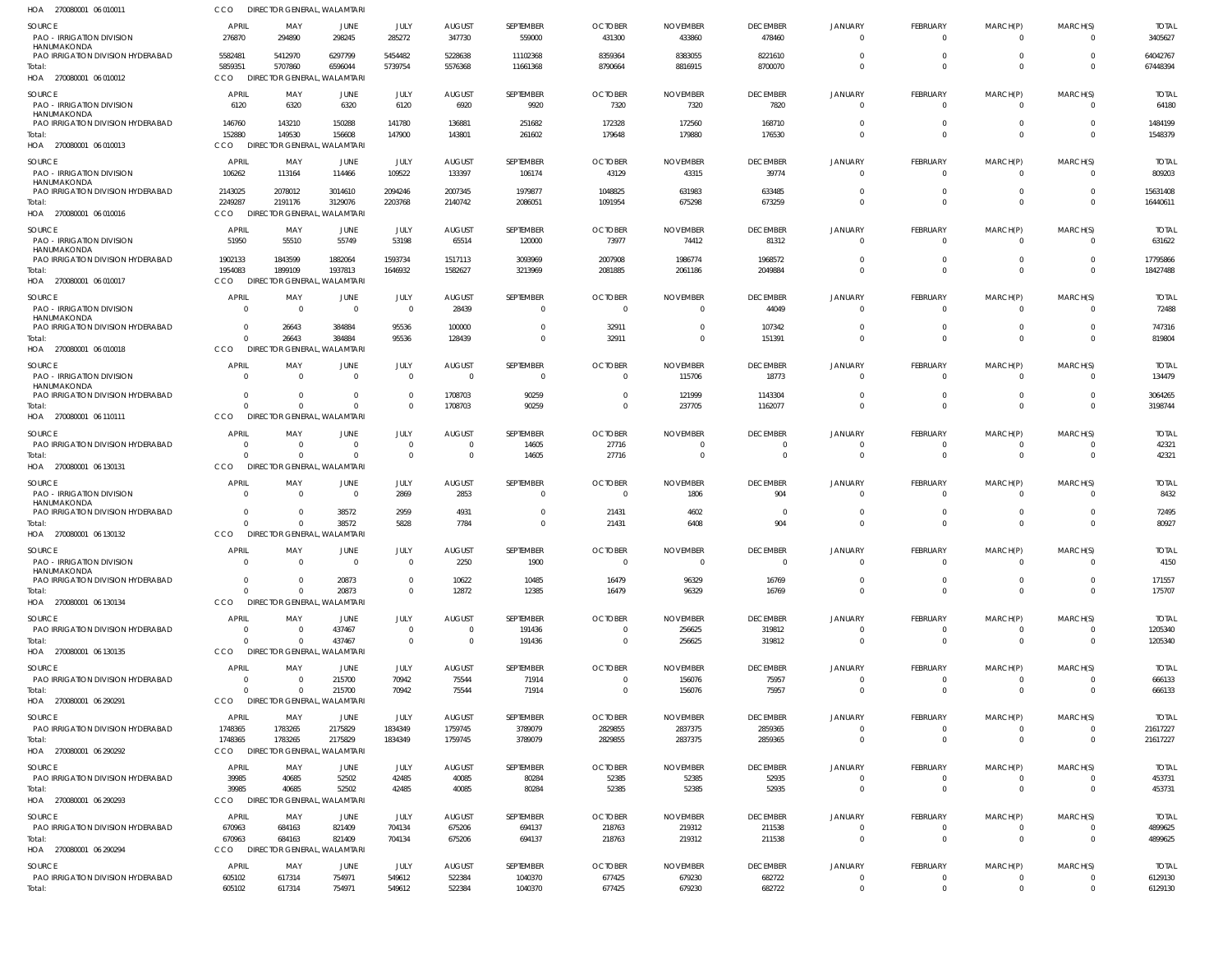| HOA<br>270080001 06 01001                                                             | CCO                                | DIRECTOR GENERAL, WALAMTARI                       |                               |                                  |                                  |                                  |                            |                             |                                  |                                  |                                |                                  |                                           |                         |
|---------------------------------------------------------------------------------------|------------------------------------|---------------------------------------------------|-------------------------------|----------------------------------|----------------------------------|----------------------------------|----------------------------|-----------------------------|----------------------------------|----------------------------------|--------------------------------|----------------------------------|-------------------------------------------|-------------------------|
| SOURCE<br>PAO - IRRIGATION DIVISION                                                   | <b>APRIL</b><br>276870             | MAY<br>294890                                     | JUNE<br>298245                | JULY<br>285272                   | <b>AUGUST</b><br>347730          | SEPTEMBER<br>559000              | <b>OCTOBER</b><br>431300   | <b>NOVEMBER</b><br>433860   | <b>DECEMBER</b><br>478460        | <b>JANUARY</b><br>$\overline{0}$ | FEBRUARY<br>$\overline{0}$     | MARCH(P)<br>$\mathbf{0}$         | MARCH(S)<br>$\overline{\mathbf{0}}$       | <b>TOTAL</b><br>3405627 |
| HANUMAKONDA<br>PAO IRRIGATION DIVISION HYDERABAD<br>Total:<br>HOA 270080001 06 010012 | 5582481<br>5859351<br>CCO          | 5412970<br>5707860<br>DIRECTOR GENERAL, WALAMTARI | 6297799<br>6596044            | 5454482<br>5739754               | 5228638<br>5576368               | 11102368<br>11661368             | 8359364<br>8790664         | 8383055<br>8816915          | 8221610<br>8700070               | $\overline{0}$<br>$\Omega$       | $\overline{0}$<br>$\mathbf{0}$ | $\mathbf{0}$<br>$\overline{0}$   | $\Omega$<br>$\Omega$                      | 64042767<br>67448394    |
| SOURCE<br><b>PAO - IRRIGATION DIVISION</b>                                            | APRIL<br>6120                      | MAY<br>6320                                       | JUNE<br>6320                  | JULY<br>6120                     | <b>AUGUST</b><br>6920            | SEPTEMBER<br>9920                | <b>OCTOBER</b><br>7320     | <b>NOVEMBER</b><br>7320     | <b>DECEMBER</b><br>7820          | <b>JANUARY</b><br>$\mathbf{0}$   | FEBRUARY<br>$\overline{0}$     | MARCH(P)<br>$\Omega$             | MARCH(S)<br>$\Omega$                      | <b>TOTAL</b><br>64180   |
| HANUMAKONDA<br>PAO IRRIGATION DIVISION HYDERABAD                                      | 146760                             | 143210                                            | 150288                        | 141780                           | 136881                           | 251682                           | 172328                     | 172560                      | 168710                           | $\Omega$                         | $\mathbf 0$                    | $\overline{0}$                   | $\Omega$                                  | 1484199                 |
| Total:<br>HOA 270080001 06 010013                                                     | 152880<br>CCO                      | 149530<br>DIRECTOR GENERAL, WALAMTARI             | 156608                        | 147900                           | 143801                           | 261602                           | 179648                     | 179880                      | 176530                           | $\Omega$                         | $\Omega$                       | $\overline{0}$                   | $\Omega$                                  | 1548379                 |
| SOURCE<br><b>PAO - IRRIGATION DIVISION</b><br>HANUMAKONDA                             | <b>APRIL</b><br>106262             | MAY<br>113164                                     | JUNE<br>114466                | JULY<br>109522                   | <b>AUGUST</b><br>133397          | SEPTEMBER<br>106174              | <b>OCTOBER</b><br>43129    | <b>NOVEMBER</b><br>43315    | <b>DECEMBER</b><br>39774         | JANUARY<br>$\mathbf{0}$          | FEBRUARY<br>$\overline{0}$     | MARCH(P)<br>$\mathbf{0}$         | MARCH(S)<br>$\Omega$                      | <b>TOTAL</b><br>809203  |
| PAO IRRIGATION DIVISION HYDERABAD<br>Total:                                           | 2143025<br>2249287                 | 2078012<br>2191176                                | 3014610<br>3129076            | 2094246<br>2203768               | 2007345<br>2140742               | 1979877<br>2086051               | 1048825<br>1091954         | 631983<br>675298            | 633485<br>673259                 | $\Omega$<br>$\Omega$             | $\overline{0}$<br>$\Omega$     | $\mathbf{0}$<br>$\overline{0}$   | $\Omega$<br>$\Omega$                      | 15631408<br>16440611    |
| HOA 270080001 06 010016                                                               | CCO                                | DIRECTOR GENERAL, WALAMTARI                       |                               |                                  |                                  |                                  |                            |                             |                                  |                                  |                                |                                  |                                           |                         |
| SOURCE<br><b>PAO - IRRIGATION DIVISION</b><br>HANUMAKONDA                             | <b>APRIL</b><br>51950              | MAY<br>55510                                      | JUNE<br>55749                 | JULY<br>53198                    | <b>AUGUST</b><br>65514           | SEPTEMBER<br>120000              | <b>OCTOBER</b><br>73977    | <b>NOVEMBER</b><br>74412    | <b>DECEMBER</b><br>81312         | <b>JANUARY</b><br>$\Omega$       | FEBRUARY<br>$^{\circ}$         | MARCH(P)<br>$\Omega$             | MARCH(S)<br>$\Omega$                      | <b>TOTAL</b><br>631622  |
| PAO IRRIGATION DIVISION HYDERABAD<br>Total:                                           | 1902133<br>1954083                 | 1843599<br>1899109                                | 1882064<br>1937813            | 1593734<br>1646932               | 1517113<br>1582627               | 3093969<br>3213969               | 2007908<br>2081885         | 1986774<br>2061186          | 1968572<br>2049884               | 0<br>$\Omega$                    | $\mathbf 0$<br>$\mathbf 0$     | $\mathbf 0$<br>$\mathbf{0}$      | $\Omega$<br>$\Omega$                      | 17795866<br>18427488    |
| HOA 270080001 06 010017<br>SOURCE                                                     | CCO<br><b>APRIL</b>                | DIRECTOR GENERAL, WALAMTARI<br>MAY                | JUNE                          | JULY                             | <b>AUGUST</b>                    | SEPTEMBER                        | <b>OCTOBER</b>             | <b>NOVEMBER</b>             | <b>DECEMBER</b>                  | <b>JANUARY</b>                   | FEBRUARY                       | MARCH(P)                         | MARCH(S)                                  | <b>TOTAL</b>            |
| <b>PAO - IRRIGATION DIVISION</b><br>HANUMAKONDA                                       | $\Omega$                           | - 0                                               | $\overline{0}$                | $\overline{0}$                   | 28439                            | $\overline{0}$                   | $\Omega$                   | $\Omega$                    | 44049                            | $\mathbf{0}$                     | $\overline{0}$                 | $\mathbf{0}$                     | $\Omega$                                  | 72488                   |
| PAO IRRIGATION DIVISION HYDERABAD<br>Total:<br>HOA 270080001 06 010018                | $\Omega$<br>$\Omega$<br><b>CCO</b> | 26643<br>26643<br>DIRECTOR GENERAL, WALAMTARI     | 384884<br>384884              | 95536<br>95536                   | 100000<br>128439                 | $\overline{0}$<br>$\overline{0}$ | 32911<br>32911             | $\Omega$                    | 107342<br>151391                 | $\overline{0}$<br>$\Omega$       | $\mathbf 0$<br>$\mathbf 0$     | $\mathbf 0$<br>$\overline{0}$    | $\Omega$<br>$\Omega$                      | 747316<br>819804        |
| SOURCE                                                                                | <b>APRIL</b>                       | MAY                                               | JUNE                          | JULY                             | <b>AUGUST</b>                    | SEPTEMBER                        | <b>OCTOBER</b>             | <b>NOVEMBER</b>             | <b>DECEMBER</b>                  | JANUARY                          | FEBRUARY                       | MARCH(P)                         | MARCH(S)                                  | <b>TOTAL</b>            |
| PAO - IRRIGATION DIVISION<br>HANUMAKONDA                                              | $\Omega$                           | $\Omega$                                          | $\Omega$                      | $\Omega$                         | $\Omega$                         | $\overline{0}$                   | $\Omega$                   | 115706                      | 18773                            | $\mathbf{0}$                     | $\Omega$                       | $\Omega$                         | $\Omega$                                  | 134479                  |
| PAO IRRIGATION DIVISION HYDERABAD<br>Total:<br>HOA 270080001 06 110111                | $\Omega$<br>$\Omega$<br>CCO        | - 0<br>$\Omega$<br>DIRECTOR GENERAL, WALAMTARI    | $\Omega$<br>$\Omega$          | $\Omega$<br>$\Omega$             | 1708703<br>1708703               | 90259<br>90259                   | $\Omega$<br>$\Omega$       | 121999<br>237705            | 1143304<br>1162077               | $\overline{0}$<br>$\Omega$       | $\mathbf 0$<br>$\Omega$        | $\overline{0}$<br>$\overline{0}$ | $\Omega$<br>$\Omega$                      | 3064265<br>3198744      |
| SOURCE                                                                                | <b>APRIL</b>                       | MAY                                               | JUNE                          | JULY                             | <b>AUGUST</b>                    | SEPTEMBER                        | <b>OCTOBER</b>             | <b>NOVEMBER</b>             | <b>DECEMBER</b>                  | <b>JANUARY</b>                   | FEBRUARY                       | MARCH(P)                         | MARCH(S)                                  | <b>TOTAL</b>            |
| PAO IRRIGATION DIVISION HYDERABAD<br>Total:<br>HOA 270080001 06 130131                | -0<br>$\Omega$<br>CCO              | - 0<br>$\Omega$<br>DIRECTOR GENERAL, WALAMTARI    | $\overline{0}$<br>$\Omega$    | $\overline{0}$<br>$\overline{0}$ | $\overline{0}$<br>$\overline{0}$ | 14605<br>14605                   | 27716<br>27716             |                             | $\overline{0}$<br>$\overline{0}$ | $\overline{0}$<br>$\overline{0}$ | $\mathbf 0$<br>$\overline{0}$  | $^{\circ}$<br>$\mathbf{0}$       | $\Omega$<br>$\Omega$                      | 42321<br>42321          |
| SOURCE                                                                                | <b>APRIL</b>                       | MAY                                               | JUNE                          | JULY                             | <b>AUGUST</b>                    | SEPTEMBER                        | <b>OCTOBER</b>             | <b>NOVEMBER</b>             | <b>DECEMBER</b>                  | JANUARY                          | FEBRUARY                       | MARCH(P)                         | MARCH(S)                                  | <b>TOTAL</b>            |
| PAO - IRRIGATION DIVISION<br>HANUMAKONDA                                              | $\Omega$                           | $\Omega$                                          | $\Omega$                      | 2869                             | 2853                             | 0                                | $\Omega$                   | 1806                        | 904                              | $\mathbf{0}$                     | $\overline{0}$                 | $\Omega$                         | $\Omega$                                  | 8432                    |
| PAO IRRIGATION DIVISION HYDERABAD                                                     | -0                                 | - 0<br>$\Omega$                                   | 38572                         | 2959                             | 4931                             | $\mathbf 0$<br>$\Omega$          | 21431                      | 4602                        | $\overline{0}$<br>904            | 0<br>$\Omega$                    | $\mathbf 0$<br>$\Omega$        | $\overline{0}$<br>$\Omega$       | $\overline{0}$<br>$\Omega$                | 72495                   |
| Total:<br>HOA 270080001 06 130132                                                     | <b>CCO</b>                         | DIRECTOR GENERAL, WALAMTARI                       | 38572                         | 5828                             | 7784                             |                                  | 21431                      | 6408                        |                                  |                                  |                                |                                  |                                           | 80927                   |
| SOURCE<br><b>PAO - IRRIGATION DIVISION</b><br>HANUMAKONDA                             | <b>APRIL</b><br>$\Omega$           | MAY<br>$\Omega$                                   | <b>JUNE</b><br>$\overline{0}$ | JULY<br>$\overline{0}$           | AUGUST<br>2250                   | SEPTEMBER<br>1900                | <b>OCTOBER</b><br>$\Omega$ | <b>NOVEMBER</b><br>$\Omega$ | <b>DECEMBER</b><br>$\Omega$      | JANUARY<br>$\Omega$              | FEBRUARY<br>$\Omega$           | MARCH(P)<br>$\Omega$             | MARCH(S)<br>$\Omega$                      | <b>TOTAL</b><br>4150    |
| PAO IRRIGATION DIVISION HYDERABAD<br>Total:                                           | $\Omega$<br>$\Omega$               |                                                   | 20873<br>20873                | $\overline{0}$<br>$\Omega$       | 10622<br>12872                   | 10485<br>12385                   | 16479<br>16479             | 96329<br>96329              | 16769<br>16769                   | $\overline{0}$<br>$\Omega$       | $\overline{0}$<br>$\Omega$     | $\mathbf{0}$<br>$\overline{0}$   | $\Omega$<br>$\Omega$                      | 171557<br>175707        |
| HOA 270080001 06 130134                                                               | CCO                                | DIRECTOR GENERAL, WALAMTARI                       |                               |                                  |                                  |                                  |                            |                             |                                  |                                  |                                |                                  |                                           |                         |
| SOURCE<br>PAO IRRIGATION DIVISION HYDERABAD                                           | <b>APRIL</b><br>$\Omega$           | MAY<br>- 0                                        | <b>JUNE</b><br>437467         | JULY<br>$\overline{0}$           | <b>AUGUST</b><br>$\overline{0}$  | SEPTEMBER<br>191436              | <b>OCTOBER</b><br>$\Omega$ | <b>NOVEMBER</b><br>256625   | <b>DECEMBER</b><br>319812        | JANUARY<br>$\Omega$              | FEBRUARY<br>$^{\circ}$         | MARCH(P)<br>0                    | MARCH(S)<br>$\overline{0}$                | <b>TOTAL</b><br>1205340 |
| Total:<br>HOA 270080001 06 130135                                                     | $\Omega$<br>CCO                    | $\Omega$<br>DIRECTOR GENERAL, WALAMTARI           | 437467                        | $\overline{0}$                   | $\overline{0}$                   | 191436                           | $\overline{\mathbf{0}}$    | 256625                      | 319812                           | $\overline{0}$                   | $\mathbf 0$                    | $\overline{0}$                   | $\overline{0}$                            | 1205340                 |
| SOURCE<br>PAO IRRIGATION DIVISION HYDERABAD                                           | <b>APRIL</b><br>$\Omega$           | MAY<br>$\Omega$                                   | <b>JUNE</b><br>215700         | JULY<br>70942                    | <b>AUGUST</b><br>75544           | SEPTEMBER<br>71914               | <b>OCTOBER</b><br>$\Omega$ | <b>NOVEMBER</b><br>156076   | <b>DECEMBER</b><br>75957         | JANUARY<br>$\Omega$              | FEBRUARY<br>$\overline{0}$     | MARCH(P)<br>$\mathbf{0}$         | MARCH(S)<br>$\Omega$                      | <b>TOTAL</b><br>666133  |
| Total:<br>HOA 270080001 06 290291                                                     | $\Omega$<br>CCO                    | $\Omega$<br>DIRECTOR GENERAL, WALAMTARI           | 215700                        | 70942                            | 75544                            | 71914                            | $\mathbf{0}$               | 156076                      | 75957                            | $\overline{0}$                   | $\overline{0}$                 | $\mathbf 0$                      | $\overline{0}$                            | 666133                  |
| SOURCE                                                                                | <b>APRIL</b>                       | MAY                                               | JUNE                          | JULY                             | <b>AUGUST</b>                    | SEPTEMBER                        | <b>OCTOBER</b>             | <b>NOVEMBER</b>             | <b>DECEMBER</b>                  | JANUARY                          | FEBRUARY                       | MARCH(P)                         | MARCH(S)                                  | <b>TOTAL</b>            |
| PAO IRRIGATION DIVISION HYDERABAD                                                     | 1748365                            | 1783265                                           | 2175829                       | 1834349                          | 1759745                          | 3789079                          | 2829855                    | 2837375                     | 2859365                          | $\mathbf{0}$                     | $\overline{0}$                 | $\overline{0}$                   | $\overline{0}$                            | 21617227                |
| Total:<br>HOA 270080001 06 290292                                                     | 1748365<br>CCO                     | 1783265<br>DIRECTOR GENERAL, WALAMTARI            | 2175829                       | 1834349                          | 1759745                          | 3789079                          | 2829855                    | 2837375                     | 2859365                          | $\mathbf{0}$                     | $\overline{0}$                 | $\mathbf{0}$                     | - 0                                       | 21617227                |
| SOURCE<br>PAO IRRIGATION DIVISION HYDERABAD                                           | <b>APRIL</b><br>39985              | MAY<br>40685                                      | JUNE<br>52502                 | JULY<br>42485                    | <b>AUGUST</b><br>40085           | SEPTEMBER<br>80284               | <b>OCTOBER</b><br>52385    | <b>NOVEMBER</b><br>52385    | <b>DECEMBER</b><br>52935         | JANUARY<br>$\overline{0}$        | FEBRUARY<br>$\overline{0}$     | MARCH(P)<br>0                    | MARCH(S)<br>$\overline{0}$                | <b>TOTAL</b><br>453731  |
| Total:<br>HOA 270080001 06 290293                                                     | 39985<br><b>CCO</b>                | 40685<br>DIRECTOR GENERAL, WALAMTARI              | 52502                         | 42485                            | 40085                            | 80284                            | 52385                      | 52385                       | 52935                            | $\overline{0}$                   | $\mathbf 0$                    | $\mathbf{0}$                     | $\Omega$                                  | 453731                  |
| SOURCE                                                                                | <b>APRIL</b>                       | MAY                                               | <b>JUNE</b>                   | JULY                             | <b>AUGUST</b>                    | SEPTEMBER                        | <b>OCTOBER</b>             | <b>NOVEMBER</b>             | <b>DECEMBER</b>                  | JANUARY<br>$\mathbf{0}$          | FEBRUARY                       | MARCH(P)                         | MARCH(S)                                  | <b>TOTAL</b><br>4899625 |
| PAO IRRIGATION DIVISION HYDERABAD<br>Total:                                           | 670963<br>670963                   | 684163<br>684163                                  | 821409<br>821409              | 704134<br>704134                 | 675206<br>675206                 | 694137<br>694137                 | 218763<br>218763           | 219312<br>219312            | 211538<br>211538                 | $\mathbf{0}$                     | $^{\circ}$<br>$\mathbf 0$      | 0<br>$\mathbf{0}$                | $\overline{0}$<br>$\overline{\mathbf{0}}$ | 4899625                 |
| HOA 270080001 06 290294                                                               | CCO                                | DIRECTOR GENERAL, WALAMTARI                       |                               |                                  |                                  |                                  |                            |                             |                                  |                                  |                                |                                  |                                           |                         |
| SOURCE<br>PAO IRRIGATION DIVISION HYDERABAD                                           | <b>APRIL</b><br>605102             | MAY<br>617314                                     | JUNE<br>754971                | JULY<br>549612                   | <b>AUGUST</b><br>522384          | SEPTEMBER<br>1040370             | <b>OCTOBER</b><br>677425   | <b>NOVEMBER</b><br>679230   | <b>DECEMBER</b><br>682722        | JANUARY<br>$\overline{0}$        | FEBRUARY<br>$\mathbf 0$        | MARCH(P)<br>$^{\circ}$           | MARCH(S)<br>$\overline{0}$                | total<br>6129130        |
| Total:                                                                                | 605102                             | 617314                                            | 754971                        | 549612                           | 522384                           | 1040370                          | 677425                     | 679230                      | 682722                           | $\mathbf 0$                      | $\mathbf 0$                    | $\mathbf 0$                      | $\overline{0}$                            | 6129130                 |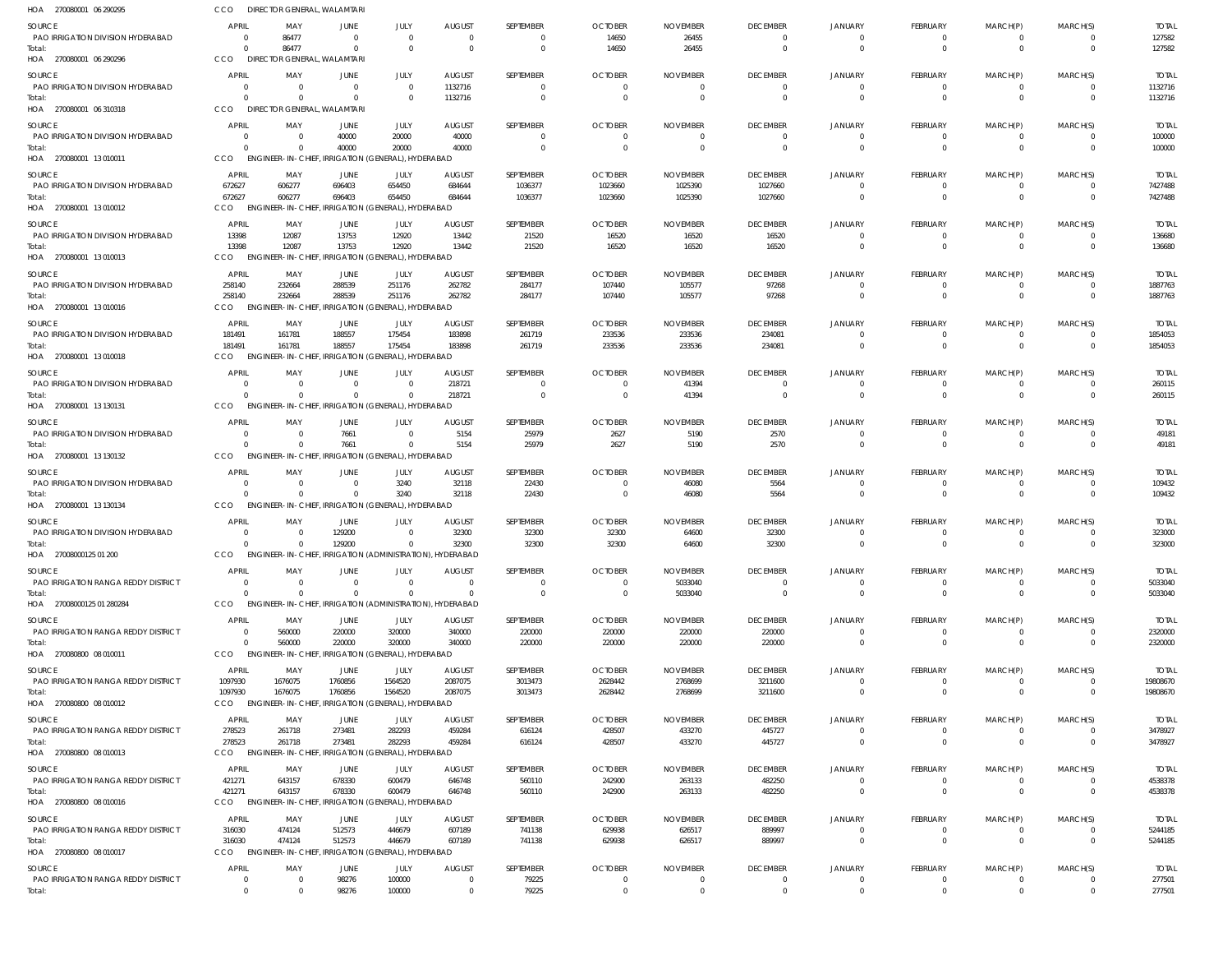| HOA 270080001 06 290295                                     | CCO                            | DIRECTOR GENERAL, WALAMTARI                                          |                      |                                            |                          |                         |                           |                            |                                  |                                  |                                 |                         |                              |                         |
|-------------------------------------------------------------|--------------------------------|----------------------------------------------------------------------|----------------------|--------------------------------------------|--------------------------|-------------------------|---------------------------|----------------------------|----------------------------------|----------------------------------|---------------------------------|-------------------------|------------------------------|-------------------------|
| SOURCE                                                      | <b>APRIL</b>                   | MAY                                                                  | JUNE                 | JULY                                       | <b>AUGUST</b>            | SEPTEMBER               | <b>OCTOBER</b>            | <b>NOVEMBER</b>            | <b>DECEMBER</b>                  | <b>JANUARY</b>                   | <b>FEBRUARY</b>                 | MARCH(P)                | MARCH(S)                     | <b>TOTAL</b>            |
| PAO IRRIGATION DIVISION HYDERABAD                           | $\overline{0}$                 | 86477                                                                | $\overline{0}$       | $\overline{0}$                             | $\overline{0}$           | $\mathbf{0}$            | 14650                     | 26455                      | $\overline{0}$                   | $\overline{0}$                   | $^{\circ}$                      | $^{\circ}$              | $\overline{0}$               | 127582                  |
| Total:<br>HOA 270080001 06 290296                           | $\Omega$<br>CCO                | 86477<br>DIRECTOR GENERAL, WALAMTARI                                 | $\Omega$             | $\Omega$                                   | $\Omega$                 | $\mathbf 0$             | 14650                     | 26455                      | $\Omega$                         | $\Omega$                         | $\mathbf 0$                     | $\mathbf{0}$            | $\Omega$                     | 127582                  |
|                                                             |                                |                                                                      |                      |                                            |                          |                         |                           |                            |                                  |                                  |                                 |                         |                              |                         |
| <b>SOURCE</b><br>PAO IRRIGATION DIVISION HYDERABAD          | <b>APRIL</b><br>$\Omega$       | MAY<br>$\overline{\mathbf{0}}$                                       | JUNE<br>$\mathbf{0}$ | JULY<br>$\Omega$                           | <b>AUGUST</b><br>1132716 | SEPTEMBER<br>0          | <b>OCTOBER</b>            | <b>NOVEMBER</b>            | <b>DECEMBER</b><br>$\Omega$      | JANUARY<br>$\Omega$              | <b>FEBRUARY</b><br>$\mathbf{0}$ | MARCH(P)<br>0           | MARCH(S)                     | <b>TOTAL</b><br>1132716 |
| Total:                                                      | $\Omega$                       | - 0                                                                  | $\Omega$             |                                            | 1132716                  | $\mathbf{0}$            |                           |                            | $\overline{0}$                   | $\Omega$                         | $\mathbf{0}$                    | $\mathbf{0}$            | $\overline{0}$               | 1132716                 |
| HOA 270080001 06 310318                                     | <b>CCO</b>                     | DIRECTOR GENERAL, WALAMTARI                                          |                      |                                            |                          |                         |                           |                            |                                  |                                  |                                 |                         |                              |                         |
| SOURCE                                                      | <b>APRIL</b>                   | MAY                                                                  | JUNE                 | JULY                                       | <b>AUGUST</b>            | SEPTEMBER               | <b>OCTOBER</b>            | <b>NOVEMBER</b>            | <b>DECEMBER</b>                  | <b>JANUARY</b>                   | <b>FEBRUARY</b>                 | MARCH(P)                | MARCH(S)                     | <b>TOTAL</b>            |
| PAO IRRIGATION DIVISION HYDERABAD                           | $\Omega$                       | $\overline{\mathbf{0}}$                                              | 40000                | 20000                                      | 40000                    | 0                       | $\Omega$                  |                            | $\overline{0}$                   | $\mathbf{0}$                     | $\mathbf{0}$                    | 0                       |                              | 100000                  |
| Total:<br>HOA 270080001 13 010011                           | $\Omega$<br>CCO                | - 0<br>ENGINEER-IN-CHIEF, IRRIGATION (GENERAL), HYDERABAD            | 40000                | 20000                                      | 40000                    | $\Omega$                | $\Omega$                  | $\Omega$                   | $\overline{0}$                   | $\Omega$                         | $\mathbf{0}$                    | $\mathbf{0}$            | $\Omega$                     | 100000                  |
|                                                             |                                |                                                                      |                      |                                            |                          |                         |                           |                            |                                  |                                  |                                 |                         |                              |                         |
| <b>SOURCE</b><br>PAO IRRIGATION DIVISION HYDERABAD          | <b>APRIL</b><br>672627         | MAY<br>606277                                                        | JUNE<br>696403       | JULY<br>654450                             | <b>AUGUST</b><br>684644  | SEPTEMBER<br>1036377    | <b>OCTOBER</b><br>1023660 | <b>NOVEMBER</b><br>1025390 | <b>DECEMBER</b><br>1027660       | JANUARY<br>$\Omega$              | FEBRUARY<br>$\mathbf{0}$        | MARCH(P)<br>$\mathbf 0$ | MARCH(S)<br>$\Omega$         | <b>TOTAL</b><br>7427488 |
| Total:                                                      | 672627                         | 606277                                                               | 696403               | 654450                                     | 684644                   | 1036377                 | 1023660                   | 1025390                    | 1027660                          | $\Omega$                         | $\overline{0}$                  | $\mathbf{0}$            | $\Omega$                     | 7427488                 |
| HOA 270080001 13 010012                                     | CCO                            | <b>ENGINEER-IN-CHIEF,</b>                                            |                      | , IRRIGATION (GENERAL), HYDERABAD          |                          |                         |                           |                            |                                  |                                  |                                 |                         |                              |                         |
| SOURCE                                                      | <b>APRIL</b>                   | MAY                                                                  | <b>JUNE</b>          | JULY                                       | <b>AUGUST</b>            | SEPTEMBER               | <b>OCTOBER</b>            | <b>NOVEMBER</b>            | <b>DECEMBER</b>                  | JANUARY                          | <b>FEBRUARY</b>                 | MARCH(P)                | MARCH(S)                     | <b>TOTAL</b>            |
| PAO IRRIGATION DIVISION HYDERABAD                           | 13398                          | 12087                                                                | 13753                | 12920                                      | 13442                    | 21520                   | 16520                     | 16520                      | 16520                            | $\overline{0}$                   | $\mathbf{0}$                    | 0                       | $\Omega$                     | 136680                  |
| Total:                                                      | 13398                          | 12087                                                                | 13753                | 12920<br>, IRRIGATION (GENERAL), HYDERABAD | 13442                    | 21520                   | 16520                     | 16520                      | 16520                            | $\Omega$                         | $\mathbf{0}$                    | $\mathbf{0}$            | $\Omega$                     | 136680                  |
| HOA 270080001 13 010013                                     | CCO                            | <b>ENGINEER-IN-CHIEF</b>                                             |                      |                                            |                          |                         |                           |                            |                                  |                                  |                                 |                         |                              |                         |
| SOURCE                                                      | APRIL<br>258140                | MAY                                                                  | JUNE                 | JULY                                       | <b>AUGUST</b><br>262782  | SEPTEMBER               | <b>OCTOBER</b>            | <b>NOVEMBER</b>            | <b>DECEMBER</b>                  | <b>JANUARY</b>                   | FEBRUARY                        | MARCH(P)                | MARCH(S)                     | <b>TOTAL</b>            |
| PAO IRRIGATION DIVISION HYDERABAD<br>Total:                 | 258140                         | 232664<br>232664                                                     | 288539<br>288539     | 251176<br>251176                           | 262782                   | 284177<br>284177        | 107440<br>107440          | 105577<br>105577           | 97268<br>97268                   | $\Omega$                         | $\mathbf{0}$<br>$\mathbf{0}$    | 0<br>$\mathbf 0$        | $\Omega$<br>$\Omega$         | 1887763<br>1887763      |
| HOA 270080001 13 010016                                     | CCO                            | ENGINEER-IN-CHIEF, IRRIGATION (GENERAL), HYDERABAD                   |                      |                                            |                          |                         |                           |                            |                                  |                                  |                                 |                         |                              |                         |
| SOURCE                                                      | APRIL                          | MAY                                                                  | JUNE                 | JULY                                       | <b>AUGUST</b>            | SEPTEMBER               | <b>OCTOBER</b>            | <b>NOVEMBER</b>            | <b>DECEMBER</b>                  | <b>JANUARY</b>                   | FEBRUARY                        | MARCH(P)                | MARCH(S)                     | <b>TOTAL</b>            |
| PAO IRRIGATION DIVISION HYDERABAD                           | 181491                         | 161781                                                               | 188557               | 175454                                     | 183898                   | 261719                  | 233536                    | 233536                     | 234081                           | $\Omega$                         | $\mathbf{0}$                    | 0                       |                              | 1854053                 |
| Total:                                                      | 181491                         | 161781                                                               | 188557               | 175454                                     | 183898                   | 261719                  | 233536                    | 233536                     | 234081                           | $\Omega$                         | $\mathbf{0}$                    | $\mathbf{0}$            | $\Omega$                     | 1854053                 |
| HOA 270080001 13 010018                                     | CCO                            | <b>ENGINEER-IN-CHIEF</b>                                             |                      | , IRRIGATION (GENERAL), HYDERABAD          |                          |                         |                           |                            |                                  |                                  |                                 |                         |                              |                         |
| SOURCE                                                      | <b>APRIL</b>                   | MAY                                                                  | JUNE                 | JULY                                       | <b>AUGUST</b>            | SEPTEMBER               | <b>OCTOBER</b>            | <b>NOVEMBER</b>            | <b>DECEMBER</b>                  | <b>JANUARY</b>                   | <b>FEBRUARY</b>                 | MARCH(P)                | MARCH(S)                     | <b>TOTAL</b>            |
| PAO IRRIGATION DIVISION HYDERABAD<br>Total:                 | $\Omega$<br>$\Omega$           | $\Omega$<br>- 0                                                      | $\Omega$<br>$\Omega$ |                                            | 218721<br>218721         | $\Omega$<br>$\mathbf 0$ | $\Omega$<br>$\Omega$      | 41394<br>41394             | $\overline{0}$<br>$\overline{0}$ | $\Omega$<br>$\Omega$             | $\mathbf{0}$<br>$\mathbf{0}$    | 0<br>$\mathbf{0}$       | $\Omega$<br>$\Omega$         | 260115<br>260115        |
| HOA 270080001 13 130131                                     | CCO                            | ENGINEER-IN-CHIEF, IRRIGATION (GENERAL), HYDERABAD                   |                      |                                            |                          |                         |                           |                            |                                  |                                  |                                 |                         |                              |                         |
| SOURCE                                                      | <b>APRIL</b>                   | MAY                                                                  | JUNE                 | JULY                                       | <b>AUGUST</b>            | SEPTEMBER               | <b>OCTOBER</b>            | <b>NOVEMBER</b>            | <b>DECEMBER</b>                  | <b>JANUARY</b>                   | <b>FEBRUARY</b>                 | MARCH(P)                | MARCH(S)                     | <b>TOTAL</b>            |
| PAO IRRIGATION DIVISION HYDERABAD                           | $\Omega$                       | - 0                                                                  | 7661                 | $\Omega$                                   | 5154                     | 25979                   | 2627                      | 5190                       | 2570                             | $^{\circ}$                       | $\mathbf{0}$                    | 0                       | $\Omega$                     | 49181                   |
| Total:                                                      | $\Omega$                       | - 0                                                                  | 7661                 | $\Omega$                                   | 5154                     | 25979                   | 2627                      | 5190                       | 2570                             | $\Omega$                         | $\mathbf 0$                     | $\mathbf 0$             | $\Omega$                     | 49181                   |
| HOA 270080001 13 130132                                     | <b>CCO</b>                     | ENGINEER-IN-CHIEF, IRRIGATION (GENERAL), HYDERABAD                   |                      |                                            |                          |                         |                           |                            |                                  |                                  |                                 |                         |                              |                         |
| SOURCE                                                      | <b>APRIL</b>                   | MAY                                                                  | JUNE                 | JULY                                       | <b>AUGUST</b>            | SEPTEMBER               | <b>OCTOBER</b>            | <b>NOVEMBER</b>            | <b>DECEMBER</b>                  | <b>JANUARY</b>                   | FEBRUARY                        | MARCH(P)                | MARCH(S)                     | <b>TOTAL</b>            |
| PAO IRRIGATION DIVISION HYDERABAD                           | $\Omega$<br>$\Omega$           | $\overline{\mathbf{0}}$                                              | $\Omega$             | 3240                                       | 32118                    | 22430                   |                           | 46080                      | 5564                             |                                  | $\mathbf{0}$                    | 0                       |                              | 109432                  |
| Total:<br>HOA 270080001 13 130134                           | CCO                            | $\overline{0}$<br>ENGINEER-IN-CHIEF, IRRIGATION (GENERAL), HYDERABAD | $\Omega$             | 3240                                       | 32118                    | 22430                   | $^{\circ}$                | 46080                      | 5564                             | $\Omega$                         | $\mathbf 0$                     | $\mathbf 0$             | $\Omega$                     | 109432                  |
|                                                             | <b>APRIL</b>                   |                                                                      |                      | JULY                                       | <b>AUGUST</b>            | SEPTEMBER               | <b>OCTOBER</b>            | <b>NOVEMBER</b>            | <b>DECEMBER</b>                  | <b>JANUARY</b>                   | <b>FEBRUARY</b>                 |                         |                              |                         |
| SOURCE<br>PAO IRRIGATION DIVISION HYDERABAD                 |                                | MAY<br>- 0                                                           | JUNE<br>129200       |                                            | 32300                    | 32300                   | 32300                     | 64600                      | 32300                            |                                  | $\mathbf{0}$                    | MARCH(P)<br>0           | MARCH(S)                     | <b>TOTAL</b><br>323000  |
| Total:                                                      | $\Omega$                       | - 0                                                                  | 129200               | $\Omega$                                   | 32300                    | 32300                   | 32300                     | 64600                      | 32300                            | $\Omega$                         | $\Omega$                        | $\Omega$                | $\Omega$                     | 323000                  |
| HOA 27008000125 01 200                                      | CCO                            | ENGINEER-IN-CHIEF, IRRIGATION (ADMINISTRATION), HYDERABAD            |                      |                                            |                          |                         |                           |                            |                                  |                                  |                                 |                         |                              |                         |
| <b>SOURCE</b>                                               | <b>APRIL</b>                   | MAY                                                                  | JUNE                 | JULY                                       | <b>AUGUST</b>            | SEPTEMBER               | <b>OCTOBER</b>            | <b>NOVEMBER</b>            | <b>DECEMBER</b>                  | <b>JANUARY</b>                   | FEBRUARY                        | MARCH(P)                | MARCH(S)                     | <b>TOTAL</b>            |
| PAO IRRIGATION RANGA REDDY DISTRICT                         | $\Omega$                       | $\overline{0}$                                                       | $\Omega$             | $\Omega$                                   | $\Omega$                 | $\overline{0}$          | $\Omega$                  | 5033040                    | $\overline{0}$                   | $\overline{0}$                   | $\mathbf{0}$                    | 0                       | $\Omega$                     | 5033040                 |
| Total:<br>HOA 27008000125 01 280284                         | $\Omega$<br>CCO                | - 0<br>ENGINEER-IN-CHIEF, IRRIGATION (ADMINISTRATION), HYDERABAD     | $\Omega$             |                                            |                          | $\mathbf 0$             | - 0                       | 5033040                    | $\overline{0}$                   | $\overline{0}$                   | $\mathbf{0}$                    | $\overline{0}$          | $\Omega$                     | 5033040                 |
|                                                             |                                |                                                                      |                      |                                            |                          |                         |                           |                            |                                  |                                  |                                 |                         |                              |                         |
| <b>SOURCE</b><br><b>PAO IRRIGATION RANGA REDDY DISTRICT</b> | <b>APRIL</b><br>$\overline{0}$ | MAY<br>560000                                                        | JUNE<br>220000       | JULY<br>320000                             | <b>AUGUST</b><br>340000  | SEPTEMBER<br>220000     | <b>OCTOBER</b><br>220000  | <b>NOVEMBER</b><br>220000  | <b>DECEMBER</b><br>220000        | <b>JANUARY</b><br>$^{\circ}$     | <b>FEBRUARY</b><br>$\mathbf{0}$ | MARCH(P)<br>0           | MARCH(S)<br>$^{\circ}$       | <b>TOTAL</b><br>2320000 |
| Total:                                                      | $\overline{0}$                 | 560000                                                               | 220000               | 320000                                     | 340000                   | 220000                  | 220000                    | 220000                     | 220000                           | $\overline{0}$                   | $\mathbf{0}$                    | $\mathbf{0}$            | $\Omega$                     | 2320000                 |
| HOA 270080800 08 010011                                     | CCO                            | ENGINEER-IN-CHIEF, IRRIGATION (GENERAL), HYDERABAD                   |                      |                                            |                          |                         |                           |                            |                                  |                                  |                                 |                         |                              |                         |
| SOURCE                                                      | <b>APRIL</b>                   | MAY                                                                  | JUNE                 | JULY                                       | <b>AUGUST</b>            | SEPTEMBER               | <b>OCTOBER</b>            | <b>NOVEMBER</b>            | <b>DECEMBER</b>                  | <b>JANUARY</b>                   | <b>FEBRUARY</b>                 | MARCH(P)                | MARCH(S)                     | <b>TOTAL</b>            |
| PAO IRRIGATION RANGA REDDY DISTRICT                         | 1097930                        | 1676075                                                              | 1760856              | 1564520                                    | 2087075                  | 3013473                 | 2628442                   | 2768699                    | 3211600                          | $\Omega$                         | $\mathbf{0}$                    | 0                       | $\Omega$                     | 19808670                |
| Total:                                                      | 1097930                        | 1676075                                                              | 1760856              | 1564520                                    | 2087075                  | 3013473                 | 2628442                   | 2768699                    | 3211600                          | $\Omega$                         | $\mathbf 0$                     | $\mathbf{0}$            | $^{\circ}$                   | 19808670                |
| HOA 270080800 08 010012                                     | CCO                            | <b>ENGINEER-IN-CHIEF</b>                                             |                      | , IRRIGATION (GENERAL), HYDERABAD          |                          |                         |                           |                            |                                  |                                  |                                 |                         |                              |                         |
| SOURCE                                                      | APRIL                          | MAY                                                                  | JUNE                 | JULY                                       | <b>AUGUST</b>            | SEPTEMBER               | <b>OCTOBER</b>            | <b>NOVEMBER</b>            | <b>DECEMBER</b>                  | <b>JANUARY</b>                   | <b>FEBRUARY</b>                 | MARCH(P)                | MARCH(S)                     | <b>TOTAL</b>            |
| PAO IRRIGATION RANGA REDDY DISTRICT<br>Total:               | 278523<br>278523               | 261718<br>261718                                                     | 273481<br>273481     | 282293<br>282293                           | 459284<br>459284         | 616124<br>616124        | 428507<br>428507          | 433270<br>433270           | 445727<br>445727                 | $^{\circ}$<br>$\overline{0}$     | 0<br>$\mathbf{0}$               | 0<br>$\mathbf{0}$       | $^{\circ}$<br>$\overline{0}$ | 3478927<br>3478927      |
| HOA 270080800 08 010013                                     | CCO                            | <b>ENGINEER-IN-CHIEF,</b>                                            |                      | , IRRIGATION (GENERAL), HYDERABAD          |                          |                         |                           |                            |                                  |                                  |                                 |                         |                              |                         |
| <b>SOURCE</b>                                               | APRIL                          | MAY                                                                  | JUNE                 | JULY                                       | <b>AUGUST</b>            | SEPTEMBER               | <b>OCTOBER</b>            | <b>NOVEMBER</b>            | <b>DECEMBER</b>                  | JANUARY                          | FEBRUARY                        | MARCH(P)                | MARCH(S)                     | <b>TOTAL</b>            |
| PAO IRRIGATION RANGA REDDY DISTRICT                         | 421271                         | 643157                                                               | 678330               | 600479                                     | 646748                   | 560110                  | 242900                    | 263133                     | 482250                           | $\overline{0}$                   | $\overline{0}$                  | $\mathbf 0$             | $\Omega$                     | 4538378                 |
| Total:                                                      | 421271                         | 643157                                                               | 678330               | 600479                                     | 646748                   | 560110                  | 242900                    | 263133                     | 482250                           | $\overline{0}$                   | $\mathbf{0}$                    | $\mathbf{0}$            | $\Omega$                     | 4538378                 |
| HOA 270080800 08 010016                                     | CCO                            | <b>ENGINEER-IN-CHIEF</b>                                             |                      | , IRRIGATION (GENERAL), HYDERABAD          |                          |                         |                           |                            |                                  |                                  |                                 |                         |                              |                         |
| SOURCE                                                      | APRIL                          | MAY                                                                  | JUNE                 | JULY                                       | <b>AUGUST</b>            | SEPTEMBER               | <b>OCTOBER</b>            | <b>NOVEMBER</b>            | <b>DECEMBER</b>                  | <b>JANUARY</b>                   | <b>FEBRUARY</b>                 | MARCH(P)                | MARCH(S)                     | <b>TOTAL</b>            |
| PAO IRRIGATION RANGA REDDY DISTRICT<br>Total:               | 316030<br>316030               | 474124<br>474124                                                     | 512573<br>512573     | 446679<br>446679                           | 607189<br>607189         | 741138<br>741138        | 629938<br>629938          | 626517<br>626517           | 889997<br>889997                 | $\overline{0}$<br>$\overline{0}$ | $\mathbf{0}$<br>$\mathbf{0}$    | 0<br>$\mathbf{0}$       | $\mathbf{0}$<br>$\Omega$     | 5244185<br>5244185      |
| HOA 270080800 08 010017                                     | CCO                            | ENGINEER-IN-CHIEF, IRRIGATION (GENERAL), HYDERABAD                   |                      |                                            |                          |                         |                           |                            |                                  |                                  |                                 |                         |                              |                         |
| <b>SOURCE</b>                                               | <b>APRIL</b>                   | MAY                                                                  | JUNE                 | JULY                                       | <b>AUGUST</b>            | SEPTEMBER               | <b>OCTOBER</b>            | <b>NOVEMBER</b>            | <b>DECEMBER</b>                  | <b>JANUARY</b>                   | <b>FEBRUARY</b>                 | MARCH(P)                | MARCH(S)                     | <b>TOTAL</b>            |
| PAO IRRIGATION RANGA REDDY DISTRICT                         | $\overline{0}$                 | - 0                                                                  | 98276                | 100000                                     | $\mathbf{0}$             | 79225                   |                           |                            | $\overline{0}$                   | 0                                | $\mathbf{0}$                    | 0                       |                              | 277501                  |
| Total:                                                      | $\overline{0}$                 | $\Omega$                                                             | 98276                | 100000                                     | $\overline{0}$           | 79225                   |                           |                            | $\Omega$                         | $\Omega$                         | $\mathbf{0}$                    | $\mathbf 0$             |                              | 277501                  |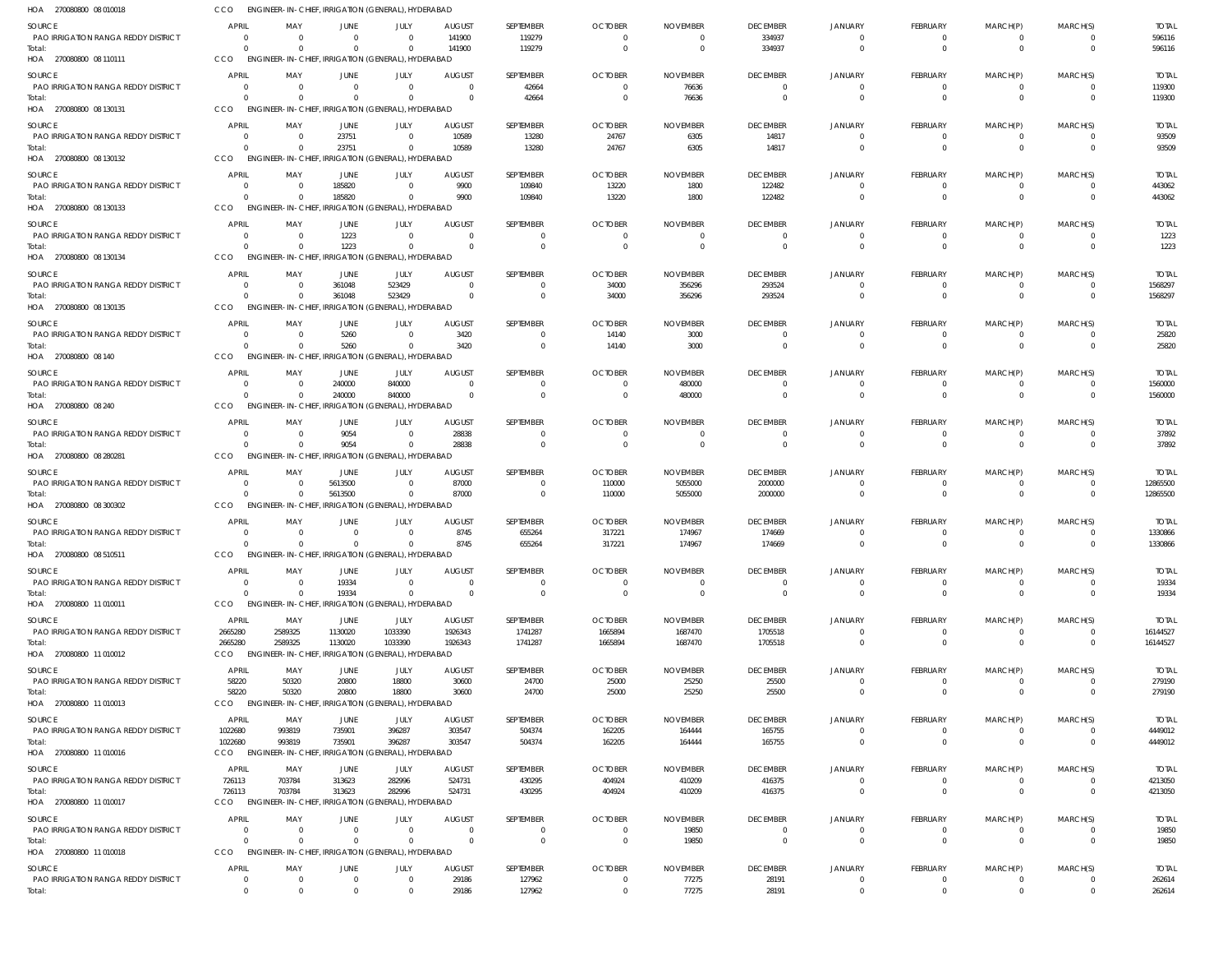| HOA 270080800 08 010018                              | CCO                            | ENGINEER-IN-CHIEF, IRRIGATION (GENERAL), HYDERABAD             |                  |                        |                           |                          |                            |                             |                                            |                                  |                             |                               |                            |                        |
|------------------------------------------------------|--------------------------------|----------------------------------------------------------------|------------------|------------------------|---------------------------|--------------------------|----------------------------|-----------------------------|--------------------------------------------|----------------------------------|-----------------------------|-------------------------------|----------------------------|------------------------|
| SOURCE                                               | <b>APRIL</b>                   | MAY                                                            | JUNE             | JULY                   | <b>AUGUST</b>             | SEPTEMBER                | <b>OCTOBER</b>             | <b>NOVEMBER</b>             | <b>DECEMBER</b>                            | <b>JANUARY</b>                   | FEBRUARY                    | MARCH(P)                      | MARCH(S)                   | <b>TOTAL</b>           |
| PAO IRRIGATION RANGA REDDY DISTRICT                  | $\Omega$                       | $\Omega$                                                       | $\Omega$         | $\Omega$               | 141900                    | 119279                   | $\Omega$                   |                             | 334937                                     | $\overline{0}$                   | $\Omega$                    | $^{\circ}$                    | $\Omega$                   | 596116                 |
| Total:<br>HOA 270080800 08 110111                    | $\Omega$<br>CCO                | $\Omega$<br>ENGINEER-IN-CHIEF, IRRIGATION (GENERAL), HYDERABAD | $\Omega$         | $\Omega$               | 141900                    | 119279                   | $\Omega$                   |                             | 334937                                     | $\Omega$                         | $\Omega$                    | $\Omega$                      | $\Omega$                   | 596116                 |
|                                                      |                                |                                                                |                  |                        |                           |                          |                            |                             |                                            |                                  |                             |                               |                            |                        |
| SOURCE<br>PAO IRRIGATION RANGA REDDY DISTRICT        | <b>APRIL</b><br>$\Omega$       | MAY<br>$\Omega$                                                | JUNE<br>$\Omega$ | JULY<br>$\Omega$       | <b>AUGUST</b><br>$\Omega$ | SEPTEMBER<br>42664       | <b>OCTOBER</b><br>$\Omega$ | <b>NOVEMBER</b><br>76636    | <b>DECEMBER</b><br>$\overline{0}$          | JANUARY<br>$\Omega$              | FEBRUARY<br>$\mathbf 0$     | MARCH(P)<br>$^{\circ}$        | MARCH(S)<br>$\Omega$       | <b>TOTAL</b><br>119300 |
| Total:                                               | $\Omega$                       | - 0                                                            | $\Omega$         | $\Omega$               | $\Omega$                  | 42664                    | $\Omega$                   | 76636                       | $\overline{0}$                             | $\Omega$                         | $\mathbf 0$                 | $\overline{0}$                | $\Omega$                   | 119300                 |
| HOA 270080800 08 130131                              | CCO                            | ENGINEER-IN-CHIEF, IRRIGATION (GENERAL), HYDERABAD             |                  |                        |                           |                          |                            |                             |                                            |                                  |                             |                               |                            |                        |
| SOURCE                                               | <b>APRIL</b>                   | MAY                                                            | JUNE             | JULY                   | <b>AUGUST</b>             | SEPTEMBER                | <b>OCTOBER</b>             | <b>NOVEMBER</b>             | <b>DECEMBER</b>                            | JANUARY                          | FEBRUARY                    | MARCH(P)                      | MARCH(S)                   | <b>TOTAL</b>           |
| PAO IRRIGATION RANGA REDDY DISTRICT                  | $\Omega$                       | - 0                                                            | 23751            | $\Omega$               | 10589                     | 13280                    | 24767                      | 6305                        | 14817                                      | $\Omega$                         | 0                           | $^{\circ}$                    | $\Omega$                   | 93509                  |
| Total:                                               | $\Omega$                       | $\Omega$                                                       | 23751            | $\Omega$               | 10589                     | 13280                    | 24767                      | 6305                        | 14817                                      | $\Omega$                         | $\Omega$                    | $\Omega$                      | $\Omega$                   | 93509                  |
| HOA 270080800 08 130132                              | CCO                            | ENGINEER-IN-CHIEF, IRRIGATION (GENERAL), HYDERABAD             |                  |                        |                           |                          |                            |                             |                                            |                                  |                             |                               |                            |                        |
| SOURCE                                               | <b>APRIL</b>                   | MAY                                                            | JUNE             | JULY                   | <b>AUGUST</b>             | SEPTEMBER                | <b>OCTOBER</b>             | <b>NOVEMBER</b>             | <b>DECEMBER</b>                            | JANUARY                          | FEBRUARY                    | MARCH(P)                      | MARCH(S)                   | <b>TOTAL</b>           |
| PAO IRRIGATION RANGA REDDY DISTRICT<br>Total:        | $\Omega$<br>$\Omega$           | - 0<br>$\Omega$                                                | 185820<br>185820 | $\Omega$<br>$\Omega$   | 9900<br>9900              | 109840<br>109840         | 13220<br>13220             | 1800<br>1800                | 122482<br>122482                           | $\Omega$<br>$\Omega$             | $\mathbf 0$<br>$\mathbf{0}$ | $\mathbf 0$<br>$\overline{0}$ | $\Omega$<br>$\Omega$       | 443062<br>443062       |
| HOA 270080800 08 130133                              | CCO                            | ENGINEER-IN-CHIEF, IRRIGATION (GENERAL), HYDERABAD             |                  |                        |                           |                          |                            |                             |                                            |                                  |                             |                               |                            |                        |
| SOURCE                                               | <b>APRIL</b>                   | MAY                                                            | JUNE             | JULY                   | <b>AUGUST</b>             | SEPTEMBER                | <b>OCTOBER</b>             | <b>NOVEMBER</b>             | <b>DECEMBER</b>                            | <b>JANUARY</b>                   | FEBRUARY                    | MARCH(P)                      | MARCH(S)                   | <b>TOTAL</b>           |
| PAO IRRIGATION RANGA REDDY DISTRICT                  | $\Omega$                       | $\Omega$                                                       | 1223             | $\Omega$               | $\Omega$                  | $\Omega$                 | - 0                        |                             | - 0                                        | $\Omega$                         | $\Omega$                    | $\Omega$                      | $\Omega$                   | 1223                   |
| Total:                                               | $\Omega$                       | $\Omega$                                                       | 1223             | $\overline{0}$         | $\Omega$                  | $\mathbf 0$              | $\Omega$                   | $\Omega$                    | $\overline{\mathbf{0}}$                    | $\Omega$                         | $\mathbf{0}$                | $\overline{0}$                | $\Omega$                   | 1223                   |
| HOA 270080800 08 130134                              | CCO                            | ENGINEER-IN-CHIEF, IRRIGATION (GENERAL), HYDERABAD             |                  |                        |                           |                          |                            |                             |                                            |                                  |                             |                               |                            |                        |
| SOURCE                                               | <b>APRIL</b>                   | MAY                                                            | JUNE             | JULY                   | <b>AUGUST</b>             | SEPTEMBER                | <b>OCTOBER</b>             | <b>NOVEMBER</b>             | <b>DECEMBER</b>                            | <b>JANUARY</b>                   | FEBRUARY                    | MARCH(P)                      | MARCH(S)                   | <b>TOTAL</b>           |
| PAO IRRIGATION RANGA REDDY DISTRICT                  | 0                              | - 0                                                            | 361048           | 523429                 | $\Omega$                  | 0                        | 34000                      | 356296                      | 293524                                     | $\Omega$                         | $\mathbf 0$                 | 0                             | $\Omega$                   | 1568297                |
| Total:<br>HOA 270080800 08 130135                    | $\Omega$<br>CCO                | $\Omega$<br>ENGINEER-IN-CHIEF, IRRIGATION (GENERAL), HYDERABAD | 361048           | 523429                 | $\Omega$                  | $\mathbf 0$              | 34000                      | 356296                      | 293524                                     | $\Omega$                         | $\mathbf 0$                 | $\overline{0}$                | $\Omega$                   | 1568297                |
|                                                      |                                |                                                                |                  |                        |                           |                          |                            |                             |                                            |                                  |                             |                               |                            |                        |
| SOURCE<br><b>PAO IRRIGATION RANGA REDDY DISTRICT</b> | <b>APRIL</b><br>$\Omega$       | MAY<br>- 0                                                     | JUNE<br>5260     | JULY<br>$\Omega$       | <b>AUGUST</b><br>3420     | SEPTEMBER<br>$\Omega$    | <b>OCTOBER</b><br>14140    | <b>NOVEMBER</b><br>3000     | <b>DECEMBER</b><br>$\overline{0}$          | JANUARY<br>$\Omega$              | FEBRUARY<br>$\mathbf 0$     | MARCH(P)<br>$\mathbf 0$       | MARCH(S)<br>$\Omega$       | <b>TOTAL</b><br>25820  |
| Total:                                               | $\Omega$                       | $\Omega$                                                       | 5260             | $\Omega$               | 3420                      | $\Omega$                 | 14140                      | 3000                        | $\overline{\mathbf{0}}$                    | $\Omega$                         | $\Omega$                    | $\Omega$                      | $\Omega$                   | 25820                  |
| HOA 270080800 08 140                                 | CCO                            | ENGINEER-IN-CHIEF, IRRIGATION (GENERAL), HYDERABAD             |                  |                        |                           |                          |                            |                             |                                            |                                  |                             |                               |                            |                        |
| SOURCE                                               | <b>APRIL</b>                   | MAY                                                            | JUNE             | JULY                   | <b>AUGUST</b>             | SEPTEMBER                | <b>OCTOBER</b>             | <b>NOVEMBER</b>             | <b>DECEMBER</b>                            | JANUARY                          | FEBRUARY                    | MARCH(P)                      | MARCH(S)                   | <b>TOTAL</b>           |
| <b>PAO IRRIGATION RANGA REDDY DISTRICT</b>           | $\overline{0}$                 | - 0                                                            | 240000           | 840000                 | $\Omega$                  | $\Omega$                 | $\Omega$                   | 480000                      | $\overline{\mathbf{0}}$                    | $\Omega$                         | $\mathbf 0$                 | $^{\circ}$                    | $\overline{\mathbf{0}}$    | 1560000                |
| Total:                                               | $\Omega$                       | $\Omega$                                                       | 240000           | 840000                 | $\Omega$                  | $\mathbf 0$              | $\Omega$                   | 480000                      | $\overline{0}$                             | $\Omega$                         | $\mathbf 0$                 | $\overline{0}$                | $\Omega$                   | 1560000                |
| HOA 270080800 08 240                                 | CCO                            | ENGINEER-IN-CHIEF, IRRIGATION (GENERAL), HYDERABAD             |                  |                        |                           |                          |                            |                             |                                            |                                  |                             |                               |                            |                        |
| SOURCE                                               | <b>APRIL</b>                   | MAY                                                            | JUNE             | JULY                   | <b>AUGUST</b>             | SEPTEMBER                | <b>OCTOBER</b>             | <b>NOVEMBER</b>             | <b>DECEMBER</b>                            | <b>JANUARY</b>                   | FEBRUARY                    | MARCH(P)                      | MARCH(S)                   | <b>TOTAL</b>           |
| PAO IRRIGATION RANGA REDDY DISTRICT<br>Total:        | $\Omega$<br>$\Omega$           | - 0<br>$\Omega$                                                | 9054<br>9054     | $\Omega$<br>$\Omega$   | 28838<br>28838            | $\Omega$<br>$\Omega$     |                            |                             | $\overline{0}$<br>$\overline{0}$           | $\Omega$<br>$\Omega$             | $\Omega$<br>$\Omega$        | $\Omega$<br>$\overline{0}$    | $\Omega$<br>$\Omega$       | 37892<br>37892         |
| HOA 270080800 08 280281                              | CCO                            | ENGINEER-IN-CHIEF, IRRIGATION (GENERAL), HYDERABAD             |                  |                        |                           |                          |                            |                             |                                            |                                  |                             |                               |                            |                        |
| SOURCE                                               | <b>APRIL</b>                   | MAY                                                            | JUNE             | JULY                   | <b>AUGUST</b>             | SEPTEMBER                | <b>OCTOBER</b>             | <b>NOVEMBER</b>             | <b>DECEMBER</b>                            | <b>JANUARY</b>                   | FEBRUARY                    | MARCH(P)                      | MARCH(S)                   | <b>TOTAL</b>           |
| PAO IRRIGATION RANGA REDDY DISTRICT                  | $\Omega$                       | $\Omega$                                                       | 5613500          | $\Omega$               | 87000                     | $\mathbf 0$              | 110000                     | 5055000                     | 2000000                                    | $\Omega$                         | $\mathbf 0$                 | -0                            | $\Omega$                   | 12865500               |
| Total:                                               | $\Omega$                       | $\overline{0}$                                                 | 5613500          | $\overline{0}$         | 87000                     | $\mathbf 0$              | 110000                     | 5055000                     | 2000000                                    | $\Omega$                         | $\mathbf 0$                 | $\overline{0}$                | $\Omega$                   | 12865500               |
| HOA 270080800 08 300302                              | CCO                            | ENGINEER-IN-CHIEF, IRRIGATION (GENERAL), HYDERABAD             |                  |                        |                           |                          |                            |                             |                                            |                                  |                             |                               |                            |                        |
| SOURCE                                               | <b>APRIL</b>                   | MAY                                                            | JUNE             | JULY                   | <b>AUGUST</b>             | SEPTEMBER                | <b>OCTOBER</b>             | <b>NOVEMBER</b>             | <b>DECEMBER</b>                            | <b>JANUARY</b>                   | FEBRUARY                    | MARCH(P)                      | MARCH(S)                   | <b>TOTAL</b>           |
| PAO IRRIGATION RANGA REDDY DISTRICT                  | $\Omega$                       | -0                                                             | - 0              | $\Omega$               | 8745                      | 655264                   | 317221                     | 174967                      | 174669                                     | $\Omega$                         | 0                           | -0                            | $\Omega$                   | 1330866                |
| Total:<br>HOA 270080800 08 510511                    | $\Omega$<br>CCO                | $\Omega$<br>ENGINEER-IN-CHIEF, IRRIGATION (GENERAL), HYDERABAD | $\Omega$         | $\Omega$               | 8745                      | 655264                   | 317221                     | 174967                      | 174669                                     | $\Omega$                         | $\Omega$                    | $\Omega$                      | $\Omega$                   | 1330866                |
|                                                      |                                |                                                                |                  |                        |                           |                          |                            |                             |                                            |                                  |                             |                               |                            |                        |
| SOURCE<br><b>PAO IRRIGATION RANGA REDDY DISTRICT</b> | <b>APRIL</b><br>$\overline{0}$ | MAY<br>$\Omega$                                                | JUNE<br>19334    | JULY<br>$\overline{0}$ | <b>AUGUST</b><br>$\Omega$ | SEPTEMBER<br>$\mathbf 0$ | <b>OCTOBER</b><br>$\Omega$ | <b>NOVEMBER</b><br>$\Omega$ | <b>DECEMBER</b><br>$\overline{\mathbf{0}}$ | JANUARY<br>$\overline{0}$        | FEBRUARY<br>$\mathbf 0$     | MARCH(P)<br>$\mathbf 0$       | MARCH(S)<br>$\Omega$       | <b>TOTAL</b><br>19334  |
| Total:                                               | $\Omega$                       | - 0                                                            | 19334            | $\Omega$               | $\Omega$                  | $\mathbf 0$              | $\Omega$                   | $\Omega$                    | $\overline{0}$                             | $\overline{0}$                   | $\mathbf 0$                 | $\overline{0}$                | $\Omega$                   | 19334                  |
| HOA 270080800 11 010011                              | CCO                            | ENGINEER-IN-CHIEF, IRRIGATION (GENERAL), HYDERABAD             |                  |                        |                           |                          |                            |                             |                                            |                                  |                             |                               |                            |                        |
| SOURCE                                               | <b>APRIL</b>                   | MAY                                                            | JUNE             | JULY                   | <b>AUGUST</b>             | SEPTEMBER                | <b>OCTOBER</b>             | <b>NOVEMBER</b>             | <b>DECEMBER</b>                            | <b>JANUARY</b>                   | FEBRUARY                    | MARCH(P)                      | MARCH(S)                   | <b>TOTAL</b>           |
| PAO IRRIGATION RANGA REDDY DISTRICT                  | 2665280                        | 2589325                                                        | 1130020          | 1033390                | 1926343                   | 1741287                  | 1665894                    | 1687470                     | 1705518                                    | $\Omega$                         | 0                           | $^{\circ}$                    | $\Omega$                   | 16144527               |
| Total:                                               | 2665280                        | 2589325                                                        | 1130020          | 1033390                | 1926343                   | 1741287                  | 1665894                    | 1687470                     | 1705518                                    | $\overline{0}$                   | $\mathbf 0$                 | $\overline{0}$                | $\overline{0}$             | 16144527               |
| HOA 270080800 11 010012                              | CCO                            | ENGINEER-IN-CHIEF, IRRIGATION (GENERAL), HYDERABAD             |                  |                        |                           |                          |                            |                             |                                            |                                  |                             |                               |                            |                        |
| SOURCE                                               | <b>APRIL</b>                   | MAY                                                            | JUNE             | JULY                   | <b>AUGUST</b>             | SEPTEMBER                | <b>OCTOBER</b>             | <b>NOVEMBER</b>             | <b>DECEMBER</b>                            | <b>JANUARY</b>                   | FEBRUARY                    | MARCH(P)                      | MARCH(S)                   | <b>TOTAL</b>           |
| PAO IRRIGATION RANGA REDDY DISTRICT<br>Total:        | 58220<br>58220                 | 50320<br>50320                                                 | 20800<br>20800   | 18800<br>18800         | 30600<br>30600            | 24700<br>24700           | 25000<br>25000             | 25250<br>25250              | 25500<br>25500                             | $\overline{0}$<br>$\overline{0}$ | $\mathbf 0$<br>$\mathbf 0$  | -0<br>$\overline{0}$          | $\Omega$<br>$\overline{0}$ | 279190<br>279190       |
| HOA 270080800 11 010013                              | <b>CCO</b>                     | ENGINEER-IN-CHIEF, IRRIGATION (GENERAL), HYDERABAD             |                  |                        |                           |                          |                            |                             |                                            |                                  |                             |                               |                            |                        |
| SOURCE                                               | <b>APRIL</b>                   | MAY                                                            | JUNE             | JULY                   | <b>AUGUST</b>             | SEPTEMBER                | <b>OCTOBER</b>             | <b>NOVEMBER</b>             | <b>DECEMBER</b>                            | <b>JANUARY</b>                   | FEBRUARY                    | MARCH(P)                      | MARCH(S)                   | <b>TOTAL</b>           |
| PAO IRRIGATION RANGA REDDY DISTRICT                  | 1022680                        | 993819                                                         | 735901           | 396287                 | 303547                    | 504374                   | 162205                     | 164444                      | 165755                                     | $\Omega$                         | $\mathbf 0$                 | $\mathbf 0$                   | $\Omega$                   | 4449012                |
| Total:                                               | 1022680                        | 993819                                                         | 735901           | 396287                 | 303547                    | 504374                   | 162205                     | 164444                      | 165755                                     | $\Omega$                         | $\mathbf 0$                 | $\overline{0}$                | $\Omega$                   | 4449012                |
| HOA 270080800 11 010016                              | CCO                            | ENGINEER-IN-CHIEF, IRRIGATION (GENERAL), HYDERABAD             |                  |                        |                           |                          |                            |                             |                                            |                                  |                             |                               |                            |                        |
| SOURCE                                               | <b>APRIL</b>                   | MAY                                                            | JUNE             | JULY                   | <b>AUGUST</b>             | SEPTEMBER                | <b>OCTOBER</b>             | <b>NOVEMBER</b>             | <b>DECEMBER</b>                            | <b>JANUARY</b>                   | FEBRUARY                    | MARCH(P)                      | MARCH(S)                   | <b>TOTAL</b>           |
| PAO IRRIGATION RANGA REDDY DISTRICT                  | 726113                         | 703784                                                         | 313623           | 282996                 | 524731                    | 430295                   | 404924                     | 410209                      | 416375                                     | $\overline{0}$                   | $\mathbf 0$                 | $^{\circ}$                    | $\overline{0}$             | 4213050                |
| Total:<br>HOA 270080800 11 010017                    | 726113<br>CCO                  | 703784<br>ENGINEER-IN-CHIEF, IRRIGATION (GENERAL), HYDERABAD   | 313623           | 282996                 | 524731                    | 430295                   | 404924                     | 410209                      | 416375                                     | $\overline{0}$                   | $\mathbf 0$                 | $\overline{0}$                | $\Omega$                   | 4213050                |
|                                                      |                                |                                                                |                  |                        |                           |                          |                            |                             |                                            |                                  |                             |                               |                            |                        |
| SOURCE<br><b>PAO IRRIGATION RANGA REDDY DISTRICT</b> | <b>APRIL</b><br>$\Omega$       | MAY<br>$\Omega$                                                | JUNE<br>$\Omega$ | JULY<br>$\Omega$       | <b>AUGUST</b><br>$\Omega$ | SEPTEMBER<br>$\Omega$    | <b>OCTOBER</b><br>- 0      | <b>NOVEMBER</b><br>19850    | <b>DECEMBER</b><br>$\overline{\mathbf{0}}$ | <b>JANUARY</b><br>$\overline{0}$ | FEBRUARY<br>$\Omega$        | MARCH(P)<br>$\Omega$          | MARCH(S)<br>$\Omega$       | <b>TOTAL</b><br>19850  |
| Total:                                               | $\Omega$                       | $\Omega$                                                       | $\Omega$         | $\overline{0}$         | $\Omega$                  | $\mathbf 0$              | $\Omega$                   | 19850                       | $\overline{0}$                             | $\overline{0}$                   | $\mathbf{0}$                | $\overline{0}$                | $\Omega$                   | 19850                  |
| HOA 270080800 11 010018                              | CCO                            | ENGINEER-IN-CHIEF, IRRIGATION (GENERAL), HYDERABAD             |                  |                        |                           |                          |                            |                             |                                            |                                  |                             |                               |                            |                        |
| <b>SOURCE</b>                                        | <b>APRIL</b>                   | MAY                                                            | <b>JUNE</b>      | JULY                   | <b>AUGUST</b>             | SEPTEMBER                | <b>OCTOBER</b>             | <b>NOVEMBER</b>             | <b>DECEMBER</b>                            | <b>JANUARY</b>                   | FEBRUARY                    | MARCH(P)                      | MARCH(S)                   | <b>TOTAL</b>           |
| PAO IRRIGATION RANGA REDDY DISTRICT                  | $\overline{0}$                 | 0                                                              | $\Omega$         | $\overline{0}$         | 29186                     | 127962                   | $\Omega$                   | 77275                       | 28191                                      | $\mathbf 0$                      | $\mathbf 0$                 | 0                             | $\overline{\mathbf{0}}$    | 262614                 |
| Total:                                               | $\overline{0}$                 | $\overline{0}$                                                 | $\Omega$         | $\overline{0}$         | 29186                     | 127962                   | $\overline{0}$             | 77275                       | 28191                                      | $\,0\,$                          | $\mathbf 0$                 | $\mathbf 0$                   | $\overline{0}$             | 262614                 |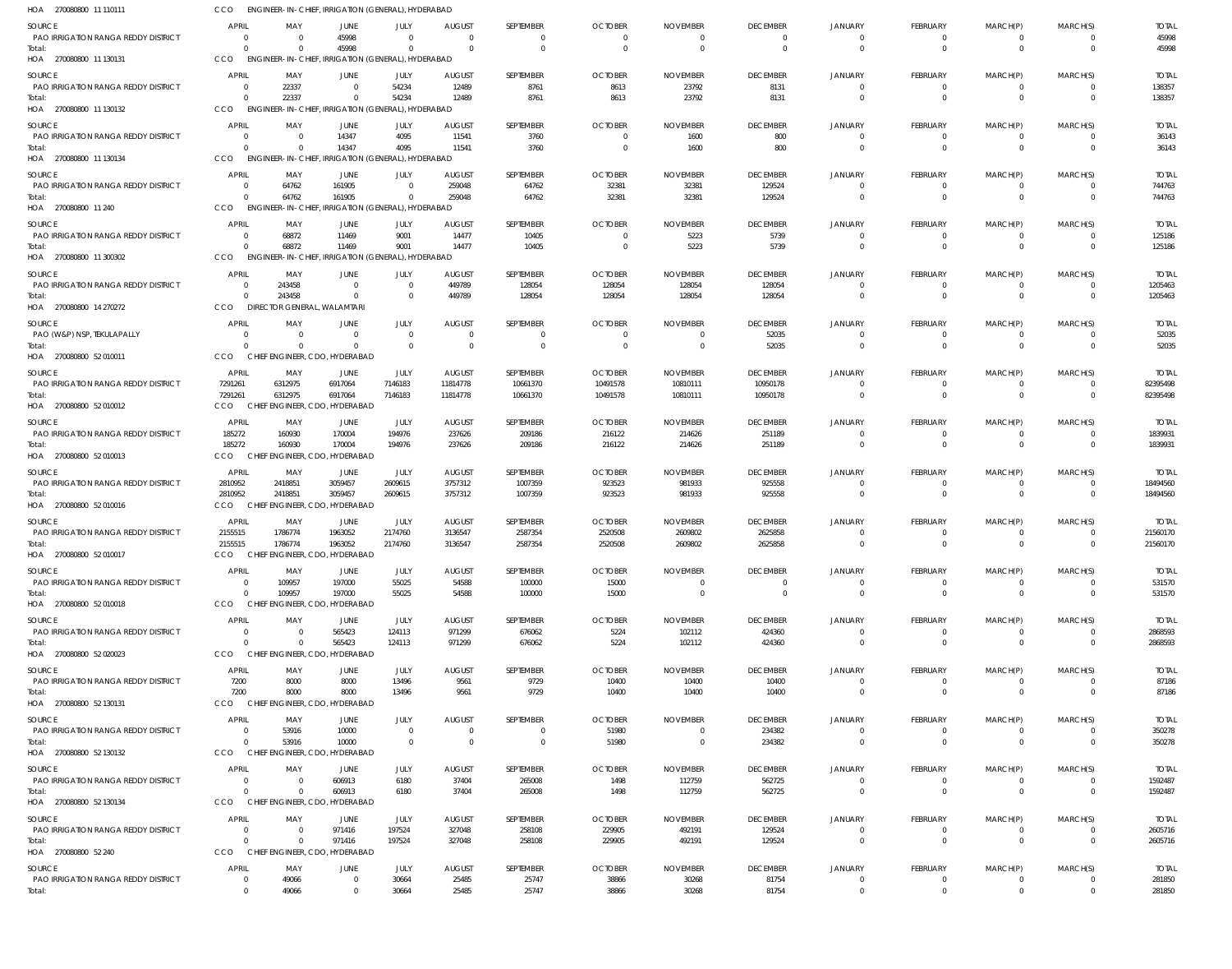| HOA 270080800 11 110111                              | CCO                            |                                              | <b>ENGINEER-IN-CHIEF, IRRIGATION (GENERAL), HYDERABAD</b>   |                                             |                         |                                |                          |                           |                                  |                                  |                                  |                               |                                     |                         |
|------------------------------------------------------|--------------------------------|----------------------------------------------|-------------------------------------------------------------|---------------------------------------------|-------------------------|--------------------------------|--------------------------|---------------------------|----------------------------------|----------------------------------|----------------------------------|-------------------------------|-------------------------------------|-------------------------|
| SOURCE                                               | <b>APRIL</b>                   | MAY                                          | JUNE                                                        | JULY                                        | <b>AUGUST</b>           | SEPTEMBER                      | <b>OCTOBER</b>           | <b>NOVEMBER</b>           | <b>DECEMBER</b>                  | <b>JANUARY</b>                   | <b>FEBRUARY</b>                  | MARCH(P)                      | MARCH(S)                            | <b>TOTAL</b>            |
| PAO IRRIGATION RANGA REDDY DISTRICT<br>Total:        | $\Omega$<br>$\Omega$           | - 0<br>$\Omega$                              | 45998<br>45998                                              | $\Omega$<br>$\Omega$                        | $\Omega$<br>$\cap$      | $\mathbf{0}$<br>$\overline{0}$ | $\Omega$<br>$\Omega$     | $\Omega$<br>$\Omega$      | $\overline{0}$<br>$\overline{0}$ | $\overline{0}$<br>$\Omega$       | $\overline{0}$<br>$\mathbf{0}$   | $\mathbf{0}$<br>$\mathbf 0$   | $\Omega$<br>$\Omega$                | 45998<br>45998          |
| HOA 270080800 11 130131                              | CCO                            |                                              | ENGINEER-IN-CHIEF, IRRIGATION (GENERAL), HYDERABAD          |                                             |                         |                                |                          |                           |                                  |                                  |                                  |                               |                                     |                         |
| SOURCE                                               | <b>APRIL</b>                   | MAY                                          | JUNE                                                        | JULY                                        | <b>AUGUST</b>           | SEPTEMBER                      | <b>OCTOBER</b>           | <b>NOVEMBER</b>           | <b>DECEMBER</b>                  | JANUARY                          | FEBRUARY                         | MARCH(P)                      | MARCH(S)                            | <b>TOTAL</b>            |
| PAO IRRIGATION RANGA REDDY DISTRICT                  | $\circ$<br>$\Omega$            | 22337<br>22337                               | $\Omega$<br>$\Omega$                                        | 54234<br>54234                              | 12489<br>12489          | 8761<br>8761                   | 8613<br>8613             | 23792<br>23792            | 8131<br>8131                     | $\overline{0}$<br>$\Omega$       | $\overline{0}$<br>$\overline{0}$ | $\overline{0}$<br>$\mathbf 0$ | $\Omega$<br>$\Omega$                | 138357<br>138357        |
| Total:<br>HOA 270080800 11 130132                    | CCO                            |                                              | ENGINEER-IN-CHIEF, IRRIGATION (GENERAL), HYDERABAD          |                                             |                         |                                |                          |                           |                                  |                                  |                                  |                               |                                     |                         |
| SOURCE                                               | <b>APRIL</b>                   | MAY                                          | JUNE                                                        | JULY                                        | <b>AUGUST</b>           | SEPTEMBER                      | <b>OCTOBER</b>           | <b>NOVEMBER</b>           | <b>DECEMBER</b>                  | JANUARY                          | FEBRUARY                         | MARCH(P)                      | MARCH(S)                            | <b>TOTAL</b>            |
| PAO IRRIGATION RANGA REDDY DISTRICT                  | $\Omega$                       | $\Omega$                                     | 14347                                                       | 4095                                        | 11541                   | 3760                           | $\Omega$                 | 1600                      | 800                              | $\Omega$                         | 0                                | $\mathbf{0}$                  | $\Omega$                            | 36143                   |
| Total:<br>HOA 270080800 11 130134                    | $\Omega$<br>CCO                | $\Omega$                                     | 14347<br>ENGINEER-IN-CHIEF, IRRIGATION (GENERAL), HYDERABAD | 4095                                        | 11541                   | 3760                           | $\Omega$                 | 1600                      | 800                              | $\Omega$                         | $\overline{0}$                   | $\mathbf 0$                   | $\Omega$                            | 36143                   |
| SOURCE                                               | <b>APRIL</b>                   | MAY                                          | JUNE                                                        | JULY                                        | <b>AUGUST</b>           | SEPTEMBER                      | <b>OCTOBER</b>           | <b>NOVEMBER</b>           | <b>DECEMBER</b>                  | JANUARY                          | FEBRUARY                         | MARCH(P)                      | MARCH(S)                            | <b>TOTAL</b>            |
| <b>PAO IRRIGATION RANGA REDDY DISTRICT</b>           | $\Omega$                       | 64762                                        | 161905                                                      | $\Omega$                                    | 259048                  | 64762                          | 32381                    | 32381                     | 129524                           | $\Omega$                         | $\overline{0}$                   | $\overline{0}$                | $\Omega$                            | 744763                  |
| Total:<br>HOA 270080800 11 240                       | $\Omega$<br>CCO                | 64762<br><b>ENGINEER-IN-CHIEF,</b>           | 161905                                                      | $\Omega$<br>IRRIGATION (GENERAL), HYDERABAD | 259048                  | 64762                          | 32381                    | 32381                     | 129524                           | $\Omega$                         | $\mathbf{0}$                     | $\mathbf 0$                   | $\overline{0}$                      | 744763                  |
| SOURCE                                               | <b>APRIL</b>                   | MAY                                          | JUNE                                                        | JULY                                        | <b>AUGUST</b>           | SEPTEMBER                      | <b>OCTOBER</b>           | <b>NOVEMBER</b>           | <b>DECEMBER</b>                  | JANUARY                          | FEBRUARY                         | MARCH(P)                      | MARCH(S)                            | <b>TOTAL</b>            |
| PAO IRRIGATION RANGA REDDY DISTRICT                  | $\overline{0}$                 | 68872                                        | 11469                                                       | 9001                                        | 14477                   | 10405                          | $\Omega$                 | 5223                      | 5739                             | $\Omega$                         | 0                                | $\overline{0}$                | $\Omega$                            | 125186                  |
| Total:<br>HOA 270080800 11 300302                    | $\Omega$<br>CCO                | 68872                                        | 11469<br>ENGINEER-IN-CHIEF, IRRIGATION (GENERAL), HYDERABAD | 9001                                        | 14477                   | 10405                          | $\Omega$                 | 5223                      | 5739                             | $\Omega$                         | $\overline{0}$                   | $\mathbf 0$                   | $\Omega$                            | 125186                  |
|                                                      |                                |                                              |                                                             |                                             |                         |                                |                          |                           |                                  |                                  |                                  |                               |                                     |                         |
| SOURCE<br><b>PAO IRRIGATION RANGA REDDY DISTRICT</b> | <b>APRIL</b><br>$\overline{0}$ | MAY<br>243458                                | JUNE<br>$\overline{0}$                                      | JULY<br>$\mathbf 0$                         | <b>AUGUST</b><br>449789 | SEPTEMBER<br>128054            | <b>OCTOBER</b><br>128054 | <b>NOVEMBER</b><br>128054 | <b>DECEMBER</b><br>128054        | JANUARY<br>$\overline{0}$        | FEBRUARY<br>$\overline{0}$       | MARCH(P)<br>$\overline{0}$    | MARCH(S)<br>$\overline{0}$          | <b>TOTAL</b><br>1205463 |
| Total:<br>HOA 270080800 14 270272                    | $\Omega$<br>CCO                | 243458<br><b>DIRECTOR GENERAL, WALAMTARI</b> | $\overline{0}$                                              | $\Omega$                                    | 449789                  | 128054                         | 128054                   | 128054                    | 128054                           | $\Omega$                         | $\mathbf{0}$                     | $\mathbf 0$                   | $\Omega$                            | 1205463                 |
| SOURCE                                               | <b>APRIL</b>                   | MAY                                          | JUNE                                                        | JULY                                        | <b>AUGUST</b>           | SEPTEMBER                      | <b>OCTOBER</b>           | <b>NOVEMBER</b>           | <b>DECEMBER</b>                  | JANUARY                          | FEBRUARY                         | MARCH(P)                      | MARCH(S)                            | <b>TOTAL</b>            |
| PAO (W&P) NSP, TEKULAPALLY                           | $\Omega$                       | $\Omega$                                     | $\Omega$                                                    | $\mathbf 0$                                 | $\Omega$                | $\overline{0}$                 | $\Omega$                 | - 0                       | 52035                            | $\Omega$                         | 0                                | $\overline{0}$                | $\Omega$                            | 52035                   |
| Total:<br>HOA 270080800 52 010011                    | $\Omega$<br>CCO                | $\Omega$                                     | $\Omega$<br>CHIEF ENGINEER, CDO, HYDERABAD                  | $\Omega$                                    | $\Omega$                | $\overline{0}$                 | $\Omega$                 | $\Omega$                  | 52035                            | $\Omega$                         | $\overline{0}$                   | $\mathbf 0$                   | $\overline{0}$                      | 52035                   |
| SOURCE                                               | APRIL                          | MAY                                          | JUNE                                                        | JULY                                        | <b>AUGUST</b>           | SEPTEMBER                      | <b>OCTOBER</b>           | <b>NOVEMBER</b>           | <b>DECEMBER</b>                  | JANUARY                          | FEBRUARY                         | MARCH(P)                      | MARCH(S)                            | <b>TOTAL</b>            |
| PAO IRRIGATION RANGA REDDY DISTRICT                  | 7291261                        | 6312975                                      | 6917064                                                     | 7146183                                     | 11814778                | 10661370                       | 10491578                 | 10810111                  | 10950178                         | $\Omega$                         | 0                                | 0                             | $\Omega$                            | 82395498                |
| Total:<br>HOA 270080800 52 010012                    | 7291261<br>CCO                 | 6312975                                      | 6917064<br>CHIEF ENGINEER, CDO, HYDERABAD                   | 7146183                                     | 11814778                | 10661370                       | 10491578                 | 10810111                  | 10950178                         | $\Omega$                         | $\mathbf{0}$                     | $\mathbf 0$                   | $\overline{0}$                      | 82395498                |
| SOURCE                                               | <b>APRIL</b>                   | MAY                                          | JUNE                                                        | JULY                                        | <b>AUGUST</b>           | SEPTEMBER                      | <b>OCTOBER</b>           | <b>NOVEMBER</b>           | <b>DECEMBER</b>                  | JANUARY                          | FEBRUARY                         | MARCH(P)                      | MARCH(S)                            | <b>TOTAL</b>            |
| PAO IRRIGATION RANGA REDDY DISTRICT                  | 185272                         | 160930                                       | 170004                                                      | 194976                                      | 237626                  | 209186                         | 216122                   | 214626                    | 251189                           | $\Omega$<br>$\Omega$             | $\overline{0}$<br>$\overline{0}$ | $\overline{0}$<br>$\mathbf 0$ | $\overline{\mathbf{0}}$<br>$\Omega$ | 1839931                 |
| Total:<br>HOA 270080800 52 010013                    | 185272<br>CCO                  | 160930                                       | 170004<br>CHIEF ENGINEER, CDO, HYDERABAD                    | 194976                                      | 237626                  | 209186                         | 216122                   | 214626                    | 251189                           |                                  |                                  |                               |                                     | 1839931                 |
| SOURCE                                               | APRIL                          | MAY                                          | <b>JUNE</b>                                                 | JULY                                        | <b>AUGUST</b>           | SEPTEMBER                      | <b>OCTOBER</b>           | <b>NOVEMBER</b>           | <b>DECEMBER</b>                  | <b>JANUARY</b>                   | FEBRUARY                         | MARCH(P)                      | MARCH(S)                            | <b>TOTAL</b>            |
| PAO IRRIGATION RANGA REDDY DISTRICT                  | 2810952                        | 2418851                                      | 3059457                                                     | 2609615                                     | 3757312                 | 1007359                        | 923523                   | 981933                    | 925558                           | $\overline{0}$                   | $\overline{0}$                   | $\overline{0}$                | $\Omega$                            | 18494560                |
| Total:<br>HOA 270080800 52 010016                    | 2810952<br>CCO                 | 2418851                                      | 3059457<br>CHIEF ENGINEER, CDO, HYDERABAD                   | 2609615                                     | 3757312                 | 1007359                        | 923523                   | 981933                    | 925558                           | $\Omega$                         | $\overline{0}$                   | $\mathbf 0$                   | $\Omega$                            | 18494560                |
| SOURCE                                               | APRIL                          | MAY                                          | JUNE                                                        | JULY                                        | <b>AUGUST</b>           | SEPTEMBER                      | <b>OCTOBER</b>           | <b>NOVEMBER</b>           | <b>DECEMBER</b>                  | <b>JANUARY</b>                   | <b>FEBRUARY</b>                  | MARCH(P)                      | MARCH(S)                            | <b>TOTAL</b>            |
| <b>PAO IRRIGATION RANGA REDDY DISTRICT</b>           | 2155515                        | 1786774                                      | 1963052                                                     | 2174760                                     | 3136547                 | 2587354                        | 2520508                  | 2609802                   | 2625858                          | $\Omega$                         | $\Omega$                         | 0                             | $\Omega$                            | 21560170                |
| Total:<br>HOA 270080800 52 010017                    | 2155515<br>CCO                 | 1786774                                      | 1963052<br>CHIEF ENGINEER, CDO, HYDERABAD                   | 2174760                                     | 3136547                 | 2587354                        | 2520508                  | 2609802                   | 2625858                          | $\Omega$                         | $\mathbf{0}$                     | $\mathbf 0$                   | $\Omega$                            | 21560170                |
| SOURCE                                               | <b>APRIL</b>                   | MAY                                          | JUNE                                                        | JULY                                        | <b>AUGUST</b>           | SEPTEMBER                      | <b>OCTOBER</b>           | <b>NOVEMBER</b>           | <b>DECEMBER</b>                  | JANUARY                          | <b>FEBRUARY</b>                  | MARCH(P)                      | MARCH(S)                            | <b>TOTAL</b>            |
| PAO IRRIGATION RANGA REDDY DISTRICT                  | $\overline{0}$<br>$\Omega$     | 109957<br>109957                             | 197000<br>197000                                            | 55025<br>55025                              | 54588                   | 100000                         | 15000                    | $\Omega$                  | $\overline{0}$<br>$\overline{0}$ | $\overline{0}$<br>$\overline{0}$ | 0<br>$\mathbf{0}$                | $\overline{0}$<br>$\mathbf 0$ | $\Omega$<br>$\overline{0}$          | 531570                  |
| Total:<br>HOA 270080800 52 010018                    | CCO                            |                                              | CHIEF ENGINEER, CDO, HYDERABAD                              |                                             | 54588                   | 100000                         | 15000                    |                           |                                  |                                  |                                  |                               |                                     | 531570                  |
| SOURCE                                               | <b>APRIL</b>                   | MAY                                          | JUNE                                                        | JULY                                        | <b>AUGUST</b>           | SEPTEMBER                      | <b>OCTOBER</b>           | <b>NOVEMBER</b>           | <b>DECEMBER</b>                  | JANUARY                          | FEBRUARY                         | MARCH(P)                      | MARCH(S)                            | <b>TOTAL</b>            |
| <b>PAO IRRIGATION RANGA REDDY DISTRICT</b>           | $\Omega$                       | $\Omega$                                     | 565423                                                      | 124113                                      | 971299                  | 676062                         | 5224                     | 102112                    | 424360                           | $\overline{0}$                   | $\overline{0}$                   | $\overline{0}$                | $\Omega$                            | 2868593                 |
| Total:<br>HOA 270080800 52 020023                    | $\Omega$<br>CCO                |                                              | 565423<br>CHIEF ENGINEER, CDO, HYDERABAD                    | 124113                                      | 971299                  | 676062                         | 5224                     | 102112                    | 424360                           | $\Omega$                         | $\mathbf{0}$                     | $\mathbf 0$                   | $\overline{0}$                      | 2868593                 |
| SOURCE                                               | <b>APRIL</b>                   | MAY                                          | <b>JUNE</b>                                                 | JULY                                        | <b>AUGUST</b>           | SEPTEMBER                      | <b>OCTOBER</b>           | <b>NOVEMBER</b>           | <b>DECEMBER</b>                  | JANUARY                          | FEBRUARY                         | MARCH(P)                      | MARCH(S)                            | <b>TOTAL</b>            |
| PAO IRRIGATION RANGA REDDY DISTRICT                  | 7200                           | 8000                                         | 8000                                                        | 13496                                       | 9561                    | 9729                           | 10400                    | 10400                     | 10400                            | $\overline{0}$                   | $\overline{0}$                   | $\overline{0}$                | $\Omega$                            | 87186                   |
| Total:<br>HOA 270080800 52 130131                    | 7200<br>CCO                    | 8000                                         | 8000<br>CHIEF ENGINEER, CDO, HYDERABAD                      | 13496                                       | 9561                    | 9729                           | 10400                    | 10400                     | 10400                            | $\overline{\mathbf{0}}$          | $\mathbf{0}$                     | $\mathbf 0$                   | $\Omega$                            | 87186                   |
| SOURCE                                               | <b>APRIL</b>                   | MAY                                          | JUNE                                                        | JULY                                        | <b>AUGUST</b>           | SEPTEMBER                      | <b>OCTOBER</b>           | <b>NOVEMBER</b>           | <b>DECEMBER</b>                  | JANUARY                          | FEBRUARY                         | MARCH(P)                      | MARCH(S)                            | <b>TOTAL</b>            |
| PAO IRRIGATION RANGA REDDY DISTRICT                  | $\overline{0}$                 | 53916                                        | 10000                                                       | $\overline{0}$                              | $\Omega$                | $\overline{0}$                 | 51980                    | $\Omega$                  | 234382                           | $\overline{0}$                   | 0                                | $\overline{0}$                | $\overline{0}$                      | 350278                  |
| Total:<br>HOA 270080800 52 130132                    | $\Omega$<br>CCO                | 53916                                        | 10000<br>CHIEF ENGINEER, CDO, HYDERABAD                     | $\Omega$                                    | $\Omega$                | $\overline{0}$                 | 51980                    | $\Omega$                  | 234382                           | $\overline{0}$                   | $\overline{0}$                   | $\mathbf 0$                   | $\overline{0}$                      | 350278                  |
| SOURCE                                               | <b>APRIL</b>                   | MAY                                          | JUNE                                                        | JULY                                        | <b>AUGUST</b>           | SEPTEMBER                      | <b>OCTOBER</b>           | <b>NOVEMBER</b>           | <b>DECEMBER</b>                  | JANUARY                          | FEBRUARY                         | MARCH(P)                      | MARCH(S)                            | <b>TOTAL</b>            |
| PAO IRRIGATION RANGA REDDY DISTRICT                  | $\circ$<br>$\Omega$            |                                              | 606913<br>606913                                            | 6180                                        | 37404                   | 265008                         | 1498                     | 112759                    | 562725                           | $\mathbf 0$<br>$\overline{0}$    | 0<br>$\mathbf{0}$                | 0<br>$\mathbf 0$              | $\Omega$<br>$\overline{0}$          | 1592487                 |
| Total:<br>HOA 270080800 52 130134                    | CCO                            | -0                                           | CHIEF ENGINEER, CDO, HYDERABAD                              | 6180                                        | 37404                   | 265008                         | 1498                     | 112759                    | 562725                           |                                  |                                  |                               |                                     | 1592487                 |
| SOURCE                                               | <b>APRIL</b>                   | MAY                                          | JUNE                                                        | JULY                                        | <b>AUGUST</b>           | SEPTEMBER                      | <b>OCTOBER</b>           | <b>NOVEMBER</b>           | <b>DECEMBER</b>                  | JANUARY                          | FEBRUARY                         | MARCH(P)                      | MARCH(S)                            | <b>TOTAL</b>            |
| PAO IRRIGATION RANGA REDDY DISTRICT                  | $\Omega$                       | $\Omega$                                     | 971416                                                      | 197524                                      | 327048                  | 258108                         | 229905                   | 492191                    | 129524                           | $\Omega$                         | $\overline{0}$                   | $\overline{0}$                | $\overline{0}$                      | 2605716                 |
| Total:<br>HOA 270080800 52 240                       | $\Omega$<br>CCO                | $\Omega$                                     | 971416<br>CHIEF ENGINEER, CDO, HYDERABAD                    | 197524                                      | 327048                  | 258108                         | 229905                   | 492191                    | 129524                           | $\overline{0}$                   | $\overline{0}$                   | $\mathbf 0$                   | $\overline{0}$                      | 2605716                 |
| SOURCE                                               | <b>APRIL</b>                   | MAY                                          | JUNE                                                        | JULY                                        | <b>AUGUST</b>           | SEPTEMBER                      | <b>OCTOBER</b>           | <b>NOVEMBER</b>           | <b>DECEMBER</b>                  | JANUARY                          | FEBRUARY                         | MARCH(P)                      | MARCH(S)                            | <b>TOTAL</b>            |
| PAO IRRIGATION RANGA REDDY DISTRICT                  | $\overline{0}$                 | 49066                                        | $\overline{0}$                                              | 30664                                       | 25485                   | 25747                          | 38866                    | 30268                     | 81754                            | $\overline{\mathbf{0}}$          | $\overline{0}$                   | $\overline{0}$                | $\overline{0}$                      | 281850                  |
| Total:                                               | $\overline{0}$                 | 49066                                        | $\overline{0}$                                              | 30664                                       | 25485                   | 25747                          | 38866                    | 30268                     | 81754                            | $\overline{0}$                   | $\mathbf{0}$                     | $\mathbf 0$                   | $\overline{0}$                      | 281850                  |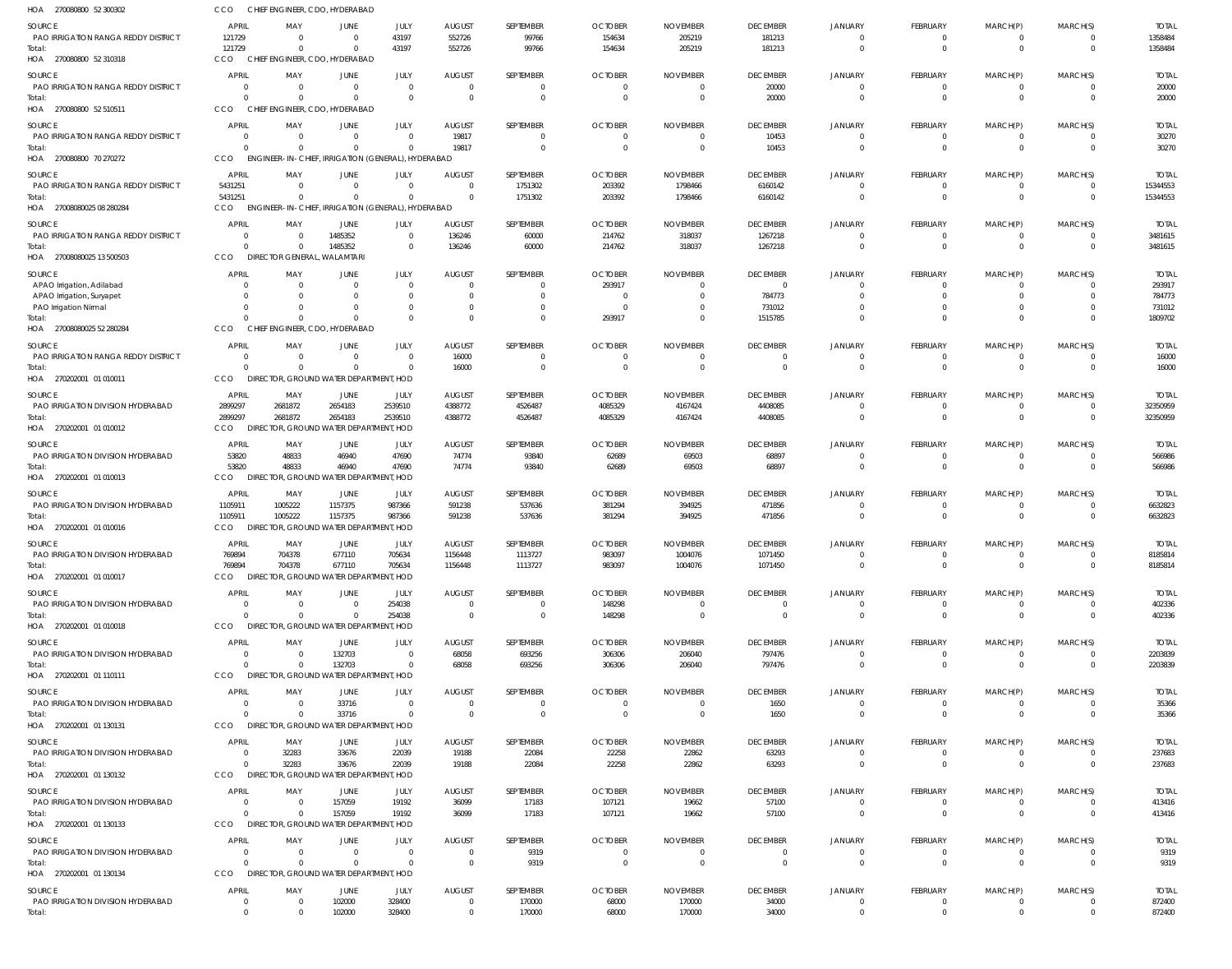| HOA 270080800 52 300302                              | CCO                                       |                            | CHIEF ENGINEER, CDO, HYDERABAD                                 |                            |                           |                             |                          |                          |                             |                            |                            |                         |                      |                        |
|------------------------------------------------------|-------------------------------------------|----------------------------|----------------------------------------------------------------|----------------------------|---------------------------|-----------------------------|--------------------------|--------------------------|-----------------------------|----------------------------|----------------------------|-------------------------|----------------------|------------------------|
| SOURCE                                               | <b>APRIL</b>                              | MAY                        | JUNE                                                           | JULY                       | <b>AUGUST</b>             | SEPTEMBER                   | <b>OCTOBER</b>           | <b>NOVEMBER</b>          | <b>DECEMBER</b>             | <b>JANUARY</b>             | <b>FEBRUARY</b>            | MARCH(P)                | MARCH(S)             | <b>TOTAL</b>           |
| <b>PAO IRRIGATION RANGA REDDY DISTRICT</b><br>Total: | 121729<br>121729                          | $\Omega$<br>$\Omega$       | $\Omega$<br>$\Omega$                                           | 43197<br>43197             | 552726<br>552726          | 99766<br>99766              | 154634<br>154634         | 205219<br>205219         | 181213<br>181213            | $\Omega$<br>$\Omega$       | 0<br>$\mathbf 0$           | 0<br>$\mathbf 0$        | - 0<br>$\Omega$      | 1358484<br>1358484     |
| HOA 270080800 52 310318                              | CCO                                       |                            | CHIEF ENGINEER, CDO, HYDERABAD                                 |                            |                           |                             |                          |                          |                             |                            |                            |                         |                      |                        |
| SOURCE                                               | <b>APRIL</b>                              | MAY                        | JUNE                                                           | JULY                       | <b>AUGUST</b>             | SEPTEMBER                   | <b>OCTOBER</b>           | <b>NOVEMBER</b>          | <b>DECEMBER</b>             | <b>JANUARY</b>             | <b>FEBRUARY</b>            | MARCH(P)                | MARCH(S)             | <b>TOTAL</b>           |
| PAO IRRIGATION RANGA REDDY DISTRICT                  | - 0<br>$\Omega$                           | - 0                        | $\Omega$<br>$\Omega$                                           | $\overline{0}$<br>$\Omega$ | $\Omega$<br>$\Omega$      | $\mathbf{0}$                | $\overline{0}$           | -0                       | 20000                       | $\Omega$<br>$\Omega$       | 0                          | 0                       | $\Omega$             | 20000                  |
| Total:<br>HOA 270080800 52 510511                    | <b>CCO</b>                                | $\Omega$                   | CHIEF ENGINEER, CDO, HYDERABAD                                 |                            |                           | $\mathbf 0$                 | $^{\circ}$               | $\overline{0}$           | 20000                       |                            | $\mathbf 0$                | $\mathbf 0$             |                      | 20000                  |
| SOURCE                                               | <b>APRIL</b>                              | MAY                        | JUNE                                                           | JULY                       | <b>AUGUST</b>             | SEPTEMBER                   | <b>OCTOBER</b>           | <b>NOVEMBER</b>          | <b>DECEMBER</b>             | <b>JANUARY</b>             | FEBRUARY                   | MARCH(P)                | MARCH(S)             | <b>TOTAL</b>           |
| PAO IRRIGATION RANGA REDDY DISTRICT                  | $\overline{0}$                            | $\overline{0}$             | $\Omega$                                                       | $\overline{0}$             | 19817                     | 0                           | $\overline{0}$           | $\overline{0}$           | 10453                       | $\Omega$                   | 0                          | 0                       |                      | 30270                  |
| Total:<br>HOA 270080800 70 270272                    | $\Omega$<br>CCO                           | $\Omega$                   | $\Omega$<br>ENGINEER-IN-CHIEF, IRRIGATION (GENERAL), HYDERABAD | $\Omega$                   | 19817                     | $\mathbf 0$                 | $\Omega$                 | $\overline{0}$           | 10453                       | $\Omega$                   | $\mathbf 0$                | $\mathbf 0$             | $\Omega$             | 30270                  |
| SOURCE                                               | <b>APRIL</b>                              | MAY                        | JUNE                                                           | JULY                       | <b>AUGUST</b>             | SEPTEMBER                   | <b>OCTOBER</b>           | <b>NOVEMBER</b>          | <b>DECEMBER</b>             | <b>JANUARY</b>             | FEBRUARY                   | MARCH(P)                | MARCH(S)             | <b>TOTAL</b>           |
| PAO IRRIGATION RANGA REDDY DISTRICT                  | 5431251                                   | $\Omega$                   | $\Omega$                                                       | $\Omega$                   | $\Omega$                  | 1751302                     | 203392                   | 1798466                  | 6160142                     | $\Omega$                   | $\mathbf 0$                | $\mathbf 0$             | $\Omega$             | 15344553               |
| Total:<br>HOA 27008080025 08 280284                  | 5431251<br>CCO                            | $\Omega$                   | $\cap$<br>ENGINEER-IN-CHIEF, IRRIGATION (GENERAL), HYDERABAD   | $\mathbf 0$                | $\Omega$                  | 1751302                     | 203392                   | 1798466                  | 6160142                     | $\Omega$                   | $\mathbf 0$                | $\mathbf 0$             | $\Omega$             | 15344553               |
| SOURCE                                               | <b>APRIL</b>                              | MAY                        | <b>JUNE</b>                                                    | JULY                       | <b>AUGUST</b>             | SEPTEMBER                   | <b>OCTOBER</b>           | <b>NOVEMBER</b>          | <b>DECEMBER</b>             | <b>JANUARY</b>             | FEBRUARY                   | MARCH(P)                | MARCH(S)             | <b>TOTAL</b>           |
| PAO IRRIGATION RANGA REDDY DISTRICT                  | $\Omega$                                  | $\Omega$                   | 1485352                                                        | $\overline{0}$             | 136246                    | 60000                       | 214762                   | 318037                   | 1267218                     | $\Omega$                   | 0                          | 0                       |                      | 3481615                |
| Total:                                               | $\Omega$                                  | $\Omega$                   | 1485352                                                        | $\overline{0}$             | 136246                    | 60000                       | 214762                   | 318037                   | 1267218                     | $\Omega$                   | $\mathbf 0$                | $\mathbf 0$             | $\Omega$             | 3481615                |
| HOA 27008080025 13 500503                            | CCO                                       |                            | DIRECTOR GENERAL, WALAMTARI                                    |                            |                           |                             |                          |                          |                             |                            |                            |                         |                      |                        |
| SOURCE<br>APAO Irrigation, Adilabad                  | <b>APRIL</b><br>$\Omega$                  | MAY<br>- 0                 | JUNE                                                           | JULY<br>$\overline{0}$     | <b>AUGUST</b>             | SEPTEMBER<br>$\mathbf{0}$   | <b>OCTOBER</b><br>293917 | <b>NOVEMBER</b><br>-0    | <b>DECEMBER</b><br>$\Omega$ | <b>JANUARY</b>             | <b>FEBRUARY</b><br>0       | MARCH(P)                | MARCH(S)             | <b>TOTAL</b><br>293917 |
| APAO Irrigation, Suryapet                            | $\Omega$                                  | $\Omega$                   |                                                                | $\Omega$                   |                           | $\mathbf{0}$                | - 0                      | -0                       | 784773                      | $\Omega$                   | $\Omega$                   | $\Omega$                | $\Omega$             | 784773                 |
| PAO Irrigation Nirmal                                | $\Omega$                                  | -0                         |                                                                | $\Omega$                   |                           | $\mathbf{0}$                | - 0                      | $\Omega$                 | 731012                      |                            | 0                          |                         | $\Omega$             | 731012                 |
| Total:<br>HOA 27008080025 52 280284                  | $\Omega$<br><b>CCO</b>                    | $\Omega$                   | $\Omega$<br>CHIEF ENGINEER, CDO, HYDERABAD                     | $\Omega$                   |                           | $\mathbf 0$                 | 293917                   | $\Omega$                 | 1515785                     |                            | 0                          | $\Omega$                | $\Omega$             | 1809702                |
| SOURCE                                               | <b>APRIL</b>                              | MAY                        | JUNE                                                           | JULY                       | <b>AUGUST</b>             | SEPTEMBER                   | <b>OCTOBER</b>           | <b>NOVEMBER</b>          | <b>DECEMBER</b>             | <b>JANUARY</b>             | FEBRUARY                   | MARCH(P)                | MARCH(S)             | <b>TOTAL</b>           |
| PAO IRRIGATION RANGA REDDY DISTRICT                  | $\Omega$                                  | $\overline{0}$             | $\Omega$                                                       | $\overline{0}$             | 16000                     | 0                           | $\overline{0}$           | $\overline{0}$           | $\Omega$                    | - 0                        | 0                          | 0                       |                      | 16000                  |
| Total:<br>HOA 270202001 01 010011                    | $\Omega$<br>CCO                           | $\Omega$                   | $\Omega$<br>DIRECTOR, GROUND WATER DEPARTMENT, HOD             | $\Omega$                   | 16000                     | $\mathbf 0$                 | $\Omega$                 | $\overline{0}$           | $\Omega$                    | $\Omega$                   | $\mathbf 0$                | $\Omega$                | $\Omega$             | 16000                  |
| SOURCE                                               | APRIL                                     | MAY                        | JUNE                                                           | JULY                       | <b>AUGUST</b>             | SEPTEMBER                   | <b>OCTOBER</b>           | <b>NOVEMBER</b>          | <b>DECEMBER</b>             | <b>JANUARY</b>             | FEBRUARY                   | MARCH(P)                | MARCH(S)             | <b>TOTAL</b>           |
| PAO IRRIGATION DIVISION HYDERABAD                    | 2899297                                   | 2681872                    | 2654183                                                        | 2539510                    | 4388772                   | 4526487                     | 4085329                  | 4167424                  | 4408085                     | $\Omega$                   | $\mathbf 0$                | $\mathbf 0$             | $\Omega$             | 32350959               |
| Total:                                               | 2899297                                   | 2681872                    | 2654183                                                        | 2539510                    | 4388772                   | 4526487                     | 4085329                  | 4167424                  | 4408085                     | $\Omega$                   | $\mathbf 0$                | $\mathbf 0$             | $\Omega$             | 32350959               |
| HOA 270202001 01 010012                              | CCO                                       |                            | DIRECTOR, GROUND WATER DEPARTMENT, HOD                         |                            |                           |                             |                          |                          |                             |                            |                            |                         |                      |                        |
| SOURCE<br>PAO IRRIGATION DIVISION HYDERABAD          | <b>APRIL</b><br>53820                     | MAY<br>48833               | JUNE<br>46940                                                  | JULY<br>47690              | <b>AUGUST</b><br>74774    | SEPTEMBER<br>93840          | <b>OCTOBER</b><br>62689  | <b>NOVEMBER</b><br>69503 | <b>DECEMBER</b><br>68897    | <b>JANUARY</b><br>$\cap$   | FEBRUARY<br>0              | MARCH(P)<br>0           | MARCH(S)             | <b>TOTAL</b><br>566986 |
| Total:                                               | 53820                                     | 48833                      | 46940                                                          | 47690                      | 74774                     | 93840                       | 62689                    | 69503                    | 68897                       | $\Omega$                   | $\mathbf 0$                | $\mathbf 0$             | $\Omega$             | 566986                 |
| HOA 270202001 01 010013                              | CCO                                       |                            | DIRECTOR, GROUND WATER DEPARTMENT, HOD                         |                            |                           |                             |                          |                          |                             |                            |                            |                         |                      |                        |
| SOURCE                                               | APRIL                                     | MAY                        | JUNE                                                           | JULY                       | <b>AUGUST</b>             | SEPTEMBER                   | <b>OCTOBER</b>           | <b>NOVEMBER</b>          | <b>DECEMBER</b>             | <b>JANUARY</b>             | FEBRUARY                   | MARCH(P)                | MARCH(S)             | <b>TOTAL</b>           |
| PAO IRRIGATION DIVISION HYDERABAD<br>Total:          | 1105911<br>1105911                        | 1005222<br>1005222         | 1157375<br>1157375                                             | 987366<br>987366           | 591238<br>591238          | 537636<br>537636            | 381294<br>381294         | 394925<br>394925         | 471856<br>471856            | $\Omega$                   | $\mathbf 0$<br>$\mathbf 0$ | 0<br>$\mathbf 0$        | $\Omega$             | 6632823<br>6632823     |
| HOA 270202001 01 010016                              | CCO                                       |                            | DIRECTOR, GROUND WATER DEPARTMENT, HOD                         |                            |                           |                             |                          |                          |                             |                            |                            |                         |                      |                        |
| SOURCE                                               | <b>APRIL</b>                              | MAY                        | JUNE                                                           | JULY                       | <b>AUGUST</b>             | SEPTEMBER                   | <b>OCTOBER</b>           | <b>NOVEMBER</b>          | <b>DECEMBER</b>             | <b>JANUARY</b>             | FEBRUARY                   | MARCH(P)                | MARCH(S)             | <b>TOTAL</b>           |
| PAO IRRIGATION DIVISION HYDERABAD                    | 769894<br>769894                          | 704378<br>704378           | 677110<br>677110                                               | 705634                     | 1156448                   | 1113/2/                     | 983097                   | 1004076                  | 10/1450                     | $\Omega$                   | $\mathbf 0$                | $\mathbf 0$             | $\Omega$             | 8185814                |
| Total:<br>HOA 270202001 01 010017                    | CCO                                       |                            | DIRECTOR, GROUND WATER DEPARTMENT, HOD                         | 705634                     | 1156448                   | 1113727                     | 983097                   | 1004076                  | 1071450                     |                            |                            |                         |                      | 8185814                |
| SOURCE                                               | <b>APRIL</b>                              | MAY                        | JUNE                                                           | JULY                       | <b>AUGUST</b>             | SEPTEMBER                   | <b>OCTOBER</b>           | <b>NOVEMBER</b>          | <b>DECEMBER</b>             | <b>JANUARY</b>             | FEBRUARY                   | MARCH(P)                | MARCH(S)             | <b>TOTAL</b>           |
| PAO IRRIGATION DIVISION HYDERABAD                    | $\overline{0}$                            | $\Omega$                   | $\Omega$                                                       | 254038                     | $\Omega$                  | $\mathbf{0}$                | 148298                   | $\overline{0}$           | $\Omega$                    | $\Omega$                   | $\mathbf 0$                | $\mathbf 0$             | $\Omega$             | 402336                 |
| Total:<br>HOA 270202001 01 010018                    | $\Omega$<br>CCO                           | $\Omega$                   | $\Omega$<br>DIRECTOR, GROUND WATER DEPARTMENT, HOD             | 254038                     | $\Omega$                  | $\mathbf 0$                 | 148298                   | $\overline{0}$           | $\overline{0}$              | $\Omega$                   | $\mathbf 0$                | $\mathbf 0$             | $\Omega$             | 402336                 |
| SOURCE                                               | <b>APRIL</b>                              | MAY                        | <b>JUNE</b>                                                    | JULY                       | <b>AUGUST</b>             | SEPTEMBER                   | <b>OCTOBER</b>           | <b>NOVEMBER</b>          | <b>DECEMBER</b>             | <b>JANUARY</b>             | FEBRUARY                   | MARCH(P)                | MARCH(S)             | <b>TOTAL</b>           |
| PAO IRRIGATION DIVISION HYDERABAD                    | $\overline{0}$                            | $\overline{0}$             | 132703                                                         | $\overline{0}$             | 68058                     | 693256                      | 306306                   | 206040                   | 797476                      | $\Omega$                   | 0                          | 0                       |                      | 2203839                |
| Total:                                               | $\Omega$                                  | $\Omega$                   | 132703                                                         | $\overline{0}$             | 68058                     | 693256                      | 306306                   | 206040                   | 797476                      | $\Omega$                   | $\mathbf 0$                | $\mathbf 0$             | $\overline{0}$       | 2203839                |
| HOA 270202001 01 110111                              | CCO                                       |                            | DIRECTOR, GROUND WATER DEPARTMENT, HOD                         |                            |                           |                             |                          |                          |                             |                            |                            |                         |                      |                        |
| SOURCE<br>PAO IRRIGATION DIVISION HYDERABAD          | <b>APRIL</b><br>$\overline{0}$            | MAY<br>$\Omega$            | JUNE<br>33716                                                  | JULY<br>$\overline{0}$     | <b>AUGUST</b><br>$\Omega$ | SEPTEMBER<br>$\overline{0}$ | <b>OCTOBER</b><br>-0     | <b>NOVEMBER</b><br>-0    | <b>DECEMBER</b><br>1650     | <b>JANUARY</b>             | FEBRUARY<br>0              | MARCH(P)                | MARCH(S)             | <b>TOTAL</b><br>35366  |
| Total:                                               | $\Omega$                                  | $\Omega$                   | 33716                                                          | $\Omega$                   | $\Omega$                  | $\mathbf 0$                 | $\overline{0}$           | $\overline{0}$           | 1650                        | $\Omega$                   | $\mathbf 0$                | $\mathbf 0$             | $\Omega$             | 35366                  |
| HOA 270202001 01 130131                              | CCO                                       |                            | DIRECTOR, GROUND WATER DEPARTMENT, HOD                         |                            |                           |                             |                          |                          |                             |                            |                            |                         |                      |                        |
| SOURCE<br>PAO IRRIGATION DIVISION HYDERABAD          | <b>APRIL</b><br>$\overline{0}$            | MAY<br>32283               | JUNE<br>33676                                                  | JULY<br>22039              | <b>AUGUST</b><br>19188    | SEPTEMBER<br>22084          | <b>OCTOBER</b><br>22258  | <b>NOVEMBER</b><br>22862 | <b>DECEMBER</b><br>63293    | <b>JANUARY</b><br>$\Omega$ | FEBRUARY<br>$\mathbf 0$    | MARCH(P)<br>$\mathbf 0$ | MARCH(S)             | <b>TOTAL</b><br>237683 |
| Total:                                               | $\Omega$                                  | 32283                      | 33676                                                          | 22039                      | 19188                     | 22084                       | 22258                    | 22862                    | 63293                       | $\Omega$                   | $\mathbf 0$                | $\mathbf 0$             | $\Omega$             | 237683                 |
| HOA 270202001 01 130132                              | CCO                                       |                            | DIRECTOR, GROUND WATER DEPARTMENT, HOD                         |                            |                           |                             |                          |                          |                             |                            |                            |                         |                      |                        |
| SOURCE                                               | <b>APRIL</b>                              | MAY                        | JUNE                                                           | JULY                       | <b>AUGUST</b>             | SEPTEMBER                   | <b>OCTOBER</b>           | <b>NOVEMBER</b>          | <b>DECEMBER</b>             | <b>JANUARY</b>             | FEBRUARY                   | MARCH(P)                | MARCH(S)             | <b>TOTAL</b>           |
| PAO IRRIGATION DIVISION HYDERABAD<br>Total:          | $\overline{\mathbf{0}}$<br>$\overline{0}$ | $\overline{0}$<br>$\Omega$ | 157059<br>157059                                               | 19192<br>19192             | 36099<br>36099            | 17183<br>17183              | 107121<br>107121         | 19662<br>19662           | 57100<br>57100              | $\Omega$<br>$\Omega$       | $\mathbf 0$<br>$\mathbf 0$ | 0<br>$\mathbf 0$        | $\Omega$<br>$\Omega$ | 413416<br>413416       |
| HOA 270202001 01 130133                              | CCO                                       |                            | DIRECTOR, GROUND WATER DEPARTMENT, HOD                         |                            |                           |                             |                          |                          |                             |                            |                            |                         |                      |                        |
| SOURCE                                               | <b>APRIL</b>                              | MAY                        | JUNE                                                           | JULY                       | <b>AUGUST</b>             | SEPTEMBER                   | <b>OCTOBER</b>           | <b>NOVEMBER</b>          | <b>DECEMBER</b>             | <b>JANUARY</b>             | FEBRUARY                   | MARCH(P)                | MARCH(S)             | <b>TOTAL</b>           |
| PAO IRRIGATION DIVISION HYDERABAD                    | $\overline{0}$                            | $\overline{0}$             | $\Omega$                                                       | $\overline{0}$             | $\Omega$                  | 9319                        | $\overline{0}$           | $\overline{0}$           | $\overline{0}$              | - 0                        | 0                          |                         |                      | 9319                   |
| Total:<br>HOA 270202001 01 130134                    | $\Omega$<br>CCO                           | $\Omega$                   | $\Omega$<br>DIRECTOR, GROUND WATER DEPARTMENT, HOD             | $\Omega$                   | $\overline{0}$            | 9319                        | $\overline{0}$           | $\overline{0}$           | $\overline{0}$              | $\Omega$                   | $\mathbf 0$                | $\mathbf 0$             | $\Omega$             | 9319                   |
| SOURCE                                               | <b>APRIL</b>                              | MAY                        | JUNE                                                           | JULY                       | <b>AUGUST</b>             | SEPTEMBER                   | <b>OCTOBER</b>           | <b>NOVEMBER</b>          | <b>DECEMBER</b>             | <b>JANUARY</b>             | FEBRUARY                   | MARCH(P)                | MARCH(S)             | <b>TOTAL</b>           |
| PAO IRRIGATION DIVISION HYDERABAD                    | $\overline{0}$                            | - 0                        | 102000                                                         | 328400                     | $\Omega$                  | 170000                      | 68000                    | 170000                   | 34000                       | $\Omega$                   | $\mathbf 0$                |                         |                      | 872400                 |
| Total:                                               | $\overline{0}$                            | $\overline{0}$             | 102000                                                         | 328400                     | $^{\circ}$                | 170000                      | 68000                    | 170000                   | 34000                       | $\overline{0}$             | $\mathbf 0$                | $\mathbf 0$             | $\mathbf{0}$         | 872400                 |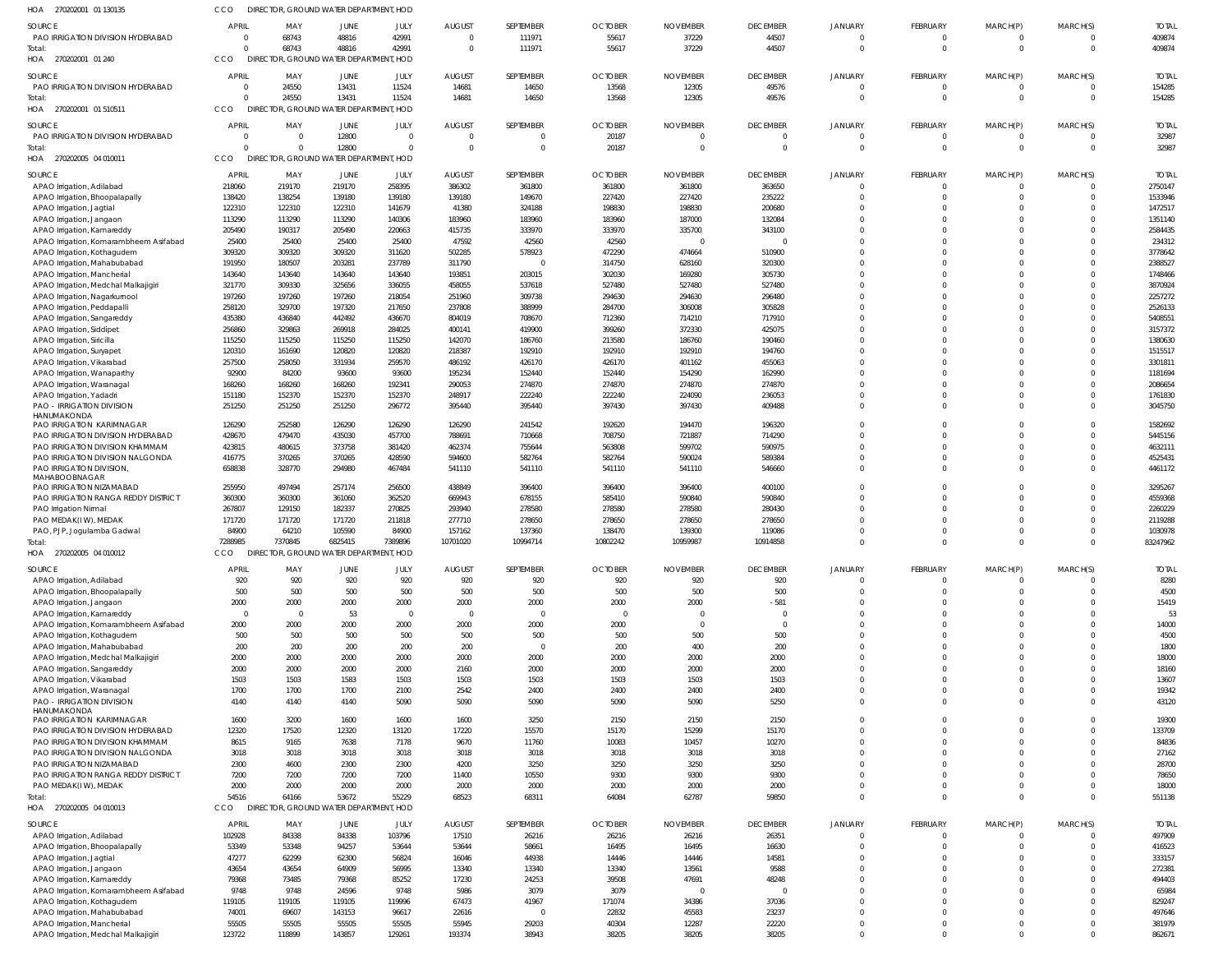| HOA<br>270202001 01 130135                                            | <b>CCO</b>               | DIRECTOR, GROUND WATER DEPARTMENT, HOD          |                                   |                  |                           |                       |                         |                    |                             |                            |                                 |                             |                            |                       |
|-----------------------------------------------------------------------|--------------------------|-------------------------------------------------|-----------------------------------|------------------|---------------------------|-----------------------|-------------------------|--------------------|-----------------------------|----------------------------|---------------------------------|-----------------------------|----------------------------|-----------------------|
| <b>SOURCE</b>                                                         | APRIL                    | MAY                                             | JUNE                              | JULY             | <b>AUGUST</b>             | SEPTEMBER             | <b>OCTOBER</b>          | <b>NOVEMBER</b>    | <b>DECEMBER</b>             | <b>JANUARY</b>             | <b>FEBRUARY</b>                 | MARCH(P)                    | MARCH(S)                   | <b>TOTAL</b>          |
| PAO IRRIGATION DIVISION HYDERABAD                                     | $\Omega$                 | 68743                                           | 48816                             | 42991            | $\Omega$                  | 111971                | 55617                   | 37229              | 44507                       |                            | $\Omega$                        | $\Omega$                    | $\Omega$                   | 409874                |
| Total:                                                                | $\Omega$                 | 68743                                           | 48816                             | 42991            | $\Omega$                  | 111971                | 55617                   | 37229              | 44507                       | $\Omega$                   | $\mathbf 0$                     | $\mathbf 0$                 | $\overline{0}$             | 409874                |
| HOA 270202001 01 240                                                  | CCO                      | DIRECTOR, GROUND WATER DEPARTMENT, HOD          |                                   |                  |                           |                       |                         |                    |                             |                            |                                 |                             |                            |                       |
| <b>SOURCE</b>                                                         | APRIL                    | MAY                                             | JUNE                              | JULY             | <b>AUGUST</b>             | SEPTEMBER             | <b>OCTOBER</b>          | <b>NOVEMBER</b>    | <b>DECEMBER</b>             | <b>JANUARY</b>             | <b>FEBRUARY</b>                 | MARCH(P)                    | MARCH(S)                   | <b>TOTAL</b>          |
| PAO IRRIGATION DIVISION HYDERABAD                                     | $\Omega$<br>$\Omega$     | 24550                                           | 13431<br>13431                    | 11524            | 14681                     | 14650                 | 13568                   | 12305              | 49576                       | $\Omega$                   | $\mathbf 0$<br>$\mathbf 0$      | 0<br>$\mathbf 0$            | 0<br>$\Omega$              | 154285                |
| Total:<br>HOA 270202001 01 510511                                     | <b>CCO</b>               | 24550<br>DIRECTOR, GROUND WATER DEPARTMENT, HOD |                                   | 11524            | 14681                     | 14650                 | 13568                   | 12305              | 49576                       |                            |                                 |                             |                            | 154285                |
|                                                                       |                          |                                                 |                                   |                  |                           |                       |                         |                    |                             |                            |                                 |                             |                            |                       |
| SOURCE<br>PAO IRRIGATION DIVISION HYDERABAD                           | <b>APRIL</b><br>$\Omega$ | MAY<br>$\Omega$                                 | JUNE<br>12800                     | JULY<br>$\Omega$ | <b>AUGUST</b><br>$\Omega$ | SEPTEMBER<br>$\Omega$ | <b>OCTOBER</b><br>20187 | <b>NOVEMBER</b>    | <b>DECEMBER</b><br>$\Omega$ | <b>JANUARY</b><br>$\Omega$ | <b>FEBRUARY</b><br>$\mathbf{0}$ | MARCH(P)<br>$\mathbf{0}$    | MARCH(S)<br>$\overline{0}$ | <b>TOTAL</b><br>32987 |
| Total:                                                                | $\Omega$                 | $\Omega$                                        | 12800                             | $\Omega$         | $\Omega$                  | $\Omega$              | 20187                   |                    | $\Omega$                    | $\Omega$                   | $\Omega$                        | $\mathbf 0$                 | $\Omega$                   | 32987                 |
| HOA 270202005 04 010011                                               | CCO                      | DIRECTOR, GROUND WATER DEPARTMENT, HOD          |                                   |                  |                           |                       |                         |                    |                             |                            |                                 |                             |                            |                       |
| <b>SOURCE</b>                                                         | <b>APRIL</b>             | MAY                                             | JUNE                              | JULY             | <b>AUGUST</b>             | SEPTEMBER             | <b>OCTOBER</b>          | <b>NOVEMBER</b>    | <b>DECEMBER</b>             | <b>JANUARY</b>             | <b>FEBRUARY</b>                 | MARCH(P)                    | MARCH(S)                   | <b>TOTAL</b>          |
| APAO Irrigation, Adilabad                                             | 218060                   | 219170                                          | 219170                            | 258395           | 386302                    | 361800                | 361800                  | 361800             | 363650                      | $\Omega$                   | $\mathbf 0$                     | $\mathbf{0}$                | $\Omega$                   | 2750147               |
| APAO Irrigation, Bhoopalapally                                        | 138420                   | 138254                                          | 139180                            | 139180           | 139180                    | 149670                | 227420                  | 227420             | 235222                      |                            | $\Omega$                        | $\mathbf 0$                 | $\Omega$                   | 1533946               |
| APAO Irrigation, Jagtial                                              | 122310                   | 122310                                          | 122310                            | 141679           | 41380                     | 324188                | 198830                  | 198830             | 200680                      | $\Omega$                   | $\Omega$                        | $\Omega$                    | $\Omega$                   | 1472517               |
| APAO Irrigation, Jangaon                                              | 113290                   | 113290                                          | 113290                            | 140306           | 183960                    | 183960                | 183960                  | 187000             | 132084                      | $\Omega$<br>$\Omega$       | $\Omega$                        | $\mathbf 0$                 | $\Omega$<br>$\Omega$       | 1351140               |
| APAO Irrigation, Kamareddy<br>APAO Irrigation, Komarambheem Asifabad  | 205490<br>25400          | 190317<br>25400                                 | 205490<br>25400                   | 220663<br>25400  | 415735<br>47592           | 333970<br>42560       | 333970<br>42560         | 335700             | 343100<br>$\overline{0}$    |                            | $\Omega$<br>$\Omega$            | $\Omega$<br>$\Omega$        | $\Omega$                   | 2584435<br>234312     |
| APAO Irrigation, Kothagudem                                           | 309320                   | 309320                                          | 309320                            | 311620           | 502285                    | 578923                | 472290                  | 474664             | 510900                      | $\Omega$                   | $\Omega$                        | $\Omega$                    | $\Omega$                   | 3778642               |
| APAO Irrigation, Mahabubabad                                          | 191950                   | 180507                                          | 203281                            | 237789           | 311790                    | $\overline{0}$        | 314750                  | 628160             | 320300                      | $\Omega$                   | $\Omega$                        | $\Omega$                    | $\Omega$                   | 2388527               |
| APAO Irrigation, Mancherial                                           | 143640                   | 143640                                          | 143640                            | 143640           | 193851                    | 203015                | 302030                  | 169280             | 305730                      | $\Omega$                   | $\Omega$                        | $\Omega$                    | $\Omega$                   | 1748466               |
| APAO Irrigation, Medchal Malkajigiri                                  | 321770                   | 309330                                          | 325656                            | 336055           | 458055                    | 537618                | 527480                  | 527480             | 527480                      | $\Omega$                   | $\Omega$                        | $\Omega$                    | $\Omega$                   | 3870924               |
| APAO Irrigation, Nagarkurnool<br>APAO Irrigation, Peddapalli          | 197260<br>258120         | 197260<br>329700                                | 197260<br>197320                  | 218054<br>217650 | 251960<br>237808          | 309738<br>388999      | 294630<br>284700        | 294630<br>306008   | 296480<br>305828            | $\Omega$<br>$\Omega$       | $\Omega$<br>$\Omega$            | $\Omega$<br>$\Omega$        | $\Omega$<br>$\Omega$       | 2257272<br>2526133    |
| APAO Irrigation, Sangareddy                                           | 435380                   | 436840                                          | 442492                            | 436670           | 804019                    | 708670                | 712360                  | 714210             | 717910                      | $\Omega$                   | $\Omega$                        | $\Omega$                    | $\Omega$                   | 5408551               |
| APAO Irrigation, Siddipet                                             | 256860                   | 329863                                          | 269918                            | 284025           | 400141                    | 419900                | 399260                  | 372330             | 425075                      | $\Omega$                   | $\Omega$                        | $\Omega$                    | $\Omega$                   | 3157372               |
| APAO Irrigation, Siricilla                                            | 115250                   | 115250                                          | 115250                            | 115250           | 142070                    | 186760                | 213580                  | 186760             | 190460                      | $\Omega$                   | $\Omega$                        | $\Omega$                    | $\Omega$                   | 1380630               |
| APAO Irrigation, Suryapet                                             | 120310                   | 161690                                          | 120820                            | 120820           | 218387                    | 192910                | 192910                  | 192910             | 194760                      | $\Omega$                   | $\Omega$                        | $\Omega$                    | $\Omega$                   | 1515517               |
| APAO Irrigation, Vikarabad                                            | 257500                   | 258050<br>84200                                 | 331934                            | 259570           | 486192                    | 426170<br>152440      | 426170<br>152440        | 401162<br>154290   | 455063                      | $\Omega$                   | $\Omega$<br>$\Omega$            | $\Omega$<br>$\Omega$        | $\Omega$<br>$\Omega$       | 3301811<br>1181694    |
| APAO Irrigation, Wanaparthy<br>APAO Irrigation, Waranagal             | 92900<br>168260          | 168260                                          | 93600<br>168260                   | 93600<br>192341  | 195234<br>290053          | 274870                | 274870                  | 274870             | 162990<br>274870            | $\Omega$                   | $\Omega$                        | $\Omega$                    | $\Omega$                   | 2086654               |
| APAO Irrigation, Yadadri                                              | 151180                   | 152370                                          | 152370                            | 152370           | 248917                    | 222240                | 222240                  | 224090             | 236053                      | $\Omega$                   | $\mathbf 0$                     | $\mathbf 0$                 | $\Omega$                   | 1761830               |
| <b>PAO - IRRIGATION DIVISION</b>                                      | 251250                   | 251250                                          | 251250                            | 296772           | 395440                    | 395440                | 397430                  | 397430             | 409488                      | $\Omega$                   | $\Omega$                        | $\Omega$                    | $\Omega$                   | 3045750               |
| HANUMAKONDA<br>PAO IRRIGATION KARIMNAGAR                              | 126290                   | 252580                                          | 126290                            | 126290           | 126290                    | 241542                | 192620                  | 194470             | 196320                      | $\Omega$                   | $\mathbf{0}$                    | $\mathbf 0$                 | $\Omega$                   | 1582692               |
| PAO IRRIGATION DIVISION HYDERABAD                                     | 428670                   | 479470                                          | 435030                            | 457700           | 788691                    | 710668                | 708750                  | 721887             | 714290                      | $\Omega$                   | $\Omega$                        | $\Omega$                    | $\Omega$                   | 5445156               |
| PAO IRRIGATION DIVISION KHAMMAM                                       | 423815                   | 480615                                          | 373758                            | 381420           | 462374                    | 755644                | 563808                  | 599702             | 590975                      | $\Omega$                   | $\mathbf 0$                     | $\mathbf 0$                 | $\Omega$                   | 4632111               |
| PAO IRRIGATION DIVISION NALGONDA                                      | 416775                   | 370265                                          | 370265                            | 428590           | 594600                    | 582764                | 582764                  | 590024             | 589384                      | $\Omega$                   | $\Omega$                        | $\Omega$                    | $\Omega$                   | 4525431               |
| PAO IRRIGATION DIVISION,<br>MAHABOOBNAGAR                             | 658838                   | 328770                                          | 294980                            | 467484           | 541110                    | 541110                | 541110                  | 541110             | 546660                      | $\Omega$                   | $\Omega$                        | $\Omega$                    | $\Omega$                   | 4461172               |
| PAO IRRIGATION NIZAMABAD                                              | 255950                   | 497494                                          | 257174                            | 256500           | 438849                    | 396400                | 396400                  | 396400             | 400100                      | $\Omega$                   | $\Omega$                        | $\Omega$                    | $\Omega$                   | 3295267               |
| PAO IRRIGATION RANGA REDDY DISTRICT                                   | 360300                   | 360300                                          | 361060                            | 362520           | 669943                    | 678155                | 585410                  | 590840             | 590840                      | $\Omega$                   | $\Omega$                        | $\Omega$                    | $\Omega$                   | 4559368               |
| PAO Irrigation Nirmal                                                 | 267807                   | 129150                                          | 182337                            | 270825           | 293940                    | 278580                | 278580                  | 278580             | 280430                      | $\Omega$                   | $\Omega$                        | $\Omega$                    | $\Omega$                   | 2260229               |
| PAO MEDAK(IW), MEDAK                                                  | 171720                   | 171720                                          | 171720                            | 211818           | 277710                    | 278650                | 278650                  | 278650             | 278650                      |                            | $\Omega$                        | $\Omega$                    | $\Omega$                   | 2119288               |
| PAO, PJP, Jogulamba Gadwal<br>Total:                                  | 84900<br>7288985         | 64210<br>7370845                                | 105590<br>6825415                 | 84900<br>7389896 | 157162<br>10701020        | 137360<br>10994714    | 138470<br>10802242      | 139300<br>10959987 | 119086<br>10914858          | $\Omega$                   | $\Omega$<br>$\Omega$            | $\Omega$<br>$\Omega$        | $\Omega$<br>$\Omega$       | 1030978<br>83247962   |
| HOA<br>270202005 04 010012                                            | CCO<br><b>DIRF</b>       |                                                 | TOR. GROUND WATER DEPARTMENT, HOD |                  |                           |                       |                         |                    |                             |                            |                                 |                             |                            |                       |
| <b>SOURCE</b>                                                         | <b>APRIL</b>             | MAY                                             | JUNE                              | JULY             | <b>AUGUST</b>             | SEPTEMBER             | <b>OCTOBER</b>          | <b>NOVEMBER</b>    | <b>DECEMBER</b>             | <b>JANUARY</b>             | <b>FEBRUARY</b>                 | MARCH(P)                    | MARCH(S)                   | <b>TOTAL</b>          |
| APAO Irrigation, Adilabad                                             | 920                      | 920                                             | 920                               | 920              | 920                       | 920                   | 920                     | 920                | 920                         |                            | $\Omega$                        | 0                           | $\Omega$                   | 8280                  |
| APAO Irrigation, Bhoopalapally                                        | 500                      | 500                                             | 500                               | 500              | 500                       | 500                   | 500                     | 500                | 500                         |                            | $\Omega$                        | $\Omega$                    | $\Omega$                   | 4500                  |
| APAO Irrigation, Jangaon                                              | 2000                     | 2000                                            | 2000                              | 2000             | 2000                      | 2000                  | 2000                    | 2000               | $-581$                      | $\Omega$                   | $\Omega$                        | $\Omega$                    | $\Omega$                   | 15419                 |
| APAO Irrigation, Kamareddy                                            | $\overline{0}$           | $\Omega$                                        | 53                                | $\Omega$         | $\Omega$                  | $\Omega$              | $\Omega$                | $\sqrt{ }$         | $\Omega$                    | $\Omega$                   | $\Omega$                        | $\Omega$                    | $\Omega$                   | 53                    |
| APAO Irrigation, Komarambheem Asifabad<br>APAO Irrigation, Kothagudem | 2000<br>500              | 2000<br>500                                     | 2000<br>500                       | 2000<br>500      | 2000<br>500               | 2000<br>500           | 2000<br>500             | - 0<br>500         | $\Omega$<br>500             | $\Omega$<br>$\Omega$       | $\Omega$<br>$\Omega$            | $\Omega$<br>$\Omega$        | $\Omega$<br>$\Omega$       | 14000<br>4500         |
| APAO Irrigation, Mahabubabad                                          | 200                      | 200                                             | 200                               | 200              | 200                       | $\Omega$              | 200                     | 400                | 200                         | $\Omega$                   | $\Omega$                        | $\Omega$                    | $\Omega$                   | 1800                  |
| APAO Irrigation, Medchal Malkajigiri                                  | 2000                     | 2000                                            | 2000                              | 2000             | 2000                      | 2000                  | 2000                    | 2000               | 2000                        | $\Omega$                   | $\Omega$                        | $\Omega$                    | $\Omega$                   | 18000                 |
| APAO Irrigation, Sangareddy                                           | 2000                     | 2000                                            | 2000                              | 2000             | 2160                      | 2000                  | 2000                    | 2000               | 2000                        | $\Omega$                   | $\Omega$                        | $\Omega$                    | $\Omega$                   | 18160                 |
| APAO Irrigation, Vikarabad                                            | 1503                     | 1503                                            | 1583                              | 1503             | 1503                      | 1503                  | 1503                    | 1503               | 1503                        | $\Omega$                   | $\Omega$                        | $\Omega$                    | $\Omega$                   | 13607                 |
| APAO Irrigation, Waranagal<br><b>PAO - IRRIGATION DIVISION</b>        | 1700<br>4140             | 1700<br>4140                                    | 1700<br>4140                      | 2100<br>5090     | 2542<br>5090              | 2400<br>5090          | 2400<br>5090            | 2400<br>5090       | 2400<br>5250                | $\Omega$<br>$\Omega$       | $\Omega$<br>$\Omega$            | $\Omega$<br>$\Omega$        | $\Omega$<br>$\Omega$       | 19342<br>43120        |
| HANUMAKONDA                                                           |                          |                                                 |                                   |                  |                           |                       |                         |                    |                             |                            |                                 |                             |                            |                       |
| PAO IRRIGATION KARIMNAGAR                                             | 1600                     | 3200                                            | 1600                              | 1600             | 1600                      | 3250                  | 2150                    | 2150               | 2150                        | $\Omega$                   | $\Omega$                        | $\Omega$                    | $\Omega$                   | 19300                 |
| PAO IRRIGATION DIVISION HYDERABAD<br>PAO IRRIGATION DIVISION KHAMMAM  | 12320<br>8615            | 17520<br>9165                                   | 12320<br>7638                     | 13120<br>7178    | 17220<br>9670             | 15570<br>11760        | 15170<br>10083          | 15299<br>10457     | 15170<br>10270              | $\Omega$<br>$\Omega$       | $\Omega$<br>$\Omega$            | $\Omega$<br>$\Omega$        | $\Omega$<br>$\Omega$       | 133709<br>84836       |
| PAO IRRIGATION DIVISION NALGONDA                                      | 3018                     | 3018                                            | 3018                              | 3018             | 3018                      | 3018                  | 3018                    | 3018               | 3018                        | $\Omega$                   | $\Omega$                        | $\Omega$                    | $\Omega$                   | 27162                 |
| PAO IRRIGATION NIZAMABAD                                              | 2300                     | 4600                                            | 2300                              | 2300             | 4200                      | 3250                  | 3250                    | 3250               | 3250                        | $\Omega$                   | $\Omega$                        | $\Omega$                    | $\Omega$                   | 28700                 |
| PAO IRRIGATION RANGA REDDY DISTRICT                                   | 7200                     | 7200                                            | 7200                              | 7200             | 11400                     | 10550                 | 9300                    | 9300               | 9300                        | $\Omega$                   | $\Omega$                        | $\Omega$                    | $\Omega$                   | 78650                 |
| PAO MEDAK(IW), MEDAK                                                  | 2000                     | 2000                                            | 2000                              | 2000             | 2000                      | 2000                  | 2000                    | 2000               | 2000                        | $\Omega$                   | $\Omega$                        | $\Omega$                    | $\Omega$                   | 18000                 |
| Total:                                                                | 54516<br>CCO             | 64166                                           | 53672                             | 55229            | 68523                     | 68311                 | 64084                   | 62787              | 59850                       | $\Omega$                   | $\Omega$                        | $\Omega$                    | $\Omega$                   | 551138                |
| HOA 270202005 04 010013                                               |                          | DIRECTOR, GROUND WATER DEPARTMENT, HOD          |                                   |                  |                           |                       |                         |                    |                             |                            |                                 |                             |                            |                       |
| SOURCE                                                                | <b>APRIL</b>             | MAY                                             | JUNE                              | JULY             | <b>AUGUST</b>             | SEPTEMBER             | <b>OCTOBER</b>          | <b>NOVEMBER</b>    | <b>DECEMBER</b>             | <b>JANUARY</b>             | <b>FEBRUARY</b>                 | MARCH(P)                    | MARCH(S)                   | <b>TOTAL</b>          |
| APAO Irrigation, Adilabad<br>APAO Irrigation, Bhoopalapally           | 102928<br>53349          | 84338<br>53348                                  | 84338<br>94257                    | 103796<br>53644  | 17510<br>53644            | 26216<br>58661        | 26216<br>16495          | 26216<br>16495     | 26351<br>16630              | $\Omega$<br>$\Omega$       | $\mathbf 0$<br>$\mathbf 0$      | $\mathbf{0}$<br>$\mathbf 0$ | $\Omega$<br>$\Omega$       | 497909<br>416523      |
| APAO Irrigation, Jagtial                                              | 47277                    | 62299                                           | 62300                             | 56824            | 16046                     | 44938                 | 14446                   | 14446              | 14581                       | $\Omega$                   | $\Omega$                        | $\Omega$                    | $\Omega$                   | 333157                |
| APAO Irrigation, Jangaon                                              | 43654                    | 43654                                           | 64909                             | 56995            | 13340                     | 13340                 | 13340                   | 13561              | 9588                        | $\Omega$                   | $\Omega$                        | $\Omega$                    | $\Omega$                   | 272381                |
| APAO Irrigation, Kamareddy                                            | 79368                    | 73485                                           | 79368                             | 85252            | 17230                     | 24253                 | 39508                   | 47691              | 48248                       | $\Omega$                   | $\Omega$                        | $\Omega$                    | $\Omega$                   | 494403                |
| APAO Irrigation, Komarambheem Asifabad                                | 9748                     | 9748                                            | 24596                             | 9748             | 5986                      | 3079                  | 3079                    | - 0                | $\Omega$                    | $\Omega$                   | $\Omega$                        | $\Omega$                    | $\Omega$                   | 65984                 |
| APAO Irrigation, Kothagudem<br>APAO Irrigation, Mahabubabad           | 119105<br>74001          | 119105<br>69607                                 | 119105<br>143153                  | 119996<br>96617  | 67473<br>22616            | 41967<br>$\circ$      | 171074<br>22832         | 34386<br>45583     | 37036<br>23237              | $\Omega$<br>$\Omega$       | $\Omega$<br>$\Omega$            | $\Omega$<br>$\Omega$        | $\Omega$<br>$\Omega$       | 829247<br>497646      |
| APAO Irrigation, Mancherial                                           | 55505                    | 55505                                           | 55505                             | 55505            | 55945                     | 29203                 | 40304                   | 12287              | 22220                       | $\overline{0}$             | $\mathbf 0$                     | $\mathbf 0$                 | $\overline{0}$             | 381979                |
| APAO Irrigation, Medchal Malkajigiri                                  | 123722                   | 118899                                          | 143857                            | 129261           | 193374                    | 38943                 | 38205                   | 38205              | 38205                       | $\Omega$                   | $\Omega$                        | $\Omega$                    | $\Omega$                   | 862671                |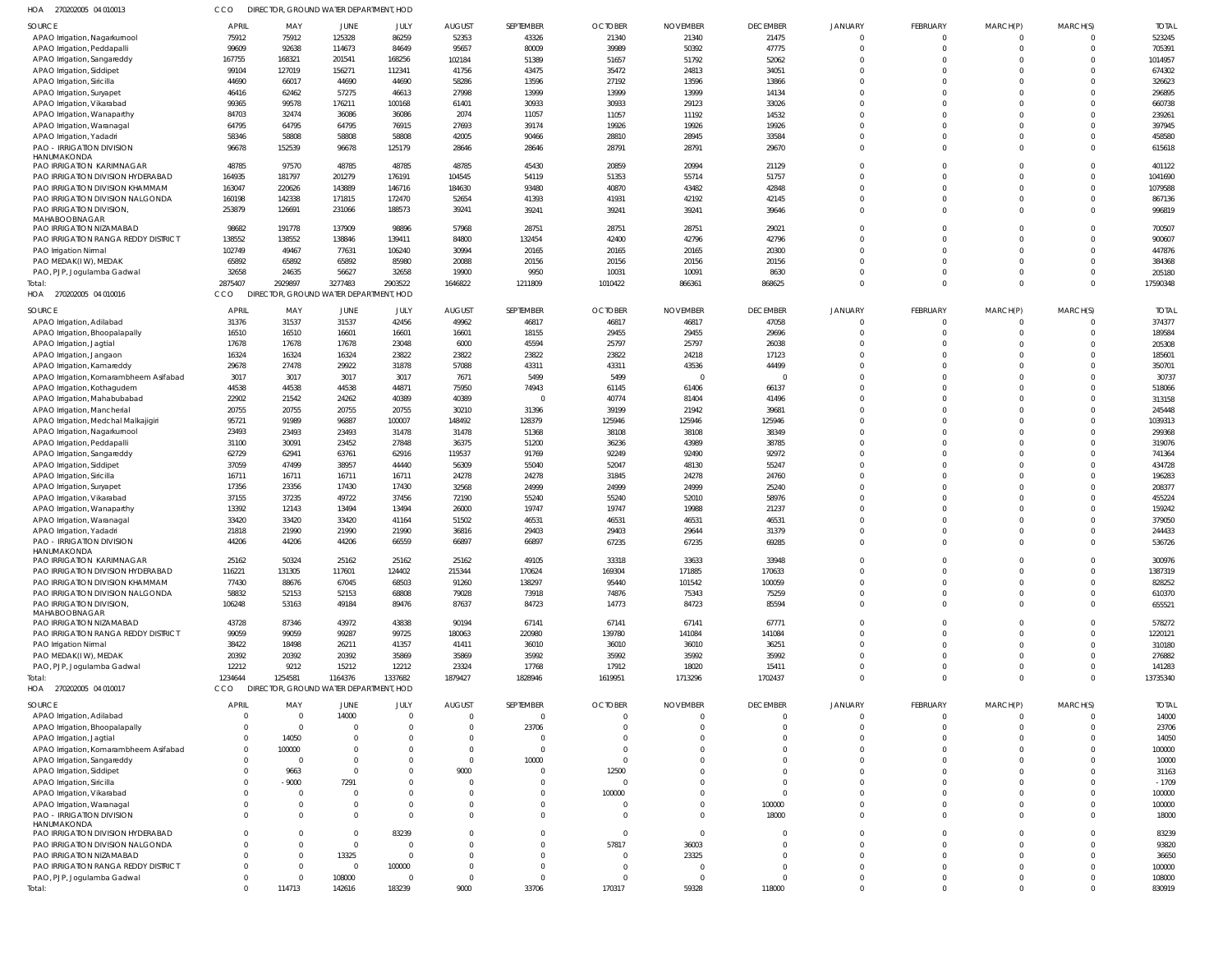| 270202005 04 010013<br>HOA                                          | CCO              | DIRECTOR, GROUND WATER DEPARTMENT, HOD |                  |                  |                 |                  |                |                         |                 |                      |                      |          |                      |                   |
|---------------------------------------------------------------------|------------------|----------------------------------------|------------------|------------------|-----------------|------------------|----------------|-------------------------|-----------------|----------------------|----------------------|----------|----------------------|-------------------|
| <b>SOURCE</b>                                                       | <b>APRIL</b>     | MAY                                    | <b>JUNE</b>      | JULY             | <b>AUGUST</b>   | SEPTEMBER        | <b>OCTOBER</b> | <b>NOVEMBER</b>         | <b>DECEMBER</b> | <b>JANUARY</b>       | <b>FEBRUARY</b>      | MARCH(P) | MARCH(S)             | <b>TOTAI</b>      |
| APAO Irrigation, Nagarkurnool                                       | 75912            | 75912                                  | 125328           | 86259            | 52353           | 43326            | 21340          | 21340                   | 21475           |                      | 0                    |          |                      | 523245            |
| APAO Irrigation, Peddapalli                                         | 99609            | 92638                                  | 114673           | 84649            | 95657           | 80009            | 39989          | 50392                   | 47775           | $\Omega$             | 0                    | $\Omega$ | $\Omega$             | 705391            |
| APAO Irrigation, Sangareddy                                         | 167755           | 168321                                 | 201541           | 168256           | 102184          | 51389            | 51657          | 51792                   | 52062           | $\Omega$             | $\Omega$             |          | $\Omega$             | 1014957           |
| APAO Irrigation, Siddipet                                           | 99104            | 127019                                 | 156271           | 112341           | 41756           | 43475            | 35472          | 24813                   | 34051           | $\Omega$<br>$\Omega$ | $\Omega$             |          | $\Omega$<br>$\Omega$ | 674302            |
| APAO Irrigation, Siricilla<br>APAO Irrigation, Suryapet             | 44690<br>46416   | 66017<br>62462                         | 44690<br>57275   | 44690<br>46613   | 58286<br>27998  | 13596<br>13999   | 27192<br>13999 | 13596<br>13999          | 13866<br>14134  | $\Omega$             | $\Omega$<br>$\Omega$ |          | $\Omega$             | 326623<br>296895  |
| APAO Irrigation, Vikarabad                                          | 99365            | 99578                                  | 176211           | 100168           | 61401           | 30933            | 30933          | 29123                   | 33026           | $\Omega$             | $\Omega$             |          | $\Omega$             | 660738            |
| APAO Irrigation, Wanaparthy                                         | 84703            | 32474                                  | 36086            | 36086            | 2074            | 11057            | 11057          | 11192                   | 14532           | $\Omega$             | $\Omega$             |          | $\Omega$             | 239261            |
| APAO Irrigation, Waranagal                                          | 64795            | 64795                                  | 64795            | 76915            | 27693           | 39174            | 19926          | 19926                   | 19926           | $\Omega$             | $\Omega$             | $\Omega$ | $\Omega$             | 397945            |
| APAO Irrigation, Yadadri                                            | 58346            | 58808                                  | 58808            | 58808            | 42005           | 90466            | 28810          | 28945                   | 33584           | $\Omega$             | $\Omega$             |          | $\Omega$             | 458580            |
| PAO - IRRIGATION DIVISION                                           | 96678            | 152539                                 | 96678            | 125179           | 28646           | 28646            | 28791          | 28791                   | 29670           | $\Omega$             | $\Omega$             | $\Omega$ | $\Omega$             | 615618            |
| HANUMAKONDA                                                         |                  |                                        |                  |                  |                 |                  |                |                         |                 |                      |                      |          |                      |                   |
| PAO IRRIGATION KARIMNAGAR                                           | 48785            | 97570                                  | 48785            | 48785            | 48785           | 45430            | 20859          | 20994                   | 21129           | $\Omega$             | $\Omega$             |          | $\Omega$             | 401122            |
| PAO IRRIGATION DIVISION HYDERABAD                                   | 164935           | 181797                                 | 201279           | 176191           | 104545          | 54119            | 51353          | 55714                   | 51757           | $\Omega$<br>$\Omega$ | $\Omega$             |          | $\Omega$<br>$\Omega$ | 1041690           |
| PAO IRRIGATION DIVISION KHAMMAM<br>PAO IRRIGATION DIVISION NALGONDA | 163047<br>160198 | 220626<br>142338                       | 143889<br>171815 | 146716<br>172470 | 184630<br>52654 | 93480<br>41393   | 40870<br>41931 | 43482<br>42192          | 42848<br>42145  | $\Omega$             | 0<br>$\Omega$        | $\Omega$ | $\Omega$             | 1079588<br>867136 |
| PAO IRRIGATION DIVISION,                                            | 253879           | 126691                                 | 231066           | 188573           | 39241           | 39241            | 39241          | 39241                   | 39646           | $\Omega$             | 0                    | $\Omega$ | $\Omega$             | 996819            |
| MAHABOOBNAGAR                                                       |                  |                                        |                  |                  |                 |                  |                |                         |                 |                      |                      |          |                      |                   |
| PAO IRRIGATION NIZAMABAD                                            | 98682            | 191778                                 | 137909           | 98896            | 57968           | 28751            | 28751          | 28751                   | 29021           | $\Omega$             | 0                    | $\Omega$ | $\Omega$             | 700507            |
| PAO IRRIGATION RANGA REDDY DISTRICT                                 | 138552           | 138552                                 | 138846           | 139411           | 84800           | 132454           | 42400          | 42796                   | 42796           | $\Omega$             | $\Omega$             |          | $\Omega$             | 900607            |
| PAO Irrigation Nirmal                                               | 102749           | 49467                                  | 77631            | 106240           | 30994           | 20165            | 20165          | 20165                   | 20300           | $\Omega$             | $\Omega$             |          | $\Omega$             | 447876            |
| PAO MEDAK(I W), MEDAK                                               | 65892            | 65892                                  | 65892            | 85980            | 20088           | 20156            | 20156          | 20156                   | 20156           | $\Omega$             | $\Omega$             |          | $\Omega$             | 384368            |
| PAO, PJP, Jogulamba Gadwal                                          | 32658            | 24635                                  | 56627            | 32658            | 19900           | 9950             | 10031          | 10091                   | 8630            | $\Omega$             | $\Omega$             | $\Omega$ | $\Omega$             | 205180            |
| Total:                                                              | 2875407          | 2929897                                | 3277483          | 2903522          | 1646822         | 1211809          | 1010422        | 866361                  | 868625          | $\Omega$             | $\mathbf 0$          | 0        | $\Omega$             | 17590348          |
| HOA 270202005 04 010016                                             | CCO              | DIRECTOR, GROUND WATER DEPARTMENT, HOD |                  |                  |                 |                  |                |                         |                 |                      |                      |          |                      |                   |
| SOURCE                                                              | <b>APRIL</b>     | MAY                                    | JUNE             | JULY             | <b>AUGUST</b>   | <b>SEPTEMBER</b> | <b>OCTOBER</b> | <b>NOVEMBER</b>         | <b>DECEMBER</b> | <b>JANUARY</b>       | <b>FEBRUARY</b>      | MARCH(P) | MARCH(S)             | <b>TOTAI</b>      |
| APAO Irrigation, Adilabad                                           | 31376            | 31537                                  | 31537            | 42456            | 49962           | 46817            | 46817          | 46817                   | 47058           |                      | $\mathbf 0$          |          | $\Omega$             | 374377            |
| APAO Irrigation, Bhoopalapally                                      | 16510            | 16510                                  | 16601            | 16601            | 16601           | 18155            | 29455          | 29455                   | 29696           |                      | $\Omega$             | $\Omega$ | $\Omega$             | 189584            |
| APAO Irrigation, Jagtial                                            | 17678            | 17678                                  | 17678            | 23048            | 6000            | 45594            | 25797          | 25797                   | 26038           | $\Omega$             | $\Omega$             |          | $\Omega$             | 205308            |
| APAO Irrigation, Jangaon                                            | 16324            | 16324                                  | 16324            | 23822            | 23822           | 23822            | 23822          | 24218                   | 17123           | $\Omega$             | $\Omega$             |          | $\Omega$             | 185601            |
| APAO Irrigation, Kamareddy                                          | 29678            | 27478                                  | 29922            | 31878            | 57088           | 43311            | 43311          | 43536                   | 44499           | $\Omega$             | $\Omega$             |          | $\Omega$             | 350701            |
| APAO Irrigation, Komarambheem Asifabad                              | 3017             | 3017                                   | 3017             | 3017<br>44871    | 7671            | 5499<br>74943    | 5499           | $\overline{0}$<br>61406 |                 | $\Omega$<br>$\Omega$ | $\Omega$             |          | $\Omega$<br>$\Omega$ | 30737<br>518066   |
| APAO Irrigation, Kothagudem<br>APAO Irrigation, Mahabubabad         | 44538<br>22902   | 44538<br>21542                         | 44538<br>24262   | 40389            | 75950<br>40389  | $\Omega$         | 61145<br>40774 | 81404                   | 66137<br>41496  | $\Omega$             | $\Omega$             |          | $\Omega$             | 313158            |
| APAO Irrigation, Mancherial                                         | 20755            | 20755                                  | 20755            | 20755            | 30210           | 31396            | 39199          | 21942                   | 39681           | $\Omega$             | $\Omega$             |          | $\Omega$             | 245448            |
| APAO Irrigation, Medchal Malkajigiri                                | 95721            | 91989                                  | 96887            | 100007           | 148492          | 128379           | 125946         | 125946                  | 125946          | $\Omega$             | $\Omega$             |          | $\Omega$             | 1039313           |
| APAO Irrigation, Nagarkurnool                                       | 23493            | 23493                                  | 23493            | 31478            | 31478           | 51368            | 38108          | 38108                   | 38349           | $\Omega$             | $\Omega$             |          | $\Omega$             | 299368            |
| APAO Irrigation, Peddapalli                                         | 31100            | 30091                                  | 23452            | 27848            | 36375           | 51200            | 36236          | 43989                   | 38785           | $\Omega$             | $\Omega$             |          | $\Omega$             | 319076            |
| APAO Irrigation, Sangareddy                                         | 62729            | 62941                                  | 63761            | 62916            | 119537          | 91769            | 92249          | 92490                   | 92972           | $\Omega$             | $\Omega$             |          | $\Omega$             | 741364            |
| APAO Irrigation, Siddipet                                           | 37059            | 47499                                  | 38957            | 44440            | 56309           | 55040            | 52047          | 48130                   | 55247           | $\Omega$             | $\Omega$             |          | $\Omega$             | 434728            |
| APAO Irrigation, Siricilla                                          | 16711            | 16711                                  | 16711            | 16711            | 24278           | 24278            | 31845          | 24278                   | 24760           | $\Omega$             | $\Omega$             |          | $\Omega$             | 196283            |
| APAO Irrigation, Suryapet                                           | 17356            | 23356                                  | 17430            | 17430            | 32568           | 24999            | 24999          | 24999                   | 25240           | $\Omega$             | $\Omega$             |          | $\Omega$             | 208377            |
| APAO Irrigation, Vikarabad                                          | 37155            | 37235                                  | 49722            | 37456            | 72190           | 55240            | 55240          | 52010                   | 58976           | $\Omega$             |                      |          | $\Omega$             | 455224            |
| APAO Irrigation, Wanaparthy                                         | 13392            | 12143                                  | 13494            | 13494            | 26000           | 19747            | 19747          | 19988                   | 21237           | $\Omega$             | $\Omega$             |          | $\Omega$             | 159242            |
| APAO Irrigation, Waranagal                                          | 33420            | 33420                                  | 33420            | 41164            | 51502           | 46531            | 46531          | 46531                   | 46531           | $\Omega$             |                      |          | $\Omega$             | 379050            |
| APAO Irrigation, Yadadri                                            | 21818            | 21990                                  | 21990            | 21990            | 36816           | 29403            | 29403          | 29644                   | 31379           | $\Omega$             | $\Omega$             |          | $\Omega$             | 244433            |
| <b>PAO - IRRIGATION DIVISION</b><br>HANUMAKONDA                     | 44206            | 44206                                  | 44206            | 66559            | 66897           | 66897            | 67235          | 67235                   | 69285           | $\Omega$             | $\Omega$             | $\Omega$ | $\Omega$             | 536726            |
| PAO IRRIGATION KARIMNAGAR                                           | 25162            | 50324                                  | 25162            | 25162            | 25162           | 49105            | 33318          | 33633                   | 33948           | $\Omega$             | $\Omega$             |          | $\Omega$             | 300976            |
| PAO IRRIGATION DIVISION HYDERABAD                                   | 116221           | 131305                                 | 117601           | 124402           | 215344          | 170624           | 169304         | 171885                  | 170633          | $\Omega$             | $\Omega$             |          | $\Omega$             | 1387319           |
| PAO IRRIGATION DIVISION KHAMMAM                                     | 77430            | 88676                                  | 67045            | 68503            | 91260           | 138297           | 95440          | 101542                  | 100059          | $\Omega$             | $\Omega$             |          | $\Omega$             | 828252            |
| PAO IRRIGATION DIVISION NALGONDA                                    | 58832            | 52153                                  | 52153            | 68808            | 79028           | 73918            | 74876          | 75343                   | 75259           | $\Omega$             | $\Omega$             |          | $\Omega$             | 610370            |
| PAO IRRIGATION DIVISION,                                            | 106248           | 53163                                  | 49184            | 89476            | 87637           | 84723            | 14773          | 84723                   | 85594           | $\Omega$             | $\Omega$             |          | $\Omega$             | 655521            |
| MAHABOOBNAGAR<br>PAO IRRIGATION NIZAMABAD                           | 43728            | 87346                                  | 43972            | 43838            | 90194           | 67141            | 67141          | 67141                   | 67771           | $\Omega$             |                      |          |                      | 578272            |
| PAO IRRIGATION RANGA REDDY DISTRICT                                 | 99059            | 99059                                  | 99287            | 99725            | 180063          | 220980           | 139780         | 141084                  | 141084          | $\Omega$             | $\Omega$             |          | $\Omega$             | 1220121           |
| PAO Irrigation Nirmal                                               | 38422            | 18498                                  | 26211            | 41357            | 41411           | 36010            | 36010          | 36010                   | 36251           | $\Omega$             |                      |          | $\Omega$             | 310180            |
| PAO MEDAK(IW), MEDAK                                                | 20392            | 20392                                  | 20392            | 35869            | 35869           | 35992            | 35992          | 35992                   | 35992           | $\Omega$             | $\Omega$             |          | $\Omega$             | 276882            |
| PAO, PJP, Jogulamba Gadwal                                          | 12212            | 9212                                   | 15212            | 12212            | 23324           | 17768            | 17912          | 18020                   | 15411           | $\Omega$             | $\Omega$             |          | $\Omega$             | 141283            |
| Total:                                                              | 1234644          | 1254581                                | 1164376          | 1337682          | 1879427         | 1828946          | 1619951        | 1713296                 | 1702437         | $\Omega$             | $\Omega$             | $\Omega$ | $\Omega$             | 13735340          |
| HOA 270202005 04 010017                                             | CCO              | DIRECTOR, GROUND WATER DEPARTMENT, HOD |                  |                  |                 |                  |                |                         |                 |                      |                      |          |                      |                   |
| SOURCE                                                              | <b>APRIL</b>     | MAY                                    | JUNE             | JULY             | <b>AUGUST</b>   | <b>SEPTEMBER</b> | <b>OCTOBER</b> | <b>NOVEMBER</b>         | <b>DECEMBER</b> | <b>JANUARY</b>       | <b>FEBRUARY</b>      | MARCH(P) | MARCH(S)             | <b>TOTAL</b>      |
| APAO Irrigation, Adilabad                                           | $\overline{0}$   | $\overline{0}$                         | 14000            | $\Omega$         | $\Omega$        | $\mathbf 0$      | $\overline{0}$ | $\overline{0}$          | $\Omega$        | $\Omega$             | $\mathbf 0$          | 0        | $\Omega$             | 14000             |
| APAO Irrigation, Bhoopalapally                                      | $\overline{0}$   | $\overline{0}$                         |                  | $\Omega$         | - 0             | 23706            | -0             | $\Omega$                | $\Omega$        | $\Omega$             | 0                    | 0        | $\Omega$             | 23706             |
| APAO Irrigation, Jagtial                                            | $\overline{0}$   | 14050                                  |                  | $\Omega$         | $\Omega$        | 0                | $^{\circ}$     | $\Omega$                | $\Omega$        | $\Omega$             | $\Omega$             |          | $\Omega$             | 14050             |
| APAO Irrigation, Komarambheem Asifabad                              | $\overline{0}$   | 100000                                 |                  | $\Omega$         | $\Omega$        | $\mathbf 0$      | $\Omega$       | $\Omega$                | $\cap$          | $\Omega$             | $\Omega$             |          | $\Omega$             | 100000            |
| APAO Irrigation, Sangareddy                                         | $\mathbf 0$      | $\overline{0}$                         |                  | $\Omega$         | $\Omega$        | 10000            | $\overline{0}$ | $\Omega$                |                 | $\Omega$             | $\Omega$             |          | $\Omega$             | 10000             |
| APAO Irrigation, Siddipet                                           | $\mathbf 0$      | 9663                                   | $\cap$           | $\Omega$         | 9000            | 0                | 12500          | $\Omega$                | $\cap$          | $\Omega$             |                      |          | $\Omega$             | 31163             |
| APAO Irrigation, Siricilla                                          | $\mathbf{0}$     | $-9000$                                | 7291             | <sup>0</sup>     |                 | 0                | $\overline{0}$ | $\Omega$                | $\Omega$        | $\Omega$             | $\Omega$             |          | $\cap$               | $-1709$           |
| APAO Irrigation, Vikarabad                                          | $\mathbf 0$      | $\overline{0}$                         | - 0              | $\Omega$         |                 | $\Omega$         | 100000         | $\Omega$                | $\Omega$        | $\Omega$             | $\Omega$             |          | $\Omega$             | 100000            |
| APAO Irrigation, Waranagal                                          | $\Omega$         | 0                                      |                  | $\Omega$         |                 | $\Omega$         | $\overline{0}$ | $\Omega$                | 100000          | $\Omega$             | $\Omega$             |          | $\Omega$             | 100000            |
| <b>PAO - IRRIGATION DIVISION</b><br>HANUMAKONDA                     | $\Omega$         | $\Omega$                               | $\Omega$         | $\Omega$         |                 | $\Omega$         | $\overline{0}$ | $\Omega$                | 18000           | $\Omega$             | $\Omega$             |          | $\Omega$             | 18000             |
| PAO IRRIGATION DIVISION HYDERABAD                                   | $\Omega$         | $\Omega$                               | $\Omega$         | 83239            |                 | $\Omega$         | $\overline{0}$ | $\overline{0}$          | $\cap$          | $\Omega$             | $\Omega$             |          | $\Omega$             | 83239             |
| PAO IRRIGATION DIVISION NALGONDA                                    | $\mathbf 0$      | $\Omega$                               | $\Omega$         | $\Omega$         |                 | 0                | 57817          | 36003                   | $\Omega$        | $\Omega$             | $\Omega$             |          | $\Omega$             | 93820             |
| PAO IRRIGATION NIZAMABAD                                            | $\Omega$         | $\Omega$                               | 13325            | $\Omega$         |                 | $\Omega$         | $\overline{0}$ | 23325                   | $\cap$          | $\Omega$             | $\Omega$             |          | $\Omega$             | 36650             |
| PAO IRRIGATION RANGA REDDY DISTRICT                                 | $\Omega$         | 0                                      | $\Omega$         | 100000           |                 | $\Omega$         | $\overline{0}$ | $\Omega$                | $\Omega$        | $\Omega$             | $\Omega$             |          | $\Omega$             | 100000            |
| PAO, PJP, Jogulamba Gadwal                                          | $\mathbf 0$      | 0                                      | 108000           | $\Omega$         | $\Omega$        | $\Omega$         | $\overline{0}$ | $\overline{0}$          | $\Omega$        | $\Omega$             | 0                    |          | $\Omega$             | 108000            |
| Total:                                                              | $\Omega$         | 114713                                 | 142616           | 183239           | 9000            | 33706            | 170317         | 59328                   | 118000          | $\Omega$             | $\Omega$             | $\Omega$ | $\Omega$             | 830919            |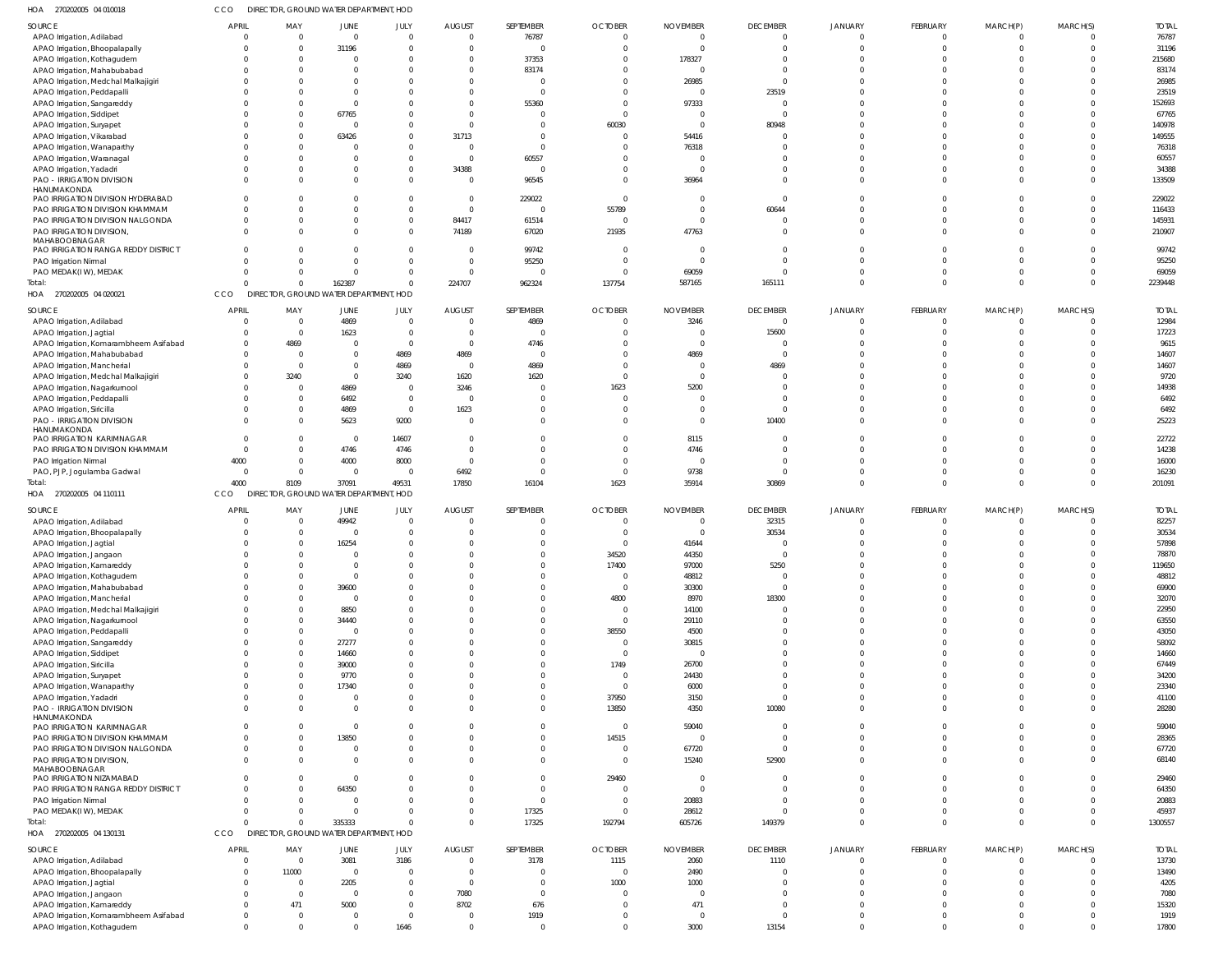| 270202005 04 010018<br>1OA             | CCO          | DIRECTOR, GROUND WATER DEPARTMENT, HOD |                         |                |                         |                |                          |                          |                   |                |                 |              |                |              |
|----------------------------------------|--------------|----------------------------------------|-------------------------|----------------|-------------------------|----------------|--------------------------|--------------------------|-------------------|----------------|-----------------|--------------|----------------|--------------|
| SOURCE                                 | <b>APRIL</b> | MAY                                    | <b>JUNE</b>             | JULY           | <b>AUGUST</b>           | SEPTEMBER      | <b>OCTOBER</b>           | <b>NOVEMBER</b>          | <b>DECEMBER</b>   | <b>JANUARY</b> | FEBRUARY        | MARCH(P)     | MARCH(S)       | <b>TOTAL</b> |
| APAO Irrigation, Adilabad              |              | $\overline{0}$                         | $\overline{0}$          | $\overline{0}$ | $\overline{0}$          | 76787          | $\mathbf 0$              | $\mathbf 0$              | $\overline{0}$    | $\Omega$       | $\mathbf 0$     | $^{\circ}$   | $\overline{0}$ | 76787        |
| APAO Irrigation, Bhoopalapally         |              | $\overline{0}$                         | 31196                   | $\overline{0}$ | $\overline{0}$          | $\Omega$       | $\overline{0}$           | $\overline{0}$           | $\Omega$          | $\Omega$       | $\mathbf 0$     | $\mathbf 0$  | $\overline{0}$ | 31196        |
|                                        |              | $\overline{0}$                         | $\mathbf{0}$            | $\Omega$       | $\overline{0}$          | 37353          | $\mathbf 0$              | 178327                   |                   |                | $\Omega$        |              | $\Omega$       | 215680       |
| APAO Irrigation, Kothagudem            |              |                                        | $\Omega$                |                |                         |                |                          |                          | $\Omega$          | $\Omega$       | $\Omega$        | $\Omega$     | $\Omega$       |              |
| APAO Irrigation, Mahabubabad           |              | $\overline{0}$                         |                         | $\Omega$       | $\overline{0}$          | 83174          | $\Omega$                 | 0                        |                   |                |                 |              |                | 83174        |
| APAO Irrigation, Medchal Malkajigiri   |              | $\Omega$                               | $\Omega$                |                | $\overline{0}$          | $\Omega$       | $\Omega$                 | 26985                    | $\Omega$          | $\Omega$       | $\Omega$        | $\Omega$     | $\Omega$       | 26985        |
| APAO Irrigation, Peddapalli            |              | $\Omega$                               | $\Omega$                | -0             | $\Omega$                | $\Omega$       | $\Omega$                 | $\mathbf 0$              | 23519             | $\Omega$       | $\Omega$        | $\Omega$     | $\Omega$       | 23519        |
| APAO Irrigation, Sangareddy            |              | $\Omega$                               | $\overline{0}$          |                | $\overline{0}$          | 55360          | $\Omega$                 | 97333                    |                   | $\Omega$       | $\Omega$        | $\Omega$     | $\Omega$       | 152693       |
| APAO Irrigation, Siddipet              |              | $\Omega$                               | 67765                   | -0             | $\overline{0}$          | $\Omega$       | $\Omega$                 | $\overline{0}$           | $\cap$            | $\Omega$       | $\Omega$        | $\Omega$     | $\Omega$       | 67765        |
| APAO Irrigation, Suryapet              |              | $\overline{0}$                         | $\overline{0}$          | -0             | $\overline{0}$          |                | 60030                    | $\overline{\phantom{0}}$ | 80948             |                | $\Omega$        | $\Omega$     | $\Omega$       | 140978       |
| APAO Irrigation, Vikarabad             |              | $\Omega$                               | 63426                   | $\Omega$       | 31713                   | U              | $\mathbf 0$              | 54416                    |                   |                | $\Omega$        | $\Omega$     | $\Omega$       | 149555       |
|                                        |              |                                        | $\Omega$                |                | $\overline{0}$          | $\Omega$       |                          |                          |                   | $\Omega$       | $\Omega$        | $\Omega$     | $\Omega$       |              |
| APAO Irrigation, Wanaparthy            |              | $\overline{0}$                         |                         | $\Omega$       |                         |                | $\mathbf 0$              | 76318                    |                   |                |                 |              |                | 76318        |
| APAO Irrigation, Waranagal             |              | $\Omega$                               | $\Omega$                | $\Omega$       | $\overline{0}$          | 60557          | $\Omega$                 | $\Omega$                 |                   | $\Omega$       | $\Omega$        | $\Omega$     | $\Omega$       | 60557        |
| APAO Irrigation, Yadadri               |              | $\overline{0}$                         | - 0                     | $\mathbf{0}$   | 34388                   | $\Omega$       | $\mathbf 0$              | $\overline{0}$           |                   | $\Omega$       | $\Omega$        | $\Omega$     | $\Omega$       | 34388        |
| PAO - IRRIGATION DIVISION              |              | $\Omega$                               | $\Omega$                | $\Omega$       | $\overline{0}$          | 96545          | $\Omega$                 | 36964                    | $\Omega$          | $\Omega$       | $\Omega$        | $\Omega$     | $\Omega$       | 133509       |
| HANUMAKONDA                            |              |                                        |                         |                |                         |                |                          |                          |                   |                |                 |              |                |              |
| PAO IRRIGATION DIVISION HYDERABAD      |              | $\Omega$                               | $\Omega$                | -0             | $\overline{0}$          | 229022         | $\overline{0}$           | $\Omega$                 | $\Omega$          |                | $\Omega$        | n            | $\Omega$       | 229022       |
| PAO IRRIGATION DIVISION KHAMMAM        |              | $\overline{0}$                         | $\Omega$                | $\overline{0}$ | $\overline{0}$          | $\Omega$       | 55789                    | $\mathbf 0$              | 60644             | $\Omega$       | $\Omega$        | $\Omega$     | $\Omega$       | 116433       |
| PAO IRRIGATION DIVISION NALGONDA       |              | $\overline{0}$                         | $\overline{0}$          | $\overline{0}$ | 84417                   | 61514          | $\overline{0}$           | $\mathbf 0$              |                   | $\Omega$       | $\Omega$        | $\Omega$     | $\overline{0}$ | 145931       |
| PAO IRRIGATION DIVISION,               |              | $\Omega$                               | $\Omega$                | $\Omega$       | 74189                   | 67020          | 21935                    | 47763                    | $\Omega$          | $\Omega$       | $\Omega$        | $\Omega$     | $\overline{0}$ | 210907       |
| MAHABOOBNAGAR                          |              |                                        |                         |                |                         |                |                          |                          |                   |                |                 |              |                |              |
| PAO IRRIGATION RANGA REDDY DISTRICT    |              | $\overline{0}$                         | $\Omega$                | - 0            | $\overline{0}$          | 99742          | $\overline{0}$           | $\overline{0}$           |                   | $\Omega$       | $\Omega$        | $\Omega$     | $\Omega$       | 99742        |
| PAO Irrigation Nirmal                  | $\Omega$     | $\Omega$                               | $\Omega$                | $\Omega$       | $\overline{0}$          | 95250          | $\overline{0}$           | $\Omega$                 | $\Omega$          | $\Omega$       | $\Omega$        | $\Omega$     | $\Omega$       | 95250        |
| PAO MEDAK(IW), MEDAK                   | $\Omega$     | $\overline{0}$                         | $\overline{0}$          | $\mathbf{0}$   | $\overline{0}$          | $\Omega$       | $\overline{0}$           | 69059                    | $\Omega$          | $\Omega$       | $\mathbf 0$     | $\Omega$     | $\Omega$       | 69059        |
|                                        | $\cap$       |                                        |                         |                |                         |                |                          |                          |                   |                |                 | $\Omega$     | $\Omega$       |              |
| Total:                                 |              | $\Omega$                               | 162387                  | $\Omega$       | 224707                  | 962324         | 137754                   | 587165                   | 165111            | $\Omega$       | $\Omega$        |              |                | 2239448      |
| HOA 270202005 04 020021                | CCO          | DIRECTOR, GROUND WATER DEPARTMENT, HOD |                         |                |                         |                |                          |                          |                   |                |                 |              |                |              |
| SOURCE                                 | APRIL        | MAY                                    | <b>JUNE</b>             | JULY           | <b>AUGUST</b>           | SEPTEMBER      | <b>OCTOBER</b>           | <b>NOVEMBER</b>          | <b>DECEMBER</b>   | <b>JANUARY</b> | <b>FEBRUARY</b> | MARCH(P)     | MARCH(S)       | <b>TOTAL</b> |
|                                        | $\Omega$     | $\overline{0}$                         |                         |                | $\overline{0}$          |                | $\overline{0}$           |                          | $\overline{0}$    | $\Omega$       |                 |              |                |              |
| APAO Irrigation, Adilabad              |              |                                        | 4869                    | $\circ$        |                         | 4869           |                          | 3246                     |                   |                | $\mathbf 0$     | $\mathbf 0$  | $\overline{0}$ | 12984        |
| APAO Irrigation, Jagtial               |              | $\overline{0}$                         | 1623                    | - 0            | $\overline{0}$          | $\Omega$       | $\Omega$                 | 0                        | 15600             |                | $\Omega$        | $\Omega$     | $\Omega$       | 17223        |
| APAO Irrigation, Komarambheem Asifabad |              | 4869                                   | $\overline{0}$          | $\circ$        | $\overline{\mathbf{0}}$ | 4746           | $\mathbf 0$              | $\overline{0}$           | $\Omega$          |                | $\Omega$        | $\Omega$     | $\Omega$       | 9615         |
| APAO Irrigation, Mahabubabad           |              | $\overline{0}$                         | $\overline{0}$          | 4869           | 4869                    | $\Omega$       | $\Omega$                 | 4869                     | $\cap$            |                | $\Omega$        |              | $\Omega$       | 14607        |
| APAO Irrigation, Mancherial            |              | $\overline{0}$                         | $\overline{0}$          | 4869           | $\overline{\mathbf{0}}$ | 4869           | $\Omega$                 | $\overline{0}$           | 4869              |                | $\Omega$        |              | $\Omega$       | 14607        |
| APAO Irrigation, Medchal Malkajigiri   |              | 3240                                   | $\overline{0}$          | 3240           | 1620                    | 1620           | $\Omega$                 | $\Omega$                 |                   |                | $\Omega$        |              | $\Omega$       | 9720         |
| APAO Irrigation, Nagarkurnool          |              | $\overline{0}$                         | 4869                    | $\circ$        | 3246                    | $\Omega$       | 1623                     | 5200                     |                   |                | $\Omega$        |              | $\Omega$       | 14938        |
|                                        |              |                                        |                         |                |                         |                |                          |                          |                   |                |                 |              |                |              |
| APAO Irrigation, Peddapalli            |              | $\overline{0}$                         | 6492                    | $\circ$        | $\overline{\mathbf{0}}$ | 0              | $\overline{0}$           | $\Omega$                 | $\Omega$          |                | $\Omega$        | $\Omega$     | $\Omega$       | 6492         |
| APAO Irrigation, Siricilla             |              | $\Omega$                               | 4869                    | $\overline{0}$ | 1623                    | <sup>0</sup>   | $\overline{0}$           | $\mathbf 0$              | $\Omega$          |                | $\Omega$        | $\Omega$     | $\Omega$       | 6492         |
| PAO - IRRIGATION DIVISION              |              | $\Omega$                               | 5623                    | 9200           | $\overline{0}$          | $\Omega$       | $\Omega$                 | $\Omega$                 | 10400             | $\Omega$       | $\Omega$        | $\Omega$     | $\Omega$       | 25223        |
| HANUMAKONDA                            |              |                                        |                         |                |                         |                |                          |                          |                   |                |                 |              |                |              |
| PAO IRRIGATION KARIMNAGAR              | $\Omega$     | $\overline{0}$                         | $\overline{0}$          | 14607          | $\overline{0}$          | $\Omega$       | $\Omega$                 | 8115                     |                   |                | $\Omega$        | $\Omega$     | $\Omega$       | 22722        |
| PAO IRRIGATION DIVISION KHAMMAM        | $\Omega$     | $\overline{0}$                         | 4746                    | 4746           | $\overline{0}$          | $\Omega$       | $\Omega$                 | 4746                     |                   | $\cap$         | $\Omega$        | $\Omega$     | $\Omega$       | 14238        |
| PAO Irrigation Nirmal                  | 4000         | $\overline{0}$                         | 4000                    | 8000           | $\overline{0}$          | $\Omega$       | $\overline{0}$           | $\overline{0}$           |                   | $\Omega$       | $\Omega$        | $\Omega$     | $\Omega$       | 16000        |
| PAO, PJP, Jogulamba Gadwal             | $\Omega$     | $\overline{0}$                         | $\overline{0}$          | $\circ$        | 6492                    | $\Omega$       | $\overline{0}$           | 9738                     | $\Omega$          | $\Omega$       | $\Omega$        | $\Omega$     | $\Omega$       | 16230        |
| lotal:                                 | 4000         | 8109                                   | 37091                   | 49531          | 17850                   | 16104          | 1623                     | 35914                    | 30869             | $\Omega$       | $\overline{0}$  | $\mathbf 0$  | $\Omega$       | 201091       |
| HOA 270202005 04 110111                | CCO          | DIRECTOR, GROUND WATER DEPARTMENT, HOD |                         |                |                         |                |                          |                          |                   |                |                 |              |                |              |
|                                        |              |                                        |                         |                |                         |                |                          |                          |                   |                |                 |              |                |              |
| SOURCE                                 | APRIL        | MAY                                    | JUNE                    | JULY           | <b>AUGUST</b>           | SEPTEMBER      | <b>OCTOBER</b>           | <b>NOVEMBER</b>          | <b>DECEMBER</b>   | <b>JANUARY</b> | <b>FEBRUARY</b> | MARCH(P)     | MARCH(S)       | <b>TOTAL</b> |
|                                        |              |                                        |                         | $\circ$        | $\circ$                 | $\mathbf{0}$   | $\mathbf 0$              | 0                        | 32315             |                | $\mathbf 0$     | $\Omega$     | $\Omega$       | 82257        |
|                                        |              |                                        |                         |                |                         |                |                          |                          |                   |                |                 |              |                |              |
| APAO Irrigation, Adilabad              |              | $\overline{0}$                         | 49942                   |                |                         |                |                          |                          |                   |                |                 |              |                |              |
| APAO Irrigation, Bhoopalapally         |              | $\Omega$                               | $\Omega$                | $\Omega$       | $\overline{0}$          | $\Omega$       | $\Omega$                 | - 0                      | 30534             | $\Omega$       | $\mathbf 0$     | $\Omega$     | $\Omega$       | 30534        |
| APAO Irrigation, Jagtial               |              | $\overline{0}$                         | 16254                   | $\Omega$       | $\Omega$                | $\Omega$       | $\Omega$                 | 41644                    | $\Omega$          | $\Omega$       | $\Omega$        |              | $\Omega$       | 57898        |
| APAO Irrigation, Jangaon               |              | $\overline{0}$                         | $\cap$                  | $\mathbf 0$    | $\Omega$                | $\Omega$       | 34520                    | 44350                    | $\Omega$          | $\Omega$       |                 | $\cap$       | $\overline{0}$ | 78870        |
| APAO Irrigation, Kamareddy             |              | $\overline{0}$                         | $\overline{0}$          |                | $\Omega$                | $\Omega$       | 17400                    | 97000                    | 5250              |                | $\Omega$        | $\Omega$     | $\Omega$       | 119650       |
| APAO Irrigation, Kothagudem            | $\Omega$     | $\overline{0}$                         | $\overline{0}$          | $\Omega$       | $\Omega$                | $\Omega$       | $\overline{0}$           | 48812                    | $\Omega$          | $\Omega$       | $\mathbf 0$     | $\Omega$     | $\overline{0}$ | 48812        |
| APAO Irrigation, Mahabubabad           | $\cap$       | $\overline{0}$                         | 39600                   | $\Omega$       | $\Omega$                | $\Omega$       | $\overline{0}$           | 30300                    | $\Omega$          | $\Omega$       | $\Omega$        | $\Omega$     | $\Omega$       | 69900        |
|                                        |              | $\Omega$                               | $\overline{0}$          | $\Omega$       | $\Omega$                | $\Omega$       |                          | 8970                     |                   | $\Omega$       | $\Omega$        | $\Omega$     | $\Omega$       |              |
| APAO Irrigation, Mancherial            |              | $\overline{0}$                         |                         |                | $\Omega$                | $\Omega$       | 4800<br>$\overline{0}$   |                          | 18300<br>$\Omega$ | $\Omega$       | $\Omega$        | $\Omega$     | $\Omega$       | 32070        |
| APAO Irrigation, Medchal Malkajigiri   |              |                                        | 8850                    |                |                         |                |                          | 14100                    |                   |                |                 |              |                | 22950        |
| APAO Irrigation, Nagarkurnool          |              | $\overline{0}$                         | 34440                   | $\Omega$       | $\Omega$                | $\Omega$       | $\overline{0}$           | 29110                    | $\Omega$          | $\Omega$       | $\Omega$        | $\Omega$     | $\Omega$       | 63550        |
| APAO Irrigation, Peddapalli            |              | $\overline{0}$                         | $\overline{0}$          |                | $\Omega$                | $\Omega$       | 38550                    | 4500                     | $\Omega$          | $\Omega$       | $\Omega$        | $\Omega$     | $\Omega$       | 43050        |
| APAO Irrigation, Sangareddy            |              | $\overline{0}$                         | 27277                   | $\Omega$       | $\Omega$                | $\Omega$       | $\overline{0}$           | 30815                    | $\Omega$          | $\Omega$       | $\Omega$        | $\Omega$     | $\Omega$       | 58092        |
| APAO Irrigation, Siddipet              |              | $\overline{0}$                         | 14660                   |                | $\Omega$                | $\Omega$       | $\overline{0}$           | $\overline{0}$           | $\Omega$          | $\Omega$       | $\Omega$        | $\Omega$     | $\Omega$       | 14660        |
| APAO Irrigation, Siricilla             |              | $\Omega$                               | 39000                   | $\Omega$       | $\Omega$                | $\Omega$       | 1749                     | 26700                    | $\Omega$          | $\Omega$       | $\Omega$        | $\Omega$     | $\Omega$       | 67449        |
| APAO Irrigation, Suryapet              |              | $\overline{0}$                         | 9770                    |                | $\Omega$                | $\Omega$       | $\overline{0}$           | 24430                    | $\Omega$          | $\Omega$       | $\Omega$        | $\Omega$     | $\Omega$       | 34200        |
| APAO Irrigation, Wanaparthy            |              | $\Omega$                               | 17340                   | $\Omega$       | $\Omega$                | $\Omega$       | $\overline{0}$           | 6000                     | $\Omega$          | $\Omega$       | $\Omega$        | $\Omega$     | $\Omega$       | 23340        |
|                                        |              | $\overline{0}$                         | $\overline{0}$          | $\Omega$       | $\overline{0}$          | 0              |                          |                          | $\Omega$          | $\Omega$       | $\Omega$        | $\Omega$     | $\Omega$       |              |
| APAO Irrigation, Yadadri               | $\cap$       |                                        |                         |                |                         |                | 37950                    | 3150                     |                   |                |                 |              |                | 41100        |
| PAO - IRRIGATION DIVISION              |              | $\Omega$                               | $\Omega$                | $\Omega$       | $\Omega$                | $\Omega$       | 13850                    | 4350                     | 10080             | $\Omega$       | $\Omega$        | $\Omega$     | $\Omega$       | 28280        |
| HANUMAKONDA                            |              |                                        |                         |                | $\Omega$                | $\Omega$       |                          |                          | $\Omega$          | $\Omega$       | $\Omega$        | $\Omega$     | $\Omega$       |              |
| PAO IRRIGATION KARIMNAGAR              |              | $\overline{0}$                         | $\overline{0}$          |                |                         |                | $\overline{0}$           | 59040                    |                   |                |                 |              |                | 59040        |
| PAO IRRIGATION DIVISION KHAMMAM        |              | $\overline{0}$                         | 13850                   | $\Omega$       | $\Omega$                | $\mathbf 0$    | 14515                    | $\overline{0}$           | $\Omega$          | $\Omega$       | $\Omega$        | $\Omega$     | $\Omega$       | 28365        |
| PAO IRRIGATION DIVISION NALGONDA       | $\Omega$     | $\overline{0}$                         | $\overline{0}$          | $\Omega$       | $\overline{0}$          | $\mathbf 0$    | $\overline{\mathbf{0}}$  | 67720                    | $\Omega$          | $\Omega$       | $\mathbf 0$     | $\mathbf 0$  | $\Omega$       | 67720        |
| PAO IRRIGATION DIVISION,               | $\Omega$     | $\Omega$                               | $\overline{0}$          | $\Omega$       | $\Omega$                | $\Omega$       | $\overline{0}$           | 15240                    | 52900             | $\Omega$       | $\Omega$        | $\Omega$     | $\overline{0}$ | 68140        |
| MAHABOOBNAGAR                          |              |                                        |                         |                |                         |                |                          |                          |                   |                |                 |              |                |              |
| PAO IRRIGATION NIZAMABAD               |              | $\overline{0}$                         | $\overline{0}$          | -0             | $\overline{0}$          | $\Omega$       | 29460                    | $\overline{0}$           |                   | $\Omega$       | $\Omega$        | $\Omega$     | $\Omega$       | 29460        |
| PAO IRRIGATION RANGA REDDY DISTRICT    |              | $\Omega$                               | 64350                   | $\Omega$       | $\Omega$                | $\Omega$       | $\overline{0}$           | $\overline{\phantom{0}}$ | $\Omega$          | $\Omega$       | $\Omega$        | $\Omega$     | $\Omega$       | 64350        |
| PAO Irrigation Nirmal                  |              | $\overline{0}$                         | $\overline{\mathbf{0}}$ | $\Omega$       | $\overline{0}$          | $\mathbf{0}$   | $\overline{\phantom{0}}$ | 20883                    | $\Omega$          | $\Omega$       | $\mathbf 0$     | $\Omega$     | $\Omega$       | 20883        |
| PAO MEDAK(IW), MEDAK                   | $\Omega$     | $\Omega$                               | $\overline{0}$          | $\Omega$       | $\overline{0}$          | 17325          | $\overline{0}$           | 28612                    | $\Omega$          | $\Omega$       | $\Omega$        | $\Omega$     | $\Omega$       | 45937        |
| Total:                                 | $\Omega$     | $\Omega$                               |                         | $\Omega$       | $\overline{0}$          |                |                          |                          |                   | $\Omega$       | $\overline{0}$  | $\mathbf{0}$ | $\overline{0}$ |              |
|                                        |              |                                        | 335333                  |                |                         | 17325          | 192794                   | 605726                   | 149379            |                |                 |              |                | 1300557      |
| HOA 270202005 04 130131                | CCO          | DIRECTOR, GROUND WATER DEPARTMENT, HOD |                         |                |                         |                |                          |                          |                   |                |                 |              |                |              |
| SOURCE                                 | <b>APRIL</b> | MAY                                    | JUNE                    | JULY           | <b>AUGUST</b>           | SEPTEMBER      | <b>OCTOBER</b>           | <b>NOVEMBER</b>          | <b>DECEMBER</b>   | <b>JANUARY</b> | FEBRUARY        | MARCH(P)     | MARCH(S)       | <b>TOTAL</b> |
|                                        | $\Omega$     |                                        |                         |                |                         |                |                          |                          |                   |                |                 |              |                |              |
| APAO Irrigation, Adilabad              |              | $\overline{0}$                         | 3081                    | 3186           | $\overline{0}$          | 3178           | 1115                     | 2060                     | 1110              | $\Omega$       | $\mathbf 0$     | -0           | $\overline{0}$ | 13730        |
| APAO Irrigation, Bhoopalapally         | $\Omega$     | 11000                                  | $\overline{0}$          | $\circ$        | $\overline{0}$          | $\overline{0}$ | $\overline{\mathbf{0}}$  | 2490                     | $\Omega$          | $\Omega$       | $\mathbf 0$     | $\mathbf 0$  | $\overline{0}$ | 13490        |
| APAO Irrigation, Jagtial               | $\Omega$     | $\overline{0}$                         | 2205                    | - 0            | $\overline{0}$          | $\Omega$       | 1000                     | 1000                     | $\Omega$          | $\Omega$       | $\Omega$        | $\Omega$     | $\Omega$       | 4205         |
| APAO Irrigation, Jangaon               | $\Omega$     | $\overline{0}$                         | $\overline{0}$          | - 0            | 7080                    | $\Omega$       | $\overline{0}$           | $\overline{\phantom{0}}$ | $\Omega$          | $\Omega$       | $\Omega$        | $\Omega$     | $\Omega$       | 7080         |
| APAO Irrigation, Kamareddy             | $\Omega$     | 471                                    | 5000                    | - 0            | 8702                    | 676            | $\overline{0}$           | 471                      | $\Omega$          | $\Omega$       | $\Omega$        | $\Omega$     | $\Omega$       | 15320        |
| APAO Irrigation, Komarambheem Asifabad | $\Omega$     | $\overline{0}$                         | $\overline{0}$          | $\circ$        | $\overline{0}$          | 1919           | $\overline{0}$           | $\overline{\phantom{0}}$ | $\Omega$          | $\overline{0}$ | $\mathbf 0$     | $\mathbf 0$  | $\Omega$       | 1919         |
| APAO Irrigation, Kothagudem            | $\Omega$     | $\overline{0}$                         | $\overline{0}$          | 1646           | $\overline{0}$          | $\overline{0}$ | $\Omega$                 | 3000                     | 13154             | $\Omega$       | $\mathbf 0$     | $\mathbf 0$  | $\Omega$       | 17800        |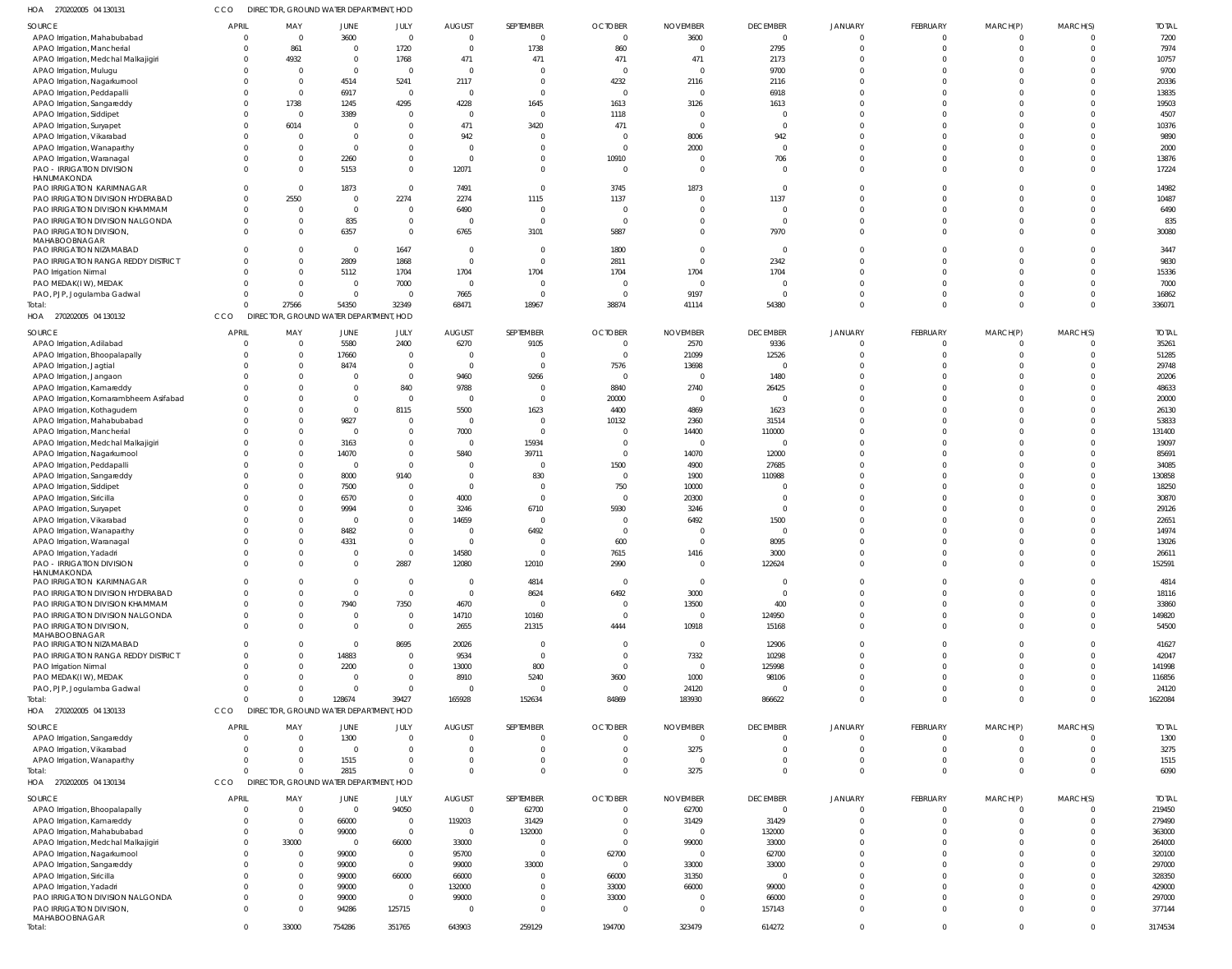| HOA<br>270202005 04 130131                                           |              | DIRECTOR, GROUND WATER DEPARTMENT, HOD                         |                  |                         |                         |                                  |                        |                   |                                           |                                  |                      |                      |                                  |                  |
|----------------------------------------------------------------------|--------------|----------------------------------------------------------------|------------------|-------------------------|-------------------------|----------------------------------|------------------------|-------------------|-------------------------------------------|----------------------------------|----------------------|----------------------|----------------------------------|------------------|
| SOURCE                                                               | <b>APRIL</b> | MAY                                                            | <b>JUNE</b>      | JULY                    | <b>AUGUST</b>           | SEPTEMBER                        | <b>OCTOBER</b>         | <b>NOVEMBER</b>   | <b>DECEMBER</b>                           | <b>JANUARY</b>                   | <b>FEBRUARY</b>      | MARCH(P)             | MARCH(S)                         | <b>TOTAL</b>     |
| APAO Irrigation, Mahabubabad                                         |              | $\overline{0}$<br>$\overline{0}$                               | 3600             | $\overline{0}$          | $\Omega$                | $\overline{0}$                   | $\Omega$               | 3600              | $\overline{\phantom{0}}$                  | $\overline{0}$                   | $\Omega$             | $\Omega$             | $\overline{0}$                   | 7200             |
| APAO Irrigation, Mancherial                                          |              | 861<br>$\Omega$                                                | $\Omega$         | 1720                    | $\Omega$                | 1738                             | 860                    | $\Omega$          | 2795                                      | $\overline{0}$                   | $\Omega$             | $\Omega$             | $\overline{0}$                   | 7974             |
| APAO Irrigation, Medchal Malkajigiri                                 |              | 4932<br>$\Omega$                                               | $\Omega$         | 1768                    | 471                     | 471                              | 471                    | 471               | 2173                                      | $\Omega$                         | - 0                  | $\Omega$             | $\Omega$                         | 10757            |
| APAO Irrigation, Mulugu                                              |              | $\overline{0}$<br>$\Omega$                                     | $\Omega$         | $\Omega$                | $\Omega$                | 0                                | $\Omega$               | - 0               | 9700                                      | $\overline{0}$                   | $\Omega$             | $\Omega$             | $\Omega$                         | 9700             |
| APAO Irrigation, Nagarkurnool                                        |              | $\Omega$<br>$\overline{0}$                                     | 4514             | 5241                    | 2117                    | $\mathbf 0$                      | 4232                   | 2116              | 2116                                      | $\Omega$                         | $\Omega$             | $\Omega$             | $\Omega$                         | 20336            |
| APAO Irrigation, Peddapalli                                          |              | $\Omega$<br>$\overline{0}$                                     | 6917             | $\Omega$                | $\Omega$                | $\mathbf 0$                      | $\overline{0}$         | - 0               | 6918                                      | $\Omega$                         | $\cap$               | $\cap$               | $\Omega$                         | 13835            |
| APAO Irrigation, Sangareddy                                          |              | 1738<br>$\Omega$                                               | 1245             | 4295                    | 4228                    | 1645                             | 1613                   | 3126              | 1613                                      | $\Omega$<br>$\Omega$             | $\Omega$<br>$\cap$   | $\Omega$<br>$\Omega$ | $\Omega$<br>$\Omega$             | 19503            |
| APAO Irrigation, Siddipet<br>APAO Irrigation, Suryapet               |              | $\overline{0}$<br>$\Omega$<br>6014<br>$\Omega$                 | 3389<br>$\Omega$ |                         | $\Omega$<br>471         | $\overline{0}$<br>3420           | 1118<br>471            | $\Omega$          | $\overline{0}$<br>$\overline{0}$          | $\Omega$                         | $\Omega$             | $\Omega$             | $\Omega$                         | 4507<br>10376    |
| APAO Irrigation, Vikarabad                                           |              | $\overline{0}$<br>$\Omega$                                     | $\Omega$         |                         | 942                     | $\Omega$                         | $\Omega$               | 8006              | 942                                       | $\Omega$                         |                      | $\cap$               | $\Omega$                         | 9890             |
| APAO Irrigation, Wanaparthy                                          |              | $\Omega$<br>$\mathbf 0$                                        | $\Omega$         |                         | $\Omega$                | $\mathbf 0$                      | $\Omega$               | 2000              | $\overline{0}$                            | $\Omega$                         | $\Omega$             | $\Omega$             | $\Omega$                         | 2000             |
| APAO Irrigation, Waranagal                                           |              | $\Omega$<br>0                                                  | 2260             | $\Omega$                | $\Omega$                | $\Omega$                         | 10910                  |                   | 706                                       | $\Omega$                         | $\Omega$             | $\Omega$             | $\overline{0}$                   | 13876            |
| <b>PAO - IRRIGATION DIVISION</b>                                     |              | $\Omega$<br>$\Omega$                                           | 5153             | $\Omega$                | 12071                   | $\mathbf 0$                      | $\overline{0}$         | $\Omega$          | $\overline{\mathbf{0}}$                   | $\Omega$                         | $\Omega$             | $\Omega$             | $\Omega$                         | 17224            |
| HANUMAKONDA                                                          |              |                                                                |                  |                         |                         |                                  |                        |                   |                                           |                                  |                      |                      |                                  |                  |
| PAO IRRIGATION KARIMNAGAR                                            |              | $\Omega$<br>$\overline{0}$                                     | 1873             | $\Omega$                | 7491                    | $\overline{0}$                   | 3745                   | 1873              | $\overline{0}$                            | $\overline{0}$                   |                      | $\Omega$             | $\overline{0}$                   | 14982            |
| PAO IRRIGATION DIVISION HYDERABAD                                    |              | 2550<br>$\Omega$                                               | $\Omega$         | 2274                    | 2274                    | 1115                             | 1137                   |                   | 1137                                      | $\Omega$                         | $\Omega$             | $\Omega$             | $\Omega$                         | 10487            |
| PAO IRRIGATION DIVISION KHAMMAM                                      |              | $\mathbf{0}$<br>$\overline{0}$                                 | $\Omega$         | $\Omega$                | 6490                    | $\overline{0}$                   | $\Omega$               |                   | $\overline{0}$                            | $\overline{0}$                   | $\Omega$             | $\Omega$             | $\overline{0}$                   | 6490             |
| PAO IRRIGATION DIVISION NALGONDA                                     |              | $\mathbf{0}$<br>0<br>$\Omega$                                  | 835              | $\Omega$                | $\Omega$                | $\overline{0}$                   | $\overline{0}$         |                   | $\overline{0}$                            | $\Omega$<br>$\Omega$             | $\Omega$<br>$\Omega$ | $\Omega$<br>$\Omega$ | $\overline{0}$<br>$\Omega$       | 835              |
| PAO IRRIGATION DIVISION,<br>MAHABOOBNAGAR                            |              | $\Omega$                                                       | 6357             |                         | 6765                    | 3101                             | 5887                   |                   | 7970                                      |                                  |                      |                      |                                  | 30080            |
| PAO IRRIGATION NIZAMABAD                                             |              | $\Omega$<br>0                                                  | $\Omega$         | 1647                    | $\overline{\mathbf{0}}$ | $\overline{0}$                   | 1800                   |                   | $\overline{0}$                            | $\overline{0}$                   | $\Omega$             | $\Omega$             | $\overline{0}$                   | 3447             |
| PAO IRRIGATION RANGA REDDY DISTRICT                                  |              | $\Omega$<br>$\Omega$                                           | 2809             | 1868                    | $\Omega$                | $\overline{0}$                   | 2811                   | $\Omega$          | 2342                                      | $\Omega$                         | $\Omega$             | $\Omega$             | $\Omega$                         | 9830             |
| PAO Irrigation Nirmal                                                |              | $\Omega$<br>0                                                  | 5112             | 1704                    | 1704                    | 1704                             | 1704                   | 1704              | 1704                                      | $\Omega$                         | $\Omega$             | $\Omega$             | $\overline{0}$                   | 15336            |
| PAO MEDAK(IW), MEDAK                                                 |              | $\Omega$<br>$\Omega$                                           | $\Omega$         | 7000                    | $\Omega$                | $\overline{0}$                   | $\Omega$               | - 0               | $\Omega$                                  | $\Omega$                         | $\Omega$             | $\Omega$             | $\Omega$                         | 7000             |
| PAO, PJP, Jogulamba Gadwal                                           |              | $\Omega$<br>$\overline{0}$                                     | $\Omega$         | $\Omega$                | 7665                    | $\overline{0}$                   | $\overline{0}$         | 9197              | $\overline{0}$                            | $\overline{0}$                   | $\Omega$             | $\Omega$             | $\overline{0}$                   | 16862            |
| Total:                                                               |              | 27566<br>$\Omega$                                              | 54350            | 32349                   | 68471                   | 18967                            | 38874                  | 41114             | 54380                                     | $\Omega$                         | $\Omega$             | $\Omega$             | $\Omega$                         | 336071           |
| HOA<br>270202005 04 130132                                           | CCO          | DIRECTOR, GROUND WATER DEPARTMENT, HOD                         |                  |                         |                         |                                  |                        |                   |                                           |                                  |                      |                      |                                  |                  |
| SOURCE                                                               | APRIL        | MAY                                                            | JUNE             | JULY                    | <b>AUGUST</b>           | SEPTEMBER                        | <b>OCTOBER</b>         | <b>NOVEMBER</b>   | <b>DECEMBER</b>                           | <b>JANUARY</b>                   | FEBRUARY             | MARCH(P)             | MARCH(S)                         | <b>TOTAL</b>     |
| APAO Irrigation, Adilabad                                            |              | $\overline{0}$<br>$\overline{0}$                               | 5580             | 2400                    | 6270                    | 9105                             | $\Omega$               | 2570              | 9336                                      | $\overline{0}$                   | $\Omega$             | $\Omega$             | $\overline{0}$                   | 35261            |
| APAO Irrigation, Bhoopalapally                                       |              | $\overline{0}$<br>0                                            | 17660            |                         | - 0                     | $\overline{0}$                   | $\Omega$               | 21099             | 12526                                     | $\overline{0}$                   | $\Omega$             | $\Omega$             | $\overline{0}$                   | 51285            |
| APAO Irrigation, Jagtial                                             |              | $\Omega$<br>0                                                  | 8474             | $\Omega$                | $\Omega$                | $\mathbf{0}$                     | 7576                   | 13698             | $\overline{0}$                            | $\overline{0}$                   | $\Omega$             | $\Omega$             | $\overline{0}$                   | 29748            |
| APAO Irrigation, Jangaon                                             |              | $\Omega$<br>0                                                  |                  | $\Omega$                | 9460                    | 9266                             | $\Omega$               | - 0               | 1480                                      | $\Omega$                         | $\Omega$             | $\Omega$             | $\overline{0}$                   | 20206            |
| APAO Irrigation, Kamareddy                                           |              | $\Omega$<br>$\Omega$                                           |                  | 840                     | 9788                    | $\overline{0}$                   | 8840                   | 2740              | 26425                                     | $\Omega$                         | $\Omega$             | $\Omega$             | $\overline{0}$                   | 48633            |
| APAO Irrigation, Komarambheem Asifabad                               |              | $\mathbf{0}$<br>$\Omega$                                       |                  | $\mathbf{0}$            | $\Omega$                | $\mathbf{0}$                     | 20000                  | - 0               | $\overline{0}$                            | $\Omega$                         | $\Omega$             | $\Omega$             | $\overline{0}$                   | 20000            |
| APAO Irrigation, Kothagudem                                          |              | $\Omega$<br>$\Omega$                                           | - 0              | 8115                    | 5500                    | 1623                             | 4400                   | 4869              | 1623                                      | $\Omega$                         | $\Omega$             | $\Omega$             | $\overline{0}$                   | 26130            |
| APAO Irrigation, Mahabubabad                                         |              | $\Omega$<br>$\Omega$                                           | 9827             |                         | $\Omega$                | $\overline{0}$                   | 10132                  | 2360              | 31514                                     | $\Omega$                         | $\Omega$             | $\Omega$             | $\overline{0}$                   | 53833            |
| APAO Irrigation, Mancherial                                          |              | $\Omega$<br>$\Omega$                                           | $\Omega$         | <sup>0</sup>            | 7000                    | $\overline{0}$                   | - 0                    | 14400             | 110000                                    | $\Omega$                         | $\Omega$             | $\Omega$             | $\overline{0}$                   | 131400           |
| APAO Irrigation, Medchal Malkajigiri                                 |              | $\Omega$<br>0                                                  | 3163             |                         | $\Omega$                | 15934                            | $\Omega$               | $\Omega$          | $\overline{0}$                            | $\Omega$                         | $\Omega$             | $\Omega$             | $\overline{0}$                   | 19097            |
| APAO Irrigation, Nagarkurnool                                        |              | $\Omega$<br>0                                                  | 14070            | 0                       | 5840                    | 39711                            | $\Omega$               | 14070             | 12000                                     | $\Omega$                         | $\Omega$             | $\Omega$             | $\Omega$                         | 85691            |
| APAO Irrigation, Peddapalli                                          |              | $\Omega$<br>0                                                  | $\Omega$         | $\Omega$                | - 0                     | $\overline{0}$                   | 1500                   | 4900              | 27685                                     | $\Omega$                         | $\Omega$<br>$\Omega$ | $\Omega$<br>$\Omega$ | $\overline{0}$                   | 34085            |
| APAO Irrigation, Sangareddy                                          |              | $\Omega$<br>$\Omega$<br>$\Omega$<br>0                          | 8000<br>7500     | 9140                    | $\Omega$<br>$\Omega$    | 830<br>$\overline{0}$            | $\Omega$<br>750        | 1900<br>10000     | 110988<br>$\Omega$                        | $\Omega$<br>$\Omega$             | $\Omega$             | $\cap$               | $\Omega$<br>$\overline{0}$       | 130858<br>18250  |
| APAO Irrigation, Siddipet<br>APAO Irrigation, Siricilla              |              | $\Omega$<br>0                                                  | 6570             | $\Omega$                | 4000                    | $\mathbf{0}$                     | $\Omega$               | 20300             | $\overline{\mathbf{0}}$                   | $\Omega$                         | $\Omega$             | $\Omega$             | $\overline{0}$                   | 30870            |
| APAO Irrigation, Suryapet                                            |              | $\Omega$<br>$\Omega$                                           | 9994             | 0                       | 3246                    | 6710                             | 5930                   | 3246              | $\overline{0}$                            | $\Omega$                         | $\Omega$             | $\cap$               | $\overline{0}$                   | 29126            |
| APAO Irrigation, Vikarabad                                           |              | $\Omega$<br>-0                                                 | - 0              |                         | 14659                   | $\overline{0}$                   | - 0                    | 6492              | 1500                                      | $\Omega$                         | $\Omega$             |                      | $\overline{0}$                   | 22651            |
| APAO Irrigation, Wanaparthy                                          |              | $\Omega$<br>-0                                                 | 8482             |                         | - 0                     | 6492                             | - 0                    |                   | $\overline{0}$                            | $\Omega$                         | $\cap$               |                      | $\Omega$                         | 14974            |
| APAO Irrigation, Waranagal                                           |              | $\Omega$<br>$\Omega$                                           | 4331             |                         | $\Omega$                | $\mathbf 0$                      | 600                    |                   | 8095                                      | $\Omega$                         |                      |                      | $\Omega$                         | 13026            |
| APAO Irrigation, Yadadri                                             |              | $\Omega$<br>$\Omega$                                           | $\Omega$         |                         | 14580                   | $\Omega$                         | 7615                   | 1416              | 3000                                      | $\Omega$                         |                      |                      | $\cap$                           | 26611            |
| <b>PAO - IRRIGATION DIVISION</b>                                     |              | $\overline{0}$<br>$\overline{0}$                               | $\Omega$         | 2887                    | 12080                   | 12010                            | 2990                   | $\Omega$          | 122624                                    | $\overline{0}$                   | $\Omega$             | $\Omega$             | $\overline{0}$                   | 152591           |
| HANUMAKONDA                                                          |              |                                                                |                  |                         |                         |                                  |                        |                   |                                           |                                  |                      |                      |                                  |                  |
| PAO IRRIGATION KARIMNAGAR                                            |              | $\mathbf{0}$<br>0<br>$\Omega$<br>$\Omega$                      | - 0              | $\mathbf 0$<br>$\Omega$ | $\Omega$<br>$\Omega$    | 4814                             | $\overline{0}$<br>6492 | $\Omega$          | $\overline{\mathbf{0}}$<br>$\overline{0}$ | $\overline{0}$<br>$\overline{0}$ | $\Omega$<br>$\Omega$ | $\Omega$<br>$\Omega$ | $\overline{0}$<br>$\Omega$       | 4814             |
| PAO IRRIGATION DIVISION HYDERABAD<br>PAO IRRIGATION DIVISION KHAMMAM |              | $\mathbf{0}$<br>0                                              | 7940             | 7350                    | 4670                    | 8624<br>$\overline{0}$           | $\Omega$               | 3000<br>13500     | 400                                       | $\overline{0}$                   | $\Omega$             | $\Omega$             | $\overline{0}$                   | 18116<br>33860   |
| PAO IRRIGATION DIVISION NALGONDA                                     |              | $\mathbf{0}$<br>0                                              | - 0              | $\mathbf 0$             | 14710                   | 10160                            | $\Omega$               | $\Omega$          | 124950                                    | $\overline{0}$                   | $\Omega$             | $\Omega$             | $\overline{0}$                   | 149820           |
| PAO IRRIGATION DIVISION,                                             |              | $\Omega$<br>$\Omega$                                           | $\Omega$         | $\mathbf 0$             | 2655                    | 21315                            | 4444                   | 10918             | 15168                                     | $\Omega$                         | $\Omega$             | $\Omega$             | $\Omega$                         | 54500            |
| MAHABOOBNAGAR                                                        |              |                                                                |                  |                         |                         |                                  |                        |                   |                                           |                                  |                      |                      |                                  |                  |
| PAO IRRIGATION NIZAMABAD                                             |              | $\Omega$<br>$\Omega$                                           | $\Omega$         | 8695                    | 20026                   | $\overline{0}$                   | $\Omega$               | $\Omega$          | 12906                                     | $\overline{0}$                   | $\Omega$             | $\Omega$             | $\Omega$                         | 41627            |
| PAO IRRIGATION RANGA REDDY DISTRICT                                  |              | $\mathbf{0}$<br>$\Omega$                                       | 14883            |                         | 9534                    | $\overline{0}$                   | $\Omega$               | 7332              | 10298                                     | $\overline{0}$                   | $\Omega$             | $\Omega$             | $\overline{0}$                   | 42047            |
| PAO Irrigation Nirmal                                                |              | $\Omega$<br>-0                                                 | 2200             | 0                       | 13000                   | 800                              | - 0                    | $\Omega$          | 125998                                    | $\overline{0}$                   | $\Omega$             | $\Omega$             | $\overline{0}$                   | 141998           |
| PAO MEDAK(IW), MEDAK                                                 |              | $\Omega$<br>0                                                  | - 0              | $\mathbf 0$             | 8910                    | 5240                             | 3600                   | 1000              | 98106                                     | $\overline{0}$                   | $\Omega$             | $\Omega$             | $\overline{0}$                   | 116856           |
| PAO, PJP, Jogulamba Gadwal                                           |              | $\Omega$<br>$\Omega$                                           | $\Omega$         | $\Omega$                | - 0                     | $\overline{0}$                   | $\Omega$               | 24120             | $\overline{0}$                            | $\overline{0}$                   | $\Omega$             | $\Omega$             | $\overline{0}$                   | 24120            |
| Total:<br>HOA 270202005 04 130133                                    | CCO          | $\Omega$<br>$\Omega$<br>DIRECTOR, GROUND WATER DEPARTMENT, HOD | 128674           | 39427                   | 165928                  | 152634                           | 84869                  | 183930            | 866622                                    | $\overline{0}$                   | $\Omega$             | $\Omega$             | $\overline{0}$                   | 1622084          |
|                                                                      |              |                                                                |                  |                         |                         |                                  |                        |                   |                                           |                                  |                      |                      |                                  |                  |
| SOURCE                                                               | APRIL        | MAY                                                            | JUNE             | JULY                    | <b>AUGUST</b>           | SEPTEMBER                        | <b>OCTOBER</b>         | <b>NOVEMBER</b>   | <b>DECEMBER</b>                           | <b>JANUARY</b>                   | <b>FEBRUARY</b>      | MARCH(P)             | MARCH(S)                         | <b>TOTAL</b>     |
| APAO Irrigation, Sangareddy                                          |              | $\Omega$<br>$\overline{0}$                                     | 1300             | $\Omega$                | - 0                     | 0                                |                        | $\Omega$          | $\overline{0}$                            | $\overline{0}$                   | $\Omega$             | - 0                  | $\Omega$                         | 1300             |
| APAO Irrigation, Vikarabad                                           |              | $\Omega$<br>$\overline{0}$<br>$\Omega$<br>$\Omega$             | $\Omega$         | $\Omega$<br>$\Omega$    | $\Omega$<br>$\cap$      | $\mathbf 0$<br>$\mathbf 0$       | $\Omega$<br>$\Omega$   | 3275<br>- 0       | $\overline{0}$<br>$\overline{0}$          | $\Omega$<br>$\overline{0}$       | $\Omega$<br>$\Omega$ | $\Omega$<br>$\Omega$ | $\overline{0}$<br>$\overline{0}$ | 3275             |
| APAO Irrigation, Wanaparthy<br>Total:                                |              | $\Omega$<br>$\Omega$                                           | 1515<br>2815     | $\Omega$                | $\Omega$                | $\mathbf 0$                      | $\Omega$               | 3275              | $\Omega$                                  | $\Omega$                         | $\Omega$             | $\Omega$             | $\overline{0}$                   | 1515<br>6090     |
| HOA 270202005 04 130134                                              | CCO          | DIRECTOR, GROUND WATER DEPARTMENT, HOD                         |                  |                         |                         |                                  |                        |                   |                                           |                                  |                      |                      |                                  |                  |
|                                                                      |              |                                                                |                  |                         |                         |                                  |                        |                   |                                           |                                  |                      |                      |                                  |                  |
| SOURCE                                                               | APRIL        | MAY                                                            | JUNE             | JULY                    | <b>AUGUST</b>           | SEPTEMBER                        | <b>OCTOBER</b>         | <b>NOVEMBER</b>   | <b>DECEMBER</b>                           | <b>JANUARY</b>                   | <b>FEBRUARY</b>      | MARCH(P)             | MARCH(S)                         | <b>TOTAL</b>     |
| APAO Irrigation, Bhoopalapally                                       |              | $\overline{0}$<br>- 0                                          | $\Omega$         | 94050                   | $\Omega$                | 62700                            |                        | 62700             | $\overline{0}$                            | $\circ$                          | $\Omega$             | $\Omega$             | $\circ$                          | 219450           |
| APAO Irrigation, Kamareddy                                           |              | $\overline{0}$<br>$\overline{0}$                               | 66000            | $\mathbf 0$             | 119203                  | 31429                            |                        | 31429             | 31429                                     | $\overline{0}$                   | $\Omega$             | $\Omega$             | $\overline{0}$                   | 279490           |
| APAO Irrigation, Mahabubabad                                         |              | $\mathbf{0}$<br>$\overline{0}$                                 | 99000            | $\mathbf 0$             | $\Omega$                | 132000                           |                        | $\Omega$          | 132000                                    | $\circ$                          | $\Omega$             | $\Omega$             | $\overline{0}$                   | 363000           |
| APAO Irrigation, Medchal Malkajigiri                                 |              | 33000<br>$\overline{0}$<br>$\mathbf{0}$                        | $\Omega$         | 66000<br>$\mathbf{0}$   | 33000                   | $\overline{0}$<br>$\overline{0}$ | - 0<br>62700           | 99000<br>$\Omega$ | 33000                                     | $\overline{0}$<br>$\Omega$       | $\Omega$<br>$\Omega$ | $\Omega$<br>$\Omega$ | $\overline{0}$<br>$\overline{0}$ | 264000           |
| APAO Irrigation, Nagarkurnool                                        |              | - 0<br>$\mathbf{0}$<br>$\overline{0}$                          | 99000<br>99000   | $\mathbf 0$             | 95700<br>99000          | 33000                            | $\Omega$               | 33000             | 62700<br>33000                            | $\Omega$                         | $\Omega$             | $\cap$               | $\overline{0}$                   | 320100<br>297000 |
| APAO Irrigation, Sangareddy<br>APAO Irrigation, Siricilla            |              | $\Omega$<br>0                                                  | 99000            | 66000                   | 66000                   | $\overline{0}$                   | 66000                  | 31350             | $\overline{0}$                            | $\Omega$                         | $\cap$               | $\cap$               | $\overline{0}$                   | 328350           |
| APAO Irrigation, Yadadri                                             |              | $\Omega$<br>0                                                  | 99000            | $\mathbf{0}$            | 132000                  | $\mathbf 0$                      | 33000                  | 66000             | 99000                                     | $\Omega$                         | $\Omega$             | $\Omega$             | $\overline{0}$                   | 429000           |
| PAO IRRIGATION DIVISION NALGONDA                                     |              | $\mathbf{0}$<br>0                                              | 99000            | $\mathbf 0$             | 99000                   | $\overline{0}$                   | 33000                  |                   | 66000                                     | $\overline{0}$                   | $\Omega$             | $\Omega$             | $\overline{0}$                   | 297000           |
| PAO IRRIGATION DIVISION,                                             |              | $\overline{0}$<br>$\Omega$                                     | 94286            | 125715                  | - 0                     | $\mathbf{0}$                     | - 0                    |                   | 157143                                    | $\overline{0}$                   | $\Omega$             | $\Omega$             | $\overline{0}$                   | 377144           |
| MAHABOOBNAGAR                                                        |              |                                                                |                  |                         |                         |                                  |                        |                   |                                           |                                  |                      |                      |                                  |                  |
| Total:                                                               |              | $\overline{0}$<br>33000                                        | 754286           | 351765                  | 643903                  | 259129                           | 194700                 | 323479            | 614272                                    | $\overline{0}$                   | $\Omega$             | $\Omega$             | $\overline{0}$                   | 3174534          |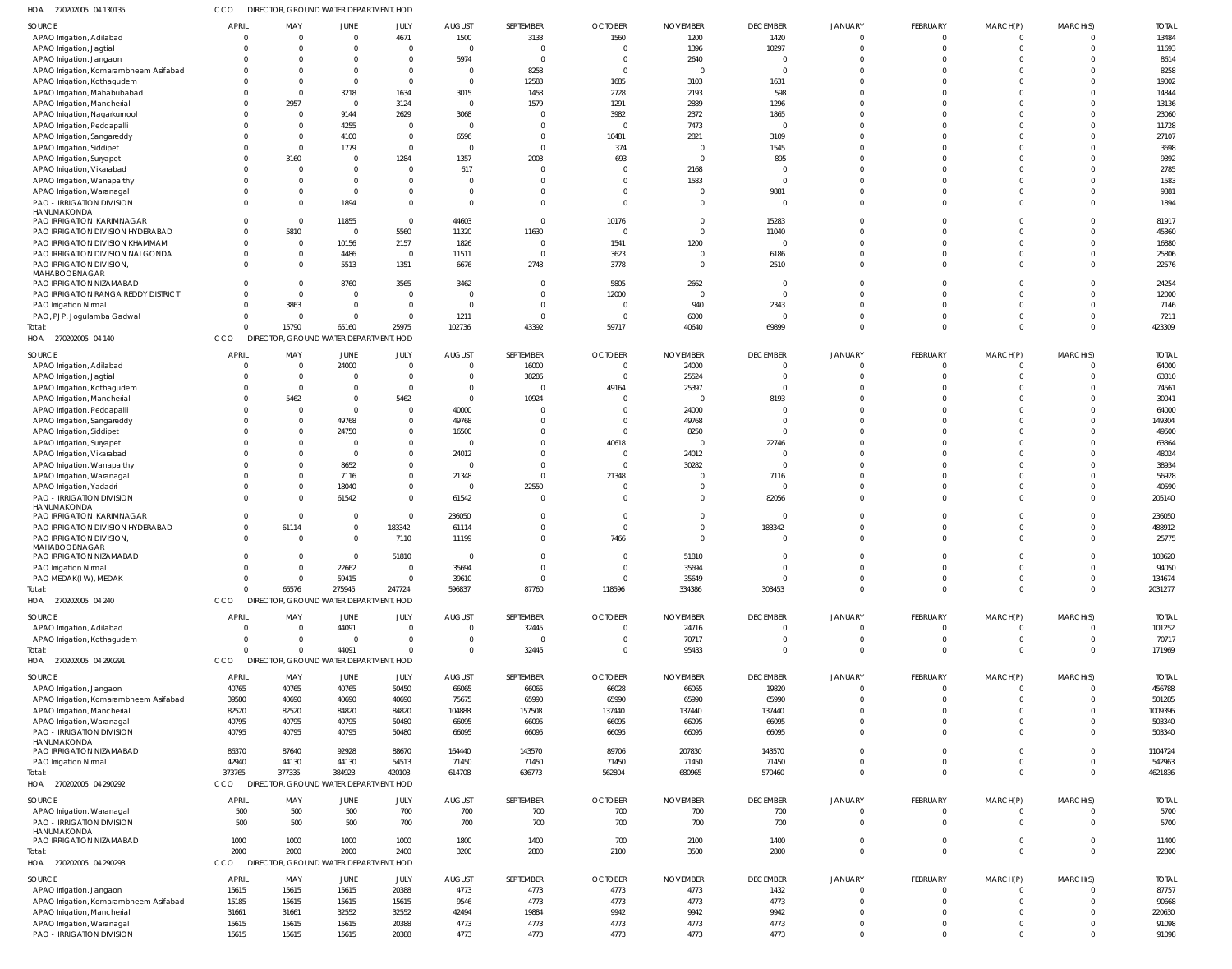| HOA<br>270202005 04 130135                      | cco          | DIRECTOR, GROUND WATER DEPARTMENT, HOD |                      |                |                |           |                         |                            |                   |                |                      |                      |                |              |
|-------------------------------------------------|--------------|----------------------------------------|----------------------|----------------|----------------|-----------|-------------------------|----------------------------|-------------------|----------------|----------------------|----------------------|----------------|--------------|
| SOURCE                                          | <b>APRIL</b> | MAY                                    | <b>JUNE</b>          | JULY           | <b>AUGUST</b>  | SEPTEMBER | <b>OCTOBER</b>          | <b>NOVEMBER</b>            | <b>DECEMBER</b>   | <b>JANUARY</b> | <b>FEBRUARY</b>      | MARCH(P)             | MARCH(S)       | <b>TOTAL</b> |
| APAO Irrigation, Adilabad                       | $\Omega$     | $\Omega$                               | $\Omega$             | 4671           | 1500           | 3133      | 1560                    | 1200                       | 1420              |                | $\mathbf 0$          | $^{\circ}$           | $\overline{0}$ | 13484        |
| APAO Irrigation, Jagtial                        | $\Omega$     | $\Omega$                               | $\Omega$             | $\overline{0}$ | $\overline{0}$ | $\Omega$  | $\overline{0}$          | 1396                       | 10297             | $\Omega$       | $\mathbf 0$          | $\mathbf 0$          | $\overline{0}$ | 11693        |
| APAO Irrigation, Jangaor                        | $\Omega$     | $\Omega$                               |                      | $\overline{0}$ | 5974           | $\Omega$  | $\overline{0}$          | 2640                       | - 0               |                |                      |                      | $\Omega$       | 8614         |
| APAO Irrigation, Komarambheem Asifabad          | $\Omega$     | $\Omega$                               | $\Omega$             | $\overline{0}$ | $\overline{0}$ | 8258      | $\overline{0}$          | $\overline{\phantom{0}}$   | $\Omega$          | $\Omega$       | $\Omega$             | $\Omega$             | $\Omega$       | 8258         |
| APAO Irrigation, Kothagudem                     |              | $\Omega$<br>$\Omega$                   | $\mathbf 0$          | $\overline{0}$ | $\overline{0}$ | 12583     | 1685                    | 3103                       | 1631              |                | $\Omega$             |                      | $\Omega$       | 19002        |
| APAO Irrigation, Mahabubabad                    |              | $\Omega$<br>$\Omega$                   | 3218                 | 1634           | 3015           | 1458      | 2728                    | 2193                       | 598               |                | $\Omega$             | $\Omega$             | $\Omega$       | 14844        |
| APAO Irrigation, Mancherial                     |              | 2957<br>$\Omega$                       | $\mathbf 0$          | 3124           | $\overline{0}$ | 1579      | 1291                    | 2889                       | 1296              |                | $\Omega$             |                      | $\Omega$       | 13136        |
| APAO Irrigation, Nagarkurnoo                    |              | $\mathbf 0$<br>$\Omega$                | 9144                 | 2629           | 3068           |           | 3982                    | 2372                       | 1865              |                | $\Omega$             | $\Omega$             | $\Omega$       | 23060        |
| APAO Irrigation, Peddapalli                     |              | $\Omega$<br>$\Omega$                   | 4255                 | $\overline{0}$ | $\overline{0}$ |           | $\overline{0}$          | 7473                       | $\Omega$          |                | $\Omega$             |                      | $\Omega$       | 11728        |
| APAO Irrigation, Sangareddy                     |              | $\Omega$<br>$\Omega$                   | 4100                 | $\overline{0}$ | 6596           |           | 10481                   | 2821                       | 3109              |                | $\Omega$             | $\Omega$             | $\Omega$       | 27107        |
| APAO Irrigation, Siddipet                       |              | $\overline{0}$<br>$\Omega$             | 1779                 | $\overline{0}$ | $\overline{0}$ | $\Omega$  | 374                     | $\overline{\phantom{0}}$   | 1545              |                | $\Omega$             |                      | $\Omega$       | 3698         |
| APAO Irrigation, Suryapet                       |              | 3160<br>$^{\circ}$                     | $\Omega$             | 1284           | 1357           | 2003      | 693                     | $\overline{\phantom{0}}$   | 895               | $\Omega$       | $\Omega$             | $\Omega$             | $\Omega$       | 9392         |
| APAO Irrigation, Vikarabad                      | $\Omega$     | $\Omega$                               |                      | $\overline{0}$ | 617            |           | $\overline{0}$          | 2168                       | $\Omega$          |                | $\Omega$             | $\Omega$             | $\Omega$       | 2785         |
| APAO Irrigation, Wanaparthy                     |              | $\Omega$<br>$\Omega$                   | $\Omega$             | $\overline{0}$ | $\overline{0}$ |           | $\Omega$                | 1583                       | $\Omega$          | $\cap$         | $\Omega$             | $\Omega$             | $\Omega$       | 1583         |
| APAO Irrigation, Waranagal                      |              | $\Omega$<br>$\Omega$                   | $\mathbf 0$          | $\overline{0}$ | $\overline{0}$ |           | $^{\circ}$              | $\overline{0}$             | 9881              | $\Omega$       | $\Omega$             | $\Omega$             | $\Omega$       | 9881         |
| PAO - IRRIGATION DIVISION                       |              | $\Omega$<br>$\Omega$                   | 1894                 | $\overline{0}$ | $\Omega$       |           | $\Omega$                | $\Omega$                   | - 0               | $\Omega$       | $\Omega$             | $\Omega$             | $\Omega$       | 1894         |
| HANUMAKONDA                                     |              | $\overline{0}$                         |                      | $\overline{0}$ |                | $\Omega$  | 10176                   | $\overline{0}$             |                   |                | $\Omega$             |                      | $\Omega$       |              |
| PAO IRRIGATION KARIMNAGAR                       |              | $^{\circ}$                             | 11855<br>$\mathbf 0$ |                | 44603          |           | $^{\circ}$              | $\Omega$                   | 15283             | $\Omega$       | $\Omega$             | $\Omega$             | $\Omega$       | 81917        |
| PAO IRRIGATION DIVISION HYDERABAD               |              | 5810<br>$\mathbf 0$                    |                      | 5560           | 11320          | 11630     |                         |                            | 11040<br>$\Omega$ |                |                      |                      | $\Omega$       | 45360        |
| PAO IRRIGATION DIVISION KHAMMAM                 |              | $\mathbf 0$<br>$\Omega$                | 10156                | 2157           | 1826           | $\Omega$  | 1541                    | 1200                       |                   |                | $\Omega$             | $\Omega$<br>$\Omega$ | $\Omega$       | 16880        |
| PAO IRRIGATION DIVISION NALGONDA                |              | $\Omega$<br>$\Omega$                   | 4486                 | $\overline{0}$ | 11511          | $\Omega$  | 3623                    | $\overline{0}$             | 6186              | $\Omega$       | $\Omega$             |                      | $\Omega$       | 25806        |
| PAO IRRIGATION DIVISION,<br>MAHABOOBNAGAR       |              | $\Omega$<br>$\Omega$                   | 5513                 | 1351           | 6676           | 2748      | 3778                    | $\overline{\phantom{0}}$   | 2510              |                | $\Omega$             | $\Omega$             |                | 22576        |
| PAO IRRIGATION NIZAMABAD                        |              | $\Omega$<br>$\Omega$                   | 8760                 | 3565           | 3462           | - 0       | 5805                    | 2662                       | - 0               | $\Omega$       | $\Omega$             | $\Omega$             | $\Omega$       | 24254        |
| PAO IRRIGATION RANGA REDDY DISTRICT             |              | $\Omega$<br>$\Omega$                   | $\mathbf 0$          | $\overline{0}$ | $\overline{0}$ |           | 12000                   | $\overline{0}$             | $\Omega$          | $\Omega$       |                      | $\Omega$             | $\Omega$       | 12000        |
| PAO Irrigation Nirmal                           |              | 3863<br>$^{\circ}$                     | $\Omega$             | $\overline{0}$ | $\overline{0}$ | $\Omega$  | $\overline{0}$          | 940                        | 2343              | $\Omega$       | $\Omega$             | $\Omega$             | $\Omega$       | 7146         |
| PAO, PJP, Jogulamba Gadwal                      |              | $\mathbf 0$<br>$\Omega$                | $\mathbf 0$          | $\overline{0}$ | 1211           | $\Omega$  | $\overline{0}$          | 6000                       | $\Omega$          | $\Omega$       | $\Omega$             | $\Omega$             | $\Omega$       | 7211         |
| Total:                                          |              | 15790<br>$\Omega$                      | 65160                | 25975          | 102736         | 43392     | 59717                   | 40640                      | 69899             | $\Omega$       | $\Omega$             | $\Omega$             | $\Omega$       | 423309       |
| 270202005 04 140<br>HOA                         | CCO          | DIRECTOR, GROUND WATER DEPARTMENT, HOD |                      |                |                |           |                         |                            |                   |                |                      |                      |                |              |
|                                                 |              |                                        |                      |                |                |           |                         |                            |                   |                |                      |                      |                |              |
| SOURCE                                          | <b>APRIL</b> | MAY                                    | <b>JUNE</b>          | JULY           | <b>AUGUST</b>  | SEPTEMBER | <b>OCTOBER</b>          | <b>NOVEMBER</b>            | <b>DECEMBER</b>   | <b>JANUARY</b> | <b>FEBRUARY</b>      | MARCH(P)             | MARCH(S)       | <b>TOTAL</b> |
| APAO Irrigation, Adilabad                       |              | $\mathbf 0$<br>$\Omega$                | 24000                | $\overline{0}$ | $\overline{0}$ | 16000     | $\overline{0}$          | 24000                      | $\Omega$          | $\cap$         | $\mathbf 0$          | -0                   | $\overline{0}$ | 64000        |
| APAO Irrigation, Jagtial                        |              | $\overline{0}$<br>$^{\circ}$           | 0                    | $\overline{0}$ | $\overline{0}$ | 38286     | $\overline{0}$          | 25524                      | $\Omega$          |                | $\Omega$             | $\Omega$             | $\Omega$       | 63810        |
| APAO Irrigation, Kothagudem                     |              | $\Omega$<br>$^{\circ}$                 | $\Omega$             | $\overline{0}$ | $\overline{0}$ | - 0       | 49164                   | 25397                      | $\Omega$          | $\cap$         | $\Omega$             | $\Omega$             | $\Omega$       | 74561        |
| APAO Irrigation, Mancherial                     |              | 5462<br>$^{\circ}$                     | $\mathbf 0$          | 5462           | $\overline{0}$ | 10924     | $\Omega$                | $\overline{0}$             | 8193              |                | $\Omega$             |                      | $\Omega$       | 30041        |
| APAO Irrigation, Peddapalli                     |              | $\Omega$<br>$^{\circ}$                 | $\Omega$             | $\overline{0}$ | 40000          |           | $\overline{0}$          | 24000                      | $\Omega$          |                | $\Omega$             | $\Omega$             | $\Omega$       | 64000        |
| APAO Irrigation, Sangareddy                     |              | $\Omega$<br>$^{\circ}$                 | 49768                | $\overline{0}$ | 49768          |           | $\overline{0}$          | 49768                      | $\Omega$          |                | $\Omega$             |                      | $\Omega$       | 149304       |
| APAO Irrigation, Siddipet                       | $\Omega$     | $\Omega$                               | 24750                | $\overline{0}$ | 16500          |           | $\overline{0}$          | 8250                       | $\Omega$          |                | $\Omega$             | $\Omega$             | $\Omega$       | 49500        |
| APAO Irrigation, Suryapet                       |              | $\Omega$<br>$\Omega$                   | $\Omega$             | $\mathbf{0}$   | $\overline{0}$ |           | 40618                   | $\overline{0}$             | 22746             |                | $\Omega$             | $\Omega$             | $\Omega$       | 63364        |
| APAO Irrigation, Vikarabad                      | $\Omega$     | $\Omega$                               | $\mathbf 0$          | $\mathbf{0}$   | 24012          |           | $\overline{0}$          | 24012                      | $\Omega$          |                | $\Omega$             | $\Omega$             | $\Omega$       | 48024        |
| APAO Irrigation, Wanaparthy                     |              | $\Omega$<br>$\Omega$                   | 8652                 | $\mathbf{0}$   | $\overline{0}$ |           | $\overline{0}$          | 30282                      | $\Omega$          | $\Omega$       | $\Omega$             | $\Omega$             | $\Omega$       | 38934        |
| APAO Irrigation, Waranagal                      |              | $\Omega$<br>$\Omega$                   | 7116                 | $\mathbf{0}$   | 21348          | $\Omega$  | 21348                   | $\Omega$                   | 7116              |                | $\Omega$             | $\Omega$             | $\Omega$       | 56928        |
| APAO Irrigation, Yadadri                        |              | $\Omega$<br>$\Omega$                   | 18040                | $\mathbf{0}$   | $\overline{0}$ | 22550     | $\overline{0}$          | $\Omega$                   | $\Omega$          |                | $\Omega$             | $\Omega$             | $\Omega$       | 40590        |
| PAO - IRRIGATION DIVISION                       |              | $\Omega$<br>$\Omega$                   | 61542                | $\overline{0}$ | 61542          | $\Omega$  | $\overline{0}$          | $\overline{0}$             | 82056             | $\Omega$       | $\Omega$             | $\Omega$             | $\Omega$       | 205140       |
| HANUMAKONDA<br>PAO IRRIGATION KARIMNAGAR        |              |                                        |                      |                |                |           |                         |                            |                   |                | $\Omega$             |                      | $\Omega$       |              |
|                                                 |              | $\overline{0}$<br>$^{\circ}$           | $\mathbf 0$          | $\overline{0}$ | 236050         |           | $\overline{0}$          | $\overline{0}$             | $\overline{0}$    |                |                      | $\Omega$             |                | 236050       |
| PAO IRRIGATION DIVISION HYDERABAD               |              | 61114<br>$\mathbf 0$                   | $\mathbf 0$          | 183342         | 61114          |           | $\overline{0}$          | $\overline{0}$<br>$\Omega$ | 183342            |                | $\Omega$<br>$\Omega$ | $\Omega$             | $\Omega$       | 488912       |
| PAO IRRIGATION DIVISION,<br>MAHABOOBNAGAR       |              | $\Omega$<br>$\Omega$                   | $\mathbf 0$          | 7110           | 11199          |           | 7466                    |                            | $\Omega$          |                |                      | $\Omega$             | $\Omega$       | 25775        |
| PAO IRRIGATION NIZAMABAD                        |              | $\cap$<br>$\bigcap$                    | $\cap$               | 51810          | $\cap$         |           | $\bigcap$               | 51810                      |                   |                |                      |                      | $\bigcap$      | 103620       |
| PAO Irrigation Nirmal                           | $\Omega$     | $\Omega$                               | 22662                | $\overline{0}$ | 35694          |           | $\overline{0}$          | 35694                      | $\cap$            |                | $\Omega$             | $\Omega$             | $\Omega$       | 94050        |
| PAO MEDAK(IW), MEDAK                            |              | $\mathbf 0$<br>$\Omega$                | 59415                | $\overline{0}$ | 39610          | $\Omega$  | $\overline{0}$          | 35649                      | $\Omega$          | $\Omega$       | $\mathbf 0$          | $\mathbf 0$          | $\Omega$       | 134674       |
| Total:                                          |              | 66576<br>$\Omega$                      | 275945               | 247724         | 596837         | 87760     | 118596                  | 334386                     | 303453            | $\Omega$       | $\Omega$             | $\mathbf 0$          | $\Omega$       | 2031277      |
| HOA 270202005 04 240                            | CCO          | DIRECTOR, GROUND WATER DEPARTMENT, HOD |                      |                |                |           |                         |                            |                   |                |                      |                      |                |              |
|                                                 |              |                                        |                      |                |                |           |                         |                            |                   |                |                      |                      |                |              |
| SOURCE                                          | <b>APRIL</b> | MAY                                    | <b>JUNE</b>          | JULY           | <b>AUGUST</b>  | SEPTEMBER | <b>OCTOBER</b>          | <b>NOVEMBER</b>            | <b>DECEMBER</b>   | <b>JANUARY</b> | <b>FEBRUARY</b>      | MARCH(P)             | MARCH(S)       | <b>TOTAL</b> |
| APAO Irrigation, Adilabad                       |              | $^{\circ}$<br>$\Omega$                 | 44091                | $\overline{0}$ | $\overline{0}$ | 32445     | $\overline{0}$          | 24716                      | - 0               |                | 0                    | -0                   | $\Omega$       | 101252       |
| APAO Irrigation, Kothagudem                     | $\Omega$     | $\Omega$                               | $\mathbf 0$          | $\overline{0}$ | $\overline{0}$ | $\Omega$  | $\overline{0}$          | 70717                      | $\Omega$          | $\Omega$       | $\mathbf 0$          | $\mathbf 0$          | $\overline{0}$ | 70717        |
| Total:                                          |              | $\Omega$<br>$\Omega$                   | 44091                | - 0            | $\overline{0}$ | 32445     | $\overline{\mathbf{0}}$ | 95433                      | $\Omega$          | $\Omega$       | $\mathbf 0$          | $\overline{0}$       | $\Omega$       | 171969       |
| HOA 270202005 04 290291                         | CCO          | DIRECTOR, GROUND WATER DEPARTMENT, HOD |                      |                |                |           |                         |                            |                   |                |                      |                      |                |              |
| SOURCE                                          | <b>APRIL</b> | MAY                                    | <b>JUNE</b>          | JULY           | <b>AUGUST</b>  | SEPTEMBER | <b>OCTOBER</b>          | <b>NOVEMBER</b>            | <b>DECEMBER</b>   | <b>JANUARY</b> | <b>FEBRUARY</b>      | MARCH(P)             | MARCH(S)       | <b>TOTAL</b> |
| APAO Irrigation, Jangaon                        | 40765        | 40765                                  | 40765                | 50450          | 66065          | 66065     | 66028                   | 66065                      | 19820             | $\Omega$       | $\mathbf 0$          | $^{\circ}$           | $\Omega$       | 456788       |
| APAO Irrigation, Komarambheem Asifabad          | 39580        | 40690                                  | 40690                | 40690          | 75675          | 65990     | 65990                   | 65990                      | 65990             |                | $\mathbf 0$          | $\mathbf 0$          | $\Omega$       | 501285       |
| APAO Irrigation, Mancherial                     | 82520        | 82520                                  | 84820                | 84820          | 104888         | 157508    | 137440                  | 137440                     | 137440            |                | $\Omega$             | 0                    | $\Omega$       | 1009396      |
| APAO Irrigation, Waranagal                      | 40795        | 40795                                  | 40795                | 50480          | 66095          | 66095     | 66095                   | 66095                      | 66095             |                | $\Omega$             | $\Omega$             | $\Omega$       | 503340       |
| PAO - IRRIGATION DIVISION                       | 40795        | 40795                                  | 40795                | 50480          | 66095          | 66095     | 66095                   | 66095                      | 66095             | $\Omega$       | $\Omega$             | $\Omega$             | $\Omega$       | 503340       |
| HANUMAKONDA                                     |              |                                        |                      |                |                |           |                         |                            |                   |                |                      |                      |                |              |
| PAO IRRIGATION NIZAMABAD                        | 86370        | 87640                                  | 92928                | 88670          | 164440         | 143570    | 89706                   | 207830                     | 143570            | $\cap$         | $\Omega$             | $\Omega$             | $\overline{0}$ | 1104724      |
| PAO Irrigation Nirmal                           | 42940        | 44130                                  | 44130                | 54513          | 71450          | 71450     | 71450                   | 71450                      | 71450             | $\Omega$       | $\mathbf 0$          | $\mathbf 0$          | $\Omega$       | 542963       |
| otal:                                           | 373765       | 377335                                 | 384923               | 420103         | 614708         | 636773    | 562804                  | 680965                     | 570460            | $\Omega$       | $\Omega$             | $\overline{0}$       | $\Omega$       | 4621836      |
| HOA 270202005 04 290292                         | CCO          | DIRECTOR, GROUND WATER DEPARTMENT, HOD |                      |                |                |           |                         |                            |                   |                |                      |                      |                |              |
|                                                 |              |                                        |                      |                |                |           |                         |                            |                   |                |                      |                      |                |              |
| SOURCE                                          | <b>APRIL</b> | MAY                                    | <b>JUNE</b>          | JULY           | <b>AUGUST</b>  | SEPTEMBER | <b>OCTOBER</b>          | <b>NOVEMBER</b>            | <b>DECEMBER</b>   | <b>JANUARY</b> | <b>FEBRUARY</b>      | MARCH(P)             | MARCH(S)       | <b>TOTAL</b> |
| APAO Irrigation, Waranagal                      | 500          | 500                                    | 500                  | 700            | 700            | 700       | 700                     | 700                        | 700               |                | 0                    | -0                   | $\Omega$       | 5700         |
| <b>PAO - IRRIGATION DIVISION</b><br>HANUMAKONDA | 500          | 500                                    | 500                  | 700            | 700            | 700       | 700                     | 700                        | 700               | $\Omega$       | $\Omega$             | $\Omega$             | $\Omega$       | 5700         |
| PAO IRRIGATION NIZAMABAD                        | 1000         | 1000                                   | 1000                 | 1000           | 1800           | 1400      | 700                     | 2100                       | 1400              | $\Omega$       | $\mathbf 0$          | $\mathbf 0$          | $\overline{0}$ | 11400        |
| Total:                                          | 2000         | 2000                                   | 2000                 | 2400           | 3200           | 2800      | 2100                    | 3500                       | 2800              | $\Omega$       | $\mathbf 0$          | $\overline{0}$       | $\overline{0}$ | 22800        |
| HOA 270202005 04 290293                         | <b>CCO</b>   | DIRECTOR, GROUND WATER DEPARTMENT, HOD |                      |                |                |           |                         |                            |                   |                |                      |                      |                |              |
|                                                 |              |                                        |                      |                |                |           |                         |                            |                   |                |                      |                      |                |              |
| SOURCE                                          | <b>APRIL</b> | MAY                                    | <b>JUNE</b>          | JULY           | <b>AUGUST</b>  | SEPTEMBER | <b>OCTOBER</b>          | <b>NOVEMBER</b>            | <b>DECEMBER</b>   | <b>JANUARY</b> | FEBRUARY             | MARCH(P)             | MARCH(S)       | <b>TOTAL</b> |
| APAO Irrigation, Jangaon                        | 15615        | 15615                                  | 15615                | 20388          | 4773           | 4773      | 4773                    | 4773                       | 1432              |                | 0                    |                      | $\Omega$       | 87757        |
| APAO Irrigation, Komarambheem Asifabad          | 15185        | 15615                                  | 15615                | 15615          | 9546           | 4773      | 4773                    | 4773                       | 4773              | $\Omega$       | $\mathbf 0$          | $\Omega$             | $\Omega$       | 90668        |
| APAO Irrigation, Mancherial                     | 31661        | 31661                                  | 32552                | 32552          | 42494          | 19884     | 9942                    | 9942                       | 9942              | $\Omega$       | $\mathbf 0$          | $\Omega$             | $\Omega$       | 220630       |
| APAO Irrigation, Waranagal                      | 15615        | 15615                                  | 15615                | 20388          | 4773           | 4773      | 4773                    | 4773                       | 4773              | $\Omega$       | $\mathbf 0$          | $\mathbf 0$          | $\Omega$       | 91098        |
| <b>PAO - IRRIGATION DIVISION</b>                | 15615        | 15615                                  | 15615                | 20388          | 4773           | 4773      | 4773                    | 4773                       | 4773              | $\Omega$       | $\Omega$             | $\Omega$             | $\overline{0}$ | 91098        |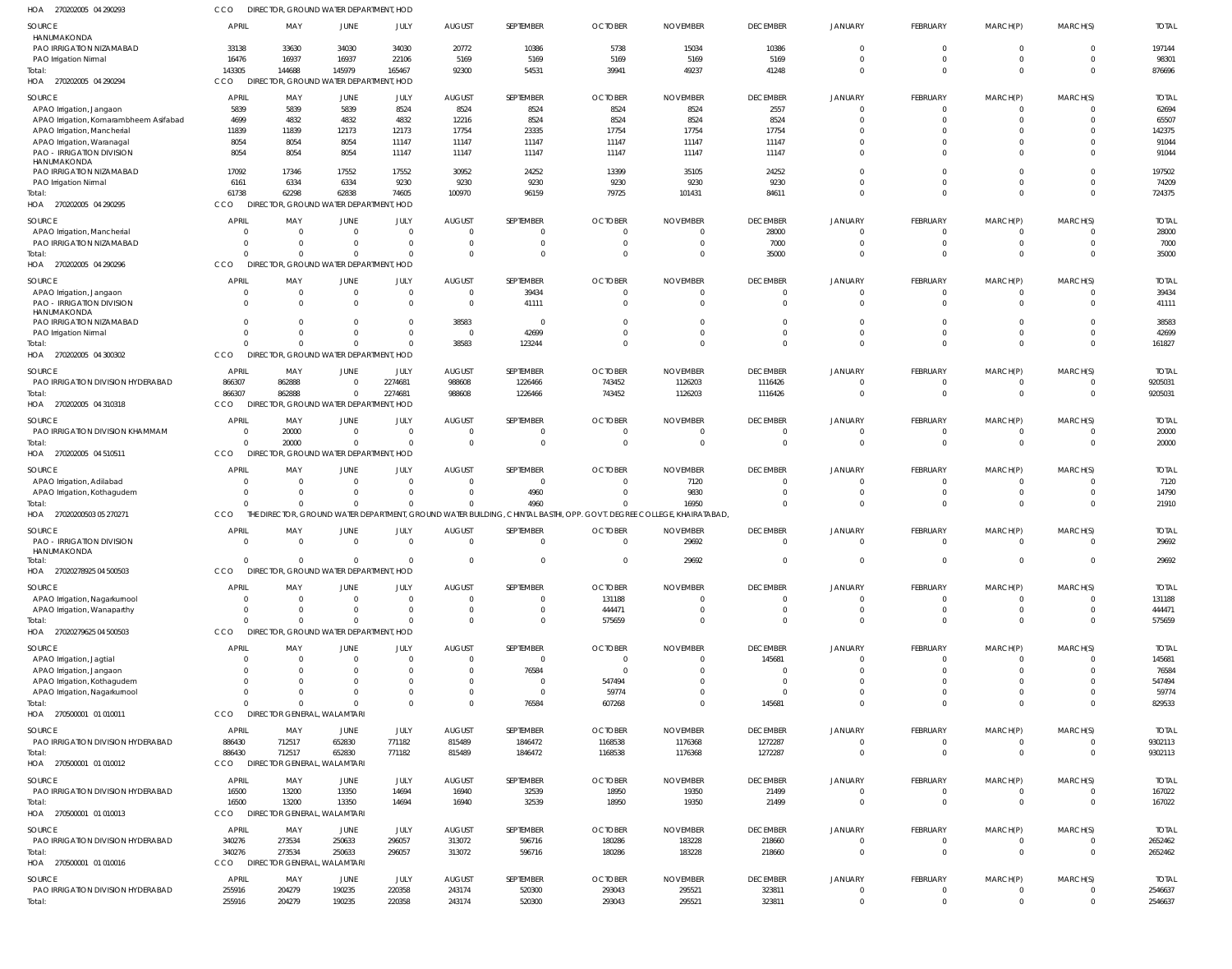270202005 04 290293 HOA CCO DIRECTOR, GROUND WATER DEPARTMENT, HOD

| SOURCE<br>HANUMAKONDA                           | <b>APRIL</b>             | MAY                                              | JUNE                             | JULY             | <b>AUGUST</b>                    | SEPTEMBER                   | <b>OCTOBER</b>                                                                                       | <b>NOVEMBER</b>             | <b>DECEMBER</b>      | <b>JANUARY</b>       | FEBRUARY         | MARCH(P)       | MARCH(S)       | <b>TOTAL</b>       |
|-------------------------------------------------|--------------------------|--------------------------------------------------|----------------------------------|------------------|----------------------------------|-----------------------------|------------------------------------------------------------------------------------------------------|-----------------------------|----------------------|----------------------|------------------|----------------|----------------|--------------------|
| PAO IRRIGATION NIZAMABAD                        | 33138                    | 33630                                            | 34030                            | 34030            | 20772                            | 10386                       | 5738                                                                                                 | 15034                       | 10386                | $\Omega$             | $\Omega$         | $\Omega$       | $\Omega$       | 197144             |
|                                                 | 16476                    | 16937                                            | 16937                            | 22106            | 5169                             | 5169                        | 5169                                                                                                 | 5169                        | 5169                 | $\Omega$             | 0                | $\mathbf 0$    | $\Omega$       | 98301              |
| PAO Irrigation Nirmal                           | 143305                   |                                                  | 145979                           | 165467           | 92300                            | 54531                       |                                                                                                      | 49237                       | 41248                | $\Omega$             | $\Omega$         | $\Omega$       | $\Omega$       | 876696             |
| Total:                                          |                          | 144688<br>DIRECTOR, GROUND WATER DEPARTMENT, HOD |                                  |                  |                                  |                             | 39941                                                                                                |                             |                      |                      |                  |                |                |                    |
| HOA 270202005 04 290294                         | CCO                      |                                                  |                                  |                  |                                  |                             |                                                                                                      |                             |                      |                      |                  |                |                |                    |
| <b>SOURCE</b>                                   | APRIL                    | MAY                                              | JUNE                             | JULY             | <b>AUGUST</b>                    | SEPTEMBER                   | <b>OCTOBER</b>                                                                                       | <b>NOVEMBER</b>             | <b>DECEMBER</b>      | <b>JANUARY</b>       | <b>FEBRUARY</b>  | MARCH(P)       | MARCH(S)       | <b>TOTAI</b>       |
| APAO Irrigation, Jangaon                        | 5839                     | 5839                                             | 5839                             | 8524             | 8524                             | 8524                        | 8524                                                                                                 | 8524                        | 2557                 | $\Omega$             | 0                | 0              |                | 62694              |
| APAO Irrigation, Komarambheem Asifabad          | 4699                     | 4832                                             | 4832                             | 4832             | 12216                            | 8524                        | 8524                                                                                                 | 8524                        | 8524                 | $\Omega$             |                  |                |                | 65507              |
| APAO Irrigation, Mancherial                     | 11839                    | 11839                                            | 12173                            | 12173            | 17754                            | 23335                       | 17754                                                                                                | 17754                       | 17754                |                      |                  |                |                | 142375             |
| APAO Irrigation, Waranagal                      | 8054                     | 8054                                             | 8054                             | 11147            | 11147                            | 11147                       | 11147                                                                                                | 11147                       | 11147                | $\Omega$             |                  |                |                | 91044              |
| <b>PAO - IRRIGATION DIVISION</b>                | 8054                     | 8054                                             | 8054                             | 11147            | 11147                            | 11147                       | 11147                                                                                                | 11147                       | 11147                | $\Omega$             |                  |                |                | 91044              |
| HANUMAKONDA                                     |                          |                                                  |                                  |                  |                                  |                             |                                                                                                      |                             |                      |                      |                  |                |                |                    |
| PAO IRRIGATION NIZAMABAD                        | 17092                    | 17346                                            | 17552                            | 17552            | 30952                            | 24252                       | 13399                                                                                                | 35105                       | 24252                | $\Omega$             | U                | U              |                | 197502             |
| PAO Irrigation Nirmal                           | 6161                     | 6334                                             | 6334                             | 9230             | 9230                             | 9230                        | 9230                                                                                                 | 9230                        | 9230                 | $\Omega$             | $\Omega$         | $\Omega$       |                | 74209              |
| Total:                                          | 61738                    | 62298                                            | 62838                            | 74605            | 100970                           | 96159                       | 79725                                                                                                | 101431                      | 84611                | $\Omega$             | $\Omega$         | $\Omega$       | $\Omega$       | 724375             |
| HOA<br>270202005 04 290295                      | CCO                      | DIRECTOR, GROUND WATER DEPARTMENT, HOD           |                                  |                  |                                  |                             |                                                                                                      |                             |                      |                      |                  |                |                |                    |
| SOURCE                                          | APRIL                    | MAY                                              | JUNE                             | JULY             | <b>AUGUST</b>                    | SEPTEMBER                   | <b>OCTOBER</b>                                                                                       | <b>NOVEMBER</b>             | <b>DECEMBER</b>      | <b>JANUARY</b>       | FEBRUARY         | MARCH(P)       | MARCH(S)       | <b>TOTAI</b>       |
| APAO Irrigation, Mancherial                     | $\Omega$                 | $\Omega$                                         | $\Omega$                         | $\Omega$         | $\overline{0}$                   | $\Omega$                    | $\Omega$                                                                                             | $\Omega$                    | 28000                | $\Omega$             | $\Omega$         | $\Omega$       | $\Omega$       | 28000              |
| PAO IRRIGATION NIZAMABAD                        | $\Omega$                 | $\overline{0}$                                   | $\Omega$                         | $\Omega$         | $\overline{0}$                   | $\mathbf 0$                 | $\overline{0}$                                                                                       | $\overline{0}$              | 7000                 | $\Omega$             | $\mathbf 0$      | $\mathbf 0$    | $\Omega$       | 7000               |
| Total:                                          | $\Omega$                 | $\Omega$                                         | $\Omega$                         | $\Omega$         | $\Omega$                         |                             | $\Omega$                                                                                             | $\Omega$                    | 35000                | $\Omega$             | $\Omega$         | $\Omega$       | $\Omega$       | 35000              |
| HOA 270202005 04 290296                         | CCO                      | DIRECTOR, GROUND WATER DEPARTMENT, HOD           |                                  |                  |                                  |                             |                                                                                                      |                             |                      |                      |                  |                |                |                    |
|                                                 | <b>APRIL</b>             |                                                  |                                  |                  |                                  | SEPTEMBER                   |                                                                                                      |                             |                      |                      |                  |                |                |                    |
| <b>SOURCE</b>                                   |                          | MAY<br>$\overline{0}$                            | JUNE                             | JULY<br>$\Omega$ | <b>AUGUST</b>                    |                             | <b>OCTOBER</b>                                                                                       | <b>NOVEMBER</b><br>$\Omega$ | <b>DECEMBER</b>      | <b>JANUARY</b>       | FEBRUARY         | MARCH(P)       | MARCH(S)       | <b>TOTAI</b>       |
| APAO Irrigation, Jangaon                        | $\Omega$<br>$\Omega$     | $\Omega$                                         | $\Omega$<br>$\Omega$             | $\Omega$         | $\overline{0}$<br>$\overline{0}$ | 39434                       | $\overline{0}$<br>$\Omega$                                                                           | $\Omega$                    | $\Omega$<br>$\Omega$ | $\Omega$<br>$\Omega$ | 0<br>$\Omega$    | 0<br>$\Omega$  |                | 39434              |
| <b>PAO - IRRIGATION DIVISION</b><br>HANUMAKONDA |                          |                                                  |                                  |                  |                                  | 41111                       |                                                                                                      |                             |                      |                      |                  |                |                | 41111              |
| PAO IRRIGATION NIZAMABAD                        |                          | $\Omega$                                         |                                  |                  | 38583                            | $\Omega$                    | $\Omega$                                                                                             | $\Omega$                    | $\Omega$             | $\Omega$             |                  |                |                | 38583              |
| PAO Irrigation Nirmal                           | $\Omega$                 | $\Omega$                                         | $\Omega$                         |                  | $\overline{0}$                   | 42699                       | $\Omega$                                                                                             | $\Omega$                    | $\Omega$             | $\Omega$             | $\Omega$         |                |                | 42699              |
| Total:                                          | $\Omega$                 | $\Omega$                                         |                                  |                  | 38583                            | 123244                      | $\Omega$                                                                                             | $\Omega$                    | $\Omega$             | $\Omega$             | $\Omega$         | $\Omega$       | $\Omega$       | 161827             |
| HOA 270202005 04 300302                         | CCO                      | DIRECTOR, GROUND WATER DEPARTMENT, HOD           |                                  |                  |                                  |                             |                                                                                                      |                             |                      |                      |                  |                |                |                    |
|                                                 |                          |                                                  |                                  |                  |                                  |                             |                                                                                                      |                             |                      |                      |                  |                |                |                    |
| SOURCE                                          | APRIL                    | MAY                                              | JUNE                             | JULY             | <b>AUGUST</b>                    | SEPTEMBER                   | <b>OCTOBER</b>                                                                                       | <b>NOVEMBER</b>             | <b>DECEMBER</b>      | <b>JANUARY</b>       | FEBRUARY         | MARCH(P)       | MARCH(S)       | <b>TOTAI</b>       |
| PAO IRRIGATION DIVISION HYDERABAD               | 866307                   | 862888                                           | $\overline{0}$                   | 2274681          | 988608                           | 1226466                     | 743452                                                                                               | 1126203                     | 1116426              | $\Omega$             | $\mathbf 0$      | 0              |                | 9205031            |
| Total                                           | 866307                   | 862888                                           | $\Omega$                         | 2274681          | 988608                           | 1226466                     | 743452                                                                                               | 1126203                     | 1116426              | $\Omega$             | $\mathbf 0$      | $\Omega$       | $\Omega$       | 9205031            |
| HOA 270202005 04 310318                         | CCO                      | DIRECTOR, GROUND WATER DEPARTMENT, HOD           |                                  |                  |                                  |                             |                                                                                                      |                             |                      |                      |                  |                |                |                    |
| SOURCE                                          | <b>APRIL</b>             | MAY                                              | JUNE                             | JULY             | <b>AUGUST</b>                    | SEPTEMBER                   | <b>OCTOBER</b>                                                                                       | <b>NOVEMBER</b>             | <b>DECEMBER</b>      | <b>JANUARY</b>       | FEBRUARY         | MARCH(P)       | MARCH(S)       | <b>TOTAL</b>       |
| PAO IRRIGATION DIVISION KHAMMAM                 | $\Omega$                 | 20000                                            | $\Omega$                         | $\Omega$         | $\overline{0}$                   | $\Omega$                    | $\overline{0}$                                                                                       | $\Omega$                    | $\Omega$             | $\Omega$             | $\Omega$         | $\Omega$       |                | 20000              |
| Total:                                          | $\Omega$                 | 20000                                            | $\Omega$                         | $\Omega$         | $\Omega$                         | $\Omega$                    | $\Omega$                                                                                             | $\Omega$                    | $\Omega$             | $\Omega$             | $\Omega$         | $\Omega$       | $\Omega$       | 20000              |
| HOA<br>270202005 04 510511                      | CCO                      | <b>DIRECT</b>                                    | OR, GROUND WATER DEPARTMENT, HOD |                  |                                  |                             |                                                                                                      |                             |                      |                      |                  |                |                |                    |
|                                                 |                          |                                                  |                                  |                  |                                  |                             |                                                                                                      |                             |                      |                      |                  |                |                |                    |
|                                                 |                          |                                                  |                                  |                  |                                  |                             |                                                                                                      |                             |                      |                      |                  |                |                |                    |
| SOURCE                                          | <b>APRIL</b>             | MAY                                              | JUNE                             | JULY             | <b>AUGUST</b>                    | SEPTEMBER                   | <b>OCTOBER</b>                                                                                       | <b>NOVEMBER</b>             | <b>DECEMBER</b>      | <b>JANUARY</b>       | FEBRUARY         | MARCH(P)       | MARCH(S)       | <b>TOTAL</b>       |
| APAO Irrigation, Adilabad                       | $\Omega$                 | $\overline{0}$                                   | $\Omega$                         | $\Omega$         | $\overline{0}$                   | $\Omega$                    | $\Omega$                                                                                             | 7120                        | $\Omega$             | $\Omega$             | 0                | $\Omega$       | $\Omega$       | 7120               |
| APAO Irrigation, Kothagudem                     | $\Omega$                 | $\overline{0}$                                   | $\Omega$                         | $\Omega$         | $\overline{0}$                   | 4960                        | $\Omega$                                                                                             | 9830                        | $\Omega$             | $\Omega$             | 0                | $\mathbf 0$    | $\Omega$       | 14790              |
| Total:                                          | $\Omega$                 | $\Omega$                                         | $\Omega$                         | $\Omega$         | $\mathbf 0$                      | 4960                        | $\Omega$                                                                                             | 16950                       | $\Omega$             | $\Omega$             | $\Omega$         | $\Omega$       | $\Omega$       | 21910              |
| HOA 27020200503 05 270271                       | CCO                      | THE I                                            |                                  |                  |                                  |                             | DIRECTOR, GROUND WATER DEPARTMENT, GROUND WATER BUILDING, CHINTAL BASTHI, OPP. GOVT. DEGREE COLLEGE, | KHAIRATABAD,                |                      |                      |                  |                |                |                    |
| <b>SOURCE</b>                                   | <b>APRIL</b>             | MAY                                              | JUNE                             | JULY             | <b>AUGUST</b>                    | SEPTEMBER                   | <b>OCTOBER</b>                                                                                       | <b>NOVEMBER</b>             | <b>DECEMBER</b>      | <b>JANUARY</b>       | FEBRUARY         | MARCH(P)       | MARCH(S)       | <b>TOTAI</b>       |
| <b>PAO - IRRIGATION DIVISION</b>                | $\Omega$                 | $\Omega$                                         | $\Omega$                         | $\Omega$         | $\Omega$                         | $\Omega$                    | $\Omega$                                                                                             | 29692                       | $\Omega$             | $\Omega$             | $\Omega$         | $\Omega$       |                | 29692              |
| HANUMAKONDA                                     |                          |                                                  |                                  |                  |                                  |                             |                                                                                                      |                             |                      |                      |                  |                |                |                    |
| Total:                                          | $\Omega$                 | $\Omega$                                         | $\Omega$                         | $\mathbf{0}$     | $\Omega$                         | $\Omega$                    | $\Omega$                                                                                             | 29692                       |                      |                      |                  |                |                | 29692              |
| HOA<br>27020278925 04 500503                    | CCO                      | DIRECTOR, GROUND WATER DEPARTMENT, HOD           |                                  |                  |                                  |                             |                                                                                                      |                             |                      |                      |                  |                |                |                    |
| SOURCE                                          | <b>APRIL</b>             | MAY                                              | JUNE                             | JULY             | <b>AUGUST</b>                    | SEPTEMBER                   | <b>OCTOBER</b>                                                                                       | <b>NOVEMBER</b>             | <b>DECEMBER</b>      | <b>JANUARY</b>       | FEBRUARY         | MARCH(P)       | MARCH(S)       | <b>TOTAL</b>       |
| APAO Irrigation, Nagarkurnool                   | $\Omega$                 | $\Omega$                                         | $\Omega$                         | $\Omega$         | $\overline{0}$                   | $^{\circ}$                  | 131188                                                                                               | $\overline{0}$              | $\Omega$             | $\Omega$             | 0                | $\Omega$       |                | 131188             |
| APAO Irrigation, Wanaparthy                     | $\overline{0}$           | $\overline{0}$                                   | $^{\circ}$                       | $\Omega$         | $\overline{0}$                   | 0                           | 444471                                                                                               | $\overline{0}$              | $\Omega$             | $\Omega$             | 0                | 0              | $\Omega$       | 444471             |
| Total:                                          | $\Omega$                 | $\Omega$                                         |                                  | $\Omega$         | $\Omega$                         | $\Omega$                    | 575659                                                                                               | $\Omega$                    | $\Omega$             | $\Omega$             | $\Omega$         | $\Omega$       | $\Omega$       | 575659             |
| HOA 27020279625 04 500503                       | CCO                      | DIRECTOR, GROUND WATER DEPARTMENT, HOD           |                                  |                  |                                  |                             |                                                                                                      |                             |                      |                      |                  |                |                |                    |
|                                                 |                          |                                                  |                                  |                  |                                  |                             |                                                                                                      |                             |                      |                      |                  |                |                |                    |
| SOURCE                                          | <b>APRIL</b><br>$\Omega$ | MAY<br>$\overline{0}$                            | JUNE<br>$\Omega$                 | JULY             | <b>AUGUST</b><br>$\overline{0}$  | SEPTEMBER<br>$\overline{0}$ | <b>OCTOBER</b><br>$\overline{0}$                                                                     | <b>NOVEMBER</b><br>$\Omega$ | <b>DECEMBER</b>      | <b>JANUARY</b>       | FEBRUARY<br>0    | MARCH(P)<br>0  | MARCH(S)       | <b>TOTAL</b>       |
| APAO Irrigation, Jagtial                        |                          | $\Omega$                                         |                                  |                  | $\Omega$                         |                             | $\Omega$                                                                                             | $\Omega$                    | 145681<br>- 0        |                      |                  |                |                | 145681             |
| APAO Irrigation, Jangaon                        |                          | $\Omega$                                         |                                  |                  | $\Omega$                         | 76584<br>$\Omega$           |                                                                                                      | $\Omega$                    | $\Omega$             |                      |                  |                |                | 76584              |
| APAO Irrigation, Kothagudem                     |                          | $\Omega$                                         | $\Omega$                         |                  | $\Omega$                         | $\Omega$                    | 547494<br>59774                                                                                      | $\Omega$                    | $\Omega$             | $\Omega$             |                  |                |                | 547494<br>59774    |
| APAO Irrigation, Nagarkurnool<br>Total:         |                          | $\Omega$                                         |                                  |                  | $\Omega$                         | 76584                       |                                                                                                      | $\Omega$                    | 145681               | $\Omega$             | $\Omega$         | $\Omega$       |                | 829533             |
|                                                 | CCO                      | DIRECTOR GENERAL, WALAMTARI                      |                                  |                  |                                  |                             | 607268                                                                                               |                             |                      |                      |                  |                |                |                    |
| HOA 270500001 01 010011                         |                          |                                                  |                                  |                  |                                  |                             |                                                                                                      |                             |                      |                      |                  |                |                |                    |
| <b>SOURCE</b>                                   | APRIL                    | MAY                                              | JUNE                             | JULY             | <b>AUGUST</b>                    | SEPTEMBER                   | <b>OCTOBER</b>                                                                                       | <b>NOVEMBER</b>             | <b>DECEMBER</b>      | <b>JANUARY</b>       | <b>FEBRUARY</b>  | MARCH(P)       | MARCH(S)       | <b>TOTAL</b>       |
| PAO IRRIGATION DIVISION HYDERABAD               | 886430                   | 712517                                           | 652830                           | 771182           | 815489                           | 1846472                     | 1168538                                                                                              | 1176368                     | 1272287              | $\Omega$             | 0                | 0              |                | 9302113            |
| Total:                                          | 886430                   | 712517                                           | 652830                           | 771182           | 815489                           | 1846472                     | 1168538                                                                                              | 1176368                     | 1272287              | $\Omega$             | $\mathbf{0}$     | $\overline{0}$ | $\overline{0}$ | 9302113            |
| HOA 270500001 01 010012                         | CCO                      | DIRECTOR GENERAL, WALAMTARI                      |                                  |                  |                                  |                             |                                                                                                      |                             |                      |                      |                  |                |                |                    |
| <b>SOURCE</b>                                   | <b>APRIL</b>             | MAY                                              | <b>JUNE</b>                      | JULY             | <b>AUGUST</b>                    | SEPTEMBER                   | <b>OCTOBER</b>                                                                                       | <b>NOVEMBER</b>             | <b>DECEMBER</b>      | <b>JANUARY</b>       | FEBRUARY         | MARCH(P)       | MARCH(S)       | <b>TOTAL</b>       |
| PAO IRRIGATION DIVISION HYDERABAD               | 16500                    | 13200                                            | 13350                            | 14694            | 16940                            | 32539                       | 18950                                                                                                | 19350                       | 21499                | $\Omega$             | 0                | 0              |                | 167022             |
| Total:                                          | 16500                    | 13200                                            | 13350                            | 14694            | 16940                            | 32539                       | 18950                                                                                                | 19350                       | 21499                | $\Omega$             | $\Omega$         | $\Omega$       | $\Omega$       | 167022             |
| HOA 270500001 01 010013                         | CCO                      | DIRECTOR GENERAL, WALAMTARI                      |                                  |                  |                                  |                             |                                                                                                      |                             |                      |                      |                  |                |                |                    |
|                                                 |                          |                                                  |                                  |                  |                                  |                             |                                                                                                      |                             |                      |                      |                  |                |                |                    |
| SOURCE                                          | <b>APRIL</b>             | MAY                                              | JUNE                             | JULY             | <b>AUGUST</b>                    | SEPTEMBER                   | <b>OCTOBER</b>                                                                                       | <b>NOVEMBER</b>             | <b>DECEMBER</b>      | <b>JANUARY</b>       | FEBRUARY         | MARCH(P)       | MARCH(S)       | <b>TOTAL</b>       |
| PAO IRRIGATION DIVISION HYDERABAD               | 340276                   | 273534                                           | 250633                           | 296057           | 313072                           | 596716                      | 180286                                                                                               | 183228                      | 218660               | $\Omega$             | $\mathbf 0$      | 0              | $\Omega$       | 2652462            |
| Total:                                          | 340276                   | 273534                                           | 250633                           | 296057           | 313072                           | 596716                      | 180286                                                                                               | 183228                      | 218660               | $\Omega$             | $\mathbf 0$      | $\mathbf 0$    | $\Omega$       | 2652462            |
| HOA 270500001 01 010016                         | <b>CCO</b>               | DIRECTOR GENERAL, WALAMTARI                      |                                  |                  |                                  |                             |                                                                                                      |                             |                      |                      |                  |                |                |                    |
| <b>SOURCE</b>                                   | <b>APRIL</b>             | MAY                                              | JUNE                             | JULY             | <b>AUGUST</b>                    | SEPTEMBER                   | <b>OCTOBER</b>                                                                                       | <b>NOVEMBER</b>             | <b>DECEMBER</b>      | <b>JANUARY</b>       | <b>FEBRUARY</b>  | MARCH(P)       | MARCH(S)       | <b>TOTAL</b>       |
| PAO IRRIGATION DIVISION HYDERABAD<br>Total:     | 255916<br>255916         | 204279<br>204279                                 | 190235<br>190235                 | 220358<br>220358 | 243174<br>243174                 | 520300<br>520300            | 293043<br>293043                                                                                     | 295521<br>295521            | 323811<br>323811     | $\Omega$<br>$\Omega$ | 0<br>$\mathbf 0$ | $\Omega$       |                | 2546637<br>2546637 |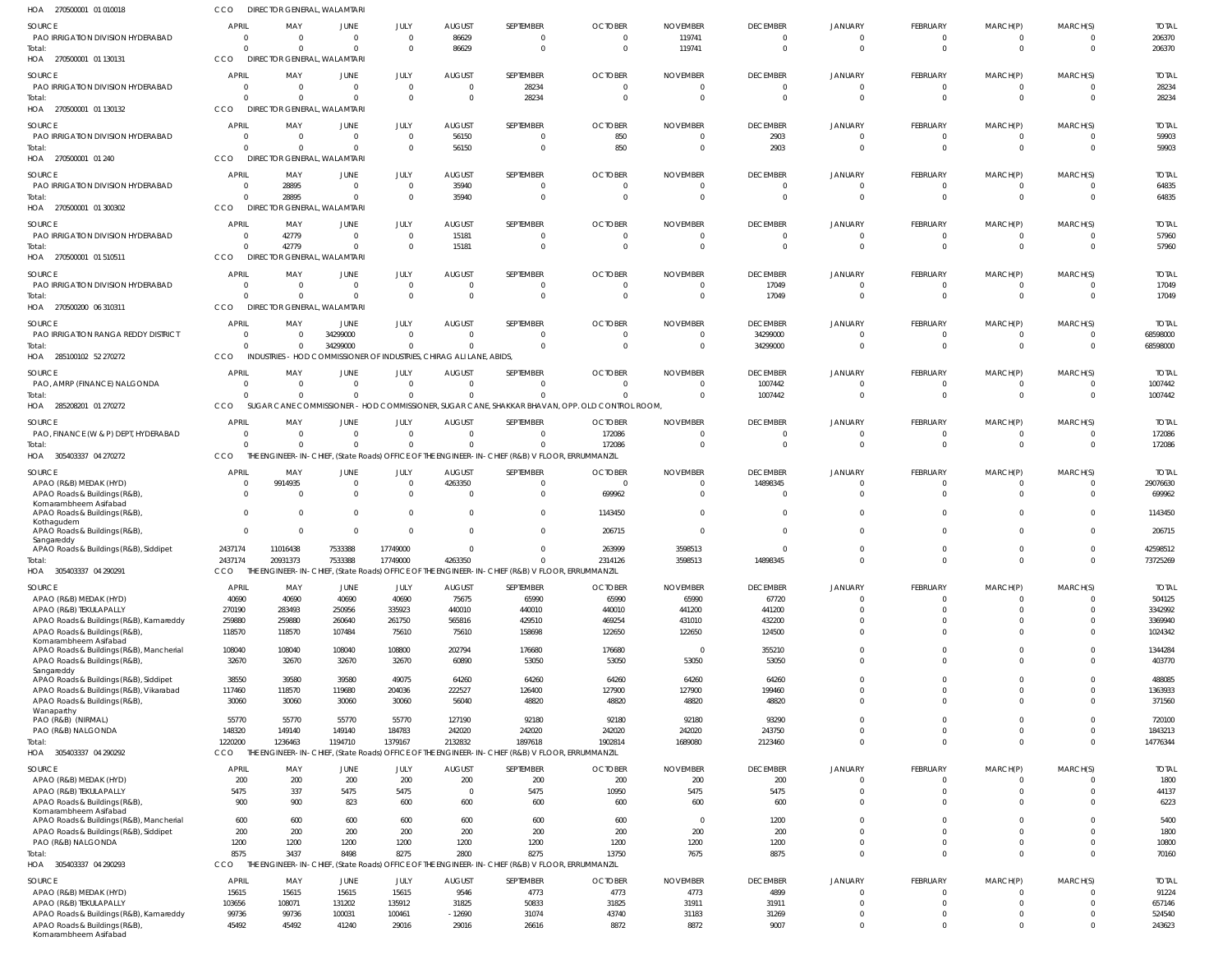| HOA<br>270500001 01 010018                                                         | CCO                            | DIRECTOR GENERAL, WALAMTARI                                          |                      |                      |                                 |                                                                                                            |                            |                                   |                             |                                  |                                |                               |                      |                        |
|------------------------------------------------------------------------------------|--------------------------------|----------------------------------------------------------------------|----------------------|----------------------|---------------------------------|------------------------------------------------------------------------------------------------------------|----------------------------|-----------------------------------|-----------------------------|----------------------------------|--------------------------------|-------------------------------|----------------------|------------------------|
| SOURCE                                                                             | <b>APRIL</b>                   | MAY                                                                  | JUNE                 | JULY                 | <b>AUGUST</b>                   | SEPTEMBER                                                                                                  | <b>OCTOBER</b>             | <b>NOVEMBER</b>                   | <b>DECEMBER</b>             | JANUARY                          | FEBRUARY                       | MARCH(P)                      | MARCH(S)             | <b>TOTAL</b>           |
| PAO IRRIGATION DIVISION HYDERABAD                                                  | $\Omega$                       | $\overline{0}$                                                       | $\Omega$             | $\Omega$             | 86629                           | 0                                                                                                          | $\overline{0}$             | 119741                            | $\overline{0}$              | $\overline{0}$                   | $\overline{0}$                 | $\mathbf 0$                   | $\overline{0}$       | 206370                 |
| Total:<br>HOA 270500001 01 130131                                                  | $\Omega$<br>CCO                | $\Omega$<br><b>DIRECTOR GENERAL, WALAMTARI</b>                       | $\Omega$             | $\Omega$             | 86629                           | $\mathbf 0$                                                                                                | $\overline{0}$             | 119741                            | $\Omega$                    | $\Omega$                         | $\overline{0}$                 | $\overline{0}$                | $\Omega$             | 206370                 |
|                                                                                    |                                |                                                                      |                      |                      |                                 |                                                                                                            |                            |                                   |                             |                                  |                                |                               |                      |                        |
| SOURCE<br>PAO IRRIGATION DIVISION HYDERABAD                                        | <b>APRIL</b><br>$\Omega$       | MAY<br>- 0                                                           | JUNE<br>$\Omega$     | JULY<br>$\Omega$     | <b>AUGUST</b><br>$\overline{0}$ | SEPTEMBER<br>28234                                                                                         | <b>OCTOBER</b><br>$\Omega$ | <b>NOVEMBER</b><br>$\Omega$       | <b>DECEMBER</b><br>$\Omega$ | JANUARY<br>$\Omega$              | <b>FEBRUARY</b><br>$\Omega$    | MARCH(P)<br>$\Omega$          | MARCH(S)<br>$\Omega$ | <b>TOTAL</b><br>28234  |
| Total:                                                                             | $\Omega$                       | $\Omega$                                                             | $\Omega$             | $\Omega$             | $\Omega$                        | 28234                                                                                                      | $\Omega$                   | - 0                               | $\Omega$                    | $\Omega$                         | $\overline{0}$                 | $\overline{0}$                | $\Omega$             | 28234                  |
| HOA 270500001 01 130132                                                            | CCO                            | <b>DIRECTOR GENERAL, WALAMTARI</b>                                   |                      |                      |                                 |                                                                                                            |                            |                                   |                             |                                  |                                |                               |                      |                        |
| SOURCE                                                                             | APRIL                          | MAY                                                                  | JUNE                 | JULY                 | <b>AUGUST</b>                   | SEPTEMBER                                                                                                  | <b>OCTOBER</b>             | <b>NOVEMBER</b>                   | <b>DECEMBER</b>             | JANUARY                          | FEBRUARY                       | MARCH(P)                      | MARCH(S)             | <b>TOTAL</b>           |
| PAO IRRIGATION DIVISION HYDERABAD                                                  | $\Omega$                       | $\overline{\mathbf{0}}$                                              | $\Omega$             | $\Omega$             | 56150                           | 0                                                                                                          | 850                        | 0                                 | 2903                        | $\overline{0}$                   | 0                              | 0                             | $\Omega$             | 59903                  |
| Total:                                                                             | $\Omega$                       | $\Omega$                                                             | $\Omega$             | $\Omega$             | 56150                           | $\mathbf 0$                                                                                                | 850                        | $\overline{0}$                    | 2903                        | $\Omega$                         | $\overline{0}$                 | $\overline{0}$                | $\Omega$             | 59903                  |
| HOA 270500001 01 240                                                               | CCO                            | DIRECTOR GENERAL, WALAMTARI                                          |                      |                      |                                 |                                                                                                            |                            |                                   |                             |                                  |                                |                               |                      |                        |
| SOURCE                                                                             | APRIL                          | MAY                                                                  | JUNE                 | JULY                 | <b>AUGUST</b>                   | SEPTEMBER                                                                                                  | <b>OCTOBER</b>             | <b>NOVEMBER</b>                   | <b>DECEMBER</b>             | JANUARY                          | <b>FEBRUARY</b>                | MARCH(P)                      | MARCH(S)             | <b>TOTAL</b>           |
| PAO IRRIGATION DIVISION HYDERABAD                                                  | $\Omega$                       | 28895                                                                | $\Omega$             | $\Omega$             | 35940                           | 0                                                                                                          | $\overline{0}$             | $\Omega$                          | $\Omega$                    | $\Omega$                         | $\mathbf 0$                    | $^{\circ}$                    | $\Omega$             | 64835                  |
| Total:                                                                             | $\Omega$                       | 28895<br><b>DIREC</b>                                                | $\Omega$             | $\Omega$             | 35940                           | $\Omega$                                                                                                   | $\Omega$                   | $\Omega$                          | $\Omega$                    | $\Omega$                         | $\Omega$                       | $\Omega$                      | $\Omega$             | 64835                  |
| HOA 270500001 01 300302                                                            | CCO                            |                                                                      | R GENERAL, WALAMTARI |                      |                                 |                                                                                                            |                            |                                   |                             |                                  |                                |                               |                      |                        |
| SOURCE                                                                             | <b>APRIL</b>                   | MAY                                                                  | JUNE                 | JULY                 | <b>AUGUST</b>                   | SEPTEMBER                                                                                                  | <b>OCTOBER</b>             | <b>NOVEMBER</b>                   | <b>DECEMBER</b>             | JANUARY                          | <b>FEBRUARY</b>                | MARCH(P)                      | MARCH(S)             | <b>TOTAL</b>           |
| PAO IRRIGATION DIVISION HYDERABAD<br>Total:                                        | $\Omega$<br>$\Omega$           | 42779<br>42779                                                       | $\Omega$<br>$\Omega$ | $\Omega$<br>$\Omega$ | 15181<br>15181                  | $\mathbf 0$<br>$\mathbf 0$                                                                                 | $\overline{0}$<br>$\Omega$ | $\overline{0}$<br>$\Omega$        | $\Omega$<br>$\Omega$        | $\Omega$<br>$\Omega$             | $\mathbf 0$<br>$\overline{0}$  | $\mathbf 0$<br>$\overline{0}$ | $\Omega$<br>$\Omega$ | 57960<br>57960         |
| HOA 270500001 01 510511                                                            | CCO                            | DIRECTOR GENERAL, WALAMTARI                                          |                      |                      |                                 |                                                                                                            |                            |                                   |                             |                                  |                                |                               |                      |                        |
| SOURCE                                                                             | APRIL                          | MAY                                                                  | JUNE                 | JULY                 | <b>AUGUST</b>                   | SEPTEMBER                                                                                                  | <b>OCTOBER</b>             | <b>NOVEMBER</b>                   | <b>DECEMBER</b>             | <b>JANUARY</b>                   | FEBRUARY                       | MARCH(P)                      | MARCH(S)             | <b>TOTAL</b>           |
| PAO IRRIGATION DIVISION HYDERABAD                                                  | $\Omega$                       | $\overline{\mathbf{0}}$                                              | - 0                  | $\Omega$             | - 0                             | 0                                                                                                          | $\Omega$                   | $\Omega$                          | 17049                       | $\Omega$                         | $^{\circ}$                     | -0                            | $\Omega$             | 17049                  |
| Total:                                                                             | $\Omega$                       | $\Omega$                                                             | $\Omega$             | $\Omega$             | $\Omega$                        | $\Omega$                                                                                                   | $\Omega$                   | $\Omega$                          | 17049                       | $\Omega$                         | $\Omega$                       | $\Omega$                      | $\Omega$             | 17049                  |
| HOA 270500200 06 310311                                                            | CCO                            | DIRECTOR GENERAL, WALAMTARI                                          |                      |                      |                                 |                                                                                                            |                            |                                   |                             |                                  |                                |                               |                      |                        |
| SOURCE                                                                             | APRIL                          | MAY                                                                  | JUNE                 | JULY                 | <b>AUGUST</b>                   | SEPTEMBER                                                                                                  | <b>OCTOBER</b>             | <b>NOVEMBER</b>                   | <b>DECEMBER</b>             | <b>JANUARY</b>                   | FEBRUARY                       | MARCH(P)                      | MARCH(S)             | <b>TOTAL</b>           |
| PAO IRRIGATION RANGA REDDY DISTRICT                                                | $\Omega$                       | $\overline{\mathbf{0}}$                                              | 34299000             | $\Omega$             | $\Omega$                        | 0                                                                                                          | $\Omega$                   | - 0                               | 34299000                    | $\Omega$                         | $\mathbf 0$                    | -0                            | $\Omega$             | 68598000               |
| Total:                                                                             | $\Omega$                       | $\overline{0}$                                                       | 34299000             | $\Omega$             | $\Omega$                        | $\Omega$                                                                                                   | $\Omega$                   | - 0                               | 34299000                    | $\Omega$                         | $\overline{0}$                 | $\overline{0}$                | $\Omega$             | 68598000               |
| HOA 285100102 52 270272                                                            | CCO                            | INDUSTRIES - HOD COMMISSIONER OF INDUSTRIES, CHIRAG ALI LANE, ABIDS, |                      |                      |                                 |                                                                                                            |                            |                                   |                             |                                  |                                |                               |                      |                        |
| SOURCE                                                                             | <b>APRIL</b>                   | MAY                                                                  | JUNE                 | JULY                 | <b>AUGUST</b>                   | SEPTEMBER                                                                                                  | <b>OCTOBER</b>             | <b>NOVEMBER</b>                   | <b>DECEMBER</b>             | JANUARY                          | <b>FEBRUARY</b>                | MARCH(P)                      | MARCH(S)             | <b>TOTAI</b>           |
| PAO, AMRP (FINANCE) NALGONDA                                                       | $\Omega$                       | $\Omega$                                                             | $\Omega$             | $\Omega$             | $\Omega$                        | $\Omega$                                                                                                   | $\Omega$                   | - 0                               | 1007442                     | $\Omega$                         | $^{\circ}$                     | $^{\circ}$                    | $\Omega$             | 1007442                |
| Total:<br>285208201 01 270272<br>HOA                                               | $\Omega$<br>CCO                | $\Omega$                                                             | $\Omega$             | $\Omega$             | $\Omega$                        | $\Omega$<br>SUGAR CANE COMMISSIONER - HOD COMMISSIONER, SUGAR CANE, SHAKKAR BHAVAN, OPP. OLD CONTROL ROOM, | $\Omega$                   | $\Omega$                          | 1007442                     | $\Omega$                         | $\Omega$                       | $\Omega$                      | $\Omega$             | 1007442                |
|                                                                                    |                                |                                                                      |                      |                      |                                 |                                                                                                            |                            |                                   |                             |                                  |                                |                               |                      |                        |
| SOURCE<br>PAO, FINANCE (W & P) DEPT, HYDERABAD                                     | <b>APRIL</b><br>$\overline{0}$ | MAY<br>$\overline{0}$                                                | JUNE<br>$\Omega$     | JULY<br>$\Omega$     | <b>AUGUST</b><br>$\Omega$       | SEPTEMBER<br>$\mathbf 0$                                                                                   | <b>OCTOBER</b><br>172086   | <b>NOVEMBER</b><br>$\overline{0}$ | <b>DECEMBER</b><br>$\Omega$ | JANUARY<br>$\Omega$              | FEBRUARY<br>$\mathbf 0$        | MARCH(P)<br>-0                | MARCH(S)<br>$\Omega$ | <b>TOTAL</b><br>172086 |
| Total:                                                                             | $\Omega$                       | $\Omega$                                                             | $\Omega$             | $\Omega$             |                                 | $\Omega$                                                                                                   | 172086                     | $\Omega$                          | $\Omega$                    | $\Omega$                         | $\overline{0}$                 | $\Omega$                      | $\Omega$             | 172086                 |
| HOA 305403337 04 270272                                                            | CCO                            | THE ENGINEER-IN-CHIEF, (State Roads) OFFICE OF                       |                      |                      |                                 | THE ENGINEER-IN-CHIEF (R&B) V FLOOR, ERRUMMANZIL                                                           |                            |                                   |                             |                                  |                                |                               |                      |                        |
| SOURCE                                                                             | <b>APRIL</b>                   | MAY                                                                  | JUNE                 | JULY                 | <b>AUGUST</b>                   | SEPTEMBER                                                                                                  | <b>OCTOBER</b>             | <b>NOVEMBER</b>                   | <b>DECEMBER</b>             | JANUARY                          | <b>FEBRUARY</b>                | MARCH(P)                      | MARCH(S)             | <b>TOTAI</b>           |
| APAO (R&B) MEDAK (HYD)                                                             | $\Omega$                       | 9914935                                                              | - 0                  | $\Omega$             | 4263350                         | 0                                                                                                          | - 0                        | $\Omega$                          | 14898345                    | $\Omega$                         | $\Omega$                       | n                             | $\Omega$             | 29076630               |
| APAO Roads & Buildings (R&B),                                                      | $\Omega$                       | - 0                                                                  | $\Omega$             | $\Omega$             | $\Omega$                        | $\Omega$                                                                                                   | 699962                     | $\Omega$                          | $\Omega$                    | $\Omega$                         | $\Omega$                       | $\Omega$                      | $\Omega$             | 699962                 |
| Komarambheem Asifabad<br>APAO Roads & Buildings (R&B),                             | $\Omega$                       | $\Omega$                                                             | $\Omega$             | $\Omega$             | $\Omega$                        | $\Omega$                                                                                                   | 1143450                    | $\Omega$                          | $\Omega$                    | $\Omega$                         | $\Omega$                       | $\Omega$                      | $\Omega$             | 1143450                |
| Kothagudem                                                                         |                                |                                                                      |                      |                      |                                 |                                                                                                            |                            |                                   |                             |                                  |                                |                               |                      |                        |
| APAO Roads & Buildings (R&B),                                                      | $\Omega$                       | $\Omega$                                                             | $\Omega$             | $\Omega$             | $\Omega$                        | $\Omega$                                                                                                   | 206715                     | $\Omega$                          | $\Omega$                    | $\Omega$                         | $\Omega$                       | $\Omega$                      | $\Omega$             | 206715                 |
| Sangareddy<br>APAO Roads & Buildings (R&B), Siddipet                               | 2437174                        | 11016438                                                             | 7533388              | 17749000             | $\Omega$                        | 0                                                                                                          | 263999                     | 3598513                           | $\Omega$                    | $\Omega$                         |                                | $\Omega$                      | 0                    | 42598512               |
| Total:                                                                             | 2437174                        | 20931373                                                             | 7533388              | 17749000             | 4263350                         | $\Omega$                                                                                                   | 2314126                    | 3598513                           | 14898345                    | $\Omega$                         | $\Omega$                       | $\Omega$                      | $\Omega$             | 73725269               |
| HOA<br>305403337 04 290291                                                         | CCO                            |                                                                      |                      |                      |                                 | THE ENGINEER-IN-CHIEF, (State Roads) OFFICE OF THE ENGINEER-IN-CHIEF (R&B) V FLOOR, ERRUMMANZIL            |                            |                                   |                             |                                  |                                |                               |                      |                        |
| SOURCE                                                                             | APRIL                          | MAY                                                                  | JUNE                 | JULY                 | <b>AUGUST</b>                   | SEPTEMBER                                                                                                  | <b>OCTOBER</b>             | <b>NOVEMBER</b>                   | <b>DECEMBER</b>             | <b>JANUARY</b>                   | FEBRUARY                       | MARCH(P)                      | MARCH(S)             | <b>TOTAL</b>           |
| APAO (R&B) MEDAK (HYD)                                                             | 40690                          | 40690                                                                | 40690                | 40690                | 75675                           | 65990                                                                                                      | 65990                      | 65990                             | 67720                       | $\Omega$                         | $\mathbf 0$                    | $^{\circ}$                    | $\Omega$             | 504125                 |
| APAO (R&B) TEKULAPALLY                                                             | 270190                         | 283493                                                               | 250956               | 335923               | 440010                          | 440010                                                                                                     | 440010                     | 441200                            | 441200                      | $\Omega$<br>$\Omega$             | $\mathbf 0$<br>$\Omega$        | $\mathbf 0$<br>$\mathbf 0$    | $\Omega$<br>$\Omega$ | 3342992                |
| APAO Roads & Buildings (R&B), Kamareddy<br>APAO Roads & Buildings (R&B)            | 259880<br>118570               | 259880<br>118570                                                     | 260640<br>107484     | 261750<br>75610      | 565816<br>75610                 | 429510<br>158698                                                                                           | 469254<br>122650           | 431010<br>122650                  | 432200<br>124500            | $\Omega$                         | $\Omega$                       | $\Omega$                      | $\Omega$             | 3369940<br>1024342     |
| Komarambheem Asifabad                                                              |                                |                                                                      |                      |                      |                                 |                                                                                                            |                            |                                   |                             |                                  |                                |                               |                      |                        |
| APAO Roads & Buildings (R&B), Mancherial                                           | 108040                         | 108040                                                               | 108040               | 108800               | 202794                          | 176680                                                                                                     | 176680                     | $\overline{0}$                    | 355210                      | $\overline{0}$<br>$\Omega$       | $\mathbf 0$                    | $\mathbf 0$                   | $\Omega$<br>$\Omega$ | 1344284                |
| APAO Roads & Buildings (R&B)<br>Sangareddy                                         | 32670                          | 32670                                                                | 32670                | 32670                | 60890                           | 53050                                                                                                      | 53050                      | 53050                             | 53050                       |                                  | $\mathbf 0$                    | $\mathbf 0$                   |                      | 403770                 |
| APAO Roads & Buildings (R&B), Siddipet                                             | 38550                          | 39580                                                                | 39580                | 49075                | 64260                           | 64260                                                                                                      | 64260                      | 64260                             | 64260                       | $\overline{0}$                   | $\mathbf 0$                    | $\Omega$                      | $\Omega$             | 488085                 |
| APAO Roads & Buildings (R&B), Vikarabad                                            | 117460                         | 118570                                                               | 119680               | 204036               | 222527                          | 126400                                                                                                     | 127900                     | 127900                            | 199460                      | $\Omega$                         | $\mathbf 0$                    | $\Omega$                      | $\Omega$             | 1363933                |
| APAO Roads & Buildings (R&B),<br>Wanaparthy                                        | 30060                          | 30060                                                                | 30060                | 30060                | 56040                           | 48820                                                                                                      | 48820                      | 48820                             | 48820                       | $\Omega$                         | $\Omega$                       | $\Omega$                      | $\Omega$             | 371560                 |
| PAO (R&B) (NIRMAL)                                                                 | 55770                          | 55770                                                                | 55770                | 55770                | 127190                          | 92180                                                                                                      | 92180                      | 92180                             | 93290                       | $\Omega$                         | $\Omega$                       | $\Omega$                      | $\Omega$             | 720100                 |
| PAO (R&B) NALGONDA                                                                 | 148320                         | 149140                                                               | 149140               | 184783               | 242020                          | 242020                                                                                                     | 242020                     | 242020                            | 243750                      | $\Omega$                         | $\mathbf 0$                    | $\mathbf 0$                   | $\Omega$             | 1843213                |
| Total:<br>HOA 305403337 04 290292                                                  | 1220200<br>CCO                 | 1236463<br>THE ENGINEER-IN-CHIEF, (State Roads) OFFICE OF            | 1194710              | 1379167              | 2132832                         | 1897618<br>THE ENGINEER-IN-CHIEF (R&B) V FLOOR, ERRUMMANZIL                                                | 1902814                    | 1689080                           | 2123460                     | $\Omega$                         | $\overline{0}$                 | $\overline{0}$                | $\Omega$             | 14776344               |
|                                                                                    |                                |                                                                      |                      |                      |                                 |                                                                                                            |                            |                                   |                             |                                  |                                |                               |                      |                        |
| SOURCE                                                                             | <b>APRIL</b><br>200            | MAY                                                                  | JUNE                 | JULY                 | <b>AUGUST</b>                   | SEPTEMBER                                                                                                  | <b>OCTOBER</b>             | <b>NOVEMBER</b>                   | <b>DECEMBER</b>             | <b>JANUARY</b><br>$\Omega$       | <b>FEBRUARY</b><br>$\mathbf 0$ | MARCH(P)<br>$\Omega$          | MARCH(S)<br>$\Omega$ | <b>TOTAL</b>           |
| APAO (R&B) MEDAK (HYD)<br>APAO (R&B) TEKULAPALLY                                   | 5475                           | 200<br>337                                                           | 200<br>5475          | 200<br>5475          | 200<br>$\overline{0}$           | 200<br>5475                                                                                                | 200<br>10950               | 200<br>5475                       | 200<br>5475                 | $\Omega$                         | $\mathbf 0$                    | $\Omega$                      | $\Omega$             | 1800<br>44137          |
| APAO Roads & Buildings (R&B)                                                       | 900                            | 900                                                                  | 823                  | 600                  | 600                             | 600                                                                                                        | 600                        | 600                               | 600                         | $\Omega$                         | $\Omega$                       | $\Omega$                      | $\Omega$             | 6223                   |
| Komarambheem Asifabad                                                              |                                |                                                                      |                      |                      |                                 |                                                                                                            |                            |                                   |                             |                                  |                                |                               | $\Omega$             |                        |
| APAO Roads & Buildings (R&B), Mancherial<br>APAO Roads & Buildings (R&B), Siddipet | 600<br>200                     | 600<br>200                                                           | 600<br>200           | 600<br>200           | 600<br>200                      | 600<br>200                                                                                                 | 600<br>200                 | $\overline{0}$<br>200             | 1200<br>200                 | $\Omega$<br>$\Omega$             | $\Omega$<br>$\Omega$           | $\Omega$<br>$\Omega$          | $\Omega$             | 5400<br>1800           |
| PAO (R&B) NALGONDA                                                                 | 1200                           | 1200                                                                 | 1200                 | 1200                 | 1200                            | 1200                                                                                                       | 1200                       | 1200                              | 1200                        | $\Omega$                         | $\Omega$                       | $\Omega$                      | $\Omega$             | 10800                  |
| Total:                                                                             | 8575                           | 3437                                                                 | 8498                 | 8275                 | 2800                            | 8275                                                                                                       | 13750                      | 7675                              | 8875                        | $\Omega$                         | $\Omega$                       | $\Omega$                      | $\Omega$             | 70160                  |
| HOA 305403337 04 290293                                                            | CCO                            |                                                                      |                      |                      |                                 | THE ENGINEER-IN-CHIEF, (State Roads) OFFICE OF THE ENGINEER-IN-CHIEF (R&B) V FLOOR, ERRUMMANZIL            |                            |                                   |                             |                                  |                                |                               |                      |                        |
| SOURCE                                                                             | <b>APRIL</b>                   | MAY                                                                  | JUNE                 | JULY                 | <b>AUGUST</b>                   | SEPTEMBER                                                                                                  | <b>OCTOBER</b>             | <b>NOVEMBER</b>                   | <b>DECEMBER</b>             | <b>JANUARY</b>                   | <b>FEBRUARY</b>                | MARCH(P)                      | MARCH(S)             | <b>TOTAL</b>           |
| APAO (R&B) MEDAK (HYD)                                                             | 15615                          | 15615                                                                | 15615                | 15615                | 9546                            | 4773                                                                                                       | 4773                       | 4773                              | 4899                        | $\Omega$                         | $\mathbf 0$                    | -0                            | $\Omega$             | 91224                  |
| APAO (R&B) TEKULAPALLY                                                             | 103656                         | 108071                                                               | 131202               | 135912               | 31825                           | 50833                                                                                                      | 31825                      | 31911                             | 31911                       | $\Omega$                         | $\mathbf 0$                    | $\Omega$                      | $\Omega$             | 657146                 |
| APAO Roads & Buildings (R&B), Kamareddy<br>APAO Roads & Buildings (R&B),           | 99736<br>45492                 | 99736<br>45492                                                       | 100031<br>41240      | 100461<br>29016      | $-12690$<br>29016               | 31074<br>26616                                                                                             | 43740<br>8872              | 31183<br>8872                     | 31269<br>9007               | $\overline{0}$<br>$\overline{0}$ | $\mathbf 0$<br>$\mathbf 0$     | $\mathbf 0$<br>$\mathbf 0$    | $\Omega$<br>$\Omega$ | 524540<br>243623       |
| Komarambheem Asifabad                                                              |                                |                                                                      |                      |                      |                                 |                                                                                                            |                            |                                   |                             |                                  |                                |                               |                      |                        |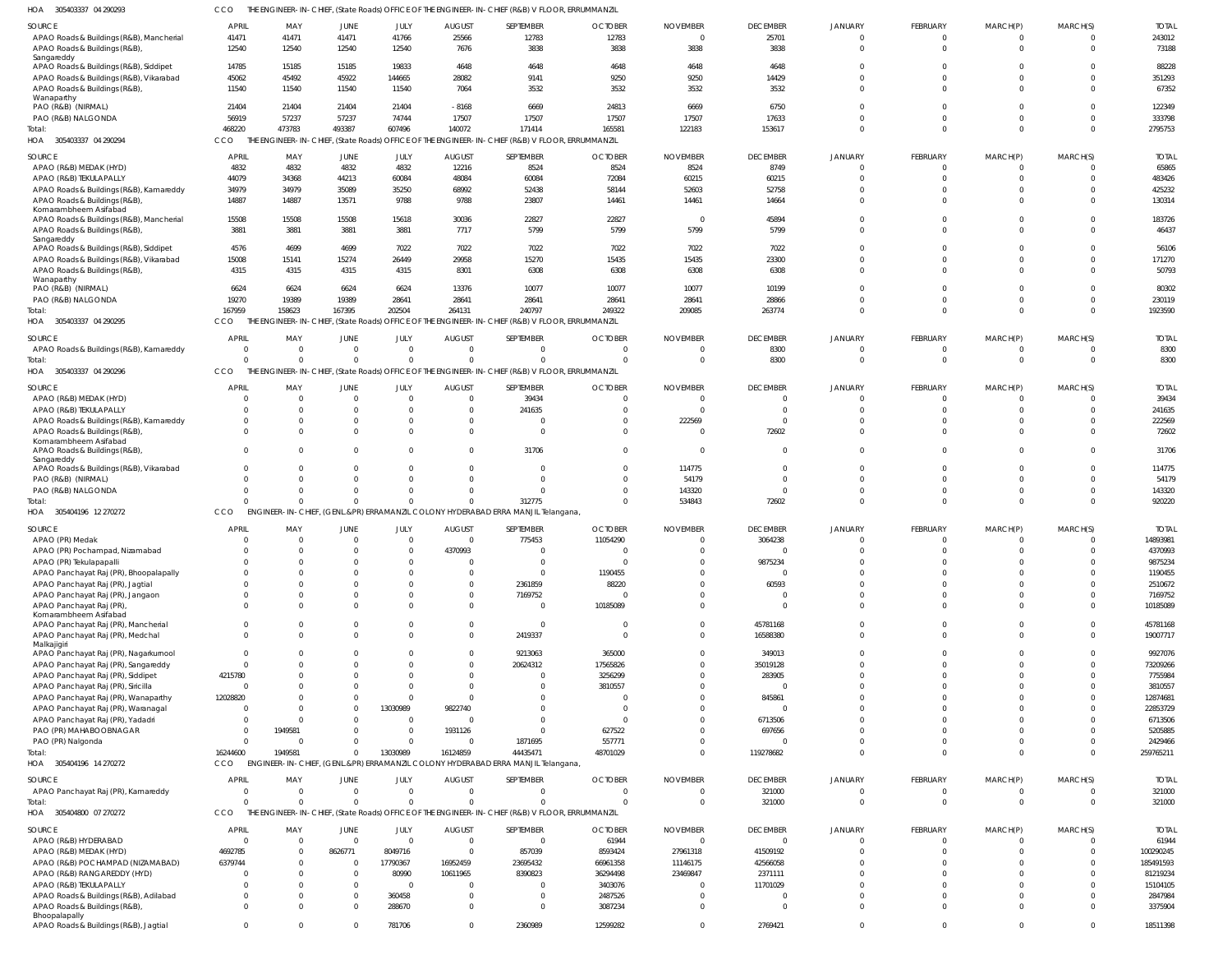305403337 04 290293 HOA CCO THE ENGINEER-IN-CHIEF, (State Roads) OFFICE OF THE ENGINEER-IN-CHIEF (R&B) V FLOOR, ERRUMMANZIL

| SOURCE                                                 |                |          |             |                |               | THE ENGINEER-IN-CHIEF, (State ROads) OFFICE OF THE ENGINEER-IN-CHIEF (R&D) VITEOOR, ERROMMANZIE |                |                          |                     |                |             |             |             |              |
|--------------------------------------------------------|----------------|----------|-------------|----------------|---------------|-------------------------------------------------------------------------------------------------|----------------|--------------------------|---------------------|----------------|-------------|-------------|-------------|--------------|
|                                                        | <b>APRIL</b>   | MAY      | JUNE        | JULY           | <b>AUGUST</b> | SEPTEMBER                                                                                       | <b>OCTOBER</b> | <b>NOVEMBER</b>          | <b>DECEMBER</b>     | <b>JANUARY</b> | FEBRUARY    | MARCH(P)    | MARCH(S)    | <b>TOTAL</b> |
| APAO Roads & Buildings (R&B), Mancherial               | 41471          | 41471    | 41471       | 41766          | 25566         | 12783                                                                                           | 12783          | $\overline{0}$           | 25701               | $\Omega$       | 0           | $\Omega$    | $^{\circ}$  | 243012       |
| APAO Roads & Buildings (R&B),                          | 12540          | 12540    | 12540       | 12540          | 7676          | 3838                                                                                            | 3838           | 3838                     | 3838                | $\Omega$       | $\Omega$    | $\Omega$    | $\Omega$    | 73188        |
| Sangareddy                                             |                |          |             |                |               |                                                                                                 |                |                          |                     |                |             |             |             |              |
| APAO Roads & Buildings (R&B), Siddipet                 | 14785          | 15185    | 15185       | 19833          | 4648          | 4648                                                                                            | 4648           | 4648                     | 4648                | $\Omega$       |             |             | $\Omega$    | 88228        |
| APAO Roads & Buildings (R&B), Vikarabad                | 45062          | 45492    | 45922       | 144665         | 28082         | 9141                                                                                            | 9250           | 9250                     | 14429               | $\Omega$       |             |             | $\mathbf 0$ | 351293       |
|                                                        |                |          |             |                |               |                                                                                                 |                |                          |                     |                |             |             |             |              |
| APAO Roads & Buildings (R&B)                           | 11540          | 11540    | 11540       | 11540          | 7064          | 3532                                                                                            | 3532           | 3532                     | 3532                | $\Omega$       | $\Omega$    | $\Omega$    | $\Omega$    | 67352        |
| Wanaparthy                                             |                |          |             |                |               |                                                                                                 |                |                          |                     |                |             |             |             |              |
| PAO (R&B) (NIRMAL)                                     | 21404          | 21404    | 21404       | 21404          | $-8168$       | 6669                                                                                            | 24813          | 6669                     | 6750                | $\Omega$       |             |             | $\Omega$    | 122349       |
| PAO (R&B) NALGONDA                                     | 56919          | 57237    | 57237       | 74744          | 17507         | 17507                                                                                           | 17507          | 17507                    | 17633               | $\Omega$       | $\Omega$    | $\Omega$    | $\mathbf 0$ | 333798       |
| Total:                                                 | 468220         | 473783   | 493387      | 607496         | 140072        | 171414                                                                                          | 165581         | 122183                   | 153617              | $\Omega$       | $\Omega$    | $\Omega$    | $\Omega$    | 2795753      |
| HOA 305403337 04 290294                                | CCO            |          |             |                |               | THE ENGINEER-IN-CHIEF, (State Roads) OFFICE OF THE ENGINEER-IN-CHIEF (R&B) V FLOOR, ERRUMMANZIL |                |                          |                     |                |             |             |             |              |
|                                                        |                |          |             |                |               |                                                                                                 |                |                          |                     |                |             |             |             |              |
| SOURCE                                                 | <b>APRIL</b>   | MAY      | JUNE        | JULY           | <b>AUGUST</b> | SEPTEMBER                                                                                       | <b>OCTOBER</b> | <b>NOVEMBER</b>          | <b>DECEMBER</b>     | <b>JANUARY</b> | FEBRUARY    | MARCH(P)    | MARCH(S)    | <b>TOTAL</b> |
| APAO (R&B) MEDAK (HYD)                                 | 4832           | 4832     | 4832        | 4832           | 12216         | 8524                                                                                            | 8524           | 8524                     | 8749                |                |             |             | $\Omega$    | 65865        |
| APAO (R&B) TEKULAPALLY                                 | 44079          | 34368    | 44213       | 60084          | 48084         | 60084                                                                                           | 72084          | 60215                    | 60215               | $\Omega$       | $\Omega$    |             | $\Omega$    | 483426       |
| APAO Roads & Buildings (R&B), Kamareddy                | 34979          | 34979    | 35089       | 35250          | 68992         | 52438                                                                                           | 58144          | 52603                    | 52758               | $\Omega$       |             |             | $\Omega$    | 425232       |
| APAO Roads & Buildings (R&B)                           | 14887          | 14887    | 13571       | 9788           | 9788          | 23807                                                                                           | 14461          | 14461                    | 14664               | $\Omega$       |             |             | $\Omega$    | 130314       |
| Komarambheem Asifabad                                  |                |          |             |                |               |                                                                                                 |                |                          |                     |                |             |             |             |              |
| APAO Roads & Buildings (R&B), Mancherial               | 15508          | 15508    | 15508       | 15618          | 30036         | 22827                                                                                           | 22827          | $\overline{\phantom{0}}$ | 45894               | $\Omega$       | 0           | $\Omega$    | $\Omega$    | 183726       |
| APAO Roads & Buildings (R&B)                           | 3881           | 3881     | 3881        | 3881           | 7717          | 5799                                                                                            | 5799           | 5799                     | 5799                | $\Omega$       |             |             | $\Omega$    | 46437        |
| Sangareddy                                             |                |          |             |                |               |                                                                                                 |                |                          |                     |                |             |             |             |              |
| APAO Roads & Buildings (R&B), Siddipet                 | 4576           | 4699     | 4699        | 7022           | 7022          | 7022                                                                                            | 7022           | 7022                     | 7022                | $\Omega$       |             |             | $\Omega$    | 56106        |
| APAO Roads & Buildings (R&B), Vikarabad                | 15008          | 15141    | 15274       | 26449          | 29958         | 15270                                                                                           | 15435          | 15435                    | 23300               | $\Omega$       |             |             | $\Omega$    | 171270       |
|                                                        |                |          |             |                |               |                                                                                                 |                | 6308                     | 6308                | $\Omega$       | $\Omega$    |             | $\Omega$    | 50793        |
| APAO Roads & Buildings (R&B),                          | 4315           | 4315     | 4315        | 4315           | 8301          | 6308                                                                                            | 6308           |                          |                     |                |             |             |             |              |
| Wanaparthy<br>PAO (R&B) (NIRMAL)                       | 6624           | 6624     | 6624        | 6624           | 13376         | 10077                                                                                           | 10077          | 10077                    | 10199               | $\Omega$       |             |             | $\Omega$    | 80302        |
|                                                        |                |          |             |                |               |                                                                                                 |                |                          |                     | $\Omega$       |             |             | $\Omega$    |              |
| PAO (R&B) NALGONDA                                     | 19270          | 19389    | 19389       | 28641          | 28641         | 28641                                                                                           | 28641          | 28641                    | 28866               |                |             |             |             | 230119       |
| Total:                                                 | 167959         | 158623   | 167395      | 202504         | 264131        | 240797                                                                                          | 249322         | 209085                   | 263774              | $\Omega$       | $\Omega$    | $\Omega$    | $\Omega$    | 1923590      |
| HOA 305403337 04 290295                                | CCO            |          |             |                |               | THE ENGINEER-IN-CHIEF, (State Roads) OFFICE OF THE ENGINEER-IN-CHIEF (R&B) V FLOOR, ERRUMMANZIL |                |                          |                     |                |             |             |             |              |
|                                                        |                |          |             |                |               |                                                                                                 |                |                          |                     |                |             |             |             |              |
| <b>SOURCE</b>                                          | <b>APRIL</b>   | MAY      | JUNE        | JULY           | <b>AUGUST</b> | SEPTEMBER                                                                                       | <b>OCTOBER</b> | <b>NOVEMBER</b>          | <b>DECEMBER</b>     | <b>JANUARY</b> | FEBRUARY    | MARCH(P)    | MARCH(S)    | <b>TOTAL</b> |
| APAO Roads & Buildings (R&B), Kamareddy                | - 0            | $\Omega$ | $\Omega$    | $\Omega$       | $\Omega$      | $\mathbf 0$                                                                                     | $\Omega$       | $\Omega$                 | 8300                |                | $\Omega$    | $\Omega$    | $^{\circ}$  | 8300         |
| Total:                                                 | $\Omega$       | $\Omega$ | $\Omega$    | $\Omega$       | $\Omega$      | $\Omega$                                                                                        | $\Omega$       | $\Omega$                 | 8300                | $\Omega$       | $\Omega$    | $\Omega$    | $\mathbf 0$ | 8300         |
| HOA 305403337 04 290296                                | CCO            |          |             |                |               | THE ENGINEER-IN-CHIEF, (State Roads) OFFICE OF THE ENGINEER-IN-CHIEF (R&B) V FLOOR, ERRUMMANZIL |                |                          |                     |                |             |             |             |              |
|                                                        |                |          |             |                |               |                                                                                                 |                |                          |                     |                |             |             |             |              |
| SOURCE                                                 | APRIL          | MAY      | JUNE        | JULY           | <b>AUGUST</b> | SEPTEMBER                                                                                       | <b>OCTOBER</b> | <b>NOVEMBER</b>          | <b>DECEMBER</b>     | <b>JANUARY</b> | FEBRUARY    | MARCH(P)    | MARCH(S)    | <b>TOTAL</b> |
| APAO (R&B) MEDAK (HYD)                                 | - 0            |          |             | $\Omega$       | $\Omega$      | 39434                                                                                           | $\Omega$       | 0                        |                     | $\Omega$       |             | $\Omega$    | $\Omega$    | 39434        |
| APAO (R&B) TEKULAPALLY                                 | C              |          |             | 0              |               | 241635                                                                                          | $\Omega$       | $\Omega$                 | $\Omega$            | $\Omega$       |             |             | $\Omega$    | 241635       |
| APAO Roads & Buildings (R&B), Kamareddy                | $\Omega$       |          |             |                |               | $\Omega$                                                                                        | $\Omega$       | 222569                   | $\Omega$            | $\Omega$       |             |             | $\Omega$    | 222569       |
| APAO Roads & Buildings (R&B),                          | $\Omega$       |          |             |                |               | $\Omega$                                                                                        | $\Omega$       | $\Omega$                 | 72602               | $\Omega$       | $\Omega$    | $\Omega$    | $\Omega$    | 72602        |
| Komarambheem Asifabad                                  |                |          |             |                |               |                                                                                                 |                |                          |                     |                |             |             |             |              |
| APAO Roads & Buildings (R&B),                          | $\Omega$       |          |             |                |               | 31706                                                                                           | $\Omega$       | - 0                      |                     | $\Omega$       |             |             | $\Omega$    | 31706        |
| Sangareddy                                             |                |          |             |                |               |                                                                                                 |                |                          |                     |                |             |             |             |              |
| APAO Roads & Buildings (R&B), Vikarabad                | $\Omega$       |          |             |                |               | $\Omega$                                                                                        | $\Omega$       | 114775                   | $\Omega$            | $\Omega$       |             |             | $\Omega$    | 114775       |
| PAO (R&B) (NIRMAL)                                     | C              |          |             |                |               | $\Omega$                                                                                        | $\Omega$       | 54179                    | $\Omega$            | $\Omega$       |             |             | $\Omega$    | 54179        |
|                                                        |                |          |             |                |               |                                                                                                 |                |                          |                     |                |             |             |             |              |
| PAO (R&B) NALGONDA                                     | $\Omega$       |          |             |                |               | $\Omega$                                                                                        | $\Omega$       | 143320                   | $\Omega$            | $\Omega$       | 0           |             | $\Omega$    | 143320       |
| Total:                                                 | $\sqrt{2}$     |          | $\Omega$    | $\Omega$       |               | 312775                                                                                          | $\Omega$       | 534843                   | 72602               | $\Omega$       | $\Omega$    | $\Omega$    | $\Omega$    | 920220       |
| HOA 305404196 12 270272                                | CCO            |          |             |                |               | ENGINEER-IN-CHIEF, (GENL.&PR) ERRAMANZIL COLONY HYDERABAD ERRA MANJIL Telangana,                |                |                          |                     |                |             |             |             |              |
|                                                        |                |          |             |                |               | SEPTEMBER                                                                                       |                |                          |                     |                |             |             |             |              |
| SOURCE                                                 | <b>APRIL</b>   |          |             |                |               |                                                                                                 | <b>OCTOBER</b> | <b>NOVEMBER</b>          | <b>DECEMBER</b>     | <b>JANUARY</b> | FEBRUARY    | MARCH(P)    | MARCH(S)    | <b>TOTAL</b> |
| APAO (PR) Medak                                        |                | MAY      | JUNE        | JULY           | <b>AUGUST</b> |                                                                                                 |                | $\Omega$                 | 3064238             |                |             |             |             |              |
|                                                        | C              | $\Omega$ |             | $\overline{0}$ | $\Omega$      | 775453                                                                                          | 11054290       |                          |                     |                | 0           |             | $\Omega$    | 14893981     |
| APAO (PR) Pochampad, Nizamabad                         | $\Omega$       | $\Omega$ | $\Omega$    | $\Omega$       | 4370993       | $\Omega$                                                                                        | $\Omega$       | $\Omega$                 | $\Omega$            | $\Omega$       | $\Omega$    | $\Omega$    | $\Omega$    | 4370993      |
|                                                        |                |          |             |                |               |                                                                                                 |                |                          |                     |                |             |             |             |              |
| APAO (PR) Tekulapapalli                                | C              |          |             |                |               |                                                                                                 |                | $\Omega$                 | 9875234<br>$\Omega$ |                |             |             | $\Omega$    | 9875234      |
| APAO Panchayat Raj (PR), Bhoopalapally                 |                |          |             |                |               | $\mathbf 0$                                                                                     | 1190455        |                          |                     |                |             |             |             | 1190455      |
| APAO Panchayat Raj (PR), Jagtial                       | $\mathsf{C}$   | $\Omega$ |             |                |               | 2361859                                                                                         | 88220          | $\Omega$                 | 60593               | $\Omega$       |             |             | $\Omega$    | 2510672      |
| APAO Panchayat Raj (PR), Jangaon                       | $\Omega$       | $\Omega$ |             |                | $\Omega$      | 7169752                                                                                         | $\Omega$       | $\Omega$                 |                     | $\Omega$       |             |             | $\Omega$    | 7169752      |
| APAO Panchayat Raj (PR),                               | $\Omega$       |          |             |                |               | $\Omega$                                                                                        | 10185089       | $\Omega$                 | $\Omega$            | $\Omega$       |             |             | $\Omega$    | 10185089     |
| Komarambheem Asifabad                                  |                |          |             |                |               |                                                                                                 |                |                          |                     |                |             |             |             |              |
| APAO Panchayat Raj (PR), Mancherial                    | $\Omega$       | $\Omega$ | $\Omega$    | $\Omega$       |               | $\Omega$                                                                                        | $\overline{0}$ | $\Omega$                 | 45781168            | $\Omega$       | $\Omega$    | $\Omega$    | $\Omega$    | 45781168     |
| APAO Panchayat Raj (PR), Medchal                       | $\Omega$       | $\Omega$ | $\Omega$    |                | $\Omega$      | 2419337                                                                                         | $\Omega$       | $\Omega$                 | 16588380            | $\Omega$       | $\Omega$    | $\Omega$    | $\Omega$    | 19007717     |
| Malkajigiri                                            |                |          |             |                |               |                                                                                                 |                |                          |                     |                |             |             |             |              |
| APAO Panchayat Raj (PR), Nagarkurnool                  | $\overline{0}$ |          |             |                |               | 9213063                                                                                         | 365000         | $\mathbf 0$              | 349013              | $\Omega$       |             |             | $\Omega$    | 9927076      |
| APAO Panchayat Raj (PR), Sangareddy                    | $\overline{0}$ |          |             |                |               | 20624312                                                                                        | 17565826       | $\Omega$                 | 35019128            | $\Omega$       |             |             | $\Omega$    | 73209266     |
| APAO Panchayat Raj (PR), Siddipet                      | 4215780        |          |             | $\Omega$       | $\Omega$      | $\Omega$                                                                                        | 3256299        | $\Omega$                 | 283905              | $\Omega$       |             |             | $\Omega$    | 7755984      |
| APAO Panchayat Raj (PR), Siricilla                     | $\overline{0}$ |          |             |                |               | $\Omega$                                                                                        | 3810557        | $\Omega$                 | $\Omega$            | $\Omega$       |             |             | $\Omega$    | 3810557      |
| APAO Panchayat Raj (PR), Wanaparthy                    | 12028820       |          | $\Omega$    |                |               | $\Omega$                                                                                        | $\Omega$       | $\Omega$                 | 845861              | $\Omega$       |             |             | $\Omega$    | 12874681     |
|                                                        | $\Omega$       |          | $\Omega$    |                |               | $\Omega$                                                                                        | $\overline{0}$ | $\Omega$                 | $\Omega$            | $\Omega$       |             |             | $\Omega$    |              |
| APAO Panchayat Raj (PR), Waranagal                     |                | $\Omega$ |             | 13030989       | 9822740       |                                                                                                 |                |                          |                     | $\Omega$       |             |             |             | 22853729     |
| APAO Panchayat Raj (PR), Yadadri                       | $\overline{0}$ |          |             | $\Omega$       |               | $\Omega$                                                                                        | $\Omega$       | $\Omega$                 | 6713506             |                |             |             | $\Omega$    | 6713506      |
| PAO (PR) MAHABOOBNAGAR                                 | $\overline{0}$ | 1949581  |             | $\Omega$       | 1931126       | $\mathbf 0$                                                                                     | 627522         | $\Omega$                 | 697656              | $\Omega$       |             |             | $\Omega$    | 5205885      |
| PAO (PR) Nalgonda                                      | $\Omega$       | $\Omega$ | $\Omega$    | $\Omega$       |               | 1871695                                                                                         | 557771         | $\Omega$                 |                     | $\Omega$       |             | $\Omega$    | $\Omega$    | 2429466      |
| Total:                                                 | 16244600       | 1949581  | $\Omega$    | 13030989       | 16124859      | 44435471                                                                                        | 48701029       | $\Omega$                 | 119278682           | $\Omega$       |             | $\Omega$    | $\Omega$    | 259765211    |
| HOA 305404196 14 270272                                | <b>CCO</b>     |          |             |                |               | ENGINEER-IN-CHIEF, (GENL.&PR) ERRAMANZIL COLONY HYDERABAD ERRA MANJIL Telangana,                |                |                          |                     |                |             |             |             |              |
|                                                        |                |          |             |                |               |                                                                                                 |                |                          |                     |                |             |             |             |              |
| SOURCE                                                 | APRIL          | MAY      | JUNE        | JULY           | <b>AUGUST</b> | SEPTEMBER                                                                                       | <b>OCTOBER</b> | <b>NOVEMBER</b>          | <b>DECEMBER</b>     | <b>JANUARY</b> | FEBRUARY    | MARCH(P)    | MARCH(S)    | <b>TOTAL</b> |
| APAO Panchayat Raj (PR), Kamareddy                     | $\overline{0}$ | $\Omega$ | $\Omega$    | $\overline{0}$ | $\Omega$      | $\mathbf 0$                                                                                     | $\overline{0}$ | $\mathbf 0$              | 321000              | $\Omega$       | 0           | $\mathbf 0$ | $\mathbf 0$ | 321000       |
| Total:                                                 | $\Omega$       | $\Omega$ | $\Omega$    | $\Omega$       |               | $\mathbf 0$                                                                                     | $\Omega$       | $\overline{0}$           | 321000              | $\Omega$       | $\mathbf 0$ | $\Omega$    | $\mathbf 0$ | 321000       |
| HOA 305404800 07 270272                                | CCO            |          |             |                |               | THE ENGINEER-IN-CHIEF, (State Roads) OFFICE OF THE ENGINEER-IN-CHIEF (R&B) V FLOOR, ERRUMMANZIL |                |                          |                     |                |             |             |             |              |
|                                                        |                |          |             |                |               |                                                                                                 |                |                          |                     |                |             |             |             |              |
| SOURCE                                                 | APRIL          | MAY      | <b>JUNE</b> | JULY           | <b>AUGUST</b> | SEPTEMBER                                                                                       | <b>OCTOBER</b> | <b>NOVEMBER</b>          | <b>DECEMBER</b>     | <b>JANUARY</b> | FEBRUARY    | MARCH(P)    | MARCH(S)    | <b>TOTAL</b> |
| APAO (R&B) HYDERABAD                                   | $\Omega$       | $\Omega$ | $\Omega$    | $\Omega$       | $\Omega$      | $\mathbf 0$                                                                                     | 61944          | $^{\circ}$               | $\Omega$            | $\cap$         | $\Omega$    | $\Omega$    | $\mathbf 0$ | 61944        |
| APAO (R&B) MEDAK (HYD)                                 | 4692785        |          | 8626771     | 8049716        | $\Omega$      | 857039                                                                                          | 8593424        | 27961318                 | 41509192            | $\Omega$       | $\Omega$    | $\Omega$    | $\mathbf 0$ | 100290245    |
|                                                        |                |          | $\Omega$    |                |               |                                                                                                 |                |                          |                     | $\Omega$       |             |             | $\Omega$    |              |
| APAO (R&B) POCHAMPAD (NIZAMABAD)                       | 6379744        |          |             | 17790367       | 16952459      | 23695432                                                                                        | 66961358       | 11146175                 | 42566058            |                |             |             |             | 185491593    |
| APAO (R&B) RANGAREDDY (HYD)                            | $\Omega$       | $\Omega$ | $\Omega$    | 80990          | 10611965      | 8390823                                                                                         | 36294498       | 23469847                 | 2371111             | $\Omega$       |             |             | $\Omega$    | 81219234     |
| APAO (R&B) TEKULAPALLY                                 | $\mathsf{C}$   |          | $\Omega$    |                | $\Omega$      | $\mathbf 0$                                                                                     | 3403076        | $\Omega$                 | 11701029            | $\Omega$       |             |             | $\Omega$    | 15104105     |
| APAO Roads & Buildings (R&B), Adilabad                 | $\Omega$       |          | $\Omega$    | 360458         | $\Omega$      | $\mathbf 0$                                                                                     | 2487526        | $\Omega$                 |                     | $\Omega$       |             |             | $\Omega$    | 2847984      |
| APAO Roads & Buildings (R&B),                          | $\Omega$       | $\Omega$ | $\Omega$    | 288670         | $\Omega$      | $\mathbf 0$                                                                                     | 3087234        | $\Omega$                 | $\Omega$            | $\Omega$       | $\Omega$    | $\Omega$    | $\Omega$    | 3375904      |
| Bhoopalapally<br>APAO Roads & Buildings (R&B), Jagtial | $\mathbf 0$    | $\Omega$ | $\Omega$    | 781706         | $\Omega$      | 2360989                                                                                         | 12599282       | $\mathbf 0$              | 2769421             | $\mathbf 0$    | $\mathbf 0$ | $\mathbf 0$ | $\mathbf 0$ | 18511398     |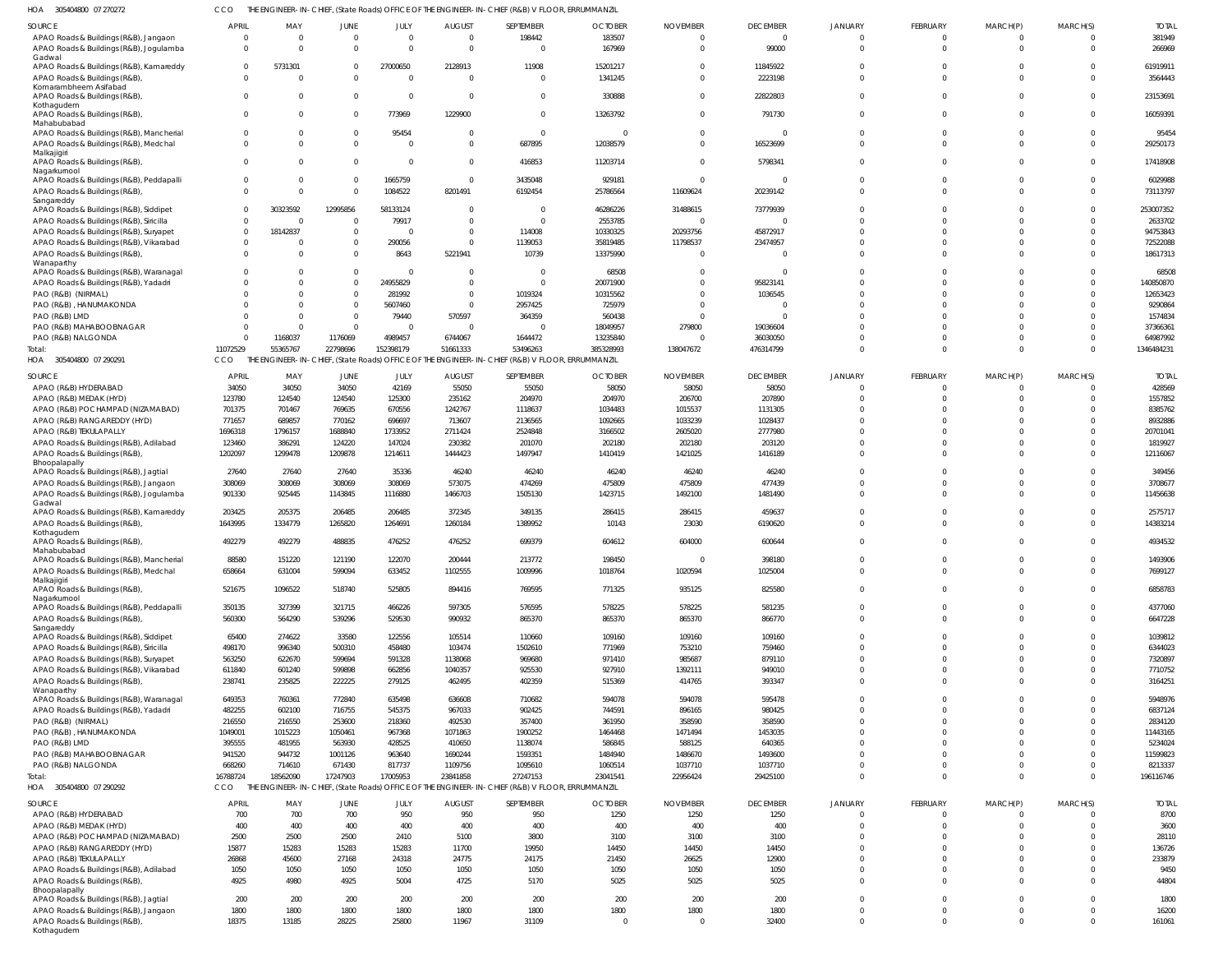305404800 07 270272 HOA CCO THE ENGINEER-IN-CHIEF, (State Roads) OFFICE OF THE ENGINEER-IN-CHIEF (R&B) V FLOOR, ERRUMMANZIL

| 183507<br>381949<br>APAO Roads & Buildings (R&B), Jangaon<br>198442<br>$\overline{0}$<br>$\overline{0}$<br>$\Omega$<br>$\Omega$<br>$\Omega$<br>0<br>$\Omega$<br>0<br>167969<br>99000<br>266969<br>APAO Roads & Buildings (R&B), Jogulamba<br>$\Omega$<br>$\Omega$<br>$\Omega$<br>$\Omega$<br>$\Omega$<br>$\Omega$<br>$\Omega$<br>$\Omega$<br>$\Omega$<br>Gadwal<br>61919911<br>5731301<br>27000650<br>2128913<br>11908<br>15201217<br>11845922<br>APAO Roads & Buildings (R&B), Kamareddy<br>$\Omega$<br>$\Omega$<br>$\Omega$<br>$\Omega$<br>$\Omega$<br>1341245<br>2223198<br>3564443<br>APAO Roads & Buildings (R&B)<br>$\Omega$<br>$\Omega$<br>$\Omega$<br>$\Omega$<br>$\Omega$<br>$\Omega$<br>$\Omega$<br>Komarambheem Asifabad<br>23153691<br>APAO Roads & Buildings (R&B)<br>$\Omega$<br>$\Omega$<br>$\Omega$<br>$\Omega$<br>330888<br>22822803<br>$\Omega$<br>$\Omega$<br>$\Omega$<br>Kothagudem<br>773969<br>1229900<br>791730<br>16059391<br>APAO Roads & Buildings (R&B),<br>$\Omega$<br>$\Omega$<br>13263792<br>$\Omega$<br>$\Omega$<br>$\Omega$<br>$\Omega$<br>$\Omega$<br>Mahabubabad<br>95454<br>95454<br>APAO Roads & Buildings (R&B), Mancherial<br>$\Omega$<br>$\Omega$<br>$\Omega$<br>- 0<br>$\Omega$<br>$\Omega$<br>$\Omega$<br>$\Omega$<br>12038579<br>16523699<br>29250173<br>$\Omega$<br>687895<br>APAO Roads & Buildings (R&B), Medchal<br>$\Omega$<br>$\Omega$<br>$\Omega$<br>$\Omega$<br>$\Omega$<br>$\Omega$<br>Malkajigiri<br>11203714<br>17418908<br>APAO Roads & Buildings (R&B),<br>$\Omega$<br>$\Omega$<br>416853<br>5798341<br>$\Omega$<br>$\Omega$<br>$\Omega$<br>Nagarkurnool<br>1665759<br>3435048<br>929181<br>6029988<br>APAO Roads & Buildings (R&B), Peddapalli<br>$\Omega$<br>$\Omega$<br>$\Omega$<br>$\Omega$<br>$\Omega$<br>$\Omega$<br>1084522<br>8201491<br>6192454<br>20239142<br>73113797<br>APAO Roads & Buildings (R&B),<br>25786564<br>11609624<br>$\Omega$<br>$\Omega$<br>$\Omega$<br>$\Omega$<br>$\Omega$<br>$\Omega$<br>Sangareddy<br>30323592<br>58133124<br>31488615<br>73779939<br>253007352<br>12995856<br>46286226<br>APAO Roads & Buildings (R&B), Siddipet<br>$\Omega$<br>$\Omega$<br>$\Omega$<br>$\Omega$<br>$\Omega$<br>2633702<br>79917<br>2553785<br>APAO Roads & Buildings (R&B), Siricilla<br>$\Omega$<br>$\Omega$<br>$\Omega$<br>- 0<br>$\Omega$<br>$\sqrt{2}$<br>$\Omega$<br>94753843<br>18142837<br>10330325<br>20293756<br>45872917<br>APAO Roads & Buildings (R&B), Suryapet<br>$\Omega$<br>$\Omega$<br>114008<br>$\Omega$<br>$\Omega$<br>$\Omega$<br>11798537<br>72522088<br>APAO Roads & Buildings (R&B), Vikarabad<br>290056<br>1139053<br>35819485<br>23474957<br>$\Omega$<br>$\Omega$<br>$\Omega$<br>$\Omega$<br>$\Omega$<br>18617313<br>APAO Roads & Buildings (R&B),<br>8643<br>5221941<br>10739<br>13375990<br>$\Omega$<br>$\Omega$<br>$\Omega$<br>$\Omega$<br>$\Omega$<br>Wanaparthy<br>68508<br>68508<br>APAO Roads & Buildings (R&B), Waranagal<br>$\Omega$<br>$\Omega$<br>$\Omega$<br>$\Omega$<br>$\Omega$<br>$\Omega$<br>$\Omega$<br>24955829<br>20071900<br>95823141<br>140850870<br>$\Omega$<br>$\Omega$<br>APAO Roads & Buildings (R&B), Yadadri<br>$\Omega$<br>$\Omega$<br>$\Omega$<br>$\Omega$<br>281992<br>10315562<br>1036545<br>12653423<br>PAO (R&B) (NIRMAL)<br>1019324<br>$\Omega$<br>$\Omega$<br>725979<br>9290864<br>PAO (R&B), HANUMAKONDA<br>5607460<br>2957425<br>$\Omega$<br>$\Omega$<br>$\Omega$<br>570597<br>1574834<br>PAO (R&B) LMD<br>79440<br>364359<br>560438<br>$\Omega$<br>$\Omega$<br>$\Omega$<br>$\cup$<br>$\Omega$<br>18049957<br>279800<br>19036604<br>37366361<br>PAO (R&B) MAHABOOBNAGAR<br>$\Omega$<br>$\Omega$<br>$\Omega$<br>$\Omega$<br>$\Omega$<br>$\Omega$<br>4989457<br>6744067<br>64987992<br>PAO (R&B) NALGONDA<br>1168037<br>1176069<br>1644472<br>13235840<br>36030050<br>$\Omega$<br>$\Omega$<br>$\Omega$<br>$\Omega$<br>152398179<br>1346484231<br>11072529<br>55365767<br>22798696<br>51661333<br>53496263<br>385328993<br>138047672<br>476314799<br>$\Omega$<br>$\Omega$<br>$\Omega$<br>$\Omega$<br>Total:<br>CCO<br>305404800 07 290291<br>THE ENGINEER-IN-CHIEF, (State Roads) OFFICE OF THE ENGINEER-IN-CHIEF (R&B) V FLOOR, ERRUMMANZIL<br>HOA<br>APRIL<br>JULY<br>SEPTEMBER<br><b>OCTOBER</b><br><b>NOVEMBER</b><br><b>DECEMBER</b><br>MARCH(P)<br>MARCH(S)<br>SOURCE<br>MAY<br>JUNE<br><b>AUGUST</b><br>JANUARY<br>FEBRUARY<br>42169<br>55050<br>58050<br>428569<br>APAO (R&B) HYDERABAD<br>34050<br>34050<br>34050<br>55050<br>58050<br>58050<br>$\Omega$<br>$\Omega$<br>$\Omega$<br>$\Omega$<br>204970<br>1557852<br>124540<br>124540<br>125300<br>235162<br>204970<br>206700<br>207890<br>APAO (R&B) MEDAK (HYD)<br>123780<br>$\Omega$<br>$\Omega$<br>$\Omega$<br>$\Omega$<br>1015537<br>8385762<br>701375<br>701467<br>769635<br>670556<br>1242767<br>1118637<br>1034483<br>1131305<br>APAO (R&B) POCHAMPAD (NIZAMABAD)<br>$\Omega$<br>$\Omega$<br>696697<br>1033239<br>8932886<br>APAO (R&B) RANGAREDDY (HYD)<br>771657<br>689857<br>770162<br>713607<br>2136565<br>1092665<br>1028437<br>$\Omega$<br>$\Omega$<br>$\Omega$<br>APAO (R&B) TEKULAPALLY<br>1796157<br>1688840<br>1733952<br>2711424<br>3166502<br>2605020<br>2777980<br>20701041<br>1696318<br>2524848<br>$\Omega$<br>$\Omega$<br>$\Omega$<br>1819927<br>123460<br>386291<br>124220<br>147024<br>230382<br>201070<br>202180<br>202180<br>203120<br>APAO Roads & Buildings (R&B), Adilabad<br>$\Omega$<br>$\Omega$<br>$\Omega$<br>$\Omega$<br>1202097<br>1299478<br>1209878<br>1444423<br>1497947<br>1410419<br>1421025<br>$\Omega$<br>12116067<br>APAO Roads & Buildings (R&B)<br>1214611<br>1416189<br>$\Omega$<br>$\Omega$<br>$\Omega$<br>Bhoopalapally<br>46240<br>349456<br>27640<br>27640<br>27640<br>35336<br>46240<br>46240<br>46240<br>46240<br>APAO Roads & Buildings (R&B), Jagtial<br>$\Omega$<br>$\Omega$<br>$\Omega$<br>308069<br>573075<br>475809<br>475809<br>477439<br>3708677<br>308069<br>308069<br>308069<br>474269<br>$\Omega$<br>$\Omega$<br>APAO Roads & Buildings (R&B), Jangaon<br>$\Omega$<br>$\Omega$<br>901330<br>1143845<br>1116880<br>1466703<br>1505130<br>1423715<br>1492100<br>1481490<br>11456638<br>APAO Roads & Buildings (R&B), Jogulamba<br>925445<br>$\Omega$<br>$\Omega$<br>$\Omega$<br>$\Omega$<br>Gadwal<br>206485<br>372345<br>349135<br>286415<br>459637<br>2575717<br>APAO Roads & Buildings (R&B), Kamareddy<br>203425<br>205375<br>206485<br>286415<br>$\Omega$<br>$\Omega$<br>$\Omega$<br>$\Omega$<br>1389952<br>10143<br>23030<br>14383214<br>APAO Roads & Buildings (R&B)<br>1643995<br>1334779<br>1265820<br>1264691<br>1260184<br>6190620<br>$\Omega$<br>$\Omega$<br>$\Omega$<br>$\Omega$<br>Kothagudem<br>4934532<br>492279<br>492279<br>488835<br>476252<br>476252<br>699379<br>604612<br>604000<br>600644<br>$\Omega$<br>APAO Roads & Buildings (R&B)<br>$\Omega$<br>$\Omega$<br>Mahabubabad<br>88580<br>151220<br>121190<br>122070<br>198450<br>398180<br>1493906<br>APAO Roads & Buildings (R&B), Mancherial<br>200444<br>213772<br>$\Omega$<br>$\Omega$<br>$\Omega$<br>$\Omega$<br>$\Omega$<br>599094<br>633452<br>1102555<br>1009996<br>1018764<br>1020594<br>1025004<br>APAO Roads & Buildings (R&B), Medchal<br>658664<br>631004<br>$\Omega$<br>$\mathbf 0$<br>$\Omega$<br>$\Omega$<br>Malkajigiri<br>521675<br>1096522<br>518740<br>525805<br>894416<br>769595<br>771325<br>935125<br>825580<br>6858783<br>APAO Roads & Buildings (R&B),<br>$\overline{0}$<br>$\mathbf 0$<br>$\Omega$<br>$\Omega$<br>Nagarkurnool<br>350135<br>327399<br>321715<br>466226<br>597305<br>576595<br>578225<br>578225<br>581235<br>4377060<br>APAO Roads & Buildings (R&B), Peddapalli<br>$\overline{0}$<br>$\Omega$<br>$\Omega$<br>$\Omega$<br>529530<br>990932<br>865370<br>865370<br>866770<br>$\overline{0}$<br>6647228<br>APAO Roads & Buildings (R&B),<br>560300<br>564290<br>539296<br>865370<br>$\Omega$<br>$\Omega$<br>$\Omega$<br>Sangareddy<br>1039812<br>APAO Roads & Buildings (R&B), Siddipet<br>65400<br>274622<br>33580<br>122556<br>105514<br>110660<br>109160<br>109160<br>109160<br>$\overline{0}$<br>$\Omega$<br>$\Omega$<br>$\Omega$<br>500310<br>458480<br>103474<br>1502610<br>771969<br>753210<br>759460<br>$\Omega$<br>$\Omega$<br>6344023<br>APAO Roads & Buildings (R&B), Siricilla<br>498170<br>996340<br>$\Omega$<br>$\Omega$<br>563250<br>599694<br>591328<br>985687<br>879110<br>$\Omega$<br>7320897<br>APAO Roads & Buildings (R&B), Suryapet<br>622670<br>1138068<br>969680<br>971410<br>$\Omega$<br>$\Omega$<br>$\Omega$<br>927910<br>1392111<br>$\overline{0}$<br>7710752<br>APAO Roads & Buildings (R&B), Vikarabad<br>611840<br>601240<br>599898<br>662856<br>1040357<br>925530<br>949010<br>$\Omega$<br>$\Omega$<br>$\Omega$<br>238741<br>222225<br>462495<br>402359<br>515369<br>414765<br>393347<br>$\Omega$<br>$\Omega$<br>3164251<br>APAO Roads & Buildings (R&B),<br>235825<br>279125<br>$\Omega$<br>$\Omega$<br>Wanaparthy<br>649353<br>760361<br>772840<br>635498<br>594078<br>594078<br>595478<br>5948976<br>APAO Roads & Buildings (R&B), Waranagal<br>636608<br>710682<br>$\Omega$<br>$\Omega$<br>$\Omega$<br>$\Omega$<br>482255<br>545375<br>744591<br>980425<br>$\Omega$<br>6837124<br>APAO Roads & Buildings (R&B), Yadadri<br>602100<br>716755<br>967033<br>902425<br>896165<br>$\Omega$<br>$\Omega$<br>$\Omega$<br>216550<br>218360<br>492530<br>361950<br>358590<br>358590<br>$\Omega$<br>2834120<br>PAO (R&B) (NIRMAL)<br>216550<br>253600<br>357400<br>$\Omega$<br>$\Omega$<br>$\Omega$<br>1049001<br>1050461<br>967368<br>1071863<br>1464468<br>1453035<br>$\Omega$<br>11443165<br>PAO (R&B), HANUMAKONDA<br>1015223<br>1900252<br>1471494<br>$\Omega$<br>$\Omega$<br>$\Omega$<br>640365<br>5234024<br>PAO (R&B) LMD<br>395555<br>481955<br>563930<br>428525<br>410650<br>1138074<br>586845<br>588125<br>$\Omega$<br>$\Omega$<br>$\Omega$<br>$\Omega$<br>941520<br>1001126<br>1690244<br>1484940<br>1486670<br>$\Omega$<br>11599823<br>PAO (R&B) MAHABOOBNAGAR<br>944732<br>963640<br>1593351<br>1493600<br>$\Omega$<br>$\Omega$<br>$\Omega$<br>668260<br>671430<br>817737<br>1109756<br>1037710<br>1037710<br>$\Omega$<br>8213337<br>714610<br>1095610<br>1060514<br>$\Omega$<br>$\Omega$<br>$\Omega$<br>PAO (R&B) NALGONDA<br>23841858<br>27247153<br>$\Omega$<br>$\Omega$<br>196116746<br>16788724<br>18562090<br>17247903<br>17005953<br>23041541<br>22956424<br>29425100<br>$\Omega$<br>$\Omega$<br>Total:<br>THE ENGINEER-IN-CHIEF, (State Roads) OFFICE OF THE ENGINEER-IN-CHIEF (R&B) V FLOOR, ERRUMMANZIL<br>HOA 305404800 07 290292<br>CCO<br><b>SOURCE</b><br><b>APRIL</b><br><b>AUGUST</b><br>SEPTEMBER<br><b>OCTOBER</b><br><b>NOVEMBER</b><br><b>DECEMBER</b><br>JANUARY<br><b>FEBRUARY</b><br>MARCH(P)<br>MARCH(S)<br><b>TOTAL</b><br>MAY<br><b>JUNE</b><br>JULY<br>950<br>950<br>1250<br>1250<br>APAO (R&B) HYDERABAD<br>700<br>700<br>700<br>950<br>1250<br>$\Omega$<br>$\mathbf 0$<br>$\Omega$<br>$\Omega$<br>400<br>400<br>400<br>400<br>400<br>400<br>400<br>400<br>400<br>APAO (R&B) MEDAK (HYD)<br>$\Omega$<br>$\Omega$<br>$\Omega$<br>$\Omega$<br>5100<br>3800<br>3100<br>3100<br>APAO (R&B) POCHAMPAD (NIZAMABAD)<br>2500<br>2500<br>2500<br>2410<br>3100<br>$\Omega$<br>$\Omega$<br>$\Omega$<br>$\Omega$<br>15877<br>15283<br>15283<br>15283<br>11700<br>19950<br>14450<br>14450<br>136726<br>APAO (R&B) RANGAREDDY (HYD)<br>14450<br>$\Omega$<br>$\Omega$<br>$\Omega$<br>$\Omega$<br>26868<br>24318<br>24775<br>24175<br>21450<br>26625<br>12900<br>233879<br>APAO (R&B) TEKULAPALLY<br>45600<br>27168<br>$\Omega$<br>$\Omega$<br>$\Omega$<br>$\Omega$<br>1050<br>1050<br>1050<br>1050<br>1050<br>APAO Roads & Buildings (R&B), Adilabad<br>1050<br>1050<br>1050<br>1050<br>$\Omega$<br>$\Omega$<br>$\Omega$<br>$\Omega$<br>4925<br>5025<br>5025<br>44804<br>APAO Roads & Buildings (R&B),<br>4980<br>4925<br>5004<br>4725<br>5170<br>5025<br>$\Omega$<br>$\Omega$<br>$\Omega$<br>$\Omega$<br>Bhoopalapally<br>200<br>200<br>200<br>APAO Roads & Buildings (R&B), Jagtial<br>200<br>200<br>200<br>200<br>200<br>200<br>$\Omega$<br>$\Omega$<br>$\Omega$<br>$\Omega$<br>1800<br>1800<br>1800<br>1800<br>1800<br>1800<br>1800<br>1800<br>1800<br>$\overline{0}$<br>$\Omega$<br>16200<br>APAO Roads & Buildings (R&B), Jangaon<br>$\mathbf 0$<br>$\Omega$<br>$\Omega$<br>APAO Roads & Buildings (R&B),<br>18375<br>13185<br>28225<br>25800<br>11967<br>31109<br>32400<br>$\overline{0}$<br>$\Omega$<br>$\Omega$<br>161061<br>$\Omega$<br>$\Omega$ | SOURCE     | <b>APRIL</b> | MAY | JUNE | JULY | <b>AUGUST</b> | SEPTEMBER | <b>OCTOBER</b> | <b>NOVEMBER</b> | <b>DECEMBER</b> | <b>JANUARY</b> | FEBRUARY | MARCH(P) | MARCH(S) | <b>TOTAL</b> |
|--------------------------------------------------------------------------------------------------------------------------------------------------------------------------------------------------------------------------------------------------------------------------------------------------------------------------------------------------------------------------------------------------------------------------------------------------------------------------------------------------------------------------------------------------------------------------------------------------------------------------------------------------------------------------------------------------------------------------------------------------------------------------------------------------------------------------------------------------------------------------------------------------------------------------------------------------------------------------------------------------------------------------------------------------------------------------------------------------------------------------------------------------------------------------------------------------------------------------------------------------------------------------------------------------------------------------------------------------------------------------------------------------------------------------------------------------------------------------------------------------------------------------------------------------------------------------------------------------------------------------------------------------------------------------------------------------------------------------------------------------------------------------------------------------------------------------------------------------------------------------------------------------------------------------------------------------------------------------------------------------------------------------------------------------------------------------------------------------------------------------------------------------------------------------------------------------------------------------------------------------------------------------------------------------------------------------------------------------------------------------------------------------------------------------------------------------------------------------------------------------------------------------------------------------------------------------------------------------------------------------------------------------------------------------------------------------------------------------------------------------------------------------------------------------------------------------------------------------------------------------------------------------------------------------------------------------------------------------------------------------------------------------------------------------------------------------------------------------------------------------------------------------------------------------------------------------------------------------------------------------------------------------------------------------------------------------------------------------------------------------------------------------------------------------------------------------------------------------------------------------------------------------------------------------------------------------------------------------------------------------------------------------------------------------------------------------------------------------------------------------------------------------------------------------------------------------------------------------------------------------------------------------------------------------------------------------------------------------------------------------------------------------------------------------------------------------------------------------------------------------------------------------------------------------------------------------------------------------------------------------------------------------------------------------------------------------------------------------------------------------------------------------------------------------------------------------------------------------------------------------------------------------------------------------------------------------------------------------------------------------------------------------------------------------------------------------------------------------------------------------------------------------------------------------------------------------------------------------------------------------------------------------------------------------------------------------------------------------------------------------------------------------------------------------------------------------------------------------------------------------------------------------------------------------------------------------------------------------------------------------------------------------------------------------------------------------------------------------------------------------------------------------------------------------------------------------------------------------------------------------------------------------------------------------------------------------------------------------------------------------------------------------------------------------------------------------------------------------------------------------------------------------------------------------------------------------------------------------------------------------------------------------------------------------------------------------------------------------------------------------------------------------------------------------------------------------------------------------------------------------------------------------------------------------------------------------------------------------------------------------------------------------------------------------------------------------------------------------------------------------------------------------------------------------------------------------------------------------------------------------------------------------------------------------------------------------------------------------------------------------------------------------------------------------------------------------------------------------------------------------------------------------------------------------------------------------------------------------------------------------------------------------------------------------------------------------------------------------------------------------------------------------------------------------------------------------------------------------------------------------------------------------------------------------------------------------------------------------------------------------------------------------------------------------------------------------------------------------------------------------------------------------------------------------------------------------------------------------------------------------------------------------------------------------------------------------------------------------------------------------------------------------------------------------------------------------------------------------------------------------------------------------------------------------------------------------------------------------------------------------------------------------------------------------------------------------------------------------------------------------------------------------------------------------------------------------------------------------------------------------------------------------------------------------------------------------------------------------------------------------------------------------------------------------------------------------------------------------------------------------------------------------------------------------------------------------------------------------------------------------------------------------------------------------------------------------------------------------------------------------------------------------------------------------------------------------------------------------------------------------------------------------------------------------------------------------------------------------------------------------------------------------------------------------------------------------------------------------------------------------------------------------------------------------------------------------------------------------------------------------------------------------------------------------------------------------------------------------------------------------------------------------------------------------------------------------------------------------------------------------------------------------------------------------------------------------------------------------------------------------------------------------------------------------------------------------------------------------------------------------------------------------------------------------------------------------------------------------------------------------------------------------------------------------------------------------------------------------------------------------------------------------------------------------------------------------------------------------------------------------------------------------------------------------------------------------------------------------------------------------------------------------------------------------------------------------------------------------------------------------------------------------------------------------------------------------------------------------------------------------------------------------------------------------------------------------------------------------------------------------------------------------------------------------------------------------------------------------------------------------------------------------------------------------------------------------------------------------------------------------------------------------------------------------------------------------------------------------------------------------------------------------------------------------------------------------------------------------------------------------------------------------------------------------------------------------------------------------------------------------------------------------------------------------------------------------------------------------------------------------------------------------------------------------------------------------------------------------------------------------------------------------------------------------------------------------------------------------------------------------------------------------------------------------------------------------------------------------------------------------------------------------------------------------------------------------------------------------------------------------------------------------------------------------------------------------------------------------------------------------------------------------------------------------------------------------------------------------------------------------------------------------------------------------------------------------------------------------------------------------------------------------------------------------------------------------------------------------------------------------------------------------------------------------------------------------------------------------------------------------------------------------------------------------------------------------------------------------------------|------------|--------------|-----|------|------|---------------|-----------|----------------|-----------------|-----------------|----------------|----------|----------|----------|--------------|
|                                                                                                                                                                                                                                                                                                                                                                                                                                                                                                                                                                                                                                                                                                                                                                                                                                                                                                                                                                                                                                                                                                                                                                                                                                                                                                                                                                                                                                                                                                                                                                                                                                                                                                                                                                                                                                                                                                                                                                                                                                                                                                                                                                                                                                                                                                                                                                                                                                                                                                                                                                                                                                                                                                                                                                                                                                                                                                                                                                                                                                                                                                                                                                                                                                                                                                                                                                                                                                                                                                                                                                                                                                                                                                                                                                                                                                                                                                                                                                                                                                                                                                                                                                                                                                                                                                                                                                                                                                                                                                                                                                                                                                                                                                                                                                                                                                                                                                                                                                                                                                                                                                                                                                                                                                                                                                                                                                                                                                                                                                                                                                                                                                                                                                                                                                                                                                                                                                                                                                                                                                                                                                                                                                                                                                                                                                                                                                                                                                                                                                                                                                                                                                                                                                                                                                                                                                                                                                                                                                                                                                                                                                                                                                                                                                                                                                                                                                                                                                                                                                                                                                                                                                                                                                                                                                                                                                                                                                                                                                                                                                                                                                                                                                                                                                                                                                                                                                                                                                                                                                                                                                                                                                                                                                                                                                                                                                                                                                                                                                                                                                                                                                                                                                                                                                                                                                                                                                                                                                                                                                                                                                                                                                                                                                                                                                                                                                                                                                                                                                                                                                                                                                                                                                                                                                                                                                                                                                                                                                                                                                                                                                                                                                                                                                                                                                                                                                                                                                                                                                                                                                                                                                                                                                                                                                                                                                                                                                                                                                                                                                                                                                                                                                                                                                                                                                                                                                                                                                                                                                                                                                                                                                                                                                                                                                                                                                                                                                                                                                                                                      |            |              |     |      |      |               |           |                |                 |                 |                |          |          |          |              |
|                                                                                                                                                                                                                                                                                                                                                                                                                                                                                                                                                                                                                                                                                                                                                                                                                                                                                                                                                                                                                                                                                                                                                                                                                                                                                                                                                                                                                                                                                                                                                                                                                                                                                                                                                                                                                                                                                                                                                                                                                                                                                                                                                                                                                                                                                                                                                                                                                                                                                                                                                                                                                                                                                                                                                                                                                                                                                                                                                                                                                                                                                                                                                                                                                                                                                                                                                                                                                                                                                                                                                                                                                                                                                                                                                                                                                                                                                                                                                                                                                                                                                                                                                                                                                                                                                                                                                                                                                                                                                                                                                                                                                                                                                                                                                                                                                                                                                                                                                                                                                                                                                                                                                                                                                                                                                                                                                                                                                                                                                                                                                                                                                                                                                                                                                                                                                                                                                                                                                                                                                                                                                                                                                                                                                                                                                                                                                                                                                                                                                                                                                                                                                                                                                                                                                                                                                                                                                                                                                                                                                                                                                                                                                                                                                                                                                                                                                                                                                                                                                                                                                                                                                                                                                                                                                                                                                                                                                                                                                                                                                                                                                                                                                                                                                                                                                                                                                                                                                                                                                                                                                                                                                                                                                                                                                                                                                                                                                                                                                                                                                                                                                                                                                                                                                                                                                                                                                                                                                                                                                                                                                                                                                                                                                                                                                                                                                                                                                                                                                                                                                                                                                                                                                                                                                                                                                                                                                                                                                                                                                                                                                                                                                                                                                                                                                                                                                                                                                                                                                                                                                                                                                                                                                                                                                                                                                                                                                                                                                                                                                                                                                                                                                                                                                                                                                                                                                                                                                                                                                                                                                                                                                                                                                                                                                                                                                                                                                                                                                                                                                      |            |              |     |      |      |               |           |                |                 |                 |                |          |          |          |              |
|                                                                                                                                                                                                                                                                                                                                                                                                                                                                                                                                                                                                                                                                                                                                                                                                                                                                                                                                                                                                                                                                                                                                                                                                                                                                                                                                                                                                                                                                                                                                                                                                                                                                                                                                                                                                                                                                                                                                                                                                                                                                                                                                                                                                                                                                                                                                                                                                                                                                                                                                                                                                                                                                                                                                                                                                                                                                                                                                                                                                                                                                                                                                                                                                                                                                                                                                                                                                                                                                                                                                                                                                                                                                                                                                                                                                                                                                                                                                                                                                                                                                                                                                                                                                                                                                                                                                                                                                                                                                                                                                                                                                                                                                                                                                                                                                                                                                                                                                                                                                                                                                                                                                                                                                                                                                                                                                                                                                                                                                                                                                                                                                                                                                                                                                                                                                                                                                                                                                                                                                                                                                                                                                                                                                                                                                                                                                                                                                                                                                                                                                                                                                                                                                                                                                                                                                                                                                                                                                                                                                                                                                                                                                                                                                                                                                                                                                                                                                                                                                                                                                                                                                                                                                                                                                                                                                                                                                                                                                                                                                                                                                                                                                                                                                                                                                                                                                                                                                                                                                                                                                                                                                                                                                                                                                                                                                                                                                                                                                                                                                                                                                                                                                                                                                                                                                                                                                                                                                                                                                                                                                                                                                                                                                                                                                                                                                                                                                                                                                                                                                                                                                                                                                                                                                                                                                                                                                                                                                                                                                                                                                                                                                                                                                                                                                                                                                                                                                                                                                                                                                                                                                                                                                                                                                                                                                                                                                                                                                                                                                                                                                                                                                                                                                                                                                                                                                                                                                                                                                                                                                                                                                                                                                                                                                                                                                                                                                                                                                                                                                                      |            |              |     |      |      |               |           |                |                 |                 |                |          |          |          |              |
|                                                                                                                                                                                                                                                                                                                                                                                                                                                                                                                                                                                                                                                                                                                                                                                                                                                                                                                                                                                                                                                                                                                                                                                                                                                                                                                                                                                                                                                                                                                                                                                                                                                                                                                                                                                                                                                                                                                                                                                                                                                                                                                                                                                                                                                                                                                                                                                                                                                                                                                                                                                                                                                                                                                                                                                                                                                                                                                                                                                                                                                                                                                                                                                                                                                                                                                                                                                                                                                                                                                                                                                                                                                                                                                                                                                                                                                                                                                                                                                                                                                                                                                                                                                                                                                                                                                                                                                                                                                                                                                                                                                                                                                                                                                                                                                                                                                                                                                                                                                                                                                                                                                                                                                                                                                                                                                                                                                                                                                                                                                                                                                                                                                                                                                                                                                                                                                                                                                                                                                                                                                                                                                                                                                                                                                                                                                                                                                                                                                                                                                                                                                                                                                                                                                                                                                                                                                                                                                                                                                                                                                                                                                                                                                                                                                                                                                                                                                                                                                                                                                                                                                                                                                                                                                                                                                                                                                                                                                                                                                                                                                                                                                                                                                                                                                                                                                                                                                                                                                                                                                                                                                                                                                                                                                                                                                                                                                                                                                                                                                                                                                                                                                                                                                                                                                                                                                                                                                                                                                                                                                                                                                                                                                                                                                                                                                                                                                                                                                                                                                                                                                                                                                                                                                                                                                                                                                                                                                                                                                                                                                                                                                                                                                                                                                                                                                                                                                                                                                                                                                                                                                                                                                                                                                                                                                                                                                                                                                                                                                                                                                                                                                                                                                                                                                                                                                                                                                                                                                                                                                                                                                                                                                                                                                                                                                                                                                                                                                                                                                                                      |            |              |     |      |      |               |           |                |                 |                 |                |          |          |          |              |
|                                                                                                                                                                                                                                                                                                                                                                                                                                                                                                                                                                                                                                                                                                                                                                                                                                                                                                                                                                                                                                                                                                                                                                                                                                                                                                                                                                                                                                                                                                                                                                                                                                                                                                                                                                                                                                                                                                                                                                                                                                                                                                                                                                                                                                                                                                                                                                                                                                                                                                                                                                                                                                                                                                                                                                                                                                                                                                                                                                                                                                                                                                                                                                                                                                                                                                                                                                                                                                                                                                                                                                                                                                                                                                                                                                                                                                                                                                                                                                                                                                                                                                                                                                                                                                                                                                                                                                                                                                                                                                                                                                                                                                                                                                                                                                                                                                                                                                                                                                                                                                                                                                                                                                                                                                                                                                                                                                                                                                                                                                                                                                                                                                                                                                                                                                                                                                                                                                                                                                                                                                                                                                                                                                                                                                                                                                                                                                                                                                                                                                                                                                                                                                                                                                                                                                                                                                                                                                                                                                                                                                                                                                                                                                                                                                                                                                                                                                                                                                                                                                                                                                                                                                                                                                                                                                                                                                                                                                                                                                                                                                                                                                                                                                                                                                                                                                                                                                                                                                                                                                                                                                                                                                                                                                                                                                                                                                                                                                                                                                                                                                                                                                                                                                                                                                                                                                                                                                                                                                                                                                                                                                                                                                                                                                                                                                                                                                                                                                                                                                                                                                                                                                                                                                                                                                                                                                                                                                                                                                                                                                                                                                                                                                                                                                                                                                                                                                                                                                                                                                                                                                                                                                                                                                                                                                                                                                                                                                                                                                                                                                                                                                                                                                                                                                                                                                                                                                                                                                                                                                                                                                                                                                                                                                                                                                                                                                                                                                                                                                                                                      |            |              |     |      |      |               |           |                |                 |                 |                |          |          |          |              |
|                                                                                                                                                                                                                                                                                                                                                                                                                                                                                                                                                                                                                                                                                                                                                                                                                                                                                                                                                                                                                                                                                                                                                                                                                                                                                                                                                                                                                                                                                                                                                                                                                                                                                                                                                                                                                                                                                                                                                                                                                                                                                                                                                                                                                                                                                                                                                                                                                                                                                                                                                                                                                                                                                                                                                                                                                                                                                                                                                                                                                                                                                                                                                                                                                                                                                                                                                                                                                                                                                                                                                                                                                                                                                                                                                                                                                                                                                                                                                                                                                                                                                                                                                                                                                                                                                                                                                                                                                                                                                                                                                                                                                                                                                                                                                                                                                                                                                                                                                                                                                                                                                                                                                                                                                                                                                                                                                                                                                                                                                                                                                                                                                                                                                                                                                                                                                                                                                                                                                                                                                                                                                                                                                                                                                                                                                                                                                                                                                                                                                                                                                                                                                                                                                                                                                                                                                                                                                                                                                                                                                                                                                                                                                                                                                                                                                                                                                                                                                                                                                                                                                                                                                                                                                                                                                                                                                                                                                                                                                                                                                                                                                                                                                                                                                                                                                                                                                                                                                                                                                                                                                                                                                                                                                                                                                                                                                                                                                                                                                                                                                                                                                                                                                                                                                                                                                                                                                                                                                                                                                                                                                                                                                                                                                                                                                                                                                                                                                                                                                                                                                                                                                                                                                                                                                                                                                                                                                                                                                                                                                                                                                                                                                                                                                                                                                                                                                                                                                                                                                                                                                                                                                                                                                                                                                                                                                                                                                                                                                                                                                                                                                                                                                                                                                                                                                                                                                                                                                                                                                                                                                                                                                                                                                                                                                                                                                                                                                                                                                                                                                      |            |              |     |      |      |               |           |                |                 |                 |                |          |          |          |              |
|                                                                                                                                                                                                                                                                                                                                                                                                                                                                                                                                                                                                                                                                                                                                                                                                                                                                                                                                                                                                                                                                                                                                                                                                                                                                                                                                                                                                                                                                                                                                                                                                                                                                                                                                                                                                                                                                                                                                                                                                                                                                                                                                                                                                                                                                                                                                                                                                                                                                                                                                                                                                                                                                                                                                                                                                                                                                                                                                                                                                                                                                                                                                                                                                                                                                                                                                                                                                                                                                                                                                                                                                                                                                                                                                                                                                                                                                                                                                                                                                                                                                                                                                                                                                                                                                                                                                                                                                                                                                                                                                                                                                                                                                                                                                                                                                                                                                                                                                                                                                                                                                                                                                                                                                                                                                                                                                                                                                                                                                                                                                                                                                                                                                                                                                                                                                                                                                                                                                                                                                                                                                                                                                                                                                                                                                                                                                                                                                                                                                                                                                                                                                                                                                                                                                                                                                                                                                                                                                                                                                                                                                                                                                                                                                                                                                                                                                                                                                                                                                                                                                                                                                                                                                                                                                                                                                                                                                                                                                                                                                                                                                                                                                                                                                                                                                                                                                                                                                                                                                                                                                                                                                                                                                                                                                                                                                                                                                                                                                                                                                                                                                                                                                                                                                                                                                                                                                                                                                                                                                                                                                                                                                                                                                                                                                                                                                                                                                                                                                                                                                                                                                                                                                                                                                                                                                                                                                                                                                                                                                                                                                                                                                                                                                                                                                                                                                                                                                                                                                                                                                                                                                                                                                                                                                                                                                                                                                                                                                                                                                                                                                                                                                                                                                                                                                                                                                                                                                                                                                                                                                                                                                                                                                                                                                                                                                                                                                                                                                                                                                                      |            |              |     |      |      |               |           |                |                 |                 |                |          |          |          |              |
|                                                                                                                                                                                                                                                                                                                                                                                                                                                                                                                                                                                                                                                                                                                                                                                                                                                                                                                                                                                                                                                                                                                                                                                                                                                                                                                                                                                                                                                                                                                                                                                                                                                                                                                                                                                                                                                                                                                                                                                                                                                                                                                                                                                                                                                                                                                                                                                                                                                                                                                                                                                                                                                                                                                                                                                                                                                                                                                                                                                                                                                                                                                                                                                                                                                                                                                                                                                                                                                                                                                                                                                                                                                                                                                                                                                                                                                                                                                                                                                                                                                                                                                                                                                                                                                                                                                                                                                                                                                                                                                                                                                                                                                                                                                                                                                                                                                                                                                                                                                                                                                                                                                                                                                                                                                                                                                                                                                                                                                                                                                                                                                                                                                                                                                                                                                                                                                                                                                                                                                                                                                                                                                                                                                                                                                                                                                                                                                                                                                                                                                                                                                                                                                                                                                                                                                                                                                                                                                                                                                                                                                                                                                                                                                                                                                                                                                                                                                                                                                                                                                                                                                                                                                                                                                                                                                                                                                                                                                                                                                                                                                                                                                                                                                                                                                                                                                                                                                                                                                                                                                                                                                                                                                                                                                                                                                                                                                                                                                                                                                                                                                                                                                                                                                                                                                                                                                                                                                                                                                                                                                                                                                                                                                                                                                                                                                                                                                                                                                                                                                                                                                                                                                                                                                                                                                                                                                                                                                                                                                                                                                                                                                                                                                                                                                                                                                                                                                                                                                                                                                                                                                                                                                                                                                                                                                                                                                                                                                                                                                                                                                                                                                                                                                                                                                                                                                                                                                                                                                                                                                                                                                                                                                                                                                                                                                                                                                                                                                                                                                                                      |            |              |     |      |      |               |           |                |                 |                 |                |          |          |          |              |
|                                                                                                                                                                                                                                                                                                                                                                                                                                                                                                                                                                                                                                                                                                                                                                                                                                                                                                                                                                                                                                                                                                                                                                                                                                                                                                                                                                                                                                                                                                                                                                                                                                                                                                                                                                                                                                                                                                                                                                                                                                                                                                                                                                                                                                                                                                                                                                                                                                                                                                                                                                                                                                                                                                                                                                                                                                                                                                                                                                                                                                                                                                                                                                                                                                                                                                                                                                                                                                                                                                                                                                                                                                                                                                                                                                                                                                                                                                                                                                                                                                                                                                                                                                                                                                                                                                                                                                                                                                                                                                                                                                                                                                                                                                                                                                                                                                                                                                                                                                                                                                                                                                                                                                                                                                                                                                                                                                                                                                                                                                                                                                                                                                                                                                                                                                                                                                                                                                                                                                                                                                                                                                                                                                                                                                                                                                                                                                                                                                                                                                                                                                                                                                                                                                                                                                                                                                                                                                                                                                                                                                                                                                                                                                                                                                                                                                                                                                                                                                                                                                                                                                                                                                                                                                                                                                                                                                                                                                                                                                                                                                                                                                                                                                                                                                                                                                                                                                                                                                                                                                                                                                                                                                                                                                                                                                                                                                                                                                                                                                                                                                                                                                                                                                                                                                                                                                                                                                                                                                                                                                                                                                                                                                                                                                                                                                                                                                                                                                                                                                                                                                                                                                                                                                                                                                                                                                                                                                                                                                                                                                                                                                                                                                                                                                                                                                                                                                                                                                                                                                                                                                                                                                                                                                                                                                                                                                                                                                                                                                                                                                                                                                                                                                                                                                                                                                                                                                                                                                                                                                                                                                                                                                                                                                                                                                                                                                                                                                                                                                                                                      |            |              |     |      |      |               |           |                |                 |                 |                |          |          |          |              |
|                                                                                                                                                                                                                                                                                                                                                                                                                                                                                                                                                                                                                                                                                                                                                                                                                                                                                                                                                                                                                                                                                                                                                                                                                                                                                                                                                                                                                                                                                                                                                                                                                                                                                                                                                                                                                                                                                                                                                                                                                                                                                                                                                                                                                                                                                                                                                                                                                                                                                                                                                                                                                                                                                                                                                                                                                                                                                                                                                                                                                                                                                                                                                                                                                                                                                                                                                                                                                                                                                                                                                                                                                                                                                                                                                                                                                                                                                                                                                                                                                                                                                                                                                                                                                                                                                                                                                                                                                                                                                                                                                                                                                                                                                                                                                                                                                                                                                                                                                                                                                                                                                                                                                                                                                                                                                                                                                                                                                                                                                                                                                                                                                                                                                                                                                                                                                                                                                                                                                                                                                                                                                                                                                                                                                                                                                                                                                                                                                                                                                                                                                                                                                                                                                                                                                                                                                                                                                                                                                                                                                                                                                                                                                                                                                                                                                                                                                                                                                                                                                                                                                                                                                                                                                                                                                                                                                                                                                                                                                                                                                                                                                                                                                                                                                                                                                                                                                                                                                                                                                                                                                                                                                                                                                                                                                                                                                                                                                                                                                                                                                                                                                                                                                                                                                                                                                                                                                                                                                                                                                                                                                                                                                                                                                                                                                                                                                                                                                                                                                                                                                                                                                                                                                                                                                                                                                                                                                                                                                                                                                                                                                                                                                                                                                                                                                                                                                                                                                                                                                                                                                                                                                                                                                                                                                                                                                                                                                                                                                                                                                                                                                                                                                                                                                                                                                                                                                                                                                                                                                                                                                                                                                                                                                                                                                                                                                                                                                                                                                                                                                      |            |              |     |      |      |               |           |                |                 |                 |                |          |          |          |              |
|                                                                                                                                                                                                                                                                                                                                                                                                                                                                                                                                                                                                                                                                                                                                                                                                                                                                                                                                                                                                                                                                                                                                                                                                                                                                                                                                                                                                                                                                                                                                                                                                                                                                                                                                                                                                                                                                                                                                                                                                                                                                                                                                                                                                                                                                                                                                                                                                                                                                                                                                                                                                                                                                                                                                                                                                                                                                                                                                                                                                                                                                                                                                                                                                                                                                                                                                                                                                                                                                                                                                                                                                                                                                                                                                                                                                                                                                                                                                                                                                                                                                                                                                                                                                                                                                                                                                                                                                                                                                                                                                                                                                                                                                                                                                                                                                                                                                                                                                                                                                                                                                                                                                                                                                                                                                                                                                                                                                                                                                                                                                                                                                                                                                                                                                                                                                                                                                                                                                                                                                                                                                                                                                                                                                                                                                                                                                                                                                                                                                                                                                                                                                                                                                                                                                                                                                                                                                                                                                                                                                                                                                                                                                                                                                                                                                                                                                                                                                                                                                                                                                                                                                                                                                                                                                                                                                                                                                                                                                                                                                                                                                                                                                                                                                                                                                                                                                                                                                                                                                                                                                                                                                                                                                                                                                                                                                                                                                                                                                                                                                                                                                                                                                                                                                                                                                                                                                                                                                                                                                                                                                                                                                                                                                                                                                                                                                                                                                                                                                                                                                                                                                                                                                                                                                                                                                                                                                                                                                                                                                                                                                                                                                                                                                                                                                                                                                                                                                                                                                                                                                                                                                                                                                                                                                                                                                                                                                                                                                                                                                                                                                                                                                                                                                                                                                                                                                                                                                                                                                                                                                                                                                                                                                                                                                                                                                                                                                                                                                                                                                                      |            |              |     |      |      |               |           |                |                 |                 |                |          |          |          |              |
|                                                                                                                                                                                                                                                                                                                                                                                                                                                                                                                                                                                                                                                                                                                                                                                                                                                                                                                                                                                                                                                                                                                                                                                                                                                                                                                                                                                                                                                                                                                                                                                                                                                                                                                                                                                                                                                                                                                                                                                                                                                                                                                                                                                                                                                                                                                                                                                                                                                                                                                                                                                                                                                                                                                                                                                                                                                                                                                                                                                                                                                                                                                                                                                                                                                                                                                                                                                                                                                                                                                                                                                                                                                                                                                                                                                                                                                                                                                                                                                                                                                                                                                                                                                                                                                                                                                                                                                                                                                                                                                                                                                                                                                                                                                                                                                                                                                                                                                                                                                                                                                                                                                                                                                                                                                                                                                                                                                                                                                                                                                                                                                                                                                                                                                                                                                                                                                                                                                                                                                                                                                                                                                                                                                                                                                                                                                                                                                                                                                                                                                                                                                                                                                                                                                                                                                                                                                                                                                                                                                                                                                                                                                                                                                                                                                                                                                                                                                                                                                                                                                                                                                                                                                                                                                                                                                                                                                                                                                                                                                                                                                                                                                                                                                                                                                                                                                                                                                                                                                                                                                                                                                                                                                                                                                                                                                                                                                                                                                                                                                                                                                                                                                                                                                                                                                                                                                                                                                                                                                                                                                                                                                                                                                                                                                                                                                                                                                                                                                                                                                                                                                                                                                                                                                                                                                                                                                                                                                                                                                                                                                                                                                                                                                                                                                                                                                                                                                                                                                                                                                                                                                                                                                                                                                                                                                                                                                                                                                                                                                                                                                                                                                                                                                                                                                                                                                                                                                                                                                                                                                                                                                                                                                                                                                                                                                                                                                                                                                                                                                                                      |            |              |     |      |      |               |           |                |                 |                 |                |          |          |          |              |
|                                                                                                                                                                                                                                                                                                                                                                                                                                                                                                                                                                                                                                                                                                                                                                                                                                                                                                                                                                                                                                                                                                                                                                                                                                                                                                                                                                                                                                                                                                                                                                                                                                                                                                                                                                                                                                                                                                                                                                                                                                                                                                                                                                                                                                                                                                                                                                                                                                                                                                                                                                                                                                                                                                                                                                                                                                                                                                                                                                                                                                                                                                                                                                                                                                                                                                                                                                                                                                                                                                                                                                                                                                                                                                                                                                                                                                                                                                                                                                                                                                                                                                                                                                                                                                                                                                                                                                                                                                                                                                                                                                                                                                                                                                                                                                                                                                                                                                                                                                                                                                                                                                                                                                                                                                                                                                                                                                                                                                                                                                                                                                                                                                                                                                                                                                                                                                                                                                                                                                                                                                                                                                                                                                                                                                                                                                                                                                                                                                                                                                                                                                                                                                                                                                                                                                                                                                                                                                                                                                                                                                                                                                                                                                                                                                                                                                                                                                                                                                                                                                                                                                                                                                                                                                                                                                                                                                                                                                                                                                                                                                                                                                                                                                                                                                                                                                                                                                                                                                                                                                                                                                                                                                                                                                                                                                                                                                                                                                                                                                                                                                                                                                                                                                                                                                                                                                                                                                                                                                                                                                                                                                                                                                                                                                                                                                                                                                                                                                                                                                                                                                                                                                                                                                                                                                                                                                                                                                                                                                                                                                                                                                                                                                                                                                                                                                                                                                                                                                                                                                                                                                                                                                                                                                                                                                                                                                                                                                                                                                                                                                                                                                                                                                                                                                                                                                                                                                                                                                                                                                                                                                                                                                                                                                                                                                                                                                                                                                                                                                                                                      |            |              |     |      |      |               |           |                |                 |                 |                |          |          |          |              |
|                                                                                                                                                                                                                                                                                                                                                                                                                                                                                                                                                                                                                                                                                                                                                                                                                                                                                                                                                                                                                                                                                                                                                                                                                                                                                                                                                                                                                                                                                                                                                                                                                                                                                                                                                                                                                                                                                                                                                                                                                                                                                                                                                                                                                                                                                                                                                                                                                                                                                                                                                                                                                                                                                                                                                                                                                                                                                                                                                                                                                                                                                                                                                                                                                                                                                                                                                                                                                                                                                                                                                                                                                                                                                                                                                                                                                                                                                                                                                                                                                                                                                                                                                                                                                                                                                                                                                                                                                                                                                                                                                                                                                                                                                                                                                                                                                                                                                                                                                                                                                                                                                                                                                                                                                                                                                                                                                                                                                                                                                                                                                                                                                                                                                                                                                                                                                                                                                                                                                                                                                                                                                                                                                                                                                                                                                                                                                                                                                                                                                                                                                                                                                                                                                                                                                                                                                                                                                                                                                                                                                                                                                                                                                                                                                                                                                                                                                                                                                                                                                                                                                                                                                                                                                                                                                                                                                                                                                                                                                                                                                                                                                                                                                                                                                                                                                                                                                                                                                                                                                                                                                                                                                                                                                                                                                                                                                                                                                                                                                                                                                                                                                                                                                                                                                                                                                                                                                                                                                                                                                                                                                                                                                                                                                                                                                                                                                                                                                                                                                                                                                                                                                                                                                                                                                                                                                                                                                                                                                                                                                                                                                                                                                                                                                                                                                                                                                                                                                                                                                                                                                                                                                                                                                                                                                                                                                                                                                                                                                                                                                                                                                                                                                                                                                                                                                                                                                                                                                                                                                                                                                                                                                                                                                                                                                                                                                                                                                                                                                                                                                      |            |              |     |      |      |               |           |                |                 |                 |                |          |          |          |              |
|                                                                                                                                                                                                                                                                                                                                                                                                                                                                                                                                                                                                                                                                                                                                                                                                                                                                                                                                                                                                                                                                                                                                                                                                                                                                                                                                                                                                                                                                                                                                                                                                                                                                                                                                                                                                                                                                                                                                                                                                                                                                                                                                                                                                                                                                                                                                                                                                                                                                                                                                                                                                                                                                                                                                                                                                                                                                                                                                                                                                                                                                                                                                                                                                                                                                                                                                                                                                                                                                                                                                                                                                                                                                                                                                                                                                                                                                                                                                                                                                                                                                                                                                                                                                                                                                                                                                                                                                                                                                                                                                                                                                                                                                                                                                                                                                                                                                                                                                                                                                                                                                                                                                                                                                                                                                                                                                                                                                                                                                                                                                                                                                                                                                                                                                                                                                                                                                                                                                                                                                                                                                                                                                                                                                                                                                                                                                                                                                                                                                                                                                                                                                                                                                                                                                                                                                                                                                                                                                                                                                                                                                                                                                                                                                                                                                                                                                                                                                                                                                                                                                                                                                                                                                                                                                                                                                                                                                                                                                                                                                                                                                                                                                                                                                                                                                                                                                                                                                                                                                                                                                                                                                                                                                                                                                                                                                                                                                                                                                                                                                                                                                                                                                                                                                                                                                                                                                                                                                                                                                                                                                                                                                                                                                                                                                                                                                                                                                                                                                                                                                                                                                                                                                                                                                                                                                                                                                                                                                                                                                                                                                                                                                                                                                                                                                                                                                                                                                                                                                                                                                                                                                                                                                                                                                                                                                                                                                                                                                                                                                                                                                                                                                                                                                                                                                                                                                                                                                                                                                                                                                                                                                                                                                                                                                                                                                                                                                                                                                                                                                                      |            |              |     |      |      |               |           |                |                 |                 |                |          |          |          |              |
|                                                                                                                                                                                                                                                                                                                                                                                                                                                                                                                                                                                                                                                                                                                                                                                                                                                                                                                                                                                                                                                                                                                                                                                                                                                                                                                                                                                                                                                                                                                                                                                                                                                                                                                                                                                                                                                                                                                                                                                                                                                                                                                                                                                                                                                                                                                                                                                                                                                                                                                                                                                                                                                                                                                                                                                                                                                                                                                                                                                                                                                                                                                                                                                                                                                                                                                                                                                                                                                                                                                                                                                                                                                                                                                                                                                                                                                                                                                                                                                                                                                                                                                                                                                                                                                                                                                                                                                                                                                                                                                                                                                                                                                                                                                                                                                                                                                                                                                                                                                                                                                                                                                                                                                                                                                                                                                                                                                                                                                                                                                                                                                                                                                                                                                                                                                                                                                                                                                                                                                                                                                                                                                                                                                                                                                                                                                                                                                                                                                                                                                                                                                                                                                                                                                                                                                                                                                                                                                                                                                                                                                                                                                                                                                                                                                                                                                                                                                                                                                                                                                                                                                                                                                                                                                                                                                                                                                                                                                                                                                                                                                                                                                                                                                                                                                                                                                                                                                                                                                                                                                                                                                                                                                                                                                                                                                                                                                                                                                                                                                                                                                                                                                                                                                                                                                                                                                                                                                                                                                                                                                                                                                                                                                                                                                                                                                                                                                                                                                                                                                                                                                                                                                                                                                                                                                                                                                                                                                                                                                                                                                                                                                                                                                                                                                                                                                                                                                                                                                                                                                                                                                                                                                                                                                                                                                                                                                                                                                                                                                                                                                                                                                                                                                                                                                                                                                                                                                                                                                                                                                                                                                                                                                                                                                                                                                                                                                                                                                                                                                                                      |            |              |     |      |      |               |           |                |                 |                 |                |          |          |          |              |
|                                                                                                                                                                                                                                                                                                                                                                                                                                                                                                                                                                                                                                                                                                                                                                                                                                                                                                                                                                                                                                                                                                                                                                                                                                                                                                                                                                                                                                                                                                                                                                                                                                                                                                                                                                                                                                                                                                                                                                                                                                                                                                                                                                                                                                                                                                                                                                                                                                                                                                                                                                                                                                                                                                                                                                                                                                                                                                                                                                                                                                                                                                                                                                                                                                                                                                                                                                                                                                                                                                                                                                                                                                                                                                                                                                                                                                                                                                                                                                                                                                                                                                                                                                                                                                                                                                                                                                                                                                                                                                                                                                                                                                                                                                                                                                                                                                                                                                                                                                                                                                                                                                                                                                                                                                                                                                                                                                                                                                                                                                                                                                                                                                                                                                                                                                                                                                                                                                                                                                                                                                                                                                                                                                                                                                                                                                                                                                                                                                                                                                                                                                                                                                                                                                                                                                                                                                                                                                                                                                                                                                                                                                                                                                                                                                                                                                                                                                                                                                                                                                                                                                                                                                                                                                                                                                                                                                                                                                                                                                                                                                                                                                                                                                                                                                                                                                                                                                                                                                                                                                                                                                                                                                                                                                                                                                                                                                                                                                                                                                                                                                                                                                                                                                                                                                                                                                                                                                                                                                                                                                                                                                                                                                                                                                                                                                                                                                                                                                                                                                                                                                                                                                                                                                                                                                                                                                                                                                                                                                                                                                                                                                                                                                                                                                                                                                                                                                                                                                                                                                                                                                                                                                                                                                                                                                                                                                                                                                                                                                                                                                                                                                                                                                                                                                                                                                                                                                                                                                                                                                                                                                                                                                                                                                                                                                                                                                                                                                                                                                                                                      |            |              |     |      |      |               |           |                |                 |                 |                |          |          |          |              |
|                                                                                                                                                                                                                                                                                                                                                                                                                                                                                                                                                                                                                                                                                                                                                                                                                                                                                                                                                                                                                                                                                                                                                                                                                                                                                                                                                                                                                                                                                                                                                                                                                                                                                                                                                                                                                                                                                                                                                                                                                                                                                                                                                                                                                                                                                                                                                                                                                                                                                                                                                                                                                                                                                                                                                                                                                                                                                                                                                                                                                                                                                                                                                                                                                                                                                                                                                                                                                                                                                                                                                                                                                                                                                                                                                                                                                                                                                                                                                                                                                                                                                                                                                                                                                                                                                                                                                                                                                                                                                                                                                                                                                                                                                                                                                                                                                                                                                                                                                                                                                                                                                                                                                                                                                                                                                                                                                                                                                                                                                                                                                                                                                                                                                                                                                                                                                                                                                                                                                                                                                                                                                                                                                                                                                                                                                                                                                                                                                                                                                                                                                                                                                                                                                                                                                                                                                                                                                                                                                                                                                                                                                                                                                                                                                                                                                                                                                                                                                                                                                                                                                                                                                                                                                                                                                                                                                                                                                                                                                                                                                                                                                                                                                                                                                                                                                                                                                                                                                                                                                                                                                                                                                                                                                                                                                                                                                                                                                                                                                                                                                                                                                                                                                                                                                                                                                                                                                                                                                                                                                                                                                                                                                                                                                                                                                                                                                                                                                                                                                                                                                                                                                                                                                                                                                                                                                                                                                                                                                                                                                                                                                                                                                                                                                                                                                                                                                                                                                                                                                                                                                                                                                                                                                                                                                                                                                                                                                                                                                                                                                                                                                                                                                                                                                                                                                                                                                                                                                                                                                                                                                                                                                                                                                                                                                                                                                                                                                                                                                                                                                      |            |              |     |      |      |               |           |                |                 |                 |                |          |          |          |              |
|                                                                                                                                                                                                                                                                                                                                                                                                                                                                                                                                                                                                                                                                                                                                                                                                                                                                                                                                                                                                                                                                                                                                                                                                                                                                                                                                                                                                                                                                                                                                                                                                                                                                                                                                                                                                                                                                                                                                                                                                                                                                                                                                                                                                                                                                                                                                                                                                                                                                                                                                                                                                                                                                                                                                                                                                                                                                                                                                                                                                                                                                                                                                                                                                                                                                                                                                                                                                                                                                                                                                                                                                                                                                                                                                                                                                                                                                                                                                                                                                                                                                                                                                                                                                                                                                                                                                                                                                                                                                                                                                                                                                                                                                                                                                                                                                                                                                                                                                                                                                                                                                                                                                                                                                                                                                                                                                                                                                                                                                                                                                                                                                                                                                                                                                                                                                                                                                                                                                                                                                                                                                                                                                                                                                                                                                                                                                                                                                                                                                                                                                                                                                                                                                                                                                                                                                                                                                                                                                                                                                                                                                                                                                                                                                                                                                                                                                                                                                                                                                                                                                                                                                                                                                                                                                                                                                                                                                                                                                                                                                                                                                                                                                                                                                                                                                                                                                                                                                                                                                                                                                                                                                                                                                                                                                                                                                                                                                                                                                                                                                                                                                                                                                                                                                                                                                                                                                                                                                                                                                                                                                                                                                                                                                                                                                                                                                                                                                                                                                                                                                                                                                                                                                                                                                                                                                                                                                                                                                                                                                                                                                                                                                                                                                                                                                                                                                                                                                                                                                                                                                                                                                                                                                                                                                                                                                                                                                                                                                                                                                                                                                                                                                                                                                                                                                                                                                                                                                                                                                                                                                                                                                                                                                                                                                                                                                                                                                                                                                                                                                                      |            |              |     |      |      |               |           |                |                 |                 |                |          |          |          |              |
|                                                                                                                                                                                                                                                                                                                                                                                                                                                                                                                                                                                                                                                                                                                                                                                                                                                                                                                                                                                                                                                                                                                                                                                                                                                                                                                                                                                                                                                                                                                                                                                                                                                                                                                                                                                                                                                                                                                                                                                                                                                                                                                                                                                                                                                                                                                                                                                                                                                                                                                                                                                                                                                                                                                                                                                                                                                                                                                                                                                                                                                                                                                                                                                                                                                                                                                                                                                                                                                                                                                                                                                                                                                                                                                                                                                                                                                                                                                                                                                                                                                                                                                                                                                                                                                                                                                                                                                                                                                                                                                                                                                                                                                                                                                                                                                                                                                                                                                                                                                                                                                                                                                                                                                                                                                                                                                                                                                                                                                                                                                                                                                                                                                                                                                                                                                                                                                                                                                                                                                                                                                                                                                                                                                                                                                                                                                                                                                                                                                                                                                                                                                                                                                                                                                                                                                                                                                                                                                                                                                                                                                                                                                                                                                                                                                                                                                                                                                                                                                                                                                                                                                                                                                                                                                                                                                                                                                                                                                                                                                                                                                                                                                                                                                                                                                                                                                                                                                                                                                                                                                                                                                                                                                                                                                                                                                                                                                                                                                                                                                                                                                                                                                                                                                                                                                                                                                                                                                                                                                                                                                                                                                                                                                                                                                                                                                                                                                                                                                                                                                                                                                                                                                                                                                                                                                                                                                                                                                                                                                                                                                                                                                                                                                                                                                                                                                                                                                                                                                                                                                                                                                                                                                                                                                                                                                                                                                                                                                                                                                                                                                                                                                                                                                                                                                                                                                                                                                                                                                                                                                                                                                                                                                                                                                                                                                                                                                                                                                                                                                                                      |            |              |     |      |      |               |           |                |                 |                 |                |          |          |          |              |
|                                                                                                                                                                                                                                                                                                                                                                                                                                                                                                                                                                                                                                                                                                                                                                                                                                                                                                                                                                                                                                                                                                                                                                                                                                                                                                                                                                                                                                                                                                                                                                                                                                                                                                                                                                                                                                                                                                                                                                                                                                                                                                                                                                                                                                                                                                                                                                                                                                                                                                                                                                                                                                                                                                                                                                                                                                                                                                                                                                                                                                                                                                                                                                                                                                                                                                                                                                                                                                                                                                                                                                                                                                                                                                                                                                                                                                                                                                                                                                                                                                                                                                                                                                                                                                                                                                                                                                                                                                                                                                                                                                                                                                                                                                                                                                                                                                                                                                                                                                                                                                                                                                                                                                                                                                                                                                                                                                                                                                                                                                                                                                                                                                                                                                                                                                                                                                                                                                                                                                                                                                                                                                                                                                                                                                                                                                                                                                                                                                                                                                                                                                                                                                                                                                                                                                                                                                                                                                                                                                                                                                                                                                                                                                                                                                                                                                                                                                                                                                                                                                                                                                                                                                                                                                                                                                                                                                                                                                                                                                                                                                                                                                                                                                                                                                                                                                                                                                                                                                                                                                                                                                                                                                                                                                                                                                                                                                                                                                                                                                                                                                                                                                                                                                                                                                                                                                                                                                                                                                                                                                                                                                                                                                                                                                                                                                                                                                                                                                                                                                                                                                                                                                                                                                                                                                                                                                                                                                                                                                                                                                                                                                                                                                                                                                                                                                                                                                                                                                                                                                                                                                                                                                                                                                                                                                                                                                                                                                                                                                                                                                                                                                                                                                                                                                                                                                                                                                                                                                                                                                                                                                                                                                                                                                                                                                                                                                                                                                                                                                                                                      |            |              |     |      |      |               |           |                |                 |                 |                |          |          |          |              |
|                                                                                                                                                                                                                                                                                                                                                                                                                                                                                                                                                                                                                                                                                                                                                                                                                                                                                                                                                                                                                                                                                                                                                                                                                                                                                                                                                                                                                                                                                                                                                                                                                                                                                                                                                                                                                                                                                                                                                                                                                                                                                                                                                                                                                                                                                                                                                                                                                                                                                                                                                                                                                                                                                                                                                                                                                                                                                                                                                                                                                                                                                                                                                                                                                                                                                                                                                                                                                                                                                                                                                                                                                                                                                                                                                                                                                                                                                                                                                                                                                                                                                                                                                                                                                                                                                                                                                                                                                                                                                                                                                                                                                                                                                                                                                                                                                                                                                                                                                                                                                                                                                                                                                                                                                                                                                                                                                                                                                                                                                                                                                                                                                                                                                                                                                                                                                                                                                                                                                                                                                                                                                                                                                                                                                                                                                                                                                                                                                                                                                                                                                                                                                                                                                                                                                                                                                                                                                                                                                                                                                                                                                                                                                                                                                                                                                                                                                                                                                                                                                                                                                                                                                                                                                                                                                                                                                                                                                                                                                                                                                                                                                                                                                                                                                                                                                                                                                                                                                                                                                                                                                                                                                                                                                                                                                                                                                                                                                                                                                                                                                                                                                                                                                                                                                                                                                                                                                                                                                                                                                                                                                                                                                                                                                                                                                                                                                                                                                                                                                                                                                                                                                                                                                                                                                                                                                                                                                                                                                                                                                                                                                                                                                                                                                                                                                                                                                                                                                                                                                                                                                                                                                                                                                                                                                                                                                                                                                                                                                                                                                                                                                                                                                                                                                                                                                                                                                                                                                                                                                                                                                                                                                                                                                                                                                                                                                                                                                                                                                                                                                      |            |              |     |      |      |               |           |                |                 |                 |                |          |          |          |              |
|                                                                                                                                                                                                                                                                                                                                                                                                                                                                                                                                                                                                                                                                                                                                                                                                                                                                                                                                                                                                                                                                                                                                                                                                                                                                                                                                                                                                                                                                                                                                                                                                                                                                                                                                                                                                                                                                                                                                                                                                                                                                                                                                                                                                                                                                                                                                                                                                                                                                                                                                                                                                                                                                                                                                                                                                                                                                                                                                                                                                                                                                                                                                                                                                                                                                                                                                                                                                                                                                                                                                                                                                                                                                                                                                                                                                                                                                                                                                                                                                                                                                                                                                                                                                                                                                                                                                                                                                                                                                                                                                                                                                                                                                                                                                                                                                                                                                                                                                                                                                                                                                                                                                                                                                                                                                                                                                                                                                                                                                                                                                                                                                                                                                                                                                                                                                                                                                                                                                                                                                                                                                                                                                                                                                                                                                                                                                                                                                                                                                                                                                                                                                                                                                                                                                                                                                                                                                                                                                                                                                                                                                                                                                                                                                                                                                                                                                                                                                                                                                                                                                                                                                                                                                                                                                                                                                                                                                                                                                                                                                                                                                                                                                                                                                                                                                                                                                                                                                                                                                                                                                                                                                                                                                                                                                                                                                                                                                                                                                                                                                                                                                                                                                                                                                                                                                                                                                                                                                                                                                                                                                                                                                                                                                                                                                                                                                                                                                                                                                                                                                                                                                                                                                                                                                                                                                                                                                                                                                                                                                                                                                                                                                                                                                                                                                                                                                                                                                                                                                                                                                                                                                                                                                                                                                                                                                                                                                                                                                                                                                                                                                                                                                                                                                                                                                                                                                                                                                                                                                                                                                                                                                                                                                                                                                                                                                                                                                                                                                                                                                                      |            |              |     |      |      |               |           |                |                 |                 |                |          |          |          |              |
|                                                                                                                                                                                                                                                                                                                                                                                                                                                                                                                                                                                                                                                                                                                                                                                                                                                                                                                                                                                                                                                                                                                                                                                                                                                                                                                                                                                                                                                                                                                                                                                                                                                                                                                                                                                                                                                                                                                                                                                                                                                                                                                                                                                                                                                                                                                                                                                                                                                                                                                                                                                                                                                                                                                                                                                                                                                                                                                                                                                                                                                                                                                                                                                                                                                                                                                                                                                                                                                                                                                                                                                                                                                                                                                                                                                                                                                                                                                                                                                                                                                                                                                                                                                                                                                                                                                                                                                                                                                                                                                                                                                                                                                                                                                                                                                                                                                                                                                                                                                                                                                                                                                                                                                                                                                                                                                                                                                                                                                                                                                                                                                                                                                                                                                                                                                                                                                                                                                                                                                                                                                                                                                                                                                                                                                                                                                                                                                                                                                                                                                                                                                                                                                                                                                                                                                                                                                                                                                                                                                                                                                                                                                                                                                                                                                                                                                                                                                                                                                                                                                                                                                                                                                                                                                                                                                                                                                                                                                                                                                                                                                                                                                                                                                                                                                                                                                                                                                                                                                                                                                                                                                                                                                                                                                                                                                                                                                                                                                                                                                                                                                                                                                                                                                                                                                                                                                                                                                                                                                                                                                                                                                                                                                                                                                                                                                                                                                                                                                                                                                                                                                                                                                                                                                                                                                                                                                                                                                                                                                                                                                                                                                                                                                                                                                                                                                                                                                                                                                                                                                                                                                                                                                                                                                                                                                                                                                                                                                                                                                                                                                                                                                                                                                                                                                                                                                                                                                                                                                                                                                                                                                                                                                                                                                                                                                                                                                                                                                                                                                                                      |            |              |     |      |      |               |           |                |                 |                 |                |          |          |          | <b>TOTAL</b> |
|                                                                                                                                                                                                                                                                                                                                                                                                                                                                                                                                                                                                                                                                                                                                                                                                                                                                                                                                                                                                                                                                                                                                                                                                                                                                                                                                                                                                                                                                                                                                                                                                                                                                                                                                                                                                                                                                                                                                                                                                                                                                                                                                                                                                                                                                                                                                                                                                                                                                                                                                                                                                                                                                                                                                                                                                                                                                                                                                                                                                                                                                                                                                                                                                                                                                                                                                                                                                                                                                                                                                                                                                                                                                                                                                                                                                                                                                                                                                                                                                                                                                                                                                                                                                                                                                                                                                                                                                                                                                                                                                                                                                                                                                                                                                                                                                                                                                                                                                                                                                                                                                                                                                                                                                                                                                                                                                                                                                                                                                                                                                                                                                                                                                                                                                                                                                                                                                                                                                                                                                                                                                                                                                                                                                                                                                                                                                                                                                                                                                                                                                                                                                                                                                                                                                                                                                                                                                                                                                                                                                                                                                                                                                                                                                                                                                                                                                                                                                                                                                                                                                                                                                                                                                                                                                                                                                                                                                                                                                                                                                                                                                                                                                                                                                                                                                                                                                                                                                                                                                                                                                                                                                                                                                                                                                                                                                                                                                                                                                                                                                                                                                                                                                                                                                                                                                                                                                                                                                                                                                                                                                                                                                                                                                                                                                                                                                                                                                                                                                                                                                                                                                                                                                                                                                                                                                                                                                                                                                                                                                                                                                                                                                                                                                                                                                                                                                                                                                                                                                                                                                                                                                                                                                                                                                                                                                                                                                                                                                                                                                                                                                                                                                                                                                                                                                                                                                                                                                                                                                                                                                                                                                                                                                                                                                                                                                                                                                                                                                                                                                                      |            |              |     |      |      |               |           |                |                 |                 |                |          |          |          |              |
|                                                                                                                                                                                                                                                                                                                                                                                                                                                                                                                                                                                                                                                                                                                                                                                                                                                                                                                                                                                                                                                                                                                                                                                                                                                                                                                                                                                                                                                                                                                                                                                                                                                                                                                                                                                                                                                                                                                                                                                                                                                                                                                                                                                                                                                                                                                                                                                                                                                                                                                                                                                                                                                                                                                                                                                                                                                                                                                                                                                                                                                                                                                                                                                                                                                                                                                                                                                                                                                                                                                                                                                                                                                                                                                                                                                                                                                                                                                                                                                                                                                                                                                                                                                                                                                                                                                                                                                                                                                                                                                                                                                                                                                                                                                                                                                                                                                                                                                                                                                                                                                                                                                                                                                                                                                                                                                                                                                                                                                                                                                                                                                                                                                                                                                                                                                                                                                                                                                                                                                                                                                                                                                                                                                                                                                                                                                                                                                                                                                                                                                                                                                                                                                                                                                                                                                                                                                                                                                                                                                                                                                                                                                                                                                                                                                                                                                                                                                                                                                                                                                                                                                                                                                                                                                                                                                                                                                                                                                                                                                                                                                                                                                                                                                                                                                                                                                                                                                                                                                                                                                                                                                                                                                                                                                                                                                                                                                                                                                                                                                                                                                                                                                                                                                                                                                                                                                                                                                                                                                                                                                                                                                                                                                                                                                                                                                                                                                                                                                                                                                                                                                                                                                                                                                                                                                                                                                                                                                                                                                                                                                                                                                                                                                                                                                                                                                                                                                                                                                                                                                                                                                                                                                                                                                                                                                                                                                                                                                                                                                                                                                                                                                                                                                                                                                                                                                                                                                                                                                                                                                                                                                                                                                                                                                                                                                                                                                                                                                                                                                                                      |            |              |     |      |      |               |           |                |                 |                 |                |          |          |          |              |
|                                                                                                                                                                                                                                                                                                                                                                                                                                                                                                                                                                                                                                                                                                                                                                                                                                                                                                                                                                                                                                                                                                                                                                                                                                                                                                                                                                                                                                                                                                                                                                                                                                                                                                                                                                                                                                                                                                                                                                                                                                                                                                                                                                                                                                                                                                                                                                                                                                                                                                                                                                                                                                                                                                                                                                                                                                                                                                                                                                                                                                                                                                                                                                                                                                                                                                                                                                                                                                                                                                                                                                                                                                                                                                                                                                                                                                                                                                                                                                                                                                                                                                                                                                                                                                                                                                                                                                                                                                                                                                                                                                                                                                                                                                                                                                                                                                                                                                                                                                                                                                                                                                                                                                                                                                                                                                                                                                                                                                                                                                                                                                                                                                                                                                                                                                                                                                                                                                                                                                                                                                                                                                                                                                                                                                                                                                                                                                                                                                                                                                                                                                                                                                                                                                                                                                                                                                                                                                                                                                                                                                                                                                                                                                                                                                                                                                                                                                                                                                                                                                                                                                                                                                                                                                                                                                                                                                                                                                                                                                                                                                                                                                                                                                                                                                                                                                                                                                                                                                                                                                                                                                                                                                                                                                                                                                                                                                                                                                                                                                                                                                                                                                                                                                                                                                                                                                                                                                                                                                                                                                                                                                                                                                                                                                                                                                                                                                                                                                                                                                                                                                                                                                                                                                                                                                                                                                                                                                                                                                                                                                                                                                                                                                                                                                                                                                                                                                                                                                                                                                                                                                                                                                                                                                                                                                                                                                                                                                                                                                                                                                                                                                                                                                                                                                                                                                                                                                                                                                                                                                                                                                                                                                                                                                                                                                                                                                                                                                                                                                                                                      |            |              |     |      |      |               |           |                |                 |                 |                |          |          |          |              |
|                                                                                                                                                                                                                                                                                                                                                                                                                                                                                                                                                                                                                                                                                                                                                                                                                                                                                                                                                                                                                                                                                                                                                                                                                                                                                                                                                                                                                                                                                                                                                                                                                                                                                                                                                                                                                                                                                                                                                                                                                                                                                                                                                                                                                                                                                                                                                                                                                                                                                                                                                                                                                                                                                                                                                                                                                                                                                                                                                                                                                                                                                                                                                                                                                                                                                                                                                                                                                                                                                                                                                                                                                                                                                                                                                                                                                                                                                                                                                                                                                                                                                                                                                                                                                                                                                                                                                                                                                                                                                                                                                                                                                                                                                                                                                                                                                                                                                                                                                                                                                                                                                                                                                                                                                                                                                                                                                                                                                                                                                                                                                                                                                                                                                                                                                                                                                                                                                                                                                                                                                                                                                                                                                                                                                                                                                                                                                                                                                                                                                                                                                                                                                                                                                                                                                                                                                                                                                                                                                                                                                                                                                                                                                                                                                                                                                                                                                                                                                                                                                                                                                                                                                                                                                                                                                                                                                                                                                                                                                                                                                                                                                                                                                                                                                                                                                                                                                                                                                                                                                                                                                                                                                                                                                                                                                                                                                                                                                                                                                                                                                                                                                                                                                                                                                                                                                                                                                                                                                                                                                                                                                                                                                                                                                                                                                                                                                                                                                                                                                                                                                                                                                                                                                                                                                                                                                                                                                                                                                                                                                                                                                                                                                                                                                                                                                                                                                                                                                                                                                                                                                                                                                                                                                                                                                                                                                                                                                                                                                                                                                                                                                                                                                                                                                                                                                                                                                                                                                                                                                                                                                                                                                                                                                                                                                                                                                                                                                                                                                                                                                      |            |              |     |      |      |               |           |                |                 |                 |                |          |          |          |              |
|                                                                                                                                                                                                                                                                                                                                                                                                                                                                                                                                                                                                                                                                                                                                                                                                                                                                                                                                                                                                                                                                                                                                                                                                                                                                                                                                                                                                                                                                                                                                                                                                                                                                                                                                                                                                                                                                                                                                                                                                                                                                                                                                                                                                                                                                                                                                                                                                                                                                                                                                                                                                                                                                                                                                                                                                                                                                                                                                                                                                                                                                                                                                                                                                                                                                                                                                                                                                                                                                                                                                                                                                                                                                                                                                                                                                                                                                                                                                                                                                                                                                                                                                                                                                                                                                                                                                                                                                                                                                                                                                                                                                                                                                                                                                                                                                                                                                                                                                                                                                                                                                                                                                                                                                                                                                                                                                                                                                                                                                                                                                                                                                                                                                                                                                                                                                                                                                                                                                                                                                                                                                                                                                                                                                                                                                                                                                                                                                                                                                                                                                                                                                                                                                                                                                                                                                                                                                                                                                                                                                                                                                                                                                                                                                                                                                                                                                                                                                                                                                                                                                                                                                                                                                                                                                                                                                                                                                                                                                                                                                                                                                                                                                                                                                                                                                                                                                                                                                                                                                                                                                                                                                                                                                                                                                                                                                                                                                                                                                                                                                                                                                                                                                                                                                                                                                                                                                                                                                                                                                                                                                                                                                                                                                                                                                                                                                                                                                                                                                                                                                                                                                                                                                                                                                                                                                                                                                                                                                                                                                                                                                                                                                                                                                                                                                                                                                                                                                                                                                                                                                                                                                                                                                                                                                                                                                                                                                                                                                                                                                                                                                                                                                                                                                                                                                                                                                                                                                                                                                                                                                                                                                                                                                                                                                                                                                                                                                                                                                                                                                                      |            |              |     |      |      |               |           |                |                 |                 |                |          |          |          |              |
|                                                                                                                                                                                                                                                                                                                                                                                                                                                                                                                                                                                                                                                                                                                                                                                                                                                                                                                                                                                                                                                                                                                                                                                                                                                                                                                                                                                                                                                                                                                                                                                                                                                                                                                                                                                                                                                                                                                                                                                                                                                                                                                                                                                                                                                                                                                                                                                                                                                                                                                                                                                                                                                                                                                                                                                                                                                                                                                                                                                                                                                                                                                                                                                                                                                                                                                                                                                                                                                                                                                                                                                                                                                                                                                                                                                                                                                                                                                                                                                                                                                                                                                                                                                                                                                                                                                                                                                                                                                                                                                                                                                                                                                                                                                                                                                                                                                                                                                                                                                                                                                                                                                                                                                                                                                                                                                                                                                                                                                                                                                                                                                                                                                                                                                                                                                                                                                                                                                                                                                                                                                                                                                                                                                                                                                                                                                                                                                                                                                                                                                                                                                                                                                                                                                                                                                                                                                                                                                                                                                                                                                                                                                                                                                                                                                                                                                                                                                                                                                                                                                                                                                                                                                                                                                                                                                                                                                                                                                                                                                                                                                                                                                                                                                                                                                                                                                                                                                                                                                                                                                                                                                                                                                                                                                                                                                                                                                                                                                                                                                                                                                                                                                                                                                                                                                                                                                                                                                                                                                                                                                                                                                                                                                                                                                                                                                                                                                                                                                                                                                                                                                                                                                                                                                                                                                                                                                                                                                                                                                                                                                                                                                                                                                                                                                                                                                                                                                                                                                                                                                                                                                                                                                                                                                                                                                                                                                                                                                                                                                                                                                                                                                                                                                                                                                                                                                                                                                                                                                                                                                                                                                                                                                                                                                                                                                                                                                                                                                                                                                                                      |            |              |     |      |      |               |           |                |                 |                 |                |          |          |          |              |
|                                                                                                                                                                                                                                                                                                                                                                                                                                                                                                                                                                                                                                                                                                                                                                                                                                                                                                                                                                                                                                                                                                                                                                                                                                                                                                                                                                                                                                                                                                                                                                                                                                                                                                                                                                                                                                                                                                                                                                                                                                                                                                                                                                                                                                                                                                                                                                                                                                                                                                                                                                                                                                                                                                                                                                                                                                                                                                                                                                                                                                                                                                                                                                                                                                                                                                                                                                                                                                                                                                                                                                                                                                                                                                                                                                                                                                                                                                                                                                                                                                                                                                                                                                                                                                                                                                                                                                                                                                                                                                                                                                                                                                                                                                                                                                                                                                                                                                                                                                                                                                                                                                                                                                                                                                                                                                                                                                                                                                                                                                                                                                                                                                                                                                                                                                                                                                                                                                                                                                                                                                                                                                                                                                                                                                                                                                                                                                                                                                                                                                                                                                                                                                                                                                                                                                                                                                                                                                                                                                                                                                                                                                                                                                                                                                                                                                                                                                                                                                                                                                                                                                                                                                                                                                                                                                                                                                                                                                                                                                                                                                                                                                                                                                                                                                                                                                                                                                                                                                                                                                                                                                                                                                                                                                                                                                                                                                                                                                                                                                                                                                                                                                                                                                                                                                                                                                                                                                                                                                                                                                                                                                                                                                                                                                                                                                                                                                                                                                                                                                                                                                                                                                                                                                                                                                                                                                                                                                                                                                                                                                                                                                                                                                                                                                                                                                                                                                                                                                                                                                                                                                                                                                                                                                                                                                                                                                                                                                                                                                                                                                                                                                                                                                                                                                                                                                                                                                                                                                                                                                                                                                                                                                                                                                                                                                                                                                                                                                                                                                                                                      |            |              |     |      |      |               |           |                |                 |                 |                |          |          |          |              |
|                                                                                                                                                                                                                                                                                                                                                                                                                                                                                                                                                                                                                                                                                                                                                                                                                                                                                                                                                                                                                                                                                                                                                                                                                                                                                                                                                                                                                                                                                                                                                                                                                                                                                                                                                                                                                                                                                                                                                                                                                                                                                                                                                                                                                                                                                                                                                                                                                                                                                                                                                                                                                                                                                                                                                                                                                                                                                                                                                                                                                                                                                                                                                                                                                                                                                                                                                                                                                                                                                                                                                                                                                                                                                                                                                                                                                                                                                                                                                                                                                                                                                                                                                                                                                                                                                                                                                                                                                                                                                                                                                                                                                                                                                                                                                                                                                                                                                                                                                                                                                                                                                                                                                                                                                                                                                                                                                                                                                                                                                                                                                                                                                                                                                                                                                                                                                                                                                                                                                                                                                                                                                                                                                                                                                                                                                                                                                                                                                                                                                                                                                                                                                                                                                                                                                                                                                                                                                                                                                                                                                                                                                                                                                                                                                                                                                                                                                                                                                                                                                                                                                                                                                                                                                                                                                                                                                                                                                                                                                                                                                                                                                                                                                                                                                                                                                                                                                                                                                                                                                                                                                                                                                                                                                                                                                                                                                                                                                                                                                                                                                                                                                                                                                                                                                                                                                                                                                                                                                                                                                                                                                                                                                                                                                                                                                                                                                                                                                                                                                                                                                                                                                                                                                                                                                                                                                                                                                                                                                                                                                                                                                                                                                                                                                                                                                                                                                                                                                                                                                                                                                                                                                                                                                                                                                                                                                                                                                                                                                                                                                                                                                                                                                                                                                                                                                                                                                                                                                                                                                                                                                                                                                                                                                                                                                                                                                                                                                                                                                                                                                      |            |              |     |      |      |               |           |                |                 |                 |                |          |          |          |              |
|                                                                                                                                                                                                                                                                                                                                                                                                                                                                                                                                                                                                                                                                                                                                                                                                                                                                                                                                                                                                                                                                                                                                                                                                                                                                                                                                                                                                                                                                                                                                                                                                                                                                                                                                                                                                                                                                                                                                                                                                                                                                                                                                                                                                                                                                                                                                                                                                                                                                                                                                                                                                                                                                                                                                                                                                                                                                                                                                                                                                                                                                                                                                                                                                                                                                                                                                                                                                                                                                                                                                                                                                                                                                                                                                                                                                                                                                                                                                                                                                                                                                                                                                                                                                                                                                                                                                                                                                                                                                                                                                                                                                                                                                                                                                                                                                                                                                                                                                                                                                                                                                                                                                                                                                                                                                                                                                                                                                                                                                                                                                                                                                                                                                                                                                                                                                                                                                                                                                                                                                                                                                                                                                                                                                                                                                                                                                                                                                                                                                                                                                                                                                                                                                                                                                                                                                                                                                                                                                                                                                                                                                                                                                                                                                                                                                                                                                                                                                                                                                                                                                                                                                                                                                                                                                                                                                                                                                                                                                                                                                                                                                                                                                                                                                                                                                                                                                                                                                                                                                                                                                                                                                                                                                                                                                                                                                                                                                                                                                                                                                                                                                                                                                                                                                                                                                                                                                                                                                                                                                                                                                                                                                                                                                                                                                                                                                                                                                                                                                                                                                                                                                                                                                                                                                                                                                                                                                                                                                                                                                                                                                                                                                                                                                                                                                                                                                                                                                                                                                                                                                                                                                                                                                                                                                                                                                                                                                                                                                                                                                                                                                                                                                                                                                                                                                                                                                                                                                                                                                                                                                                                                                                                                                                                                                                                                                                                                                                                                                                                                                                      |            |              |     |      |      |               |           |                |                 |                 |                |          |          |          |              |
|                                                                                                                                                                                                                                                                                                                                                                                                                                                                                                                                                                                                                                                                                                                                                                                                                                                                                                                                                                                                                                                                                                                                                                                                                                                                                                                                                                                                                                                                                                                                                                                                                                                                                                                                                                                                                                                                                                                                                                                                                                                                                                                                                                                                                                                                                                                                                                                                                                                                                                                                                                                                                                                                                                                                                                                                                                                                                                                                                                                                                                                                                                                                                                                                                                                                                                                                                                                                                                                                                                                                                                                                                                                                                                                                                                                                                                                                                                                                                                                                                                                                                                                                                                                                                                                                                                                                                                                                                                                                                                                                                                                                                                                                                                                                                                                                                                                                                                                                                                                                                                                                                                                                                                                                                                                                                                                                                                                                                                                                                                                                                                                                                                                                                                                                                                                                                                                                                                                                                                                                                                                                                                                                                                                                                                                                                                                                                                                                                                                                                                                                                                                                                                                                                                                                                                                                                                                                                                                                                                                                                                                                                                                                                                                                                                                                                                                                                                                                                                                                                                                                                                                                                                                                                                                                                                                                                                                                                                                                                                                                                                                                                                                                                                                                                                                                                                                                                                                                                                                                                                                                                                                                                                                                                                                                                                                                                                                                                                                                                                                                                                                                                                                                                                                                                                                                                                                                                                                                                                                                                                                                                                                                                                                                                                                                                                                                                                                                                                                                                                                                                                                                                                                                                                                                                                                                                                                                                                                                                                                                                                                                                                                                                                                                                                                                                                                                                                                                                                                                                                                                                                                                                                                                                                                                                                                                                                                                                                                                                                                                                                                                                                                                                                                                                                                                                                                                                                                                                                                                                                                                                                                                                                                                                                                                                                                                                                                                                                                                                                                                                      |            |              |     |      |      |               |           |                |                 |                 |                |          |          |          |              |
|                                                                                                                                                                                                                                                                                                                                                                                                                                                                                                                                                                                                                                                                                                                                                                                                                                                                                                                                                                                                                                                                                                                                                                                                                                                                                                                                                                                                                                                                                                                                                                                                                                                                                                                                                                                                                                                                                                                                                                                                                                                                                                                                                                                                                                                                                                                                                                                                                                                                                                                                                                                                                                                                                                                                                                                                                                                                                                                                                                                                                                                                                                                                                                                                                                                                                                                                                                                                                                                                                                                                                                                                                                                                                                                                                                                                                                                                                                                                                                                                                                                                                                                                                                                                                                                                                                                                                                                                                                                                                                                                                                                                                                                                                                                                                                                                                                                                                                                                                                                                                                                                                                                                                                                                                                                                                                                                                                                                                                                                                                                                                                                                                                                                                                                                                                                                                                                                                                                                                                                                                                                                                                                                                                                                                                                                                                                                                                                                                                                                                                                                                                                                                                                                                                                                                                                                                                                                                                                                                                                                                                                                                                                                                                                                                                                                                                                                                                                                                                                                                                                                                                                                                                                                                                                                                                                                                                                                                                                                                                                                                                                                                                                                                                                                                                                                                                                                                                                                                                                                                                                                                                                                                                                                                                                                                                                                                                                                                                                                                                                                                                                                                                                                                                                                                                                                                                                                                                                                                                                                                                                                                                                                                                                                                                                                                                                                                                                                                                                                                                                                                                                                                                                                                                                                                                                                                                                                                                                                                                                                                                                                                                                                                                                                                                                                                                                                                                                                                                                                                                                                                                                                                                                                                                                                                                                                                                                                                                                                                                                                                                                                                                                                                                                                                                                                                                                                                                                                                                                                                                                                                                                                                                                                                                                                                                                                                                                                                                                                                                                                                      |            |              |     |      |      |               |           |                |                 |                 |                |          |          |          |              |
|                                                                                                                                                                                                                                                                                                                                                                                                                                                                                                                                                                                                                                                                                                                                                                                                                                                                                                                                                                                                                                                                                                                                                                                                                                                                                                                                                                                                                                                                                                                                                                                                                                                                                                                                                                                                                                                                                                                                                                                                                                                                                                                                                                                                                                                                                                                                                                                                                                                                                                                                                                                                                                                                                                                                                                                                                                                                                                                                                                                                                                                                                                                                                                                                                                                                                                                                                                                                                                                                                                                                                                                                                                                                                                                                                                                                                                                                                                                                                                                                                                                                                                                                                                                                                                                                                                                                                                                                                                                                                                                                                                                                                                                                                                                                                                                                                                                                                                                                                                                                                                                                                                                                                                                                                                                                                                                                                                                                                                                                                                                                                                                                                                                                                                                                                                                                                                                                                                                                                                                                                                                                                                                                                                                                                                                                                                                                                                                                                                                                                                                                                                                                                                                                                                                                                                                                                                                                                                                                                                                                                                                                                                                                                                                                                                                                                                                                                                                                                                                                                                                                                                                                                                                                                                                                                                                                                                                                                                                                                                                                                                                                                                                                                                                                                                                                                                                                                                                                                                                                                                                                                                                                                                                                                                                                                                                                                                                                                                                                                                                                                                                                                                                                                                                                                                                                                                                                                                                                                                                                                                                                                                                                                                                                                                                                                                                                                                                                                                                                                                                                                                                                                                                                                                                                                                                                                                                                                                                                                                                                                                                                                                                                                                                                                                                                                                                                                                                                                                                                                                                                                                                                                                                                                                                                                                                                                                                                                                                                                                                                                                                                                                                                                                                                                                                                                                                                                                                                                                                                                                                                                                                                                                                                                                                                                                                                                                                                                                                                                                                                                      |            |              |     |      |      |               |           |                |                 |                 |                |          |          |          |              |
|                                                                                                                                                                                                                                                                                                                                                                                                                                                                                                                                                                                                                                                                                                                                                                                                                                                                                                                                                                                                                                                                                                                                                                                                                                                                                                                                                                                                                                                                                                                                                                                                                                                                                                                                                                                                                                                                                                                                                                                                                                                                                                                                                                                                                                                                                                                                                                                                                                                                                                                                                                                                                                                                                                                                                                                                                                                                                                                                                                                                                                                                                                                                                                                                                                                                                                                                                                                                                                                                                                                                                                                                                                                                                                                                                                                                                                                                                                                                                                                                                                                                                                                                                                                                                                                                                                                                                                                                                                                                                                                                                                                                                                                                                                                                                                                                                                                                                                                                                                                                                                                                                                                                                                                                                                                                                                                                                                                                                                                                                                                                                                                                                                                                                                                                                                                                                                                                                                                                                                                                                                                                                                                                                                                                                                                                                                                                                                                                                                                                                                                                                                                                                                                                                                                                                                                                                                                                                                                                                                                                                                                                                                                                                                                                                                                                                                                                                                                                                                                                                                                                                                                                                                                                                                                                                                                                                                                                                                                                                                                                                                                                                                                                                                                                                                                                                                                                                                                                                                                                                                                                                                                                                                                                                                                                                                                                                                                                                                                                                                                                                                                                                                                                                                                                                                                                                                                                                                                                                                                                                                                                                                                                                                                                                                                                                                                                                                                                                                                                                                                                                                                                                                                                                                                                                                                                                                                                                                                                                                                                                                                                                                                                                                                                                                                                                                                                                                                                                                                                                                                                                                                                                                                                                                                                                                                                                                                                                                                                                                                                                                                                                                                                                                                                                                                                                                                                                                                                                                                                                                                                                                                                                                                                                                                                                                                                                                                                                                                                                                                                                      |            |              |     |      |      |               |           |                |                 |                 |                |          |          |          |              |
|                                                                                                                                                                                                                                                                                                                                                                                                                                                                                                                                                                                                                                                                                                                                                                                                                                                                                                                                                                                                                                                                                                                                                                                                                                                                                                                                                                                                                                                                                                                                                                                                                                                                                                                                                                                                                                                                                                                                                                                                                                                                                                                                                                                                                                                                                                                                                                                                                                                                                                                                                                                                                                                                                                                                                                                                                                                                                                                                                                                                                                                                                                                                                                                                                                                                                                                                                                                                                                                                                                                                                                                                                                                                                                                                                                                                                                                                                                                                                                                                                                                                                                                                                                                                                                                                                                                                                                                                                                                                                                                                                                                                                                                                                                                                                                                                                                                                                                                                                                                                                                                                                                                                                                                                                                                                                                                                                                                                                                                                                                                                                                                                                                                                                                                                                                                                                                                                                                                                                                                                                                                                                                                                                                                                                                                                                                                                                                                                                                                                                                                                                                                                                                                                                                                                                                                                                                                                                                                                                                                                                                                                                                                                                                                                                                                                                                                                                                                                                                                                                                                                                                                                                                                                                                                                                                                                                                                                                                                                                                                                                                                                                                                                                                                                                                                                                                                                                                                                                                                                                                                                                                                                                                                                                                                                                                                                                                                                                                                                                                                                                                                                                                                                                                                                                                                                                                                                                                                                                                                                                                                                                                                                                                                                                                                                                                                                                                                                                                                                                                                                                                                                                                                                                                                                                                                                                                                                                                                                                                                                                                                                                                                                                                                                                                                                                                                                                                                                                                                                                                                                                                                                                                                                                                                                                                                                                                                                                                                                                                                                                                                                                                                                                                                                                                                                                                                                                                                                                                                                                                                                                                                                                                                                                                                                                                                                                                                                                                                                                                                                                      |            |              |     |      |      |               |           |                |                 |                 |                |          |          |          | 7699127      |
|                                                                                                                                                                                                                                                                                                                                                                                                                                                                                                                                                                                                                                                                                                                                                                                                                                                                                                                                                                                                                                                                                                                                                                                                                                                                                                                                                                                                                                                                                                                                                                                                                                                                                                                                                                                                                                                                                                                                                                                                                                                                                                                                                                                                                                                                                                                                                                                                                                                                                                                                                                                                                                                                                                                                                                                                                                                                                                                                                                                                                                                                                                                                                                                                                                                                                                                                                                                                                                                                                                                                                                                                                                                                                                                                                                                                                                                                                                                                                                                                                                                                                                                                                                                                                                                                                                                                                                                                                                                                                                                                                                                                                                                                                                                                                                                                                                                                                                                                                                                                                                                                                                                                                                                                                                                                                                                                                                                                                                                                                                                                                                                                                                                                                                                                                                                                                                                                                                                                                                                                                                                                                                                                                                                                                                                                                                                                                                                                                                                                                                                                                                                                                                                                                                                                                                                                                                                                                                                                                                                                                                                                                                                                                                                                                                                                                                                                                                                                                                                                                                                                                                                                                                                                                                                                                                                                                                                                                                                                                                                                                                                                                                                                                                                                                                                                                                                                                                                                                                                                                                                                                                                                                                                                                                                                                                                                                                                                                                                                                                                                                                                                                                                                                                                                                                                                                                                                                                                                                                                                                                                                                                                                                                                                                                                                                                                                                                                                                                                                                                                                                                                                                                                                                                                                                                                                                                                                                                                                                                                                                                                                                                                                                                                                                                                                                                                                                                                                                                                                                                                                                                                                                                                                                                                                                                                                                                                                                                                                                                                                                                                                                                                                                                                                                                                                                                                                                                                                                                                                                                                                                                                                                                                                                                                                                                                                                                                                                                                                                                                                                      |            |              |     |      |      |               |           |                |                 |                 |                |          |          |          |              |
|                                                                                                                                                                                                                                                                                                                                                                                                                                                                                                                                                                                                                                                                                                                                                                                                                                                                                                                                                                                                                                                                                                                                                                                                                                                                                                                                                                                                                                                                                                                                                                                                                                                                                                                                                                                                                                                                                                                                                                                                                                                                                                                                                                                                                                                                                                                                                                                                                                                                                                                                                                                                                                                                                                                                                                                                                                                                                                                                                                                                                                                                                                                                                                                                                                                                                                                                                                                                                                                                                                                                                                                                                                                                                                                                                                                                                                                                                                                                                                                                                                                                                                                                                                                                                                                                                                                                                                                                                                                                                                                                                                                                                                                                                                                                                                                                                                                                                                                                                                                                                                                                                                                                                                                                                                                                                                                                                                                                                                                                                                                                                                                                                                                                                                                                                                                                                                                                                                                                                                                                                                                                                                                                                                                                                                                                                                                                                                                                                                                                                                                                                                                                                                                                                                                                                                                                                                                                                                                                                                                                                                                                                                                                                                                                                                                                                                                                                                                                                                                                                                                                                                                                                                                                                                                                                                                                                                                                                                                                                                                                                                                                                                                                                                                                                                                                                                                                                                                                                                                                                                                                                                                                                                                                                                                                                                                                                                                                                                                                                                                                                                                                                                                                                                                                                                                                                                                                                                                                                                                                                                                                                                                                                                                                                                                                                                                                                                                                                                                                                                                                                                                                                                                                                                                                                                                                                                                                                                                                                                                                                                                                                                                                                                                                                                                                                                                                                                                                                                                                                                                                                                                                                                                                                                                                                                                                                                                                                                                                                                                                                                                                                                                                                                                                                                                                                                                                                                                                                                                                                                                                                                                                                                                                                                                                                                                                                                                                                                                                                                                                                      |            |              |     |      |      |               |           |                |                 |                 |                |          |          |          |              |
|                                                                                                                                                                                                                                                                                                                                                                                                                                                                                                                                                                                                                                                                                                                                                                                                                                                                                                                                                                                                                                                                                                                                                                                                                                                                                                                                                                                                                                                                                                                                                                                                                                                                                                                                                                                                                                                                                                                                                                                                                                                                                                                                                                                                                                                                                                                                                                                                                                                                                                                                                                                                                                                                                                                                                                                                                                                                                                                                                                                                                                                                                                                                                                                                                                                                                                                                                                                                                                                                                                                                                                                                                                                                                                                                                                                                                                                                                                                                                                                                                                                                                                                                                                                                                                                                                                                                                                                                                                                                                                                                                                                                                                                                                                                                                                                                                                                                                                                                                                                                                                                                                                                                                                                                                                                                                                                                                                                                                                                                                                                                                                                                                                                                                                                                                                                                                                                                                                                                                                                                                                                                                                                                                                                                                                                                                                                                                                                                                                                                                                                                                                                                                                                                                                                                                                                                                                                                                                                                                                                                                                                                                                                                                                                                                                                                                                                                                                                                                                                                                                                                                                                                                                                                                                                                                                                                                                                                                                                                                                                                                                                                                                                                                                                                                                                                                                                                                                                                                                                                                                                                                                                                                                                                                                                                                                                                                                                                                                                                                                                                                                                                                                                                                                                                                                                                                                                                                                                                                                                                                                                                                                                                                                                                                                                                                                                                                                                                                                                                                                                                                                                                                                                                                                                                                                                                                                                                                                                                                                                                                                                                                                                                                                                                                                                                                                                                                                                                                                                                                                                                                                                                                                                                                                                                                                                                                                                                                                                                                                                                                                                                                                                                                                                                                                                                                                                                                                                                                                                                                                                                                                                                                                                                                                                                                                                                                                                                                                                                                                                                                      |            |              |     |      |      |               |           |                |                 |                 |                |          |          |          |              |
|                                                                                                                                                                                                                                                                                                                                                                                                                                                                                                                                                                                                                                                                                                                                                                                                                                                                                                                                                                                                                                                                                                                                                                                                                                                                                                                                                                                                                                                                                                                                                                                                                                                                                                                                                                                                                                                                                                                                                                                                                                                                                                                                                                                                                                                                                                                                                                                                                                                                                                                                                                                                                                                                                                                                                                                                                                                                                                                                                                                                                                                                                                                                                                                                                                                                                                                                                                                                                                                                                                                                                                                                                                                                                                                                                                                                                                                                                                                                                                                                                                                                                                                                                                                                                                                                                                                                                                                                                                                                                                                                                                                                                                                                                                                                                                                                                                                                                                                                                                                                                                                                                                                                                                                                                                                                                                                                                                                                                                                                                                                                                                                                                                                                                                                                                                                                                                                                                                                                                                                                                                                                                                                                                                                                                                                                                                                                                                                                                                                                                                                                                                                                                                                                                                                                                                                                                                                                                                                                                                                                                                                                                                                                                                                                                                                                                                                                                                                                                                                                                                                                                                                                                                                                                                                                                                                                                                                                                                                                                                                                                                                                                                                                                                                                                                                                                                                                                                                                                                                                                                                                                                                                                                                                                                                                                                                                                                                                                                                                                                                                                                                                                                                                                                                                                                                                                                                                                                                                                                                                                                                                                                                                                                                                                                                                                                                                                                                                                                                                                                                                                                                                                                                                                                                                                                                                                                                                                                                                                                                                                                                                                                                                                                                                                                                                                                                                                                                                                                                                                                                                                                                                                                                                                                                                                                                                                                                                                                                                                                                                                                                                                                                                                                                                                                                                                                                                                                                                                                                                                                                                                                                                                                                                                                                                                                                                                                                                                                                                                                                                                      |            |              |     |      |      |               |           |                |                 |                 |                |          |          |          |              |
|                                                                                                                                                                                                                                                                                                                                                                                                                                                                                                                                                                                                                                                                                                                                                                                                                                                                                                                                                                                                                                                                                                                                                                                                                                                                                                                                                                                                                                                                                                                                                                                                                                                                                                                                                                                                                                                                                                                                                                                                                                                                                                                                                                                                                                                                                                                                                                                                                                                                                                                                                                                                                                                                                                                                                                                                                                                                                                                                                                                                                                                                                                                                                                                                                                                                                                                                                                                                                                                                                                                                                                                                                                                                                                                                                                                                                                                                                                                                                                                                                                                                                                                                                                                                                                                                                                                                                                                                                                                                                                                                                                                                                                                                                                                                                                                                                                                                                                                                                                                                                                                                                                                                                                                                                                                                                                                                                                                                                                                                                                                                                                                                                                                                                                                                                                                                                                                                                                                                                                                                                                                                                                                                                                                                                                                                                                                                                                                                                                                                                                                                                                                                                                                                                                                                                                                                                                                                                                                                                                                                                                                                                                                                                                                                                                                                                                                                                                                                                                                                                                                                                                                                                                                                                                                                                                                                                                                                                                                                                                                                                                                                                                                                                                                                                                                                                                                                                                                                                                                                                                                                                                                                                                                                                                                                                                                                                                                                                                                                                                                                                                                                                                                                                                                                                                                                                                                                                                                                                                                                                                                                                                                                                                                                                                                                                                                                                                                                                                                                                                                                                                                                                                                                                                                                                                                                                                                                                                                                                                                                                                                                                                                                                                                                                                                                                                                                                                                                                                                                                                                                                                                                                                                                                                                                                                                                                                                                                                                                                                                                                                                                                                                                                                                                                                                                                                                                                                                                                                                                                                                                                                                                                                                                                                                                                                                                                                                                                                                                                                                                                      |            |              |     |      |      |               |           |                |                 |                 |                |          |          |          |              |
|                                                                                                                                                                                                                                                                                                                                                                                                                                                                                                                                                                                                                                                                                                                                                                                                                                                                                                                                                                                                                                                                                                                                                                                                                                                                                                                                                                                                                                                                                                                                                                                                                                                                                                                                                                                                                                                                                                                                                                                                                                                                                                                                                                                                                                                                                                                                                                                                                                                                                                                                                                                                                                                                                                                                                                                                                                                                                                                                                                                                                                                                                                                                                                                                                                                                                                                                                                                                                                                                                                                                                                                                                                                                                                                                                                                                                                                                                                                                                                                                                                                                                                                                                                                                                                                                                                                                                                                                                                                                                                                                                                                                                                                                                                                                                                                                                                                                                                                                                                                                                                                                                                                                                                                                                                                                                                                                                                                                                                                                                                                                                                                                                                                                                                                                                                                                                                                                                                                                                                                                                                                                                                                                                                                                                                                                                                                                                                                                                                                                                                                                                                                                                                                                                                                                                                                                                                                                                                                                                                                                                                                                                                                                                                                                                                                                                                                                                                                                                                                                                                                                                                                                                                                                                                                                                                                                                                                                                                                                                                                                                                                                                                                                                                                                                                                                                                                                                                                                                                                                                                                                                                                                                                                                                                                                                                                                                                                                                                                                                                                                                                                                                                                                                                                                                                                                                                                                                                                                                                                                                                                                                                                                                                                                                                                                                                                                                                                                                                                                                                                                                                                                                                                                                                                                                                                                                                                                                                                                                                                                                                                                                                                                                                                                                                                                                                                                                                                                                                                                                                                                                                                                                                                                                                                                                                                                                                                                                                                                                                                                                                                                                                                                                                                                                                                                                                                                                                                                                                                                                                                                                                                                                                                                                                                                                                                                                                                                                                                                                                                                                      |            |              |     |      |      |               |           |                |                 |                 |                |          |          |          |              |
|                                                                                                                                                                                                                                                                                                                                                                                                                                                                                                                                                                                                                                                                                                                                                                                                                                                                                                                                                                                                                                                                                                                                                                                                                                                                                                                                                                                                                                                                                                                                                                                                                                                                                                                                                                                                                                                                                                                                                                                                                                                                                                                                                                                                                                                                                                                                                                                                                                                                                                                                                                                                                                                                                                                                                                                                                                                                                                                                                                                                                                                                                                                                                                                                                                                                                                                                                                                                                                                                                                                                                                                                                                                                                                                                                                                                                                                                                                                                                                                                                                                                                                                                                                                                                                                                                                                                                                                                                                                                                                                                                                                                                                                                                                                                                                                                                                                                                                                                                                                                                                                                                                                                                                                                                                                                                                                                                                                                                                                                                                                                                                                                                                                                                                                                                                                                                                                                                                                                                                                                                                                                                                                                                                                                                                                                                                                                                                                                                                                                                                                                                                                                                                                                                                                                                                                                                                                                                                                                                                                                                                                                                                                                                                                                                                                                                                                                                                                                                                                                                                                                                                                                                                                                                                                                                                                                                                                                                                                                                                                                                                                                                                                                                                                                                                                                                                                                                                                                                                                                                                                                                                                                                                                                                                                                                                                                                                                                                                                                                                                                                                                                                                                                                                                                                                                                                                                                                                                                                                                                                                                                                                                                                                                                                                                                                                                                                                                                                                                                                                                                                                                                                                                                                                                                                                                                                                                                                                                                                                                                                                                                                                                                                                                                                                                                                                                                                                                                                                                                                                                                                                                                                                                                                                                                                                                                                                                                                                                                                                                                                                                                                                                                                                                                                                                                                                                                                                                                                                                                                                                                                                                                                                                                                                                                                                                                                                                                                                                                                                                                                      |            |              |     |      |      |               |           |                |                 |                 |                |          |          |          |              |
|                                                                                                                                                                                                                                                                                                                                                                                                                                                                                                                                                                                                                                                                                                                                                                                                                                                                                                                                                                                                                                                                                                                                                                                                                                                                                                                                                                                                                                                                                                                                                                                                                                                                                                                                                                                                                                                                                                                                                                                                                                                                                                                                                                                                                                                                                                                                                                                                                                                                                                                                                                                                                                                                                                                                                                                                                                                                                                                                                                                                                                                                                                                                                                                                                                                                                                                                                                                                                                                                                                                                                                                                                                                                                                                                                                                                                                                                                                                                                                                                                                                                                                                                                                                                                                                                                                                                                                                                                                                                                                                                                                                                                                                                                                                                                                                                                                                                                                                                                                                                                                                                                                                                                                                                                                                                                                                                                                                                                                                                                                                                                                                                                                                                                                                                                                                                                                                                                                                                                                                                                                                                                                                                                                                                                                                                                                                                                                                                                                                                                                                                                                                                                                                                                                                                                                                                                                                                                                                                                                                                                                                                                                                                                                                                                                                                                                                                                                                                                                                                                                                                                                                                                                                                                                                                                                                                                                                                                                                                                                                                                                                                                                                                                                                                                                                                                                                                                                                                                                                                                                                                                                                                                                                                                                                                                                                                                                                                                                                                                                                                                                                                                                                                                                                                                                                                                                                                                                                                                                                                                                                                                                                                                                                                                                                                                                                                                                                                                                                                                                                                                                                                                                                                                                                                                                                                                                                                                                                                                                                                                                                                                                                                                                                                                                                                                                                                                                                                                                                                                                                                                                                                                                                                                                                                                                                                                                                                                                                                                                                                                                                                                                                                                                                                                                                                                                                                                                                                                                                                                                                                                                                                                                                                                                                                                                                                                                                                                                                                                                                                                      |            |              |     |      |      |               |           |                |                 |                 |                |          |          |          |              |
|                                                                                                                                                                                                                                                                                                                                                                                                                                                                                                                                                                                                                                                                                                                                                                                                                                                                                                                                                                                                                                                                                                                                                                                                                                                                                                                                                                                                                                                                                                                                                                                                                                                                                                                                                                                                                                                                                                                                                                                                                                                                                                                                                                                                                                                                                                                                                                                                                                                                                                                                                                                                                                                                                                                                                                                                                                                                                                                                                                                                                                                                                                                                                                                                                                                                                                                                                                                                                                                                                                                                                                                                                                                                                                                                                                                                                                                                                                                                                                                                                                                                                                                                                                                                                                                                                                                                                                                                                                                                                                                                                                                                                                                                                                                                                                                                                                                                                                                                                                                                                                                                                                                                                                                                                                                                                                                                                                                                                                                                                                                                                                                                                                                                                                                                                                                                                                                                                                                                                                                                                                                                                                                                                                                                                                                                                                                                                                                                                                                                                                                                                                                                                                                                                                                                                                                                                                                                                                                                                                                                                                                                                                                                                                                                                                                                                                                                                                                                                                                                                                                                                                                                                                                                                                                                                                                                                                                                                                                                                                                                                                                                                                                                                                                                                                                                                                                                                                                                                                                                                                                                                                                                                                                                                                                                                                                                                                                                                                                                                                                                                                                                                                                                                                                                                                                                                                                                                                                                                                                                                                                                                                                                                                                                                                                                                                                                                                                                                                                                                                                                                                                                                                                                                                                                                                                                                                                                                                                                                                                                                                                                                                                                                                                                                                                                                                                                                                                                                                                                                                                                                                                                                                                                                                                                                                                                                                                                                                                                                                                                                                                                                                                                                                                                                                                                                                                                                                                                                                                                                                                                                                                                                                                                                                                                                                                                                                                                                                                                                                                                                      |            |              |     |      |      |               |           |                |                 |                 |                |          |          |          |              |
|                                                                                                                                                                                                                                                                                                                                                                                                                                                                                                                                                                                                                                                                                                                                                                                                                                                                                                                                                                                                                                                                                                                                                                                                                                                                                                                                                                                                                                                                                                                                                                                                                                                                                                                                                                                                                                                                                                                                                                                                                                                                                                                                                                                                                                                                                                                                                                                                                                                                                                                                                                                                                                                                                                                                                                                                                                                                                                                                                                                                                                                                                                                                                                                                                                                                                                                                                                                                                                                                                                                                                                                                                                                                                                                                                                                                                                                                                                                                                                                                                                                                                                                                                                                                                                                                                                                                                                                                                                                                                                                                                                                                                                                                                                                                                                                                                                                                                                                                                                                                                                                                                                                                                                                                                                                                                                                                                                                                                                                                                                                                                                                                                                                                                                                                                                                                                                                                                                                                                                                                                                                                                                                                                                                                                                                                                                                                                                                                                                                                                                                                                                                                                                                                                                                                                                                                                                                                                                                                                                                                                                                                                                                                                                                                                                                                                                                                                                                                                                                                                                                                                                                                                                                                                                                                                                                                                                                                                                                                                                                                                                                                                                                                                                                                                                                                                                                                                                                                                                                                                                                                                                                                                                                                                                                                                                                                                                                                                                                                                                                                                                                                                                                                                                                                                                                                                                                                                                                                                                                                                                                                                                                                                                                                                                                                                                                                                                                                                                                                                                                                                                                                                                                                                                                                                                                                                                                                                                                                                                                                                                                                                                                                                                                                                                                                                                                                                                                                                                                                                                                                                                                                                                                                                                                                                                                                                                                                                                                                                                                                                                                                                                                                                                                                                                                                                                                                                                                                                                                                                                                                                                                                                                                                                                                                                                                                                                                                                                                                                                                                                      |            |              |     |      |      |               |           |                |                 |                 |                |          |          |          |              |
|                                                                                                                                                                                                                                                                                                                                                                                                                                                                                                                                                                                                                                                                                                                                                                                                                                                                                                                                                                                                                                                                                                                                                                                                                                                                                                                                                                                                                                                                                                                                                                                                                                                                                                                                                                                                                                                                                                                                                                                                                                                                                                                                                                                                                                                                                                                                                                                                                                                                                                                                                                                                                                                                                                                                                                                                                                                                                                                                                                                                                                                                                                                                                                                                                                                                                                                                                                                                                                                                                                                                                                                                                                                                                                                                                                                                                                                                                                                                                                                                                                                                                                                                                                                                                                                                                                                                                                                                                                                                                                                                                                                                                                                                                                                                                                                                                                                                                                                                                                                                                                                                                                                                                                                                                                                                                                                                                                                                                                                                                                                                                                                                                                                                                                                                                                                                                                                                                                                                                                                                                                                                                                                                                                                                                                                                                                                                                                                                                                                                                                                                                                                                                                                                                                                                                                                                                                                                                                                                                                                                                                                                                                                                                                                                                                                                                                                                                                                                                                                                                                                                                                                                                                                                                                                                                                                                                                                                                                                                                                                                                                                                                                                                                                                                                                                                                                                                                                                                                                                                                                                                                                                                                                                                                                                                                                                                                                                                                                                                                                                                                                                                                                                                                                                                                                                                                                                                                                                                                                                                                                                                                                                                                                                                                                                                                                                                                                                                                                                                                                                                                                                                                                                                                                                                                                                                                                                                                                                                                                                                                                                                                                                                                                                                                                                                                                                                                                                                                                                                                                                                                                                                                                                                                                                                                                                                                                                                                                                                                                                                                                                                                                                                                                                                                                                                                                                                                                                                                                                                                                                                                                                                                                                                                                                                                                                                                                                                                                                                                                                                                      |            |              |     |      |      |               |           |                |                 |                 |                |          |          |          |              |
|                                                                                                                                                                                                                                                                                                                                                                                                                                                                                                                                                                                                                                                                                                                                                                                                                                                                                                                                                                                                                                                                                                                                                                                                                                                                                                                                                                                                                                                                                                                                                                                                                                                                                                                                                                                                                                                                                                                                                                                                                                                                                                                                                                                                                                                                                                                                                                                                                                                                                                                                                                                                                                                                                                                                                                                                                                                                                                                                                                                                                                                                                                                                                                                                                                                                                                                                                                                                                                                                                                                                                                                                                                                                                                                                                                                                                                                                                                                                                                                                                                                                                                                                                                                                                                                                                                                                                                                                                                                                                                                                                                                                                                                                                                                                                                                                                                                                                                                                                                                                                                                                                                                                                                                                                                                                                                                                                                                                                                                                                                                                                                                                                                                                                                                                                                                                                                                                                                                                                                                                                                                                                                                                                                                                                                                                                                                                                                                                                                                                                                                                                                                                                                                                                                                                                                                                                                                                                                                                                                                                                                                                                                                                                                                                                                                                                                                                                                                                                                                                                                                                                                                                                                                                                                                                                                                                                                                                                                                                                                                                                                                                                                                                                                                                                                                                                                                                                                                                                                                                                                                                                                                                                                                                                                                                                                                                                                                                                                                                                                                                                                                                                                                                                                                                                                                                                                                                                                                                                                                                                                                                                                                                                                                                                                                                                                                                                                                                                                                                                                                                                                                                                                                                                                                                                                                                                                                                                                                                                                                                                                                                                                                                                                                                                                                                                                                                                                                                                                                                                                                                                                                                                                                                                                                                                                                                                                                                                                                                                                                                                                                                                                                                                                                                                                                                                                                                                                                                                                                                                                                                                                                                                                                                                                                                                                                                                                                                                                                                                                                                                      |            |              |     |      |      |               |           |                |                 |                 |                |          |          |          |              |
|                                                                                                                                                                                                                                                                                                                                                                                                                                                                                                                                                                                                                                                                                                                                                                                                                                                                                                                                                                                                                                                                                                                                                                                                                                                                                                                                                                                                                                                                                                                                                                                                                                                                                                                                                                                                                                                                                                                                                                                                                                                                                                                                                                                                                                                                                                                                                                                                                                                                                                                                                                                                                                                                                                                                                                                                                                                                                                                                                                                                                                                                                                                                                                                                                                                                                                                                                                                                                                                                                                                                                                                                                                                                                                                                                                                                                                                                                                                                                                                                                                                                                                                                                                                                                                                                                                                                                                                                                                                                                                                                                                                                                                                                                                                                                                                                                                                                                                                                                                                                                                                                                                                                                                                                                                                                                                                                                                                                                                                                                                                                                                                                                                                                                                                                                                                                                                                                                                                                                                                                                                                                                                                                                                                                                                                                                                                                                                                                                                                                                                                                                                                                                                                                                                                                                                                                                                                                                                                                                                                                                                                                                                                                                                                                                                                                                                                                                                                                                                                                                                                                                                                                                                                                                                                                                                                                                                                                                                                                                                                                                                                                                                                                                                                                                                                                                                                                                                                                                                                                                                                                                                                                                                                                                                                                                                                                                                                                                                                                                                                                                                                                                                                                                                                                                                                                                                                                                                                                                                                                                                                                                                                                                                                                                                                                                                                                                                                                                                                                                                                                                                                                                                                                                                                                                                                                                                                                                                                                                                                                                                                                                                                                                                                                                                                                                                                                                                                                                                                                                                                                                                                                                                                                                                                                                                                                                                                                                                                                                                                                                                                                                                                                                                                                                                                                                                                                                                                                                                                                                                                                                                                                                                                                                                                                                                                                                                                                                                                                                                                                                      |            |              |     |      |      |               |           |                |                 |                 |                |          |          |          |              |
|                                                                                                                                                                                                                                                                                                                                                                                                                                                                                                                                                                                                                                                                                                                                                                                                                                                                                                                                                                                                                                                                                                                                                                                                                                                                                                                                                                                                                                                                                                                                                                                                                                                                                                                                                                                                                                                                                                                                                                                                                                                                                                                                                                                                                                                                                                                                                                                                                                                                                                                                                                                                                                                                                                                                                                                                                                                                                                                                                                                                                                                                                                                                                                                                                                                                                                                                                                                                                                                                                                                                                                                                                                                                                                                                                                                                                                                                                                                                                                                                                                                                                                                                                                                                                                                                                                                                                                                                                                                                                                                                                                                                                                                                                                                                                                                                                                                                                                                                                                                                                                                                                                                                                                                                                                                                                                                                                                                                                                                                                                                                                                                                                                                                                                                                                                                                                                                                                                                                                                                                                                                                                                                                                                                                                                                                                                                                                                                                                                                                                                                                                                                                                                                                                                                                                                                                                                                                                                                                                                                                                                                                                                                                                                                                                                                                                                                                                                                                                                                                                                                                                                                                                                                                                                                                                                                                                                                                                                                                                                                                                                                                                                                                                                                                                                                                                                                                                                                                                                                                                                                                                                                                                                                                                                                                                                                                                                                                                                                                                                                                                                                                                                                                                                                                                                                                                                                                                                                                                                                                                                                                                                                                                                                                                                                                                                                                                                                                                                                                                                                                                                                                                                                                                                                                                                                                                                                                                                                                                                                                                                                                                                                                                                                                                                                                                                                                                                                                                                                                                                                                                                                                                                                                                                                                                                                                                                                                                                                                                                                                                                                                                                                                                                                                                                                                                                                                                                                                                                                                                                                                                                                                                                                                                                                                                                                                                                                                                                                                                                                                                      |            |              |     |      |      |               |           |                |                 |                 |                |          |          |          |              |
|                                                                                                                                                                                                                                                                                                                                                                                                                                                                                                                                                                                                                                                                                                                                                                                                                                                                                                                                                                                                                                                                                                                                                                                                                                                                                                                                                                                                                                                                                                                                                                                                                                                                                                                                                                                                                                                                                                                                                                                                                                                                                                                                                                                                                                                                                                                                                                                                                                                                                                                                                                                                                                                                                                                                                                                                                                                                                                                                                                                                                                                                                                                                                                                                                                                                                                                                                                                                                                                                                                                                                                                                                                                                                                                                                                                                                                                                                                                                                                                                                                                                                                                                                                                                                                                                                                                                                                                                                                                                                                                                                                                                                                                                                                                                                                                                                                                                                                                                                                                                                                                                                                                                                                                                                                                                                                                                                                                                                                                                                                                                                                                                                                                                                                                                                                                                                                                                                                                                                                                                                                                                                                                                                                                                                                                                                                                                                                                                                                                                                                                                                                                                                                                                                                                                                                                                                                                                                                                                                                                                                                                                                                                                                                                                                                                                                                                                                                                                                                                                                                                                                                                                                                                                                                                                                                                                                                                                                                                                                                                                                                                                                                                                                                                                                                                                                                                                                                                                                                                                                                                                                                                                                                                                                                                                                                                                                                                                                                                                                                                                                                                                                                                                                                                                                                                                                                                                                                                                                                                                                                                                                                                                                                                                                                                                                                                                                                                                                                                                                                                                                                                                                                                                                                                                                                                                                                                                                                                                                                                                                                                                                                                                                                                                                                                                                                                                                                                                                                                                                                                                                                                                                                                                                                                                                                                                                                                                                                                                                                                                                                                                                                                                                                                                                                                                                                                                                                                                                                                                                                                                                                                                                                                                                                                                                                                                                                                                                                                                                                                                                      |            |              |     |      |      |               |           |                |                 |                 |                |          |          |          |              |
|                                                                                                                                                                                                                                                                                                                                                                                                                                                                                                                                                                                                                                                                                                                                                                                                                                                                                                                                                                                                                                                                                                                                                                                                                                                                                                                                                                                                                                                                                                                                                                                                                                                                                                                                                                                                                                                                                                                                                                                                                                                                                                                                                                                                                                                                                                                                                                                                                                                                                                                                                                                                                                                                                                                                                                                                                                                                                                                                                                                                                                                                                                                                                                                                                                                                                                                                                                                                                                                                                                                                                                                                                                                                                                                                                                                                                                                                                                                                                                                                                                                                                                                                                                                                                                                                                                                                                                                                                                                                                                                                                                                                                                                                                                                                                                                                                                                                                                                                                                                                                                                                                                                                                                                                                                                                                                                                                                                                                                                                                                                                                                                                                                                                                                                                                                                                                                                                                                                                                                                                                                                                                                                                                                                                                                                                                                                                                                                                                                                                                                                                                                                                                                                                                                                                                                                                                                                                                                                                                                                                                                                                                                                                                                                                                                                                                                                                                                                                                                                                                                                                                                                                                                                                                                                                                                                                                                                                                                                                                                                                                                                                                                                                                                                                                                                                                                                                                                                                                                                                                                                                                                                                                                                                                                                                                                                                                                                                                                                                                                                                                                                                                                                                                                                                                                                                                                                                                                                                                                                                                                                                                                                                                                                                                                                                                                                                                                                                                                                                                                                                                                                                                                                                                                                                                                                                                                                                                                                                                                                                                                                                                                                                                                                                                                                                                                                                                                                                                                                                                                                                                                                                                                                                                                                                                                                                                                                                                                                                                                                                                                                                                                                                                                                                                                                                                                                                                                                                                                                                                                                                                                                                                                                                                                                                                                                                                                                                                                                                                                                                                      |            |              |     |      |      |               |           |                |                 |                 |                |          |          |          |              |
|                                                                                                                                                                                                                                                                                                                                                                                                                                                                                                                                                                                                                                                                                                                                                                                                                                                                                                                                                                                                                                                                                                                                                                                                                                                                                                                                                                                                                                                                                                                                                                                                                                                                                                                                                                                                                                                                                                                                                                                                                                                                                                                                                                                                                                                                                                                                                                                                                                                                                                                                                                                                                                                                                                                                                                                                                                                                                                                                                                                                                                                                                                                                                                                                                                                                                                                                                                                                                                                                                                                                                                                                                                                                                                                                                                                                                                                                                                                                                                                                                                                                                                                                                                                                                                                                                                                                                                                                                                                                                                                                                                                                                                                                                                                                                                                                                                                                                                                                                                                                                                                                                                                                                                                                                                                                                                                                                                                                                                                                                                                                                                                                                                                                                                                                                                                                                                                                                                                                                                                                                                                                                                                                                                                                                                                                                                                                                                                                                                                                                                                                                                                                                                                                                                                                                                                                                                                                                                                                                                                                                                                                                                                                                                                                                                                                                                                                                                                                                                                                                                                                                                                                                                                                                                                                                                                                                                                                                                                                                                                                                                                                                                                                                                                                                                                                                                                                                                                                                                                                                                                                                                                                                                                                                                                                                                                                                                                                                                                                                                                                                                                                                                                                                                                                                                                                                                                                                                                                                                                                                                                                                                                                                                                                                                                                                                                                                                                                                                                                                                                                                                                                                                                                                                                                                                                                                                                                                                                                                                                                                                                                                                                                                                                                                                                                                                                                                                                                                                                                                                                                                                                                                                                                                                                                                                                                                                                                                                                                                                                                                                                                                                                                                                                                                                                                                                                                                                                                                                                                                                                                                                                                                                                                                                                                                                                                                                                                                                                                                                                                                      |            |              |     |      |      |               |           |                |                 |                 |                |          |          |          | 8700         |
|                                                                                                                                                                                                                                                                                                                                                                                                                                                                                                                                                                                                                                                                                                                                                                                                                                                                                                                                                                                                                                                                                                                                                                                                                                                                                                                                                                                                                                                                                                                                                                                                                                                                                                                                                                                                                                                                                                                                                                                                                                                                                                                                                                                                                                                                                                                                                                                                                                                                                                                                                                                                                                                                                                                                                                                                                                                                                                                                                                                                                                                                                                                                                                                                                                                                                                                                                                                                                                                                                                                                                                                                                                                                                                                                                                                                                                                                                                                                                                                                                                                                                                                                                                                                                                                                                                                                                                                                                                                                                                                                                                                                                                                                                                                                                                                                                                                                                                                                                                                                                                                                                                                                                                                                                                                                                                                                                                                                                                                                                                                                                                                                                                                                                                                                                                                                                                                                                                                                                                                                                                                                                                                                                                                                                                                                                                                                                                                                                                                                                                                                                                                                                                                                                                                                                                                                                                                                                                                                                                                                                                                                                                                                                                                                                                                                                                                                                                                                                                                                                                                                                                                                                                                                                                                                                                                                                                                                                                                                                                                                                                                                                                                                                                                                                                                                                                                                                                                                                                                                                                                                                                                                                                                                                                                                                                                                                                                                                                                                                                                                                                                                                                                                                                                                                                                                                                                                                                                                                                                                                                                                                                                                                                                                                                                                                                                                                                                                                                                                                                                                                                                                                                                                                                                                                                                                                                                                                                                                                                                                                                                                                                                                                                                                                                                                                                                                                                                                                                                                                                                                                                                                                                                                                                                                                                                                                                                                                                                                                                                                                                                                                                                                                                                                                                                                                                                                                                                                                                                                                                                                                                                                                                                                                                                                                                                                                                                                                                                                                                                                                      |            |              |     |      |      |               |           |                |                 |                 |                |          |          |          | 3600         |
|                                                                                                                                                                                                                                                                                                                                                                                                                                                                                                                                                                                                                                                                                                                                                                                                                                                                                                                                                                                                                                                                                                                                                                                                                                                                                                                                                                                                                                                                                                                                                                                                                                                                                                                                                                                                                                                                                                                                                                                                                                                                                                                                                                                                                                                                                                                                                                                                                                                                                                                                                                                                                                                                                                                                                                                                                                                                                                                                                                                                                                                                                                                                                                                                                                                                                                                                                                                                                                                                                                                                                                                                                                                                                                                                                                                                                                                                                                                                                                                                                                                                                                                                                                                                                                                                                                                                                                                                                                                                                                                                                                                                                                                                                                                                                                                                                                                                                                                                                                                                                                                                                                                                                                                                                                                                                                                                                                                                                                                                                                                                                                                                                                                                                                                                                                                                                                                                                                                                                                                                                                                                                                                                                                                                                                                                                                                                                                                                                                                                                                                                                                                                                                                                                                                                                                                                                                                                                                                                                                                                                                                                                                                                                                                                                                                                                                                                                                                                                                                                                                                                                                                                                                                                                                                                                                                                                                                                                                                                                                                                                                                                                                                                                                                                                                                                                                                                                                                                                                                                                                                                                                                                                                                                                                                                                                                                                                                                                                                                                                                                                                                                                                                                                                                                                                                                                                                                                                                                                                                                                                                                                                                                                                                                                                                                                                                                                                                                                                                                                                                                                                                                                                                                                                                                                                                                                                                                                                                                                                                                                                                                                                                                                                                                                                                                                                                                                                                                                                                                                                                                                                                                                                                                                                                                                                                                                                                                                                                                                                                                                                                                                                                                                                                                                                                                                                                                                                                                                                                                                                                                                                                                                                                                                                                                                                                                                                                                                                                                                                                                                      |            |              |     |      |      |               |           |                |                 |                 |                |          |          |          | 28110        |
|                                                                                                                                                                                                                                                                                                                                                                                                                                                                                                                                                                                                                                                                                                                                                                                                                                                                                                                                                                                                                                                                                                                                                                                                                                                                                                                                                                                                                                                                                                                                                                                                                                                                                                                                                                                                                                                                                                                                                                                                                                                                                                                                                                                                                                                                                                                                                                                                                                                                                                                                                                                                                                                                                                                                                                                                                                                                                                                                                                                                                                                                                                                                                                                                                                                                                                                                                                                                                                                                                                                                                                                                                                                                                                                                                                                                                                                                                                                                                                                                                                                                                                                                                                                                                                                                                                                                                                                                                                                                                                                                                                                                                                                                                                                                                                                                                                                                                                                                                                                                                                                                                                                                                                                                                                                                                                                                                                                                                                                                                                                                                                                                                                                                                                                                                                                                                                                                                                                                                                                                                                                                                                                                                                                                                                                                                                                                                                                                                                                                                                                                                                                                                                                                                                                                                                                                                                                                                                                                                                                                                                                                                                                                                                                                                                                                                                                                                                                                                                                                                                                                                                                                                                                                                                                                                                                                                                                                                                                                                                                                                                                                                                                                                                                                                                                                                                                                                                                                                                                                                                                                                                                                                                                                                                                                                                                                                                                                                                                                                                                                                                                                                                                                                                                                                                                                                                                                                                                                                                                                                                                                                                                                                                                                                                                                                                                                                                                                                                                                                                                                                                                                                                                                                                                                                                                                                                                                                                                                                                                                                                                                                                                                                                                                                                                                                                                                                                                                                                                                                                                                                                                                                                                                                                                                                                                                                                                                                                                                                                                                                                                                                                                                                                                                                                                                                                                                                                                                                                                                                                                                                                                                                                                                                                                                                                                                                                                                                                                                                                                                                      |            |              |     |      |      |               |           |                |                 |                 |                |          |          |          |              |
|                                                                                                                                                                                                                                                                                                                                                                                                                                                                                                                                                                                                                                                                                                                                                                                                                                                                                                                                                                                                                                                                                                                                                                                                                                                                                                                                                                                                                                                                                                                                                                                                                                                                                                                                                                                                                                                                                                                                                                                                                                                                                                                                                                                                                                                                                                                                                                                                                                                                                                                                                                                                                                                                                                                                                                                                                                                                                                                                                                                                                                                                                                                                                                                                                                                                                                                                                                                                                                                                                                                                                                                                                                                                                                                                                                                                                                                                                                                                                                                                                                                                                                                                                                                                                                                                                                                                                                                                                                                                                                                                                                                                                                                                                                                                                                                                                                                                                                                                                                                                                                                                                                                                                                                                                                                                                                                                                                                                                                                                                                                                                                                                                                                                                                                                                                                                                                                                                                                                                                                                                                                                                                                                                                                                                                                                                                                                                                                                                                                                                                                                                                                                                                                                                                                                                                                                                                                                                                                                                                                                                                                                                                                                                                                                                                                                                                                                                                                                                                                                                                                                                                                                                                                                                                                                                                                                                                                                                                                                                                                                                                                                                                                                                                                                                                                                                                                                                                                                                                                                                                                                                                                                                                                                                                                                                                                                                                                                                                                                                                                                                                                                                                                                                                                                                                                                                                                                                                                                                                                                                                                                                                                                                                                                                                                                                                                                                                                                                                                                                                                                                                                                                                                                                                                                                                                                                                                                                                                                                                                                                                                                                                                                                                                                                                                                                                                                                                                                                                                                                                                                                                                                                                                                                                                                                                                                                                                                                                                                                                                                                                                                                                                                                                                                                                                                                                                                                                                                                                                                                                                                                                                                                                                                                                                                                                                                                                                                                                                                                                                                                      |            |              |     |      |      |               |           |                |                 |                 |                |          |          |          | 9450         |
|                                                                                                                                                                                                                                                                                                                                                                                                                                                                                                                                                                                                                                                                                                                                                                                                                                                                                                                                                                                                                                                                                                                                                                                                                                                                                                                                                                                                                                                                                                                                                                                                                                                                                                                                                                                                                                                                                                                                                                                                                                                                                                                                                                                                                                                                                                                                                                                                                                                                                                                                                                                                                                                                                                                                                                                                                                                                                                                                                                                                                                                                                                                                                                                                                                                                                                                                                                                                                                                                                                                                                                                                                                                                                                                                                                                                                                                                                                                                                                                                                                                                                                                                                                                                                                                                                                                                                                                                                                                                                                                                                                                                                                                                                                                                                                                                                                                                                                                                                                                                                                                                                                                                                                                                                                                                                                                                                                                                                                                                                                                                                                                                                                                                                                                                                                                                                                                                                                                                                                                                                                                                                                                                                                                                                                                                                                                                                                                                                                                                                                                                                                                                                                                                                                                                                                                                                                                                                                                                                                                                                                                                                                                                                                                                                                                                                                                                                                                                                                                                                                                                                                                                                                                                                                                                                                                                                                                                                                                                                                                                                                                                                                                                                                                                                                                                                                                                                                                                                                                                                                                                                                                                                                                                                                                                                                                                                                                                                                                                                                                                                                                                                                                                                                                                                                                                                                                                                                                                                                                                                                                                                                                                                                                                                                                                                                                                                                                                                                                                                                                                                                                                                                                                                                                                                                                                                                                                                                                                                                                                                                                                                                                                                                                                                                                                                                                                                                                                                                                                                                                                                                                                                                                                                                                                                                                                                                                                                                                                                                                                                                                                                                                                                                                                                                                                                                                                                                                                                                                                                                                                                                                                                                                                                                                                                                                                                                                                                                                                                                                                                      |            |              |     |      |      |               |           |                |                 |                 |                |          |          |          |              |
|                                                                                                                                                                                                                                                                                                                                                                                                                                                                                                                                                                                                                                                                                                                                                                                                                                                                                                                                                                                                                                                                                                                                                                                                                                                                                                                                                                                                                                                                                                                                                                                                                                                                                                                                                                                                                                                                                                                                                                                                                                                                                                                                                                                                                                                                                                                                                                                                                                                                                                                                                                                                                                                                                                                                                                                                                                                                                                                                                                                                                                                                                                                                                                                                                                                                                                                                                                                                                                                                                                                                                                                                                                                                                                                                                                                                                                                                                                                                                                                                                                                                                                                                                                                                                                                                                                                                                                                                                                                                                                                                                                                                                                                                                                                                                                                                                                                                                                                                                                                                                                                                                                                                                                                                                                                                                                                                                                                                                                                                                                                                                                                                                                                                                                                                                                                                                                                                                                                                                                                                                                                                                                                                                                                                                                                                                                                                                                                                                                                                                                                                                                                                                                                                                                                                                                                                                                                                                                                                                                                                                                                                                                                                                                                                                                                                                                                                                                                                                                                                                                                                                                                                                                                                                                                                                                                                                                                                                                                                                                                                                                                                                                                                                                                                                                                                                                                                                                                                                                                                                                                                                                                                                                                                                                                                                                                                                                                                                                                                                                                                                                                                                                                                                                                                                                                                                                                                                                                                                                                                                                                                                                                                                                                                                                                                                                                                                                                                                                                                                                                                                                                                                                                                                                                                                                                                                                                                                                                                                                                                                                                                                                                                                                                                                                                                                                                                                                                                                                                                                                                                                                                                                                                                                                                                                                                                                                                                                                                                                                                                                                                                                                                                                                                                                                                                                                                                                                                                                                                                                                                                                                                                                                                                                                                                                                                                                                                                                                                                                                                                                      |            |              |     |      |      |               |           |                |                 |                 |                |          |          |          | 1800         |
|                                                                                                                                                                                                                                                                                                                                                                                                                                                                                                                                                                                                                                                                                                                                                                                                                                                                                                                                                                                                                                                                                                                                                                                                                                                                                                                                                                                                                                                                                                                                                                                                                                                                                                                                                                                                                                                                                                                                                                                                                                                                                                                                                                                                                                                                                                                                                                                                                                                                                                                                                                                                                                                                                                                                                                                                                                                                                                                                                                                                                                                                                                                                                                                                                                                                                                                                                                                                                                                                                                                                                                                                                                                                                                                                                                                                                                                                                                                                                                                                                                                                                                                                                                                                                                                                                                                                                                                                                                                                                                                                                                                                                                                                                                                                                                                                                                                                                                                                                                                                                                                                                                                                                                                                                                                                                                                                                                                                                                                                                                                                                                                                                                                                                                                                                                                                                                                                                                                                                                                                                                                                                                                                                                                                                                                                                                                                                                                                                                                                                                                                                                                                                                                                                                                                                                                                                                                                                                                                                                                                                                                                                                                                                                                                                                                                                                                                                                                                                                                                                                                                                                                                                                                                                                                                                                                                                                                                                                                                                                                                                                                                                                                                                                                                                                                                                                                                                                                                                                                                                                                                                                                                                                                                                                                                                                                                                                                                                                                                                                                                                                                                                                                                                                                                                                                                                                                                                                                                                                                                                                                                                                                                                                                                                                                                                                                                                                                                                                                                                                                                                                                                                                                                                                                                                                                                                                                                                                                                                                                                                                                                                                                                                                                                                                                                                                                                                                                                                                                                                                                                                                                                                                                                                                                                                                                                                                                                                                                                                                                                                                                                                                                                                                                                                                                                                                                                                                                                                                                                                                                                                                                                                                                                                                                                                                                                                                                                                                                                                                                                                      | Kothagudem |              |     |      |      |               |           |                |                 |                 |                |          |          |          |              |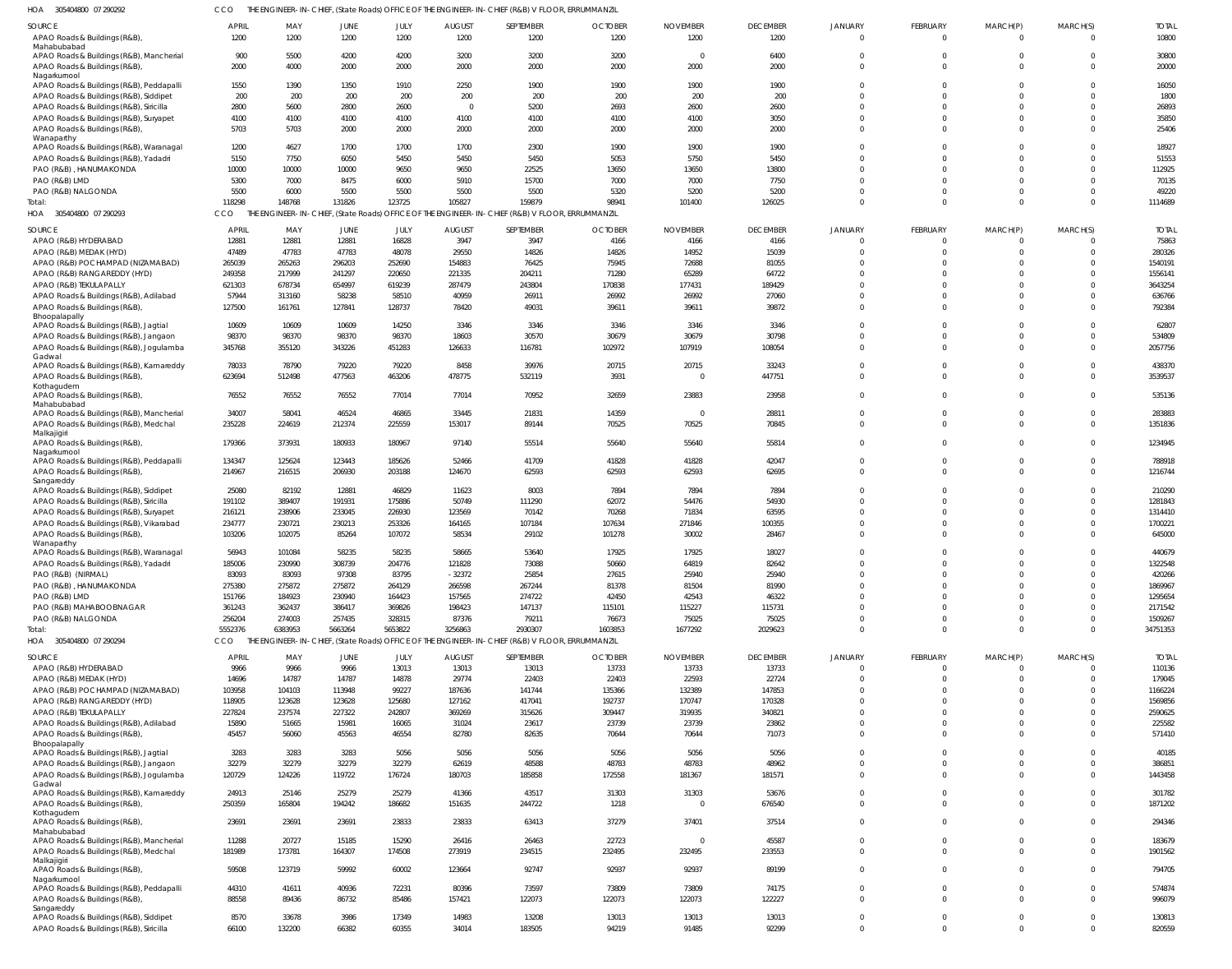| OA 305404800 07.290292 | CCO THE ENGINEER-IN-CHIEF, (State Roads) OFFICE OF THE ENGINEER-IN-CHIEF (R&B) V FLOOR, ERRUMMANZIL |
|------------------------|-----------------------------------------------------------------------------------------------------|

 $\overline{H}$ 

| SOURCE<br>APAO Roads & Buildings (R&B),                                          | <b>APRIL</b><br>1200 | MAY<br>1200   | <b>JUNE</b><br>1200 | JULY<br>1200   | <b>AUGUST</b><br>1200 | SEPTEMBER<br>1200                                                                               | <b>OCTOBER</b><br>1200 | <b>NOVEMBER</b><br>1200 | <b>DECEMBER</b><br>1200 | <b>JANUARY</b><br>$\Omega$ | FEBRUARY<br>$\overline{0}$ | MARCH(P)<br>$\Omega$ | MARCH(S)<br>$\Omega$ | <b>TOTAL</b><br>10800 |
|----------------------------------------------------------------------------------|----------------------|---------------|---------------------|----------------|-----------------------|-------------------------------------------------------------------------------------------------|------------------------|-------------------------|-------------------------|----------------------------|----------------------------|----------------------|----------------------|-----------------------|
| Mahabubabad                                                                      |                      |               |                     |                |                       |                                                                                                 |                        |                         |                         |                            |                            |                      |                      |                       |
| APAO Roads & Buildings (R&B), Mancherial                                         | 900                  | 5500          | 4200                | 4200           | 3200                  | 3200                                                                                            | 3200                   | $\overline{0}$          | 6400                    | $\mathbf{0}$               | $\Omega$                   |                      | $\Omega$             | 30800                 |
| APAO Roads & Buildings (R&B),                                                    | 2000                 | 4000          | 2000                | 2000           | 2000                  | 2000                                                                                            | 2000                   | 2000                    | 2000                    | $\Omega$                   | $\Omega$                   | $\Omega$             | $\Omega$             | 20000                 |
| Nagarkurnool<br>APAO Roads & Buildings (R&B), Peddapalli                         | 1550                 | 1390          | 1350                | 1910           | 2250                  | 1900                                                                                            | 1900                   | 1900                    | 1900                    | $\Omega$                   | $\Omega$                   |                      | $\Omega$             | 16050                 |
| APAO Roads & Buildings (R&B), Siddipet                                           | 200                  | 200           | 200                 | 200            | 200                   | 200                                                                                             | 200                    | 200                     | 200                     | $\Omega$                   |                            |                      | $\Omega$             | 1800                  |
| APAO Roads & Buildings (R&B), Siricilla                                          | 2800                 | 5600          | 2800                | 2600           | $\overline{0}$        | 5200                                                                                            | 2693                   | 2600                    | 2600                    | $\Omega$                   | $\Omega$                   | $\Omega$             | $\Omega$             | 26893                 |
| APAO Roads & Buildings (R&B), Suryapet                                           | 4100                 | 4100          | 4100                | 4100           | 4100                  | 4100                                                                                            | 4100                   | 4100                    | 3050                    | $\Omega$                   |                            |                      | $\Omega$             | 35850                 |
| APAO Roads & Buildings (R&B),                                                    | 5703                 | 5703          | 2000                | 2000           | 2000                  | 2000                                                                                            | 2000                   | 2000                    | 2000                    | $\Omega$                   | $\Omega$                   |                      | $\Omega$             | 25406                 |
| Wanaparthy                                                                       |                      |               |                     |                |                       |                                                                                                 |                        |                         |                         |                            |                            |                      |                      |                       |
| APAO Roads & Buildings (R&B), Waranagal                                          | 1200                 | 4627          | 1700                | 1700           | 1700                  | 2300                                                                                            | 1900                   | 1900                    | 1900                    | $\Omega$                   |                            |                      | $\Omega$             | 18927                 |
| APAO Roads & Buildings (R&B), Yadadri                                            | 5150                 | 7750          | 6050                | 5450           | 5450                  | 5450                                                                                            | 5053                   | 5750                    | 5450                    | $\Omega$                   |                            |                      | $\Omega$             | 51553                 |
| PAO (R&B), HANUMAKONDA                                                           | 10000                | 10000         | 10000               | 9650           | 9650                  | 22525                                                                                           | 13650                  | 13650                   | 13800                   | $\Omega$                   |                            |                      | $\Omega$             | 112925                |
| PAO (R&B) LMD                                                                    | 5300                 | 7000          | 8475                | 6000           | 5910                  | 15700                                                                                           | 7000                   | 7000                    | 7750                    | $\Omega$                   |                            | $\Omega$             | $\Omega$             | 70135                 |
| PAO (R&B) NALGONDA                                                               | 5500                 | 6000          | 5500                | 5500           | 5500                  | 5500                                                                                            | 5320                   | 5200                    | 5200                    | $\Omega$                   |                            |                      | $\Omega$             | 49220                 |
| Total:                                                                           | 118298               | 148768        | 131826              | 123725         | 105827                | 159879                                                                                          | 98941                  | 101400                  | 126025                  | $\Omega$                   | $\Omega$                   | $\Omega$             | $\Omega$             | 1114689               |
| HOA<br>305404800 07 290293                                                       | CCO                  |               |                     |                |                       | THE ENGINEER-IN-CHIEF, (State Roads) OFFICE OF THE ENGINEER-IN-CHIEF (R&B) V FLOOR, ERRUMMANZIL |                        |                         |                         |                            |                            |                      |                      |                       |
| SOURCE                                                                           | APRIL                | MAY           | JUNE                | JULY           | <b>AUGUST</b>         | SEPTEMBER                                                                                       | <b>OCTOBER</b>         | <b>NOVEMBER</b>         | <b>DECEMBER</b>         | JANUARY                    | FEBRUARY                   | MARCH(P)             | MARCH(S)             | <b>TOTAL</b>          |
| APAO (R&B) HYDERABAD                                                             | 12881                | 12881         | 12881               | 16828          | 3947                  | 3947                                                                                            | 4166                   | 4166                    | 4166                    | $\overline{0}$             |                            |                      | $\mathbf 0$          | 75863                 |
| APAO (R&B) MEDAK (HYD)                                                           | 47489                | 47783         | 47783               | 48078          | 29550                 | 14826                                                                                           | 14826                  | 14952                   | 15039                   | $\Omega$                   |                            |                      | $\Omega$             | 280326                |
| APAO (R&B) POCHAMPAD (NIZAMABAD)                                                 | 265039               | 265263        | 296203              | 252690         | 154883                | 76425                                                                                           | 75945                  | 72688                   | 81055                   | $\mathbf 0$                |                            |                      | $\mathbf 0$          | 1540191               |
| APAO (R&B) RANGAREDDY (HYD)                                                      | 249358               | 217999        | 241297              | 220650         | 221335                | 204211                                                                                          | 71280                  | 65289                   | 64722                   | $\Omega$                   |                            |                      | $\Omega$             | 1556141               |
| APAO (R&B) TEKULAPALLY                                                           | 621303               | 678734        | 654997              | 619239         | 287479                | 243804                                                                                          | 170838                 | 177431                  | 189429                  | $\mathbf 0$                |                            |                      | $\Omega$             | 3643254               |
| APAO Roads & Buildings (R&B), Adilabad                                           | 57944                | 313160        | 58238               | 58510          | 40959                 | 26911                                                                                           | 26992                  | 26992                   | 27060                   | $\mathbf 0$                |                            |                      | $\Omega$             | 636766                |
| APAO Roads & Buildings (R&B),                                                    | 127500               | 161761        | 127841              | 128737         | 78420                 | 49031                                                                                           | 39611                  | 39611                   | 39872                   | $\mathbf 0$                |                            |                      | $\Omega$             | 792384                |
| Bhoopalapally<br>APAO Roads & Buildings (R&B), Jagtial                           | 10609                | 10609         | 10609               | 14250          | 3346                  | 3346                                                                                            | 3346                   | 3346                    | 3346                    | $\mathbf 0$                |                            |                      | $\mathbf 0$          | 62807                 |
| APAO Roads & Buildings (R&B), Jangaon                                            | 98370                | 98370         | 98370               | 98370          | 18603                 | 30570                                                                                           | 30679                  | 30679                   | 30798                   | $\mathbf 0$                |                            |                      | $\mathbf 0$          | 534809                |
| APAO Roads & Buildings (R&B), Jogulamba                                          | 345768               | 355120        | 343226              | 451283         | 126633                | 116781                                                                                          | 102972                 | 107919                  | 108054                  | $\Omega$                   | $\Omega$                   |                      | $\Omega$             | 2057756               |
| Gadwal                                                                           |                      |               |                     |                |                       |                                                                                                 |                        |                         |                         |                            |                            |                      |                      |                       |
| APAO Roads & Buildings (R&B), Kamareddy                                          | 78033                | 78790         | 79220               | 79220          | 8458                  | 39976                                                                                           | 20715                  | 20715                   | 33243                   | $\mathbf 0$                |                            |                      | $\Omega$             | 438370                |
| APAO Roads & Buildings (R&B),                                                    | 623694               | 512498        | 477563              | 463206         | 478775                | 532119                                                                                          | 3931                   | $\Omega$                | 447751                  | $\mathbf 0$                | $\Omega$                   |                      | $\Omega$             | 3539537               |
| Kothagudem                                                                       |                      |               |                     |                |                       |                                                                                                 |                        |                         |                         |                            | $\Omega$                   |                      |                      |                       |
| APAO Roads & Buildings (R&B),<br>Mahabubabad                                     | 76552                | 76552         | 76552               | 77014          | 77014                 | 70952                                                                                           | 32659                  | 23883                   | 23958                   | $\mathbf 0$                |                            |                      | $\Omega$             | 535136                |
| APAO Roads & Buildings (R&B), Mancherial                                         | 34007                | 58041         | 46524               | 46865          | 33445                 | 21831                                                                                           | 14359                  | $\overline{0}$          | 28811                   | $\mathbf 0$                |                            |                      | $\mathbf 0$          | 283883                |
| APAO Roads & Buildings (R&B), Medchal                                            | 235228               | 224619        | 212374              | 225559         | 153017                | 89144                                                                                           | 70525                  | 70525                   | 70845                   | $\mathbf 0$                | $\Omega$                   |                      | $\mathbf 0$          | 1351836               |
| Malkajigiri                                                                      |                      |               |                     |                |                       |                                                                                                 |                        |                         |                         |                            |                            |                      |                      |                       |
| APAO Roads & Buildings (R&B),                                                    | 179366               | 373931        | 180933              | 180967         | 97140                 | 55514                                                                                           | 55640                  | 55640                   | 55814                   | $\mathbf 0$                | $\Omega$                   |                      | $\Omega$             | 1234945               |
| Nagarkurnool<br>APAO Roads & Buildings (R&B), Peddapalli                         | 134347               | 125624        | 123443              | 185626         | 52466                 | 41709                                                                                           | 41828                  | 41828                   | 42047                   | $\mathbf 0$                | $\Omega$                   |                      | $\mathbf 0$          | 788918                |
| APAO Roads & Buildings (R&B),                                                    | 214967               | 216515        | 206930              | 203188         | 124670                | 62593                                                                                           | 62593                  | 62593                   | 62695                   | $\Omega$                   | $\Omega$                   | $\Omega$             | $\Omega$             | 1216744               |
| Sangareddy                                                                       |                      |               |                     |                |                       |                                                                                                 |                        |                         |                         |                            |                            |                      |                      |                       |
| APAO Roads & Buildings (R&B), Siddipet                                           | 25080                | 82192         | 12881               | 46829          | 11623                 | 8003                                                                                            | 7894                   | 7894                    | 7894                    | $\Omega$                   |                            |                      | $\Omega$             | 210290                |
| APAO Roads & Buildings (R&B), Siricilla                                          | 191102               | 389407        | 191931              | 175886         | 50749                 | 111290                                                                                          | 62072                  | 54476                   | 54930                   | $\Omega$                   |                            |                      | $\Omega$             | 1281843               |
| APAO Roads & Buildings (R&B), Suryapet                                           | 216121               | 238906        | 233045              | 226930         | 123569                | 70142                                                                                           | 70268                  | 71834                   | 63595                   | $\Omega$                   |                            |                      | $\Omega$             | 1314410               |
| APAO Roads & Buildings (R&B), Vikarabad                                          | 234777               | 230721        | 230213              | 253326         | 164165                | 107184                                                                                          | 107634                 | 271846                  | 100355                  | $\Omega$                   |                            |                      | $\Omega$             | 1700221               |
| APAO Roads & Buildings (R&B),                                                    | 103206               | 102075        | 85264               | 107072         | 58534                 | 29102                                                                                           | 101278                 | 30002                   | 28467                   | $\Omega$                   |                            |                      | $\Omega$             | 645000                |
| Wanaparthy                                                                       | 56943                | 101084        | 58235               | 58235          | 58665                 | 53640                                                                                           |                        | 17925                   | 18027                   | $\mathbf{0}$               | $\Omega$                   | $\Omega$             | $\mathbf 0$          | 440679                |
| APAO Roads & Buildings (R&B), Waranagal<br>APAO Roads & Buildings (R&B), Yadadri | 185006               | 230990        | 308739              | 204776         | 121828                | 73088                                                                                           | 17925<br>50660         | 64819                   | 82642                   | $\cap$                     |                            |                      | $\cap$               | 1322548               |
| PAO (R&B) (NIRMAL)                                                               | 83093                | 83093         | 97308               | 83795          | $-32372$              | 25854                                                                                           | 27615                  | 25940                   | 25940                   | $\mathbf{0}$               |                            |                      | $\Omega$             | 420266                |
| PAO (R&B), HANUMAKONDA                                                           | 275380               | 275872        | 275872              | 264129         | 266598                | 267244                                                                                          | 81378                  | 81504                   | 81990                   | $\mathbf 0$                |                            |                      | $\Omega$             | 1869967               |
| PAO (R&B) LMD                                                                    | 151766               | 184923        | 230940              | 164423         | 157565                | 274722                                                                                          | 42450                  | 42543                   | 46322                   | $\mathbf 0$                |                            |                      | $\Omega$             | 1295654               |
| PAO (R&B) MAHABOOBNAGAR                                                          | 361243               | 362437        | 386417              | 369826         | 198423                | 147137                                                                                          | 115101                 | 115227                  | 115731                  | $\Omega$                   |                            |                      | $\Omega$             | 2171542               |
| PAO (R&B) NALGONDA                                                               | 256204               | 274003        | 257435              | 328315         | 87376                 | 79211                                                                                           | 76673                  | 75025                   | 75025                   | $\mathbf 0$                |                            |                      | $\Omega$             | 1509267               |
| Total:                                                                           | 5552376              | 6383953       | 5663264             | 5653822        | 3256863               | 2930307                                                                                         | 1603853                | 1677292                 | 2029623                 | $\mathbf 0$                | $\Omega$                   | $\Omega$             | $\mathbf 0$          | 34751353              |
| HOA 305404800 07 290294                                                          | CCO                  |               |                     |                |                       | THE ENGINEER-IN-CHIEF, (State Roads) OFFICE OF THE ENGINEER-IN-CHIEF (R&B) V FLOOR, ERRUMMANZIL |                        |                         |                         |                            |                            |                      |                      |                       |
|                                                                                  |                      |               |                     |                |                       |                                                                                                 |                        |                         |                         |                            |                            |                      |                      |                       |
| SOURCE                                                                           | <b>APRIL</b>         | MAY           | JUNE                | JULY           | <b>AUGUST</b>         | SEPTEMBER                                                                                       | <b>OCTOBER</b>         | <b>NOVEMBER</b>         | <b>DECEMBER</b>         | JANUARY                    | FEBRUARY                   | MARCH(P)             | MARCH(S)             | <b>TOTAL</b>          |
| APAO (R&B) HYDERABAD<br>APAO (R&B) MEDAK (HYD)                                   | 9966<br>14696        | 9966<br>14787 | 9966<br>14787       | 13013<br>14878 | 13013<br>29774        | 13013<br>22403                                                                                  | 13733<br>22403         | 13733<br>22593          | 13733<br>22724          | $\Omega$<br>$\Omega$       | $\Omega$                   | $\Omega$<br>$\Omega$ | $\Omega$<br>$\Omega$ | 110136<br>179045      |
| APAO (R&B) POCHAMPAD (NIZAMABAD)                                                 | 103958               | 104103        | 113948              | 99227          | 187636                | 141744                                                                                          | 135366                 | 132389                  | 147853                  | $\Omega$                   |                            |                      | $\Omega$             | 1166224               |
| APAO (R&B) RANGAREDDY (HYD)                                                      | 118905               | 123628        | 123628              | 125680         | 127162                | 417041                                                                                          | 192737                 | 170747                  | 170328                  | $\Omega$                   |                            |                      | $\Omega$             | 1569856               |
| APAO (R&B) TEKULAPALLY                                                           | 227824               | 237574        | 227322              | 242807         | 369269                | 315626                                                                                          | 309447                 | 319935                  | 340821                  | $\Omega$                   |                            |                      | $\Omega$             | 2590625               |
| APAO Roads & Buildings (R&B), Adilabad                                           | 15890                | 51665         | 15981               | 16065          | 31024                 | 23617                                                                                           | 23739                  | 23739                   | 23862                   | $\Omega$                   | $\Omega$                   | $\Omega$             | $\Omega$             | 225582                |
| APAO Roads & Buildings (R&B),                                                    | 45457                | 56060         | 45563               | 46554          | 82780                 | 82635                                                                                           | 70644                  | 70644                   | 71073                   | $\Omega$                   | $\Omega$                   | $\Omega$             | $\Omega$             | 571410                |
| Bhoopalapally                                                                    |                      |               |                     |                |                       |                                                                                                 |                        |                         |                         |                            |                            |                      |                      |                       |
| APAO Roads & Buildings (R&B), Jagtial                                            | 3283                 | 3283          | 3283                | 5056           | 5056                  | 5056                                                                                            | 5056                   | 5056                    | 5056                    | $\Omega$                   | $\Omega$                   | $\Omega$             | $\Omega$             | 40185                 |
| APAO Roads & Buildings (R&B), Jangaon                                            | 32279                | 32279         | 32279               | 32279          | 62619                 | 48588                                                                                           | 48783                  | 48783                   | 48962                   | $\Omega$                   |                            | $\Omega$             | $\Omega$             | 386851                |
| APAO Roads & Buildings (R&B), Jogulamba                                          | 120729               | 124226        | 119722              | 176724         | 180703                | 185858                                                                                          | 172558                 | 181367                  | 181571                  | $\Omega$                   | $\Omega$                   | $\Omega$             | $\Omega$             | 1443458               |
| Gadwal                                                                           |                      |               |                     |                |                       |                                                                                                 |                        |                         |                         |                            |                            |                      |                      |                       |
| APAO Roads & Buildings (R&B), Kamareddy                                          | 24913                | 25146         | 25279               | 25279          | 41366                 | 43517                                                                                           | 31303                  | 31303<br>$\Omega$       | 53676                   | $\mathbf 0$<br>$\Omega$    | $\Omega$<br>$\Omega$       | $\Omega$<br>$\Omega$ | $\Omega$<br>$\Omega$ | 301782                |
| APAO Roads & Buildings (R&B),<br>Kothagudem                                      | 250359               | 165804        | 194242              | 186682         | 151635                | 244722                                                                                          | 1218                   |                         | 676540                  |                            |                            |                      |                      | 1871202               |
| APAO Roads & Buildings (R&B),                                                    | 23691                | 23691         | 23691               | 23833          | 23833                 | 63413                                                                                           | 37279                  | 37401                   | 37514                   | $\mathbf 0$                | $\Omega$                   | $\Omega$             | $\Omega$             | 294346                |
| Mahabubabad                                                                      |                      |               |                     |                |                       |                                                                                                 |                        |                         |                         |                            |                            |                      |                      |                       |
| APAO Roads & Buildings (R&B), Mancherial                                         | 11288                | 20727         | 15185               | 15290          | 26416                 | 26463                                                                                           | 22723                  | $\overline{0}$          | 45587                   | $\mathbf 0$                | $\Omega$                   | $\Omega$             | $\Omega$             | 183679                |
| APAO Roads & Buildings (R&B), Medchal                                            | 181989               | 173781        | 164307              | 174508         | 273919                | 234515                                                                                          | 232495                 | 232495                  | 233553                  | $\Omega$                   | $\Omega$                   | $\Omega$             | $\Omega$             | 1901562               |
| Malkajigiri<br>APAO Roads & Buildings (R&B),                                     | 59508                | 123719        | 59992               | 60002          | 123664                | 92747                                                                                           | 92937                  | 92937                   | 89199                   | $\mathbf 0$                | $\Omega$                   | $\Omega$             | $\Omega$             | 794705                |
| Nagarkurnool                                                                     |                      |               |                     |                |                       |                                                                                                 |                        |                         |                         |                            |                            |                      |                      |                       |
| APAO Roads & Buildings (R&B), Peddapalli                                         | 44310                | 41611         | 40936               | 72231          | 80396                 | 73597                                                                                           | 73809                  | 73809                   | 74175                   | $\mathbf 0$                | $\Omega$                   | $\Omega$             | $\mathbf 0$          | 574874                |
| APAO Roads & Buildings (R&B),                                                    | 88558                | 89436         | 86732               | 85486          | 157421                | 122073                                                                                          | 122073                 | 122073                  | 122227                  | $\Omega$                   | $\Omega$                   | $\Omega$             | $\Omega$             | 996079                |
| Sangareddy                                                                       |                      |               |                     |                |                       |                                                                                                 |                        |                         |                         |                            |                            |                      |                      |                       |
| APAO Roads & Buildings (R&B), Siddipet                                           | 8570                 | 33678         | 3986                | 17349          | 14983                 | 13208                                                                                           | 13013                  | 13013                   | 13013                   | $\mathbf 0$                | $\mathbf 0$                | $\Omega$             | $\mathbf 0$          | 130813                |
| APAO Roads & Buildings (R&B), Siricilla                                          | 66100                | 132200        | 66382               | 60355          | 34014                 | 183505                                                                                          | 94219                  | 91485                   | 92299                   | $\mathbf 0$                | $\Omega$                   | $\mathbf{0}$         | $\mathbf 0$          | 820559                |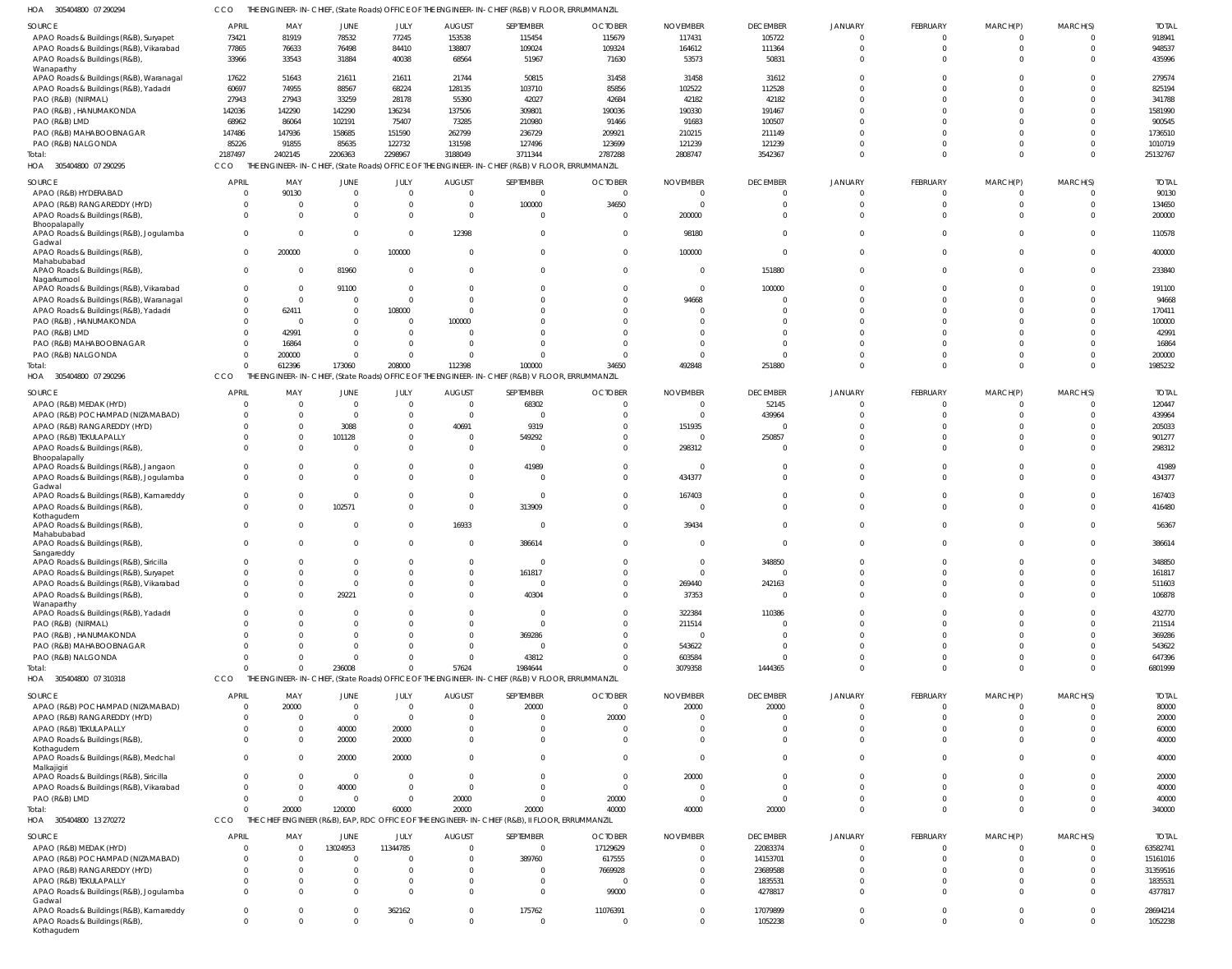| 05404800 07 290294 | CCO THE ENGINEER-IN-CHIEF. (State Roads) OFFICE OF THE ENGINEER-IN-CHIEF (R&B) V FLOOR. ERRUMMANZIL |
|--------------------|-----------------------------------------------------------------------------------------------------|

| HOA 305404800 07 290294                                                           | CCO                        |                                              |                          |                      |                                  | THE ENGINEER-IN-CHIEF, (State Roads) OFFICE OF THE ENGINEER-IN-CHIEF (R&B) V FLOOR, ERRUMMANZIL |                               |                                  |                             |                      |               |          |                      |                          |
|-----------------------------------------------------------------------------------|----------------------------|----------------------------------------------|--------------------------|----------------------|----------------------------------|-------------------------------------------------------------------------------------------------|-------------------------------|----------------------------------|-----------------------------|----------------------|---------------|----------|----------------------|--------------------------|
| SOURCE                                                                            | <b>APRIL</b>               | MAY                                          | JUNE                     | JULY                 | <b>AUGUST</b>                    | SEPTEMBER                                                                                       | <b>OCTOBER</b>                | <b>NOVEMBER</b>                  | <b>DECEMBER</b>             | <b>JANUARY</b>       | FEBRUARY      | MARCH(P) | MARCH(S)             | <b>TOTAI</b>             |
| APAO Roads & Buildings (R&B), Suryapet                                            | 73421                      | 81919                                        | 78532                    | 77245                | 153538                           | 115454                                                                                          | 115679                        | 117431                           | 105722                      | $\cap$               | $\mathbf 0$   | $\Omega$ | $\Omega$             | 918941                   |
| APAO Roads & Buildings (R&B), Vikarabad<br>APAO Roads & Buildings (R&B),          | 77865<br>33966             | 76633<br>33543                               | 76498<br>31884           | 84410<br>40038       | 138807<br>68564                  | 109024<br>51967                                                                                 | 109324<br>71630               | 164612<br>53573                  | 111364<br>50831             | $\Omega$<br>$\Omega$ | $\Omega$      | $\Omega$ | $\Omega$<br>$\Omega$ | 948537<br>435996         |
| Wanaparthy                                                                        |                            |                                              |                          |                      |                                  |                                                                                                 |                               |                                  |                             |                      |               |          |                      |                          |
| APAO Roads & Buildings (R&B), Waranagal                                           | 17622                      | 51643                                        | 21611                    | 21611                | 21744                            | 50815                                                                                           | 31458                         | 31458                            | 31612                       | $\Omega$             |               |          |                      | 279574                   |
| APAO Roads & Buildings (R&B), Yadadri                                             | 60697                      | 74955                                        | 88567                    | 68224                | 128135                           | 103710                                                                                          | 85856                         | 102522                           | 112528                      | $\Omega$             |               |          |                      | 825194                   |
| PAO (R&B) (NIRMAL)<br>PAO (R&B), HANUMAKONDA                                      | 27943<br>142036            | 27943<br>142290                              | 33259<br>142290          | 28178<br>136234      | 55390<br>137506                  | 42027<br>309801                                                                                 | 42684<br>190036               | 42182<br>190330                  | 42182<br>191467             |                      |               |          |                      | 341788<br>1581990        |
| PAO (R&B) LMD                                                                     | 68962                      | 86064                                        | 102191                   | 75407                | 73285                            | 210980                                                                                          | 91466                         | 91683                            | 100507                      | $\Omega$             |               |          |                      | 900545                   |
| PAO (R&B) MAHABOOBNAGAR                                                           | 147486                     | 147936                                       | 158685                   | 151590               | 262799                           | 236729                                                                                          | 209921                        | 210215                           | 211149                      |                      |               |          |                      | 1736510                  |
| PAO (R&B) NALGONDA                                                                | 85226                      | 91855                                        | 85635                    | 122732               | 131598                           | 127496                                                                                          | 123699                        | 121239                           | 121239                      | $\Omega$             |               |          | $\Omega$             | 1010719                  |
| Total:                                                                            | 2187497                    | 2402145                                      | 2206363                  | 2298967              | 3188049                          | 3711344                                                                                         | 2787288                       | 2808747                          | 3542367                     | $\Omega$             | $\Omega$      | $\Omega$ | $\Omega$             | 25132767                 |
| HOA 305404800 07 290295                                                           | CCO                        |                                              |                          |                      |                                  | THE ENGINEER-IN-CHIEF, (State Roads) OFFICE OF THE ENGINEER-IN-CHIEF (R&B) V FLOOR, ERRUMMANZIL |                               |                                  |                             |                      |               |          |                      |                          |
| SOURCE                                                                            | <b>APRIL</b>               | MAY                                          | JUNE                     | JULY                 | <b>AUGUST</b>                    | SEPTEMBER                                                                                       | <b>OCTOBER</b>                | <b>NOVEMBER</b>                  | <b>DECEMBER</b>             | <b>JANUARY</b>       | FEBRUARY      | MARCH(P) | MARCH(S)             | <b>TOTAL</b>             |
| APAO (R&B) HYDERABAD<br>APAO (R&B) RANGAREDDY (HYD)                               | $\Omega$<br>$\Omega$       | 90130<br>$\overline{0}$                      | $\overline{0}$<br>0      | $\Omega$<br>$\Omega$ | $\overline{0}$<br>$\overline{0}$ | $\overline{0}$<br>100000                                                                        | $\overline{0}$<br>34650       | $\overline{0}$<br>$\overline{0}$ | $\Omega$<br>$\Omega$        | $\Omega$             | $\Omega$      | $\Omega$ | $\Omega$             | 90130<br>134650          |
| APAO Roads & Buildings (R&B),                                                     | $\Omega$                   | $\Omega$                                     | $\Omega$                 | $\Omega$             | $\overline{0}$                   | $\Omega$                                                                                        | $\overline{0}$                | 200000                           | $\Omega$                    | $\Omega$             |               |          | $\Omega$             | 200000                   |
| Bhoopalapally                                                                     |                            |                                              |                          |                      |                                  |                                                                                                 |                               |                                  |                             |                      |               |          |                      |                          |
| APAO Roads & Buildings (R&B), Jogulamba<br>Gadwal                                 | $\Omega$                   | $\overline{0}$                               | $\overline{0}$           | $\Omega$             | 12398                            | $\Omega$                                                                                        | $\overline{0}$                | 98180                            | $\Omega$                    | $\Omega$             | $\Omega$      |          | $\Omega$             | 110578                   |
| APAO Roads & Buildings (R&B),                                                     | $\Omega$                   | 200000                                       | $\Omega$                 | 100000               | $\overline{0}$                   | $\mathbf 0$                                                                                     | $\overline{0}$                | 100000                           | $\Omega$                    | $\Omega$             | $\Omega$      | $\Omega$ | $\Omega$             | 400000                   |
| Mahabubabad                                                                       | $\mathbf{0}$               |                                              |                          |                      |                                  | $\mathbf 0$                                                                                     | $\Omega$                      |                                  |                             | $\Omega$             | $\Omega$      | $\Omega$ | $\Omega$             |                          |
| APAO Roads & Buildings (R&B),<br>Nagarkurnool                                     |                            | $\overline{0}$                               | 81960                    | $\Omega$             | $\overline{0}$                   |                                                                                                 |                               | $\overline{0}$                   | 151880                      |                      |               |          |                      | 233840                   |
| APAO Roads & Buildings (R&B), Vikarabad                                           | $\overline{0}$             | $\overline{0}$                               | 91100                    | $\Omega$             | $\overline{0}$                   | $\mathbf{0}$                                                                                    | $\mathbf 0$                   | $\overline{0}$                   | 100000                      | $\Omega$             |               |          | $\Omega$             | 191100                   |
| APAO Roads & Buildings (R&B), Waranagal                                           | $\Omega$                   | $\overline{0}$                               | 0                        | $\Omega$             | $\Omega$                         | $\Omega$                                                                                        | $\Omega$                      | 94668                            | $\Omega$                    | $\Omega$             |               |          | $\Omega$             | 94668                    |
| APAO Roads & Buildings (R&B), Yadadri<br>PAO (R&B), HANUMAKONDA                   | $\overline{0}$<br>$\Omega$ | 62411<br>$\overline{0}$                      | $\mathbf{0}$<br>$\Omega$ | 108000<br>$\Omega$   | $\Omega$<br>100000               | $\Omega$<br>$\Omega$                                                                            | $\Omega$<br>$\Omega$          | $\Omega$<br>$\Omega$             | $\Omega$<br>$\cap$          | $\Omega$<br>$\Omega$ |               |          | $\Omega$<br>$\Omega$ | 170411<br>100000         |
| PAO (R&B) LMD                                                                     | $\Omega$                   | 42991                                        | $\Omega$                 | $\Omega$             | $\mathbf{C}$                     | $\Omega$                                                                                        | $\Omega$                      | $\Omega$                         | $\Omega$                    | $\Omega$             |               |          | $\Omega$             | 42991                    |
| PAO (R&B) MAHABOOBNAGAR                                                           | $\Omega$                   | 16864                                        | $\Omega$                 | - 0                  | $\Omega$                         | $\Omega$                                                                                        | $\Omega$                      | $\Omega$                         | $\Omega$                    | $\Omega$             |               |          | $\Omega$             | 16864                    |
| PAO (R&B) NALGONDA                                                                | $\Omega$                   | 200000                                       | $\Omega$                 | $\cap$               | $\Omega$                         | $\Omega$                                                                                        | $\Omega$                      | $\Omega$                         | $\Omega$                    | $\Omega$             |               |          | $\Omega$             | 200000                   |
| Total:                                                                            | $\Omega$                   | 612396                                       | 173060                   | 208000               | 112398                           | 100000                                                                                          | 34650                         | 492848                           | 251880                      | $\Omega$             | $\Omega$      | $\Omega$ | $\Omega$             | 1985232                  |
| HOA 305404800 07 290296                                                           | CCO                        |                                              |                          |                      |                                  | THE ENGINEER-IN-CHIEF, (State Roads) OFFICE OF THE ENGINEER-IN-CHIEF (R&B) V FLOOR, ERRUMMANZIL |                               |                                  |                             |                      |               |          |                      |                          |
| SOURCE                                                                            | <b>APRIL</b>               | MAY                                          | JUNE                     | JULY                 | <b>AUGUST</b>                    | SEPTEMBER                                                                                       | <b>OCTOBER</b>                | <b>NOVEMBER</b>                  | <b>DECEMBER</b>             | <b>JANUARY</b>       | FEBRUARY      | MARCH(P) | MARCH(S)             | <b>TOTAI</b>             |
| APAO (R&B) MEDAK (HYD)                                                            | $\Omega$                   | $\Omega$                                     | $\Omega$                 | $\Omega$             | $\overline{0}$                   | 68302                                                                                           | $\mathbf 0$                   | $\overline{0}$                   | 52145                       |                      | $\Omega$      |          | $\Omega$             | 120447                   |
| APAO (R&B) POCHAMPAD (NIZAMABAD)<br>APAO (R&B) RANGAREDDY (HYD)                   | $\Omega$<br>$\Omega$       | $\Omega$<br>$\overline{0}$                   | $\Omega$<br>3088         | $\Omega$<br>$\Omega$ | $\overline{0}$<br>40691          | $\Omega$<br>9319                                                                                | $\mathbf 0$<br>$\overline{0}$ | $\overline{0}$<br>151935         | 439964<br>$\Omega$          | $\Omega$<br>$\Omega$ | $\Omega$      | $\Omega$ | $\Omega$             | 439964<br>205033         |
| APAO (R&B) TEKULAPALLY                                                            | $\Omega$                   | $\Omega$                                     | 101128                   | $\Omega$             | $\overline{0}$                   | 549292                                                                                          | $\Omega$                      | $\Omega$                         | 250857                      | $\Omega$             |               |          | $\Omega$             | 901277                   |
| APAO Roads & Buildings (R&B),                                                     | $\Omega$                   | $\Omega$                                     | $\Omega$                 | $\cap$               | $\overline{0}$                   | $\Omega$                                                                                        | $\Omega$                      | 298312                           | - 0                         |                      |               |          |                      | 298312                   |
| Bhoopalapally                                                                     | $\Omega$                   | $\Omega$                                     |                          |                      |                                  |                                                                                                 |                               |                                  | $\Omega$                    |                      |               |          | $\Omega$             |                          |
| APAO Roads & Buildings (R&B), Jangaon<br>APAO Roads & Buildings (R&B), Jogulamba  | $\Omega$                   | $\Omega$                                     | $\mathbf{0}$<br>$\Omega$ | $\cap$               | $\overline{0}$<br>$\Omega$       | 41989<br>$\Omega$                                                                               | $\mathbf 0$<br>$\Omega$       | $\overline{0}$<br>434377         | $\Omega$                    | $\Omega$             |               |          |                      | 41989<br>434377          |
| Gadwal                                                                            |                            |                                              |                          |                      |                                  |                                                                                                 |                               |                                  |                             |                      |               |          |                      |                          |
| APAO Roads & Buildings (R&B), Kamareddy                                           | $\Omega$                   | $\Omega$                                     | 0                        | - 0                  | $\overline{0}$                   | $\Omega$                                                                                        | $\Omega$                      | 167403                           | $\Omega$                    |                      |               |          |                      | 167403                   |
| APAO Roads & Buildings (R&B),<br>Kothagudem                                       | $\Omega$                   | $\Omega$                                     | 102571                   | $\Omega$             | $\overline{0}$                   | 313909                                                                                          | $\Omega$                      | $\Omega$                         | $\Omega$                    | $\Omega$             |               |          | $\Omega$             | 416480                   |
| APAO Roads & Buildings (R&B),                                                     | $\Omega$                   | $\Omega$                                     | $\Omega$                 | - 0                  | 16933                            | $\Omega$                                                                                        | $\Omega$                      | 39434                            | $\Omega$                    |                      | $\Omega$      | $\Omega$ |                      | 56367                    |
| Mahabubabad<br>APAO Roads & Buildings (R&B),                                      | $\Omega$                   | $\Omega$                                     | $\Omega$                 | $\Omega$             | $\overline{0}$                   | 386614                                                                                          | $\Omega$                      | $\Omega$                         | $\Omega$                    | $\Omega$             | $\Omega$      | $\Omega$ | $\Omega$             | 386614                   |
| Sangareddy                                                                        |                            |                                              |                          |                      |                                  |                                                                                                 |                               |                                  |                             |                      |               |          |                      |                          |
| APAO Roads & Buildings (R&B), Siricilla                                           | $\Omega$                   | <sup>0</sup>                                 | $\Omega$                 |                      | $\Omega$                         | $\Omega$                                                                                        | $\cup$                        | $\Omega$                         | 348850                      |                      |               |          |                      | 348850                   |
| APAO Roads & Buildings (R&B), Suryapet<br>APAO Roads & Buildings (R&B), Vikarabad | $\Omega$                   | <sup>0</sup><br><sup>0</sup><br><sup>0</sup> | $\Omega$<br>$\Omega$     |                      | $\Omega$<br>$\Omega$             | 161817<br>$\Omega$                                                                              | $\Omega$<br>$\Omega$          | $\overline{0}$<br>269440         | $\Omega$<br>242163          | $\Omega$             | U             |          |                      | 161817<br>511603         |
| APAO Roads & Buildings (R&B),                                                     | $\Omega$                   | $\Omega$                                     | 29221                    |                      | $\Omega$                         | 40304                                                                                           | $\Omega$                      | 37353                            | $\Omega$                    | $\Omega$             | $\Omega$      | U        |                      | 106878                   |
| Wanaparthy                                                                        |                            |                                              |                          |                      |                                  |                                                                                                 |                               |                                  |                             |                      |               |          |                      |                          |
| APAO Roads & Buildings (R&B), Yadadri<br>PAO (R&B) (NIRMAL)                       | $\Omega$                   | <sup>0</sup><br><sup>0</sup><br><sup>0</sup> | $\Omega$<br>-C           |                      | $\Omega$<br>$\Omega$             | $\Omega$<br>$\Omega$                                                                            | $\Omega$<br>$\Omega$          | 322384<br>211514                 | 110386                      |                      |               |          |                      | 432770<br>211514         |
| PAO (R&B), HANUMAKONDA                                                            | $\Omega$                   | U                                            | - ( )                    |                      | $\Omega$                         | 369286                                                                                          | $\Omega$                      | $\Omega$                         |                             |                      |               |          |                      | 369286                   |
| PAO (R&B) MAHABOOBNAGAR                                                           |                            |                                              | -0                       |                      | $\Omega$                         | $\Omega$                                                                                        | $\Omega$                      | 543622                           |                             |                      |               |          |                      | 543622                   |
| PAO (R&B) NALGONDA                                                                |                            |                                              | $\Omega$                 |                      | $\sqrt{ }$                       | 43812                                                                                           | $\Omega$                      | 603584                           |                             |                      |               |          |                      | 647396                   |
| Total:                                                                            | $\Omega$                   | $\Omega$                                     | 236008                   |                      | 57624                            | 1984644                                                                                         | $\mathsf{C}$                  | 3079358                          | 1444365                     | $\Omega$             | $\Omega$      |          |                      | 6801999                  |
| HOA 305404800 07 310318                                                           | CCO                        |                                              |                          |                      |                                  | THE ENGINEER-IN-CHIEF, (State Roads) OFFICE OF THE ENGINEER-IN-CHIEF (R&B) V FLOOR, ERRUMMANZIL |                               |                                  |                             |                      |               |          |                      |                          |
| SOURCE                                                                            | <b>APRIL</b>               | MAY                                          | JUNE                     | JULY                 | <b>AUGUST</b>                    | SEPTEMBER                                                                                       | <b>OCTOBER</b>                | <b>NOVEMBER</b>                  | <b>DECEMBER</b>             | <b>JANUARY</b>       | FEBRUARY      | MARCH(P) | MARCH(S)             | <b>TOTAL</b>             |
| APAO (R&B) POCHAMPAD (NIZAMABAD)                                                  | $\Omega$<br>$\Omega$       | 20000                                        | $\overline{0}$           | $\Omega$<br>$\Omega$ | $\overline{0}$                   | 20000                                                                                           | $\overline{0}$                | 20000                            | 20000<br>$\Omega$           | $\Omega$             | 0<br>$\Omega$ | $\Omega$ |                      | 80000                    |
| APAO (R&B) RANGAREDDY (HYD)<br>APAO (R&B) TEKULAPALLY                             | $\Omega$                   | $\overline{0}$<br>$\overline{0}$             | $\overline{0}$<br>40000  | 20000                | $\overline{0}$<br>$\overline{0}$ | $\overline{0}$<br>$\Omega$                                                                      | 20000<br>$\overline{0}$       | $\overline{0}$<br>$\overline{0}$ | $\Omega$                    |                      |               |          | $\Omega$<br>$\Omega$ | 20000<br>60000           |
| APAO Roads & Buildings (R&B),                                                     | $\Omega$                   | $\mathbf{0}$                                 | 20000                    | 20000                | $\overline{0}$                   | $\mathbf 0$                                                                                     | $\overline{0}$                | $\overline{0}$                   | $\Omega$                    | $\Omega$             | U             | $\Omega$ | $\Omega$             | 40000                    |
| Kothagudem                                                                        |                            |                                              |                          |                      |                                  |                                                                                                 |                               |                                  |                             |                      |               |          |                      |                          |
| APAO Roads & Buildings (R&B), Medchal<br>Malkajigiri                              | $\Omega$                   | $\Omega$                                     | 20000                    | 20000                | $\Omega$                         | $\mathbf 0$                                                                                     | $\Omega$                      | $\Omega$                         | $\Omega$                    |                      | 0             | $\Omega$ | $\Omega$             | 40000                    |
| APAO Roads & Buildings (R&B), Siricilla                                           | $\Omega$                   | $\Omega$                                     | $\overline{0}$           | $\Omega$             | $\Omega$                         | $\Omega$                                                                                        | $\overline{0}$                | 20000                            | $\Omega$                    |                      |               |          | $\Omega$             | 20000                    |
| APAO Roads & Buildings (R&B), Vikarabad                                           | $\Omega$                   | $\Omega$                                     | 40000                    | $\Omega$             | $\overline{0}$                   | $\Omega$                                                                                        | $\overline{0}$                | $\overline{0}$                   | $\Omega$                    |                      |               |          | $\Omega$             | 40000                    |
| PAO (R&B) LMD                                                                     | $\Omega$<br>$\Omega$       | $\overline{0}$                               | 0                        | $\Omega$             | 20000                            | $\Omega$<br>20000                                                                               | 20000                         | $\overline{\mathbf{0}}$          | $\Omega$                    | $\Omega$<br>$\Omega$ | 0<br>$\Omega$ | $\Omega$ | $\Omega$<br>$\Omega$ | 40000                    |
| Total:<br>HOA 305404800 13 270272                                                 | CCO                        | 20000                                        | 120000                   | 60000                | 20000                            | THE CHIEF ENGINEER (R&B), EAP, RDC OFFICE OF THE ENGINEER-IN-CHIEF (R&B), II FLOOR, ERRUMMANZIL | 40000                         | 40000                            | 20000                       |                      |               |          |                      | 340000                   |
|                                                                                   |                            |                                              |                          |                      |                                  |                                                                                                 |                               |                                  |                             |                      |               |          |                      |                          |
| SOURCE<br>APAO (R&B) MEDAK (HYD)                                                  | <b>APRIL</b><br>$\Omega$   | MAY<br>$\overline{0}$                        | JUNE<br>13024953         | JULY<br>11344785     | <b>AUGUST</b><br>$\overline{0}$  | SEPTEMBER<br>$\overline{0}$                                                                     | <b>OCTOBER</b><br>17129629    | <b>NOVEMBER</b><br>$\Omega$      | <b>DECEMBER</b><br>22083374 | <b>JANUARY</b>       | FEBRUARY      | MARCH(P) | MARCH(S)             | <b>TOTAL</b><br>63582741 |
| APAO (R&B) POCHAMPAD (NIZAMABAD)                                                  | $\Omega$                   | $\Omega$                                     | 0                        |                      | 0                                | 389760                                                                                          | 617555                        | $^{\circ}$                       | 14153701                    |                      |               |          |                      | 15161016                 |
| APAO (R&B) RANGAREDDY (HYD)                                                       | $\Omega$                   | $\Omega$                                     | $\Omega$                 |                      | $\Omega$                         | $\Omega$                                                                                        | 7669928                       | $\Omega$                         | 23689588                    |                      |               |          |                      | 31359516                 |
| APAO (R&B) TEKULAPALLY                                                            | $\Omega$                   | 0                                            | - ( )                    |                      | $\mathbf 0$                      | <sup>0</sup>                                                                                    | $\overline{0}$                | $^{\circ}$                       | 1835531                     |                      |               |          |                      | 1835531                  |
| APAO Roads & Buildings (R&B), Jogulamba                                           | $\Omega$                   | $\Omega$                                     | $\Omega$                 |                      | $\Omega$                         | $\Omega$                                                                                        | 99000                         | $\Omega$                         | 4278817                     |                      |               |          |                      | 4377817                  |
| Gadwal<br>APAO Roads & Buildings (R&B), Kamareddy                                 | $\Omega$                   | 0                                            | $\Omega$                 | 362162               | $\mathbf 0$                      | 175762                                                                                          | 11076391                      | $\Omega$                         | 17079899                    | $\Omega$             |               | 0        |                      | 28694214                 |
| APAO Roads & Buildings (R&B),<br>Kothagudem                                       | $\mathbf{0}$               | $\Omega$                                     | $\Omega$                 | $\Omega$             | $\overline{0}$                   | $\mathbf 0$                                                                                     | $\mathbf 0$                   | $\mathbf 0$                      | 1052238                     | $\Omega$             | $\Omega$      | $\Omega$ | $\Omega$             | 1052238                  |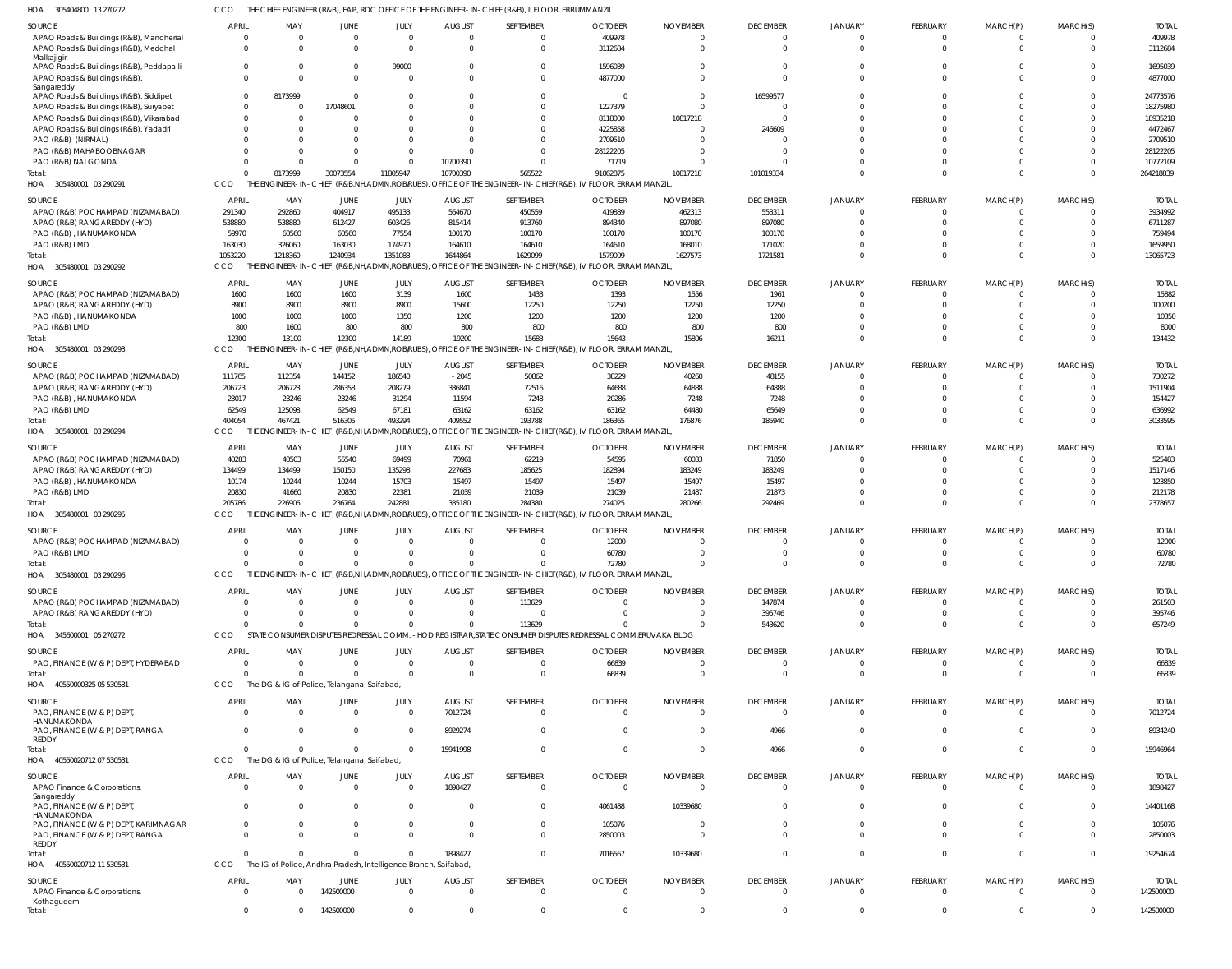CCO THE CHIEF ENGINEER (R&B), EAP, RDC OFFICE OF THE ENGINEER-IN-CHIEF (R&B), II FLOOR, ERRUMMANZIL

| HOA<br>305404800 13 270272                                                |                                |                                                                  |                   |                        |                           | THE CHIEF ENGINEER (R&B), EAP, RDC OFFICE OF THE ENGINEER-IN-CHIEF (R&B), II FLOOR, ERRUMMANZIL               |                            |                             |                             |                            |                                |                      |                      |                           |
|---------------------------------------------------------------------------|--------------------------------|------------------------------------------------------------------|-------------------|------------------------|---------------------------|---------------------------------------------------------------------------------------------------------------|----------------------------|-----------------------------|-----------------------------|----------------------------|--------------------------------|----------------------|----------------------|---------------------------|
| SOURCE                                                                    | <b>APRIL</b>                   | MAY                                                              | <b>JUNE</b>       | JULY                   | <b>AUGUST</b>             | SEPTEMBER                                                                                                     | <b>OCTOBER</b>             | <b>NOVEMBER</b>             | <b>DECEMBER</b>             | <b>JANUARY</b>             | <b>FEBRUARY</b>                | MARCH(P)             | MARCH(S)             | <b>TOTAL</b>              |
| APAO Roads & Buildings (R&B), Mancherial                                  | $\overline{0}$                 | $\Omega$                                                         | $\Omega$          | $\Omega$               | $\Omega$                  | $\mathbf{0}$                                                                                                  | 409978                     | $\mathbf 0$                 | $\Omega$                    | $\Omega$                   | 0                              | $\Omega$             | - 0                  | 409978                    |
| APAO Roads & Buildings (R&B), Medchal                                     | $\Omega$                       | $\Omega$                                                         | $\Omega$          | $\Omega$               | $\Omega$                  | $\mathbf 0$                                                                                                   | 3112684                    | $\Omega$                    | $\Omega$                    | $\Omega$                   | $\Omega$                       | $\Omega$             | $\Omega$             | 3112684                   |
| Malkajigiri                                                               | $\overline{0}$                 | -0                                                               | $\Omega$          | 99000                  |                           | $\mathbf{0}$                                                                                                  | 1596039                    | 0                           | $\Omega$                    | $\Omega$                   |                                |                      |                      | 1695039                   |
| APAO Roads & Buildings (R&B), Peddapalli<br>APAO Roads & Buildings (R&B), | $\Omega$                       |                                                                  | $\Omega$          | $\Omega$               |                           | $\Omega$                                                                                                      | 4877000                    | $\Omega$                    | $\Omega$                    | $\cap$                     | $\Omega$                       |                      | $\Omega$             | 4877000                   |
| Sangareddy                                                                |                                |                                                                  |                   |                        |                           |                                                                                                               |                            |                             |                             |                            |                                |                      |                      |                           |
| APAO Roads & Buildings (R&B), Siddipet                                    | $\overline{0}$                 | 8173999                                                          | $\Omega$          |                        |                           | $\Omega$                                                                                                      | - 0                        | $\Omega$                    | 16599577                    |                            |                                |                      |                      | 24773576                  |
| APAO Roads & Buildings (R&B), Suryapet                                    | $\Omega$                       | -0                                                               | 17048601          |                        |                           | $\Omega$                                                                                                      | 1227379                    | $\Omega$                    |                             | $\Omega$                   |                                |                      |                      | 18275980                  |
| APAO Roads & Buildings (R&B), Vikarabad                                   | $\Omega$                       | $\Omega$                                                         |                   |                        |                           | $\Omega$                                                                                                      | 8118000                    | 10817218                    | $\Omega$                    | $\Omega$                   |                                |                      |                      | 18935218                  |
| APAO Roads & Buildings (R&B), Yadadri                                     | $\Omega$                       |                                                                  |                   |                        |                           | $\Omega$                                                                                                      | 4225858                    | $\Omega$                    | 246609                      | $\Omega$                   |                                |                      |                      | 4472467                   |
| PAO (R&B) (NIRMAL)                                                        | $\Omega$                       |                                                                  |                   |                        |                           | $\Omega$                                                                                                      | 2709510                    | $\Omega$                    |                             |                            |                                |                      |                      | 2709510                   |
| PAO (R&B) MAHABOOBNAGAR                                                   | C<br>$\Omega$                  |                                                                  | $\Omega$          | $\Omega$               | 10700390                  | $\Omega$<br>$\Omega$                                                                                          | 28122205<br>71719          | $\Omega$<br>$\Omega$        |                             | $\Omega$<br>$\Omega$       |                                |                      |                      | 28122205<br>10772109      |
| PAO (R&B) NALGONDA<br>Total:                                              | $\Omega$                       | 8173999                                                          | 30073554          | 11805947               | 10700390                  | 565522                                                                                                        | 91062875                   | 10817218                    | 101019334                   | $\Omega$                   | $\Omega$                       | $\Omega$             | $\Omega$             | 264218839                 |
| HOA 305480001 03 290291                                                   | CCO                            | THE ENGINEER-IN-CHIEF, (R&B,NH,ADMN,ROB/RUBS),                   |                   |                        |                           | OFFICE OF THE ENGINEER-IN-CHIEF (R&B), IV FLOOR, ERRAM MANZIL                                                 |                            |                             |                             |                            |                                |                      |                      |                           |
|                                                                           |                                |                                                                  |                   |                        |                           |                                                                                                               |                            |                             |                             |                            |                                |                      |                      |                           |
| SOURCE                                                                    | APRIL                          | MAY                                                              | JUNE              | JULY                   | <b>AUGUST</b>             | SEPTEMBER                                                                                                     | <b>OCTOBER</b>             | <b>NOVEMBER</b>             | <b>DECEMBER</b>             | <b>JANUARY</b>             | <b>FEBRUARY</b>                | MARCH(P)             | MARCH(S)             | <b>TOTAL</b>              |
| APAO (R&B) POCHAMPAD (NIZAMABAD)                                          | 291340                         | 292860<br>538880                                                 | 404917            | 495133                 | 564670                    | 450559                                                                                                        | 419889                     | 462313                      | 553311                      | $\Omega$<br>$\Omega$       | $\mathbf 0$<br>$\Omega$        |                      | $\Omega$<br>$\Omega$ | 3934992<br>6711287        |
| APAO (R&B) RANGAREDDY (HYD)<br>PAO (R&B), HANUMAKONDA                     | 538880<br>59970                | 60560                                                            | 612427<br>60560   | 603426<br>77554        | 815414<br>100170          | 913760<br>100170                                                                                              | 894340<br>100170           | 897080<br>100170            | 897080<br>100170            | $\cap$                     |                                |                      | $\Omega$             | 759494                    |
| PAO (R&B) LMD                                                             | 163030                         | 326060                                                           | 163030            | 174970                 | 164610                    | 164610                                                                                                        | 164610                     | 168010                      | 171020                      | $\Omega$                   | $\Omega$                       |                      | $\Omega$             | 1659950                   |
| Total:                                                                    | 1053220                        | 1218360                                                          | 1240934           | 1351083                | 1644864                   | 1629099                                                                                                       | 1579009                    | 1627573                     | 1721581                     | $\Omega$                   | $\Omega$                       |                      | $\Omega$             | 13065723                  |
| HOA 305480001 03 290292                                                   | CCO                            | THE ENGINEER-IN-CHIEF, (R&B,NH,ADMN,ROBRUBS),                    |                   |                        |                           | OFFICE OF THE ENGINEER-IN-CHIEF(R&B), IV FLOOR, ERRAM MANZIL                                                  |                            |                             |                             |                            |                                |                      |                      |                           |
|                                                                           |                                |                                                                  |                   |                        |                           |                                                                                                               |                            |                             |                             |                            |                                |                      |                      |                           |
| SOURCE<br>APAO (R&B) POCHAMPAD (NIZAMABAD)                                | <b>APRIL</b><br>1600           | MAY<br>1600                                                      | JUNE<br>1600      | JULY<br>3139           | <b>AUGUST</b><br>1600     | SEPTEMBER<br>1433                                                                                             | <b>OCTOBER</b><br>1393     | <b>NOVEMBER</b><br>1556     | <b>DECEMBER</b><br>1961     | <b>JANUARY</b>             | <b>FEBRUARY</b><br>$\Omega$    | MARCH(P)             | MARCH(S)             | <b>TOTAL</b><br>15882     |
| APAO (R&B) RANGAREDDY (HYD)                                               | 8900                           | 8900                                                             | 8900              | 8900                   | 15600                     | 12250                                                                                                         | 12250                      | 12250                       | 12250                       | $\cap$                     |                                |                      | $\Omega$             | 100200                    |
| PAO (R&B), HANUMAKONDA                                                    | 1000                           | 1000                                                             | 1000              | 1350                   | 1200                      | 1200                                                                                                          | 1200                       | 1200                        | 1200                        |                            |                                |                      |                      | 10350                     |
| PAO (R&B) LMD                                                             | 800                            | 1600                                                             | 800               | 800                    | 800                       | 800                                                                                                           | 800                        | 800                         | 800                         | $\Omega$                   |                                |                      | $\Omega$             | 8000                      |
| Total:                                                                    | 12300                          | 13100                                                            | 12300             | 14189                  | 19200                     | 15683                                                                                                         | 15643                      | 15806                       | 16211                       | $\Omega$                   | $\Omega$                       |                      | $\Omega$             | 134432                    |
| HOA 305480001 03 290293                                                   | CCO                            |                                                                  |                   |                        |                           | THE ENGINEER-IN-CHIEF, (R&B,NH,ADMN,ROB/RUBS), OFFICE OF THE ENGINEER-IN-CHIEF(R&B), IV FLOOR, ERRAM MANZIL   |                            |                             |                             |                            |                                |                      |                      |                           |
| SOURCE                                                                    | APRIL                          | MAY                                                              | JUNE              | JULY                   | <b>AUGUST</b>             | SEPTEMBER                                                                                                     | <b>OCTOBER</b>             | <b>NOVEMBER</b>             | <b>DECEMBER</b>             | <b>JANUARY</b>             | FEBRUARY                       | MARCH(P)             | MARCH(S)             | <b>TOTAL</b>              |
| APAO (R&B) POCHAMPAD (NIZAMABAD)                                          | 111765                         | 112354                                                           | 144152            | 186540                 | $-2045$                   | 50862                                                                                                         | 38229                      | 40260                       | 48155                       |                            | 0                              |                      | $\Omega$             | 730272                    |
| APAO (R&B) RANGAREDDY (HYD)                                               | 206723                         | 206723                                                           | 286358            | 208279                 | 336841                    | 72516                                                                                                         | 64688                      | 64888                       | 64888                       | $\Omega$                   | $\Omega$                       |                      | $\Omega$             | 1511904                   |
| PAO (R&B), HANUMAKONDA                                                    | 23017                          | 23246                                                            | 23246             | 31294                  | 11594                     | 7248                                                                                                          | 20286                      | 7248                        | 7248                        | $\cap$                     |                                |                      | $\Omega$             | 154427                    |
| PAO (R&B) LMD                                                             | 62549                          | 125098                                                           | 62549             | 67181                  | 63162                     | 63162                                                                                                         | 63162                      | 64480                       | 65649                       | $\Omega$                   | 0                              |                      | $\Omega$             | 636992                    |
| Total:                                                                    | 404054                         | 467421                                                           | 516305            | 493294                 | 409552                    | 193788                                                                                                        | 186365                     | 176876                      | 185940                      | $\Omega$                   | $\Omega$                       | $\Omega$             | $\Omega$             | 3033595                   |
| 305480001 03 290294<br>HOA                                                | CCO                            | THF                                                              |                   |                        |                           | ENGINEER-IN-CHIEF, (R&B,NH,ADMN,ROB/RUBS), OFFICE OF THE ENGINEER-IN-CHIEF(R&B), IV FLOOR, ERRAM MANZIL       |                            |                             |                             |                            |                                |                      |                      |                           |
| SOURCE                                                                    | <b>APRIL</b>                   | MAY                                                              | JUNE              | JULY                   | <b>AUGUST</b>             | SEPTEMBER                                                                                                     | <b>OCTOBER</b>             | <b>NOVEMBER</b>             | <b>DECEMBER</b>             | <b>JANUARY</b>             | <b>FEBRUARY</b>                | MARCH(P)             | MARCH(S)             | <b>TOTAL</b>              |
| APAO (R&B) POCHAMPAD (NIZAMABAD)                                          | 40283                          | 40503                                                            | 55540             | 69499                  | 70961                     | 62219                                                                                                         | 54595                      | 60033                       | 71850                       | $\cap$                     |                                |                      |                      | 525483                    |
| APAO (R&B) RANGAREDDY (HYD)                                               | 134499                         | 134499                                                           | 150150            | 135298                 | 227683                    | 185625                                                                                                        | 182894                     | 183249                      | 183249                      | $\Omega$                   |                                |                      | $\Omega$             | 1517146                   |
| PAO (R&B), HANUMAKONDA                                                    | 10174                          | 10244                                                            | 10244             | 15703                  | 15497                     | 15497                                                                                                         | 15497                      | 15497                       | 15497                       | $\Omega$                   |                                |                      |                      | 123850                    |
| PAO (R&B) LMD                                                             | 20830                          | 41660                                                            | 20830             | 22381                  | 21039                     | 21039                                                                                                         | 21039                      | 21487                       | 21873                       | $\Omega$                   | $\Omega$                       |                      | $\Omega$             | 212178                    |
| Total:                                                                    | 205786                         | 226906                                                           | 236764            | 242881                 | 335180                    | 284380                                                                                                        | 274025                     | 280266                      | 292469                      | $\Omega$                   | $\Omega$                       |                      | $\Omega$             | 2378657                   |
| HOA 305480001 03 290295                                                   | CCO                            |                                                                  |                   |                        |                           | THE ENGINEER-IN-CHIEF, (R&B,NH,ADMN,ROB/RUBS), OFFICE OF THE ENGINEER-IN-CHIEF(R&B), IV FLOOR, ERRAM MANZIL   |                            |                             |                             |                            |                                |                      |                      |                           |
| SOURCE                                                                    | <b>APRIL</b>                   | MAY                                                              | JUNE              | JULY                   | <b>AUGUST</b>             | SEPTEMBER                                                                                                     | <b>OCTOBER</b>             | <b>NOVEMBER</b>             | <b>DECEMBER</b>             | <b>JANUARY</b>             | <b>FEBRUARY</b>                | MARCH(P)             | MARCH(S)             | <b>TOTAL</b>              |
| APAO (R&B) POCHAMPAD (NIZAMABAD)                                          | $\overline{0}$                 |                                                                  | $\Omega$          | $\Omega$               | $\Omega$                  | $\mathbf{0}$                                                                                                  | 12000                      | $\Omega$                    | $\Omega$                    | $\Omega$                   | $\Omega$                       |                      | $\Omega$             | 12000                     |
| PAO (R&B) LMD                                                             | $\Omega$                       |                                                                  | $\Omega$          | $\cap$                 |                           | $\Omega$                                                                                                      | 60780                      | $\Omega$                    | $\Omega$                    | $\bigcap$                  |                                |                      | $\Omega$             | 60780                     |
| Total:                                                                    | $\mathbf{0}$                   | $\Omega$                                                         | $\Omega$          | $\mathbf{0}$           | $\Omega$                  | $\overline{0}$                                                                                                | 72780                      | $\mathbf{0}$                | $\overline{0}$              | $\Omega$                   | $\mathbf 0$                    | $\mathbf{0}$         | $\mathbf 0$          | 72780                     |
| HOA 305480001 03 290296                                                   | CCO                            |                                                                  |                   |                        |                           | THE ENGINEER-IN-CHIEF, (R&B,NH,ADMN,ROB/RUBS), OFFICE OF THE ENGINEER-IN-CHIEF(R&B), IV FLOOR, ERRAM MANZIL,  |                            |                             |                             |                            |                                |                      |                      |                           |
| SOURCE                                                                    | <b>APRIL</b>                   | MAY                                                              | JUNE              | JULY                   | <b>AUGUST</b>             | SEPTEMBER                                                                                                     | <b>OCTOBER</b>             | <b>NOVEMBER</b>             | <b>DECEMBER</b>             | <b>JANUARY</b>             | <b>FEBRUARY</b>                | MARCH(P)             | MARCH(S)             | <b>TOTAL</b>              |
| APAO (R&B) POCHAMPAD (NIZAMABAD)                                          | $\Omega$                       | $\Omega$                                                         | $\Omega$          | $\Omega$               | $\Omega$                  | 113629                                                                                                        | $\Omega$                   | - 0                         | 147874                      | - 0                        | 0                              |                      |                      | 261503                    |
| APAO (R&B) RANGAREDDY (HYD)                                               | $\Omega$                       | $\Omega$                                                         | $\Omega$          | $\Omega$               | $\Omega$                  | $\Omega$                                                                                                      | $\Omega$                   | 0                           | 395746                      | $\cap$                     | 0                              | $\Omega$             | $\Omega$             | 395746                    |
| Total:                                                                    | $\Omega$                       | $\Omega$                                                         | $\Omega$          | $\Omega$               | $\Omega$                  | 113629                                                                                                        |                            | $\Omega$                    | 543620                      | $\cap$                     | $\Omega$                       | $\Omega$             | $\Omega$             | 657249                    |
| HOA 345600001 05 270272                                                   | CCO                            |                                                                  |                   |                        |                           | STATE CONSUMER DISPUTES REDRESSAL COMM. - HOD REGISTRAR, STATE CONSUMER DISPUTES REDRESSAL COMM, ERUVAKA BLDG |                            |                             |                             |                            |                                |                      |                      |                           |
| SOURCE                                                                    | <b>APRIL</b>                   | MAY                                                              | JUNE              | JULY                   | <b>AUGUST</b>             | SEPTEMBER                                                                                                     | <b>OCTOBER</b>             | <b>NOVEMBER</b>             | <b>DECEMBER</b>             | <b>JANUARY</b>             | FEBRUARY                       | MARCH(P)             | MARCH(S)             | <b>TOTAL</b>              |
| PAO, FINANCE (W & P) DEPT, HYDERABAD                                      | C                              | $\Omega$                                                         | $\Omega$          | $\overline{0}$         | $\Omega$                  | $\mathbf{0}$                                                                                                  | 66839                      | 0                           | $\Omega$                    | - 0                        | 0                              |                      | -0                   | 66839                     |
| Total:                                                                    | $\Omega$                       | - 0                                                              | $\Omega$          | $\Omega$               | $\Omega$                  | $\mathbf{0}$                                                                                                  | 66839                      | $\overline{0}$              | $\Omega$                    | $\Omega$                   | $\mathbf 0$                    | $\Omega$             | $\mathbf 0$          | 66839                     |
| HOA 40550000325 05 530531                                                 | CCO                            | The DG & IG of Police, Telangana, Saifabad,                      |                   |                        |                           |                                                                                                               |                            |                             |                             |                            |                                |                      |                      |                           |
| SOURCE                                                                    | <b>APRIL</b>                   | MAY                                                              | JUNE              | JULY                   | <b>AUGUST</b>             | SEPTEMBER                                                                                                     | <b>OCTOBER</b>             | <b>NOVEMBER</b>             | <b>DECEMBER</b>             | <b>JANUARY</b>             | <b>FEBRUARY</b>                | MARCH(P)             | MARCH(S)             | <b>TOTAL</b>              |
| PAO, FINANCE (W & P) DEPT                                                 | $\Omega$                       | $\Omega$                                                         | $\Omega$          | $\Omega$               | 7012724                   | $\mathbf{0}$                                                                                                  | $\Omega$                   | $\Omega$                    | $\Omega$                    | $\Omega$                   | $\mathbf 0$                    | $\Omega$             | $\Omega$             | 7012724                   |
| HANUMAKONDA                                                               |                                |                                                                  |                   |                        |                           |                                                                                                               |                            |                             |                             |                            |                                |                      |                      |                           |
| PAO, FINANCE (W & P) DEPT, RANGA                                          | $\Omega$                       | -0                                                               | $\Omega$          | $\Omega$               | 8929274                   | $\mathbf{0}$                                                                                                  | $\Omega$                   | 0                           | 4966                        | $\Omega$                   | $\Omega$                       | $\Omega$             | $\Omega$             | 8934240                   |
| REDDY                                                                     | $\Omega$                       | $\Omega$                                                         | $\Omega$          |                        |                           | $\Omega$                                                                                                      |                            |                             |                             | $\Omega$                   | $\Omega$                       | $\Omega$             |                      |                           |
| Total:<br>HOA 40550020712 07 530531                                       | CCO                            | The DG & IG of Police, Telangana, Saifabad,                      |                   | $\Omega$               | 15941998                  |                                                                                                               | $\Omega$                   | $\mathbf 0$                 | 4966                        |                            |                                |                      | $\Omega$             | 15946964                  |
|                                                                           |                                |                                                                  |                   |                        |                           |                                                                                                               |                            |                             |                             |                            |                                |                      |                      |                           |
| SOURCE                                                                    | <b>APRIL</b>                   | MAY                                                              | JUNE              | JULY                   | <b>AUGUST</b>             | SEPTEMBER                                                                                                     | <b>OCTOBER</b>             | <b>NOVEMBER</b>             | <b>DECEMBER</b>             | <b>JANUARY</b>             | FEBRUARY                       | MARCH(P)             | MARCH(S)             | <b>TOTAL</b>              |
| APAO Finance & Corporations,                                              | $\overline{0}$                 | $\Omega$                                                         | $\Omega$          | $\Omega$               | 1898427                   | $\mathbf{0}$                                                                                                  | $\Omega$                   | $\Omega$                    | $\Omega$                    | $\Omega$                   | $\mathbf 0$                    | 0                    | $\Omega$             | 1898427                   |
| Sangareddy<br>PAO, FINANCE (W & P) DEPT,                                  | $\overline{0}$                 |                                                                  | $\Omega$          | 0                      | - 0                       | $\mathbf{0}$                                                                                                  | 4061488                    | 10339680                    | $\Omega$                    | $\Omega$                   | $\mathbf 0$                    |                      | $\Omega$             | 14401168                  |
| HANUMAKONDA                                                               |                                |                                                                  |                   |                        |                           |                                                                                                               |                            |                             |                             |                            |                                |                      |                      |                           |
| PAO, FINANCE (W & P) DEPT, KARIMNAGAR                                     | $\overline{0}$                 | - 0                                                              | $\Omega$          | $\mathbf 0$            | $\Omega$                  | $\mathbf{0}$                                                                                                  | 105076                     | - 0                         | $\Omega$                    | $\Omega$                   | $\mathbf 0$                    | 0                    | $\Omega$             | 105076                    |
| PAO, FINANCE (W & P) DEPT, RANGA                                          | $\Omega$                       |                                                                  |                   | $\Omega$               | $\cap$                    | $\mathbf{0}$                                                                                                  | 2850003                    | 0                           | $\Omega$                    | $\Omega$                   | $\Omega$                       | $\Omega$             | $\Omega$             | 2850003                   |
| REDDY<br>Total:                                                           | $\Omega$                       |                                                                  | $\Omega$          | $\Omega$               | 1898427                   | $\mathbf{0}$                                                                                                  | 7016567                    | 10339680                    | $\Omega$                    | $\Omega$                   | $\mathbf 0$                    | $\Omega$             | $\Omega$             | 19254674                  |
| HOA 40550020712 11 530531                                                 | CCO                            | The IG of Police, Andhra Pradesh, Intelligence Branch, Saifabad, |                   |                        |                           |                                                                                                               |                            |                             |                             |                            |                                |                      |                      |                           |
|                                                                           |                                |                                                                  |                   |                        |                           |                                                                                                               |                            |                             |                             |                            |                                |                      |                      |                           |
| SOURCE<br>APAO Finance & Corporations,                                    | <b>APRIL</b><br>$\overline{0}$ | MAY<br>$\Omega$                                                  | JUNE<br>142500000 | JULY<br>$\overline{0}$ | <b>AUGUST</b><br>$\Omega$ | SEPTEMBER<br>$\Omega$                                                                                         | <b>OCTOBER</b><br>$\Omega$ | <b>NOVEMBER</b><br>$\Omega$ | <b>DECEMBER</b><br>$\Omega$ | <b>JANUARY</b><br>$\Omega$ | <b>FEBRUARY</b><br>$\mathbf 0$ | MARCH(P)<br>$\Omega$ | MARCH(S)<br>$\Omega$ | <b>TOTAL</b><br>142500000 |
| Kothagudem                                                                |                                |                                                                  |                   |                        |                           |                                                                                                               |                            |                             |                             |                            |                                |                      |                      |                           |
| Total:                                                                    | $\overline{0}$                 | $\Omega$                                                         | 142500000         | $\mathbf 0$            | $\Omega$                  | $\mathbf{0}$                                                                                                  | $\Omega$                   | $\Omega$                    | $\Omega$                    | $\Omega$                   | $\Omega$                       | $\mathbf 0$          | $\Omega$             | 142500000                 |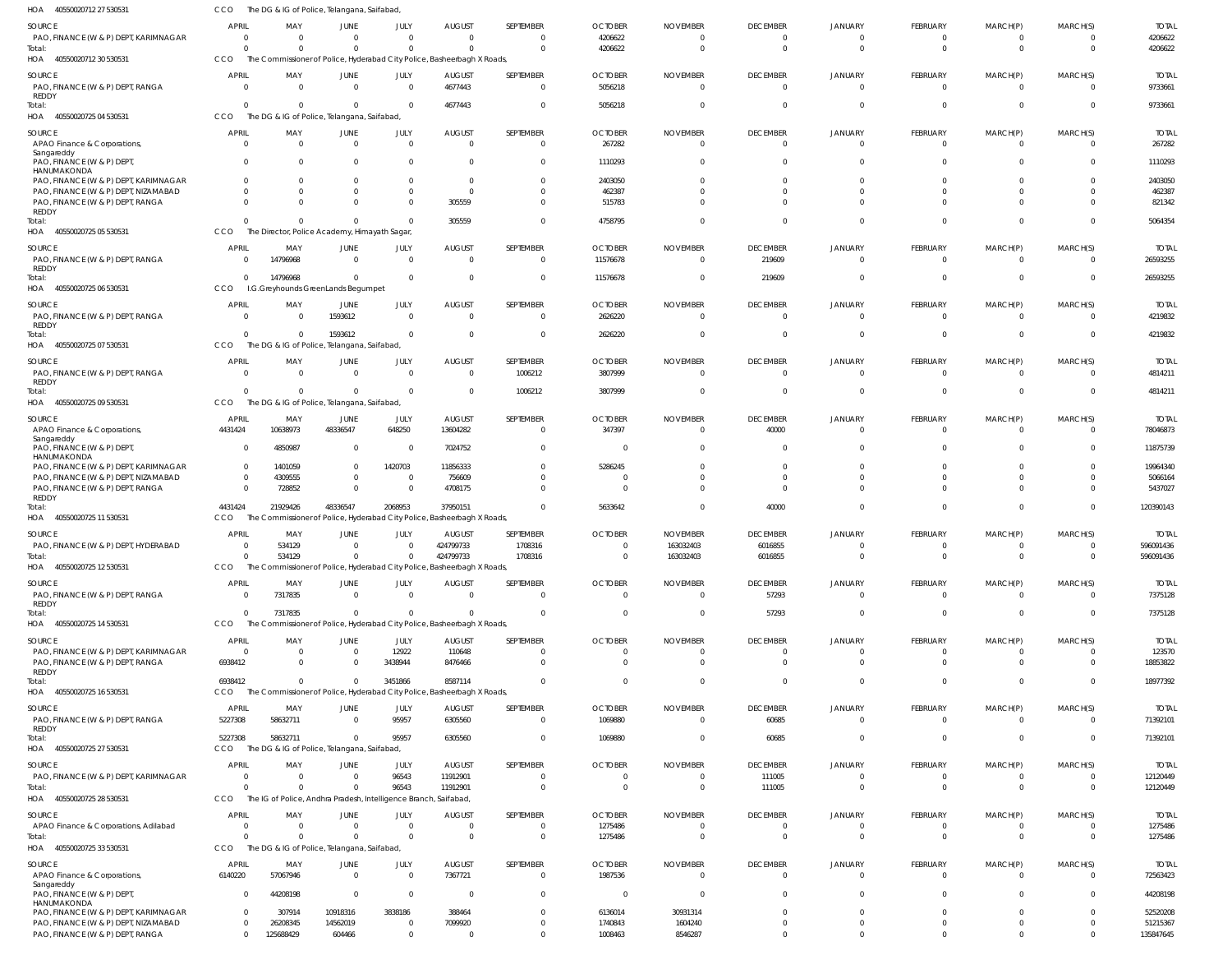| HOA 40550020712 27 530531                                                     | CCO                    | The DG & IG of Police, Telangana, Saifabad,                                        |                                  |                |                           |                            |                            |                                   |                                  |                           |                                |                              |                      |                         |
|-------------------------------------------------------------------------------|------------------------|------------------------------------------------------------------------------------|----------------------------------|----------------|---------------------------|----------------------------|----------------------------|-----------------------------------|----------------------------------|---------------------------|--------------------------------|------------------------------|----------------------|-------------------------|
| SOURCE                                                                        | <b>APRIL</b>           | MAY                                                                                | JUNE                             | JULY           | <b>AUGUST</b>             | SEPTEMBER                  | <b>OCTOBER</b>             | <b>NOVEMBER</b>                   | <b>DECEMBER</b>                  | JANUARY                   | <b>FEBRUARY</b>                | MARCH(P)                     | MARCH(S)             | <b>TOTAI</b>            |
| PAO, FINANCE (W & P) DEPT, KARIMNAGAR<br>Total:                               | $\cap$                 | $\overline{\mathbf{0}}$<br>$\Omega$                                                | $\overline{0}$<br>$\overline{0}$ | $\Omega$       | $\Omega$<br>$\Omega$      | $\overline{0}$<br>$\Omega$ | 4206622<br>4206622         | 0<br>0                            | $\overline{0}$<br>$\overline{0}$ | $\Omega$<br>$\Omega$      | 0<br>$\mathbf{0}$              | 0<br>$\mathbf 0$             | $\Omega$<br>$\Omega$ | 4206622<br>4206622      |
| HOA 40550020712 30 530531                                                     | CCO                    | The Commissioner of Police, Hyderabad City Police, Basheerbagh X Roads,            |                                  |                |                           |                            |                            |                                   |                                  |                           |                                |                              |                      |                         |
| <b>SOURCE</b>                                                                 | <b>APRIL</b>           | MAY                                                                                | JUNE                             | JULY           | <b>AUGUST</b>             | SEPTEMBER                  | <b>OCTOBER</b>             | <b>NOVEMBER</b>                   | <b>DECEMBER</b>                  | <b>JANUARY</b>            | FEBRUARY                       | MARCH(P)                     | MARCH(S)             | <b>TOTAL</b>            |
| PAO, FINANCE (W & P) DEPT, RANGA<br>REDDY                                     | $\Omega$               | - 0                                                                                | $\overline{0}$                   | $\Omega$       | 4677443                   | $\overline{0}$             | 5056218                    | - 0                               | $\Omega$                         | $\Omega$                  | $\overline{0}$                 | $\mathbf 0$                  | $\Omega$             | 9733661                 |
| lotal:<br>HOA 40550020725 04 530531                                           | $\Omega$<br>CCO        | - 0<br>The DG & IG of Police, Telangana, Saifabad,                                 | $\Omega$                         |                | 4677443                   | $\Omega$                   | 5056218                    | $\Omega$                          | $\Omega$                         | $\Omega$                  | $\mathbf{0}$                   | $\mathbf{0}$                 | $\Omega$             | 9733661                 |
| SOURCE                                                                        | <b>APRIL</b>           | MAY                                                                                | JUNE                             | JULY           | <b>AUGUST</b>             | SEPTEMBER                  | <b>OCTOBER</b>             | <b>NOVEMBER</b>                   | <b>DECEMBER</b>                  | JANUARY                   | FEBRUARY                       | MARCH(P)                     | MARCH(S)             | <b>TOTAL</b>            |
| APAO Finance & Corporations,<br>Sangareddy                                    | $\Omega$               | $\Omega$                                                                           | $\overline{0}$                   | $\Omega$       | $\overline{0}$            | $\overline{0}$             | 267282                     | 0                                 | $\overline{0}$                   | $\Omega$                  | $\overline{0}$                 | $\mathbf{0}$                 | $\Omega$             | 267282                  |
| PAO, FINANCE (W & P) DEPT,<br>HANUMAKONDA                                     |                        | - 0                                                                                | $\Omega$                         |                | 0                         | $\Omega$                   | 1110293                    | $\Omega$                          | $\Omega$                         | $\Omega$                  | $\Omega$                       | $\Omega$                     |                      | 1110293                 |
| PAO, FINANCE (W & P) DEPT, KARIMNAGAR                                         |                        | $\Omega$                                                                           | $\Omega$                         |                | 0                         | $\Omega$                   | 2403050                    | 0                                 |                                  |                           | $\Omega$                       | $\Omega$                     |                      | 2403050                 |
| PAO, FINANCE (W & P) DEPT, NIZAMABAD<br>PAO, FINANCE (W & P) DEPT, RANGA      |                        | $\Omega$<br>$\Omega$                                                               | $\Omega$<br>$\Omega$             |                | $\Omega$<br>305559        | $\Omega$<br>$\Omega$       | 462387<br>515783           |                                   |                                  |                           | $\Omega$<br>$\Omega$           | $\Omega$<br>$\Omega$         | $\Omega$             | 462387<br>821342        |
| REDDY<br>Total:                                                               | $\cap$                 | $\Omega$                                                                           | $\Omega$                         |                | 305559                    | $\Omega$                   | 4758795                    | $\Omega$                          | $\Omega$                         | $\Omega$                  | $\Omega$                       | $\mathbf 0$                  | $\Omega$             | 5064354                 |
| HOA 40550020725 05 530531                                                     | CCO                    | The Director, Police Academy, Himayath Sagar,                                      |                                  |                |                           |                            |                            |                                   |                                  |                           |                                |                              |                      |                         |
| <b>SOURCE</b>                                                                 | <b>APRIL</b>           | MAY                                                                                | JUNE                             | JULY           | <b>AUGUST</b>             | SEPTEMBER                  | <b>OCTOBER</b>             | <b>NOVEMBER</b>                   | <b>DECEMBER</b>                  | JANUARY                   | <b>FEBRUARY</b>                | MARCH(P)                     | MARCH(S)             | <b>TOTAL</b>            |
| PAO, FINANCE (W & P) DEPT, RANGA                                              |                        | 14796968                                                                           | $\overline{0}$                   | $\Omega$       | - 0                       | $\overline{0}$             | 11576678                   | 0                                 | 219609                           | $\Omega$                  | $\overline{0}$                 | $\mathbf{0}$                 | $\Omega$             | 26593255                |
| REDDY<br>Total:<br>HOA 40550020725 06 530531                                  | $\Omega$<br>CCO        | 14796968<br>I.G.Greyhounds GreenLands Begumpet                                     | $\overline{0}$                   | $\Omega$       | 0                         | $\overline{0}$             | 11576678                   | 0                                 | 219609                           | $\overline{0}$            | $\mathbf{0}$                   | $\mathbf{0}$                 | $\Omega$             | 26593255                |
| SOURCE                                                                        | <b>APRIL</b>           | MAY                                                                                | JUNE                             | JULY           | <b>AUGUST</b>             | SEPTEMBER                  | <b>OCTOBER</b>             | <b>NOVEMBER</b>                   | <b>DECEMBER</b>                  | <b>JANUARY</b>            | <b>FEBRUARY</b>                | MARCH(P)                     | MARCH(S)             | <b>TOTAL</b>            |
| PAO, FINANCE (W & P) DEPT, RANGA<br><b>REDDY</b>                              |                        | - 0                                                                                | 1593612                          | $\Omega$       | $\Omega$                  | $\overline{0}$             | 2626220                    | $\Omega$                          | $\overline{\mathbf{0}}$          | $\Omega$                  | $\overline{0}$                 | $\mathbf{0}$                 | $\Omega$             | 4219832                 |
| Total:<br>HOA 40550020725 07 530531                                           | $\Omega$<br>CCO        | $\overline{\mathbf{0}}$<br>The DG & IG of Police, Telangana, Saifabad,             | 1593612                          | $\Omega$       | $\overline{0}$            | $\overline{0}$             | 2626220                    | 0                                 | $\Omega$                         | $\Omega$                  | 0                              | $\mathbf{0}$                 | $\Omega$             | 4219832                 |
| SOURCE                                                                        | <b>APRIL</b>           | MAY                                                                                | JUNE                             | JULY           | <b>AUGUST</b>             | SEPTEMBER                  | <b>OCTOBER</b>             | <b>NOVEMBER</b>                   | <b>DECEMBER</b>                  | <b>JANUARY</b>            | FEBRUARY                       | MARCH(P)                     | MARCH(S)             | <b>TOTAL</b>            |
| PAO, FINANCE (W & P) DEPT, RANGA<br>REDDY                                     |                        | - 0                                                                                | $\overline{0}$                   | $\Omega$       | $\overline{0}$            | 1006212                    | 3807999                    | - 0                               | $\Omega$                         | $\Omega$                  | $\overline{0}$                 | $\mathbf{0}$                 | $\Omega$             | 4814211                 |
| lotal:                                                                        | $\Omega$               | $\Omega$                                                                           | $\overline{0}$                   | $\Omega$       | $\overline{0}$            | 1006212                    | 3807999                    | $\Omega$                          | $\Omega$                         | $\Omega$                  | $\mathbf{0}$                   | $\mathbf{0}$                 | $\Omega$             | 4814211                 |
| HOA<br>40550020725 09 530531                                                  | CCO<br>APRIL           | The DG & IG of Police, Telangana, Saifabad,                                        |                                  |                |                           | SEPTEMBER                  | <b>OCTOBER</b>             |                                   |                                  |                           |                                |                              |                      |                         |
| SOURCE<br>APAO Finance & Corporations,<br>Sangareddy                          | 4431424                | MAY<br>10638973                                                                    | JUNE<br>48336547                 | JULY<br>648250 | <b>AUGUST</b><br>13604282 | $\overline{0}$             | 347397                     | <b>NOVEMBER</b><br>$\overline{0}$ | <b>DECEMBER</b><br>40000         | JANUARY<br>$\overline{0}$ | FEBRUARY<br>$\overline{0}$     | MARCH(P)<br>$\mathbf{0}$     | MARCH(S)<br>$\Omega$ | <b>TOTA</b><br>78046873 |
| PAO, FINANCE (W & P) DEPT,<br>HANUMAKONDA                                     | $\cap$                 | 4850987                                                                            | $\overline{0}$                   | - 0            | 7024752                   | $\overline{0}$             | 0                          | - 0                               | $\Omega$                         | $\Omega$                  | $\overline{0}$                 | $^{\circ}$                   | $\Omega$             | 11875739                |
| PAO, FINANCE (W & P) DEPT, KARIMNAGAR<br>PAO, FINANCE (W & P) DEPT, NIZAMABAD | $\Omega$<br>$\Omega$   | 1401059<br>4309555                                                                 | $\overline{0}$<br>$\overline{0}$ | 1420703<br>- 0 | 11856333<br>756609        | $\Omega$<br>$\mathbf{0}$   | 5286245<br>0               | 0<br>0                            | $\Omega$<br>$\Omega$             | $\Omega$                  | $\Omega$<br>$\Omega$           | $\Omega$<br>$\mathbf{0}$     | $\Omega$<br>$\Omega$ | 19964340<br>5066164     |
| PAO, FINANCE (W & P) DEPT, RANGA                                              | $\Omega$               | 728852                                                                             | $\overline{0}$                   | - 0            | 4708175                   | $\Omega$                   | - 0                        | $\Omega$                          | $\Omega$                         | $\Omega$                  | $\Omega$                       | $\mathbf 0$                  | $\Omega$             | 5437027                 |
| REDDY<br>Total:                                                               | 4431424                | 21929426                                                                           | 48336547                         | 2068953        | 37950151                  | $\Omega$                   | 5633642                    | $\Omega$                          | 40000                            | $\Omega$                  | $\overline{0}$                 | $\overline{0}$               | $\Omega$             | 120390143               |
| HOA 40550020725 11 530531                                                     | CCO                    | The Commissioner of Police, Hyderabad City Police, Basheerbagh X Roads,            |                                  |                |                           |                            |                            |                                   |                                  |                           |                                |                              |                      |                         |
| SOURCE                                                                        | <b>APRIL</b>           | MAY                                                                                | JUNE                             | JULY           | <b>AUGUST</b>             | SEPTEMBER                  | <b>OCTOBER</b>             | <b>NOVEMBER</b>                   | <b>DECEMBER</b>                  | JANUARY                   | FEBRUARY                       | MARCH(P)                     | MARCH(S)             | <b>TOTAL</b>            |
| PAO, FINANCE (W & P) DEPT, HYDERABAD<br>Total:                                | $\Omega$               | 534129<br>534129                                                                   | $\overline{0}$<br>$\overline{0}$ | $\Omega$       | 424799733<br>424799733    | 1708316<br>1708316         | $\Omega$                   | 163032403<br>163032403            | 6016855<br>6016855               | $\Omega$                  | $\Omega$                       | $\Omega$                     | $\Omega$             | 596091436<br>596091436  |
| HOA<br>40550020725 12 530531                                                  | <b>CCO</b>             | The Commissioner of Police, Hyderabad City Police, Basheerbagh X Roads,            |                                  |                |                           |                            |                            |                                   |                                  |                           |                                |                              |                      |                         |
| SOURCE                                                                        | <b>APRIL</b>           | MAY                                                                                | <b>JUNE</b>                      | JULY           | <b>AUGUST</b>             | SEPTEMBER                  | <b>OCTOBER</b>             | <b>NOVEMBER</b>                   | <b>DECEMBER</b>                  | <b>JANUARY</b>            | FEBRUARY                       | MARCH(P)                     | MARCH(S)             | <b>TOTAL</b>            |
| PAO, FINANCE (W & P) DEPT, RANGA<br>REDDY                                     | $\Omega$               | 7317835                                                                            | $\overline{0}$                   | $\Omega$       | $\overline{0}$            | $\overline{0}$             | $\overline{0}$             | $\overline{0}$                    | 57293                            | $\overline{0}$            | $\overline{0}$                 | $\overline{0}$               | $\Omega$             | 7375128                 |
| Total:<br>HOA 40550020725 14 530531                                           | $\Omega$<br><b>CCO</b> | 7317835<br>The Commissioner of Police, Hyderabad City Police, Basheerbagh X Roads, | $\overline{0}$                   | $\Omega$       | $\overline{0}$            | $\mathbf{0}$               | $\overline{0}$             | $\overline{0}$                    | 57293                            | $\overline{0}$            | $\mathbf{0}$                   | $\mathbf{0}$                 | $\overline{0}$       | 7375128                 |
| SOURCE                                                                        | <b>APRIL</b>           | MAY                                                                                | <b>JUNE</b>                      | JULY           | <b>AUGUST</b>             | SEPTEMBER                  | <b>OCTOBER</b>             | <b>NOVEMBER</b>                   | <b>DECEMBER</b>                  | JANUARY                   | FEBRUARY                       | MARCH(P)                     | MARCH(S)             | <b>TOTAL</b>            |
| PAO, FINANCE (W & P) DEPT, KARIMNAGAR<br>PAO, FINANCE (W & P) DEPT, RANGA     | $\Omega$               | $\overline{\mathbf{0}}$<br>- 0                                                     | $\overline{0}$                   | 12922          | 110648                    | $\mathbf{0}$<br>$\Omega$   | $\overline{0}$<br>$\Omega$ | $\overline{0}$                    | $\overline{0}$<br>$\Omega$       | $\Omega$<br>$\Omega$      | $\mathbf{0}$<br>$\mathbf{0}$   | $\mathbf{0}$<br>$\mathbf{0}$ | $\Omega$<br>$\Omega$ | 123570                  |
| REDDY                                                                         | 6938412                |                                                                                    | $\overline{0}$                   | 3438944        | 8476466                   |                            |                            | $\overline{0}$                    |                                  |                           |                                |                              |                      | 18853822                |
| Total:<br>HOA 40550020725 16 530531                                           | 6938412<br>CCO         | - 0<br>The Commissioner of Police, Hyderabad City Police, Basheerbagh X Roads,     | $\overline{0}$                   | 3451866        | 8587114                   | $\mathbf{0}$               | $\overline{0}$             | $\overline{0}$                    | $\Omega$                         | $\Omega$                  | $\overline{0}$                 | $\mathbf{0}$                 | $\Omega$             | 18977392                |
| SOURCE                                                                        | APRIL                  | MAY                                                                                | <b>JUNE</b>                      | JULY           | <b>AUGUST</b>             | SEPTEMBER                  | <b>OCTOBER</b>             | <b>NOVEMBER</b>                   | <b>DECEMBER</b>                  | <b>JANUARY</b>            | FEBRUARY                       | MARCH(P)                     | MARCH(S)             | <b>TOTAL</b>            |
| PAO, FINANCE (W & P) DEPT, RANGA                                              | 5227308                | 58632711                                                                           | $\overline{\mathbf{0}}$          | 95957          | 6305560                   | $\overline{0}$             | 1069880                    | $\overline{0}$                    | 60685                            | $\overline{0}$            | $\overline{0}$                 | $\overline{0}$               | $\overline{0}$       | 71392101                |
| REDDY<br>Total:                                                               | 5227308                | 58632711                                                                           | $\overline{0}$                   | 95957          | 6305560                   | $\overline{0}$             | 1069880                    | $\overline{0}$                    | 60685                            | $\overline{0}$            | $\overline{0}$                 | $\mathbf{0}$                 | $\overline{0}$       | 71392101                |
| HOA 40550020725 27 530531                                                     | CCO                    | The DG & IG of Police, Telangana, Saifabad,                                        |                                  |                |                           |                            |                            |                                   |                                  |                           |                                |                              |                      |                         |
| SOURCE                                                                        | APRIL                  | MAY                                                                                | JUNE                             | JULY           | <b>AUGUST</b>             | SEPTEMBER                  | <b>OCTOBER</b>             | <b>NOVEMBER</b>                   | <b>DECEMBER</b>                  | JANUARY                   | FEBRUARY                       | MARCH(P)                     | MARCH(S)             | <b>TOTAL</b>            |
| PAO, FINANCE (W & P) DEPT, KARIMNAGAR<br>Total:                               | $\Omega$<br>$\Omega$   | $\overline{\mathbf{0}}$<br>$\Omega$                                                | $\overline{0}$<br>$\Omega$       | 96543<br>96543 | 11912901<br>11912901      | $\mathbf{0}$<br>$\Omega$   | $\overline{0}$<br>$\Omega$ | $\overline{0}$<br>$\Omega$        | 111005<br>111005                 | $\Omega$<br>$\Omega$      | $\overline{0}$<br>$\mathbf{0}$ | $\mathbf{0}$<br>$\mathbf{0}$ | $\Omega$<br>$\Omega$ | 12120449<br>12120449    |
| HOA<br>40550020725 28 530531                                                  | <b>CCO</b>             | The IG of Police, Andhra Pradesh, Intelligence Branch                              |                                  |                | Saifabad                  |                            |                            |                                   |                                  |                           |                                |                              |                      |                         |
| SOURCE                                                                        | APRIL                  | MAY                                                                                | JUNE                             | JULY           | <b>AUGUST</b>             | SEPTEMBER                  | <b>OCTOBER</b>             | <b>NOVEMBER</b>                   | <b>DECEMBER</b>                  | JANUARY                   | FEBRUARY                       | MARCH(P)                     | MARCH(S)             | <b>TOTAL</b>            |
| APAO Finance & Corporations, Adilabad                                         | $\Omega$               | $\overline{\mathbf{0}}$                                                            | $\overline{0}$                   | - 0            | $\overline{0}$            | $\overline{0}$             | 1275486                    | $\overline{0}$                    | $\overline{0}$                   | $\overline{0}$            | $\overline{0}$                 | $\overline{0}$               | $\Omega$             | 1275486                 |
| Total:<br>HOA 40550020725 33 530531                                           | $\Omega$<br>CCO        | $\Omega$<br>The DG & IG of Police, Telangana, Saifabad,                            | $\overline{0}$                   |                | $\overline{0}$            | $\mathbf{0}$               | 1275486                    | 0                                 | $\overline{0}$                   | $\overline{0}$            | $\mathbf{0}$                   | $\mathbf{0}$                 | $\Omega$             | 1275486                 |
| SOURCE                                                                        | APRIL                  | MAY                                                                                | JUNE                             | JULY           | <b>AUGUST</b>             | SEPTEMBER                  | <b>OCTOBER</b>             | <b>NOVEMBER</b>                   | <b>DECEMBER</b>                  | <b>JANUARY</b>            | FEBRUARY                       | MARCH(P)                     | MARCH(S)             | <b>TOTAL</b>            |
| APAO Finance & Corporations,                                                  | 6140220                | 57067946                                                                           | $\overline{0}$                   | $\Omega$       | 7367721                   | $\overline{0}$             | 1987536                    | $\overline{0}$                    | $\overline{0}$                   | $\overline{0}$            | $\overline{0}$                 | $\mathbf 0$                  | $\overline{0}$       | 72563423                |
| Sangareddy<br>PAO, FINANCE (W & P) DEPT,                                      | $\Omega$               | 44208198                                                                           | $\overline{\mathbf{0}}$          | $\overline{0}$ | $\overline{\phantom{0}}$  | $\overline{0}$             | $\overline{0}$             | $\overline{0}$                    | $\Omega$                         | $\overline{0}$            | $\overline{0}$                 | $\mathbf{0}$                 | $\Omega$             | 44208198                |
| HANUMAKONDA<br>PAO, FINANCE (W & P) DEPT, KARIMNAGAR                          | $\Omega$               | 307914                                                                             | 10918316                         | 3838186        | 388464                    | $\mathbf 0$                | 6136014                    | 30931314                          | $\Omega$                         | $\overline{0}$            | $\mathbf{0}$                   | $\mathbf 0$                  | $\Omega$             | 52520208                |
| PAO, FINANCE (W & P) DEPT, NIZAMABAD                                          | $\Omega$               | 26208345                                                                           | 14562019                         | $\Omega$       | 7099920                   | 0                          | 1740843                    | 1604240                           | $\overline{0}$                   | $\overline{0}$            | $\mathbf 0$                    | $\mathbf 0$                  | $\Omega$             | 51215367                |
| PAO, FINANCE (W & P) DEPT, RANGA                                              | $\overline{0}$         | 125688429                                                                          | 604466                           | $\mathbf{0}$   | $\overline{0}$            | $\mathbf 0$                | 1008463                    | 8546287                           | $\mathbf{0}$                     | $\mathbf{0}$              | $\mathbf 0$                    | $\mathbf 0$                  | $\Omega$             | 135847645               |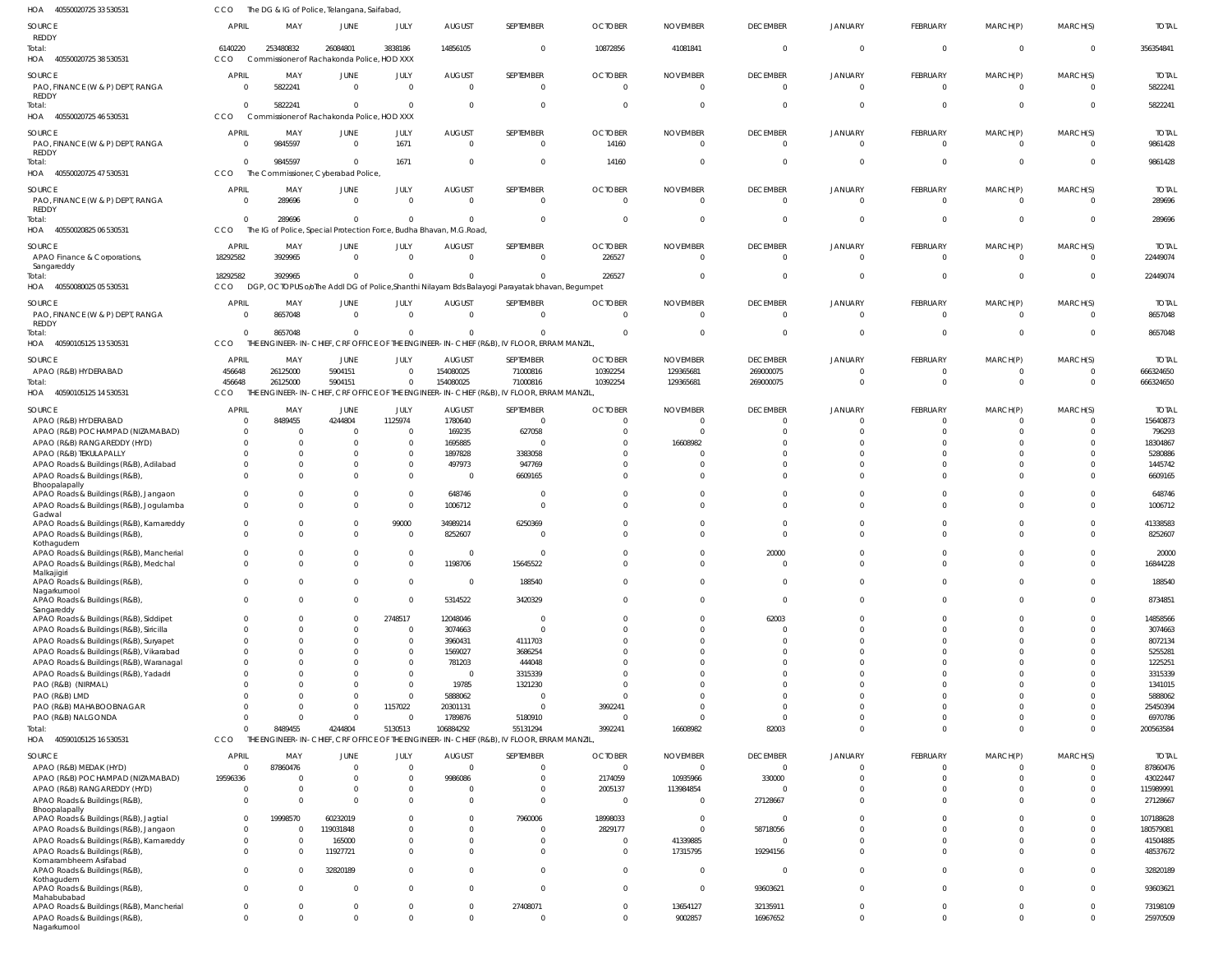| HOA<br>40550020725 33 530531                                                     | CCO                      | The DG & IG of Police, Telangana, Saifabad, |                       |                            |                                                                     |                                                                                                |                            |                              |                              |                            |                            |                      |                            |                           |
|----------------------------------------------------------------------------------|--------------------------|---------------------------------------------|-----------------------|----------------------------|---------------------------------------------------------------------|------------------------------------------------------------------------------------------------|----------------------------|------------------------------|------------------------------|----------------------------|----------------------------|----------------------|----------------------------|---------------------------|
| <b>SOURCE</b>                                                                    | <b>APRIL</b>             | MAY                                         | <b>JUNE</b>           | JULY                       | <b>AUGUST</b>                                                       | SEPTEMBER                                                                                      | <b>OCTOBER</b>             | <b>NOVEMBER</b>              | <b>DECEMBER</b>              | JANUARY                    | FEBRUARY                   | MARCH(P)             | MARCH(S)                   | <b>TOTAL</b>              |
| REDDY                                                                            |                          |                                             |                       |                            |                                                                     |                                                                                                |                            |                              |                              |                            |                            |                      |                            |                           |
| Total:                                                                           | 6140220                  | 253480832                                   | 26084801              | 3838186                    | 14856105                                                            | $\mathbf{0}$                                                                                   | 10872856                   | 41081841                     | $\overline{0}$               | $\overline{0}$             | $\overline{0}$             | $\overline{0}$       | $\overline{0}$             | 356354841                 |
| HOA 40550020725 38 530531                                                        | CCO                      | Commissioner of Rachakonda Police, HOD XXX  |                       |                            |                                                                     |                                                                                                |                            |                              |                              |                            |                            |                      |                            |                           |
| SOURCE                                                                           | <b>APRIL</b>             | MAY                                         | JUNE                  | JULY                       | <b>AUGUST</b>                                                       | SEPTEMBER                                                                                      | <b>OCTOBER</b>             | <b>NOVEMBER</b>              | <b>DECEMBER</b>              | JANUARY                    | FEBRUARY                   | MARCH(P)             | MARCH(S)                   | <b>TOTAL</b>              |
| PAO, FINANCE (W & P) DEPT, RANGA<br><b>REDDY</b>                                 | $\overline{0}$           | 5822241                                     | $\Omega$              | $\overline{0}$             | $\Omega$                                                            | $\overline{0}$                                                                                 | $\Omega$                   |                              | $\overline{0}$               | $\overline{0}$             | $\overline{0}$             | $\overline{0}$       | $\overline{0}$             | 5822241                   |
| Total:                                                                           | $\Omega$                 | 5822241                                     | $\Omega$              | $\Omega$                   | $\Omega$                                                            | $\mathbf{0}$                                                                                   |                            |                              | $\Omega$                     | $\Omega$                   | $\overline{0}$             | $\overline{0}$       | $\overline{0}$             | 5822241                   |
| HOA<br>40550020725 46 530531                                                     | CCO                      | Commissioner of Rachakonda Police, HOD XXX  |                       |                            |                                                                     |                                                                                                |                            |                              |                              |                            |                            |                      |                            |                           |
| <b>SOURCE</b>                                                                    | <b>APRIL</b>             | MAY                                         | JUNE                  | JULY                       | <b>AUGUST</b>                                                       | SEPTEMBER                                                                                      | <b>OCTOBER</b>             | <b>NOVEMBER</b>              | <b>DECEMBER</b>              | JANUARY                    | FEBRUARY                   | MARCH(P)             | MARCH(S)                   | <b>TOTAL</b>              |
| PAO, FINANCE (W & P) DEPT, RANGA                                                 | 0                        | 9845597                                     | $\Omega$              | 1671                       | $\Omega$                                                            | $\mathbf{0}$                                                                                   | 14160                      | $\Omega$                     | $\overline{0}$               | $\overline{0}$             | $\overline{0}$             | $\overline{0}$       | $\overline{0}$             | 9861428                   |
| <b>REDDY</b><br>Total:                                                           | $\Omega$                 | 9845597                                     | $\Omega$              | 1671                       |                                                                     | $\Omega$                                                                                       | 14160                      |                              | $\Omega$                     | $\Omega$                   | $\Omega$                   | $\overline{0}$       | $\Omega$                   | 9861428                   |
| HOA 40550020725 47 530531                                                        | CCO                      | The Commissioner, Cyberabad Police,         |                       |                            |                                                                     |                                                                                                |                            |                              |                              |                            |                            |                      |                            |                           |
| <b>SOURCE</b>                                                                    | <b>APRIL</b>             | MAY                                         | JUNE                  | JULY                       | <b>AUGUST</b>                                                       | SEPTEMBER                                                                                      | <b>OCTOBER</b>             | <b>NOVEMBER</b>              | <b>DECEMBER</b>              | JANUARY                    | FEBRUARY                   | MARCH(P)             | MARCH(S)                   | <b>TOTAL</b>              |
| PAO, FINANCE (W & P) DEPT, RANGA                                                 | $\Omega$                 | 289696                                      | $\Omega$              | $\overline{0}$             | $\Omega$                                                            | $\mathbf{0}$                                                                                   | $\Omega$                   | $\Omega$                     | $\overline{0}$               | $\overline{0}$             | $\overline{0}$             | $\overline{0}$       | $\overline{0}$             | 289696                    |
| <b>REDDY</b>                                                                     |                          |                                             |                       |                            |                                                                     |                                                                                                |                            |                              |                              |                            |                            |                      |                            |                           |
| Total:                                                                           | $\mathbf{0}$             | 289696                                      | $\Omega$              | $\overline{0}$             |                                                                     | $\mathbf{0}$                                                                                   |                            |                              | $\overline{0}$               | $\Omega$                   | $\overline{0}$             | $\overline{0}$       | $\overline{0}$             | 289696                    |
| HOA 40550020825 06 530531                                                        | CCO                      |                                             |                       |                            | The IG of Police, Special Protection Force, Budha Bhavan, M.G.Road, |                                                                                                |                            |                              |                              |                            |                            |                      |                            |                           |
| SOURCE                                                                           | <b>APRIL</b>             | MAY                                         | JUNE                  | JULY                       | <b>AUGUST</b>                                                       | SEPTEMBER                                                                                      | <b>OCTOBER</b>             | <b>NOVEMBER</b>              | <b>DECEMBER</b>              | JANUARY                    | FEBRUARY                   | MARCH(P)             | MARCH(S)                   | <b>TOTAL</b>              |
| APAO Finance & Corporations,<br>Sangareddy                                       | 18292582                 | 3929965                                     | $\Omega$              | $\Omega$                   | - 0                                                                 | $\Omega$                                                                                       | 226527                     | $\cup$                       | $\Omega$                     | $\Omega$                   | $\Omega$                   | $\Omega$             | $\overline{0}$             | 22449074                  |
| Total:                                                                           | 18292582                 | 3929965                                     | $\Omega$              | $\overline{0}$             |                                                                     | $\Omega$                                                                                       | 226527                     |                              | $\Omega$                     | $\Omega$                   | $\overline{0}$             | $\overline{0}$       | $\overline{0}$             | 22449074                  |
| HOA 40550080025 05 530531                                                        | CCO                      |                                             |                       |                            |                                                                     | DGP, OCTOPUS oloThe Addl DG of Police, Shanthi Nilayam Bds Balayogi Parayatak bhavan, Begumpet |                            |                              |                              |                            |                            |                      |                            |                           |
| SOURCE                                                                           | <b>APRIL</b>             | MAY                                         | JUNE                  | JULY                       | <b>AUGUST</b>                                                       | SEPTEMBER                                                                                      | <b>OCTOBER</b>             | <b>NOVEMBER</b>              | <b>DECEMBER</b>              | JANUARY                    | FEBRUARY                   | MARCH(P)             | MARCH(S)                   | <b>TOTAL</b>              |
| PAO, FINANCE (W & P) DEPT, RANGA                                                 | $\Omega$                 | 8657048                                     | $\Omega$              | $\overline{0}$             | $\Omega$                                                            | $\mathbf{0}$                                                                                   |                            |                              | $\overline{0}$               | $\Omega$                   | $\overline{0}$             | $\overline{0}$       | $\overline{0}$             | 8657048                   |
| <b>REDDY</b>                                                                     | $\Omega$                 | 8657048                                     | $\Omega$              | $\overline{0}$             |                                                                     | $\Omega$                                                                                       |                            |                              | $\Omega$                     | $\Omega$                   | $\mathbf{0}$               | $\mathbf{0}$         | $\overline{0}$             | 8657048                   |
| Total:<br>40590105125 13 530531<br>HOA                                           | CCO                      |                                             |                       |                            |                                                                     | THE ENGINEER-IN-CHIEF, CRF OFFICE OF THE ENGINEER-IN-CHIEF (R&B), IV FLOOR, ERRAM MANZIL,      |                            |                              |                              |                            |                            |                      |                            |                           |
|                                                                                  |                          |                                             |                       |                            |                                                                     |                                                                                                |                            |                              |                              |                            |                            |                      |                            |                           |
| SOURCE<br>APAO (R&B) HYDERABAD                                                   | <b>APRIL</b><br>456648   | MAY<br>26125000                             | JUNE<br>5904151       | JULY<br>$\Omega$           | <b>AUGUST</b><br>154080025                                          | SEPTEMBER<br>71000816                                                                          | <b>OCTOBER</b><br>10392254 | <b>NOVEMBER</b><br>129365681 | <b>DECEMBER</b><br>269000075 | <b>JANUARY</b><br>$\Omega$ | FEBRUARY<br>0              | MARCH(P)<br>0        | MARCH(S)<br>$\overline{0}$ | <b>TOTAL</b><br>666324650 |
| Total:                                                                           | 456648                   | 26125000                                    | 5904151               | $\mathbf{0}$               | 154080025                                                           | 71000816                                                                                       | 10392254                   | 129365681                    | 269000075                    | $\Omega$                   | $\Omega$                   | $\Omega$             | $\Omega$                   | 666324650                 |
| HOA 40590105125 14 530531                                                        | <b>CCO</b>               |                                             |                       |                            |                                                                     | THE ENGINEER-IN-CHIEF, CRF OFFICE OF THE ENGINEER-IN-CHIEF (R&B), IV FLOOR, ERRAM MANZIL,      |                            |                              |                              |                            |                            |                      |                            |                           |
| SOURCE                                                                           | <b>APRIL</b>             | MAY                                         | JUNE                  | JULY                       | <b>AUGUST</b>                                                       | SEPTEMBER                                                                                      | <b>OCTOBER</b>             | <b>NOVEMBER</b>              | <b>DECEMBER</b>              | JANUARY                    | FEBRUARY                   | MARCH(P)             | MARCH(S)                   | <b>TOTAL</b>              |
| APAO (R&B) HYDERABAD                                                             | $\Omega$                 | 8489455                                     | 4244804               | 1125974                    | 1780640                                                             | $\overline{0}$                                                                                 |                            | - (                          | $\Omega$                     | $\Omega$                   | $\Omega$                   | $\Omega$             | $\Omega$                   | 15640873                  |
| APAO (R&B) POCHAMPAD (NIZAMABAD)                                                 | $\Omega$                 | - 0                                         | $\Omega$              | $\overline{0}$             | 169235                                                              | 627058                                                                                         |                            |                              |                              |                            | $\Omega$                   | $\Omega$             | $\Omega$                   | 796293                    |
| APAO (R&B) RANGAREDDY (HYD)                                                      | $\Omega$                 | $\Omega$                                    |                       | $\overline{0}$             | 1695885                                                             | $\Omega$                                                                                       |                            | 16608982                     |                              |                            | $\Omega$                   | $\Omega$             |                            | 18304867                  |
| APAO (R&B) TEKULAPALLY                                                           | U                        | $\Omega$                                    |                       | $\overline{0}$             | 1897828                                                             | 3383058                                                                                        |                            |                              |                              |                            | $\Omega$                   | $\Omega$             | $\Omega$                   | 5280886                   |
| APAO Roads & Buildings (R&B), Adilabad<br>APAO Roads & Buildings (R&B),          | 0<br>$\Omega$            | $\Omega$<br>$\Omega$                        |                       | $\overline{0}$<br>$\Omega$ | 497973<br>- 0                                                       | 947769<br>6609165                                                                              |                            |                              |                              |                            | $\Omega$<br>$\Omega$       | $\Omega$<br>$\Omega$ | $\Omega$                   | 1445742<br>6609165        |
| Bhoopalapally                                                                    |                          |                                             |                       |                            |                                                                     |                                                                                                |                            |                              |                              |                            |                            |                      |                            |                           |
| APAO Roads & Buildings (R&B), Jangaon                                            | $\Omega$                 | $\Omega$                                    | $\Omega$              | $\overline{0}$             | 648746                                                              | $\Omega$                                                                                       |                            |                              | $\Omega$                     |                            | $\Omega$                   | $\Omega$             | $\Omega$                   | 648746                    |
| APAO Roads & Buildings (R&B), Jogulamba<br>Gadwal                                | $\Omega$                 | $\Omega$                                    | $\Omega$              | $\overline{0}$             | 1006712                                                             | $\mathbf{0}$                                                                                   |                            |                              | $\Omega$                     |                            | $\Omega$                   | $\Omega$             | $\Omega$                   | 1006712                   |
| APAO Roads & Buildings (R&B), Kamareddy                                          | $\Omega$                 | $\Omega$                                    | $\Omega$              | 99000                      | 34989214                                                            | 6250369                                                                                        |                            |                              | $\Omega$                     |                            | $\Omega$                   | $\Omega$             | $\Omega$                   | 41338583                  |
| APAO Roads & Buildings (R&B),                                                    | $\Omega$                 | $\Omega$                                    | $\Omega$              | $\Omega$                   | 8252607                                                             | $\Omega$                                                                                       |                            |                              | $\Omega$                     |                            | $\Omega$                   | $\Omega$             | $\Omega$                   | 8252607                   |
| Kothagudem<br>APAO Roads & Buildings (R&B), Mancherial                           |                          |                                             |                       | $\Omega$                   |                                                                     |                                                                                                |                            |                              |                              |                            |                            |                      |                            | 20000                     |
| APAO Roads & Buildings (R&B), Medchal                                            |                          | $\Omega$                                    |                       | $\Omega$                   | 1198706                                                             | 15645522                                                                                       |                            |                              | $\Omega$                     |                            | $\mathbf 0$                | $\mathbf 0$          | $\Omega$                   | 16844228                  |
| Malkajigiri                                                                      |                          |                                             |                       |                            |                                                                     |                                                                                                |                            |                              |                              |                            |                            |                      |                            |                           |
| APAO Roads & Buildings (R&B),<br>Nagarkurnool                                    | $\Omega$                 | $\Omega$                                    | $\Omega$              | $\overline{0}$             | $\Omega$                                                            | 188540                                                                                         |                            |                              | $\Omega$                     | $\Omega$                   | $\Omega$                   | $\Omega$             | $\Omega$                   | 188540                    |
| APAO Roads & Buildings (R&B),                                                    | $\Omega$                 | $\Omega$                                    | $\Omega$              | $\Omega$                   | 5314522                                                             | 3420329                                                                                        |                            |                              | $\Omega$                     | $\Omega$                   | $\Omega$                   | $\mathbf 0$          | $\Omega$                   | 8734851                   |
| Sangareddy<br>APAO Roads & Buildings (R&B), Siddipet                             | $\Omega$                 | $\Omega$                                    | $\Omega$              | 2748517                    | 12048046                                                            | $\Omega$                                                                                       |                            |                              | 62003                        | $\Omega$                   | $\Omega$                   | $\Omega$             | $\Omega$                   | 14858566                  |
| APAO Roads & Buildings (R&B), Siricilla                                          | 0                        | $\Omega$                                    |                       | $\Omega$                   | 3074663                                                             | $\mathbf{0}$                                                                                   |                            |                              | $\Omega$                     | $\Omega$                   | $\Omega$                   | $\Omega$             | $\Omega$                   | 3074663                   |
| APAO Roads & Buildings (R&B), Suryapet                                           | $\Omega$                 | $\Omega$                                    |                       | $\overline{0}$             | 3960431                                                             | 4111703                                                                                        |                            |                              | $\Omega$                     | $\Omega$                   | $\Omega$                   | $\Omega$             |                            | 8072134                   |
| APAO Roads & Buildings (R&B), Vikarabad                                          | $\Omega$                 | $\Omega$                                    |                       | $\Omega$                   | 1569027                                                             | 3686254                                                                                        |                            |                              |                              |                            | $\Omega$                   | $\Omega$             |                            | 5255281                   |
| APAO Roads & Buildings (R&B), Waranagal                                          | $\Omega$                 | $\Omega$                                    |                       | $\Omega$                   | 781203                                                              | 444048                                                                                         |                            |                              |                              | $\Omega$                   | $\Omega$                   | $\Omega$             |                            | 1225251                   |
| APAO Roads & Buildings (R&B), Yadadri<br>PAO (R&B) (NIRMAL)                      |                          | $\Omega$                                    |                       | $\Omega$<br>$\Omega$       | - 0<br>19785                                                        | 3315339<br>1321230                                                                             |                            |                              |                              | $\Omega$                   | $\Omega$<br>$\Omega$       | $\Omega$<br>$\Omega$ |                            | 3315339<br>1341015        |
| PAO (R&B) LMD                                                                    |                          | $\Omega$                                    |                       | $\Omega$                   | 5888062                                                             | 0                                                                                              |                            |                              |                              |                            | $\Omega$                   | $\Omega$             |                            | 5888062                   |
| PAO (R&B) MAHABOOBNAGAR                                                          |                          | $\Omega$                                    | $\Omega$              | 1157022                    | 20301131                                                            | $\mathbf{0}$                                                                                   | 3992241                    |                              |                              | $\Omega$                   | $\Omega$                   | $\Omega$             |                            | 25450394                  |
| PAO (R&B) NALGONDA                                                               | $\Omega$                 | $\Omega$                                    | $\Omega$              | $\Omega$                   | 1789876                                                             | 5180910                                                                                        |                            |                              | $\Omega$                     | $\Omega$                   | $\Omega$                   | $\mathbf 0$          | $\Omega$                   | 6970786                   |
| Total:                                                                           | $\Omega$                 | 8489455                                     | 4244804               | 5130513                    | 106884292                                                           | 55131294                                                                                       | 3992241                    | 16608982                     | 82003                        | $\Omega$                   | $\Omega$                   | $\mathbf 0$          | $\Omega$                   | 200563584                 |
| HOA<br>40590105125 16 530531                                                     | CCO                      |                                             |                       |                            |                                                                     | THE ENGINEER-IN-CHIEF, CRF OFFICE OF THE ENGINEER-IN-CHIEF (R&B), IV FLOOR, ERRAM MANZIL,      |                            |                              |                              |                            |                            |                      |                            |                           |
| SOURCE                                                                           | <b>APRIL</b>             | MAY                                         | <b>JUNE</b>           | JULY                       | <b>AUGUST</b>                                                       | SEPTEMBER                                                                                      | <b>OCTOBER</b>             | <b>NOVEMBER</b>              | <b>DECEMBER</b>              | <b>JANUARY</b>             | FEBRUARY                   | MARCH(P)             | MARCH(S)                   | <b>TOTAL</b>              |
| APAO (R&B) MEDAK (HYD)                                                           | $\mathbf{0}$             | 87860476<br>$\mathsf{C}$                    |                       | $\mathbf 0$<br>$\Omega$    | $\Omega$<br>9986086                                                 | $\mathbf{0}$<br>$\Omega$                                                                       | $\Omega$                   | $\Omega$<br>10935966         | $\overline{0}$               | $\Omega$                   | $\overline{0}$<br>$\Omega$ | 0<br>$\Omega$        | $\overline{0}$<br>$\Omega$ | 87860476                  |
| APAO (R&B) POCHAMPAD (NIZAMABAD)<br>APAO (R&B) RANGAREDDY (HYD)                  | 19596336<br>$\Omega$     | $\Omega$                                    |                       | $\mathbf 0$                |                                                                     | $\mathbf{0}$                                                                                   | 2174059<br>2005137         | 113984854                    | 330000<br>$\Omega$           |                            | $\mathbf{0}$               | $\Omega$             | $\Omega$                   | 43022447<br>115989991     |
| APAO Roads & Buildings (R&B),                                                    | $\Omega$                 | $\Omega$                                    |                       | $\Omega$                   |                                                                     | $\Omega$                                                                                       | $\sqrt{ }$                 |                              | 27128667                     | $\Omega$                   | $\Omega$                   | $\Omega$             | $\Omega$                   | 27128667                  |
| Bhoopalapally                                                                    |                          |                                             |                       |                            |                                                                     |                                                                                                |                            |                              |                              |                            |                            |                      |                            |                           |
| APAO Roads & Buildings (R&B), Jagtial                                            | $\Omega$<br>$\mathbf{0}$ | 19998570                                    | 60232019<br>119031848 |                            |                                                                     | 7960006<br>$\Omega$                                                                            | 18998033<br>2829177        |                              | $\Omega$<br>58718056         | $\Omega$<br>$\Omega$       | $\Omega$<br>$\Omega$       | $\Omega$<br>$\Omega$ | $\Omega$                   | 107188628<br>180579081    |
| APAO Roads & Buildings (R&B), Jangaon<br>APAO Roads & Buildings (R&B), Kamareddy | 0                        | 0<br>0                                      | 165000                | $\Omega$                   |                                                                     | $\Omega$                                                                                       |                            | 41339885                     | $\Omega$                     | $\Omega$                   | $\Omega$                   | $\Omega$             |                            | 41504885                  |
| APAO Roads & Buildings (R&B),                                                    | $\Omega$                 | $\Omega$                                    | 11927721              | $\Omega$                   |                                                                     | $\Omega$                                                                                       |                            | 17315795                     | 19294156                     | $\Omega$                   | $\Omega$                   | $\Omega$             | $\Omega$                   | 48537672                  |
| Komarambheem Asifabad                                                            |                          |                                             |                       |                            |                                                                     |                                                                                                |                            |                              |                              |                            |                            |                      |                            |                           |
| APAO Roads & Buildings (R&B)<br>Kothagudem                                       | $\Omega$                 | $\Omega$                                    | 32820189              | $\Omega$                   |                                                                     | $\Omega$                                                                                       | $\Omega$                   | $\Omega$                     | $\Omega$                     | $\Omega$                   | $\Omega$                   | $\Omega$             | $\Omega$                   | 32820189                  |
| APAO Roads & Buildings (R&B),                                                    | $\Omega$                 | $\Omega$                                    | $\Omega$              | $\Omega$                   |                                                                     | $\Omega$                                                                                       | $\Omega$                   |                              | 93603621                     | $\Omega$                   | $\overline{0}$             | $\Omega$             | $\Omega$                   | 93603621                  |
| Mahabubabad<br>APAO Roads & Buildings (R&B), Mancherial                          | $\mathbf{0}$             | $\Omega$                                    |                       | 0                          |                                                                     | 27408071                                                                                       |                            | 13654127                     | 32135911                     | $\overline{0}$             | $\mathbf 0$                | $\mathbf 0$          | $\Omega$                   | 73198109                  |
| APAO Roads & Buildings (R&B),                                                    | $\mathbf{0}$             | $\Omega$                                    | $\Omega$              | $\mathbf 0$                | $\Omega$                                                            | $\mathbf{0}$                                                                                   |                            | 9002857                      | 16967652                     | $\overline{0}$             | $\mathbf 0$                | $\mathbf 0$          | $\mathbf{0}$               | 25970509                  |
| Nagarkurnool                                                                     |                          |                                             |                       |                            |                                                                     |                                                                                                |                            |                              |                              |                            |                            |                      |                            |                           |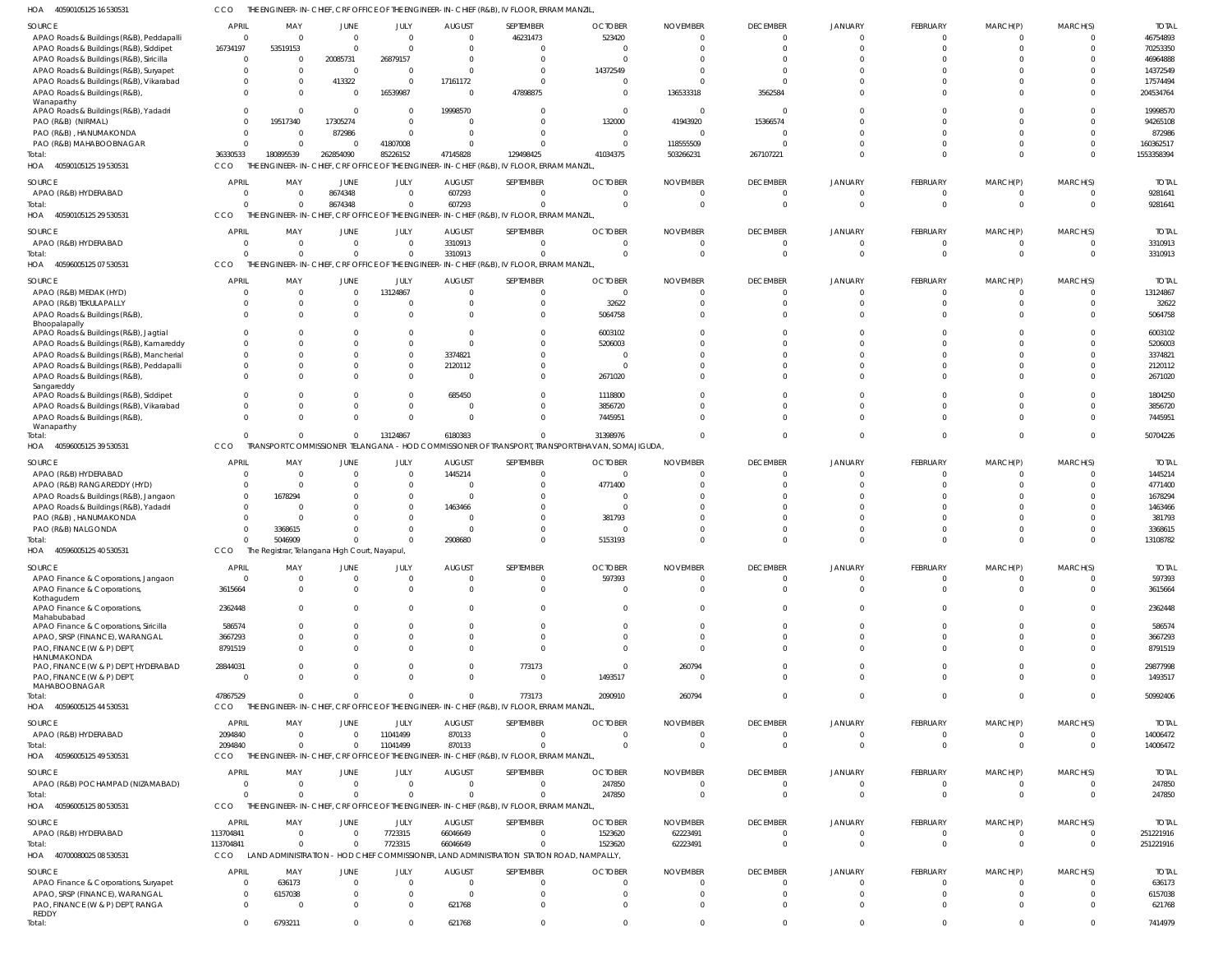40590105125 16 530531 HOA CCO THE ENGINEER-IN-CHIEF, CRF OFFICE OF THE ENGINEER-IN-CHIEF (R&B), IV FLOOR, ERRAM MANZIL,

| SOURCE                                                                   | APRIL                   | MAY                                                      | JUNE               | JULY                 | <b>AUGUST</b> | SEPTEMBER                                                                                             | <b>OCTOBER</b>                                                                                              | <b>NOVEMBER</b>             | <b>DECEMBER</b>      | <b>JANUARY</b> | FEBRUARY                | MARCH(P)             | MARCH(S)                | <b>TOTAL</b>           |
|--------------------------------------------------------------------------|-------------------------|----------------------------------------------------------|--------------------|----------------------|---------------|-------------------------------------------------------------------------------------------------------|-------------------------------------------------------------------------------------------------------------|-----------------------------|----------------------|----------------|-------------------------|----------------------|-------------------------|------------------------|
| APAO Roads & Buildings (R&B), Peddapalli                                 | $\overline{0}$          | $\mathsf{C}$                                             | $\Omega$           | $\mathbf 0$          | $\Omega$      | 46231473                                                                                              | 523420                                                                                                      | $\Omega$                    | $\Omega$             |                | $\overline{0}$          | $\mathbf{0}$         | $\Omega$                | 46754893               |
| APAO Roads & Buildings (R&B), Siddipet                                   | 16734197                | 53519153                                                 | $\Omega$           | $\Omega$             |               | $\overline{0}$                                                                                        |                                                                                                             |                             | $\Omega$             |                | $\Omega$                | $\Omega$             | $\Omega$                | 70253350               |
| APAO Roads & Buildings (R&B), Siricilla                                  | $\overline{0}$          |                                                          | 20085731           | 26879157             |               | $\Omega$                                                                                              |                                                                                                             |                             |                      |                | $\Omega$                | $\Omega$             |                         | 46964888               |
| APAO Roads & Buildings (R&B), Suryapet                                   | $\Omega$                |                                                          | $\Omega$           | $\Omega$             |               | $\Omega$                                                                                              | 14372549                                                                                                    |                             |                      |                | $\Omega$                | $\Omega$             |                         | 14372549               |
| APAO Roads & Buildings (R&B), Vikarabad<br>APAO Roads & Buildings (R&B), | $\Omega$<br>$\Omega$    |                                                          | 413322<br>$\Omega$ | $\Omega$<br>16539987 | 17161172      | $\Omega$<br>47898875                                                                                  | - 0<br>$\Omega$                                                                                             | 136533318                   | 3562584              |                | $\Omega$<br>$\Omega$    | $\Omega$<br>$\Omega$ | $\Omega$<br>$\Omega$    | 17574494<br>204534764  |
| Wanaparthy<br>APAO Roads & Buildings (R&B), Yadadri                      | $\Omega$                | - 0                                                      | $\Omega$           | 0                    | 19998570      | $\Omega$                                                                                              | $\Omega$                                                                                                    | - 0                         | 0                    |                | $\Omega$                | $\Omega$             | $\Omega$                | 19998570               |
| PAO (R&B) (NIRMAL)                                                       | $\Omega$                | 19517340                                                 | 17305274           | $\Omega$             |               | $\Omega$                                                                                              | 132000                                                                                                      | 41943920                    | 15366574             |                | $\Omega$                | $\Omega$             | $\Omega$                | 94265108               |
| PAO (R&B), HANUMAKONDA                                                   | $\overline{0}$          | - 0                                                      | 872986             | $\Omega$             |               | $\Omega$                                                                                              | $\Omega$                                                                                                    | $\Omega$                    |                      |                | $\Omega$                | $\Omega$             | $\Omega$                | 872986                 |
| PAO (R&B) MAHABOOBNAGAR                                                  | $\mathsf{C}$            | $\Omega$                                                 |                    | 41807008             |               | $\Omega$                                                                                              | $\Omega$                                                                                                    | 118555509                   |                      |                | $\Omega$<br>$\Omega$    | $\Omega$<br>$\Omega$ | $\Omega$<br>$\Omega$    | 160362517              |
| Total:<br>HOA 40590105125 19 530531                                      | 36330533<br>CCO         | 180895539                                                | 262854090          | 85226152             | 47145828      | 129498425<br>THE ENGINEER-IN-CHIEF, CRF OFFICE OF THE ENGINEER-IN-CHIEF (R&B), IV FLOOR, ERRAM MANZIL | 41034375                                                                                                    | 503266231                   | 267107221            |                |                         |                      |                         | 1553358394             |
| SOURCE                                                                   | APRIL                   | MAY                                                      | JUNE               | JULY                 | <b>AUGUST</b> | SEPTEMBER                                                                                             | <b>OCTOBER</b>                                                                                              | <b>NOVEMBER</b>             | <b>DECEMBER</b>      | JANUARY        | FEBRUARY                | MARCH(P)             | MARCH(S)                | <b>TOTAL</b>           |
| APAO (R&B) HYDERABAD                                                     | $\Omega$                |                                                          | 8674348            | $\Omega$             | 607293        | $\Omega$                                                                                              |                                                                                                             |                             | 0                    |                | $\Omega$                | $\Omega$             | 0                       | 9281641                |
| Total:<br>HOA 40590105125 29 530531                                      | $\sqrt{2}$<br>CCO       |                                                          | 8674348            | $\Omega$             | 607293        | $\Omega$<br>THE ENGINEER-IN-CHIEF, CRF OFFICE OF THE ENGINEER-IN-CHIEF (R&B), IV FLOOR, ERRAM MANZIL, |                                                                                                             | $\Omega$                    | $\Omega$             |                | $\Omega$                | $\Omega$             | $\Omega$                | 9281641                |
| SOURCE                                                                   | APRIL                   | MAY                                                      | JUNE               | JULY                 | <b>AUGUST</b> | SEPTEMBER                                                                                             | <b>OCTOBER</b>                                                                                              | <b>NOVEMBER</b>             | <b>DECEMBER</b>      | <b>JANUARY</b> | FEBRUARY                | MARCH(P)             | MARCH(S)                | <b>TOTAL</b>           |
| APAO (R&B) HYDERABAD                                                     | $\mathsf{C}$            | - 0                                                      | $\Omega$           | $\Omega$             | 3310913       | $\overline{0}$                                                                                        | - 0                                                                                                         | $\Omega$                    | $\Omega$             | $\Omega$       | $\overline{0}$          | $\overline{0}$       | $\Omega$                | 3310913                |
| Total:                                                                   | $\sqrt{2}$              |                                                          | $\Omega$           | $\Omega$             | 3310913       | $\Omega$                                                                                              | $\Omega$                                                                                                    | - 0                         | $\Omega$             |                | $\mathbf{0}$            | $\mathbf{0}$         | $\Omega$                | 3310913                |
| HOA 40596005125 07 530531                                                | CCO                     | THE                                                      |                    |                      |               | [NGINEER-IN-CHIEF, CRF OFFICE OF THE ENGINEER-IN-CHIEF (R&B), IV FLOOR, ERRAM MANZIL                  |                                                                                                             |                             |                      |                |                         |                      |                         |                        |
| SOURCE                                                                   | APRIL                   | MAY                                                      | JUNE               | JULY                 | <b>AUGUST</b> | SEPTEMBER                                                                                             | <b>OCTOBER</b>                                                                                              | <b>NOVEMBER</b>             | <b>DECEMBER</b>      | <b>JANUARY</b> | FEBRUARY                | MARCH(P)             | MARCH(S)                | <b>TOTAI</b>           |
| APAO (R&B) MEDAK (HYD)                                                   | C                       |                                                          | $\Omega$           | 13124867             |               | $\Omega$                                                                                              | $\Omega$                                                                                                    |                             | $\Omega$             |                | $\Omega$                | $\Omega$             | $\Omega$                | 13124867               |
| APAO (R&B) TEKULAPALLY                                                   | C                       |                                                          | $\Omega$           |                      |               | $\Omega$                                                                                              | 32622                                                                                                       |                             | <sup>0</sup>         |                | $\Omega$                | $\Omega$             | $\Omega$                | 32622                  |
| APAO Roads & Buildings (R&B),<br>Bhoopalapally                           | C                       |                                                          | <sup>0</sup>       | $\Omega$             |               | $\Omega$                                                                                              | 5064758                                                                                                     |                             |                      |                | $\Omega$                | $\Omega$             | $\Omega$                | 5064758                |
| APAO Roads & Buildings (R&B), Jagtial                                    | $\Omega$                |                                                          |                    | <sup>0</sup>         |               | $\Omega$                                                                                              | 6003102                                                                                                     |                             |                      |                | $\Omega$                | $\Omega$             | $\Omega$                | 6003102                |
| APAO Roads & Buildings (R&B), Kamareddy                                  | C                       |                                                          |                    | $\Omega$             |               | $\Omega$                                                                                              | 5206003                                                                                                     |                             |                      |                | $\Omega$                | $\Omega$             |                         | 5206003                |
| APAO Roads & Buildings (R&B), Mancherial                                 | $\Omega$                |                                                          | <sup>0</sup>       | $\Omega$             | 3374821       | $\Omega$                                                                                              |                                                                                                             |                             |                      |                | $\Omega$                | $\Omega$             | $\Omega$                | 3374821                |
| APAO Roads & Buildings (R&B), Peddapalli                                 | $\Omega$                |                                                          |                    | $\Omega$             | 2120112       | $\Omega$                                                                                              |                                                                                                             |                             |                      |                | $\Omega$                | $\Omega$             |                         | 2120112                |
| APAO Roads & Buildings (R&B),<br>Sangareddy                              | $\Omega$                |                                                          | <sup>0</sup>       | $\Omega$             |               | $\Omega$                                                                                              | 2671020                                                                                                     |                             |                      |                | $\Omega$                | $\Omega$             | $\Omega$                | 2671020                |
| APAO Roads & Buildings (R&B), Siddipet                                   | $\sqrt{2}$              |                                                          |                    |                      | 685450        | $\Omega$                                                                                              | 1118800                                                                                                     |                             |                      |                | $\Omega$                | $\Omega$             | $\Omega$                | 1804250                |
| APAO Roads & Buildings (R&B), Vikarabad                                  | $\Omega$                |                                                          |                    | $\Omega$             |               | $\Omega$                                                                                              | 3856720                                                                                                     |                             |                      |                | $\Omega$                | $\Omega$             | $\Omega$                | 3856720                |
| APAO Roads & Buildings (R&B),<br>Wanaparthy                              | $\Omega$                |                                                          | <sup>0</sup>       | $\Omega$             |               | $\Omega$                                                                                              | 7445951                                                                                                     |                             |                      |                | $\Omega$                | $\Omega$             | $\Omega$                | 7445951                |
| Total:<br>HOA 40596005125 39 530531                                      | $\Omega$<br>CCO         |                                                          | $\Omega$           | 13124867             | 6180383       | $\Omega$                                                                                              | 31398976<br>TRANSPORT COMMISSIONER TELANGANA - HOD COMMISSIONER OF TRANSPORT, TRANSPORT BHAVAN, SOMAJIGUDA, |                             | $\Omega$             | $\Omega$       | $\Omega$                | $\Omega$             | $\Omega$                | 50704226               |
| SOURCE                                                                   | <b>APRIL</b>            | MAY                                                      | JUNE               | JULY                 | <b>AUGUST</b> | SEPTEMBER                                                                                             | <b>OCTOBER</b>                                                                                              | <b>NOVEMBER</b>             | <b>DECEMBER</b>      | <b>JANUARY</b> | FEBRUARY                | MARCH(P)             | MARCH(S)                | <b>TOTAL</b>           |
| APAO (R&B) HYDERABAD                                                     | $\Omega$                | - 0                                                      | $\Omega$           | $\mathbf 0$          | 1445214       | $\overline{0}$                                                                                        | $\Omega$                                                                                                    | $\Omega$                    | 0                    |                | $\Omega$                | $\Omega$             | $\Omega$                | 1445214                |
| APAO (R&B) RANGAREDDY (HYD)                                              | $\Omega$                | -C                                                       | <sup>0</sup>       | $\Omega$             |               | $\Omega$                                                                                              | 4771400                                                                                                     |                             |                      |                | $\Omega$                | $\Omega$             | $\Omega$                | 4771400                |
| APAO Roads & Buildings (R&B), Jangaon                                    | $\Omega$                | 1678294                                                  |                    | $\Omega$             |               | $\Omega$                                                                                              | - 0                                                                                                         |                             |                      |                | $\Omega$                | $\Omega$             | $\Omega$                | 1678294                |
| APAO Roads & Buildings (R&B), Yadadri                                    | $\Omega$                |                                                          |                    | $\Omega$             | 1463466       | $\Omega$                                                                                              | $\Omega$                                                                                                    |                             |                      |                | $\Omega$                | $\Omega$             | $\Omega$                | 1463466                |
| PAO (R&B), HANUMAKONDA                                                   | $\Omega$                |                                                          |                    | $\Omega$             |               | $\Omega$                                                                                              | 381793                                                                                                      |                             |                      |                | $\Omega$                | $\Omega$             | $\Omega$                | 381793                 |
| PAO (R&B) NALGONDA                                                       | $\Omega$                | 3368615                                                  | <sup>0</sup>       | $\Omega$             |               | $\Omega$<br>$\Omega$                                                                                  |                                                                                                             |                             |                      |                | $\Omega$<br>$\mathbf 0$ | $\Omega$<br>$\Omega$ | $\Omega$<br>$\Omega$    | 3368615                |
| Total:<br>HOA 40596005125 40 530531                                      | CCO                     | 5046909<br>The Registrar, Telangana High Court, Nayapul, |                    |                      | 2908680       |                                                                                                       | 5153193                                                                                                     |                             |                      |                |                         |                      |                         | 13108782               |
|                                                                          |                         |                                                          |                    |                      |               |                                                                                                       |                                                                                                             |                             |                      |                |                         |                      |                         |                        |
| SOURCE<br>APAO Finance & Corporations, Jangaon                           | APRIL<br>$\overline{0}$ | MAY                                                      | JUNE<br>$\Omega$   | JULY<br>$\Omega$     | <b>AUGUST</b> | SEPTEMBER<br>$\Omega$                                                                                 | <b>OCTOBER</b><br>597393                                                                                    | <b>NOVEMBER</b><br>$\Omega$ | <b>DECEMBER</b><br>0 | JANUARY<br>0   | FEBRUARY<br>$\Omega$    | MARCH(P)<br>$\Omega$ | MARCH(S)<br>- 0         | <b>TOTAL</b><br>597393 |
| APAO Finance & Corporations,                                             | 3615664                 |                                                          | $\Omega$           | $\Omega$             |               | $\Omega$                                                                                              |                                                                                                             |                             | $\Omega$             | <sup>0</sup>   | $\Omega$                | $\Omega$             | $\Omega$                | 3615664                |
| Kothagudem<br>APAO Finance & Corporations,                               | 2362448                 |                                                          | 0                  | U                    |               | $\Omega$                                                                                              |                                                                                                             |                             | U                    |                | $\Omega$                | $\Omega$             | $\Omega$                | 2362448                |
| Mahabubabad<br>APAO Finance & Corporations, Siricilla                    | 586574                  |                                                          | $\Omega$           | 0                    |               | $\Omega$                                                                                              |                                                                                                             | $\Omega$                    | 0                    |                | $\Omega$                | $\Omega$             | $\Omega$                | 586574                 |
| APAO, SRSP (FINANCE), WARANGAL                                           | 3667293                 |                                                          |                    |                      |               | $\Omega$                                                                                              |                                                                                                             | $\Omega$                    |                      |                | $\Omega$                | $\Omega$             | $\Omega$                | 3667293                |
| PAO, FINANCE (W & P) DEPT                                                | 8791519                 |                                                          | <sup>0</sup>       |                      |               | $\Omega$                                                                                              |                                                                                                             |                             |                      |                | $\Omega$                | $\Omega$             | $\Omega$                | 8791519                |
| HANUMAKONDA<br>PAO, FINANCE (W & P) DEPT, HYDERABAD                      | 28844031                |                                                          |                    | 0                    |               | 773173                                                                                                | $\Omega$                                                                                                    | 260794                      |                      |                | $\Omega$                | $\Omega$             | $\Omega$                | 29877998               |
| PAO, FINANCE (W & P) DEPT                                                | $\Omega$                |                                                          | $\Omega$           | $\Omega$             |               | $\Omega$                                                                                              | 1493517                                                                                                     |                             |                      |                | $\Omega$                | $\Omega$             | $\Omega$                | 1493517                |
| MAHABOOBNAGAR                                                            |                         |                                                          |                    |                      |               |                                                                                                       |                                                                                                             |                             |                      |                |                         |                      |                         |                        |
| Total:<br>HOA 40596005125 44 530531                                      | 47867529<br><b>CCO</b>  |                                                          | $\Omega$           | $\Omega$             | $\Omega$      | 773173<br>THE ENGINEER-IN-CHIEF, CRF OFFICE OF THE ENGINEER-IN-CHIEF (R&B), IV FLOOR, ERRAM MANZIL    | 2090910                                                                                                     | 260794                      | $\Omega$             | $\Omega$       | $\Omega$                | $\Omega$             | $\Omega$                | 50992406               |
| <b>SOURCE</b>                                                            | APRIL                   | MAY                                                      | JUNE               | JULY                 | <b>AUGUST</b> | SEPTEMBER                                                                                             | <b>OCTOBER</b>                                                                                              | <b>NOVEMBER</b>             | <b>DECEMBER</b>      | <b>JANUARY</b> | FEBRUARY                | MARCH(P)             | MARCH(S)                | <b>TOTAL</b>           |
| APAO (R&B) HYDERABAD                                                     | 2094840                 | $\Omega$                                                 | $\Omega$           | 11041499             | 870133        | $\overline{0}$                                                                                        | $\Omega$                                                                                                    | $\Omega$                    | $\Omega$             | $\Omega$       | $\mathbf 0$             | $\mathbf{0}$         | $\overline{0}$          | 14006472               |
| Total:                                                                   | 2094840                 | $\Omega$                                                 | $\Omega$           | 11041499             | 870133        | $\Omega$                                                                                              | $\Omega$                                                                                                    | $\sqrt{ }$                  | $\Omega$             | $\Omega$       | $\mathbf{0}$            | $\mathbf{0}$         | $\Omega$                | 14006472               |
| HOA 40596005125 49 530531                                                | CCO.                    |                                                          |                    |                      |               | THE ENGINEER-IN-CHIEF, CRF OFFICE OF THE ENGINEER-IN-CHIEF (R&B), IV FLOOR, ERRAM MANZIL,             |                                                                                                             |                             |                      |                |                         |                      |                         |                        |
| SOURCE                                                                   | APRIL                   | MAY                                                      | JUNE               | JULY                 | <b>AUGUST</b> | SEPTEMBER                                                                                             | <b>OCTOBER</b>                                                                                              | <b>NOVEMBER</b>             | <b>DECEMBER</b>      | <b>JANUARY</b> | FEBRUARY                | MARCH(P)             | MARCH(S)                | <b>TOTAL</b>           |
| APAO (R&B) POCHAMPAD (NIZAMABAD)                                         | $\Omega$                | $\Omega$                                                 | $\Omega$           | $\Omega$             |               | $\Omega$                                                                                              | 247850                                                                                                      | $\Omega$                    | 0                    | 0              | - 0                     | - 0                  | - 0                     | 247850                 |
| Total:                                                                   | $\Omega$                |                                                          | $\Omega$           | $\Omega$             |               | $\Omega$                                                                                              | 247850                                                                                                      | $\Omega$                    | $\Omega$             | $\Omega$       | $\Omega$                | $\Omega$             | $\Omega$                | 247850                 |
| HOA 40596005125 80 530531                                                | CCO                     |                                                          |                    |                      |               | THE ENGINEER-IN-CHIEF, CRF OFFICE OF THE ENGINEER-IN-CHIEF (R&B), IV FLOOR, ERRAM MANZIL,             |                                                                                                             |                             |                      |                |                         |                      |                         |                        |
| <b>SOURCE</b>                                                            | APRIL                   | MAY                                                      | JUNE               | JULY                 | <b>AUGUST</b> | SEPTEMBER                                                                                             | <b>OCTOBER</b>                                                                                              | <b>NOVEMBER</b>             | <b>DECEMBER</b>      | <b>JANUARY</b> | FEBRUARY                | MARCH(P)             | MARCH(S)                | <b>TOTAL</b>           |
| APAO (R&B) HYDERABAD                                                     | 113704841               | $\Omega$                                                 | $\Omega$           | 7723315              | 66046649      | $\mathbf 0$                                                                                           | 1523620                                                                                                     | 62223491                    | $\Omega$             |                | 0                       | $\mathbf{0}$         | $\overline{\mathbf{0}}$ | 251221916              |
| Total:                                                                   | 113704841               | $\Omega$                                                 | $\Omega$           | 7723315              | 66046649      | $\Omega$                                                                                              | 1523620                                                                                                     | 62223491                    | $\Omega$             | $\Omega$       | $\mathbf{0}$            | $\mathbf{0}$         | $\overline{0}$          | 251221916              |
| HOA 40700080025 08 530531                                                | <b>CCO</b>              |                                                          |                    |                      |               | LAND ADMINISTRATION - HOD CHIEF COMMISSIONER, LAND ADMINISTRATION STATION ROAD, NAMPALLY,             |                                                                                                             |                             |                      |                |                         |                      |                         |                        |
| SOURCE                                                                   | APRIL                   | MAY                                                      | JUNE               | JULY                 | <b>AUGUST</b> | SEPTEMBER                                                                                             | <b>OCTOBER</b>                                                                                              | <b>NOVEMBER</b>             | <b>DECEMBER</b>      | <b>JANUARY</b> | FEBRUARY                | MARCH(P)             | MARCH(S)                | <b>TOTAL</b>           |
| APAO Finance & Corporations, Suryapet                                    | $\Omega$                | 636173                                                   | $\Omega$           | $\Omega$             | $\Omega$      | $\Omega$                                                                                              |                                                                                                             | - 0                         | O                    |                | $\Omega$                | 0                    | $\Omega$                | 636173                 |
| APAO, SRSP (FINANCE), WARANGAL                                           |                         | 6157038                                                  |                    | $\Omega$             | $\Omega$      | $\Omega$                                                                                              |                                                                                                             |                             |                      |                | $\Omega$                | $\Omega$             | $\Omega$                | 6157038                |
|                                                                          | $\Omega$                |                                                          |                    |                      |               |                                                                                                       |                                                                                                             |                             |                      |                |                         |                      |                         |                        |
| PAO, FINANCE (W & P) DEPT, RANGA                                         | $\Omega$                |                                                          | <sup>0</sup>       | $\Omega$             | 621768        | $\Omega$                                                                                              |                                                                                                             |                             |                      |                | $\Omega$                | $\Omega$             |                         | 621768                 |
| REDDY<br>Total:                                                          | $\mathbf 0$             | 6793211                                                  | $\mathbf{0}$       | $\mathbf 0$          | 621768        | $\mathbf 0$                                                                                           | $\Omega$                                                                                                    | $\Omega$                    | $\mathbf 0$          | $\mathbf{0}$   | $\overline{0}$          | $\overline{0}$       | $\overline{0}$          | 7414979                |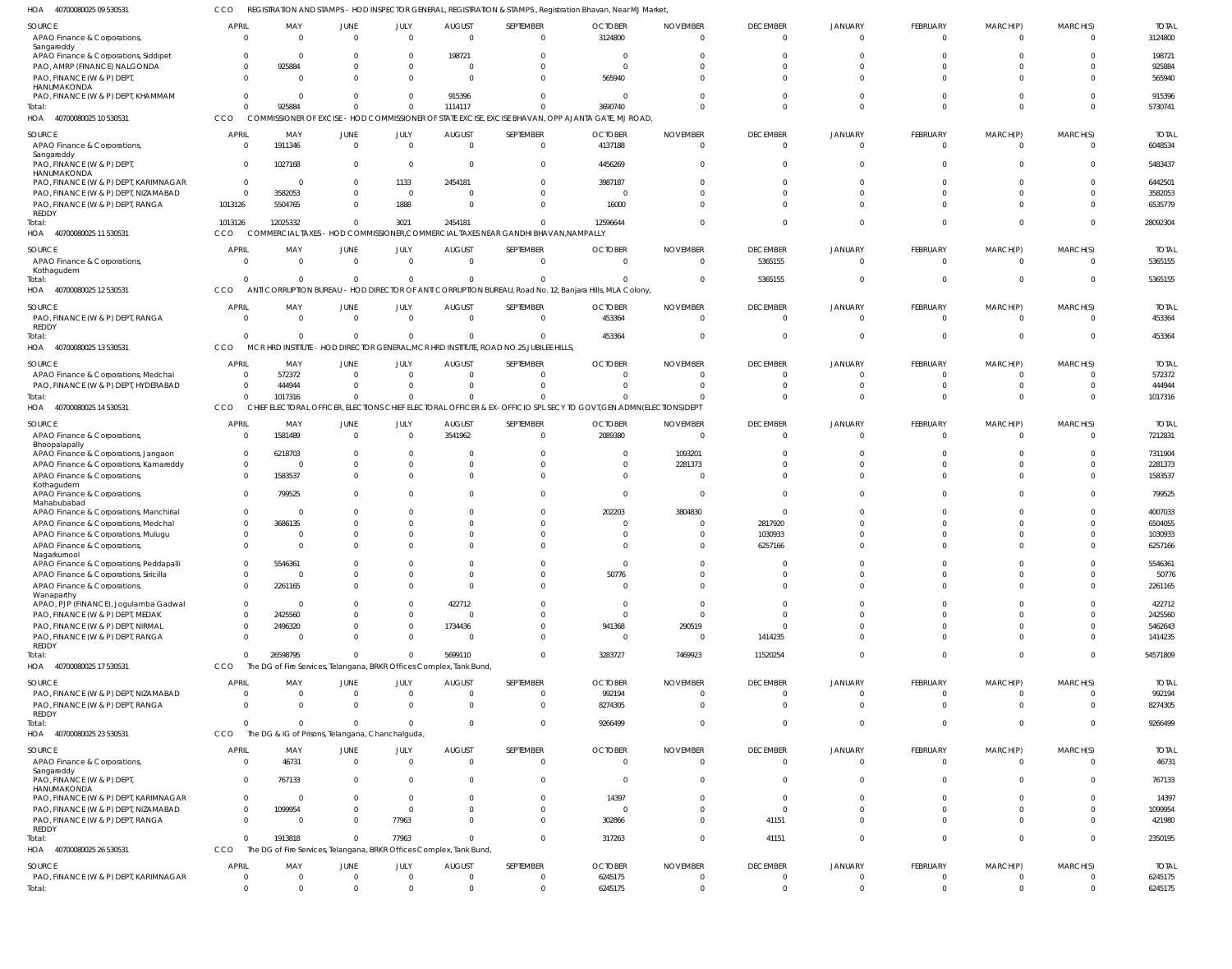40700080025 09 530531 HOA CCO REGISTRATION AND STAMPS - HOD INSPECTOR GENERAL, REGISTRATION & STAMPS, Registration Bhavan, Near MJ Market,

| SOURCE                                                                      | <b>APRIL</b>                     | MAY                                                                 | JUNE                          | JULY                          | AUGUST                          | SEPTEMBER                                                                                           | <b>OCTOBER</b>                                                                                           | <b>NOVEMBER</b>                   | <b>DECEMBER</b>                   | <b>JANUARY</b>                   | FEBRUARY                    | MARCH(P)                   | MARCH(S)                         | <b>TOTAL</b>            |
|-----------------------------------------------------------------------------|----------------------------------|---------------------------------------------------------------------|-------------------------------|-------------------------------|---------------------------------|-----------------------------------------------------------------------------------------------------|----------------------------------------------------------------------------------------------------------|-----------------------------------|-----------------------------------|----------------------------------|-----------------------------|----------------------------|----------------------------------|-------------------------|
| APAO Finance & Corporations,<br>Sangareddy                                  | $\Omega$                         | $\Omega$                                                            | $\Omega$                      | $\Omega$                      | $\Omega$                        | $\Omega$                                                                                            | 3124800                                                                                                  | $\Omega$                          | $\mathbf{0}$                      | $\mathbf{0}$                     | $\Omega$                    | $\Omega$                   | $\Omega$                         | 3124800                 |
| APAO Finance & Corporations, Siddipet                                       | $\Omega$                         |                                                                     |                               | $\Omega$                      | 198721                          |                                                                                                     |                                                                                                          |                                   | $\Omega$                          |                                  |                             |                            | $\Omega$                         | 198721                  |
| PAO, AMRP (FINANCE) NALGONDA<br>PAO, FINANCE (W & P) DEPT                   | 0<br>$\Omega$                    | 925884<br>$\Omega$                                                  |                               | $\Omega$<br>$\Omega$          | $\Omega$                        |                                                                                                     | 565940                                                                                                   |                                   | C<br>$\Omega$                     | $\Omega$                         | $\Omega$                    | $\Omega$                   | $\Omega$<br>$\Omega$             | 925884<br>565940        |
| HANUMAKONDA                                                                 |                                  |                                                                     |                               |                               |                                 |                                                                                                     |                                                                                                          |                                   |                                   |                                  |                             |                            |                                  |                         |
| PAO, FINANCE (W & P) DEPT, KHAMMAM<br>Total:                                | $\Omega$<br>$\Omega$             | 925884                                                              | $\Omega$                      | $\Omega$<br>$\mathbf 0$       | 915396<br>1114117               | $\Omega$<br>$\Omega$                                                                                | $\Omega$<br>3690740                                                                                      | $\Omega$                          | $\Omega$<br>$\Omega$              | $\Omega$<br>$\Omega$             | $\Omega$<br>$\Omega$        | $\Omega$<br>$\Omega$       | $\Omega$<br>$\Omega$             | 915396<br>5730741       |
| HOA 40700080025 10 530531                                                   | CCO                              |                                                                     |                               |                               |                                 |                                                                                                     | COMMISSIONER OF EXCISE - HOD COMMISSIONER OF STATE EXCISE, EXCISE BHAVAN, OPP AJANTA GATE, MJ ROAD,      |                                   |                                   |                                  |                             |                            |                                  |                         |
| SOURCE                                                                      | <b>APRIL</b>                     | MAY                                                                 | <b>JUNE</b>                   | JULY                          | <b>AUGUST</b>                   | SEPTEMBER                                                                                           | <b>OCTOBER</b>                                                                                           | <b>NOVEMBER</b>                   | <b>DECEMBER</b>                   | <b>JANUARY</b>                   | FEBRUARY                    | MARCH(P)                   | MARCH(S)                         | <b>TOTAL</b>            |
| APAO Finance & Corporations,<br>Sangareddy                                  | 0                                | 1911346                                                             | $\Omega$                      | $\overline{0}$                | $\Omega$                        | $\Omega$                                                                                            | 4137188                                                                                                  | $\Omega$                          | $\overline{0}$                    | $\overline{0}$                   | $\Omega$                    | $\Omega$                   | $\Omega$                         | 6048534                 |
| PAO, FINANCE (W & P) DEPT,                                                  | $\overline{0}$                   | 1027168                                                             | $\Omega$                      | $\overline{0}$                | $\Omega$                        | $\Omega$                                                                                            | 4456269                                                                                                  |                                   | $\Omega$                          | $\Omega$                         | $\Omega$                    | $\Omega$                   | $\Omega$                         | 5483437                 |
| HANUMAKONDA<br>PAO, FINANCE (W & P) DEPT, KARIMNAGAR                        | $\overline{0}$                   | - 0                                                                 |                               | 1133                          | 2454181                         | $\Omega$                                                                                            | 3987187                                                                                                  |                                   | $\Omega$                          |                                  | - 0                         |                            | $\Omega$                         | 6442501                 |
| PAO, FINANCE (W & P) DEPT, NIZAMABAD                                        | $\overline{0}$                   | 3582053                                                             |                               | $\overline{0}$                | $\Omega$                        | $\Omega$                                                                                            |                                                                                                          |                                   | $\Omega$                          | $\Omega$                         | $\Omega$                    |                            | $\Omega$                         | 3582053                 |
| PAO, FINANCE (W & P) DEPT, RANGA<br>REDDY                                   | 1013126                          | 5504765                                                             |                               | 1888                          | $\Omega$                        | $\Omega$                                                                                            | 16000                                                                                                    |                                   | $\Omega$                          | $\Omega$                         | $\Omega$                    | $\Omega$                   | $\Omega$                         | 6535779                 |
| Total:                                                                      | 1013126                          | 12025332                                                            | $\Omega$                      | 3021                          | 2454181                         | $\Omega$                                                                                            | 12596644                                                                                                 | $\Omega$                          | $\Omega$                          | $\Omega$                         | $\Omega$                    | $\Omega$                   | $\Omega$                         | 28092304                |
| 40700080025 11 530531<br>HOA                                                | CCO                              |                                                                     |                               |                               |                                 | COMMERCIAL TAXES - HOD COMMISSIONER, COMMERCIAL TAXES NEAR GANDHI BHAVAN, NAMPALLY                  |                                                                                                          |                                   |                                   |                                  |                             |                            |                                  |                         |
| SOURCE                                                                      | <b>APRIL</b>                     | MAY                                                                 | <b>JUNE</b>                   | JULY                          | <b>AUGUST</b>                   | SEPTEMBER                                                                                           | <b>OCTOBER</b>                                                                                           | <b>NOVEMBER</b>                   | <b>DECEMBER</b>                   | <b>JANUARY</b>                   | FEBRUARY                    | MARCH(P)                   | MARCH(S)                         | <b>TOTAL</b>            |
| APAO Finance & Corporations,<br>Kothagudem                                  | $\Omega$                         | $\Omega$                                                            | $\Omega$                      | $\overline{0}$                | $\Omega$                        | $\Omega$                                                                                            | $\Omega$                                                                                                 | $\Omega$                          | 5365155                           | $\overline{0}$                   | $\Omega$                    | $\Omega$                   | $\overline{0}$                   | 5365155                 |
| Total:                                                                      | $\Omega$                         |                                                                     | $\Omega$                      | $\overline{0}$                |                                 | $\Omega$                                                                                            |                                                                                                          | $\Omega$                          | 5365155                           | 0                                | $\Omega$                    | $\Omega$                   | $\Omega$                         | 5365155                 |
| 40700080025 12 530531<br>HOA                                                | CCO                              | ANT                                                                 |                               |                               |                                 |                                                                                                     | CORRUPTION BUREAU - HOD DIRECTOR OF ANTI CORRUPTION BUREAU, Road No. 12, Banjara Hills, MLA Colony,      |                                   |                                   |                                  |                             |                            |                                  |                         |
| SOURCE                                                                      | <b>APRIL</b>                     | MAY<br>$\Omega$                                                     | <b>JUNE</b>                   | JULY<br>$\overline{0}$        | <b>AUGUST</b><br>$\Omega$       | SEPTEMBER<br>$\Omega$                                                                               | <b>OCTOBER</b>                                                                                           | <b>NOVEMBER</b><br>$\Omega$       | <b>DECEMBER</b>                   | <b>JANUARY</b>                   | FEBRUARY                    | MARCH(P)                   | MARCH(S)<br>$\Omega$             | <b>TOTAL</b>            |
| PAO, FINANCE (W & P) DEPT, RANGA<br>REDDY                                   | $\overline{0}$                   |                                                                     | $\overline{0}$                |                               |                                 |                                                                                                     | 453364                                                                                                   |                                   | $\overline{0}$                    | $\overline{0}$                   | $\Omega$                    | $\Omega$                   |                                  | 453364                  |
| Total:                                                                      | $\Omega$                         |                                                                     | $\Omega$                      | $\overline{0}$                |                                 | $\Omega$<br>MCR HRD INSTITUTE - HOD DIRECTOR GENERAL, MCR HRD INSTITUTE, ROAD NO.25, JUBILEE HILLS, | 453364                                                                                                   | $\Omega$                          | $\overline{0}$                    | 0                                | $\Omega$                    | $\Omega$                   | $\Omega$                         | 453364                  |
| HOA 40700080025 13 530531                                                   | CCO                              |                                                                     |                               |                               |                                 |                                                                                                     |                                                                                                          |                                   |                                   |                                  |                             |                            |                                  |                         |
| SOURCE<br>APAO Finance & Corporations, Medchal                              | <b>APRIL</b><br>- 0              | MAY<br>572372                                                       | <b>JUNE</b><br>$\Omega$       | JULY<br>$\overline{0}$        | <b>AUGUST</b><br>$\Omega$       | SEPTEMBER<br>$\Omega$                                                                               | <b>OCTOBER</b>                                                                                           | <b>NOVEMBER</b>                   | <b>DECEMBER</b><br>0              | <b>JANUARY</b><br>$\Omega$       | <b>FEBRUARY</b><br>$\Omega$ | MARCH(P)                   | MARCH(S)<br>$\Omega$             | <b>TOTAL</b><br>572372  |
| PAO, FINANCE (W & P) DEPT, HYDERABAD                                        | 0                                | 444944                                                              | $\Omega$                      | $\Omega$                      |                                 | $\Omega$                                                                                            |                                                                                                          |                                   | 0                                 | $\Omega$                         | $\Omega$                    | $\Omega$                   | $\Omega$                         | 444944                  |
| Total:                                                                      | $\Omega$                         | 1017316                                                             | $\Omega$                      | $\Omega$                      |                                 |                                                                                                     |                                                                                                          |                                   | $\Omega$                          | $\Omega$                         | $\Omega$                    | $\Omega$                   | $\Omega$                         | 1017316                 |
| 40700080025 14 530531<br>HOA                                                | <b>CCO</b>                       | CHI                                                                 |                               |                               |                                 |                                                                                                     | ECTORAL OFFICER, ELECTIONS CHIEF ELECTORAL OFFICER & EX-OFFICIO SPL SECY TO GOVT,GEN.ADMN(ELECTIONS)DEPT |                                   |                                   |                                  |                             |                            |                                  |                         |
| SOURCE                                                                      | <b>APRIL</b>                     | MAY                                                                 | JUNE<br>$\Omega$              | JULY<br>$\Omega$              | <b>AUGUST</b>                   | SEPTEMBER                                                                                           | <b>OCTOBER</b>                                                                                           | <b>NOVEMBER</b>                   | <b>DECEMBER</b>                   | <b>JANUARY</b><br>$\Omega$       | FEBRUARY                    | MARCH(P)                   | MARCH(S)<br>$\Omega$             | <b>TOTAL</b>            |
| APAO Finance & Corporations,<br>Bhoopalapally                               | $\Omega$                         | 1581489                                                             |                               |                               | 3541962                         | $\Omega$                                                                                            | 2089380                                                                                                  |                                   | $\overline{0}$                    |                                  | $\Omega$                    | $\Omega$                   |                                  | 7212831                 |
| APAO Finance & Corporations, Jangaon                                        | 0                                | 6218703                                                             |                               | $\Omega$                      |                                 | $\Omega$                                                                                            |                                                                                                          | 1093201                           | $\Omega$                          |                                  |                             |                            | $\Omega$                         | 7311904                 |
| APAO Finance & Corporations, Kamareddy<br>APAO Finance & Corporations       | $\mathbf 0$<br>$\Omega$          | - 0<br>1583537                                                      |                               | $\Omega$<br>$\Omega$          | $\Omega$                        | $\Omega$<br>$\Omega$                                                                                | $\mathbf 0$<br>$\Omega$                                                                                  | 2281373                           | $\Omega$<br>$\Omega$              | $\Omega$<br>$\Omega$             | $\Omega$<br>$\Omega$        | $\Omega$<br>$\Omega$       | $\Omega$<br>$\Omega$             | 2281373<br>1583537      |
| Kothagudem                                                                  |                                  |                                                                     |                               |                               |                                 |                                                                                                     |                                                                                                          |                                   |                                   |                                  |                             | $\Omega$                   |                                  |                         |
| APAO Finance & Corporations,<br>Mahabubabad                                 | $\mathbf 0$                      | 799525                                                              |                               | $\Omega$                      |                                 | $\Omega$                                                                                            | $\Omega$                                                                                                 |                                   | $\Omega$                          | $\Omega$                         | $\cap$                      |                            | $\Omega$                         | 799525                  |
| APAO Finance & Corporations, Manchirial                                     | $\mathbf 0$                      | - 0                                                                 |                               | $\Omega$                      |                                 |                                                                                                     | 202203                                                                                                   | 3804830                           | $\mathbf 0$                       |                                  |                             | - 0                        | $\Omega$                         | 4007033                 |
| APAO Finance & Corporations, Medchal<br>APAO Finance & Corporations, Mulugu | $\Omega$<br>$\Omega$             | 3686135                                                             |                               | $\Omega$<br>$\Omega$          |                                 | $\Omega$                                                                                            | $\Omega$<br>$\Omega$                                                                                     | $\Omega$                          | 2817920<br>1030933                |                                  | $\cap$<br>$\Omega$          | $\cap$<br>$\Omega$         | $\Omega$<br>$\Omega$             | 6504055<br>1030933      |
| APAO Finance & Corporations,                                                | $\Omega$                         |                                                                     |                               | $\Omega$                      |                                 |                                                                                                     |                                                                                                          |                                   | 6257166                           | $\Omega$                         | $\cap$                      | $\Omega$                   | $\Omega$                         | 6257166                 |
| Nagarkurnool<br>APAO Finance & Corporations, Peddapalli                     |                                  | 5546361                                                             |                               |                               |                                 |                                                                                                     |                                                                                                          |                                   |                                   |                                  |                             |                            |                                  | 5546361                 |
| APAO Finance & Corporations, Siricilla                                      | 0                                | $\Omega$                                                            |                               | $\Omega$                      | $\Omega$                        | $\Omega$                                                                                            | 50776                                                                                                    | $\Omega$                          | $\Omega$                          | $\Omega$                         | $\Omega$                    | $\Omega$                   | $\Omega$                         | 50776                   |
| APAO Finance & Corporations,                                                | $\mathbf 0$                      | 2261165                                                             | $\Omega$                      | $\mathbf 0$                   | $\Omega$                        | $\mathbf{0}$                                                                                        | $\Omega$                                                                                                 | $\Omega$                          | $\Omega$                          | $\Omega$                         | $\Omega$                    | $\Omega$                   | $\overline{0}$                   | 2261165                 |
| Wanaparthy<br>APAO, PJP (FINANCE), Jogulamba Gadwal                         | $\overline{0}$                   | - 0                                                                 |                               | $\mathbf 0$                   | 422712                          |                                                                                                     | $\overline{0}$                                                                                           | $\Omega$                          | - 0                               | $\Omega$                         | $\Omega$                    | $\cap$                     | $\Omega$                         | 422712                  |
| PAO, FINANCE (W & P) DEPT, MEDAK                                            | $\mathbf 0$                      | 2425560                                                             |                               | $\mathbf{0}$                  | $\Omega$                        |                                                                                                     | $\Omega$                                                                                                 | $\Omega$                          | $\Omega$                          | $\Omega$                         | $\Omega$                    | $\Omega$                   | $\Omega$                         | 2425560                 |
| PAO, FINANCE (W & P) DEPT, NIRMAL                                           | 0                                | 2496320                                                             |                               | $\mathbf 0$                   | 1734436                         |                                                                                                     | 941368                                                                                                   | 290519                            | $\Omega$                          | $\Omega$                         | $\Omega$                    | $\Omega$                   | $\Omega$                         | 5462643                 |
| PAO, FINANCE (W & P) DEPT, RANGA<br>REDDY                                   | $\mathbf 0$                      | $\cap$                                                              |                               | $\Omega$                      | $\Omega$                        | $\Omega$                                                                                            | $\Omega$                                                                                                 | $\Omega$                          | 1414235                           | $\Omega$                         | $\Omega$                    | $\Omega$                   | $\Omega$                         | 1414235                 |
| Total:                                                                      | $\Omega$                         | 26598795                                                            | $\Omega$                      | $\Omega$                      | 5699110                         | $\Omega$                                                                                            | 3283727                                                                                                  | 7469923                           | 11520254                          | $\mathbf{0}$                     | $\Omega$                    | $\Omega$                   | $\overline{0}$                   | 54571809                |
| 40700080025 17 530531<br>HOA                                                | CCO                              | The DG of Fire Services, Telangana, BRKR Offices Complex, Tank Bund |                               |                               |                                 |                                                                                                     |                                                                                                          |                                   |                                   |                                  |                             |                            |                                  |                         |
| SOURCE                                                                      | <b>APRIL</b>                     | MAY                                                                 | <b>JUNE</b>                   | JULY                          | <b>AUGUST</b>                   | SEPTEMBER                                                                                           | <b>OCTOBER</b>                                                                                           | <b>NOVEMBER</b>                   | <b>DECEMBER</b>                   | <b>JANUARY</b>                   | FEBRUARY                    | MARCH(P)                   | MARCH(S)                         | <b>TOTAL</b>            |
| PAO, FINANCE (W & P) DEPT, NIZAMABAD<br>PAO, FINANCE (W & P) DEPT, RANGA    | $\overline{0}$<br>$\overline{0}$ | $\Omega$<br>$\Omega$                                                | $\overline{0}$<br>$\mathbf 0$ | $\overline{0}$<br>$\mathbf 0$ | $\overline{0}$<br>$\Omega$      | $\mathbf 0$<br>$\mathbf{0}$                                                                         | 992194<br>8274305                                                                                        | $\overline{0}$<br>$\Omega$        | $\overline{0}$<br>$\overline{0}$  | $\overline{0}$<br>$\overline{0}$ | $\Omega$<br>$\Omega$        | $\Omega$<br>$\Omega$       | $\overline{0}$<br>$\overline{0}$ | 992194<br>8274305       |
| REDDY                                                                       |                                  |                                                                     |                               |                               |                                 |                                                                                                     |                                                                                                          |                                   |                                   |                                  |                             |                            |                                  |                         |
| Total:<br>HOA 40700080025 23 530531                                         | $\Omega$<br>CCO                  | $\cap$<br>The DG & IG of Prisons, Telangana, Chanchalguda,          | $\mathbf 0$                   | $\mathbf{0}$                  | $\Omega$                        | $\mathbf{0}$                                                                                        | 9266499                                                                                                  | $\mathbf 0$                       | $\overline{0}$                    | $\mathbf{0}$                     | $\Omega$                    | $\Omega$                   | $\overline{0}$                   | 9266499                 |
|                                                                             |                                  |                                                                     |                               |                               |                                 |                                                                                                     |                                                                                                          |                                   |                                   |                                  |                             |                            |                                  |                         |
| SOURCE<br>APAO Finance & Corporations,                                      | <b>APRIL</b><br>$\overline{0}$   | MAY<br>46731                                                        | <b>JUNE</b><br>$\overline{0}$ | JULY<br>$\mathbf 0$           | <b>AUGUST</b><br>$\Omega$       | SEPTEMBER<br>$\mathbf 0$                                                                            | <b>OCTOBER</b><br>$\overline{0}$                                                                         | <b>NOVEMBER</b><br>$\Omega$       | <b>DECEMBER</b><br>$\overline{0}$ | JANUARY<br>$\mathbf{0}$          | FEBRUARY<br>$\Omega$        | MARCH(P)<br>$\Omega$       | MARCH(S)<br>$\overline{0}$       | <b>TOTAL</b><br>46731   |
| Sangareddy                                                                  |                                  |                                                                     |                               |                               |                                 |                                                                                                     |                                                                                                          |                                   |                                   |                                  |                             |                            |                                  |                         |
| PAO, FINANCE (W & P) DEPT,<br>HANUMAKONDA                                   | $\overline{0}$                   | 767133                                                              | $\Omega$                      | $\mathbf 0$                   | $\Omega$                        | $\mathbf{0}$                                                                                        | $\Omega$                                                                                                 | $\Omega$                          | $\overline{0}$                    | $\mathbf{0}$                     | $\Omega$                    | $\Omega$                   | $\overline{0}$                   | 767133                  |
| PAO, FINANCE (W & P) DEPT, KARIMNAGAR                                       | $\overline{0}$                   | - 0                                                                 | $\Omega$                      | $\overline{0}$                | $\Omega$                        | $\mathbf{0}$                                                                                        | 14397                                                                                                    | $\Omega$                          | $\overline{0}$                    | $\Omega$                         | $\Omega$                    | $\Omega$                   | $\overline{0}$                   | 14397                   |
| PAO, FINANCE (W & P) DEPT, NIZAMABAD                                        | $\overline{0}$                   | 1099954<br>- 0                                                      | $\Omega$<br>$\Omega$          | $\overline{0}$                | $\Omega$<br>$\Omega$            | $\Omega$<br>$\Omega$                                                                                | $\Omega$                                                                                                 | $\Omega$<br>$\Omega$              | $\Omega$                          | $\Omega$<br>$\Omega$             | $\Omega$<br>$\Omega$        | $\Omega$<br>$\Omega$       | $\overline{0}$<br>$\Omega$       | 1099954<br>421980       |
| PAO, FINANCE (W & P) DEPT, RANGA<br>REDDY                                   | $\overline{0}$                   |                                                                     |                               | 77963                         |                                 |                                                                                                     | 302866                                                                                                   |                                   | 41151                             |                                  |                             |                            |                                  |                         |
| Total:                                                                      | $\Omega$                         | 1913818                                                             | $\Omega$                      | 77963                         | $\Omega$                        | $\Omega$                                                                                            | 317263                                                                                                   | $\Omega$                          | 41151                             | $\mathbf 0$                      | $\Omega$                    | $\Omega$                   | $\mathbf 0$                      | 2350195                 |
| HOA 40700080025 26 530531                                                   | CCO                              | The DG of Fire Services, Telangana, BRKR Offices Complex, Tank Bund |                               |                               |                                 |                                                                                                     |                                                                                                          |                                   |                                   |                                  |                             |                            |                                  |                         |
| SOURCE<br>PAO, FINANCE (W & P) DEPT, KARIMNAGAR                             | <b>APRIL</b><br>$\overline{0}$   | MAY<br>- 0                                                          | <b>JUNE</b><br>$\mathbf 0$    | JULY<br>$\overline{0}$        | <b>AUGUST</b><br>$\overline{0}$ | SEPTEMBER<br>$\mathbf{0}$                                                                           | <b>OCTOBER</b><br>6245175                                                                                | <b>NOVEMBER</b><br>$\overline{0}$ | <b>DECEMBER</b><br>$\mathbf 0$    | <b>JANUARY</b><br>$\overline{0}$ | FEBRUARY<br>$\overline{0}$  | MARCH(P)<br>$\overline{0}$ | MARCH(S)<br>$\overline{0}$       | <b>TOTAL</b><br>6245175 |
| Total:                                                                      | $\overline{0}$                   | $\Omega$                                                            | $\mathbf 0$                   | $\mathbf 0$                   | $\mathbf 0$                     | $\mathbf 0$                                                                                         | 6245175                                                                                                  | $\mathbf 0$                       | $\overline{0}$                    | $\overline{0}$                   | $\Omega$                    | $\Omega$                   | $\overline{0}$                   | 6245175                 |
|                                                                             |                                  |                                                                     |                               |                               |                                 |                                                                                                     |                                                                                                          |                                   |                                   |                                  |                             |                            |                                  |                         |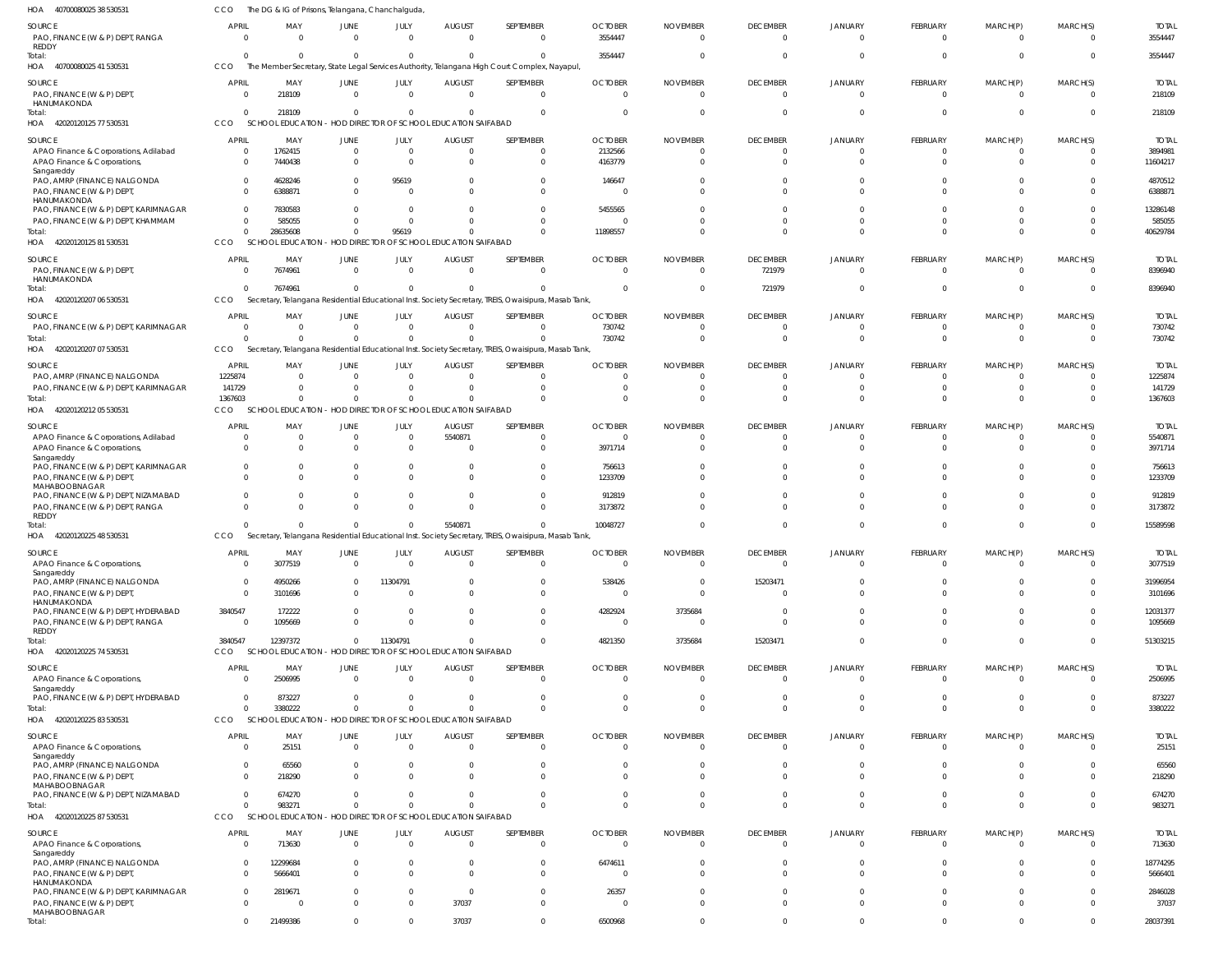| HOA<br>40700080025 38 530531                                                         | CCO                      | The DG & IG of Prisons, Telangana, Chanchalguda                          |                               |                                  |                                                               |                                                                                                                  |                                  |                                   |                                   |                            |                                   |                             |                            |                         |
|--------------------------------------------------------------------------------------|--------------------------|--------------------------------------------------------------------------|-------------------------------|----------------------------------|---------------------------------------------------------------|------------------------------------------------------------------------------------------------------------------|----------------------------------|-----------------------------------|-----------------------------------|----------------------------|-----------------------------------|-----------------------------|----------------------------|-------------------------|
| SOURCE<br>PAO, FINANCE (W & P) DEPT, RANGA<br><b>REDDY</b>                           | <b>APRIL</b><br>$\Omega$ | MAY<br>$\Omega$                                                          | JUNE<br>$\Omega$              | JULY<br>$\Omega$                 | <b>AUGUST</b><br>$\Omega$                                     | SEPTEMBER<br>$\Omega$                                                                                            | <b>OCTOBER</b><br>3554447        | <b>NOVEMBER</b><br>$\Omega$       | <b>DECEMBER</b><br>$\overline{0}$ | JANUARY<br>$\Omega$        | <b>FEBRUARY</b><br>$\mathbf{0}$   | MARCH(P)<br>0               | MARCH(S)<br>$\overline{0}$ | <b>TOTAL</b><br>3554447 |
| Total:<br>HOA 4070008002541530531                                                    | $\Omega$<br>CCO          | $\Omega$                                                                 | $\overline{0}$                | $\Omega$                         | $\Omega$                                                      | $\Omega$<br>The Member Secretary, State Legal Services Authority, Telangana High Court Complex, Nayapul,         | 3554447                          | $\Omega$                          | $\Omega$                          | $\Omega$                   | $\Omega$                          | $\Omega$                    | $\Omega$                   | 3554447                 |
|                                                                                      |                          |                                                                          |                               |                                  |                                                               |                                                                                                                  |                                  |                                   |                                   |                            |                                   |                             |                            |                         |
| SOURCE<br>PAO, FINANCE (W & P) DEPT,<br>HANUMAKONDA                                  | <b>APRIL</b>             | MAY<br>218109<br>$\Omega$                                                | JUNE<br>$\overline{0}$        | JULY<br>$\Omega$                 | <b>AUGUST</b><br>$\overline{0}$                               | SEPTEMBER<br>$\overline{0}$                                                                                      | <b>OCTOBER</b><br>$\overline{0}$ | <b>NOVEMBER</b><br>$\overline{0}$ | <b>DECEMBER</b><br>$\overline{0}$ | JANUARY<br>$\overline{0}$  | <b>FEBRUARY</b><br>$\mathbf 0$    | MARCH(P)<br>$\mathbf{0}$    | MARCH(S)<br>$\overline{0}$ | <b>TOTAL</b><br>218109  |
| Total:<br>HOA 42020120125 77 530531                                                  | $\Omega$<br><b>CCO</b>   | 218109<br><b>SCHOOL EDUCATION</b>                                        | $\overline{0}$                | - 0                              | $\overline{0}$<br>- HOD DIRECTOR OF SCHOOL EDUCATION SAIFABAD | $\overline{0}$                                                                                                   | $\overline{0}$                   | - 0                               | $\Omega$                          | $\Omega$                   | $\overline{0}$                    | $\mathbf{0}$                | $\Omega$                   | 218109                  |
|                                                                                      |                          |                                                                          |                               |                                  |                                                               |                                                                                                                  |                                  |                                   |                                   |                            |                                   |                             |                            |                         |
| SOURCE                                                                               | <b>APRIL</b>             | MAY                                                                      | JUNE                          | JULY                             | <b>AUGUST</b>                                                 | SEPTEMBER                                                                                                        | <b>OCTOBER</b>                   | <b>NOVEMBER</b>                   | <b>DECEMBER</b>                   | <b>JANUARY</b>             | <b>FEBRUARY</b>                   | MARCH(P)                    | MARCH(S)                   | <b>TOTAL</b>            |
| APAO Finance & Corporations, Adilabad<br>APAO Finance & Corporations,<br>Sangareddy  | $\Omega$                 | 1762415<br>7440438<br>$\Omega$                                           | $\overline{0}$<br>$\mathbf 0$ | $\overline{0}$<br>$\overline{0}$ | $\overline{0}$<br>$\Omega$                                    | $\Omega$<br>$\Omega$                                                                                             | 2132566<br>4163779               | - 0<br>$\Omega$                   | $\Omega$<br>$\Omega$              | $\Omega$<br>$\Omega$       | $\Omega$<br>$\Omega$              | $\Omega$<br>$\Omega$        | $\Omega$<br>$\Omega$       | 3894981<br>11604217     |
| PAO, AMRP (FINANCE) NALGONDA<br>PAO, FINANCE (W & P) DEPT,                           |                          | 4628246<br>$\Omega$<br>6388871<br>$\Omega$                               | $\mathbf 0$<br>$\Omega$       | 95619<br>$\Omega$                | $\Omega$<br>$\Omega$                                          | $\Omega$<br>$\Omega$                                                                                             | 146647<br>- 0                    | -0<br>$\Omega$                    | $\Omega$<br>$\Omega$              | $\Omega$<br>$\Omega$       | $\Omega$<br>$\Omega$              | $\Omega$<br>$\Omega$        | $\Omega$<br>$\Omega$       | 4870512<br>6388871      |
| HANUMAKONDA<br>PAO, FINANCE (W & P) DEPT, KARIMNAGAR                                 |                          | 7830583<br>$\Omega$                                                      | $\Omega$                      | - 0                              | $\Omega$                                                      | $\Omega$                                                                                                         | 5455565                          | $\Omega$                          | $\Omega$                          | $\Omega$                   | $\Omega$                          | $\Omega$                    | $\Omega$                   | 13286148                |
| PAO, FINANCE (W & P) DEPT, KHAMMAM                                                   |                          | 585055<br>$\Omega$                                                       | $\Omega$                      | $\Omega$                         | $\Omega$                                                      |                                                                                                                  | - 0                              | $\Omega$                          | $\Omega$                          | $\Omega$                   | $\Omega$                          | $\Omega$                    | $\Omega$                   | 585055                  |
| Total:<br>HOA 42020120125 81 530531                                                  | $\Omega$<br>CCO          | 28635608<br><b>SCHOOL EDUCATION</b>                                      | $\Omega$                      | 95619                            | $\Omega$<br>- HOD DIRECTOR OF SCHOOL EDUCATION SAIFABAD       | $\Omega$                                                                                                         | 11898557                         | $\Omega$                          | $\Omega$                          | $\Omega$                   | $\Omega$                          | $\Omega$                    | $\Omega$                   | 40629784                |
|                                                                                      |                          |                                                                          |                               |                                  |                                                               |                                                                                                                  |                                  |                                   |                                   |                            |                                   |                             |                            |                         |
| SOURCE<br>PAO, FINANCE (W & P) DEPT,<br>HANUMAKONDA                                  | <b>APRIL</b>             | MAY<br>7674961<br>$\Omega$                                               | JUNE<br>$\overline{0}$        | JULY<br>$\Omega$                 | <b>AUGUST</b><br>$\overline{0}$                               | SEPTEMBER<br>$\Omega$                                                                                            | <b>OCTOBER</b><br>$\overline{0}$ | <b>NOVEMBER</b><br>$\overline{0}$ | <b>DECEMBER</b><br>721979         | JANUARY<br>$\overline{0}$  | <b>FEBRUARY</b><br>$\overline{0}$ | MARCH(P)<br>$\mathbf{0}$    | MARCH(S)<br>$\overline{0}$ | <b>TOTAL</b><br>8396940 |
| Total:                                                                               | $\Omega$                 | 7674961                                                                  | $\overline{0}$                | $\Omega$                         | $\Omega$                                                      | $\Omega$                                                                                                         | $\Omega$                         | $\overline{0}$                    | 721979                            | $\Omega$                   | $\overline{0}$                    | $\mathbf{0}$                | $\Omega$                   | 8396940                 |
| HOA 42020120207 06 530531                                                            | CCO                      | Secretary                                                                |                               |                                  |                                                               | Telangana Residential Educational Inst. Society Secretary, TREIS, Owaisipura, Masab Tank,                        |                                  |                                   |                                   |                            |                                   |                             |                            |                         |
| SOURCE                                                                               | <b>APRIL</b>             | MAY                                                                      | JUNE                          | JULY                             | <b>AUGUST</b>                                                 | SEPTEMBER                                                                                                        | <b>OCTOBER</b>                   | <b>NOVEMBER</b>                   | <b>DECEMBER</b>                   | <b>JANUARY</b>             | <b>FEBRUARY</b>                   | MARCH(P)                    | MARCH(S)                   | <b>TOTAL</b>            |
| PAO, FINANCE (W & P) DEPT, KARIMNAGAR                                                | $\Omega$                 | $\overline{0}$                                                           | $\overline{0}$                | $\Omega$                         | $\overline{0}$                                                | $\Omega$                                                                                                         | 730742                           | $\Omega$                          | $\Omega$                          | $\Omega$                   | 0                                 | $\Omega$                    | $\Omega$                   | 730742                  |
| Total:                                                                               |                          | $\Omega$<br>$\Omega$                                                     | $\overline{0}$                | $\Omega$                         | $\Omega$                                                      | $\Omega$                                                                                                         | 730742                           | $\Omega$                          | $\Omega$                          | $\Omega$                   | $\mathbf 0$                       | $\Omega$                    | $\Omega$                   | 730742                  |
| HOA 42020120207 07 530531                                                            | CCO                      |                                                                          |                               |                                  |                                                               | Secretary, Telangana Residential Educational Inst. Society Secretary, TREIS, Owaisipura, Masab Tank,             |                                  |                                   |                                   |                            |                                   |                             |                            |                         |
| SOURCE                                                                               | <b>APRIL</b>             | MAY                                                                      | JUNE                          | JULY                             | <b>AUGUST</b>                                                 | SEPTEMBER                                                                                                        | <b>OCTOBER</b>                   | <b>NOVEMBER</b>                   | <b>DECEMBER</b>                   | JANUARY                    | FEBRUARY                          | MARCH(P)                    | MARCH(S)                   | <b>TOTAL</b>            |
| PAO, AMRP (FINANCE) NALGONDA                                                         | 1225874                  | $\Omega$                                                                 | $\overline{0}$                | - 0                              | 0                                                             | 0                                                                                                                | 0                                | - 0                               | $\Omega$                          | $\Omega$                   | 0                                 | 0                           | $\Omega$                   | 1225874                 |
| PAO, FINANCE (W & P) DEPT, KARIMNAGAR                                                | 141729                   | $\overline{0}$                                                           | $\overline{0}$                | - 0                              | $\overline{0}$                                                | $\Omega$                                                                                                         | $\overline{0}$                   | 0                                 | $\Omega$                          | $\Omega$                   | $\overline{0}$                    | $\mathbf 0$                 | $\Omega$                   | 141729                  |
| Total:<br>HOA 42020120212 05 530531                                                  | 1367603<br><b>CCO</b>    | $\Omega$<br>SCHOOL EDUCATION - HOD DIRECTOR OF SCHOOL EDUCATION SAIFABAD | $\overline{0}$                | $\cap$                           | $\Omega$                                                      | $\Omega$                                                                                                         | $\Omega$                         | $\Omega$                          | $\Omega$                          | $\Omega$                   | $\Omega$                          | $\mathbf{0}$                | $\Omega$                   | 1367603                 |
|                                                                                      |                          |                                                                          |                               |                                  |                                                               |                                                                                                                  |                                  |                                   |                                   |                            |                                   |                             |                            |                         |
| SOURCE                                                                               | <b>APRIL</b>             | MAY                                                                      | JUNE                          | JULY                             | <b>AUGUST</b>                                                 | SEPTEMBER                                                                                                        | <b>OCTOBER</b>                   | <b>NOVEMBER</b>                   | <b>DECEMBER</b>                   | JANUARY                    | <b>FEBRUARY</b>                   | MARCH(P)                    | MARCH(S)                   | <b>TOTAL</b>            |
| APAO Finance & Corporations, Adilabad<br>APAO Finance & Corporations,                | $\Omega$<br>$\Omega$     | $\overline{0}$<br>$\Omega$                                               | $\mathbf 0$<br>$\Omega$       | $\Omega$<br>$\Omega$             | 5540871<br>- 0                                                | $\Omega$<br>$\Omega$                                                                                             | $\Omega$<br>3971714              | - 0<br>$\Omega$                   | $\Omega$<br>$\Omega$              | $\Omega$<br>$\Omega$       | $\Omega$<br>$\Omega$              | $\Omega$<br>$\Omega$        | $\Omega$<br>$\Omega$       | 5540871<br>3971714      |
| Sangareddy                                                                           |                          |                                                                          |                               |                                  |                                                               |                                                                                                                  |                                  |                                   |                                   |                            |                                   |                             |                            |                         |
| PAO, FINANCE (W & P) DEPT, KARIMNAGAR<br>PAO, FINANCE (W & P) DEPT,<br>MAHABOOBNAGAR |                          | $\Omega$<br>$\overline{0}$<br>$\Omega$<br>$\Omega$                       | $\Omega$<br>$\Omega$          | - 0<br>$\cap$                    | $\overline{0}$<br>$\Omega$                                    | $\Omega$                                                                                                         | 756613<br>1233709                | $\Omega$<br>$\Omega$              | $\Omega$<br>$\Omega$              | $\Omega$<br>$\Omega$       | $\Omega$<br>$\Omega$              | $\Omega$<br>$\Omega$        | $\Omega$<br>$\Omega$       | 756613<br>1233709       |
| PAO, FINANCE (W & P) DEPT, NIZAMABAD                                                 |                          | $\Omega$<br>$\overline{0}$                                               | $\Omega$                      | $\Omega$                         | $\overline{0}$                                                | $\Omega$                                                                                                         | 912819                           | $\Omega$                          | $\Omega$                          | $\Omega$                   | $\Omega$                          | $\Omega$                    | $\Omega$                   | 912819                  |
| PAO, FINANCE (W & P) DEPT, RANGA<br>REDDY                                            |                          | $\Omega$<br>$\Omega$                                                     | $\Omega$                      | $\Omega$                         | $\Omega$                                                      | $\Omega$                                                                                                         | 3173872                          | $\Omega$                          | $\Omega$                          | $\Omega$                   | $\Omega$                          | $\Omega$                    | $\Omega$                   | 3173872                 |
| Total:<br>HOA<br>42020120225 48 530531                                               | CCO                      | $\Omega$                                                                 | $\Omega$                      |                                  | 5540871                                                       | $\Omega$<br>Secretary, Telangana Residential Educational Inst. Society Secretary, TREIS, Owaisipura, Masab Tank, | 10048727                         | $\Omega$                          | $\Omega$                          | $\Omega$                   | $\Omega$                          | $\Omega$                    | $\Omega$                   | 15589598                |
|                                                                                      |                          |                                                                          |                               |                                  |                                                               |                                                                                                                  |                                  |                                   |                                   |                            |                                   |                             |                            |                         |
| SOURCE<br>APAO Finance & Corporations,                                               | <b>APRIL</b><br>$\Omega$ | MAY<br>3077519                                                           | JUNE<br>$\overline{0}$        | <b>JULY</b><br>$\Omega$          | <b>AUGUST</b><br>$\mathbf{0}$                                 | SEPTEMBER<br>$\overline{0}$                                                                                      | <b>OCTOBER</b><br>$\overline{0}$ | <b>NOVEMBER</b><br>$\mathbf{0}$   | <b>DECEMBER</b><br>$\overline{0}$ | <b>JANUARY</b><br>$\Omega$ | <b>FEBRUARY</b><br>$\mathbf 0$    | MARCH(P)<br>$\mathbf 0$     | MARCH(S)<br>$\overline{0}$ | <b>TOTAL</b><br>3077519 |
| Sangareddy                                                                           |                          |                                                                          |                               |                                  |                                                               |                                                                                                                  |                                  |                                   |                                   |                            |                                   |                             |                            |                         |
| PAO, AMRP (FINANCE) NALGONDA<br>PAO, FINANCE (W & P) DEPT,                           | $\Omega$                 | 4950266<br>$\Omega$<br>3101696                                           | $\mathbf 0$<br>$\Omega$       | 11304791<br>- 0                  | $\Omega$<br>$\Omega$                                          | 0<br>$\mathbf 0$                                                                                                 | 538426<br>- 0                    | - 0<br>$\Omega$                   | 15203471<br>$\overline{0}$        | $\Omega$<br>$\Omega$       | $\overline{0}$<br>$\mathbf 0$     | $\mathbf 0$<br>$\mathbf{0}$ | $\Omega$<br>$\Omega$       | 31996954<br>3101696     |
| HANUMAKONDA<br>PAO, FINANCE (W & P) DEPT, HYDERABAD                                  | 3840547                  | 172222                                                                   | $\Omega$                      | $\Omega$                         | $\overline{0}$                                                | $\mathbf 0$                                                                                                      | 4282924                          | 3735684                           | $\Omega$                          | $\Omega$                   | $\mathbf 0$                       | $\mathbf 0$                 | $\Omega$                   | 12031377                |
| PAO, FINANCE (W & P) DEPT, RANGA<br>REDDY                                            | $\Omega$                 | 1095669                                                                  | $\Omega$                      | $\Omega$                         | $\Omega$                                                      | $\Omega$                                                                                                         | $\overline{0}$                   | 0                                 | $\Omega$                          | $\Omega$                   | $\mathbf 0$                       | $\Omega$                    | $\Omega$                   | 1095669                 |
| Total:                                                                               | 3840547                  | 12397372                                                                 | $\overline{0}$                | 11304791                         | $\Omega$                                                      | $\Omega$                                                                                                         | 4821350                          | 3735684                           | 15203471                          | $\Omega$                   | $\mathbf 0$                       | $\mathbf{0}$                | $\Omega$                   | 51303215                |
| HOA 42020120225 74 530531                                                            | <b>CCO</b>               | SCHOOL EDUCATION - HOD DIRECTOR                                          |                               |                                  | OF SCHOOL EDUCATION SAIFABAD                                  |                                                                                                                  |                                  |                                   |                                   |                            |                                   |                             |                            |                         |
| SOURCE                                                                               | <b>APRIL</b>             | MAY                                                                      | JUNE                          | JULY                             | <b>AUGUST</b>                                                 | SEPTEMBER                                                                                                        | <b>OCTOBER</b>                   | <b>NOVEMBER</b>                   | <b>DECEMBER</b>                   | JANUARY                    | <b>FEBRUARY</b>                   | MARCH(P)                    | MARCH(S)                   | <b>TOTAL</b>            |
| APAO Finance & Corporations,                                                         |                          | 2506995<br>$\Omega$                                                      | $\Omega$                      | $\Omega$                         | $\Omega$                                                      | $\Omega$                                                                                                         | - 0                              | - 0                               | $\Omega$                          | $\Omega$                   | $\Omega$                          | $\Omega$                    | $\Omega$                   | 2506995                 |
| Sangareddy<br>PAO, FINANCE (W & P) DEPT, HYDERABAD                                   | $\Omega$                 | 873227                                                                   | $\Omega$                      | $\Omega$                         | $\overline{0}$                                                | $\Omega$                                                                                                         | 0                                | 0                                 | $\Omega$                          | $\Omega$                   | $\mathbf 0$                       | $\mathbf 0$                 | $\Omega$                   | 873227                  |
| Total:                                                                               | $\Omega$                 | 3380222                                                                  | $\Omega$                      | $\Omega$                         | $\Omega$                                                      | $\Omega$                                                                                                         | $\Omega$                         | $\Omega$                          | $\overline{0}$                    | $\Omega$                   | $\mathbf 0$                       | $\mathbf 0$                 | $\overline{0}$             | 3380222                 |
| HOA<br>42020120225 83 530531                                                         | CCO                      | SCHOOL EDUCATION - HOD DIRECTOR OF SCHOOL EDUCATION SAIFABAD             |                               |                                  |                                                               |                                                                                                                  |                                  |                                   |                                   |                            |                                   |                             |                            |                         |
| SOURCE                                                                               | <b>APRIL</b>             | MAY                                                                      | <b>JUNE</b>                   | <b>JULY</b>                      | <b>AUGUST</b>                                                 | SEPTEMBER                                                                                                        | <b>OCTOBER</b>                   | <b>NOVEMBER</b>                   | <b>DECEMBER</b>                   | <b>JANUARY</b>             | <b>FEBRUARY</b>                   | MARCH(P)                    | MARCH(S)                   | <b>TOTAL</b>            |
| APAO Finance & Corporations,<br>Sangareddy                                           | $\overline{0}$           | 25151                                                                    | $\overline{0}$                | $\Omega$                         | $\overline{0}$                                                | $\overline{0}$                                                                                                   | 0                                | 0                                 | $\overline{0}$                    | $\overline{0}$             | $\overline{0}$                    | $\overline{0}$              | $\Omega$                   | 25151                   |
| PAO, AMRP (FINANCE) NALGONDA                                                         | $\overline{0}$           | 65560                                                                    | $\overline{0}$                | - 0                              | $\overline{0}$                                                | $\overline{0}$                                                                                                   | 0                                | - 0                               | $\overline{0}$                    | $\overline{0}$             | $\overline{0}$                    | $\mathbf 0$                 | $\overline{0}$             | 65560                   |
| PAO, FINANCE (W & P) DEPT,                                                           | $\Omega$                 | 218290                                                                   | $\Omega$                      | $\Omega$                         | $\Omega$                                                      | $\Omega$                                                                                                         | $\Omega$                         | $\Omega$                          | $\Omega$                          | $\Omega$                   | $\mathbf 0$                       | $\mathbf{0}$                | $\Omega$                   | 218290                  |
| MAHABOOBNAGAR<br>PAO, FINANCE (W & P) DEPT, NIZAMABAD                                |                          | 674270<br>$\Omega$                                                       | $\overline{0}$                | $\Omega$                         | $\overline{0}$                                                | $\mathbf 0$                                                                                                      | $\overline{0}$                   | $\overline{0}$                    | $\overline{0}$                    | $\Omega$                   | $\mathbf 0$                       | $\mathbf 0$                 | $\Omega$                   | 674270                  |
| Total:                                                                               | $\Omega$                 | 983271                                                                   | $\Omega$                      | $\Omega$                         | $\Omega$                                                      | $\Omega$                                                                                                         | $\Omega$                         | $\Omega$                          | $\Omega$                          | $\Omega$                   | $\mathbf 0$                       | $\mathbf 0$                 | $\overline{0}$             | 983271                  |
| HOA 42020120225 87 530531                                                            | CCO                      | SCHOOL EDUCATION - HOD DIRECTOR OF SCHOOL EDUCATION SAIFABAD             |                               |                                  |                                                               |                                                                                                                  |                                  |                                   |                                   |                            |                                   |                             |                            |                         |
| SOURCE                                                                               | <b>APRIL</b>             | MAY                                                                      | JUNE<br>$\Omega$              | <b>JULY</b><br>$\Omega$          | <b>AUGUST</b><br>$\Omega$                                     | SEPTEMBER                                                                                                        | <b>OCTOBER</b><br>$\Omega$       | <b>NOVEMBER</b><br>$\Omega$       | <b>DECEMBER</b>                   | JANUARY<br>$\Omega$        | <b>FEBRUARY</b><br>$\Omega$       | MARCH(P)<br>$\Omega$        | MARCH(S)                   | <b>TOTAL</b>            |
| APAO Finance & Corporations,<br>Sangareddy                                           | $\Omega$                 | 713630                                                                   |                               |                                  |                                                               | $\overline{0}$                                                                                                   |                                  |                                   | $\overline{0}$                    |                            |                                   |                             | $\overline{0}$             | 713630                  |
| PAO, AMRP (FINANCE) NALGONDA                                                         |                          | 12299684<br>$\Omega$                                                     | $\Omega$                      | $\Omega$                         | 0                                                             | $\Omega$                                                                                                         | 6474611                          | $\Omega$                          | $\Omega$                          | $\Omega$                   | $\Omega$                          | $\Omega$                    | $\Omega$                   | 18774295                |
| PAO, FINANCE (W & P) DEPT,<br>HANUMAKONDA                                            |                          | 5666401<br>$\Omega$                                                      | $\Omega$                      | $\Omega$                         | $\Omega$                                                      | $\Omega$                                                                                                         | $\Omega$                         | $\Omega$                          | $\Omega$                          | $\Omega$                   | $\Omega$                          | $\Omega$                    | $\Omega$                   | 5666401                 |
| PAO, FINANCE (W & P) DEPT, KARIMNAGAR<br>PAO, FINANCE (W & P) DEPT,                  |                          | 2819671<br>$\Omega$<br>$\Omega$<br>$\Omega$                              | $\Omega$<br>$\Omega$          | $\Omega$<br>$\Omega$             | $\overline{0}$<br>37037                                       | $\Omega$<br>$\Omega$                                                                                             | 26357<br>$\Omega$                | $\Omega$<br>$\Omega$              | $\Omega$<br>$\Omega$              | $\Omega$<br>$\Omega$       | $\Omega$<br>$\Omega$              | $\Omega$<br>$\Omega$        | $\Omega$<br>$\Omega$       | 2846028<br>37037        |
| MAHABOOBNAGAR                                                                        |                          |                                                                          |                               |                                  |                                                               |                                                                                                                  |                                  |                                   |                                   |                            |                                   |                             |                            |                         |
| Total:                                                                               |                          | 21499386<br>$\Omega$                                                     | $\overline{0}$                | $\Omega$                         | 37037                                                         | $\mathbf 0$                                                                                                      | 6500968                          | $\overline{0}$                    | $\mathbf{0}$                      | $\overline{0}$             | $\mathbf{0}$                      | $\mathbf 0$                 | $\overline{0}$             | 28037391                |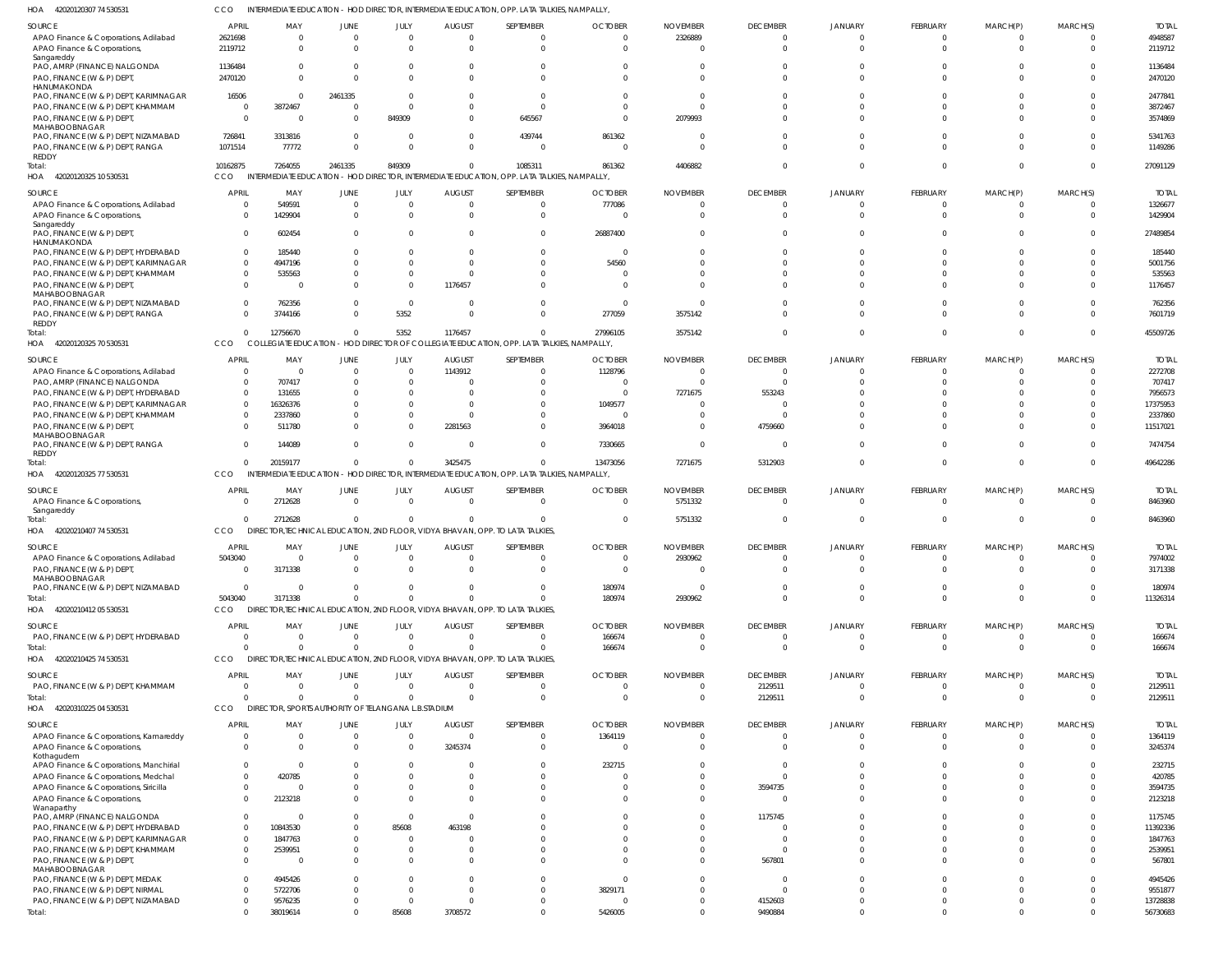42020120307 74 530531 HOA CCO INTERMEDIATE EDUCATION - HOD DIRECTOR, INTERMEDIATE EDUCATION, OPP. LATA TALKIES, NAMPALLY,

| SOURCE                                              | APRIL        | MAY                                                 | JUNE         | JULY                  | <b>AUGUST</b>       | SEPTEMBER                                                                                   | <b>OCTOBER</b> | <b>NOVEMBER</b> | <b>DECEMBER</b>    | <b>JANUARY</b>          | FEBRUARY             | MARCH(P)             | MARCH(S)             | <b>TOTAL</b>         |
|-----------------------------------------------------|--------------|-----------------------------------------------------|--------------|-----------------------|---------------------|---------------------------------------------------------------------------------------------|----------------|-----------------|--------------------|-------------------------|----------------------|----------------------|----------------------|----------------------|
| APAO Finance & Corporations, Adilabad               | 2621698      | $\Omega$                                            | $\mathbf 0$  | $\overline{0}$        | $\Omega$            | $\Omega$                                                                                    | $\Omega$       | 2326889         | $\overline{0}$     | $\Omega$                | $\Omega$             | $\Omega$             | - 0                  | 4948587              |
| APAO Finance & Corporations,                        | 2119712      | $\Omega$                                            | $\Omega$     | $\Omega$              |                     | $\Omega$                                                                                    | <sup>0</sup>   |                 | $\Omega$           | $\Omega$                | $\Omega$             | $\Omega$             | $\Omega$             | 2119712              |
| Sangareddy                                          |              |                                                     |              |                       |                     |                                                                                             |                |                 |                    |                         |                      |                      |                      |                      |
| PAO, AMRP (FINANCE) NALGONDA                        | 1136484      | $\Omega$                                            | 0            | $\Omega$              |                     | $\Omega$                                                                                    |                |                 | $\Omega$           | $\Omega$                | $\Omega$             | $\Omega$             | C                    | 1136484              |
| PAO, FINANCE (W & P) DEPT                           | 2470120      | $\Omega$                                            | $\Omega$     | $\Omega$              |                     | $\Omega$                                                                                    |                | $\Omega$        | $\Omega$           | $\Omega$                | $\Omega$             | $\Omega$             | $\Omega$             | 2470120              |
| HANUMAKONDA                                         |              |                                                     |              |                       |                     |                                                                                             |                |                 |                    |                         |                      |                      |                      |                      |
| PAO, FINANCE (W & P) DEPT, KARIMNAGAR               | 16506        | $\Omega$                                            | 2461335      | $\Omega$              |                     | $\Omega$                                                                                    |                |                 | $\Omega$           | -C                      |                      |                      | $\Omega$             | 2477841              |
| PAO, FINANCE (W & P) DEPT, KHAMMAM                  | - 0          | 3872467                                             | $\Omega$     | $\Omega$              |                     | $\Omega$                                                                                    |                | $\Omega$        | $\Omega$           |                         | $\Omega$             | $\Omega$             | $\Omega$             | 3872467              |
| PAO, FINANCE (W & P) DEPT,                          | - 0          | $\Omega$                                            | $\Omega$     | 849309                | U                   | 645567                                                                                      |                | 2079993         | $\Omega$           | $\Omega$                | $\Omega$             | $\Omega$             | $\Omega$             | 3574869              |
| MAHABOOBNAGAR                                       |              |                                                     |              |                       |                     |                                                                                             |                |                 |                    |                         |                      |                      |                      |                      |
| PAO, FINANCE (W & P) DEPT, NIZAMABAD                | 726841       | 3313816                                             | $\Omega$     | $\overline{0}$        | 0                   | 439744                                                                                      | 861362         | $\Omega$        | $\Omega$           | $\Omega$                | $\Omega$             | $\Omega$             | $\Omega$             | 5341763              |
| PAO, FINANCE (W & P) DEPT, RANGA                    | 1071514      | 77772                                               | $\Omega$     | $\Omega$              |                     | $\Omega$                                                                                    |                | $\Omega$        | $\Omega$           | $\Omega$                | $\Omega$             | $\Omega$             | $\Omega$             | 1149286              |
| REDDY                                               |              |                                                     |              |                       |                     |                                                                                             |                |                 |                    |                         |                      |                      |                      |                      |
| Total:                                              | 10162875     | 7264055                                             | 2461335      | 849309                | 0                   | 1085311                                                                                     | 861362         | 4406882         | $\Omega$           | $\Omega$                |                      | $\Omega$             | $\Omega$             | 27091129             |
| HOA<br>42020120325 10 530531                        | CCO          |                                                     |              |                       |                     | INTERMEDIATE EDUCATION - HOD DIRECTOR, INTERMEDIATE EDUCATION, OPP. LATA TALKIES, NAMPALLY, |                |                 |                    |                         |                      |                      |                      |                      |
|                                                     | <b>APRIL</b> |                                                     |              |                       |                     | SEPTEMBER                                                                                   | <b>OCTOBER</b> |                 |                    |                         |                      |                      | MARCH(S)             | <b>TOTAI</b>         |
| SOURCE                                              |              | MAY                                                 | JUNE         | JULY                  | <b>AUGUST</b>       |                                                                                             |                | <b>NOVEMBER</b> | <b>DECEMBER</b>    | <b>JANUARY</b>          | FEBRUARY             | MARCH(P)             |                      |                      |
| APAO Finance & Corporations, Adilabad               |              | 549591                                              | $\Omega$     | $\Omega$              | 0                   | $\Omega$                                                                                    | 777086         | $\Omega$        | $\Omega$           | $\Omega$                | $\Omega$             | $\Omega$             | $\Omega$             | 1326677              |
| APAO Finance & Corporations,                        |              | 1429904                                             | $\Omega$     | $\Omega$              | $\Omega$            | $\Omega$                                                                                    |                | $\Omega$        | $\Omega$           | $\Omega$                | $\Omega$             | $\Omega$             | $\Omega$             | 1429904              |
| Sangareddy                                          |              |                                                     |              |                       |                     |                                                                                             |                |                 |                    |                         |                      |                      |                      |                      |
| PAO, FINANCE (W & P) DEPT,                          |              | 602454                                              | 0            | $\Omega$              |                     |                                                                                             | 26887400       |                 | $\Omega$           | -C                      |                      |                      | $\Omega$             | 27489854             |
| HANUMAKONDA<br>PAO, FINANCE (W & P) DEPT, HYDERABAD | $\Omega$     | 185440                                              | 0            | $\Omega$              |                     | $\Omega$                                                                                    |                | $\Omega$        | $\Omega$           | -C                      |                      | - 0                  | $\Omega$             | 185440               |
|                                                     |              |                                                     |              |                       |                     |                                                                                             |                |                 |                    |                         |                      |                      |                      |                      |
| PAO, FINANCE (W & P) DEPT, KARIMNAGAR               |              | 4947196                                             |              | $\Omega$              |                     |                                                                                             | 54560          |                 | $\Omega$           |                         |                      |                      | -C                   | 5001756              |
| PAO, FINANCE (W & P) DEPT, KHAMMAM                  |              | 535563                                              |              | $\Omega$              |                     |                                                                                             |                |                 | $\Omega$           |                         |                      |                      | $\Omega$             | 535563               |
| PAO, FINANCE (W & P) DEPT,                          |              |                                                     | <sup>0</sup> | $\Omega$              | 1176457             |                                                                                             |                |                 | $\Omega$           | $\Omega$                |                      | $\Omega$             | $\Omega$             | 1176457              |
| MAHABOOBNAGAR                                       |              |                                                     |              |                       |                     |                                                                                             |                |                 |                    |                         |                      |                      |                      |                      |
| PAO, FINANCE (W & P) DEPT, NIZAMABAD                |              | 762356                                              | 0            | $\Omega$              | 0                   |                                                                                             |                |                 | $\Omega$           | $\Omega$                |                      | $\Omega$             | $\Omega$             | 762356               |
| PAO, FINANCE (W & P) DEPT, RANGA                    |              | 3744166                                             | <sup>0</sup> | 5352                  | $\Omega$            |                                                                                             | 277059         | 3575142         | $\Omega$           | $\Omega$                | $\Omega$             | $\Omega$             | $\Omega$             | 7601719              |
| REDDY                                               |              |                                                     |              |                       |                     |                                                                                             |                |                 |                    |                         |                      |                      |                      |                      |
| Total:                                              |              | 12756670                                            | $\Omega$     | 5352                  | 1176457             | $\Omega$                                                                                    | 27996105       | 3575142         | $\Omega$           | $\Omega$                | $\Omega$             | $\Omega$             | $\Omega$             | 45509726             |
| HOA 42020120325 70 530531                           | CCO          |                                                     |              |                       |                     | COLLEGIATE EDUCATION - HOD DIRECTOR OF COLLEGIATE EDUCATION, OPP. LATA TALKIES, NAMPALLY,   |                |                 |                    |                         |                      |                      |                      |                      |
| SOURCE                                              | <b>APRIL</b> | MAY                                                 | <b>JUNE</b>  | JULY                  | <b>AUGUST</b>       | SEPTEMBER                                                                                   | <b>OCTOBER</b> | <b>NOVEMBER</b> | <b>DECEMBER</b>    | <b>JANUARY</b>          | <b>FEBRUARY</b>      | MARCH(P)             | MARCH(S)             | <b>TOTAL</b>         |
|                                                     |              |                                                     |              |                       |                     |                                                                                             |                |                 |                    |                         |                      |                      |                      |                      |
| APAO Finance & Corporations, Adilabad               | $\Omega$     |                                                     | $\mathbf 0$  | $\overline{0}$        | 1143912             | $\Omega$                                                                                    | 1128796        |                 | 0                  | $\Omega$                | $\Omega$             | - 0                  | - 0                  | 2272708              |
| PAO, AMRP (FINANCE) NALGONDA                        | $\Omega$     | 707417                                              | 0            | $\mathbf 0$           |                     | $\Omega$                                                                                    |                |                 | $\Omega$           |                         |                      |                      |                      | 707417               |
| PAO, FINANCE (W & P) DEPT, HYDERABAD                | $\Omega$     | 131655                                              |              | $\Omega$              |                     |                                                                                             | $\Omega$       | 7271675         | 553243             |                         |                      |                      |                      | 7956573              |
| PAO, FINANCE (W & P) DEPT, KARIMNAGAR               | $\Omega$     | 16326376                                            | 0            | $\Omega$              |                     |                                                                                             | 1049577        |                 | $\Omega$           |                         |                      |                      |                      | 17375953             |
| PAO, FINANCE (W & P) DEPT, KHAMMAM                  |              | 2337860                                             |              | $\mathbf 0$           | 0                   |                                                                                             |                |                 | -0                 |                         |                      |                      |                      | 2337860              |
| PAO, FINANCE (W & P) DEPT,                          |              | 511780                                              | $\Omega$     | $\Omega$              | 2281563             | $\Omega$                                                                                    | 3964018        |                 | 4759660            |                         | $\Omega$             | $\Omega$             | $\Omega$             | 11517021             |
| MAHABOOBNAGAR                                       |              |                                                     |              |                       |                     |                                                                                             |                |                 |                    |                         |                      |                      |                      |                      |
| PAO, FINANCE (W & P) DEPT, RANGA                    | $\Omega$     | 144089                                              | $\Omega$     | $\mathbf{0}$          | 0                   | $\Omega$                                                                                    | 7330665        | $\Omega$        | $\Omega$           | $\Omega$                | $\Omega$             | $\Omega$             | $\Omega$             | 7474754              |
| REDDY                                               |              |                                                     |              |                       |                     |                                                                                             |                |                 |                    |                         |                      |                      |                      |                      |
| Total:                                              | $\Omega$     | 20159177                                            | $\Omega$     | $\overline{0}$        | 3425475             | $\Omega$                                                                                    | 13473056       | 7271675         | 5312903            | $\Omega$                | $\Omega$             | $\Omega$             | $\Omega$             | 49642286             |
| HOA 42020120325 77 530531                           | CCO          |                                                     |              |                       |                     | INTERMEDIATE EDUCATION - HOD DIRECTOR, INTERMEDIATE EDUCATION, OPP. LATA TALKIES, NAMPALLY, |                |                 |                    |                         |                      |                      |                      |                      |
|                                                     |              |                                                     |              |                       |                     |                                                                                             |                |                 |                    |                         |                      |                      |                      |                      |
| SOURCE                                              | <b>APRIL</b> | MAY                                                 | JUNE         | JULY                  | <b>AUGUST</b>       | SEPTEMBER                                                                                   | <b>OCTOBER</b> | <b>NOVEMBER</b> | <b>DECEMBER</b>    | <b>JANUARY</b>          | <b>FEBRUARY</b>      | MARCH(P)             | MARCH(S)             | <b>TOTAL</b>         |
| APAO Finance & Corporations,                        |              | 2712628                                             | $\mathbf 0$  | $\mathbf{0}$          | $\Omega$            | $\Omega$                                                                                    | $\Omega$       | 5751332         | $\overline{0}$     | $\overline{0}$          | $\Omega$             | $\Omega$             | $\mathbf{0}$         | 8463960              |
| Sangareddy                                          |              |                                                     |              |                       |                     |                                                                                             |                |                 |                    |                         |                      |                      |                      |                      |
| Total:                                              | $\Omega$     | 2712628                                             | $\mathbf 0$  | $\overline{0}$        | $\Omega$            | $\Omega$                                                                                    | $\Omega$       | 5751332         | $\mathbf{0}$       | $\overline{0}$          | $\Omega$             | $\Omega$             | $\overline{0}$       | 8463960              |
| HOA 42020210407 74 530531                           | CCO          |                                                     |              |                       |                     | DIRECTOR, TECHNICAL EDUCATION, 2ND FLOOR, VIDYA BHAVAN, OPP. TO LATA TALKIES,               |                |                 |                    |                         |                      |                      |                      |                      |
| SOURCE                                              | <b>APRIL</b> | MAY                                                 |              |                       |                     |                                                                                             |                |                 |                    |                         |                      |                      | MARCH(S)             | <b>TOTAI</b>         |
|                                                     | 5043040      |                                                     |              |                       |                     |                                                                                             |                |                 |                    |                         |                      |                      |                      | 7974002              |
| APAO Finance & Corporations, Adilabad               |              |                                                     | <b>JUNE</b>  | JULY                  | <b>AUGUST</b>       | SEPTEMBER                                                                                   | <b>OCTOBER</b> | <b>NOVEMBER</b> | <b>DECEMBER</b>    | <b>JANUARY</b>          | <b>FEBRUARY</b>      | MARCH(P)             | $\Omega$             |                      |
| PAO, FINANCE (W & P) DEPT,                          |              | $\Omega$                                            | $\Omega$     | $\overline{0}$        | $\Omega$            | $\Omega$                                                                                    | $\Omega$       | 2930962         | $\Omega$           | $\Omega$                | $\Omega$             | $\Omega$             |                      |                      |
|                                                     | $\Omega$     | 3171338                                             | $\Omega$     | $\Omega$              | 0                   | $\Omega$                                                                                    | $\Omega$       | $\Omega$        | $\overline{0}$     | $\mathbf 0$             | $\Omega$             | $\Omega$             | $\mathbf 0$          | 3171338              |
| MAHABOOBNAGAR                                       |              |                                                     |              |                       |                     |                                                                                             |                |                 |                    |                         |                      |                      |                      |                      |
| PAO, FINANCE (W & P) DEPT, NIZAMABAD                | $\Omega$     | $\Omega$                                            | $\Omega$     | $\overline{0}$        | $\Omega$            | $\Omega$                                                                                    | 180974         | $\Omega$        | $\mathbf{0}$       | 0                       | $\Omega$             | $\Omega$             | $\mathbf{0}$         | 180974               |
| Total:                                              | 5043040      | 3171338                                             | $\Omega$     | $\mathbf 0$           | $\Omega$            | $\Omega$                                                                                    | 180974         | 2930962         | $\Omega$           | $\Omega$                | $\Omega$             | $\Omega$             | $\Omega$             | 11326314             |
| HOA 42020210412 05 530531                           | <b>CCO</b>   |                                                     |              |                       |                     | DIRECTOR, TECHNICAL EDUCATION, 2ND FLOOR, VIDYA BHAVAN, OPP. TO LATA TALKIES,               |                |                 |                    |                         |                      |                      |                      |                      |
|                                                     |              |                                                     |              |                       |                     |                                                                                             |                |                 |                    |                         |                      |                      |                      |                      |
| SOURCE                                              | <b>APRIL</b> | MAY                                                 | <b>JUNE</b>  | JULY                  | <b>AUGUST</b>       | SEPTEMBER                                                                                   | <b>OCTOBER</b> | <b>NOVEMBER</b> | <b>DECEMBER</b>    | JANUARY                 | FEBRUARY             | MARCH(P)             | MARCH(S)             | <b>TOTAL</b>         |
| PAO, FINANCE (W & P) DEPT, HYDERABAD                | - 0          | $\Omega$                                            | $\mathbf 0$  | $\overline{0}$        | $\Omega$            | $\Omega$                                                                                    | 166674         | $\overline{0}$  | $\overline{0}$     | $\overline{0}$          | $\Omega$             | $\Omega$             | $\mathbf{0}$         | 166674               |
| Total:                                              |              | $\Omega$                                            | $\Omega$     | $\mathbf{0}$          | $\Omega$            | $\Omega$                                                                                    | 166674         | $\Omega$        | $\overline{0}$     | $\overline{0}$          | $\Omega$             | $\Omega$             | $\overline{0}$       | 166674               |
| HOA 42020210425 74 530531                           | <b>CCO</b>   |                                                     |              |                       |                     | DIRECTOR, TECHNICAL EDUCATION, 2ND FLOOR, VIDYA BHAVAN, OPP. TO LATA TALKIES,               |                |                 |                    |                         |                      |                      |                      |                      |
|                                                     |              |                                                     |              |                       |                     |                                                                                             |                |                 |                    |                         |                      |                      |                      |                      |
| SOURCE                                              | <b>APRIL</b> | MAY                                                 | JUNE         | JULY                  | <b>AUGUST</b>       | SEPTEMBER                                                                                   | <b>OCTOBER</b> | <b>NOVEMBER</b> | <b>DECEMBER</b>    | <b>JANUARY</b>          | FEBRUARY             | MARCH(P)             | MARCH(S)             | <b>TOTAL</b>         |
| PAO, FINANCE (W & P) DEPT, KHAMMAM                  | - 0          | $\Omega$                                            | $\mathbf 0$  | $\mathbf{0}$          | $\Omega$            | $\Omega$                                                                                    | 0              | $\mathbf 0$     | 2129511            | $\overline{0}$          | $\Omega$             | $\Omega$             | $\mathbf{0}$         | 2129511              |
| Total:                                              | -C           | $\Omega$                                            | $\Omega$     | $\mathbf{0}$          | $\Omega$            | $\Omega$                                                                                    | $\Omega$       | $\Omega$        | 2129511            | $\overline{0}$          | $\Omega$             | $\Omega$             | $\overline{0}$       | 2129511              |
| HOA 42020310225 04 530531                           | <b>CCO</b>   | DIRECTOR, SPORTS AUTHORITY OF TELANGANA L.B.STADIUM |              |                       |                     |                                                                                             |                |                 |                    |                         |                      |                      |                      |                      |
|                                                     |              |                                                     |              |                       |                     |                                                                                             |                |                 |                    |                         |                      |                      |                      |                      |
| SOURCE                                              | <b>APRIL</b> | MAY                                                 | <b>JUNE</b>  | JULY                  | AUGUST              | SEPTEMBER                                                                                   | <b>OCTOBER</b> | <b>NOVEMBER</b> | <b>DECEMBER</b>    | <b>JANUARY</b>          | FEBRUARY             | MARCH(P)             | MARCH(S)             | <b>TOTAL</b>         |
| APAO Finance & Corporations, Kamareddy              | - 0          | $\Omega$                                            | $\mathbf 0$  | $\overline{0}$        | $\Omega$            | $\Omega$                                                                                    | 1364119        | $\Omega$        | $\mathbf{0}$       | 0                       | $\Omega$             | $\Omega$             | $\overline{0}$       | 1364119              |
| APAO Finance & Corporations,                        |              | $\Omega$                                            | $\Omega$     | $\mathbf 0$           | 3245374             | $\Omega$                                                                                    | 0              | $\Omega$        | $\overline{0}$     | 0                       | $\Omega$             | $\Omega$             | $\overline{0}$       | 3245374              |
| Kothagudem                                          |              |                                                     |              |                       |                     |                                                                                             |                |                 |                    |                         |                      |                      |                      |                      |
| APAO Finance & Corporations, Manchirial             | $\Omega$     | $\Omega$                                            | 0            | $\Omega$              |                     | $\Omega$                                                                                    | 232715         |                 | 0                  | $\Omega$                | $\Omega$             | $\Omega$             | $\Omega$             | 232715               |
| APAO Finance & Corporations, Medchal                |              | 420785                                              |              | $\Omega$              |                     | $\Omega$                                                                                    |                |                 | $\Omega$           | 0                       | $\Omega$             | $\Omega$             | $\Omega$             | 420785               |
| APAO Finance & Corporations, Siricilla              | $\Omega$     |                                                     | 0            | $\mathbf{0}$          | 0                   | $\Omega$                                                                                    |                | $\Omega$        | 3594735            | $\Omega$                | $\Omega$             | $\Omega$             | $\overline{0}$       | 3594735              |
| APAO Finance & Corporations,                        |              | 2123218                                             | 0            | $\Omega$              |                     | $\Omega$                                                                                    |                |                 | $\overline{0}$     | $\Omega$                | $\Omega$             | $\Omega$             | $\Omega$             | 2123218              |
| Wanaparthy                                          |              |                                                     |              |                       |                     |                                                                                             |                |                 |                    |                         |                      |                      |                      |                      |
| PAO, AMRP (FINANCE) NALGONDA                        | $\Omega$     |                                                     | $\Omega$     | $\overline{0}$        | 0                   |                                                                                             |                | $\Omega$        | 1175745            | $\Omega$                | $\Omega$             | $\Omega$             | $\Omega$             | 1175745              |
| PAO, FINANCE (W & P) DEPT, HYDERABAD                |              | 10843530                                            |              | 85608                 | 463198              |                                                                                             |                | $\Omega$        | $\Omega$           |                         | $\Omega$             | $\Omega$             | C                    | 11392336             |
|                                                     |              | 1847763                                             | 0            | $\mathbf{0}$          |                     |                                                                                             |                |                 | $\Omega$           | 0                       | $\Omega$             | $\Omega$             | $\Omega$             | 1847763              |
| PAO, FINANCE (W & P) DEPT, KARIMNAGAR               |              |                                                     |              |                       |                     |                                                                                             |                | $\Omega$        |                    |                         | $\Omega$             | $\Omega$             |                      |                      |
| PAO, FINANCE (W & P) DEPT, KHAMMAM                  |              | 2539951                                             |              | $\mathbf{0}$          |                     |                                                                                             |                |                 | 0                  | 0                       |                      |                      |                      | 2539951              |
| PAO, FINANCE (W & P) DEPT,                          | $\Omega$     |                                                     | $\Omega$     | $\Omega$              |                     |                                                                                             |                | $\Omega$        | 567801             | $\Omega$                | $\Omega$             | $\Omega$             | $\Omega$             | 567801               |
| MAHABOOBNAGAR                                       |              |                                                     |              |                       |                     |                                                                                             |                |                 |                    |                         |                      | $\Omega$             |                      |                      |
| PAO, FINANCE (W & P) DEPT, MEDAK                    |              | 4945426                                             |              | $\Omega$              |                     |                                                                                             | $\Omega$       |                 | $\Omega$           | $\Omega$                | $\Omega$             |                      | $\Omega$             | 4945426              |
| PAO, FINANCE (W & P) DEPT, NIRMAL                   |              | 5722706                                             |              | $\overline{0}$        | 0                   | $\Omega$                                                                                    | 3829171        | $\Omega$        | $\Omega$           | 0                       | $\Omega$             | $\Omega$             | $\Omega$             | 9551877              |
| PAO, FINANCE (W & P) DEPT, NIZAMABAD<br>Total:      |              | 9576235<br>38019614                                 | $\Omega$     | $\mathbf{0}$<br>85608 | $\Omega$<br>3708572 | $\Omega$<br>$\Omega$                                                                        | 5426005        | $\Omega$        | 4152603<br>9490884 | $\Omega$<br>$\mathbf 0$ | $\Omega$<br>$\Omega$ | $\Omega$<br>$\Omega$ | $\Omega$<br>$\Omega$ | 13728838<br>56730683 |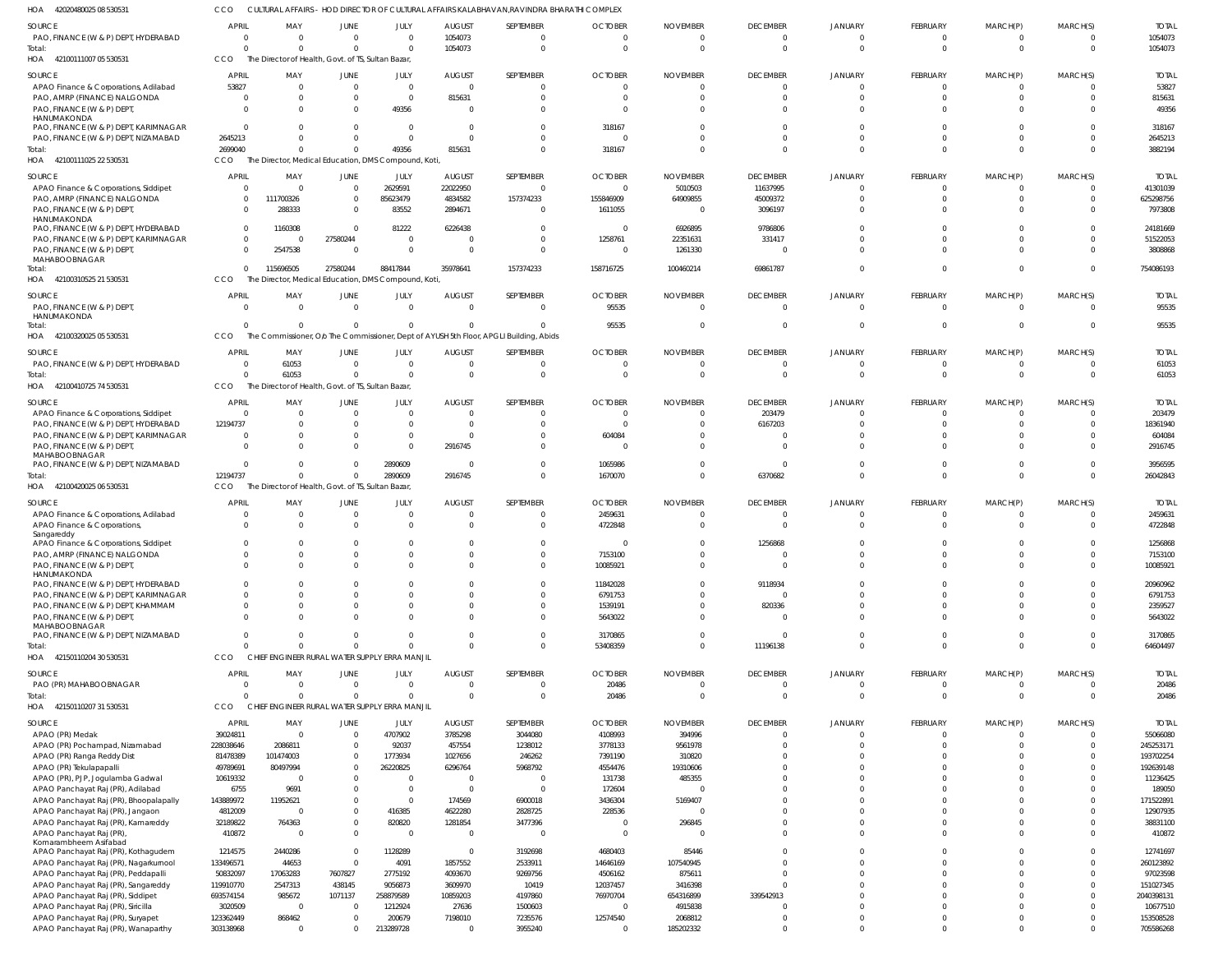42020480025 08 530531 HOA 42100111007 05 530531 HOA 42100111025 22 530531 42100310525 21 530531 HOA 42100320025 05 530531 42100410725 74 530531 42100420025 06 530531 HOA 42150110204 30 530531 42150110207 31 530531 HOA HOA HOA HOA HOA CULTURAL AFFAIRS - HOD DIRECTOR OF CULTURAL AFFAIRS KALABHAVAN,RAVINDRA BHARATHI COMPLEX The Director of Health, Govt. of TS, Sultan Bazar, The Director, Medical Education, DMS Compound, Koti, The Director, Medical Education, DMS Compound, Koti, The Commissioner, O/o The Commissioner, Dept of AYUSH 5th Floor, APGLI Building, Abids The Director of Health, Govt. of TS, Sultan Bazar, The Director of Health, Govt. of TS, Sultan Bazar, CHIEF ENGINEER RURAL WATER SUPPLY ERRA MANJIL CHIEF ENGINEER RURAL WATER SUPPLY ERRA MANJIL CCO CCO CCO **CCO CCO CCO** CCO CCO **CCO** 0 2699040 0 0  $\Omega$ 12194737 0  $\Omega$ 0 0 115696505 0 61053  $\Omega$ 0 0 0 0 27580244 0  $\Omega$  $\Omega$  $\Omega$  $\Omega$ 0 49356 88417844 0  $\Omega$ 2890609 0  $\Omega$ 1054073 815631 35978641 0 0 2916745 0 0 0  $\Omega$ 157374233  $\Omega$  $\Omega$  $\sqrt{2}$ 0 0 0 318167 158716725 95535  $\Omega$ 1670070 53408359 20486 0  $\Omega$ 100460214 0  $\Omega$  $\Omega$  $\Omega$  $\Omega$ 0 0 69861787 0  $\Omega$ 6370682 11196138 0 0 0 0  $\mathfrak{c}$  $\Omega$  $\Omega$  $\Omega$ 0 0  $\Omega$  $\Omega$ 0  $\Omega$  $\sqrt{2}$ 0  $\Omega$ 0 0 0 0 0  $\Omega$ 0 0 0 0  $\Omega$  $\Omega$  $\Omega$  $\Omega$  $\Omega$  $\Omega$ 1054073 3882194 754086193 95535 61053 26042843 64604497 20486 PAO, FINANCE (W & P) DEPT, HYDERABAD APAO Finance & Corporations, Adilabad PAO, AMRP (FINANCE) NALGONDA PAO, FINANCE (W & P) DEPT, **HANUMAKONDA** PAO, FINANCE (W & P) DEPT, KARIMNAGAR PAO, FINANCE (W & P) DEPT, NIZAMABAD APAO Finance & Corporations, Siddipet PAO, AMRP (FINANCE) NALGONDA PAO, FINANCE (W & P) DEPT, HANUMAKONDA PAO, FINANCE (W & P) DEPT, HYDERABAD PAO, FINANCE (W & P) DEPT, KARIMNAGAR PAO, FINANCE (W & P) DEPT MAHABOOBNAGAR PAO, FINANCE (W & P) DEPT, HANUMAKONDA PAO, FINANCE (W & P) DEPT, HYDERABAD APAO Finance & Corporations, Siddipet PAO, FINANCE (W & P) DEPT, HYDERABAD PAO, FINANCE (W & P) DEPT, KARIMNAGAR PAO, FINANCE (W & P) DEPT MAHABOOBNAGAR PAO, FINANCE (W & P) DEPT, NIZAMABAD APAO Finance & Corporations, Adilabad APAO Finance & Corporations, Sangareddy APAO Finance & Corporations, Siddipet PAO, AMRP (FINANCE) NALGONDA PAO, FINANCE (W & P) DEPT, HANUMAKONDA PAO, FINANCE (W & P) DEPT, HYDERABAD PAO, FINANCE (W & P) DEPT, KARIMNAGAR PAO, FINANCE (W & P) DEPT, KHAMMAM PAO, FINANCE (W & P) DEPT, MAHABOOBNAGAR PAO, FINANCE (W & P) DEPT, NIZAMABAD PAO (PR) MAHABOOBNAGAR APAO (PR) Medak APAO (PR) Pochampad, Nizamabad APAO (PR) Ranga Reddy Dist APAO (PR) Tekulapapalli APAO (PR), PJP, Jogulamba Gadwal APAO Panchayat Raj (PR), Adilabad APAO Panchayat Raj (PR), Bhoopalapally APAO Panchayat Raj (PR), Jangaon APAO Panchayat Raj (PR), Kamareddy APAO Panchayat Raj (PR), Komarambheem Asifabad APAO Panchayat Raj (PR), Kothagudem APAO Panchayat Raj (PR), Nagarkurnool APAO Panchayat Raj (PR), Peddapalli APAO Panchayat Raj (PR), Sangareddy APAO Panchayat Raj (PR), Siddipet APAO Panchayat Raj (PR), Siricilla APAO Panchayat Raj (PR), Suryapet APAO Panchayat Raj (PR), Wanaparthy **SOURCE** SOURCE SOURCE SOURCE **SOURCE** SOURCE SOURCE **SOURCE** SOURCE 0 53827 0 0  $\Omega$ 2645213 0 0 0 0 0  $\Omega$  $\Omega$ 0 0 12194737 0 0 0 0 0  $\Omega$ 0  $\Omega$ 0  $\Omega$  $\Omega$  $\Omega$  $\mathfrak{g}$ 0 39024811 228038646 81478389 49789691 10619332 6755 143889972 4812009 32189822 410872 1214575 133496571 50832097 119910770 693574154 3020509 123362449 303138968 APRIL APRIL APRIL **APRIL** APRIL **APRIL** APRIL APRIL APRIL 0 0 0 0  $\Omega$ 0  $\Omega$ 111700326 288333 1160308 0 2547538  $\Omega$ 61053 0  $\Omega$ 0 0 0 0  $\Omega$  $\Omega$ 0  $\Omega$ 0  $\Omega$  $\Omega$  $\Omega$ 0 0 0 2086811 101474003 80497994 0 9691 11952621 0 764363 0 2440286 44653 17063283 2547313 985672 0 868462 0 MAY MAY MAY MAY MAY MAY MAY MAY MAY 0 0 0 0  $\Omega$ 0 0 0 0  $\Omega$ 27580244  $\Omega$ 0 0 0  $\Omega$ 0 0 0 0 0  $\Omega$ 0 0 0  $\Omega$  $\mathfrak{g}$  $\Omega$ 0  $\Omega$ 0 0 0 0  $\Omega$  $\Omega$ 0  $\Omega$ 0 0 0 0 7607827 438145 1071137 0 0 0 JUNE JUNE JUNE JUNE JUNE JUNE JUNE JUNE JUNE  $\Omega$ 0 0 49356  $\bigcap$ 0 2629591 85623479 83552 81222 0  $\Omega$  $\Omega$ 0 0  $\Omega$ 0  $\Omega$ 2890609  $\Omega$ 0  $\sqrt{2}$ 0 0 0  $\Omega$ 0 0 0  $\Omega$ 4707902 92037 1773934 26220825 0  $\Omega$ 0 416385 820820 0 1128289 4091 2775192 9056873 258879589 1212924 200679 213289728 JULY JULY JULY JULY JULY JULY JULY JULY JULY 1054073 0 815631 0  $\Omega$ 0 22022950 4834582 2894671 6226438 0  $\Omega$ 0 0 0  $\Omega$ 0 2916745 0 0 0  $\Omega$ 0 0 0 0 0 0 0 0 3785298 457554 1027656 6296764 0  $\Omega$ 174569 4622280 1281854 0 0 1857552 4093670 3609970 10859203 27636 7198010 0 AUGUST AUGUST AUGUST AUGUST AUGUST AUGUST AUGUST AUGUST AUGUST  $\Omega$ 0  $\Omega$  $\Omega$  $\Omega$ 0  $\Omega$ 157374233 0  $\bigcap$ 0 0  $\Omega$ 0 0  $\Omega$ 0  $\Omega$ 0  $\Omega$  $\Omega$  $\Omega$ 0  $\Omega$ 0 0  $\Omega$  $\Omega$ 0  $\Omega$ 3044080 1238012 246262 5968792 0 0 6900018 2828725 3477396 0 3192698 2533911 9269756 10419 4197860 1500603 7235576 3955240 SEPTEMBER **SEPTEMBER** SEPTEMBER SEPTEMBER SEPTEMBER SEPTEMBER SEPTEMBER SEPTEMBER SEPTEMBER  $\Omega$ 0  $\Omega$ 0 318167 0  $\Omega$ 155846909 1611055  $\Omega$ 1258761  $\Omega$ 95535 0 0  $\Omega$ 604084  $\Omega$ 1065986 2459631 4722848  $\bigcap$ 7153100 10085921 11842028 6791753 1539191 5643022 3170865 20486 4108993 3778133 7391190 4554476 131738 172604 3436304 228536 0  $\Omega$ 4680403 14646169 4506162 12037457 76970704 0 12574540 0 **OCTOBER OCTOBER** OCTOBER **OCTOBER OCTOBER OCTOBER** OCTOBER **OCTOBER** OCTOBER  $\Omega$ 0  $\Omega$  $\Omega$  $\sqrt{2}$ 0 5010503 64909855 0 6926895 22351631 1261330  $\Omega$ 0 0  $\Omega$ 0 0 0  $\Omega$ 0  $\Omega$ 0  $\Omega$ 0 0 0  $\Omega$ 0  $\Omega$ 394996 9561978 310820 19310606 485355 0 5169407 0 296845 0 85446 107540945 875611 3416398 654316899 4915838 2068812 185202332 NOVEMBER NOVEMBER NOVEMBER NOVEMBER NOVEMBER NOVEMBER NOVEMBER NOVEMBER NOVEMBER  $\Omega$ 0 0 0  $\Omega$ 0 11637995 45009372 3096197 9786806 331417  $\Omega$  $\Omega$ 0 203479 6167203 0 0 0 0 0 1256868 0  $\Omega$ 9118934  $\Omega$ 820336  $\Omega$ 0  $\Omega$  $\Omega$ 0 0 0 0  $\Omega$ 0 0 0  $\Omega$ 0  $\Omega$  $\Omega$ 0 339542913 0 0 0 DECEMBER **DECEMBER** DECEMBER DECEMBER DECEMBER **DECEMBER** DECEMBER DECEMBER DECEMBER 0  $\mathbf{C}$ 0 0  $\Omega$  $\mathfrak{c}$ 0 0  $\mathbf{C}$  $\Omega$ 0  $\Omega$  $\Omega$ 0 0  $\Omega$ 0 0 0 0 0  $\Omega$ 0 0  $\mathfrak{g}$ 0 0 0 0  $\Omega$  $\Omega$ 0 0 0  $\Omega$  $\Omega$ 0  $\Omega$ 0  $\Omega$ 0  $\Omega$  $\Omega$ 0  $\Omega$ 0 0 0 JANUARY JANUARY JANUARY JANUARY JANUARY JANUARY JANUARY JANUARY JANUARY  $\Omega$ 0  $\Omega$  $\Omega$  $\sqrt{2}$ 0  $\Omega$  $\Omega$ 0 0 0 0  $\Omega$ 0 0  $\Omega$ 0  $\Omega$ 0  $\Omega$ 0  $\sqrt{2}$ 0  $\Omega$ 0  $\Omega$ 0  $\Omega$ 0  $\Omega$  $\Omega$ 0 0 0 0 0 0 0 0 0 0 0  $\Omega$ 0  $\Omega$ 0 0 0 FEBRUARY **FEBRUARY** FEBRUARY FEBRUARY FEBRUARY FEBRUARY FEBRUARY FEBRUARY FEBRUARY  $\Omega$ 0 0 0  $\Omega$ 0  $\Omega$ 0 0  $\Omega$ 0  $\Omega$  $\Omega$ 0 0  $\Omega$ 0 0 0 0 0  $\Omega$ 0 0 0 0 0 0 0  $\Omega$ 0 0 0 0  $\Omega$  $\Omega$ 0 0 0 0  $\theta$ 0  $\Omega$ 0 0 0 0 0 MARCH(P) MARCH(P) MARCH(P) MARCH(P) MARCH(P) MARCH(P) MARCH(P) MARCH(P) MARCH(P)  $\Omega$ 0 0  $\Omega$  $\Omega$ 0  $\Omega$  $\Omega$ 0  $\bigcap$ 0  $\Omega$ 0 0 0  $\Omega$ 0 0 0  $\Omega$ 0  $\bigcap$ 0  $\Omega$ 0  $\Omega$  $\Omega$  $\Omega$ 0  $\Omega$  $\Omega$ 0 0 0 0  $\Omega$ 0  $\Omega$ 0  $\Omega$  $\Omega$  $\Omega$  $\Omega$ 0  $\Omega$ 0 0 0 MARCH(S) MARCH(S) MARCH(S) MARCH(S) MARCH(S) MARCH(S) MARCH(S) MARCH(S) MARCH(S) 1054073 53827 815631 49356 318167 2645213 41301039 625298756 7973808 24181669 51522053 3808868 95535 61053 203479 18361940 604084 2916745 3956595 2459631 4722848 1256868 7153100 10085921 20960962 6791753 2359527 5643022 3170865 20486 55066080 245253171 193702254 192639148 11236425 189050 171522891 12907935 38831100 410872 12741697 260123892 97023598 151027345 2040398131 10677510 153508528 705586268 TOTAL TOTAL TOTAL TOTAL TOTAL TOTAL TOTAL TOTAL TOTAL Total: Total: Total: Total: Total: Total: Total: Total: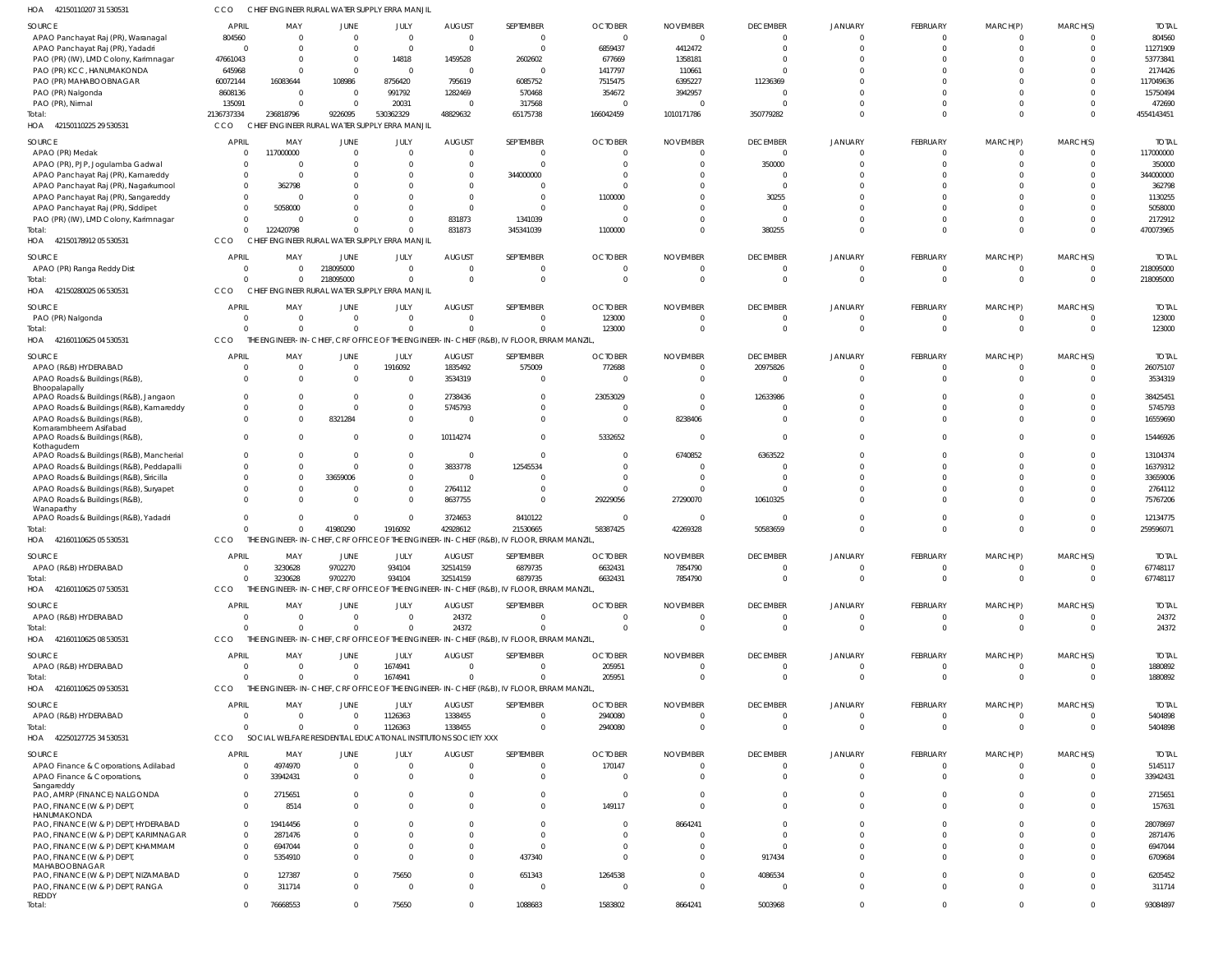| HOA 42150110207 31 530531                                                        | ссо                          | CHIEF ENGINEER RURAL WATER SUPPLY ERRA MANJII                   |                          |                              |                      |                                                                                          |                   |                   |                      |                |                      |                      |                         |                     |
|----------------------------------------------------------------------------------|------------------------------|-----------------------------------------------------------------|--------------------------|------------------------------|----------------------|------------------------------------------------------------------------------------------|-------------------|-------------------|----------------------|----------------|----------------------|----------------------|-------------------------|---------------------|
| SOURCE                                                                           | <b>APRIL</b>                 | MAY                                                             | JUNE                     | JULY                         | <b>AUGUST</b>        | SEPTEMBER                                                                                | <b>OCTOBER</b>    | <b>NOVEMBER</b>   | <b>DECEMBER</b>      | <b>JANUARY</b> | FEBRUARY             | MARCH(P)             | MARCH(S)                | <b>TOTAL</b>        |
| APAO Panchayat Raj (PR), Waranagal                                               | 804560                       | $\Omega$                                                        | $\overline{0}$           | $\mathbf{0}$                 | $\Omega$             | $\mathbf{0}$                                                                             | $\Omega$          | $\Omega$          | $\overline{0}$       | $\Omega$       | $^{\circ}$           | $^{\circ}$           | $\overline{0}$          | 804560              |
| APAO Panchayat Raj (PR), Yadadri                                                 | $\overline{0}$               |                                                                 | $\Omega$                 | $\mathbf 0$                  | $\Omega$             | $\overline{0}$                                                                           | 6859437           | 4412472           | $\mathbf 0$          | $\Omega$       | $\mathbf 0$          | $\mathbf 0$          | $\Omega$                | 11271909            |
| PAO (PR) (IW), LMD Colony, Karimnagar<br>PAO (PR) KCC, HANUMAKONDA               | 47661043<br>645968           |                                                                 | $\mathbf{0}$<br>$\Omega$ | 14818<br>$\overline{0}$      | 1459528<br>$\Omega$  | 2602602<br>0                                                                             | 677669<br>1417797 | 1358181<br>110661 | $\Omega$             |                | $\Omega$<br>$\Omega$ | $\Omega$<br>$\Omega$ | $\Omega$                | 53773841<br>2174426 |
| PAO (PR) MAHABOOBNAGAR                                                           | 60072144                     | 16083644                                                        | 108986                   | 8756420                      | 795619               | 6085752                                                                                  | 7515475           | 6395227           | 11236369             |                | $\Omega$             | $\Omega$             |                         | 117049636           |
| PAO (PR) Nalgonda                                                                | 8608136                      | $\Omega$                                                        | $\overline{0}$           | 991792                       | 1282469              | 570468                                                                                   | 354672            | 3942957           | $\Omega$             |                | $\Omega$             | $\Omega$             | $\Omega$                | 15750494            |
| PAO (PR), Nirmal                                                                 | 135091                       |                                                                 | $\Omega$                 | 20031                        | $\overline{0}$       | 317568                                                                                   |                   |                   | $\Omega$             |                | $\mathbf 0$          | $\mathbf 0$          | $\Omega$                | 472690              |
| Total:                                                                           | 2136737334                   | 236818796                                                       | 9226095                  | 530362329                    | 48829632             | 65175738                                                                                 | 166042459         | 1010171786        | 350779282            | $\Omega$       | $\Omega$             | $\mathbf 0$          | $\Omega$                | 4554143451          |
| HOA 42150110225 29 530531                                                        | CCO                          | CHIEF ENGINEER RURAL WATER SUPPLY ERRA MANJIL                   |                          |                              |                      |                                                                                          |                   |                   |                      |                |                      |                      |                         |                     |
| SOURCE                                                                           | <b>APRIL</b>                 | MAY                                                             | JUNE                     | JULY                         | <b>AUGUST</b>        | SEPTEMBER                                                                                | <b>OCTOBER</b>    | <b>NOVEMBER</b>   | <b>DECEMBER</b>      | JANUARY        | FEBRUARY             | MARCH(P)             | MARCH(S)                | <b>TOTAL</b>        |
| APAO (PR) Medak                                                                  | 0                            | 117000000                                                       | $\mathbf{0}$             | $\mathbf 0$                  | $\Omega$             | $\overline{0}$                                                                           |                   |                   | $\overline{0}$       | $\Omega$       | $\overline{0}$       | $\mathbf 0$          | $\overline{0}$          | 117000000           |
| APAO (PR), PJP, Jogulamba Gadwal                                                 | $\Omega$                     |                                                                 | $\Omega$                 | $\mathbf{0}$                 | $\Omega$             | $\overline{0}$                                                                           |                   |                   | 350000               | $\Omega$       | $\mathbf 0$          | $\mathbf 0$          | $\Omega$                | 350000              |
| APAO Panchayat Raj (PR), Kamareddy                                               | $\Omega$                     | - 0                                                             |                          | $\Omega$                     | $\Omega$             | 344000000                                                                                |                   |                   | $\overline{0}$       |                | $\mathbf 0$          | $\Omega$             | $\Omega$                | 344000000           |
| APAO Panchayat Raj (PR), Nagarkurnool                                            | $^{\circ}$                   | 362798                                                          | 0                        | $\Omega$                     | $\Omega$             | $\mathbf{0}$                                                                             |                   |                   | $\Omega$             |                | $\Omega$             | $\Omega$             | $\Omega$                | 362798              |
| APAO Panchayat Raj (PR), Sangareddy<br>APAO Panchayat Raj (PR), Siddipet         | $\mathbf{0}$<br>$\mathbf{0}$ | 5058000                                                         | $\Omega$                 | $\Omega$<br>$\Omega$         | $\Omega$<br>$\Omega$ | $\overline{0}$<br>$\mathbf 0$                                                            | 1100000           |                   | 30255<br>$\Omega$    |                | $\Omega$<br>$\Omega$ | $\Omega$<br>$\Omega$ | $\Omega$                | 1130255<br>5058000  |
| PAO (PR) (IW), LMD Colony, Karimnagar                                            | $\Omega$                     | - 0                                                             | <sup>0</sup>             | $\mathbf{0}$                 | 831873               | 1341039                                                                                  |                   |                   | $\overline{0}$       |                | $\mathbf 0$          | $\mathbf 0$          | $\Omega$                | 2172912             |
| Total:                                                                           | $\Omega$                     | 122420798                                                       | $\Omega$                 | $\Omega$                     | 831873               | 345341039                                                                                | 1100000           |                   | 380255               | $\Omega$       | $\mathbf 0$          | $\overline{0}$       | $\Omega$                | 470073965           |
| HOA 42150178912 05 530531                                                        | <b>CCO</b>                   | CHIEF ENGINEER RURAL WATER SUPPLY ERRA MANJIL                   |                          |                              |                      |                                                                                          |                   |                   |                      |                |                      |                      |                         |                     |
| SOURCE                                                                           | <b>APRIL</b>                 | MAY                                                             | JUNE                     | JULY                         | <b>AUGUST</b>        | SEPTEMBER                                                                                | <b>OCTOBER</b>    | <b>NOVEMBER</b>   | <b>DECEMBER</b>      | <b>JANUARY</b> | FEBRUARY             | MARCH(P)             | MARCH(S)                | <b>TOTAL</b>        |
| APAO (PR) Ranga Reddy Dist                                                       | $\mathbf{0}$                 | $\Omega$                                                        | 218095000                | $\mathbf{0}$                 | $\Omega$             | $\mathbf{0}$                                                                             |                   |                   | $\overline{0}$       | 0              | $^{\circ}$           | $\mathbf{0}$         | $\overline{\mathbf{0}}$ | 218095000           |
| Total:                                                                           | $\Omega$                     | $\Omega$                                                        | 218095000                | $\mathbf 0$                  | $\Omega$             | $\mathbf{0}$                                                                             | $\Omega$          | $\Omega$          | $\mathbf 0$          | $\Omega$       | $\overline{0}$       | $\mathbf{0}$         | $\overline{0}$          | 218095000           |
| HOA 42150280025 06 530531                                                        | CCO                          | CHIEF ENGINEER RURAL WATER SUPPLY ERRA MANJIL                   |                          |                              |                      |                                                                                          |                   |                   |                      |                |                      |                      |                         |                     |
| SOURCE                                                                           | APRIL                        | MAY                                                             | JUNE                     | JULY                         | <b>AUGUST</b>        | SEPTEMBER                                                                                | <b>OCTOBER</b>    | <b>NOVEMBER</b>   | <b>DECEMBER</b>      | JANUARY        | FEBRUARY             | MARCH(P)             | MARCH(S)                | <b>TOTAL</b>        |
| PAO (PR) Nalgonda                                                                | 0                            | - 0                                                             | $\overline{0}$           | $\mathbf{0}$                 | $\overline{0}$       | $\overline{0}$                                                                           | 123000            |                   | $\mathbf{0}$         | 0              | $\overline{0}$       | $\mathbf{0}$         | $\overline{0}$          | 123000              |
| Total:                                                                           | $\Omega$                     | $\cap$                                                          | $\overline{0}$           | $\mathbf 0$                  | $\Omega$             | $\mathbf 0$                                                                              | 123000            |                   | $\overline{0}$       | $\Omega$       | $\overline{0}$       | $\overline{0}$       | $\Omega$                | 123000              |
| HOA 42160110625 04 530531                                                        | CCO                          |                                                                 |                          |                              |                      | THE ENGINEER-IN-CHIEF, CRF OFFICE OF THE ENGINEER-IN-CHIEF (R&B), IV FLOOR, ERRAM MANZIL |                   |                   |                      |                |                      |                      |                         |                     |
| SOURCE                                                                           | APRIL                        | MAY                                                             | JUNE                     | JULY                         | <b>AUGUST</b>        | SEPTEMBER                                                                                | <b>OCTOBER</b>    | <b>NOVEMBER</b>   | <b>DECEMBER</b>      | JANUARY        | FEBRUARY             | MARCH(P)             | MARCH(S)                | <b>TOTAL</b>        |
| APAO (R&B) HYDERABAD                                                             | 0                            | $\Omega$                                                        | $\overline{0}$           | 1916092                      | 1835492              | 575009                                                                                   | 772688            | - 0               | 20975826             | $\Omega$       | $\mathbf 0$          | $^{\circ}$           | $\overline{0}$          | 26075107            |
| APAO Roads & Buildings (R&B),                                                    | $\Omega$                     | $\Omega$                                                        | $\overline{0}$           | 0                            | 3534319              | $\mathbf{0}$                                                                             |                   | - 0               | $\overline{0}$       | $\Omega$       | $\mathbf 0$          | $\mathbf 0$          | $\Omega$                | 3534319             |
| Bhoopalapally                                                                    |                              |                                                                 |                          |                              |                      |                                                                                          |                   |                   |                      |                |                      |                      |                         |                     |
| APAO Roads & Buildings (R&B), Jangaon<br>APAO Roads & Buildings (R&B), Kamareddy | $\mathbf{0}$<br>$\Omega$     | $\cap$                                                          | $\mathbf{0}$<br>$\Omega$ | $\mathbf{0}$<br>$\mathbf{0}$ | 2738436<br>5745793   | $\mathbf{0}$<br>$\mathbf 0$                                                              | 23053029          |                   | 12633986<br>$\Omega$ |                | 0<br>$\Omega$        | $\Omega$<br>$\Omega$ | $\Omega$<br>$\Omega$    | 38425451<br>5745793 |
| APAO Roads & Buildings (R&B),                                                    | $\mathbf{0}$                 |                                                                 | 8321284                  | $\mathbf 0$                  |                      | $\mathbf 0$                                                                              | $\Omega$          | 8238406           | $\Omega$             | $\Omega$       | $\mathbf 0$          | $\mathbf{0}$         | $\Omega$                | 16559690            |
| Komarambheem Asifabad                                                            |                              |                                                                 |                          |                              |                      |                                                                                          |                   |                   |                      |                |                      |                      |                         |                     |
| APAO Roads & Buildings (R&B),                                                    | $\mathbf{0}$                 |                                                                 | $\Omega$                 | $\mathbf{0}$                 | 10114274             | $\mathbf{0}$                                                                             | 5332652           |                   | $\Omega$             | $\Omega$       | $\Omega$             | $\Omega$             | $\Omega$                | 15446926            |
| Kothagudem<br>APAO Roads & Buildings (R&B), Mancherial                           | $^{\circ}$                   |                                                                 | $\mathbf{0}$             | $\mathbf{0}$                 | $\Omega$             | $\mathbf{0}$                                                                             |                   | 6740852           | 6363522              |                | $^{\circ}$           | $\Omega$             | $\Omega$                | 13104374            |
| APAO Roads & Buildings (R&B), Peddapalli                                         | $\Omega$                     |                                                                 | $\Omega$                 | $\mathbf{0}$                 | 3833778              | 12545534                                                                                 |                   |                   | $\Omega$             |                | $\Omega$             | $\Omega$             | $\Omega$                | 16379312            |
| APAO Roads & Buildings (R&B), Siricilla                                          | $\Omega$                     | $\Omega$                                                        | 33659006                 | $\mathbf{0}$                 | $\Omega$             | $\Omega$                                                                                 |                   |                   | $\Omega$             |                | $\Omega$             | $\Omega$             | $\Omega$                | 33659006            |
| APAO Roads & Buildings (R&B), Suryapet                                           | $\Omega$                     |                                                                 | $\Omega$                 | $\mathbf{0}$                 | 2764112              | $\mathbf{0}$                                                                             |                   |                   |                      |                | $\Omega$             | $\Omega$             | $\Omega$                | 2764112             |
| APAO Roads & Buildings (R&B),                                                    | $\Omega$                     |                                                                 | $\Omega$                 | $\Omega$                     | 8637755              | $\mathbf 0$                                                                              | 29229056          | 27290070          | 10610325             |                | $\Omega$             | $\Omega$             | $\Omega$                | 75767206            |
| Wanaparthy<br>APAO Roads & Buildings (R&B), Yadadri                              | $\Omega$                     |                                                                 | $\Omega$                 | $\Omega$                     | 3724653              | 8410122                                                                                  |                   |                   | $\Omega$             |                | $\mathbf 0$          | $\mathbf 0$          | $\overline{0}$          | 12134775            |
| Total:                                                                           | $\Omega$                     | $\Omega$                                                        | 41980290                 | 1916092                      | 42928612             | 21530665                                                                                 | 58387425          | 42269328          | 50583659             | $\Omega$       | $\Omega$             | $\mathbf 0$          | $\Omega$                | 259596071           |
| HOA 42160110625 05 530531                                                        | CCO                          |                                                                 |                          |                              |                      | THE ENGINEER-IN-CHIEF, CRF OFFICE OF THE ENGINEER-IN-CHIEF (R&B), IV FLOOR, ERRAM MANZIL |                   |                   |                      |                |                      |                      |                         |                     |
| SOURCE                                                                           | <b>APRIL</b>                 | MAY                                                             | JUNE                     | JULY                         | <b>AUGUST</b>        | SEPTEMBER                                                                                | <b>OCTOBER</b>    | <b>NOVEMBER</b>   | <b>DECEMBER</b>      | <b>JANUARY</b> | FEBRUARY             | MARCH(P)             | MARCH(S)                | <b>TOTAL</b>        |
| APAO (R&B) HYDERABAD                                                             | $\overline{0}$               | 3230628                                                         | 9702270                  | 934104                       | 32514159             | 6879735                                                                                  | 6632431           | 7854790           | 0                    | 0              | $\overline{0}$       | $\mathbf 0$          | 0                       | 67748117            |
| Total:                                                                           | $\Omega$                     | 3230628                                                         | 9702270                  | 934104                       | 32514159             | 6879735                                                                                  | 6632431           | 7854790           | $\overline{0}$       | $\mathbf 0$    | $\overline{0}$       | $\overline{0}$       | $\overline{0}$          | 67748117            |
| HOA 42160110625 07 530531                                                        | CCO                          |                                                                 |                          |                              |                      | THE ENGINEER-IN-CHIEF, CRF OFFICE OF THE ENGINEER-IN-CHIEF (R&B), IV FLOOR, ERRAM MANZIL |                   |                   |                      |                |                      |                      |                         |                     |
| SOURCE                                                                           | <b>APRIL</b>                 | MAY                                                             | <b>JUNE</b>              | JULY                         | <b>AUGUST</b>        | SEPTEMBER                                                                                | <b>OCTOBER</b>    | <b>NOVEMBER</b>   | <b>DECEMBER</b>      | <b>JANUARY</b> | FEBRUARY             | MARCH(P)             | MARCH(S)                | <b>TOTAL</b>        |
| APAO (R&B) HYDERABAD                                                             | $\overline{0}$               | $\Omega$                                                        | $\overline{0}$           | $\mathbf{0}$                 | 24372                | $\overline{0}$                                                                           | $\Omega$          | - 0               | $\mathbf{0}$         | $\mathbf 0$    | $\overline{0}$       | $\mathbf 0$          | $\overline{0}$          | 24372               |
| Total:                                                                           | $\Omega$                     | $\cap$                                                          | $\Omega$                 | $\mathbf 0$                  | 24372                | $\Omega$                                                                                 | $\Omega$          | $\Omega$          | $\Omega$             | $\Omega$       | $\overline{0}$       | $\mathbf{0}$         | $\Omega$                | 24372               |
| HOA 42160110625 08 530531                                                        | CCO                          |                                                                 |                          |                              |                      | THE ENGINEER-IN-CHIEF, CRF OFFICE OF THE ENGINEER-IN-CHIEF (R&B), IV FLOOR, ERRAM MANZIL |                   |                   |                      |                |                      |                      |                         |                     |
| SOURCE                                                                           | <b>APRIL</b>                 | MAY                                                             | JUNE                     | JULY                         | <b>AUGUST</b>        | SEPTEMBER                                                                                | <b>OCTOBER</b>    | <b>NOVEMBER</b>   | <b>DECEMBER</b>      | <b>JANUARY</b> | FEBRUARY             | MARCH(P)             | MARCH(S)                | <b>TOTAL</b>        |
| APAO (R&B) HYDERABAD                                                             | 0                            | - 0                                                             | $\overline{0}$           | 1674941                      | $\overline{0}$       | $\mathbf{0}$                                                                             | 205951            | $\Omega$          | $\overline{0}$       | $\mathbf 0$    | $\overline{0}$       | $\overline{0}$       | $\overline{\mathbf{0}}$ | 1880892             |
| Total:                                                                           | $\Omega$                     | $\cap$                                                          | $\Omega$                 | 1674941                      | $\Omega$             | $\mathbf 0$                                                                              | 205951            |                   | $\overline{0}$       | $\Omega$       | $\overline{0}$       | $\overline{0}$       | - 0                     | 1880892             |
| HOA 42160110625 09 530531                                                        | CCO                          |                                                                 |                          |                              |                      | THE ENGINEER-IN-CHIEF, CRF OFFICE OF THE ENGINEER-IN-CHIEF (R&B), IV FLOOR, ERRAM MANZIL |                   |                   |                      |                |                      |                      |                         |                     |
| SOURCE                                                                           | <b>APRIL</b>                 | MAY                                                             | <b>JUNE</b>              | JULY                         | <b>AUGUST</b>        | SEPTEMBER                                                                                | <b>OCTOBER</b>    | <b>NOVEMBER</b>   | <b>DECEMBER</b>      | <b>JANUARY</b> | FEBRUARY             | MARCH(P)             | MARCH(S)                | <b>TOTAL</b>        |
| APAO (R&B) HYDERABAD                                                             | $\mathbf 0$                  | $\Omega$                                                        | $\overline{0}$           | 1126363                      | 1338455              | $\overline{0}$                                                                           | 2940080           | - 0               | $\mathbf{0}$         | $\Omega$       | $^{\circ}$           | $^{\circ}$           | $\overline{\mathbf{0}}$ | 5404898             |
| Total:                                                                           | $\Omega$                     | $\Omega$                                                        | $\overline{0}$           | 1126363                      | 1338455              | $\overline{0}$                                                                           | 2940080           | $\Omega$          | $\mathbf 0$          | $\Omega$       | $\overline{0}$       | $\mathbf{0}$         | $\overline{0}$          | 5404898             |
| HOA 42250127725 34 530531                                                        | CCO                          | SOCIAL WELFARE RESIDENTIAL EDUCATIONAL INSTITUTIONS SOCIETY XXX |                          |                              |                      |                                                                                          |                   |                   |                      |                |                      |                      |                         |                     |
| SOURCE                                                                           | <b>APRIL</b>                 | MAY                                                             | <b>JUNE</b>              | JULY                         | <b>AUGUST</b>        | SEPTEMBER                                                                                | <b>OCTOBER</b>    | <b>NOVEMBER</b>   | <b>DECEMBER</b>      | JANUARY        | FEBRUARY             | MARCH(P)             | MARCH(S)                | <b>TOTAL</b>        |
| APAO Finance & Corporations, Adilabad                                            | 0                            | 4974970                                                         | $\overline{0}$           | $\mathbf{0}$                 | $\overline{0}$       | $\overline{0}$                                                                           | 170147            |                   | $\mathbf{0}$         | $\mathbf 0$    | $\overline{0}$       | $^{\circ}$           | 0                       | 5145117             |
| APAO Finance & Corporations                                                      | 0                            | 33942431                                                        | $\overline{0}$           | $\mathbf{0}$                 | $\Omega$             | $\overline{0}$                                                                           | - 0               |                   | $\mathbf 0$          | $\Omega$       | $\overline{0}$       | $\mathbf 0$          | $\Omega$                | 33942431            |
| Sangareddy                                                                       |                              |                                                                 |                          |                              |                      |                                                                                          |                   |                   |                      |                |                      |                      |                         |                     |
| PAO, AMRP (FINANCE) NALGONDA                                                     | $\mathbf 0$                  | 2715651                                                         | $\mathbf 0$              | $\mathbf{0}$                 | $\Omega$             | $\overline{0}$                                                                           | $\Omega$          |                   | $\mathbf{0}$         | $\Omega$       | $\overline{0}$       | $\overline{0}$       | $\overline{0}$          | 2715651             |
| PAO, FINANCE (W & P) DEPT<br>HANUMAKONDA                                         | $^{\circ}$                   | 8514                                                            | $\overline{0}$           | $\Omega$                     | $\Omega$             | $\overline{0}$                                                                           | 149117            |                   | $\Omega$             | $\Omega$       | $\overline{0}$       | $\mathbf 0$          | $\Omega$                | 157631              |
| PAO, FINANCE (W & P) DEPT, HYDERABAD                                             | $\overline{0}$               | 19414456                                                        | $\Omega$                 | $\Omega$                     |                      | $\overline{0}$                                                                           |                   | 8664241           | $\Omega$             |                | $\mathbf 0$          | $\mathbf 0$          | $\Omega$                | 28078697            |
| PAO, FINANCE (W & P) DEPT, KARIMNAGAR                                            | $\mathbf{0}$                 | 2871476                                                         | $\Omega$                 | $\Omega$                     | <sup>0</sup>         | $\mathbf{0}$                                                                             |                   |                   | $\Omega$             |                | $\mathbf 0$          | $\Omega$             | $\Omega$                | 2871476             |
| PAO, FINANCE (W & P) DEPT, KHAMMAM                                               | $^{\circ}$                   | 6947044                                                         | $\mathbf{0}$             | $\mathbf{0}$                 | 0                    | $\mathbf{0}$                                                                             |                   |                   | $\Omega$             |                | $\mathbf 0$          | $\mathbf 0$          | $\Omega$                | 6947044             |
| PAO, FINANCE (W & P) DEPT                                                        | $^{\circ}$                   | 5354910                                                         | $\overline{0}$           | $\Omega$                     | $\Omega$             | 437340                                                                                   |                   |                   | 917434               |                | $\mathbf 0$          | $\mathbf 0$          | $\Omega$                | 6709684             |
| MAHABOOBNAGAR<br>PAO, FINANCE (W & P) DEPT, NIZAMABAD                            | $\mathbf 0$                  | 127387                                                          | $\overline{0}$           | 75650                        | $\Omega$             | 651343                                                                                   | 1264538           |                   | 4086534              |                | $\mathbf 0$          | $\mathbf 0$          | $\Omega$                | 6205452             |
| PAO, FINANCE (W & P) DEPT, RANGA                                                 | $\mathbf{0}$                 | 311714                                                          | $\mathbf 0$              | $\mathbf{0}$                 | $\Omega$             | $\mathbf{0}$                                                                             | - 0               |                   | $\overline{0}$       | $\Omega$       | $\overline{0}$       | $\mathbf 0$          | $\Omega$                | 311714              |
| REDDY                                                                            |                              |                                                                 |                          |                              |                      |                                                                                          |                   |                   |                      |                |                      |                      |                         |                     |
| Total:                                                                           | $\mathbf 0$                  | 76668553                                                        | $\mathbf{0}$             | 75650                        | $\overline{0}$       | 1088683                                                                                  | 1583802           | 8664241           | 5003968              | $\mathbf 0$    | $\overline{0}$       | $\overline{0}$       | $\mathbf{0}$            | 93084897            |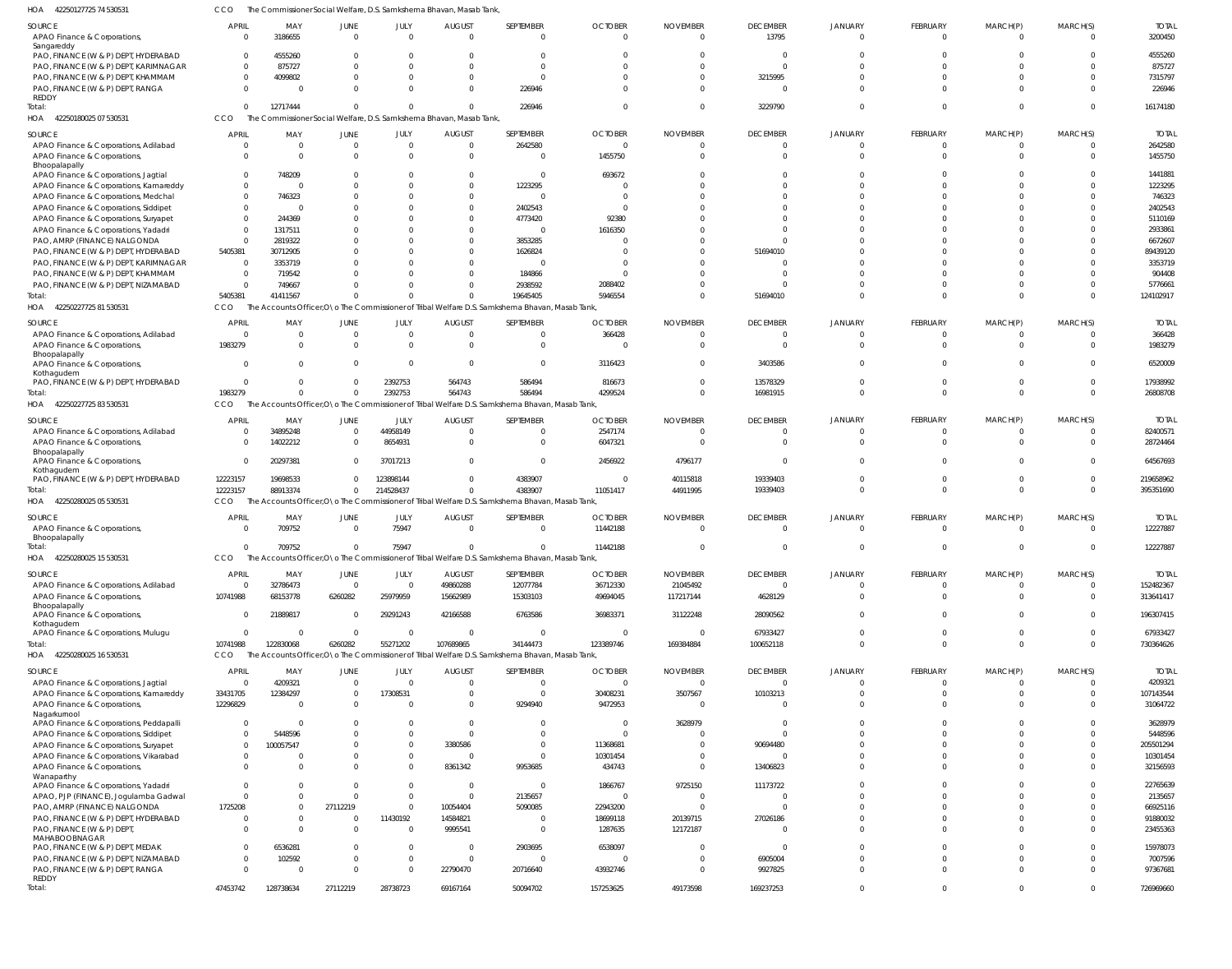42250127725 74 530531 HOA CCO The Commissioner Social Welfare, D.S. Samkshema Bhavan, Masab Tank,

| SOURCE                                                | <b>APRIL</b>   | MAY        | JUNE           | JULY                    | <b>AUGUST</b>                                                       | SEPTEMBER                                                                                        | <b>OCTOBER</b> | <b>NOVEMBER</b> | <b>DECEMBER</b> | <b>JANUARY</b> | FEBRUARY        | MARCH(P) | MARCH(S)       | <b>TOTAL</b> |
|-------------------------------------------------------|----------------|------------|----------------|-------------------------|---------------------------------------------------------------------|--------------------------------------------------------------------------------------------------|----------------|-----------------|-----------------|----------------|-----------------|----------|----------------|--------------|
| APAO Finance & Corporations,                          | $\Omega$       | 3186655    | $\overline{0}$ | $\Omega$                | $\Omega$                                                            | $\mathbf 0$                                                                                      | $\Omega$       | $\Omega$        | 13795           | $\overline{0}$ | $\Omega$        | $\Omega$ | $\Omega$       | 3200450      |
| Sangareddy                                            |                |            |                |                         |                                                                     |                                                                                                  |                |                 |                 |                |                 |          |                |              |
| PAO, FINANCE (W & P) DEPT, HYDERABAD                  | $\Omega$       | 4555260    | <sup>0</sup>   | $\Omega$                |                                                                     | $\Omega$                                                                                         | <sup>0</sup>   | <sup>0</sup>    | $\Omega$        | C              | $\Omega$        | $\Omega$ | $\Omega$       | 4555260      |
| PAO, FINANCE (W & P) DEPT, KARIMNAGAR                 | $\Omega$       | 875727     |                | $\Omega$                |                                                                     | $\Omega$                                                                                         |                |                 | C               | C              | $\Omega$        | $\Omega$ | $\Omega$       | 875727       |
| PAO, FINANCE (W & P) DEPT, KHAMMAM                    | $\Omega$       | 4099802    | <sup>0</sup>   | $\Omega$                | <sup>0</sup>                                                        | $\Omega$                                                                                         |                | <sup>0</sup>    | 3215995         | $\Omega$       | $\Omega$        | $\Omega$ | $\Omega$       | 7315797      |
| PAO, FINANCE (W & P) DEPT, RANGA                      | $\Omega$       | - 0        | <sup>0</sup>   | $\Omega$                | $\Omega$                                                            | 226946                                                                                           | <sup>0</sup>   | <sup>0</sup>    | $\Omega$        | $\Omega$       | $\Omega$        | $\Omega$ | $\Omega$       | 226946       |
| REDDY<br>Total:                                       | $\Omega$       | 12717444   | $\Omega$       | $\Omega$                | $\Omega$                                                            | 226946                                                                                           | $\Omega$       | $\Omega$        | 3229790         | $\Omega$       | $\Omega$        | $\Omega$ | $\Omega$       | 16174180     |
| 42250180025 07 530531<br>HOA                          | CCO            |            |                |                         | The Commissioner Social Welfare, D.S. Samkshema Bhavan, Masab Tank, |                                                                                                  |                |                 |                 |                |                 |          |                |              |
|                                                       |                |            |                |                         |                                                                     |                                                                                                  |                |                 |                 |                |                 |          |                |              |
| SOURCE                                                | APRIL          | MAY        | JUNE           | JULY                    | <b>AUGUST</b>                                                       | SEPTEMBER                                                                                        | <b>OCTOBER</b> | <b>NOVEMBER</b> | <b>DECEMBER</b> | <b>JANUARY</b> | <b>FEBRUARY</b> | MARCH(P) | MARCH(S)       | <b>TOTAL</b> |
| APAO Finance & Corporations, Adilabad                 | $\Omega$       | - 0        | $\overline{0}$ | $\mathbf 0$             | $\Omega$                                                            | 2642580                                                                                          | $\Omega$       | $\Omega$        | $\overline{0}$  | $\overline{0}$ | $\Omega$        | $\Omega$ | $\Omega$       | 2642580      |
| APAO Finance & Corporations,                          | $\Omega$       | $\Omega$   | $\Omega$       | $\Omega$                | $\Omega$                                                            | $\overline{0}$                                                                                   | 1455750        | $\Omega$        | $\Omega$        | $\Omega$       | $\Omega$        | $\Omega$ | $\Omega$       | 1455750      |
| Bhoopalapally<br>APAO Finance & Corporations, Jagtial | $\Omega$       | 748209     | <sup>0</sup>   | $\Omega$                | $\Omega$                                                            | $\overline{0}$                                                                                   | 693672         |                 | C               | C              | $\Omega$        | $\cap$   | $\Omega$       | 1441881      |
| APAO Finance & Corporations, Kamareddy                | $\Omega$       | - 0        | <sup>0</sup>   | $\Omega$                | $\Omega$                                                            | 1223295                                                                                          | $\Omega$       |                 | C               |                | $\Omega$        | $\cap$   | $\Omega$       | 1223295      |
| APAO Finance & Corporations, Medchal                  | $\Omega$       | 746323     | <sup>0</sup>   | $\Omega$                | $\Omega$                                                            | $\overline{0}$                                                                                   | $\Omega$       | <sup>0</sup>    | C               | C              | $\Omega$        | $\cap$   | $\Omega$       | 746323       |
| APAO Finance & Corporations, Siddipet                 | $\overline{0}$ | $\sqrt{ }$ | <sup>0</sup>   | $\Omega$                | $\Omega$                                                            | 2402543                                                                                          | $\Omega$       |                 | C               |                | $\Omega$        | $\cap$   | $\Omega$       | 2402543      |
| APAO Finance & Corporations, Suryapet                 | $\Omega$       | 244369     | <sup>0</sup>   | $\Omega$                | $\Omega$                                                            | 4773420                                                                                          | 92380          |                 |                 |                | $\cap$          | $\cap$   | $\Omega$       | 5110169      |
| APAO Finance & Corporations, Yadadri                  | $\Omega$       | 1317511    | <sup>0</sup>   | $\Omega$                | $\Omega$                                                            | $\overline{0}$                                                                                   | 1616350        |                 | C               |                | $\cap$          | $\cap$   | $\Omega$       | 2933861      |
| PAO, AMRP (FINANCE) NALGONDA                          | $\overline{0}$ | 2819322    | <sup>0</sup>   | $\Omega$                | $\Omega$                                                            | 3853285                                                                                          | $\Omega$       | <sup>0</sup>    | C               |                | $\Omega$        | $\cap$   | $\Omega$       | 6672607      |
| PAO, FINANCE (W & P) DEPT, HYDERABAD                  | 5405381        | 30712905   | <sup>0</sup>   | $\Omega$                | $\Omega$                                                            | 1626824                                                                                          | $\Omega$       | <sup>0</sup>    | 51694010        |                | $\Omega$        | $\cap$   | $\Omega$       | 89439120     |
| PAO, FINANCE (W & P) DEPT, KARIMNAGAR                 | $\overline{0}$ | 3353719    | <sup>0</sup>   | $\Omega$                | $\Omega$                                                            | $\overline{0}$                                                                                   | $\Omega$       |                 | C               |                | $\cap$          | $\cap$   | $\Omega$       | 3353719      |
| PAO, FINANCE (W & P) DEPT, KHAMMAM                    | $\overline{0}$ | 719542     | <sup>0</sup>   | $\Omega$                | $\Omega$                                                            | 184866                                                                                           | $\Omega$       |                 | C               |                | $\cap$          | $\cap$   | $\Omega$       | 904408       |
| PAO, FINANCE (W & P) DEPT, NIZAMABAD                  | $\overline{0}$ | 749667     | <sup>0</sup>   | $\Omega$                | <sup>0</sup>                                                        | 2938592                                                                                          | 2088402        | <sup>0</sup>    | C               | C              | $\Omega$        | $\Omega$ | $\Omega$       | 5776661      |
| Total:                                                | 5405381        | 41411567   | $\Omega$       |                         | $\cap$                                                              | 19645405                                                                                         | 5946554        | $\Omega$        | 51694010        | $\Omega$       | $\Omega$        | $\Omega$ | $\Omega$       | 124102917    |
| 42250227725 81 530531<br>HOA                          | CCO            |            |                |                         |                                                                     | The Accounts Officer, O \o The Commissioner of Tribal Welfare D.S. Samkshema Bhavan, Masab Tank, |                |                 |                 |                |                 |          |                |              |
| SOURCE                                                | <b>APRII</b>   | MAY        | JUNE           | JULY                    | <b>AUGUST</b>                                                       | SEPTEMBER                                                                                        | <b>OCTOBER</b> | <b>NOVEMBER</b> | <b>DECEMBER</b> | <b>JANUARY</b> | <b>FEBRUARY</b> | MARCH(P) | MARCH(S)       | <b>TOTAL</b> |
| APAO Finance & Corporations, Adilabad                 | $\Omega$       | - 0        | $\Omega$       | $\mathbf 0$             | $\Omega$                                                            | $\Omega$                                                                                         | 366428         | $\Omega$        | $\Omega$        | $\Omega$       | $\Omega$        | - 0      | $\Omega$       | 366428       |
| APAO Finance & Corporations,                          | 1983279        | $\cap$     | $\Omega$       | $\Omega$                | $\Omega$                                                            | $\Omega$                                                                                         | $\Omega$       | $\Omega$        | $\Omega$        | $\Omega$       | $\Omega$        | $\Omega$ | $\Omega$       | 1983279      |
| Bhoopalapally                                         |                |            |                |                         |                                                                     |                                                                                                  |                |                 |                 |                |                 |          |                |              |
| APAO Finance & Corporations,                          | $\Omega$       |            | $\Omega$       | $\Omega$                | $\Omega$                                                            | $\Omega$                                                                                         | 3116423        | <sup>0</sup>    | 3403586         | $\Omega$       | $\Omega$        | $\Omega$ | $\Omega$       | 6520009      |
| Kothagudem                                            |                |            |                |                         |                                                                     |                                                                                                  |                |                 |                 |                |                 |          |                |              |
| PAO, FINANCE (W & P) DEPT, HYDERABAD                  | $\Omega$       |            | $\Omega$       | 2392753                 | 564743                                                              | 586494                                                                                           | 816673         | <sup>0</sup>    | 13578329        | $\Omega$       | $\Omega$        | $\Omega$ | $\Omega$       | 17938992     |
| Total:                                                | 1983279        |            | $\Omega$       | 2392753                 | 564743                                                              | 586494                                                                                           | 4299524        | $\Omega$        | 16981915        | $\Omega$       | $\Omega$        | $\Omega$ | $\Omega$       | 26808708     |
| HOA 42250227725 83 530531                             | CCO            |            |                |                         |                                                                     | The Accounts Officer, O \o The Commissioner of Tribal Welfare D.S. Samkshema Bhavan, Masab Tank, |                |                 |                 |                |                 |          |                |              |
| SOURCE                                                | APRIL          | MAY        | JUNE           | JULY                    | <b>AUGUST</b>                                                       | SEPTEMBER                                                                                        | <b>OCTOBER</b> | <b>NOVEMBER</b> | <b>DECEMBER</b> | <b>JANUARY</b> | <b>FEBRUARY</b> | MARCH(P) | MARCH(S)       | <b>TOTAL</b> |
| APAO Finance & Corporations, Adilabad                 | 0              | 34895248   | $\overline{0}$ | 44958149                | $\overline{0}$                                                      | $\overline{0}$                                                                                   | 2547174        | $\Omega$        | 0               | $\overline{0}$ | $\Omega$        | $\Omega$ | $\Omega$       | 82400571     |
| APAO Finance & Corporations                           | $\Omega$       | 14022212   | $\overline{0}$ | 8654931                 | $\Omega$                                                            | $\mathbf{0}$                                                                                     | 6047321        | $\Omega$        | $\Omega$        | $\Omega$       | $\Omega$        | $\Omega$ | $\Omega$       | 28724464     |
| Bhoopalapally                                         |                |            |                |                         |                                                                     |                                                                                                  |                |                 |                 |                |                 |          |                |              |
| APAO Finance & Corporations,                          | $\Omega$       | 20297381   | $\overline{0}$ | 37017213                | $\Omega$                                                            | $\mathbf 0$                                                                                      | 2456922        | 4796177         | $\Omega$        | $\Omega$       | $\Omega$        | $\Omega$ | $\Omega$       | 64567693     |
| Kothagudem<br>PAO, FINANCE (W & P) DEPT, HYDERABAD    | 12223157       | 19698533   | $\overline{0}$ | 123898144               | $\Omega$                                                            | 4383907                                                                                          | $\Omega$       | 40115818        | 19339403        | $\Omega$       | $\Omega$        | $\Omega$ | $\Omega$       | 219658962    |
| Total:                                                | 12223157       | 88913374   | $\overline{0}$ | 214528437               | $\Omega$                                                            | 4383907                                                                                          | 11051417       | 44911995        | 19339403        | $\Omega$       | $\Omega$        | $\Omega$ | $\Omega$       | 395351690    |
| HOA 42250280025 05 530531                             | CCO            |            |                |                         |                                                                     | The Accounts Officer, O \o The Commissioner of Tribal Welfare D.S. Samkshema Bhavan, Masab Tank, |                |                 |                 |                |                 |          |                |              |
|                                                       |                |            |                |                         |                                                                     |                                                                                                  |                |                 |                 |                |                 |          |                |              |
| SOURCE                                                | APRIL          | MAY        | JUNE           | JULY                    | <b>AUGUST</b>                                                       | SEPTEMBER                                                                                        | <b>OCTOBER</b> | <b>NOVEMBER</b> | <b>DECEMBER</b> | <b>JANUARY</b> | FEBRUARY        | MARCH(P) | MARCH(S)       | <b>TOTAL</b> |
| APAO Finance & Corporations,                          | $\Omega$       | 709752     | $\Omega$       | 75947                   | $\Omega$                                                            | $\Omega$                                                                                         | 11442188       | $\Omega$        | $\Omega$        | $\Omega$       | $\Omega$        | $\Omega$ | $\Omega$       | 12227887     |
| Bhoopalapally<br>Total:                               | $\Omega$       | 709752     | $\overline{0}$ | 75947                   | $\Omega$                                                            | $\Omega$                                                                                         | 11442188       | $\Omega$        | $\Omega$        | $\Omega$       | $\Omega$        | $\Omega$ | $\Omega$       | 12227887     |
| HOA 42250280025 15 530531                             | CCO            |            |                |                         |                                                                     | The Accounts Officer, O \o The Commissioner of Tribal Welfare D.S. Samkshema Bhavan, Masab Tank, |                |                 |                 |                |                 |          |                |              |
|                                                       |                |            |                |                         |                                                                     |                                                                                                  |                |                 |                 |                |                 |          |                |              |
| SOURCE                                                | <b>APRIL</b>   | MAY        | JUNE           | JULY                    | <b>AUGUST</b>                                                       | SEPTEMBER                                                                                        | <b>OCTOBER</b> | <b>NOVEMBER</b> | <b>DECEMBER</b> | <b>JANUARY</b> | <b>FEBRUARY</b> | MARCH(P) | MARCH(S)       | <b>TOTAL</b> |
| APAO Finance & Corporations, Adilabad                 | 0              | 32786473   | $\overline{0}$ | $\mathbf 0$             | 49860288                                                            | 12077784                                                                                         | 36712330       | 21045492        | $\overline{0}$  | $\overline{0}$ | $\Omega$        | $\Omega$ | $\overline{0}$ | 152482367    |
| APAO Finance & Corporations,                          | 10741988       | 68153778   | 6260282        | 25979959                | 15662989                                                            | 15303103                                                                                         | 49694045       | 117217144       | 4628129         | $\overline{0}$ | $\Omega$        | $\Omega$ | $\Omega$       | 313641417    |
| Bhoopalapally<br>APAO Finance & Corporations,         | $\overline{0}$ | 21889817   | $\Omega$       | 29291243                | 42166588                                                            | 6763586                                                                                          | 36983371       | 31122248        | 28090562        | $\overline{0}$ | $\Omega$        | $\Omega$ | $\Omega$       | 196307415    |
| Kothagudem                                            |                |            |                |                         |                                                                     |                                                                                                  |                |                 |                 |                |                 |          |                |              |
| APAO Finance & Corporations, Mulugu                   | $\overline{0}$ | $\Omega$   | $\overline{0}$ | $\overline{\mathbf{0}}$ | $\overline{0}$                                                      | $\overline{0}$                                                                                   | $\overline{0}$ | $\Omega$        | 67933427        | $\overline{0}$ | $\Omega$        | $\Omega$ | $\Omega$       | 67933427     |
| Total:                                                | 10741988       | 122830068  | 6260282        | 55271202                | 107689865                                                           | 34144473                                                                                         | 123389746      | 169384884       | 100652118       | $\Omega$       | $\Omega$        | $\Omega$ | $\Omega$       | 730364626    |
| HOA 42250280025 16 530531                             | <b>CCO</b>     |            |                |                         |                                                                     | The Accounts Officer, O \o The Commissioner of Tribal Welfare D.S. Samkshema Bhavan, Masab Tank, |                |                 |                 |                |                 |          |                |              |
| SOURCE                                                | <b>APRIL</b>   | MAY        | JUNE           | JULY                    | <b>AUGUST</b>                                                       | SEPTEMBER                                                                                        | <b>OCTOBER</b> | <b>NOVEMBER</b> | <b>DECEMBER</b> | <b>JANUARY</b> | FEBRUARY        | MARCH(P) | MARCH(S)       | <b>TOTAL</b> |
| APAO Finance & Corporations, Jagtial                  | $\Omega$       | 4209321    | $\overline{0}$ | $\Omega$                | $\Omega$                                                            | $\overline{0}$                                                                                   | $\Omega$       | $\Omega$        | $\overline{0}$  | $\Omega$       | $\Omega$        | $\Omega$ | $\Omega$       | 4209321      |
| APAO Finance & Corporations, Kamareddy                | 33431705       | 12384297   | $\Omega$       | 17308531                | $\Omega$                                                            | $\overline{0}$                                                                                   | 30408231       | 3507567         | 10103213        | $\Omega$       | $\Omega$        | $\Omega$ | $\Omega$       | 107143544    |
| APAO Finance & Corporations,                          | 12296829       | - 0        | $\Omega$       | $\Omega$                | $\Omega$                                                            | 9294940                                                                                          | 9472953        | $\Omega$        | $\Omega$        | $\Omega$       | $\Omega$        | $\Omega$ | $\Omega$       | 31064722     |
| Nagarkurnool                                          |                |            |                |                         |                                                                     |                                                                                                  |                |                 |                 |                |                 |          |                |              |
| APAO Finance & Corporations, Peddapalli               | $\overline{0}$ | - 0        | $\Omega$       | $\Omega$                | $\Omega$                                                            | $\Omega$                                                                                         | $\Omega$       | 3628979         | $\Omega$        | $\Omega$       | $\Omega$        | $\Omega$ | $\Omega$       | 3628979      |
| APAO Finance & Corporations, Siddipet                 | $\Omega$       | 5448596    | <sup>0</sup>   | $\Omega$                | $\Omega$                                                            | $\Omega$                                                                                         | $\Omega$       |                 | $\Omega$        | $\Omega$       | $\Omega$        | $\Omega$ | $\Omega$       | 5448596      |
| APAO Finance & Corporations, Suryapet                 | $\Omega$       | 100057547  | <sup>0</sup>   | $\Omega$                | 3380586                                                             | $\Omega$                                                                                         | 11368681       |                 | 90694480        | $\Omega$       | $\Omega$        | $\Omega$ | $\Omega$       | 205501294    |
| APAO Finance & Corporations, Vikarabad                | $\Omega$       |            | $\Omega$       | $\mathbf 0$             | $\Omega$                                                            | $\mathbf 0$                                                                                      | 10301454       | <sup>0</sup>    | $\Omega$        | $\Omega$       | $\Omega$        | $\Omega$ | $\Omega$       | 10301454     |
| APAO Finance & Corporations,                          | $\Omega$       |            | $\Omega$       | $\Omega$                | 8361342                                                             | 9953685                                                                                          | 434743         | $\Omega$        | 13406823        | $\Omega$       | $\Omega$        | $\Omega$ | $\Omega$       | 32156593     |
| Wanaparthy<br>APAO Finance & Corporations, Yadadri    | $\Omega$       |            | $\Omega$       | $\Omega$                | $\Omega$                                                            | $\overline{0}$                                                                                   | 1866767        | 9725150         | 11173722        | $\Omega$       | $\Omega$        | $\Omega$ | $\Omega$       | 22765639     |
| APAO, PJP (FINANCE), Jogulamba Gadwal                 | $\Omega$       |            | $\Omega$       | $\Omega$                | $\Omega$                                                            | 2135657                                                                                          | $\Omega$       | $\Omega$        | $\Omega$        | $\Omega$       | $\Omega$        | $\Omega$ | $\Omega$       | 2135657      |
| PAO, AMRP (FINANCE) NALGONDA                          | 1725208        |            | 27112219       | $\Omega$                | 10054404                                                            | 5090085                                                                                          | 22943200       | $\Omega$        | $\Omega$        | $\Omega$       | $\Omega$        | $\Omega$ | $\Omega$       | 66925116     |
| PAO, FINANCE (W & P) DEPT, HYDERABAD                  | $\Omega$       | $\Omega$   | $\Omega$       | 11430192                | 14584821                                                            | $\overline{0}$                                                                                   | 18699118       | 20139715        | 27026186        | $\Omega$       | $\Omega$        | $\Omega$ | $\Omega$       | 91880032     |
| PAO, FINANCE (W & P) DEPT                             | $\Omega$       | $\cap$     | $\Omega$       | $\Omega$                | 9995541                                                             | $\overline{0}$                                                                                   | 1287635        | 12172187        | $\Omega$        | $\Omega$       | $\Omega$        | $\Omega$ | $\Omega$       | 23455363     |
| MAHABOOBNAGAR                                         |                |            |                |                         |                                                                     |                                                                                                  |                |                 |                 |                |                 |          |                |              |
| PAO, FINANCE (W & P) DEPT, MEDAK                      | $\Omega$       | 6536281    | $\Omega$       | $\Omega$                | $\Omega$                                                            | 2903695                                                                                          | 6538097        |                 | $\Omega$        | $\Omega$       | $\Omega$        | $\Omega$ | $\Omega$       | 15978073     |
| PAO, FINANCE (W & P) DEPT, NIZAMABAD                  | $\Omega$       | 102592     | $\Omega$       | $\mathbf 0$             | $\overline{0}$                                                      | $\overline{0}$                                                                                   | $\Omega$       | $\Omega$        | 6905004         | $\Omega$       | $\Omega$        | $\Omega$ | $\Omega$       | 7007596      |
| PAO, FINANCE (W & P) DEPT, RANGA                      | $\Omega$       | - 0        | $\Omega$       | $\Omega$                | 22790470                                                            | 20716640                                                                                         | 43932746       | $\Omega$        | 9927825         | $\Omega$       | $\Omega$        | $\Omega$ | $\Omega$       | 97367681     |
| REDDY                                                 |                |            |                |                         |                                                                     |                                                                                                  |                |                 |                 |                |                 |          | $\Omega$       |              |
| Total:                                                | 47453742       | 128738634  | 27112219       | 28738723                | 69167164                                                            | 50094702                                                                                         | 157253625      | 49173598        | 169237253       | $\overline{0}$ | $\Omega$        | $\Omega$ |                | 726969660    |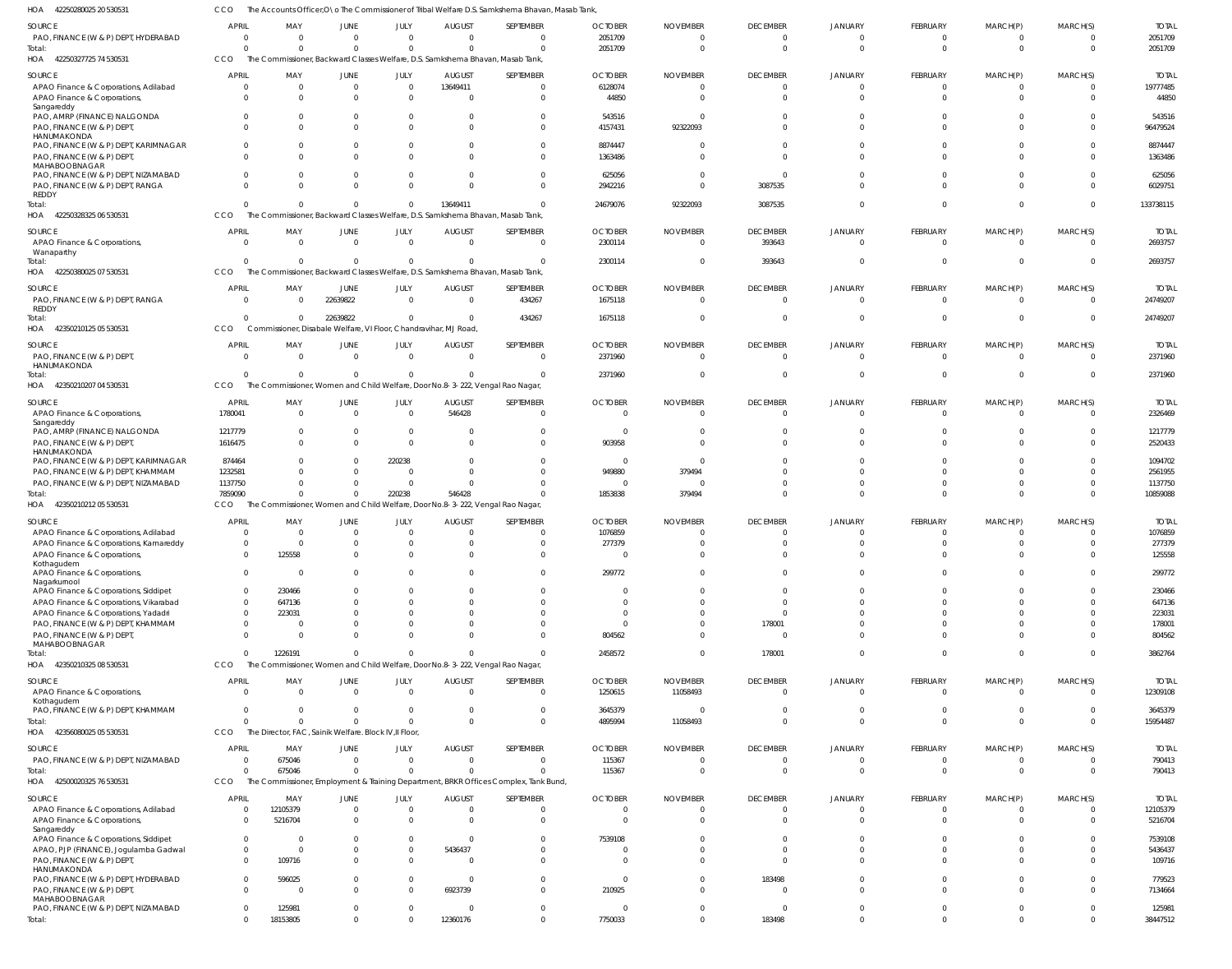42250280025 20 530531 HOA CCO The Accounts Officer, O\o The Commissioner of Tribal Welfare D.S. Samkshema Bhavan, Masab Tank,

| 110 <sub>M</sub><br><b>ASSONSONOSA SO PROPA</b>                  |                      |                                                        |                  |                        |                                                                  | ACCOUNTS OTHCCI,O TO THE CONTINUISSIONER OF INDIAL WEITHING BOS JANUARY ICH IN BITINYING IN INTERNATIONAL INT |                           |                    |                             |                            |                                   |                      |                      |                          |
|------------------------------------------------------------------|----------------------|--------------------------------------------------------|------------------|------------------------|------------------------------------------------------------------|---------------------------------------------------------------------------------------------------------------|---------------------------|--------------------|-----------------------------|----------------------------|-----------------------------------|----------------------|----------------------|--------------------------|
| SOURCE                                                           | <b>APRIL</b>         | MAY                                                    | JUNE             | JULY                   | <b>AUGUST</b>                                                    | SEPTEMBER                                                                                                     | <b>OCTOBER</b>            | <b>NOVEMBER</b>    | <b>DECEMBER</b>             | JANUARY                    | FEBRUARY                          | MARCH(P)             | MARCH(S)             | <b>TOTAI</b>             |
| PAO, FINANCE (W & P) DEPT, HYDERABAD                             | $\Omega$             | $\Omega$                                               | $\Omega$         | $\Omega$               | $\Omega$                                                         | $\overline{0}$                                                                                                | 2051709                   | - 0                | $\Omega$                    | $\Omega$                   | $\overline{0}$                    | $\mathbf{0}$         | $\Omega$             | 2051709                  |
| Total:<br>HOA 42250327725 74 530531                              | $\Omega$<br>CCO      | $\Omega$                                               | $\Omega$         | $\Omega$               | $\Omega$                                                         | $\overline{0}$<br>The Commissioner, Backward Classes Welfare, D.S. Samkshema Bhavan, Masab Tank,              | 2051709                   | - 0                | $\Omega$                    | $\Omega$                   | $\overline{0}$                    | $\overline{0}$       | $\Omega$             | 2051709                  |
|                                                                  | <b>APRIL</b>         |                                                        |                  |                        |                                                                  |                                                                                                               |                           |                    |                             |                            |                                   |                      |                      |                          |
| SOURCE<br>APAO Finance & Corporations, Adilabad                  |                      | MAY<br>$\Omega$                                        | <b>JUNE</b><br>0 | JULY<br>$\overline{0}$ | <b>AUGUST</b><br>13649411                                        | SEPTEMBER<br>$\mathbf 0$                                                                                      | <b>OCTOBER</b><br>6128074 | <b>NOVEMBER</b>    | <b>DECEMBER</b><br>$\Omega$ | <b>JANUARY</b><br>$\Omega$ | <b>FEBRUARY</b><br>$\overline{0}$ | MARCH(P)<br>0        | MARCH(S)             | <b>TOTAI</b><br>19777485 |
| APAO Finance & Corporations,                                     |                      |                                                        | $\Omega$         | $\overline{0}$         | $\Omega$                                                         | $\overline{0}$                                                                                                | 44850                     |                    | $\Omega$                    | $\Omega$                   | $\Omega$                          | $\Omega$             | $\Omega$             | 44850                    |
| Sangareddy                                                       |                      |                                                        |                  |                        |                                                                  |                                                                                                               |                           |                    |                             |                            |                                   |                      |                      |                          |
| PAO, AMRP (FINANCE) NALGONDA                                     |                      |                                                        | 0                | $\Omega$               | $\Omega$                                                         | $\overline{0}$                                                                                                | 543516                    |                    | $\Omega$                    | $\Omega$                   | $\Omega$                          | $\Omega$             | $\Omega$             | 543516                   |
| PAO, FINANCE (W & P) DEPT,                                       |                      |                                                        |                  | $\Omega$               |                                                                  | $\Omega$                                                                                                      | 4157431                   | 92322093           |                             | $\Omega$                   | $\Omega$                          | $\Omega$             | $\Omega$             | 96479524                 |
| HANUMAKONDA<br>PAO, FINANCE (W & P) DEPT, KARIMNAGAR             |                      |                                                        | 0                | $\Omega$               | $\Omega$                                                         | $\mathbf 0$                                                                                                   | 8874447                   |                    | $\Omega$                    |                            | $\Omega$                          | $\Omega$             |                      | 8874447                  |
| PAO, FINANCE (W & P) DEPT,                                       |                      |                                                        |                  | $\Omega$               |                                                                  | $\Omega$                                                                                                      | 1363486                   |                    |                             | $\Omega$                   | $\Omega$                          | $\Omega$             |                      | 1363486                  |
| MAHABOOBNAGAR                                                    |                      |                                                        |                  |                        |                                                                  |                                                                                                               |                           |                    |                             |                            |                                   |                      |                      |                          |
| PAO, FINANCE (W & P) DEPT, NIZAMABAD                             |                      | 0                                                      | 0                | $\Omega$               | $\Omega$                                                         | $\overline{0}$                                                                                                | 625056                    |                    | $\Omega$                    |                            | $\Omega$                          | $\Omega$             |                      | 625056                   |
| PAO, FINANCE (W & P) DEPT, RANGA                                 |                      | 0                                                      | 0                | $\Omega$               | $\Omega$                                                         | $\mathbf{0}$                                                                                                  | 2942216                   |                    | 3087535                     | $\Omega$                   | $\Omega$                          | $\Omega$             | $\Omega$             | 6029751                  |
| <b>REDDY</b>                                                     |                      | $\Omega$                                               | $\Omega$         | $\Omega$               | 13649411                                                         | $\Omega$                                                                                                      | 24679076                  | 92322093           | 3087535                     | $\Omega$                   | $\Omega$                          | $\Omega$             | $\Omega$             | 133738115                |
| Total:<br>42250328325 06 530531<br>HOA                           | CCO                  |                                                        |                  |                        |                                                                  | The Commissioner, Backward Classes Welfare, D.S. Samkshema Bhavan, Masab Tank,                                |                           |                    |                             |                            |                                   |                      |                      |                          |
|                                                                  |                      |                                                        |                  |                        |                                                                  |                                                                                                               |                           |                    |                             |                            |                                   |                      |                      |                          |
| SOURCE                                                           | <b>APRIL</b>         | MAY                                                    | JUNE             | JULY                   | <b>AUGUST</b>                                                    | SEPTEMBER                                                                                                     | <b>OCTOBER</b>            | <b>NOVEMBER</b>    | <b>DECEMBER</b>             | <b>JANUARY</b>             | <b>FEBRUARY</b>                   | MARCH(P)             | MARCH(S)             | <b>TOTAI</b>             |
| APAO Finance & Corporations,                                     | $\Omega$             | $\Omega$                                               | $\mathbf 0$      | $\overline{0}$         | $\Omega$                                                         | $\overline{0}$                                                                                                | 2300114                   | $\Omega$           | 393643                      | $\overline{0}$             | $\overline{0}$                    | $\mathbf{0}$         | $\Omega$             | 2693757                  |
| Wanaparthy<br>Total:                                             |                      | $\Omega$                                               | $\Omega$         | $\Omega$               | $\Omega$                                                         | $\overline{0}$                                                                                                | 2300114                   | - 0                | 393643                      | $\overline{0}$             | $\overline{0}$                    | $\mathbf{0}$         | $\Omega$             | 2693757                  |
| HOA 42250380025 07 530531                                        | CCO                  |                                                        |                  |                        |                                                                  | The Commissioner, Backward Classes Welfare, D.S. Samkshema Bhavan, Masab Tank,                                |                           |                    |                             |                            |                                   |                      |                      |                          |
| SOURCE                                                           | <b>APRIL</b>         | MAY                                                    | <b>JUNE</b>      | JULY                   | <b>AUGUST</b>                                                    | SEPTEMBER                                                                                                     | <b>OCTOBER</b>            | <b>NOVEMBER</b>    | <b>DECEMBER</b>             | <b>JANUARY</b>             | <b>FEBRUARY</b>                   | MARCH(P)             | MARCH(S)             | <b>TOTAI</b>             |
| PAO, FINANCE (W & P) DEPT, RANGA                                 | - 0                  | $\Omega$                                               | 22639822         | $\overline{0}$         | $\overline{0}$                                                   | 434267                                                                                                        | 1675118                   | - 0                | $\Omega$                    | $\Omega$                   | $\overline{0}$                    | $\mathbf{0}$         | $\Omega$             | 24749207                 |
| REDDY                                                            |                      |                                                        |                  |                        |                                                                  |                                                                                                               |                           |                    |                             |                            |                                   |                      |                      |                          |
| Total:                                                           |                      | $\Omega$                                               | 22639822         | $\mathbf 0$            | $\Omega$                                                         | 434267                                                                                                        | 1675118                   |                    | $\Omega$                    | $\Omega$                   | $\Omega$                          | $\mathbf{0}$         | $\Omega$             | 24749207                 |
| HOA 42350210125 05 530531                                        | CCO                  |                                                        |                  |                        | Commissioner, Disabale Welfare, VI Floor, Chandravihar, MJ Road, |                                                                                                               |                           |                    |                             |                            |                                   |                      |                      |                          |
| SOURCE                                                           | <b>APRIL</b>         | MAY                                                    | JUNE             | JULY                   | <b>AUGUST</b>                                                    | SEPTEMBER                                                                                                     | <b>OCTOBER</b>            | <b>NOVEMBER</b>    | <b>DECEMBER</b>             | <b>JANUARY</b>             | <b>FEBRUARY</b>                   | MARCH(P)             | MARCH(S)             | <b>TOTAI</b>             |
| PAO, FINANCE (W & P) DEPT,                                       | - 0                  | $\Omega$                                               | $\Omega$         | $\overline{0}$         | $\Omega$                                                         | $\overline{0}$                                                                                                | 2371960                   | $\Omega$           | $\Omega$                    | $\Omega$                   | $\overline{0}$                    | $\overline{0}$       | $\Omega$             | 2371960                  |
| HANUMAKONDA                                                      |                      |                                                        |                  |                        |                                                                  |                                                                                                               |                           |                    |                             |                            |                                   |                      |                      |                          |
| Total:                                                           |                      | $\Omega$                                               | $\Omega$         | $\Omega$               | $\Omega$                                                         | $\Omega$                                                                                                      | 2371960                   |                    | $\Omega$                    | $\Omega$                   | $\overline{0}$                    | $\mathbf 0$          | $\Omega$             | 2371960                  |
| HOA 42350210207 04 530531                                        | CCO                  |                                                        |                  |                        |                                                                  | The Commissioner, Women and Child Welfare, Door No.8-3-222, Vengal Rao Nagar,                                 |                           |                    |                             |                            |                                   |                      |                      |                          |
| SOURCE                                                           | <b>APRIL</b>         | MAY                                                    | JUNE             | JULY                   | <b>AUGUST</b>                                                    | SEPTEMBER                                                                                                     | <b>OCTOBER</b>            | <b>NOVEMBER</b>    | <b>DECEMBER</b>             | <b>JANUARY</b>             | <b>FEBRUARY</b>                   | MARCH(P)             | MARCH(S)             | <b>TOTAI</b>             |
| APAO Finance & Corporations,                                     | 1780041              | $\Omega$                                               | $\Omega$         | $\overline{0}$         | 546428                                                           | $\overline{0}$                                                                                                | $\Omega$                  | - 0                | $\overline{0}$              | $\overline{0}$             | $\overline{0}$                    | $\mathbf{0}$         | $\Omega$             | 2326469                  |
| Sangareddy<br>PAO, AMRP (FINANCE) NALGONDA                       | 1217779              |                                                        | 0                | $\overline{0}$         | 0                                                                | $\mathbf{0}$                                                                                                  | - 0                       |                    |                             |                            | $\Omega$                          |                      |                      | 1217779                  |
| PAO, FINANCE (W & P) DEPT,                                       | 1616475              |                                                        | $\Omega$         | $\Omega$               | $\Omega$                                                         | $\Omega$                                                                                                      | 903958                    |                    |                             | $\Omega$                   | $\Omega$                          | $\Omega$             | $\Omega$             | 2520433                  |
| HANUMAKONDA                                                      |                      |                                                        |                  |                        |                                                                  |                                                                                                               |                           |                    |                             |                            |                                   |                      |                      |                          |
| PAO, FINANCE (W & P) DEPT, KARIMNAGAR                            | 874464               |                                                        | 0                | 220238                 | $\Omega$                                                         | $\mathbf 0$                                                                                                   | - 0                       | - 6                |                             | $\Omega$                   | $\Omega$                          |                      |                      | 1094702                  |
| PAO, FINANCE (W & P) DEPT, KHAMMAM                               | 1232581              |                                                        |                  | $\overline{0}$         | $\Omega$                                                         | $\mathbf 0$                                                                                                   | 949880                    | 379494             |                             | $\Omega$                   | $\Omega$                          |                      | $\Omega$             | 2561955                  |
| PAO, FINANCE (W & P) DEPT, NIZAMABAD                             | 1137750              | $\Omega$<br>$\Omega$                                   | 0                | $\overline{0}$         | $\Omega$                                                         | $\mathbf 0$                                                                                                   | - 0                       | - 0                | $\Omega$                    | $\Omega$                   | $\Omega$                          | $\Omega$             | $\Omega$             | 1137750                  |
| Total:<br>HOA 42350210212 05 530531                              | 7859090<br>CCO       |                                                        | $\Omega$         | 220238                 | 546428                                                           | $\Omega$<br>The Commissioner, Women and Child Welfare, Door No.8-3-222, Vengal Rao Nagar,                     | 1853838                   | 379494             | $\Omega$                    | $\Omega$                   | $\overline{0}$                    | $\mathbf 0$          | $\Omega$             | 10859088                 |
|                                                                  |                      |                                                        |                  |                        |                                                                  |                                                                                                               |                           |                    |                             |                            |                                   |                      |                      |                          |
| SOURCE                                                           | <b>APRIL</b>         | MAY                                                    | JUNE             | JULY                   | <b>AUGUST</b>                                                    | SEPTEMBER                                                                                                     | <b>OCTOBER</b>            | <b>NOVEMBER</b>    | <b>DECEMBER</b>             | JANUARY                    | <b>FEBRUARY</b>                   | MARCH(P)             | MARCH(S)             | <b>TOTAI</b>             |
| APAO Finance & Corporations, Adilabad                            |                      | $\Omega$                                               |                  | $\overline{0}$         | $\Omega$                                                         | $\mathbf{0}$                                                                                                  | 1076859                   |                    |                             | $\Omega$                   | $\overline{0}$                    | n                    |                      | 1076859                  |
| APAO Finance & Corporations, Kamareddy                           |                      | $\Omega$                                               |                  | $\Omega$               | $\Omega$                                                         | $\mathbf 0$                                                                                                   | 277379                    |                    | $\Omega$                    | $\Omega$                   | $\Omega$                          | $\Omega$             | $\Omega$             | 277379                   |
| APAO Finance & Corporations,<br>Kothagudem                       | $\Omega$             | 125558                                                 | $\Omega$         | $\Omega$               | $\Omega$                                                         | $\overline{0}$                                                                                                | $\cap$                    | $\cap$             | $\Omega$                    | $\cap$                     | $\Omega$                          | $\Omega$             | $\Omega$             | 125558                   |
| APAO Finance & Corporations,                                     | $\Omega$             | $\Omega$                                               | $\Omega$         | $\Omega$               | $\Omega$                                                         | $\overline{0}$                                                                                                | 299772                    |                    | $\Omega$                    | $\Omega$                   | $\Omega$                          | $\Omega$             | $\Omega$             | 299772                   |
| Nagarkurnool                                                     |                      |                                                        |                  |                        |                                                                  |                                                                                                               |                           |                    |                             |                            |                                   |                      |                      |                          |
| APAO Finance & Corporations, Siddipet                            | $\Omega$             | 230466                                                 |                  | $\Omega$               | $\Omega$                                                         | $\overline{0}$                                                                                                | - 0                       | $\Omega$           | $\Omega$                    | $\Omega$                   | $\Omega$                          | $\Omega$             | $\Omega$             | 230466                   |
| APAO Finance & Corporations, Vikarabad                           | $\Omega$             | 647136                                                 |                  | $\Omega$               | $\Omega$                                                         | $\overline{0}$                                                                                                | $\cap$                    | $\cap$             | $\Omega$                    | $\Omega$                   | $\Omega$                          | $\Omega$             | $\Omega$             | 647136                   |
| APAO Finance & Corporations, Yadadri                             | $\Omega$             | 223031                                                 |                  | $\Omega$               | <sup>0</sup>                                                     | $\mathbf 0$                                                                                                   | $\Omega$                  |                    | $\Omega$                    | $\Omega$<br>$\Omega$       | $\Omega$                          | $\Omega$             | $\Omega$             | 223031                   |
| PAO, FINANCE (W & P) DEPT, KHAMMAM<br>PAO, FINANCE (W & P) DEPT, | $\Omega$<br>$\Omega$ | $\Omega$<br>$\Omega$                                   |                  | $\Omega$<br>$\Omega$   | $\Omega$<br>$\Omega$                                             | $\mathbf 0$<br>$\overline{0}$                                                                                 | - 0<br>804562             | $\Omega$           | 178001<br>$\Omega$          | $\Omega$                   | $\Omega$<br>$\Omega$              | $\Omega$<br>$\Omega$ | $\Omega$<br>$\Omega$ | 178001<br>804562         |
| MAHABOOBNAGAR                                                    |                      |                                                        |                  |                        |                                                                  |                                                                                                               |                           |                    |                             |                            |                                   |                      |                      |                          |
| Total:                                                           | $\Omega$             | 1226191                                                | $\Omega$         | $\Omega$               | $\Omega$                                                         | $\mathbf{0}$                                                                                                  | 2458572                   | $\Omega$           | 178001                      | $\overline{0}$             | $\overline{0}$                    | $\mathbf{0}$         | $\Omega$             | 3862764                  |
| 42350210325 08 530531<br>HOA                                     | CCO                  |                                                        |                  |                        |                                                                  | The Commissioner, Women and Child Welfare, Door No.8-3-222, Vengal Rao Nagar,                                 |                           |                    |                             |                            |                                   |                      |                      |                          |
| SOURCE                                                           | <b>APRIL</b>         | MAY                                                    | <b>JUNE</b>      | JULY                   | <b>AUGUST</b>                                                    | SEPTEMBER                                                                                                     | <b>OCTOBER</b>            | <b>NOVEMBER</b>    | <b>DECEMBER</b>             | <b>JANUARY</b>             | FEBRUARY                          | MARCH(P)             | MARCH(S)             | <b>TOTAL</b>             |
| APAO Finance & Corporations,                                     | $\Omega$             | $\Omega$                                               | $\mathbf{0}$     | $\mathbf{0}$           | $\overline{0}$                                                   | $\overline{0}$                                                                                                | 1250615                   | 11058493           | $\overline{0}$              | $\overline{0}$             | $\overline{0}$                    | $\overline{0}$       | $\Omega$             | 12309108                 |
| Kothagudem                                                       |                      |                                                        |                  |                        |                                                                  |                                                                                                               |                           |                    |                             |                            |                                   |                      |                      |                          |
| PAO, FINANCE (W & P) DEPT, KHAMMAM                               | $\Omega$             | $\Omega$                                               | $\mathbf 0$      | $\mathbf 0$            | $\overline{0}$                                                   | $\overline{0}$                                                                                                | 3645379                   | - 0                | $\overline{0}$              | $\overline{0}$             | $\overline{0}$                    | $\mathbf{0}$         | $\Omega$             | 3645379                  |
| Total:                                                           | CCO                  | $\Omega$                                               | $\Omega$         | $\mathbf{0}$           | $\Omega$                                                         | $\overline{0}$                                                                                                | 4895994                   | 11058493           | $\Omega$                    | $\overline{0}$             | $\overline{0}$                    | $\mathbf{0}$         | $\Omega$             | 15954487                 |
| HOA 42356080025 05 530531                                        |                      | The Director, FAC, Sainik Welfare. Block IV, Il Floor, |                  |                        |                                                                  |                                                                                                               |                           |                    |                             |                            |                                   |                      |                      |                          |
| SOURCE                                                           | <b>APRIL</b>         | MAY                                                    | <b>JUNE</b>      | JULY                   | <b>AUGUST</b>                                                    | SEPTEMBER                                                                                                     | <b>OCTOBER</b>            | <b>NOVEMBER</b>    | <b>DECEMBER</b>             | <b>JANUARY</b>             | <b>FEBRUARY</b>                   | MARCH(P)             | MARCH(S)             | <b>TOTAL</b>             |
| PAO, FINANCE (W & P) DEPT, NIZAMABAD                             | - 0                  | 675046                                                 | $\mathbf 0$      | $\mathbf{0}$           | $\overline{0}$                                                   | $\overline{0}$                                                                                                | 115367                    | $\Omega$           | $\overline{0}$              | $\overline{0}$             | $\overline{0}$                    | $\mathbf{0}$         | $\Omega$             | 790413                   |
| Total:                                                           |                      | 675046                                                 | $\Omega$         | $\Omega$               | $\Omega$                                                         | $\mathbf{0}$                                                                                                  | 115367                    | $\Omega$           | $\Omega$                    | $\Omega$                   | $\overline{0}$                    | $\mathbf{0}$         | $\Omega$             | 790413                   |
| HOA<br>42500020325 76 530531                                     | CCO                  |                                                        |                  |                        |                                                                  | The Commissioner, Employment & Training Department, BRKR Offices Complex, Tank Bund,                          |                           |                    |                             |                            |                                   |                      |                      |                          |
| SOURCE                                                           | <b>APRIL</b>         | MAY                                                    | <b>JUNE</b>      | JULY                   | <b>AUGUST</b>                                                    | SEPTEMBER                                                                                                     | <b>OCTOBER</b>            | <b>NOVEMBER</b>    | <b>DECEMBER</b>             | <b>JANUARY</b>             | FEBRUARY                          | MARCH(P)             | MARCH(S)             | <b>TOTAL</b>             |
| APAO Finance & Corporations, Adilabad                            | - 0                  | 12105379                                               | $\mathbf 0$      | $\overline{0}$         | $\overline{0}$                                                   | $\overline{0}$                                                                                                | $\Omega$                  | $\Omega$           | $\overline{0}$              | $\overline{0}$             | $\overline{0}$                    | $\mathbf{0}$         | $\Omega$             | 12105379                 |
| APAO Finance & Corporations,                                     |                      | 5216704                                                | $\mathbf 0$      | $\overline{0}$         | $\Omega$                                                         | $\overline{0}$                                                                                                | $\cap$                    | $\cap$             | $\Omega$                    | $\Omega$                   | $\overline{0}$                    | $\mathbf 0$          | $\Omega$             | 5216704                  |
| Sangareddy<br>APAO Finance & Corporations, Siddipet              | $\Omega$             | $\Omega$                                               | U                | $\mathbf 0$            | $\Omega$                                                         | $\overline{0}$                                                                                                | 7539108                   |                    | $\Omega$                    | $\Omega$                   | $\Omega$                          | $\Omega$             | $\Omega$             | 7539108                  |
| APAO, PJP (FINANCE), Jogulamba Gadwal                            | $\Omega$             | $\Omega$                                               |                  | $\mathbf 0$            | 5436437                                                          | $\overline{0}$                                                                                                |                           |                    | $\Omega$                    | $\Omega$                   | $\overline{0}$                    | $\Omega$             | $\Omega$             | 5436437                  |
| PAO, FINANCE (W & P) DEPT,                                       | $\Omega$             | 109716                                                 | 0                | $\mathbf 0$            | $\overline{0}$                                                   | $\overline{0}$                                                                                                | $\Omega$                  |                    | $\Omega$                    | $\Omega$                   | $\overline{0}$                    | $\Omega$             | $\Omega$             | 109716                   |
| HANUMAKONDA                                                      |                      |                                                        |                  |                        |                                                                  |                                                                                                               |                           |                    |                             |                            |                                   |                      |                      |                          |
| PAO, FINANCE (W & P) DEPT, HYDERABAD                             | $\Omega$<br>$\Omega$ | 596025                                                 | 0                | $\mathbf 0$            | $\overline{0}$                                                   | $\overline{0}$                                                                                                | $\Omega$                  | $\Omega$<br>$\cap$ | 183498                      | $\Omega$<br>$\Omega$       | $\overline{0}$                    | $\mathbf{0}$         | $\Omega$<br>$\Omega$ | 779523                   |
| PAO, FINANCE (W & P) DEPT,<br>MAHABOOBNAGAR                      |                      | - 0                                                    | $\Omega$         | $\mathbf 0$            | 6923739                                                          | $\overline{0}$                                                                                                | 210925                    |                    | $\Omega$                    |                            | $\overline{0}$                    | $\Omega$             |                      | 7134664                  |
| PAO, FINANCE (W & P) DEPT, NIZAMABAD                             | $\Omega$             | 125981                                                 | 0                | $\mathbf 0$            | $\Omega$                                                         | $\overline{0}$                                                                                                | - 0                       | $\cap$             | $\overline{0}$              | $\overline{0}$             | $\overline{0}$                    | $\mathbf{0}$         | $\Omega$             | 125981                   |
| Total:                                                           |                      | 18153805                                               | $\mathbf 0$      | $\mathbf 0$            | 12360176                                                         | $\overline{0}$                                                                                                | 7750033                   | $\Omega$           | 183498                      | $\overline{0}$             | $\overline{0}$                    | $\mathbf 0$          | $\Omega$             | 38447512                 |
|                                                                  |                      |                                                        |                  |                        |                                                                  |                                                                                                               |                           |                    |                             |                            |                                   |                      |                      |                          |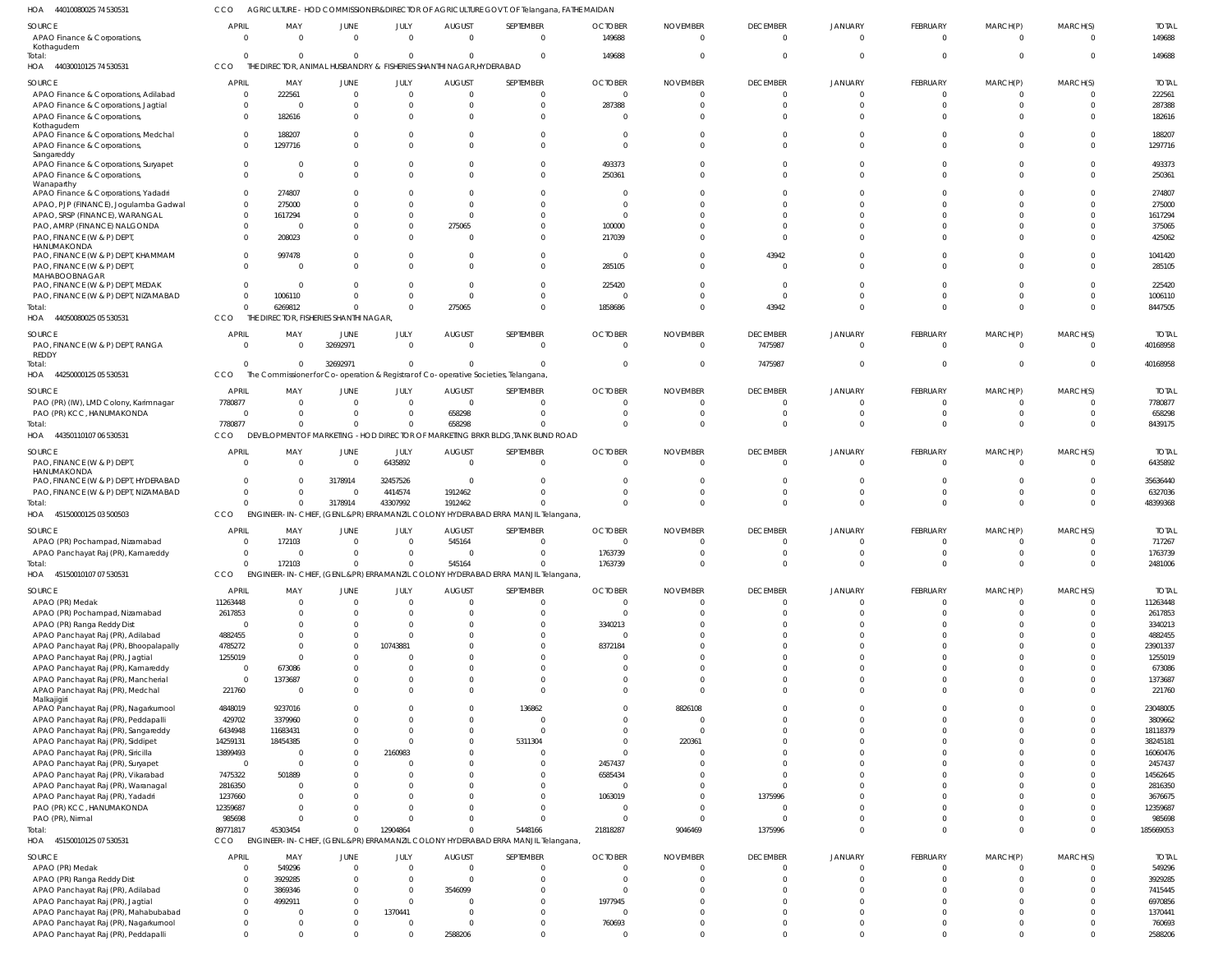44010080025 74 530531 HOA CCO AGRICULTURE - HOD COMMISSIONER&DIRECTOR OF AGRICULTURE GOVT. OF Telangana, FATHE MAIDAN

| <b>SOURCE</b><br>APAO Finance & Corporations,<br>Kothagudem             | <b>APRIL</b><br>$\overline{0}$ | MAY<br>$\overline{0}$                           | JUNE<br>$\overline{0}$           | JULY<br>$\Omega$        | <b>AUGUST</b><br>$\overline{0}$                   | SEPTEMBER<br>$\overline{0}$                                                                 | <b>OCTOBER</b><br>149688       | <b>NOVEMBER</b><br>$\overline{0}$ | <b>DECEMBER</b><br>$\overline{0}$ | <b>JANUARY</b><br>$\overline{0}$ | FEBRUARY<br>$\mathbf{0}$ | MARCH(P)<br>$\mathbf{0}$ | MARCH(S)<br>$\overline{0}$ | <b>TOTAL</b><br>149688   |
|-------------------------------------------------------------------------|--------------------------------|-------------------------------------------------|----------------------------------|-------------------------|---------------------------------------------------|---------------------------------------------------------------------------------------------|--------------------------------|-----------------------------------|-----------------------------------|----------------------------------|--------------------------|--------------------------|----------------------------|--------------------------|
| Total:<br>44030010125 74 530531<br>HOA                                  | $\Omega$<br>CCO                | $\mathbf 0$<br>THE DIRECTOR, ANIMAL HUSBANDRY & | $\overline{0}$                   | $\Omega$                | $\mathbf 0$<br>FISHERIES SHANTHI NAGAR, HYDERABAD | $\Omega$                                                                                    | 149688                         | $\Omega$                          | $\overline{0}$                    | $\Omega$                         | $\Omega$                 | $\mathbf 0$              | $\Omega$                   | 149688                   |
| <b>SOURCE</b>                                                           | <b>APRIL</b>                   | MAY                                             | <b>JUNE</b>                      | JULY                    | <b>AUGUST</b>                                     | SEPTEMBER                                                                                   | <b>OCTOBER</b>                 | <b>NOVEMBER</b>                   | <b>DECEMBER</b>                   | <b>JANUARY</b>                   | <b>FEBRUARY</b>          | MARCH(P)                 | MARCH(S)                   | <b>TOTAL</b>             |
| APAO Finance & Corporations, Adilabad                                   | $\overline{0}$                 | 222561                                          | $\overline{0}$                   | $\Omega$                | $\overline{0}$                                    | $\Omega$                                                                                    | $\Omega$                       |                                   | $\mathbf{0}$                      | $\Omega$                         | $\Omega$                 |                          |                            | 222561                   |
| APAO Finance & Corporations, Jagtial                                    | $\overline{0}$                 | 0                                               | $\mathbf 0$                      | $\Omega$                | $\overline{0}$                                    | $\Omega$                                                                                    | 287388                         |                                   | $\Omega$                          | $\Omega$                         | - 0                      |                          |                            | 287388                   |
| APAO Finance & Corporations,<br>Kothagudem                              | $\Omega$                       | 182616                                          | $\Omega$                         | $\Omega$                | $\Omega$                                          | $\Omega$                                                                                    |                                |                                   | $\Omega$                          | $\Omega$                         | $\cap$                   |                          |                            | 182616                   |
| APAO Finance & Corporations, Medchal                                    | $\Omega$                       | 188207                                          | $^{\circ}$                       | $\Omega$                | $\Omega$                                          | $\Omega$                                                                                    | 0                              |                                   | $\Omega$                          | $\Omega$                         |                          |                          |                            | 188207                   |
| APAO Finance & Corporations,                                            | $\Omega$                       | 1297716                                         | $\Omega$                         | $\Omega$                | $\Omega$                                          | $\Omega$                                                                                    | $\Omega$                       |                                   | $\Omega$                          | $\Omega$                         |                          | $\Omega$                 | $\Omega$                   | 1297716                  |
| Sangareddy<br>APAO Finance & Corporations, Suryapet                     |                                | $\Omega$<br>0                                   | $^{\circ}$                       | $\Omega$                | $\Omega$                                          | $\Omega$                                                                                    | 493373                         |                                   | $\Omega$                          | $\Omega$                         |                          |                          |                            | 493373                   |
| APAO Finance & Corporations,                                            | $\Omega$                       | $\Omega$                                        | $\Omega$                         | $\Omega$                | $\Omega$                                          | $\Omega$                                                                                    | 250361                         |                                   | $\Omega$                          | $\Omega$                         |                          |                          | $\Omega$                   | 250361                   |
| Wanaparthy                                                              |                                |                                                 |                                  |                         |                                                   |                                                                                             |                                |                                   |                                   |                                  |                          |                          |                            |                          |
| APAO Finance & Corporations, Yadadr                                     |                                | 274807                                          | $\Omega$                         | $\cap$                  | $\Omega$<br>$\Omega$                              | $\cap$                                                                                      | $\Omega$                       |                                   | $\Omega$<br>$\cap$                |                                  |                          |                          |                            | 274807                   |
| APAO, PJP (FINANCE), Jogulamba Gadwal<br>APAO, SRSP (FINANCE), WARANGAL | $\Omega$<br>$\overline{0}$     | 275000<br>1617294                               | $\Omega$<br>$\mathbf{0}$         | $\Omega$                | $\Omega$                                          |                                                                                             | $\Omega$                       |                                   | $\Omega$                          |                                  |                          |                          |                            | 275000<br>1617294        |
| PAO, AMRP (FINANCE) NALGONDA                                            | $\Omega$                       | $\Omega$                                        | $\Omega$                         | $\Omega$                | 275065                                            |                                                                                             | 100000                         |                                   | $\Omega$                          | $\cap$                           |                          |                          |                            | 375065                   |
| PAO, FINANCE (W & P) DEPT                                               | $\Omega$                       | 208023                                          | $\Omega$                         | $\Omega$                | $\Omega$                                          | $\Omega$                                                                                    | 217039                         |                                   | $\Omega$                          | $\cap$                           |                          |                          |                            | 425062                   |
| HANUMAKONDA                                                             |                                |                                                 |                                  |                         |                                                   |                                                                                             |                                |                                   |                                   |                                  |                          |                          |                            |                          |
| PAO, FINANCE (W & P) DEPT, KHAMMAM                                      | $\Omega$                       | 997478                                          | $\Omega$                         | $\Omega$<br>$\cap$      | $\Omega$<br>$\Omega$                              | $\Omega$<br>$\Omega$                                                                        |                                |                                   | 43942                             | $\Omega$<br>$\Omega$             | $\cap$                   | $\Omega$                 | $\Omega$                   | 1041420                  |
| PAO, FINANCE (W & P) DEPT<br>MAHABOOBNAGAR                              |                                | $\Omega$<br>$\Omega$                            | $\Omega$                         |                         |                                                   |                                                                                             | 285105                         |                                   | $\Omega$                          |                                  |                          |                          |                            | 285105                   |
| PAO, FINANCE (W & P) DEPT, MEDAK                                        | $\Omega$                       | $\Omega$                                        | $\Omega$                         | $\Omega$                | $\Omega$                                          | $\Omega$                                                                                    | 225420                         |                                   | - 0                               | $\Omega$                         |                          |                          | $\Omega$                   | 225420                   |
| PAO, FINANCE (W & P) DEPT, NIZAMABAD                                    |                                | 1006110<br>$\Omega$                             | $\Omega$                         | $\Omega$                | $\Omega$                                          | $\Omega$                                                                                    | 0                              |                                   | 0                                 | $\Omega$                         | $\Omega$                 | $\Omega$                 |                            | 1006110                  |
| Total:                                                                  |                                | 6269812                                         | $\mathbf 0$                      | $\Omega$                | 275065                                            | $\Omega$                                                                                    | 1858686                        |                                   | 43942                             | $\Omega$                         | $\Omega$                 | $\Omega$                 | $\Omega$                   | 8447505                  |
| 44050080025 05 530531<br>HOA                                            | CCO                            | THE DIRECTOR, FISHERIES SHANTHI NAGAR,          |                                  |                         |                                                   |                                                                                             |                                |                                   |                                   |                                  |                          |                          |                            |                          |
| <b>SOURCE</b>                                                           | <b>APRIL</b>                   | MAY                                             | <b>JUNE</b>                      | JULY                    | <b>AUGUST</b>                                     | SEPTEMBER                                                                                   | <b>OCTOBER</b>                 | <b>NOVEMBER</b>                   | <b>DECEMBER</b>                   | <b>JANUARY</b>                   | <b>FEBRUARY</b>          | MARCH(P)                 | MARCH(S)                   | <b>TOTAL</b>             |
| PAO, FINANCE (W & P) DEPT, RANGA                                        | $\overline{0}$                 | $\overline{0}$                                  | 32692971                         | $\Omega$                | $\overline{0}$                                    | $\Omega$                                                                                    | $\mathbf{0}$                   | $\mathbf 0$                       | 7475987                           | $\overline{0}$                   | $\Omega$                 | $\mathbf 0$              | $\Omega$                   | 40168958                 |
| REDDY<br>Total:                                                         |                                | $\Omega$<br>$\overline{0}$                      | 32692971                         | $\Omega$                | $\overline{0}$                                    | $\Omega$                                                                                    | $\mathbf{0}$                   | 0                                 | 7475987                           | $\overline{0}$                   | $\Omega$                 | $\mathbf 0$              | $\Omega$                   | 40168958                 |
| 44250000125 05 530531<br>HOA                                            | CCO                            |                                                 |                                  |                         |                                                   | The Commissioner for Co-operation & Registrar of Co-operative Societies, Telangana,         |                                |                                   |                                   |                                  |                          |                          |                            |                          |
|                                                                         |                                |                                                 |                                  |                         |                                                   |                                                                                             |                                |                                   |                                   |                                  |                          |                          |                            |                          |
| SOURCE                                                                  | APRIL                          | MAY<br>$\Omega$                                 | <b>JUNE</b>                      | JULY<br>$\Omega$        | <b>AUGUST</b><br>$\overline{0}$                   | SEPTEMBER<br>$\Omega$                                                                       | <b>OCTOBER</b><br>0            | <b>NOVEMBER</b>                   | <b>DECEMBER</b>                   | <b>JANUARY</b><br>$\Omega$       | FEBRUARY<br>$\Omega$     | MARCH(P)                 | MARCH(S)<br>$\Omega$       | <b>TOTAL</b>             |
| PAO (PR) (IW), LMD Colony, Karimnagar<br>PAO (PR) KCC, HANUMAKONDA      | 7780877<br>$\Omega$            | $\mathbf 0$                                     | $\overline{0}$<br>$\overline{0}$ | $\Omega$                | 658298                                            | $\Omega$                                                                                    |                                |                                   | $\mathbf{0}$<br>$\Omega$          | $\Omega$                         | $\Omega$                 | $^{\circ}$               |                            | 7780877<br>658298        |
| Total:                                                                  | 7780877                        | $\Omega$                                        | $\overline{0}$                   | $\Omega$                | 658298                                            |                                                                                             | $\Omega$                       |                                   | $\Omega$                          | $\Omega$                         | $\Omega$                 | $\Omega$                 | $\Omega$                   | 8439175                  |
| 44350110107 06 530531<br>HOA                                            | CCO                            |                                                 |                                  |                         |                                                   | DEVELOPMENT OF MARKETING - HOD DIRECTOR OF MARKETING BRKR BLDG, TANK BUND ROAD              |                                |                                   |                                   |                                  |                          |                          |                            |                          |
| <b>SOURCE</b>                                                           | <b>APRIL</b>                   | MAY                                             | JUNE                             |                         | <b>AUGUST</b>                                     | SEPTEMBER                                                                                   | <b>OCTOBER</b>                 | <b>NOVEMBER</b>                   | <b>DECEMBER</b>                   | <b>JANUARY</b>                   | <b>FEBRUARY</b>          | MARCH(P)                 | MARCH(S)                   | <b>TOTAL</b>             |
| PAO, FINANCE (W & P) DEPT,                                              | $\overline{0}$                 | $\mathbf 0$                                     | $\overline{0}$                   | JULY<br>6435892         | $\overline{0}$                                    | $\Omega$                                                                                    | $\mathbf{0}$                   | $\Omega$                          | $\overline{0}$                    | $\overline{0}$                   | $\Omega$                 | $\mathbf 0$              | $\Omega$                   | 6435892                  |
| HANUMAKONDA                                                             |                                |                                                 |                                  |                         |                                                   |                                                                                             |                                |                                   |                                   |                                  |                          |                          |                            |                          |
| PAO, FINANCE (W & P) DEPT, HYDERABAD                                    | $^{\circ}$                     | 0                                               | 3178914                          | 32457526                | $\overline{0}$                                    | $\Omega$                                                                                    | 0                              |                                   | $\Omega$                          | $\Omega$                         | $\Omega$                 |                          | $\Omega$                   | 35636440                 |
| PAO, FINANCE (W & P) DEPT, NIZAMABAD                                    |                                | $\Omega$<br>$\mathbf 0$                         | $\overline{0}$                   | 4414574                 | 1912462                                           | $\Omega$                                                                                    | $\Omega$                       |                                   | $\Omega$                          | $\Omega$                         | $\Omega$                 | $\Omega$                 | $\Omega$                   | 6327036                  |
| Total:<br>45150000125 03 500503<br>HOA                                  | CCO                            | $\Omega$<br>$\Omega$                            | 3178914                          | 43307992                | 1912462                                           | ENGINEER-IN-CHIEF, (GENL.&PR) ERRAMANZIL COLONY HYDERABAD ERRA MANJIL Telangana,            | $\Omega$                       |                                   | $\Omega$                          | $\Omega$                         | $\Omega$                 | $\Omega$                 | $\Omega$                   | 48399368                 |
|                                                                         |                                |                                                 |                                  |                         |                                                   |                                                                                             |                                |                                   |                                   |                                  |                          |                          |                            |                          |
| SOURCE                                                                  | <b>APRIL</b>                   | MAY                                             | <b>JUNE</b>                      | JULY                    | <b>AUGUST</b>                                     | SEPTEMBER                                                                                   | <b>OCTOBER</b>                 | <b>NOVEMBER</b>                   | <b>DECEMBER</b>                   | <b>JANUARY</b>                   | FEBRUARY                 | MARCH(P)                 | MARCH(S)                   | <b>TOTAL</b>             |
| APAO (PR) Pochampad, Nizamabad                                          | $\Omega$                       | 172103                                          | $\overline{0}$                   | $\Omega$                | 545164                                            | $\Omega$                                                                                    | $\Omega$                       |                                   | $\Omega$                          | $\Omega$<br>$\Omega$             | $\Omega$                 |                          |                            | 717267                   |
| APAO Panchayat Raj (PR), Kamareddy<br>Total:                            | $\Omega$<br>$\overline{0}$     | $\Omega$<br>172103                              | $\mathbf 0$<br>$\Omega$          | $\Omega$<br>$\mathbf 0$ | $\Omega$<br>545164                                | $\Omega$<br>$\overline{0}$                                                                  | 1763739<br>1763739             |                                   | $\Omega$                          |                                  |                          |                          |                            | 1763739<br>2481006       |
| 45150010107 07 530531<br>HOA                                            | CCO                            |                                                 |                                  |                         |                                                   | ENGINEER-IN-CHIEF, (GENL.&PR) ERRAMANZIL COLONY HYDERABAD ERRA MANJIL Telangana,            |                                |                                   |                                   |                                  |                          |                          |                            |                          |
|                                                                         |                                |                                                 |                                  |                         |                                                   |                                                                                             |                                |                                   |                                   |                                  |                          |                          |                            |                          |
| SOURCE<br>APAO (PR) Medak                                               | APRIL<br>11263448              | MAY<br>$\mathbf 0$                              | <b>JUNE</b><br>$\mathbf{0}$      | JULY<br>$\Omega$        | <b>AUGUST</b><br>$\overline{0}$                   | SEPTEMBER<br>$\overline{0}$                                                                 | <b>OCTOBER</b><br>$\mathbf{0}$ | <b>NOVEMBER</b><br>$\Omega$       | <b>DECEMBER</b><br>$\overline{0}$ | <b>JANUARY</b><br>$\overline{0}$ | FEBRUARY<br>$\Omega$     | MARCH(P)<br>$\mathbf 0$  | MARCH(S)<br>$\overline{0}$ | <b>TOTAL</b><br>11263448 |
| APAO (PR) Pochampad, Nizamabad                                          | 2617853                        | $\mathbf 0$                                     | $\mathbf{0}$                     | $\Omega$                | $\Omega$                                          | $\Omega$                                                                                    | $\Omega$                       |                                   | $\Omega$                          | $\Omega$                         | $\Omega$                 | $\mathbf 0$              | $\Omega$                   | 2617853                  |
| APAO (PR) Ranga Reddy Dist                                              | $\overline{\mathbf{0}}$        | $\mathbf 0$                                     | $\Omega$                         | $\Omega$                | $\Omega$                                          | $\Omega$                                                                                    | 3340213                        |                                   | $\Omega$                          | $\Omega$                         | $\Omega$                 | $\Omega$                 | $\Omega$                   | 3340213                  |
| APAO Panchayat Raj (PR), Adilabad                                       | 4882455                        | $\mathbf 0$                                     | $\overline{0}$                   | $\Omega$                | $\Omega$                                          | $\Omega$                                                                                    | $\mathbf{0}$                   |                                   | $\Omega$                          | $\Omega$                         | $\Omega$                 | $\Omega$                 | $\Omega$                   | 4882455                  |
| APAO Panchayat Raj (PR), Bhoopalapally                                  | 4785272                        | $\Omega$                                        | $\mathbf 0$                      | 10743881                | $\Omega$                                          | $\Omega$                                                                                    | 8372184                        |                                   | $\Omega$                          | $\Omega$                         | $\Omega$                 | $\Omega$                 | $\Omega$                   | 23901337                 |
| APAO Panchayat Raj (PR), Jagtial                                        | 1255019                        | $\Omega$                                        | $\mathbf 0$                      | $\Omega$                | $\Omega$                                          | $\Omega$                                                                                    | 0                              |                                   | $\Omega$                          | $\Omega$                         | $\Omega$                 | $\Omega$                 | $\Omega$                   | 1255019                  |
| APAO Panchayat Raj (PR), Kamareddy                                      | $\overline{\phantom{0}}$       | 673086                                          | $\Omega$                         | $\Omega$                | $\Omega$                                          | $\Omega$                                                                                    | $\mathbf{0}$                   |                                   | $\Omega$                          | $\Omega$                         | $\Omega$                 | $\Omega$                 | $\Omega$                   | 673086                   |
| APAO Panchayat Raj (PR), Mancherial                                     | $\overline{\mathbf{0}}$        | 1373687<br>0                                    | $\mathbf{0}$<br>$\mathbf{0}$     | $\Omega$<br>$\Omega$    | $\Omega$<br>$\Omega$                              | $\Omega$<br>$\Omega$                                                                        | $\Omega$<br>$\mathbf{0}$       | $\Omega$<br>$\Omega$              | $\Omega$<br>$\Omega$              | $\Omega$<br>$\overline{0}$       | $\Omega$<br>$\Omega$     | $\Omega$<br>$\Omega$     | $\Omega$<br>$\Omega$       | 1373687<br>221760        |
| APAO Panchayat Raj (PR), Medchal<br>Malkajigiri                         | 221760                         |                                                 |                                  |                         |                                                   |                                                                                             |                                |                                   |                                   |                                  |                          |                          |                            |                          |
| APAO Panchayat Raj (PR), Nagarkurnool                                   | 4848019                        | 9237016                                         | $\mathbf 0$                      | $\Omega$                | $\Omega$                                          | 136862                                                                                      | $\mathbf{0}$                   | 8826108                           | $\Omega$                          | $\overline{0}$                   | $\Omega$                 | $\Omega$                 | $\Omega$                   | 23048005                 |
| APAO Panchayat Raj (PR), Peddapalli                                     | 429702                         | 3379960                                         | $\Omega$                         | $\Omega$                | $\Omega$                                          | $\Omega$                                                                                    | $\mathbf{0}$                   |                                   | $\Omega$                          | $\Omega$                         | $\Omega$                 | $\Omega$                 | $\Omega$                   | 3809662                  |
| APAO Panchayat Raj (PR), Sangareddy                                     | 6434948                        | 11683431                                        | $\mathbf{0}$                     | $\Omega$                | $\Omega$                                          | $\Omega$                                                                                    | $\Omega$                       |                                   | $\Omega$                          | $\Omega$                         | $\Omega$                 | $\Omega$                 | $\Omega$                   | 18118379                 |
| APAO Panchayat Raj (PR), Siddipet<br>APAO Panchayat Raj (PR), Siricilla | 14259131<br>13899493           | 18454385<br>0                                   | $\mathbf 0$<br>$\overline{0}$    | $\Omega$<br>2160983     | $\Omega$<br>$\Omega$                              | 5311304<br>$\Omega$                                                                         | $\Omega$<br>$\Omega$           | 220361                            | $\Omega$<br>$\Omega$              | $\Omega$<br>$\Omega$             | $\Omega$<br>$\Omega$     | $\Omega$<br>$\Omega$     | $\Omega$<br>$\Omega$       | 38245181<br>16060476     |
| APAO Panchayat Raj (PR), Suryapet                                       | $\overline{\mathbf{0}}$        | $\mathbf 0$                                     | $\mathbf{0}$                     | $\Omega$                | $\Omega$                                          | $\Omega$                                                                                    | 2457437                        |                                   | $\Omega$                          | $\Omega$                         | $\Omega$                 | $\Omega$                 | $\Omega$                   | 2457437                  |
| APAO Panchayat Raj (PR), Vikarabad                                      | 7475322                        | 501889                                          | $\mathbf 0$                      | $\Omega$                | $\Omega$                                          | $\Omega$                                                                                    | 6585434                        |                                   | $\Omega$                          | $\Omega$                         | $\Omega$                 | $\Omega$                 | $\Omega$                   | 14562645                 |
| APAO Panchayat Raj (PR), Waranagal                                      | 2816350                        | $\mathbf 0$                                     | $\Omega$                         | $\Omega$                | $\Omega$                                          | $\Omega$                                                                                    | $\overline{0}$                 |                                   | $\Omega$                          | $\Omega$                         | $\Omega$                 | $\Omega$                 | $\Omega$                   | 2816350                  |
| APAO Panchayat Raj (PR), Yadadri                                        | 1237660                        | $\Omega$                                        | $\Omega$                         | $\Omega$                | $\Omega$                                          | $\Omega$                                                                                    | 1063019                        | $\Omega$                          | 1375996                           | $\Omega$                         | $\Omega$                 | $\Omega$                 | $\Omega$                   | 3676675                  |
| PAO (PR) KCC, HANUMAKONDA                                               | 12359687                       | $\Omega$                                        | $\Omega$                         | $\Omega$                | $\Omega$                                          | $\Omega$                                                                                    | $\mathbf{0}$                   | <sup>0</sup>                      | $\overline{0}$                    | $\Omega$                         | $\Omega$                 | $\Omega$                 | $\Omega$                   | 12359687                 |
| PAO (PR), Nirmal                                                        | 985698                         | $\Omega$                                        | $\overline{0}$                   | $\Omega$                | $\Omega$                                          | $\Omega$                                                                                    | $\Omega$                       | $\Omega$                          | $\Omega$                          | $\Omega$                         | $\Omega$                 | $\Omega$                 | $\Omega$                   | 985698                   |
| Total:<br>HOA 45150010125 07 530531                                     | 89771817<br>CCO                | 45303454                                        | $\overline{0}$                   | 12904864                | $\Omega$                                          | 5448166<br>ENGINEER-IN-CHIEF, (GENL.&PR) ERRAMANZIL COLONY HYDERABAD ERRA MANJIL Telangana, | 21818287                       | 9046469                           | 1375996                           | $\overline{0}$                   | $\Omega$                 | $\mathbf 0$              | $\Omega$                   | 185669053                |
|                                                                         |                                |                                                 |                                  |                         |                                                   |                                                                                             |                                |                                   |                                   |                                  |                          |                          |                            |                          |
| <b>SOURCE</b>                                                           | <b>APRIL</b>                   | MAY                                             | JUNE                             | JULY                    | <b>AUGUST</b>                                     | SEPTEMBER                                                                                   | <b>OCTOBER</b>                 | <b>NOVEMBER</b>                   | <b>DECEMBER</b>                   | <b>JANUARY</b>                   | FEBRUARY                 | MARCH(P)                 | MARCH(S)                   | <b>TOTAL</b>             |
| APAO (PR) Medak                                                         | $\overline{0}$                 | 549296                                          | $\overline{0}$                   | $\Omega$                | $\overline{0}$                                    | $\Omega$                                                                                    | $\Omega$                       | $\Omega$                          | $\overline{0}$                    | $\overline{0}$                   | $\Omega$                 | $\Omega$                 | $\Omega$                   | 549296                   |
| APAO (PR) Ranga Reddy Dist<br>APAO Panchayat Raj (PR), Adilabad         | $\overline{0}$<br>$\mathbf 0$  | 3929285<br>3869346                              | $\Omega$<br>$\Omega$             | $\Omega$<br>$\Omega$    | $\Omega$<br>3546099                               | $\Omega$<br>$\Omega$                                                                        | $\Omega$<br>$\Omega$           |                                   | $\Omega$<br>$\Omega$              | $\Omega$<br>$\Omega$             | $\Omega$<br>$\Omega$     | $\Omega$<br>$\Omega$     | $\Omega$                   | 3929285<br>7415445       |
| APAO Panchayat Raj (PR), Jagtial                                        | $\mathbf 0$                    | 4992911                                         | $\Omega$                         | $\Omega$                | $\Omega$                                          | $\Omega$                                                                                    | 1977945                        |                                   | $\Omega$                          | $\Omega$                         |                          |                          |                            | 6970856                  |
| APAO Panchayat Raj (PR), Mahabubabad                                    | $\mathbf 0$                    | $\Omega$                                        | $\mathbf 0$                      | 1370441                 | $\Omega$                                          | $\Omega$                                                                                    | $\overline{0}$                 |                                   | $\Omega$                          | $\Omega$                         | $\Omega$                 | $\Omega$                 |                            | 1370441                  |
| APAO Panchayat Raj (PR), Nagarkurnool                                   | $\mathbf 0$                    | $\Omega$                                        | $\mathbf 0$                      | $\Omega$                | $\Omega$                                          | $\Omega$                                                                                    | 760693                         |                                   | $\Omega$                          | $\overline{0}$                   | $\Omega$                 | $\Omega$                 |                            | 760693                   |
| APAO Panchayat Raj (PR), Peddapalli                                     |                                | $\mathbf 0$<br>$\Omega$                         | $\mathbf 0$                      | $\Omega$                | 2588206                                           | $\Omega$                                                                                    | $\mathbf{0}$                   | $\Omega$                          | $\Omega$                          | $\overline{0}$                   | $\Omega$                 | $\Omega$                 | $\Omega$                   | 2588206                  |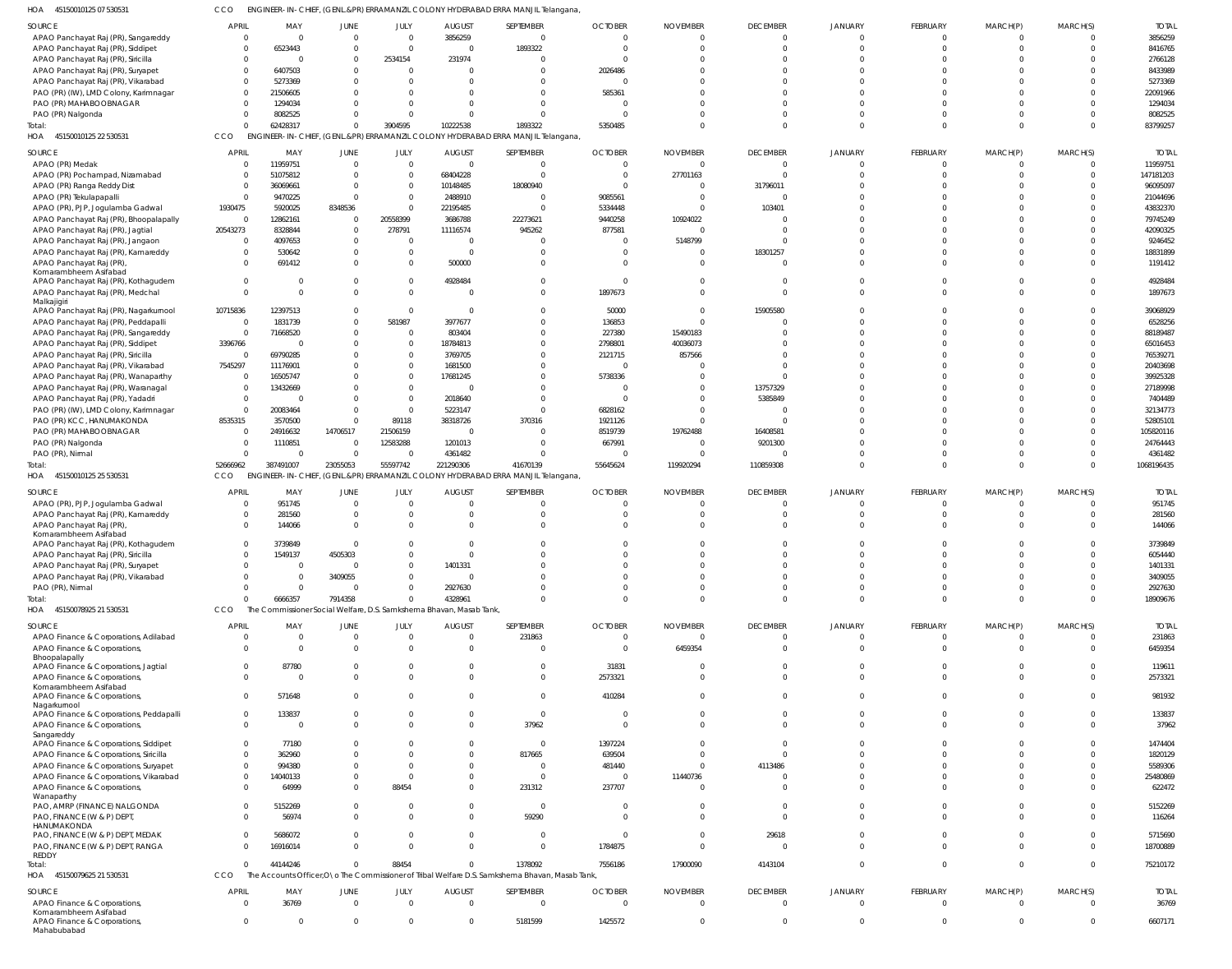45150010125 07 530531 HOA CCO ENGINEER-IN-CHIEF, (GENL.&PR) ERRAMANZIL COLONY HYDERABAD ERRA MANJIL Telangana,

| SOURCE                                      | APRIL        | MAY            | <b>JUNE</b>    | JULY           | <b>AUGUST</b>                                                                   | SEPTEMBER                                                                                        | <b>OCTOBER</b> | <b>NOVEMBER</b> | <b>DECEMBER</b> | <b>JANUARY</b> | FEBRUARY       | MARCH(P)       | MARCH(S)       | <b>TOTAI</b> |
|---------------------------------------------|--------------|----------------|----------------|----------------|---------------------------------------------------------------------------------|--------------------------------------------------------------------------------------------------|----------------|-----------------|-----------------|----------------|----------------|----------------|----------------|--------------|
|                                             |              |                |                |                |                                                                                 |                                                                                                  |                |                 |                 |                |                |                |                |              |
| APAO Panchayat Raj (PR), Sangareddy         | $\Omega$     |                | $\mathbf 0$    | $\overline{0}$ | 3856259                                                                         | $\Omega$                                                                                         | $\Omega$       |                 | $\mathbf 0$     | $\Omega$       | $\mathbf 0$    | $\Omega$       | $\Omega$       | 3856259      |
| APAO Panchayat Raj (PR), Siddipet           |              | 6523443        | $\Omega$       | $\mathbf{0}$   |                                                                                 | 1893322                                                                                          | $\Omega$       |                 | $\Omega$        |                | $\mathbf 0$    | $\Omega$       | $\Omega$       | 8416765      |
| APAO Panchayat Raj (PR), Siricilla          |              |                | $\mathbf{0}$   | 2534154        | 231974                                                                          |                                                                                                  |                |                 | $\Omega$        |                | $\Omega$       |                |                | 2766128      |
|                                             |              |                |                |                |                                                                                 |                                                                                                  |                |                 |                 |                |                |                |                |              |
| APAO Panchayat Raj (PR), Suryapet           |              | 6407503        | $\Omega$       | $\overline{0}$ |                                                                                 | $\Omega$                                                                                         | 2026486        |                 | $\Omega$        |                | $\Omega$       |                |                | 8433989      |
| APAO Panchayat Raj (PR), Vikarabad          |              | 5273369        | $\Omega$       | $\Omega$       |                                                                                 |                                                                                                  |                |                 | $\Omega$        |                | $\Omega$       |                |                | 5273369      |
| PAO (PR) (IW), LMD Colony, Karimnagar       |              | 21506605       |                | $\Omega$       |                                                                                 | $\Omega$                                                                                         | 585361         |                 | $\Omega$        |                | $\Omega$       | $\Omega$       |                | 22091966     |
| PAO (PR) MAHABOOBNAGAR                      |              | 1294034        | $\Omega$       | $\Omega$       |                                                                                 | $\Omega$                                                                                         |                |                 | $\Omega$        |                | $\Omega$       |                |                | 1294034      |
|                                             |              |                |                |                |                                                                                 |                                                                                                  |                |                 |                 |                |                |                |                |              |
| PAO (PR) Nalgonda                           |              | 8082525        | $\Omega$       | $\Omega$       |                                                                                 | $\Omega$                                                                                         |                |                 | $\Omega$        |                | $\Omega$       | $\Omega$       |                | 8082525      |
| Total:                                      |              | 62428317       | $\mathbf 0$    | 3904595        | 10222538                                                                        | 1893322                                                                                          | 5350485        |                 | $\Omega$        | $\Omega$       | $\Omega$       | $\Omega$       | $\Omega$       | 83799257     |
| 45150010125 22 530531<br>HOA                | CCO          |                |                |                |                                                                                 | ENGINEER-IN-CHIEF, (GENL.&PR) ERRAMANZIL COLONY HYDERABAD ERRA MANJIL Telangana                  |                |                 |                 |                |                |                |                |              |
|                                             |              |                |                |                |                                                                                 |                                                                                                  |                |                 |                 |                |                |                |                |              |
| SOURCE                                      | <b>APRIL</b> | MAY            | JUNE           | JULY           | <b>AUGUST</b>                                                                   | SEPTEMBER                                                                                        | <b>OCTOBER</b> | <b>NOVEMBER</b> | <b>DECEMBER</b> | JANUARY        | FEBRUARY       | MARCH(P)       | MARCH(S)       | <b>TOTAL</b> |
| APAO (PR) Medak                             |              | 11959751       | $\mathbf 0$    | $\mathbf{0}$   | $\Omega$                                                                        | $\overline{0}$                                                                                   | $\Omega$       |                 | $\overline{0}$  | $\Omega$       | $\mathbf 0$    | $\mathbf{0}$   | $\overline{0}$ | 11959751     |
|                                             | $\Omega$     |                | $\Omega$       | $\mathbf{0}$   | 68404228                                                                        | $\Omega$                                                                                         | $\Omega$       |                 | $\Omega$        |                | $\mathbf 0$    | $\Omega$       | $\Omega$       | 147181203    |
| APAO (PR) Pochampad, Nizamabad              |              | 51075812       |                |                |                                                                                 |                                                                                                  |                | 27701163        |                 |                |                |                |                |              |
| APAO (PR) Ranga Reddy Dist                  | - 0          | 36069661       | $\Omega$       | $\mathbf{0}$   | 10148485                                                                        | 18080940                                                                                         | $\Omega$       |                 | 31796011        |                | $\Omega$       | $\Omega$       | $\Omega$       | 96095097     |
| APAO (PR) Tekulapapalli                     | $\Omega$     | 9470225        | $\Omega$       | $\mathbf{0}$   | 2488910                                                                         | $\Omega$                                                                                         | 9085561        |                 | $\overline{0}$  |                | $\Omega$       | $\Omega$       | $\Omega$       | 21044696     |
| APAO (PR), PJP, Jogulamba Gadwal            | 1930475      | 5920025        | 8348536        | $\mathbf 0$    | 22195485                                                                        | $\Omega$                                                                                         | 5334448        |                 | 103401          |                | $\Omega$       | $\Omega$       | $\Omega$       | 43832370     |
|                                             |              |                |                |                |                                                                                 |                                                                                                  |                |                 |                 |                |                |                |                |              |
| APAO Panchayat Raj (PR), Bhoopalapally      | $\mathbf{0}$ | 12862161       | $\mathbf{0}$   | 20558399       | 3686788                                                                         | 22273621                                                                                         | 9440258        | 10924022        | $\Omega$        |                | $\Omega$       | $\Omega$       | $\Omega$       | 79745249     |
| APAO Panchayat Raj (PR), Jagtial            | 20543273     | 8328844        | $\Omega$       | 278791         | 11116574                                                                        | 945262                                                                                           | 877581         |                 | $\Omega$        |                | $\Omega$       | $\Omega$       | $\Omega$       | 42090325     |
| APAO Panchayat Raj (PR), Jangaon            | $\Omega$     | 4097653        | $\mathbf{0}$   | $\overline{0}$ |                                                                                 | $\Omega$                                                                                         | $\Omega$       | 5148799         | $\Omega$        |                | $\Omega$       | $\Omega$       | $\Omega$       | 9246452      |
|                                             |              |                |                |                |                                                                                 |                                                                                                  |                |                 |                 |                |                |                |                |              |
| APAO Panchayat Raj (PR), Kamareddy          |              | 530642         | $\Omega$       | $\mathbf 0$    | $\Omega$                                                                        | $\Omega$                                                                                         | $\Omega$       |                 | 18301257        |                | $\Omega$       | $\Omega$       | $\Omega$       | 18831899     |
| APAO Panchayat Raj (PR),                    | $\Omega$     | 691412         | $\Omega$       | $\mathbf{0}$   | 500000                                                                          | $\Omega$                                                                                         | $\Omega$       |                 | $\Omega$        |                | $\Omega$       | $\Omega$       | $\Omega$       | 1191412      |
| Komarambheem Asifabad                       |              |                |                |                |                                                                                 |                                                                                                  |                |                 |                 |                |                |                |                |              |
| APAO Panchayat Raj (PR), Kothagudem         | $\Omega$     |                | $\Omega$       | $\mathbf 0$    | 4928484                                                                         | $\Omega$                                                                                         | $\Omega$       |                 | $\Omega$        |                | $\Omega$       | $\Omega$       | $\Omega$       | 4928484      |
|                                             | $\Omega$     | $\Omega$       | $\Omega$       |                |                                                                                 | $\Omega$                                                                                         |                |                 | $\Omega$        | $\Omega$       | $\Omega$       | $\Omega$       | $\Omega$       |              |
| APAO Panchayat Raj (PR), Medchal            |              |                |                | $\overline{0}$ |                                                                                 |                                                                                                  | 1897673        |                 |                 |                |                |                |                | 1897673      |
| Malkajigiri                                 |              |                |                |                |                                                                                 |                                                                                                  |                |                 |                 |                |                |                |                |              |
| APAO Panchayat Raj (PR), Nagarkurnool       | 10715836     | 12397513       | $\Omega$       | $\overline{0}$ |                                                                                 | $\Omega$                                                                                         | 50000          |                 | 15905580        |                | $\Omega$       | $\Omega$       | $\Omega$       | 39068929     |
| APAO Panchayat Raj (PR), Peddapalli         | - 0          | 1831739        | $\mathbf{0}$   | 581987         | 3977677                                                                         | $\Omega$                                                                                         | 136853         |                 | $\Omega$        |                | $\Omega$       | $\Omega$       | $\Omega$       | 6528256      |
| APAO Panchayat Raj (PR), Sangareddy         | - 0          | 71668520       | $\Omega$       | $\overline{0}$ | 803404                                                                          | $\Omega$                                                                                         | 227380         | 15490183        | $\Omega$        |                | $\Omega$       | $\Omega$       | $\Omega$       | 88189487     |
|                                             |              |                |                |                |                                                                                 |                                                                                                  |                |                 |                 |                |                |                |                |              |
| APAO Panchayat Raj (PR), Siddipet           | 3396766      |                | $\Omega$       | $\mathbf 0$    | 18784813                                                                        | $\Omega$                                                                                         | 2798801        | 40036073        | $\Omega$        |                | $\Omega$       | $\Omega$       | $\Omega$       | 65016453     |
| APAO Panchayat Raj (PR), Siricilla          | $\Omega$     | 69790285       |                | $\mathbf 0$    | 3769705                                                                         | $\Omega$                                                                                         | 2121715        | 857566          | $\Omega$        |                | $\Omega$       |                | $\Omega$       | 76539271     |
|                                             | 7545297      | 11176901       |                | $\mathbf 0$    | 1681500                                                                         | $\Omega$                                                                                         | $\Omega$       |                 | $\Omega$        |                | $\Omega$       | $\Omega$       | $\Omega$       | 20403698     |
| APAO Panchayat Raj (PR), Vikarabad          |              |                |                |                |                                                                                 |                                                                                                  |                |                 |                 |                |                |                |                |              |
| APAO Panchayat Raj (PR), Wanaparthy         | - 0          | 16505747       | $\Omega$       | $\mathbf 0$    | 17681245                                                                        | $\Omega$                                                                                         | 5738336        |                 | $\Omega$        |                | $\Omega$       | $\Omega$       | $\Omega$       | 39925328     |
| APAO Panchayat Raj (PR), Waranagal          | $\Omega$     | 13432669       | $\Omega$       | $\mathbf 0$    |                                                                                 | $\Omega$                                                                                         | $\Omega$       |                 | 13757329        |                | $\Omega$       | $\Omega$       | $\Omega$       | 27189998     |
| APAO Panchayat Raj (PR), Yadadri            | $\Omega$     |                | $\Omega$       | $\mathbf{0}$   | 2018640                                                                         | $\Omega$                                                                                         | $\Omega$       |                 | 5385849         |                | $\Omega$       | $\Omega$       | $\Omega$       | 7404489      |
|                                             |              |                |                |                |                                                                                 |                                                                                                  |                |                 |                 |                |                |                |                |              |
| PAO (PR) (IW), LMD Colony, Karimnagar       | $\Omega$     | 20083464       | $\Omega$       | $\mathbf{0}$   | 5223147                                                                         | $\Omega$                                                                                         | 6828162        |                 | $\Omega$        |                | $\Omega$       | $\Omega$       | $\Omega$       | 32134773     |
| PAO (PR) KCC, HANUMAKONDA                   | 8535315      | 3570500        | $\Omega$       | 89118          | 38318726                                                                        | 370316                                                                                           | 1921126        |                 | $\Omega$        |                | $\Omega$       | $\Omega$       | $\Omega$       | 52805101     |
| PAO (PR) MAHABOOBNAGAR                      | $\Omega$     | 24916632       | 14706517       | 21506159       |                                                                                 | $\Omega$                                                                                         | 8519739        | 19762488        | 16408581        |                | $\Omega$       | $\Omega$       | $\Omega$       | 105820116    |
|                                             |              |                |                |                |                                                                                 |                                                                                                  |                |                 |                 |                |                |                |                |              |
| PAO (PR) Nalgonda                           |              | 1110851        | $\overline{0}$ | 12583288       | 1201013                                                                         | $\Omega$                                                                                         | 667991         |                 | 9201300         |                | $\Omega$       | $\Omega$       | $\Omega$       | 24764443     |
| PAO (PR), Nirmal                            | $\Omega$     | $\Omega$       | $\mathbf 0$    | 0              | 4361482                                                                         | $\Omega$                                                                                         |                |                 | $\Omega$        |                | $\mathbf 0$    | $\mathbf{0}$   | $\Omega$       | 4361482      |
| Total:                                      | 52666962     | 387491007      | 23055053       | 55597742       | 221290306                                                                       | 41670139                                                                                         | 55645624       | 119920294       | 110859308       | $\Omega$       | $\Omega$       | $\Omega$       | $\Omega$       | 1068196435   |
|                                             |              |                |                |                |                                                                                 |                                                                                                  |                |                 |                 |                |                |                |                |              |
|                                             |              |                |                |                |                                                                                 |                                                                                                  |                |                 |                 |                |                |                |                |              |
| HOA 45150010125 25 530531                   | CCO          |                |                |                | ENGINEER-IN-CHIEF, (GENL.&PR) ERRAMANZIL COLONY HYDERABAD ERRA MANJIL Telangana |                                                                                                  |                |                 |                 |                |                |                |                |              |
|                                             |              |                |                |                |                                                                                 |                                                                                                  |                |                 |                 |                |                |                |                |              |
| SOURCE                                      | <b>APRIL</b> | MAY            | <b>JUNE</b>    | JULY           | <b>AUGUST</b>                                                                   | SEPTEMBER                                                                                        | <b>OCTOBER</b> | <b>NOVEMBER</b> | <b>DECEMBER</b> | JANUARY        | FEBRUARY       | MARCH(P)       | MARCH(S)       | <b>TOTAL</b> |
|                                             | $\Omega$     | 951745         | $\mathbf 0$    | $\overline{0}$ | $\Omega$                                                                        | $\Omega$                                                                                         | $\Omega$       |                 | $\overline{0}$  | $\Omega$       | $\mathbf 0$    | $\mathbf{0}$   | $\Omega$       | 951745       |
| APAO (PR), PJP, Jogulamba Gadwal            |              |                |                |                |                                                                                 |                                                                                                  |                |                 |                 |                |                |                |                |              |
| APAO Panchayat Raj (PR), Kamareddy          |              | 281560         | $\Omega$       | $\mathbf{0}$   |                                                                                 | $\Omega$                                                                                         |                |                 | $\Omega$        |                | $\mathbf 0$    | $\Omega$       | $\Omega$       | 281560       |
| APAO Panchayat Raj (PR)                     |              | 144066         | $\Omega$       | $\Omega$       |                                                                                 | $\Omega$                                                                                         |                |                 | $\Omega$        |                | $\Omega$       | $\Omega$       | $\Omega$       | 144066       |
| Komarambheem Asifabad                       |              |                |                |                |                                                                                 |                                                                                                  |                |                 |                 |                |                |                |                |              |
| APAO Panchayat Raj (PR), Kothagudem         |              | 3739849        | $\Omega$       | $\Omega$       |                                                                                 | $\Omega$                                                                                         |                |                 | $\Omega$        |                | $\mathbf 0$    | $\Omega$       | $\Omega$       | 3739849      |
|                                             |              |                |                | $\Omega$       |                                                                                 | $\Omega$                                                                                         | $\Omega$       |                 | $\Omega$        | $\Omega$       | $\Omega$       | $\Omega$       | $\Omega$       |              |
| APAO Panchayat Raj (PR), Siricilla          |              | 1549137        | 4505303        |                |                                                                                 |                                                                                                  |                |                 |                 |                |                |                |                | 6054440      |
| APAO Panchayat Raj (PR), Suryapet           |              |                | 0              | $\Omega$       | 1401331                                                                         |                                                                                                  |                |                 |                 |                | $\Omega$       | 0              |                | 1401331      |
| APAO Panchayat Raj (PR), Vikarabad          |              | $\Omega$       | 3409055        | $\mathbf{0}$   |                                                                                 | $\Omega$                                                                                         | $\Omega$       |                 | $\Omega$        |                | $\mathbf 0$    | $\Omega$       |                | 3409055      |
|                                             |              |                |                |                |                                                                                 |                                                                                                  |                |                 |                 |                |                |                |                |              |
| PAO (PR), Nirmal                            |              | $\Omega$       | $\Omega$       | $\Omega$       | 2927630                                                                         | $\Omega$                                                                                         | $\Omega$       |                 | $\Omega$        | $\Omega$       | $\mathbf 0$    | $\mathbf 0$    | $\Omega$       | 2927630      |
| Total:                                      |              | 6666357        | 7914358        | $\Omega$       | 4328961                                                                         | $\Omega$                                                                                         | $\Omega$       | $\Omega$        | $\Omega$        | $\Omega$       | $\mathbf{0}$   | $\mathbf{0}$   | $\Omega$       | 18909676     |
| HOA 45150078925 21 530531                   | CCO          |                |                |                | The Commissioner Social Welfare, D.S. Samkshema Bhavan, Masab Tank,             |                                                                                                  |                |                 |                 |                |                |                |                |              |
|                                             |              |                |                |                |                                                                                 |                                                                                                  |                |                 |                 |                |                |                |                |              |
| SOURCE                                      | <b>APRIL</b> | MAY            | <b>JUNE</b>    | JULY           | <b>AUGUST</b>                                                                   | SEPTEMBER                                                                                        | <b>OCTOBER</b> | <b>NOVEMBER</b> | <b>DECEMBER</b> | JANUARY        | FEBRUARY       | MARCH(P)       | MARCH(S)       | <b>TOTAL</b> |
| APAO Finance & Corporations, Adilabad       | - 0          | $\Omega$       | $\mathbf{0}$   | $\mathbf{0}$   | $\Omega$                                                                        | 231863                                                                                           | $\Omega$       | $\Omega$        | $\overline{0}$  | $\Omega$       | $\overline{0}$ | $\mathbf{0}$   | $\overline{0}$ | 231863       |
|                                             | $\Omega$     | $\Omega$       |                |                | $\Omega$                                                                        |                                                                                                  | $\Omega$       |                 |                 | $\Omega$       |                |                |                |              |
| APAO Finance & Corporations,                |              |                | $\mathbf{0}$   | $\mathbf{0}$   |                                                                                 | $\overline{0}$                                                                                   |                | 6459354         | $\overline{0}$  |                | $\overline{0}$ | $\mathbf{0}$   | $\overline{0}$ | 6459354      |
| Bhoopalapally                               |              |                |                |                |                                                                                 |                                                                                                  |                |                 |                 |                |                |                |                |              |
| APAO Finance & Corporations, Jagtial        | $\Omega$     | 87780          | 0              | $\mathbf{0}$   |                                                                                 | $\mathbf{0}$                                                                                     | 31831          |                 | $\mathbf{0}$    | $\Omega$       | 0              | $^{\circ}$     | $\Omega$       | 119611       |
| APAO Finance & Corporations,                | $\Omega$     | $\Omega$       | $\Omega$       | $\Omega$       | $\Omega$                                                                        | $\Omega$                                                                                         | 2573321        | $\Omega$        | $\Omega$        | $\Omega$       | $\mathbf 0$    | $\Omega$       | $\Omega$       | 2573321      |
| Komarambheem Asifabad                       |              |                |                |                |                                                                                 |                                                                                                  |                |                 |                 |                |                |                |                |              |
| APAO Finance & Corporations,                | $\Omega$     | 571648         | $\Omega$       | $\Omega$       |                                                                                 | $\Omega$                                                                                         | 410284         |                 | $\Omega$        | $\Omega$       | $\Omega$       | $\Omega$       | $\Omega$       | 981932       |
| Nagarkurnool                                |              |                |                |                |                                                                                 |                                                                                                  |                |                 |                 |                |                |                |                |              |
| APAO Finance & Corporations, Peddapalli     | $\Omega$     | 133837         | $\Omega$       | $^{\circ}$     | 0                                                                               | $\overline{0}$                                                                                   | $\Omega$       | $\Omega$        | $\Omega$        | $\Omega$       | $\mathbf{0}$   | $\Omega$       | $\Omega$       | 133837       |
|                                             | $\Omega$     | $\Omega$       | $\Omega$       | $\Omega$       |                                                                                 |                                                                                                  | $\Omega$       |                 | $\Omega$        | <sup>0</sup>   |                | $\Omega$       | $\Omega$       |              |
| APAO Finance & Corporations,                |              |                |                |                |                                                                                 | 37962                                                                                            |                |                 |                 |                | $\mathbf{0}$   |                |                | 37962        |
| Sangareddy                                  |              |                |                |                |                                                                                 |                                                                                                  |                |                 |                 |                |                |                |                |              |
| APAO Finance & Corporations, Siddipet       | $\Omega$     | 77180          | $\Omega$       | $\Omega$       |                                                                                 | $\Omega$                                                                                         | 1397224        |                 | $\Omega$        | <sup>0</sup>   | $\Omega$       | $\Omega$       | $\Omega$       | 1474404      |
| APAO Finance & Corporations, Siricilla      | $\Omega$     | 362960         | $\Omega$       | $\Omega$       |                                                                                 | 817665                                                                                           | 639504         |                 | $\Omega$        |                | $\Omega$       | $\Omega$       | $\Omega$       | 1820129      |
| APAO Finance & Corporations, Suryapet       | $\Omega$     | 994380         | $\Omega$       | $\Omega$       |                                                                                 | $\Omega$                                                                                         | 481440         |                 | 4113486         | $\Omega$       | $\Omega$       | $\Omega$       | $\Omega$       | 5589306      |
|                                             |              |                |                |                |                                                                                 |                                                                                                  |                |                 |                 |                |                |                |                |              |
| APAO Finance & Corporations, Vikarabad      | $\Omega$     | 14040133       | $\Omega$       | $\overline{0}$ |                                                                                 | $\mathbf 0$                                                                                      | $\Omega$       | 11440736        | $\Omega$        | $\Omega$       | $\mathbf{0}$   | $\Omega$       | $\Omega$       | 25480869     |
| APAO Finance & Corporations,                | $\Omega$     | 64999          | $\Omega$       | 88454          |                                                                                 | 231312                                                                                           | 237707         |                 | $\Omega$        | $\Omega$       | $\Omega$       | $\Omega$       | $\Omega$       | 622472       |
| Wanaparthy                                  |              |                |                |                |                                                                                 |                                                                                                  |                |                 |                 |                |                |                |                |              |
| PAO, AMRP (FINANCE) NALGONDA                | $\Omega$     | 5152269        | 0              | $\mathbf{0}$   |                                                                                 | $\overline{0}$                                                                                   | $\overline{0}$ |                 | $\overline{0}$  | $\Omega$       | $\mathbf 0$    | $\mathbf 0$    | $\Omega$       | 5152269      |
|                                             |              |                | $\Omega$       | $\Omega$       |                                                                                 |                                                                                                  | $\Omega$       |                 | $\Omega$        | $\Omega$       | $\Omega$       | $\Omega$       | $\Omega$       |              |
| PAO, FINANCE (W & P) DEPT,                  |              | 56974          |                |                |                                                                                 | 59290                                                                                            |                |                 |                 |                |                |                |                | 116264       |
| HANUMAKONDA                                 |              |                |                |                |                                                                                 |                                                                                                  |                |                 |                 |                |                |                |                |              |
| PAO, FINANCE (W & P) DEPT, MEDAK            |              | 5686072        | 0              | $\mathbf{0}$   | $\Omega$                                                                        | $\mathbf 0$                                                                                      | $\overline{0}$ | $\Omega$        | 29618           | $\Omega$       | $\mathbf 0$    | $\mathbf 0$    | $\Omega$       | 5715690      |
| PAO, FINANCE (W & P) DEPT, RANGA            |              | 16916014       | $\Omega$       | $\Omega$       | $\Omega$                                                                        | $\Omega$                                                                                         | 1784875        | $\Omega$        | $\Omega$        | $\Omega$       | $\overline{0}$ | $\Omega$       | $\overline{0}$ | 18700889     |
| <b>REDDY</b>                                |              |                |                |                |                                                                                 |                                                                                                  |                |                 |                 |                |                |                |                |              |
| Total:                                      |              | 44144246       | $\Omega$       | 88454          | $\Omega$                                                                        | 1378092                                                                                          | 7556186        | 17900090        | 4143104         | $\Omega$       | $\mathbf 0$    | $\mathbf{0}$   | $\overline{0}$ | 75210172     |
|                                             |              |                |                |                |                                                                                 |                                                                                                  |                |                 |                 |                |                |                |                |              |
| HOA 45150079625 21 530531                   | CCO          |                |                |                |                                                                                 | The Accounts Officer, O \o The Commissioner of Tribal Welfare D.S. Samkshema Bhavan, Masab Tank, |                |                 |                 |                |                |                |                |              |
|                                             | <b>APRIL</b> | MAY            | <b>JUNE</b>    |                |                                                                                 |                                                                                                  |                |                 |                 |                |                |                |                |              |
| SOURCE                                      |              |                |                | JULY           | <b>AUGUST</b>                                                                   | SEPTEMBER                                                                                        | <b>OCTOBER</b> | <b>NOVEMBER</b> | <b>DECEMBER</b> | JANUARY        | FEBRUARY       | MARCH(P)       | MARCH(S)       | <b>TOTAL</b> |
| APAO Finance & Corporations,                |              | 36769          | $\mathbf{0}$   | $\mathbf{0}$   | $\overline{0}$                                                                  | $\overline{0}$                                                                                   | $\overline{0}$ | $\Omega$        | $\overline{0}$  | $\mathbf 0$    | $\overline{0}$ | $\overline{0}$ | $\Omega$       | 36769        |
| Komarambheem Asifabad                       |              |                |                |                |                                                                                 |                                                                                                  |                |                 |                 |                |                |                |                |              |
| APAO Finance & Corporations,<br>Mahabubabad | $\mathbf{0}$ | $\overline{0}$ | $\mathbf 0$    | $\overline{0}$ | $\mathbf 0$                                                                     | 5181599                                                                                          | 1425572        | $\mathbf 0$     | $\overline{0}$  | $\mathbf 0$    | $\overline{0}$ | $\overline{0}$ | $\overline{0}$ | 6607171      |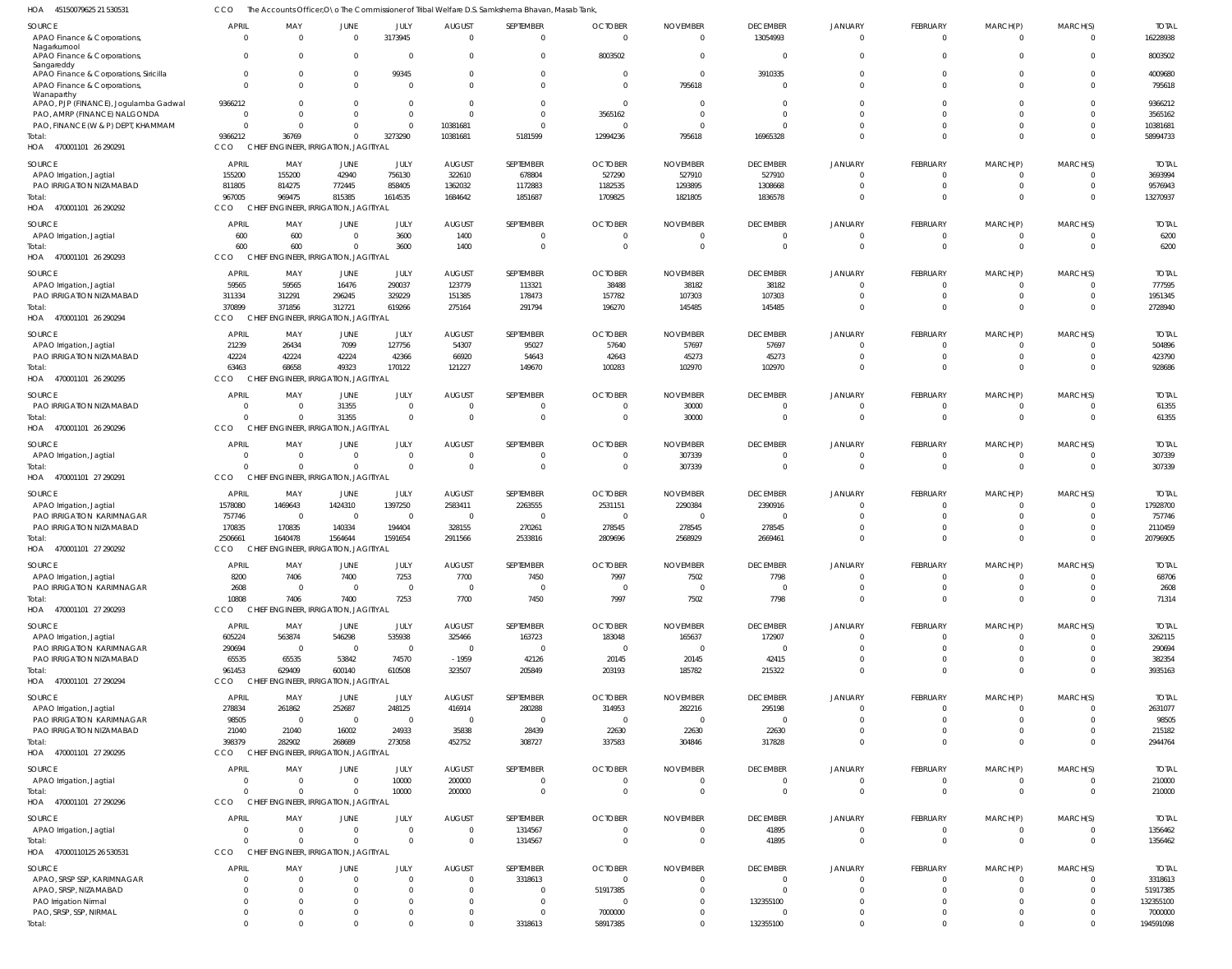45150079625 21 530531 HOA CCO The Accounts Officer, O\o The Commissioner of Tribal Welfare D.S. Samkshema Bhavan, Masab Tank,

|                                            |              |              |                                        | iissionei on      | iinai welidie<br>341 IKSHELIJA BIJAVALI. MASAD TALIR |                      |                |                 |                     |                            |                 |             |                      |              |
|--------------------------------------------|--------------|--------------|----------------------------------------|-------------------|------------------------------------------------------|----------------------|----------------|-----------------|---------------------|----------------------------|-----------------|-------------|----------------------|--------------|
| <b>SOURCE</b>                              | <b>APRIL</b> | MAY          | JUNE                                   | JULY              | <b>AUGUST</b>                                        | SEPTEMBER            | <b>OCTOBER</b> | <b>NOVEMBER</b> | <b>DECEMBER</b>     | JANUARY                    | <b>FEBRUARY</b> | MARCH(P)    | MARCH(S)             | <b>TOTAL</b> |
| APAO Finance & Corporations,               | $\Omega$     | $\Omega$     | $\overline{0}$                         | 3173945           | $\mathbf 0$                                          | $\Omega$             | $\overline{0}$ | $\Omega$        | 13054993            | $\overline{0}$             | $\mathbf 0$     | $\mathbf 0$ | $\Omega$             | 16228938     |
| Nagarkurnool                               |              |              |                                        |                   |                                                      |                      |                |                 |                     |                            |                 |             |                      |              |
| APAO Finance & Corporations,               | $\Omega$     | $\Omega$     | $\Omega$                               | $\overline{0}$    | 0                                                    | $\Omega$             | 8003502        |                 | $\mathbf 0$         | $\Omega$                   | $\Omega$        | $\mathbf 0$ | $\Omega$             | 8003502      |
| Sangareddy                                 | $\Omega$     | $\Omega$     | $\Omega$                               |                   |                                                      |                      | $\Omega$       | $\Omega$        |                     |                            | $\Omega$        | $\Omega$    |                      |              |
| APAO Finance & Corporations, Siricilla     | $\Omega$     | $\Omega$     | $\Omega$                               | 99345<br>$\Omega$ | 0<br>$\Omega$                                        | $\Omega$<br>$\Omega$ | $\Omega$       |                 | 3910335<br>$\Omega$ | $\overline{0}$<br>$\Omega$ | $\Omega$        | $\Omega$    | $\Omega$<br>$\Omega$ | 4009680      |
| APAO Finance & Corporations,<br>Wanaparthy |              |              |                                        |                   |                                                      |                      |                | 795618          |                     |                            |                 |             |                      | 795618       |
| APAO, PJP (FINANCE), Jogulamba Gadwal      | 9366212      |              | $\Omega$                               | $\overline{0}$    | $\Omega$                                             | $\Omega$             | $\Omega$       |                 | $\Omega$            | $\Omega$                   | $\Omega$        | $\Omega$    | $\Omega$             | 9366212      |
| PAO, AMRP (FINANCE) NALGONDA               |              | $\Omega$     | $\Omega$                               | $\overline{0}$    | $\Omega$                                             | $\Omega$             | 3565162        |                 | $\Omega$            | $\Omega$                   | $\Omega$        | $\Omega$    | $\Omega$             | 3565162      |
| PAO, FINANCE (W & P) DEPT, KHAMMAM         | $\Omega$     | $\Omega$     | $\Omega$                               | $\Omega$          | 10381681                                             | $\Omega$             | $\Omega$       |                 | $\Omega$            | $\Omega$                   | $\Omega$        | $\Omega$    | $\Omega$             | 10381681     |
| Total:                                     | 9366212      | 36769        | $\Omega$                               | 3273290           | 10381681                                             | 5181599              | 12994236       | 795618          | 16965328            | $\Omega$                   | $\Omega$        | $\Omega$    | $\Omega$             | 58994733     |
| HOA 470001101 26 290291                    | CCO          |              | CHIEF ENGINEER, IRRIGATION, JAGITIYAL  |                   |                                                      |                      |                |                 |                     |                            |                 |             |                      |              |
|                                            |              |              |                                        |                   |                                                      |                      |                |                 |                     |                            |                 |             |                      |              |
| SOURCE                                     | APRIL        | MAY          | JUNE                                   | JULY              | <b>AUGUST</b>                                        | SEPTEMBER            | <b>OCTOBER</b> | <b>NOVEMBER</b> | <b>DECEMBER</b>     | <b>JANUARY</b>             | <b>FEBRUARY</b> | MARCH(P)    | MARCH(S)             | <b>TOTAI</b> |
| APAO Irrigation, Jagtial                   | 155200       | 155200       | 42940                                  | 756130            | 322610                                               | 678804               | 527290         | 527910          | 527910              | $\Omega$                   | $\Omega$        | $\Omega$    | $\Omega$             | 3693994      |
| PAO IRRIGATION NIZAMABAD                   | 811805       | 814275       | 772445                                 | 858405            | 1362032                                              | 1172883              | 1182535        | 1293895         | 1308668             | $\Omega$                   | $\Omega$        | $\mathbf 0$ | $\Omega$             | 9576943      |
| Total:                                     | 967005       | 969475       | 815385                                 | 1614535           | 1684642                                              | 1851687              | 1709825        | 1821805         | 1836578             | $\Omega$                   | $\Omega$        | $\Omega$    | $\Omega$             | 13270937     |
| HOA<br>470001101 26 290292                 | CCO          |              | CHIEF ENGINEER, IRRIGATION, JAGITIYAL  |                   |                                                      |                      |                |                 |                     |                            |                 |             |                      |              |
| SOURCE                                     | APRIL        | MAY          | JUNE                                   | JULY              | <b>AUGUST</b>                                        | SEPTEMBER            | <b>OCTOBER</b> | <b>NOVEMBER</b> | <b>DECEMBER</b>     | JANUARY                    | FEBRUARY        | MARCH(P)    | MARCH(S)             | <b>TOTAL</b> |
| APAO Irrigation, Jagtial                   | 600          | 600          | $\overline{0}$                         | 3600              | 1400                                                 | $\Omega$             | $\overline{0}$ | $\Omega$        | $\mathbf 0$         | $\overline{0}$             | $\mathbf 0$     | $\mathbf 0$ | $\Omega$             | 6200         |
| Total:                                     | 600          | 600          | $\Omega$                               | 3600              | 1400                                                 | $\Omega$             | $\Omega$       |                 | $\Omega$            | $\Omega$                   | $\overline{0}$  | $\mathbf 0$ | $\Omega$             | 6200         |
| HOA 470001101 26 290293                    | CCO          |              | CHIEF ENGINEER, IRRIGATION, JAGITIYAL  |                   |                                                      |                      |                |                 |                     |                            |                 |             |                      |              |
|                                            |              |              |                                        |                   |                                                      |                      |                |                 |                     |                            |                 |             |                      |              |
| SOURCE                                     | APRIL        | MAY          | JUNE                                   | JULY              | <b>AUGUST</b>                                        | SEPTEMBER            | <b>OCTOBER</b> | <b>NOVEMBER</b> | <b>DECEMBER</b>     | JANUARY                    | FEBRUARY        | MARCH(P)    | MARCH(S)             | <b>TOTAI</b> |
| APAO Irrigation, Jagtial                   | 59565        | 59565        | 16476                                  | 290037            | 123779                                               | 113321               | 38488          | 38182           | 38182               | $\Omega$                   | $\Omega$        | $\Omega$    | $\Omega$             | 777595       |
| PAO IRRIGATION NIZAMABAD                   | 311334       | 312291       | 296245                                 | 329229            | 151385                                               | 178473               | 157782         | 107303          | 107303              | $\Omega$                   | $\Omega$        | $\mathbf 0$ | $\Omega$             | 1951345      |
| Total:                                     | 370899       | 371856       | 312721                                 | 619266            | 275164                                               | 291794               | 196270         | 145485          | 145485              | $\Omega$                   | $\Omega$        | $\Omega$    | $\Omega$             | 2728940      |
| HOA<br>470001101 26 290294                 | CCO          |              | <b>ENGINEER, IRRIGATION, JAGITIYAL</b> |                   |                                                      |                      |                |                 |                     |                            |                 |             |                      |              |
| SOURCE                                     | APRIL        | MAY          | JUNE                                   | JULY              | <b>AUGUST</b>                                        | SEPTEMBER            | <b>OCTOBER</b> | <b>NOVEMBER</b> | <b>DECEMBER</b>     | <b>JANUARY</b>             | <b>FEBRUARY</b> | MARCH(P)    | MARCH(S)             | <b>TOTAL</b> |
| APAO Irrigation, Jagtial                   | 21239        | 26434        | 7099                                   | 127756            | 54307                                                | 95027                | 57640          | 57697           | 57697               | $\overline{0}$             | $\mathbf 0$     | 0           | $\Omega$             | 504896       |
| PAO IRRIGATION NIZAMABAD                   | 42224        | 42224        | 42224                                  | 42366             | 66920                                                | 54643                | 42643          | 45273           | 45273               | $\Omega$                   | $\mathbf 0$     | $\mathbf 0$ | $\Omega$             | 423790       |
| Total                                      | 63463        | 68658        | 49323                                  | 170122            | 121227                                               | 149670               | 100283         | 102970          | 102970              | $\Omega$                   | $\Omega$        | $\Omega$    | $\Omega$             | 928686       |
| HOA<br>470001101 26 290295                 | CCO          |              | CHIEF ENGINEER, IRRIGATION, JAGITIYAL  |                   |                                                      |                      |                |                 |                     |                            |                 |             |                      |              |
|                                            |              |              |                                        |                   |                                                      |                      |                |                 |                     |                            |                 |             |                      |              |
| SOURCE                                     | <b>APRIL</b> | MAY          | JUNE                                   | <b>JULY</b>       | <b>AUGUST</b>                                        | SEPTEMBER            | <b>OCTOBER</b> | <b>NOVEMBER</b> | <b>DECEMBER</b>     | <b>JANUARY</b>             | <b>FEBRUARY</b> | MARCH(P)    | MARCH(S)             | <b>TOTAI</b> |
| PAO IRRIGATION NIZAMABAD                   |              | $\Omega$     | 31355                                  | $\Omega$          | $\Omega$                                             | - 0                  | $\Omega$       | 30000           | $\Omega$            | $\Omega$                   | $\mathbf 0$     | $\mathbf 0$ | $\Omega$             | 61355        |
| Total:                                     |              | $\Omega$     | 31355                                  | $\Omega$          | $\Omega$                                             | $\Omega$             | $\Omega$       | 30000           | $\Omega$            | $\Omega$                   | $\Omega$        | $\Omega$    | $\Omega$             | 61355        |
| HOA<br>470001101 26 290296                 | CCO          |              | CHIEF ENGINEER, IRRIGATION, JAGITIYAL  |                   |                                                      |                      |                |                 |                     |                            |                 |             |                      |              |
| SOURCE                                     | APRIL        | MAY          | JUNE                                   | JULY              | <b>AUGUST</b>                                        | SEPTEMBER            | <b>OCTOBER</b> | <b>NOVEMBER</b> | <b>DECEMBER</b>     | JANUARY                    | FEBRUARY        | MARCH(P)    | MARCH(S)             | <b>TOTAL</b> |
| APAO Irrigation, Jagtial                   | $\Omega$     | $\Omega$     | $\overline{0}$                         | $\overline{0}$    | $\Omega$                                             | $\Omega$             | $\Omega$       | 307339          | $\mathbf 0$         | $\overline{0}$             | $\mathbf 0$     | $\mathbf 0$ | $\Omega$             | 307339       |
| Total:                                     |              | $\Omega$     | $\Omega$                               | $\overline{0}$    | $\Omega$                                             | $\Omega$             | $\overline{0}$ | 307339          | $\mathbf 0$         | $\Omega$                   | $\overline{0}$  | $\mathbf 0$ | $\Omega$             | 307339       |
| HOA 470001101 27 290291                    | CCO          |              | CHIEF ENGINEER, IRRIGATION, JAGITIYAL  |                   |                                                      |                      |                |                 |                     |                            |                 |             |                      |              |
|                                            |              |              |                                        |                   |                                                      |                      |                |                 |                     |                            |                 |             |                      |              |
| SOURCE                                     | <b>APRIL</b> | MAY          | JUNE                                   | JULY              | <b>AUGUST</b>                                        | SEPTEMBER            | <b>OCTOBER</b> | <b>NOVEMBER</b> | <b>DECEMBER</b>     | JANUARY                    | <b>FEBRUARY</b> | MARCH(P)    | MARCH(S)             | <b>TOTAI</b> |
| APAO Irrigation, Jagtial                   | 1578080      | 1469643      | 1424310                                | 1397250           | 2583411                                              | 2263555              | 2531151        | 2290384         | 2390916             | $\Omega$                   | $\Omega$        | 0           | $\Omega$             | 17928700     |
| PAO IRRIGATION KARIMNAGAR                  | 757746       | $\Omega$     | $\overline{\mathbf{0}}$                | $\overline{0}$    | $\Omega$                                             | $\Omega$             | $\Omega$       |                 | $\Omega$            |                            | $\Omega$        | $\Omega$    | $\Omega$             | 757746       |
| PAO IRRIGATION NIZAMABAD                   | 170835       | 170835       | 140334                                 | 194404            | 328155                                               | 270261               | 278545         | 278545          | 278545              | $\Omega$                   | $\Omega$        | $\Omega$    | $\Omega$             | 2110459      |
| Total:                                     | 2506661      | 1640478      | 1564644                                | 1591654           | 2911566                                              | 2533816              | 2809696        | 2568929         | 2669461             | $\Omega$                   | $\Omega$        | $\Omega$    | $\Omega$             | 20796905     |
| HOA 470001101 27 290292                    | <b>CCO</b>   |              | CHIEF ENGINEER, IRRIGATION, JAGITIYAL  |                   |                                                      |                      |                |                 |                     |                            |                 |             |                      |              |
| SOURCE                                     | <b>APRIL</b> | MAY          | JUNE                                   | JULY              | <b>AUGUST</b>                                        | SEPTEMBER            | <b>OCTOBER</b> | <b>NOVEMBER</b> | <b>DECEMBER</b>     | JANUARY                    | <b>FEBRUARY</b> | MARCH(P)    | MARCH(S)             | <b>TOTAL</b> |
| APAO Irrigation, Jagtial                   | 8200         | 7406         | 7400                                   | 7253              | 7700                                                 | 7450                 | 7997           | 7502            | 7798                | $\overline{0}$             | $\mathbf 0$     | $\mathbf 0$ | $\Omega$             | 68706        |
| PAO IRRIGATION KARIMNAGAR                  | 2608         | $\Omega$     | $\Omega$                               | $\overline{0}$    | $\mathbf 0$                                          | $\mathbf 0$          | $\overline{0}$ | $\Omega$        | $\mathbf{0}$        | $\Omega$                   | $\mathbf 0$     | $\mathbf 0$ | $\Omega$             | 2608         |
| Total:                                     | 10808        | 7406         | 7400                                   | 7253              | 7700                                                 | 7450                 | 7997           | 7502            | 7798                | $\Omega$                   | $\Omega$        | $\Omega$    | $\Omega$             | 71314        |
| HOA 470001101 27 290293                    | CCO          |              | CHIEF ENGINEER, IRRIGATION, JAGITIYAL  |                   |                                                      |                      |                |                 |                     |                            |                 |             |                      |              |
|                                            |              |              |                                        |                   |                                                      |                      |                |                 |                     |                            |                 |             |                      |              |
| SOURCE                                     | APRIL        | MAY          | JUNE                                   | JULY              | <b>AUGUST</b>                                        | SEPTEMBER            | <b>OCTOBER</b> | <b>NOVEMBER</b> | <b>DECEMBER</b>     | JANUARY                    | <b>FEBRUARY</b> | MARCH(P)    | MARCH(S)             | <b>TOTAL</b> |
| APAO Irrigation, Jagtial                   | 605224       | 563874       | 546298                                 | 535938            | 325466                                               | 163723               | 183048         | 165637          | 172907              | $\Omega$                   | 0               | 0           |                      | 3262115      |
| <b>PAO IRRIGATION KARIMNAGAR</b>           | 290694       | $\Omega$     | $\Omega$                               | $\overline{0}$    | $\mathbf 0$                                          | $\Omega$             | $\Omega$       | $\Omega$        | $\Omega$            |                            | $\Omega$        | $\Omega$    | $\Omega$             | 290694       |
| PAO IRRIGATION NIZAMABAD                   | 65535        | 65535        | 53842                                  | 74570             | $-1959$                                              | 42126                | 20145          | 20145           | 42415               | $\Omega$                   | $\Omega$        | $\Omega$    | $\Omega$             | 382354       |
| Total:                                     | 961453       |              |                                        |                   |                                                      |                      |                |                 |                     |                            |                 | $\Omega$    |                      | 3935163      |
|                                            |              | 629409       | 600140                                 | 610508            | 323507                                               | 205849               | 203193         | 185782          | 215322              | $\Omega$                   | $\Omega$        |             | $\Omega$             |              |
| HOA 470001101 27 290294                    | <b>CCO</b>   |              | CHIEF ENGINEER, IRRIGATION, JAGITIYAL  |                   |                                                      |                      |                |                 |                     |                            |                 |             |                      |              |
|                                            |              |              |                                        |                   |                                                      |                      |                |                 |                     |                            |                 |             |                      |              |
| SOURCE                                     | APRIL        | MAY          | JUNE                                   | JULY              | <b>AUGUST</b>                                        | SEPTEMBER            | <b>OCTOBER</b> | <b>NOVEMBER</b> | <b>DECEMBER</b>     | JANUARY                    | <b>FEBRUARY</b> | MARCH(P)    | MARCH(S)             | <b>TOTAL</b> |
| APAO Irrigation, Jagtial                   | 278834       | 261862       | 252687                                 | 248125            | 416914                                               | 280288               | 314953         | 282216          | 295198              | $\Omega$                   | $\mathbf 0$     | 0           | $\Omega$             | 2631077      |
| PAO IRRIGATION KARIMNAGAR                  | 98505        | - 0          | $\overline{0}$                         | $\overline{0}$    | $\mathbf 0$                                          | $\overline{0}$       | $\overline{0}$ | $\Omega$        | $\mathbf 0$         | $\Omega$                   | $\Omega$        | $\mathbf 0$ | $\Omega$             | 98505        |
| PAO IRRIGATION NIZAMABAD                   | 21040        | 21040        | 16002                                  | 24933             | 35838                                                | 28439                | 22630          | 22630           | 22630               | $\Omega$                   | $\Omega$        | $\mathbf 0$ | $\Omega$             | 215182       |
| Total:                                     | 398379       | 282902       | 268689                                 | 273058            | 452752                                               | 308727               | 337583         | 304846          | 317828              | $\Omega$                   | $\Omega$        | $\Omega$    | $\Omega$             | 2944764      |
| HOA 470001101 27 290295                    | CCO          |              | CHIEF ENGINEER, IRRIGATION, JAGITIYAL  |                   |                                                      |                      |                |                 |                     |                            |                 |             |                      |              |
| SOURCE                                     | APRIL        | MAY          | JUNE                                   | JULY              | <b>AUGUST</b>                                        | SEPTEMBER            | <b>OCTOBER</b> | <b>NOVEMBER</b> | <b>DECEMBER</b>     | <b>JANUARY</b>             | <b>FEBRUARY</b> | MARCH(P)    | MARCH(S)             | <b>TOTAL</b> |
| APAO Irrigation, Jagtial                   |              | $\Omega$     | $\Omega$                               | 10000             | 200000                                               |                      | $\Omega$       |                 | $\Omega$            | $\Omega$                   | $\mathbf 0$     | $\mathbf 0$ | $\Omega$             | 210000       |
| Total:                                     |              | $\Omega$     | $\Omega$                               | 10000             | 200000                                               | $\Omega$             | $\Omega$       |                 | $\Omega$            | $\Omega$                   | $\Omega$        | $\mathbf 0$ | $\Omega$             | 210000       |
| HOA 470001101 27 290296                    | CCO          |              | CHIEF ENGINEER, IRRIGATION, JAGITIYAL  |                   |                                                      |                      |                |                 |                     |                            |                 |             |                      |              |
|                                            |              |              |                                        |                   |                                                      |                      |                |                 |                     |                            |                 |             |                      |              |
| SOURCE                                     | <b>APRIL</b> | MAY          | JUNE                                   | JULY              | <b>AUGUST</b>                                        | SEPTEMBER            | <b>OCTOBER</b> | <b>NOVEMBER</b> | <b>DECEMBER</b>     | JANUARY                    | <b>FEBRUARY</b> | MARCH(P)    | MARCH(S)             | <b>TOTAL</b> |
| APAO Irrigation, Jagtial                   | $\Omega$     | $\Omega$     | $\overline{0}$                         | $\overline{0}$    | $\mathbf 0$                                          | 1314567              | $\mathbf{0}$   |                 | 41895               | $\overline{0}$             | $\mathbf 0$     | 0           | $\Omega$             | 1356462      |
| Total:                                     | $\Omega$     | $\Omega$     | $\Omega$                               | $\mathbf 0$       | $\mathbf 0$                                          | 1314567              | $\overline{0}$ |                 | 41895               | $\overline{0}$             | $\overline{0}$  | $\mathbf 0$ | $\Omega$             | 1356462      |
| HOA 47000110125 26 530531                  | CCO          |              | CHIEF ENGINEER, IRRIGATION, JAGITIYAL  |                   |                                                      |                      |                |                 |                     |                            |                 |             |                      |              |
| SOURCE                                     | <b>APRIL</b> | MAY          | JUNE                                   | JULY              | <b>AUGUST</b>                                        | SEPTEMBER            | <b>OCTOBER</b> | <b>NOVEMBER</b> | <b>DECEMBER</b>     | JANUARY                    | <b>FEBRUARY</b> | MARCH(P)    | MARCH(S)             | <b>TOTAL</b> |
| APAO, SRSP SSP, KARIMNAGAR                 |              | $\Omega$     | $\Omega$                               | $\Omega$          | 0                                                    | 3318613              | $\Omega$       |                 | $\Omega$            |                            | $\Omega$        | 0           | $\Omega$             | 3318613      |
| APAO, SRSP, NIZAMABAD                      |              |              | $\Omega$                               | $\Omega$          |                                                      | - 0                  | 51917385       |                 | $\Omega$            | $\Omega$                   | $\Omega$        | $\Omega$    | $\Omega$             | 51917385     |
| PAO Irrigation Nirmal                      |              | <sup>0</sup> | $\Omega$                               | $\Omega$          |                                                      |                      |                |                 | 132355100           | $\Omega$                   | $\Omega$        | O           | $\Omega$             | 132355100    |
| PAO, SRSP, SSP, NIRMAL                     | 0            |              | $\Omega$                               | $\Omega$          |                                                      |                      | 7000000        |                 | 0                   | $\Omega$                   | $\Omega$        | $\Omega$    |                      | 7000000      |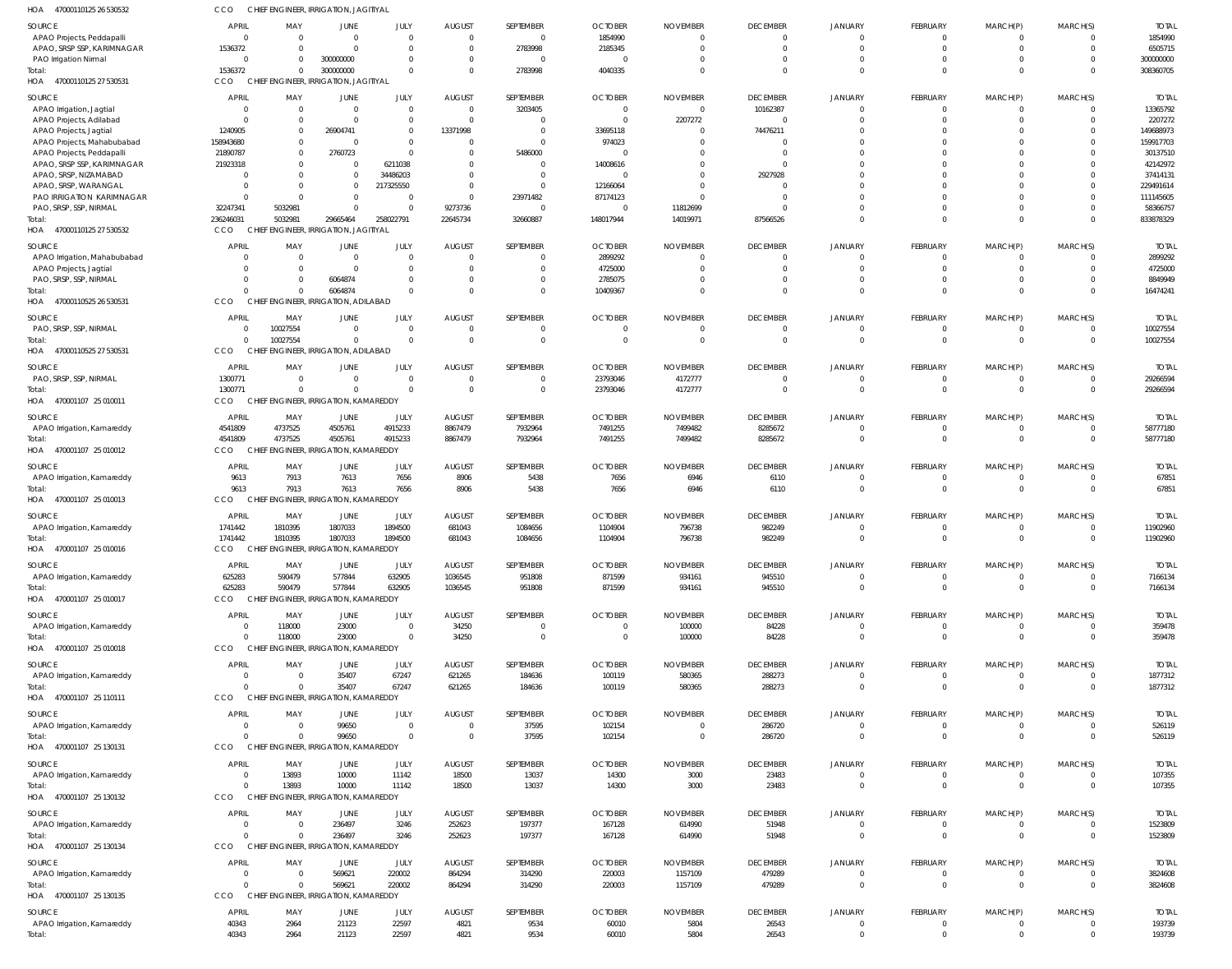| HOA<br>47000110125 26 530532                            | CCO                   | CHIEF ENGINEER, IRRIGATION, JAGITIYAL |                         |           |                     |                            |                            |                      |                 |                |                 |                      |                |                       |
|---------------------------------------------------------|-----------------------|---------------------------------------|-------------------------|-----------|---------------------|----------------------------|----------------------------|----------------------|-----------------|----------------|-----------------|----------------------|----------------|-----------------------|
| SOURCE                                                  | <b>APRIL</b>          | MAY                                   | <b>JUNE</b>             | JULY      | <b>AUGUST</b>       | SEPTEMBER                  | <b>OCTOBER</b>             | <b>NOVEMBER</b>      | <b>DECEMBER</b> | JANUARY        | FEBRUARY        | MARCH(P)             | MARCH(S)       | <b>TOTAL</b>          |
| APAO Projects, Peddapalli                               | $\Omega$              | $\overline{0}$                        | $\mathbf 0$             | $\Omega$  | $\overline{0}$      | $\overline{0}$             | 1854990                    | $\overline{0}$       | $\Omega$        |                | $\overline{0}$  | 0                    | $\Omega$       | 1854990               |
| APAO, SRSP SSP, KARIMNAGAR                              | 1536372               | $\Omega$                              | $\Omega$                | $\Omega$  | $\overline{0}$      | 2783998                    | 2185345                    | $\overline{0}$       | $\Omega$        | $\Omega$       | $\overline{0}$  | $\overline{0}$       | $\mathbf 0$    | 6505715               |
| PAO Irrigation Nirmal                                   | $\Omega$              | $\overline{0}$                        | 300000000               | - 0       | $\mathbf{0}$        | $\overline{0}$             | $\overline{0}$             | $\Omega$             | $\Omega$        | $\Omega$       |                 | $\mathbf 0$          | $\mathbf 0$    | 300000000             |
| Total:                                                  | 1536372               | $\mathbf{0}$                          | 300000000               | $\cap$    | $\Omega$            | 2783998                    | 4040335                    | $\Omega$             | $\Omega$        | $\Omega$       | $\Omega$        | $\Omega$             | $\mathbf 0$    | 308360705             |
| HOA 47000110125 27 530531                               | CCO                   | CHIEF ENGINEER, IRRIGATION, JAGITIYAL |                         |           |                     |                            |                            |                      |                 |                |                 |                      |                |                       |
| SOURCE                                                  | <b>APRIL</b>          | MAY                                   | JUNE                    | JULY      | <b>AUGUST</b>       | SEPTEMBER                  | <b>OCTOBER</b>             | <b>NOVEMBER</b>      | <b>DECEMBER</b> | JANUARY        | FEBRUARY        | MARCH(P)             | MARCH(S)       | <b>TOTAL</b>          |
|                                                         | $\Omega$              | $\overline{0}$                        | $\overline{0}$          | $\Omega$  | $\overline{0}$      | 3203405                    | $\overline{0}$             | $\overline{0}$       | 10162387        | $\Omega$       | $\overline{0}$  | $\overline{0}$       | $\mathbf 0$    | 13365792              |
| APAO Irrigation, Jagtial                                | $\Omega$              | $\overline{0}$                        | $\mathbf{0}$            | - 0       | $\overline{0}$      | $\overline{0}$             | $\overline{0}$             | 2207272              | $\Omega$        | $\Omega$       | $\Omega$        | $\mathbf 0$          | $\mathbf 0$    | 2207272               |
| APAO Projects, Adilabad<br>APAO Projects, Jagtial       | 1240905               | $\overline{0}$                        | 26904741                | $\Omega$  | 13371998            | $\Omega$                   | 33695118                   | $\overline{0}$       | 74476211        | $\Omega$       |                 | $\Omega$             | $\mathbf 0$    | 149688973             |
| APAO Projects, Mahabubabad                              | 158943680             | $\overline{0}$                        | $\overline{0}$          | $\Omega$  | 0                   | $\Omega$                   | 974023                     | $\Omega$             |                 |                |                 | $\Omega$             | $\mathbf 0$    | 159917703             |
|                                                         | 21890787              | $\overline{0}$                        | 2760723                 | $\Omega$  | $\overline{0}$      | 5486000                    | $\overline{0}$             | $\Omega$             | $\Omega$        |                |                 |                      | $\mathbf 0$    | 30137510              |
| APAO Projects, Peddapalli<br>APAO, SRSP SSP, KARIMNAGAR | 21923318              | $\overline{0}$                        | $\mathbf 0$             | 6211038   | $\Omega$            | $\overline{0}$             | 14008616                   | $\Omega$             | $\cap$          |                |                 | $\Omega$             | $\Omega$       | 42142972              |
| APAO, SRSP, NIZAMABAD                                   | $\Omega$              | $\Omega$                              | $\mathbf{0}$            | 34486203  | $\Omega$            | $\Omega$                   | $\overline{0}$             | $\Omega$             | 2927928         |                |                 |                      | $\mathbf 0$    | 37414131              |
| APAO, SRSP, WARANGAL                                    | $\Omega$              | $\overline{0}$                        | $\mathbf 0$             | 217325550 | $\Omega$            | $\Omega$                   | 12166064                   | $\Omega$             |                 |                |                 | $\Omega$             | $\mathbf 0$    | 229491614             |
|                                                         | $\Omega$              | $\overline{0}$                        |                         | $\Omega$  |                     |                            |                            | $\overline{0}$       | $\cap$          |                |                 |                      | $\mathbf 0$    |                       |
| PAO IRRIGATION KARIMNAGAR                               |                       | 5032981                               | $\Omega$<br>$\mathbf 0$ |           | $\mathbf{0}$        | 23971482<br>$\overline{0}$ | 87174123<br>$\overline{0}$ |                      | $\cap$          | $\Omega$       | 0               | $\Omega$<br>$\Omega$ | $\mathbf 0$    | 111145605<br>58366757 |
| PAO, SRSP, SSP, NIRMAL<br>Total:                        | 32247341<br>236246031 | 5032981                               | 29665464                | 258022791 | 9273736<br>22645734 | 32660887                   | 148017944                  | 11812699<br>14019971 | 87566526        | $\cap$         | $\Omega$        | $\Omega$             | $\mathbf 0$    | 833878329             |
| HOA 47000110125 27 530532                               | <b>CCO</b>            | CHIEF ENGINEER, IRRIGATION, JAGITIYAL |                         |           |                     |                            |                            |                      |                 |                |                 |                      |                |                       |
|                                                         |                       |                                       |                         |           |                     |                            |                            |                      |                 |                |                 |                      |                |                       |
| <b>SOURCE</b>                                           | <b>APRIL</b>          | MAY                                   | <b>JUNE</b>             | JULY      | <b>AUGUST</b>       | SEPTEMBER                  | <b>OCTOBER</b>             | <b>NOVEMBER</b>      | <b>DECEMBER</b> | <b>JANUARY</b> | FEBRUARY        | MARCH(P)             | MARCH(S)       | <b>TOTAL</b>          |
| APAO Irrigation, Mahabubabad                            | $\Omega$              | $\overline{0}$                        | $\overline{0}$          | $\Omega$  | 0                   | $\mathbf{0}$               | 2899292                    | $\overline{0}$       | $\Omega$        |                | $\Omega$        | 0                    | $\mathbf{0}$   | 2899292               |
| APAO Projects, Jagtial                                  | $\Omega$              | $\overline{0}$                        | $\mathbf{0}$            | $\Omega$  | $\overline{0}$      | $\overline{0}$             | 4725000                    | $\Omega$             | $\Omega$        | $\Omega$       | $\Omega$        | $\overline{0}$       | $\mathbf 0$    | 4725000               |
| PAO, SRSP, SSP, NIRMAL                                  | $\Omega$              | $\Omega$                              | 6064874                 | $\Omega$  | $\overline{0}$      | $\mathbf 0$                | 2785075                    | $^{\circ}$           | $\Omega$        | $\Omega$       |                 | $\mathbf 0$          | $\overline{0}$ | 8849949               |
| Total:                                                  | $\Omega$              | $\Omega$                              | 6064874                 | $\cap$    | $\Omega$            | $\Omega$                   | 10409367                   | $\Omega$             | $\Omega$        | $\Omega$       | $\Omega$        | $\Omega$             | $\Omega$       | 16474241              |
| HOA<br>47000110525 26 530531                            | CCO                   | CHIEF ENGINEER, IRRIGATION, ADILABAD  |                         |           |                     |                            |                            |                      |                 |                |                 |                      |                |                       |
|                                                         |                       |                                       |                         |           |                     |                            |                            |                      |                 |                |                 |                      |                |                       |
| SOURCE                                                  | <b>APRIL</b>          | MAY                                   | <b>JUNE</b>             | JULY      | <b>AUGUST</b>       | SEPTEMBER                  | <b>OCTOBER</b>             | <b>NOVEMBER</b>      | <b>DECEMBER</b> | <b>JANUARY</b> | FEBRUARY        | MARCH(P)             | MARCH(S)       | <b>TOTAL</b>          |
| PAO, SRSP, SSP, NIRMAL                                  | $\overline{0}$        | 10027554                              | $\overline{0}$          | $\Omega$  | $\overline{0}$      | $\overline{0}$             | $\overline{0}$             | $\overline{0}$       | $\Omega$        | $\Omega$       | $\overline{0}$  | $\overline{0}$       | $\mathbf 0$    | 10027554              |
| Total:                                                  | $\Omega$              | 10027554                              | $\mathbf 0$             | $\Omega$  | $\overline{0}$      | $\mathbf{0}$               | $\overline{0}$             | $\overline{0}$       | $\Omega$        | $\Omega$       | $\overline{0}$  | $\mathbf{0}$         | $\mathbf 0$    | 10027554              |
| 47000110525 27 530531<br>HOA                            | CCO                   | CHIEF ENGINEER, IRRIGATION, ADILABAD  |                         |           |                     |                            |                            |                      |                 |                |                 |                      |                |                       |
| SOURCE                                                  | APRIL                 | MAY                                   | <b>JUNE</b>             | JULY      | <b>AUGUST</b>       | SEPTEMBER                  | <b>OCTOBER</b>             | <b>NOVEMBER</b>      | <b>DECEMBER</b> | <b>JANUARY</b> | FEBRUARY        | MARCH(P)             | MARCH(S)       | <b>TOTAL</b>          |
| PAO, SRSP, SSP, NIRMAL                                  | 1300771               | $\overline{0}$                        | $\overline{0}$          | $\Omega$  | $\overline{0}$      | $\mathbf{0}$               | 23793046                   | 4172777              | $\Omega$        |                | 0               | 0                    | $\mathbf{0}$   | 29266594              |
| Total:                                                  | 1300771               | $\Omega$                              | $\Omega$                | $\Omega$  | $\Omega$            | $\mathbf{0}$               | 23793046                   | 4172777              | $\Omega$        | $\Omega$       | $\Omega$        | $\overline{0}$       | $\mathbf 0$    | 29266594              |
| HOA 470001107 25 010011                                 | CCO                   | CHIEF ENGINEER, IRRIGATION, KAMAREDDY |                         |           |                     |                            |                            |                      |                 |                |                 |                      |                |                       |
|                                                         |                       |                                       |                         |           |                     |                            |                            |                      |                 |                |                 |                      |                |                       |
| SOURCE                                                  | <b>APRIL</b>          | MAY                                   | JUNE                    | JULY      | <b>AUGUST</b>       | SEPTEMBER                  | <b>OCTOBER</b>             | <b>NOVEMBER</b>      | <b>DECEMBER</b> | <b>JANUARY</b> | FEBRUARY        | MARCH(P)             | MARCH(S)       | <b>TOTAL</b>          |
| APAO Irrigation, Kamareddy                              | 4541809               | 4737525                               | 4505761                 | 4915233   | 8867479             | 7932964                    | 7491255                    | 7499482              | 8285672         |                | 0               | 0                    | $\mathbf 0$    | 58777180              |
| Total:                                                  | 4541809               | 4737525                               | 4505761                 | 4915233   | 8867479             | 7932964                    | 7491255                    | 7499482              | 8285672         | $\Omega$       | $\overline{0}$  | $\overline{0}$       | $\mathbf 0$    | 58777180              |
| HOA 470001107 25 010012                                 | CCO                   | CHIEF ENGINEER, IRRIGATION, KAMAREDDY |                         |           |                     |                            |                            |                      |                 |                |                 |                      |                |                       |
| SOURCE                                                  | <b>APRIL</b>          | MAY                                   | JUNE                    | JULY      | <b>AUGUST</b>       | SEPTEMBER                  | <b>OCTOBER</b>             | <b>NOVEMBER</b>      | <b>DECEMBER</b> | <b>JANUARY</b> | FEBRUARY        | MARCH(P)             | MARCH(S)       | <b>TOTAL</b>          |
| APAO Irrigation, Kamareddy                              | 9613                  | 7913                                  | 7613                    | 7656      | 8906                | 5438                       | 7656                       | 6946                 | 6110            |                | $\overline{0}$  | $\overline{0}$       | $\mathbf{0}$   | 67851                 |
| Total:                                                  | 9613                  | 7913                                  | 7613                    | 7656      | 8906                | 5438                       | 7656                       | 6946                 | 6110            | $\Omega$       | $\overline{0}$  | $\mathbf{0}$         | $\mathbf 0$    | 67851                 |
| HOA<br>470001107 25 010013                              | CCO                   | CHIEF ENGINEER, IRRIGATION, KAMAREDDY |                         |           |                     |                            |                            |                      |                 |                |                 |                      |                |                       |
|                                                         |                       |                                       |                         |           |                     |                            |                            |                      |                 |                |                 |                      |                |                       |
| SOURCE                                                  | APRIL                 | MAY                                   | JUNE                    | JULY      | <b>AUGUST</b>       | SEPTEMBER                  | <b>OCTOBER</b>             | <b>NOVEMBER</b>      | <b>DECEMBER</b> | <b>JANUARY</b> | FEBRUARY        | MARCH(P)             | MARCH(S)       | <b>TOTAL</b>          |
| APAO Irrigation, Kamareddy                              | 1741442               | 1810395                               | 1807033                 | 1894500   | 681043              | 1084656                    | 1104904                    | 796738               | 982249          | - 0            | $\overline{0}$  | $\overline{0}$       | $\mathbf 0$    | 11902960              |
| Total:                                                  | 1741442               | 1810395                               | 1807033                 | 1894500   | 681043              | 1084656                    | 1104904                    | 796738               | 982249          | $\Omega$       | $\overline{0}$  | $\overline{0}$       | $\Omega$       | 11902960              |
| HOA 470001107 25 010016                                 | <b>CCO</b>            | CHIEF ENGINEER, IRRIGATION, KAMAREDDY |                         |           |                     |                            |                            |                      |                 |                |                 |                      |                |                       |
| SOURCE                                                  | <b>APRIL</b>          | MAY                                   | <b>JUNE</b>             | JULY      | <b>AUGUST</b>       | SEPTEMBER                  | <b>OCTOBER</b>             | <b>NOVEMBER</b>      | <b>DECEMBER</b> | JANUARY        | <b>FEBRUARY</b> | MARCH(P)             | MARCH(S)       | <b>TOTAL</b>          |
| APAO Irrigation, Kamareddy                              | 625283                | 590479                                | 577844                  | 632905    | 1036545             | 951808                     | 871599                     | 934161               | 945510          | $\Omega$       | $\mathbf 0$     | $\mathbf 0$          | $\mathbf 0$    | 7166134               |
| Total:                                                  | 625283                | 590479                                | 577844                  | 632905    | 1036545             | 951808                     | 871599                     | 934161               | 945510          | $\overline{0}$ | $\overline{0}$  | $\overline{0}$       | $\mathbf 0$    | 7166134               |
| HOA 470001107 25 010017                                 | CCO                   | CHIEF ENGINEER, IRRIGATION, KAMAREDDY |                         |           |                     |                            |                            |                      |                 |                |                 |                      |                |                       |
|                                                         |                       |                                       |                         |           |                     |                            |                            |                      |                 |                |                 |                      |                |                       |
| SOURCE                                                  | <b>APRIL</b>          | MAY                                   | JUNE                    | JULY      | <b>AUGUST</b>       | SEPTEMBER                  | <b>OCTOBER</b>             | <b>NOVEMBER</b>      | <b>DECEMBER</b> | <b>JANUARY</b> | FEBRUARY        | MARCH(P)             | MARCH(S)       | <b>TOTAL</b>          |
| APAO Irrigation, Kamareddy                              | $\overline{0}$        | 118000                                | 23000                   | $\Omega$  | 34250               | $\overline{0}$             | $\overline{0}$             | 100000               | 84228           |                | $\mathbf{0}$    | 0                    | $\mathbf{0}$   | 359478                |
| Total:                                                  | $\Omega$              | 118000                                | 23000                   | $\Omega$  | 34250               | $\mathbf 0$                | $\overline{0}$             | 100000               | 84228           | $\Omega$       | $\overline{0}$  | $\overline{0}$       | $\mathbf 0$    | 359478                |
| HOA 470001107 25 010018                                 | CCO                   | CHIEF ENGINEER, IRRIGATION, KAMAREDDY |                         |           |                     |                            |                            |                      |                 |                |                 |                      |                |                       |
| SOURCE                                                  | APRIL                 | MAY                                   | JUNE                    | JULY      | <b>AUGUST</b>       | SEPTEMBER                  | <b>OCTOBER</b>             | <b>NOVEMBER</b>      | <b>DECEMBER</b> | <b>JANUARY</b> | FEBRUARY        | MARCH(P)             | MARCH(S)       | <b>TOTAL</b>          |
| APAO Irrigation, Kamareddy                              | $\overline{0}$        | $\overline{0}$                        | 35407                   | 67247     | 621265              | 184636                     | 100119                     | 580365               | 288273          | $\Omega$       | $\overline{0}$  | $\overline{0}$       | $\mathbf{0}$   | 1877312               |
| Total:                                                  | $\Omega$              | $\Omega$                              | 35407                   | 67247     | 621265              | 184636                     | 100119                     | 580365               | 288273          | $\Omega$       | $\overline{0}$  | $\mathbf{0}$         | $\mathbf 0$    | 1877312               |
| HOA 470001107 25 110111                                 | CCO                   | CHIEF ENGINEER, IRRIGATION, KAMAREDDY |                         |           |                     |                            |                            |                      |                 |                |                 |                      |                |                       |
|                                                         |                       |                                       |                         |           |                     |                            |                            |                      |                 |                |                 |                      |                |                       |
| SOURCE                                                  | <b>APRIL</b>          | MAY                                   | <b>JUNE</b>             | JULY      | <b>AUGUST</b>       | SEPTEMBER                  | <b>OCTOBER</b>             | <b>NOVEMBER</b>      | <b>DECEMBER</b> | JANUARY        | FEBRUARY        | MARCH(P)             | MARCH(S)       | <b>TOTAL</b>          |
| APAO Irrigation, Kamareddy                              | $\overline{0}$        | $\overline{0}$                        | 99650                   | $\Omega$  | $\overline{0}$      | 37595                      | 102154                     | $\overline{0}$       | 286720          | $\overline{0}$ | $\overline{0}$  | $\overline{0}$       | $\mathbf 0$    | 526119                |
| Total:                                                  | $\Omega$              | - 0                                   | 99650                   | $\Omega$  | $\overline{0}$      | 37595                      | 102154                     | $\overline{0}$       | 286720          | $\Omega$       | $\overline{0}$  | $\overline{0}$       | $\mathbf 0$    | 526119                |
| HOA 470001107 25 130131                                 | CCO                   | CHIEF ENGINEER, IRRIGATION, KAMAREDDY |                         |           |                     |                            |                            |                      |                 |                |                 |                      |                |                       |
| SOURCE                                                  | <b>APRIL</b>          | MAY                                   | JUNE                    | JULY      | <b>AUGUST</b>       | SEPTEMBER                  | <b>OCTOBER</b>             | <b>NOVEMBER</b>      | <b>DECEMBER</b> | <b>JANUARY</b> | FEBRUARY        | MARCH(P)             | MARCH(S)       | <b>TOTAL</b>          |
| APAO Irrigation, Kamareddy                              | $\overline{0}$        | 13893                                 | 10000                   | 11142     | 18500               | 13037                      | 14300                      | 3000                 | 23483           | $\Omega$       | $\overline{0}$  | $\overline{0}$       | $\mathbf 0$    | 107355                |
| Total:                                                  | $\overline{0}$        | 13893                                 | 10000                   | 11142     | 18500               | 13037                      | 14300                      | 3000                 | 23483           | $\Omega$       | $\overline{0}$  | $\overline{0}$       | $\mathbf 0$    | 107355                |
| HOA 470001107 25 130132                                 | CCO                   | CHIEF ENGINEER, IRRIGATION, KAMAREDDY |                         |           |                     |                            |                            |                      |                 |                |                 |                      |                |                       |
|                                                         |                       |                                       |                         |           |                     |                            |                            |                      |                 |                |                 |                      |                |                       |
| SOURCE                                                  | <b>APRIL</b>          | MAY                                   | JUNE                    | JULY      | <b>AUGUST</b>       | SEPTEMBER                  | <b>OCTOBER</b>             | <b>NOVEMBER</b>      | <b>DECEMBER</b> | <b>JANUARY</b> | FEBRUARY        | MARCH(P)             | MARCH(S)       | <b>TOTAL</b>          |
| APAO Irrigation, Kamareddy                              | $\overline{0}$        | $\overline{0}$                        | 236497                  | 3246      | 252623              | 197377                     | 167128                     | 614990               | 51948           |                | $\mathbf{0}$    | 0                    | $\mathbf{0}$   | 1523809               |
| Total:                                                  | $\Omega$              | $\overline{0}$                        | 236497                  | 3246      | 252623              | 197377                     | 167128                     | 614990               | 51948           | $\mathbf{0}$   | $\overline{0}$  | $\mathbf{0}$         | $\mathbf 0$    | 1523809               |
| HOA 470001107 25 130134                                 | CCO                   | CHIEF ENGINEER, IRRIGATION, KAMAREDDY |                         |           |                     |                            |                            |                      |                 |                |                 |                      |                |                       |
| SOURCE                                                  | <b>APRIL</b>          | MAY                                   | JUNE                    | JULY      | <b>AUGUST</b>       | SEPTEMBER                  | <b>OCTOBER</b>             | <b>NOVEMBER</b>      | <b>DECEMBER</b> | <b>JANUARY</b> | FEBRUARY        | MARCH(P)             | MARCH(S)       | <b>TOTAL</b>          |
| APAO Irrigation, Kamareddy                              | $\overline{0}$        | $\overline{0}$                        | 569621                  | 220002    | 864294              | 314290                     | 220003                     | 1157109              | 479289          | $\Omega$       | $\overline{0}$  | $\overline{0}$       | $\mathbf{0}$   | 3824608               |
| Total:                                                  | $\Omega$              | $\Omega$                              | 569621                  | 220002    | 864294              | 314290                     | 220003                     | 1157109              | 479289          | $\Omega$       | $\overline{0}$  | $\mathbf{0}$         | $\mathbf 0$    | 3824608               |
| HOA 470001107 25 130135                                 | CCO                   | CHIEF ENGINEER, IRRIGATION, KAMAREDDY |                         |           |                     |                            |                            |                      |                 |                |                 |                      |                |                       |
|                                                         |                       |                                       |                         |           |                     |                            |                            |                      |                 |                |                 |                      |                |                       |
| SOURCE                                                  | <b>APRIL</b>          | MAY                                   | JUNE                    | JULY      | <b>AUGUST</b>       | SEPTEMBER                  | <b>OCTOBER</b>             | <b>NOVEMBER</b>      | <b>DECEMBER</b> | JANUARY        | FEBRUARY        | MARCH(P)             | MARCH(S)       | <b>TOTAL</b>          |
| APAO Irrigation, Kamareddy                              | 40343                 | 2964                                  | 21123                   | 22597     | 4821                | 9534                       | 60010                      | 5804                 | 26543           | $\Omega$       | $\overline{0}$  | $\overline{0}$       | $\mathbf 0$    | 193739                |
| Total:                                                  | 40343                 | 2964                                  | 21123                   | 22597     | 4821                | 9534                       | 60010                      | 5804                 | 26543           | $\mathbf{0}$   | $\overline{0}$  | $\mathbf{0}$         | $\mathbf 0$    | 193739                |
|                                                         |                       |                                       |                         |           |                     |                            |                            |                      |                 |                |                 |                      |                |                       |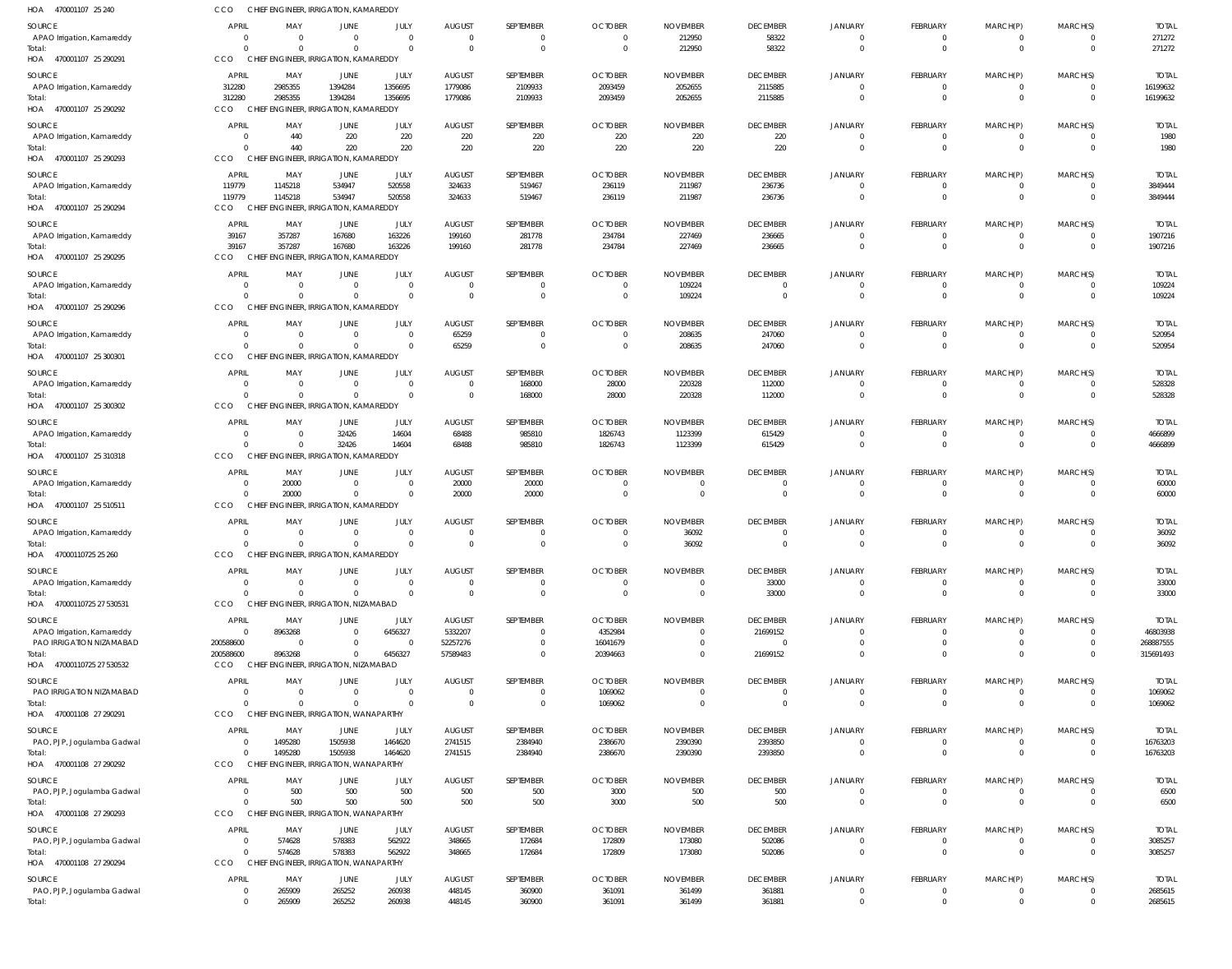| 470001107 25 240<br>HOA                     | CCO                    |                    | CHIEF ENGINEER, IRRIGATION, KAMAREDDY             |                           |                          |                            |                           |                            |                            |                            |                                |                                  |                                  |                          |
|---------------------------------------------|------------------------|--------------------|---------------------------------------------------|---------------------------|--------------------------|----------------------------|---------------------------|----------------------------|----------------------------|----------------------------|--------------------------------|----------------------------------|----------------------------------|--------------------------|
| <b>SOURCE</b>                               | <b>APRIL</b>           | MAY                | JUNE                                              | JULY                      | <b>AUGUST</b>            | SEPTEMBER                  | <b>OCTOBER</b>            | <b>NOVEMBER</b>            | <b>DECEMBER</b>            | <b>JANUARY</b>             | <b>FEBRUARY</b>                | MARCH(P)                         | MARCH(S)                         | <b>TOTAL</b>             |
| APAO Irrigation, Kamareddy                  | -C                     |                    | $\overline{0}$                                    | $\overline{0}$            | $\overline{0}$           | $\mathbf 0$                | $\Omega$                  | 212950                     | 58322                      | $\Omega$                   | $\mathbf 0$                    | $\overline{0}$                   | $\overline{0}$                   | 271272                   |
| Total:<br>HOA 470001107 25 290291           | CCO                    |                    | $\Omega$<br>CHIEF ENGINEER, IRRIGATION, KAMAREDDY | $\Omega$                  | $\Omega$                 | $\mathbf{0}$               | $\Omega$                  | 212950                     | 58322                      | $\Omega$                   | $\mathbf 0$                    | $\overline{0}$                   | $\overline{0}$                   | 271272                   |
|                                             |                        |                    |                                                   |                           |                          |                            |                           |                            |                            |                            |                                |                                  |                                  |                          |
| <b>SOURCE</b><br>APAO Irrigation, Kamareddy | <b>APRIL</b><br>312280 | MAY<br>2985355     | <b>JUNE</b><br>1394284                            | JULY<br>1356695           | <b>AUGUST</b><br>1779086 | SEPTEMBER<br>2109933       | <b>OCTOBER</b><br>2093459 | <b>NOVEMBER</b><br>2052655 | <b>DECEMBER</b><br>2115885 | <b>JANUARY</b><br>$\Omega$ | <b>FEBRUARY</b><br>$\Omega$    | MARCH(P)<br>$\overline{0}$       | MARCH(S)<br>$^{\circ}$           | <b>TOTAL</b><br>16199632 |
| Total:                                      | 312280                 | 2985355            | 1394284                                           | 1356695                   | 1779086                  | 2109933                    | 2093459                   | 2052655                    | 2115885                    | $\Omega$                   | $\mathbf 0$                    | $\mathbf{0}$                     | $\overline{0}$                   | 16199632                 |
| HOA 470001107 25 290292                     | CCO                    |                    | CHIEF ENGINEER, IRRIGATION, KAMAREDDY             |                           |                          |                            |                           |                            |                            |                            |                                |                                  |                                  |                          |
| <b>SOURCE</b>                               | APRIL                  | MAY                | <b>JUNE</b>                                       | JULY                      | <b>AUGUST</b>            | SEPTEMBER                  | <b>OCTOBER</b>            | <b>NOVEMBER</b>            | <b>DECEMBER</b>            | <b>JANUARY</b>             | <b>FEBRUARY</b>                | MARCH(P)                         | MARCH(S)                         | <b>TOTAL</b>             |
| APAO Irrigation, Kamareddy                  |                        | 440                | 220                                               | 220                       | 220                      | 220                        | 220                       | 220                        | 220                        | $\Omega$                   | 0                              | $\overline{0}$                   | $\mathbf 0$                      | 1980                     |
| Total:<br>HOA 470001107 25 290293           | CCO                    | 440                | 220<br>CHIEF ENGINEER, IRRIGATION, KAMAREDDY      | 220                       | 220                      | 220                        | 220                       | 220                        | 220                        | $\Omega$                   | $\mathbf 0$                    | $\overline{0}$                   | $\overline{0}$                   | 1980                     |
|                                             | <b>APRIL</b>           |                    |                                                   |                           |                          |                            |                           |                            |                            |                            |                                |                                  |                                  |                          |
| <b>SOURCE</b><br>APAO Irrigation, Kamareddy | 119779                 | MAY<br>1145218     | <b>JUNE</b><br>534947                             | JULY<br>520558            | <b>AUGUST</b><br>324633  | SEPTEMBER<br>519467        | <b>OCTOBER</b><br>236119  | <b>NOVEMBER</b><br>211987  | <b>DECEMBER</b><br>236736  | <b>JANUARY</b><br>$\Omega$ | <b>FEBRUARY</b><br>$\mathbf 0$ | MARCH(P)<br>$\overline{0}$       | MARCH(S)<br>$\mathbf 0$          | <b>TOTAL</b><br>3849444  |
| Total:                                      | 119779                 | 1145218            | 534947                                            | 520558                    | 324633                   | 519467                     | 236119                    | 211987                     | 236736                     | $\Omega$                   | $\overline{0}$                 | $\mathbf{0}$                     | $\mathbf 0$                      | 3849444                  |
| HOA<br>470001107 25 290294                  | CCO                    | <b>CHIEF</b>       | ENGINEER, IRRIGATION, KAMAREDDY                   |                           |                          |                            |                           |                            |                            |                            |                                |                                  |                                  |                          |
| SOURCE                                      | <b>APRIL</b>           | MAY                | JUNE                                              | JULY                      | <b>AUGUST</b>            | SEPTEMBER                  | <b>OCTOBER</b>            | <b>NOVEMBER</b>            | <b>DECEMBER</b>            | <b>JANUARY</b>             | <b>FEBRUARY</b>                | MARCH(P)                         | MARCH(S)                         | <b>TOTAL</b>             |
| APAO Irrigation, Kamareddy                  | 39167                  | 357287             | 167680                                            | 163226                    | 199160                   | 281778                     | 234784                    | 227469                     | 236665                     | $\Omega$                   | $\mathbf 0$                    | $\overline{0}$                   | $\mathbf 0$                      | 1907216                  |
| Total:<br>HOA 470001107 25 290295           | 39167<br>CCO           | 357287             | 167680<br>CHIEF ENGINEER, IRRIGATION, KAMAREDDY   | 163226                    | 199160                   | 281778                     | 234784                    | 227469                     | 236665                     | $\Omega$                   | $\mathbf 0$                    | $\overline{0}$                   | $\overline{0}$                   | 1907216                  |
|                                             | <b>APRIL</b>           | MAY                | JUNE                                              | JULY                      | <b>AUGUST</b>            | SEPTEMBER                  | <b>OCTOBER</b>            | <b>NOVEMBER</b>            | <b>DECEMBER</b>            | <b>JANUARY</b>             | <b>FEBRUARY</b>                |                                  | MARCH(S)                         | <b>TOTAL</b>             |
| SOURCE<br>APAO Irrigation, Kamareddy        |                        | $\Omega$           | $\Omega$                                          | $\Omega$                  | $\Omega$                 | $\overline{0}$             |                           | 109224                     | $\overline{0}$             | $\Omega$                   | 0                              | MARCH(P)<br>$\overline{0}$       | $\mathbf 0$                      | 109224                   |
| Total:                                      |                        | $\Omega$           | $\Omega$                                          | $\Omega$                  | $\Omega$                 | $\mathbf 0$                | $\Omega$                  | 109224                     | $\overline{0}$             | $\Omega$                   | $\mathbf 0$                    | $\mathbf{0}$                     | $\mathbf 0$                      | 109224                   |
| HOA 470001107 25 290296                     | CCO                    |                    | CHIEF ENGINEER, IRRIGATION, KAMAREDDY             |                           |                          |                            |                           |                            |                            |                            |                                |                                  |                                  |                          |
| <b>SOURCE</b>                               | <b>APRIL</b>           | MAY                | <b>JUNE</b>                                       | JULY                      | <b>AUGUST</b>            | SEPTEMBER                  | <b>OCTOBER</b>            | <b>NOVEMBER</b>            | <b>DECEMBER</b>            | <b>JANUARY</b>             | <b>FEBRUARY</b>                | MARCH(P)                         | MARCH(S)                         | <b>TOTAL</b>             |
| APAO Irrigation, Kamareddy                  |                        | $\Omega$           | $\overline{0}$                                    | $\overline{0}$            | 65259                    | $\overline{0}$             | $\Omega$                  | 208635                     | 247060                     | $\Omega$                   | $\mathbf 0$                    | $\overline{0}$                   | $\mathbf 0$                      | 520954                   |
| Total:<br>HOA 470001107 25 300301           | CCO                    | $\Omega$           | $\Omega$<br>CHIEF ENGINEER, IRRIGATION, KAMAREDDY | $\Omega$                  | 65259                    | $\mathbf 0$                | $\Omega$                  | 208635                     | 247060                     | $\Omega$                   | $\mathbf 0$                    | $\overline{0}$                   | $\overline{0}$                   | 520954                   |
| <b>SOURCE</b>                               | <b>APRIL</b>           | MAY                | <b>JUNE</b>                                       | JULY                      | <b>AUGUST</b>            | SEPTEMBER                  | <b>OCTOBER</b>            | <b>NOVEMBER</b>            | <b>DECEMBER</b>            | <b>JANUARY</b>             | <b>FEBRUARY</b>                | MARCH(P)                         | MARCH(S)                         | <b>TOTAL</b>             |
| APAO Irrigation, Kamareddy                  |                        | $\Omega$           | $\Omega$                                          | $\Omega$                  | $\Omega$                 | 168000                     | 28000                     | 220328                     | 112000                     | $\Omega$                   | $\mathbf 0$                    | $\overline{0}$                   | $^{\circ}$                       | 528328                   |
| Total:                                      |                        | $\Omega$           | $\Omega$                                          | $\Omega$                  | $\Omega$                 | 168000                     | 28000                     | 220328                     | 112000                     | $\Omega$                   | $\Omega$                       | $\mathbf{0}$                     | $\overline{0}$                   | 528328                   |
| HOA 470001107 25 300302                     | CCO                    |                    | CHIEF ENGINEER, IRRIGATION, KAMAREDDY             |                           |                          |                            |                           |                            |                            |                            |                                |                                  |                                  |                          |
| <b>SOURCE</b>                               | <b>APRIL</b>           | MAY                | <b>JUNE</b>                                       | JULY                      | <b>AUGUST</b>            | SEPTEMBER                  | <b>OCTOBER</b>            | <b>NOVEMBER</b>            | <b>DECEMBER</b>            | <b>JANUARY</b>             | <b>FEBRUARY</b>                | MARCH(P)                         | MARCH(S)                         | <b>TOTAL</b>             |
| APAO Irrigation, Kamareddy                  | -C                     | $\Omega$           | 32426                                             | 14604                     | 68488                    | 985810                     | 1826743                   | 1123399                    | 615429                     | $\Omega$                   | $\mathbf 0$                    | $\overline{0}$                   | $\mathbf 0$                      | 4666899                  |
| Total:<br>HOA 470001107 25 310318           | CCO                    |                    | 32426<br>CHIEF ENGINEER, IRRIGATION, KAMAREDDY    | 14604                     | 68488                    | 985810                     | 1826743                   | 1123399                    | 615429                     | $\Omega$                   | $\mathbf 0$                    | $\overline{0}$                   | $\overline{0}$                   | 4666899                  |
| SOURCE                                      | <b>APRIL</b>           | MAY                | JUNE                                              | JULY                      | <b>AUGUST</b>            | SEPTEMBER                  | <b>OCTOBER</b>            | <b>NOVEMBER</b>            | <b>DECEMBER</b>            | <b>JANUARY</b>             | <b>FEBRUARY</b>                | MARCH(P)                         | MARCH(S)                         | <b>TOTAL</b>             |
| APAO Irrigation, Kamareddy                  |                        | 20000              | $\overline{0}$                                    | $\Omega$                  | 20000                    | 20000                      |                           | -0                         | $\Omega$                   |                            | $\Omega$                       | $\overline{0}$                   | $\mathbf{0}$                     | 60000                    |
| Total:                                      |                        | 20000              | $\Omega$                                          | $\mathbf 0$               | 20000                    | 20000                      | $\Omega$                  | $\Omega$                   | $\overline{0}$             | $\Omega$                   | $\overline{0}$                 | $\mathbf{0}$                     | $\mathbf{0}$                     | 60000                    |
| HOA 470001107 25 510511                     | CCO                    |                    | CHIEF ENGINEER, IRRIGATION, KAMAREDDY             |                           |                          |                            |                           |                            |                            |                            |                                |                                  |                                  |                          |
| <b>SOURCE</b>                               | <b>APRIL</b>           | MAY                | JUNE                                              | JULY                      | <b>AUGUST</b>            | SEPTEMBER                  | <b>OCTOBER</b>            | <b>NOVEMBER</b>            | <b>DECEMBER</b>            | <b>JANUARY</b>             | <b>FEBRUARY</b>                | MARCH(P)                         | MARCH(S)                         | <b>TOTAL</b>             |
| APAO Irrigation, Kamareddy                  |                        |                    | $\mathbf{0}$                                      | $\mathbf 0$               | $\overline{0}$           | $\overline{0}$             |                           | 36092                      | $\overline{0}$             | $\Omega$                   | 0                              | $\overline{0}$                   | $^{\circ}$                       | 36092                    |
| Total:<br>HOA<br>47000110725 25 260         | $\Omega$<br>CCO        | $\Omega$           | $\Omega$<br>CHIEF ENGINEER, IRRIGATION, KAMAREDDY | $\mathbf 0$               | $\overline{0}$           | $\mathbf 0$                | $\Omega$                  | 36092                      | $\Omega$                   | $\Omega$                   | $\Omega$                       | $\mathbf{0}$                     | $\mathbf 0$                      | 36092                    |
| <b>SOURCE</b>                               | <b>APRIL</b>           | MAY                | <b>JUNE</b>                                       | JULY                      | <b>AUGUST</b>            | SEPTEMBER                  | <b>OCTOBER</b>            | <b>NOVEMBER</b>            | <b>DECEMBER</b>            | <b>JANUARY</b>             | <b>FEBRUARY</b>                | MARCH(P)                         | MARCH(S)                         | <b>TOTAL</b>             |
| APAO Irrigation, Kamareddy                  | $\Omega$               | $\Omega$           | $\overline{0}$                                    | $\mathbf 0$               | $\overline{0}$           | $\overline{0}$             | $\Omega$                  | $\overline{0}$             | 33000                      | $\Omega$                   | $\mathbf 0$                    | $\overline{0}$                   | $\mathbf{0}$                     | 33000                    |
| Total:                                      |                        | $\Omega$           | $\Omega$                                          | $\Omega$                  | $\Omega$                 | $\mathbf 0$                | $\Omega$                  | $\Omega$                   | 33000                      | $\Omega$                   | $\Omega$                       | $\overline{0}$                   | $\mathbf{0}$                     | 33000                    |
| HOA 47000110725 27 530531                   | <b>CCO</b>             |                    | CHIEF ENGINEER, IRRIGATION, NIZAMABAD             |                           |                          |                            |                           |                            |                            |                            |                                |                                  |                                  |                          |
| SOURCE                                      | <b>APRIL</b>           | MAY                | JUNE                                              | JULY                      | <b>AUGUST</b>            | SEPTEMBER                  | <b>OCTOBER</b>            | <b>NOVEMBER</b>            | <b>DECEMBER</b>            | <b>JANUARY</b>             | <b>FEBRUARY</b>                | MARCH(P)                         | MARCH(S)                         | <b>TOTAL</b>             |
| APAO Irrigation, Kamareddy                  |                        | 8963268            | $\overline{0}$                                    | 6456327                   | 5332207                  | $\mathbf 0$                | 4352984                   | $\overline{0}$             | 21699152                   | $\Omega$                   | $\mathbf 0$                    | $\overline{0}$                   | $\mathbf 0$                      | 46803938                 |
| PAO IRRIGATION NIZAMABAD<br>Total:          | 200588600<br>200588600 | 8963268            | $\overline{0}$<br>$\Omega$                        | $\overline{0}$<br>6456327 | 52257276<br>57589483     | $\mathbf 0$<br>$\mathbf 0$ | 16041679<br>20394663      | -0<br>$\Omega$             | $\overline{0}$<br>21699152 | $\Omega$<br>$\Omega$       | $\mathbf 0$<br>$\mathbf 0$     | $\overline{0}$<br>$\overline{0}$ | $\mathbf 0$<br>$\overline{0}$    | 268887555<br>315691493   |
| HOA 47000110725 27 530532                   | <b>CCO</b>             |                    | CHIEF ENGINEER, IRRIGATION, NIZAMABAD             |                           |                          |                            |                           |                            |                            |                            |                                |                                  |                                  |                          |
| SOURCE                                      | <b>APRIL</b>           | MAY                | <b>JUNE</b>                                       | JULY                      | <b>AUGUST</b>            | SEPTEMBER                  | <b>OCTOBER</b>            | <b>NOVEMBER</b>            | <b>DECEMBER</b>            | <b>JANUARY</b>             | <b>FEBRUARY</b>                | MARCH(P)                         | MARCH(S)                         | <b>TOTAL</b>             |
| PAO IRRIGATION NIZAMABAD                    |                        |                    | $\Omega$                                          | $\Omega$                  | $\Omega$                 | $\overline{0}$             | 1069062                   | $\Omega$                   | $\overline{0}$             | $\Omega$                   | $\mathbf 0$                    | $\overline{0}$                   | $\mathbf 0$                      | 1069062                  |
| Total:                                      |                        |                    | $\Omega$                                          | $\Omega$                  | $\Omega$                 | $\mathbf{0}$               | 1069062                   | $\Omega$                   | $\overline{0}$             | $\Omega$                   | $\mathbf 0$                    | $\mathbf{0}$                     | $\mathbf{0}$                     | 1069062                  |
| HOA 470001108 27 290291                     | CCO                    |                    | CHIEF ENGINEER, IRRIGATION, WANAPARTHY            |                           |                          |                            |                           |                            |                            |                            |                                |                                  |                                  |                          |
| <b>SOURCE</b>                               | <b>APRIL</b>           | MAY                | <b>JUNE</b>                                       | JULY                      | <b>AUGUST</b>            | SEPTEMBER                  | <b>OCTOBER</b>            | <b>NOVEMBER</b>            | <b>DECEMBER</b>            | <b>JANUARY</b>             | <b>FEBRUARY</b>                | MARCH(P)                         | MARCH(S)                         | <b>TOTAL</b>             |
| PAO, PJP, Jogulamba Gadwal<br>Total:        | $\Omega$               | 1495280<br>1495280 | 1505938<br>1505938                                | 1464620<br>1464620        | 2741515<br>2741515       | 2384940<br>2384940         | 2386670<br>2386670        | 2390390<br>2390390         | 2393850<br>2393850         | $\Omega$<br>$\Omega$       | $\mathbf 0$<br>$\mathbf 0$     | $\overline{0}$<br>$\overline{0}$ | $\overline{0}$<br>$\overline{0}$ | 16763203<br>16763203     |
| HOA 470001108 27 290292                     | CCO                    |                    | CHIEF ENGINEER, IRRIGATION, WANAPARTHY            |                           |                          |                            |                           |                            |                            |                            |                                |                                  |                                  |                          |
| SOURCE                                      | APRIL                  | MAY                | <b>JUNE</b>                                       | JULY                      | <b>AUGUST</b>            | SEPTEMBER                  | <b>OCTOBER</b>            | <b>NOVEMBER</b>            | <b>DECEMBER</b>            | <b>JANUARY</b>             | <b>FEBRUARY</b>                | MARCH(P)                         | MARCH(S)                         | <b>TOTAL</b>             |
| PAO, PJP, Jogulamba Gadwal                  |                        | 500                | 500                                               | 500                       | 500                      | 500                        | 3000                      | 500                        | 500                        | $\Omega$                   | 0                              | $\overline{0}$                   | $^{\circ}$                       | 6500                     |
| Total:                                      |                        | 500                | 500                                               | 500                       | 500                      | 500                        | 3000                      | 500                        | 500                        | $\Omega$                   | $\overline{0}$                 | $\mathbf{0}$                     | $\mathbf 0$                      | 6500                     |
| HOA 470001108 27 290293                     | CCO                    |                    | CHIEF ENGINEER, IRRIGATION, WANAPARTHY            |                           |                          |                            |                           |                            |                            |                            |                                |                                  |                                  |                          |
| SOURCE                                      | <b>APRIL</b>           | MAY                | <b>JUNE</b>                                       | JULY                      | <b>AUGUST</b>            | SEPTEMBER                  | <b>OCTOBER</b>            | <b>NOVEMBER</b>            | <b>DECEMBER</b>            | <b>JANUARY</b>             | <b>FEBRUARY</b>                | MARCH(P)                         | MARCH(S)                         | <b>TOTAL</b>             |
| PAO, PJP, Jogulamba Gadwal<br>Total:        | $\Omega$               | 574628<br>574628   | 578383<br>578383                                  | 562922<br>562922          | 348665<br>348665         | 172684<br>172684           | 172809<br>172809          | 173080<br>173080           | 502086<br>502086           | $\Omega$<br>$\Omega$       | 0<br>$\mathbf 0$               | $\overline{0}$<br>$\mathbf{0}$   | $\mathbf 0$<br>$\mathbf 0$       | 3085257<br>3085257       |
| HOA 470001108 27 290294                     | CCO                    |                    | CHIEF ENGINEER, IRRIGATION, WANAPARTHY            |                           |                          |                            |                           |                            |                            |                            |                                |                                  |                                  |                          |
| <b>SOURCE</b>                               | <b>APRIL</b>           | MAY                | JUNE                                              | JULY                      | <b>AUGUST</b>            | SEPTEMBER                  | <b>OCTOBER</b>            | <b>NOVEMBER</b>            | <b>DECEMBER</b>            | <b>JANUARY</b>             | <b>FEBRUARY</b>                | MARCH(P)                         | MARCH(S)                         | <b>TOTAL</b>             |
| PAO, PJP, Jogulamba Gadwal                  |                        | 265909             | 265252                                            | 260938                    | 448145                   | 360900                     | 361091                    | 361499                     | 361881                     | $\Omega$                   | 0                              | $\overline{0}$                   | $\mathbf 0$                      | 2685615                  |
| Total:                                      | $\Omega$               | 265909             | 265252                                            | 260938                    | 448145                   | 360900                     | 361091                    | 361499                     | 361881                     | $\Omega$                   | $\mathbf 0$                    | $\mathbf{0}$                     | $\overline{0}$                   | 2685615                  |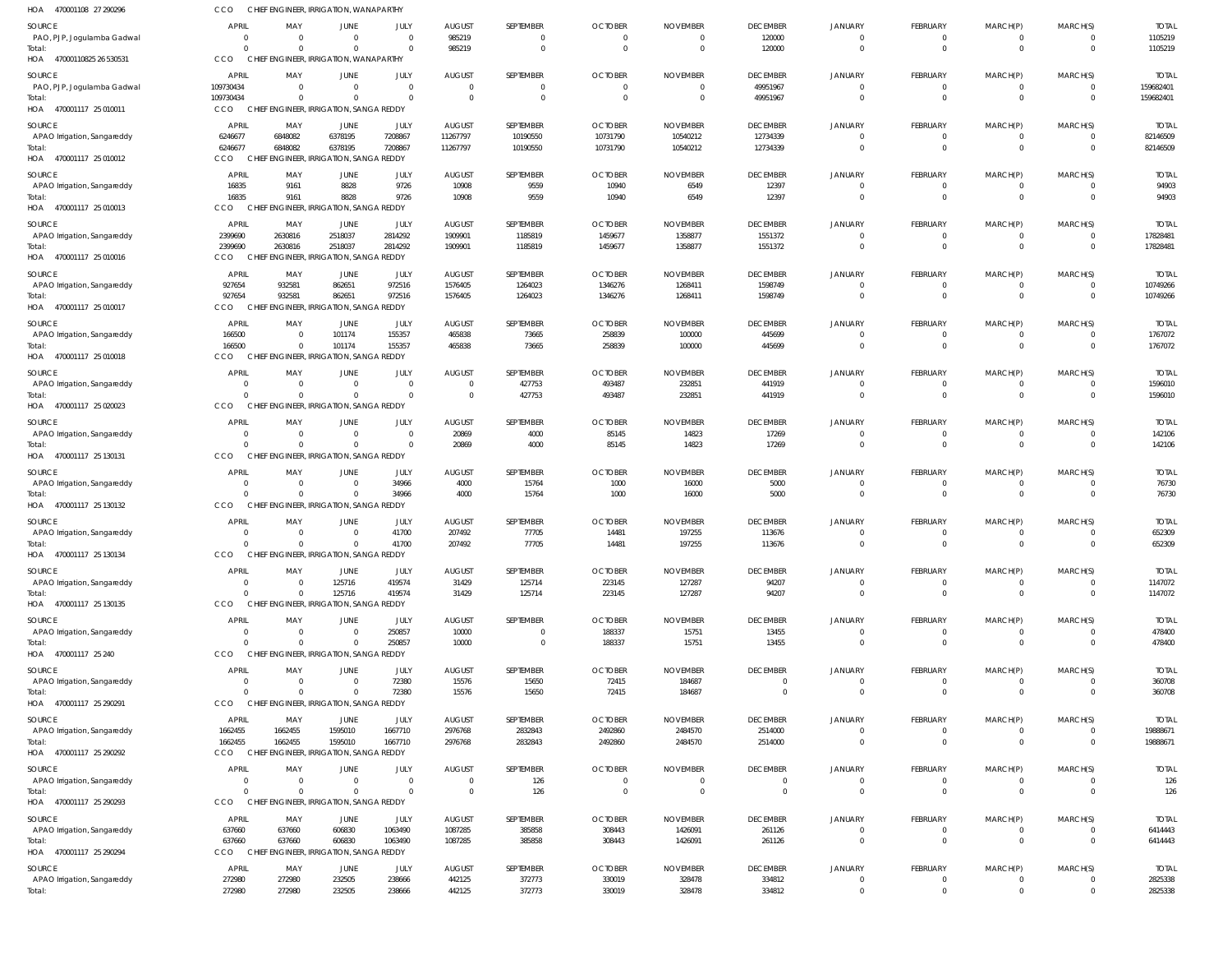| HOA 470001108 27 290296               | CCO                            | CHIEF ENGINEER, IRRIGATION, WANAPARTHY              |                                         |                      |                                  |                             |                                  |                             |                            |                                  |                      |                  |                      |                          |
|---------------------------------------|--------------------------------|-----------------------------------------------------|-----------------------------------------|----------------------|----------------------------------|-----------------------------|----------------------------------|-----------------------------|----------------------------|----------------------------------|----------------------|------------------|----------------------|--------------------------|
| SOURCE                                | <b>APRIL</b>                   | MAY                                                 | JUNE                                    | JULY                 | <b>AUGUST</b>                    | SEPTEMBER                   | <b>OCTOBER</b>                   | <b>NOVEMBER</b>             | <b>DECEMBER</b>            | <b>JANUARY</b>                   | FEBRUARY             | MARCH(P)         | MARCH(S)             | <b>TOTAL</b>             |
| PAO, PJP, Jogulamba Gadwal            | $\Omega$                       | $\Omega$                                            | $\Omega$                                | $\Omega$             | 985219                           | $\mathbf 0$                 | $\overline{0}$                   | $\overline{0}$              | 120000                     | $\Omega$                         | 0                    | 0                | $\overline{0}$       | 1105219                  |
| Total:                                | $\Omega$                       | $\Omega$                                            | $\Omega$                                | $\Omega$             | 985219                           | $\mathbf 0$                 | $\overline{0}$                   | $\overline{0}$              | 120000                     | $\Omega$                         | $\mathbf 0$          | $\overline{0}$   | $\Omega$             | 1105219                  |
| HOA 47000110825 26 530531             | CCO                            | CHIEF ENGINEER, IRRIGATION, WANAPARTHY              |                                         |                      |                                  |                             |                                  |                             |                            |                                  |                      |                  |                      |                          |
| SOURCE                                | APRIL                          | MAY                                                 | JUNE<br>$\Omega$                        | JULY<br>$\Omega$     | <b>AUGUST</b>                    | SEPTEMBER                   | <b>OCTOBER</b>                   | <b>NOVEMBER</b><br>$\Omega$ | <b>DECEMBER</b>            | <b>JANUARY</b>                   | FEBRUARY             | MARCH(P)         | MARCH(S)             | <b>TOTAI</b>             |
| PAO, PJP, Jogulamba Gadwal<br>Total:  | 109730434<br>109730434         | $\overline{\mathbf{0}}$<br>$\Omega$                 | $\Omega$                                | $\Omega$             | $\mathbf 0$<br>$\Omega$          | $\Omega$<br>$\Omega$        | $\overline{0}$<br>$\overline{0}$ | $\overline{0}$              | 49951967<br>49951967       | $\Omega$                         | $\Omega$             | $\Omega$         | $\Omega$             | 159682401<br>159682401   |
| HOA 470001117 25 010011               | <b>CCO</b>                     | CHIEF ENGINEER, IRRIGATION, SANGA REDDY             |                                         |                      |                                  |                             |                                  |                             |                            |                                  |                      |                  |                      |                          |
| SOURCE                                | APRIL                          | MAY                                                 | JUNE                                    | <b>JULY</b>          | <b>AUGUST</b>                    | SEPTEMBER                   | <b>OCTOBER</b>                   | <b>NOVEMBER</b>             | <b>DECEMBER</b>            | <b>JANUARY</b>                   | FEBRUARY             | MARCH(P)         | MARCH(S)             | <b>TOTAI</b>             |
| APAO Irrigation, Sangareddy           | 6246677                        | 6848082                                             | 6378195                                 | 7208867              | 11267797                         | 10190550                    | 10731790                         | 10540212                    | 12734339                   | $\Omega$                         | 0                    | 0                |                      | 82146509                 |
| Total:                                | 6246677                        | 6848082                                             | 6378195                                 | 7208867              | 11267797                         | 10190550                    | 10731790                         | 10540212                    | 12734339                   | $\Omega$                         | $\mathbf 0$          | $\mathbf 0$      | $\Omega$             | 82146509                 |
| HOA 470001117 25 010012               | CCO                            | CHIEF ENGINEER, IRRIGATION, SANGA REDDY             |                                         |                      |                                  |                             |                                  |                             |                            |                                  |                      |                  |                      |                          |
| SOURCE                                | <b>APRIL</b>                   | MAY                                                 | JUNE                                    | JULY                 | <b>AUGUST</b>                    | SEPTEMBER                   | <b>OCTOBER</b>                   | <b>NOVEMBER</b>             | <b>DECEMBER</b>            | <b>JANUARY</b>                   | FEBRUARY             | MARCH(P)         | MARCH(S)             | <b>TOTAL</b>             |
| APAO Irrigation, Sangareddy<br>Total: | 16835<br>16835                 | 9161<br>9161                                        | 8828<br>8828                            | 9726<br>9726         | 10908<br>10908                   | 9559<br>9559                | 10940<br>10940                   | 6549<br>6549                | 12397<br>12397             | $\Omega$<br>$\Omega$             | $\Omega$<br>$\Omega$ | 0<br>$\Omega$    | $\Omega$             | 94903<br>94903           |
| HOA 470001117 25 010013               | CCO                            | <b>CHIEF EN</b>                                     | <b>IGINEER, IRRIGATION, SANGA REDDY</b> |                      |                                  |                             |                                  |                             |                            |                                  |                      |                  |                      |                          |
| SOURCE                                | APRIL                          | MAY                                                 | JUNE                                    | JULY                 | <b>AUGUST</b>                    | SEPTEMBER                   | <b>OCTOBER</b>                   | <b>NOVEMBER</b>             | <b>DECEMBER</b>            | <b>JANUARY</b>                   | FEBRUARY             | MARCH(P)         | MARCH(S)             | <b>TOTAL</b>             |
| APAO Irrigation, Sangareddy           | 2399690                        | 2630816                                             | 2518037                                 | 2814292              | 1909901                          | 1185819                     | 1459677                          | 1358877                     | 1551372                    | $\Omega$                         | 0                    | 0                | $\Omega$             | 17828481                 |
| Total:                                | 2399690                        | 2630816                                             | 2518037                                 | 2814292              | 1909901                          | 1185819                     | 1459677                          | 1358877                     | 1551372                    | $\Omega$                         | $\Omega$             | $\Omega$         | $\Omega$             | 17828481                 |
| HOA 470001117 25 010016               | CCO                            | CHIEF ENGINEER, IRRIGATION, SANGA REDDY             |                                         |                      |                                  |                             |                                  |                             |                            |                                  |                      |                  |                      |                          |
| SOURCE                                | APRIL                          | MAY                                                 | JUNE                                    | JULY                 | <b>AUGUST</b>                    | SEPTEMBER                   | <b>OCTOBER</b>                   | <b>NOVEMBER</b>             | <b>DECEMBER</b>            | <b>JANUARY</b>                   | FEBRUARY             | MARCH(P)         | MARCH(S)             | <b>TOTAL</b>             |
| APAO Irrigation, Sangareddy<br>Total: | 927654<br>927654               | 932581<br>932581                                    | 862651<br>862651                        | 972516<br>972516     | 1576405<br>1576405               | 1264023<br>1264023          | 1346276<br>1346276               | 1268411<br>1268411          | 1598749<br>1598749         | $\Omega$                         | 0<br>$\mathbf 0$     | 0<br>$\mathbf 0$ | $\Omega$             | 10749266<br>10749266     |
| HOA 470001117 25 010017               | CCO                            | CHIEF ENGINEER, IRRIGATION, SANGA REDDY             |                                         |                      |                                  |                             |                                  |                             |                            |                                  |                      |                  |                      |                          |
| SOURCE                                | APRIL                          | MAY                                                 | JUNE                                    | JULY                 | <b>AUGUST</b>                    | SEPTEMBER                   | <b>OCTOBER</b>                   | <b>NOVEMBER</b>             | <b>DECEMBER</b>            | <b>JANUARY</b>                   | FEBRUARY             | MARCH(P)         | MARCH(S)             | <b>TOTAL</b>             |
| APAO Irrigation, Sangareddy           | 166500                         | $\overline{\mathbf{0}}$                             | 101174                                  | 155357               | 465838                           | 73665                       | 258839                           | 100000                      | 445699                     | $\Omega$                         | 0                    | $\Omega$         |                      | 1767072                  |
| Total:                                | 166500                         | $\Omega$                                            | 101174                                  | 155357               | 465838                           | 73665                       | 258839                           | 100000                      | 445699                     | $\Omega$                         | $\mathbf 0$          | $\mathbf 0$      | $\Omega$             | 1767072                  |
| HOA 470001117 25 010018               | CCO                            | CHIEF ENGINEER, IRRIGATION, SANGA REDDY             |                                         |                      |                                  |                             |                                  |                             |                            |                                  |                      |                  |                      |                          |
| SOURCE                                | APRIL                          | MAY                                                 | JUNE                                    | JULY                 | <b>AUGUST</b>                    | SEPTEMBER                   | <b>OCTOBER</b>                   | <b>NOVEMBER</b>             | <b>DECEMBER</b>            | <b>JANUARY</b>                   | FEBRUARY             | MARCH(P)         | MARCH(S)             | <b>TOTAL</b>             |
| APAO Irrigation, Sangareddy<br>Total: | $\Omega$<br>$\Omega$           | $\Omega$<br>$\Omega$                                | $\Omega$<br>$\Omega$                    | $\Omega$<br>$\Omega$ | $\overline{0}$<br>$\overline{0}$ | 427753<br>427753            | 493487<br>493487                 | 232851<br>232851            | 441919<br>441919           | $\Omega$<br>$\Omega$             | 0<br>$\Omega$        | 0<br>$\Omega$    | $\Omega$             | 1596010<br>1596010       |
| HOA 470001117 25 020023               | CCO                            | CHIEF ENGINEER, IRRIGATION, SANGA REDDY             |                                         |                      |                                  |                             |                                  |                             |                            |                                  |                      |                  |                      |                          |
| SOURCE                                | <b>APRIL</b>                   | MAY                                                 | JUNE                                    | JULY                 | <b>AUGUST</b>                    | SEPTEMBER                   | <b>OCTOBER</b>                   | <b>NOVEMBER</b>             | <b>DECEMBER</b>            | <b>JANUARY</b>                   | FEBRUARY             | MARCH(P)         | MARCH(S)             | <b>TOTAL</b>             |
| APAO Irrigation, Sangareddy           | $\overline{0}$                 | - 0                                                 | $\overline{0}$                          | $\Omega$             | 20869                            | 4000                        | 85145                            | 14823                       | 17269                      | $\Omega$                         | 0                    | 0                | $\Omega$             | 142106                   |
| Total:                                | $\Omega$                       | $\Omega$                                            | $\Omega$                                | $\Omega$             | 20869                            | 4000                        | 85145                            | 14823                       | 17269                      | $\Omega$                         | $\mathbf 0$          | $\mathbf 0$      | $\Omega$             | 142106                   |
| HOA 470001117 25 130131               | CCO                            | CHIEF ENGINEER, IRRIGATION, SANGA REDDY             |                                         |                      |                                  |                             |                                  |                             |                            |                                  |                      |                  |                      |                          |
| SOURCE                                | APRIL                          | MAY                                                 | JUNE                                    | JULY                 | <b>AUGUST</b>                    | SEPTEMBER                   | <b>OCTOBER</b>                   | <b>NOVEMBER</b>             | <b>DECEMBER</b>            | <b>JANUARY</b>                   | FEBRUARY             | MARCH(P)         | MARCH(S)             | <b>TOTAL</b>             |
| APAO Irrigation, Sangareddy           | $\mathbf 0$                    | $\overline{\mathbf{0}}$                             | $\overline{0}$                          | 34966                | 4000                             | 15764                       | 1000                             | 16000                       | 5000                       |                                  |                      |                  |                      | 76730                    |
| Total:<br>HOA 470001117 25 130132     | $\Omega$<br>CCO                | $\Omega$<br>CHIEF ENGINEER, IRRIGATION, SANGA REDDY | $\Omega$                                | 34966                | 4000                             | 15764                       | 1000                             | 16000                       | 5000                       | $\Omega$                         | $\Omega$             | $\Omega$         | $\Omega$             | 76730                    |
|                                       | APRIL                          |                                                     |                                         |                      |                                  | SEPTEMBER                   | <b>OCTOBER</b>                   |                             | <b>DECEMBER</b>            |                                  | FEBRUARY             |                  |                      | <b>TOTAL</b>             |
| SOURCE<br>APAO Irrigation, Sangareddy | $\Omega$                       | MAY<br>- 0                                          | JUNE<br>- 0                             | JULY<br>41700        | <b>AUGUST</b><br>207492          | 77705                       | 14481                            | <b>NOVEMBER</b><br>197255   | 113676                     | <b>JANUARY</b>                   | 0                    | MARCH(P)         | MARCH(S)             | 652309                   |
| Total:                                | $\Omega$                       | $\Omega$                                            | $\Omega$                                | 41700                | 207492                           | 77705                       | 14481                            | 197255                      | 113676                     | $\Omega$                         | $\Omega$             | $\Omega$         | $\Omega$             | 652309                   |
| HOA 470001117 25 130134               | <b>CCO</b>                     | CHIEF ENGINEER, IRRIGATION, SANGA REDDY             |                                         |                      |                                  |                             |                                  |                             |                            |                                  |                      |                  |                      |                          |
| SOURCE                                | APRIL                          | MAY                                                 | JUNE                                    | JULY                 | <b>AUGUST</b>                    | SEPTEMBER                   | <b>OCTOBER</b>                   | <b>NOVEMBER</b>             | <b>DECEMBER</b>            | <b>JANUARY</b>                   | FEBRUARY             | MARCH(P)         | MARCH(S)             | <b>TOTAL</b>             |
| APAO Irrigation, Sangareddy           | $\overline{0}$                 | $\overline{0}$                                      | 125716                                  | 419574               | 31429                            | 125714                      | 223145                           | 127287                      | 94207                      | $\Omega$                         | 0                    | $^{\circ}$       |                      | 1147072                  |
| Total:<br>HOA 470001117 25 130135     | $\Omega$<br><b>CCO</b>         | $\Omega$<br>CHIEF ENGINEER, IRRIGATION, SANGA REDDY | 125716                                  | 419574               | 31429                            | 125714                      | 223145                           | 127287                      | 94207                      | $\Omega$                         | $\Omega$             | $\mathbf 0$      | $\Omega$             | 1147072                  |
|                                       |                                |                                                     |                                         |                      |                                  |                             |                                  |                             |                            |                                  |                      |                  |                      |                          |
| SOURCE<br>APAO Irrigation, Sangareddy | <b>APRIL</b><br>$\overline{0}$ | MAY<br>$\overline{0}$                               | JUNE<br>$\overline{0}$                  | JULY<br>250857       | <b>AUGUST</b><br>10000           | SEPTEMBER<br>$\overline{0}$ | <b>OCTOBER</b><br>188337         | <b>NOVEMBER</b><br>15751    | <b>DECEMBER</b><br>13455   | <b>JANUARY</b><br>$\overline{0}$ | FEBRUARY<br>0        | MARCH(P)<br>0    | MARCH(S)             | <b>TOTAL</b><br>478400   |
| Total:                                | $\Omega$                       | $\Omega$                                            | $\Omega$                                | 250857               | 10000                            | $\mathbf 0$                 | 188337                           | 15751                       | 13455                      | $\Omega$                         | $\mathbf 0$          | $\mathbf 0$      | $\Omega$             | 478400                   |
| HOA 470001117 25 240                  | CCO                            | CHIEF ENGINEER, IRRIGATION, SANGA REDDY             |                                         |                      |                                  |                             |                                  |                             |                            |                                  |                      |                  |                      |                          |
| SOURCE                                | <b>APRIL</b>                   | MAY                                                 | JUNE                                    | JULY                 | <b>AUGUST</b>                    | SEPTEMBER                   | <b>OCTOBER</b>                   | <b>NOVEMBER</b>             | <b>DECEMBER</b>            | <b>JANUARY</b>                   | FEBRUARY             | MARCH(P)         | MARCH(S)             | <b>TOTAL</b>             |
| APAO Irrigation, Sangareddy           | $\overline{0}$                 | $\Omega$                                            | $\Omega$                                | 72380                | 15576                            | 15650                       | 72415                            | 184687                      | $\Omega$                   | $\Omega$                         | $\Omega$             | $\Omega$         |                      | 360708                   |
| Total:<br>HOA 470001117 25 290291     | $\Omega$<br><b>CCO</b>         | $\Omega$<br>CHIEF ENGINEER, IRRIGATION, SANGA REDDY | $\mathbf 0$                             | 72380                | 15576                            | 15650                       | 72415                            | 184687                      | $\Omega$                   | $\Omega$                         | $\mathbf 0$          | $\mathbf 0$      | $\Omega$             | 360708                   |
|                                       |                                |                                                     |                                         |                      |                                  |                             |                                  |                             |                            |                                  |                      |                  |                      |                          |
| SOURCE<br>APAO Irrigation, Sangareddy | APRIL<br>1662455               | MAY<br>1662455                                      | JUNE<br>1595010                         | JULY<br>1667710      | <b>AUGUST</b><br>2976768         | SEPTEMBER<br>2832843        | <b>OCTOBER</b><br>2492860        | <b>NOVEMBER</b><br>2484570  | <b>DECEMBER</b><br>2514000 | <b>JANUARY</b><br>$\Omega$       | FEBRUARY<br>0        | MARCH(P)<br>0    | MARCH(S)             | <b>TOTAL</b><br>19888671 |
| Total:                                | 1662455                        | 1662455                                             | 1595010                                 | 1667710              | 2976768                          | 2832843                     | 2492860                          | 2484570                     | 2514000                    | $\Omega$                         | $\mathbf 0$          | $\overline{0}$   | $\Omega$             | 19888671                 |
| HOA 470001117 25 290292               | CCO                            | CHIEF ENGINEER, IRRIGATION, SANGA REDDY             |                                         |                      |                                  |                             |                                  |                             |                            |                                  |                      |                  |                      |                          |
| SOURCE                                | <b>APRIL</b>                   | MAY                                                 | JUNE                                    | JULY                 | <b>AUGUST</b>                    | SEPTEMBER                   | <b>OCTOBER</b>                   | <b>NOVEMBER</b>             | <b>DECEMBER</b>            | <b>JANUARY</b>                   | FEBRUARY             | MARCH(P)         | MARCH(S)             | <b>TOTAL</b>             |
| APAO Irrigation, Sangareddy           | $\overline{0}$                 | $\Omega$                                            | $\Omega$                                | $\Omega$             | $\mathbf 0$                      | 126                         | $\overline{0}$                   | $\overline{0}$              | $\overline{0}$             | $\Omega$                         | $\mathbf 0$          | $^{\circ}$       |                      | 126                      |
| Total:                                | $\Omega$<br>CCO                | $\Omega$<br>CHIEF ENGINEER, IRRIGATION, SANGA REDDY | $\Omega$                                | $\Omega$             | $\overline{0}$                   | 126                         | $\overline{0}$                   | $\overline{0}$              | $\Omega$                   | $\Omega$                         | $\Omega$             | $\Omega$         | $\Omega$             | 126                      |
| HOA 470001117 25 290293               |                                |                                                     |                                         |                      |                                  |                             |                                  |                             |                            |                                  |                      |                  |                      |                          |
| SOURCE<br>APAO Irrigation, Sangareddy | <b>APRIL</b><br>637660         | MAY<br>637660                                       | JUNE<br>606830                          | JULY<br>1063490      | <b>AUGUST</b><br>1087285         | SEPTEMBER<br>385858         | <b>OCTOBER</b><br>308443         | <b>NOVEMBER</b><br>1426091  | <b>DECEMBER</b><br>261126  | <b>JANUARY</b><br>$\Omega$       | FEBRUARY<br>0        | MARCH(P)<br>0    | MARCH(S)<br>$\Omega$ | <b>TOTAL</b><br>6414443  |
| Total:                                | 637660                         | 637660                                              | 606830                                  | 1063490              | 1087285                          | 385858                      | 308443                           | 1426091                     | 261126                     | $\Omega$                         | $\mathbf 0$          | $\overline{0}$   | $\Omega$             | 6414443                  |
| HOA 470001117 25 290294               | CCO                            | CHIEF ENGINEER, IRRIGATION, SANGA REDDY             |                                         |                      |                                  |                             |                                  |                             |                            |                                  |                      |                  |                      |                          |
| SOURCE                                | <b>APRIL</b>                   | MAY                                                 | JUNE                                    | JULY                 | <b>AUGUST</b>                    | SEPTEMBER                   | <b>OCTOBER</b>                   | <b>NOVEMBER</b>             | <b>DECEMBER</b>            | <b>JANUARY</b>                   | FEBRUARY             | MARCH(P)         | MARCH(S)             | <b>TOTAL</b>             |
| APAO Irrigation, Sangareddy           | 272980                         | 272980                                              | 232505                                  | 238666               | 442125                           | 372773                      | 330019                           | 328478                      | 334812                     | $\Omega$                         | 0                    |                  |                      | 2825338                  |
| Total:                                | 272980                         | 272980                                              | 232505                                  | 238666               | 442125                           | 372773                      | 330019                           | 328478                      | 334812                     | $\Omega$                         | $\mathbf 0$          | $\Omega$         |                      | 2825338                  |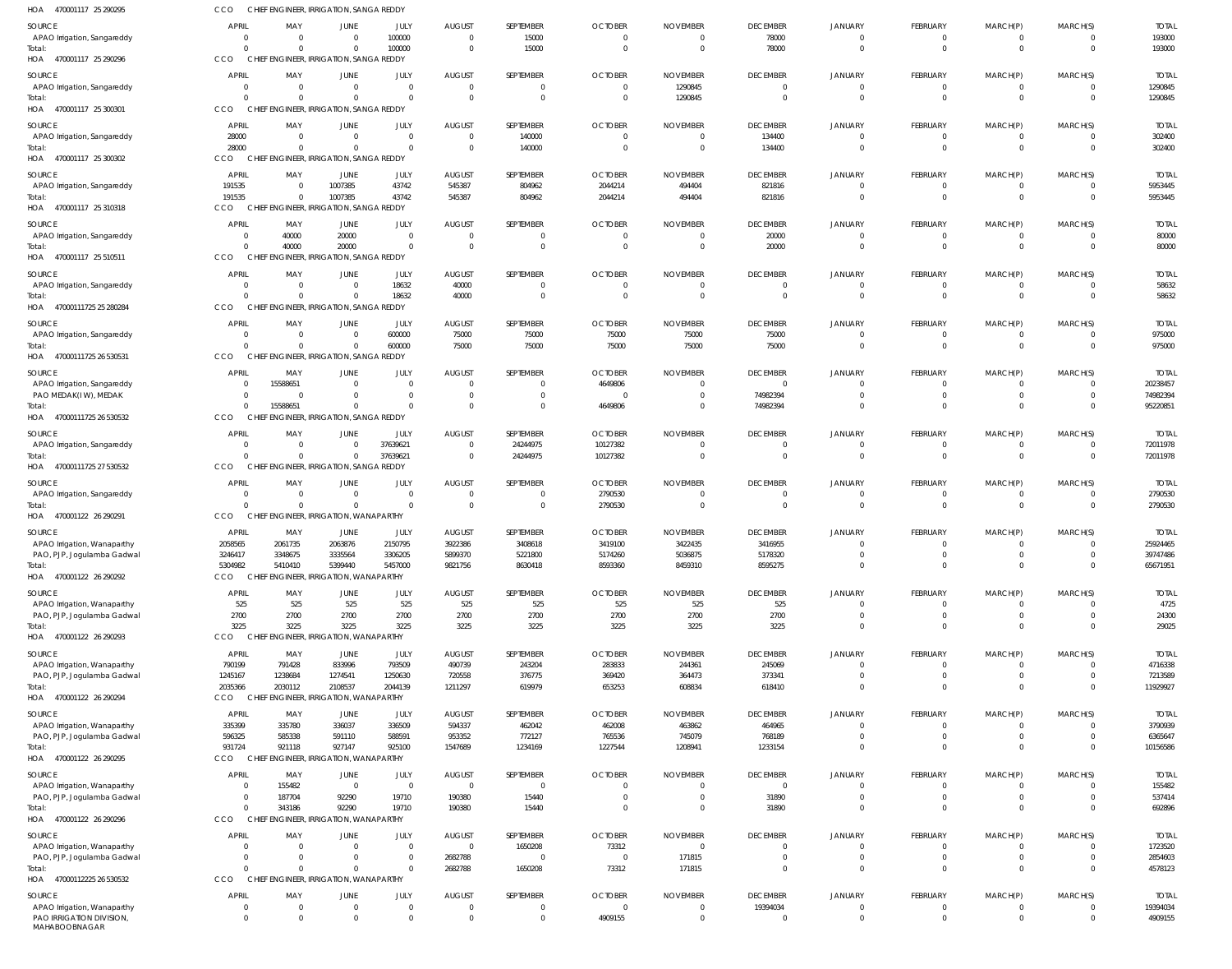| HOA<br>470001117 25 290295                                | CCO                      | CHIEF ENGINEER, IRRIGATION, SANGA REDDY                   |                         |                         |                                  |                         |                                  |                                   |                             |                            |                               |                         |                      |                          |
|-----------------------------------------------------------|--------------------------|-----------------------------------------------------------|-------------------------|-------------------------|----------------------------------|-------------------------|----------------------------------|-----------------------------------|-----------------------------|----------------------------|-------------------------------|-------------------------|----------------------|--------------------------|
| SOURCE                                                    | <b>APRIL</b>             | MAY                                                       | <b>JUNE</b>             | JULY                    | <b>AUGUST</b>                    | SEPTEMBER               | <b>OCTOBER</b>                   | <b>NOVEMBER</b>                   | <b>DECEMBER</b>             | JANUARY                    | FEBRUARY                      | MARCH(P)                | MARCH(S)             | <b>TOTAL</b>             |
| APAO Irrigation, Sangareddy                               | $\mathbf{0}$             | $\overline{0}$                                            | $\Omega$                | 100000                  | $\overline{0}$                   | 15000                   | $\overline{0}$                   | $\overline{0}$                    | 78000                       | $\Omega$                   | 0                             | 0                       | $\Omega$             | 193000                   |
| Total:<br>HOA 470001117 25 290296                         | $\Omega$<br>CCO          | $\Omega$<br>CHIEF ENGINEER, IRRIGATION, SANGA REDDY       |                         | 100000                  | $\Omega$                         | 15000                   | $\mathbf{0}$                     | $\overline{0}$                    | 78000                       | $\Omega$                   | $\Omega$                      | $\Omega$                | $\Omega$             | 193000                   |
|                                                           |                          |                                                           |                         |                         |                                  |                         |                                  |                                   |                             |                            |                               |                         |                      |                          |
| SOURCE<br>APAO Irrigation, Sangareddy                     | APRIL<br>$\overline{0}$  | MAY<br>$\overline{0}$                                     | JUNE<br>$\Omega$        | JULY<br>$\Omega$        | <b>AUGUST</b><br>$\overline{0}$  | SEPTEMBER<br>$\Omega$   | <b>OCTOBER</b><br>$\overline{0}$ | <b>NOVEMBER</b><br>1290845        | <b>DECEMBER</b><br>$\Omega$ | <b>JANUARY</b><br>$\Omega$ | <b>FEBRUARY</b><br>0          | MARCH(P)<br>0           | MARCH(S)<br>$\Omega$ | <b>TOTAL</b><br>1290845  |
| Total:                                                    | $\Omega$                 | $\Omega$                                                  | $\Omega$                | $\Omega$                | $\Omega$                         | $\Omega$                | $\overline{0}$                   | 1290845                           | $\Omega$                    | $\Omega$                   | $\mathbf 0$                   | $\overline{0}$          | $\Omega$             | 1290845                  |
| HOA 470001117 25 300301                                   | CCO                      | CHIEF ENGINEER, IRRIGATION, SANGA REDDY                   |                         |                         |                                  |                         |                                  |                                   |                             |                            |                               |                         |                      |                          |
| SOURCE                                                    | APRIL                    | MAY                                                       | <b>JUNE</b>             | JULY                    | <b>AUGUST</b>                    | SEPTEMBER               | <b>OCTOBER</b>                   | <b>NOVEMBER</b>                   | <b>DECEMBER</b>             | <b>JANUARY</b>             | <b>FEBRUARY</b>               | MARCH(P)                | MARCH(S)             | <b>TOTAL</b>             |
| APAO Irrigation, Sangareddy                               | 28000                    | $\overline{0}$                                            | $\Omega$                | $\Omega$                | $\overline{0}$                   | 140000                  | $\overline{0}$                   | 0                                 | 134400                      |                            | 0                             | 0                       |                      | 302400                   |
| Total:<br>HOA 470001117 25 300302                         | 28000<br>CCO             | $\overline{0}$<br>CHIEF ENGINEER, IRRIGATION, SANGA REDDY |                         | $\Omega$                | $\overline{0}$                   | 140000                  | $\overline{0}$                   | $\overline{0}$                    | 134400                      | $\Omega$                   | $\mathbf 0$                   | $\mathbf 0$             | $\Omega$             | 302400                   |
|                                                           |                          |                                                           |                         |                         |                                  |                         |                                  |                                   |                             |                            |                               |                         |                      |                          |
| SOURCE<br>APAO Irrigation, Sangareddy                     | <b>APRIL</b><br>191535   | MAY<br>$\overline{0}$                                     | <b>JUNE</b><br>1007385  | JULY<br>43742           | <b>AUGUST</b><br>545387          | SEPTEMBER<br>804962     | <b>OCTOBER</b><br>2044214        | <b>NOVEMBER</b><br>494404         | <b>DECEMBER</b><br>821816   | <b>JANUARY</b><br>$\Omega$ | <b>FEBRUARY</b><br>0          | MARCH(P)<br>0           | MARCH(S)             | <b>TOTAL</b><br>5953445  |
| Total:                                                    | 191535                   | $\overline{0}$                                            | 1007385                 | 43742                   | 545387                           | 804962                  | 2044214                          | 494404                            | 821816                      | $\Omega$                   | $\mathbf 0$                   | $\overline{0}$          | $\Omega$             | 5953445                  |
| HOA 470001117 25 310318                                   | CCO                      | CHIEF ENGINEER, IRRIGATION, SANGA REDDY                   |                         |                         |                                  |                         |                                  |                                   |                             |                            |                               |                         |                      |                          |
| SOURCE                                                    | APRIL                    | MAY                                                       | JUNE                    | JULY                    | <b>AUGUST</b>                    | SEPTEMBER               | <b>OCTOBER</b>                   | <b>NOVEMBER</b>                   | <b>DECEMBER</b>             | <b>JANUARY</b>             | FEBRUARY                      | MARCH(P)                | MARCH(S)             | <b>TOTAL</b>             |
| APAO Irrigation, Sangareddy                               | $\mathbf{0}$             | 40000                                                     | 20000                   | $\Omega$                | $\overline{0}$                   | 0                       | $\overline{0}$                   | $\overline{0}$                    | 20000                       | $\Omega$                   | 0                             | 0                       | $\Omega$             | 80000                    |
| Total:<br>HOA 470001117 25 510511                         | $\Omega$<br>CCO          | 40000<br>CHIEF ENGINEER, IRRIGATION, SANGA REDDY          | 20000                   | $\Omega$                | $\Omega$                         | $\mathbf 0$             | $\overline{0}$                   | $\overline{0}$                    | 20000                       | $\Omega$                   | $\Omega$                      | $\Omega$                | $\Omega$             | 80000                    |
|                                                           |                          |                                                           |                         |                         |                                  |                         |                                  |                                   |                             |                            |                               |                         |                      |                          |
| SOURCE<br>APAO Irrigation, Sangareddy                     | <b>APRIL</b><br>$\Omega$ | MAY<br>$\overline{0}$                                     | JUNE<br>$\Omega$        | JULY<br>18632           | <b>AUGUST</b><br>40000           | SEPTEMBER<br>$\Omega$   | <b>OCTOBER</b><br>$\overline{0}$ | <b>NOVEMBER</b><br>$\overline{0}$ | <b>DECEMBER</b><br>$\Omega$ | <b>JANUARY</b><br>$\Omega$ | FEBRUARY<br>0                 | MARCH(P)<br>0           | MARCH(S)<br>$\Omega$ | <b>TOTAL</b><br>58632    |
| Total:                                                    | $\Omega$                 | $\Omega$                                                  | $\Omega$                | 18632                   | 40000                            | $\Omega$                | $\overline{0}$                   | $\overline{0}$                    | $\Omega$                    | $\Omega$                   | $\mathbf 0$                   | $\mathbf 0$             | $\Omega$             | 58632                    |
| HOA 47000111725 25 280284                                 | CCO                      | CHIEF ENGINEER, IRRIGATION, SANGA REDDY                   |                         |                         |                                  |                         |                                  |                                   |                             |                            |                               |                         |                      |                          |
| SOURCE                                                    | <b>APRIL</b>             | MAY                                                       | <b>JUNE</b>             | JULY                    | <b>AUGUST</b>                    | SEPTEMBER               | <b>OCTOBER</b>                   | <b>NOVEMBER</b>                   | <b>DECEMBER</b>             | <b>JANUARY</b>             | <b>FEBRUARY</b>               | MARCH(P)                | MARCH(S)             | <b>TOTAL</b>             |
| APAO Irrigation, Sangareddy                               | $\Omega$                 | $\overline{0}$                                            | $\Omega$                | 600000                  | 75000                            | 75000                   | 75000                            | 75000                             | 75000                       |                            | 0                             | 0                       |                      | 975000                   |
| Total:<br>HOA 47000111725 26 530531                       | $\Omega$<br>CCO          | $\Omega$<br>CHIEF ENGINEER, IRRIGATION, SANGA REDDY       | $\Omega$                | 600000                  | 75000                            | 75000                   | 75000                            | 75000                             | 75000                       | $\Omega$                   | $\mathbf 0$                   | $\mathbf 0$             | $\Omega$             | 975000                   |
|                                                           |                          |                                                           |                         |                         |                                  |                         |                                  |                                   |                             |                            |                               |                         |                      |                          |
| SOURCE<br>APAO Irrigation, Sangareddy                     | <b>APRIL</b><br>$\Omega$ | MAY<br>15588651                                           | JUNE<br>$\Omega$        | JULY<br>$\Omega$        | <b>AUGUST</b><br>- 0             | SEPTEMBER<br>$^{\circ}$ | <b>OCTOBER</b><br>4649806        | <b>NOVEMBER</b><br>0              | <b>DECEMBER</b><br>$\Omega$ | <b>JANUARY</b><br>$\Omega$ | <b>FEBRUARY</b><br>0          | MARCH(P)<br>0           | MARCH(S)             | <b>TOTAI</b><br>20238457 |
| PAO MEDAK(IW), MEDAK                                      | $\Omega$                 | $\Omega$                                                  | $\Omega$                | $\Omega$                | $\overline{0}$                   | $\Omega$                | $\Omega$                         | $\Omega$                          | 74982394                    | $\Omega$                   | $\Omega$                      | $\mathbf 0$             | $\Omega$             | 74982394                 |
| Total:                                                    | $\Omega$                 | 15588651                                                  | $\Omega$                | $\Omega$                | $\Omega$                         | $\Omega$                | 4649806                          | $\Omega$                          | 74982394                    | $\Omega$                   | $\Omega$                      | $\Omega$                | $\Omega$             | 95220851                 |
| HOA 47000111725 26 530532                                 | CCO                      | CHIEF ENGINEER, IRRIGATION, SANGA REDDY                   |                         |                         |                                  |                         |                                  |                                   |                             |                            |                               |                         |                      |                          |
| SOURCE                                                    | <b>APRIL</b>             | MAY                                                       | <b>JUNE</b>             | JULY                    | <b>AUGUST</b>                    | SEPTEMBER               | <b>OCTOBER</b>                   | <b>NOVEMBER</b>                   | <b>DECEMBER</b>             | <b>JANUARY</b>             | <b>FEBRUARY</b>               | MARCH(P)                | MARCH(S)             | <b>TOTAL</b>             |
| APAO Irrigation, Sangareddy<br>Total:                     | $\Omega$<br>$\Omega$     | $\overline{0}$<br>$\Omega$                                | $\Omega$<br>$\Omega$    | 37639621<br>37639621    | $\overline{0}$<br>$\overline{0}$ | 24244975<br>24244975    | 10127382<br>10127382             | 0<br>$\overline{0}$               | $\Omega$<br>$\overline{0}$  | $\Omega$                   | 0<br>$\mathbf 0$              | 0<br>$\mathbf 0$        | $\Omega$             | 72011978<br>72011978     |
| HOA 47000111725 27 530532                                 | CCO                      | CHIEF ENGINEER, IRRIGATION, SANGA REDDY                   |                         |                         |                                  |                         |                                  |                                   |                             |                            |                               |                         |                      |                          |
| SOURCE                                                    | APRIL                    | MAY                                                       | <b>JUNE</b>             | JULY                    | <b>AUGUST</b>                    | SEPTEMBER               | <b>OCTOBER</b>                   | <b>NOVEMBER</b>                   | <b>DECEMBER</b>             | <b>JANUARY</b>             | <b>FEBRUARY</b>               | MARCH(P)                | MARCH(S)             | <b>TOTAL</b>             |
| APAO Irrigation, Sangareddy                               | $\overline{0}$           | $\overline{0}$                                            | $\Omega$                | $\Omega$                | $\overline{0}$                   | $^{\circ}$              | 2790530                          | 0                                 | $\Omega$                    | $\Omega$                   | 0                             |                         |                      | 2790530                  |
| Total:                                                    | $\Omega$                 | $\Omega$                                                  | $\Omega$                | $\Omega$                | $\overline{0}$                   | $\mathbf{0}$            | 2790530                          | $\overline{0}$                    | $\Omega$                    | $\Omega$                   | $\mathbf{0}$                  | $\overline{0}$          | $\Omega$             | 2790530                  |
| HOA 470001122 26 290291                                   | CCO                      | CHIEF ENGINEER, IRRIGATION, WANAPARTHY                    |                         |                         |                                  |                         |                                  |                                   |                             |                            |                               |                         |                      |                          |
| SOURCE                                                    | APRIL                    | MAY                                                       | JUNE                    | JULY                    | <b>AUGUST</b>                    | SEPTEMBER               | <b>OCTOBER</b>                   | <b>NOVEMBER</b>                   | <b>DECEMBER</b>             | <b>JANUARY</b>             | FEBRUARY                      | MARCH(P)                | MARCH(S)             | <b>TOTAI</b>             |
| APAO Irrigation, Wanaparthy<br>PAO, PJP, Jogulamba Gadwal | 2058565<br>3246417       | 2061735<br>3348675                                        | 2063876<br>3335564      | 2150795<br>3306205      | 3922386<br>5899370               | 3408618<br>5221800      | 3419100<br>5174260               | 3422435<br>5036875                | 3416955<br>5178320          | $\Omega$<br>$\Omega$       | $\mathbf 0$<br>0              | $\mathbf 0$             | $\Omega$             | 25924465<br>39747486     |
| Total:                                                    | 5304982                  | 5410410                                                   | 5399440                 | 5457000                 | 9821756                          | 8630418                 | 8593360                          | 8459310                           | 8595275                     | $\Omega$                   | $\mathbf 0$                   | $\Omega$                | $\Omega$             | 65671951                 |
| HOA 470001122 26 290292                                   | CCO                      | CHIEF ENGINEER, IRRIGATION, WANAPARTHY                    |                         |                         |                                  |                         |                                  |                                   |                             |                            |                               |                         |                      |                          |
| <b>SOURCE</b>                                             | APRIL                    | MAY                                                       | JUNE                    | JULY                    | <b>AUGUST</b>                    | SEPTEMBER               | <b>OCTOBER</b>                   | <b>NOVEMBER</b>                   | <b>DECEMBER</b>             | <b>JANUARY</b>             | <b>FEBRUARY</b>               | MARCH(P)                | MARCH(S)             | <b>TOTAL</b>             |
| APAO Irrigation, Wanaparthy                               | 525                      | 525                                                       | 525                     | 525                     | 525                              | 525                     | 525                              | 525                               | 525                         | $\Omega$                   | 0                             |                         |                      | 4725                     |
| PAO, PJP, Jogulamba Gadwal<br>Total:                      | 2700<br>3225             | 2700<br>3225                                              | 2700<br>3225            | 2700<br>3225            | 2700<br>3225                     | 2700<br>3225            | 2700<br>3225                     | 2700<br>3225                      | 2700<br>3225                | $\Omega$<br>$\Omega$       | $\mathbf 0$<br>$\Omega$       | $\mathbf 0$<br>$\Omega$ | $\Omega$<br>$\Omega$ | 24300<br>29025           |
| HOA 470001122 26 290293                                   | CCO                      | CHIEF ENGINEER, IRRIGATION, WANAPARTHY                    |                         |                         |                                  |                         |                                  |                                   |                             |                            |                               |                         |                      |                          |
| SOURCE                                                    | APRIL                    | MAY                                                       | JUNE                    | JULY                    | <b>AUGUST</b>                    | SEPTEMBER               | <b>OCTOBER</b>                   | <b>NOVEMBER</b>                   | <b>DECEMBER</b>             | <b>JANUARY</b>             | <b>FEBRUARY</b>               | MARCH(P)                | MARCH(S)             | <b>TOTAL</b>             |
| APAO Irrigation, Wanaparthy                               | 790199                   | 791428                                                    | 833996                  | 793509                  | 490739                           | 243204                  | 283833                           | 244361                            | 245069                      |                            | 0                             |                         |                      | 4716338                  |
| PAO, PJP, Jogulamba Gadwal                                | 1245167                  | 1238684                                                   | 1274541                 | 1250630                 | 720558                           | 376775                  | 369420                           | 364473                            | 373341                      | $\Omega$                   | 0                             | $\mathbf 0$             | $\Omega$             | 7213589                  |
| Total:<br>HOA 470001122 26 290294                         | 2035366<br>CCO           | 2030112<br>CHIEF ENGINEER, IRRIGATION, WANAPARTHY         | 2108537                 | 2044139                 | 1211297                          | 619979                  | 653253                           | 608834                            | 618410                      | $\Omega$                   | $\Omega$                      | $\Omega$                | $\Omega$             | 11929927                 |
|                                                           |                          |                                                           |                         |                         |                                  |                         |                                  |                                   |                             |                            |                               |                         |                      |                          |
| SOURCE<br>APAO Irrigation, Wanaparthy                     | APRIL<br>335399          | MAY<br>335780                                             | JUNE<br>336037          | JULY<br>336509          | <b>AUGUST</b><br>594337          | SEPTEMBER<br>462042     | <b>OCTOBER</b><br>462008         | <b>NOVEMBER</b><br>463862         | <b>DECEMBER</b><br>464965   | <b>JANUARY</b><br>$\Omega$ | FEBRUARY<br>0                 | MARCH(P)<br>0           | MARCH(S)             | <b>TOTAI</b><br>3790939  |
| PAO, PJP, Jogulamba Gadwal                                | 596325                   | 585338                                                    | 591110                  | 588591                  | 953352                           | 772127                  | 765536                           | 745079                            | 768189                      | $\Omega$                   | $\mathbf 0$                   | $\mathbf 0$             | $\Omega$             | 6365647                  |
| Total:                                                    | 931724                   | 921118                                                    | 927147                  | 925100                  | 1547689                          | 1234169                 | 1227544                          | 1208941                           | 1233154                     | $\Omega$                   | $\Omega$                      | $\Omega$                | $\Omega$             | 10156586                 |
| HOA<br>470001122 26 290295                                | CCO                      | CHIEF ENGINEER, IRRIGATION, WANAPARTHY                    |                         |                         |                                  |                         |                                  |                                   |                             |                            |                               |                         |                      |                          |
| SOURCE                                                    | <b>APRIL</b>             | MAY                                                       | JUNE                    | JULY                    | <b>AUGUST</b>                    | SEPTEMBER               | <b>OCTOBER</b>                   | <b>NOVEMBER</b>                   | <b>DECEMBER</b>             | <b>JANUARY</b>             | <b>FEBRUARY</b>               | MARCH(P)                | MARCH(S)             | <b>TOTAL</b>             |
| APAO Irrigation, Wanaparthy<br>PAO, PJP, Jogulamba Gadwal | $\mathbf{0}$<br>$\Omega$ | 155482<br>187704                                          | $\overline{0}$<br>92290 | $\overline{0}$<br>19710 | $\overline{0}$<br>190380         | $\overline{0}$<br>15440 | $\overline{0}$<br>$\mathbf 0$    | $\overline{0}$<br>$\mathbf 0$     | $\Omega$<br>31890           | $\Omega$<br>$\Omega$       | $\mathbf 0$<br>$\overline{0}$ | 0<br>$\mathbf 0$        |                      | 155482<br>537414         |
| Total:                                                    | $\Omega$                 | 343186                                                    | 92290                   | 19710                   | 190380                           | 15440                   | 0                                | $\overline{0}$                    | 31890                       | $\Omega$                   | $\Omega$                      | $\Omega$                | $\Omega$             | 692896                   |
| HOA 470001122 26 290296                                   | CCO                      | CHIEF ENGINEER, IRRIGATION, WANAPARTHY                    |                         |                         |                                  |                         |                                  |                                   |                             |                            |                               |                         |                      |                          |
| <b>SOURCE</b>                                             | <b>APRIL</b>             | MAY                                                       | JUNE                    | JULY                    | <b>AUGUST</b>                    | SEPTEMBER               | <b>OCTOBER</b>                   | <b>NOVEMBER</b>                   | <b>DECEMBER</b>             | JANUARY                    | <b>FEBRUARY</b>               | MARCH(P)                | MARCH(S)             | <b>TOTAI</b>             |
| APAO Irrigation, Wanaparthy                               |                          | $\overline{0}$                                            | $\Omega$                | $\Omega$                | $\overline{0}$                   | 1650208                 | 73312                            | $\overline{0}$                    | $\Omega$                    | $\Omega$                   | 0                             | $\Omega$                |                      | 1723520                  |
| PAO, PJP, Jogulamba Gadwal<br>Total:                      | $\Omega$<br>$\Omega$     | $\Omega$<br>$\Omega$                                      | $\Omega$<br>$\Omega$    | $\Omega$<br>$\Omega$    | 2682788<br>2682788               | $\Omega$<br>1650208     | $\overline{0}$<br>73312          | 171815<br>171815                  | $\Omega$<br>$\Omega$        | $\Omega$<br>$\Omega$       | $\mathbf 0$<br>$\Omega$       | $\mathbf 0$<br>$\Omega$ | $\Omega$<br>$\Omega$ | 2854603<br>4578123       |
| HOA 47000112225 26 530532                                 | CCO                      | CHIEF ENGINEER, IRRIGATION, WANAPARTHY                    |                         |                         |                                  |                         |                                  |                                   |                             |                            |                               |                         |                      |                          |
| SOURCE                                                    | <b>APRIL</b>             | MAY                                                       | JUNE                    | JULY                    | <b>AUGUST</b>                    | SEPTEMBER               | <b>OCTOBER</b>                   | <b>NOVEMBER</b>                   | <b>DECEMBER</b>             | <b>JANUARY</b>             | FEBRUARY                      | MARCH(P)                | MARCH(S)             | <b>TOTAL</b>             |
| APAO Irrigation, Wanaparthy                               | 0                        | $\overline{0}$                                            | $^{\circ}$              |                         | $\overline{0}$                   | $\Omega$                | $\overline{0}$                   | 0                                 | 19394034                    | $\Omega$                   | 0                             | 0                       |                      | 19394034                 |
| PAO IRRIGATION DIVISION,<br>MAHABOOBNAGAR                 | $\Omega$                 | $\overline{0}$                                            | $\Omega$                | $\Omega$                | $\overline{0}$                   | $\mathbf 0$             | 4909155                          | $\overline{0}$                    | $\overline{0}$              | $\Omega$                   | $\mathbf 0$                   | $\mathbf 0$             | $\Omega$             | 4909155                  |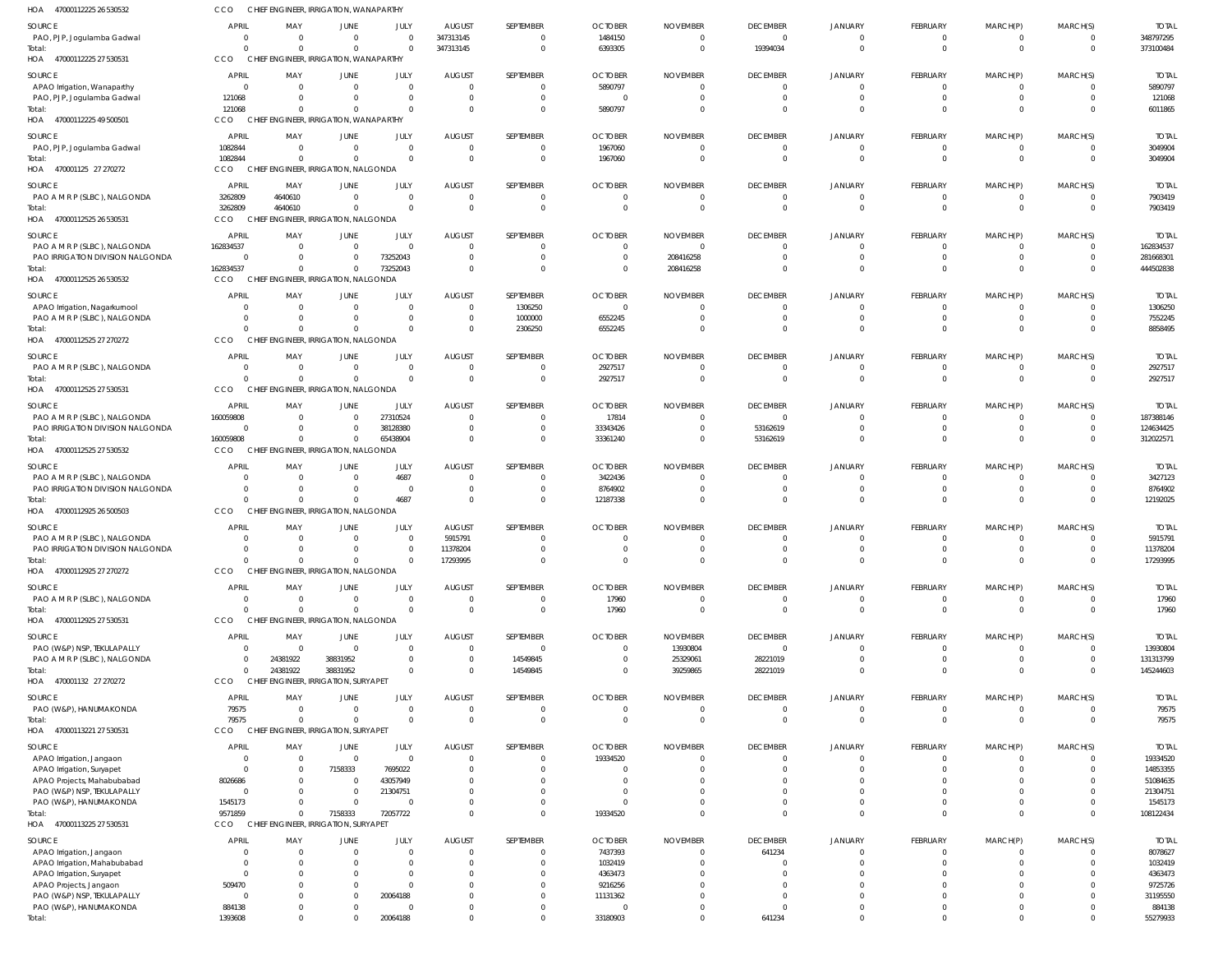| HOA 47000112225 26 530532                                        | CCO          | CHIEF ENGINEER, IRRIGATION, WANAPARTHY |                        |                  |                                 |                           |                                  |                                   |                           |                              |                                 |                         |                             |                         |
|------------------------------------------------------------------|--------------|----------------------------------------|------------------------|------------------|---------------------------------|---------------------------|----------------------------------|-----------------------------------|---------------------------|------------------------------|---------------------------------|-------------------------|-----------------------------|-------------------------|
| SOURCE                                                           | <b>APRIL</b> | MAY                                    | <b>JUNE</b>            | JULY             | <b>AUGUST</b>                   | SEPTEMBER                 | <b>OCTOBER</b>                   | <b>NOVEMBER</b>                   | <b>DECEMBER</b>           | JANUARY                      | <b>FEBRUARY</b>                 | MARCH(P)                | MARCH(S)                    | <b>TOTAL</b>            |
| PAO, PJP, Jogulamba Gadwal                                       | $\Omega$     | $\overline{0}$                         | $\mathbf 0$            | - 0              | 347313145                       | $\Omega$                  | 1484150                          | 0                                 | $^{\circ}$                | $^{\circ}$                   | $\overline{0}$                  | 0                       | $\mathbf{0}$                | 348797295               |
| Total:                                                           | $\Omega$     | $\Omega$                               | $\Omega$               |                  | 347313145                       | $\overline{0}$            | 6393305                          | $\overline{0}$                    | 19394034                  | $\mathbf{0}$                 | $\mathbf{0}$                    | $\overline{0}$          | $\overline{0}$              | 373100484               |
| HOA 47000112225 27 530531                                        | <b>CCO</b>   | CHIEF ENGINEER, IRRIGATION, WANAPARTHY |                        |                  |                                 |                           |                                  |                                   |                           |                              |                                 |                         |                             |                         |
| <b>SOURCE</b>                                                    | APRIL        | MAY                                    | JUNE                   | JULY             | <b>AUGUST</b>                   | SEPTEMBER                 | <b>OCTOBER</b>                   | <b>NOVEMBER</b>                   | <b>DECEMBER</b>           | <b>JANUARY</b>               | <b>FEBRUARY</b>                 | MARCH(P)                | MARCH(S)                    | <b>TOTAL</b>            |
| APAO Irrigation, Wanaparthy                                      | $\Omega$     | $\overline{0}$                         | $\overline{0}$         | - 0              | $\overline{\mathbf{0}}$         |                           | 5890797                          | $\overline{0}$                    | $^{\circ}$                | $\mathbf 0$                  | $\overline{0}$                  | 0                       | $\mathbf{0}$                | 5890797                 |
| PAO, PJP, Jogulamba Gadwal                                       | 121068       | $\mathbf{0}$                           | 0                      | $\Omega$         | $\overline{0}$                  | $\Omega$                  | $\overline{0}$                   | $\overline{0}$                    | $\Omega$                  | $\mathbf 0$                  | $\mathbf{0}$                    | 0                       | $\mathbf{0}$                | 121068                  |
| Total:                                                           | 121068       | $\Omega$                               | $\mathbf 0$            |                  | $\overline{0}$                  | $\Omega$                  | 5890797                          | $\overline{0}$                    | $\Omega$                  | $\Omega$                     | $\Omega$                        | $\Omega$                | $\overline{0}$              | 6011865                 |
| HOA 47000112225 49 500501                                        | <b>CCO</b>   | CHIEF ENGINEER, IRRIGATION, WANAPARTHY |                        |                  |                                 |                           |                                  |                                   |                           |                              |                                 |                         |                             |                         |
| SOURCE                                                           | <b>APRIL</b> | MAY                                    | <b>JUNE</b>            | JULY             | <b>AUGUST</b>                   | SEPTEMBER                 | <b>OCTOBER</b>                   | <b>NOVEMBER</b>                   | <b>DECEMBER</b>           | JANUARY                      | FEBRUARY                        | MARCH(P)                | MARCH(S)                    | <b>TOTAL</b>            |
| PAO, PJP, Jogulamba Gadwal                                       | 1082844      | $\overline{0}$                         | $\mathbf 0$            | $\Omega$         | $\overline{0}$                  | $\Omega$                  | 1967060                          | $\overline{0}$                    | $\Omega$                  | $^{\circ}$                   | $\overline{0}$                  | 0                       | $\mathbf{0}$                | 3049904                 |
| Total:                                                           | 1082844      | $\Omega$                               | $\mathbf 0$            | $\Omega$         | $\overline{0}$                  | $\Omega$                  | 1967060                          | $\overline{0}$                    | $\mathbf 0$               | $\overline{0}$               | $\overline{0}$                  | $\overline{0}$          | $\overline{0}$              | 3049904                 |
| HOA 470001125 27 270272                                          | CCO          | CHIEF ENGINEER, IRRIGATION, NALGONDA   |                        |                  |                                 |                           |                                  |                                   |                           |                              |                                 |                         |                             |                         |
| <b>SOURCE</b>                                                    | APRIL        | MAY                                    | JUNE                   | JULY             | <b>AUGUST</b>                   | SEPTEMBER                 | <b>OCTOBER</b>                   | <b>NOVEMBER</b>                   | <b>DECEMBER</b>           | JANUARY                      | FEBRUARY                        | MARCH(P)                | MARCH(S)                    | <b>TOTAL</b>            |
| PAO A M R P (SLBC), NALGONDA                                     | 3262809      | 4640610                                | $\mathbf 0$            | - 0              | $\overline{0}$                  |                           | $\overline{0}$                   | $\overline{0}$                    | $\mathbf 0$               | $\overline{0}$               | $\overline{0}$                  | $\overline{\mathbf{0}}$ | $\overline{0}$              | 7903419                 |
| Total:                                                           | 3262809      | 4640610                                | $\overline{0}$         | $\Omega$         | $\overline{0}$                  | $\Omega$                  | $\overline{0}$                   | $\overline{0}$                    | $\mathbf 0$               | $\mathbf 0$                  | $\mathbf{0}$                    | $\mathbf 0$             | $\overline{0}$              | 7903419                 |
| HOA 47000112525 26 530531                                        | <b>CCO</b>   | CHIEF ENGINEER, IRRIGATION, NALGONDA   |                        |                  |                                 |                           |                                  |                                   |                           |                              |                                 |                         |                             |                         |
|                                                                  |              |                                        |                        |                  |                                 |                           |                                  |                                   |                           |                              |                                 |                         |                             |                         |
| SOURCE                                                           | <b>APRIL</b> | MAY<br>$\overline{0}$                  | JUNE<br>$\overline{0}$ | JULY             | <b>AUGUST</b><br>$\overline{0}$ | SEPTEMBER<br>$\Omega$     | <b>OCTOBER</b><br>$\overline{0}$ | <b>NOVEMBER</b><br>$\Omega$       | <b>DECEMBER</b>           | JANUARY                      | <b>FEBRUARY</b><br>$\Omega$     | MARCH(P)<br>$\Omega$    | MARCH(S)                    | <b>TOTAL</b>            |
| PAO A M R P (SLBC), NALGONDA<br>PAO IRRIGATION DIVISION NALGONDA | 162834537    | $\Omega$<br>$\overline{0}$             | $\mathbf 0$            | 73252043         | $\overline{\mathbf{0}}$         | $\Omega$                  | $\overline{0}$                   | 208416258                         | $\Omega$                  | $^{\circ}$<br>$\overline{0}$ | $\Omega$                        | $\Omega$                | $\mathbf{0}$<br>$\mathbf 0$ | 162834537<br>281668301  |
| Total:                                                           | 162834537    | $\Omega$                               | $\mathbf 0$            | 73252043         | $\overline{0}$                  | $\Omega$                  | $\overline{0}$                   | 208416258                         | $\Omega$                  | $\Omega$                     | $\Omega$                        | $\Omega$                | $\mathbf 0$                 | 444502838               |
| HOA 47000112525 26 530532                                        | <b>CCO</b>   | CHIEF ENGINEER, IRRIGATION, NALGONDA   |                        |                  |                                 |                           |                                  |                                   |                           |                              |                                 |                         |                             |                         |
|                                                                  |              |                                        |                        |                  |                                 |                           |                                  |                                   |                           |                              |                                 |                         |                             |                         |
| SOURCE                                                           | APRIL        | MAY                                    | JUNE                   | JULY             | <b>AUGUST</b>                   | SEPTEMBER                 | <b>OCTOBER</b>                   | <b>NOVEMBER</b>                   | <b>DECEMBER</b>           | JANUARY                      | <b>FEBRUARY</b>                 | MARCH(P)                | MARCH(S)                    | <b>TOTAL</b>            |
| APAO Irrigation, Nagarkurnool                                    |              | $\overline{0}$                         | $\overline{0}$         | $\Omega$         | $\overline{0}$                  | 1306250                   | $\overline{0}$                   | $\overline{0}$                    | $\overline{0}$            | $\overline{0}$               | $\overline{0}$                  | 0                       | $\mathbf{0}$                | 1306250                 |
| PAO A M R P (SLBC), NALGONDA                                     |              | $\overline{0}$<br>$\Omega$             | 0                      | $\Omega$         | $\overline{0}$                  | 1000000                   | 6552245                          | $\overline{0}$                    | $\mathbf 0$               | $\overline{0}$               | $\mathbf{0}$                    | $\Omega$                | $\mathbf{0}$                | 7552245                 |
| Total:                                                           |              | $\Omega$                               | $\overline{0}$         |                  | $\overline{0}$                  | 2306250                   | 6552245                          | $\overline{0}$                    | $\Omega$                  | $\Omega$                     | $\Omega$                        | $\Omega$                | $\overline{0}$              | 8858495                 |
| HOA 47000112525 27 270272                                        | CCO          | CHIEF ENGINEER, IRRIGATION, NALGONDA   |                        |                  |                                 |                           |                                  |                                   |                           |                              |                                 |                         |                             |                         |
| SOURCE                                                           | APRIL        | MAY                                    | JUNE                   | JULY             | <b>AUGUST</b>                   | SEPTEMBER                 | <b>OCTOBER</b>                   | <b>NOVEMBER</b>                   | <b>DECEMBER</b>           | JANUARY                      | <b>FEBRUARY</b>                 | MARCH(P)                | MARCH(S)                    | <b>TOTAL</b>            |
| PAO A M R P (SLBC), NALGONDA                                     | $\Omega$     | $\overline{0}$                         | $\mathbf 0$            | $\Omega$         | $\overline{0}$                  | $\Omega$                  | 2927517                          | $\overline{0}$                    | - 0                       | $\overline{0}$               | $\Omega$                        | 0                       | $\mathbf{0}$                | 2927517                 |
| Total:                                                           |              | $\Omega$<br>$\Omega$                   | $\mathbf{0}$           | $\Omega$         | $\overline{0}$                  | $\overline{0}$            | 2927517                          | $\overline{0}$                    | $\mathbf 0$               | $\overline{0}$               | $\overline{0}$                  | $\mathbf 0$             | $\mathbf{0}$                | 2927517                 |
| HOA 47000112525 27 530531                                        | CCO          | CHIEF ENGINEER, IRRIGATION, NALGONDA   |                        |                  |                                 |                           |                                  |                                   |                           |                              |                                 |                         |                             |                         |
| SOURCE                                                           | APRIL        | MAY                                    | <b>JUNE</b>            | JULY             | <b>AUGUST</b>                   | SEPTEMBER                 | <b>OCTOBER</b>                   | <b>NOVEMBER</b>                   | <b>DECEMBER</b>           | JANUARY                      | FEBRUARY                        | MARCH(P)                | MARCH(S)                    | <b>TOTAL</b>            |
| PAO A M R P (SLBC), NALGONDA                                     | 160059808    | $\Omega$                               | $\mathbf 0$            | 27310524         | $\overline{0}$                  | $\Omega$                  | 17814                            | $\overline{0}$                    | $\mathbf 0$               | $\overline{0}$               | $\overline{0}$                  | 0                       | $\mathbf 0$                 | 187388146               |
| PAO IRRIGATION DIVISION NALGONDA                                 |              | $\overline{0}$<br>$\Omega$             | $\mathbf 0$            | 38128380         | $\overline{0}$                  | $\Omega$                  | 33343426                         | $\overline{0}$                    | 53162619                  | $\overline{0}$               | $\mathbf{0}$                    | $\Omega$                | $\mathbf 0$                 | 124634425               |
| Total:                                                           | 160059808    | $\mathbf 0$                            | $\mathbf{0}$           | 65438904         | $\overline{\mathbf{0}}$         | $\Omega$                  | 33361240                         | $\overline{0}$                    | 53162619                  | $\Omega$                     | $\Omega$                        | $\Omega$                | $\overline{0}$              | 312022571               |
| HOA 47000112525 27 530532                                        | <b>CCO</b>   | CHIEF ENGINEER, IRRIGATION, NALGONDA   |                        |                  |                                 |                           |                                  |                                   |                           |                              |                                 |                         |                             |                         |
| SOURCE                                                           | APRIL        | MAY                                    | JUNE                   | JULY             | <b>AUGUST</b>                   | SEPTEMBER                 | <b>OCTOBER</b>                   | <b>NOVEMBER</b>                   | <b>DECEMBER</b>           | JANUARY                      | FEBRUARY                        | MARCH(P)                | MARCH(S)                    | <b>TOTAL</b>            |
| PAO A M R P (SLBC), NALGONDA                                     |              | $\Omega$                               | 0                      | 4687             | $\overline{0}$                  | - 0                       | 3422436                          | 0                                 | -0                        | -0                           | $\Omega$                        | $\Omega$                | 0                           | 3427123                 |
| PAO IRRIGATION DIVISION NALGONDA                                 |              | $\Omega$<br>$\Omega$                   | $\Omega$               | $\overline{0}$   | $\overline{\mathbf{0}}$         | $\Omega$                  | 8764902                          | $\Omega$                          | $\mathbf 0$               | $\overline{0}$               | $\Omega$                        | $\Omega$                | $\mathbf 0$                 | 8764902                 |
| Total:                                                           |              | $\Omega$<br>$\Omega$                   | $\Omega$               | 4687             | $\overline{0}$                  | $\Omega$                  | 12187338                         | $\Omega$                          | $\Omega$                  | $\Omega$                     | $\Omega$                        | $\Omega$                | $\Omega$                    | 12192025                |
| HOA 47000112925 26 500503                                        | CCO          | CHIEF ENGINEER, IRRIGATION, NALGONDA   |                        |                  |                                 |                           |                                  |                                   |                           |                              |                                 |                         |                             |                         |
|                                                                  |              |                                        |                        |                  |                                 |                           |                                  |                                   |                           |                              |                                 |                         |                             |                         |
| SOURCE<br>PAO A M R P (SLBC), NALGONDA                           | <b>APRIL</b> | MAY<br>$\overline{0}$                  | JUNE<br>0              | JULY             | <b>AUGUST</b><br>5915791        | SEPTEMBER                 | <b>OCTOBER</b><br>$\overline{0}$ | <b>NOVEMBER</b><br>$\overline{0}$ | <b>DECEMBER</b><br>- 0    | JANUARY<br>$\overline{0}$    | FEBRUARY<br>$\mathbf{0}$        | MARCH(P)                | MARCH(S)<br>0               | <b>TOTAL</b><br>5915791 |
| PAO IRRIGATION DIVISION NALGONDA                                 | $\Omega$     | $\mathbf 0$                            | $\mathbf 0$            | $\Omega$         | 11378204                        | $\Omega$                  | $\overline{0}$                   | $\overline{0}$                    | $\mathbf{0}$              | $\mathbf 0$                  | $\Omega$                        | $\Omega$                | $\mathbf 0$                 | 11378204                |
| Total:                                                           |              |                                        | $\Omega$               |                  | 17293995                        |                           | $\Omega$                         | $\Omega$                          |                           | $\Omega$                     | 0                               |                         | $\mathbf{0}$                | 17293995                |
| HOA<br>47000112925 27 270272                                     | <b>CCO</b>   | CHIEF ENGINEER, IRRIGATION, NALGONDA   |                        |                  |                                 |                           |                                  |                                   |                           |                              |                                 |                         |                             |                         |
|                                                                  |              |                                        |                        |                  |                                 |                           |                                  |                                   |                           |                              |                                 |                         |                             |                         |
| SOURCE                                                           | <b>APRIL</b> | MAY                                    | <b>JUNE</b>            | JULY             | <b>AUGUST</b>                   | SEPTEMBER                 | <b>OCTOBER</b>                   | <b>NOVEMBER</b>                   | <b>DECEMBER</b>           | <b>JANUARY</b>               | FEBRUARY                        | MARCH(P)                | MARCH(S)                    | <b>TOTAL</b>            |
| PAO A M R P (SLBC), NALGONDA                                     | $\Omega$     | $\overline{0}$                         | $\mathbf 0$            | $\Omega$         | $\overline{0}$                  | $\overline{0}$            | 17960                            | $\overline{0}$                    | $\overline{0}$            | $\overline{0}$               | $\overline{0}$                  | 0                       | $\mathbf{0}$                | 17960                   |
| Total:                                                           | $\Omega$     | $\Omega$                               | $\Omega$               | $\Omega$         | $\overline{0}$                  | $\Omega$                  | 17960                            | $\overline{0}$                    | $\Omega$                  | $\Omega$                     | $\overline{0}$                  | $\mathbf 0$             | $\mathbf{0}$                | 17960                   |
| HOA 47000112925 27 530531                                        | CCO          | CHIEF ENGINEER, IRRIGATION, NALGONDA   |                        |                  |                                 |                           |                                  |                                   |                           |                              |                                 |                         |                             |                         |
| SOURCE                                                           | <b>APRIL</b> | MAY                                    | <b>JUNE</b>            | JULY             | <b>AUGUST</b>                   | SEPTEMBER                 | <b>OCTOBER</b>                   | <b>NOVEMBER</b>                   | <b>DECEMBER</b>           | JANUARY                      | <b>FEBRUARY</b>                 | MARCH(P)                | MARCH(S)                    | <b>TOTAL</b>            |
| PAO (W&P) NSP, TEKULAPALLY                                       |              | $\overline{0}$<br>$\Omega$             | $\overline{0}$         | - 0              | $\overline{0}$                  | $\Omega$                  | $\overline{0}$                   | 13930804                          | $\mathbf 0$               | $\overline{0}$               | $\mathbf{0}$                    | 0                       | $\mathbf{0}$                | 13930804                |
| PAO A M R P (SLBC), NALGONDA                                     | $\Omega$     | 24381922                               | 38831952               | $\Omega$         | $\overline{\mathbf{0}}$         | 14549845                  | $\overline{0}$                   | 25329061                          | 28221019                  | $\mathbf 0$                  | $\mathbf{0}$                    | $\Omega$                | $\overline{0}$              | 131313799               |
| Total:                                                           | $\Omega$     | 24381922                               | 38831952               |                  | $\overline{0}$                  | 14549845                  | $\overline{0}$                   | 39259865                          | 28221019                  | $\mathbf 0$                  | $\Omega$                        | $\Omega$                | $\mathbf{0}$                | 145244603               |
| HOA 470001132 27 270272                                          | <b>CCO</b>   | CHIEF ENGINEER, IRRIGATION, SURYAPET   |                        |                  |                                 |                           |                                  |                                   |                           |                              |                                 |                         |                             |                         |
| SOURCE                                                           | APRIL        | MAY                                    | JUNE                   | JULY             | <b>AUGUST</b>                   | SEPTEMBER                 | <b>OCTOBER</b>                   | <b>NOVEMBER</b>                   | <b>DECEMBER</b>           | JANUARY                      | FEBRUARY                        | MARCH(P)                | MARCH(S)                    | <b>TOTAL</b>            |
| PAO (W&P), HANUMAKONDA                                           | 79575        | $\overline{0}$                         | $\overline{0}$         | $\overline{0}$   | $\overline{0}$                  | $\Omega$                  | $\overline{0}$                   | $\overline{0}$                    | -0                        | $\overline{0}$               | $\mathbf{0}$                    | $\Omega$                | $\mathbf{0}$                | 79575                   |
| Total:                                                           | 79575        | $\Omega$                               | $\Omega$               | $\Omega$         | $\overline{0}$                  | $\Omega$                  | $\overline{0}$                   | $\overline{0}$                    | $\Omega$                  | $\mathbf 0$                  | $\overline{0}$                  | $\mathbf{0}$            | $\mathbf 0$                 | 79575                   |
| HOA 47000113221 27 530531                                        | CCO          | CHIEF ENGINEER, IRRIGATION, SURYAPET   |                        |                  |                                 |                           |                                  |                                   |                           |                              |                                 |                         |                             |                         |
| SOURCE                                                           | <b>APRIL</b> | MAY                                    | <b>JUNE</b>            | JULY             | <b>AUGUST</b>                   | SEPTEMBER                 | <b>OCTOBER</b>                   | <b>NOVEMBER</b>                   | <b>DECEMBER</b>           | <b>JANUARY</b>               | <b>FEBRUARY</b>                 | MARCH(P)                | MARCH(S)                    | <b>TOTAL</b>            |
| APAO Irrigation, Jangaon                                         | $\Omega$     | $\overline{0}$                         | $\overline{0}$         | $\mathsf{C}$     | $\overline{0}$                  |                           | 19334520                         | $\overline{0}$                    | $\mathbf 0$               | $\overline{0}$               | $\mathbf{0}$                    |                         | $\mathbf{0}$                | 19334520                |
| APAO Irrigation, Suryapet                                        | $\Omega$     | $\overline{0}$                         | 7158333                | 7695022          | $\overline{0}$                  |                           | $\overline{0}$                   | $\overline{0}$                    | $\Omega$                  | $\mathbf 0$                  | $\Omega$                        | $\Omega$                | $\mathbf 0$                 | 14853355                |
| APAO Projects, Mahabubabad                                       | 8026686      | $\Omega$                               | $\mathbf 0$            | 43057949         | $\circ$                         |                           | $\overline{0}$                   | $\Omega$                          | $\Omega$                  | $\mathbf 0$                  | $\Omega$                        |                         | $\Omega$                    | 51084635                |
| PAO (W&P) NSP, TEKULAPALLY                                       | $\Omega$     | $\Omega$                               | $\overline{0}$         | 21304751         | $\Omega$                        |                           | $\overline{0}$                   | $\Omega$                          | $\Omega$                  | $\mathbf 0$                  | $\Omega$                        |                         | $\mathbf{0}$                | 21304751                |
| PAO (W&P), HANUMAKONDA                                           | 1545173      | $\Omega$                               | $\overline{0}$         |                  | $\overline{0}$                  |                           | $\overline{0}$                   | $\Omega$                          | $\Omega$                  | $\mathbf{0}$                 | $\Omega$                        | $\Omega$                | $\mathbf{0}$                | 1545173                 |
| Total:                                                           | 9571859      | $\mathbf{0}$                           | 7158333                | 72057722         | $\Omega$                        | $\Omega$                  | 19334520                         | $\overline{0}$                    | $\Omega$                  | $\mathbf{0}$                 | $\Omega$                        | $\Omega$                | $\mathbf 0$                 | 108122434               |
| HOA 47000113225 27 530531                                        | <b>CCO</b>   | CHIEF ENGINEER, IRRIGATION, SURYAPET   |                        |                  |                                 |                           |                                  |                                   |                           |                              |                                 |                         |                             |                         |
|                                                                  |              |                                        |                        |                  |                                 |                           |                                  |                                   |                           |                              |                                 |                         |                             |                         |
| SOURCE                                                           | APRIL        | MAY<br>$\Omega$                        | JUNE<br>$\Omega$       | JULY<br>$\Omega$ | <b>AUGUST</b><br>$\overline{0}$ | SEPTEMBER<br>$\mathbf{0}$ | <b>OCTOBER</b><br>7437393        | <b>NOVEMBER</b><br>$\overline{0}$ | <b>DECEMBER</b><br>641234 | JANUARY<br>- 0               | <b>FEBRUARY</b><br>$\mathbf{0}$ | MARCH(P)<br>$\Omega$    | MARCH(S)<br>0               | <b>TOTAL</b><br>8078627 |
| APAO Irrigation, Jangaon<br>APAO Irrigation, Mahabubabad         | $\Omega$     | $\Omega$                               | $\Omega$               | $\Omega$         | $\overline{0}$                  | $\Omega$                  | 1032419                          | $\Omega$                          | -0                        | $\Omega$                     | $\Omega$                        | $\Omega$                | $\Omega$                    | 1032419                 |
| APAO Irrigation, Suryapet                                        | $\Omega$     |                                        | $\Omega$               | $\Omega$         | $\circ$                         |                           | 4363473                          |                                   | $\Omega$                  | $\Omega$                     |                                 |                         | $\Omega$                    | 4363473                 |
| APAO Projects, Jangaon                                           | 509470       |                                        | $\Omega$               | $\Omega$         | $\Omega$                        |                           | 9216256                          | $\Omega$                          | $\Omega$                  | $\Omega$                     | <sup>0</sup>                    |                         | $\Omega$                    | 9725726                 |
| PAO (W&P) NSP, TEKULAPALLY                                       |              |                                        | $\mathbf 0$            | 20064188         | $\Omega$                        |                           | 11131362                         | $\Omega$                          | $\Omega$                  | $\Omega$                     | $\Omega$                        |                         | $\Omega$                    | 31195550                |
| PAO (W&P), HANUMAKONDA                                           | 884138       |                                        | $\overline{0}$         |                  | $\Omega$                        |                           | $\Omega$                         | $\Omega$                          |                           | $\Omega$                     | $\Omega$                        |                         | $\Omega$                    | 884138                  |
| Total:                                                           | 1393608      | $\Omega$                               | $\Omega$               | 20064188         | $\Omega$                        | $\Omega$                  | 33180903                         | $\overline{0}$                    | 641234                    | $\Omega$                     | $\Omega$                        | $\Omega$                | $\Omega$                    | 55279933                |
|                                                                  |              |                                        |                        |                  |                                 |                           |                                  |                                   |                           |                              |                                 |                         |                             |                         |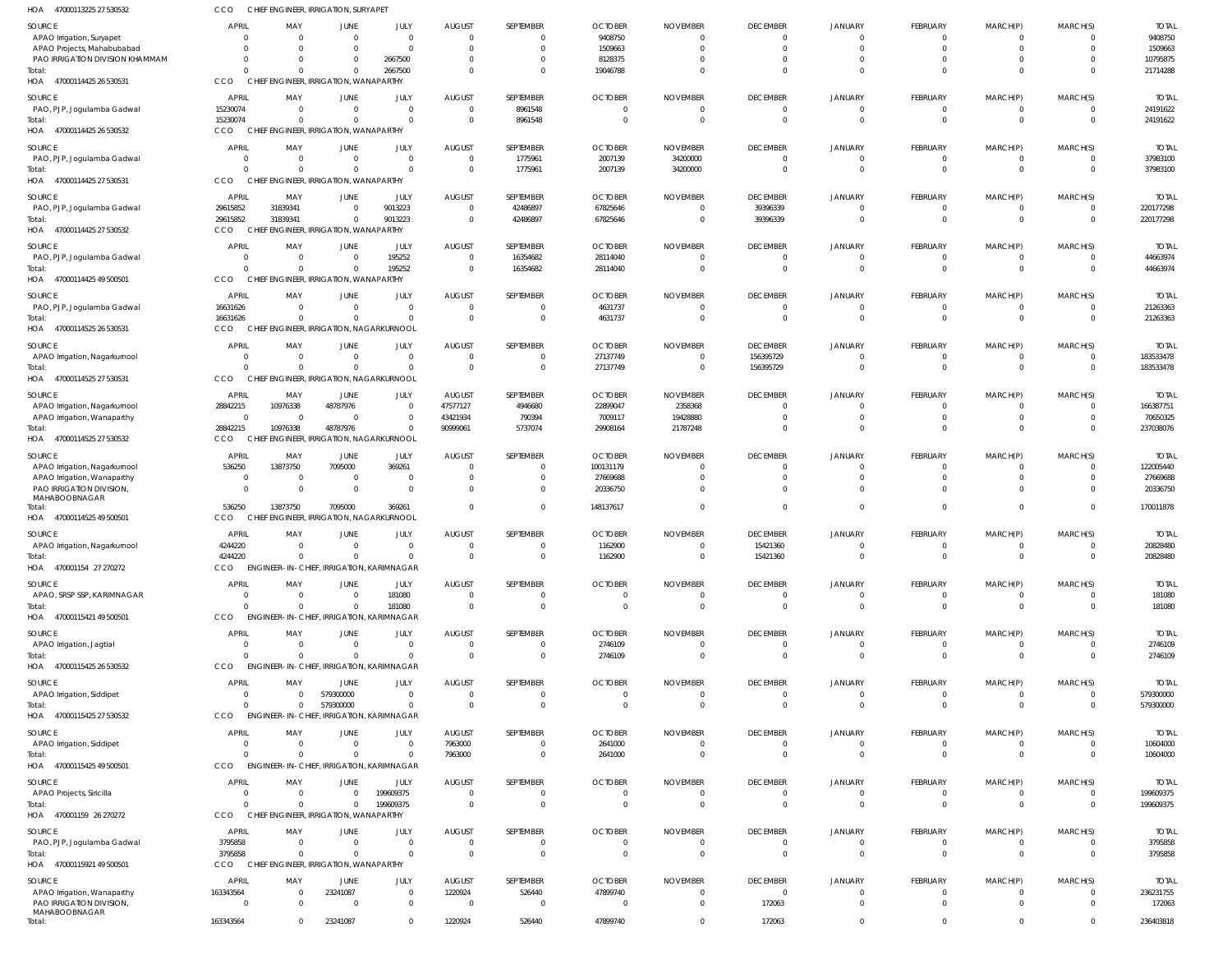| HOA<br>47000113225 27 530532                                 | CCO                      | CHIEF ENGINEER, IRRIGATION, SURYAPE                   |                               |                        |                                           |                           |                                            |                                           |                             |                            |                             |                            |                      |                           |
|--------------------------------------------------------------|--------------------------|-------------------------------------------------------|-------------------------------|------------------------|-------------------------------------------|---------------------------|--------------------------------------------|-------------------------------------------|-----------------------------|----------------------------|-----------------------------|----------------------------|----------------------|---------------------------|
| SOURCE                                                       | <b>APRIL</b><br>$\cap$   | MAY<br>$\overline{0}$                                 | <b>JUNE</b><br>$\overline{0}$ | JULY<br>$\Omega$       | <b>AUGUST</b><br>$\overline{0}$           | SEPTEMBER<br>0            | <b>OCTOBER</b><br>9408750                  | <b>NOVEMBER</b><br>$\overline{0}$         | <b>DECEMBER</b><br>$\Omega$ | <b>JANUARY</b><br>- 0      | <b>FEBRUARY</b><br>$\Omega$ | MARCH(P)<br>$\Omega$       | MARCH(S)             | <b>TOTAI</b><br>9408750   |
| APAO Irrigation, Suryapet<br>APAO Projects, Mahabubabad      |                          | $\Omega$                                              | $\overline{0}$                | $\Omega$               | $\overline{0}$                            | $\Omega$                  | 1509663                                    | $\overline{0}$                            | $\Omega$                    | $\Omega$                   | $\Omega$                    | $\mathbf{0}$               |                      | 1509663                   |
| PAO IRRIGATION DIVISION KHAMMAM                              |                          | $\Omega$                                              | $\mathbf 0$                   | 2667500                | $\overline{0}$                            | $\Omega$                  | 8128375                                    | $\Omega$                                  | $\Omega$                    | $\Omega$                   |                             |                            |                      | 10795875                  |
| Total:                                                       |                          |                                                       | $\Omega$                      | 2667500                | $\overline{0}$                            | $\Omega$                  | 19046788                                   | $\Omega$                                  | $\Omega$                    | $\Omega$                   | $\Omega$                    | $\Omega$                   | $\Omega$             | 21714288                  |
| HOA 47000114425 26 530531                                    | CCO                      | CHIEF ENGINEER, IRRIGATION, WANAPARTHY                |                               |                        |                                           |                           |                                            |                                           |                             |                            |                             |                            |                      |                           |
| SOURCE                                                       | <b>APRIL</b>             | MAY                                                   | JUNE                          | JULY                   | <b>AUGUST</b>                             | SEPTEMBER                 | <b>OCTOBER</b>                             | <b>NOVEMBER</b>                           | <b>DECEMBER</b>             | <b>JANUARY</b>             | <b>FEBRUARY</b>             | MARCH(P)                   | MARCH(S)             | <b>TOTAL</b>              |
| PAO, PJP, Jogulamba Gadwal                                   | 15230074                 | $\overline{0}$                                        | $\overline{0}$                | $\Omega$               | $\overline{0}$                            | 8961548                   | $\overline{0}$                             | $\overline{0}$                            | $\Omega$                    | $\Omega$                   | 0                           | 0                          | $\Omega$             | 24191622                  |
| Total:<br>HOA 47000114425 26 530532                          | 15230074<br>CCO          | $\Omega$<br>CHIEF ENGINEER, IRRIGATION, WANAPARTHY    | $\Omega$                      | $\mathsf{C}$           | $\overline{0}$                            | 8961548                   | $\overline{0}$                             | $\overline{0}$                            | $\Omega$                    | $\Omega$                   | $\mathbf 0$                 | $\mathbf 0$                | $\Omega$             | 24191622                  |
| SOURCE                                                       | APRIL                    | MAY                                                   | JUNE                          | JULY                   | <b>AUGUST</b>                             | SEPTEMBER                 | <b>OCTOBER</b>                             | <b>NOVEMBER</b>                           | <b>DECEMBER</b>             | JANUARY                    | <b>FEBRUARY</b>             | MARCH(P)                   | MARCH(S)             | <b>TOTAI</b>              |
| PAO, PJP, Jogulamba Gadwal                                   | $\Omega$                 | $\overline{0}$                                        | $\overline{0}$                | $\overline{0}$         | $\overline{0}$                            | 1775961                   | 2007139                                    | 34200000                                  | $\Omega$                    | $\Omega$                   | 0                           |                            |                      | 37983100                  |
| Total:                                                       | $\Omega$                 | $\Omega$                                              | $\Omega$                      | $\Omega$               | $\overline{0}$                            | 1775961                   | 2007139                                    | 34200000                                  | $\Omega$                    | $\Omega$                   | $\mathbf 0$                 | $\overline{0}$             | $\Omega$             | 37983100                  |
| HOA 47000114425 27 530531                                    | CCO                      | CHIEF ENGINEER, IRRIGATION, WANAPARTHY                |                               |                        |                                           |                           |                                            |                                           |                             |                            |                             |                            |                      |                           |
| SOURCE                                                       | APRIL                    | MAY                                                   | <b>JUNE</b>                   | JULY                   | <b>AUGUST</b>                             | SEPTEMBER                 | <b>OCTOBER</b>                             | <b>NOVEMBER</b>                           | <b>DECEMBER</b>             | <b>JANUARY</b>             | <b>FEBRUARY</b>             | MARCH(P)                   | MARCH(S)             | <b>TOTAL</b>              |
| PAO, PJP, Jogulamba Gadwal                                   | 29615852                 | 31839341                                              | $\overline{0}$                | 9013223                | $\overline{0}$                            | 42486897                  | 67825646                                   | $\overline{0}$                            | 39396339                    |                            | 0                           |                            | $\Omega$             | 220177298                 |
| Total:                                                       | 29615852                 | 31839341                                              | $\overline{0}$                | 9013223                | $\overline{0}$                            | 42486897                  | 67825646                                   | $\overline{0}$                            | 39396339                    | $\Omega$                   | $\mathbf 0$                 | $\mathbf 0$                | $\mathbf 0$          | 220177298                 |
| HOA 47000114425 27 530532                                    | CCO                      | CHIEF ENGINEER, IRRIGATION, WANAPARTHY                |                               |                        |                                           |                           |                                            |                                           |                             |                            |                             |                            |                      |                           |
| SOURCE                                                       | APRIL                    | MAY                                                   | <b>JUNE</b>                   | JULY                   | <b>AUGUST</b>                             | SEPTEMBER                 | <b>OCTOBER</b>                             | <b>NOVEMBER</b>                           | <b>DECEMBER</b>             | <b>JANUARY</b>             | <b>FEBRUARY</b>             | MARCH(P)                   | MARCH(S)             | <b>TOTAI</b>              |
| PAO, PJP, Jogulamba Gadwal<br>Total:                         | $\Omega$<br>$\cap$       | $\overline{0}$<br>$\Omega$                            | $\overline{0}$<br>$\Omega$    | 195252<br>195252       | $\overline{0}$<br>$\overline{0}$          | 16354682<br>16354682      | 28114040<br>28114040                       | $\overline{0}$<br>$\overline{0}$          | $\Omega$<br>$\Omega$        | $\Omega$<br>$\Omega$       | 0<br>$\mathbf 0$            | $\mathbf 0$<br>$\mathbf 0$ | $\Omega$             | 44663974<br>44663974      |
| HOA 47000114425 49 500501                                    | <b>CCO</b>               | CHIEF ENGINEER, IRRIGATION, WANAPARTHY                |                               |                        |                                           |                           |                                            |                                           |                             |                            |                             |                            |                      |                           |
| SOURCE                                                       | <b>APRIL</b>             | MAY                                                   | JUNE                          | JULY                   | <b>AUGUST</b>                             | SEPTEMBER                 | <b>OCTOBER</b>                             | <b>NOVEMBER</b>                           | <b>DECEMBER</b>             | JANUARY                    | <b>FEBRUARY</b>             | MARCH(P)                   | MARCH(S)             | <b>TOTAL</b>              |
| PAO, PJP, Jogulamba Gadwal                                   | 16631626                 | $\overline{0}$                                        | $\overline{0}$                | - 0                    | $\overline{0}$                            | $^{\circ}$                | 4631737                                    | $\overline{0}$                            | $\Omega$                    | $\Omega$                   | 0                           | 0                          | $\Omega$             | 21263363                  |
| Total:                                                       | 16631626                 | $\Omega$                                              | $\overline{0}$                | $\Omega$               | $\overline{0}$                            | $\mathbf{0}$              | 4631737                                    | $\overline{0}$                            | $\Omega$                    | $\Omega$                   | $\mathbf 0$                 | $\overline{0}$             | $\Omega$             | 21263363                  |
| HOA 47000114525 26 530531                                    | CCO                      | CHIEF ENGINEER, IRRIGATION, NAGARKURNOOL              |                               |                        |                                           |                           |                                            |                                           |                             |                            |                             |                            |                      |                           |
| SOURCE                                                       | APRIL                    | MAY                                                   | JUNE                          | JULY                   | <b>AUGUST</b>                             | SEPTEMBER                 | <b>OCTOBER</b>                             | <b>NOVEMBER</b>                           | <b>DECEMBER</b>             | <b>JANUARY</b>             | <b>FEBRUARY</b>             | MARCH(P)                   | MARCH(S)             | <b>TOTAI</b>              |
| APAO Irrigation, Nagarkurnool                                | $\Omega$                 | $\overline{0}$                                        | $\overline{0}$                | $\mathbf{0}$           | $\overline{0}$                            | $\Omega$                  | 27137749                                   | $\overline{0}$                            | 156395729                   | $\Omega$                   | 0                           |                            | $\Omega$             | 183533478                 |
| Total:<br>HOA 47000114525 27 530531                          | $\cap$<br>CCO            | $\Omega$<br>CHIEF ENGINEER, IRRIGATION, NAGARKURNOOL  | $\Omega$                      | $\Omega$               | $\overline{0}$                            | $\mathbf{0}$              | 27137749                                   | $\overline{0}$                            | 156395729                   | $\Omega$                   | $\mathbf 0$                 | $\overline{0}$             | $\mathbf{0}$         | 183533478                 |
|                                                              |                          |                                                       |                               |                        |                                           |                           |                                            |                                           |                             |                            |                             |                            |                      |                           |
| SOURCE                                                       | APRIL<br>28842215        | MAY<br>10976338                                       | JUNE<br>48787976              | JULY<br>- 0            | <b>AUGUST</b><br>47577127                 | SEPTEMBER<br>4946680      | <b>OCTOBER</b><br>22899047                 | <b>NOVEMBER</b><br>2358368                | <b>DECEMBER</b><br>$\Omega$ | JANUARY<br>$\Omega$        | <b>FEBRUARY</b><br>0        | MARCH(P)                   | MARCH(S)             | <b>TOTAI</b><br>166387751 |
| APAO Irrigation, Nagarkurnool<br>APAO Irrigation, Wanaparthy | $\Omega$                 | $\overline{0}$                                        | $\overline{0}$                |                        | 43421934                                  | 790394                    | 7009117                                    | 19428880                                  | $\Omega$                    | $\Omega$                   | $\Omega$                    | $\Omega$                   | $\Omega$             | 70650325                  |
| Total:                                                       | 28842215                 | 10976338                                              | 48787976                      |                        | 90999061                                  | 5737074                   | 29908164                                   | 21787248                                  | $\Omega$                    | $\Omega$                   | $\Omega$                    | $\Omega$                   | $\Omega$             | 237038076                 |
| HOA 47000114525 27 530532                                    | <b>CCO</b>               | CHIEF ENGINEER, IRRIGATION, NAGARKURNOOL              |                               |                        |                                           |                           |                                            |                                           |                             |                            |                             |                            |                      |                           |
| SOURCE                                                       | APRIL                    | MAY                                                   | JUNE                          | JULY                   | <b>AUGUST</b>                             | SEPTEMBER                 | <b>OCTOBER</b>                             | <b>NOVEMBER</b>                           | <b>DECEMBER</b>             | <b>JANUARY</b>             | <b>FEBRUARY</b>             | MARCH(P)                   | MARCH(S)             | <b>TOTAI</b>              |
| APAO Irrigation, Nagarkurnool                                | 536250                   | 13873750                                              | 7095000                       | 369261                 | $\overline{0}$                            | $\Omega$                  | 100131179                                  | $\overline{0}$                            | $\Omega$                    | - 0                        |                             |                            | $\Omega$             | 122005440                 |
| APAO Irrigation, Wanaparthy                                  | - 0                      | $\overline{0}$                                        | $\overline{0}$                | - 0                    | $\overline{0}$                            | $\Omega$                  | 27669688                                   | - 0                                       | $\Omega$                    |                            |                             |                            |                      | 27669688                  |
| PAO IRRIGATION DIVISION<br>MAHABOOBNAGAR                     | $\Omega$                 | $\overline{0}$                                        | $\overline{0}$                | $\Omega$               | $\overline{0}$                            | $\mathbf{0}$              | 20336750                                   | $\overline{0}$                            | $\Omega$                    | $\Omega$                   | $\Omega$                    | $\Omega$                   | $\Omega$             | 20336750                  |
| Total:                                                       | 536250                   | 13873750                                              | 7095000                       | 369261                 | $\overline{0}$                            | $\mathbf 0$               | 148137617                                  | $\overline{0}$                            | $\Omega$                    | $\Omega$                   | $\Omega$                    | $\Omega$                   | $\Omega$             | 170011878                 |
| HOA 47000114525 49 500501                                    | CCO                      | CHIEF ENGINEER, IRRIGATION, NAGARKURNOOL              |                               |                        |                                           |                           |                                            |                                           |                             |                            |                             |                            |                      |                           |
| SOURCE                                                       | <b>APRIL</b>             | MAY                                                   | JUNE                          | JULY                   | <b>AUGUST</b>                             | SEPTEMBER                 | <b>OCTOBER</b>                             | <b>NOVEMBER</b>                           | <b>DECEMBER</b>             | <b>JANUARY</b>             | FEBRUARY                    | MARCH(P)                   | MARCH(S)             | <b>TOTAL</b>              |
| APAO Irrigation, Nagarkurnool<br>Total:                      | 4244220<br>4244220       | $\overline{0}$<br>$\bigcap$                           | $\overline{0}$<br>$\Omega$    | $\Omega$               | $\overline{0}$<br>$\cap$                  | $\Omega$                  | 1162900<br>1162900                         | $\overline{0}$<br>$\sqrt{ }$              | 15421360<br>15421360        | $\Omega$                   | 0                           | 0                          |                      | 20828480<br>20828480      |
| HOA 470001154 27 270272                                      | <b>CCO</b>               | ENGINEER-IN-CHIEF, IRRIGATION, KARIMNAGAR             |                               |                        |                                           |                           |                                            |                                           |                             |                            |                             |                            |                      |                           |
| SOURCE                                                       | <b>APRIL</b>             | MAY                                                   | JUNE                          | JULY                   | <b>AUGUST</b>                             | SEPTEMBER                 | <b>OCTOBER</b>                             | <b>NOVEMBER</b>                           | <b>DECEMBER</b>             | <b>JANUARY</b>             | <b>FEBRUARY</b>             | MARCH(P)                   | MARCH(S)             | <b>TOTAL</b>              |
| APAO, SRSP SSP, KARIMNAGAR                                   | $\Omega$                 | $\overline{0}$                                        | $\overline{0}$                | 181080                 | $\overline{0}$                            | $\mathbf{0}$              | $\overline{0}$                             | $\overline{\mathbf{0}}$                   | $\Omega$                    | $\Omega$                   | $\mathbf 0$                 | $\Omega$                   |                      | 181080                    |
| Total:                                                       | $\Omega$                 | $\Omega$                                              | $\overline{0}$                | 181080                 | $\overline{0}$                            | $\Omega$                  | $\overline{0}$                             | $\overline{0}$                            | $\Omega$                    | $\Omega$                   | $\mathbf 0$                 | $\overline{0}$             | $\Omega$             | 181080                    |
| HOA 47000115421 49 500501                                    | CCO                      | ENGINEER-IN-CHIEF, IRRIGATION, KARIMNAGAR             |                               |                        |                                           |                           |                                            |                                           |                             |                            |                             |                            |                      |                           |
| SOURCE                                                       | APRIL                    | MAY                                                   | <b>JUNE</b>                   | JULY                   | <b>AUGUST</b>                             | SEPTEMBER                 | <b>OCTOBER</b>                             | <b>NOVEMBER</b>                           | <b>DECEMBER</b>             | <b>JANUARY</b>             | FEBRUARY                    | MARCH(P)                   | MARCH(S)             | <b>TOTAL</b>              |
| APAO Irrigation, Jagtial                                     | $\Omega$                 | $\overline{0}$                                        | $\overline{0}$                | $\Omega$               | $\overline{0}$                            | $^{\circ}$                | 2746109                                    | $\overline{\mathbf{0}}$                   | $\Omega$                    | $\Omega$                   | 0                           | 0                          | $\Omega$             | 2746109                   |
| Total:<br>HOA 47000115425 26 530532                          | $\Omega$<br>CCO          | $\Omega$<br>ENGINEER-IN-CHIEF, IRRIGATION, KARIMNAGAR | $\overline{0}$                | $\Omega$               | $\overline{0}$                            | $\mathbf{0}$              | 2746109                                    | $\overline{0}$                            | $\Omega$                    | $\Omega$                   | $\mathbf 0$                 | $\mathbf 0$                | $\Omega$             | 2746109                   |
|                                                              |                          |                                                       |                               |                        |                                           |                           |                                            |                                           |                             |                            |                             |                            |                      |                           |
| SOURCE<br>APAO Irrigation, Siddipet                          | <b>APRIL</b><br>$\Omega$ | MAY<br>$\overline{0}$                                 | JUNE<br>579300000             | JULY<br>$\mathbf{0}$   | <b>AUGUST</b><br>$\overline{0}$           | SEPTEMBER<br>$\mathbf{0}$ | <b>OCTOBER</b><br>$\overline{0}$           | <b>NOVEMBER</b><br>$\overline{0}$         | <b>DECEMBER</b><br>$\Omega$ | <b>JANUARY</b><br>$\Omega$ | <b>FEBRUARY</b><br>0        | MARCH(P)                   | MARCH(S)<br>$\Omega$ | <b>TOTAL</b><br>579300000 |
| Total:                                                       | $\Omega$                 | $\Omega$                                              | 579300000                     | $\Omega$               | $\overline{0}$                            | $\mathbf 0$               | $\overline{0}$                             | $\overline{0}$                            | $\Omega$                    | $\Omega$                   | $\Omega$                    | $\overline{0}$             | $\Omega$             | 579300000                 |
| HOA 47000115425 27 530532                                    | CCO                      | ENGINEER-IN-CHIEF, IRRIGATION, KARIMNAGAR             |                               |                        |                                           |                           |                                            |                                           |                             |                            |                             |                            |                      |                           |
| SOURCE                                                       | APRIL                    | MAY                                                   | JUNE                          | JULY                   | <b>AUGUST</b>                             | SEPTEMBER                 | <b>OCTOBER</b>                             | <b>NOVEMBER</b>                           | <b>DECEMBER</b>             | <b>JANUARY</b>             | <b>FEBRUARY</b>             | MARCH(P)                   | MARCH(S)             | <b>TOTAL</b>              |
| APAO Irrigation, Siddipet                                    | $\Omega$                 | $\overline{\mathbf{0}}$                               | $\overline{0}$                | -C                     | 7963000                                   | 0                         | 2641000                                    | $\overline{0}$                            | $\Omega$                    | $\Omega$                   | 0                           |                            |                      | 10604000                  |
| Total:                                                       | $\Omega$                 | $\overline{0}$                                        | $\mathbf 0$                   | $\Omega$               | 7963000                                   | $\mathbf{0}$              | 2641000                                    | $\overline{0}$                            | $\Omega$                    | $\Omega$                   | $\mathbf 0$                 | $\overline{0}$             | $\mathbf{0}$         | 10604000                  |
| HOA 47000115425 49 500501                                    | CCO                      | ENGINEER-IN-CHIEF, IRRIGATION, KARIMNAGAR             |                               |                        |                                           |                           |                                            |                                           |                             |                            |                             |                            |                      |                           |
| SOURCE                                                       | APRIL                    | MAY                                                   | <b>JUNE</b>                   | JULY                   | <b>AUGUST</b>                             | SEPTEMBER                 | <b>OCTOBER</b>                             | <b>NOVEMBER</b>                           | <b>DECEMBER</b>             | JANUARY                    | FEBRUARY                    | MARCH(P)                   | MARCH(S)             | <b>TOTAL</b>              |
| APAO Projects, Siricilla<br>Total:                           | $\Omega$<br>$\Omega$     | $\overline{0}$<br>$\Omega$                            | $\overline{0}$<br>$\mathbf 0$ | 199609375<br>199609375 | $\overline{\mathbf{0}}$<br>$\overline{0}$ | 0<br>$\Omega$             | $\overline{\phantom{0}}$<br>$\overline{0}$ | $\overline{\mathbf{0}}$<br>$\overline{0}$ | $\Omega$<br>$\Omega$        | $\Omega$<br>$\Omega$       | 0<br>$\mathbf 0$            | 0<br>$\mathbf 0$           | $\Omega$             | 199609375<br>199609375    |
| HOA 470001159 26 270272                                      | <b>CCO</b>               | CHIEF ENGINEER, IRRIGATION, WANAPARTHY                |                               |                        |                                           |                           |                                            |                                           |                             |                            |                             |                            |                      |                           |
| SOURCE                                                       | APRIL                    | MAY                                                   | JUNE                          | JULY                   | <b>AUGUST</b>                             | SEPTEMBER                 | <b>OCTOBER</b>                             | <b>NOVEMBER</b>                           | <b>DECEMBER</b>             | JANUARY                    | FEBRUARY                    | MARCH(P)                   | MARCH(S)             | <b>TOTAL</b>              |
| PAO, PJP, Jogulamba Gadwal                                   | 3795858                  | $\overline{0}$                                        | $\overline{0}$                | $\mathsf{C}$           | $\overline{0}$                            | 0                         | $\overline{0}$                             | $\overline{0}$                            | $\overline{0}$              | $\overline{0}$             | 0                           | 0                          | $\Omega$             | 3795858                   |
| Total:                                                       | 3795858                  | $\overline{0}$                                        | $\overline{0}$                | $\Omega$               | $\overline{0}$                            | $\mathbf{0}$              | $\overline{0}$                             | $\overline{0}$                            | $\Omega$                    | $\Omega$                   | $\mathbf{0}$                | $\overline{0}$             | $\Omega$             | 3795858                   |
| HOA 47000115921 49 500501                                    | <b>CCO</b>               | CHIEF ENGINEER, IRRIGATION, WANAPARTHY                |                               |                        |                                           |                           |                                            |                                           |                             |                            |                             |                            |                      |                           |
| SOURCE                                                       | APRIL                    | MAY                                                   | JUNE                          | JULY                   | <b>AUGUST</b>                             | SEPTEMBER                 | <b>OCTOBER</b>                             | <b>NOVEMBER</b>                           | <b>DECEMBER</b>             | <b>JANUARY</b>             | <b>FEBRUARY</b>             | MARCH(P)                   | MARCH(S)             | <b>TOTAL</b>              |
| APAO Irrigation, Wanaparthy                                  | 163343564                | $\overline{0}$                                        | 23241087                      | $\overline{0}$         | 1220924                                   | 526440                    | 47899740                                   | $\overline{0}$                            | $\Omega$                    | $\Omega$                   | 0                           |                            | $\Omega$             | 236231755                 |
| PAO IRRIGATION DIVISION<br>MAHABOOBNAGAR                     | $\Omega$                 | $\overline{0}$                                        | $\overline{0}$                | $\mathbf{0}$           | $\overline{\mathbf{0}}$                   | $\overline{0}$            | $\overline{\mathbf{0}}$                    | $\overline{0}$                            | 172063                      | $\Omega$                   | $\mathbf{0}$                | $\overline{0}$             | $\mathbf{0}$         | 172063                    |
| Total:                                                       | 163343564                | $\mathbf 0$                                           | 23241087                      | $\mathbf{0}$           | 1220924                                   | 526440                    | 47899740                                   | $\overline{0}$                            | 172063                      | $\mathbf{0}$               | $\mathbf 0$                 | $\mathbf 0$                | $\Omega$             | 236403818                 |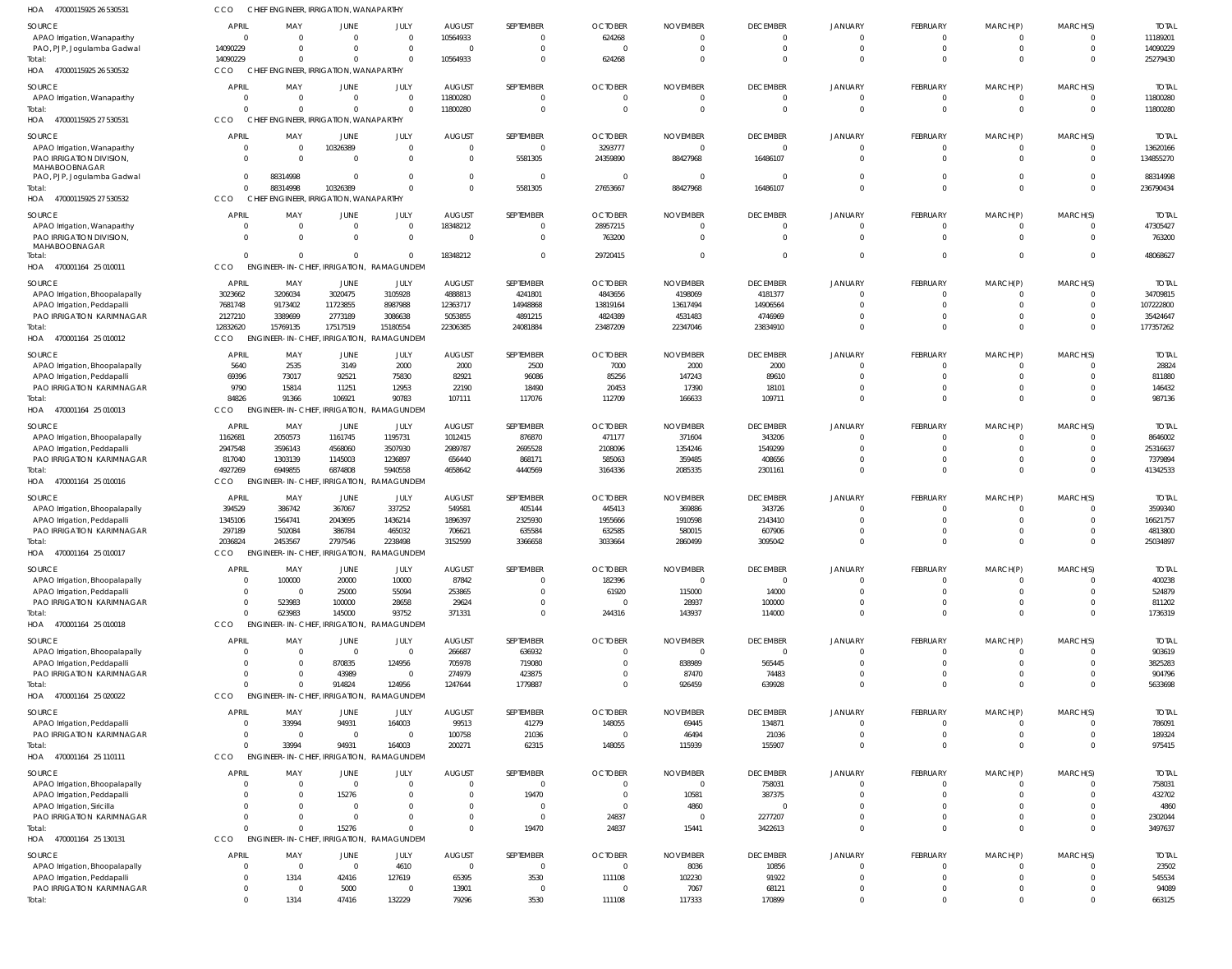| HOA<br>47000115925 26 530531                                  | CCO                              | CHIEF ENGINEER, IRRIGATION, WANAPARTHY |                                         |                                                      |                                 |                                  |                                  |                             |                            |                                  |                                  |                            |                      |                        |
|---------------------------------------------------------------|----------------------------------|----------------------------------------|-----------------------------------------|------------------------------------------------------|---------------------------------|----------------------------------|----------------------------------|-----------------------------|----------------------------|----------------------------------|----------------------------------|----------------------------|----------------------|------------------------|
| SOURCE                                                        | <b>APRIL</b>                     | MAY                                    | JUNE                                    | JULY                                                 | <b>AUGUST</b>                   | SEPTEMBER                        | <b>OCTOBER</b>                   | <b>NOVEMBER</b>             | <b>DECEMBER</b>            | JANUARY                          | FEBRUARY                         | MARCH(P)                   | MARCH(S)             | <b>TOTAL</b>           |
| APAO Irrigation, Wanaparthy                                   | $\overline{0}$                   | $\Omega$                               | $\Omega$                                | $\overline{0}$                                       | 10564933                        | $\mathbf 0$                      | 624268                           | $\Omega$                    | $\overline{0}$             | $\overline{0}$                   | $\mathbf 0$                      | $\mathbf 0$                | $\overline{0}$       | 11189201               |
| PAO, PJP, Jogulamba Gadwal<br>Total:                          | 14090229<br>14090229             | - 0<br>$\Omega$                        | $\Omega$<br>$\Omega$                    | $\overline{0}$<br>$\Omega$                           | $\Omega$<br>10564933            | $\mathbf 0$<br>$\mathbf 0$       | $\bigcap$<br>624268              | $\Omega$<br>$\Omega$        | $\overline{0}$<br>$\Omega$ | $\overline{0}$<br>$\Omega$       | $\overline{0}$<br>$\overline{0}$ | $\mathbf 0$<br>$\mathbf 0$ | $\Omega$<br>$\Omega$ | 14090229<br>25279430   |
| HOA 47000115925 26 530532                                     | <b>CCO</b>                       | CHIEF ENGINEER, IRRIGATION, WANAPARTHY |                                         |                                                      |                                 |                                  |                                  |                             |                            |                                  |                                  |                            |                      |                        |
| SOURCE                                                        | <b>APRIL</b>                     | MAY                                    | JUNE                                    | JULY                                                 | <b>AUGUST</b>                   | SEPTEMBER                        | <b>OCTOBER</b>                   | <b>NOVEMBER</b>             | <b>DECEMBER</b>            | JANUARY                          | FEBRUARY                         | MARCH(P)                   | MARCH(S)             | <b>TOTAI</b>           |
| APAO Irrigation, Wanaparthy                                   | $\Omega$                         | - 0                                    | $\Omega$                                | $\Omega$                                             | 11800280                        | $\mathbf 0$                      | $\Omega$                         | $\Omega$                    | $\overline{0}$             | $\overline{0}$                   | $\mathbf 0$                      | $\mathbf 0$                | $\Omega$             | 11800280               |
| Total:                                                        | $\Omega$                         | $\Omega$                               | $\Omega$                                | $\Omega$                                             | 11800280                        | $\Omega$                         | $\Omega$                         | $\Omega$                    | $\overline{0}$             | $\Omega$                         | $\overline{0}$                   | $\mathbf 0$                | $\Omega$             | 11800280               |
| HOA<br>47000115925 27 530531                                  | CCO                              | <b>CHIEF</b>                           | <b>ENGINEER, IRRIGATION, WANAPARTHY</b> |                                                      |                                 |                                  |                                  |                             |                            |                                  |                                  |                            |                      |                        |
| SOURCE                                                        | <b>APRIL</b>                     | MAY                                    | JUNE                                    | JULY                                                 | <b>AUGUST</b>                   | SEPTEMBER                        | <b>OCTOBER</b>                   | <b>NOVEMBER</b>             | <b>DECEMBER</b>            | <b>JANUARY</b>                   | FEBRUARY                         | MARCH(P)                   | MARCH(S)             | <b>TOTAL</b>           |
| APAO Irrigation, Wanaparthy<br>PAO IRRIGATION DIVISION,       | $\overline{0}$<br>$\Omega$       | $\overline{0}$<br>$\Omega$             | 10326389<br>$\Omega$                    | $\overline{0}$<br>$\overline{0}$                     | $\Omega$<br>$\Omega$            | $\overline{0}$<br>5581305        | 3293777<br>24359890              | 0<br>88427968               | $\overline{0}$<br>16486107 | $\overline{0}$<br>$\Omega$       | $\mathbf 0$<br>$\overline{0}$    | $\mathbf 0$<br>$\mathbf 0$ | $\Omega$<br>$\Omega$ | 13620166<br>134855270  |
| MAHABOOBNAGAR                                                 |                                  |                                        |                                         |                                                      |                                 |                                  |                                  |                             |                            |                                  |                                  |                            |                      |                        |
| PAO, PJP, Jogulamba Gadwal<br>Total:                          | $\overline{0}$<br>$\overline{0}$ | 88314998<br>88314998                   | $\Omega$<br>10326389                    | $\Omega$<br>$\Omega$                                 | $\Omega$<br>$\Omega$            | $\overline{0}$<br>5581305        | - 0<br>27653667                  | 0<br>88427968               | $\Omega$<br>16486107       | $\Omega$<br>$\Omega$             | $\mathbf 0$<br>$\Omega$          | $\mathbf 0$<br>$\mathbf 0$ | $\Omega$<br>$\Omega$ | 88314998<br>236790434  |
| HOA 47000115925 27 530532                                     | CCO                              | CHIEF ENGINEER, IRRIGATION, WANAPARTHY |                                         |                                                      |                                 |                                  |                                  |                             |                            |                                  |                                  |                            |                      |                        |
| SOURCE                                                        | <b>APRIL</b>                     | MAY                                    | JUNE                                    | JULY                                                 | <b>AUGUST</b>                   | SEPTEMBER                        | <b>OCTOBER</b>                   | <b>NOVEMBER</b>             | <b>DECEMBER</b>            | JANUARY                          | <b>FEBRUARY</b>                  | MARCH(P)                   | MARCH(S)             | <b>TOTAI</b>           |
| APAO Irrigation, Wanaparthy                                   | $\mathbf 0$                      | - 0                                    | $\Omega$                                | $\mathbf 0$                                          | 18348212                        | $\Omega$                         | 28957215                         | -0                          | 0                          | $\overline{0}$                   | 0                                | -0                         | $\Omega$             | 47305427               |
| PAO IRRIGATION DIVISION,                                      | $\Omega$                         | $\Omega$                               | $\Omega$                                | $\overline{0}$                                       | $\Omega$                        | $\mathbf 0$                      | 763200                           | $\cup$                      | $\overline{0}$             | $\Omega$                         | $\Omega$                         | $\mathbf 0$                | $\Omega$             | 763200                 |
| MAHABOOBNAGAR<br>Total:                                       | $\Omega$                         | $\Omega$                               | $\Omega$                                | $\Omega$                                             | 18348212                        | $\Omega$                         | 29720415                         | $\cup$                      | $\Omega$                   | $\overline{0}$                   | $\Omega$                         | $\Omega$                   | $\Omega$             | 48068627               |
| HOA 470001164 25 010011                                       | CCO                              | ENGINEER-IN-CHIEF, IRRIGATION,         |                                         | RAMAGUNDEM                                           |                                 |                                  |                                  |                             |                            |                                  |                                  |                            |                      |                        |
| SOURCE                                                        | <b>APRIL</b>                     | MAY                                    | JUNE                                    | JULY                                                 | <b>AUGUST</b>                   | SEPTEMBER                        | <b>OCTOBER</b>                   | <b>NOVEMBER</b>             | <b>DECEMBER</b>            | <b>JANUARY</b>                   | FEBRUARY                         | MARCH(P)                   | MARCH(S)             | <b>TOTAI</b>           |
| APAO Irrigation, Bhoopalapally                                | 3023662                          | 3206034                                | 3020475                                 | 3105928                                              | 4888813                         | 4241801                          | 4843656                          | 4198069                     | 4181377                    | $\Omega$                         | $\mathbf 0$                      | $\mathbf 0$                | $\Omega$             | 34709815               |
| APAO Irrigation, Peddapall                                    | 7681748                          | 9173402                                | 11723855                                | 8987988                                              | 12363717                        | 14948868                         | 13819164                         | 13617494                    | 14906564                   | $\Omega$                         | $\mathbf 0$                      | $\mathbf 0$                | $\Omega$<br>$\Omega$ | 107222800              |
| PAO IRRIGATION KARIMNAGAR<br>Total:                           | 2127210<br>12832620              | 3389699<br>15769135                    | 2773189<br>17517519                     | 3086638<br>15180554                                  | 5053855<br>22306385             | 4891215<br>24081884              | 4824389<br>23487209              | 4531483<br>22347046         | 4746969<br>23834910        | $\Omega$<br>$\Omega$             | $\mathbf 0$<br>$\Omega$          | $\mathbf 0$<br>$\mathbf 0$ | $\Omega$             | 35424647<br>177357262  |
| HOA 470001164 25 010012                                       | <b>CCO</b>                       | ENGINEER-IN-CHIEF, IRRIGATION,         |                                         | RAMAGUNDEM                                           |                                 |                                  |                                  |                             |                            |                                  |                                  |                            |                      |                        |
| SOURCE                                                        | <b>APRIL</b>                     | MAY                                    | JUNE                                    | JULY                                                 | <b>AUGUST</b>                   | SEPTEMBER                        | <b>OCTOBER</b>                   | <b>NOVEMBER</b>             | <b>DECEMBER</b>            | JANUARY                          | FEBRUARY                         | MARCH(P)                   | MARCH(S)             | <b>TOTAI</b>           |
| APAO Irrigation, Bhoopalapally                                | 5640                             | 2535                                   | 3149                                    | 2000                                                 | 2000                            | 2500                             | 7000                             | 2000                        | 2000                       | $\Omega$                         | $\Omega$                         | $\Omega$                   | $\Omega$             | 28824                  |
| APAO Irrigation, Peddapalli                                   | 69396                            | 73017                                  | 92521                                   | 75830                                                | 82921                           | 96086                            | 85256                            | 147243                      | 89610                      | $\Omega$                         | $\mathbf 0$                      | $\mathbf 0$                | $\Omega$             | 811880                 |
| PAO IRRIGATION KARIMNAGAR<br>Total:                           | 9790<br>84826                    | 15814<br>91366                         | 11251<br>106921                         | 12953<br>90783                                       | 22190<br>107111                 | 18490<br>117076                  | 20453<br>112709                  | 17390<br>166633             | 18101<br>109711            | $\Omega$<br>$\Omega$             | $\Omega$<br>$\Omega$             | $\Omega$<br>$\mathbf 0$    | $\Omega$<br>$\Omega$ | 146432<br>987136       |
| HOA 470001164 25 010013                                       | <b>CCO</b>                       | <b>ENGINEER-IN-CHIEF</b>               |                                         | , IRRIGATION, RAMAGUNDEM                             |                                 |                                  |                                  |                             |                            |                                  |                                  |                            |                      |                        |
| SOURCE                                                        | <b>APRIL</b>                     | MAY                                    | JUNE                                    | JULY                                                 | <b>AUGUST</b>                   | SEPTEMBER                        | <b>OCTOBER</b>                   | <b>NOVEMBER</b>             | <b>DECEMBER</b>            | <b>JANUARY</b>                   | FEBRUARY                         | MARCH(P)                   | MARCH(S)             | <b>TOTAI</b>           |
| APAO Irrigation, Bhoopalapally                                | 1162681                          | 2050573                                | 1161745                                 | 1195731                                              | 1012415                         | 876870                           | 471177                           | 371604                      | 343206                     | $\Omega$                         | $\mathbf 0$                      | -0                         | $\Omega$             | 8646002                |
| APAO Irrigation, Peddapalli                                   | 2947548                          | 3596143                                | 4568060                                 | 3507930                                              | 2989787                         | 2695528                          | 2108096                          | 1354246                     | 1549299                    | $\Omega$                         | $\overline{0}$                   | $\mathbf 0$                | $\Omega$             | 25316637               |
| PAO IRRIGATION KARIMNAGAR<br>Total:                           | 817040<br>4927269                | 1303139<br>6949855                     | 1145003<br>6874808                      | 1236897<br>5940558                                   | 656440<br>4658642               | 868171<br>4440569                | 585063<br>3164336                | 359485<br>2085335           | 408656<br>2301161          | $\Omega$<br>$\Omega$             | $\mathbf 0$<br>$\overline{0}$    | $\mathbf 0$<br>$\mathbf 0$ | $\Omega$<br>$\Omega$ | 7379894<br>41342533    |
| HOA 470001164 25 010016                                       | CCO                              | ENGINEER-IN-CHIEF, IRRIGATION,         |                                         | RAMAGUNDEM                                           |                                 |                                  |                                  |                             |                            |                                  |                                  |                            |                      |                        |
| SOURCE                                                        | <b>APRIL</b>                     | MAY                                    | JUNE                                    | JULY                                                 | <b>AUGUST</b>                   | SEPTEMBER                        | <b>OCTOBER</b>                   | <b>NOVEMBER</b>             | <b>DECEMBER</b>            | <b>JANUARY</b>                   | FEBRUARY                         | MARCH(P)                   | MARCH(S)             | <b>TOTAI</b>           |
| APAO Irrigation, Bhoopalapally                                | 394529                           | 386742                                 | 367067                                  | 337252                                               | 549581                          | 405144                           | 445413                           | 369886                      | 343726                     | $\Omega$                         | $\mathbf 0$                      | $\Omega$                   | $\Omega$             | 3599340                |
| APAO Irrigation, Peddapalli                                   | 1345106                          | 1564741                                | 2043695                                 | 1436214                                              | 1896397                         | 2325930                          | 1955666                          | 1910598                     | 2143410                    | $\Omega$                         | $\Omega$                         | $\Omega$                   | $\Omega$             | 16621757               |
| PAO IRRIGATION KARIMNAGAR                                     | 297189                           | 502084                                 | 386784                                  | 465032                                               | 706621                          | 635584                           | 632585                           | 580015                      | 607906                     | $\Omega$                         | $\mathbf 0$<br>$\Omega$          | $\Omega$<br>$\Omega$       |                      | 4813800                |
| Total:<br>HOA<br>470001164 25 010017                          | 2036824<br>CCO                   | 2453567                                | 2797546                                 | 2238498<br>ENGINEER-IN-CHIEF, IRRIGATION, RAMAGUNDEM | 3152599                         | 3366658                          | 3033664                          | 2860499                     | 3095042                    | $\Omega$                         |                                  |                            | $\Omega$             | 25034897               |
| SOURCE                                                        | <b>APRIL</b>                     | MAY                                    | JUNE                                    | JULY                                                 | <b>AUGUST</b>                   | SEPTEMBER                        | <b>OCTOBER</b>                   | <b>NOVEMBER</b>             | <b>DECEMBER</b>            | <b>JANUARY</b>                   | FEBRUARY                         | MARCH(P)                   | MARCH(S)             | <b>TOTAL</b>           |
| APAO Irrigation, Bhoopalapally                                | $\overline{0}$                   | 100000                                 | 20000                                   | 10000                                                | 87842                           | $\mathbf 0$                      | 182396                           | - 0                         | $\overline{0}$             | $\overline{0}$                   | $\mathbf 0$                      | $\mathbf 0$                | $\Omega$             | 400238                 |
| APAO Irrigation, Peddapall                                    | $\overline{0}$                   | - 0                                    | 25000                                   | 55094                                                | 253865                          | $\mathbf 0$                      | 61920                            | 115000                      | 14000                      | $\Omega$                         | $\mathbf 0$                      | $\mathbf 0$                | $\Omega$             | 524879                 |
| PAO IRRIGATION KARIMNAGAR                                     | $\overline{0}$                   | 523983                                 | 100000                                  | 28658                                                | 29624                           | $\mathbf 0$                      |                                  | 28937                       | 100000                     | $\Omega$                         | $\mathbf 0$                      | $\mathbf 0$                | $\Omega$             | 811202                 |
| Total:<br>HOA 470001164 25 010018                             | $\Omega$<br>CCO                  | 623983                                 | 145000                                  | 93752<br>ENGINEER-IN-CHIEF, IRRIGATION, RAMAGUNDEM   | 371331                          | $\mathbf 0$                      | 244316                           | 143937                      | 114000                     | $\overline{0}$                   | $\Omega$                         | $\mathbf 0$                | $\Omega$             | 1736319                |
|                                                               |                                  |                                        |                                         |                                                      |                                 |                                  |                                  |                             |                            |                                  |                                  |                            |                      |                        |
| SOURCE<br>APAO Irrigation, Bhoopalapally                      | <b>APRIL</b><br>$\Omega$         | MAY<br>$\overline{0}$                  | JUNE<br>$\Omega$                        | JULY<br>$\Omega$                                     | <b>AUGUST</b><br>266687         | SEPTEMBER<br>636932              | <b>OCTOBER</b>                   | <b>NOVEMBER</b><br>$\Omega$ | <b>DECEMBER</b><br>- 0     | <b>JANUARY</b><br>$\Omega$       | FEBRUARY<br>$\Omega$             | MARCH(P)<br>$\Omega$       | MARCH(S)<br>$\Omega$ | <b>TOTAL</b><br>903619 |
| APAO Irrigation, Peddapalli                                   | $\Omega$                         | 0                                      | 870835                                  | 124956                                               | 705978                          | 719080                           |                                  | 838989                      | 565445                     | $\Omega$                         | $\mathbf 0$                      | $\Omega$                   | $\Omega$             | 3825283                |
| PAO IRRIGATION KARIMNAGAR                                     | $\Omega$                         | $\Omega$                               | 43989                                   | $\Omega$                                             | 274979                          | 423875                           |                                  | 87470                       | 74483                      | $\Omega$                         | $\Omega$                         | $\Omega$                   | $\Omega$             | 904796                 |
| Total:<br>HOA 470001164 25 020022                             | $\Omega$<br>CCO                  | $\Omega$<br><b>ENGINEER-IN-CHIEF</b>   | 914824<br>Irrigation,                   | 124956<br>RAMAGUNDEM                                 | 1247644                         | 1779887                          | $\Omega$                         | 926459                      | 639928                     | $\Omega$                         | $\Omega$                         | $\mathbf 0$                | $\Omega$             | 5633698                |
|                                                               |                                  |                                        |                                         |                                                      |                                 |                                  |                                  |                             |                            |                                  |                                  |                            |                      |                        |
| SOURCE<br>APAO Irrigation, Peddapalli                         | <b>APRIL</b><br>$\overline{0}$   | MAY<br>33994                           | JUNE<br>94931                           | JULY<br>164003                                       | <b>AUGUST</b><br>99513          | SEPTEMBER<br>41279               | <b>OCTOBER</b><br>148055         | <b>NOVEMBER</b><br>69445    | <b>DECEMBER</b><br>134871  | <b>JANUARY</b><br>$\Omega$       | FEBRUARY<br>$\mathbf 0$          | MARCH(P)<br>-0             | MARCH(S)<br>$\Omega$ | <b>TOTAL</b><br>786091 |
| PAO IRRIGATION KARIMNAGAR                                     | $\overline{0}$                   | $\overline{0}$                         | $\Omega$                                | $\overline{0}$                                       | 100758                          | 21036                            | - 0                              | 46494                       | 21036                      | $\overline{0}$                   | $\overline{0}$                   | $\mathbf 0$                | $\Omega$             | 189324                 |
| Total:                                                        | $\Omega$                         | 33994                                  | 94931                                   | 164003                                               | 200271                          | 62315                            | 148055                           | 115939                      | 155907                     | $\overline{0}$                   | $\overline{0}$                   | $\mathbf 0$                | $\Omega$             | 975415                 |
| HOA 470001164 25 110111                                       | CCO                              | ENGINEER-IN-CHIEF, IRRIGATION,         |                                         | RAMAGUNDEM                                           |                                 |                                  |                                  |                             |                            |                                  |                                  |                            |                      |                        |
| SOURCE                                                        | <b>APRIL</b>                     | MAY                                    | JUNE                                    | JULY                                                 | <b>AUGUST</b>                   | SEPTEMBER                        | <b>OCTOBER</b>                   | <b>NOVEMBER</b>             | <b>DECEMBER</b>            | <b>JANUARY</b>                   | FEBRUARY                         | MARCH(P)                   | MARCH(S)             | <b>TOTAL</b>           |
| APAO Irrigation, Bhoopalapally<br>APAO Irrigation, Peddapalli | $\Omega$<br>$\Omega$             | $\overline{0}$<br>$\Omega$             | $\Omega$<br>15276                       | $\Omega$<br>$\Omega$                                 |                                 | $\Omega$<br>19470                | $\Omega$                         | $\Omega$<br>10581           | 758031<br>387375           | $\Omega$<br>$\Omega$             | $\Omega$<br>$\Omega$             | $\Omega$<br>$\Omega$       | $\Omega$<br>$\Omega$ | 758031<br>432702       |
| APAO Irrigation, Siricilla                                    | $\Omega$                         | $\Omega$                               | - 0                                     | $\Omega$                                             |                                 | $\Omega$                         | $\Omega$                         | 4860                        | $\Omega$                   | $\Omega$                         | $\Omega$                         | $\Omega$                   | $\Omega$             | 4860                   |
| PAO IRRIGATION KARIMNAGAR                                     | $\Omega$                         | $\Omega$                               | $\Omega$                                | $\Omega$                                             |                                 | $\mathbf 0$                      | 24837                            | - 0                         | 2277207                    | $\Omega$                         | $\mathbf 0$                      | $\mathbf 0$                | $\Omega$             | 2302044                |
| Total:                                                        | $\Omega$                         | $\Omega$                               | 15276                                   | $\Omega$                                             | $\Omega$                        | 19470                            | 24837                            | 15441                       | 3422613                    | $\Omega$                         | $\Omega$                         | $\Omega$                   | $\Omega$             | 3497637                |
| HOA 470001164 25 130131                                       | CCO                              | ENGINEER-IN-CHIEF, IRRIGATION,         |                                         | RAMAGUNDEM                                           |                                 |                                  |                                  |                             |                            |                                  |                                  |                            |                      |                        |
| SOURCE                                                        | <b>APRIL</b><br>$\overline{0}$   | MAY<br>$\overline{0}$                  | JUNE<br>$\Omega$                        | JULY                                                 | <b>AUGUST</b><br>$\overline{0}$ | SEPTEMBER                        | <b>OCTOBER</b><br>$\overline{0}$ | <b>NOVEMBER</b>             | <b>DECEMBER</b>            | <b>JANUARY</b><br>$\overline{0}$ | FEBRUARY<br>$\mathbf 0$          | MARCH(P)                   | MARCH(S)<br>$\Omega$ | <b>TOTAL</b>           |
| APAO Irrigation, Bhoopalapally<br>APAO Irrigation, Peddapall  | $\overline{0}$                   | 1314                                   | 42416                                   | 4610<br>127619                                       | 65395                           | $\overline{\phantom{0}}$<br>3530 | 111108                           | 8036<br>102230              | 10856<br>91922             | $\overline{0}$                   | $\mathbf 0$                      | -0<br>-0                   | $\Omega$             | 23502<br>545534        |
| PAO IRRIGATION KARIMNAGAR                                     | $\overline{0}$                   | 0                                      | 5000                                    | $\overline{0}$                                       | 13901                           | $\overline{0}$                   |                                  | 7067                        | 68121                      | $\overline{0}$                   | $\mathbf 0$                      | $\mathbf 0$                | $\Omega$             | 94089                  |
| Total:                                                        | $\overline{0}$                   | 1314                                   | 47416                                   | 132229                                               | 79296                           | 3530                             | 111108                           | 117333                      | 170899                     | $\overline{0}$                   | $\Omega$                         | $\mathbf 0$                | $\Omega$             | 663125                 |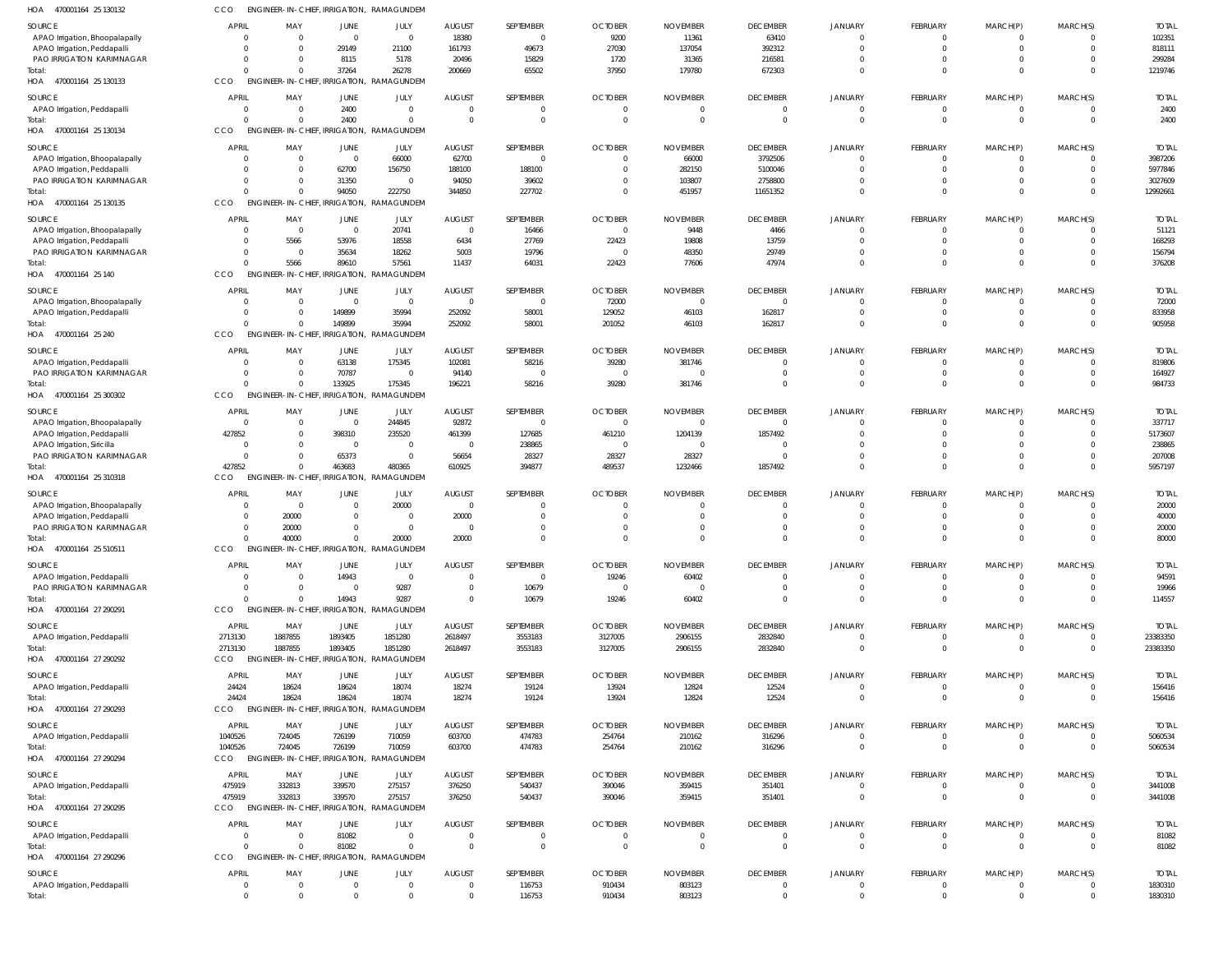| HOA<br>470001164 25 130132                              |                            |                                                   |                      | ENGINEER-IN-CHIEF, IRRIGATION, RAMAGUNDEM          |                           |                             |                            |                         |                                   |                               |                             |                             |                         |                       |
|---------------------------------------------------------|----------------------------|---------------------------------------------------|----------------------|----------------------------------------------------|---------------------------|-----------------------------|----------------------------|-------------------------|-----------------------------------|-------------------------------|-----------------------------|-----------------------------|-------------------------|-----------------------|
| <b>SOURCE</b>                                           | <b>APRIL</b>               | MAY                                               | <b>JUNE</b>          | JULY                                               | <b>AUGUST</b>             | SEPTEMBER                   | <b>OCTOBER</b>             | <b>NOVEMBER</b>         | <b>DECEMBER</b>                   | JANUARY                       | FEBRUARY                    | MARCH(P)                    | MARCH(S)                | <b>TOTAI</b>          |
| APAO Irrigation, Bhoopalapally                          | $\Omega$                   | $\Omega$                                          | $\Omega$             | $\overline{0}$                                     | 18380                     | $\overline{0}$              | 9200                       | 11361                   | 63410                             | $\mathbf 0$                   | $\overline{0}$              | $\mathbf{0}$                |                         | 102351                |
| APAO Irrigation, Peddapalli                             | $\Omega$                   | $\Omega$                                          | 29149                | 21100                                              | 161793                    | 49673                       | 27030                      | 137054                  | 392312                            | $\mathbf 0$                   | $\mathbf 0$                 | $\mathbf 0$                 | $\Omega$                | 818111                |
| PAO IRRIGATION KARIMNAGAR                               | $\Omega$                   | - 0                                               | 8115                 | 5178                                               | 20496                     | 15829                       | 1720                       | 31365                   | 216581                            | 0                             | $\overline{0}$              | $\overline{0}$              |                         | 299284                |
| Total:<br>HOA 470001164 25 130133                       | $\Omega$<br>CCO            | $\Omega$                                          | 37264                | 26278<br>ENGINEER-IN-CHIEF, IRRIGATION, RAMAGUNDEM | 200669                    | 65502                       | 37950                      | 179780                  | 672303                            | $\Omega$                      | $\Omega$                    | $\mathbf 0$                 | $\Omega$                | 1219746               |
| SOURCE                                                  | <b>APRIL</b>               | MAY                                               | JUNE                 | JULY                                               | <b>AUGUST</b>             | SEPTEMBER                   | <b>OCTOBER</b>             | <b>NOVEMBER</b>         | <b>DECEMBER</b>                   | JANUARY                       | FEBRUARY                    | MARCH(P)                    | MARCH(S)                | <b>TOTAL</b>          |
| APAO Irrigation, Peddapalli                             | $\overline{0}$             | $\overline{0}$                                    | 2400                 | $\mathbf 0$                                        | $\Omega$                  | $\overline{0}$              | $\Omega$                   | $\Omega$                | $\overline{0}$                    | $\mathbf 0$                   | $\mathbf 0$                 | $\overline{0}$              | $\Omega$                | 2400                  |
| Total:                                                  | $\Omega$                   | $\Omega$                                          | 2400                 | 0                                                  | $\Omega$                  | $\mathbf 0$                 | $\Omega$                   | $\Omega$                | $\overline{0}$                    | $\Omega$                      | $\mathbf 0$                 | $\mathbf 0$                 | $\Omega$                | 2400                  |
| HOA 470001164 25 130134                                 | CCO                        | ENGINEER-IN-CHIEF, IRRIGATION,                    |                      | <b>RAMAGUNDEM</b>                                  |                           |                             |                            |                         |                                   |                               |                             |                             |                         |                       |
| SOURCE                                                  | <b>APRIL</b>               | MAY                                               | JUNE                 | JULY                                               | <b>AUGUST</b>             | SEPTEMBER                   | <b>OCTOBER</b>             | <b>NOVEMBER</b>         | <b>DECEMBER</b>                   | JANUARY                       | FEBRUARY                    | MARCH(P)                    | MARCH(S)                | <b>TOTAL</b>          |
| APAO Irrigation, Bhoopalapally                          | $\Omega$                   | $\overline{0}$                                    | $\Omega$             | 66000                                              | 62700                     | $\overline{0}$              |                            | 66000                   | 3792506                           | $\mathbf 0$                   | $\mathbf{0}$                | -0                          |                         | 3987206               |
| APAO Irrigation, Peddapall<br>PAO IRRIGATION KARIMNAGAR | $\Omega$<br>$\Omega$       | $\Omega$<br>$\Omega$                              | 62700<br>31350       | 156750<br>$\Omega$                                 | 188100<br>94050           | 188100<br>39602             | - 0                        | 282150<br>103807        | 5100046<br>2758800                | U<br>$\Omega$                 | $\Omega$<br>$\overline{0}$  | $\mathbf{0}$<br>$\mathbf 0$ | $\Omega$                | 5977846<br>3027609    |
| Total:                                                  | $\Omega$                   | $\Omega$                                          | 94050                | 222750                                             | 344850                    | 227702                      | $\Omega$                   | 451957                  | 11651352                          | $\Omega$                      | $\Omega$                    | $\Omega$                    | $\Omega$                | 12992661              |
| HOA 470001164 25 130135                                 | CCO                        | ENGINEER-IN-CHIEF, IRRIGATION,                    |                      | RAMAGUNDEM                                         |                           |                             |                            |                         |                                   |                               |                             |                             |                         |                       |
| <b>SOURCE</b>                                           | <b>APRIL</b>               | MAY                                               | <b>JUNE</b>          | JULY                                               | <b>AUGUST</b>             | SEPTEMBER                   | <b>OCTOBER</b>             | <b>NOVEMBER</b>         | <b>DECEMBER</b>                   | JANUARY                       | FEBRUARY                    | MARCH(P)                    | MARCH(S)                | <b>TOTAI</b>          |
| APAO Irrigation, Bhoopalapally                          | $\circ$                    | $\overline{0}$                                    | $\Omega$             | 20741                                              | $\Omega$                  | 16466                       | - 0                        | 9448                    | 4466                              | $\mathbf 0$                   | $\mathbf 0$                 | $\mathbf{0}$                | $\Omega$                | 51121                 |
| APAO Irrigation, Peddapall                              | $\overline{0}$             | 5566                                              | 53976                | 18558                                              | 6434                      | 27769                       | 22423                      | 19808                   | 13759                             | $\Omega$                      | $\mathbf 0$                 | $\mathbf 0$                 | $\Omega$                | 168293                |
| PAO IRRIGATION KARIMNAGAR<br>Total:                     | $\overline{0}$<br>$\Omega$ | $\overline{0}$<br>5566                            | 35634<br>89610       | 18262<br>57561                                     | 5003<br>11437             | 19796<br>64031              | $\Omega$<br>22423          | 48350<br>77606          | 29749<br>47974                    | $\Omega$<br>$\Omega$          | $\mathbf 0$<br>$\mathbf 0$  | $\mathbf 0$<br>$\mathbf 0$  | $\Omega$<br>$\Omega$    | 156794<br>376208      |
| HOA 470001164 25 140                                    | CCO                        |                                                   |                      | ENGINEER-IN-CHIEF, IRRIGATION, RAMAGUNDEM          |                           |                             |                            |                         |                                   |                               |                             |                             |                         |                       |
| <b>SOURCE</b>                                           | <b>APRIL</b>               | MAY                                               | JUNE                 | JULY                                               | <b>AUGUST</b>             | SEPTEMBER                   | <b>OCTOBER</b>             | <b>NOVEMBER</b>         | <b>DECEMBER</b>                   | JANUARY                       | FEBRUARY                    | MARCH(P)                    | MARCH(S)                | <b>TOTAI</b>          |
| APAO Irrigation, Bhoopalapally                          | $\Omega$                   | $\Omega$                                          | $\Omega$             | $\mathbf 0$                                        | $\Omega$                  | $\overline{0}$              | 72000                      | - 0                     | $\overline{0}$                    | $\Omega$                      | $\mathbf{0}$                | $\mathbf{0}$                | $\Omega$                | 72000                 |
| APAO Irrigation, Peddapall                              | $\Omega$                   | $\Omega$                                          | 149899               | 35994                                              | 252092                    | 58001                       | 129052                     | 46103                   | 162817                            | $\mathbf 0$                   | $\overline{0}$              | $\mathbf 0$                 | $\Omega$                | 833958                |
| Total:                                                  | $\Omega$                   | $\Omega$                                          | 149899               | 35994                                              | 252092                    | 58001                       | 201052                     | 46103                   | 162817                            | $\Omega$                      | $\Omega$                    | $\mathbf 0$                 | $\Omega$                | 905958                |
| HOA 470001164 25 240                                    | CCO                        | <b>ENGINEER-IN-CHIEF</b>                          |                      | IRRIGATION, RAMAGUNDEM                             |                           |                             |                            |                         |                                   |                               |                             |                             |                         |                       |
| <b>SOURCE</b>                                           | <b>APRIL</b>               | MAY                                               | JUNE                 | JULY                                               | <b>AUGUST</b>             | SEPTEMBER                   | <b>OCTOBER</b>             | <b>NOVEMBER</b>         | <b>DECEMBER</b>                   | JANUARY                       | FEBRUARY                    | MARCH(P)                    | MARCH(S)                | <b>TOTAL</b>          |
| APAO Irrigation, Peddapalli                             | - 0                        | $\Omega$                                          | 63138                | 175345                                             | 102081                    | 58216                       | 39280                      | 381746                  | $\overline{0}$                    | $\mathbf 0$                   | $\mathbf 0$                 | $\mathbf{0}$                | $\Omega$                | 819806                |
| PAO IRRIGATION KARIMNAGAR                               | $\overline{0}$<br>$\Omega$ | $\Omega$                                          | 70787                | $\mathbf{0}$                                       | 94140                     | $\overline{0}$              | - 0                        |                         | $\overline{0}$                    | $\mathbf 0$                   | $\mathbf 0$                 | $\mathbf 0$                 | $\Omega$<br>$\Omega$    | 164927                |
| Total:<br>HOA 470001164 25 300302                       | CCO                        | $\Omega$<br><b>ENGINEER-IN-CHIEF, IRRIGATION,</b> | 133925               | 175345<br>RAMAGUNDEM                               | 196221                    | 58216                       | 39280                      | 381746                  | $\Omega$                          | $\Omega$                      | $\mathbf 0$                 | $\mathbf 0$                 |                         | 984733                |
| SOURCE                                                  | <b>APRIL</b>               | MAY                                               | JUNE                 | JULY                                               | <b>AUGUST</b>             | SEPTEMBER                   | <b>OCTOBER</b>             | <b>NOVEMBER</b>         | <b>DECEMBER</b>                   | JANUARY                       | FEBRUARY                    | MARCH(P)                    | MARCH(S)                | <b>TOTAL</b>          |
| APAO Irrigation, Bhoopalapally                          | $\overline{0}$             | $\overline{0}$                                    | $\Omega$             | 244845                                             | 92872                     | $\overline{0}$              | $\Omega$                   | $\Omega$                | $\overline{0}$                    | $\Omega$                      | $\Omega$                    | - 0                         |                         | 337717                |
| APAO Irrigation, Peddapall                              | 427852                     | -0                                                | 398310               | 235520                                             | 461399                    | 127685                      | 461210                     | 1204139                 | 1857492                           | 0                             | $\Omega$                    | $\mathbf{0}$                |                         | 5173607               |
| APAO Irrigation, Siricilla                              | $\Omega$                   | $\Omega$                                          | $\Omega$             | $\mathbf{0}$                                       | $\Omega$                  | 238865                      | - 0                        | - 0                     | $\Omega$                          | $\Omega$                      | $\Omega$                    | $\Omega$                    |                         | 238865                |
| PAO IRRIGATION KARIMNAGAR                               | $\Omega$                   | $\Omega$                                          | 65373                | $\mathbf 0$                                        | 56654                     | 28327                       | 28327                      | 28327                   | $\overline{0}$                    | $\Omega$                      | $\mathbf 0$                 | $\mathbf 0$                 |                         | 207008                |
| Total:<br>HOA 470001164 25 310318                       | 427852<br>CCO              | $\Omega$<br>ENGINEER-IN-CHIEF, IRRIGATION,        | 463683               | 480365<br>RAMAGUNDEM                               | 610925                    | 394877                      | 489537                     | 1232466                 | 1857492                           | $\Omega$                      | $\Omega$                    | $\mathbf 0$                 | $\Omega$                | 5957197               |
| <b>SOURCE</b>                                           | <b>APRIL</b>               | MAY                                               | JUNE                 | JULY                                               | <b>AUGUST</b>             | SEPTEMBER                   | <b>OCTOBER</b>             | <b>NOVEMBER</b>         | <b>DECEMBER</b>                   | JANUARY                       | FEBRUARY                    | MARCH(P)                    | MARCH(S)                | <b>TOTAI</b>          |
| APAO Irrigation, Bhoopalapally                          | $\overline{0}$             | $\overline{0}$                                    | $\Omega$             | 20000                                              | $\Omega$                  | $\mathbf{0}$                |                            |                         | $\overline{0}$                    | $\mathbf 0$                   | $\mathbf 0$                 | $\mathbf 0$                 | $\Omega$                | 20000                 |
| APAO Irrigation, Peddapall                              | $\circ$                    | 20000                                             |                      | 0                                                  | 20000                     | $\mathbf{0}$                |                            |                         | $\overline{0}$                    | $\Omega$                      | $\mathbf 0$                 | $\mathbf 0$                 | $\Omega$                | 40000                 |
| PAO IRRIGATION KARIMNAGAR                               | $\overline{0}$             | 20000                                             |                      | $\mathbf 0$                                        | - 0                       | $\mathbf{0}$                |                            |                         | $\overline{0}$                    | $\Omega$                      | $\mathbf 0$                 | $\mathbf 0$                 |                         | 20000                 |
| Total:                                                  | $\Omega$                   | 40000                                             | $\Omega$             | 20000                                              | 20000                     | $\Omega$                    |                            |                         | $\Omega$                          | $\Omega$                      | $\Omega$                    | $\Omega$                    | $\Omega$                | 80000                 |
| HOA 470001164 25 510511                                 | CCO                        |                                                   |                      | ENGINEER-IN-CHIEF, IRRIGATION, RAMAGUNDEM          |                           |                             |                            |                         |                                   |                               |                             |                             |                         |                       |
| <b>SOURCE</b>                                           | <b>APRIL</b>               | MAY                                               | JUNE                 | JULY                                               | <b>AUGUST</b>             | SEPTEMBER                   | <b>OCTOBER</b>             | <b>NOVEMBER</b>         | <b>DECEMBER</b>                   | JANUARY                       | FEBRUARY                    | MARCH(P)                    | MARCH(S)                | <b>TOTAL</b>          |
| APAO Irrigation, Peddapalli                             | $\overline{0}$             | $\Omega$                                          | 14943                | $\overline{0}$                                     | $\Omega$                  | $\overline{0}$              | 19246                      | 60402                   | $\Omega$                          | $\mathbf 0$                   | $\mathbf{0}$                | $\mathbf{0}$                |                         | 94591                 |
| PAO IRRIGATION KARIMNAGAR<br>Total:                     | $\overline{0}$<br>$\Omega$ | $\overline{0}$<br>$\Omega$                        | $\Omega$<br>14943    | 9287<br>9287                                       | $\Omega$<br>$\Omega$      | 10679<br>10679              | $\overline{0}$<br>19246    | $\overline{0}$<br>60402 | $\overline{0}$<br>$\Omega$        | $\overline{0}$<br>$\Omega$    | $\mathbf 0$<br>$\Omega$     | $\mathbf 0$<br>$\mathbf 0$  | $\Omega$                | 19966<br>114557       |
| HOA 470001164 27 290291                                 | CCO                        |                                                   |                      | ENGINEER-IN-CHIEF, IRRIGATION, RAMAGUNDEM          |                           |                             |                            |                         |                                   |                               |                             |                             |                         |                       |
| <b>SOURCE</b>                                           | <b>APRIL</b>               | MAY                                               | <b>JUNE</b>          | JULY                                               | <b>AUGUST</b>             | SEPTEMBER                   | <b>OCTOBER</b>             | <b>NOVEMBER</b>         | <b>DECEMBER</b>                   | JANUARY                       | FEBRUARY                    | MARCH(P)                    | MARCH(S)                | <b>TOTAL</b>          |
| APAO Irrigation, Peddapalli                             | 2713130                    | 1887855                                           | 1893405              | 1851280                                            | 2618497                   | 3553183                     | 3127005                    | 2906155                 | 2832840                           | $\mathbf 0$                   | $\mathbf 0$                 | $\mathbf 0$                 | $\overline{0}$          | 23383350              |
| Total:                                                  | 2713130                    | 1887855                                           | 1893405              | 1851280                                            | 2618497                   | 3553183                     | 3127005                    | 2906155                 | 2832840                           | $\overline{0}$                | $\mathbf 0$                 | $\mathbf 0$                 | $\Omega$                | 23383350              |
| HOA 470001164 27 290292                                 | CCO                        |                                                   |                      | ENGINEER-IN-CHIEF, IRRIGATION, RAMAGUNDEM          |                           |                             |                            |                         |                                   |                               |                             |                             |                         |                       |
| SOURCE                                                  | APRIL                      | MAY                                               | JUNE                 | JULY                                               | <b>AUGUST</b>             | SEPTEMBER                   | <b>OCTOBER</b>             | <b>NOVEMBER</b>         | <b>DECEMBER</b>                   | JANUARY                       | FEBRUARY                    | MARCH(P)                    | MARCH(S)                | <b>TOTAL</b>          |
| APAO Irrigation, Peddapalli                             | 24424                      | 18624                                             | 18624                | 18074                                              | 18274                     | 19124                       | 13924                      | 12824                   | 12524                             | $\mathbf 0$<br>$\overline{0}$ | $\mathbf{0}$<br>$\mathbf 0$ | $\mathbf{0}$                | $\Omega$<br>$\mathbf 0$ | 156416                |
| Total:<br>HOA 470001164 27 290293                       | 24424<br>CCO               | 18624                                             | 18624                | 18074<br>ENGINEER-IN-CHIEF, IRRIGATION, RAMAGUNDEM | 18274                     | 19124                       | 13924                      | 12824                   | 12524                             |                               |                             | $\mathbf 0$                 |                         | 156416                |
| SOURCE                                                  | <b>APRIL</b>               | MAY                                               | JUNE                 | JULY                                               | <b>AUGUST</b>             | SEPTEMBER                   | <b>OCTOBER</b>             | <b>NOVEMBER</b>         | <b>DECEMBER</b>                   | JANUARY                       | FEBRUARY                    | MARCH(P)                    | MARCH(S)                | <b>TOTAL</b>          |
| APAO Irrigation, Peddapalli                             | 1040526                    | 724045                                            | 726199               | 710059                                             | 603700                    | 474783                      | 254764                     | 210162                  | 316296                            | $\mathbf 0$                   | $\mathbf 0$                 | $\mathbf 0$                 | 0                       | 5060534               |
| Total:                                                  | 1040526                    | 724045                                            | 726199               | 710059                                             | 603700                    | 474783                      | 254764                     | 210162                  | 316296                            | $\mathbf 0$                   | $\mathbf 0$                 | $\mathbf 0$                 | $\overline{0}$          | 5060534               |
| HOA 470001164 27 290294                                 | CCO                        |                                                   |                      | ENGINEER-IN-CHIEF, IRRIGATION, RAMAGUNDEM          |                           |                             |                            |                         |                                   |                               |                             |                             |                         |                       |
| SOURCE                                                  | <b>APRIL</b>               | MAY                                               | JUNE                 | JULY                                               | <b>AUGUST</b>             | SEPTEMBER                   | <b>OCTOBER</b>             | <b>NOVEMBER</b>         | <b>DECEMBER</b>                   | JANUARY                       | FEBRUARY                    | MARCH(P)                    | MARCH(S)                | <b>TOTAL</b>          |
| APAO Irrigation, Peddapalli                             | 475919                     | 332813                                            | 339570               | 275157                                             | 376250                    | 540437                      | 390046                     | 359415                  | 351401                            | $\mathbf 0$                   | $\mathbf 0$                 | $\mathbf 0$                 | $\mathbf 0$             | 3441008               |
| Total:<br>HOA 470001164 27 290295                       | 475919<br>CCO              | 332813<br><b>ENGINEER-IN-CHIEF</b>                | 339570               | 275157<br>IRRIGATION, RAMAGUNDEM                   | 376250                    | 540437                      | 390046                     | 359415                  | 351401                            | $\mathbf 0$                   | $\mathbf 0$                 | $\overline{0}$              | $\Omega$                | 3441008               |
|                                                         |                            |                                                   |                      |                                                    |                           |                             |                            |                         |                                   |                               |                             |                             |                         |                       |
| SOURCE                                                  | APRIL<br>$\overline{0}$    | MAY<br>- 0                                        | <b>JUNE</b><br>81082 | JULY<br>$\mathbf 0$                                | <b>AUGUST</b><br>$\Omega$ | SEPTEMBER<br>$\overline{0}$ | <b>OCTOBER</b><br>$\Omega$ | <b>NOVEMBER</b><br>- 0  | <b>DECEMBER</b><br>$\overline{0}$ | JANUARY<br>$\mathbf 0$        | FEBRUARY<br>$\mathbf 0$     | MARCH(P)<br>$\overline{0}$  | MARCH(S)<br>$\mathbf 0$ | <b>TOTAL</b><br>81082 |
| APAO Irrigation, Peddapalli<br>Total:                   | $\Omega$                   | $\Omega$                                          | 81082                | $\mathbf 0$                                        | $\Omega$                  | $\mathbf 0$                 | $\Omega$                   | $\Omega$                | $\overline{0}$                    | $\overline{0}$                | $\mathbf 0$                 | $\mathbf 0$                 | $\Omega$                | 81082                 |
| HOA 470001164 27 290296                                 | CCO                        |                                                   |                      | ENGINEER-IN-CHIEF, IRRIGATION, RAMAGUNDEM          |                           |                             |                            |                         |                                   |                               |                             |                             |                         |                       |
| SOURCE                                                  | <b>APRIL</b>               | MAY                                               | JUNE                 | JULY                                               | <b>AUGUST</b>             | SEPTEMBER                   | <b>OCTOBER</b>             | <b>NOVEMBER</b>         | <b>DECEMBER</b>                   | JANUARY                       | FEBRUARY                    | MARCH(P)                    | MARCH(S)                | <b>TOTAL</b>          |
| APAO Irrigation, Peddapalli                             | $\overline{0}$             | $\overline{0}$                                    | $\overline{0}$       | $\mathbf 0$                                        | $\overline{0}$            | 116753                      | 910434                     | 803123                  | $\mathbf{0}$                      | $\mathbf 0$                   | $\mathbf{0}$                | $\mathbf{0}$                | $\Omega$                | 1830310               |
| Total:                                                  | $\overline{0}$             | $\Omega$                                          | $\Omega$             | $\mathbf 0$                                        | $\overline{0}$            | 116753                      | 910434                     | 803123                  | $\overline{0}$                    | $\overline{0}$                | $\mathbf 0$                 | $\mathbf 0$                 | $\mathbf 0$             | 1830310               |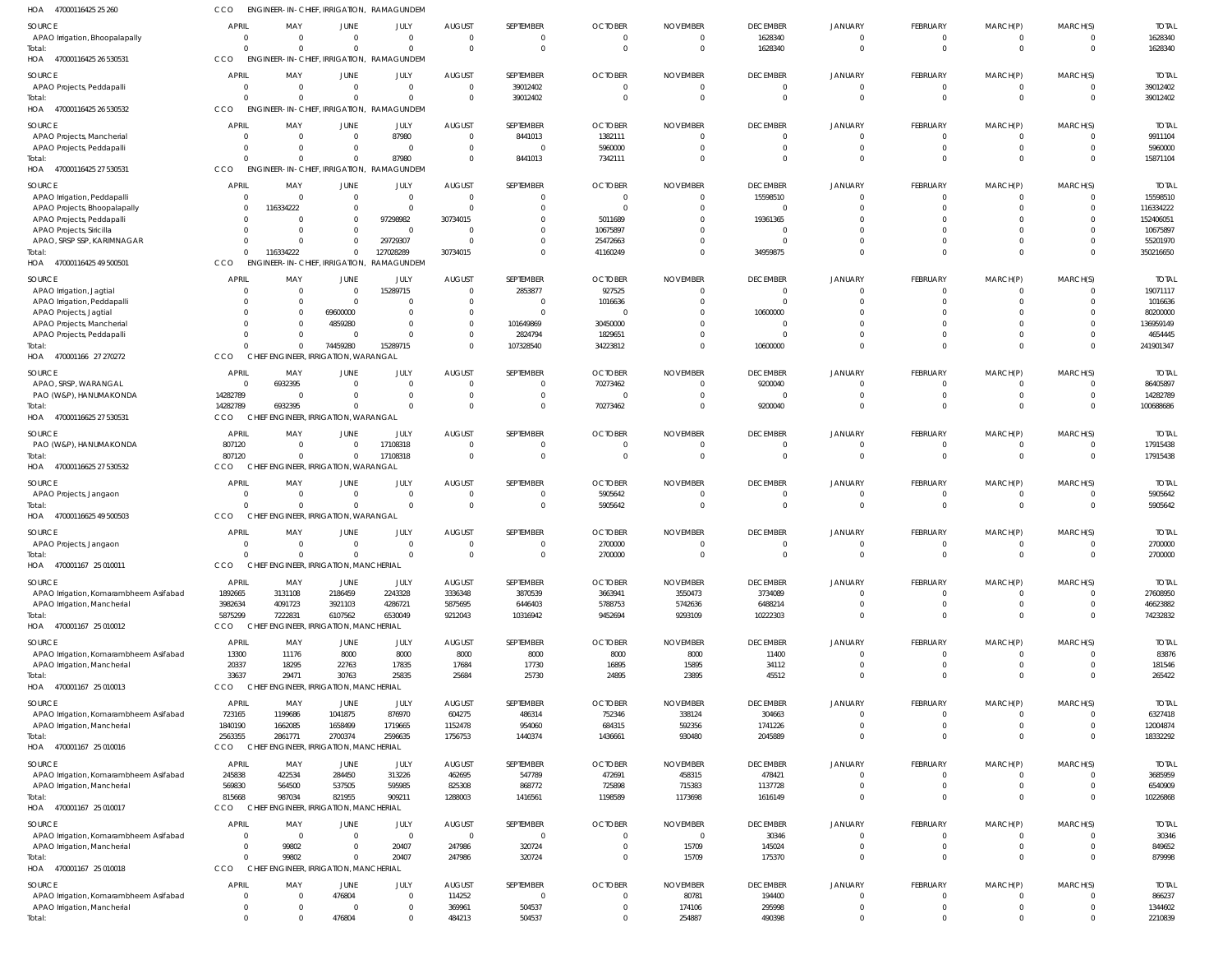| HOA<br>47000116425 25 260              | cco             | ENGINEER-IN-CHIEF, IRRIGATION,              |                                         | RAMAGUNDEM              |                                  |                           |                            |                 |                                   |                                  |                           |                  |                            |                          |
|----------------------------------------|-----------------|---------------------------------------------|-----------------------------------------|-------------------------|----------------------------------|---------------------------|----------------------------|-----------------|-----------------------------------|----------------------------------|---------------------------|------------------|----------------------------|--------------------------|
| <b>SOURCE</b>                          | <b>APRIL</b>    | MAY                                         | <b>JUNE</b>                             | JULY                    | <b>AUGUST</b>                    | SEPTEMBER                 | <b>OCTOBER</b>             | <b>NOVEMBER</b> | <b>DECEMBER</b>                   | <b>JANUARY</b>                   | FEBRUARY                  | MARCH(P)         | MARCH(S)                   | <b>TOTAL</b>             |
| APAO Irrigation, Bhoopalapally         | $\overline{0}$  | $\Omega$                                    | $\overline{0}$                          | $\overline{0}$          | $\overline{0}$                   | $^{\circ}$                | $\Omega$                   | - 0             | 1628340                           | $\overline{0}$                   | $^{\circ}$                | $^{\circ}$       | $\overline{0}$             | 1628340                  |
| Total:                                 | $\Omega$        | $\Omega$                                    | $\Omega$                                | $\mathbf 0$             | $\Omega$                         | $\overline{0}$            | $\Omega$                   | $\Omega$        | 1628340                           | $\overline{0}$                   | $\mathbf 0$               | $\overline{0}$   | $\overline{0}$             | 1628340                  |
| 47000116425 26 530531<br>HOA           | CCO             | ENGINEER-IN-CHIEF, IRRIGATION,              |                                         | RAMAGUNDEM              |                                  |                           |                            |                 |                                   |                                  |                           |                  |                            |                          |
| SOURCE                                 | <b>APRIL</b>    | MAY                                         | <b>JUNE</b>                             | JULY                    | <b>AUGUST</b>                    | SEPTEMBER                 | <b>OCTOBER</b>             | <b>NOVEMBER</b> | <b>DECEMBER</b>                   | JANUARY                          | FEBRUARY                  | MARCH(P)         | MARCH(S)                   | <b>TOTAL</b>             |
| APAO Projects, Peddapalli              | - 0             | - 0                                         | $\overline{0}$                          | $\overline{0}$          | $\overline{0}$                   | 39012402                  | $\Omega$                   | $\Omega$        | $\overline{0}$                    | $\overline{0}$                   | $\overline{0}$            | $\mathbf 0$      | $\overline{0}$             | 39012402                 |
| Total:                                 | $\Omega$        |                                             | $\Omega$                                | $\overline{0}$          | $\Omega$                         | 39012402                  | $\Omega$                   |                 | $\overline{0}$                    | $\overline{0}$                   | $\overline{0}$            | $\overline{0}$   | $\Omega$                   | 39012402                 |
| 47000116425 26 530532<br>HOA           | CCO             | ENGINEER-IN-CHIEF, IRRIGATION,              |                                         | RAMAGUNDEM              |                                  |                           |                            |                 |                                   |                                  |                           |                  |                            |                          |
|                                        |                 |                                             |                                         |                         |                                  |                           |                            |                 |                                   |                                  |                           |                  |                            |                          |
| SOURCE                                 | <b>APRIL</b>    | MAY                                         | JUNE                                    | JULY                    | <b>AUGUST</b>                    | SEPTEMBER                 | <b>OCTOBER</b>             | <b>NOVEMBER</b> | <b>DECEMBER</b>                   | JANUARY                          | FEBRUARY                  | MARCH(P)         | MARCH(S)                   | <b>TOTAL</b>             |
| APAO Projects, Mancherial              | - 0<br>$\Omega$ | $\Omega$                                    | $\overline{0}$<br>$\overline{0}$        | 87980<br>$\overline{0}$ | $\overline{0}$<br>$\overline{0}$ | 8441013<br>$\overline{0}$ | 1382111<br>5960000         |                 | $\mathbf{0}$<br>$\overline{0}$    | $\overline{0}$<br>$\overline{0}$ | $^{\circ}$<br>$\mathbf 0$ | 0<br>$\mathbf 0$ | $\Omega$<br>$\overline{0}$ | 9911104<br>5960000       |
| APAO Projects, Peddapalli<br>Total:    | $\Omega$        |                                             | $\Omega$                                | 87980                   | $\Omega$                         | 8441013                   | 7342111                    |                 | $\Omega$                          | $\Omega$                         | $\mathbf 0$               | $\mathbf 0$      | $\Omega$                   | 15871104                 |
| 47000116425 27 530531<br>HOA           | CCO             | ENGINEER-IN-CHIEF, IRRIGATION,              |                                         | RAMAGUNDEM              |                                  |                           |                            |                 |                                   |                                  |                           |                  |                            |                          |
|                                        |                 |                                             |                                         |                         |                                  |                           |                            |                 |                                   |                                  |                           |                  |                            |                          |
| SOURCE                                 | <b>APRIL</b>    | MAY                                         | <b>JUNE</b>                             | JULY                    | <b>AUGUST</b>                    | SEPTEMBER                 | <b>OCTOBER</b>             | <b>NOVEMBER</b> | <b>DECEMBER</b>                   | JANUARY                          | FEBRUARY                  | MARCH(P)         | MARCH(S)                   | <b>TOTAL</b>             |
| APAO Irrigation, Peddapalli            | - 0             | $\Omega$                                    | $\overline{0}$                          | $\overline{0}$          | $\overline{0}$                   | $\mathbf 0$               | $\Omega$                   |                 | 15598510                          | $\overline{0}$                   | $\overline{0}$            | $\mathbf 0$      | $\overline{0}$             | 15598510                 |
| APAO Projects, Bhoopalapally           | -0              | 116334222                                   | $\overline{0}$                          | $\overline{0}$          | $\Omega$                         | $\mathbf 0$               | $\Omega$                   |                 | $\overline{0}$                    | $\overline{0}$                   | $\mathbf{0}$              | $\mathbf{0}$     | $\Omega$                   | 116334222                |
| APAO Projects, Peddapalli              | -0              |                                             | $\Omega$                                | 97298982                | 30734015                         | $\mathbf 0$               | 5011689                    |                 | 19361365                          | $\Omega$                         | $\mathbf 0$               | $\Omega$         | $\Omega$                   | 152406051                |
| APAO Projects, Siricilla               | -0              |                                             | $\overline{0}$                          | $\circ$                 | $\Omega$                         | $\mathbf 0$               | 10675897                   |                 | $\overline{0}$                    |                                  | $\mathbf 0$               | $\mathbf 0$      | $\Omega$                   | 10675897                 |
| APAO, SRSP SSP, KARIMNAGAR             | -0              |                                             | $\Omega$                                | 29729307                | $\Omega$                         | $\mathbf 0$               | 25472663                   |                 | $\Omega$                          | $\Omega$<br>$\Omega$             | $\mathbf 0$               | $\mathbf 0$      | $\Omega$<br>$\Omega$       | 55201970                 |
| Total:                                 | $\Omega$<br>CCO | 116334222<br>ENGINEER-IN-CHIEF, IRRIGATION, | $\mathbf 0$                             | 127028289<br>RAMAGUNDEM | 30734015                         | $\mathbf 0$               | 41160249                   |                 | 34959875                          |                                  | $\mathbf 0$               | $\mathbf 0$      |                            | 350216650                |
| 47000116425 49 500501<br>HOA           |                 |                                             |                                         |                         |                                  |                           |                            |                 |                                   |                                  |                           |                  |                            |                          |
| SOURCE                                 | <b>APRIL</b>    | MAY                                         | <b>JUNE</b>                             | JULY                    | <b>AUGUST</b>                    | SEPTEMBER                 | <b>OCTOBER</b>             | <b>NOVEMBER</b> | <b>DECEMBER</b>                   | JANUARY                          | FEBRUARY                  | MARCH(P)         | MARCH(S)                   | <b>TOTAL</b>             |
| APAO Irrigation, Jagtial               | - 0             | - 0                                         | $\overline{0}$                          | 15289715                | $\overline{0}$                   | 2853877                   | 927525                     |                 | $\overline{0}$                    | 0                                | $^{\circ}$                | 0                | $\Omega$                   | 19071117                 |
| APAO Irrigation, Peddapalli            | $\Omega$        | $\Omega$                                    | $\Omega$                                | - 0                     | $\mathbf{0}$                     | $\overline{0}$            | 1016636                    |                 | $\Omega$                          | $\Omega$                         | $\mathbf 0$               | $\mathbf 0$      | $\Omega$                   | 1016636                  |
| APAO Projects, Jagtial                 | - 0             | $\Omega$                                    | 69600000                                | $\overline{0}$          | $\Omega$                         | $\mathbf{0}$              |                            |                 | 10600000                          | 0                                | $\Omega$                  | $\Omega$         | $\Omega$                   | 80200000                 |
| APAO Projects, Mancherial              | $\Omega$        | $\Omega$                                    | 4859280                                 | $\overline{0}$          | $\mathbf 0$                      | 101649869                 | 30450000                   |                 | $\overline{0}$                    |                                  | $\mathbf 0$               | $\mathbf 0$      | $\Omega$                   | 136959149                |
| APAO Projects, Peddapalli              | $\Omega$        | $\Omega$                                    |                                         | $\Omega$                | $\Omega$                         | 2824794                   | 1829651                    |                 | $\Omega$                          | $\Omega$                         | $\mathbf 0$               | $\mathbf 0$      | $\Omega$                   | 4654445                  |
| Total:                                 | $\Omega$        | $\Omega$                                    | 74459280                                | 15289715                | $\Omega$                         | 107328540                 | 34223812                   |                 | 10600000                          | $\Omega$                         | $\mathbf 0$               | $\mathbf 0$      | $\overline{0}$             | 241901347                |
| HOA 470001166 27 270272                | CCO             | CHIEF ENGINEER, IRRIGATION, WARANGAL        |                                         |                         |                                  |                           |                            |                 |                                   |                                  |                           |                  |                            |                          |
| SOURCE                                 | <b>APRIL</b>    | MAY                                         | JUNE                                    | JULY                    | <b>AUGUST</b>                    | SEPTEMBER                 | <b>OCTOBER</b>             | <b>NOVEMBER</b> | <b>DECEMBER</b>                   | JANUARY                          | FEBRUARY                  | MARCH(P)         | MARCH(S)                   | <b>TOTAL</b>             |
| APAO, SRSP, WARANGAL                   | - 0             | 6932395                                     | $\mathbf{0}$                            | $\overline{0}$          | $\overline{0}$                   | $\mathbf 0$               | 70273462                   |                 | 9200040                           | $\overline{0}$                   | $\overline{0}$            | 0                | $\Omega$                   | 86405897                 |
| PAO (W&P), HANUMAKONDA                 | 14282789        | $\Omega$                                    | $\Omega$                                | $\overline{0}$          | $\Omega$                         | $\overline{0}$            | $\Omega$                   |                 | $\overline{0}$                    | $\overline{0}$                   | $\mathbf{0}$              | $\mathbf 0$      | $\overline{0}$             | 14282789                 |
| Total:                                 | 14282789        | 6932395                                     | $\Omega$                                | $\Omega$                | $\Omega$                         | $\mathbf 0$               | 70273462                   |                 | 9200040                           | $\overline{0}$                   | $\mathbf 0$               | $\overline{0}$   | $\Omega$                   | 100688686                |
| 47000116625 27 530531<br>HOA           | CCO             |                                             | <b>ENGINEER, IRRIGATION, WARANGAL</b>   |                         |                                  |                           |                            |                 |                                   |                                  |                           |                  |                            |                          |
|                                        | <b>APRIL</b>    |                                             |                                         |                         |                                  | SEPTEMBER                 |                            |                 |                                   |                                  |                           |                  |                            |                          |
| SOURCE<br>PAO (W&P), HANUMAKONDA       | 807120          | MAY<br>$\Omega$                             | JUNE<br>$\Omega$                        | <b>JULY</b><br>17108318 | <b>AUGUST</b><br>$\Omega$        | $\mathbf 0$               | <b>OCTOBER</b><br>$\Omega$ | <b>NOVEMBER</b> | <b>DECEMBER</b><br>$\overline{0}$ | JANUARY<br>$\Omega$              | FEBRUARY<br>$^{\circ}$    | MARCH(P)<br>0    | MARCH(S)<br>$\overline{0}$ | <b>TOTAL</b><br>17915438 |
| Total:                                 | 807120          | $\Omega$                                    | $\mathbf 0$                             | 17108318                | $\overline{0}$                   | $\overline{0}$            | $\Omega$                   | $\Omega$        | $\overline{0}$                    | $\overline{0}$                   | $\mathbf 0$               | $\overline{0}$   | $\overline{0}$             | 17915438                 |
| HOA 47000116625 27 530532              | CCO             | CHIEF ENGINEER, IRRIGATION, WARANGAL        |                                         |                         |                                  |                           |                            |                 |                                   |                                  |                           |                  |                            |                          |
|                                        |                 |                                             |                                         |                         |                                  |                           |                            |                 |                                   |                                  |                           |                  |                            |                          |
| SOURCE                                 | <b>APRIL</b>    | MAY                                         | <b>JUNE</b>                             | JULY                    | <b>AUGUST</b>                    | SEPTEMBER                 | <b>OCTOBER</b>             | <b>NOVEMBER</b> | <b>DECEMBER</b>                   | JANUARY                          | FEBRUARY                  | MARCH(P)         | MARCH(S)                   | <b>TOTAL</b>             |
| APAO Projects, Jangaon                 | - 0             | - 0                                         | $\overline{0}$                          | $\overline{0}$          | $\overline{0}$                   | $\mathbf 0$               | 5905642                    |                 | $\overline{0}$                    | $\overline{0}$                   | $\overline{0}$            | $^{\circ}$       | $\overline{0}$             | 5905642                  |
| Total:                                 | $\Omega$        |                                             | $\overline{0}$                          | $\overline{0}$          | $\overline{0}$                   | $\overline{0}$            | 5905642                    |                 | $\overline{0}$                    | $\overline{0}$                   | $\mathbf 0$               | $\mathbf{0}$     | $\overline{0}$             | 5905642                  |
| HOA 47000116625 49 500503              | CCO             | CHIEF ENGINEER, IRRIGATION, WARANGAL        |                                         |                         |                                  |                           |                            |                 |                                   |                                  |                           |                  |                            |                          |
| SOURCE                                 | <b>APRIL</b>    | MAY                                         | <b>JUNE</b>                             | JULY                    | <b>AUGUST</b>                    | SEPTEMBER                 | <b>OCTOBER</b>             | <b>NOVEMBER</b> | <b>DECEMBER</b>                   | <b>JANUARY</b>                   | FEBRUARY                  | MARCH(P)         | MARCH(S)                   | <b>TOTAL</b>             |
| APAO Projects, Jangaon                 | $\overline{0}$  | $\Omega$                                    | $\overline{0}$                          | $\overline{0}$          | $\overline{0}$                   | $\mathbf 0$               | 2700000                    | $\Omega$        | $\overline{0}$                    | $\Omega$                         | $\mathbf 0$               | $\Omega$         | $\Omega$                   | 2700000                  |
| Total:                                 | $\overline{0}$  | $\overline{0}$                              | $\overline{0}$                          | $\overline{0}$          | $\overline{0}$                   | $\mathbf 0$               | 2700000                    |                 | $\mathbf{0}$                      |                                  | $\cap$                    | $\mathbf 0$      | $\overline{0}$             | 2700000                  |
| HOA 470001167 25 010011                | <b>CCO</b>      | CHIEF ENGINEER, IRRIGATION, MANCHERIAL      |                                         |                         |                                  |                           |                            |                 |                                   |                                  |                           |                  |                            |                          |
| SOURCE                                 | <b>APRIL</b>    | MAY                                         | <b>JUNE</b>                             | JULY                    | <b>AUGUST</b>                    | SEPTEMBER                 | <b>OCTOBER</b>             | <b>NOVEMBER</b> | <b>DECEMBER</b>                   | JANUARY                          | FEBRUARY                  | MARCH(P)         | MARCH(S)                   | <b>TOTAL</b>             |
| APAO Irrigation, Komarambheem Asifabad | 1892665         | 3131108                                     | 2186459                                 | 2243328                 | 3336348                          | 3870539                   | 3663941                    | 3550473         | 3734089                           | $\overline{0}$                   | $\mathbf 0$               | $\mathbf{0}$     | $\overline{0}$             | 27608950                 |
| APAO Irrigation, Mancherial            | 3982634         | 4091723                                     | 3921103                                 | 4286721                 | 5875695                          | 6446403                   | 5788753                    | 5742636         | 6488214                           | $\overline{0}$                   | $\mathbf 0$               | $\overline{0}$   | $\overline{\mathbf{0}}$    | 46623882                 |
| Total:                                 | 5875299         | 7222831                                     | 6107562                                 | 6530049                 | 9212043                          | 10316942                  | 9452694                    | 9293109         | 10222303                          | $\overline{0}$                   | $\mathbf 0$               | $\overline{0}$   | $\overline{0}$             | 74232832                 |
| HOA 470001167 25 010012                | CCO             | CHIEF ENGINEER, IRRIGATION, MANCHERIAL      |                                         |                         |                                  |                           |                            |                 |                                   |                                  |                           |                  |                            |                          |
|                                        |                 |                                             |                                         |                         |                                  |                           |                            |                 |                                   |                                  |                           |                  |                            |                          |
| SOURCE                                 | <b>APRIL</b>    | MAY                                         | <b>JUNE</b>                             | JULY                    | <b>AUGUST</b>                    | SEPTEMBER                 | <b>OCTOBER</b>             | <b>NOVEMBER</b> | <b>DECEMBER</b>                   | JANUARY                          | FEBRUARY                  | MARCH(P)         | MARCH(S)                   | <b>TOTAL</b>             |
| APAO Irrigation, Komarambheem Asifabad | 13300           | 11176                                       | 8000                                    | 8000                    | 8000                             | 8000                      | 8000                       | 8000            | 11400                             | $\Omega$                         | $\mathbf 0$               | 0                | $\Omega$                   | 83876                    |
| APAO Irrigation, Mancherial            | 20337           | 18295                                       | 22763                                   | 17835                   | 17684                            | 17730                     | 16895                      | 15895           | 34112                             | $\Omega$                         | $\mathbf{0}$              | $\mathbf 0$      | $\overline{0}$             | 181546                   |
| Total:                                 | 33637           | 29471                                       | 30763                                   | 25835                   | 25684                            | 25730                     | 24895                      | 23895           | 45512                             | $\overline{0}$                   | $\mathbf 0$               | $\overline{0}$   | $\overline{0}$             | 265422                   |
| HOA 470001167 25 010013                | CCO             | CHIEF ENGINEER, IRRIGATION, MANCHERIAL      |                                         |                         |                                  |                           |                            |                 |                                   |                                  |                           |                  |                            |                          |
| SOURCE                                 | <b>APRIL</b>    | MAY                                         | JUNE                                    | JULY                    | <b>AUGUST</b>                    | SEPTEMBER                 | <b>OCTOBER</b>             | <b>NOVEMBER</b> | <b>DECEMBER</b>                   | JANUARY                          | FEBRUARY                  | MARCH(P)         | MARCH(S)                   | <b>TOTAL</b>             |
| APAO Irrigation, Komarambheem Asifabad | 723165          | 1199686                                     | 1041875                                 | 876970                  | 604275                           | 486314                    | 752346                     | 338124          | 304663                            | $\overline{0}$                   | $\overline{0}$            | $^{\circ}$       | $\Omega$                   | 6327418                  |
| APAO Irrigation, Mancherial            | 1840190         | 1662085                                     | 1658499                                 | 1719665                 | 1152478                          | 954060                    | 684315                     | 592356          | 1741226                           | $\overline{0}$                   | $\mathbf 0$               | $\mathbf 0$      | $\overline{0}$             | 12004874                 |
| Total:                                 | 2563355         | 2861771                                     | 2700374                                 | 2596635                 | 1756753                          | 1440374                   | 1436661                    | 930480          | 2045889                           | $\overline{0}$                   | $\mathbf 0$               | $\overline{0}$   | $\overline{0}$             | 18332292                 |
| HOA 470001167 25 010016                | <b>CCO</b>      | CHIEF ENGINEER, IRRIGATION, MANCHERIAL      |                                         |                         |                                  |                           |                            |                 |                                   |                                  |                           |                  |                            |                          |
| SOURCE                                 | <b>APRIL</b>    | MAY                                         | <b>JUNE</b>                             | JULY                    | <b>AUGUST</b>                    | SEPTEMBER                 | <b>OCTOBER</b>             | <b>NOVEMBER</b> | <b>DECEMBER</b>                   | JANUARY                          | FEBRUARY                  | MARCH(P)         | MARCH(S)                   | <b>TOTAL</b>             |
| APAO Irrigation, Komarambheem Asifabad | 245838          | 422534                                      | 284450                                  | 313226                  | 462695                           | 547789                    | 472691                     | 458315          | 478421                            | $\Omega$                         | $\mathbf 0$               | $^{\circ}$       | $\Omega$                   | 3685959                  |
| APAO Irrigation, Mancherial            | 569830          | 564500                                      | 537505                                  | 595985                  | 825308                           | 868772                    | 725898                     | 715383          | 1137728                           | $\overline{0}$                   | $\mathbf 0$               | $\mathbf 0$      | $\overline{0}$             | 6540909                  |
| Total:                                 | 815668          | 987034                                      | 821955                                  | 909211                  | 1288003                          | 1416561                   | 1198589                    | 1173698         | 1616149                           | $\Omega$                         | $\mathbf 0$               | $\overline{0}$   | $\Omega$                   | 10226868                 |
| HOA 470001167 25 010017                | CCO             | <b>CHIEF</b>                                | <b>ENGINEER, IRRIGATION, MANCHERIAL</b> |                         |                                  |                           |                            |                 |                                   |                                  |                           |                  |                            |                          |
|                                        |                 |                                             |                                         |                         |                                  |                           |                            |                 |                                   |                                  |                           |                  |                            |                          |
| SOURCE                                 | <b>APRIL</b>    | MAY                                         | JUNE                                    | JULY                    | <b>AUGUST</b>                    | SEPTEMBER                 | <b>OCTOBER</b>             | <b>NOVEMBER</b> | <b>DECEMBER</b>                   | JANUARY                          | FEBRUARY                  | MARCH(P)         | MARCH(S)                   | <b>TOTAL</b>             |
| APAO Irrigation, Komarambheem Asifabad | $\overline{0}$  | $\Omega$                                    | $\overline{0}$                          | $\overline{0}$          | $\overline{0}$                   | $\mathbf{0}$              | $\Omega$                   | $\Omega$        | 30346                             | $\overline{0}$                   | $\mathbf 0$               | $\mathbf{0}$     | $\overline{0}$             | 30346                    |
| APAO Irrigation, Mancherial            | - 0             | 99802                                       | $\overline{0}$                          | 20407                   | 247986                           | 320724                    | $\Omega$                   | 15709           | 145024                            | $\overline{0}$                   | $\mathbf 0$               | $\mathbf{0}$     | $\overline{0}$             | 849652                   |
| Total:                                 | $\Omega$        | 99802                                       | $\mathbf 0$                             | 20407                   | 247986                           | 320724                    | $\Omega$                   | 15709           | 175370                            | $\overline{0}$                   | $\mathbf 0$               | $\overline{0}$   | $\overline{0}$             | 879998                   |
| HOA 470001167 25 010018                | CCO             | CHIEF ENGINEER, IRRIGATION, MANCHERIAL      |                                         |                         |                                  |                           |                            |                 |                                   |                                  |                           |                  |                            |                          |
| SOURCE                                 | <b>APRIL</b>    | MAY                                         | <b>JUNE</b>                             | JULY                    | <b>AUGUST</b>                    | SEPTEMBER                 | <b>OCTOBER</b>             | <b>NOVEMBER</b> | <b>DECEMBER</b>                   | JANUARY                          | FEBRUARY                  | MARCH(P)         | MARCH(S)                   | <b>TOTAL</b>             |
| APAO Irrigation, Komarambheem Asifabad | $\overline{0}$  | $\Omega$                                    | 476804                                  | $\overline{0}$          | 114252                           | $\overline{0}$            | $\Omega$                   | 80781           | 194400                            | $\overline{0}$                   | $\overline{0}$            | $^{\circ}$       | $\overline{0}$             | 866237                   |
| APAO Irrigation, Mancherial            | $\overline{0}$  | $\Omega$                                    | $\Omega$                                | $\overline{0}$          | 369961                           | 504537                    | $\Omega$                   | 174106          | 295998                            | $\overline{0}$                   | $\mathbf 0$               | $\mathbf 0$      | $\overline{0}$             | 1344602                  |
| Total:                                 | $\Omega$        | $\Omega$                                    | 476804                                  | $\mathbf 0$             | 484213                           | 504537                    | $\Omega$                   | 254887          | 490398                            | $\mathbf 0$                      | $\mathbf 0$               | $\mathbf 0$      | $\overline{0}$             | 2210839                  |
|                                        |                 |                                             |                                         |                         |                                  |                           |                            |                 |                                   |                                  |                           |                  |                            |                          |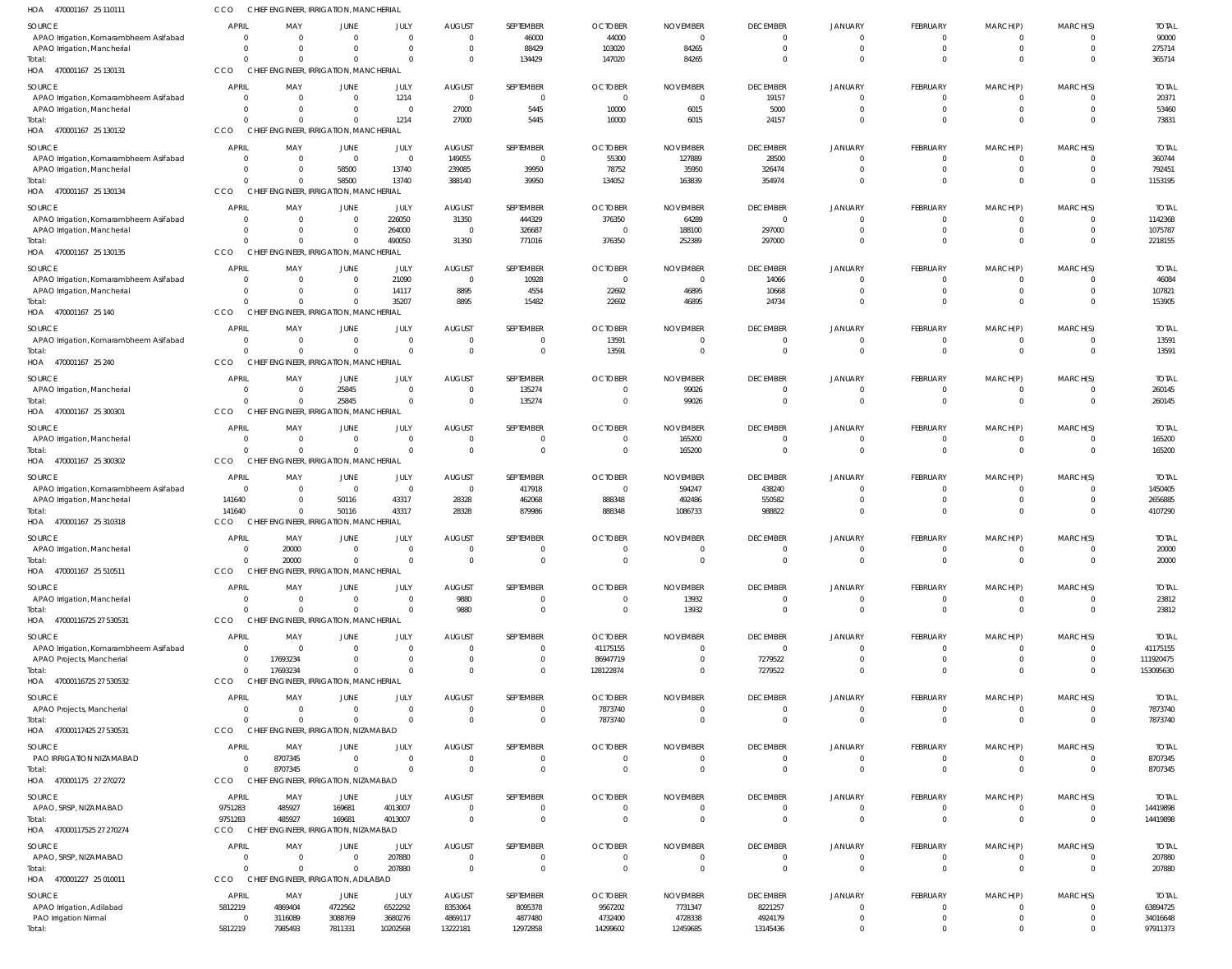| HOA 470001167 25 110111                          | CCO                        | CHIEF ENGINEER, IRRIGATION, MANCHERIAL                         |                                  |                            |                                  |                                  |                                  |                                   |                            |                            |                                  |                                  |                      |                       |
|--------------------------------------------------|----------------------------|----------------------------------------------------------------|----------------------------------|----------------------------|----------------------------------|----------------------------------|----------------------------------|-----------------------------------|----------------------------|----------------------------|----------------------------------|----------------------------------|----------------------|-----------------------|
| SOURCE                                           | APRIL                      | MAY                                                            | <b>JUNE</b>                      | JULY                       | <b>AUGUST</b>                    | SEPTEMBER                        | <b>OCTOBER</b>                   | <b>NOVEMBER</b>                   | <b>DECEMBER</b>            | <b>JANUARY</b>             | FEBRUARY                         | MARCH(P)                         | MARCH(S)             | <b>TOTAI</b>          |
| APAO Irrigation, Komarambheem Asifabad           | $\Omega$                   | $\overline{0}$                                                 | $\overline{0}$                   | $\Omega$                   | $\overline{0}$                   | 46000                            | 44000                            | $\overline{0}$                    | $\mathbf{0}$               | $\mathbf{0}$               | 0                                | 0                                | $\Omega$             | 90000                 |
| APAO Irrigation, Mancherial<br>Total:            | $\Omega$<br>$\Omega$       | $\Omega$<br>$\Omega$                                           | $\mathbf{0}$<br>$\mathbf{0}$     | $\Omega$<br>$\Omega$       | $\overline{0}$<br>$\overline{0}$ | 88429<br>134429                  | 103020<br>147020                 | 84265<br>84265                    | $\Omega$<br>$\Omega$       | $\Omega$<br>$\Omega$       | $\mathbf 0$<br>$\Omega$          | $\mathbf 0$<br>$\Omega$          | $\Omega$<br>$\Omega$ | 275714<br>365714      |
| HOA 470001167 25 130131                          | CCO                        | CHIEF ENGINEER, IRRIGATION, MANCHERIAL                         |                                  |                            |                                  |                                  |                                  |                                   |                            |                            |                                  |                                  |                      |                       |
| SOURCE                                           | APRIL                      | MAY                                                            | JUNE                             | JULY                       | <b>AUGUST</b>                    | SEPTEMBER                        | <b>OCTOBER</b>                   | <b>NOVEMBER</b>                   | <b>DECEMBER</b>            | <b>JANUARY</b>             | FEBRUARY                         | MARCH(P)                         | MARCH(S)             | <b>TOTAL</b>          |
| APAO Irrigation, Komarambheem Asifabad           | $\Omega$                   | $\overline{0}$                                                 | $\overline{0}$                   | 1214                       | $\overline{0}$                   | $\overline{0}$                   | $\overline{0}$                   | $\overline{\mathbf{0}}$           | 19157                      | $\overline{0}$             | 0                                | 0                                | $\Omega$             | 20371                 |
| APAO Irrigation, Mancherial<br>Total:            | $\Omega$<br>$\Omega$       | $\overline{0}$<br>$\Omega$                                     | $\overline{0}$<br>$\mathbf{0}$   | $\Omega$<br>1214           | 27000<br>27000                   | 5445<br>5445                     | 10000<br>10000                   | 6015<br>6015                      | 5000<br>24157              | $\Omega$<br>$\Omega$       | $\mathbf 0$<br>$\mathbf 0$       | $\mathbf 0$<br>$\mathbf 0$       | $\Omega$<br>$\Omega$ | 53460<br>73831        |
| HOA 470001167 25 130132                          | <b>CCO</b>                 | CHIEF ENGINEER, IRRIGATION, MANCHERIAL                         |                                  |                            |                                  |                                  |                                  |                                   |                            |                            |                                  |                                  |                      |                       |
| <b>SOURCE</b>                                    | <b>APRIL</b>               | MAY                                                            | JUNE                             | JULY                       | <b>AUGUST</b>                    | SEPTEMBER                        | <b>OCTOBER</b>                   | <b>NOVEMBER</b>                   | <b>DECEMBER</b>            | <b>JANUARY</b>             | <b>FEBRUARY</b>                  | MARCH(P)                         | MARCH(S)             | <b>TOTAL</b>          |
| APAO Irrigation, Komarambheem Asifabad           | $\Omega$                   | $\mathbf{0}$                                                   | $\overline{0}$                   | $\overline{0}$             | 149055                           | $\overline{0}$                   | 55300                            | 127889                            | 28500                      | $\Omega$                   | $\mathbf 0$                      | $\mathbf 0$                      | $\Omega$             | 360744                |
| APAO Irrigation, Mancherial                      | $\overline{0}$<br>$\Omega$ | $\overline{0}$                                                 | 58500                            | 13740                      | 239085                           | 39950                            | 78752                            | 35950                             | 326474                     | $\Omega$                   | $\mathbf 0$                      | $\mathbf 0$                      | $\Omega$             | 792451                |
| Total:<br>HOA 470001167 25 130134                | <b>CCO</b>                 | $\Omega$<br>CHIEF ENGINEER, IRRIGATION, MANCHERIAL             | 58500                            | 13740                      | 388140                           | 39950                            | 134052                           | 163839                            | 354974                     | $\Omega$                   | $\mathbf 0$                      | $\mathbf 0$                      | $\Omega$             | 1153195               |
| SOURCE                                           | APRIL                      | MAY                                                            | JUNE                             | JULY                       | <b>AUGUST</b>                    | SEPTEMBER                        | <b>OCTOBER</b>                   | <b>NOVEMBER</b>                   | <b>DECEMBER</b>            | <b>JANUARY</b>             | FEBRUARY                         | MARCH(P)                         | MARCH(S)             | <b>TOTAL</b>          |
| APAO Irrigation, Komarambheem Asifabad           | $\Omega$                   | $\overline{0}$                                                 | $\overline{0}$                   | 226050                     | 31350                            | 444329                           | 376350                           | 64289                             | $\overline{0}$             | $\Omega$                   | $\mathbf 0$                      | 0                                | $\Omega$             | 1142368               |
| APAO Irrigation, Mancherial                      | $\Omega$                   | $\overline{0}$                                                 | $\overline{0}$                   | 264000                     | $\overline{0}$                   | 326687                           | $\overline{0}$                   | 188100                            | 297000                     | $\overline{0}$             | $\mathbf 0$                      | $\overline{0}$                   | $\Omega$             | 1075787               |
| Total:                                           |                            | $\Omega$<br>$\Omega$<br>CHIEF ENGINEER, IRRIGATION, MANCHERIAL | $\Omega$                         | 490050                     | 31350                            | 771016                           | 376350                           | 252389                            | 297000                     | $\Omega$                   | $\mathbf 0$                      | $\mathbf 0$                      | $\Omega$             | 2218155               |
| HOA 470001167 25 130135                          | CCO                        |                                                                |                                  |                            |                                  |                                  |                                  |                                   |                            |                            |                                  |                                  |                      |                       |
| SOURCE<br>APAO Irrigation, Komarambheem Asifabad | <b>APRIL</b><br>$\Omega$   | MAY<br>$\overline{0}$                                          | JUNE<br>$\overline{0}$           | JULY<br>21090              | <b>AUGUST</b><br>$\overline{0}$  | SEPTEMBER<br>10928               | <b>OCTOBER</b><br>$\overline{0}$ | <b>NOVEMBER</b><br>$\overline{0}$ | <b>DECEMBER</b><br>14066   | <b>JANUARY</b>             | FEBRUARY<br>$\mathbf 0$          | MARCH(P)<br>0                    | MARCH(S)             | <b>TOTAI</b><br>46084 |
| APAO Irrigation, Mancherial                      | $\Omega$                   | $\Omega$                                                       | $\overline{0}$                   | 14117                      | 8895                             | 4554                             | 22692                            | 46895                             | 10668                      | $\Omega$                   | $\mathbf 0$                      | $\mathbf 0$                      | $\Omega$             | 107821                |
| Total:                                           |                            | $\Omega$<br>$\Omega$                                           | $\mathbf 0$                      | 35207                      | 8895                             | 15482                            | 22692                            | 46895                             | 24734                      | $\Omega$                   | $\mathbf 0$                      | $\mathbf 0$                      | $\Omega$             | 153905                |
| HOA 470001167 25 140                             | CCO                        | CHIEF ENGINEER, IRRIGATION, MANCHERIAL                         |                                  |                            |                                  |                                  |                                  |                                   |                            |                            |                                  |                                  |                      |                       |
| SOURCE                                           | APRIL                      | MAY                                                            | JUNE                             | JULY                       | <b>AUGUST</b>                    | SEPTEMBER                        | <b>OCTOBER</b>                   | <b>NOVEMBER</b>                   | <b>DECEMBER</b>            | <b>JANUARY</b>             | <b>FEBRUARY</b>                  | MARCH(P)                         | MARCH(S)             | <b>TOTAL</b>          |
| APAO Irrigation, Komarambheem Asifabad<br>Total: | $\Omega$<br>$\Omega$       | $\overline{0}$<br>$\Omega$                                     | $\overline{0}$<br>$\overline{0}$ | $\Omega$<br>$\overline{0}$ | $\overline{0}$<br>$\overline{0}$ | $\Omega$<br>$\mathbf{0}$         | 13591<br>13591                   | $\overline{0}$<br>$\overline{0}$  | $\Omega$<br>$\Omega$       | $\Omega$<br>$\Omega$       | $\mathbf 0$<br>$\overline{0}$    | 0<br>$\overline{0}$              | $\Omega$<br>$\Omega$ | 13591<br>13591        |
| HOA 470001167 25 240                             | <b>CCO</b>                 | CHIEF ENGINEER, IRRIGATION, MANCHERIAL                         |                                  |                            |                                  |                                  |                                  |                                   |                            |                            |                                  |                                  |                      |                       |
| SOURCE                                           | <b>APRIL</b>               | MAY                                                            | JUNE                             | JULY                       | <b>AUGUST</b>                    | SEPTEMBER                        | <b>OCTOBER</b>                   | <b>NOVEMBER</b>                   | <b>DECEMBER</b>            | <b>JANUARY</b>             | FEBRUARY                         | MARCH(P)                         | MARCH(S)             | <b>TOTAL</b>          |
| APAO Irrigation, Mancherial                      |                            | $\overline{0}$<br>$\Omega$                                     | 25845                            | $\Omega$                   | $\overline{0}$                   | 135274                           | 0                                | 99026                             | $\Omega$                   | $\Omega$                   | $\mathbf 0$                      | 0                                |                      | 260145                |
| Total:                                           | $\Omega$                   | $\Omega$                                                       | 25845                            | $\Omega$                   | $\overline{0}$                   | 135274                           | $\mathbf 0$                      | 99026                             | $\overline{0}$             | $\Omega$                   | $\overline{0}$                   | $\mathbf 0$                      | $\overline{0}$       | 260145                |
| HOA 470001167 25 300301                          | CCO                        | CHIEF ENGINEER, IRRIGATION, MANCHERIAL                         |                                  |                            |                                  |                                  |                                  |                                   |                            |                            |                                  |                                  |                      |                       |
| SOURCE                                           | APRIL                      | MAY                                                            | <b>JUNE</b>                      | JULY                       | <b>AUGUST</b>                    | SEPTEMBER                        | <b>OCTOBER</b>                   | <b>NOVEMBER</b>                   | <b>DECEMBER</b>            | <b>JANUARY</b>             | FEBRUARY                         | MARCH(P)                         | MARCH(S)             | <b>TOTAL</b>          |
| APAO Irrigation, Mancherial<br>Total:            | $\Omega$                   | $\overline{0}$<br>$\Omega$<br>$\Omega$                         | $\overline{0}$<br>$\mathbf 0$    | $\Omega$<br>$\Omega$       | $\overline{0}$<br>$\overline{0}$ | $\overline{0}$<br>$\overline{0}$ | $\overline{0}$<br>$\overline{0}$ | 165200<br>165200                  | $\Omega$<br>$\overline{0}$ | $\overline{0}$<br>$\Omega$ | $\overline{0}$<br>$\overline{0}$ | $\overline{0}$<br>$\overline{0}$ | $\overline{0}$       | 165200<br>165200      |
| HOA 470001167 25 300302                          | CCO                        | CHIEF ENGINEER, IRRIGATION, MANCHERIAL                         |                                  |                            |                                  |                                  |                                  |                                   |                            |                            |                                  |                                  |                      |                       |
| SOURCE                                           | <b>APRIL</b>               | MAY                                                            | JUNE                             | JULY                       | <b>AUGUST</b>                    | SEPTEMBER                        | <b>OCTOBER</b>                   | <b>NOVEMBER</b>                   | <b>DECEMBER</b>            | <b>JANUARY</b>             | FEBRUARY                         | MARCH(P)                         | MARCH(S)             | <b>TOTAL</b>          |
| APAO Irrigation, Komarambheem Asifabad           | $\Omega$                   | $\mathbf 0$                                                    | $\overline{0}$                   | $\overline{0}$             | $\overline{0}$                   | 417918                           | $\overline{0}$                   | 594247                            | 438240                     | $\Omega$                   | $\mathbf 0$                      | $\mathbf 0$                      | $\overline{0}$       | 1450405               |
| APAO Irrigation, Mancherial                      | 141640                     | $\Omega$                                                       | 50116                            | 43317                      | 28328                            | 462068                           | 888348                           | 492486                            | 550582                     | $\Omega$                   | $\mathbf 0$                      | $\mathbf 0$                      | $\Omega$             | 2656885               |
| Total:<br>HOA 470001167 25 310318                | 141640<br>CCO              | $\mathbf{0}$<br>CHIEF ENGINEER, IRRIGATION, MANCHERIAL         | 50116                            | 43317                      | 28328                            | 879986                           | 888348                           | 1086733                           | 988822                     | $\Omega$                   | $\mathbf 0$                      | $\mathbf 0$                      | $\Omega$             | 4107290               |
| SOURCE                                           | APRIL                      | MAY                                                            | JUNE                             | JULY                       | <b>AUGUST</b>                    | SEPTEMBER                        | <b>OCTOBER</b>                   | <b>NOVEMBER</b>                   | <b>DECEMBER</b>            | <b>JANUARY</b>             | <b>FEBRUARY</b>                  | MARCH(P)                         | MARCH(S)             | <b>TOTAL</b>          |
| APAO Irrigation, Mancherial                      | $\Omega$                   | 20000                                                          | $\Omega$                         | $\Omega$                   | $\Omega$                         | $\Omega$                         | $\Omega$                         | $\Omega$                          | $\Omega$                   | $\Omega$                   | $\Omega$                         | $\Omega$                         | $\Omega$             | 20000                 |
| Total:                                           |                            | 20000<br>$\Omega$                                              | $\overline{0}$                   | $\Omega$                   | $\overline{0}$                   | $\mathbf{0}$                     | $\overline{0}$                   | $\overline{0}$                    | $\overline{0}$             | $\overline{0}$             | $\overline{0}$                   | $\overline{0}$                   | $\overline{0}$       | 20000                 |
| HOA 470001167 25 510511                          | CCO                        | CHIEF ENGINEER, IRRIGATION, MANCHERIAL                         |                                  |                            |                                  |                                  |                                  |                                   |                            |                            |                                  |                                  |                      |                       |
| SOURCE                                           | <b>APRIL</b>               | MAY                                                            | <b>JUNE</b>                      | JULY                       | <b>AUGUST</b>                    | SEPTEMBER                        | <b>OCTOBER</b>                   | <b>NOVEMBER</b>                   | <b>DECEMBER</b>            | <b>JANUARY</b>             | FEBRUARY                         | MARCH(P)                         | MARCH(S)             | <b>TOTAL</b>          |
| APAO Irrigation, Mancherial<br>Total:            | $\Omega$<br>$\Omega$       | $\mathbf{0}$<br>$\Omega$                                       | $\overline{0}$<br>$\overline{0}$ | $\Omega$<br>$\Omega$       | 9880<br>9880                     | $\mathbf{0}$<br>$\overline{0}$   | $\overline{0}$<br>$\overline{0}$ | 13932<br>13932                    | $\Omega$<br>$\Omega$       | $\mathbf{0}$<br>$\Omega$   | $\mathbf 0$<br>$\mathbf 0$       | $\mathbf 0$<br>$\overline{0}$    | $\Omega$             | 23812<br>23812        |
| HOA 47000116725 27 530531                        | <b>CCO</b>                 | CHIEF ENGINEER, IRRIGATION, MANCHERIAL                         |                                  |                            |                                  |                                  |                                  |                                   |                            |                            |                                  |                                  |                      |                       |
| <b>SOURCE</b>                                    | APRIL                      | MAY                                                            | <b>JUNE</b>                      | JULY                       | <b>AUGUST</b>                    | SEPTEMBER                        | <b>OCTOBER</b>                   | <b>NOVEMBER</b>                   | <b>DECEMBER</b>            | <b>JANUARY</b>             | FEBRUARY                         | MARCH(P)                         | MARCH(S)             | <b>TOTAL</b>          |
| APAO Irrigation, Komarambheem Asifabad           |                            | $\Omega$                                                       | $\overline{0}$                   | $\Omega$                   | 0                                | $\mathbf{0}$                     | 41175155                         | 0                                 | $\Omega$                   |                            | 0                                | 0                                |                      | 41175155              |
| APAO Projects, Mancherial                        | $\Omega$                   | 17693234                                                       | $\Omega$                         | $\Omega$                   | $\overline{0}$                   | $\Omega$                         | 86947719                         | $\Omega$                          | 7279522                    |                            | $\mathbf 0$                      | $\mathbf 0$                      | $\overline{0}$       | 111920475             |
| Total:<br>HOA 47000116725 27 530532              | $\Omega$<br><b>CCO</b>     | 17693234<br>CHIEF ENGINEER, IRRIGATION, MANCHERIAL             | $\Omega$                         | $\Omega$                   | $\Omega$                         | $\Omega$                         | 128122874                        | $\Omega$                          | 7279522                    | $\Omega$                   | $\Omega$                         | $\mathbf 0$                      | $\Omega$             | 153095630             |
| <b>SOURCE</b>                                    | <b>APRIL</b>               | MAY                                                            | <b>JUNE</b>                      | JULY                       | <b>AUGUST</b>                    | SEPTEMBER                        | <b>OCTOBER</b>                   | <b>NOVEMBER</b>                   | <b>DECEMBER</b>            | <b>JANUARY</b>             | FEBRUARY                         | MARCH(P)                         | MARCH(S)             | <b>TOTAL</b>          |
| APAO Projects, Mancherial                        |                            | $\mathbf 0$                                                    | $\overline{0}$                   | - 0                        | $\overline{0}$                   | $\overline{0}$                   | 7873740                          | $\overline{0}$                    |                            | $\Omega$                   | 0                                | 0                                |                      | 7873740               |
| Total:                                           |                            | $\Omega$<br>$\Omega$                                           | $\Omega$                         | $\Omega$                   | $\overline{0}$                   | $\overline{0}$                   | 7873740                          | $\overline{0}$                    | $\Omega$                   | $\Omega$                   | $\mathbf 0$                      | $\mathbf 0$                      | $\Omega$             | 7873740               |
| HOA 47000117425 27 530531                        | CCO                        | CHIEF ENGINEER, IRRIGATION, NIZAMABAD                          |                                  |                            |                                  |                                  |                                  |                                   |                            |                            |                                  |                                  |                      |                       |
| SOURCE                                           | APRIL                      | MAY                                                            | JUNE                             | JULY                       | <b>AUGUST</b>                    | SEPTEMBER                        | <b>OCTOBER</b>                   | <b>NOVEMBER</b>                   | <b>DECEMBER</b>            | <b>JANUARY</b>             | <b>FEBRUARY</b>                  | MARCH(P)                         | MARCH(S)             | <b>TOTAL</b>          |
| PAO IRRIGATION NIZAMABAD<br>Total:               | $\Omega$<br>$\Omega$       | 8707345<br>8707345                                             | $\mathbf{0}$<br>$\overline{0}$   | $\Omega$<br>$\Omega$       | $\overline{0}$<br>$\overline{0}$ | $\overline{0}$<br>$\overline{0}$ | $\overline{0}$<br>$\overline{0}$ | 0<br>$\overline{0}$               | $\Omega$<br>$\Omega$       | $\Omega$                   | 0<br>$\mathbf 0$                 | 0<br>$\overline{0}$              | $\Omega$<br>$\Omega$ | 8707345<br>8707345    |
| HOA 470001175 27 270272                          | <b>CCO</b>                 | CHIEF ENGINEER, IRRIGATION, NIZAMABAD                          |                                  |                            |                                  |                                  |                                  |                                   |                            |                            |                                  |                                  |                      |                       |
| <b>SOURCE</b>                                    | APRIL                      | MAY                                                            | JUNE                             | JULY                       | <b>AUGUST</b>                    | SEPTEMBER                        | <b>OCTOBER</b>                   | <b>NOVEMBER</b>                   | <b>DECEMBER</b>            | <b>JANUARY</b>             | FEBRUARY                         | MARCH(P)                         | MARCH(S)             | <b>TOTAL</b>          |
| APAO, SRSP, NIZAMABAD                            | 9751283                    | 485927                                                         | 169681                           | 4013007                    | 0                                | 0                                | 0                                | 0                                 |                            |                            | 0                                | 0                                |                      | 14419898              |
| Total:                                           | 9751283                    | 485927                                                         | 169681                           | 4013007                    | $\overline{0}$                   | $\mathbf 0$                      | $\overline{0}$                   | $\overline{0}$                    | $\overline{0}$             | $\Omega$                   | $\mathbf 0$                      | $\mathbf 0$                      | $\overline{0}$       | 14419898              |
| HOA 47000117525 27 270274                        | CCO                        | CHIEF ENGINEER, IRRIGATION, NIZAMABAD                          |                                  |                            |                                  |                                  |                                  |                                   |                            |                            |                                  |                                  |                      |                       |
| <b>SOURCE</b>                                    | APRIL                      | MAY                                                            | <b>JUNE</b>                      | JULY                       | <b>AUGUST</b>                    | SEPTEMBER                        | <b>OCTOBER</b>                   | <b>NOVEMBER</b>                   | <b>DECEMBER</b>            | <b>JANUARY</b>             | FEBRUARY                         | MARCH(P)                         | MARCH(S)             | <b>TOTAL</b>          |
| APAO, SRSP, NIZAMABAD<br>Total:                  |                            | $\overline{0}$<br>$\Omega$<br>$\Omega$                         | $\overline{0}$<br>$\mathbf 0$    | 207880<br>207880           | $\overline{0}$<br>$\overline{0}$ | $\overline{0}$<br>$\overline{0}$ | 0<br>$\Omega$                    | 0<br>$\overline{0}$               | $\Omega$                   | $\Omega$                   | 0<br>$\overline{0}$              | 0<br>$\overline{0}$              | $\Omega$             | 207880<br>207880      |
| HOA 470001227 25 010011                          | CCO                        | CHIEF ENGINEER, IRRIGATION, ADILABAD                           |                                  |                            |                                  |                                  |                                  |                                   |                            |                            |                                  |                                  |                      |                       |
| SOURCE                                           | APRIL                      | MAY                                                            | JUNE                             | JULY                       | <b>AUGUST</b>                    | SEPTEMBER                        | <b>OCTOBER</b>                   | <b>NOVEMBER</b>                   | <b>DECEMBER</b>            | <b>JANUARY</b>             | <b>FEBRUARY</b>                  | MARCH(P)                         | MARCH(S)             | <b>TOTAL</b>          |
| APAO Irrigation, Adilabad                        | 5812219                    | 4869404                                                        | 4722562                          | 6522292                    | 8353064                          | 8095378                          | 9567202                          | 7731347                           | 8221257                    | $\Omega$                   | $\mathbf 0$                      | $\mathbf 0$                      |                      | 63894725              |
| PAO Irrigation Nirmal                            | $\overline{0}$<br>5812219  | 3116089<br>7985493                                             | 3088769<br>7811331               | 3680276<br>10202568        | 4869117<br>13222181              | 4877480<br>12972858              | 4732400<br>14299602              | 4728338<br>12459685               | 4924179<br>13145436        | $\Omega$                   | $\mathbf 0$<br>$\Omega$          | $\mathbf 0$<br>$\Omega$          | $\Omega$             | 34016648<br>97911373  |
| Total:                                           |                            |                                                                |                                  |                            |                                  |                                  |                                  |                                   |                            |                            |                                  |                                  |                      |                       |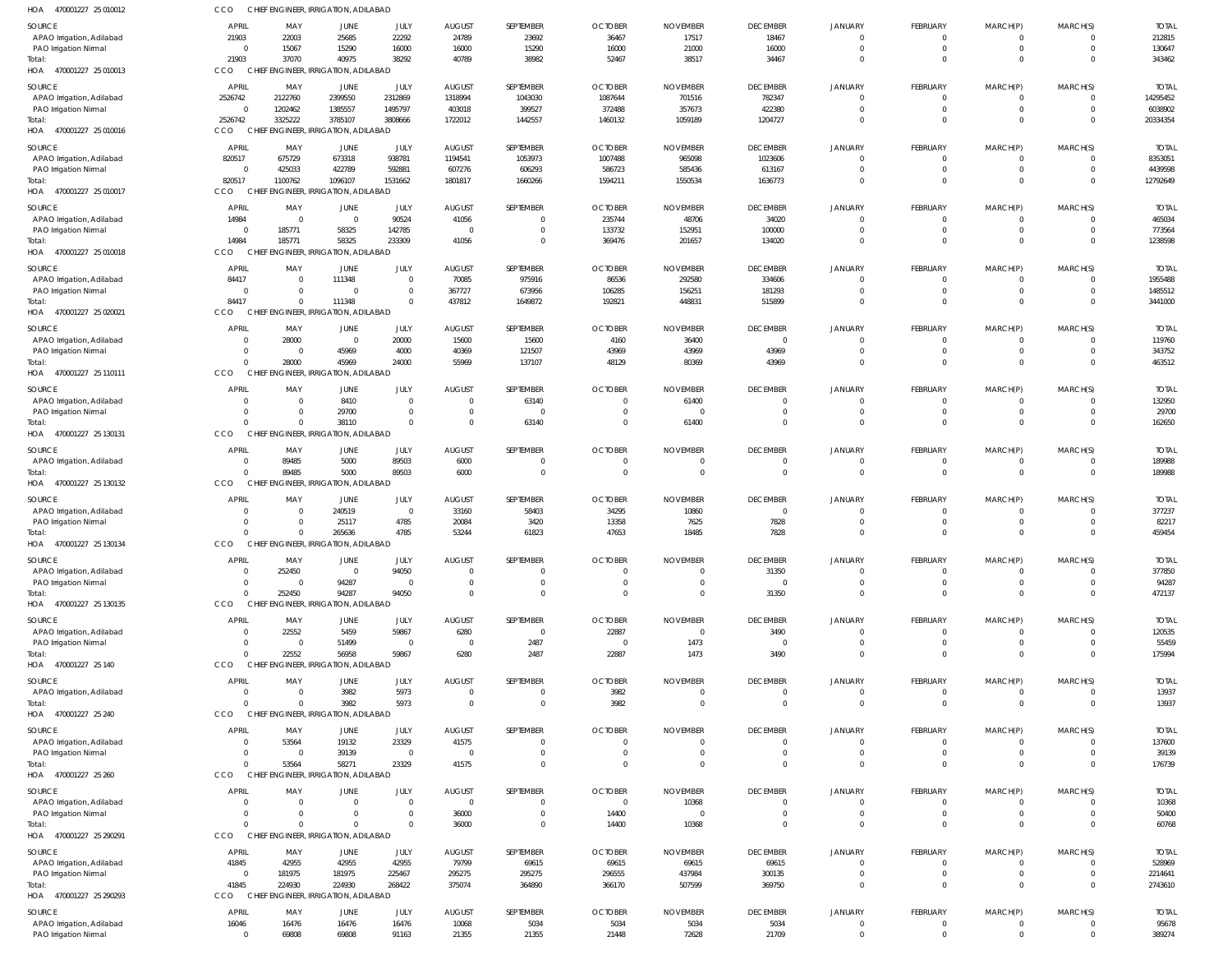| HOA 470001227 25 010012                            | CCO                  | CHIEF ENGINEER, IRRIGATION, ADILABAD             |                                                 |                            |                                  |                      |                            |                               |                                 |                               |                            |                      |                             |                       |
|----------------------------------------------------|----------------------|--------------------------------------------------|-------------------------------------------------|----------------------------|----------------------------------|----------------------|----------------------------|-------------------------------|---------------------------------|-------------------------------|----------------------------|----------------------|-----------------------------|-----------------------|
| SOURCE                                             | <b>APRIL</b>         | MAY                                              | JUNE                                            | JULY                       | <b>AUGUST</b>                    | SEPTEMBER            | <b>OCTOBER</b>             | <b>NOVEMBER</b>               | <b>DECEMBER</b>                 | JANUARY                       | FEBRUARY                   | MARCH(P)             | MARCH(S)                    | <b>TOTAL</b>          |
| APAO Irrigation, Adilabad                          | 21903                | 22003                                            | 25685                                           | 22292                      | 24789                            | 23692                | 36467                      | 17517                         | 18467                           | $\Omega$                      | $\Omega$                   | $\Omega$             | $\Omega$                    | 212815                |
| PAO Irrigation Nirmal                              | $\Omega$             | 15067                                            | 15290                                           | 16000                      | 16000                            | 15290                | 16000                      | 21000                         | 16000                           | $\mathbf 0$                   | $\Omega$                   | $\Omega$             | $\mathbf 0$                 | 130647                |
| Total:                                             | 21903                | 37070<br>CHIEF ENGINEER, IRRIGATION, ADILABAD    | 40975                                           | 38292                      | 40789                            | 38982                | 52467                      | 38517                         | 34467                           | $\Omega$                      | $\Omega$                   | $\Omega$             | $\Omega$                    | 343462                |
| HOA 470001227 25 010013                            | CCO                  |                                                  |                                                 |                            |                                  |                      |                            |                               |                                 |                               |                            |                      |                             |                       |
| SOURCE                                             | <b>APRIL</b>         | MAY                                              | JUNE                                            | JULY                       | <b>AUGUST</b>                    | SEPTEMBER            | <b>OCTOBER</b>             | <b>NOVEMBER</b>               | <b>DECEMBER</b>                 | JANUARY                       | FEBRUARY                   | MARCH(P)             | MARCH(S)                    | <b>TOTAL</b>          |
| APAO Irrigation, Adilabad                          | 2526742<br>$\Omega$  | 2122760                                          | 2399550<br>1385557                              | 2312869<br>1495797         | 1318994<br>403018                | 1043030              | 1087644                    | 701516<br>357673              | 782347                          | $\mathbf 0$<br>$\mathbf 0$    | $\Omega$<br>$\Omega$       | $\Omega$<br>$\Omega$ | $\mathbf 0$<br>$\mathbf 0$  | 14295452              |
| <b>PAO Irrigation Nirmal</b><br>lotal:             | 2526742              | 1202462<br>3325222                               | 3785107                                         | 3808666                    | 1722012                          | 399527<br>1442557    | 372488<br>1460132          | 1059189                       | 422380<br>1204727               | $\mathbf 0$                   | $\Omega$                   | $\Omega$             | $\mathbf 0$                 | 6038902<br>20334354   |
| HOA 470001227 25 010016                            | CCO                  | CHIEF ENGINEER, IRRIGATION, ADILABAD             |                                                 |                            |                                  |                      |                            |                               |                                 |                               |                            |                      |                             |                       |
|                                                    | APRIL                |                                                  |                                                 |                            |                                  | SEPTEMBER            | <b>OCTOBER</b>             | <b>NOVEMBER</b>               | <b>DECEMBER</b>                 |                               | FEBRUARY                   | MARCH(P)             | MARCH(S)                    | <b>TOTAL</b>          |
| SOURCE<br>APAO Irrigation, Adilabad                | 820517               | MAY<br>675729                                    | JUNE<br>673318                                  | JULY<br>938781             | <b>AUGUST</b><br>1194541         | 1053973              | 1007488                    | 965098                        | 1023606                         | JANUARY<br>$\Omega$           | $\Omega$                   | $\Omega$             | $\Omega$                    | 8353051               |
| PAO Irrigation Nirmal                              | $\Omega$             | 425033                                           | 422789                                          | 592881                     | 607276                           | 606293               | 586723                     | 585436                        | 613167                          | $\Omega$                      | $\Omega$                   | $\Omega$             | $\Omega$                    | 4439598               |
| Total:                                             | 820517               | 1100762                                          | 1096107                                         | 1531662                    | 1801817                          | 1660266              | 1594211                    | 1550534                       | 1636773                         | $\mathbf 0$                   | $\Omega$                   | $\Omega$             | $\mathbf 0$                 | 12792649              |
| HOA 470001227 25 010017                            | CCO                  | CHIEF ENGINEER, IRRIGATION, ADILABAD             |                                                 |                            |                                  |                      |                            |                               |                                 |                               |                            |                      |                             |                       |
| SOURCE                                             | APRIL                | MAY                                              | JUNE                                            | JULY                       | <b>AUGUST</b>                    | SEPTEMBER            | <b>OCTOBER</b>             | <b>NOVEMBER</b>               | <b>DECEMBER</b>                 | JANUARY                       | FEBRUARY                   | MARCH(P)             | MARCH(S)                    | <b>TOTAL</b>          |
| APAO Irrigation, Adilabad                          | 14984                | $\overline{0}$                                   | $\overline{0}$                                  | 90524                      | 41056                            | $\Omega$             | 235744                     | 48706                         | 34020                           | $\mathbf 0$                   | $\Omega$                   | $\Omega$             | 0                           | 465034                |
| PAO Irrigation Nirmal                              | $\Omega$             | 185771                                           | 58325                                           | 142785                     | $\overline{0}$                   | $\Omega$             | 133732                     | 152951                        | 100000                          | $\mathbf 0$                   | $\Omega$                   | $\Omega$             | $\overline{0}$              | 773564                |
| Total:                                             | 14984                | 185771                                           | 58325                                           | 233309                     | 41056                            | $\Omega$             | 369476                     | 201657                        | 134020                          | $\mathbf 0$                   | $\Omega$                   | $\Omega$             | $\mathbf 0$                 | 1238598               |
| HOA 470001227 25 010018                            | CCO                  | CHIEF ENGINEER, IRRIGATION, ADILABAD             |                                                 |                            |                                  |                      |                            |                               |                                 |                               |                            |                      |                             |                       |
| SOURCE                                             | APRIL                | MAY                                              | JUNE                                            | JULY                       | <b>AUGUST</b>                    | SEPTEMBER            | <b>OCTOBER</b>             | <b>NOVEMBER</b>               | <b>DECEMBER</b>                 | JANUARY                       | FEBRUARY                   | MARCH(P)             | MARCH(S)                    | <b>TOTAL</b>          |
| APAO Irrigation, Adilabad                          | 84417                | $\overline{0}$                                   | 111348                                          | $\overline{0}$             | 70085                            | 975916               | 86536                      | 292580                        | 334606                          | $\Omega$                      | $\Omega$                   | $\Omega$             | $\Omega$                    | 1955488               |
| PAO Irrigation Nirmal                              | 84417                | $\overline{0}$<br>$\Omega$                       | $\overline{0}$                                  | $\overline{0}$<br>$\Omega$ | 367727                           | 673956               | 106285                     | 156251                        | 181293                          | $\mathbf 0$<br>$\Omega$       | $\Omega$<br>$\Omega$       | $\Omega$<br>$\Omega$ | $\Omega$<br>$\Omega$        | 1485512               |
| Total:<br>HOA 470001227 25 020021                  | CCO                  | CHIEI                                            | 111348<br><b>ENGINEER, IRRIGATION, ADILABAD</b> |                            | 437812                           | 1649872              | 192821                     | 448831                        | 515899                          |                               |                            |                      |                             | 3441000               |
|                                                    |                      |                                                  |                                                 |                            |                                  |                      |                            |                               |                                 |                               |                            |                      |                             |                       |
| SOURCE                                             | APRIL                | MAY                                              | JUNE                                            | JULY                       | <b>AUGUST</b>                    | SEPTEMBER            | <b>OCTOBER</b>             | <b>NOVEMBER</b>               | <b>DECEMBER</b><br>$\mathbf{0}$ | JANUARY                       | FEBRUARY                   | MARCH(P)             | MARCH(S)                    | <b>TOTAL</b>          |
| APAO Irrigation, Adilabad<br>PAO Irrigation Nirmal | $\Omega$<br>$\Omega$ | 28000<br>$\overline{0}$                          | $\overline{0}$<br>45969                         | 20000<br>4000              | 15600<br>40369                   | 15600<br>121507      | 4160<br>43969              | 36400<br>43969                | 43969                           | $\overline{0}$<br>$\mathbf 0$ | $\Omega$<br>$\Omega$       | $\Omega$<br>$\Omega$ | $\mathbf 0$<br>$\mathbf{0}$ | 119760<br>343752      |
| Total:                                             | $\Omega$             | 28000                                            | 45969                                           | 24000                      | 55969                            | 137107               | 48129                      | 80369                         | 43969                           | $\mathbf 0$                   | $\Omega$                   | $\Omega$             | $\Omega$                    | 463512                |
| HOA 470001227 25 110111                            | CCO                  | CHIEF ENGINEER, IRRIGATION, ADILABAD             |                                                 |                            |                                  |                      |                            |                               |                                 |                               |                            |                      |                             |                       |
| SOURCE                                             | APRIL                | MAY                                              | JUNE                                            | JULY                       | <b>AUGUST</b>                    | SEPTEMBER            | <b>OCTOBER</b>             | <b>NOVEMBER</b>               | <b>DECEMBER</b>                 | <b>JANUARY</b>                | FEBRUARY                   | MARCH(P)             | MARCH(S)                    | <b>TOTAL</b>          |
| APAO Irrigation, Adilabad                          | $\Omega$             | $\overline{0}$                                   | 8410                                            | $\overline{0}$             | $\mathbf{0}$                     | 63140                | $\mathbf 0$                | 61400                         | $\mathbf 0$                     | $\Omega$                      | $\Omega$                   | $\Omega$             | $\Omega$                    | 132950                |
| PAO Irrigation Nirmal                              | $\Omega$             | $\Omega$                                         | 29700                                           | $\overline{0}$             | $\mathbf{0}$                     | - 0                  | $\Omega$                   | $\Omega$                      | $\Omega$                        | $\Omega$                      | $\Omega$                   | $\Omega$             | $\Omega$                    | 29700                 |
| Total:                                             | $\Omega$             | $\Omega$                                         | 38110                                           | $\Omega$                   | $\overline{0}$                   | 63140                | $\overline{0}$             | 61400                         | $\Omega$                        | $\Omega$                      | $\Omega$                   | $\Omega$             | $\Omega$                    | 162650                |
| HOA 470001227 25 130131                            | CCO                  | CHIEF ENGINEER, IRRIGATION, ADILABAD             |                                                 |                            |                                  |                      |                            |                               |                                 |                               |                            |                      |                             |                       |
| SOURCE                                             | APRIL                | MAY                                              | JUNE                                            | JULY                       | <b>AUGUST</b>                    | SEPTEMBER            | <b>OCTOBER</b>             | <b>NOVEMBER</b>               | <b>DECEMBER</b>                 | JANUARY                       | FEBRUARY                   | MARCH(P)             | MARCH(S)                    | <b>TOTAL</b>          |
| APAO Irrigation, Adilabad                          | $\Omega$             | 89485                                            | 5000                                            | 89503                      | 6000                             | $\Omega$             | $\mathbf 0$                | $\mathbf 0$                   | $\mathbf 0$                     | $\mathbf 0$                   | $\Omega$                   | $\Omega$             | 0                           | 189988                |
| Total:                                             | $\Omega$             | 89485                                            | 5000                                            | 89503                      | 6000                             | $\Omega$             | $\overline{0}$             | $\overline{0}$                | $\mathbf 0$                     | $\mathbf 0$                   | $\Omega$                   | $\Omega$             | $\mathbf{0}$                | 189988                |
| HOA 470001227 25 130132                            | CCO                  | CHIEF ENGINEER, IRRIGATION, ADILABAD             |                                                 |                            |                                  |                      |                            |                               |                                 |                               |                            |                      |                             |                       |
| SOURCE                                             | APRIL                | MAY                                              | JUNE                                            | JULY                       | <b>AUGUST</b>                    | SEPTEMBER            | <b>OCTOBER</b>             | <b>NOVEMBER</b>               | <b>DECEMBER</b>                 | <b>JANUARY</b>                | FEBRUARY                   | MARCH(P)             | MARCH(S)                    | <b>TOTAL</b>          |
| APAO Irrigation, Adilabad                          | $\Omega$             | $\overline{0}$                                   | 240519                                          | $\mathbf{0}$               | 33160                            | 58403                | 34295                      | 10860                         | $\mathbf 0$                     | $\Omega$                      | $\Omega$                   | $\Omega$             | $\Omega$                    | 377237                |
| PAO Irrigation Nirmal                              | $\Omega$             | $\Omega$                                         | 25117                                           | 4785                       | 20084                            | 3420                 | 13358                      | 7625                          | 7828                            | $\mathbf 0$                   | $\Omega$                   | $\Omega$             | $\Omega$                    | 82217                 |
| Total:<br>HOA 470001227 25 130134                  | CCO                  | $\Omega$<br>CHIEF ENGINEER, IRRIGATION, ADILABAD | 265636                                          | 4785                       | 53244                            | 61823                | 47653                      | 18485                         | 7828                            | $\Omega$                      | $\Omega$                   | $\Omega$             | $\Omega$                    | 459454                |
|                                                    |                      |                                                  |                                                 |                            |                                  |                      |                            |                               |                                 |                               |                            |                      |                             |                       |
| SOURCE                                             | <b>APRIL</b>         | MAY                                              | <b>JUNE</b>                                     | JULY                       | AUGUST                           | SEPTEMBER            | <b>OCTOBER</b>             | <b>NOVEMBER</b>               | <b>DECEMBER</b>                 | JANUARY                       | <b>FEBRUARY</b>            | MARCH(P)             | MARCH(S)                    | <b>TOTAL</b>          |
| APAO Irrigation, Adilabad                          | $\Omega$<br>$\Omega$ | 252450<br>$\Omega$                               | $\overline{0}$                                  | 94050<br>$\overline{0}$    | $\overline{0}$<br>$\overline{0}$ | $\Omega$<br>$\Omega$ | $\mathbf 0$<br>$\mathbf 0$ | $\mathbf 0$<br>$\overline{0}$ | 31350<br>$\overline{0}$         | $\mathbf 0$<br>$\mathbf 0$    | $\Omega$<br>$\Omega$       | $\Omega$<br>$\Omega$ | $\Omega$<br>$\mathbf 0$     | 377850                |
| PAO Irrigation Nirmal<br>Total:                    | $\Omega$             | 252450                                           | 94287<br>94287                                  | 94050                      | $\Omega$                         |                      | $\Omega$                   | $\Omega$                      | 31350                           | $\Omega$                      | $\Omega$                   | $\Omega$             | $\Omega$                    | 94287<br>472137       |
| HOA 470001227 25 130135                            | CCO                  | CHIEF ENGINEER, IRRIGATION, ADILABAD             |                                                 |                            |                                  |                      |                            |                               |                                 |                               |                            |                      |                             |                       |
| SOURCE                                             | APRIL                | MAY                                              | JUNE                                            | JULY                       | <b>AUGUST</b>                    | SEPTEMBER            | <b>OCTOBER</b>             | <b>NOVEMBER</b>               | <b>DECEMBER</b>                 | JANUARY                       | FEBRUARY                   | MARCH(P)             | MARCH(S)                    | <b>TOTAL</b>          |
| APAO Irrigation, Adilabad                          | $\Omega$             | 22552                                            | 5459                                            | 59867                      | 6280                             | $\Omega$             | 22887                      | $\overline{0}$                | 3490                            | $\Omega$                      | $\Omega$                   |                      | $\Omega$                    | 120535                |
| PAO Irrigation Nirmal                              | $\Omega$             | $\overline{0}$                                   | 51499                                           | $\overline{0}$             | $\overline{0}$                   | 2487                 | $\overline{0}$             | 1473                          | $\mathbf 0$                     | $\mathbf 0$                   | $\Omega$                   |                      | $\Omega$                    | 55459                 |
| lotal:                                             | $\Omega$             | 22552                                            | 56958                                           | 59867                      | 6280                             | 2487                 | 22887                      | 1473                          | 3490                            | $\Omega$                      | $\Omega$                   | $\Omega$             | $\Omega$                    | 175994                |
| HOA 470001227 25 140                               | CCO                  | CHIEF ENGINEER, IRRIGATION, ADILABAD             |                                                 |                            |                                  |                      |                            |                               |                                 |                               |                            |                      |                             |                       |
| SOURCE                                             | APRIL                | MAY                                              | <b>JUNE</b>                                     | JULY                       | <b>AUGUST</b>                    | SEPTEMBER            | <b>OCTOBER</b>             | <b>NOVEMBER</b>               | <b>DECEMBER</b>                 | JANUARY                       | FEBRUARY                   | MARCH(P)             | MARCH(S)                    | <b>TOTAL</b>          |
| APAO Irrigation, Adilabad                          | $\Omega$             | $\overline{0}$                                   | 3982                                            | 5973                       | $\mathbf 0$                      | $\Omega$             | 3982                       | $\mathbf 0$                   | $\mathbf 0$                     | $\mathbf 0$                   | $\overline{0}$             | - 0                  | 0                           | 13937                 |
| lotal:                                             | $\Omega$             | $\Omega$                                         | 3982                                            | 5973                       | $\overline{0}$                   | $\Omega$             | 3982                       | $\Omega$                      | $\Omega$                        | $\mathbf 0$                   | $\Omega$                   | $\Omega$             | $\mathbf 0$                 | 13937                 |
| HOA 470001227 25 240                               | CCO                  | CHIEF ENGINEER, IRRIGATION, ADILABAD             |                                                 |                            |                                  |                      |                            |                               |                                 |                               |                            |                      |                             |                       |
| SOURCE                                             | <b>APRIL</b>         | MAY                                              | JUNE                                            | JULY                       | <b>AUGUST</b>                    | SEPTEMBER            | <b>OCTOBER</b>             | <b>NOVEMBER</b>               | <b>DECEMBER</b>                 | JANUARY                       | FEBRUARY                   | MARCH(P)             | MARCH(S)                    | <b>TOTAL</b>          |
| APAO Irrigation, Adilabad                          | $\Omega$             | 53564                                            | 19132                                           | 23329                      | 41575                            |                      | $\Omega$                   | $\Omega$                      | $\Omega$                        | $\Omega$                      | $\Omega$                   | $\Omega$             | $\Omega$                    | 137600                |
| PAO Irrigation Nirmal                              | $\Omega$             | $\overline{\mathbf{0}}$                          | 39139                                           | $\overline{0}$             | $\overline{0}$                   |                      | $\mathbf 0$                | $\mathbf 0$                   | $\mathbf 0$                     | $\mathbf 0$                   | $\Omega$                   | $\Omega$             | $\Omega$                    | 39139                 |
| Total:                                             | $\Omega$             | 53564                                            | 58271                                           | 23329                      | 41575                            |                      | $\Omega$                   | $\Omega$                      | $\Omega$                        | $\Omega$                      | $\Omega$                   | $\Omega$             | $\Omega$                    | 176739                |
| HOA 470001227 25 260                               | CCO                  | <b>CHIEF</b>                                     | <b>ENGINEER, IRRIGATION, ADILABAD</b>           |                            |                                  |                      |                            |                               |                                 |                               |                            |                      |                             |                       |
| SOURCE                                             | APRIL                | MAY                                              | JUNE                                            | JULY                       | AUGUST                           | SEPTEMBER            | <b>OCTOBER</b>             | <b>NOVEMBER</b>               | <b>DECEMBER</b>                 | JANUARY                       | <b>FEBRUARY</b>            | MARCH(P)             | MARCH(S)                    | <b>TOTAL</b>          |
| APAO Irrigation, Adilabad                          | $\Omega$             | $\Omega$                                         | $\Omega$                                        | $\overline{0}$             | $\overline{0}$                   | $\Omega$             | $\overline{0}$             | 10368                         | $\overline{0}$                  | $\mathbf 0$                   | $\Omega$                   | $\Omega$             | 0                           | 10368                 |
| PAO Irrigation Nirmal                              | $\Omega$<br>$\Omega$ | $\overline{0}$<br>$\Omega$                       | $\overline{0}$<br>$\Omega$                      | $\overline{0}$<br>$\Omega$ | 36000<br>36000                   | $\Omega$<br>$\Omega$ | 14400                      | $\overline{0}$<br>10368       | $\mathbf 0$<br>$\Omega$         | $\mathbf 0$<br>$\mathbf 0$    | $\Omega$<br>$\Omega$       | $\Omega$<br>$\Omega$ | $\mathbf 0$<br>$\Omega$     | 50400                 |
| Total:<br>HOA 470001227 25 290291                  | CCO                  | CHIEF ENGINEER, IRRIGATION, ADILABAD             |                                                 |                            |                                  |                      | 14400                      |                               |                                 |                               |                            |                      |                             | 60768                 |
|                                                    |                      |                                                  |                                                 |                            |                                  |                      |                            |                               |                                 |                               |                            |                      |                             |                       |
| SOURCE                                             | APRIL                | MAY                                              | JUNE                                            | JULY                       | <b>AUGUST</b>                    | SEPTEMBER            | <b>OCTOBER</b>             | <b>NOVEMBER</b>               | <b>DECEMBER</b>                 | <b>JANUARY</b>                | FEBRUARY                   | MARCH(P)             | MARCH(S)                    | <b>TOTAL</b>          |
| APAO Irrigation, Adilabad                          | 41845<br>$\Omega$    | 42955<br>181975                                  | 42955<br>181975                                 | 42955<br>225467            | 79799<br>295275                  | 69615<br>295275      | 69615<br>296555            | 69615<br>437984               | 69615<br>300135                 | $\Omega$<br>$\Omega$          | $\Omega$<br>$\Omega$       | $\Omega$<br>$\Omega$ | $\Omega$<br>$\Omega$        | 528969<br>2214641     |
| PAO Irrigation Nirmal<br>Total:                    | 41845                | 224930                                           | 224930                                          | 268422                     | 375074                           | 364890               | 366170                     | 507599                        | 369750                          | $\Omega$                      | $\Omega$                   |                      | $\Omega$                    | 2743610               |
| HOA 470001227 25 290293                            | CCO                  | CHIEF ENGINEER, IRRIGATION, ADILABAD             |                                                 |                            |                                  |                      |                            |                               |                                 |                               |                            |                      |                             |                       |
|                                                    | <b>APRIL</b>         |                                                  |                                                 |                            |                                  |                      |                            | <b>NOVEMBER</b>               |                                 |                               |                            |                      |                             |                       |
| SOURCE<br>APAO Irrigation, Adilabad                | 16046                | MAY<br>16476                                     | JUNE<br>16476                                   | JULY<br>16476              | <b>AUGUST</b><br>10068           | SEPTEMBER<br>5034    | <b>OCTOBER</b><br>5034     | 5034                          | <b>DECEMBER</b><br>5034         | JANUARY<br>$\mathbf 0$        | FEBRUARY<br>$\overline{0}$ | MARCH(P)             | MARCH(S)<br>0               | <b>TOTAL</b><br>95678 |
| PAO Irrigation Nirmal                              | $\Omega$             | 69808                                            | 69808                                           | 91163                      | 21355                            | 21355                | 21448                      | 72628                         | 21709                           | $\mathbf{0}$                  | $\Omega$                   | $\Omega$             | $\Omega$                    | 389274                |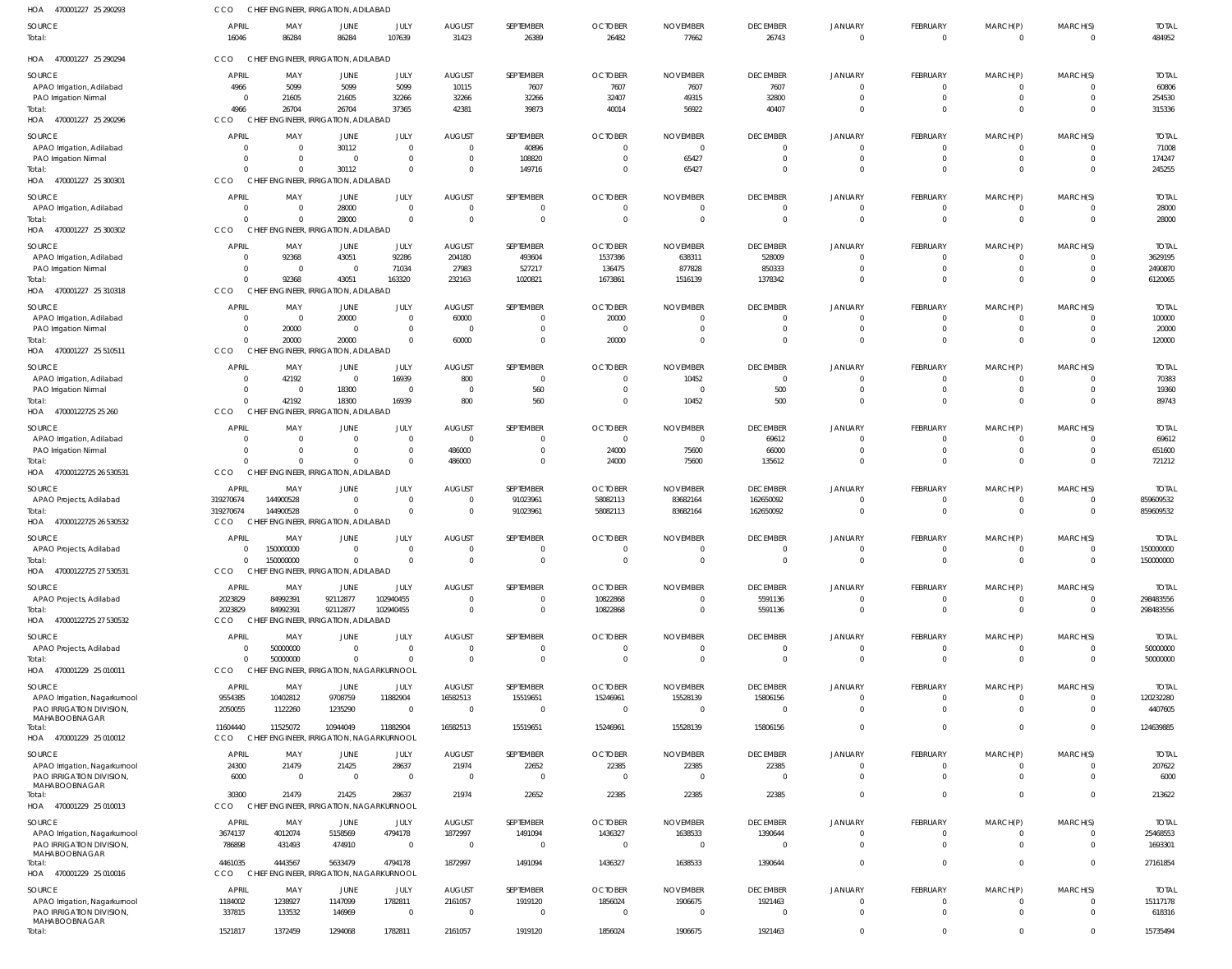| HOA 470001227 25 290293                            | <b>CCO</b>                     | CHIEF ENGINEER, IRRIGATION, ADILABAD              |                         |                                           |                                  |                    |                            |                                  |                               |                               |                                  |                            |                           |                        |
|----------------------------------------------------|--------------------------------|---------------------------------------------------|-------------------------|-------------------------------------------|----------------------------------|--------------------|----------------------------|----------------------------------|-------------------------------|-------------------------------|----------------------------------|----------------------------|---------------------------|------------------------|
| SOURCE<br>Total:                                   | <b>APRIL</b><br>16046          | MAY<br>86284                                      | <b>JUNE</b><br>86284    | JULY<br>107639                            | <b>AUGUST</b><br>31423           | SEPTEMBER<br>26389 | <b>OCTOBER</b><br>26482    | <b>NOVEMBER</b><br>77662         | <b>DECEMBER</b><br>26743      | <b>JANUARY</b><br>$\mathbf 0$ | FEBRUARY<br>$\overline{0}$       | MARCH(P)<br>$\overline{0}$ | MARCH(S)<br>$\Omega$      | <b>TOTAL</b><br>484952 |
| HOA 470001227 25 290294                            | CCO                            | CHIEF ENGINEER, IRRIGATION, ADILABAD              |                         |                                           |                                  |                    |                            |                                  |                               |                               |                                  |                            |                           |                        |
| SOURCE                                             | <b>APRIL</b>                   | MAY                                               | JUNE                    | JULY                                      | <b>AUGUST</b>                    | SEPTEMBER          | <b>OCTOBER</b>             | <b>NOVEMBER</b>                  | <b>DECEMBER</b>               | JANUARY                       | FEBRUARY                         | MARCH(P)                   | MARCH(S)                  | <b>TOTAL</b>           |
| APAO Irrigation, Adilabad                          | 4966                           | 5099                                              | 5099                    | 5099                                      | 10115                            | 7607               | 7607                       | 7607                             | 7607                          | $\Omega$                      | $\overline{0}$                   | $^{\circ}$                 | $\Omega$                  | 60806                  |
| PAO Irrigation Nirmal                              | $\mathbf{0}$                   | 21605                                             | 21605                   | 32266                                     | 32266                            | 32266              | 32407                      | 49315                            | 32800                         | $\mathbf 0$                   | $\mathbf{0}$                     | $\overline{0}$             | $\mathbf 0$               | 254530                 |
| Total:                                             | 4966                           | 26704                                             | 26704                   | 37365                                     | 42381                            | 39873              | 40014                      | 56922                            | 40407                         | $\mathbf 0$                   | $\mathbf{0}$                     | $\mathbf 0$                | $\Omega$                  | 315336                 |
| HOA 470001227 25 290296                            | CCO                            | CHIEF ENGINEER, IRRIGATION, ADILABAD              |                         |                                           |                                  |                    |                            |                                  |                               |                               |                                  |                            |                           |                        |
| SOURCE                                             | <b>APRIL</b>                   | MAY                                               | <b>JUNE</b>             | JULY                                      | <b>AUGUST</b>                    | SEPTEMBER          | <b>OCTOBER</b>             | <b>NOVEMBER</b>                  | <b>DECEMBER</b>               | <b>JANUARY</b>                | FEBRUARY                         | MARCH(P)                   | MARCH(S)                  | <b>TOTAL</b>           |
| APAO Irrigation, Adilabad                          | $\mathbf{0}$                   | $\overline{0}$                                    | 30112                   | $\overline{0}$                            | $\overline{0}$                   | 40896              | $\overline{0}$             | $\overline{0}$                   | $^{\circ}$                    | $^{\circ}$                    | $\overline{0}$                   | 0                          | $\Omega$                  | 71008                  |
| PAO Irrigation Nirmal                              | $\Omega$                       | $\Omega$                                          | $\overline{0}$          | $\overline{0}$                            | $\overline{0}$                   | 108820             | $\overline{0}$             | 65427                            | $\mathbf 0$                   | $\mathbf 0$                   | $\mathbf{0}$                     | $\overline{0}$             | $\mathbf{0}$              | 174247                 |
| HOA 470001227 25 300301                            | $\Omega$<br>CCO                | $\Omega$<br>CHIEF ENGINEER, IRRIGATION, ADILABAD  | 30112                   | $\overline{0}$                            | $\overline{0}$                   | 149716             | $\overline{0}$             | 65427                            | $\mathbf{0}$                  | $\mathbf 0$                   | $\mathbf{0}$                     | $\mathbf 0$                | $\Omega$                  | 245255                 |
|                                                    |                                |                                                   |                         |                                           |                                  |                    |                            |                                  |                               |                               |                                  |                            |                           |                        |
| SOURCE                                             | <b>APRIL</b>                   | MAY                                               | <b>JUNE</b>             | JULY                                      | <b>AUGUST</b>                    | SEPTEMBER          | <b>OCTOBER</b>             | <b>NOVEMBER</b>                  | <b>DECEMBER</b>               | JANUARY                       | FEBRUARY                         | MARCH(P)                   | MARCH(S)                  | <b>TOTAL</b>           |
| APAO Irrigation, Adilabad                          | $\mathbf 0$<br>$\Omega$        | $\Omega$<br>$\Omega$                              | 28000<br>28000          | $\overline{0}$<br>$\overline{\mathbf{0}}$ | $\overline{0}$<br>$\overline{0}$ | -0<br>$\Omega$     | $\overline{0}$<br>$\Omega$ | $\overline{0}$<br>$\overline{0}$ | $^{\circ}$<br>$\mathbf{0}$    | $^{\circ}$<br>$\Omega$        | $\overline{0}$<br>$\mathbf 0$    | $^{\circ}$<br>$\mathbf 0$  | $^{\circ}$<br>$\Omega$    | 28000<br>28000         |
| Total:<br>HOA 470001227 25 300302                  | CCO                            | CHIEF ENGINEER, IRRIGATION, ADILABAD              |                         |                                           |                                  |                    |                            |                                  |                               |                               |                                  |                            |                           |                        |
|                                                    |                                |                                                   |                         |                                           |                                  |                    |                            |                                  |                               |                               |                                  |                            |                           |                        |
| SOURCE                                             | <b>APRIL</b>                   | MAY                                               | <b>JUNE</b>             | JULY                                      | <b>AUGUST</b>                    | SEPTEMBER          | <b>OCTOBER</b>             | <b>NOVEMBER</b>                  | <b>DECEMBER</b>               | JANUARY                       | FEBRUARY                         | MARCH(P)                   | MARCH(S)                  | <b>TOTAL</b>           |
| APAO Irrigation, Adilabad<br>PAO Irrigation Nirmal | $\mathbf{0}$<br>$\overline{0}$ | 92368<br>$\overline{0}$                           | 43051<br>$\overline{0}$ | 92286<br>71034                            | 204180<br>27983                  | 493604<br>527217   | 1537386<br>136475          | 638311<br>877828                 | 528009<br>850333              | $^{\circ}$<br>$\mathbf 0$     | $\overline{0}$<br>$\overline{0}$ | $^{\circ}$<br>$^{\circ}$   | $^{\circ}$<br>$\mathbf 0$ | 3629195<br>2490870     |
|                                                    | $\Omega$                       | 92368                                             | 43051                   | 163320                                    | 232163                           | 1020821            | 1673861                    | 1516139                          | 1378342                       | $\Omega$                      | $\Omega$                         | $\mathbf 0$                | $\Omega$                  | 6120065                |
| HOA 470001227 25 310318                            | CCO                            | CHIEF ENGINEER, IRRIGATION, ADILABAD              |                         |                                           |                                  |                    |                            |                                  |                               |                               |                                  |                            |                           |                        |
|                                                    |                                |                                                   |                         |                                           |                                  |                    |                            |                                  |                               |                               |                                  |                            |                           |                        |
| SOURCE<br>APAO Irrigation, Adilabad                | <b>APRIL</b><br>$\Omega$       | MAY<br>$\Omega$                                   | <b>JUNE</b><br>20000    | JULY<br>$\overline{0}$                    | <b>AUGUST</b><br>60000           | SEPTEMBER<br>-0    | <b>OCTOBER</b><br>20000    | <b>NOVEMBER</b><br>$\Omega$      | <b>DECEMBER</b><br>$^{\circ}$ | JANUARY<br>$^{\circ}$         | FEBRUARY<br>0                    | MARCH(P)<br>$\Omega$       | MARCH(S)<br>$\Omega$      | <b>TOTAL</b><br>100000 |
| PAO Irrigation Nirmal                              | $\mathbf 0$                    | 20000                                             | $\overline{0}$          | $\overline{0}$                            | $\overline{0}$                   | 0                  | $\overline{0}$             | $\overline{0}$                   | $\mathbf 0$                   | $\mathbf 0$                   | $\overline{0}$                   | $^{\circ}$                 | $^{\circ}$                | 20000                  |
| Total:                                             | $\Omega$                       | 20000                                             | 20000                   | $\Omega$                                  | 60000                            | $\Omega$           | 20000                      | $\Omega$                         | $\Omega$                      | $\Omega$                      | $\Omega$                         | $\Omega$                   | $\Omega$                  | 120000                 |
| 470001227 25 510511<br>HOA                         | CCO                            | CHIEF ENGINEER, IRRIGATION, ADILABAD              |                         |                                           |                                  |                    |                            |                                  |                               |                               |                                  |                            |                           |                        |
| SOURCE                                             | <b>APRIL</b>                   | MAY                                               | <b>JUNE</b>             | JULY                                      | <b>AUGUST</b>                    | SEPTEMBER          | <b>OCTOBER</b>             | <b>NOVEMBER</b>                  | <b>DECEMBER</b>               | <b>JANUARY</b>                | FEBRUARY                         | MARCH(P)                   | MARCH(S)                  | <b>TOTAL</b>           |
| APAO Irrigation, Adilabad                          | $\overline{0}$                 | 42192                                             | $\overline{0}$          | 16939                                     | 800                              | 0                  | $\overline{0}$             | 10452                            | $\overline{0}$                | $\mathbf 0$                   | $\mathbf{0}$                     | $^{\circ}$                 | $\mathbf 0$               | 70383                  |
| PAO Irrigation Nirmal                              | $\overline{0}$                 | $\mathbf 0$                                       | 18300                   | $\overline{0}$                            | $\overline{0}$                   | 560                | $\overline{0}$             | $\overline{0}$                   | 500                           | $\mathbf 0$                   | $\overline{0}$                   | $^{\circ}$                 | $\mathbf 0$               | 19360                  |
| Total:                                             | $\Omega$                       | 42192                                             | 18300                   | 16939                                     | 800                              | 560                | $\overline{0}$             | 10452                            | 500                           | $\mathbf 0$                   | $\mathbf{0}$                     | $\overline{0}$             | $\mathbf 0$               | 89743                  |
| HOA 47000122725 25 260                             | CCO                            | CHIEF ENGINEER, IRRIGATION, ADILABAD              |                         |                                           |                                  |                    |                            |                                  |                               |                               |                                  |                            |                           |                        |
| SOURCE                                             | <b>APRIL</b>                   | MAY                                               | JUNE                    | JULY                                      | <b>AUGUST</b>                    | SEPTEMBER          | <b>OCTOBER</b>             | <b>NOVEMBER</b>                  | <b>DECEMBER</b>               | JANUARY                       | FEBRUARY                         | MARCH(P)                   | MARCH(S)                  | <b>TOTAL</b>           |
| APAO Irrigation, Adilabad                          | $\mathbf{0}$                   | $\Omega$                                          | $\overline{0}$          | $\overline{0}$                            | $\overline{0}$                   | $^{\circ}$         | $\overline{0}$             | $\overline{0}$                   | 69612                         | $^{\circ}$                    | $\overline{0}$                   | $^{\circ}$                 | $\Omega$                  | 69612                  |
| PAO Irrigation Nirmal                              | $\Omega$                       | $\Omega$                                          | $\overline{0}$          | $\overline{0}$                            | 486000                           | $^{\circ}$         | 24000                      | 75600                            | 66000                         | $\mathbf 0$                   | $\mathbf{0}$                     | $\overline{0}$             | $\mathbf 0$               | 651600                 |
| Total:                                             | $\Omega$                       | $\Omega$                                          | $\Omega$                | $\overline{0}$                            | 486000                           | $\Omega$           | 24000                      | 75600                            | 135612                        | $\Omega$                      | $\Omega$                         | $\mathbf 0$                | $\Omega$                  | 721212                 |
| HOA 47000122725 26 530531                          | CCO                            | CHIEF ENGINEER, IRRIGATION, ADILABAD              |                         |                                           |                                  |                    |                            |                                  |                               |                               |                                  |                            |                           |                        |
| SOURCE                                             | <b>APRIL</b>                   | MAY                                               | JUNE                    | JULY                                      | <b>AUGUST</b>                    | SEPTEMBER          | <b>OCTOBER</b>             | <b>NOVEMBER</b>                  | <b>DECEMBER</b>               | <b>JANUARY</b>                | FEBRUARY                         | MARCH(P)                   | MARCH(S)                  | <b>TOTAI</b>           |
| APAO Projects, Adilabad                            | 319270674                      | 144900528                                         | $\overline{0}$          | $\overline{0}$                            | $\overline{0}$                   | 91023961           | 58082113                   | 83682164                         | 162650092                     | $^{\circ}$                    | $\overline{0}$                   | 0                          | $\mathbf 0$               | 859609532              |
| Total:                                             | 319270674                      | 144900528                                         | $\overline{0}$          | $\overline{0}$                            | $\overline{0}$                   | 91023961           | 58082113                   | 83682164                         | 162650092                     | $\mathbf 0$                   | $\mathbf 0$                      | $\mathbf 0$                | $\mathbf{0}$              | 859609532              |
| HOA 47000122725 26 530532                          | CCO                            | CHIEF ENGINEER, IRRIGATION, ADILABAD              |                         |                                           |                                  |                    |                            |                                  |                               |                               |                                  |                            |                           |                        |
| SOURCE                                             | <b>APRIL</b>                   | MAY                                               | <b>JUNE</b>             | JULY                                      | <b>AUGUST</b>                    | SEPTEMBER          | <b>OCTOBER</b>             | <b>NOVEMBER</b>                  | <b>DECEMBER</b>               | JANUARY                       | FEBRUARY                         | MARCH(P)                   | MARCH(S)                  | <b>TOTAI</b>           |
| APAO Projects, Adilabad                            | $\Omega$                       | 150000000                                         | $\overline{0}$          | $\overline{0}$                            | $\Omega$                         | $\Omega$           | $\Omega$                   | $\Omega$                         | $\Omega$                      | $\Omega$                      | $\overline{0}$                   | $\Omega$                   | $\Omega$                  | 150000000              |
| Total:                                             | $\overline{0}$                 | 150000000                                         | $\Omega$                | $\overline{0}$                            | $\overline{0}$                   | $\mathbf{0}$       | $\overline{0}$             | $\overline{0}$                   | $\mathbf 0$                   | $\mathbf{0}$                  | $\overline{0}$                   | $\mathbf 0$                | $\mathbf{0}$              | 150000000              |
| HOA<br>47000122725 27 530531                       | CCO                            | CHIEF ENGINEER, IRRIGATION, ADILABAD              |                         |                                           |                                  |                    |                            |                                  |                               |                               |                                  |                            |                           |                        |
| SOURCE                                             | <b>APRIL</b>                   | MAY                                               | JUNE                    | JULY                                      | <b>AUGUST</b>                    | SEPTEMBER          | <b>OCTOBER</b>             | <b>NOVEMBER</b>                  | <b>DECEMBER</b>               | <b>JANUARY</b>                | FEBRUARY                         | MARCH(P)                   | MARCH(S)                  | <b>TOTAL</b>           |
| APAO Projects, Adilabad                            | 2023829                        | 84992391                                          | 92112877                | 102940455                                 | $\overline{0}$                   | $\mathbf 0$        | 10822868                   | $\overline{0}$                   | 5591136                       | $\overline{0}$                | $\overline{0}$                   | $\overline{0}$             | $\overline{0}$            | 298483556              |
| Total:                                             | 2023829                        | 84992391                                          | 92112877                | 102940455                                 | $\overline{0}$                   | $\Omega$           | 10822868                   | $\overline{0}$                   | 5591136                       | $\mathbf 0$                   | $\mathbf 0$                      | $\mathbf 0$                | $\mathbf{0}$              | 298483556              |
| HOA 47000122725 27 530532                          | <b>CCO</b>                     | CHIEF ENGINEER, IRRIGATION, ADILABAD              |                         |                                           |                                  |                    |                            |                                  |                               |                               |                                  |                            |                           |                        |
| SOURCE                                             | <b>APRIL</b>                   | MAY                                               | <b>JUNE</b>             | JULY                                      | <b>AUGUST</b>                    | SEPTEMBER          | <b>OCTOBER</b>             | <b>NOVEMBER</b>                  | <b>DECEMBER</b>               | JANUARY                       | <b>FEBRUARY</b>                  | MARCH(P)                   | MARCH(S)                  | <b>TOTAL</b>           |
| APAO Projects, Adilabad                            | $\Omega$                       | 50000000                                          | $\overline{0}$          | $\overline{0}$                            | $\overline{0}$                   | -0                 | $\overline{0}$             | $\overline{0}$                   | $^{\circ}$                    | $^{\circ}$                    | $\overline{0}$                   | 0                          | $^{\circ}$                | 50000000               |
| Total:                                             | $\Omega$                       | 50000000                                          | $\overline{0}$          | $\overline{0}$                            | $\overline{0}$                   | $\Omega$           | $\overline{0}$             | $\overline{0}$                   | $\mathbf 0$                   | $\mathbf 0$                   | $\mathbf{0}$                     | $\overline{0}$             | $\mathbf 0$               | 50000000               |
| HOA 470001229 25 010011                            | CCO                            | CHIEF ENGINEER, IRRIGATION, NAGARKURNOOL          |                         |                                           |                                  |                    |                            |                                  |                               |                               |                                  |                            |                           |                        |
| SOURCE                                             | APRIL                          | MAY                                               | JUNE                    | JULY                                      | <b>AUGUST</b>                    | SEPTEMBER          | <b>OCTOBER</b>             | <b>NOVEMBER</b>                  | <b>DECEMBER</b>               | <b>JANUARY</b>                | FEBRUARY                         | MARCH(P)                   | MARCH(S)                  | <b>TOTAL</b>           |
| APAO Irrigation, Nagarkurnool                      | 9554385                        | 10402812                                          | 9708759                 | 11882904                                  | 16582513                         | 15519651           | 15246961                   | 15528139                         | 15806156                      | $^{\circ}$                    | $\overline{0}$                   | 0                          | $^{\circ}$                | 120232280              |
| PAO IRRIGATION DIVISION,<br>MAHABOOBNAGAR          | 2050055                        | 1122260                                           | 1235290                 | $\overline{0}$                            | $\overline{0}$                   | 0                  | $\overline{0}$             | $\overline{0}$                   | $^{\circ}$                    | $\mathbf 0$                   | $\mathbf{0}$                     | $\overline{0}$             | $\mathbf 0$               | 4407605                |
| Total:                                             | 11604440                       | 11525072                                          | 10944049                | 11882904                                  | 16582513                         | 15519651           | 15246961                   | 15528139                         | 15806156                      | $\mathbf 0$                   | $\mathbf 0$                      | $\mathbf 0$                | $\Omega$                  | 124639885              |
| HOA 470001229 25 010012                            | <b>CCO</b>                     | CHIEF ENGINEER, IRRIGATION, NAGARKURNOOL          |                         |                                           |                                  |                    |                            |                                  |                               |                               |                                  |                            |                           |                        |
| SOURCE                                             | <b>APRIL</b>                   | MAY                                               | JUNE                    | JULY                                      | <b>AUGUST</b>                    | SEPTEMBER          | <b>OCTOBER</b>             | <b>NOVEMBER</b>                  | <b>DECEMBER</b>               | JANUARY                       | <b>FEBRUARY</b>                  | MARCH(P)                   | MARCH(S)                  | <b>TOTAL</b>           |
| APAO Irrigation, Nagarkurnool                      | 24300                          | 21479                                             | 21425                   | 28637                                     | 21974                            | 22652              | 22385                      | 22385                            | 22385                         | $^{\circ}$                    | 0                                | 0                          | $^{\circ}$                | 207622                 |
| PAO IRRIGATION DIVISION,                           | 6000                           | $\overline{0}$                                    | $\overline{0}$          | $\overline{0}$                            | $\overline{0}$                   | $\overline{0}$     | $\overline{0}$             | $\overline{0}$                   | $^{\circ}$                    | $\mathbf 0$                   | $\mathbf{0}$                     | $\overline{0}$             | $\mathbf 0$               | 6000                   |
| MAHABOOBNAGAR                                      |                                |                                                   |                         |                                           |                                  |                    |                            |                                  |                               |                               |                                  |                            |                           |                        |
| Total:                                             | 30300                          | 21479<br>CHIEF ENGINEER, IRRIGATION, NAGARKURNOOL | 21425                   | 28637                                     | 21974                            | 22652              | 22385                      | 22385                            | 22385                         | $\mathbf 0$                   | $\mathbf 0$                      | $\mathbf 0$                | $\mathbf{0}$              | 213622                 |
| HOA 470001229 25 010013                            | CCO                            |                                                   |                         |                                           |                                  |                    |                            |                                  |                               |                               |                                  |                            |                           |                        |
| SOURCE                                             | <b>APRIL</b>                   | MAY                                               | JUNE                    | JULY                                      | <b>AUGUST</b>                    | SEPTEMBER          | <b>OCTOBER</b>             | <b>NOVEMBER</b>                  | <b>DECEMBER</b>               | JANUARY                       | FEBRUARY                         | MARCH(P)                   | MARCH(S)                  | <b>TOTAL</b>           |
| APAO Irrigation, Nagarkurnool                      | 3674137                        | 4012074                                           | 5158569                 | 4794178                                   | 1872997                          | 1491094            | 1436327                    | 1638533                          | 1390644                       | $\overline{0}$                | $\overline{0}$                   | $^{\circ}$                 | $\mathbf 0$               | 25468553               |
| PAO IRRIGATION DIVISION,<br>MAHABOOBNAGAR          | 786898                         | 431493                                            | 474910                  | $\overline{0}$                            | $\overline{0}$                   | 0                  | $\Omega$                   | $\Omega$                         | $^{\circ}$                    | $\mathbf 0$                   | $\mathbf{0}$                     | $\mathbf 0$                | $\mathbf 0$               | 1693301                |
| Total:                                             | 4461035                        | 4443567                                           | 5633479                 | 4794178                                   | 1872997                          | 1491094            | 1436327                    | 1638533                          | 1390644                       | $\mathbf 0$                   | $\mathbf 0$                      | $\mathbf 0$                | $\mathbf{0}$              | 27161854               |
| HOA 470001229 25 010016                            | CCO                            | CHIEF ENGINEER, IRRIGATION, NAGARKURNOOL          |                         |                                           |                                  |                    |                            |                                  |                               |                               |                                  |                            |                           |                        |
| SOURCE                                             | <b>APRIL</b>                   | MAY                                               | JUNE                    | JULY                                      | <b>AUGUST</b>                    | SEPTEMBER          | <b>OCTOBER</b>             | <b>NOVEMBER</b>                  | <b>DECEMBER</b>               | JANUARY                       | FEBRUARY                         | MARCH(P)                   | MARCH(S)                  | <b>TOTAL</b>           |
| APAO Irrigation, Nagarkurnool                      | 1184002                        | 1238927                                           | 1147099                 | 1782811                                   | 2161057                          | 1919120            | 1856024                    | 1906675                          | 1921463                       | $^{\circ}$                    | $\overline{0}$                   | $^{\circ}$                 | $\Omega$                  | 15117178               |
| PAO IRRIGATION DIVISION,                           | 337815                         | 133532                                            | 146969                  | $\overline{0}$                            | $\overline{0}$                   | $^{\circ}$         | $\overline{0}$             | $\overline{0}$                   | $^{\circ}$                    | $\mathbf 0$                   | $\mathbf 0$                      | $\mathbf 0$                | $\mathbf 0$               | 618316                 |
| MAHABOOBNAGAR<br>Total:                            | 1521817                        | 1372459                                           | 1294068                 | 1782811                                   | 2161057                          | 1919120            | 1856024                    | 1906675                          | 1921463                       | $\mathbf{0}$                  | $\mathbf 0$                      | $\mathbf 0$                | $\mathbf{0}$              | 15735494               |
|                                                    |                                |                                                   |                         |                                           |                                  |                    |                            |                                  |                               |                               |                                  |                            |                           |                        |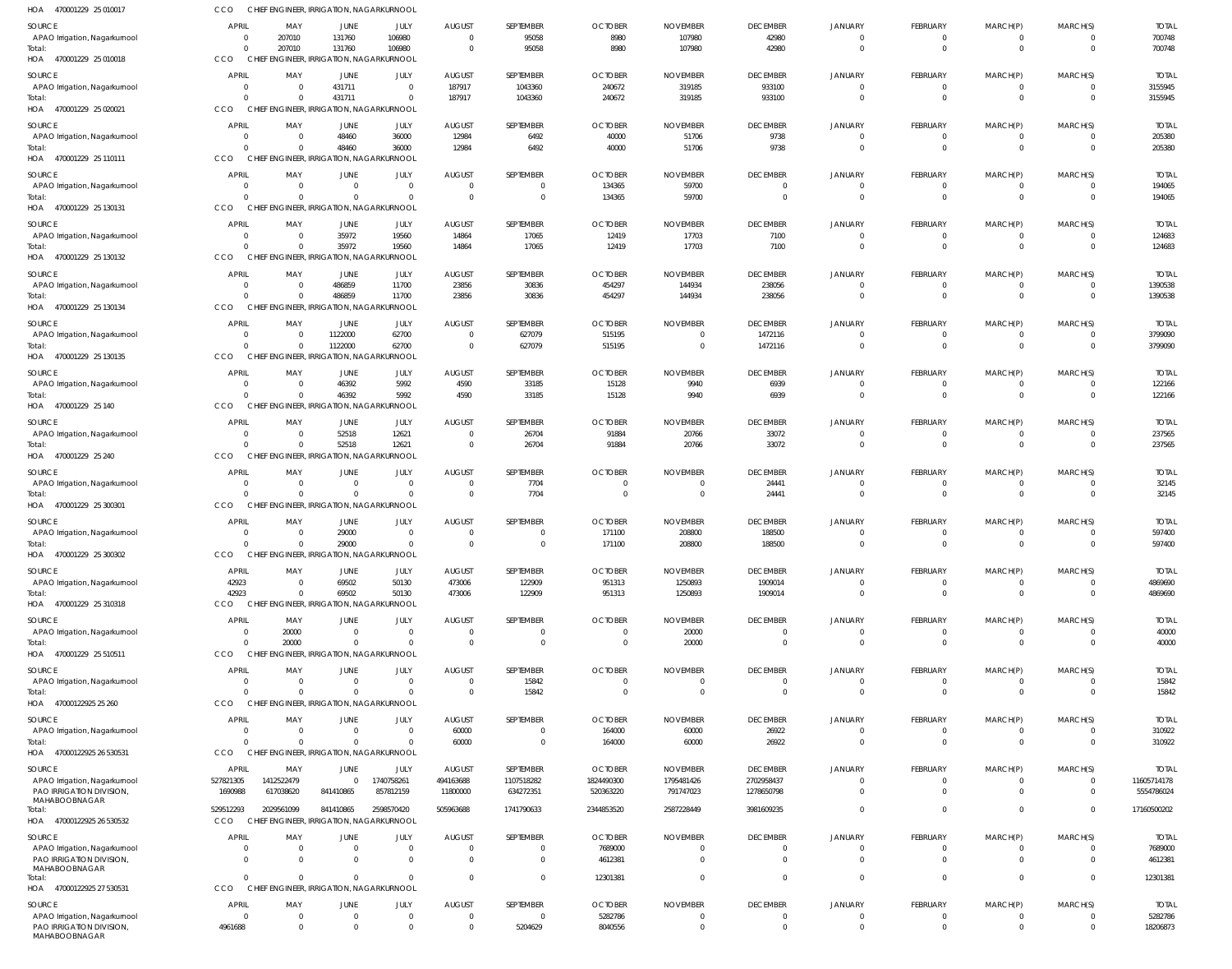| HOA 470001229 25 010017                   | CCO                            |                            |                            | CHIEF ENGINEER, IRRIGATION, NAGARKURNOOL             |                                  |                       |                                  |                                  |                            |                               |                                   |                                  |                               |                         |
|-------------------------------------------|--------------------------------|----------------------------|----------------------------|------------------------------------------------------|----------------------------------|-----------------------|----------------------------------|----------------------------------|----------------------------|-------------------------------|-----------------------------------|----------------------------------|-------------------------------|-------------------------|
| SOURCE                                    | APRIL                          | MAY                        | JUNE                       | JULY                                                 | <b>AUGUST</b>                    | SEPTEMBER             | <b>OCTOBER</b>                   | <b>NOVEMBER</b>                  | <b>DECEMBER</b>            | JANUARY                       | <b>FEBRUARY</b>                   | MARCH(P)                         | MARCH(S)                      | <b>TOTAL</b>            |
| APAO Irrigation, Nagarkurnool             | $\overline{0}$                 | 207010                     | 131760                     | 106980                                               | $\overline{0}$                   | 95058                 | 8980                             | 107980                           | 42980                      |                               | 0                                 | 0                                | 0                             | 700748                  |
| Total:<br>HOA 470001229 25 010018         | $\overline{0}$<br>CCO          | 207010                     | 131760                     | 106980<br>CHIEF ENGINEER, IRRIGATION, NAGARKURNOOL   | $\overline{0}$                   | 95058                 | 8980                             | 107980                           | 42980                      | $\Omega$                      | $\overline{0}$                    | $\overline{0}$                   | $\mathbf 0$                   | 700748                  |
|                                           |                                |                            |                            |                                                      |                                  |                       |                                  |                                  |                            |                               |                                   |                                  |                               |                         |
| SOURCE<br>APAO Irrigation, Nagarkurnool   | <b>APRIL</b><br>$\overline{0}$ | MAY<br>$\overline{0}$      | JUNE<br>431711             | JULY<br>$\Omega$                                     | <b>AUGUST</b><br>187917          | SEPTEMBER<br>1043360  | <b>OCTOBER</b><br>240672         | <b>NOVEMBER</b><br>319185        | <b>DECEMBER</b><br>933100  | <b>JANUARY</b><br>$\Omega$    | <b>FEBRUARY</b><br>$\overline{0}$ | MARCH(P)<br>$\overline{0}$       | MARCH(S)<br>$\mathbf{0}$      | <b>TOTAL</b><br>3155945 |
| Total:                                    | $\Omega$                       | $\Omega$                   | 431711                     | $\Omega$                                             | 187917                           | 1043360               | 240672                           | 319185                           | 933100                     | $\Omega$                      | $\Omega$                          | $\overline{0}$                   | $\mathbf{0}$                  | 3155945                 |
| HOA 470001229 25 020021                   | CCO                            |                            |                            | CHIEF ENGINEER, IRRIGATION, NAGARKURNOOL             |                                  |                       |                                  |                                  |                            |                               |                                   |                                  |                               |                         |
| SOURCE                                    | APRIL                          | MAY                        | JUNE                       | JULY                                                 | <b>AUGUST</b>                    | SEPTEMBER             | <b>OCTOBER</b>                   | <b>NOVEMBER</b>                  | <b>DECEMBER</b>            | JANUARY                       | FEBRUARY                          | MARCH(P)                         | MARCH(S)                      | <b>TOTAL</b>            |
| APAO Irrigation, Nagarkurnool             | $\Omega$                       | $\overline{0}$             | 48460                      | 36000                                                | 12984                            | 6492                  | 40000                            | 51706                            | 9738                       | $\Omega$                      | $\overline{0}$                    | $\overline{0}$                   | 0                             | 205380                  |
| Total:                                    | $\Omega$                       | $\Omega$                   | 48460                      | 36000                                                | 12984                            | 6492                  | 40000                            | 51706                            | 9738                       | $\Omega$                      | $\Omega$                          | $\Omega$                         | $\mathbf 0$                   | 205380                  |
| HOA 470001229 25 110111                   | CCO                            |                            |                            | CHIEF ENGINEER, IRRIGATION, NAGARKURNOOL             |                                  |                       |                                  |                                  |                            |                               |                                   |                                  |                               |                         |
| SOURCE                                    | APRIL                          | MAY                        | JUNE                       | JULY                                                 | <b>AUGUST</b>                    | SEPTEMBER             | <b>OCTOBER</b>                   | <b>NOVEMBER</b>                  | <b>DECEMBER</b>            | JANUARY                       | <b>FEBRUARY</b>                   | MARCH(P)                         | MARCH(S)                      | <b>TOTAL</b>            |
| APAO Irrigation, Nagarkurnool             | $\Omega$                       | $\Omega$                   | $\Omega$                   | $\Omega$                                             | $\overline{0}$                   | $\overline{0}$        | 134365                           | 59700                            | $\Omega$                   | $^{\circ}$                    | $\overline{0}$                    | $\overline{0}$                   | $\mathbf 0$                   | 194065                  |
| Total:<br>HOA 470001229 25 130131         | $\Omega$<br>CCO                | $\Omega$                   | $\Omega$                   | $\Omega$<br>CHIEF ENGINEER, IRRIGATION, NAGARKURNOOL | $\overline{0}$                   | $\overline{0}$        | 134365                           | 59700                            | $\Omega$                   | $\mathbf 0$                   | $\overline{0}$                    | $\overline{0}$                   | $\mathbf 0$                   | 194065                  |
|                                           |                                |                            |                            |                                                      |                                  |                       |                                  |                                  |                            |                               |                                   |                                  |                               |                         |
| SOURCE<br>APAO Irrigation, Nagarkurnool   | <b>APRIL</b><br>$\overline{0}$ | MAY<br>$\overline{0}$      | <b>JUNE</b><br>35972       | JULY<br>19560                                        | <b>AUGUST</b><br>14864           | SEPTEMBER<br>17065    | <b>OCTOBER</b><br>12419          | <b>NOVEMBER</b><br>17703         | <b>DECEMBER</b><br>7100    | <b>JANUARY</b>                | FEBRUARY<br>$\Omega$              | MARCH(P)<br>$\Omega$             | MARCH(S)<br>$\Omega$          | <b>TOTAL</b><br>124683  |
| Total:                                    | $\Omega$                       | $\overline{0}$             | 35972                      | 19560                                                | 14864                            | 17065                 | 12419                            | 17703                            | 7100                       | $\Omega$                      | $\overline{0}$                    | $\overline{0}$                   | $\mathbf 0$                   | 124683                  |
| HOA 470001229 25 130132                   | CCO                            |                            |                            | CHIEF ENGINEER, IRRIGATION, NAGARKURNOOL             |                                  |                       |                                  |                                  |                            |                               |                                   |                                  |                               |                         |
| SOURCE                                    | <b>APRIL</b>                   | MAY                        | JUNE                       | JULY                                                 | <b>AUGUST</b>                    | SEPTEMBER             | <b>OCTOBER</b>                   | <b>NOVEMBER</b>                  | <b>DECEMBER</b>            | JANUARY                       | FEBRUARY                          | MARCH(P)                         | MARCH(S)                      | <b>TOTAL</b>            |
| APAO Irrigation, Nagarkurnool             | $\overline{0}$                 | $\overline{0}$             | 486859                     | 11700                                                | 23856                            | 30836                 | 454297                           | 144934                           | 238056                     | $\overline{0}$                | $\overline{0}$                    | 0                                | $\mathbf{0}$                  | 1390538                 |
| Total:                                    | $\Omega$                       | $\Omega$                   | 486859                     | 11700                                                | 23856                            | 30836                 | 454297                           | 144934                           | 238056                     | $\Omega$                      | $\mathbf{0}$                      | $\overline{0}$                   | $\mathbf{0}$                  | 1390538                 |
| HOA 470001229 25 130134                   | CCO                            |                            |                            | CHIEF ENGINEER, IRRIGATION, NAGARKURNOOL             |                                  |                       |                                  |                                  |                            |                               |                                   |                                  |                               |                         |
| SOURCE                                    | <b>APRIL</b>                   | MAY                        | JUNE                       | JULY                                                 | <b>AUGUST</b>                    | SEPTEMBER             | <b>OCTOBER</b>                   | <b>NOVEMBER</b>                  | <b>DECEMBER</b>            | <b>JANUARY</b>                | FEBRUARY                          | MARCH(P)                         | MARCH(S)                      | <b>TOTAL</b>            |
| APAO Irrigation, Nagarkurnool             | $\Omega$                       | $\overline{0}$             | 1122000                    | 62700                                                | $\overline{0}$                   | 627079                | 515195                           | $\mathbf{0}$                     | 1472116                    | $\Omega$                      | $\Omega$                          | $\overline{0}$                   | $\mathbf{0}$                  | 3799090                 |
| Total:<br>HOA 470001229 25 130135         | $\Omega$<br>CCO                | $\Omega$                   | 1122000                    | 62700<br>CHIEF ENGINEER, IRRIGATION, NAGARKURNOOL    | $\overline{0}$                   | 627079                | 515195                           | $\overline{0}$                   | 1472116                    | $\Omega$                      | $\Omega$                          | $\Omega$                         | $\Omega$                      | 3799090                 |
|                                           |                                |                            |                            |                                                      |                                  |                       |                                  |                                  |                            |                               |                                   |                                  |                               |                         |
| SOURCE                                    | <b>APRIL</b>                   | MAY                        | JUNE                       | JULY                                                 | <b>AUGUST</b>                    | SEPTEMBER             | <b>OCTOBER</b>                   | <b>NOVEMBER</b>                  | <b>DECEMBER</b>            | JANUARY                       | <b>FEBRUARY</b>                   | MARCH(P)                         | MARCH(S)                      | <b>TOTAL</b>            |
| APAO Irrigation, Nagarkurnool<br>Total:   | $\overline{0}$<br>$\Omega$     | $\overline{0}$<br>$\Omega$ | 46392<br>46392             | 5992<br>5992                                         | 4590<br>4590                     | 33185<br>33185        | 15128<br>15128                   | 9940<br>9940                     | 6939<br>6939               | $\overline{0}$<br>$\mathbf 0$ | $\Omega$<br>$\mathbf{0}$          | $\overline{0}$<br>$\overline{0}$ | $\overline{0}$<br>$\mathbf 0$ | 122166<br>122166        |
| HOA 470001229 25 140                      | CCO                            |                            |                            | CHIEF ENGINEER, IRRIGATION, NAGARKURNOOL             |                                  |                       |                                  |                                  |                            |                               |                                   |                                  |                               |                         |
| SOURCE                                    | <b>APRIL</b>                   | MAY                        | <b>JUNE</b>                | JULY                                                 | <b>AUGUST</b>                    | SEPTEMBER             | <b>OCTOBER</b>                   | <b>NOVEMBER</b>                  | <b>DECEMBER</b>            | <b>JANUARY</b>                | <b>FEBRUARY</b>                   | MARCH(P)                         | MARCH(S)                      | <b>TOTAL</b>            |
| APAO Irrigation, Nagarkurnool             | $\overline{0}$                 | $\overline{0}$             | 52518                      | 12621                                                | $\overline{0}$                   | 26704                 | 91884                            | 20766                            | 33072                      |                               | $\Omega$                          | $\overline{0}$                   | 0                             | 237565                  |
| Total:                                    | $\Omega$                       | $\Omega$                   | 52518                      | 12621                                                | $\overline{0}$                   | 26704                 | 91884                            | 20766                            | 33072                      | $\Omega$                      | $\Omega$                          | $\overline{0}$                   | $\mathbf 0$                   | 237565                  |
| HOA 470001229 25 240                      | CCO                            |                            |                            | CHIEF ENGINEER, IRRIGATION, NAGARKURNOOL             |                                  |                       |                                  |                                  |                            |                               |                                   |                                  |                               |                         |
| SOURCE                                    | <b>APRIL</b>                   | MAY                        | JUNE                       | JULY                                                 | <b>AUGUST</b>                    | SEPTEMBER             | <b>OCTOBER</b>                   | <b>NOVEMBER</b>                  | <b>DECEMBER</b>            | <b>JANUARY</b>                | FEBRUARY                          | MARCH(P)                         | MARCH(S)                      | <b>TOTAL</b>            |
| APAO Irrigation, Nagarkurnool             | $\Omega$                       | $\overline{0}$             | $\overline{0}$             | $\overline{0}$                                       | $\overline{0}$                   | 7704                  | $\overline{0}$                   | $\overline{0}$                   | 24441                      | $\Omega$                      | $\overline{0}$                    | $\Omega$                         | $\mathbf{0}$                  | 32145                   |
| Total:                                    | $\Omega$                       | $\overline{0}$             | $\Omega$                   | $\overline{0}$                                       | $\overline{0}$                   | 7704                  | $\overline{0}$                   | $\overline{0}$                   | 24441                      | $\mathbf 0$                   | $\overline{0}$                    | $\overline{0}$                   | $\mathbf 0$                   | 32145                   |
| HOA 470001229 25 300301                   | CCO                            |                            |                            | CHIEF ENGINEER, IRRIGATION, NAGARKURNOOL             |                                  |                       |                                  |                                  |                            |                               |                                   |                                  |                               |                         |
| SOURCE                                    | <b>APRIL</b>                   | MAY                        | JUNE                       | JULY                                                 | <b>AUGUST</b>                    | SEPTEMBER             | <b>OCTOBER</b>                   | <b>NOVEMBER</b>                  | <b>DECEMBER</b>            | JANUARY                       | <b>FEBRUARY</b>                   | MARCH(P)                         | MARCH(S)                      | <b>TOTAL</b>            |
| APAO Irrigation, Nagarkurnool<br>Total:   | $\Omega$<br>$\mathbf{0}$       | $\Omega$<br>$\overline{0}$ | 29000<br>29000             | $\Omega$<br>$\Omega$                                 | $\Omega$<br>$\Omega$             | $\Omega$<br>$\Omega$  | 171100<br>171100                 | 208800<br>208800                 | 188500<br>188500           | $\Omega$<br>$\Omega$          | $\Omega$<br>$\Omega$              | $\Omega$<br>$\Omega$             | $\Omega$<br>$\Omega$          | 597400<br>597400        |
| HOA 470001229 25 300302                   | CCO                            |                            |                            | CHIEF ENGINEER, IRRIGATION, NAGARKURNOOL             |                                  |                       |                                  |                                  |                            |                               |                                   |                                  |                               |                         |
|                                           | <b>APRIL</b>                   |                            |                            |                                                      |                                  | SEPTEMBER             | <b>OCTOBER</b>                   |                                  |                            | JANUARY                       | <b>FEBRUARY</b>                   |                                  |                               |                         |
| SOURCE<br>APAO Irrigation, Nagarkurnool   | 42923                          | MAY<br>$\overline{0}$      | JUNE<br>69502              | JULY<br>50130                                        | <b>AUGUST</b><br>473006          | 122909                | 951313                           | <b>NOVEMBER</b><br>1250893       | <b>DECEMBER</b><br>1909014 | $^{\circ}$                    | $\overline{0}$                    | MARCH(P)<br>$\overline{0}$       | MARCH(S)<br>$\mathbf{0}$      | <b>TOTAL</b><br>4869690 |
| Total:                                    | 42923                          | $\Omega$                   | 69502                      | 50130                                                | 473006                           | 122909                | 951313                           | 1250893                          | 1909014                    | $\Omega$                      | $\overline{0}$                    | $\overline{0}$                   | $\mathbf 0$                   | 4869690                 |
| HOA 470001229 25 310318                   | CCO                            |                            |                            | CHIEF ENGINEER, IRRIGATION, NAGARKURNOOL             |                                  |                       |                                  |                                  |                            |                               |                                   |                                  |                               |                         |
| SOURCE                                    | <b>APRIL</b>                   | MAY                        | JUNE                       | JULY                                                 | <b>AUGUST</b>                    | SEPTEMBER             | <b>OCTOBER</b>                   | <b>NOVEMBER</b>                  | <b>DECEMBER</b>            | <b>JANUARY</b>                | <b>FEBRUARY</b>                   | MARCH(P)                         | MARCH(S)                      | <b>TOTAL</b>            |
| APAO Irrigation, Nagarkurnool             | $\mathbf{0}$                   | 20000                      | $\Omega$                   | $\Omega$                                             | $\overline{0}$                   | $\mathbf{0}$          | $\mathbf 0$                      | 20000                            |                            |                               | 0                                 | $\Omega$                         | 0                             | 40000                   |
| Total:                                    | $\Omega$                       | 20000                      | $\Omega$                   | $\Omega$                                             | $\overline{0}$                   | $\Omega$              | $\overline{0}$                   | 20000                            | $\Omega$                   | $\Omega$                      | $\overline{0}$                    | $\Omega$                         | $\Omega$                      | 40000                   |
| HOA 470001229 25 510511                   | CCO                            |                            |                            | CHIEF ENGINEER, IRRIGATION, NAGARKURNOOL             |                                  |                       |                                  |                                  |                            |                               |                                   |                                  |                               |                         |
| SOURCE                                    | <b>APRIL</b>                   | MAY                        | JUNE                       | JULY                                                 | <b>AUGUST</b>                    | SEPTEMBER             | <b>OCTOBER</b>                   | <b>NOVEMBER</b>                  | <b>DECEMBER</b>            | <b>JANUARY</b>                | <b>FEBRUARY</b>                   | MARCH(P)                         | MARCH(S)                      | <b>TOTAL</b>            |
| APAO Irrigation, Nagarkurnool             | $\Omega$<br>$\Omega$           | $\overline{0}$<br>$\Omega$ | $\overline{0}$<br>$\Omega$ | $\overline{0}$<br>$\Omega$                           | $\overline{0}$<br>$\overline{0}$ | 15842                 | $\overline{0}$<br>$\overline{0}$ | $\overline{0}$<br>$\overline{0}$ | $\Omega$                   | $\Omega$<br>$\Omega$          | $\overline{0}$<br>$\overline{0}$  | $\overline{0}$<br>$\overline{0}$ | $\mathbf{0}$<br>$\mathbf 0$   | 15842                   |
| Total:<br>HOA 47000122925 25 260          | CCO                            |                            |                            | CHIEF ENGINEER, IRRIGATION, NAGARKURNOOL             |                                  | 15842                 |                                  |                                  |                            |                               |                                   |                                  |                               | 15842                   |
|                                           |                                |                            |                            |                                                      |                                  |                       |                                  |                                  |                            |                               |                                   |                                  |                               |                         |
| SOURCE<br>APAO Irrigation, Nagarkurnool   | APRIL<br>$\Omega$              | MAY<br>$\overline{0}$      | JUNE<br>$\overline{0}$     | JULY<br>$\Omega$                                     | <b>AUGUST</b><br>60000           | SEPTEMBER<br>$\Omega$ | <b>OCTOBER</b><br>164000         | <b>NOVEMBER</b><br>60000         | <b>DECEMBER</b><br>26922   | JANUARY<br>$\Omega$           | FEBRUARY<br>$\Omega$              | MARCH(P)<br>$\Omega$             | MARCH(S)<br>$\Omega$          | <b>TOTAL</b><br>310922  |
| Total:                                    | $\Omega$                       | $\Omega$                   | $\Omega$                   | $\Omega$                                             | 60000                            | $\mathbf{0}$          | 164000                           | 60000                            | 26922                      | $\Omega$                      | $\Omega$                          | $\Omega$                         | $\mathbf{0}$                  | 310922                  |
| HOA 47000122925 26 530531                 | CCO                            |                            |                            | CHIEF ENGINEER, IRRIGATION, NAGARKURNOOL             |                                  |                       |                                  |                                  |                            |                               |                                   |                                  |                               |                         |
| SOURCE                                    | APRIL                          | MAY                        | JUNE                       | JULY                                                 | <b>AUGUST</b>                    | SEPTEMBER             | <b>OCTOBER</b>                   | <b>NOVEMBER</b>                  | <b>DECEMBER</b>            | JANUARY                       | <b>FEBRUARY</b>                   | MARCH(P)                         | MARCH(S)                      | <b>TOTAL</b>            |
| APAO Irrigation, Nagarkurnool             | 527821305                      | 1412522479                 | $\overline{0}$             | 1740758261                                           | 494163688                        | 1107518282            | 1824490300                       | 1795481426                       | 2702958437                 | $\Omega$                      | $\overline{0}$                    | $\Omega$                         | $\mathbf 0$                   | 11605714178             |
| PAO IRRIGATION DIVISION,                  | 1690988                        | 617038620                  | 841410865                  | 857812159                                            | 11800000                         | 634272351             | 520363220                        | 791747023                        | 1278650798                 | $\Omega$                      | $\Omega$                          | $\Omega$                         | $\mathbf 0$                   | 5554786024              |
| MAHABOOBNAGAR<br>Total:                   | 529512293                      | 2029561099                 | 841410865                  | 2598570420                                           | 505963688                        | 1741790633            | 2344853520                       | 2587228449                       | 3981609235                 | $\Omega$                      | $\mathbf 0$                       | $\overline{0}$                   | $\mathbf{0}$                  | 17160500202             |
| HOA 47000122925 26 530532                 | <b>CCO</b>                     |                            |                            | CHIEF ENGINEER, IRRIGATION, NAGARKURNOOL             |                                  |                       |                                  |                                  |                            |                               |                                   |                                  |                               |                         |
| SOURCE                                    | <b>APRIL</b>                   | MAY                        | JUNE                       | JULY                                                 | <b>AUGUST</b>                    | SEPTEMBER             | <b>OCTOBER</b>                   | <b>NOVEMBER</b>                  | <b>DECEMBER</b>            | <b>JANUARY</b>                | FEBRUARY                          | MARCH(P)                         | MARCH(S)                      | <b>TOTAL</b>            |
| APAO Irrigation, Nagarkurnool             | $\Omega$                       | $\overline{0}$             | $\Omega$                   | $\Omega$                                             | $\overline{0}$                   | $\overline{0}$        | 7689000                          | $\mathbf 0$                      |                            | $\Omega$                      | $\Omega$                          | $\Omega$                         | $\Omega$                      | 7689000                 |
| PAO IRRIGATION DIVISION,                  | $\Omega$                       | $\Omega$                   | $\Omega$                   | $\Omega$                                             | $\Omega$                         | $\Omega$              | 4612381                          | $\Omega$                         |                            | $\Omega$                      | $\Omega$                          | $\Omega$                         | $\Omega$                      | 4612381                 |
| MAHABOOBNAGAR<br>Total:                   | $\Omega$                       | $\Omega$                   | $\Omega$                   | $\Omega$                                             | $\Omega$                         | $\Omega$              | 12301381                         | $\Omega$                         |                            | $\Omega$                      | $\Omega$                          | $\Omega$                         | $\mathbf{0}$                  | 12301381                |
| HOA 47000122925 27 530531                 | CCO                            |                            |                            | CHIEF ENGINEER, IRRIGATION, NAGARKURNOOL             |                                  |                       |                                  |                                  |                            |                               |                                   |                                  |                               |                         |
| SOURCE                                    | <b>APRIL</b>                   | MAY                        | <b>JUNE</b>                | JULY                                                 | <b>AUGUST</b>                    | SEPTEMBER             | <b>OCTOBER</b>                   | <b>NOVEMBER</b>                  | <b>DECEMBER</b>            | <b>JANUARY</b>                | <b>FEBRUARY</b>                   | MARCH(P)                         | MARCH(S)                      | <b>TOTAL</b>            |
| APAO Irrigation, Nagarkurnool             | $\overline{0}$                 | $\overline{0}$             | $\overline{0}$             | $\Omega$                                             | $\overline{0}$                   | $\overline{0}$        | 5282786                          | $\overline{0}$                   |                            | $\Omega$                      | 0                                 |                                  | $\mathbf{0}$                  | 5282786                 |
| PAO IRRIGATION DIVISION,<br>MAHABOOBNAGAR | 4961688                        | $\overline{0}$             | $\Omega$                   | $\Omega$                                             | $\overline{0}$                   | 5204629               | 8040556                          | $\mathbf{0}$                     | $\Omega$                   | $\mathbf 0$                   | $\mathbf 0$                       | $\mathbf{0}$                     | $\mathbf 0$                   | 18206873                |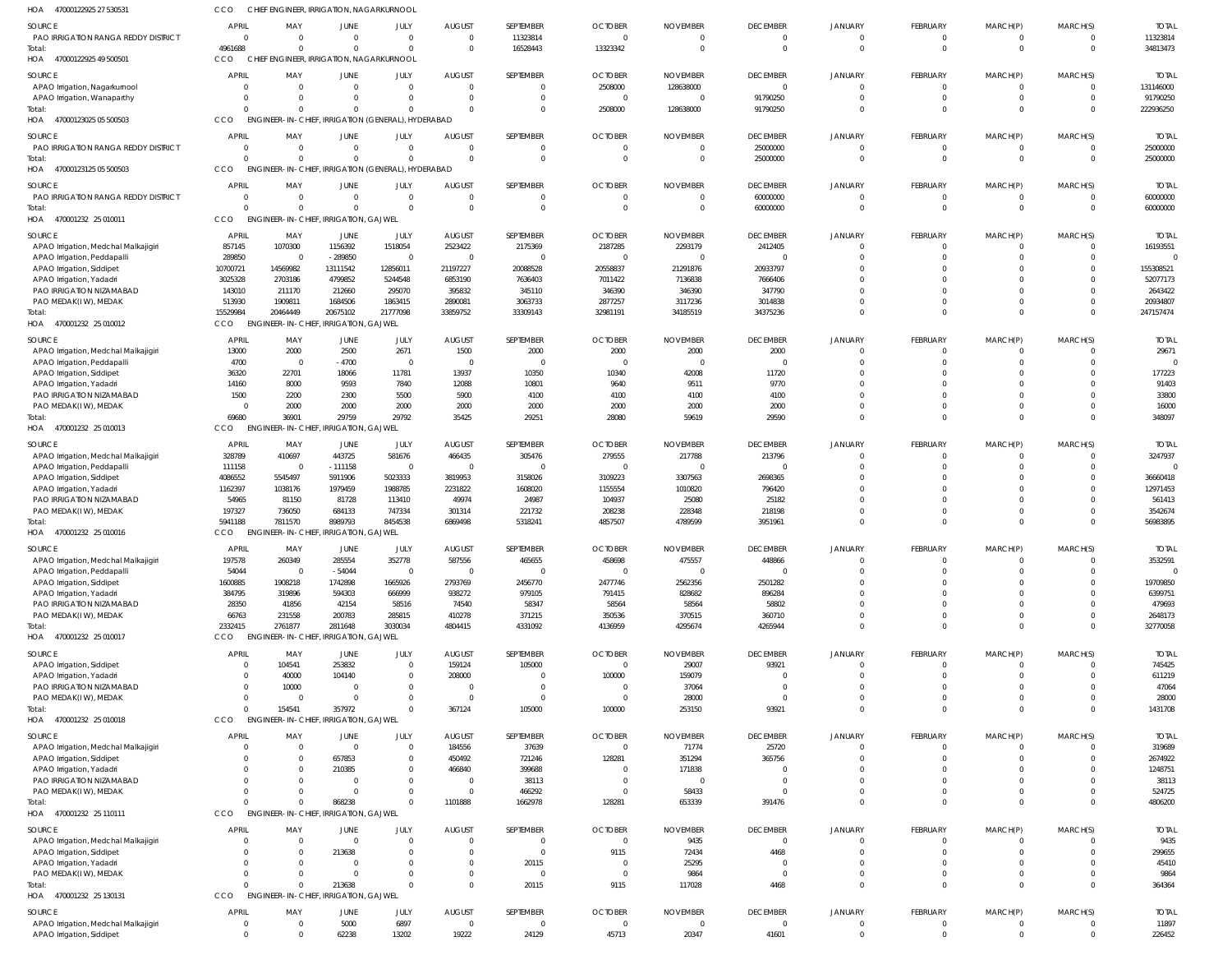| HOA 47000122925 27 530531                                         | ссо                 | CHIEF ENGINEER, IRRIGATION, NAGARKURNOOL           |                                              |                         |                   |                         |                   |                 |                         |                           |                               |                               |                                |                 |
|-------------------------------------------------------------------|---------------------|----------------------------------------------------|----------------------------------------------|-------------------------|-------------------|-------------------------|-------------------|-----------------|-------------------------|---------------------------|-------------------------------|-------------------------------|--------------------------------|-----------------|
| <b>SOURCE</b>                                                     | <b>APRIL</b>        | MAY                                                | JUNE                                         | JULY                    | <b>AUGUST</b>     | SEPTEMBER               | <b>OCTOBER</b>    | <b>NOVEMBER</b> | <b>DECEMBER</b>         | <b>JANUARY</b>            | FEBRUARY                      | MARCH(P)                      | MARCH(S)                       | <b>TOTAI</b>    |
| PAO IRRIGATION RANGA REDDY DISTRICT                               | $\Omega$            | $\Omega$                                           | $\Omega$                                     | $\overline{0}$          | $\Omega$          | 11323814                | $\Omega$          | $\Omega$        | $\overline{0}$          | $\overline{0}$            | $\mathbf{0}$                  | $\overline{0}$                | $\Omega$                       | 11323814        |
| Total:                                                            | 4961688             | $\Omega$                                           | $\Omega$                                     | $\Omega$                | $\Omega$          | 16528443                | 13323342          | $\Omega$        | $\overline{0}$          | $\overline{0}$            | $\mathbf 0$                   | $\mathbf 0$                   | $\overline{0}$                 | 34813473        |
| HOA 47000122925 49 500501                                         | CCO                 | CHIEF ENGINEER, IRRIGATION, NAGARKURNOOL           |                                              |                         |                   |                         |                   |                 |                         |                           |                               |                               |                                |                 |
|                                                                   |                     |                                                    |                                              |                         |                   |                         |                   |                 |                         |                           |                               |                               |                                |                 |
| SOURCE                                                            | <b>APRIL</b>        | MAY                                                | JUNE                                         | <b>JULY</b>             | <b>AUGUST</b>     | SEPTEMBER               | <b>OCTOBER</b>    | <b>NOVEMBER</b> | <b>DECEMBER</b>         | JANUARY                   | <b>FEBRUARY</b>               | MARCH(P)                      | MARCH(S)                       | <b>TOTAI</b>    |
| APAO Irrigation, Nagarkurnool                                     | $\Omega$            | 0                                                  | $\Omega$                                     | $\Omega$                | $\Omega$          | $\mathbf 0$             | 2508000           | 128638000       | $\overline{0}$          | $\Omega$                  | $\overline{0}$                | $\overline{0}$                | $\mathbf{0}$                   | 131146000       |
| APAO Irrigation, Wanaparthy                                       | $\Omega$            | 0                                                  | - 0                                          | $\mathbf 0$             | $\Omega$          | $\Omega$                |                   |                 | 91790250                | $\Omega$                  | $\mathbf 0$                   | $\overline{0}$                | $\Omega$                       | 91790250        |
| Total:                                                            | $\Omega$            | $\Omega$                                           |                                              | $\Omega$                |                   | $\mathbf 0$             | 2508000           | 128638000       | 91790250                | $\Omega$                  | $\mathbf 0$                   | $\overline{0}$                | $\Omega$                       | 222936250       |
| HOA 47000123025 05 500503                                         | CCO                 | ENGINEER-IN-CHIEF, IRRIGATION (GENERAL), HYDERABAD |                                              |                         |                   |                         |                   |                 |                         |                           |                               |                               |                                |                 |
|                                                                   |                     |                                                    |                                              |                         |                   |                         |                   |                 |                         |                           |                               |                               |                                |                 |
| <b>SOURCE</b>                                                     | <b>APRIL</b>        | MAY                                                | JUNE                                         | JULY                    | <b>AUGUST</b>     | SEPTEMBER               | <b>OCTOBER</b>    | <b>NOVEMBER</b> | <b>DECEMBER</b>         | <b>JANUARY</b>            | FEBRUARY                      | MARCH(P)                      | MARCH(S)                       | <b>TOTAL</b>    |
| <b>PAO IRRIGATION RANGA REDDY DISTRICT</b>                        | $\Omega$            | $\Omega$                                           | $\Omega$                                     | $\overline{0}$          | $\Omega$          | $\mathbf 0$             | $\Omega$          | $\Omega$        | 25000000                | $\overline{0}$            | $\mathbf 0$                   | $\overline{0}$                | $\Omega$                       | 25000000        |
| Total:                                                            | $\Omega$            | $\Omega$                                           | $\Omega$                                     | $\Omega$                | $\Omega$          | $\mathbf 0$             | $\Omega$          | $\mathsf{C}$    | 25000000                | $\Omega$                  | $\mathbf{0}$                  | $\overline{0}$                | $\overline{0}$                 | 25000000        |
| HOA 47000123125 05 500503                                         | CCO                 | ENGINEER-IN-CHIEF, IRRIGATION (GENERAL), HYDERABAD |                                              |                         |                   |                         |                   |                 |                         |                           |                               |                               |                                |                 |
| <b>SOURCE</b>                                                     | <b>APRIL</b>        | MAY                                                | JUNE                                         | JULY                    | <b>AUGUST</b>     | SEPTEMBER               | <b>OCTOBER</b>    | <b>NOVEMBER</b> | <b>DECEMBER</b>         | JANUARY                   | FEBRUARY                      | MARCH(P)                      | MARCH(S)                       | <b>TOTAI</b>    |
|                                                                   | $\overline{0}$      |                                                    |                                              | $\Omega$                | $\Omega$          |                         | $\sqrt{ }$        |                 |                         |                           |                               |                               |                                |                 |
| PAO IRRIGATION RANGA REDDY DISTRICT                               | $\Omega$            | $\overline{0}$                                     | - 0                                          |                         |                   | 0                       |                   |                 | 60000000                | $\overline{0}$            | $\overline{0}$                | $\overline{0}$                | 0                              | 60000000        |
| Total:                                                            |                     | $\Omega$                                           | $\Omega$                                     | $\Omega$                | $\Omega$          | $\mathbf 0$             | $\Omega$          |                 | 60000000                | $\Omega$                  | $\mathbf 0$                   | $\mathbf{0}$                  | $\overline{0}$                 | 60000000        |
| HOA 470001232 25 010011                                           | CCO                 | <b>ENGINEER-IN-CHIEF, IRRIGATION, GAJWEL</b>       |                                              |                         |                   |                         |                   |                 |                         |                           |                               |                               |                                |                 |
| SOURCE                                                            | <b>APRIL</b>        | MAY                                                | JUNE                                         | JULY                    | <b>AUGUST</b>     | SEPTEMBER               | <b>OCTOBER</b>    | <b>NOVEMBER</b> | <b>DECEMBER</b>         | JANUARY                   | <b>FEBRUARY</b>               | MARCH(P)                      | MARCH(S)                       | <b>TOTAL</b>    |
| APAO Irrigation, Medchal Malkajigiri                              | 857145              | 1070300                                            | 1156392                                      | 1518054                 | 2523422           | 2175369                 | 2187285           | 2293179         | 2412405                 | $\overline{0}$            | $\mathbf 0$                   | 0                             | $\Omega$                       | 16193551        |
| APAO Irrigation, Peddapalli                                       | 289850              | - 0                                                | $-289850$                                    | $\overline{\mathbf{0}}$ | $\Omega$          | $\overline{\mathbf{0}}$ | - 0               | - 0             | $\overline{0}$          | $\Omega$                  | $\mathbf 0$                   | $\mathbf{0}$                  | $\Omega$                       | $\Omega$        |
| APAO Irrigation, Siddipet                                         | 10700721            | 14569982                                           | 13111542                                     | 12856011                | 21197227          | 20088528                | 20558837          | 21291876        | 20933797                | $\Omega$                  | $\Omega$                      | $\Omega$                      | $\Omega$                       | 155308521       |
| APAO Irrigation, Yadadri                                          | 3025328             | 2703186                                            | 4799852                                      | 5244548                 | 6853190           | 7636403                 | 7011422           | 7136838         | 7666406                 | $\Omega$                  | $\Omega$                      | $\Omega$                      |                                | 52077173        |
|                                                                   | 143010              | 211170                                             |                                              | 295070                  | 395832            |                         | 346390            | 346390          | 347790                  | $\Omega$                  | $\Omega$                      | $\Omega$                      |                                | 2643422         |
| PAO IRRIGATION NIZAMABAD                                          |                     |                                                    | 212660                                       |                         |                   | 345110                  |                   |                 |                         |                           |                               |                               |                                |                 |
| PAO MEDAK(IW), MEDAK                                              | 513930              | 1909811                                            | 1684506                                      | 1863415                 | 2890081           | 3063733                 | 2877257           | 3117236         | 3014838                 | $\Omega$                  | $\mathbf 0$                   | $\overline{0}$                | $\Omega$                       | 20934807        |
| Total:                                                            | 15529984            | 20464449                                           | 20675102                                     | 21777098                | 33859752          | 33309143                | 32981191          | 34185519        | 34375236                | $\Omega$                  | $\mathbf 0$                   | $\overline{0}$                | $\Omega$                       | 247157474       |
| HOA 470001232 25 010012                                           | CCO                 | <b>ENGINEER-IN-CHIEF</b>                           | , IRRIGATION, GAJWEL                         |                         |                   |                         |                   |                 |                         |                           |                               |                               |                                |                 |
| <b>SOURCE</b>                                                     | <b>APRIL</b>        | MAY                                                | JUNE                                         | JULY                    | <b>AUGUST</b>     | SEPTEMBER               | <b>OCTOBER</b>    | <b>NOVEMBER</b> | <b>DECEMBER</b>         | JANUARY                   | FEBRUARY                      | MARCH(P)                      | MARCH(S)                       | <b>TOTAL</b>    |
| APAO Irrigation, Medchal Malkajigiri                              | 13000               | 2000                                               | 2500                                         | 2671                    | 1500              | 2000                    | 2000              | 2000            | 2000                    | $\overline{0}$            | $\mathbf 0$                   | 0                             | 0                              | 29671           |
|                                                                   |                     | 0                                                  |                                              | $\overline{\mathbf{0}}$ | $\mathsf{C}$      | 0                       |                   | - (             | $\Omega$                | $\Omega$                  | $\mathbf 0$                   | $\Omega$                      | $\Omega$                       |                 |
| APAO Irrigation, Peddapalli                                       | 4700                |                                                    | $-4700$                                      |                         |                   |                         |                   |                 |                         |                           |                               |                               |                                |                 |
| APAO Irrigation, Siddipet                                         | 36320               | 22701                                              | 18066                                        | 11781                   | 13937             | 10350                   | 10340             | 42008           | 11720                   | $\Omega$                  | $\Omega$                      | $\Omega$                      | $\Omega$                       | 177223          |
| APAO Irrigation, Yadadri                                          | 14160               | 8000                                               | 9593                                         | 7840                    | 12088             | 10801                   | 9640              | 9511            | 9770                    | $\Omega$                  | $\Omega$                      | $\Omega$                      | $\Omega$                       | 91403           |
| PAO IRRIGATION NIZAMABAD                                          | 1500                | 2200                                               | 2300                                         | 5500                    | 5900              | 4100                    | 4100              | 4100            | 4100                    | $\Omega$                  | $\Omega$                      | $\Omega$                      |                                | 33800           |
| PAO MEDAK(IW), MEDAK                                              | $\Omega$            | 2000                                               | 2000                                         | 2000                    | 2000              | 2000                    | 2000              | 2000            | 2000                    | $\Omega$                  | $\mathbf 0$                   | $\overline{0}$                | $\Omega$                       | 16000           |
| Total:                                                            | 69680               | 36901                                              | 29759                                        | 29792                   | 35425             | 29251                   | 28080             | 59619           | 29590                   | $\Omega$                  | $\mathbf 0$                   | $\overline{0}$                | $\Omega$                       | 348097          |
| HOA 470001232 25 010013                                           | <b>CCO</b>          | ENGINEER-IN-CHIEF, IRRIGATION, GAJWEL              |                                              |                         |                   |                         |                   |                 |                         |                           |                               |                               |                                |                 |
|                                                                   | <b>APRIL</b>        | MAY                                                | JUNE                                         | JULY                    | <b>AUGUST</b>     | SEPTEMBER               | <b>OCTOBER</b>    | <b>NOVEMBER</b> | <b>DECEMBER</b>         | <b>JANUARY</b>            | FEBRUARY                      | MARCH(P)                      | MARCH(S)                       | <b>TOTAI</b>    |
| SOURCE                                                            |                     |                                                    |                                              |                         |                   |                         |                   |                 |                         |                           |                               |                               |                                |                 |
| APAO Irrigation, Medchal Malkajigiri                              | 328789              | 410697                                             | 443725                                       | 581676                  | 466435            | 305476                  | 279555            | 217788          | 213796                  | $\overline{0}$            | $\overline{0}$                | $\overline{0}$                | $\Omega$                       | 3247937         |
| APAO Irrigation, Peddapall                                        | 111158              | - 0                                                | $-111158$                                    | $\overline{0}$          | - 0               | $\overline{0}$          | - 0               |                 | $\Omega$                | $\Omega$                  | $\mathbf 0$                   | $\Omega$                      | $\Omega$                       | $\Omega$        |
| APAO Irrigation, Siddipet                                         | 4086552             | 5545497                                            | 5911906                                      | 5023333                 | 3819953           | 3158026                 | 3109223           | 3307563         | 2698365                 | $\Omega$                  | $\mathbf 0$                   | $\Omega$                      | $\Omega$                       | 36660418        |
| APAO Irrigation, Yadadri                                          | 1162397             | 1038176                                            | 1979459                                      | 1988785                 | 2231822           | 1608020                 | 1155554           | 1010820         | 796420                  | $\Omega$                  | $\Omega$                      | $\Omega$                      |                                | 12971453        |
| PAO IRRIGATION NIZAMABAD                                          | 54965               | 81150                                              | 81728                                        | 113410                  | 49974             | 24987                   | 104937            | 25080           | 25182                   | $\Omega$                  | $\mathbf 0$                   | $\mathbf{0}$                  | $\Omega$                       | 561413          |
| PAO MEDAK(IW), MEDAK                                              | 197327              | 736050                                             | 684133                                       | 747334                  | 301314            | 221732                  | 208238            | 228348          | 218198                  | $\Omega$                  | $\mathbf 0$                   | $\overline{0}$                | $\Omega$                       | 3542674         |
| Total:                                                            | 5941188             | 7811570                                            | 8989793                                      | 8454538                 | 6869498           | 5318241                 | 4857507           | 4789599         | 3951961                 | $\Omega$                  | $\mathbf 0$                   | $\mathbf 0$                   | $\Omega$                       | 56983895        |
| HOA 470001232 25 010016                                           | CCO                 | <b>ENGINEER-IN-CHIEF</b>                           | , IRRIGATION, GAJWEL                         |                         |                   |                         |                   |                 |                         |                           |                               |                               |                                |                 |
|                                                                   |                     |                                                    |                                              |                         |                   |                         |                   |                 |                         |                           |                               |                               |                                |                 |
| <b>SOURCE</b>                                                     | <b>APRIL</b>        | MAY                                                | JUNE                                         | JULY                    | <b>AUGUST</b>     | SEPTEMBER               | <b>OCTOBER</b>    | <b>NOVEMBER</b> | <b>DECEMBER</b>         | <b>JANUARY</b>            | <b>FEBRUARY</b>               | MARCH(P)                      | MARCH(S)                       | <b>TOTAL</b>    |
| APAO Irrigation, Medchal Malkajigiri                              | 197578              | 260349                                             | 285554                                       | 352778                  | 587556            | 465655                  | 458698            | 475557          | 448866                  | $\mathbf{0}$              | $\Omega$                      | 0                             |                                | 3532591         |
| APAO Irrigation, Peddapalli                                       | 54044               | 0                                                  | $-54044$                                     | $\Omega$                | $\Omega$          | $\overline{0}$          | - 0               | - 0             | - 0                     | $\Omega$                  | $\mathbf 0$                   | $\Omega$                      |                                | $\Omega$        |
| APAO Irrigation, Siddipet                                         | 1600885             | 1908218                                            | 1742898                                      | 1665926                 | 2793769           | 2456770                 | 2477746           | 2562356         | 2501282                 | $\Omega$                  | $\Omega$                      | $\Omega$                      |                                | 19709850        |
| APAO Irrigation, Yadadri                                          | 384795              | 319896                                             | 594303                                       | 666999                  | 938272            | 979105                  | 791415            | 828682          | 896284                  | $\Omega$                  | $\Omega$                      | $\Omega$                      |                                | 6399751         |
| PAO IRRIGATION NIZAMABAD                                          | 28350               | 41856                                              | 42154                                        | 58516                   | 74540             | 58347                   | 58564             | 58564           | 58802                   | $\Omega$                  | $\Omega$                      | $\Omega$                      |                                | 479693          |
| PAO MEDAK(IW), MEDAK                                              | 66763               | 231558                                             | 200783                                       | 285815                  | 410278            | 371215                  | 350536            | 370515          | 360710                  | $\Omega$                  | $\mathbf 0$                   | $\mathbf{0}$                  |                                | 2648173         |
| Total:                                                            | 2332415             | 2761877                                            | 2811648                                      | 3030034                 | 4804415           | 4331092                 | 4136959           | 4295674         | 4265944                 | $\Omega$                  | $\Omega$                      | $\Omega$                      | $\Omega$                       | 32770058        |
| HOA 470001232 25 010017                                           | CCO                 | <b>ENGINEER-IN-CHIEF</b>                           | IRRIGATION, GAJWEL                           |                         |                   |                         |                   |                 |                         |                           |                               |                               |                                |                 |
|                                                                   |                     |                                                    |                                              |                         |                   |                         |                   |                 |                         |                           |                               |                               |                                |                 |
| SOURCE                                                            | <b>APRIL</b>        | MAY                                                | JUNE                                         | JULY                    | <b>AUGUST</b>     | SEPTEMBER               | <b>OCTOBER</b>    | <b>NOVEMBER</b> | <b>DECEMBER</b>         | <b>JANUARY</b>            | FEBRUARY                      | MARCH(P)                      | MARCH(S)                       | <b>TOTAL</b>    |
| APAO Irrigation, Siddipet                                         | 0                   | 104541                                             | 253832                                       | $\Omega$                | 159124            | 105000                  | - 0               | 29007           | 93921                   | $\overline{0}$            | $\mathbf 0$                   | 0                             | $\Omega$                       | 745425          |
| APAO Irrigation, Yadadri                                          | 0                   | 40000                                              | 104140                                       | $\Omega$                | 208000            | $\overline{0}$          | 100000            | 159079          | $\Omega$                | $\Omega$                  | $\mathbf 0$                   | $\mathbf{0}$                  | $\Omega$                       | 611219          |
| PAO IRRIGATION NIZAMABAD                                          | $\overline{0}$      | 10000                                              | - 0                                          | $\Omega$                | $\Omega$          | $\mathbf 0$             | - 0               | 37064           | $\overline{0}$          | $\Omega$                  | $\Omega$                      | $\Omega$                      | $\Omega$                       | 47064           |
| PAO MEDAK(IW), MEDAK                                              | $\overline{0}$      | $\overline{0}$                                     | - 0                                          | $\Omega$                | $\Omega$          | $\mathbf 0$             | $\Omega$          | 28000           | $\Omega$                | $\Omega$                  | $\mathbf 0$                   | $\overline{0}$                | $\Omega$                       | 28000           |
| Total:                                                            | $\Omega$            | 154541                                             | 357972                                       | $\Omega$                | 367124            | 105000                  | 100000            | 253150          | 93921                   | $\Omega$                  | $\mathbf 0$                   | $\mathbf 0$                   | $\Omega$                       | 1431708         |
| HOA 470001232 25 010018                                           | CCO                 | <b>ENGINEER-IN-CHIEF, IRRIGATION, GAJWEL</b>       |                                              |                         |                   |                         |                   |                 |                         |                           |                               |                               |                                |                 |
| <b>SOURCE</b>                                                     | <b>APRIL</b>        | MAY                                                | JUNE                                         | JULY                    | <b>AUGUST</b>     | SEPTEMBER               | <b>OCTOBER</b>    | <b>NOVEMBER</b> | <b>DECEMBER</b>         | <b>JANUARY</b>            | FEBRUARY                      | MARCH(P)                      | MARCH(S)                       | <b>TOTAL</b>    |
|                                                                   | $\Omega$            |                                                    |                                              | $\Omega$                |                   |                         | $\Omega$          |                 |                         | $\Omega$                  |                               |                               |                                |                 |
| APAO Irrigation, Medchal Malkajigiri                              |                     | 0                                                  | - 0                                          |                         | 184556            | 37639                   |                   | 71774           | 25720                   | $\Omega$                  | $\overline{0}$                | $\overline{0}$                | $\Omega$                       | 319689          |
| APAO Irrigation, Siddipet                                         | $\Omega$            | $\Omega$                                           | 657853                                       | $\Omega$                | 450492            | 721246                  | 128281            | 351294          | 365756                  |                           | $\mathbf 0$                   | $\overline{0}$                | $\Omega$                       | 2674922         |
| APAO Irrigation, Yadadri                                          | $\Omega$            | $\Omega$                                           | 210385                                       | $\Omega$                | 466840            | 399688                  |                   | 171838          |                         | $\Omega$                  | $\Omega$                      | $\Omega$                      |                                | 1248751         |
| PAO IRRIGATION NIZAMABAD                                          | $\Omega$            | $\Omega$                                           |                                              | $\Omega$                | - 0               | 38113                   |                   |                 | - 0                     | $\Omega$                  | $\Omega$                      | $\Omega$                      |                                | 38113           |
| PAO MEDAK(IW), MEDAK                                              | $\Omega$            | $\Omega$                                           | - 0                                          | $\Omega$                | $\Omega$          | 466292                  |                   | 58433           | $\Omega$                | $\Omega$                  | $\mathbf 0$                   | $\Omega$                      |                                | 524725          |
| Total:                                                            | $\Omega$            | $\Omega$                                           | 868238                                       | $\Omega$                | 1101888           | 1662978                 | 128281            | 653339          | 391476                  | $\Omega$                  | $\Omega$                      | $\Omega$                      | $\Omega$                       | 4806200         |
| HOA 470001232 25 110111                                           | CCO                 | <b>ENGINEER-IN-CHIEF, IRRIGATION, GAJWEL</b>       |                                              |                         |                   |                         |                   |                 |                         |                           |                               |                               |                                |                 |
| <b>SOURCE</b>                                                     | <b>APRIL</b>        | MAY                                                |                                              | JULY                    | <b>AUGUST</b>     | SEPTEMBER               | <b>OCTOBER</b>    | <b>NOVEMBER</b> | <b>DECEMBER</b>         | <b>JANUARY</b>            | FEBRUARY                      | MARCH(P)                      | MARCH(S)                       |                 |
|                                                                   |                     |                                                    | JUNE                                         |                         |                   |                         |                   |                 |                         |                           |                               |                               |                                | <b>TOTAL</b>    |
| APAO Irrigation, Medchal Malkajigiri                              | 0                   | - 0                                                | - 0                                          | $\Omega$                | - 0               | 0                       | - 0               | 9435            | $\overline{\mathbf{0}}$ | $\overline{0}$            | 0                             | 0                             | $\Omega$                       | 9435            |
| APAO Irrigation, Siddipet                                         | $\Omega$            | $\Omega$                                           | 213638                                       | $\Omega$                |                   | $\overline{0}$          | 9115              | 72434           | 4468                    | $\Omega$                  | $\Omega$                      | $\Omega$                      | $\Omega$                       | 299655          |
| APAO Irrigation, Yadadri                                          | $\Omega$            | $\Omega$                                           | - 0                                          | $\Omega$                | $\Omega$          | 20115                   | - 0               | 25295           | $\overline{0}$          | $\Omega$                  | $\Omega$                      | $\Omega$                      | $\Omega$                       | 45410           |
| PAO MEDAK(IW), MEDAK                                              | $\Omega$            | $\Omega$                                           | - 0                                          | $\Omega$                | $\Omega$          | $\overline{0}$          | $\Omega$          | 9864            | $\Omega$                | $\overline{0}$            | $\mathbf 0$                   | $\overline{0}$                | $\Omega$                       | 9864            |
| Total:                                                            | $\Omega$            | $\Omega$                                           | 213638                                       | $\Omega$                | $\Omega$          | 20115                   | 9115              | 117028          | 4468                    | $\Omega$                  | $\Omega$                      | $\Omega$                      | $\Omega$                       | 364364          |
| HOA 470001232 25 130131                                           |                     |                                                    | <b>ENGINEER-IN-CHIEF, IRRIGATION, GAJWEL</b> |                         |                   |                         |                   |                 |                         |                           |                               |                               |                                |                 |
|                                                                   | CCO                 |                                                    |                                              |                         |                   |                         |                   |                 |                         |                           |                               |                               |                                |                 |
|                                                                   |                     |                                                    |                                              |                         |                   |                         |                   |                 |                         |                           |                               |                               |                                |                 |
| <b>SOURCE</b>                                                     | <b>APRIL</b>        | MAY                                                | JUNE                                         | JULY                    | <b>AUGUST</b>     | SEPTEMBER               | <b>OCTOBER</b>    | <b>NOVEMBER</b> | <b>DECEMBER</b>         | <b>JANUARY</b>            | FEBRUARY                      | MARCH(P)                      | MARCH(S)                       | <b>TOTAL</b>    |
| APAO Irrigation, Medchal Malkajigiri<br>APAO Irrigation, Siddipet | 0<br>$\overline{0}$ | 0<br>0                                             | 5000<br>62238                                | 6897<br>13202           | $\Omega$<br>19222 | $\mathbf 0$<br>24129    | $\Omega$<br>45713 | - 0<br>20347    | $\overline{0}$<br>41601 | $\overline{0}$<br>$\,0\,$ | $\overline{0}$<br>$\mathbf 0$ | $\overline{0}$<br>$\mathbf 0$ | $\mathbf{0}$<br>$\overline{0}$ | 11897<br>226452 |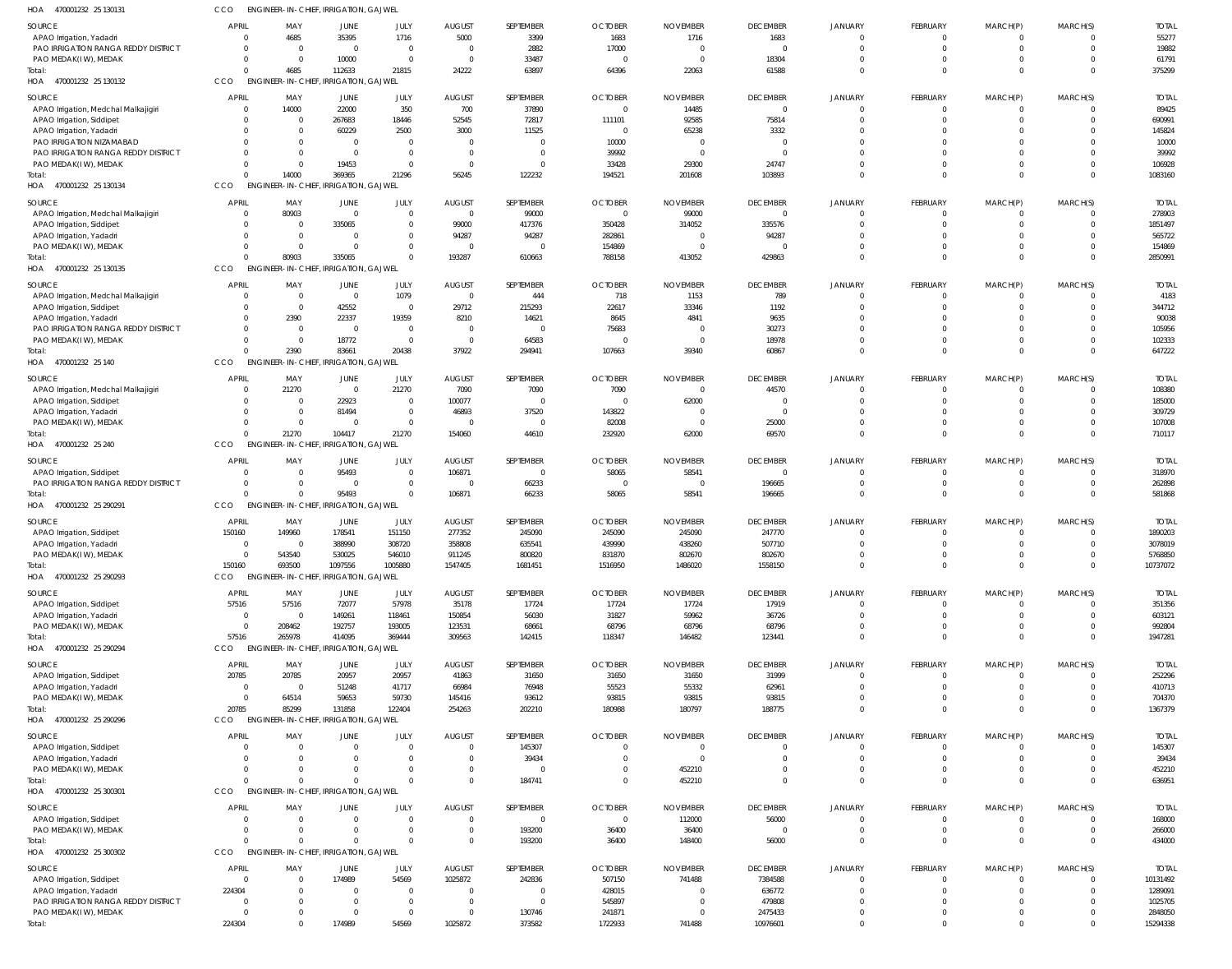| HOA<br>470001232 25 130131                                        | cco            | <b>ENGINEER-IN-CHIEF, IRRIGATION, GAJWEL</b> |                                     |                               |                                 |                       |                                  |                                   |                                   |                            |                            |                      |                                  |                        |
|-------------------------------------------------------------------|----------------|----------------------------------------------|-------------------------------------|-------------------------------|---------------------------------|-----------------------|----------------------------------|-----------------------------------|-----------------------------------|----------------------------|----------------------------|----------------------|----------------------------------|------------------------|
| SOURCE                                                            | <b>APRIL</b>   | MAY                                          | JUNE                                | JULY                          | <b>AUGUST</b>                   | SEPTEMBER             | <b>OCTOBER</b>                   | <b>NOVEMBER</b>                   | <b>DECEMBER</b>                   | <b>JANUARY</b>             | FEBRUARY                   | MARCH(P)             | MARCH(S)                         | <b>TOTAL</b>           |
| APAO Irrigation, Yadadri                                          |                | 4685                                         | 35395                               | 1716                          | 5000                            | 3399                  | 1683                             | 1716                              | 1683                              | 0                          | $^{\circ}$                 | -0                   | 0                                | 55277                  |
| PAO IRRIGATION RANGA REDDY DISTRICT                               |                | $\overline{0}$                               | $\overline{0}$                      | $\overline{0}$                | $\overline{0}$                  | 2882                  | 17000                            | $\overline{0}$                    | $\Omega$                          | $\Omega$                   | $\mathbf 0$                | $\Omega$             | $\overline{0}$                   | 19882                  |
| PAO MEDAK(IW), MEDAK                                              |                | $\overline{0}$                               | 10000                               | $\overline{0}$                | $\overline{0}$                  | 33487                 | $^{\circ}$                       | $\overline{0}$                    | 18304                             | $\Omega$<br>$\Omega$       | $^{\circ}$<br>$\Omega$     | -0                   | - 0<br>$\Omega$                  | 61791                  |
| Total:<br>HOA 470001232 25 130132                                 | <b>CCO</b>     | 4685<br><b>ENGINEER-IN-CHIEF,</b>            | 112633<br><b>IRRIGATION, GAJWEL</b> | 21815                         | 24222                           | 63897                 | 64396                            | 22063                             | 61588                             |                            |                            | $\Omega$             |                                  | 375299                 |
|                                                                   | <b>APRIL</b>   |                                              |                                     |                               |                                 |                       |                                  |                                   |                                   |                            |                            |                      |                                  |                        |
| SOURCE<br>APAO Irrigation, Medchal Malkajigiri                    |                | MAY<br>14000                                 | JUNE<br>22000                       | JULY<br>350                   | <b>AUGUST</b><br>700            | SEPTEMBER<br>37890    | <b>OCTOBER</b><br>$\overline{0}$ | <b>NOVEMBER</b><br>14485          | <b>DECEMBER</b><br>$\overline{0}$ | JANUARY<br>$\Omega$        | FEBRUARY<br>$\mathbf 0$    | MARCH(P)<br>0        | MARCH(S)<br>$\overline{0}$       | <b>TOTAI</b><br>89425  |
| APAO Irrigation, Siddipet                                         |                | $\overline{0}$                               | 267683                              | 18446                         | 52545                           | 72817                 | 111101                           | 92585                             | 75814                             | $\Omega$                   | $\mathbf 0$                | $\mathbf 0$          | $^{\circ}$                       | 690991                 |
| APAO Irrigation, Yadadri                                          |                | $\overline{0}$                               | 60229                               | 2500                          | 3000                            | 11525                 | $\overline{0}$                   | 65238                             | 3332                              | $\Omega$                   | $\mathbf 0$                | $\Omega$             | $\Omega$                         | 145824                 |
| PAO IRRIGATION NIZAMABAD                                          |                | $\Omega$                                     | $\overline{0}$                      | 0                             | $\overline{0}$                  | $\Omega$              | 10000                            | - 0                               | $\Omega$                          | $\Omega$                   | $\Omega$                   |                      | $\Omega$                         | 10000                  |
| PAO IRRIGATION RANGA REDDY DISTRICT                               |                | $\Omega$                                     | $\overline{0}$                      | $\mathbf 0$                   | $\overline{0}$                  | $\Omega$              | 39992                            | $\overline{0}$                    | $\Omega$                          |                            | $\Omega$                   | $\Omega$             | $^{\circ}$                       | 39992                  |
| PAO MEDAK(IW), MEDAK                                              |                | $\Omega$<br>$\cap$                           | 19453                               | 0                             | $\overline{0}$                  | $\Omega$              | 33428                            | 29300                             | 24747                             | $\Omega$                   | $\mathbf 0$                | $\Omega$             | $^{\circ}$                       | 106928                 |
| Total:<br>HOA 470001232 25 130134                                 | <b>CCO</b>     | 14000<br><b>ENGINEER-IN-CHIEF</b>            | 369365<br><b>IRRIGATION, GAJWEL</b> | 21296                         | 56245                           | 122232                | 194521                           | 201608                            | 103893                            | $\Omega$                   | $\mathbf 0$                | $\Omega$             | $\overline{0}$                   | 1083160                |
|                                                                   |                |                                              |                                     |                               |                                 |                       |                                  |                                   |                                   |                            |                            |                      |                                  |                        |
| SOURCE                                                            | <b>APRIL</b>   | MAY                                          | JUNE<br>$\overline{0}$              | JULY                          | <b>AUGUST</b><br>$\overline{0}$ | SEPTEMBER             | <b>OCTOBER</b>                   | <b>NOVEMBER</b>                   | <b>DECEMBER</b><br>$\overline{0}$ | <b>JANUARY</b><br>$\Omega$ | FEBRUARY                   | MARCH(P)             | MARCH(S)                         | <b>TOTAI</b>           |
| APAO Irrigation, Medchal Malkajigiri<br>APAO Irrigation, Siddipet |                | 80903<br>$\overline{0}$                      | 335065                              | $\mathbf 0$<br>$\overline{0}$ | 99000                           | 99000<br>417376       | $\overline{0}$<br>350428         | 99000<br>314052                   | 335576                            | $\Omega$                   | $^{\circ}$<br>$\Omega$     | -0<br>$\Omega$       | $\overline{0}$<br>$\Omega$       | 278903<br>1851497      |
| APAO Irrigation, Yadadri                                          |                | $\overline{0}$                               | $\overline{0}$                      | $\mathbf 0$                   | 94287                           | 94287                 | 282861                           | - 0                               | 94287                             |                            | $^{\circ}$                 |                      | $\Omega$                         | 565722                 |
| PAO MEDAK(IW), MEDAK                                              |                | $\Omega$                                     | $\overline{0}$                      | 0                             | $\overline{0}$                  | $\Omega$              | 154869                           | - 0                               |                                   | $\Omega$                   | $^{\circ}$                 | -0                   | $\Omega$                         | 154869                 |
| Total:                                                            |                | 80903                                        | 335065                              |                               | 193287                          | 610663                | 788158                           | 413052                            | 429863                            | $\Omega$                   | $\mathbf 0$                | $\Omega$             | $\overline{0}$                   | 2850991                |
| HOA 470001232 25 130135                                           | CCO            | <b>ENGINEER-IN-CHIEF, IRRIGATION, GAJWEL</b> |                                     |                               |                                 |                       |                                  |                                   |                                   |                            |                            |                      |                                  |                        |
| SOURCE                                                            | <b>APRIL</b>   | MAY                                          | JUNE                                | JULY                          | <b>AUGUST</b>                   | SEPTEMBER             | <b>OCTOBER</b>                   | <b>NOVEMBER</b>                   | <b>DECEMBER</b>                   | <b>JANUARY</b>             | FEBRUARY                   | MARCH(P)             | MARCH(S)                         | <b>TOTAI</b>           |
| APAO Irrigation, Medchal Malkajigiri                              |                | $\overline{0}$                               | $\overline{0}$                      | 1079                          | $\overline{0}$                  | 444                   | 718                              | 1153                              | 789                               | $\Omega$                   | $\mathbf 0$                |                      | $\mathbf 0$                      | 4183                   |
| APAO Irrigation, Siddipet                                         |                | $\overline{0}$                               | 42552                               | - 0                           | 29712                           | 215293                | 22617                            | 33346                             | 1192                              | $\Omega$                   | $\mathbf 0$                | $\Omega$             | $^{\circ}$                       | 344712                 |
| APAO Irrigation, Yadadri                                          |                | 2390                                         | 22337                               | 19359                         | 8210                            | 14621                 | 8645                             | 4841                              | 9635                              | $\Omega$                   | $\mathbf 0$                | $\Omega$             | $\Omega$                         | 90038                  |
| PAO IRRIGATION RANGA REDDY DISTRICT                               |                | $\overline{0}$                               | $\overline{0}$                      | $\overline{0}$                | $\overline{0}$                  | $\Omega$              | 75683                            | - 0                               | 30273                             |                            | $\Omega$                   | $\Omega$             | $\Omega$                         | 105956                 |
| PAO MEDAK(IW), MEDAK<br>Total:                                    |                | $\overline{0}$<br>2390                       | 18772<br>83661                      | - 0<br>20438                  | $\overline{0}$<br>37922         | 64583<br>294941       | $\overline{0}$<br>107663         | - 0<br>39340                      | 18978<br>60867                    | $\Omega$<br>$\Omega$       | $\mathbf 0$<br>$\mathbf 0$ | $\Omega$<br>$\Omega$ | $\overline{0}$<br>$\overline{0}$ | 102333<br>647222       |
| HOA 470001232 25 140                                              | CCO            | ENGINEER-IN-CHIEF, IRRIGATION, GAJWEL        |                                     |                               |                                 |                       |                                  |                                   |                                   |                            |                            |                      |                                  |                        |
|                                                                   |                |                                              |                                     |                               |                                 |                       |                                  |                                   |                                   |                            |                            |                      |                                  |                        |
| SOURCE<br>APAO Irrigation, Medchal Malkajigiri                    | <b>APRIL</b>   | MAY<br>21270                                 | JUNE<br>$\overline{0}$              | JULY<br>21270                 | <b>AUGUST</b><br>7090           | SEPTEMBER<br>7090     | <b>OCTOBER</b><br>7090           | <b>NOVEMBER</b><br>$\overline{0}$ | <b>DECEMBER</b><br>44570          | JANUARY<br>$\Omega$        | FEBRUARY<br>$^{\circ}$     | MARCH(P)<br>-0       | MARCH(S)<br>$\mathbf 0$          | <b>TOTAI</b><br>108380 |
| APAO Irrigation, Siddipet                                         |                | $\overline{0}$                               | 22923                               | $\overline{0}$                | 100077                          | $\Omega$              | $\Omega$                         | 62000                             | $\overline{0}$                    | $\Omega$                   | $\Omega$                   | $\Omega$             | $\Omega$                         | 185000                 |
| APAO Irrigation, Yadadri                                          |                | $\overline{0}$                               | 81494                               | $\overline{0}$                | 46893                           | 37520                 | 143822                           | - 0                               | $\Omega$                          |                            | $\Omega$                   |                      | $\Omega$                         | 309729                 |
| PAO MEDAK(I W), MEDAK                                             |                | $\overline{0}$                               | $\overline{0}$                      | $\overline{0}$                | $\overline{0}$                  | $\Omega$              | 82008                            | - 0                               | 25000                             | $\Omega$                   | $\mathbf 0$                | $\Omega$             | $\mathbf 0$                      | 107008                 |
| iotal:                                                            |                | 21270                                        | 104417                              | 21270                         | 154060                          | 44610                 | 232920                           | 62000                             | 69570                             | $\Omega$                   | $\Omega$                   | $\Omega$             | $\overline{0}$                   | 710117                 |
| HOA 470001232 25 240                                              | CCO            | <b>ENGINEER-IN-CHIEF</b>                     | <b>IRRIGATION, GAJWEL</b>           |                               |                                 |                       |                                  |                                   |                                   |                            |                            |                      |                                  |                        |
| SOURCE                                                            | <b>APRIL</b>   | MAY                                          | JUNE                                | JULY                          | <b>AUGUST</b>                   | SEPTEMBER             | <b>OCTOBER</b>                   | <b>NOVEMBER</b>                   | <b>DECEMBER</b>                   | <b>JANUARY</b>             | FEBRUARY                   | MARCH(P)             | MARCH(S)                         | <b>TOTAI</b>           |
| APAO Irrigation, Siddipet                                         |                | $\overline{0}$                               | 95493                               | 0                             | 106871                          | $\overline{0}$        | 58065                            | 58541                             | $\overline{0}$                    | $\Omega$                   | $\mathbf 0$                |                      | $\overline{0}$                   | 318970                 |
| PAO IRRIGATION RANGA REDDY DISTRICT                               |                | $\overline{0}$<br>$\Omega$                   | $\overline{0}$                      | $\mathbf 0$                   | $\overline{\phantom{0}}$        | 66233                 | - 0                              | $\overline{0}$                    | 196665                            | $\Omega$                   | $\overline{0}$             | $\mathbf 0$          | $^{\circ}$                       | 262898                 |
| īotal:                                                            |                | $\Omega$                                     | 95493                               |                               | 106871                          | 66233                 | 58065                            | 58541                             | 196665                            | $\Omega$                   | $\mathbf 0$                | $\Omega$             | $\Omega$                         | 581868                 |
| HOA 470001232 25 290291                                           | <b>CCO</b>     | <b>ENGINEER-IN-CHIEF, IRRIGATION, GAJWEL</b> |                                     |                               |                                 |                       |                                  |                                   |                                   |                            |                            |                      |                                  |                        |
| SOURCE                                                            | APRIL          | MAY                                          | JUNE                                | JULY                          | <b>AUGUST</b>                   | SEPTEMBER             | <b>OCTOBER</b>                   | <b>NOVEMBER</b>                   | <b>DECEMBER</b>                   | JANUARY                    | FEBRUARY                   | MARCH(P)             | MARCH(S)                         | <b>TOTAL</b>           |
| APAO Irrigation, Siddipet                                         | 150160         | 149960                                       | 178541                              | 151150                        | 277352                          | 245090                | 245090                           | 245090                            | 247770                            |                            | $\Omega$                   |                      | $\Omega$                         | 1890203                |
| APAO Irrigation, Yadadri<br>PAO MEDAK(I W), MEDAK                 |                | $\Omega$<br>$\Omega$<br>543540               | 388990<br>530025                    | 308720<br>546010              | 358808<br>911245                | 635541<br>800820      | 439990<br>831870                 | 438260<br>802670                  | 507710<br>802670                  | $\Omega$                   | $\Omega$                   |                      | $\Omega$                         | 3078019<br>5768850     |
| Total:                                                            | 150160         | 693500                                       | 1097556                             | 1005880                       | 1547405                         | 1681451               | 1516950                          | 1486020                           | 1558150                           | $\mathbf 0$                | $\mathbf 0$                | $\Omega$             | $^{\circ}$                       | 10737072               |
| HOA<br>470001232 25 290293                                        | CCO            | <b>ENGINEER-IN-CHIEF, IRRIGATION, GAJWEL</b> |                                     |                               |                                 |                       |                                  |                                   |                                   |                            |                            |                      |                                  |                        |
|                                                                   |                |                                              |                                     |                               |                                 |                       |                                  |                                   |                                   |                            |                            |                      |                                  |                        |
| SOURCE<br>APAO Irrigation, Siddipet                               | APRIL<br>57516 | MAY<br>57516                                 | JUNE<br>72077                       | JULY<br>57978                 | <b>AUGUST</b><br>35178          | SEPTEMBER<br>17724    | <b>OCTOBER</b><br>17724          | <b>NOVEMBER</b><br>17724          | <b>DECEMBER</b><br>17919          | <b>JANUARY</b><br>$\Omega$ | FEBRUARY<br>$^{\circ}$     | MARCH(P)             | MARCH(S)<br>$\Omega$             | <b>TOTAL</b><br>351356 |
| APAO Irrigation, Yadadri                                          |                | $\overline{0}$                               | 149261                              | 118461                        | 150854                          | 56030                 | 31827                            | 59962                             | 36726                             | $\Omega$                   | $\mathbf 0$                | $\Omega$             | $\Omega$                         | 603121                 |
| PAO MEDAK(I W), MEDAK                                             |                | 208462<br>$\Omega$                           | 192757                              | 193005                        | 123531                          | 68661                 | 68796                            | 68796                             | 68796                             | $\Omega$                   | $^{\circ}$                 | $\Omega$             | $\Omega$                         | 992804                 |
| Total:                                                            | 57516          | 265978                                       | 414095                              | 369444                        | 309563                          | 142415                | 118347                           | 146482                            | 123441                            | $\Omega$                   | $\mathbf 0$                | $\Omega$             | $^{\circ}$                       | 1947281                |
| HOA 470001232 25 290294                                           | CCO            | ENGINEER-IN-CHIEF, IRRIGATION, GAJWEL        |                                     |                               |                                 |                       |                                  |                                   |                                   |                            |                            |                      |                                  |                        |
| SOURCE                                                            | <b>APRIL</b>   | MAY                                          | JUNE                                | JULY                          | <b>AUGUST</b>                   | SEPTEMBER             | <b>OCTOBER</b>                   | <b>NOVEMBER</b>                   | <b>DECEMBER</b>                   | <b>JANUARY</b>             | FEBRUARY                   | MARCH(P)             | MARCH(S)                         | <b>TOTAL</b>           |
| APAO Irrigation, Siddipet                                         | 20785          | 20785                                        | 20957                               | 20957                         | 41863                           | 31650                 | 31650                            | 31650                             | 31999                             | $\Omega$                   | $^{\circ}$                 |                      | $\Omega$                         | 252296                 |
| APAO Irrigation, Yadadri                                          |                | $\Omega$                                     | 51248                               | 41717                         | 66984                           | 76948                 | 55523                            | 55332                             | 62961                             | $\Omega$                   | $\mathbf 0$                | $\Omega$             | $\Omega$                         | 410713                 |
| PAO MEDAK(IW), MEDAK                                              |                | 64514<br>$\Omega$                            | 59653                               | 59730                         | 145416                          | 93612                 | 93815                            | 93815                             | 93815                             |                            | $^{\circ}$                 |                      | 0                                | 704370                 |
| Total:                                                            | 20785          | 85299                                        | 131858                              | 122404                        | 254263                          | 202210                | 180988                           | 180797                            | 188775                            | $\Omega$                   | $\mathbf 0$                | $\Omega$             | $\Omega$                         | 1367379                |
| HOA 470001232 25 290296                                           | CCO            | ENGINEER-IN-CHIEF, IRRIGATION, GAJWEL        |                                     |                               |                                 |                       |                                  |                                   |                                   |                            |                            |                      |                                  |                        |
| SOURCE                                                            | <b>APRIL</b>   | MAY                                          | JUNE                                | JULY                          | <b>AUGUST</b>                   | SEPTEMBER             | <b>OCTOBER</b>                   | <b>NOVEMBER</b>                   | <b>DECEMBER</b>                   | <b>JANUARY</b>             | FEBRUARY                   | MARCH(P)             | MARCH(S)                         | <b>TOTAL</b>           |
| APAO Irrigation, Siddipet                                         |                | $\overline{0}$                               | $\overline{0}$                      | $\Omega$                      | $\mathbf 0$                     | 145307                | $\mathbf 0$                      | $\overline{0}$                    | $\overline{0}$                    | $\Omega$                   | $\mathbf 0$                | -0                   | $\mathbf 0$                      | 145307                 |
| APAO Irrigation, Yadadri                                          |                | $\Omega$                                     | $\overline{0}$                      | -0                            | $\mathbf 0$                     | 39434                 | $\Omega$                         | - 0                               | $\Omega$                          | $\Omega$                   | $\mathbf 0$                | $\Omega$             | $^{\circ}$                       | 39434                  |
| PAO MEDAK(IW), MEDAK                                              |                | $\Omega$<br>$\Omega$                         | $\overline{0}$<br>$\Omega$          |                               | $\overline{0}$<br>$\Omega$      | $\Omega$<br>184741    | 0<br>$^{\circ}$                  | 452210<br>452210                  | $\Omega$<br>$\Omega$              | $\Omega$<br>$\Omega$       | $\mathbf 0$<br>$\mathbf 0$ | $\Omega$<br>$\Omega$ | $\overline{0}$<br>$\Omega$       | 452210<br>636951       |
| īotal:<br>HOA 470001232 25 300301                                 | CCO            | <b>ENGINEER-IN-CHIEF, IRRIGATION, GAJWEL</b> |                                     |                               |                                 |                       |                                  |                                   |                                   |                            |                            |                      |                                  |                        |
|                                                                   |                |                                              |                                     |                               |                                 |                       |                                  |                                   |                                   |                            |                            |                      |                                  |                        |
| SOURCE                                                            | <b>APRIL</b>   | MAY<br>$\Omega$                              | JUNE<br>$\overline{0}$              | JULY<br>$\mathbf 0$           | <b>AUGUST</b><br>$\mathbf 0$    | SEPTEMBER<br>$\Omega$ | <b>OCTOBER</b><br>$\overline{0}$ | <b>NOVEMBER</b>                   | <b>DECEMBER</b>                   | JANUARY<br>$\Omega$        | FEBRUARY                   | MARCH(P)             | MARCH(S)<br>$\Omega$             | <b>TOTAL</b>           |
| APAO Irrigation, Siddipet<br>PAO MEDAK(IW), MEDAK                 |                | $\overline{0}$                               | $\overline{0}$                      | - 0                           | $\overline{0}$                  | 193200                | 36400                            | 112000<br>36400                   | 56000<br>$\overline{0}$           | $\Omega$                   | $\Omega$<br>0              | 0                    | - 0                              | 168000<br>266000       |
| Total:                                                            |                | $\Omega$                                     | $\Omega$                            |                               | $\Omega$                        | 193200                | 36400                            | 148400                            | 56000                             | $\Omega$                   | $\Omega$                   | $\Omega$             | $\Omega$                         | 434000                 |
| HOA 470001232 25 300302                                           | CCO            | <b>ENGINEER-IN-CHIEF, IRRIGATION, GAJWEL</b> |                                     |                               |                                 |                       |                                  |                                   |                                   |                            |                            |                      |                                  |                        |
| SOURCE                                                            | <b>APRIL</b>   | MAY                                          | JUNE                                | JULY                          | <b>AUGUST</b>                   | SEPTEMBER             | <b>OCTOBER</b>                   | <b>NOVEMBER</b>                   | <b>DECEMBER</b>                   | <b>JANUARY</b>             | FEBRUARY                   | MARCH(P)             | MARCH(S)                         | <b>TOTAL</b>           |
| APAO Irrigation, Siddipet                                         |                | $\overline{0}$                               | 174989                              | 54569                         | 1025872                         | 242836                | 507150                           | 741488                            | 7384588                           | $\Omega$                   | $\mathbf 0$                | -0                   | $\overline{0}$                   | 10131492               |
| APAO Irrigation, Yadadri                                          | 224304         | $\Omega$                                     | $\overline{0}$                      | 0                             | 0                               | $^{\circ}$            | 428015                           | -0                                | 636772                            | $\Omega$                   | $\mathbf 0$                | $\Omega$             | $\Omega$                         | 1289091                |
| PAO IRRIGATION RANGA REDDY DISTRICT                               |                | $\Omega$                                     | $\overline{0}$                      | $\Omega$                      | $\overline{0}$                  | $\Omega$              | 545897                           | - 0                               | 479808                            | $\Omega$                   | $\mathbf 0$                |                      | $\Omega$                         | 1025705                |
| PAO MEDAK(IW), MEDAK                                              |                | $\Omega$                                     | $\overline{0}$                      | 0                             | 0                               | 130746                | 241871                           | -0                                | 2475433                           | $\Omega$                   | $\mathbf 0$                | $\Omega$             | 0                                | 2848050                |
| Total:                                                            | 224304         | $\Omega$                                     | 174989                              | 54569                         | 1025872                         | 373582                | 1722933                          | 741488                            | 10976601                          | $\Omega$                   | $\Omega$                   |                      | $\Omega$                         | 15294338               |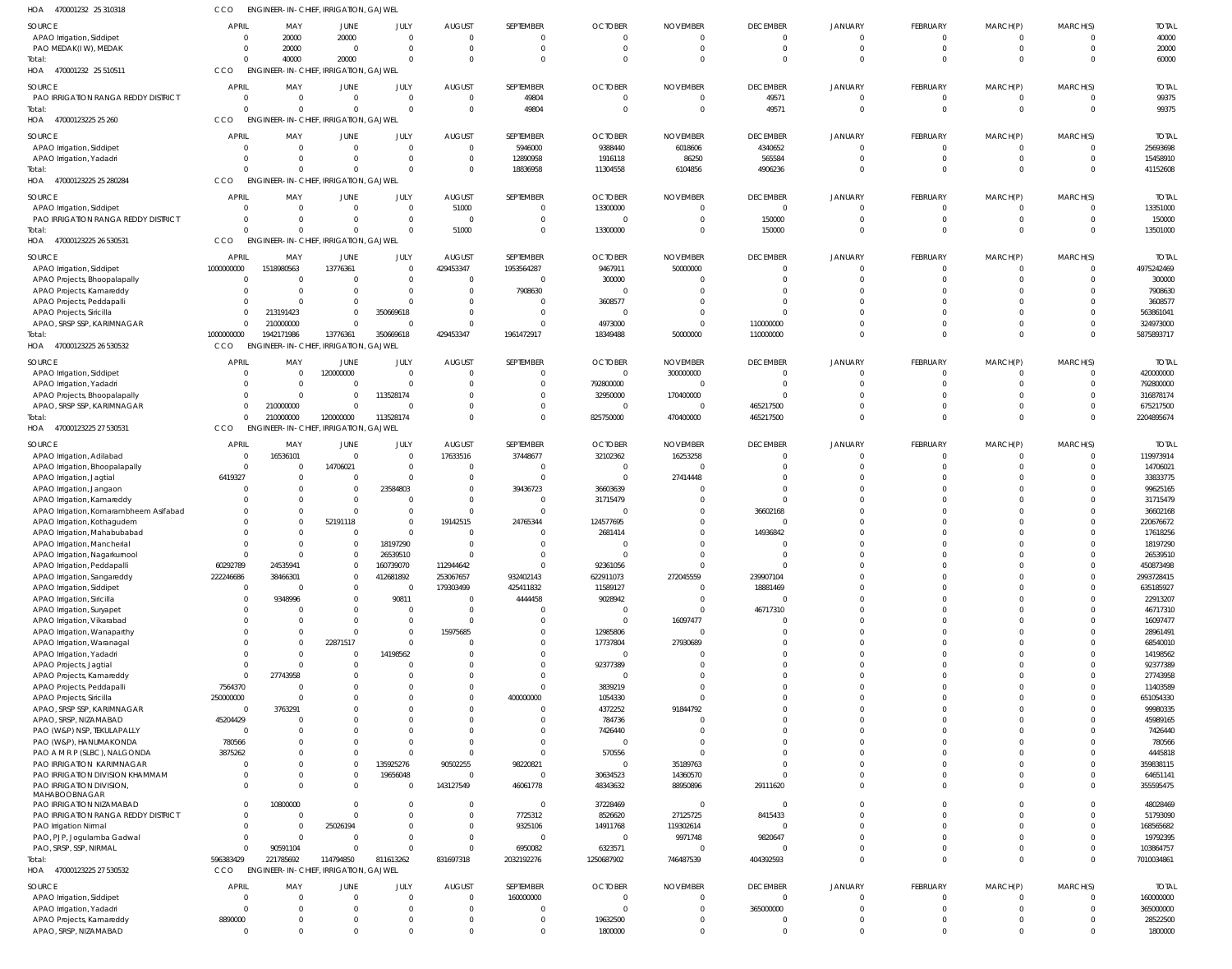| HOA<br>470001232 25 310318                                            | CCO                      | ENGINEER-IN-CHIEF, IRRIGATION, GAJWEL                 |                       |                        |                           |                            |                            |                             |                          |                      |                          |                          |                         |                           |
|-----------------------------------------------------------------------|--------------------------|-------------------------------------------------------|-----------------------|------------------------|---------------------------|----------------------------|----------------------------|-----------------------------|--------------------------|----------------------|--------------------------|--------------------------|-------------------------|---------------------------|
| SOURCE                                                                | <b>APRIL</b>             | MAY                                                   | JUNE                  | JULY                   | <b>AUGUST</b>             | SEPTEMBER                  | <b>OCTOBER</b>             | <b>NOVEMBER</b>             | <b>DECEMBER</b>          | <b>JANUARY</b>       | FEBRUARY                 | MARCH(P)                 | MARCH(S)                | <b>TOTAL</b>              |
| APAO Irrigation, Siddipet                                             | $\Omega$                 | 20000                                                 | 20000                 | $\Omega$               | - 0                       | $\overline{0}$             | $\Omega$                   | - 0                         | $\mathbf{0}$             | $\mathbf{0}$         | $\overline{0}$           | $\mathbf{0}$             | $\mathbf 0$             | 40000                     |
| PAO MEDAK(IW), MEDAK                                                  | 0                        | 20000                                                 | $\Omega$              | $\Omega$               | $\Omega$                  | $\overline{0}$             | $\Omega$                   | - 0                         | $\overline{0}$           | $\overline{0}$       | $\overline{0}$           | $\overline{0}$           | $\overline{0}$          | 20000                     |
| Total:<br>HOA 470001232 25 510511                                     | $\Omega$<br><b>CCO</b>   | 40000<br><b>ENGINEER-IN-CHIEF, IRRIGATION, GAJWEL</b> | 20000                 | $\Omega$               | $\Omega$                  | $\Omega$                   | $\Omega$                   |                             | $\Omega$                 | $\Omega$             | $\Omega$                 | $\Omega$                 | $\Omega$                | 60000                     |
|                                                                       |                          |                                                       |                       |                        |                           |                            |                            |                             |                          |                      |                          |                          |                         |                           |
| SOURCE<br>PAO IRRIGATION RANGA REDDY DISTRICT                         | <b>APRIL</b><br>$\Omega$ | MAY<br>$\Omega$                                       | JUNE<br>$\Omega$      | JULY<br>$\Omega$       | <b>AUGUST</b><br>$\Omega$ | SEPTEMBER<br>49804         | <b>OCTOBER</b>             | <b>NOVEMBER</b>             | <b>DECEMBER</b><br>49571 | JANUARY              | FEBRUARY<br>$\Omega$     | MARCH(P)<br>0            | MARCH(S)<br>$\Omega$    | <b>TOTAL</b><br>99375     |
| Total:                                                                | $\Omega$                 | $\Omega$                                              |                       | $\Omega$               | $\Omega$                  | 49804                      | $\Omega$                   | - 0                         | 49571                    | $\Omega$             | $\mathbf 0$              | $\mathbf 0$              | $\overline{0}$          | 99375                     |
| HOA 47000123225 25 260                                                | CCO                      | ENGINEER-IN-CHIEF, IRRIGATION, GAJWEL                 |                       |                        |                           |                            |                            |                             |                          |                      |                          |                          |                         |                           |
| SOURCE                                                                | <b>APRIL</b>             | MAY                                                   | JUNE                  | JULY                   | <b>AUGUST</b>             | SEPTEMBER                  | <b>OCTOBER</b>             | <b>NOVEMBER</b>             | <b>DECEMBER</b>          | <b>JANUARY</b>       | FEBRUARY                 | MARCH(P)                 | MARCH(S)                | <b>TOTAL</b>              |
| APAO Irrigation, Siddipet                                             | 0                        | $\overline{0}$                                        | $\Omega$              | $\overline{0}$         | $\Omega$                  | 5946000                    | 9388440                    | 6018606                     | 4340652                  | $\Omega$             | $\mathbf 0$              | $\mathbf{0}$             | 0                       | 25693698                  |
| APAO Irrigation, Yadadri                                              | $\Omega$                 | $\Omega$                                              | $\Omega$              | $\Omega$               | $\Omega$                  | 12890958                   | 1916118                    | 86250                       | 565584                   | $\Omega$             | $\overline{0}$           | $\mathbf 0$              | $\overline{0}$          | 15458910                  |
| Total:                                                                | $\Omega$                 | $\Omega$                                              | $\Omega$              | $\Omega$               | $\Omega$                  | 18836958                   | 11304558                   | 6104856                     | 4906236                  | $\Omega$             | $\mathbf 0$              | $\mathbf{0}$             | $\Omega$                | 41152608                  |
| HOA 47000123225 25 280284                                             | <b>CCO</b>               | <b>ENGINEER-IN-CHIEF, IRRIGATION, GAJWEL</b>          |                       |                        |                           |                            |                            |                             |                          |                      |                          |                          |                         |                           |
| SOURCE                                                                | <b>APRIL</b>             | MAY                                                   | JUNE                  | JULY                   | <b>AUGUST</b>             | SEPTEMBER                  | <b>OCTOBER</b>             | <b>NOVEMBER</b>             | <b>DECEMBER</b>          | <b>JANUARY</b>       | FEBRUARY                 | MARCH(P)                 | MARCH(S)                | <b>TOTAL</b>              |
| APAO Irrigation, Siddipet                                             | $\Omega$<br>$\Omega$     | $\Omega$<br>$\Omega$                                  | $\Omega$              | $\Omega$<br>$\Omega$   | 51000<br>$\Omega$         | $\Omega$<br>$\Omega$       | 13300000<br>- 0            |                             | $\Omega$<br>150000       |                      | $\Omega$<br>$\mathbf{0}$ | 0<br>$\mathbf{0}$        | $\Omega$<br>$\mathbf 0$ | 13351000<br>150000        |
| PAO IRRIGATION RANGA REDDY DISTRICT<br>Total:                         | $\Omega$                 |                                                       | - 0                   | $\Omega$               | 51000                     | $\Omega$                   | 13300000                   |                             | 150000                   | $\Omega$             | $\Omega$                 | $\Omega$                 | $\Omega$                | 13501000                  |
| HOA<br>47000123225 26 530531                                          | CCO                      | <b>ENGINEER-IN-CHIEF, IRRIGATION, GAJWEL</b>          |                       |                        |                           |                            |                            |                             |                          |                      |                          |                          |                         |                           |
| SOURCE                                                                | <b>APRIL</b>             | MAY                                                   | JUNE                  | JULY                   | <b>AUGUST</b>             | SEPTEMBER                  | <b>OCTOBER</b>             | <b>NOVEMBER</b>             | <b>DECEMBER</b>          | <b>JANUARY</b>       | FEBRUARY                 | MARCH(P)                 | MARCH(S)                | <b>TOTAL</b>              |
| APAO Irrigation, Siddipet                                             | 1000000000               | 1518980563                                            | 13776361              | $\Omega$               | 429453347                 | 1953564287                 | 9467911                    | 50000000                    | $\Omega$                 | $\Omega$             | $\overline{0}$           | $\mathbf{0}$             | $\overline{0}$          | 4975242469                |
| APAO Projects, Bhoopalapally                                          | $\Omega$                 | - 0                                                   | $\Omega$              | $\Omega$               | - 0                       | $\overline{\phantom{0}}$   | 300000                     |                             | <sup>0</sup>             |                      | $\mathbf{0}$             | $\mathbf 0$              | $\overline{0}$          | 300000                    |
| APAO Projects, Kamareddy                                              | $\Omega$                 | $\Omega$                                              |                       | $\Omega$               | $\Omega$                  | 7908630                    | - 0                        |                             |                          |                      | $\Omega$                 | $\Omega$                 | $\Omega$                | 7908630                   |
| APAO Projects, Peddapalli                                             | $\Omega$                 | $\Omega$                                              | $\Omega$              |                        | - 0<br>$\Omega$           | $\circ$                    | 3608577                    |                             |                          |                      | $\Omega$                 | $\Omega$                 | $\Omega$<br>$\Omega$    | 3608577                   |
| APAO Projects, Siricilla<br>APAO, SRSP SSP, KARIMNAGAR                | $\Omega$<br>$\Omega$     | 213191423<br>210000000                                | $\Omega$<br>$\Omega$  | 350669618              | $\Omega$                  | $\Omega$<br>$\Omega$       | 4973000                    |                             | 110000000                | $\Omega$             | $\Omega$<br>$\mathbf 0$  | $\Omega$<br>$\mathbf 0$  | $\overline{0}$          | 563861041<br>324973000    |
| Total:                                                                | 1000000000               | 1942171986                                            | 13776361              | 350669618              | 429453347                 | 1961472917                 | 18349488                   | 50000000                    | 110000000                | $\Omega$             | $\mathbf 0$              | $\mathbf 0$              | $\Omega$                | 5875893717                |
| HOA 47000123225 26 530532                                             | <b>CCO</b>               | ENGINEER-IN-CHIEF, IRRIGATION, GAJWEL                 |                       |                        |                           |                            |                            |                             |                          |                      |                          |                          |                         |                           |
| SOURCE                                                                | <b>APRIL</b>             | MAY                                                   | JUNE                  | JULY                   | <b>AUGUST</b>             | SEPTEMBER                  | <b>OCTOBER</b>             | <b>NOVEMBER</b>             | <b>DECEMBER</b>          | <b>JANUARY</b>       | FEBRUARY                 | MARCH(P)                 | MARCH(S)                | <b>TOTAI</b>              |
| APAO Irrigation, Siddipet                                             | $\Omega$                 | $\Omega$                                              | 120000000             | $\Omega$               |                           | $\Omega$                   | $\Omega$                   | 300000000                   | $\Omega$                 | $\Omega$             | 0                        | 0                        | $\overline{0}$          | 420000000                 |
| APAO Irrigation, Yadadri                                              | $\Omega$                 | $\Omega$                                              | $\Omega$              | $\Omega$               | $\Omega$                  | $\Omega$                   | 792800000                  |                             |                          | 0                    | $\Omega$                 | $\Omega$                 | $\Omega$                | 792800000                 |
| APAO Projects, Bhoopalapally                                          | $\Omega$                 | $\Omega$                                              | - 0                   | 113528174              |                           | $\Omega$                   | 32950000                   | 170400000                   |                          |                      | $\Omega$                 | $\Omega$                 | $\Omega$                | 316878174                 |
| APAO, SRSP SSP, KARIMNAGAR<br>Total:                                  | $\Omega$<br>$\Omega$     | 210000000<br>210000000                                | $\Omega$<br>120000000 | 113528174              |                           | $\Omega$<br>$\Omega$       | 825750000                  | 470400000                   | 465217500<br>465217500   | $\Omega$<br>$\Omega$ | $\Omega$<br>$\Omega$     | $\Omega$<br>$\Omega$     | $\Omega$<br>$\Omega$    | 675217500<br>2204895674   |
| HOA 47000123225 27 530531                                             | CCO                      | <b>ENGINEER-IN-CHIEF, IRRIGATION, GAJWEL</b>          |                       |                        |                           |                            |                            |                             |                          |                      |                          |                          |                         |                           |
|                                                                       | <b>APRIL</b>             |                                                       |                       |                        |                           |                            |                            |                             | <b>DECEMBER</b>          |                      |                          |                          |                         |                           |
| SOURCE<br>APAO Irrigation, Adilabad                                   | $\Omega$                 | MAY<br>16536101                                       | JUNE<br>$\Omega$      | JULY<br>$\Omega$       | <b>AUGUST</b><br>17633516 | SEPTEMBER<br>37448677      | <b>OCTOBER</b><br>32102362 | <b>NOVEMBER</b><br>16253258 | $\Omega$                 | <b>JANUARY</b><br>0  | FEBRUARY<br>$\mathbf{0}$ | MARCH(P)<br>$\mathbf{0}$ | MARCH(S)<br>$\Omega$    | <b>TOTAL</b><br>119973914 |
| APAO Irrigation, Bhoopalapally                                        | $\overline{0}$           | - 0                                                   | 14706021              | $\overline{0}$         | - 0                       | $\overline{0}$             | - 0                        |                             | $\Omega$                 |                      | $\mathbf{0}$             | $\mathbf 0$              | $\Omega$                | 14706021                  |
| APAO Irrigation, Jagtial                                              | 6419327                  | - 0                                                   | $\Omega$              |                        | - 0                       | $\Omega$                   | - 0                        | 27414448                    |                          |                      | $\Omega$                 | $\Omega$                 | $\Omega$                | 33833775                  |
| APAO Irrigation, Jangaon                                              | $\Omega$                 | $\Omega$                                              | $\Omega$              | 23584803               | $\Omega$                  | 39436723                   | 36603639                   |                             |                          |                      | $\Omega$                 | $\Omega$                 | $\Omega$                | 99625165                  |
| APAO Irrigation, Kamareddy                                            | $\Omega$<br>$\Omega$     | $\Omega$<br>$\Omega$                                  | $\Omega$<br>$\Omega$  | $\Omega$               | $\Omega$<br>$\Omega$      | $\overline{0}$<br>$\Omega$ | 31715479                   |                             |                          |                      | $\Omega$<br>$\Omega$     | $\Omega$<br>$\Omega$     | $\Omega$<br>$\Omega$    | 31715479                  |
| APAO Irrigation, Komarambheem Asifabad<br>APAO Irrigation, Kothagudem | $\Omega$                 | $\Omega$                                              | 52191118              | $\Omega$               | 19142515                  | 24765344                   | 124577695                  |                             | 36602168<br>0            |                      | $\Omega$                 | $\Omega$                 | $\Omega$                | 36602168<br>220676672     |
| APAO Irrigation, Mahabubabad                                          | $\Omega$                 | $\Omega$                                              |                       |                        | $\Omega$                  | $\Omega$                   | 2681414                    |                             | 14936842                 |                      | $\Omega$                 | $\Omega$                 | $\Omega$                | 17618256                  |
| APAO Irrigation, Mancherial                                           | $\Omega$                 | $\Omega$                                              | $\Omega$              | 18197290               |                           | $\Omega$                   |                            |                             | $\Omega$                 |                      | $\Omega$                 | $\Omega$                 | $\Omega$                | 18197290                  |
| APAO Irrigation, Nagarkurnool                                         | $\Omega$                 | $\Omega$                                              |                       | 26539510               |                           | $\Omega$                   |                            |                             |                          |                      |                          |                          | $\Omega$                | 26539510                  |
| APAO Irrigation, Peddapalli<br>APAO Irrigation, Sangareddy            | 60292789<br>222246686    | 24535941<br>38466301                                  | $\Omega$<br>$\Omega$  | 160739070<br>412681892 | 112944642<br>253067657    | $\Omega$<br>932402143      | 92361056<br>622911073      | 272045559                   | 239907104                |                      | $\mathbf 0$<br>$\Omega$  | $\Omega$<br>$\Omega$     | $\Omega$<br>$\Omega$    | 450873498<br>2993728415   |
| APAO Irrigation, Siddipet                                             | $\overline{0}$           | $\Omega$                                              | - 0                   | $\Omega$               | 179303499                 | 425411832                  | 11589127                   |                             | 18881469                 |                      | $\Omega$                 | $\Omega$                 | $\Omega$                | 635185927                 |
| APAO Irrigation, Siricilla                                            | $\Omega$                 | 9348996                                               |                       | 90811                  | - 0                       | 4444458                    | 9028942                    |                             | $\Omega$                 |                      | $\Omega$                 | $\Omega$                 | $\Omega$                | 22913207                  |
| APAO Irrigation, Suryapet                                             | $\Omega$                 | -0                                                    |                       | $\Omega$               | - 0                       | $\Omega$                   |                            |                             | 46717310                 |                      | $\Omega$                 | $\Omega$                 | $\Omega$                | 46717310                  |
| APAO Irrigation, Vikarabad                                            | $\Omega$                 | $\Omega$                                              |                       | $\Omega$               | $\Omega$                  | $\Omega$                   | - 0                        | 16097477                    |                          |                      | $\Omega$                 | $\Omega$                 |                         | 16097477                  |
| APAO Irrigation, Wanaparthy<br>APAO Irrigation, Waranagal             | $\Omega$<br>$\Omega$     | $\Omega$<br>$\Omega$                                  | 22871517              | $\Omega$<br>$\Omega$   | 15975685<br>$\Omega$      | $\Omega$<br>$\Omega$       | 12985806<br>17737804       | 27930689                    |                          |                      | $\Omega$<br>$\Omega$     | $\Omega$<br>$\Omega$     | $\Omega$<br>$\Omega$    | 28961491<br>68540010      |
| APAO Irrigation, Yadadri                                              | $\Omega$                 | $\Omega$                                              | $\Omega$              | 14198562               |                           | $\Omega$                   | $\Omega$                   |                             |                          |                      | $\Omega$                 | $\Omega$                 | $\Omega$                | 14198562                  |
| APAO Projects, Jagtial                                                | $\Omega$                 | $\Omega$                                              |                       |                        |                           | $\Omega$                   | 92377389                   |                             |                          |                      | $\Omega$                 | $\Omega$                 | $\Omega$                | 92377389                  |
| APAO Projects, Kamareddy                                              | $\Omega$                 | 27743958                                              |                       |                        |                           | $\Omega$                   |                            |                             |                          |                      | $\Omega$                 | $\Omega$                 | $\Omega$                | 27743958                  |
| APAO Projects, Peddapalli                                             | 7564370                  | $\Omega$                                              |                       |                        |                           | $\Omega$                   | 3839219                    |                             |                          |                      | $\Omega$                 | $\Omega$                 | $\Omega$                | 11403589                  |
| APAO Projects, Siricilla<br>APAO, SRSP SSP, KARIMNAGAR                | 250000000<br>0           | $\Omega$<br>3763291                                   |                       |                        |                           | 400000000<br>$\Omega$      | 1054330<br>4372252         | 91844792                    |                          |                      | $\Omega$<br>$\Omega$     | $\Omega$<br>$\Omega$     | $\Omega$<br>$\Omega$    | 651054330<br>99980335     |
| APAO, SRSP, NIZAMABAD                                                 | 45204429                 | $\mathcal{L}$                                         |                       |                        |                           | $\Omega$                   | 784736                     |                             |                          |                      | $\Omega$                 | $\Omega$                 | $\Omega$                | 45989165                  |
| PAO (W&P) NSP, TEKULAPALLY                                            | $\overline{\phantom{0}}$ | $\Omega$                                              |                       |                        |                           | $\Omega$                   | 7426440                    |                             |                          |                      | $\Omega$                 | $\Omega$                 |                         | 7426440                   |
| PAO (W&P), HANUMAKONDA                                                | 780566                   | $\Omega$                                              |                       |                        | $\Omega$                  | $\overline{0}$             | - 0                        |                             |                          |                      | $\Omega$                 | $\Omega$                 | $\Omega$                | 780566                    |
| PAO A M R P (SLBC), NALGONDA                                          | 3875262                  | $\Omega$                                              |                       |                        | $\Omega$                  | $\Omega$                   | 570556                     |                             |                          |                      | $\Omega$                 | $\Omega$                 | $\Omega$                | 4445818                   |
| PAO IRRIGATION KARIMNAGAR<br>PAO IRRIGATION DIVISION KHAMMAM          | $\Omega$<br>$\Omega$     | $\Omega$<br>$\Omega$                                  | $\Omega$              | 135925276<br>19656048  | 90502255<br>- 0           | 98220821<br>$\overline{0}$ | - 0<br>30634523            | 35189763<br>14360570        |                          | $\Omega$             | $\Omega$<br>$\Omega$     | $\Omega$<br>$\Omega$     | $\Omega$<br>$\Omega$    | 359838115<br>64651141     |
| PAO IRRIGATION DIVISION,                                              | $\Omega$                 | $\Omega$                                              | $\Omega$              |                        | 143127549                 | 46061778                   | 48343632                   | 88950896                    | 29111620                 | $\Omega$             | $\Omega$                 | $\Omega$                 | $\Omega$                | 355595475                 |
| MAHABOOBNAGAR                                                         |                          |                                                       |                       |                        |                           |                            |                            |                             |                          |                      |                          |                          |                         |                           |
| PAO IRRIGATION NIZAMABAD<br>PAO IRRIGATION RANGA REDDY DISTRICT       | $\Omega$<br>$\Omega$     | 10800000<br>$\Omega$                                  | $\Omega$              | $\Omega$               | - 0<br>- 0                | $\Omega$<br>7725312        | 37228469<br>8526620        | - 0<br>27125725             | $\Omega$<br>8415433      | $\Omega$             | $\Omega$<br>$\Omega$     | $\Omega$<br>$\Omega$     | $\Omega$<br>$\Omega$    | 48028469<br>51793090      |
| PAO Irrigation Nirmal                                                 | $\Omega$                 | $\overline{0}$                                        | 25026194              | $\Omega$               | $\Omega$                  | 9325106                    | 14911768                   | 119302614                   | $\Omega$                 | $\Omega$             | $\Omega$                 | $\Omega$                 | $\Omega$                | 168565682                 |
| PAO, PJP, Jogulamba Gadwal                                            | $\Omega$                 | $\Omega$                                              | $\Omega$              | $\Omega$               | - 0                       | $\overline{0}$             | - 0                        | 9971748                     | 9820647                  |                      | $\Omega$                 | $\Omega$                 | $\Omega$                | 19792395                  |
| PAO, SRSP, SSP, NIRMAL                                                | $\Omega$                 | 90591104                                              |                       |                        | $\Omega$                  | 6950082                    | 6323571                    |                             |                          | $\Omega$             | $\mathbf 0$              | $\mathbf 0$              | $\Omega$                | 103864757                 |
| Total:                                                                | 596383429                | 221785692                                             | 114794850             | 811613262              | 831697318                 | 2032192276                 | 1250687902                 | 746487539                   | 404392593                | $\Omega$             | $\Omega$                 | $\Omega$                 | $\Omega$                | 7010034861                |
| HOA 47000123225 27 530532                                             | <b>CCO</b>               | ENGINEER-IN-CHIEF, IRRIGATION, GAJWEL                 |                       |                        |                           |                            |                            |                             |                          |                      |                          |                          |                         |                           |
| SOURCE                                                                | <b>APRIL</b>             | MAY                                                   | JUNE                  | JULY                   | <b>AUGUST</b>             | SEPTEMBER                  | <b>OCTOBER</b>             | <b>NOVEMBER</b>             | <b>DECEMBER</b>          | <b>JANUARY</b>       | FEBRUARY                 | MARCH(P)                 | MARCH(S)                | <b>TOTAL</b>              |
| APAO Irrigation, Siddipet<br>APAO Irrigation, Yadadri                 | $\Omega$<br>$\Omega$     | $\Omega$<br>$\Omega$                                  |                       | <sup>0</sup>           | $\Omega$                  | 160000000<br>$\Omega$      | $\Omega$                   |                             | 0<br>365000000           |                      | $\Omega$<br>$\Omega$     | 0<br>$\Omega$            | - 0<br>$\Omega$         | 160000000<br>365000000    |
| APAO Projects, Kamareddy                                              | 8890000                  | $\Omega$                                              | $\Omega$              |                        |                           | $\Omega$                   | 19632500                   |                             |                          |                      | $\mathbf{0}$             | $\Omega$                 | $\Omega$                | 28522500                  |
| APAO, SRSP, NIZAMABAD                                                 | $\Omega$                 | $\Omega$                                              |                       | $\Omega$               |                           | $\Omega$                   | 1800000                    |                             | $\Omega$                 | $\Omega$             | $\Omega$                 | $\Omega$                 | $\Omega$                | 1800000                   |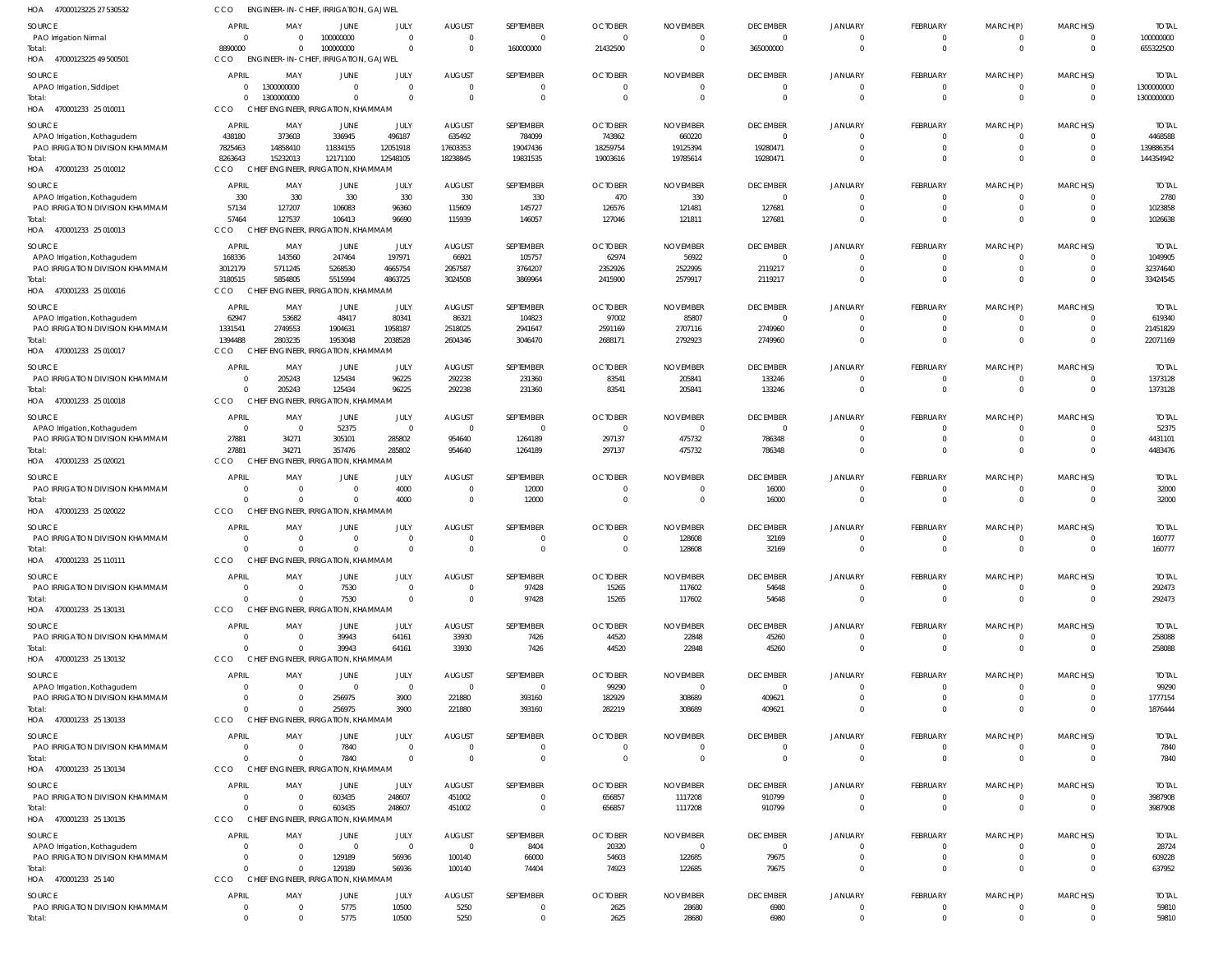| HOA 47000123225 27 530532                                      | CCO                      | ENGINEER-IN-CHIEF, IRRIGATION, GAJWEL             |                                      |                            |                                                    |                                  |                                            |                                             |                                   |                            |                                   |                            |                            |                            |
|----------------------------------------------------------------|--------------------------|---------------------------------------------------|--------------------------------------|----------------------------|----------------------------------------------------|----------------------------------|--------------------------------------------|---------------------------------------------|-----------------------------------|----------------------------|-----------------------------------|----------------------------|----------------------------|----------------------------|
| SOURCE                                                         | <b>APRIL</b>             | MAY                                               | <b>JUNE</b>                          | JULY                       | <b>AUGUST</b>                                      | SEPTEMBER                        | <b>OCTOBER</b>                             | <b>NOVEMBER</b>                             | <b>DECEMBER</b>                   | <b>JANUARY</b>             | <b>FEBRUARY</b>                   | MARCH(P)                   | MARCH(S)                   | <b>TOTAL</b>               |
| PAO Irrigation Nirmal                                          | $\Omega$                 | $\Omega$                                          | 100000000                            | $\overline{0}$             | $\overline{\mathbf{0}}$                            | $\overline{0}$                   | $\overline{0}$                             | $\overline{0}$                              | $\Omega$                          | $\Omega$                   | $\mathbf{0}$                      | $\mathbf 0$                | $\overline{0}$             | 100000000                  |
| Total:                                                         | 8890000                  | $\Omega$<br>ENGINEER-IN-CHIEF, IRRIGATION, GAJWEL | 100000000                            | $\Omega$                   | $\Omega$                                           | 160000000                        | 21432500                                   | $\overline{0}$                              | 365000000                         | $\Omega$                   | $\mathbf 0$                       | $\overline{0}$             | $\Omega$                   | 655322500                  |
| HOA 47000123225 49 500501                                      | CCO.                     |                                                   |                                      |                            |                                                    |                                  |                                            |                                             |                                   |                            |                                   |                            |                            |                            |
| SOURCE<br>APAO Irrigation, Siddipet                            | <b>APRIL</b><br>$\Omega$ | MAY<br>1300000000                                 | JUNE<br>$\overline{0}$               | JULY<br>$\Omega$           | <b>AUGUST</b><br>$\overline{0}$                    | SEPTEMBER<br>$\Omega$            | <b>OCTOBER</b><br>$\overline{0}$           | <b>NOVEMBER</b><br>$\overline{0}$           | <b>DECEMBER</b><br>$\Omega$       | <b>JANUARY</b><br>$\Omega$ | <b>FEBRUARY</b><br>$\overline{0}$ | MARCH(P)<br>$\overline{0}$ | MARCH(S)<br>$\Omega$       | <b>TOTAL</b><br>1300000000 |
| Total:                                                         | $\Omega$                 | 1300000000                                        | $\overline{0}$                       | $\Omega$                   | $\overline{\mathbf{0}}$                            | $\mathbf 0$                      | $\overline{0}$                             | $\overline{\mathbf{0}}$                     | $\Omega$                          | $\Omega$                   | $\mathbf{0}$                      | $\overline{0}$             | $\overline{0}$             | 1300000000                 |
| HOA 470001233 25 010011                                        | <b>CCO</b>               | CHIEF ENGINEER, IRRIGATION, KHAMMAM               |                                      |                            |                                                    |                                  |                                            |                                             |                                   |                            |                                   |                            |                            |                            |
| SOURCE                                                         | APRIL                    | MAY                                               | JUNE                                 | JULY                       | <b>AUGUST</b>                                      | SEPTEMBER                        | <b>OCTOBER</b>                             | <b>NOVEMBER</b>                             | <b>DECEMBER</b>                   | <b>JANUARY</b>             | <b>FEBRUARY</b>                   | MARCH(P)                   | MARCH(S)                   | <b>TOTAL</b>               |
| APAO Irrigation, Kothagudem                                    | 438180                   | 373603                                            | 336945                               | 496187                     | 635492                                             | 784099                           | 743862                                     | 660220                                      | $\Omega$                          |                            | 0                                 | 0                          | $\Omega$                   | 4468588                    |
| PAO IRRIGATION DIVISION KHAMMAM                                | 7825463                  | 14858410                                          | 11834155                             | 12051918                   | 17603353                                           | 19047436                         | 18259754                                   | 19125394                                    | 19280471                          | $\Omega$                   | $\overline{0}$                    | $\mathbf 0$                | $\Omega$                   | 139886354                  |
| Total:<br>HOA 470001233 25 010012                              | 8263643<br><b>CCO</b>    | 15232013<br>CHIEF ENGINEER, IRRIGATION, KHAMMAM   | 12171100                             | 12548105                   | 18238845                                           | 19831535                         | 19003616                                   | 19785614                                    | 19280471                          | $\Omega$                   | $\Omega$                          | $\mathbf 0$                | $\Omega$                   | 144354942                  |
|                                                                |                          |                                                   |                                      |                            |                                                    |                                  |                                            |                                             |                                   |                            |                                   |                            |                            |                            |
| SOURCE<br>APAO Irrigation, Kothagudem                          | <b>APRIL</b><br>330      | MAY<br>330                                        | JUNE<br>330                          | JULY<br>330                | <b>AUGUST</b><br>330                               | SEPTEMBER<br>330                 | <b>OCTOBER</b><br>470                      | <b>NOVEMBER</b><br>330                      | <b>DECEMBER</b><br>$\Omega$       | JANUARY<br>$\Omega$        | <b>FEBRUARY</b><br>$\mathbf{0}$   | MARCH(P)<br>$\mathbf 0$    | MARCH(S)<br>$\Omega$       | <b>TOTAL</b><br>2780       |
| PAO IRRIGATION DIVISION KHAMMAM                                | 57134                    | 127207                                            | 106083                               | 96360                      | 115609                                             | 145727                           | 126576                                     | 121481                                      | 127681                            | $\Omega$                   | $\mathbf{0}$                      | $\mathbf 0$                | $\Omega$                   | 1023858                    |
| Total:                                                         | 57464                    | 127537                                            | 106413                               | 96690                      | 115939                                             | 146057                           | 127046                                     | 121811                                      | 127681                            | $\Omega$                   | $\mathbf{0}$                      | $\mathbf 0$                | $\Omega$                   | 1026638                    |
| HOA 470001233 25 010013                                        | <b>CCO</b>               | CHIEF ENGINEER, IRRIGATION, KHAMMAM               |                                      |                            |                                                    |                                  |                                            |                                             |                                   |                            |                                   |                            |                            |                            |
| SOURCE                                                         | APRIL                    | MAY                                               | JUNE                                 | JULY                       | <b>AUGUST</b>                                      | SEPTEMBER                        | <b>OCTOBER</b>                             | <b>NOVEMBER</b>                             | <b>DECEMBER</b>                   | <b>JANUARY</b>             | FEBRUARY                          | MARCH(P)                   | MARCH(S)                   | <b>TOTAL</b>               |
| APAO Irrigation, Kothagudem                                    | 168336                   | 143560                                            | 247464                               | 197971                     | 66921                                              | 105757                           | 62974                                      | 56922                                       | $\Omega$                          |                            | $\Omega$                          | 0                          | $\Omega$                   | 1049905                    |
| PAO IRRIGATION DIVISION KHAMMAM<br>Total:                      | 3012179<br>3180515       | 5711245<br>5854805                                | 5268530<br>5515994                   | 4665754<br>4863725         | 2957587<br>3024508                                 | 3764207<br>3869964               | 2352926<br>2415900                         | 2522995<br>2579917                          | 2119217<br>2119217                | $\Omega$                   | $\mathbf{0}$<br>$\mathbf{0}$      | $\mathbf 0$<br>$\mathbf 0$ | $\Omega$<br>$\Omega$       | 32374640<br>33424545       |
| HOA 470001233 25 010016                                        | CCO                      | CHIEF ENGINEER, IRRIGATION, KHAMMAM               |                                      |                            |                                                    |                                  |                                            |                                             |                                   |                            |                                   |                            |                            |                            |
| SOURCE                                                         | APRIL                    | MAY                                               | JUNE                                 | JULY                       | <b>AUGUST</b>                                      | SEPTEMBER                        | <b>OCTOBER</b>                             | <b>NOVEMBER</b>                             | <b>DECEMBER</b>                   | <b>JANUARY</b>             | FEBRUARY                          | MARCH(P)                   | MARCH(S)                   | <b>TOTAL</b>               |
| APAO Irrigation, Kothagudem                                    | 62947                    | 53682                                             | 48417                                | 80341                      | 86321                                              | 104823                           | 97002                                      | 85807                                       | $\Omega$                          | - 0                        | 0                                 | 0                          |                            | 619340                     |
| PAO IRRIGATION DIVISION KHAMMAM                                | 1331541                  | 2749553                                           | 1904631                              | 1958187                    | 2518025                                            | 2941647                          | 2591169                                    | 2707116                                     | 2749960                           | $\Omega$                   | $\mathbf{0}$                      | $\mathbf 0$                | $\Omega$                   | 21451829                   |
| Total:                                                         | 1394488                  | 2803235                                           | 1953048                              | 2038528                    | 2604346                                            | 3046470                          | 2688171                                    | 2792923                                     | 2749960                           | $\Omega$                   | $\mathbf{0}$                      | $\mathbf 0$                | $\Omega$                   | 22071169                   |
| HOA 470001233 25 010017                                        | CCO                      | <b>CHIEF</b>                                      | <b>ENGINEER, IRRIGATION, KHAMMAM</b> |                            |                                                    |                                  |                                            |                                             |                                   |                            |                                   |                            |                            |                            |
| SOURCE                                                         | APRIL                    | MAY                                               | JUNE                                 | JULY                       | <b>AUGUST</b>                                      | SEPTEMBER                        | <b>OCTOBER</b>                             | <b>NOVEMBER</b>                             | <b>DECEMBER</b>                   | <b>JANUARY</b>             | FEBRUARY                          | MARCH(P)                   | MARCH(S)                   | <b>TOTAL</b>               |
| PAO IRRIGATION DIVISION KHAMMAM<br>Total:                      |                          | 205243<br>205243                                  | 125434<br>125434                     | 96225<br>96225             | 292238<br>292238                                   | 231360<br>231360                 | 83541<br>83541                             | 205841<br>205841                            | 133246<br>133246                  | $\Omega$<br>$\Omega$       | 0<br>$\mathbf{0}$                 | 0<br>$\mathbf 0$           | $\Omega$<br>$\Omega$       | 1373128<br>1373128         |
| HOA 470001233 25 010018                                        | <b>CCO</b>               | <b>CHIEF</b>                                      | <b>ENGINEER, IRRIGATION, KHAMMAM</b> |                            |                                                    |                                  |                                            |                                             |                                   |                            |                                   |                            |                            |                            |
| SOURCE                                                         | <b>APRIL</b>             | MAY                                               | JUNE                                 | JULY                       | <b>AUGUST</b>                                      | SEPTEMBER                        | <b>OCTOBER</b>                             | <b>NOVEMBER</b>                             | <b>DECEMBER</b>                   | <b>JANUARY</b>             | FEBRUARY                          | MARCH(P)                   | MARCH(S)                   | <b>TOTAL</b>               |
| APAO Irrigation, Kothagudem                                    | $\Omega$                 | $\overline{0}$                                    | 52375                                | $\overline{0}$             | $\overline{\mathbf{0}}$                            | $\overline{0}$                   | $\overline{\mathbf{0}}$                    | $\overline{\mathbf{0}}$                     | $\Omega$                          | $\Omega$                   | $\mathbf{0}$                      | 0                          |                            | 52375                      |
| PAO IRRIGATION DIVISION KHAMMAM                                | 27881                    | 34271                                             | 305101                               | 285802                     | 954640                                             | 1264189                          | 297137                                     | 475732                                      | 786348                            | $\Omega$                   | $\mathbf{0}$                      | $\mathbf 0$                | $\Omega$                   | 4431101                    |
| Total:                                                         | 27881                    | 34271                                             | 357476                               | 285802                     | 954640                                             | 1264189                          | 297137                                     | 475732                                      | 786348                            | $\Omega$                   | $\Omega$                          | $\mathbf 0$                | $\Omega$                   | 4483476                    |
| HOA 470001233 25 020021                                        | <b>CCO</b>               | <b>CHIEF</b>                                      | <b>ENGINEER, IRRIGATION, KHAMMAM</b> |                            |                                                    |                                  |                                            |                                             |                                   |                            |                                   |                            |                            |                            |
| SOURCE                                                         | APRIL                    | MAY                                               | JUNE                                 | JULY                       | <b>AUGUST</b>                                      | SEPTEMBER                        | <b>OCTOBER</b>                             | <b>NOVEMBER</b>                             | <b>DECEMBER</b>                   | <b>JANUARY</b>             | FEBRUARY                          | MARCH(P)                   | MARCH(S)                   | <b>TOTAL</b>               |
| PAO IRRIGATION DIVISION KHAMMAM<br>Total:                      |                          | $\overline{0}$<br>$\Omega$                        | $\overline{0}$<br>$\Omega$           | 4000<br>4000               | $\overline{0}$<br>$\overline{\mathbf{0}}$          | 12000<br>12000                   | $\overline{0}$<br>$\overline{0}$           | - 0<br>$\overline{0}$                       | 16000<br>16000                    | $\Omega$                   | 0<br>$\mathbf 0$                  | 0<br>$\overline{0}$        | $\Omega$<br>$\Omega$       | 32000<br>32000             |
| HOA 470001233 25 020022                                        | CCO                      | CHIEF ENGINEER, IRRIGATION, KHAMMAM               |                                      |                            |                                                    |                                  |                                            |                                             |                                   |                            |                                   |                            |                            |                            |
| SOURCE                                                         | <b>APRIL</b>             | MAY                                               | JUNE                                 | JULY                       | <b>AUGUST</b>                                      | SEPTEMBER                        | <b>OCTOBER</b>                             | <b>NOVEMBER</b>                             | <b>DECEMBER</b>                   | <b>JANUARY</b>             | FEBRUARY                          | MARCH(P)                   | MARCH(S)                   | <b>TOTAL</b>               |
| PAO IRRIGATION DIVISION KHAMMAM                                | $\Omega$                 | $\overline{0}$                                    | $\overline{0}$                       | $\overline{0}$             | $\overline{0}$                                     | $\Omega$                         | $\overline{0}$                             | 128608                                      | 32169                             | $\Omega$                   | $\mathbf{0}$                      | $\mathbf 0$                | $\Omega$                   | 160777                     |
| Total:                                                         |                          | $\Omega$                                          | $\cap$                               | $\cap$                     | $\bigcap$                                          |                                  |                                            | 128608                                      | 32169                             |                            | $\Omega$                          | $\Omega$                   |                            | 160777                     |
| HOA 470001233 25 110111                                        | CCO                      | CHIEF ENGINEER, IRRIGATION, KHAMMAM               |                                      |                            |                                                    |                                  |                                            |                                             |                                   |                            |                                   |                            |                            |                            |
| <b>SOURCE</b>                                                  | APRIL                    | MAY                                               | <b>JUNE</b>                          | JULY                       | <b>AUGUST</b>                                      | SEPTEMBER                        | <b>OCTOBER</b>                             | <b>NOVEMBER</b>                             | <b>DECEMBER</b>                   | <b>JANUARY</b>             | FEBRUARY                          | MARCH(P)                   | MARCH(S)                   | <b>TOTAL</b>               |
| PAO IRRIGATION DIVISION KHAMMAM                                |                          | $\Omega$<br>$\Omega$                              | 7530<br>7530                         | $\overline{0}$<br>$\Omega$ | $\overline{\mathbf{0}}$<br>$\overline{0}$          | 97428                            | 15265                                      | 117602                                      | 54648                             | $\Omega$<br>$\Omega$       | $\mathbf{0}$<br>$\mathbf 0$       | 0<br>$\overline{0}$        | $\Omega$<br>$\Omega$       | 292473                     |
| Total:<br>HOA 470001233 25 130131                              | CCO                      | CHIEF ENGINEER, IRRIGATION, KHAMMAM               |                                      |                            |                                                    | 97428                            | 15265                                      | 117602                                      | 54648                             |                            |                                   |                            |                            | 292473                     |
|                                                                |                          |                                                   |                                      |                            |                                                    |                                  |                                            |                                             |                                   |                            |                                   |                            |                            |                            |
| SOURCE<br>PAO IRRIGATION DIVISION KHAMMAM                      | <b>APRIL</b><br>$\Omega$ | MAY<br>$\overline{0}$                             | JUNE<br>39943                        | JULY<br>64161              | <b>AUGUST</b><br>33930                             | SEPTEMBER<br>7426                | <b>OCTOBER</b><br>44520                    | <b>NOVEMBER</b><br>22848                    | <b>DECEMBER</b><br>45260          | <b>JANUARY</b><br>$\Omega$ | FEBRUARY<br>$\overline{0}$        | MARCH(P)<br>$\overline{0}$ | MARCH(S)<br>$\Omega$       | <b>TOTAL</b><br>258088     |
| Total:                                                         | $\Omega$                 | $\Omega$                                          | 39943                                | 64161                      | 33930                                              | 7426                             | 44520                                      | 22848                                       | 45260                             | $\Omega$                   | $\mathbf{0}$                      | $\overline{0}$             | $\Omega$                   | 258088                     |
| HOA 470001233 25 130132                                        | <b>CCO</b>               | CHIEF ENGINEER, IRRIGATION, KHAMMAM               |                                      |                            |                                                    |                                  |                                            |                                             |                                   |                            |                                   |                            |                            |                            |
| SOURCE                                                         | APRIL                    |                                                   |                                      |                            | <b>AUGUST</b>                                      |                                  |                                            |                                             |                                   |                            | <b>FEBRUARY</b>                   | MARCH(P)                   |                            | <b>TOTAL</b>               |
|                                                                |                          | MAY                                               | JUNE                                 | JULY                       |                                                    | SEPTEMBER                        | <b>OCTOBER</b>                             | <b>NOVEMBER</b>                             | <b>DECEMBER</b>                   | <b>JANUARY</b>             |                                   |                            | MARCH(S)                   |                            |
| APAO Irrigation, Kothagudem                                    |                          | $\Omega$                                          | $\overline{\mathbf{0}}$              | $\overline{0}$             | $\overline{\mathbf{0}}$                            | $\Omega$                         | 99290                                      | - 0                                         | $\Omega$                          | $\Omega$                   | 0                                 | -0                         |                            | 99290                      |
| PAO IRRIGATION DIVISION KHAMMAM                                |                          | $\Omega$                                          | 256975                               | 3900                       | 221880                                             | 393160                           | 182929                                     | 308689                                      | 409621                            | $\Omega$                   | $\Omega$                          | $\mathbf 0$                | $\Omega$                   | 1777154                    |
| Total:                                                         |                          | $\Omega$                                          | 256975                               | 3900                       | 221880                                             | 393160                           | 282219                                     | 308689                                      | 409621                            | $\Omega$                   | $\Omega$                          | $\Omega$                   | $\Omega$                   | 1876444                    |
| HOA 470001233 25 130133                                        | <b>CCO</b>               | CHIEF ENGINEER, IRRIGATION, KHAMMAN               |                                      |                            |                                                    |                                  |                                            |                                             |                                   |                            |                                   |                            |                            |                            |
| SOURCE                                                         | APRIL<br>$\Omega$        | MAY<br>$\Omega$                                   | JUNE                                 | JULY<br>$\overline{0}$     | <b>AUGUST</b>                                      | <b>SEPTEMBER</b><br>$\mathbf{0}$ | <b>OCTOBER</b><br>$\overline{\phantom{0}}$ | <b>NOVEMBER</b><br>$\overline{\phantom{0}}$ | <b>DECEMBER</b><br>$\overline{0}$ | <b>JANUARY</b><br>$\Omega$ | <b>FEBRUARY</b><br>$\mathbf 0$    | MARCH(P)<br>$\mathbf 0$    | MARCH(S)<br>$\Omega$       | <b>TOTAL</b>               |
| PAO IRRIGATION DIVISION KHAMMAM<br>Total:                      | $\Omega$                 | $\Omega$                                          | 7840<br>7840                         | $\Omega$                   | $\overline{\mathbf{0}}$<br>$\overline{\mathbf{0}}$ | $\mathbf 0$                      | $\overline{0}$                             | $\overline{0}$                              | $\Omega$                          | $\Omega$                   | $\overline{0}$                    | $\overline{0}$             | $\Omega$                   | 7840<br>7840               |
| HOA 470001233 25 130134                                        | <b>CCO</b>               | CHIEF ENGINEER, IRRIGATION, KHAMMAM               |                                      |                            |                                                    |                                  |                                            |                                             |                                   |                            |                                   |                            |                            |                            |
| SOURCE                                                         | APRIL                    | MAY                                               | JUNE                                 | JULY                       | <b>AUGUST</b>                                      | SEPTEMBER                        | <b>OCTOBER</b>                             | <b>NOVEMBER</b>                             | <b>DECEMBER</b>                   | <b>JANUARY</b>             | <b>FEBRUARY</b>                   | MARCH(P)                   | MARCH(S)                   | <b>TOTAL</b>               |
| PAO IRRIGATION DIVISION KHAMMAM                                | $\Omega$                 | $\Omega$                                          | 603435                               | 248607                     | 451002                                             | $\Omega$                         | 656857                                     | 1117208                                     | 910799                            | $\Omega$                   | $\mathbf{0}$                      | 0                          | $\Omega$                   | 3987908                    |
| Total:                                                         | $\Omega$                 | $\overline{0}$                                    | 603435                               | 248607                     | 451002                                             | $\overline{0}$                   | 656857                                     | 1117208                                     | 910799                            | $\Omega$                   | $\mathbf{0}$                      | $\overline{0}$             | $\Omega$                   | 3987908                    |
| HOA 470001233 25 130135                                        | <b>CCO</b>               | CHIEF ENGINEER, IRRIGATION, KHAMMAM               |                                      |                            |                                                    |                                  |                                            |                                             |                                   |                            |                                   |                            |                            |                            |
| SOURCE                                                         | <b>APRIL</b>             | MAY                                               | JUNE                                 | JULY                       | <b>AUGUST</b>                                      | SEPTEMBER                        | <b>OCTOBER</b>                             | <b>NOVEMBER</b>                             | <b>DECEMBER</b>                   | <b>JANUARY</b>             | FEBRUARY                          | MARCH(P)                   | MARCH(S)                   | <b>TOTAL</b>               |
| APAO Irrigation, Kothagudem<br>PAO IRRIGATION DIVISION KHAMMAM | $\Omega$                 | $\overline{0}$<br>$\Omega$                        | $\overline{\mathbf{0}}$              | $\overline{0}$             | $\overline{\mathbf{0}}$                            | 8404                             | 20320                                      | $\overline{\mathbf{0}}$                     | $\Omega$                          | $\Omega$<br>$\Omega$       | $\mathbf{0}$<br>$\mathbf{0}$      | 0<br>$\mathbf 0$           | $\Omega$                   | 28724                      |
| Total:                                                         | $\cap$                   | $\Omega$                                          | 129189<br>129189                     | 56936<br>56936             | 100140<br>100140                                   | 66000<br>74404                   | 54603<br>74923                             | 122685<br>122685                            | 79675<br>79675                    | $\Omega$                   | $\Omega$                          | $\mathbf 0$                | $\Omega$                   | 609228<br>637952           |
| HOA 470001233 25 140                                           | <b>CCO</b>               | CHIEF ENGINEER, IRRIGATION, KHAMMAM               |                                      |                            |                                                    |                                  |                                            |                                             |                                   |                            |                                   |                            |                            |                            |
| SOURCE                                                         | <b>APRIL</b>             | MAY                                               | JUNE                                 | JULY                       | <b>AUGUST</b>                                      | SEPTEMBER                        | <b>OCTOBER</b>                             | <b>NOVEMBER</b>                             | <b>DECEMBER</b>                   | <b>JANUARY</b>             | <b>FEBRUARY</b>                   | MARCH(P)                   | MARCH(S)                   | <b>TOTAL</b>               |
| PAO IRRIGATION DIVISION KHAMMAM<br>Total:                      | $\Omega$                 | $\overline{\mathbf{0}}$<br>$\overline{0}$         | 5775<br>5775                         | 10500<br>10500             | 5250<br>5250                                       | $\mathbf{0}$<br>$\mathbf 0$      | 2625<br>2625                               | 28680<br>28680                              | 6980<br>6980                      | $\Omega$<br>$\overline{0}$ | $\mathbf{0}$<br>$\mathbf 0$       | 0<br>$\mathbf 0$           | $\Omega$<br>$\overline{0}$ | 59810<br>59810             |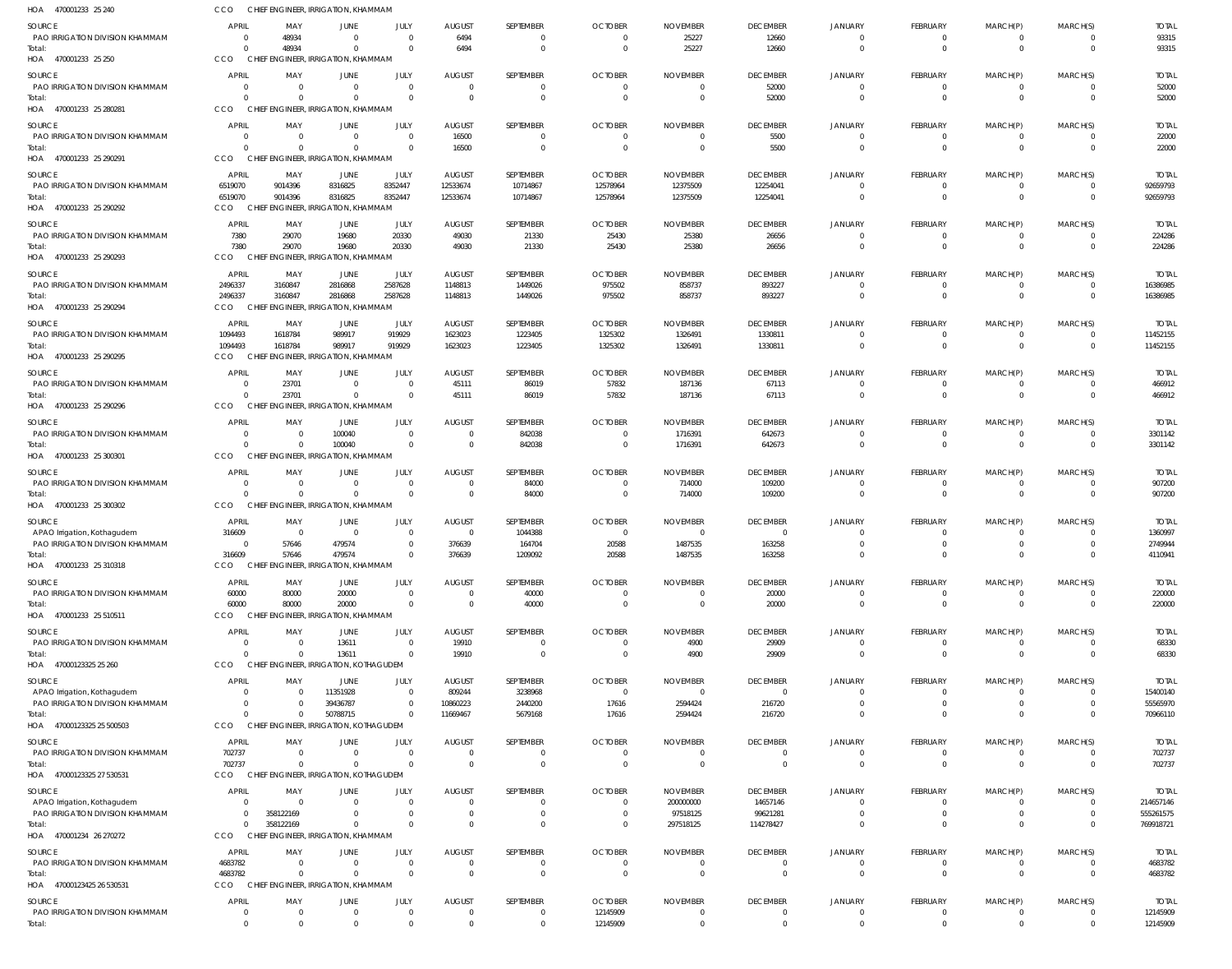| HOA<br>470001233 25 240                                        | CCO                      |                                  | CHIEF ENGINEER, IRRIGATION, KHAMMAM             |                      |                                 |                      |                                  |                              |                             |                            |                             |                  |                      |                           |
|----------------------------------------------------------------|--------------------------|----------------------------------|-------------------------------------------------|----------------------|---------------------------------|----------------------|----------------------------------|------------------------------|-----------------------------|----------------------------|-----------------------------|------------------|----------------------|---------------------------|
| SOURCE                                                         | <b>APRIL</b>             | MAY                              | JUNE                                            | JULY                 | <b>AUGUST</b>                   | SEPTEMBER            | <b>OCTOBER</b>                   | <b>NOVEMBER</b>              | <b>DECEMBER</b>             | JANUARY                    | <b>FEBRUARY</b>             | MARCH(P)         | MARCH(S)             | <b>TOTAL</b>              |
| PAO IRRIGATION DIVISION KHAMMAM                                | $\Omega$                 | 48934                            |                                                 |                      | 6494                            | 0                    | $\overline{0}$                   | 25227                        | 12660                       | $\Omega$                   | $\mathbf{0}$                | $\mathbf 0$      | $\Omega$             | 93315                     |
| Total:<br>HOA 470001233 25 250                                 | $\Omega$<br>CCO          | 48934                            | CHIEF ENGINEER, IRRIGATION, KHAMMAM             | $\Omega$             | 6494                            | $\mathbf{0}$         | $\overline{0}$                   | 25227                        | 12660                       | $\Omega$                   | $\mathbf{0}$                | $\mathbf 0$      | $\Omega$             | 93315                     |
| SOURCE                                                         | <b>APRIL</b>             | MAY                              | JUNE                                            | JULY                 | <b>AUGUST</b>                   | SEPTEMBER            | <b>OCTOBER</b>                   | <b>NOVEMBER</b>              | <b>DECEMBER</b>             | <b>JANUARY</b>             | <b>FEBRUARY</b>             | MARCH(P)         | MARCH(S)             | <b>TOTAL</b>              |
| PAO IRRIGATION DIVISION KHAMMAM                                | $^{\circ}$               | $\Omega$                         | $\Omega$                                        | $\Omega$             | $\overline{0}$                  | 0                    | $\overline{0}$                   | $\Omega$                     | 52000                       | $\Omega$                   | 0                           | 0                | $\Omega$             | 52000                     |
| Total:                                                         | $\Omega$                 | $\Omega$                         | $\Omega$                                        | $\Omega$             | $\Omega$                        | $\mathbf{0}$         | $\overline{0}$                   | $\overline{0}$               | 52000                       | $\Omega$                   | $\mathbf{0}$                | $\mathbf 0$      | $\Omega$             | 52000                     |
| HOA 470001233 25 280281                                        | CCO                      |                                  | CHIEF ENGINEER, IRRIGATION, KHAMMAM             |                      |                                 |                      |                                  |                              |                             |                            |                             |                  |                      |                           |
| SOURCE                                                         | APRIL                    | MAY                              | JUNE                                            | JULY                 | <b>AUGUST</b>                   | SEPTEMBER            | <b>OCTOBER</b>                   | <b>NOVEMBER</b>              | <b>DECEMBER</b>             | <b>JANUARY</b>             | <b>FEBRUARY</b>             | MARCH(P)         | MARCH(S)             | <b>TOTAL</b>              |
| PAO IRRIGATION DIVISION KHAMMAM<br>Total:                      | $\Omega$<br>$\Omega$     | $\overline{0}$<br>$\Omega$       |                                                 | $\Omega$<br>$\Omega$ | 16500<br>16500                  | 0<br>$\mathbf{0}$    | $\overline{0}$<br>$\overline{0}$ | 0<br>$\overline{0}$          | 5500<br>5500                | $\Omega$<br>$\Omega$       | 0<br>$\mathbf 0$            | 0<br>$\mathbf 0$ | $\Omega$             | 22000<br>22000            |
| HOA 470001233 25 290291                                        | CCO                      |                                  | CHIEF ENGINEER, IRRIGATION, KHAMMAM             |                      |                                 |                      |                                  |                              |                             |                            |                             |                  |                      |                           |
| SOURCE                                                         | <b>APRIL</b>             | MAY                              | JUNE                                            | JULY                 | <b>AUGUST</b>                   | SEPTEMBER            | <b>OCTOBER</b>                   | <b>NOVEMBER</b>              | <b>DECEMBER</b>             | <b>JANUARY</b>             | <b>FEBRUARY</b>             | MARCH(P)         | MARCH(S)             | <b>TOTAL</b>              |
| PAO IRRIGATION DIVISION KHAMMAM                                | 6519070                  | 9014396                          | 8316825                                         | 8352447              | 12533674                        | 10714867             | 12578964                         | 12375509                     | 12254041                    | $\Omega$                   | $\mathbf{0}$                | $\mathbf 0$      |                      | 92659793                  |
| Total                                                          | 6519070                  | 9014396                          | 8316825                                         | 8352447              | 12533674                        | 10714867             | 12578964                         | 12375509                     | 12254041                    | $\Omega$                   | $\mathbf 0$                 | $\mathbf 0$      | $\Omega$             | 92659793                  |
| HOA 470001233 25 290292                                        | CCO                      |                                  | CHIEF ENGINEER, IRRIGATION, KHAMMAM             |                      |                                 |                      |                                  |                              |                             |                            |                             |                  |                      |                           |
| SOURCE                                                         | <b>APRIL</b>             | MAY                              | JUNE                                            | JULY                 | <b>AUGUST</b>                   | SEPTEMBER            | <b>OCTOBER</b>                   | <b>NOVEMBER</b>              | <b>DECEMBER</b>             | <b>JANUARY</b>             | <b>FEBRUARY</b>             | MARCH(P)         | MARCH(S)             | <b>TOTAL</b>              |
| PAO IRRIGATION DIVISION KHAMMAM<br>Total:                      | 7380<br>7380             | 29070<br>29070                   | 19680<br>19680                                  | 20330<br>20330       | 49030<br>49030                  | 21330<br>21330       | 25430<br>25430                   | 25380<br>25380               | 26656<br>26656              | $\Omega$<br>$\Omega$       | $\mathbf{0}$<br>$\mathbf 0$ | 0<br>$\mathbf 0$ | $\Omega$<br>$\Omega$ | 224286<br>224286          |
| HOA 470001233 25 290293                                        | CCO                      |                                  | CHIEF ENGINEER, IRRIGATION, KHAMMAM             |                      |                                 |                      |                                  |                              |                             |                            |                             |                  |                      |                           |
| <b>SOURCE</b>                                                  | <b>APRIL</b>             | MAY                              | JUNE                                            | JULY                 | <b>AUGUST</b>                   | SEPTEMBER            | <b>OCTOBER</b>                   | <b>NOVEMBER</b>              | <b>DECEMBER</b>             | <b>JANUARY</b>             | <b>FEBRUARY</b>             | MARCH(P)         | MARCH(S)             | <b>TOTAL</b>              |
| PAO IRRIGATION DIVISION KHAMMAM                                | 2496337                  | 3160847                          | 2816868                                         | 2587628              | 1148813                         | 1449026              | 975502                           | 858737                       | 893227                      | - 0                        | 0                           | 0                | $\Omega$             | 16386985                  |
| Total:<br>HOA 470001233 25 290294                              | 2496337                  | 3160847                          | 2816868                                         | 2587628              | 1148813                         | 1449026              | 975502                           | 858737                       | 893227                      | $\Omega$                   | $\mathbf{0}$                | $\mathbf 0$      | $\Omega$             | 16386985                  |
|                                                                | <b>CCO</b>               |                                  | CHIEF ENGINEER, IRRIGATION, KHAMMAM             |                      |                                 |                      |                                  |                              |                             |                            |                             |                  |                      |                           |
| SOURCE<br>PAO IRRIGATION DIVISION KHAMMAM                      | <b>APRIL</b><br>1094493  | MAY<br>1618784                   | JUNE<br>989917                                  | JULY<br>919929       | <b>AUGUST</b><br>1623023        | SEPTEMBER<br>1223405 | <b>OCTOBER</b><br>1325302        | <b>NOVEMBER</b><br>1326491   | <b>DECEMBER</b><br>1330811  | <b>JANUARY</b><br>$\Omega$ | FEBRUARY<br>0               | MARCH(P)<br>0    | MARCH(S)             | <b>TOTAL</b><br>11452155  |
| Total:                                                         | 1094493                  | 1618784                          | 989917                                          | 919929               | 1623023                         | 1223405              | 1325302                          | 1326491                      | 1330811                     | $\Omega$                   | $\mathbf 0$                 | $\mathbf 0$      | $\Omega$             | 11452155                  |
| HOA 470001233 25 290295                                        | CCO                      |                                  | CHIEF ENGINEER, IRRIGATION, KHAMMAM             |                      |                                 |                      |                                  |                              |                             |                            |                             |                  |                      |                           |
| SOURCE                                                         | <b>APRIL</b>             | MAY                              | JUNE                                            | JULY                 | <b>AUGUST</b>                   | SEPTEMBER            | <b>OCTOBER</b>                   | <b>NOVEMBER</b>              | <b>DECEMBER</b>             | <b>JANUARY</b>             | <b>FEBRUARY</b>             | MARCH(P)         | MARCH(S)             | <b>TOTAL</b>              |
| PAO IRRIGATION DIVISION KHAMMAM                                |                          | 23701                            | $\Omega$                                        | $\Omega$             | 45111                           | 86019                | 57832                            | 187136                       | 67113                       | $\Omega$                   | 0                           | 0                |                      | 466912                    |
| Total:<br>HOA 470001233 25 290296                              | CCO                      | 23701                            | $\Omega$<br>CHIEF ENGINEER, IRRIGATION, KHAMMAM | $\Omega$             | 45111                           | 86019                | 57832                            | 187136                       | 67113                       | $\Omega$                   | $\mathbf 0$                 | $\mathbf 0$      | $\Omega$             | 466912                    |
| <b>SOURCE</b>                                                  | <b>APRIL</b>             | MAY                              | JUNE                                            | JULY                 | <b>AUGUST</b>                   | SEPTEMBER            | <b>OCTOBER</b>                   | <b>NOVEMBER</b>              | <b>DECEMBER</b>             | <b>JANUARY</b>             | <b>FEBRUARY</b>             | MARCH(P)         | MARCH(S)             | <b>TOTAL</b>              |
| PAO IRRIGATION DIVISION KHAMMAM                                | $\Omega$                 | $\overline{0}$                   | 100040                                          | $\Omega$             | $\overline{0}$                  | 842038               | $\overline{0}$                   | 1716391                      | 642673                      | $\Omega$                   | $\mathbf{0}$                | 0                | $\Omega$             | 3301142                   |
| Total:                                                         | $\Omega$                 | $\Omega$                         | 100040                                          | $\Omega$             | $\overline{0}$                  | 842038               | $\overline{0}$                   | 1716391                      | 642673                      | $\Omega$                   | $\mathbf 0$                 | $\mathbf 0$      | $\Omega$             | 3301142                   |
| HOA 470001233 25 300301                                        | CCO                      |                                  | CHIEF ENGINEER, IRRIGATION, KHAMMAM             |                      |                                 |                      |                                  |                              |                             |                            |                             |                  |                      |                           |
| SOURCE                                                         | <b>APRIL</b>             | MAY                              | JUNE                                            | JULY                 | <b>AUGUST</b>                   | SEPTEMBER            | <b>OCTOBER</b>                   | <b>NOVEMBER</b>              | <b>DECEMBER</b>             | <b>JANUARY</b>             | FEBRUARY                    | MARCH(P)         | MARCH(S)             | <b>TOTAL</b>              |
| PAO IRRIGATION DIVISION KHAMMAM<br>Total:                      | $\mathbf{0}$<br>$\Omega$ | $\overline{0}$<br>$\Omega$       | $\Omega$<br>$\Omega$                            | $\Omega$<br>$\Omega$ | - 0<br>$\overline{0}$           | 84000<br>84000       | $\overline{0}$<br>$\overline{0}$ | 714000<br>714000             | 109200<br>109200            | - 0<br>$\Omega$            | 0<br>$\mathbf 0$            | $\mathbf 0$      | $\Omega$             | 907200<br>907200          |
| HOA 470001233 25 300302                                        | CCO                      |                                  | CHIEF ENGINEER, IRRIGATION, KHAMMAM             |                      |                                 |                      |                                  |                              |                             |                            |                             |                  |                      |                           |
| SOURCE                                                         | <b>APRIL</b>             | MAY                              | JUNE                                            | JULY                 | <b>AUGUST</b>                   | SEPTEMBER            | <b>OCTOBER</b>                   | <b>NOVEMBER</b>              | <b>DECEMBER</b>             | <b>JANUARY</b>             | FEBRUARY                    | MARCH(P)         | MARCH(S)             | <b>TOTAL</b>              |
| APAO Irrigation, Kothagudem                                    | 316609                   | $\overline{\mathbf{0}}$          |                                                 | $\Omega$             | - 0                             | 1044388              | 0                                | 0                            | $\Omega$                    | - 0                        | 0                           |                  |                      | 1360997                   |
| PAO IRRIGATION DIVISION KHAMMAM                                | $\overline{0}$<br>316609 | 57646<br>57646                   | 479574<br>479574                                | $\Omega$<br>$\Omega$ | 376639<br>376639                | 164704<br>1209092    | 20588<br>20588                   | 1487535<br>1487535           | 163258<br>163258            | $\Omega$                   | $\Omega$                    | $\Omega$         | $\Omega$             | 2749944                   |
| Total:<br>HOA<br>470001233 25 310318                           | CCO                      |                                  | CHIEF ENGINEER, IRRIGATION, KHAMMAM             |                      |                                 |                      |                                  |                              |                             |                            |                             |                  |                      | 4110941                   |
| SOURCE                                                         | <b>APRIL</b>             | MAY                              | JUNE                                            | JULY                 | <b>AUGUST</b>                   | SEPTEMBER            | <b>OCTOBER</b>                   | <b>NOVEMBER</b>              | <b>DECEMBER</b>             | <b>JANUARY</b>             | FEBRUARY                    | MARCH(P)         | MARCH(S)             | <b>TOTAL</b>              |
| PAO IRRIGATION DIVISION KHAMMAM                                | 60000                    | 80000                            | 20000                                           | $\Omega$             | $\overline{0}$                  | 40000                | $\overline{0}$                   | $\overline{0}$               | 20000                       | $\Omega$                   | 0                           |                  |                      | 220000                    |
| Total:                                                         | 60000                    | 80000                            | 20000                                           | $\Omega$             | $\overline{0}$                  | 40000                | $\overline{0}$                   | $\overline{0}$               | 20000                       | $\Omega$                   | $\mathbf{0}$                | $\mathbf 0$      | $\Omega$             | 220000                    |
| HOA 470001233 25 510511                                        | <b>CCO</b>               |                                  | CHIEF ENGINEER, IRRIGATION, KHAMMAM             |                      |                                 |                      |                                  |                              |                             |                            |                             |                  |                      |                           |
| SOURCE                                                         | <b>APRIL</b>             | MAY                              | JUNE                                            | JULY                 | <b>AUGUST</b>                   | SEPTEMBER            | <b>OCTOBER</b>                   | <b>NOVEMBER</b>              | <b>DECEMBER</b>             | JANUARY                    | FEBRUARY                    | MARCH(P)         | MARCH(S)             | <b>TOTAL</b>              |
| PAO IRRIGATION DIVISION KHAMMAM<br>Total:                      | $\Omega$<br>$\Omega$     | $\overline{0}$<br>$\overline{0}$ | 13611<br>13611                                  | $\Omega$<br>$\Omega$ | 19910<br>19910                  | $\mathbf{0}$         | 0<br>$\overline{0}$              | 4900<br>4900                 | 29909<br>29909              | $\Omega$                   | 0<br>$\mathbf 0$            | 0<br>$\mathbf 0$ | $\Omega$             | 68330<br>68330            |
| HOA 47000123325 25 260                                         | CCO                      |                                  | CHIEF ENGINEER, IRRIGATION, KOTHAGUDEM          |                      |                                 |                      |                                  |                              |                             |                            |                             |                  |                      |                           |
| SOURCE                                                         | <b>APRIL</b>             | MAY                              | JUNE                                            | JULY                 | <b>AUGUST</b>                   | SEPTEMBER            | <b>OCTOBER</b>                   | <b>NOVEMBER</b>              | <b>DECEMBER</b>             | <b>JANUARY</b>             | FEBRUARY                    | MARCH(P)         | MARCH(S)             | <b>TOTAL</b>              |
| APAO Irrigation, Kothagudem                                    | 0                        | $\overline{0}$                   | 11351928                                        | $\Omega$             | 809244                          | 3238968              | $\overline{0}$                   | $\Omega$                     | $\Omega$                    |                            | 0                           |                  |                      | 15400140                  |
| PAO IRRIGATION DIVISION KHAMMAM<br>Total:                      | $\Omega$                 | $\Omega$<br>$\Omega$             | 39436787<br>50788715                            | $\Omega$             | 10860223<br>11669467            | 2440200<br>5679168   | 17616<br>17616                   | 2594424<br>2594424           | 216720<br>216720            | $\Omega$                   | 0<br>$\Omega$               | 0<br>$\Omega$    | $\Omega$<br>$\Omega$ | 55565970<br>70966110      |
| HOA 47000123325 25 500503                                      | CCO                      |                                  | CHIEF ENGINEER, IRRIGATION, KOTHAGUDEM          |                      |                                 |                      |                                  |                              |                             |                            |                             |                  |                      |                           |
| SOURCE                                                         | <b>APRIL</b>             | MAY                              | JUNE                                            | JULY                 | <b>AUGUST</b>                   | SEPTEMBER            | <b>OCTOBER</b>                   | <b>NOVEMBER</b>              | <b>DECEMBER</b>             | <b>JANUARY</b>             | FEBRUARY                    | MARCH(P)         | MARCH(S)             | <b>TOTAL</b>              |
| PAO IRRIGATION DIVISION KHAMMAM                                | 702737                   | $\overline{\mathbf{0}}$          | - 0                                             | $\Omega$             | $\overline{0}$                  |                      | $\overline{0}$                   | 0                            | $\Omega$                    | - 0                        | $\overline{0}$              |                  |                      | 702737                    |
| Total:                                                         | 702737                   | $\overline{0}$                   | - 0                                             | $\Omega$             | $\overline{0}$                  | $\mathbf 0$          | $\overline{0}$                   | $\overline{0}$               | $\overline{0}$              | $\Omega$                   | $\mathbf{0}$                | $\mathbf 0$      | $\Omega$             | 702737                    |
| HOA 47000123325 27 530531                                      | CCO                      |                                  | CHIEF ENGINEER, IRRIGATION, KOTHAGUDEM          |                      |                                 |                      |                                  |                              |                             |                            |                             |                  |                      |                           |
| SOURCE                                                         | <b>APRIL</b><br>$\Omega$ | MAY<br>$\Omega$                  | JUNE                                            | JULY<br>$\Omega$     | <b>AUGUST</b><br>$\overline{0}$ | SEPTEMBER            | <b>OCTOBER</b><br>$\overline{0}$ | <b>NOVEMBER</b><br>200000000 | <b>DECEMBER</b><br>14657146 | <b>JANUARY</b>             | FEBRUARY<br>0               | MARCH(P)<br>0    | MARCH(S)             | <b>TOTAI</b><br>214657146 |
| APAO Irrigation, Kothagudem<br>PAO IRRIGATION DIVISION KHAMMAM | $\Omega$                 | 358122169                        | $\Omega$                                        | $\Omega$             | $\overline{0}$                  | $\Omega$             | $\overline{0}$                   | 97518125                     | 99621281                    | $\Omega$                   | 0                           | $\mathbf 0$      | $\Omega$             | 555261575                 |
| Total:                                                         | $\mathbf 0$              | 358122169                        | $\Omega$                                        | $\Omega$             | $\Omega$                        | $\Omega$             | $\overline{0}$                   | 297518125                    | 114278427                   | $\Omega$                   | $\Omega$                    | $\Omega$         | $\Omega$             | 769918721                 |
| HOA 470001234 26 270272                                        | CCO                      |                                  | CHIEF ENGINEER, IRRIGATION, KHAMMAM             |                      |                                 |                      |                                  |                              |                             |                            |                             |                  |                      |                           |
| SOURCE                                                         | <b>APRIL</b>             | MAY                              | JUNE                                            | JULY                 | <b>AUGUST</b>                   | SEPTEMBER            | <b>OCTOBER</b>                   | <b>NOVEMBER</b>              | <b>DECEMBER</b>             | <b>JANUARY</b>             | FEBRUARY                    | MARCH(P)         | MARCH(S)             | <b>TOTAL</b>              |
| PAO IRRIGATION DIVISION KHAMMAM<br>Total:                      | 4683782<br>4683782       | $\overline{0}$<br>$\overline{0}$ | $\Omega$                                        | $\Omega$<br>$\Omega$ | - 0<br>$\overline{0}$           | $\mathbf 0$          | 0<br>$\overline{0}$              | 0<br>$\overline{0}$          | $\Omega$<br>$\overline{0}$  | $\Omega$                   | 0<br>$\mathbf 0$            | 0<br>$\mathbf 0$ | $\Omega$             | 4683782<br>4683782        |
| HOA 47000123425 26 530531                                      | CCO                      |                                  | CHIEF ENGINEER, IRRIGATION, KHAMMAM             |                      |                                 |                      |                                  |                              |                             |                            |                             |                  |                      |                           |
| <b>SOURCE</b>                                                  | <b>APRIL</b>             | MAY                              | JUNE                                            | JULY                 | <b>AUGUST</b>                   | SEPTEMBER            | <b>OCTOBER</b>                   | <b>NOVEMBER</b>              | <b>DECEMBER</b>             | <b>JANUARY</b>             | FEBRUARY                    | MARCH(P)         | MARCH(S)             | <b>TOTAL</b>              |
| PAO IRRIGATION DIVISION KHAMMAM                                | 0                        | $\mathbf{0}$                     | - 0                                             | $\overline{0}$       | $\overline{0}$                  | 0                    | 12145909                         | 0                            | $\Omega$                    | $\Omega$                   | 0                           | 0                |                      | 12145909                  |
| Total:                                                         | $\Omega$                 | $\Omega$                         | $\Omega$                                        | $\Omega$             | $\Omega$                        | $\mathbf 0$          | 12145909                         | $\overline{0}$               | $\overline{0}$              | $\Omega$                   | $\mathbf 0$                 | $\mathbf 0$      | $\Omega$             | 12145909                  |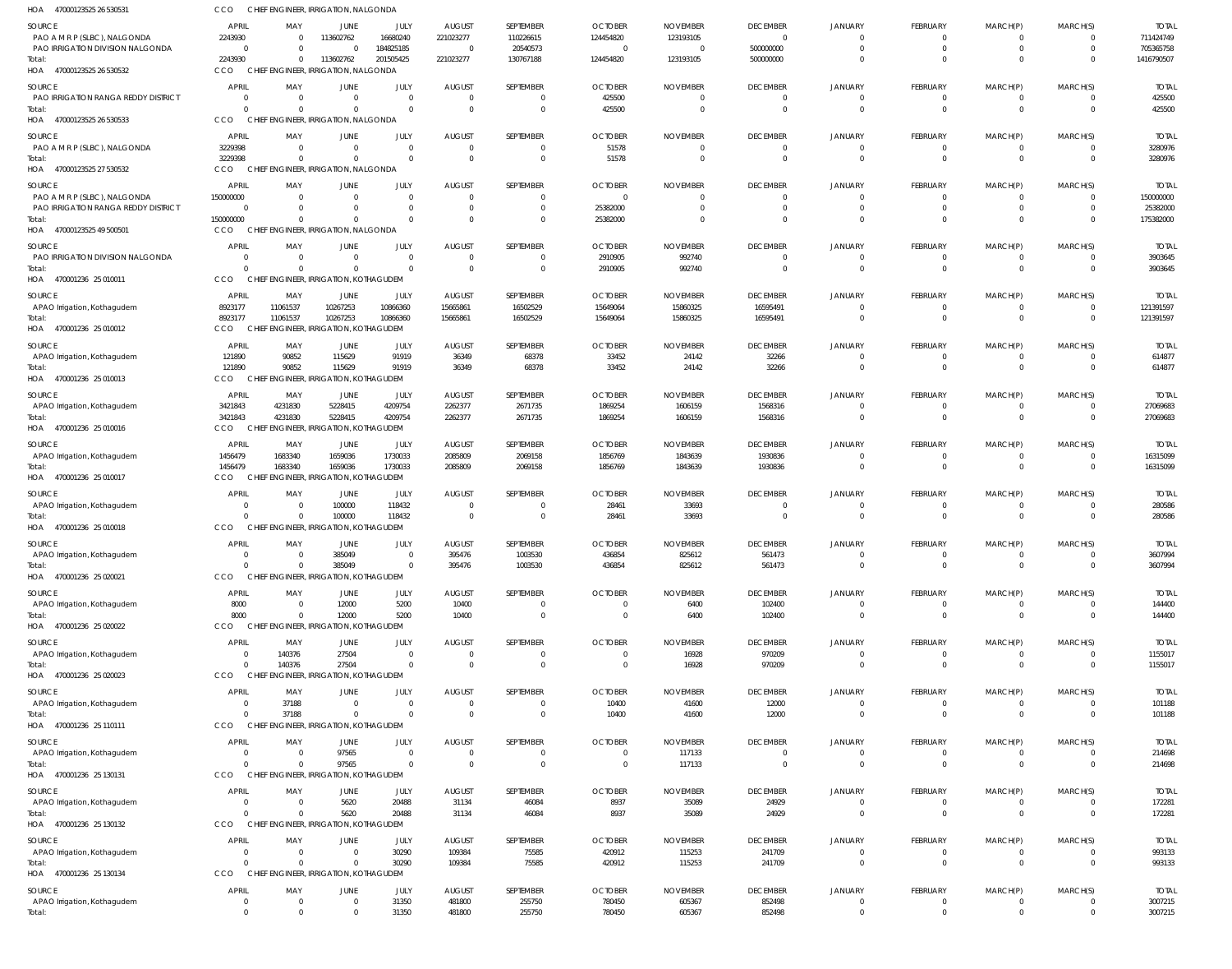| HOA 47000123525 26 530531                                        | cco                            | CHIEF ENGINEER, IRRIGATION, NALGONDA               |                                |                            |                                 |                                  |                            |                             |                                   |                                  |                                   |                             |                            |                           |
|------------------------------------------------------------------|--------------------------------|----------------------------------------------------|--------------------------------|----------------------------|---------------------------------|----------------------------------|----------------------------|-----------------------------|-----------------------------------|----------------------------------|-----------------------------------|-----------------------------|----------------------------|---------------------------|
| SOURCE                                                           | <b>APRIL</b>                   | MAY                                                | JUNE                           | JULY                       | <b>AUGUST</b>                   | SEPTEMBER                        | <b>OCTOBER</b>             | <b>NOVEMBER</b>             | <b>DECEMBER</b>                   | <b>JANUARY</b>                   | <b>FEBRUARY</b>                   | MARCH(P)                    | MARCH(S)                   | <b>TOTAI</b>              |
| PAO A M R P (SLBC), NALGONDA<br>PAO IRRIGATION DIVISION NALGONDA | 2243930<br>$\mathbf{0}$        |                                                    | 113602762<br>$\Omega$          | 16680240<br>184825185      | 221023277<br>$\overline{0}$     | 110226615<br>20540573            | 124454820<br>$\Omega$      | 123193105<br>$\Omega$       | $\overline{0}$<br>500000000       | $\Omega$<br>$\Omega$             | $\mathbf{0}$<br>$\mathbf 0$       | $\mathbf{0}$<br>$\mathbf 0$ | $\Omega$<br>$\Omega$       | 711424749<br>705365758    |
| Total:                                                           | 2243930                        | $\Omega$                                           | 113602762                      | 201505425                  | 221023277                       | 130767188                        | 124454820                  | 123193105                   | 500000000                         | $\Omega$                         | $\Omega$                          | $\mathbf{0}$                | $\Omega$                   | 1416790507                |
| HOA 47000123525 26 530532                                        | CCO                            | CHIEF ENGINEER, IRRIGATION, NALGONDA               |                                |                            |                                 |                                  |                            |                             |                                   |                                  |                                   |                             |                            |                           |
| SOURCE                                                           | <b>APRIL</b>                   | MAY                                                | JUNE                           | JULY                       | <b>AUGUST</b>                   | SEPTEMBER                        | <b>OCTOBER</b>             | <b>NOVEMBER</b>             | <b>DECEMBER</b>                   | <b>JANUARY</b>                   | FEBRUARY                          | MARCH(P)                    | MARCH(S)                   | <b>TOTAL</b>              |
| PAO IRRIGATION RANGA REDDY DISTRICT                              | 0<br>$\Omega$                  | - 0                                                | $\overline{0}$<br>$\Omega$     | $\mathbf 0$<br>$\Omega$    | $\Omega$<br>$\Omega$            | $\overline{0}$<br>$\overline{0}$ | 425500<br>425500           | -0<br>- 0                   | $\overline{0}$<br>$\overline{0}$  | $\Omega$<br>$\Omega$             | $\mathbf{0}$<br>$\overline{0}$    | $\mathbf{0}$<br>$\mathbf 0$ | $\Omega$<br>$\Omega$       | 425500<br>425500          |
| Total:<br>HOA 47000123525 26 530533                              | CCO                            | CHIEF ENGINEER, IRRIGATION, NALGONDA               |                                |                            |                                 |                                  |                            |                             |                                   |                                  |                                   |                             |                            |                           |
| SOURCE                                                           | <b>APRIL</b>                   | MAY                                                | JUNE                           | JULY                       | <b>AUGUST</b>                   | SEPTEMBER                        | <b>OCTOBER</b>             | <b>NOVEMBER</b>             | <b>DECEMBER</b>                   | <b>JANUARY</b>                   | FEBRUARY                          | MARCH(P)                    | MARCH(S)                   | <b>TOTAL</b>              |
| PAO A M R P (SLBC), NALGONDA                                     | 3229398                        | $\Omega$                                           | $\Omega$                       | $\mathbf 0$                | $\Omega$                        | $\overline{0}$                   | 51578                      | $\Omega$                    | $\overline{0}$                    | $\Omega$                         | $\mathbf{0}$                      | $\mathbf{0}$                | $\Omega$                   | 3280976                   |
| Total:<br>HOA 47000123525 27 530532                              | 3229398<br>CCO                 | $\Omega$<br>CHIEF ENGINEER, IRRIGATION, NALGONDA   | $\Omega$                       | $\Omega$                   | $\Omega$                        | $\overline{0}$                   | 51578                      | $\circ$                     | $\overline{0}$                    | $\Omega$                         | $\mathbf 0$                       | $\mathbf 0$                 | $\Omega$                   | 3280976                   |
|                                                                  |                                |                                                    |                                |                            |                                 |                                  |                            |                             |                                   |                                  |                                   |                             |                            |                           |
| SOURCE<br>PAO A M R P (SLBC), NALGONDA                           | <b>APRIL</b><br>150000000      | MAY                                                | JUNE<br>$\Omega$               | JULY<br>$\mathbf 0$        | <b>AUGUST</b><br>$\Omega$       | SEPTEMBER<br>$\overline{0}$      | <b>OCTOBER</b><br>$\Omega$ | <b>NOVEMBER</b><br>$\Omega$ | <b>DECEMBER</b><br>$\overline{0}$ | <b>JANUARY</b><br>$\Omega$       | <b>FEBRUARY</b><br>$\overline{0}$ | MARCH(P)<br>$\mathbf{0}$    | MARCH(S)<br>$\Omega$       | <b>TOTAI</b><br>150000000 |
| PAO IRRIGATION RANGA REDDY DISTRICT                              | $\overline{0}$                 |                                                    | $\Omega$                       | $\mathbf 0$                | $\Omega$                        | $\overline{0}$                   | 25382000                   |                             | $\Omega$                          | $\Omega$                         | $\mathbf 0$                       | $\mathbf 0$                 | $\Omega$                   | 25382000                  |
| Total:                                                           | 150000000                      |                                                    | $\Omega$                       | $\Omega$                   | $\cap$                          | $\overline{0}$                   | 25382000                   |                             | $\Omega$                          | $\Omega$                         | $\mathbf{0}$                      | $\mathbf{0}$                | $\Omega$                   | 175382000                 |
| HOA 47000123525 49 500501                                        | CCO                            | CHIEF ENGINEER, IRRIGATION, NALGONDA               |                                |                            |                                 |                                  |                            |                             |                                   |                                  |                                   |                             |                            |                           |
| SOURCE<br>PAO IRRIGATION DIVISION NALGONDA                       | <b>APRIL</b><br>$\Omega$       | MAY<br>- 0                                         | JUNE<br>$\Omega$               | JULY<br>$\Omega$           | <b>AUGUST</b><br>$\Omega$       | SEPTEMBER<br>$\overline{0}$      | <b>OCTOBER</b><br>2910905  | <b>NOVEMBER</b><br>992740   | <b>DECEMBER</b><br>$\overline{0}$ | <b>JANUARY</b><br>$\Omega$       | <b>FEBRUARY</b><br>$\mathbf{0}$   | MARCH(P)<br>$\mathbf{0}$    | MARCH(S)<br>$\Omega$       | <b>TOTAL</b><br>3903645   |
| Total:                                                           | $\Omega$                       | $\Omega$                                           | $\Omega$                       | $\Omega$                   | $\Omega$                        | $\overline{0}$                   | 2910905                    | 992740                      | $\overline{0}$                    | $\Omega$                         | $\overline{0}$                    | $\mathbf 0$                 | $\Omega$                   | 3903645                   |
| HOA 470001236 25 010011                                          | CCO                            | CHIEF ENGINEER, IRRIGATION, KOTHAGUDEM             |                                |                            |                                 |                                  |                            |                             |                                   |                                  |                                   |                             |                            |                           |
| SOURCE                                                           | <b>APRIL</b>                   | MAY                                                | <b>JUNE</b>                    | JULY                       | <b>AUGUST</b>                   | SEPTEMBER                        | <b>OCTOBER</b>             | <b>NOVEMBER</b>             | <b>DECEMBER</b>                   | <b>JANUARY</b>                   | <b>FEBRUARY</b>                   | MARCH(P)                    | MARCH(S)                   | <b>TOTAI</b>              |
| APAO Irrigation, Kothagudem                                      | 8923177                        | 11061537                                           | 10267253                       | 10866360                   | 15665861                        | 16502529                         | 15649064                   | 15860325                    | 16595491                          | $\Omega$                         | $\overline{0}$                    | $\mathbf 0$                 | $\Omega$                   | 121391597                 |
| Total:<br>HOA 470001236 25 010012                                | 8923177<br>CCO                 | 11061537<br>CHIEF ENGINEER, IRRIGATION, KOTHAGUDEM | 10267253                       | 10866360                   | 15665861                        | 16502529                         | 15649064                   | 15860325                    | 16595491                          | $\Omega$                         | $\overline{0}$                    | $\mathbf 0$                 | $\Omega$                   | 121391597                 |
|                                                                  | <b>APRIL</b>                   | MAY                                                |                                | JULY                       | <b>AUGUST</b>                   | SEPTEMBER                        | <b>OCTOBER</b>             | <b>NOVEMBER</b>             | <b>DECEMBER</b>                   | <b>JANUARY</b>                   | <b>FEBRUARY</b>                   | MARCH(P)                    | MARCH(S)                   | <b>TOTAL</b>              |
| SOURCE<br>APAO Irrigation, Kothagudem                            | 121890                         | 90852                                              | JUNE<br>115629                 | 91919                      | 36349                           | 68378                            | 33452                      | 24142                       | 32266                             | $\Omega$                         | $\mathbf{0}$                      | 0                           | $\Omega$                   | 614877                    |
| Total:                                                           | 121890                         | 90852                                              | 115629                         | 91919                      | 36349                           | 68378                            | 33452                      | 24142                       | 32266                             | $\Omega$                         | $\overline{0}$                    | $\mathbf 0$                 | $\Omega$                   | 614877                    |
| HOA 470001236 25 010013                                          | CCO                            | CHIEF ENGINEER, IRRIGATION, KOTHAGUDEM             |                                |                            |                                 |                                  |                            |                             |                                   |                                  |                                   |                             |                            |                           |
| SOURCE                                                           | <b>APRIL</b>                   | MAY                                                | JUNE                           | JULY                       | <b>AUGUST</b>                   | SEPTEMBER                        | <b>OCTOBER</b>             | <b>NOVEMBER</b>             | <b>DECEMBER</b>                   | <b>JANUARY</b>                   | FEBRUARY                          | MARCH(P)                    | MARCH(S)                   | <b>TOTAL</b>              |
| APAO Irrigation, Kothagudem<br>Total:                            | 3421843<br>3421843             | 4231830<br>4231830                                 | 5228415<br>5228415             | 4209754<br>4209754         | 2262377<br>2262377              | 2671735<br>2671735               | 1869254<br>1869254         | 1606159<br>1606159          | 1568316<br>1568316                | $\Omega$<br>$\Omega$             | $\mathbf{0}$<br>$\overline{0}$    | $\mathbf{0}$<br>$\mathbf 0$ | $\Omega$<br>$\Omega$       | 27069683<br>27069683      |
| HOA 470001236 25 010016                                          | CCO                            | CHIEF ENGINEER, IRRIGATION, KOTHAGUDEM             |                                |                            |                                 |                                  |                            |                             |                                   |                                  |                                   |                             |                            |                           |
| SOURCE                                                           | <b>APRIL</b>                   | MAY                                                | JUNE                           | JULY                       | <b>AUGUST</b>                   | SEPTEMBER                        | <b>OCTOBER</b>             | <b>NOVEMBER</b>             | <b>DECEMBER</b>                   | <b>JANUARY</b>                   | <b>FEBRUARY</b>                   | MARCH(P)                    | MARCH(S)                   | <b>TOTAL</b>              |
| APAO Irrigation, Kothagudem                                      | 1456479                        | 1683340                                            | 1659036                        | 1730033                    | 2085809                         | 2069158                          | 1856769                    | 1843639                     | 1930836                           | $\Omega$                         | $\mathbf{0}$                      | $\mathbf{0}$                | $\Omega$                   | 16315099                  |
| Total:                                                           | 1456479<br>CCO                 | 1683340<br>CHIEF ENGINEER, IRRIGATION, KOTHAGUDEM  | 1659036                        | 1730033                    | 2085809                         | 2069158                          | 1856769                    | 1843639                     | 1930836                           | $\Omega$                         | $\mathbf 0$                       | $\mathbf 0$                 | $\Omega$                   | 16315099                  |
| HOA 470001236 25 010017                                          |                                |                                                    |                                |                            |                                 |                                  |                            |                             |                                   |                                  |                                   |                             |                            |                           |
| SOURCE<br>APAO Irrigation, Kothagudem                            | <b>APRIL</b><br>0              | MAY                                                | JUNE<br>100000                 | JULY<br>118432             | <b>AUGUST</b><br>$\Omega$       | SEPTEMBER<br>$\overline{0}$      | <b>OCTOBER</b><br>28461    | <b>NOVEMBER</b><br>33693    | <b>DECEMBER</b><br>$\overline{0}$ | <b>JANUARY</b><br>$\Omega$       | <b>FEBRUARY</b><br>$\overline{0}$ | MARCH(P)<br>$\mathbf{0}$    | MARCH(S)<br>$\Omega$       | <b>TOTAL</b><br>280586    |
| Total:                                                           | $\Omega$                       |                                                    | 100000                         | 118432                     | $\overline{0}$                  | $\overline{0}$                   | 28461                      | 33693                       | $\overline{0}$                    | $\Omega$                         | $\overline{0}$                    | $\mathbf 0$                 | $\Omega$                   | 280586                    |
| HOA 470001236 25 010018                                          | CCO                            | CHIEF ENGINEER, IRRIGATION, KOTHAGUDEM             |                                |                            |                                 |                                  |                            |                             |                                   |                                  |                                   |                             |                            |                           |
| SOURCE                                                           | <b>APRIL</b>                   | MAY                                                | JUNE                           | JULY                       | <b>AUGUST</b>                   | SEPTEMBER                        | <b>OCTOBER</b>             | <b>NOVEMBER</b>             | <b>DECEMBER</b>                   | <b>JANUARY</b>                   | <b>FEBRUARY</b>                   | MARCH(P)                    | MARCH(S)                   | <b>TOTAL</b>              |
| APAO Irrigation, Kothagudem<br>Total:                            | $\overline{0}$<br>$\mathbf{0}$ | $\mathbf{0}$<br>$\Omega$                           | 385049<br>385049               | $\mathbf 0$<br>$\Omega$    | 395476<br>395476                | 1003530<br>1003530               | 436854<br>436854           | 825612<br>825612            | 561473<br>561473                  | $\mathbf{0}$<br>$\overline{0}$   | $\mathbf 0$                       | $\mathbf 0$                 | $\overline{0}$<br>$\Omega$ | 3607994<br>3607994        |
| HOA 470001236 25 020021                                          | CCO                            | CHIEF ENGINEER, IRRIGATION, KOTHAGUDEM             |                                |                            |                                 |                                  |                            |                             |                                   |                                  |                                   |                             |                            |                           |
| SOURCE                                                           | <b>APRIL</b>                   | MAY                                                | <b>JUNE</b>                    | JULY                       | <b>AUGUST</b>                   | SEPTEMBER                        | <b>OCTOBER</b>             | <b>NOVEMBER</b>             | <b>DECEMBER</b>                   | <b>JANUARY</b>                   | FEBRUARY                          | MARCH(P)                    | MARCH(S)                   | <b>TOTAL</b>              |
| APAO Irrigation, Kothagudem                                      | 8000                           |                                                    | 12000                          | 5200                       | 10400                           | $\overline{0}$                   |                            | 6400                        | 102400                            | $\mathbf{0}$                     | $\mathbf{0}$                      | $\mathbf{0}$                | $\Omega$                   | 144400                    |
| Total:                                                           | 8000                           |                                                    | 12000                          | 5200                       | 10400                           | $\overline{0}$                   | $\mathbf{0}$               | 6400                        | 102400                            | $\overline{0}$                   | $\overline{0}$                    | $\mathbf 0$                 | $\Omega$                   | 144400                    |
| HOA 470001236 25 020022                                          | <b>CCO</b>                     | CHIEF ENGINEER, IRRIGATION, KOTHAGUDEM             |                                |                            |                                 |                                  |                            |                             |                                   |                                  |                                   |                             |                            |                           |
| SOURCE<br>APAO Irrigation, Kothagudem                            | <b>APRIL</b><br>$\overline{0}$ | MAY<br>140376                                      | JUNE<br>27504                  | JULY<br>$\mathbf 0$        | <b>AUGUST</b><br>$\overline{0}$ | SEPTEMBER<br>$\overline{0}$      | <b>OCTOBER</b><br>$\Omega$ | <b>NOVEMBER</b><br>16928    | <b>DECEMBER</b><br>970209         | <b>JANUARY</b><br>$\Omega$       | <b>FEBRUARY</b><br>$\mathbf{0}$   | MARCH(P)<br>$\mathbf{0}$    | MARCH(S)<br>$\Omega$       | <b>TOTAL</b><br>1155017   |
| Total:                                                           | $\Omega$                       | 140376                                             | 27504                          | $\Omega$                   | $\Omega$                        | $\overline{0}$                   | $\Omega$                   | 16928                       | 970209                            | $\Omega$                         | $\mathbf 0$                       | $\mathbf 0$                 | $\Omega$                   | 1155017                   |
| HOA 470001236 25 020023                                          | <b>CCO</b>                     | CHIEF ENGINEER, IRRIGATION, KOTHAGUDEM             |                                |                            |                                 |                                  |                            |                             |                                   |                                  |                                   |                             |                            |                           |
| SOURCE                                                           | <b>APRIL</b>                   | MAY                                                | JUNE                           | JULY                       | <b>AUGUST</b>                   | SEPTEMBER                        | <b>OCTOBER</b>             | <b>NOVEMBER</b>             | <b>DECEMBER</b>                   | <b>JANUARY</b>                   | FEBRUARY                          | MARCH(P)                    | MARCH(S)                   | <b>TOTAL</b>              |
| APAO Irrigation, Kothagudem                                      | $\overline{0}$<br>$\Omega$     | 37188<br>37188                                     | $\overline{0}$<br>$\mathbf{0}$ | $\mathbf 0$<br>$\mathbf 0$ | $\Omega$<br>$\Omega$            | $\overline{0}$<br>$\overline{0}$ | 10400<br>10400             | 41600<br>41600              | 12000<br>12000                    | $\overline{0}$<br>$\overline{0}$ | $\overline{0}$<br>$\overline{0}$  | $\mathbf 0$<br>$\mathbf 0$  | $\Omega$<br>$\Omega$       | 101188<br>101188          |
| Total:<br>HOA 470001236 25 110111                                | CCO                            | CHIEF ENGINEER, IRRIGATION, KOTHAGUDEM             |                                |                            |                                 |                                  |                            |                             |                                   |                                  |                                   |                             |                            |                           |
| SOURCE                                                           | <b>APRIL</b>                   | MAY                                                | <b>JUNE</b>                    | JULY                       | <b>AUGUST</b>                   | SEPTEMBER                        | <b>OCTOBER</b>             | <b>NOVEMBER</b>             | <b>DECEMBER</b>                   | <b>JANUARY</b>                   | <b>FEBRUARY</b>                   | MARCH(P)                    | MARCH(S)                   | <b>TOTAL</b>              |
| APAO Irrigation, Kothagudem                                      | $\overline{0}$                 | $\Omega$                                           | 97565                          | $\mathbf 0$                | $\Omega$                        | $\overline{0}$                   | 0                          | 117133                      | $\overline{0}$                    | $\mathbf{0}$                     | $\mathbf{0}$                      | 0                           | $\Omega$                   | 214698                    |
| Total:                                                           | $\Omega$                       |                                                    | 97565                          | $\Omega$                   | $\Omega$                        | $\overline{0}$                   | $\mathbf{0}$               | 117133                      | $\overline{0}$                    | $\overline{0}$                   | $\overline{0}$                    | $\mathbf 0$                 | $\Omega$                   | 214698                    |
| HOA 470001236 25 130131                                          | <b>CCO</b>                     | CHIEF ENGINEER, IRRIGATION, KOTHAGUDEM             |                                |                            |                                 |                                  |                            |                             |                                   |                                  |                                   |                             |                            |                           |
| SOURCE<br>APAO Irrigation, Kothagudem                            | <b>APRIL</b><br>0              | MAY                                                | JUNE<br>5620                   | JULY<br>20488              | <b>AUGUST</b><br>31134          | SEPTEMBER<br>46084               | <b>OCTOBER</b><br>8937     | <b>NOVEMBER</b><br>35089    | <b>DECEMBER</b><br>24929          | <b>JANUARY</b><br>$\mathbf{0}$   | FEBRUARY<br>$\mathbf{0}$          | MARCH(P)<br>0               | MARCH(S)<br>$\Omega$       | <b>TOTAL</b><br>172281    |
| Total:                                                           | $\Omega$                       |                                                    | 5620                           | 20488                      | 31134                           | 46084                            | 8937                       | 35089                       | 24929                             | $\Omega$                         | $\mathbf{0}$                      | $\mathbf{0}$                | $\mathbf{0}$               | 172281                    |
| HOA 470001236 25 130132                                          | <b>CCO</b>                     | CHIEF ENGINEER, IRRIGATION, KOTHAGUDEM             |                                |                            |                                 |                                  |                            |                             |                                   |                                  |                                   |                             |                            |                           |
| SOURCE                                                           | <b>APRIL</b>                   | MAY                                                | <b>JUNE</b>                    | JULY                       | <b>AUGUST</b>                   | SEPTEMBER                        | <b>OCTOBER</b>             | <b>NOVEMBER</b>             | <b>DECEMBER</b>                   | <b>JANUARY</b>                   | FEBRUARY                          | MARCH(P)                    | MARCH(S)                   | <b>TOTAL</b>              |
| APAO Irrigation, Kothagudem                                      | $\overline{0}$                 | $\Omega$                                           | $\overline{0}$                 | 30290                      | 109384                          | 75585                            | 420912                     | 115253                      | 241709                            | $\Omega$                         | $\mathbf{0}$                      | $\mathbf{0}$                | $\Omega$                   | 993133                    |
| Total:<br>HOA 470001236 25 130134                                | $\Omega$<br>CCO                | $\Omega$<br>CHIEF ENGINEER, IRRIGATION, KOTHAGUDEM | $\Omega$                       | 30290                      | 109384                          | 75585                            | 420912                     | 115253                      | 241709                            | $\Omega$                         | $\overline{0}$                    | $\mathbf{0}$                | $\Omega$                   | 993133                    |
| SOURCE                                                           | <b>APRIL</b>                   | MAY                                                | JUNE                           | JULY                       | <b>AUGUST</b>                   | SEPTEMBER                        | <b>OCTOBER</b>             | <b>NOVEMBER</b>             | <b>DECEMBER</b>                   | <b>JANUARY</b>                   | FEBRUARY                          | MARCH(P)                    | MARCH(S)                   | <b>TOTAL</b>              |
| APAO Irrigation, Kothagudem                                      | 0                              |                                                    | $\overline{0}$                 | 31350                      | 481800                          | 255750                           | 780450                     | 605367                      | 852498                            | $\overline{0}$                   | $\mathbf{0}$                      | $\mathbf 0$                 | $\overline{0}$             | 3007215                   |
| Total:                                                           | $\Omega$                       |                                                    | $\mathbf 0$                    | 31350                      | 481800                          | 255750                           | 780450                     | 605367                      | 852498                            | $\overline{0}$                   | $\mathbf{0}$                      | $\mathbf{0}$                | $\Omega$                   | 3007215                   |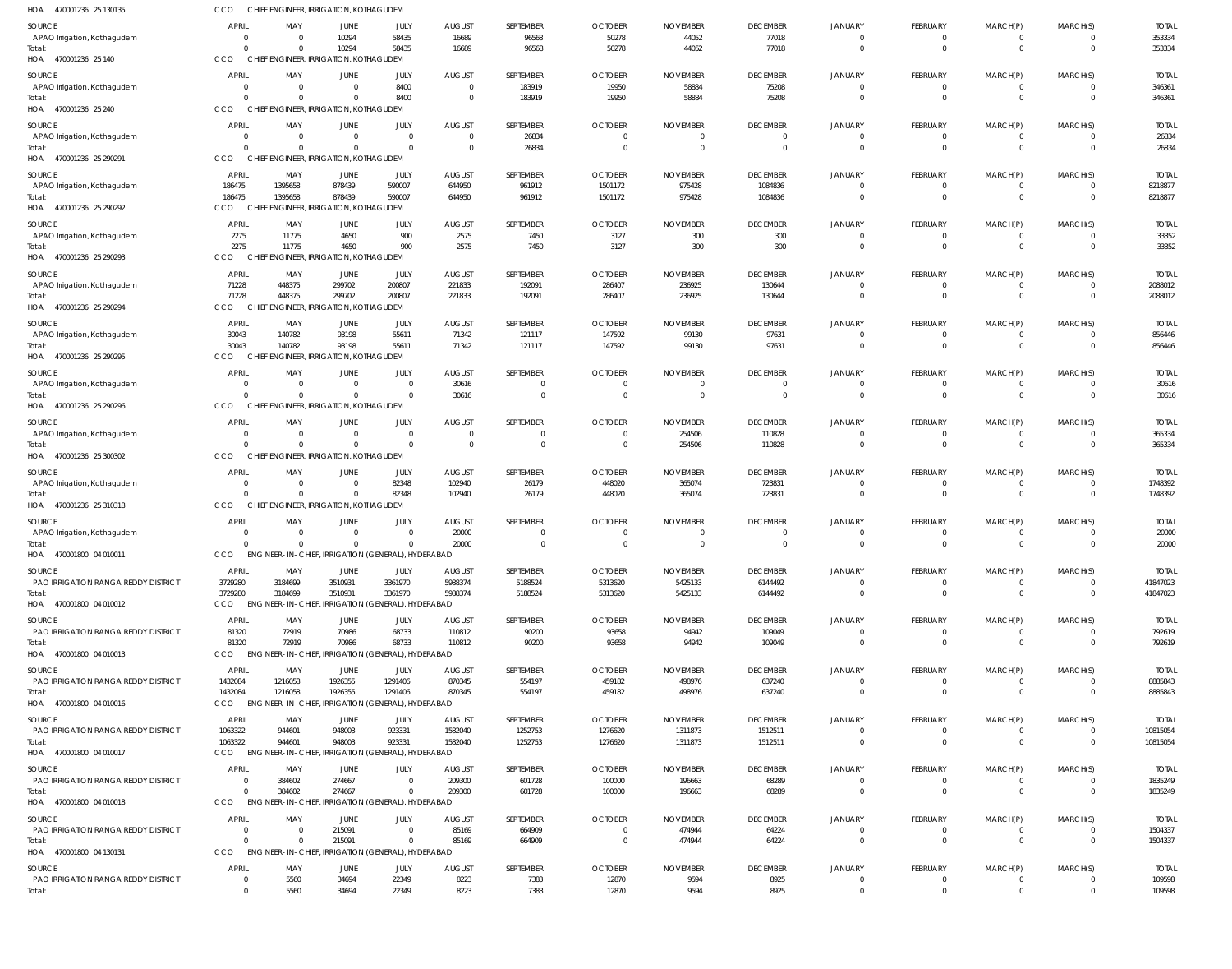| HOA 470001236 25 130135                              | CCO                     |                      | CHIEF ENGINEER, IRRIGATION, KOTHAGUDEM                      |                        |                              |                      |                              |                            |                            |                                  |                               |                                  |                                           |                          |
|------------------------------------------------------|-------------------------|----------------------|-------------------------------------------------------------|------------------------|------------------------------|----------------------|------------------------------|----------------------------|----------------------------|----------------------------------|-------------------------------|----------------------------------|-------------------------------------------|--------------------------|
| SOURCE                                               | <b>APRIL</b>            | MAY                  | JUNE                                                        | JULY                   | <b>AUGUST</b>                | SEPTEMBER            | <b>OCTOBER</b>               | <b>NOVEMBER</b>            | <b>DECEMBER</b>            | <b>JANUARY</b>                   | FEBRUARY                      | MARCH(P)                         | MARCH(S)                                  | <b>TOTAL</b>             |
| APAO Irrigation, Kothagudem                          | - 0                     | $\Omega$             | 10294                                                       | 58435                  | 16689                        | 96568                | 50278                        | 44052                      | 77018                      | $\overline{0}$                   | $\mathbf 0$                   | $\overline{0}$                   | $\overline{0}$                            | 353334                   |
| Total:<br>HOA 470001236 25 140                       | CCO                     | $\Omega$             | 10294<br>CHIEF ENGINEER, IRRIGATION, KOTHAGUDEM             | 58435                  | 16689                        | 96568                | 50278                        | 44052                      | 77018                      | $\overline{0}$                   | $\mathbf 0$                   | $\overline{0}$                   | $\overline{0}$                            | 353334                   |
|                                                      |                         |                      |                                                             |                        |                              |                      |                              |                            |                            |                                  |                               |                                  |                                           |                          |
| SOURCE<br>APAO Irrigation, Kothagudem                | <b>APRI</b><br>$\Omega$ | MAY<br>$\Omega$      | JUNE<br>$\overline{0}$                                      | JULY<br>8400           | <b>AUGUST</b><br>$\mathbf 0$ | SEPTEMBER<br>183919  | <b>OCTOBER</b><br>19950      | <b>NOVEMBER</b><br>58884   | <b>DECEMBER</b><br>75208   | <b>JANUARY</b><br>$\overline{0}$ | FEBRUARY<br>$^{\circ}$        | MARCH(P)<br>$\mathbf 0$          | MARCH(S)<br>$\overline{0}$                | <b>TOTAL</b><br>346361   |
| Total:                                               |                         | $\Omega$             | $\Omega$                                                    | 8400                   | $\Omega$                     | 183919               | 19950                        | 58884                      | 75208                      | $\overline{0}$                   | $\mathbf 0$                   | $\overline{0}$                   | $\overline{0}$                            | 346361                   |
| HOA<br>470001236 25 240                              | CCO                     |                      | CHIEF ENGINEER, IRRIGATION, KOTHAGUDEM                      |                        |                              |                      |                              |                            |                            |                                  |                               |                                  |                                           |                          |
| SOURCE                                               | <b>APRIL</b>            | MAY                  | <b>JUNE</b>                                                 | JULY                   | <b>AUGUST</b>                | SEPTEMBER            | <b>OCTOBER</b>               | <b>NOVEMBER</b>            | <b>DECEMBER</b>            | <b>JANUARY</b>                   | FEBRUARY                      | MARCH(P)                         | MARCH(S)                                  | <b>TOTAL</b>             |
| APAO Irrigation, Kothagudem                          | $\Omega$                | $\overline{0}$       | $\overline{0}$                                              | $\mathbf{0}$           | $\mathbf 0$                  | 26834                | $\overline{0}$               | $\overline{0}$             | $\overline{0}$             | $\overline{0}$                   | $\mathbf{0}$                  | $\overline{0}$                   | $\overline{0}$                            | 26834                    |
| Total:<br>470001236 25 290291<br>HOA                 | $\cap$<br>CCO           | $\Omega$             | $\mathbf{0}$<br>CHIEF ENGINEER, IRRIGATION, KOTHAGUDEM      | $\mathbf{0}$           | $\mathbf 0$                  | 26834                | $\overline{0}$               | $\Omega$                   | $\overline{0}$             | $\overline{0}$                   | $\mathbf 0$                   | $\overline{0}$                   | $\overline{0}$                            | 26834                    |
| SOURCE                                               | <b>APRIL</b>            | MAY                  | JUNE                                                        | JULY                   | <b>AUGUST</b>                | SEPTEMBER            | <b>OCTOBER</b>               | <b>NOVEMBER</b>            | <b>DECEMBER</b>            | <b>JANUARY</b>                   | FEBRUARY                      | MARCH(P)                         | MARCH(S)                                  | <b>TOTAL</b>             |
| APAO Irrigation, Kothagudem                          | 186475                  | 1395658              | 878439                                                      | 590007                 | 644950                       | 961912               | 1501172                      | 975428                     | 1084836                    | $\overline{0}$                   | $^{\circ}$                    | $^{\circ}$                       | $\overline{0}$                            | 8218877                  |
| Total:                                               | 186475                  | 1395658              | 878439                                                      | 590007                 | 644950                       | 961912               | 1501172                      | 975428                     | 1084836                    | $\overline{0}$                   | $\mathbf 0$                   | $\overline{0}$                   | $\overline{0}$                            | 8218877                  |
| HOA 470001236 25 290292                              | CCO                     |                      | CHIEF ENGINEER, IRRIGATION, KOTHAGUDEM                      |                        |                              |                      |                              |                            |                            |                                  |                               |                                  |                                           |                          |
| SOURCE                                               | <b>APRI</b>             | MAY                  | JUNE                                                        | JULY                   | <b>AUGUST</b>                | SEPTEMBER            | <b>OCTOBER</b>               | <b>NOVEMBER</b>            | <b>DECEMBER</b>            | <b>JANUARY</b>                   | FEBRUARY                      | MARCH(P)                         | MARCH(S)                                  | <b>TOTAL</b>             |
| APAO Irrigation, Kothagudem<br>Total:                | 2275<br>2275            | 11775<br>11775       | 4650<br>4650                                                | 900<br>900             | 2575<br>2575                 | 7450<br>7450         | 3127<br>3127                 | 300<br>300                 | 300<br>300                 | $\overline{0}$<br>$\overline{0}$ | $\mathbf 0$<br>$\mathbf 0$    | $\overline{0}$<br>$\overline{0}$ | $\overline{0}$<br>$\overline{0}$          | 33352<br>33352           |
| HOA 470001236 25 290293                              | CCO                     |                      | CHIEF ENGINEER, IRRIGATION, KOTHAGUDEM                      |                        |                              |                      |                              |                            |                            |                                  |                               |                                  |                                           |                          |
| SOURCE                                               | <b>APRIL</b>            | MAY                  | JUNE                                                        | JULY                   | <b>AUGUST</b>                | SEPTEMBER            | <b>OCTOBER</b>               | <b>NOVEMBER</b>            | <b>DECEMBER</b>            | <b>JANUARY</b>                   | FEBRUARY                      | MARCH(P)                         | MARCH(S)                                  | <b>TOTAL</b>             |
| APAO Irrigation, Kothagudem                          | 71228                   | 448375               | 299702                                                      | 200807                 | 221833                       | 192091               | 286407                       | 236925                     | 130644                     | $\overline{0}$                   | $^{\circ}$                    | $\mathbf 0$                      | $\overline{0}$                            | 2088012                  |
| Total:                                               | 71228                   | 448375               | 299702                                                      | 200807                 | 221833                       | 192091               | 286407                       | 236925                     | 130644                     | $\overline{0}$                   | $\mathbf 0$                   | $\overline{0}$                   | $\overline{0}$                            | 2088012                  |
| HOA<br>470001236 25 290294                           | CCO                     |                      | CHIEF ENGINEER, IRRIGATION, KOTHAGUDEM                      |                        |                              |                      |                              |                            |                            |                                  |                               |                                  |                                           |                          |
| SOURCE<br>APAO Irrigation, Kothagudem                | <b>APRIL</b><br>30043   | MAY<br>140782        | JUNE<br>93198                                               | JULY<br>55611          | <b>AUGUST</b><br>71342       | SEPTEMBER<br>121117  | <b>OCTOBER</b><br>147592     | <b>NOVEMBER</b><br>99130   | <b>DECEMBER</b><br>97631   | <b>JANUARY</b><br>$\overline{0}$ | FEBRUARY<br>$\mathbf{0}$      | MARCH(P)<br>$\overline{0}$       | MARCH(S)<br>$\overline{0}$                | <b>TOTAL</b><br>856446   |
| Total:                                               | 30043                   | 140782               | 93198                                                       | 55611                  | 71342                        | 121117               | 147592                       | 99130                      | 97631                      | $\overline{0}$                   | $\mathbf 0$                   | $\overline{0}$                   | $\Omega$                                  | 856446                   |
| 470001236 25 290295<br>HOA                           | CCO                     | <b>CHIEF</b>         | ENGINEER, IRRIGATION, KOTHAGUDEM                            |                        |                              |                      |                              |                            |                            |                                  |                               |                                  |                                           |                          |
| SOURCE                                               | <b>APRIL</b>            | MAY                  | JUNE                                                        | JULY                   | <b>AUGUST</b>                | SEPTEMBER            | <b>OCTOBER</b>               | <b>NOVEMBER</b>            | <b>DECEMBER</b>            | <b>JANUARY</b>                   | FEBRUARY                      | MARCH(P)                         | MARCH(S)                                  | <b>TOTAL</b>             |
| APAO Irrigation, Kothagudem                          | $\Omega$                | $\Omega$             | $\mathbf{0}$                                                | $\overline{0}$         | 30616                        | - 0                  | $^{\circ}$                   | $\Omega$                   | $\overline{0}$             | $\mathbf{0}$                     | $^{\circ}$                    | $^{\circ}$                       | $\Omega$                                  | 30616                    |
| Total:<br>HOA 470001236 25 290296                    | CCO                     | $\Omega$             | $\mathbf{0}$<br>CHIEF ENGINEER, IRRIGATION, KOTHAGUDEM      | $\mathbf 0$            | 30616                        | $\mathbf{0}$         | $\overline{0}$               | $\Omega$                   | $\overline{0}$             | $\overline{0}$                   | $\mathbf 0$                   | $\overline{0}$                   | $\overline{0}$                            | 30616                    |
|                                                      | <b>APRIL</b>            | MAY                  | <b>JUNE</b>                                                 | JULY                   |                              | SEPTEMBER            | <b>OCTOBER</b>               |                            | <b>DECEMBER</b>            |                                  |                               |                                  |                                           |                          |
| SOURCE<br>APAO Irrigation, Kothagudem                |                         | $\overline{0}$       | $\mathbf{0}$                                                | $\overline{0}$         | <b>AUGUST</b><br>$\mathbf 0$ | $\Omega$             | $^{\circ}$                   | <b>NOVEMBER</b><br>254506  | 110828                     | <b>JANUARY</b><br>$\overline{0}$ | FEBRUARY<br>$\mathbf 0$       | MARCH(P)<br>$\mathbf 0$          | MARCH(S)<br>$\overline{0}$                | <b>TOTAL</b><br>365334   |
| Total:                                               |                         | $\Omega$             | $\mathbf{0}$                                                | $\mathbf 0$            | $\mathbf 0$                  | $\mathbf 0$          | $\overline{0}$               | 254506                     | 110828                     | $\overline{0}$                   | $\mathbf 0$                   | $\overline{0}$                   | $\overline{0}$                            | 365334                   |
| HOA 470001236 25 300302                              | CCO                     |                      | CHIEF ENGINEER, IRRIGATION, KOTHAGUDEM                      |                        |                              |                      |                              |                            |                            |                                  |                               |                                  |                                           |                          |
| SOURCE                                               | <b>APRIL</b>            | MAY                  | <b>JUNE</b>                                                 | JULY                   | <b>AUGUST</b>                | SEPTEMBER            | <b>OCTOBER</b>               | <b>NOVEMBER</b>            | <b>DECEMBER</b>            | <b>JANUARY</b>                   | FEBRUARY                      | MARCH(P)                         | MARCH(S)                                  | <b>TOTAL</b>             |
| APAO Irrigation, Kothagudem<br>Total:                | $\Omega$                | $\Omega$<br>$\Omega$ | $\overline{0}$<br>$\mathbf 0$                               | 82348<br>82348         | 102940<br>102940             | 26179<br>26179       | 448020<br>448020             | 365074<br>365074           | 723831<br>723831           | $\overline{0}$<br>$\overline{0}$ | $\mathbf 0$<br>$\mathbf 0$    | $\overline{0}$<br>$\overline{0}$ | $\overline{0}$<br>$\Omega$                | 1748392<br>1748392       |
| 470001236 25 310318<br>HOA                           | CCO                     |                      | CHIEF ENGINEER, IRRIGATION, KOTHAGUDEM                      |                        |                              |                      |                              |                            |                            |                                  |                               |                                  |                                           |                          |
| SOURCE                                               | <b>APRIL</b>            | MAY                  | <b>JUNE</b>                                                 | JULY                   | <b>AUGUST</b>                | SEPTEMBER            | <b>OCTOBER</b>               | <b>NOVEMBER</b>            | <b>DECEMBER</b>            | <b>JANUARY</b>                   | FEBRUARY                      | MARCH(P)                         | MARCH(S)                                  | <b>TOTAL</b>             |
| APAO Irrigation, Kothagudem                          |                         | $\Omega$             | $\mathbf{0}$                                                | $\mathbf 0$            | 20000                        | $\Omega$             | $^{\circ}$                   | $\Omega$                   | $\overline{0}$             | $\overline{0}$                   | $\mathbf 0$                   | $\overline{0}$                   | $\Omega$                                  | 20000                    |
| Total:                                               | $\cap$                  | $\overline{0}$       | $\overline{0}$                                              | $\mathbf{0}$           | 20000                        | $\Omega$             | $\overline{0}$               | $\overline{0}$             | $\overline{0}$             | $\overline{0}$                   | $\mathbf 0$                   | $\overline{0}$                   | $\Omega$                                  | 20000                    |
| HOA 470001800 04 010011                              | CCO                     |                      | ENGINEER-IN-CHIEF, IRRIGATION (GENERAL), HYDERABAD          |                        |                              |                      |                              |                            |                            |                                  |                               |                                  |                                           |                          |
| SOURCE<br><b>PAO IRRIGATION RANGA REDDY DISTRICT</b> | <b>APRIL</b><br>3729280 | MAY<br>3184699       | JUNE<br>3510931                                             | JULY<br>3361970        | <b>AUGUST</b><br>5988374     | SEPTEMBER<br>5188524 | <b>OCTOBER</b><br>5313620    | <b>NOVEMBER</b><br>5425133 | <b>DECEMBER</b><br>6144492 | <b>JANUARY</b><br>$\overline{0}$ | <b>FEBRUARY</b><br>0          | MARCH(P)<br>$^{\circ}$           | MARCH(S)<br>$\Omega$                      | <b>TOTAL</b><br>41847023 |
| Total:                                               | 3729280                 | 3184699              | 3510931                                                     | 3361970                | 5988374                      | 5188524              | 5313620                      | 5425133                    | 6144492                    | $\overline{0}$                   | $\mathbf 0$                   | $\overline{0}$                   | $\overline{0}$                            | 41847023                 |
| HOA 470001800 04 010012                              | CCO                     |                      | ENGINEER-IN-CHIEF, IRRIGATION (GENERAL), HYDERABAD          |                        |                              |                      |                              |                            |                            |                                  |                               |                                  |                                           |                          |
| SOURCE                                               | <b>APRIL</b>            | MAY                  | JUNE                                                        | JULY                   | <b>AUGUST</b>                | SEPTEMBER            | <b>OCTOBER</b>               | <b>NOVEMBER</b>            | <b>DECEMBER</b>            | <b>JANUARY</b>                   | FEBRUARY                      | MARCH(P)                         | MARCH(S)                                  | <b>TOTAL</b>             |
| PAO IRRIGATION RANGA REDDY DISTRICT                  | 81320                   | 72919                | 70986                                                       | 68733                  | 110812                       | 90200                | 93658                        | 94942                      | 109049                     | $\overline{0}$                   | $\mathbf 0$                   | $^{\circ}$                       | $\Omega$                                  | 792619                   |
| Total:<br>HOA 470001800 04 010013                    | 81320<br>CCO            | 72919                | 70986<br>ENGINEER-IN-CHIEF, IRRIGATION (GENERAL), HYDERABAD | 68733                  | 110812                       | 90200                | 93658                        | 94942                      | 109049                     | $\overline{0}$                   | $\mathbf 0$                   | $\overline{0}$                   | $\Omega$                                  | 792619                   |
| SOURCE                                               | APRII                   | MAY                  | JUNE                                                        | JULY                   | <b>AUGUST</b>                | SEPTEMBER            | <b>OCTOBER</b>               | <b>NOVEMBER</b>            | <b>DECEMBER</b>            | <b>JANUARY</b>                   | FEBRUARY                      | MARCH(P)                         | MARCH(S)                                  | <b>TOTAL</b>             |
| PAO IRRIGATION RANGA REDDY DISTRICT                  | 1432084                 | 1216058              | 1926355                                                     | 1291406                | 870345                       | 554197               | 459182                       | 498976                     | 637240                     | $\Omega$                         | $\mathbf 0$                   | $\overline{0}$                   | $\Omega$                                  | 8885843                  |
| Total:                                               | 1432084                 | 1216058              | 1926355                                                     | 1291406                | 870345                       | 554197               | 459182                       | 498976                     | 637240                     | $\overline{0}$                   | $\mathbf 0$                   | $\overline{0}$                   | $\overline{\mathbf{0}}$                   | 8885843                  |
| HOA 470001800 04 010016                              | CCO                     |                      | ENGINEER-IN-CHIEF, IRRIGATION (GENERAL), HYDERABAD          |                        |                              |                      |                              |                            |                            |                                  |                               |                                  |                                           |                          |
| SOURCE                                               | APRIL                   | MAY                  | JUNE                                                        | JULY                   | <b>AUGUST</b>                | SEPTEMBER            | <b>OCTOBER</b>               | <b>NOVEMBER</b>            | <b>DECEMBER</b>            | <b>JANUARY</b>                   | FEBRUARY                      | MARCH(P)                         | MARCH(S)                                  | <b>TOTAL</b>             |
| PAO IRRIGATION RANGA REDDY DISTRICT<br>Total:        | 1063322<br>1063322      | 944601<br>944601     | 948003<br>948003                                            | 923331<br>923331       | 1582040<br>1582040           | 1252753<br>1252753   | 1276620<br>1276620           | 1311873<br>1311873         | 1512511<br>1512511         | $\overline{0}$<br>$\overline{0}$ | $\overline{0}$<br>$\mathbf 0$ | $\mathbf 0$<br>$\overline{0}$    | $\overline{\mathbf{0}}$<br>$\overline{0}$ | 10815054<br>10815054     |
| HOA 470001800 04 010017                              | CCO                     |                      | ENGINEER-IN-CHIEF, IRRIGATION (GENERAL), HYDERABAD          |                        |                              |                      |                              |                            |                            |                                  |                               |                                  |                                           |                          |
| SOURCE                                               | <b>APRIL</b>            | MAY                  | JUNE                                                        | JULY                   | <b>AUGUST</b>                | SEPTEMBER            | <b>OCTOBER</b>               | <b>NOVEMBER</b>            | <b>DECEMBER</b>            | <b>JANUARY</b>                   | FEBRUARY                      | MARCH(P)                         | MARCH(S)                                  | <b>TOTAL</b>             |
| PAO IRRIGATION RANGA REDDY DISTRICT                  |                         | 384602               | 274667                                                      | $\mathbf{0}$           | 209300                       | 601728               | 100000                       | 196663                     | 68289                      | $\overline{0}$                   | $^{\circ}$                    | $^{\circ}$                       | $\overline{0}$                            | 1835249                  |
| Total:                                               | $\Omega$<br>CCO         | 384602               | 274667                                                      | $\mathbf{0}$           | 209300                       | 601728               | 100000                       | 196663                     | 68289                      | $\overline{0}$                   | $\mathbf 0$                   | $\overline{0}$                   | $\overline{0}$                            | 1835249                  |
| HOA 470001800 04 010018                              |                         |                      | ENGINEER-IN-CHIEF, IRRIGATION (GENERAL), HYDERABAD          |                        |                              |                      |                              |                            |                            |                                  |                               |                                  |                                           |                          |
| SOURCE<br>PAO IRRIGATION RANGA REDDY DISTRICT        | <b>APRI</b><br>$\Omega$ | MAY<br>$\Omega$      | JUNE<br>215091                                              | JULY<br>$\overline{0}$ | <b>AUGUST</b><br>85169       | SEPTEMBER<br>664909  | <b>OCTOBER</b><br>$^{\circ}$ | <b>NOVEMBER</b><br>474944  | <b>DECEMBER</b><br>64224   | <b>JANUARY</b><br>$\overline{0}$ | FEBRUARY<br>$\mathbf 0$       | MARCH(P)<br>$\mathbf 0$          | MARCH(S)<br>$\Omega$                      | <b>TOTAL</b><br>1504337  |
| Total:                                               | $\cap$                  | $\Omega$             | 215091                                                      | $\overline{0}$         | 85169                        | 664909               | $\overline{0}$               | 474944                     | 64224                      | $\overline{0}$                   | $\mathbf 0$                   | $\overline{0}$                   | $\overline{\mathbf{0}}$                   | 1504337                  |
| HOA 470001800 04 130131                              | CCO                     |                      | ENGINEER-IN-CHIEF, IRRIGATION (GENERAL), HYDERABAD          |                        |                              |                      |                              |                            |                            |                                  |                               |                                  |                                           |                          |
| SOURCE                                               | APRIL                   | MAY                  | JUNE                                                        | JULY                   | <b>AUGUST</b>                | SEPTEMBER            | <b>OCTOBER</b>               | <b>NOVEMBER</b>            | <b>DECEMBER</b>            | JANUARY                          | FEBRUARY                      | MARCH(P)                         | MARCH(S)                                  | <b>TOTAL</b>             |
| PAO IRRIGATION RANGA REDDY DISTRICT                  | $\Omega$                | 5560                 | 34694                                                       | 22349                  | 8223                         | 7383                 | 12870                        | 9594                       | 8925                       | $\overline{0}$<br>$\overline{0}$ | $^{\circ}$<br>$\Omega$        | $\overline{0}$                   | $\overline{0}$<br>$\overline{0}$          | 109598                   |
| Total:                                               | $\overline{0}$          | 5560                 | 34694                                                       | 22349                  | 8223                         | 7383                 | 12870                        | 9594                       | 8925                       |                                  |                               | $\overline{0}$                   |                                           | 109598                   |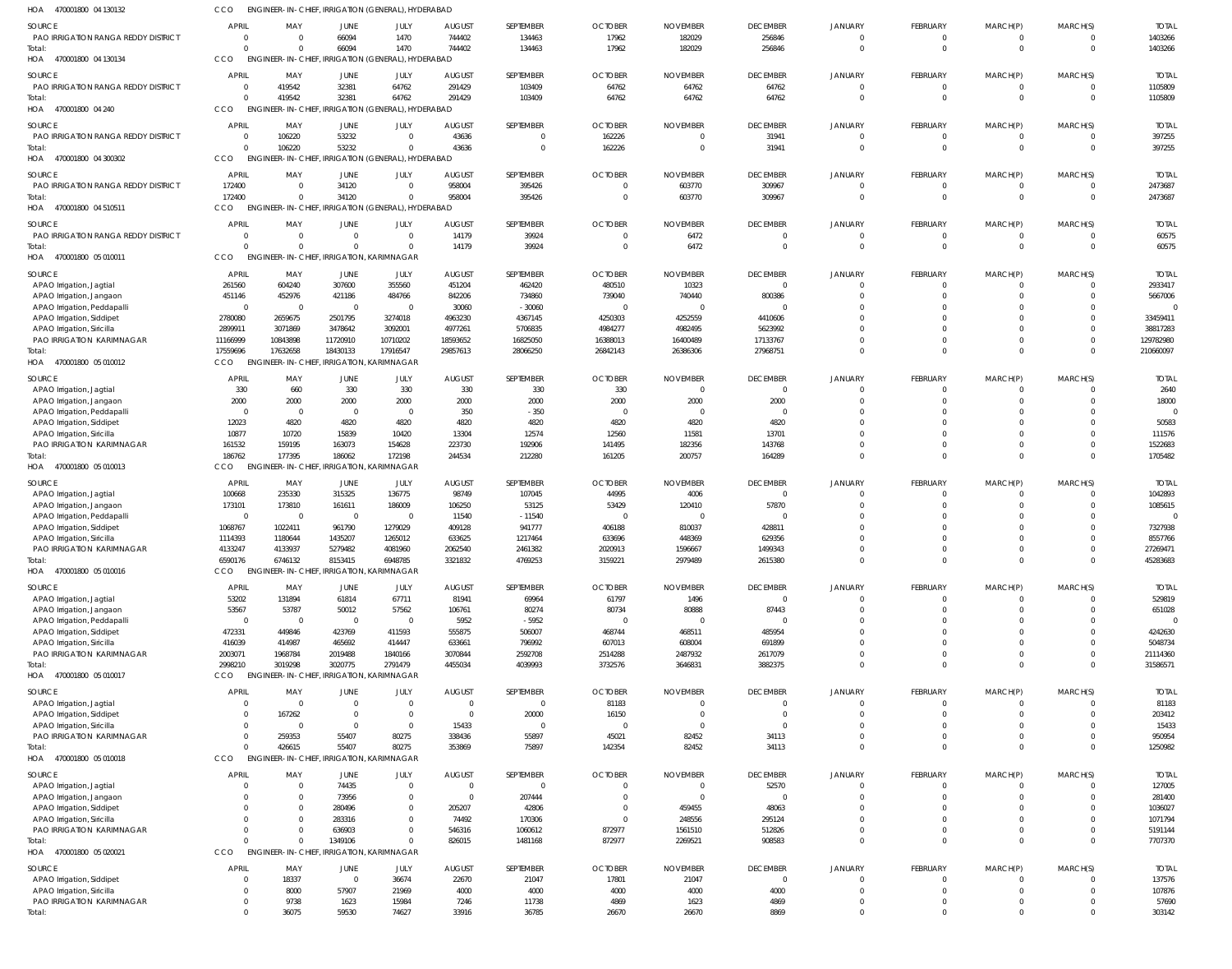| HOA 470001800 04 130132                                  | CCO                        |                                     | ENGINEER-IN-CHIEF, IRRIGATION (GENERAL), HYDERABAD          |                                  |                        |                            |                         |                         |                                   |                            |                                   |                            |                                  |                        |
|----------------------------------------------------------|----------------------------|-------------------------------------|-------------------------------------------------------------|----------------------------------|------------------------|----------------------------|-------------------------|-------------------------|-----------------------------------|----------------------------|-----------------------------------|----------------------------|----------------------------------|------------------------|
| <b>SOURCE</b>                                            | <b>APRIL</b>               | MAY                                 | <b>JUNE</b>                                                 | JULY                             | <b>AUGUST</b>          | SEPTEMBER                  | <b>OCTOBER</b>          | <b>NOVEMBER</b>         | <b>DECEMBER</b>                   | <b>JANUARY</b>             | FEBRUARY                          | MARCH(P)                   | MARCH(S)                         | <b>TOTAI</b>           |
| PAO IRRIGATION RANGA REDDY DISTRICT                      | $\Omega$                   | - 0                                 | 66094                                                       | 1470                             | 744402                 | 134463                     | 17962                   | 182029                  | 256846                            | $\mathbf{0}$               | $\mathbf 0$                       | 0                          | $\Omega$                         | 1403266                |
| Total:<br>HOA 470001800 04 130134                        | $\Omega$<br><b>CCO</b>     |                                     | 66094<br>ENGINEER-IN-CHIEF, IRRIGATION (GENERAL), HYDERABAD | 1470                             | 744402                 | 134463                     | 17962                   | 182029                  | 256846                            | $\Omega$                   | $\mathbf{0}$                      | $\mathbf 0$                | $\overline{0}$                   | 1403266                |
| <b>SOURCE</b>                                            | <b>APRIL</b>               | MAY                                 | JUNE                                                        | JULY                             | <b>AUGUST</b>          | SEPTEMBER                  | <b>OCTOBER</b>          | <b>NOVEMBER</b>         | <b>DECEMBER</b>                   | <b>JANUARY</b>             | FEBRUARY                          | MARCH(P)                   | MARCH(S)                         | <b>TOTAL</b>           |
| PAO IRRIGATION RANGA REDDY DISTRICT                      | $\overline{0}$             | 419542                              | 32381                                                       | 64762                            | 291429                 | 103409                     | 64762                   | 64762                   | 64762                             | $\Omega$                   | $\mathbf{0}$                      | 0                          | $\overline{0}$                   | 1105809                |
| Total:                                                   | $\Omega$                   | 419542                              | 32381                                                       | 64762                            | 291429                 | 103409                     | 64762                   | 64762                   | 64762                             | $\Omega$                   | $\mathbf{0}$                      | $\mathbf 0$                | $\Omega$                         | 1105809                |
| HOA 470001800 04 240                                     | CCO                        |                                     | ENGINEER-IN-CHIEF, IRRIGATION (GENERAL), HYDERABAD          |                                  |                        |                            |                         |                         |                                   |                            |                                   |                            |                                  |                        |
| SOURCE                                                   | <b>APRIL</b>               | MAY                                 | JUNE                                                        | JULY                             | <b>AUGUST</b>          | SEPTEMBER                  | <b>OCTOBER</b>          | <b>NOVEMBER</b>         | <b>DECEMBER</b>                   | <b>JANUARY</b>             | FEBRUARY                          | MARCH(P)                   | MARCH(S)                         | <b>TOTAI</b>           |
| PAO IRRIGATION RANGA REDDY DISTRICT<br>Total:            | $\overline{0}$<br>$\Omega$ | 106220<br>106220                    | 53232<br>53232                                              | $\mathbf 0$<br>$\mathbf{0}$      | 43636<br>43636         | $\mathbf 0$<br>$\mathbf 0$ | 162226<br>162226        | $\Omega$<br>$\Omega$    | 31941<br>31941                    | $\overline{0}$<br>$\Omega$ | $\mathbf{0}$<br>$\mathbf{0}$      | $\mathbf 0$<br>$\mathbf 0$ | $\overline{0}$<br>$\overline{0}$ | 397255<br>397255       |
| 470001800 04 300302<br>HOA                               | CCO                        |                                     | ENGINEER-IN-CHIEF, IRRIGATION (GENERAL), HYDERABAD          |                                  |                        |                            |                         |                         |                                   |                            |                                   |                            |                                  |                        |
| SOURCE                                                   | <b>APRIL</b>               | MAY                                 | JUNE                                                        | JULY                             | <b>AUGUST</b>          | SEPTEMBER                  | <b>OCTOBER</b>          | <b>NOVEMBER</b>         | <b>DECEMBER</b>                   | JANUARY                    | FEBRUARY                          | MARCH(P)                   | MARCH(S)                         | <b>TOTAI</b>           |
| PAO IRRIGATION RANGA REDDY DISTRICT                      | 172400                     | $\Omega$                            | 34120                                                       | $\Omega$                         | 958004                 | 395426                     |                         | 603770                  | 309967                            | $\Omega$                   | 0                                 | 0                          | $\Omega$                         | 2473687                |
| Total:                                                   | 172400                     | $\Omega$                            | 34120                                                       | $\Omega$                         | 958004                 | 395426                     | $\Omega$                | 603770                  | 309967                            | $\Omega$                   | $\mathbf{0}$                      | $\mathbf 0$                | $\overline{0}$                   | 2473687                |
| HOA 470001800 04 510511                                  | CCO                        |                                     | ENGINEER-IN-CHIEF, IRRIGATION (GENERAL), HYDERABAD          |                                  |                        |                            |                         |                         |                                   |                            |                                   |                            |                                  |                        |
| <b>SOURCE</b><br>PAO IRRIGATION RANGA REDDY DISTRICT     | APRIL<br>0                 | MAY<br>- 0                          | <b>JUNE</b><br>$\overline{0}$                               | JULY<br>$\mathbf{0}$             | <b>AUGUST</b><br>14179 | SEPTEMBER<br>39924         | <b>OCTOBER</b>          | <b>NOVEMBER</b><br>6472 | <b>DECEMBER</b><br>$\mathbf{0}$   | <b>JANUARY</b><br>$\Omega$ | FEBRUARY<br>$\overline{0}$        | MARCH(P)<br>0              | MARCH(S)<br>$\Omega$             | <b>TOTAI</b><br>60575  |
| Total:                                                   | $\Omega$                   |                                     | $\Omega$                                                    | $\mathbf 0$                      | 14179                  | 39924                      | $\Omega$                | 6472                    | $\overline{0}$                    | $\Omega$                   | $\mathbf{0}$                      | $\mathbf 0$                | $\overline{0}$                   | 60575                  |
| HOA 470001800 05 010011                                  | CCO                        |                                     | ENGINEER-IN-CHIEF, IRRIGATION, KARIMNAGAR                   |                                  |                        |                            |                         |                         |                                   |                            |                                   |                            |                                  |                        |
| SOURCE                                                   | <b>APRIL</b>               | MAY                                 | JUNE                                                        | JULY                             | <b>AUGUST</b>          | SEPTEMBER                  | <b>OCTOBER</b>          | <b>NOVEMBER</b>         | <b>DECEMBER</b>                   | <b>JANUARY</b>             | FEBRUARY                          | MARCH(P)                   | MARCH(S)                         | <b>TOTA</b>            |
| APAO Irrigation, Jagtial                                 | 261560                     | 604240                              | 307600                                                      | 355560                           | 451204                 | 462420                     | 480510                  | 10323                   | $\overline{0}$                    | $\Omega$                   | 0                                 | 0                          | $\overline{0}$                   | 2933417                |
| APAO Irrigation, Jangaon<br>APAO Irrigation, Peddapalli  | 451146<br>$\mathbf 0$      | 452976<br>$\Omega$                  | 421186<br>$\overline{0}$                                    | 484766<br>$\mathbf{0}$           | 842206<br>30060        | 734860<br>$-30060$         | 739040<br>- 0           | 740440                  | 800386<br>$\Omega$                | $\Omega$                   | $\Omega$<br>$\Omega$              | $\mathbf 0$<br>$\Omega$    | $\Omega$<br>$\Omega$             | 5667006                |
| APAO Irrigation, Siddipet                                | 2780080                    | 2659675                             | 2501795                                                     | 3274018                          | 4963230                | 4367145                    | 4250303                 | 4252559                 | 4410606                           | $\Omega$                   | $\Omega$                          | $\Omega$                   | $\Omega$                         | 33459411               |
| APAO Irrigation, Siricilla                               | 2899911                    | 3071869                             | 3478642                                                     | 3092001                          | 4977261                | 5706835                    | 4984277                 | 4982495                 | 5623992                           |                            | $\Omega$                          | $\Omega$                   | $\Omega$                         | 38817283               |
| PAO IRRIGATION KARIMNAGAR<br>Total:                      | 11166999<br>17559696       | 10843898<br>17632658                | 11720910<br>18430133                                        | 10710202<br>17916547             | 18593652<br>29857613   | 16825050<br>28066250       | 16388013<br>26842143    | 16400489<br>26386306    | 17133767<br>27968751              | $\Omega$<br>$\Omega$       | $\Omega$<br>$\Omega$              | $\Omega$<br>$\Omega$       | $\Omega$<br>$\Omega$             | 129782980<br>210660097 |
| HOA 470001800 05 010012                                  | CCO                        |                                     | ENGINEER-IN-CHIEF, IRRIGATION, KARIMNAGAR                   |                                  |                        |                            |                         |                         |                                   |                            |                                   |                            |                                  |                        |
| SOURCE                                                   | <b>APRIL</b>               | MAY                                 | JUNE                                                        | JULY                             | <b>AUGUST</b>          | SEPTEMBER                  | <b>OCTOBER</b>          | <b>NOVEMBER</b>         | <b>DECEMBER</b>                   | <b>JANUARY</b>             | FEBRUARY                          | MARCH(P)                   | MARCH(S)                         | <b>TOTAI</b>           |
| APAO Irrigation, Jagtial                                 | 330                        | 660                                 | 330                                                         | 330                              | 330                    | 330                        | 330                     | $\Omega$                | $\overline{0}$                    | $\Omega$                   | $\mathbf 0$                       | O                          | $\Omega$                         | 2640                   |
| APAO Irrigation, Jangaon                                 | 2000                       | 2000                                | 2000                                                        | 2000                             | 2000                   | 2000                       | 2000                    | 2000                    | 2000                              | $\Omega$                   | $\mathbf 0$                       | $\Omega$                   | $\Omega$                         | 18000                  |
| APAO Irrigation, Peddapalli<br>APAO Irrigation, Siddipet | $\overline{0}$<br>12023    | $\Omega$<br>4820                    | $\overline{0}$<br>4820                                      | $\overline{0}$<br>4820           | 350<br>4820            | $-350$<br>4820             | $\Omega$<br>4820        | 4820                    | $\Omega$<br>4820                  | $\Omega$<br>$\Omega$       | $\Omega$<br>$\Omega$              | $\Omega$<br>$\Omega$       | $\Omega$<br>$\Omega$             | 50583                  |
| APAO Irrigation, Siricilla                               | 10877                      | 10720                               | 15839                                                       | 10420                            | 13304                  | 12574                      | 12560                   | 11581                   | 13701                             | $\Omega$                   | $\mathbf 0$                       | $\Omega$                   | $\Omega$                         | 111576                 |
| PAO IRRIGATION KARIMNAGAR                                | 161532                     | 159195                              | 163073                                                      | 154628                           | 223730                 | 192906                     | 141495                  | 182356                  | 143768                            | $\Omega$                   | $\mathbf 0$                       | $\overline{0}$             | $\Omega$                         | 1522683                |
| Total:<br>HOA 470001800 05 010013                        | 186762<br>CCO              | 177395<br><b>ENGINEER-IN-CHIEF,</b> | 186062                                                      | 172198<br>IRRIGATION, KARIMNAGAR | 244534                 | 212280                     | 161205                  | 200757                  | 164289                            | $\Omega$                   | $\mathbf 0$                       | $\mathbf 0$                | $\Omega$                         | 1705482                |
| SOURCE                                                   | <b>APRIL</b>               | MAY                                 | JUNE                                                        | JULY                             | <b>AUGUST</b>          | SEPTEMBER                  | <b>OCTOBER</b>          | <b>NOVEMBER</b>         | <b>DECEMBER</b>                   | JANUARY                    | <b>FEBRUARY</b>                   | MARCH(P)                   | MARCH(S)                         | <b>TOTAI</b>           |
| APAO Irrigation, Jagtial                                 | 100668                     | 235330                              | 315325                                                      | 136775                           | 98749                  | 107045                     | 44995                   | 4006                    | $\mathbf 0$                       | $\Omega$                   | $\Omega$                          | 0                          | $\Omega$                         | 1042893                |
| APAO Irrigation, Jangaon                                 | 173101                     | 173810                              | 161611                                                      | 186009                           | 106250                 | 53125                      | 53429                   | 120410                  | 57870                             |                            | $\Omega$                          | $\Omega$                   | $\Omega$                         | 1085615                |
| APAO Irrigation, Peddapalli                              | $\overline{0}$             | $\Omega$                            | $\overline{0}$                                              | $\overline{0}$                   | 11540                  | $-11540$                   | - 0                     |                         |                                   |                            | $\Omega$<br>$\Omega$              | $\Omega$                   | $\Omega$<br>$\Omega$             |                        |
| APAO Irrigation, Siddipet<br>APAO Irrigation, Siricilla  | 1068767<br>1114393         | 1022411<br>1180644                  | 961790<br>1435207                                           | 1279029<br>1265012               | 409128<br>633625       | 941777<br>1217464          | 406188<br>633696        | 810037<br>448369        | 428811<br>629356                  |                            | $\Omega$                          | $\Omega$<br>$\Omega$       | $\Omega$                         | 7327938<br>8557766     |
| PAO IRRIGATION KARIMNAGAR                                | 4133247                    | 4133937                             | 5279482                                                     | 4081960                          | 2062540                | 2461382                    | 2020913                 | 1596667                 | 1499343                           | $\Omega$                   | $\Omega$                          | $\Omega$                   | $\Omega$                         | 27269471               |
| Total:<br>HOA<br>470001800 05 010016                     | 6590176<br>CCO             | 6746132                             | 8153415                                                     | 6948785                          | 3321832                | 4769253                    | 3159221                 | 2979489                 | 2615380                           | $\overline{0}$             | $\overline{0}$                    | $\mathbf 0$                | $\overline{0}$                   | 45283683               |
|                                                          |                            |                                     | ENGINEER-IN-CHIEF, IRRIGATION, KARIMNAGAR                   |                                  |                        |                            |                         |                         |                                   |                            |                                   |                            |                                  |                        |
| SOURCE<br>APAO Irrigation, Jagtial                       | <b>APRIL</b><br>53202      | MAY<br>131894                       | JUNE<br>61814                                               | JULY<br>67711                    | <b>AUGUST</b><br>81941 | SEPTEMBER<br>69964         | <b>OCTOBER</b><br>61797 | <b>NOVEMBER</b><br>1496 | <b>DECEMBER</b><br>$\overline{0}$ | <b>JANUARY</b><br>$\Omega$ | <b>FEBRUARY</b><br>$\overline{0}$ | MARCH(P)<br>$\mathbf 0$    | MARCH(S)<br>$\Omega$             | <b>TOTAL</b><br>529819 |
| APAO Irrigation, Jangaon                                 | 53567                      | 53787                               | 50012                                                       | 57562                            | 106761                 | 80274                      | 80734                   | 80888                   | 87443                             | $\Omega$                   | $\mathbf 0$                       | $\mathbf 0$                | $\Omega$                         | 651028                 |
| APAO Irrigation, Peddapalli                              | $\overline{0}$             | - 0                                 | $\overline{0}$                                              | $\mathbf{0}$                     | 5952                   | $-5952$                    | - 0                     |                         | $\Omega$                          | $\Omega$                   | $\Omega$                          | $\Omega$                   | $\Omega$                         | $\Omega$               |
| APAO Irrigation, Siddipet<br>APAO Irrigation, Siricilla  | 472331<br>416039           | 449846<br>414987                    | 423769<br>465692                                            | 411593<br>414447                 | 555875<br>633661       | 506007<br>796992           | 468744<br>607013        | 468511<br>608004        | 485954<br>691899                  | $\Omega$<br>$\Omega$       | $\Omega$<br>$\Omega$              | $\Omega$<br>$\Omega$       | $\Omega$<br>$\Omega$             | 4242630<br>5048734     |
| PAO IRRIGATION KARIMNAGAR                                | 2003071                    | 1968784                             | 2019488                                                     | 1840166                          | 3070844                | 2592708                    | 2514288                 | 2487932                 | 2617079                           | $\Omega$                   | $\mathbf 0$                       | $\mathbf 0$                | $\Omega$                         | 21114360               |
| Total:                                                   | 2998210                    | 3019298                             | 3020775                                                     | 2791479                          | 4455034                | 4039993                    | 3732576                 | 3646831                 | 3882375                           | $\Omega$                   | $\mathbf 0$                       | $\mathbf 0$                | $\Omega$                         | 31586571               |
| HOA 470001800 05 010017                                  | CCO                        |                                     | ENGINEER-IN-CHIEF, IRRIGATION, KARIMNAGAR                   |                                  |                        |                            |                         |                         |                                   |                            |                                   |                            |                                  |                        |
| SOURCE                                                   | <b>APRIL</b>               | MAY                                 | JUNE                                                        | JULY                             | <b>AUGUST</b>          | SEPTEMBER                  | <b>OCTOBER</b>          | <b>NOVEMBER</b>         | <b>DECEMBER</b>                   | <b>JANUARY</b>             | FEBRUARY                          | MARCH(P)                   | MARCH(S)                         | <b>TOTAI</b>           |
| APAO Irrigation, Jagtial<br>APAO Irrigation, Siddipet    | $\Omega$<br>0              | $\Omega$<br>167262                  | $\Omega$<br>$\Omega$                                        | $\mathbf 0$<br>$\mathbf 0$       | $\Omega$<br>$\Omega$   | $\mathbf{0}$<br>20000      | 81183<br>16150          | $\Omega$                | $\Omega$<br>$\mathbf{0}$          | $\Omega$<br>$\Omega$       | $\mathbf 0$<br>$\Omega$           | $\mathbf 0$<br>$\mathbf 0$ | $\Omega$<br>$\Omega$             | 81183<br>203412        |
| APAO Irrigation, Siricilla                               | 0                          | $\Omega$                            | $\Omega$                                                    | $\mathbf 0$                      | 15433                  | $\overline{0}$             | $\Omega$                | $\Omega$                | $\Omega$                          | $\Omega$                   | $\Omega$                          | $\Omega$                   | $\Omega$                         | 15433                  |
| PAO IRRIGATION KARIMNAGAR                                | $\Omega$                   | 259353                              | 55407                                                       | 80275                            | 338436                 | 55897                      | 45021                   | 82452                   | 34113                             | $\Omega$<br>$\Omega$       | $\Omega$                          | $\Omega$                   | $\Omega$<br>$\Omega$             | 950954                 |
| Total:<br>HOA 470001800 05 010018                        | $\Omega$<br>CCO            | 426615                              | 55407<br>ENGINEER-IN-CHIEF, IRRIGATION, KARIMNAGAR          | 80275                            | 353869                 | 75897                      | 142354                  | 82452                   | 34113                             |                            | $\mathbf 0$                       | $\mathbf 0$                |                                  | 1250982                |
| SOURCE                                                   | APRIL                      | MAY                                 | JUNE                                                        | JULY                             | <b>AUGUST</b>          | SEPTEMBER                  | <b>OCTOBER</b>          | <b>NOVEMBER</b>         | <b>DECEMBER</b>                   | <b>JANUARY</b>             | FEBRUARY                          | MARCH(P)                   | MARCH(S)                         | <b>TOTAL</b>           |
| APAO Irrigation, Jagtial                                 | 0                          | - 0                                 | 74435                                                       | $\mathbf{0}$                     | $\Omega$               | $\overline{0}$             |                         |                         | 52570                             | $\Omega$                   | 0                                 | O                          | $\Omega$                         | 127005                 |
| APAO Irrigation, Jangaon                                 | 0                          |                                     | 73956                                                       | $\mathbf 0$                      | $\Omega$               | 207444                     |                         |                         | $\mathbf{0}$                      | $\Omega$                   | $\mathbf 0$                       | $\mathbf 0$                | $\Omega$                         | 281400                 |
| APAO Irrigation, Siddipet                                | $\Omega$<br>0              |                                     | 280496<br>283316                                            | $\mathbf{0}$<br>$\mathbf{0}$     | 205207<br>74492        | 42806<br>170306            | $\Omega$                | 459455<br>248556        | 48063<br>295124                   | $\Omega$<br>$\Omega$       | $\Omega$<br>$\Omega$              | $\Omega$<br>$\Omega$       | $\Omega$<br>$\Omega$             | 1036027<br>1071794     |
| APAO Irrigation, Siricilla<br>PAO IRRIGATION KARIMNAGAR  | $\Omega$                   |                                     | 636903                                                      | $\mathbf 0$                      | 546316                 | 1060612                    | 872977                  | 1561510                 | 512826                            | $\Omega$                   | $\mathbf 0$                       | $\mathbf 0$                | $\Omega$                         | 5191144                |
| Total:                                                   | $\Omega$                   |                                     | 1349106                                                     | $\Omega$                         | 826015                 | 1481168                    | 872977                  | 2269521                 | 908583                            | $\Omega$                   | $\mathbf 0$                       | $\mathbf 0$                | $\Omega$                         | 7707370                |
| HOA 470001800 05 020021                                  | CCO                        | ENGINEER-IN-CHIEF,                  |                                                             | IRRIGATION, KARIMNAGAR           |                        |                            |                         |                         |                                   |                            |                                   |                            |                                  |                        |
| SOURCE                                                   | <b>APRIL</b>               | MAY                                 | <b>JUNE</b>                                                 | JULY                             | <b>AUGUST</b>          | SEPTEMBER                  | <b>OCTOBER</b>          | <b>NOVEMBER</b>         | <b>DECEMBER</b>                   | <b>JANUARY</b>             | FEBRUARY                          | MARCH(P)                   | MARCH(S)                         | <b>TOTAI</b>           |
| APAO Irrigation, Siddipet<br>APAO Irrigation, Siricilla  | $\Omega$<br>0              | 18337<br>8000                       | $\overline{0}$<br>57907                                     | 36674<br>21969                   | 22670<br>4000          | 21047<br>4000              | 17801<br>4000           | 21047<br>4000           | $\mathbf{0}$<br>4000              | $\Omega$<br>$\overline{0}$ | 0<br>$\mathbf 0$                  | $\Omega$<br>$\mathbf 0$    | $\Omega$<br>$\Omega$             | 137576<br>107876       |
| PAO IRRIGATION KARIMNAGAR                                | $\mathbf{0}$               | 9738                                | 1623                                                        | 15984                            | 7246                   | 11738                      | 4869                    | 1623                    | 4869                              | $\overline{0}$             | $\mathbf 0$                       | $\mathbf 0$                | $\overline{0}$                   | 57690                  |
| Total:                                                   | $\Omega$                   | 36075                               | 59530                                                       | 74627                            | 33916                  | 36785                      | 26670                   | 26670                   | 8869                              | $\Omega$                   | $\Omega$                          | $\mathbf 0$                | $\Omega$                         | 303142                 |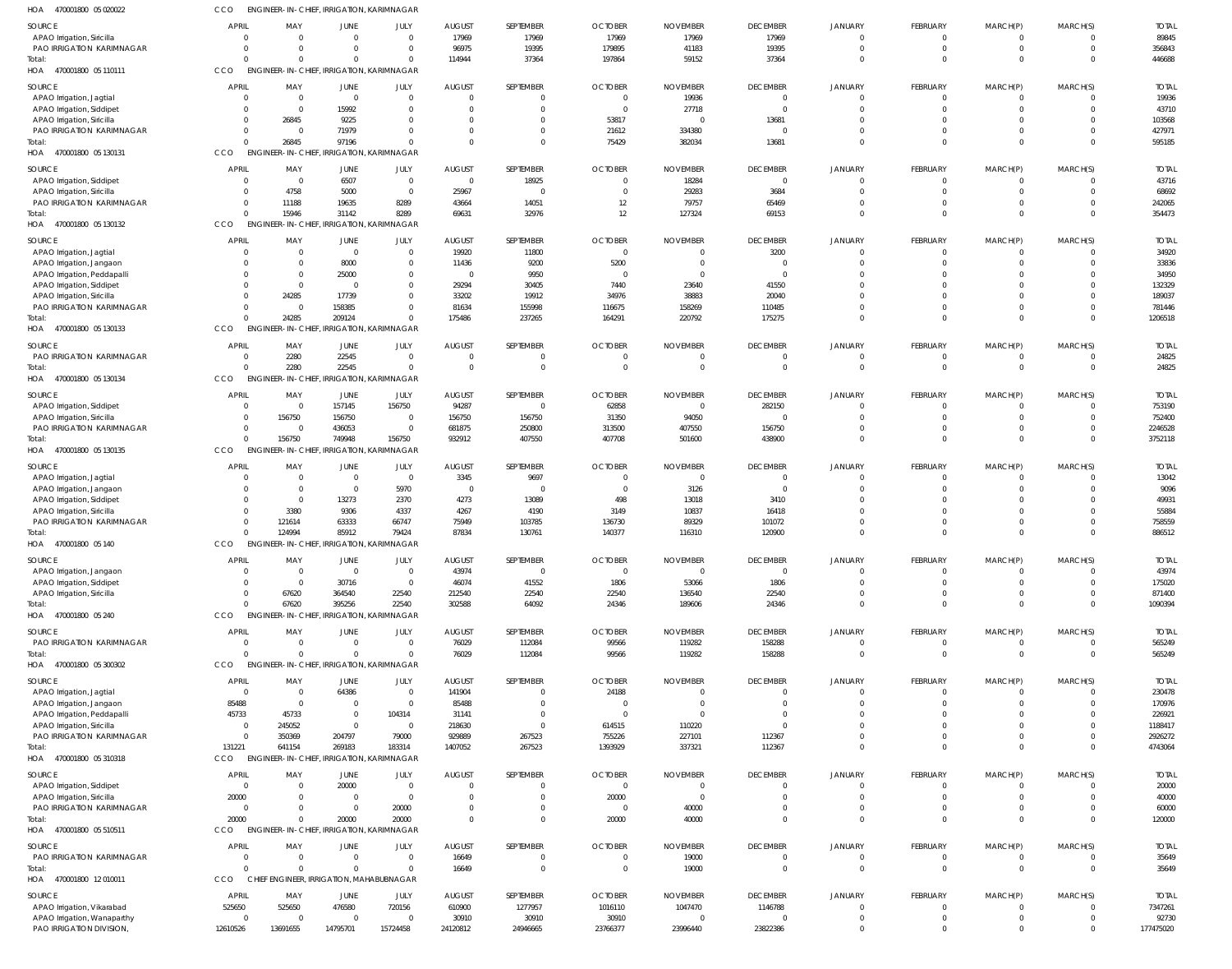| HOA<br>470001800 05 020022                                | CCO.                    | ENGINEER-IN-CHIEF, IRRIGATION, KARIMNAGAR |                                           |                            |                         |                               |                      |                 |                            |                               |                      |                           |                              |                   |
|-----------------------------------------------------------|-------------------------|-------------------------------------------|-------------------------------------------|----------------------------|-------------------------|-------------------------------|----------------------|-----------------|----------------------------|-------------------------------|----------------------|---------------------------|------------------------------|-------------------|
| SOURCE                                                    | <b>APRIL</b>            | MAY                                       | <b>JUNE</b>                               | JULY                       | <b>AUGUST</b>           | SEPTEMBER                     | <b>OCTOBER</b>       | <b>NOVEMBER</b> | <b>DECEMBER</b>            | JANUARY                       | FEBRUARY             | MARCH(P)                  | MARCH(S)                     | <b>TOTAI</b>      |
| APAO Irrigation, Siricilla                                | $\sqrt{ }$              | $\Omega$                                  | $\mathbf 0$                               | $\overline{0}$             | 17969                   | 17969                         | 17969                | 17969           | 17969                      | $\mathbf 0$                   | $\mathbf 0$          | $\mathbf 0$               | $\Omega$                     | 89845             |
| <b>PAO IRRIGATION KARIMNAGAR</b>                          | $\Omega$                |                                           | $\Omega$                                  | $\overline{0}$             | 96975                   | 19395                         | 179895               | 41183           | 19395                      | $\overline{0}$                | $\mathbf 0$          | $\mathbf 0$               | $\mathbf 0$                  | 356843            |
| Total:                                                    |                         |                                           | $\Omega$                                  | $\mathbf 0$                | 114944                  | 37364                         | 197864               | 59152           | 37364                      | $\overline{0}$                | $\Omega$             | $\Omega$                  | $\Omega$                     | 446688            |
| 470001800 05 110111<br>HOA                                | CCO                     | ENGINEER-IN-CHIEF, IRRIGATION, KARIMNAGAR |                                           |                            |                         |                               |                      |                 |                            |                               |                      |                           |                              |                   |
| SOURCE                                                    | <b>APRIL</b>            | MAY                                       | <b>JUNE</b>                               | JULY                       | <b>AUGUST</b>           | SEPTEMBER                     | <b>OCTOBER</b>       | <b>NOVEMBER</b> | <b>DECEMBER</b>            | <b>JANUARY</b>                | FEBRUARY             | MARCH(P)                  | MARCH(S)                     | <b>TOTAI</b>      |
| APAO Irrigation, Jagtial                                  | $\Omega$                | $\Omega$                                  | $\Omega$                                  | $\overline{0}$             | $\Omega$                | - 0                           | $\Omega$             | 19936           | $\overline{0}$             | $\Omega$                      | - ()                 | 0                         | 0                            | 19936             |
| APAO Irrigation, Siddipet<br>APAO Irrigation, Siricilla   | $\Omega$<br>- 0         | $\Omega$<br>26845                         | 15992<br>9225                             | $\Omega$<br>$\Omega$       | $\Omega$<br>$\Omega$    | $\Omega$<br>$\Omega$          | $\Omega$<br>53817    | 27718           | $\overline{0}$<br>13681    | $\Omega$<br>$\Omega$          |                      | $\mathbf 0$<br>$\Omega$   | $\Omega$<br><sup>0</sup>     | 43710<br>103568   |
| PAO IRRIGATION KARIMNAGAR                                 | $\Omega$                | $\Omega$                                  | 71979                                     | $\Omega$                   | $\Omega$                | $\mathbf 0$                   | 21612                | 334380          | $\circ$                    | $\mathbf 0$                   | $\Omega$             | $\mathbf 0$               | $\Omega$                     | 427971            |
| Total:                                                    |                         | 26845                                     | 97196                                     | $\Omega$                   | $\Omega$                | $\Omega$                      | 75429                | 382034          | 13681                      | $\Omega$                      |                      | $\Omega$                  | $\Omega$                     | 595185            |
| HOA<br>470001800 05 130131                                | <b>CCO</b>              | ENGINEER-IN-CHIEF, IRRIGATION, KARIMNAGAR |                                           |                            |                         |                               |                      |                 |                            |                               |                      |                           |                              |                   |
| SOURCE                                                    | <b>APRIL</b>            | MAY                                       | JUNE                                      | JULY                       | <b>AUGUST</b>           | SEPTEMBER                     | <b>OCTOBER</b>       | <b>NOVEMBER</b> | <b>DECEMBER</b>            | JANUARY                       | FEBRUARY             | MARCH(P)                  | MARCH(S)                     | <b>TOTAI</b>      |
| APAO Irrigation, Siddipet                                 | - 0                     | $\overline{0}$                            | 6507                                      | $\overline{0}$             | $\overline{0}$          | 18925                         | $\mathbf{0}$         | 18284           | $\overline{0}$             | $\mathbf 0$                   | $\Omega$             | $\mathbf 0$               | $\mathbf 0$                  | 43716             |
| APAO Irrigation, Siricilla                                | -0                      | 4758                                      | 5000                                      | $\overline{0}$             | 25967                   | $\overline{0}$                | $\Omega$             | 29283           | 3684                       | $\mathbf 0$                   | $\mathbf 0$          | $\mathbf 0$               | $\mathbf 0$                  | 68692             |
| PAO IRRIGATION KARIMNAGAR                                 | $\Omega$                | 11188                                     | 19635                                     | 8289                       | 43664                   | 14051                         | 12                   | 79757           | 65469                      | $\overline{0}$                | $\mathbf 0$          | $\mathbf 0$               | $\mathbf 0$                  | 242065            |
| Total:                                                    | $\Omega$                | 15946                                     | 31142                                     | 8289                       | 69631                   | 32976                         | 12                   | 127324          | 69153                      | $\overline{0}$                | $\Omega$             | $\Omega$                  | $\Omega$                     | 354473            |
| HOA<br>470001800 05 130132                                | <b>CCO</b>              | ENGINEER-IN-CHIEF, IRRIGATION, KARIMNAGAR |                                           |                            |                         |                               |                      |                 |                            |                               |                      |                           |                              |                   |
| SOURCE                                                    | <b>APRIL</b>            | MAY                                       | JUNE                                      | JULY                       | <b>AUGUST</b>           | SEPTEMBER                     | <b>OCTOBER</b>       | <b>NOVEMBER</b> | <b>DECEMBER</b>            | JANUARY                       | FEBRUARY             | MARCH(P)                  | MARCH(S)                     | <b>TOTAI</b>      |
| APAO Irrigation, Jagtial                                  | $\Omega$                | $\Omega$                                  | $\overline{0}$                            | $\overline{0}$             | 19920                   | 11800                         | $\Omega$             | $\Omega$        | 3200                       | $\mathbf 0$                   |                      | -0                        | <sup>0</sup>                 | 34920             |
| APAO Irrigation, Jangaon                                  |                         |                                           | 8000                                      | $\overline{0}$             | 11436                   | 9200                          | 5200                 | $\Omega$        | $\overline{\mathbf{0}}$    | $\mathbf 0$                   |                      | $^{\circ}$                | <sup>0</sup>                 | 33836             |
| APAO Irrigation, Peddapalli<br>APAO Irrigation, Siddipet  | $\Omega$<br>$\Omega$    | $\Omega$<br>$\Omega$                      | 25000<br>$\Omega$                         | $\mathbf 0$<br>$\mathbf 0$ | $\overline{0}$<br>29294 | 9950<br>30405                 | 7440                 | 23640           | $\Omega$<br>41550          | $\Omega$<br>$\Omega$          |                      | $\Omega$<br>$\Omega$      | <sup>0</sup>                 | 34950<br>132329   |
| APAO Irrigation, Siricilla                                | $\Omega$                | 24285                                     | 17739                                     | $\mathbf 0$                | 33202                   | 19912                         | 34976                | 38883           | 20040                      | $\Omega$                      |                      | $\Omega$                  | $\Omega$                     | 189037            |
| PAO IRRIGATION KARIMNAGAR                                 | $\Omega$                | $\Omega$                                  | 158385                                    | $\Omega$                   | 81634                   | 155998                        | 116675               | 158269          | 110485                     | $\Omega$                      | $\Omega$             | $\mathbf 0$               | $\Omega$                     | 781446            |
| Total:                                                    | $\Omega$                | 24285                                     | 209124                                    | $\Omega$                   | 175486                  | 237265                        | 164291               | 220792          | 175275                     | $\Omega$                      |                      | $\Omega$                  | $\Omega$                     | 1206518           |
| 470001800 05 130133<br>HOA                                | CCO                     | ENGINEER-IN-CHIEF, IRRIGATION, KARIMNAGAR |                                           |                            |                         |                               |                      |                 |                            |                               |                      |                           |                              |                   |
| SOURCE                                                    | <b>APRIL</b>            | MAY                                       | <b>JUNE</b>                               | JULY                       | <b>AUGUST</b>           | SEPTEMBER                     | <b>OCTOBER</b>       | <b>NOVEMBER</b> | <b>DECEMBER</b>            | <b>JANUARY</b>                | FEBRUARY             | MARCH(P)                  | MARCH(S)                     | <b>TOTAL</b>      |
| PAO IRRIGATION KARIMNAGAR                                 | $\Omega$                | 2280                                      | 22545                                     | $\overline{0}$             | $\Omega$                | $\overline{0}$                | $\Omega$             | $\Omega$        | $\overline{0}$             | $\mathbf 0$                   | $\mathbf 0$          | $\mathbf 0$               | $\mathbf 0$                  | 24825             |
| Total:                                                    |                         | 2280                                      | 22545                                     | $\overline{0}$             | $\Omega$                | $\mathbf 0$                   | $\Omega$             | $\Omega$        | $\overline{0}$             | $\overline{0}$                | $\Omega$             | $\mathbf 0$               | $\mathbf{0}$                 | 24825             |
| 470001800 05 130134<br>HOA                                | CCO                     | ENGINEER-IN-CHIEF, IRRIGATION, KARIMNAGAR |                                           |                            |                         |                               |                      |                 |                            |                               |                      |                           |                              |                   |
| SOURCE                                                    | <b>APRIL</b>            | MAY                                       | <b>JUNE</b>                               | JULY                       | <b>AUGUST</b>           | SEPTEMBER                     | <b>OCTOBER</b>       | <b>NOVEMBER</b> | <b>DECEMBER</b>            | <b>JANUARY</b>                | FEBRUARY             | MARCH(P)                  | MARCH(S)                     | <b>TOTAI</b>      |
| APAO Irrigation, Siddipet                                 | - 0                     | - 0                                       | 157145                                    | 156750                     | 94287                   | - 0                           | 62858                | $\Omega$        | 282150                     | $\mathbf 0$                   |                      | -0                        | 0                            | 753190            |
| APAO Irrigation, Siricilla                                | $\Omega$                | 156750                                    | 156750                                    | $\overline{0}$             | 156750                  | 156750                        | 31350                | 94050           | $\overline{0}$             | $\Omega$                      | $\Omega$             | $\mathbf 0$               | $\Omega$                     | 752400            |
| PAO IRRIGATION KARIMNAGAR                                 | $\Omega$                | - 0                                       | 436053                                    | $\overline{0}$             | 681875                  | 250800                        | 313500               | 407550          | 156750                     | $\Omega$                      | $\Omega$             | $\mathbf 0$               | $\Omega$                     | 2246528           |
| Total:                                                    |                         | 156750                                    | 749948                                    | 156750                     | 932912                  | 407550                        | 407708               | 501600          | 438900                     | $\Omega$                      | $\Omega$             | $\Omega$                  | $\Omega$                     | 3752118           |
| HOA 470001800 05 130135                                   | <b>CCO</b>              | ENGINEER-IN-CHIEF, IRRIGATION, KARIMNAGAR |                                           |                            |                         |                               |                      |                 |                            |                               |                      |                           |                              |                   |
| SOURCE                                                    | <b>APRIL</b>            | MAY                                       | <b>JUNE</b>                               | JULY                       | <b>AUGUST</b>           | SEPTEMBER                     | <b>OCTOBER</b>       | <b>NOVEMBER</b> | <b>DECEMBER</b>            | JANUARY                       | <b>FEBRUARY</b>      | MARCH(P)                  | MARCH(S)                     | <b>TOTAL</b>      |
| APAO Irrigation, Jagtial                                  |                         | - 0                                       | 0                                         | $\overline{0}$             | 3345                    | 9697                          | $\Omega$             | $\Omega$        | $\overline{0}$             | $\mathbf 0$                   | $\mathbf 0$          | $^{\circ}$                | $\mathbf 0$                  | 13042             |
| APAO Irrigation, Jangaon<br>APAO Irrigation, Siddipet     | -0<br>-0                | $\Omega$<br>$\Omega$                      | $\mathbf 0$                               | 5970                       | $\overline{0}$<br>4273  | $\overline{0}$<br>13089       | $\Omega$<br>498      | 3126<br>13018   | $\overline{0}$<br>3410     | $\overline{0}$<br>$\mathbf 0$ | $\Omega$<br>$\Omega$ | $\mathbf 0$<br>$^{\circ}$ | $\Omega$<br>$\Omega$         | 9096<br>49931     |
| APAO Irrigation, Siricilla                                |                         | 3380                                      | 13273<br>9306                             | 2370<br>4337               | 4267                    | 4190                          | 3149                 | 10837           | 16418                      | $\mathbf 0$                   | $\Omega$             | $\mathbf 0$               | $\Omega$                     | 55884             |
| PAO IRRIGATION KARIMNAGAR                                 | $\Omega$                | 121614                                    | 63333                                     | 66747                      | 75949                   | 103785                        | 136730               | 89329           | 101072                     | $\Omega$                      | $\Omega$             | $\mathbf{0}$              | $\Omega$                     | 758559            |
| Total:                                                    |                         | 124994                                    | 85912                                     | 79424                      | 87834                   | 130761                        | 140377               | 116310          | 120900                     | $\Omega$                      | $\Omega$             | $\Omega$                  | $\Omega$                     | 886512            |
| HOA 470001800 05 140                                      | CCO                     | ENGINEER-IN-CHIEF, IRRIGATION, KARIMNAGAR |                                           |                            |                         |                               |                      |                 |                            |                               |                      |                           |                              |                   |
| SOURCE                                                    | APRIL                   | MAY                                       | JUNE                                      | JULY                       | <b>AUGUST</b>           | SEPTEMBER                     | <b>OCTOBER</b>       | <b>NOVEMBER</b> | <b>DECEMBER</b>            | <b>JANUARY</b>                | FEBRUARY             | MARCH(P)                  | MARCH(S)                     | <b>TOTAL</b>      |
| APAO Irrigation, Jangaon                                  | $\overline{0}$          | $\Omega$                                  | $\overline{0}$                            | $\overline{0}$             | 43974                   | $\overline{0}$                | $\overline{0}$       | $\Omega$        | $\overline{0}$             | $\mathbf 0$                   | -0                   | $\Omega$                  | <sup>0</sup>                 | 43974             |
| APAO Irrigation, Siddipet                                 | $\Omega$                | $\Omega$                                  | 30716                                     | $\overline{0}$             | 46074                   | 41552                         | 1806                 | 53066           | 1806                       | $\mathbf 0$                   | $\Omega$             | $\mathbf 0$               | $\Omega$                     | 175020            |
| APAO Irrigation, Siricilla                                | $\Omega$                | 67620                                     | 364540                                    | 22540                      | 212540                  | 22540                         | 22540                | 136540          | 22540                      | $\Omega$                      | $\Omega$             | $\mathbf 0$               | 0                            | 871400            |
| Total:                                                    |                         | 67620                                     | 395256                                    | 22540                      | 302588                  | 64092                         | 24346                | 189606          | 24346                      | $\Omega$                      | $\Omega$             | $\Omega$                  | $\Omega$                     | 1090394           |
| HOA 470001800 05 240                                      | CCO                     | ENGINEER-IN-CHIEF, IRRIGATION, KARIMNAGAR |                                           |                            |                         |                               |                      |                 |                            |                               |                      |                           |                              |                   |
| SOURCE                                                    | <b>APRIL</b>            | MAY                                       | <b>JUNE</b>                               | JULY                       | <b>AUGUST</b>           | SEPTEMBER                     | <b>OCTOBER</b>       | <b>NOVEMBER</b> | <b>DECEMBER</b>            | <b>JANUARY</b>                | FEBRUARY             | MARCH(P)                  | MARCH(S)                     | <b>TOTAL</b>      |
| PAO IRRIGATION KARIMNAGAR                                 | $\circ$                 | $\Omega$                                  | $\mathbf 0$                               | $\overline{0}$             | 76029                   | 112084                        | 99566                | 119282          | 158288                     | $\overline{0}$                | $\mathbf 0$          | $\mathbf 0$               | $\mathbf 0$                  | 565249            |
| Total:                                                    | $\Omega$                |                                           | $\Omega$                                  | $\overline{0}$             | 76029                   | 112084                        | 99566                | 119282          | 158288                     | $\overline{0}$                | $\Omega$             | $\mathbf 0$               | $\mathbf 0$                  | 565249            |
| HOA<br>470001800 05 300302                                | CCO                     | ENGINEER-IN-CHIEF, IRRIGATION, KARIMNAGAR |                                           |                            |                         |                               |                      |                 |                            |                               |                      |                           |                              |                   |
| SOURCE                                                    | <b>APRIL</b>            | MAY                                       | <b>JUNE</b>                               | JULY                       | <b>AUGUST</b>           | SEPTEMBER                     | <b>OCTOBER</b>       | <b>NOVEMBER</b> | <b>DECEMBER</b>            | JANUARY                       | FEBRUARY             | MARCH(P)                  | MARCH(S)                     | <b>TOTAI</b>      |
| APAO Irrigation, Jagtial                                  | $\Omega$                | $\Omega$                                  | 64386                                     | $\overline{0}$             | 141904                  | $^{\circ}$                    | 24188                | $\Omega$        | $\Omega$                   | $\Omega$                      |                      | $\Omega$                  | <sup>0</sup>                 | 230478            |
| APAO Irrigation, Jangaon                                  | 85488                   | $\Omega$                                  | $\overline{0}$                            | $\overline{0}$             | 85488                   | $\overline{0}$                | $\Omega$<br>$\Omega$ | $\Omega$        | $\overline{0}$<br>$\Omega$ | $\Omega$<br>$\Omega$          |                      | $^{\circ}$                | <sup>0</sup><br><sup>0</sup> | 170976            |
| APAO Irrigation, Peddapalli<br>APAO Irrigation, Siricilla | 45733<br>$\overline{0}$ | 45733<br>245052                           | $\overline{0}$<br>$\mathbf 0$             | 104314<br>$\overline{0}$   | 31141<br>218630         | $\overline{0}$<br>$\mathbf 0$ | 614515               | 110220          | $\Omega$                   | $\Omega$                      |                      | $\Omega$<br>$\Omega$      | 0                            | 226921<br>1188417 |
| PAO IRRIGATION KARIMNAGAR                                 | $\Omega$                | 350369                                    | 204797                                    | 79000                      | 929889                  | 267523                        | 755226               | 227101          | 112367                     | $\Omega$                      | $\Omega$             | $\mathbf 0$               | $\Omega$                     | 2926272           |
| Total:                                                    | 131221                  | 641154                                    | 269183                                    | 183314                     | 1407052                 | 267523                        | 1393929              | 337321          | 112367                     | $\Omega$                      | $\Omega$             | $\Omega$                  | $\Omega$                     | 4743064           |
| HOA 470001800 05 310318                                   | CCO                     | ENGINEER-IN-CHIEF, IRRIGATION, KARIMNAGAR |                                           |                            |                         |                               |                      |                 |                            |                               |                      |                           |                              |                   |
| SOURCE                                                    | <b>APRIL</b>            | MAY                                       | <b>JUNE</b>                               | JULY                       | <b>AUGUST</b>           | SEPTEMBER                     | <b>OCTOBER</b>       | <b>NOVEMBER</b> | <b>DECEMBER</b>            | <b>JANUARY</b>                | FEBRUARY             | MARCH(P)                  | MARCH(S)                     | <b>TOTAL</b>      |
| APAO Irrigation, Siddipet                                 | $\overline{0}$          | $\Omega$                                  | 20000                                     | $\overline{0}$             | $\overline{0}$          | $\mathbf 0$                   | $\overline{0}$       | $\Omega$        | $\overline{0}$             | $\mathbf 0$                   | $\mathbf 0$          | $^{\circ}$                | $\Omega$                     | 20000             |
| APAO Irrigation, Siricilla                                | 20000                   | $\Omega$                                  | $\overline{0}$                            | $\overline{0}$             | $\Omega$                | $\mathbf{0}$                  | 20000                | $\Omega$        | $\overline{0}$             | $\overline{0}$                | $\mathbf 0$          | $\mathbf 0$               | $\mathbf 0$                  | 40000             |
| <b>PAO IRRIGATION KARIMNAGAR</b>                          | $\circ$                 | $\Omega$                                  | $\mathbf 0$                               | 20000                      | $\Omega$                | $\mathbf{0}$                  | $\overline{0}$       | 40000           | $\overline{0}$             | $\overline{0}$                | $\mathbf 0$          | $\mathbf 0$               | $\mathbf 0$                  | 60000             |
| Total:                                                    | 20000                   | $\Omega$                                  | 20000                                     | 20000                      | $\Omega$                | $\mathbf 0$                   | 20000                | 40000           | $\Omega$                   | $\overline{0}$                | $\Omega$             | $\Omega$                  | $\Omega$                     | 120000            |
| HOA 470001800 05 510511                                   | CCO                     | ENGINEER-IN-CHIEF, IRRIGATION, KARIMNAGAR |                                           |                            |                         |                               |                      |                 |                            |                               |                      |                           |                              |                   |
| SOURCE                                                    | <b>APRIL</b>            | MAY                                       | <b>JUNE</b>                               | JULY                       | <b>AUGUST</b>           | SEPTEMBER                     | <b>OCTOBER</b>       | <b>NOVEMBER</b> | <b>DECEMBER</b>            | <b>JANUARY</b>                | FEBRUARY             | MARCH(P)                  | MARCH(S)                     | <b>TOTAL</b>      |
| <b>PAO IRRIGATION KARIMNAGAR</b>                          | $\Omega$                | $\Omega$                                  | $\mathbf 0$                               | $\overline{0}$             | 16649                   | $\overline{0}$                | $\overline{0}$       | 19000           | $\overline{0}$             | $\overline{0}$                | $\mathbf 0$          | $\mathbf 0$               | $\mathbf 0$                  | 35649             |
| Total:                                                    | $\Omega$                | $\Omega$                                  | $\Omega$                                  | $\Omega$                   | 16649                   | $\mathbf 0$                   | $\Omega$             | 19000           | $\overline{0}$             | $\Omega$                      | $\Omega$             | $\Omega$                  | $\Omega$                     | 35649             |
| HOA 470001800 12 010011                                   | CCO                     | <b>CHIEF</b>                              | <b>ENGINEER, IRRIGATION, MAHABUBNAGAR</b> |                            |                         |                               |                      |                 |                            |                               |                      |                           |                              |                   |
| SOURCE                                                    | APRIL                   | MAY                                       | <b>JUNE</b>                               | JULY                       | <b>AUGUST</b>           | SEPTEMBER                     | <b>OCTOBER</b>       | <b>NOVEMBER</b> | <b>DECEMBER</b>            | JANUARY                       | FEBRUARY             | MARCH(P)                  | MARCH(S)                     | <b>TOTAL</b>      |
| APAO Irrigation, Vikarabad                                | 525650                  | 525650                                    | 476580                                    | 720156                     | 610900                  | 1277957                       | 1016110              | 1047470         | 1146788                    | $\overline{0}$                | $\mathbf 0$          | $\mathbf 0$               | $\mathbf{0}$                 | 7347261           |
| APAO Irrigation, Wanaparthy                               | $\overline{0}$          | $\Omega$                                  | $\mathbf 0$                               | $\overline{0}$             | 30910                   | 30910                         | 30910                |                 | $\overline{\phantom{0}}$   | $\overline{0}$                | $\mathbf 0$          | $\overline{0}$            | $\mathbf{0}$                 | 92730             |
| PAO IRRIGATION DIVISION,                                  | 12610526                | 13691655                                  | 14795701                                  | 15724458                   | 24120812                | 24946665                      | 23766377             | 23996440        | 23822386                   | $\overline{0}$                | $\Omega$             | $\mathbf 0$               | $\Omega$                     | 177475020         |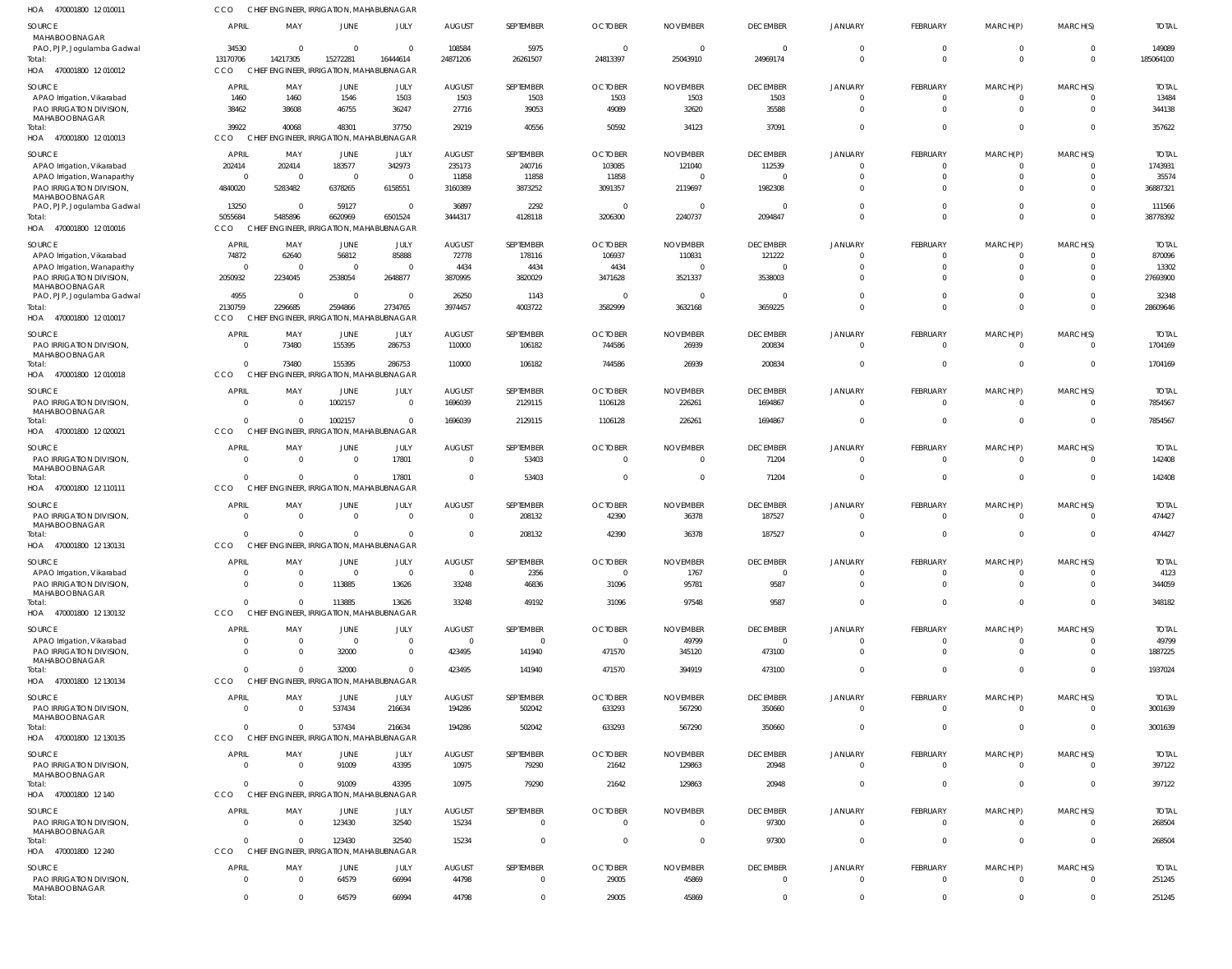| 470001800 12 010011<br>HOA                             | CCO                      |                            | CHIEF ENGINEER, IRRIGATION, MAHABUBNAGAR           |                                  |                         |                        |                                   |                             |                                    |                                  |                            |                                  |                                  |                         |
|--------------------------------------------------------|--------------------------|----------------------------|----------------------------------------------------|----------------------------------|-------------------------|------------------------|-----------------------------------|-----------------------------|------------------------------------|----------------------------------|----------------------------|----------------------------------|----------------------------------|-------------------------|
| SOURCE<br>MAHABOOBNAGAR                                | APRI                     | MAY                        | JUNE                                               | JULY                             | <b>AUGUST</b>           | SEPTEMBER              | <b>OCTOBER</b>                    | <b>NOVEMBER</b>             | <b>DECEMBER</b>                    | <b>JANUARY</b>                   | FEBRUARY                   | MARCH(P)                         | MARCH(S)                         | <b>TOTAL</b>            |
| PAO, PJP, Jogulamba Gadwal<br>Total:                   | 34530<br>13170706        | $\Omega$<br>14217305       | $\Omega$<br>15272281                               | $\Omega$<br>16444614             | 108584<br>24871206      | 5975<br>26261507       | $\Omega$<br>24813397              | $\Omega$<br>25043910        | $\Omega$<br>24969174               | $\mathbf 0$<br>$\mathbf 0$       | $\mathbf 0$<br>$\Omega$    | $\overline{0}$<br>$\overline{0}$ | $\overline{0}$<br>$\overline{0}$ | 149089<br>185064100     |
| HOA 470001800 12010012                                 | CCO                      |                            | CHIEF ENGINEER, IRRIGATION, MAHABUBNAGAR           |                                  |                         |                        |                                   |                             |                                    |                                  |                            |                                  |                                  |                         |
| SOURCE                                                 | APRIL                    | MAY                        | JUNE                                               | JULY                             | <b>AUGUST</b>           | SEPTEMBER              | <b>OCTOBER</b>                    | <b>NOVEMBER</b>             | <b>DECEMBER</b>                    | <b>JANUARY</b>                   | FEBRUARY                   | MARCH(P)                         | MARCH(S)                         | <b>TOTAL</b>            |
| APAO Irrigation, Vikarabad                             | 1460                     | 1460                       | 1546                                               | 1503                             | 1503                    | 1503                   | 1503                              | 1503                        | 1503                               | $\overline{0}$                   | $\mathbf 0$                | $\mathbf 0$                      | $\Omega$                         | 13484                   |
| PAO IRRIGATION DIVISION<br>MAHABOOBNAGAR               | 38462                    | 38608                      | 46755                                              | 36247                            | 27716                   | 39053                  | 49089                             | 32620                       | 35588                              | $\overline{0}$                   | $\mathbf 0$                | $\overline{0}$                   | $\overline{0}$                   | 344138                  |
| Total:                                                 | 39922                    | 40068                      | 48301                                              | 37750                            | 29219                   | 40556                  | 50592                             | 34123                       | 37091                              | $\overline{0}$                   | $\mathbf{0}$               | $\overline{0}$                   | $\overline{0}$                   | 357622                  |
| 470001800 12 010013<br>HOA                             | CCO                      |                            | CHIEF ENGINEER, IRRIGATION, MAHABUBNAGAR           |                                  |                         |                        |                                   |                             |                                    |                                  |                            |                                  |                                  |                         |
| SOURCE                                                 | APRIL                    | MAY                        | JUNE                                               | JULY                             | <b>AUGUST</b>           | SEPTEMBER              | <b>OCTOBER</b>                    | <b>NOVEMBER</b>             | <b>DECEMBER</b>                    | <b>JANUARY</b>                   | <b>FEBRUARY</b>            | MARCH(P)                         | MARCH(S)                         | <b>TOTAL</b>            |
| APAO Irrigation, Vikarabad                             | 202414<br>$\overline{0}$ | 202414<br>$\Omega$         | 183577<br>$\overline{0}$                           | 342973<br>$\overline{0}$         | 235173                  | 240716                 | 103085                            | 121040<br>$\Omega$          | 112539<br>$\overline{0}$           | $\mathbf{0}$<br>$\Omega$         | $^{\circ}$<br>$\mathbf 0$  | $^{\circ}$<br>$\overline{0}$     | $\Omega$<br>$\Omega$             | 1743931<br>35574        |
| APAO Irrigation, Wanaparthy<br>PAO IRRIGATION DIVISION | 4840020                  | 5283482                    | 6378265                                            | 6158551                          | 11858<br>3160389        | 11858<br>3873252       | 11858<br>3091357                  | 2119697                     | 1982308                            | $\Omega$                         | $\Omega$                   | $\Omega$                         | $\Omega$                         | 36887321                |
| MAHABOOBNAGAR                                          |                          |                            |                                                    |                                  |                         |                        |                                   |                             |                                    |                                  |                            |                                  |                                  |                         |
| PAO, PJP, Jogulamba Gadwal<br>Total:                   | 13250<br>5055684         | $\Omega$<br>5485896        | 59127<br>6620969                                   | $\overline{0}$<br>6501524        | 36897<br>3444317        | 2292<br>4128118        | $\Omega$<br>3206300               | $\Omega$<br>2240737         | $\Omega$<br>2094847                | $\Omega$<br>$\Omega$             | $\mathbf 0$<br>$\Omega$    | $\overline{0}$<br>$\Omega$       | $\Omega$<br>$\Omega$             | 111566<br>38778392      |
| 470001800 12 010016<br>HOA                             | CCO                      |                            | CHIEF ENGINEER, IRRIGATION, MAHABUBNAGAR           |                                  |                         |                        |                                   |                             |                                    |                                  |                            |                                  |                                  |                         |
| SOURCE                                                 | APRIL                    | MAY                        | JUNE                                               | JULY                             | <b>AUGUST</b>           | SEPTEMBER              | <b>OCTOBER</b>                    | <b>NOVEMBER</b>             | <b>DECEMBER</b>                    | <b>JANUARY</b>                   | <b>FEBRUARY</b>            | MARCH(P)                         | MARCH(S)                         | <b>TOTAL</b>            |
| APAO Irrigation, Vikarabad                             | 74872                    | 62640                      | 56812                                              | 85888                            | 72778                   | 178116                 | 106937                            | 110831                      | 121222                             | $\overline{0}$                   | $\mathbf 0$                | $\mathbf 0$                      | $\Omega$                         | 870096                  |
| APAO Irrigation, Wanaparthy                            | $\Omega$                 | $\Omega$                   | $\overline{0}$                                     | $\overline{0}$                   | 4434                    | 4434                   | 4434                              | $\Omega$                    | $\overline{0}$                     | $\mathbf 0$                      | $\mathbf 0$                | $\overline{0}$                   | $\Omega$                         | 13302                   |
| PAO IRRIGATION DIVISION,<br>MAHABOOBNAGAR              | 2050932                  | 2234045                    | 2538054                                            | 2648877                          | 3870995                 | 3820029                | 3471628                           | 3521337                     | 3538003                            | $\overline{0}$                   | $\mathbf 0$                | $\overline{0}$                   | $\Omega$                         | 27693900                |
| PAO, PJP, Jogulamba Gadwal                             | 4955                     | $\Omega$                   | $\overline{0}$                                     | $\overline{0}$                   | 26250                   | 1143                   | $\Omega$                          | $\Omega$                    | $\overline{\mathbf{0}}$            | $\overline{0}$                   | $\mathbf 0$                | $\overline{0}$                   | $\overline{0}$                   | 32348                   |
| Total:                                                 | 2130759                  | 2296685                    | 2594866                                            | 2734765                          | 3974457                 | 4003722                | 3582999                           | 3632168                     | 3659225                            | $\overline{0}$                   | $\mathbf 0$                | $\overline{0}$                   | $\Omega$                         | 28609646                |
| HOA 470001800 12 010017                                | CCO                      |                            | CHIEF ENGINEER, IRRIGATION, MAHABUBNAGAR           |                                  |                         |                        |                                   |                             |                                    |                                  |                            |                                  |                                  |                         |
| <b>SOURCE</b>                                          | <b>APRI</b>              | MAY                        | JUNE                                               | JULY                             | <b>AUGUST</b>           | SEPTEMBER              | <b>OCTOBER</b>                    | <b>NOVEMBER</b>             | <b>DECEMBER</b>                    | <b>JANUARY</b>                   | FEBRUARY                   | MARCH(P)                         | MARCH(S)                         | <b>TOTAL</b>            |
| PAO IRRIGATION DIVISION<br>MAHABOOBNAGAR               | $\Omega$                 | 73480                      | 155395                                             | 286753                           | 110000                  | 106182                 | 744586                            | 26939                       | 200834                             | $\overline{0}$                   | $\overline{0}$             | $\overline{0}$                   | $\Omega$                         | 1704169                 |
| Total:                                                 | $\Omega$                 | 73480                      | 155395                                             | 286753                           | 110000                  | 106182                 | 744586                            | 26939                       | 200834                             | $\mathbf{0}$                     | $\Omega$                   | $\overline{0}$                   | $\overline{0}$                   | 1704169                 |
| 470001800 12 010018<br>HOA                             | CCO                      |                            | CHIEF ENGINEER, IRRIGATION, MAHABUBNAGAR           |                                  |                         |                        |                                   |                             |                                    |                                  |                            |                                  |                                  |                         |
| SOURCE                                                 | <b>APRIL</b>             | MAY                        | JUNE                                               | JULY                             | <b>AUGUST</b>           | SEPTEMBER              | <b>OCTOBER</b>                    | <b>NOVEMBER</b>             | <b>DECEMBER</b>                    | <b>JANUARY</b>                   | FEBRUARY                   | MARCH(P)                         | MARCH(S)                         | <b>TOTAL</b>            |
| PAO IRRIGATION DIVISION<br>MAHABOOBNAGAR               | $\Omega$                 | $\Omega$                   | 1002157                                            | $\overline{0}$                   | 1696039                 | 2129115                | 1106128                           | 226261                      | 1694867                            | $\overline{0}$                   | $\mathbf 0$                | $\overline{0}$                   | $\Omega$                         | 7854567                 |
| Total:                                                 | $\cap$                   | $\Omega$                   | 1002157                                            | $\mathbf{0}$                     | 1696039                 | 2129115                | 1106128                           | 226261                      | 1694867                            | $\overline{0}$                   | $\mathbf{0}$               | $\overline{0}$                   | $\Omega$                         | 7854567                 |
| HOA 470001800 12 020021                                | CCO                      |                            | CHIEF ENGINEER, IRRIGATION, MAHABUBNAGAR           |                                  |                         |                        |                                   |                             |                                    |                                  |                            |                                  |                                  |                         |
| SOURCE                                                 | <b>APRIL</b>             | MAY                        | <b>JUNE</b>                                        | JULY                             | <b>AUGUST</b>           | SEPTEMBER              | <b>OCTOBER</b>                    | <b>NOVEMBER</b>             | <b>DECEMBER</b>                    | <b>JANUARY</b>                   | FEBRUARY                   | MARCH(P)                         | MARCH(S)                         | <b>TOTAL</b>            |
| PAO IRRIGATION DIVISION<br>MAHABOOBNAGAR               | $\Omega$                 | $\Omega$                   | $\mathbf{0}$                                       | 17801                            | $\Omega$                | 53403                  | $\Omega$                          | $\Omega$                    | 71204                              | $\Omega$                         | $\mathbf 0$                | $\overline{0}$                   | $\Omega$                         | 142408                  |
| Total:                                                 |                          | $\Omega$                   | $\Omega$                                           | 17801                            | $\Omega$                | 53403                  | $\Omega$                          | $\Omega$                    | 71204                              | $\mathbf{0}$                     | $\Omega$                   | $\overline{0}$                   | $\Omega$                         | 142408                  |
| HOA 470001800 12 110111                                | CCO                      |                            | CHIEF ENGINEER, IRRIGATION, MAHABUBNAGAR           |                                  |                         |                        |                                   |                             |                                    |                                  |                            |                                  |                                  |                         |
| SOURCE                                                 | <b>APRIL</b>             | MAY                        | JUNE                                               | JULY                             | <b>AUGUST</b>           | SEPTEMBER              | <b>OCTOBER</b>                    | <b>NOVEMBER</b>             | <b>DECEMBER</b>                    | <b>JANUARY</b>                   | FEBRUARY                   | MARCH(P)                         | MARCH(S)                         | <b>TOTAL</b>            |
| PAO IRRIGATION DIVISION,<br>MAHABOOBNAGAR              | $\Omega$                 | $\overline{0}$             | $\overline{0}$                                     | $\overline{0}$                   | 0                       | 208132                 | 42390                             | 36378                       | 187527                             | $\overline{0}$                   | $\overline{0}$             | $\overline{0}$                   | $\Omega$                         | 474427                  |
| Total:                                                 | $\Omega$                 | $\overline{0}$             | $\mathbf 0$                                        | $\overline{0}$                   | $\mathbf 0$             | 208132                 | 42390                             | 36378                       | 187527                             | $\Omega$                         | $\Omega$                   | $\overline{0}$                   | $\Omega$                         | 474427                  |
| HOA 470001800 12 130131                                | <b>CCO</b>               |                            | CHIEF ENGINEER, IRRIGATION, MAHABUBNAGAR           |                                  |                         |                        |                                   |                             |                                    |                                  |                            |                                  |                                  |                         |
| SOURCE                                                 | <b>APRIL</b>             | MAY                        | JUNE                                               | JULY                             | <b>AUGUST</b>           | SEPTEMBER              | <b>OCTOBER</b>                    | <b>NOVEMBER</b>             | <b>DECEMBER</b>                    | <b>JANUARY</b>                   | FEBRUARY                   | MARCH(P)                         | MARCH(S)                         | <b>TOTAL</b>            |
| APAO Irrigation, Vikarabad                             | $\Omega$                 | $\Omega$                   | $\mathbf{0}$                                       | $\mathbf{0}$                     | $\mathbf{0}$            | 2356                   | $\overline{0}$                    | 1767                        | $\overline{0}$                     | $\mathbf{0}$                     | $\mathbf 0$                | $\overline{0}$                   | $\Omega$                         | 4123                    |
| PAO IRRIGATION DIVISION<br>MAHABOOBNAGAR               | $\Omega$                 | $\Omega$                   | 113885                                             | 13626                            | 33248                   | 46836                  | 31096                             | 95781                       | 9587                               | $\Omega$                         | $\mathbf 0$                | $\Omega$                         | $\Omega$                         | 344059                  |
| Total:                                                 | $\Omega$                 | $\Omega$                   | 113885                                             | 13626                            | 33248                   | 49192                  | 31096                             | 97548                       | 9587                               | $\Omega$                         | $\Omega$                   | $\Omega$                         | $\Omega$                         | 348182                  |
| HOA 470001800 12 130132                                | CCO                      |                            | CHIEF ENGINEER, IRRIGATION, MAHABUBNAGAR           |                                  |                         |                        |                                   |                             |                                    |                                  |                            |                                  |                                  |                         |
| SOURCE                                                 | <b>APRIL</b>             | MAY                        | JUNE                                               | JULY                             | <b>AUGUST</b>           | SEPTEMBER              | <b>OCTOBER</b>                    | <b>NOVEMBER</b>             | <b>DECEMBER</b>                    | <b>JANUARY</b>                   | FEBRUARY                   | MARCH(P)                         | MARCH(S)                         | <b>TOTAL</b>            |
| APAO Irrigation, Vikarabad<br>PAO IRRIGATION DIVISION  | $\Omega$<br>$\Omega$     | $\overline{0}$<br>$\Omega$ | $\overline{0}$<br>32000                            | $\overline{0}$<br>$\overline{0}$ | $\mathbf 0$<br>423495   | $\mathbf{0}$<br>141940 | $\overline{\mathbf{0}}$<br>471570 | 49799<br>345120             | $\overline{\phantom{0}}$<br>473100 | $\mathbf{0}$<br>$\overline{0}$   | $\mathbf 0$<br>$\mathbf 0$ | 0<br>$\overline{0}$              | $\Omega$<br>$\overline{0}$       | 49799<br>1887225        |
| MAHABOOBNAGAR                                          |                          |                            |                                                    |                                  |                         |                        |                                   |                             |                                    |                                  |                            |                                  |                                  |                         |
| Total:<br>HOA 470001800 12 130134                      | $\Omega$<br>CCO          | $\Omega$                   | 32000<br>CHIEF ENGINEER, IRRIGATION, MAHABUBNAGAR  | $\overline{0}$                   | 423495                  | 141940                 | 471570                            | 394919                      | 473100                             | $\overline{0}$                   | $\mathbf 0$                | $\overline{0}$                   | $\overline{0}$                   | 1937024                 |
|                                                        |                          |                            |                                                    |                                  |                         |                        |                                   |                             |                                    |                                  |                            |                                  |                                  |                         |
| <b>SOURCE</b><br>PAO IRRIGATION DIVISION,              | <b>APRIL</b><br>$\Omega$ | MAY<br>$\Omega$            | JUNE<br>537434                                     | JULY<br>216634                   | <b>AUGUST</b><br>194286 | SEPTEMBER<br>502042    | <b>OCTOBER</b><br>633293          | <b>NOVEMBER</b><br>567290   | <b>DECEMBER</b><br>350660          | <b>JANUARY</b><br>$\Omega$       | FEBRUARY<br>$\Omega$       | MARCH(P)<br>$\Omega$             | MARCH(S)<br>$\Omega$             | <b>TOTAL</b><br>3001639 |
| MAHABOOBNAGAR                                          |                          |                            |                                                    |                                  |                         |                        |                                   |                             |                                    |                                  |                            |                                  |                                  |                         |
| Total:<br>HOA 470001800 12 130135                      | $\Omega$<br>CCO          | $\Omega$                   | 537434<br>CHIEF ENGINEER, IRRIGATION, MAHABUBNAGAR | 216634                           | 194286                  | 502042                 | 633293                            | 567290                      | 350660                             | $\mathbf{0}$                     | $\Omega$                   | $\overline{0}$                   | $\overline{0}$                   | 3001639                 |
|                                                        |                          |                            |                                                    |                                  |                         |                        |                                   |                             |                                    |                                  |                            |                                  |                                  |                         |
| SOURCE<br>PAO IRRIGATION DIVISION,                     | <b>APRIL</b><br>$\Omega$ | MAY<br>$\Omega$            | JUNE<br>91009                                      | JULY<br>43395                    | <b>AUGUST</b><br>10975  | SEPTEMBER<br>79290     | <b>OCTOBER</b><br>21642           | <b>NOVEMBER</b><br>129863   | <b>DECEMBER</b><br>20948           | <b>JANUARY</b><br>$\overline{0}$ | FEBRUARY<br>$\overline{0}$ | MARCH(P)<br>$\overline{0}$       | MARCH(S)<br>$\Omega$             | <b>TOTAL</b><br>397122  |
| MAHABOOBNAGAR                                          |                          |                            |                                                    |                                  |                         |                        |                                   |                             |                                    |                                  |                            |                                  |                                  |                         |
| Total:<br>HOA 470001800 12 140                         | CCO                      | $\Omega$                   | 91009<br>CHIEF ENGINEER, IRRIGATION, MAHABUBNAGAR  | 43395                            | 10975                   | 79290                  | 21642                             | 129863                      | 20948                              | $\mathbf{0}$                     | $\Omega$                   | $\overline{0}$                   | $\overline{0}$                   | 397122                  |
|                                                        |                          |                            |                                                    |                                  |                         |                        |                                   |                             |                                    |                                  |                            |                                  |                                  |                         |
| SOURCE<br>PAO IRRIGATION DIVISION                      | <b>APRIL</b><br>$\Omega$ | MAY<br>$\Omega$            | JUNE<br>123430                                     | JULY<br>32540                    | <b>AUGUST</b><br>15234  | SEPTEMBER<br>$\Omega$  | <b>OCTOBER</b><br>$\Omega$        | <b>NOVEMBER</b><br>$\Omega$ | <b>DECEMBER</b><br>97300           | <b>JANUARY</b><br>$\overline{0}$ | FEBRUARY<br>$\Omega$       | MARCH(P)<br>$\overline{0}$       | MARCH(S)<br>$\Omega$             | <b>TOTAL</b><br>268504  |
| MAHABOOBNAGAR                                          |                          |                            |                                                    |                                  |                         |                        |                                   |                             |                                    |                                  |                            |                                  |                                  |                         |
| Total:<br>HOA 470001800 12 240                         | $\Omega$<br>CCO          | $\Omega$                   | 123430<br>CHIEF ENGINEER, IRRIGATION, MAHABUBNAGAR | 32540                            | 15234                   | $\Omega$               | $\Omega$                          | $\Omega$                    | 97300                              | $\Omega$                         | $\Omega$                   | $\overline{0}$                   | $\Omega$                         | 268504                  |
|                                                        |                          |                            |                                                    |                                  |                         |                        |                                   |                             |                                    |                                  |                            |                                  |                                  |                         |
| SOURCE<br>PAO IRRIGATION DIVISION,                     | <b>APRIL</b><br>$\Omega$ | MAY<br>$\Omega$            | JUNE<br>64579                                      | JULY<br>66994                    | <b>AUGUST</b><br>44798  | SEPTEMBER<br>$\Omega$  | <b>OCTOBER</b><br>29005           | <b>NOVEMBER</b><br>45869    | <b>DECEMBER</b><br>$\overline{0}$  | <b>JANUARY</b><br>$\overline{0}$ | FEBRUARY<br>$\mathbf 0$    | MARCH(P)<br>$\overline{0}$       | MARCH(S)<br>$\Omega$             | <b>TOTAL</b><br>251245  |
| MAHABOOBNAGAR                                          |                          |                            |                                                    |                                  |                         |                        |                                   |                             |                                    |                                  |                            |                                  |                                  |                         |
| Total:                                                 | $\overline{0}$           | $\mathbf 0$                | 64579                                              | 66994                            | 44798                   | $\mathbf{0}$           | 29005                             | 45869                       | $\overline{0}$                     | $\overline{0}$                   | $\mathbf{0}$               | $\mathbf 0$                      | $\overline{0}$                   | 251245                  |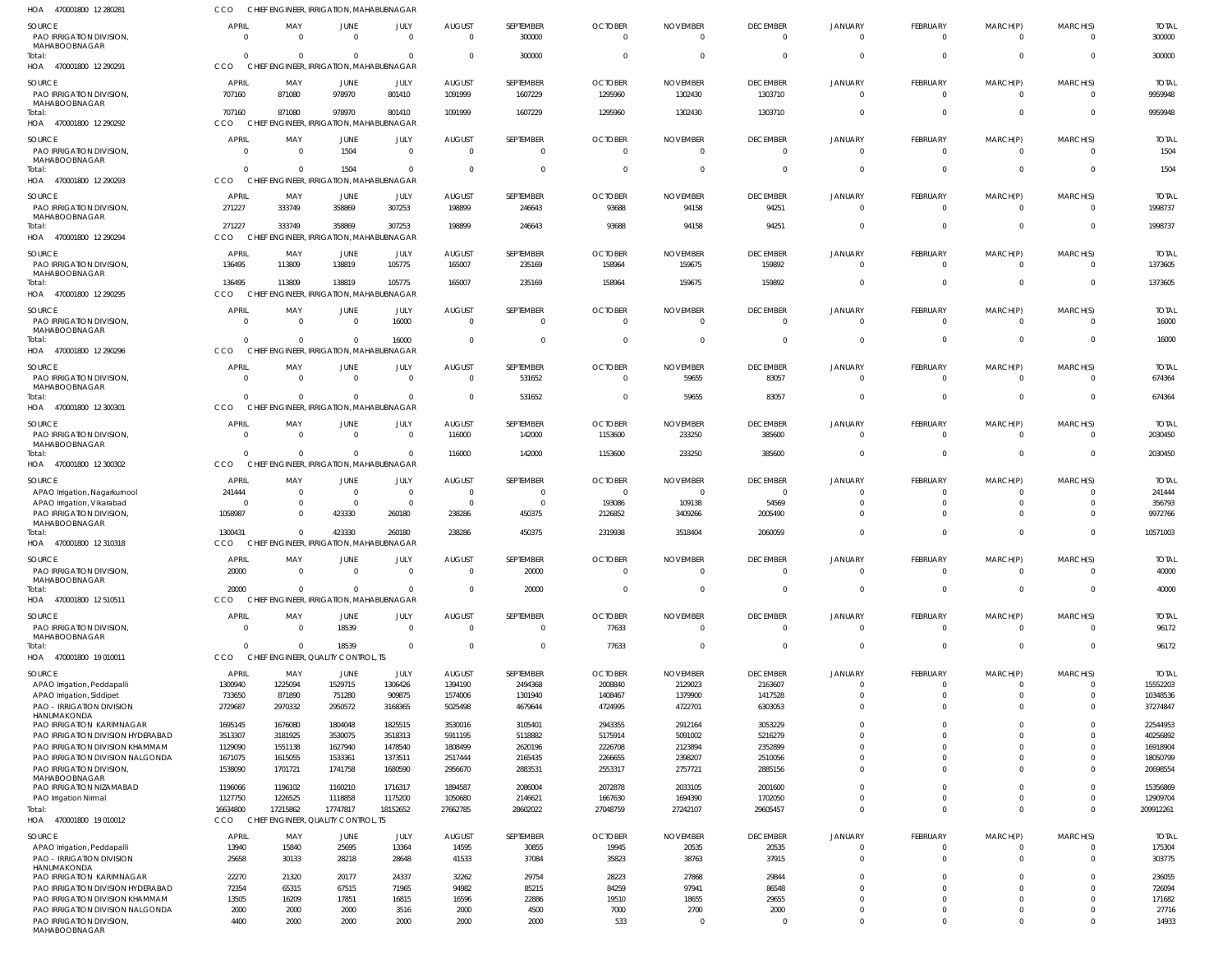| HOA<br>470001800 12 280281                                          | CCO                   | CHIEF ENGINEER, IRRIGATION, MAHABUBNAGAR             |                                |                                           |                                  |                              |                            |                             |                                   |                            |                                |                                  |                            |                          |
|---------------------------------------------------------------------|-----------------------|------------------------------------------------------|--------------------------------|-------------------------------------------|----------------------------------|------------------------------|----------------------------|-----------------------------|-----------------------------------|----------------------------|--------------------------------|----------------------------------|----------------------------|--------------------------|
| SOURCE<br><b>PAO IRRIGATION DIVISION.</b><br>MAHABOOBNAGAR          | APRIL<br>$\Omega$     | MAY<br>$\Omega$                                      | <b>JUNE</b><br>$\Omega$        | JULY<br>$\Omega$                          | <b>AUGUST</b><br>$\Omega$        | SEPTEMBER<br>300000          | <b>OCTOBER</b><br>$\Omega$ | <b>NOVEMBER</b><br>$\Omega$ | <b>DECEMBER</b><br>$\Omega$       | <b>JANUARY</b><br>$\Omega$ | FEBRUARY<br>$\mathbf{0}$       | MARCH(P)<br>$\overline{0}$       | MARCH(S)<br>$\Omega$       | <b>TOTAL</b><br>300000   |
| Total:<br>HOA 470001800 12 290291                                   | $\Omega$<br>CCO       | $\Omega$<br>CHIEF ENGINEER, IRRIGATION, MAHABUBNAGAR | $\Omega$                       | $\Omega$                                  | $\Omega$                         | 300000                       | $\Omega$                   |                             | $\Omega$                          | $\Omega$                   | $\overline{0}$                 | $\overline{0}$                   | $\overline{0}$             | 300000                   |
| SOURCE<br>PAO IRRIGATION DIVISION,<br>MAHABOOBNAGAR                 | APRIL<br>707160       | MAY<br>871080                                        | <b>JUNE</b><br>978970          | JULY<br>801410                            | <b>AUGUST</b><br>1091999         | SEPTEMBER<br>1607229         | <b>OCTOBER</b><br>1295960  | <b>NOVEMBER</b><br>1302430  | <b>DECEMBER</b><br>1303710        | <b>JANUARY</b><br>$\Omega$ | FEBRUARY<br>$\mathbf{0}$       | MARCH(P)<br>$\overline{0}$       | MARCH(S)<br>$\overline{0}$ | <b>TOTAI</b><br>9959948  |
| Total:<br>HOA 470001800 12 290292                                   | 707160<br><b>CCO</b>  | 871080<br>CHIEF ENGINEER, IRRIGATION, MAHABUBNAGAR   | 978970                         | 801410                                    | 1091999                          | 1607229                      | 1295960                    | 1302430                     | 1303710                           | $\Omega$                   | $\mathbf 0$                    | $\overline{0}$                   | $\Omega$                   | 9959948                  |
| <b>SOURCE</b><br>PAO IRRIGATION DIVISION,                           | APRIL<br>$\Omega$     | MAY<br>$\Omega$                                      | <b>JUNE</b><br>1504            | JULY<br>$\mathbf{0}$                      | <b>AUGUST</b><br>$\Omega$        | SEPTEMBER<br>$\mathbf{0}$    | <b>OCTOBER</b><br>$\Omega$ | <b>NOVEMBER</b><br>$\Omega$ | <b>DECEMBER</b><br>$\overline{0}$ | JANUARY<br>$\Omega$        | FEBRUARY<br>$\mathbf{0}$       | MARCH(P)<br>$\overline{0}$       | MARCH(S)<br>$\Omega$       | <b>TOTAI</b><br>1504     |
| MAHABOOBNAGAR<br>Total:<br>HOA 470001800 12 290293                  | CCO                   | $\Omega$<br>CHIEF ENGINEER, IRRIGATION, MAHABUBNAGAR | 1504                           | $\mathbf{0}$                              | $\Omega$                         | $\Omega$                     | $\Omega$                   |                             | $\Omega$                          | $\Omega$                   | $\mathbf 0$                    | $\mathbf{0}$                     | $\Omega$                   | 1504                     |
| <b>SOURCE</b>                                                       | APRIL                 | MAY                                                  | JUNE                           | JULY                                      | <b>AUGUST</b>                    | SEPTEMBER                    | <b>OCTOBER</b>             | <b>NOVEMBER</b>             | <b>DECEMBER</b>                   | JANUARY                    | FEBRUARY                       | MARCH(P)                         | MARCH(S)                   | <b>TOTAI</b>             |
| PAO IRRIGATION DIVISION,<br>MAHABOOBNAGAR<br>Total:                 | 271227<br>271227      | 333749<br>333749                                     | 358869<br>358869               | 307253<br>307253                          | 198899<br>198899                 | 246643<br>246643             | 93688<br>93688             | 94158<br>94158              | 94251<br>94251                    | $\mathbf 0$<br>$\Omega$    | $\mathbf{0}$<br>$\mathbf 0$    | $\overline{0}$<br>$\mathbf{0}$   | $\overline{0}$<br>$\Omega$ | 1998737<br>1998737       |
| HOA 470001800 12 290294                                             | CCO                   | CHIEF                                                |                                | <b>ENGINEER, IRRIGATION, MAHABUBNAGAR</b> |                                  |                              |                            |                             |                                   |                            |                                |                                  |                            |                          |
| SOURCE<br>PAO IRRIGATION DIVISION,<br>MAHABOOBNAGAR                 | APRIL<br>136495       | MAY<br>113809                                        | JUNE<br>138819                 | JULY<br>105775                            | <b>AUGUST</b><br>165007          | SEPTEMBER<br>235169          | <b>OCTOBER</b><br>158964   | <b>NOVEMBER</b><br>159675   | <b>DECEMBER</b><br>159892         | JANUARY<br>$\Omega$        | FEBRUARY<br>$\mathbf{0}$       | MARCH(P)<br>$\overline{0}$       | MARCH(S)<br>$\Omega$       | <b>TOTAL</b><br>1373605  |
| Total:<br>HOA 470001800 12 290295                                   | 136495<br>CCO         | 113809<br>CHIEF ENGINEER, IRRIGATION, MAHABUBNAGAR   | 138819                         | 105775                                    | 165007                           | 235169                       | 158964                     | 159675                      | 159892                            | $\Omega$                   | $\overline{0}$                 | $\overline{0}$                   | $\overline{0}$             | 1373605                  |
| <b>SOURCE</b>                                                       | <b>APRIL</b>          | MAY                                                  | <b>JUNE</b>                    | JULY                                      | <b>AUGUST</b>                    | SEPTEMBER                    | <b>OCTOBER</b>             | <b>NOVEMBER</b>             | <b>DECEMBER</b>                   | <b>JANUARY</b>             | FEBRUARY                       | MARCH(P)                         | MARCH(S)                   | <b>TOTAL</b>             |
| PAO IRRIGATION DIVISION,<br>MAHABOOBNAGAR<br>Total:                 | - 0                   | $\Omega$<br>$\Omega$                                 | $\overline{0}$<br>$\Omega$     | 16000<br>16000                            | $\Omega$<br>$\Omega$             | $\Omega$<br>$\Omega$         | $\Omega$<br>$\Omega$       | $\Omega$                    | $\overline{0}$<br>$\overline{0}$  | $\Omega$<br>$\Omega$       | $\mathbf{0}$<br>$\overline{0}$ | $\overline{0}$<br>$\overline{0}$ | $\Omega$<br>$\overline{0}$ | 16000<br>16000           |
| HOA 470001800 12 290296                                             | CCO                   | CHIEF ENGINEER, IRRIGATION, MAHABUBNAGAR             |                                |                                           |                                  |                              |                            |                             |                                   |                            |                                |                                  |                            |                          |
| <b>SOURCE</b><br>PAO IRRIGATION DIVISION,<br>MAHABOOBNAGAR          | <b>APRIL</b><br>- 0   | MAY<br>$\Omega$                                      | <b>JUNE</b><br>$\Omega$        | JULY<br>$\overline{0}$                    | <b>AUGUST</b><br>$\Omega$        | SEPTEMBER<br>531652          | <b>OCTOBER</b><br>$\Omega$ | <b>NOVEMBER</b><br>59655    | <b>DECEMBER</b><br>83057          | <b>JANUARY</b><br>$\Omega$ | FEBRUARY<br>$\mathbf{0}$       | MARCH(P)<br>$\overline{0}$       | MARCH(S)<br>$\Omega$       | <b>TOTAL</b><br>674364   |
| Total:<br>HOA 470001800 12 300301                                   | CCO                   | $\Omega$<br>CHIEF ENGINEER, IRRIGATION, MAHABUBNAGAR | $\Omega$                       | $\mathbf 0$                               | $\Omega$                         | 531652                       | $\Omega$                   | 59655                       | 83057                             | $\Omega$                   | $\mathbf{0}$                   | $\overline{0}$                   | $\overline{0}$             | 674364                   |
| <b>SOURCE</b><br>PAO IRRIGATION DIVISION,<br>MAHABOOBNAGAR          | <b>APRIL</b>          | MAY<br>$\Omega$                                      | <b>JUNE</b><br>$\Omega$        | JULY<br>$\overline{0}$                    | <b>AUGUST</b><br>116000          | SEPTEMBER<br>142000          | <b>OCTOBER</b><br>1153600  | <b>NOVEMBER</b><br>233250   | <b>DECEMBER</b><br>385600         | JANUARY<br>$\mathbf 0$     | FEBRUARY<br>$\mathbf{0}$       | MARCH(P)<br>$\overline{0}$       | MARCH(S)<br>$\overline{0}$ | <b>TOTAL</b><br>2030450  |
| Total:<br>HOA 470001800 12 300302                                   | CCO                   | $\Omega$<br>CHIEF ENGINEER, IRRIGATION, MAHABUBNAGAR | $\Omega$                       | $\mathbf 0$                               | 116000                           | 142000                       | 1153600                    | 233250                      | 385600                            | $\Omega$                   | $\mathbf 0$                    | $\mathbf{0}$                     | $\overline{0}$             | 2030450                  |
| SOURCE                                                              | APRIL                 | MAY                                                  | <b>JUNE</b>                    | JULY                                      | <b>AUGUST</b>                    | SEPTEMBER                    | <b>OCTOBER</b>             | <b>NOVEMBER</b>             | <b>DECEMBER</b>                   | JANUARY                    | FEBRUARY                       | MARCH(P)                         | MARCH(S)                   | <b>TOTAL</b>             |
| APAO Irrigation, Nagarkurnool<br>APAO Irrigation, Vikarabad         | 241444<br>- 0         | $\Omega$<br>$\Omega$                                 | $\mathbf{0}$<br>$\overline{0}$ | $\mathbf{0}$<br>$\mathbf{0}$              | $\overline{0}$<br>$\overline{0}$ | $\mathbf{0}$<br>$\mathbf{0}$ | $\Omega$<br>193086         | $\Omega$<br>109138          | $\overline{0}$<br>54569           | $\Omega$<br>$\Omega$       | $\Omega$<br>$^{\circ}$         | $\Omega$<br>0                    | $\Omega$<br>$\Omega$       | 241444<br>356793         |
| PAO IRRIGATION DIVISION,<br>MAHABOOBNAGAR                           | 1058987               | $\Omega$                                             | 423330                         | 260180                                    | 238286                           | 450375                       | 2126852                    | 3409266                     | 2005490                           | $\Omega$                   | $\mathbf 0$                    | $\mathbf{0}$                     | $\Omega$                   | 9972766                  |
| Total:<br>HOA 470001800 12 310318                                   | 1300431<br>CCO        | $\Omega$<br>CHIEF ENGINEER, IRRIGATION, MAHABUBNAGAR | 423330                         | 260180                                    | 238286                           | 450375                       | 2319938                    | 3518404                     | 2060059                           | $\Omega$                   | $\mathbf 0$                    | $\mathbf 0$                      | $\Omega$                   | 10571003                 |
| <b>SOURCE</b><br><b>PAO IRRIGATION DIVISION.</b>                    | <b>APRIL</b><br>20000 | MAY<br>$\Omega$                                      | <b>JUNE</b><br>$\Omega$        | JULY<br>$\mathbf{0}$                      | <b>AUGUST</b><br>$\overline{0}$  | SEPTEMBER<br>20000           | <b>OCTOBER</b><br>$\Omega$ | <b>NOVEMBER</b><br>$\Omega$ | <b>DECEMBER</b><br>$\overline{0}$ | JANUARY<br>$\Omega$        | FEBRUARY<br>$\mathbf{0}$       | MARCH(P)<br>$\overline{0}$       | MARCH(S)<br>$\Omega$       | <b>TOTAL</b><br>40000    |
| MAHABOOBNAGAR<br>Total:                                             | 20000                 | $\Omega$                                             | $\mathbf 0$                    | $\mathbf{0}$                              | $\Omega$                         | 20000                        | $\Omega$                   |                             | $\overline{0}$                    | $\Omega$                   | $\overline{0}$                 | $\mathbf{0}$                     | $\overline{0}$             | 40000                    |
| HOA 470001800 12510511<br><b>SOURCE</b>                             | CCO<br>APRIL          | CHIEF ENGINEER, IRRIGATION, MAHABUBNAGAR<br>MAY      | <b>JUNE</b>                    | JULY                                      | <b>AUGUST</b>                    | SEPTEMBER                    | <b>OCTOBER</b>             | <b>NOVEMBER</b>             | <b>DECEMBER</b>                   | JANUARY                    | FEBRUARY                       | MARCH(P)                         | MARCH(S)                   | <b>TOTAL</b>             |
| PAO IRRIGATION DIVISION,<br>MAHABOOBNAGAR                           | $\Omega$              | $\Omega$                                             | 18539                          | $\mathbf{0}$                              | $\Omega$                         | $\overline{0}$               | 77633                      |                             | $\overline{0}$                    | $\Omega$                   | $\mathbf{0}$                   | $\overline{0}$                   | $\Omega$                   | 96172                    |
| Total:<br>HOA 470001800 19 010011                                   | CCO                   | $\Omega$<br>CHIEF ENGINEER, QUALITY CONTROL, TS      | 18539                          | $\mathbf 0$                               |                                  | $\mathbf 0$                  | 77633                      |                             | $\overline{0}$                    | $\Omega$                   | $\mathbf 0$                    | $\mathbf{0}$                     | $\overline{0}$             | 96172                    |
| SOURCE<br>APAO Irrigation, Peddapalli                               | APRIL<br>1300940      | MAY<br>1225094                                       | JUNE<br>1529715                | JULY<br>1306426                           | <b>AUGUST</b><br>1394190         | SEPTEMBER<br>2494368         | <b>OCTOBER</b><br>2008840  | <b>NOVEMBER</b><br>2129023  | <b>DECEMBER</b><br>2163607        | JANUARY<br>$\Omega$        | FEBRUARY<br>$\mathbf 0$        | MARCH(P)<br>$\mathbf 0$          | MARCH(S)<br>$\overline{0}$ | <b>TOTAI</b><br>15552203 |
| APAO Irrigation, Siddipet<br>PAO - IRRIGATION DIVISION              | 733650<br>2729687     | 871890<br>2970332                                    | 751280<br>2950572              | 909875<br>3168365                         | 1574006<br>5025498               | 1301940<br>4679644           | 1408467<br>4724995         | 1379900<br>4722701          | 1417528<br>6303053                | $\Omega$<br>$\Omega$       | $\mathbf 0$<br>$\mathbf 0$     | $\mathbf{0}$<br>$\mathbf 0$      | $\Omega$<br>$\Omega$       | 10348536<br>37274847     |
| HANUMAKONDA<br>PAO IRRIGATION KARIMNAGAR                            | 1695145               | 1676080                                              | 1804048                        | 1825515                                   | 3530016                          | 3105401                      | 2943355                    | 2912164                     | 3053229                           | 0                          | $\Omega$                       | $\Omega$                         | $\Omega$                   | 22544953                 |
| PAO IRRIGATION DIVISION HYDERABAD                                   | 3513307               | 3181925                                              | 3530075                        | 3518313                                   | 5911195                          | 5118882                      | 5175914                    | 5091002                     | 5216279                           | $\Omega$                   | $\Omega$                       | $\Omega$                         | $\Omega$                   | 40256892                 |
| PAO IRRIGATION DIVISION KHAMMAM<br>PAO IRRIGATION DIVISION NALGONDA | 1129090<br>1671075    | 1551138<br>1615055                                   | 1627940<br>1533361             | 1478540<br>1373511                        | 1808499<br>2517444               | 2620196<br>2165435           | 2226708<br>2266655         | 2123894<br>2398207          | 2352899<br>2510056                | $\Omega$<br>$\Omega$       | $\Omega$<br>$\Omega$           | $\Omega$<br>$\Omega$             | $\Omega$                   | 16918904<br>18050799     |
| PAO IRRIGATION DIVISION,<br>MAHABOOBNAGAR                           | 1538090               | 1701721                                              | 1741758                        | 1680590                                   | 2956670                          | 2883531                      | 2553317                    | 2757721                     | 2885156                           | $\Omega$                   | $\Omega$                       | $\Omega$                         | $\Omega$                   | 20698554                 |
| PAO IRRIGATION NIZAMABAD                                            | 1196066               | 1196102                                              | 1160210                        | 1716317                                   | 1894587                          | 2086004                      | 2072878                    | 2033105                     | 2001600                           | $\Omega$                   | $\Omega$                       | $\Omega$                         | $\Omega$                   | 15356869                 |
| PAO Irrigation Nirmal                                               | 1127750<br>16634800   | 1226525<br>17215862                                  | 1118858<br>17747817            | 1175200<br>18152652                       | 1050680<br>27662785              | 2146621<br>28602022          | 1667630<br>27048759        | 1694390<br>27242107         | 1702050<br>29605457               | $\Omega$<br>$\Omega$       | $\mathbf 0$<br>$\Omega$        | $\mathbf{0}$<br>$\mathbf 0$      | $\Omega$<br>$\Omega$       | 12909704<br>209912261    |
| Total:<br>HOA 470001800 19 010012                                   | CCO                   | CHIEF ENGINEER, QUALITY CONTROL, TS                  |                                |                                           |                                  |                              |                            |                             |                                   |                            |                                |                                  |                            |                          |
| <b>SOURCE</b>                                                       | APRIL                 | MAY                                                  | JUNE                           | JULY                                      | <b>AUGUST</b>                    | SEPTEMBER                    | <b>OCTOBER</b>             | <b>NOVEMBER</b>             | <b>DECEMBER</b>                   | JANUARY                    | FEBRUARY                       | MARCH(P)                         | MARCH(S)                   | <b>TOTAI</b>             |
| APAO Irrigation, Peddapalli<br>PAO - IRRIGATION DIVISION            | 13940<br>25658        | 15840<br>30133                                       | 25695<br>28218                 | 13364<br>28648                            | 14595<br>41533                   | 30855<br>37084               | 19945<br>35823             | 20535<br>38763              | 20535<br>37915                    | $\Omega$<br>$\mathbf 0$    | $\mathbf 0$<br>$\mathbf 0$     | 0<br>$\mathbf 0$                 | $\overline{0}$<br>$\Omega$ | 175304<br>303775         |
| HANUMAKONDA<br><b>PAO IRRIGATION KARIMNAGAR</b>                     | 22270                 | 21320                                                | 20177                          | 24337                                     | 32262                            | 29754                        | 28223                      | 27868                       | 29844                             | $\Omega$                   | 0                              | 0                                | $\Omega$                   | 236055                   |
| PAO IRRIGATION DIVISION HYDERABAD                                   | 72354                 | 65315                                                | 67515                          | 71965                                     | 94982                            | 85215                        | 84259                      | 97941                       | 86548                             | $\Omega$                   | $\Omega$                       | $\Omega$                         | $\Omega$                   | 726094                   |
| PAO IRRIGATION DIVISION KHAMMAM<br>PAO IRRIGATION DIVISION NALGONDA | 13505<br>2000         | 16209<br>2000                                        | 17851<br>2000                  | 16815<br>3516                             | 16596<br>2000                    | 22886<br>4500                | 19510<br>7000              | 18655<br>2700               | 29655<br>2000                     | $\Omega$<br>$\mathbf 0$    | $\Omega$<br>$\mathbf 0$        | $\Omega$<br>$\mathbf 0$          | $\Omega$<br>$\Omega$       | 171682<br>27716          |
| <b>PAO IRRIGATION DIVISION</b><br>MAHABOOBNAGAR                     | 4400                  | 2000                                                 | 2000                           | 2000                                      | 2000                             | 2000                         | 533                        | $\Omega$                    | $\overline{0}$                    | $\Omega$                   | $\Omega$                       | $\Omega$                         | $\Omega$                   | 14933                    |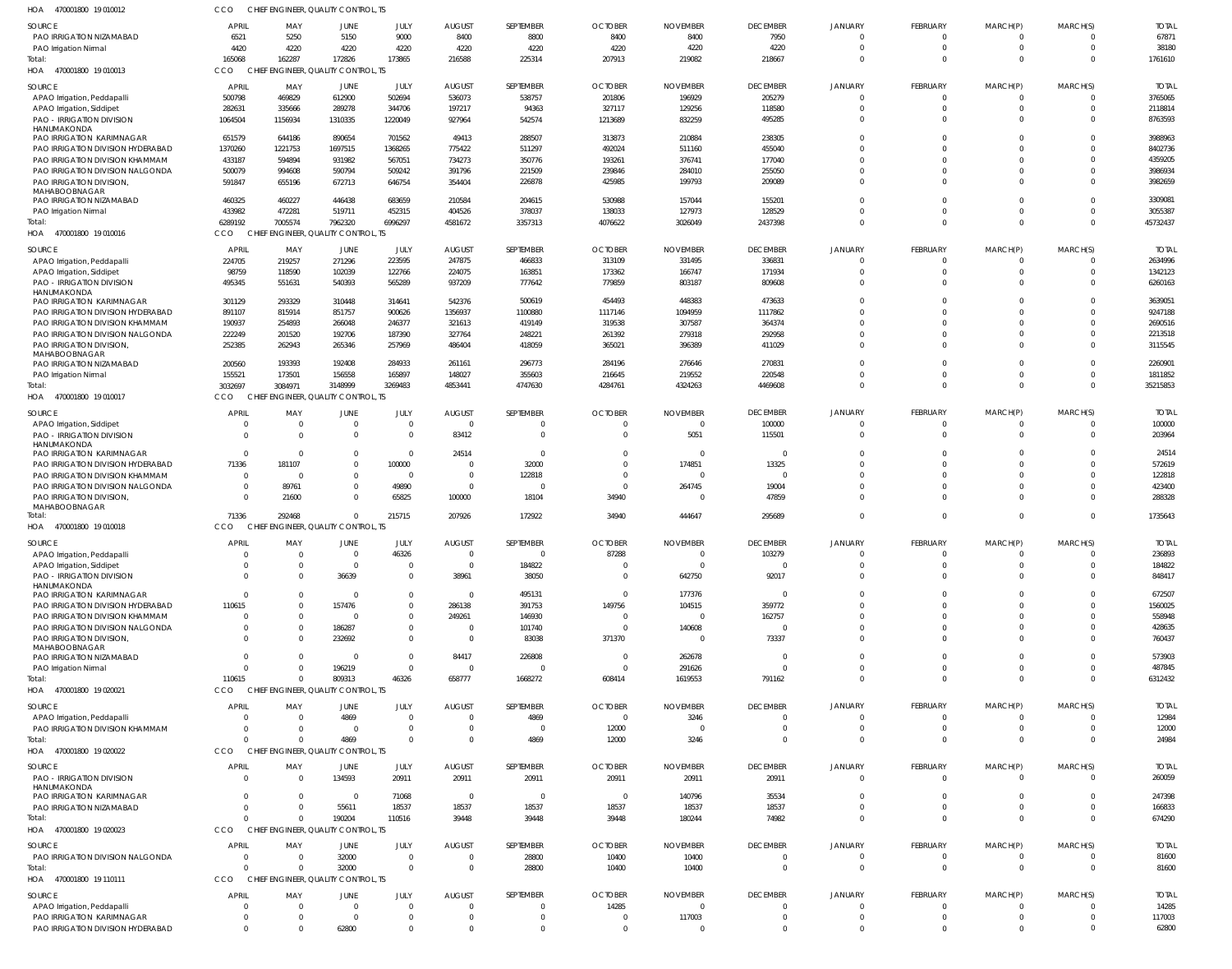| HOA<br>470001800 19 010012                                     | CCO                 |                            | CHIEF ENGINEER, QUALITY CONTROL, TS            |                               |                             |                        |                         |                             |                                  |                                  |                      |                         |                            |                     |
|----------------------------------------------------------------|---------------------|----------------------------|------------------------------------------------|-------------------------------|-----------------------------|------------------------|-------------------------|-----------------------------|----------------------------------|----------------------------------|----------------------|-------------------------|----------------------------|---------------------|
| <b>SOURCE</b>                                                  | <b>APRIL</b>        | MAY                        | <b>JUNE</b>                                    | JULY                          | <b>AUGUST</b>               | SEPTEMBER              | <b>OCTOBER</b>          | <b>NOVEMBER</b>             | <b>DECEMBER</b>                  | <b>JANUARY</b>                   | <b>FEBRUARY</b>      | MARCH(P)                | MARCH(S)                   | <b>TOTAL</b>        |
| PAO IRRIGATION NIZAMABAD                                       | 6521                | 5250                       | 5150                                           | 9000                          | 8400                        | 8800                   | 8400                    | 8400                        | 7950                             | $\Omega$                         | $\Omega$             | $\Omega$                | $\Omega$                   | 67871               |
| PAO Irrigation Nirmal<br>Total:                                | 4420<br>165068      | 4220<br>162287             | 4220<br>172826                                 | 4220<br>173865                | 4220<br>216588              | 4220<br>225314         | 4220<br>207913          | 4220<br>219082              | 4220<br>218667                   | $\Omega$<br>$\Omega$             | $\Omega$<br>$\Omega$ | $\mathbf 0$<br>$\Omega$ | $\mathbf 0$<br>$\Omega$    | 38180<br>1761610    |
| HOA 470001800 19 010013                                        | CCO                 |                            | CHIEF ENGINEER, QUALITY CONTROL, TS            |                               |                             |                        |                         |                             |                                  |                                  |                      |                         |                            |                     |
| SOURCE                                                         | <b>APRIL</b>        | MAY                        | JUNE                                           | JULY                          | <b>AUGUST</b>               | SEPTEMBER              | <b>OCTOBER</b>          | <b>NOVEMBER</b>             | <b>DECEMBER</b>                  | <b>JANUARY</b>                   | <b>FEBRUARY</b>      | MARCH(P)                | MARCH(S)                   | <b>TOTAL</b>        |
| APAO Irrigation, Peddapalli                                    | 500798              | 469829                     | 612900                                         | 502694                        | 536073                      | 538757                 | 201806                  | 196929                      | 205279                           | $\overline{0}$                   | $\Omega$             | $\mathbf 0$             | $\Omega$                   | 3765065             |
| APAO Irrigation, Siddipet                                      | 282631              | 335666                     | 289278                                         | 344706                        | 197217                      | 94363                  | 327117                  | 129256                      | 118580                           | $\Omega$                         | $\Omega$             | $\mathbf 0$             | $\Omega$                   | 2118814             |
| PAO - IRRIGATION DIVISION<br>HANUMAKONDA                       | 1064504             | 1156934                    | 1310335                                        | 1220049                       | 927964                      | 542574                 | 1213689                 | 832259                      | 495285                           | $\Omega$                         | $\Omega$             | $\Omega$                | $\Omega$                   | 8763593             |
| PAO IRRIGATION KARIMNAGAR                                      | 651579              | 644186                     | 890654                                         | 701562                        | 49413                       | 288507                 | 313873                  | 210884                      | 238305                           | $\Omega$                         | $\Omega$             | $\Omega$                | $\Omega$                   | 3988963             |
| PAO IRRIGATION DIVISION HYDERABAD                              | 1370260             | 1221753                    | 1697515                                        | 1368265                       | 775422                      | 511297                 | 492024                  | 511160                      | 455040                           | $\Omega$                         | $\Omega$             | $\Omega$                | $\Omega$                   | 8402736             |
| PAO IRRIGATION DIVISION KHAMMAM                                | 433187              | 594894                     | 931982                                         | 567051                        | 734273                      | 350776                 | 193261                  | 376741                      | 177040                           | $\Omega$                         | $\Omega$             | $\Omega$                | $\Omega$                   | 4359205             |
| PAO IRRIGATION DIVISION NALGONDA<br>PAO IRRIGATION DIVISION,   | 500079<br>591847    | 994608<br>655196           | 590794<br>672713                               | 509242<br>646754              | 391796<br>354404            | 221509<br>226878       | 239846<br>425985        | 284010<br>199793            | 255050<br>209089                 | $\Omega$<br>$\Omega$             | $\Omega$<br>$\Omega$ | $\Omega$<br>$\Omega$    | $\Omega$<br>$\Omega$       | 3986934<br>3982659  |
| MAHABOOBNAGAR                                                  |                     |                            |                                                |                               |                             |                        |                         |                             |                                  |                                  |                      |                         |                            |                     |
| PAO IRRIGATION NIZAMABAD                                       | 460325              | 460227                     | 446438                                         | 683659                        | 210584                      | 204615                 | 530988                  | 157044                      | 155201                           | $\Omega$                         | $\Omega$             | $\Omega$                | $\Omega$                   | 3309081             |
| PAO Irrigation Nirmal<br>Total:                                | 433982<br>6289192   | 472281<br>7005574          | 519711<br>7962320                              | 452315<br>6996297             | 404526<br>4581672           | 378037<br>3357313      | 138033<br>4076622       | 127973<br>3026049           | 128529<br>2437398                | $\overline{0}$<br>$\Omega$       | $\Omega$<br>$\Omega$ | $\mathbf 0$<br>$\Omega$ | $\mathbf 0$<br>$\Omega$    | 3055387<br>45732437 |
| HOA<br>470001800 19 010016                                     | CCO                 |                            | CHIEF ENGINEER, QUALITY CONTROL, TS            |                               |                             |                        |                         |                             |                                  |                                  |                      |                         |                            |                     |
| SOURCE                                                         | <b>APRIL</b>        | MAY                        | JUNE                                           | JULY                          | <b>AUGUST</b>               | SEPTEMBER              | <b>OCTOBER</b>          | <b>NOVEMBER</b>             | <b>DECEMBER</b>                  | <b>JANUARY</b>                   | <b>FEBRUARY</b>      | MARCH(P)                | MARCH(S)                   | <b>TOTAI</b>        |
| APAO Irrigation, Peddapalli                                    | 224705              | 219257                     | 271296                                         | 223595                        | 247875                      | 466833                 | 313109                  | 331495                      | 336831                           | $\Omega$                         | - 0                  | -0                      | $\Omega$                   | 2634996             |
| APAO Irrigation, Siddipet                                      | 98759               | 118590                     | 102039                                         | 122766                        | 224075                      | 163851                 | 173362                  | 166747                      | 171934                           | $\Omega$                         | $\Omega$             | 0                       | $\Omega$                   | 1342123             |
| PAO - IRRIGATION DIVISION                                      | 495345              | 551631                     | 540393                                         | 565289                        | 937209                      | 777642                 | 779859                  | 803187                      | 809608                           | $\Omega$                         | $\Omega$             | $\Omega$                | $\Omega$                   | 6260163             |
| HANUMAKONDA<br>PAO IRRIGATION KARIMNAGAR                       | 301129              | 293329                     | 310448                                         | 314641                        | 542376                      | 500619                 | 454493                  | 448383                      | 473633                           | $\Omega$                         |                      |                         | $\Omega$                   | 3639051             |
| PAO IRRIGATION DIVISION HYDERABAD                              | 891107              | 815914                     | 851757                                         | 900626                        | 1356937                     | 1100880                | 1117146                 | 1094959                     | 1117862                          | $\Omega$                         |                      |                         | $\Omega$                   | 9247188             |
| PAO IRRIGATION DIVISION KHAMMAM                                | 190937              | 254893                     | 266048                                         | 246377                        | 321613                      | 419149                 | 319538                  | 307587                      | 364374                           | $\Omega$                         | $\Omega$             | $\Omega$                | $\Omega$                   | 2690516             |
| PAO IRRIGATION DIVISION NALGONDA                               | 222249              | 201520                     | 192706                                         | 187390                        | 327764                      | 248221                 | 261392                  | 279318                      | 292958                           | $\Omega$<br>$\Omega$             | $\Omega$             | $\Omega$<br>$\Omega$    | $\Omega$<br>$\Omega$       | 2213518             |
| PAO IRRIGATION DIVISION<br>MAHABOOBNAGAR                       | 252385              | 262943                     | 265346                                         | 257969                        | 486404                      | 418059                 | 365021                  | 396389                      | 411029                           |                                  |                      |                         |                            | 3115545             |
| PAO IRRIGATION NIZAMABAD                                       | 200560              | 193393                     | 192408                                         | 284933                        | 261161                      | 296773                 | 284196                  | 276646                      | 270831                           | $\Omega$                         | $\Omega$             | $\Omega$                | $\Omega$                   | 2260901             |
| PAO Irrigation Nirmal<br>Total:                                | 155521              | 173501                     | 156558                                         | 165897                        | 148027                      | 355603<br>4747630      | 216645<br>4284761       | 219552<br>4324263           | 220548<br>4469608                | $\Omega$<br>$\Omega$             | $\Omega$<br>$\Omega$ | $\mathbf 0$<br>$\Omega$ | $\mathbf 0$<br>$\Omega$    | 1811852<br>35215853 |
| HOA 470001800 19 010017                                        | 3032697<br>CCO      | 3084971                    | 3148999<br>CHIEF ENGINEER, QUALITY CONTROL, TS | 3269483                       | 4853441                     |                        |                         |                             |                                  |                                  |                      |                         |                            |                     |
| SOURCE                                                         | <b>APRI</b>         | MAY                        | <b>JUNE</b>                                    | JULY                          | <b>AUGUST</b>               | SEPTEMBER              | <b>OCTOBER</b>          | <b>NOVEMBER</b>             | <b>DECEMBER</b>                  | <b>JANUARY</b>                   | <b>FEBRUARY</b>      | MARCH(P)                | MARCH(S)                   | <b>TOTAL</b>        |
| APAO Irrigation, Siddipet                                      | - 0                 | $\Omega$                   | $\overline{0}$                                 | $\overline{0}$                | $\mathbf 0$                 | $\Omega$               | $\overline{0}$          | $\Omega$                    | 100000                           | $\overline{0}$                   | $\Omega$             | $\mathbf 0$             | $\Omega$                   | 100000              |
| <b>PAO - IRRIGATION DIVISION</b>                               | $\cap$              | $\Omega$                   | $\mathbf 0$                                    | $\overline{0}$                | 83412                       | $\Omega$               | $\Omega$                | 5051                        | 115501                           | $\Omega$                         | $\Omega$             | $\mathbf 0$             | $\Omega$                   | 203964              |
| HANUMAKONDA<br>PAO IRRIGATION KARIMNAGAR                       | $\Omega$            | $\Omega$                   | $\mathbf 0$                                    | $\overline{0}$                | 24514                       | $\Omega$               | $\Omega$                | $\Omega$                    | $\overline{0}$                   | $\Omega$                         | $\Omega$             | $\Omega$                | $\Omega$                   | 24514               |
| PAO IRRIGATION DIVISION HYDERABAD                              | 71336               | 181107                     | $\mathbf 0$                                    | 100000                        | 0                           | 32000                  | $\Omega$                | 174851                      | 13325                            | $\Omega$                         | $\Omega$             | $\Omega$                | $\mathbf 0$                | 572619              |
| PAO IRRIGATION DIVISION KHAMMAM                                | $\Omega$            | - 0                        | $\mathbf 0$                                    | $\overline{0}$                | $\mathbf 0$                 | 122818                 | $\Omega$                | $\Omega$                    | $\Omega$                         | $\Omega$                         | $\Omega$             | $\Omega$                | $\Omega$                   | 122818              |
| PAO IRRIGATION DIVISION NALGONDA                               | - 0                 | 89761                      | $\mathbf 0$                                    | 49890                         | $\mathbf 0$                 | $\Omega$               | $\overline{0}$          | 264745                      | 19004                            | $\Omega$                         | $\Omega$             | $\Omega$                | $\mathbf 0$                | 423400              |
| PAO IRRIGATION DIVISION,<br>MAHABOOBNAGAR                      | $\Omega$            | 21600                      | $\Omega$                                       | 65825                         | 100000                      | 18104                  | 34940                   | $\Omega$                    | 47859                            | $\Omega$                         | $\Omega$             | $\Omega$                | $\Omega$                   | 288328              |
| Total:                                                         | 71336               | 292468                     | $\mathbf 0$                                    | 215715                        | 207926                      | 172922                 | 34940                   | 444647                      | 295689                           | $\Omega$                         | $\Omega$             | $\Omega$                | $\Omega$                   | 1735643             |
| HOA 470001800 19 010018                                        | CCO                 |                            | CHIEF ENGINEER, QUALITY CONTROL, TS            |                               |                             |                        |                         |                             |                                  |                                  |                      |                         |                            |                     |
| <b>SOURCE</b>                                                  | <b>APRIL</b>        | MAY                        | JUNE                                           | JULY                          | <b>AUGUST</b>               | SEPTEMBER              | <b>OCTOBER</b>          | <b>NOVEMBER</b>             | <b>DECEMBER</b>                  | <b>JANUARY</b>                   | <b>FEBRUARY</b>      | MARCH(P)                | MARCH(S)                   | <b>TOTAL</b>        |
| APAO Irrigation, Peddapalli                                    | $\Omega$            | $\overline{0}$<br>$\Omega$ | $\overline{0}$<br>$\overline{0}$               | 46326<br>$\mathbf 0$          | $\mathbf{0}$<br>$\mathbf 0$ | $\Omega$<br>184822     | 87288<br>$\Omega$       | $\mathbf{0}$<br>$^{\circ}$  | 103279<br>$\overline{0}$         | $\overline{0}$<br>$\Omega$       | 0<br>$\Omega$        | $\Omega$                | 0<br>$\Omega$              | 236893<br>184822    |
| APAO Irrigation, Siddipet<br><b>PAO - IRRIGATION DIVISION</b>  | $\Omega$            | $\Omega$                   | 36639                                          | $\mathbf{0}$                  | 38961                       | 38050                  | $\overline{0}$          | 642750                      | 92017                            | $\overline{0}$                   | $\Omega$             | $\Omega$                | $\Omega$                   | 848417              |
| HANUMAKONDA                                                    |                     |                            |                                                |                               |                             |                        |                         |                             |                                  |                                  |                      |                         |                            |                     |
| PAO IRRIGATION KARIMNAGAR<br>PAO IRRIGATION DIVISION HYDERABAD | $\Omega$<br>110615  | $\Omega$<br>$\Omega$       | $\overline{0}$<br>157476                       | $\mathbf{0}$<br>$\mathbf{0}$  | $\mathbf 0$<br>286138       | 495131<br>391753       | $\Omega$<br>149756      | 177376<br>104515            | $\overline{0}$<br>359772         | $\Omega$<br>$\Omega$             | $\Omega$             |                         | $\Omega$                   | 672507<br>1560025   |
| PAO IRRIGATION DIVISION KHAMMAM                                | $\Omega$            | $\Omega$                   | 0                                              | $\mathbf{0}$                  | 249261                      | 146930                 | $\overline{0}$          | $\Omega$                    | 162757                           | $\Omega$                         | $\Omega$             |                         | <sup>0</sup>               | 558948              |
| PAO IRRIGATION DIVISION NALGONDA                               |                     | $\Omega$                   | 186287                                         | $\mathbf{0}$                  | $\mathbf 0$                 | 101740                 | $\Omega$                | 140608                      | $\Omega$                         | $\Omega$                         |                      |                         | 0                          | 428635              |
| PAO IRRIGATION DIVISION,                                       | $\cap$              | $\Omega$                   | 232692                                         | $\mathbf{0}$                  | $\mathbf 0$                 | 83038                  | 371370                  | $\Omega$                    | 73337                            | $\Omega$                         | $\Omega$             | $\Omega$                | $\Omega$                   | 760437              |
| MAHABOOBNAGAR<br>PAO IRRIGATION NIZAMABAD                      | $\Omega$            | $\Omega$                   | - 0                                            | $\overline{0}$                | 84417                       | 226808                 | $\overline{0}$          | 262678                      | 0                                | $\Omega$                         | $\Omega$             | $\Omega$                | $\Omega$                   | 573903              |
| PAO Irrigation Nirmal                                          |                     | $\Omega$                   | 196219                                         | $\overline{0}$                | $\mathbf 0$                 | $\Omega$               | $\overline{0}$          | 291626                      | $\Omega$                         | $\Omega$                         | $\Omega$             | $\Omega$                | $\Omega$                   | 487845              |
| Total:                                                         | 110615              | $\Omega$                   | 809313                                         | 46326                         | 658777                      | 1668272                | 608414                  | 1619553                     | 791162                           | $\Omega$                         | $\Omega$             | $\Omega$                | $\Omega$                   | 6312432             |
| HOA 470001800 19 020021                                        | CCO                 |                            | CHIEF ENGINEER, QUALITY CONTROL, TS            |                               |                             |                        |                         |                             |                                  |                                  |                      |                         |                            |                     |
| SOURCE                                                         | <b>APRIL</b>        | MAY                        | JUNE                                           | <b>JULY</b>                   | <b>AUGUST</b>               | SEPTEMBER              | <b>OCTOBER</b>          | <b>NOVEMBER</b>             | <b>DECEMBER</b>                  | <b>JANUARY</b>                   | <b>FEBRUARY</b>      | MARCH(P)                | MARCH(S)                   | <b>TOTAL</b>        |
| APAO Irrigation, Peddapalli<br>PAO IRRIGATION DIVISION KHAMMAM | - 0                 | $\Omega$<br>$\Omega$       | 4869<br>$\overline{\mathbf{0}}$                | $\overline{0}$<br>$\mathbf 0$ | $\mathbf 0$<br>0            | 4869<br>$\overline{0}$ | $\overline{0}$<br>12000 | 3246<br>$\Omega$            | $\overline{0}$<br>$\overline{0}$ | $\overline{0}$<br>$\overline{0}$ | $\Omega$<br>$\Omega$ | 0<br>$\mathbf{0}$       | $\mathbf 0$<br>$\mathbf 0$ | 12984<br>12000      |
| Total:                                                         |                     | $\Omega$                   | 4869                                           | $\mathbf 0$                   | $\Omega$                    | 4869                   | 12000                   | 3246                        | $\Omega$                         | $\overline{0}$                   | $\Omega$             | $\Omega$                | $\Omega$                   | 24984               |
| HOA 470001800 19 020022                                        | CCO                 |                            | CHIEF ENGINEER, QUALITY CONTROL, TS            |                               |                             |                        |                         |                             |                                  |                                  |                      |                         |                            |                     |
| SOURCE                                                         | <b>APRIL</b>        | MAY                        | JUNE                                           | JULY                          | <b>AUGUST</b>               | SEPTEMBER              | <b>OCTOBER</b>          | <b>NOVEMBER</b>             | <b>DECEMBER</b>                  | <b>JANUARY</b>                   | <b>FEBRUARY</b>      | MARCH(P)                | MARCH(S)                   | <b>TOTAL</b>        |
| PAO - IRRIGATION DIVISION                                      | $\Omega$            | $\Omega$                   | 134593                                         | 20911                         | 20911                       | 20911                  | 20911                   | 20911                       | 20911                            | $\overline{0}$                   | $\Omega$             | $\Omega$                | 0                          | 260059              |
| HANUMAKONDA<br>PAO IRRIGATION KARIMNAGAR                       | $\Omega$            | $\Omega$                   | $\overline{0}$                                 | 71068                         | $\overline{0}$              | $\Omega$               | $\overline{0}$          | 140796                      | 35534                            | $\Omega$                         | $\Omega$             | $\Omega$                | $\Omega$                   | 247398              |
| PAO IRRIGATION NIZAMABAD                                       | $\Omega$            | $\Omega$                   | 55611                                          | 18537                         | 18537                       | 18537                  | 18537                   | 18537                       | 18537                            | $\overline{0}$                   | $\Omega$             | $\mathbf 0$             | $\mathbf 0$                | 166833              |
| Total:                                                         |                     | $\Omega$                   | 190204                                         | 110516                        | 39448                       | 39448                  | 39448                   | 180244                      | 74982                            | $\Omega$                         | $\Omega$             | $\Omega$                | $\Omega$                   | 674290              |
| HOA 470001800 19 020023                                        | CCO                 |                            | CHIEF ENGINEER, QUALITY CONTROL, TS            |                               |                             |                        |                         |                             |                                  |                                  |                      |                         |                            |                     |
| SOURCE                                                         | <b>APRIL</b>        | MAY                        | JUNE                                           | JULY                          | <b>AUGUST</b>               | SEPTEMBER              | <b>OCTOBER</b>          | <b>NOVEMBER</b>             | <b>DECEMBER</b>                  | <b>JANUARY</b>                   | <b>FEBRUARY</b>      | MARCH(P)                | MARCH(S)                   | <b>TOTAL</b>        |
| PAO IRRIGATION DIVISION NALGONDA                               | - 0<br>$\cap$       | $\overline{0}$<br>$\Omega$ | 32000                                          | $\overline{0}$                | $\mathbf 0$<br>$\mathbf 0$  | 28800                  | 10400                   | 10400                       | $\overline{0}$                   | $\overline{0}$<br>$\overline{0}$ | $\Omega$<br>$\Omega$ | $\mathbf 0$<br>$\Omega$ | $\mathbf 0$<br>$\Omega$    | 81600               |
| Total:<br>470001800 19 110111<br>HOA                           | CCO                 |                            | 32000<br>CHIEF ENGINEER, QUALITY CONTROL, TS   | $\overline{0}$                |                             | 28800                  | 10400                   | 10400                       | $\overline{0}$                   |                                  |                      |                         |                            | 81600               |
|                                                                |                     |                            |                                                |                               |                             |                        |                         |                             | <b>DECEMBER</b>                  | <b>JANUARY</b>                   | <b>FEBRUARY</b>      | MARCH(P)                | MARCH(S)                   | <b>TOTAL</b>        |
| SOURCE<br>APAO Irrigation, Peddapalli                          | <b>APRIL</b><br>- 0 | MAY<br>$\overline{0}$      | JUNE<br>$\overline{0}$                         | JULY<br>$\overline{0}$        | <b>AUGUST</b><br>$\Omega$   | SEPTEMBER<br>$\Omega$  | <b>OCTOBER</b><br>14285 | <b>NOVEMBER</b><br>$\Omega$ | $\overline{0}$                   | $\Omega$                         |                      |                         | $\Omega$                   | 14285               |
| PAO IRRIGATION KARIMNAGAR                                      | $\Omega$            | $\overline{0}$             | $\overline{0}$                                 | $\mathbf 0$                   | $\mathbf 0$                 | $\overline{0}$         | $\overline{0}$          | 117003                      | $\overline{0}$                   | $\overline{0}$                   | $\mathbf{0}$         | $\mathbf 0$             | $\mathbf 0$                | 117003              |
|                                                                |                     |                            |                                                | $\mathbf 0$                   | 0                           | $\Omega$               | $\mathbf 0$             | $\Omega$                    | $\overline{0}$                   | $\overline{0}$                   |                      | $\Omega$                | $\Omega$                   | 62800               |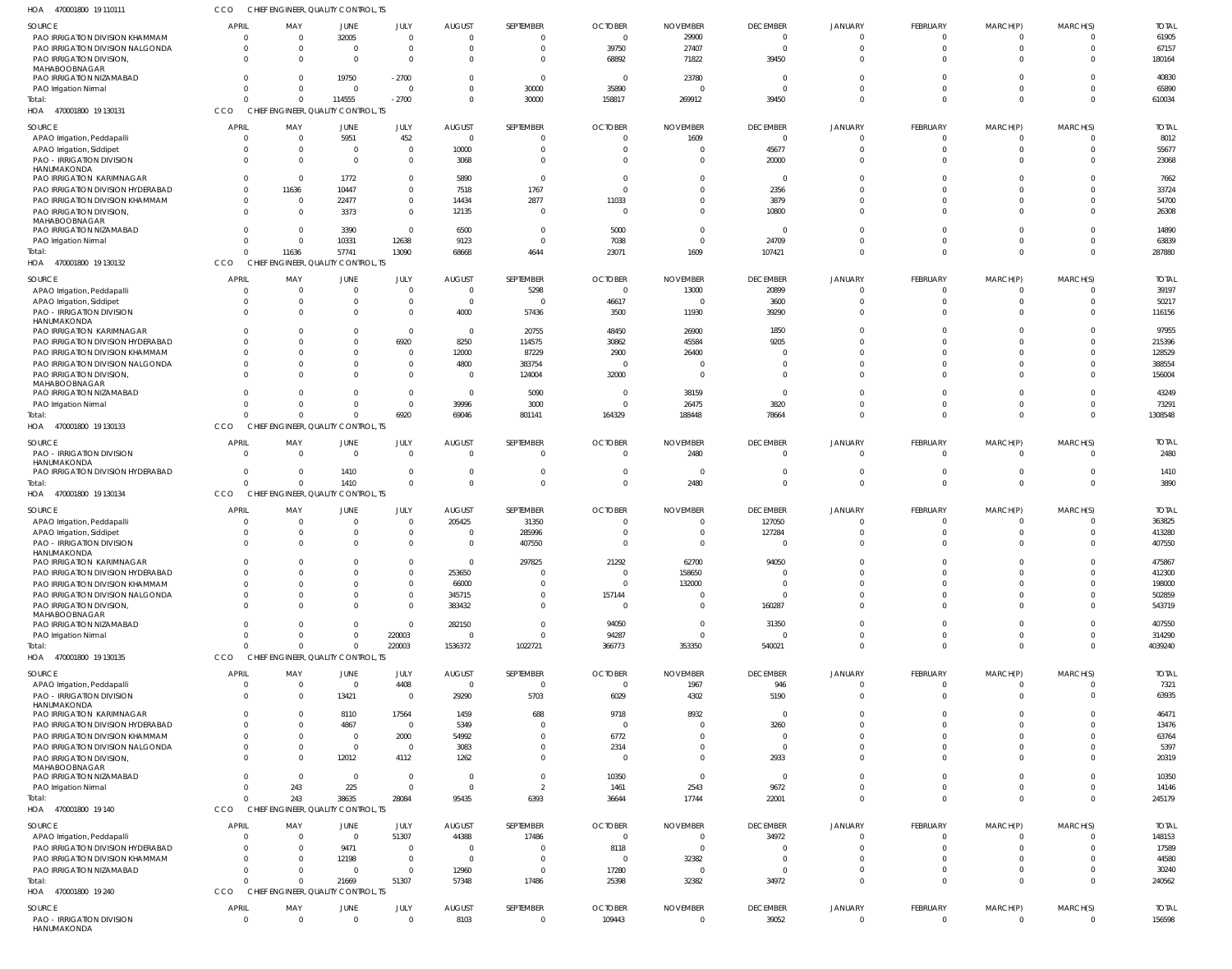| HOA<br>470001800 19 110111                                           | CCO                               |                       | CHIEF ENGINEER, QUALITY CONTROL, TS             |                               |                           |                                  |                                  |                                   |                                   |                                |                                   |                                     |                                  |                        |
|----------------------------------------------------------------------|-----------------------------------|-----------------------|-------------------------------------------------|-------------------------------|---------------------------|----------------------------------|----------------------------------|-----------------------------------|-----------------------------------|--------------------------------|-----------------------------------|-------------------------------------|----------------------------------|------------------------|
| <b>SOURCE</b>                                                        | <b>APRIL</b>                      | MAY                   | JUNE                                            | JULY                          | <b>AUGUST</b>             | SEPTEMBER                        | <b>OCTOBER</b>                   | <b>NOVEMBER</b>                   | <b>DECEMBER</b>                   | <b>JANUARY</b>                 | FEBRUARY                          | MARCH(P)                            | MARCH(S)                         | <b>TOTAL</b>           |
| PAO IRRIGATION DIVISION KHAMMAM<br>PAO IRRIGATION DIVISION NALGONDA  | $\overline{0}$<br>$\mathbf 0$     | $\Omega$<br>$\Omega$  | 32005<br>$\Omega$                               | $\mathbf{0}$<br>$\mathbf{0}$  | $\Omega$<br>$\Omega$      | $\mathbf{0}$<br>$\mathbf{0}$     | $\overline{0}$<br>39750          | 29900<br>27407                    | $\overline{0}$<br>$\overline{0}$  | $\overline{0}$<br>$\mathbf{0}$ | $\overline{0}$<br>$\Omega$        | $\overline{0}$<br>$\overline{0}$    | $\overline{0}$<br>$\overline{0}$ | 61905<br>67157         |
| PAO IRRIGATION DIVISION,                                             | $\Omega$                          | - 0                   | $\Omega$                                        | $\Omega$                      | $\Omega$                  | $^{\circ}$                       | 68892                            | 71822                             | 39450                             | $\Omega$                       | $\Omega$                          | $\Omega$                            | $\Omega$                         | 180164                 |
| MAHABOOBNAGAR<br>PAO IRRIGATION NIZAMABAD                            | $\Omega$                          | -0                    | 19750                                           | $-2700$                       | $\Omega$                  | $\overline{0}$                   | $\overline{0}$                   | 23780                             | 0                                 | $\Omega$                       | $\Omega$                          | $\Omega$                            | $\Omega$                         | 40830                  |
| PAO Irrigation Nirmal                                                | $\Omega$                          | $\Omega$              | $\overline{0}$                                  | $\Omega$                      | $\Omega$                  | 30000                            | 35890                            | $\Omega$                          | $\Omega$                          | $\Omega$                       | $\Omega$                          | $\Omega$                            | $\circ$                          | 65890                  |
| Total:                                                               | $\Omega$                          | $\Omega$              | 114555                                          | $-2700$                       | $\Omega$                  | 30000                            | 158817                           | 269912                            | 39450                             | $\Omega$                       | $\Omega$                          | $\Omega$                            | $\Omega$                         | 610034                 |
| 470001800 19 130131<br>HOA                                           | CCO                               |                       | CHIEF ENGINEER, QUALITY CONTROL, TS             |                               |                           |                                  |                                  |                                   |                                   |                                |                                   |                                     |                                  |                        |
| <b>SOURCE</b><br>APAO Irrigation, Peddapalli                         | <b>APRIL</b><br>$\overline{0}$    | MAY<br>$\Omega$       | JUNE<br>5951                                    | JULY<br>452                   | <b>AUGUST</b><br>$\Omega$ | SEPTEMBER<br>$\overline{0}$      | <b>OCTOBER</b><br>$\overline{0}$ | <b>NOVEMBER</b><br>1609           | <b>DECEMBER</b><br>$\overline{0}$ | JANUARY<br>$\overline{0}$      | FEBRUARY<br>$\Omega$              | MARCH(P)<br>$\Omega$                | MARCH(S)<br>- 0                  | <b>TOTAL</b><br>8012   |
| APAO Irrigation, Siddipet                                            | $\Omega$                          | -0                    | 0                                               | $\mathbf{0}$                  | 10000                     | $\mathbf{0}$                     | $\Omega$                         |                                   | 45677                             | 0                              | $\Omega$                          | $\overline{0}$                      | - 0                              | 55677                  |
| <b>PAO - IRRIGATION DIVISION</b>                                     | $\Omega$                          | $\Omega$              | $\Omega$                                        | $\mathbf{0}$                  | 3068                      | $\mathbf 0$                      | $\Omega$                         |                                   | 20000                             | $\mathbf{0}$                   | $\Omega$                          | $\Omega$                            | $\Omega$                         | 23068                  |
| HANUMAKONDA<br>PAO IRRIGATION KARIMNAGAR                             | $\mathbf 0$                       | $\overline{0}$        | 1772                                            | $\mathbf{0}$                  | 5890                      | $\overline{0}$                   | $\Omega$                         | $\Omega$                          | 0                                 | $\Omega$                       | $\Omega$                          | $\Omega$                            | $\Omega$                         | 7662                   |
| PAO IRRIGATION DIVISION HYDERABAD                                    | $\overline{0}$                    | 11636                 | 10447                                           | $\mathbf{0}$                  | 7518                      | 1767                             | $\Omega$                         | $\Omega$                          | 2356                              | $\Omega$                       | $\Omega$                          | $\Omega$                            | $\Omega$                         | 33724                  |
| PAO IRRIGATION DIVISION KHAMMAM<br>PAO IRRIGATION DIVISION,          | $\overline{0}$<br>$\overline{0}$  | - 0<br>$\Omega$       | 22477<br>3373                                   | $\mathbf{0}$<br>$\mathbf{0}$  | 14434<br>12135            | 2877<br>$\overline{0}$           | 11033<br>$\Omega$                | $\Omega$<br>$\Omega$              | 3879<br>10800                     | $\Omega$<br>$\Omega$           | $\Omega$<br>$\Omega$              | $\Omega$<br>$\Omega$                | $\Omega$<br>$\Omega$             | 54700<br>26308         |
| MAHABOOBNAGAR                                                        |                                   |                       |                                                 |                               |                           |                                  |                                  |                                   |                                   |                                |                                   |                                     |                                  |                        |
| PAO IRRIGATION NIZAMABAD<br>PAO Irrigation Nirmal                    | $\overline{0}$<br>$\overline{0}$  | $\Omega$<br>$\Omega$  | 3390<br>10331                                   | $\mathbf{0}$<br>12638         | 6500<br>9123              | $\overline{0}$<br>$\overline{0}$ | 5000<br>7038                     | $\Omega$<br>$\Omega$              | 0<br>24709                        | $\Omega$<br>$\mathbf{0}$       | $\Omega$<br>$\Omega$              | $\Omega$<br>$\overline{0}$          | - 0<br>$\circ$                   | 14890<br>63839         |
| Total:                                                               | $\Omega$                          | 11636                 | 57741                                           | 13090                         | 68668                     | 4644                             | 23071                            | 1609                              | 107421                            | $\Omega$                       | $\Omega$                          | $\Omega$                            | $\Omega$                         | 287880                 |
| 470001800 19 130132<br>HOA                                           | CCO                               |                       | CHIEF ENGINEER, QUALITY CONTROL, TS             |                               |                           |                                  |                                  |                                   |                                   |                                |                                   |                                     |                                  |                        |
| <b>SOURCE</b>                                                        | <b>APRIL</b>                      | MAY                   | JUNE                                            | JULY                          | <b>AUGUST</b>             | SEPTEMBER                        | <b>OCTOBER</b>                   | <b>NOVEMBER</b>                   | <b>DECEMBER</b>                   | JANUARY                        | FEBRUARY                          | MARCH(P)                            | MARCH(S)                         | <b>TOTAL</b>           |
| APAO Irrigation, Peddapalli<br>APAO Irrigation, Siddipet             | $\Omega$<br>$\Omega$              | - 0<br>$\Omega$       | $\Omega$<br>$\Omega$                            | $\overline{0}$<br>$\mathbf 0$ | $\Omega$<br>$\Omega$      | 5298<br>$\overline{0}$           | $\Omega$<br>46617                | 13000<br>$\Omega$                 | 20899<br>3600                     | $\mathbf{0}$<br>0              | $\Omega$<br>$\Omega$              | $\Omega$<br>$\overline{\mathbf{0}}$ | $\Omega$<br>$\Omega$             | 39197<br>50217         |
| <b>PAO - IRRIGATION DIVISION</b>                                     | $\Omega$                          | $\Omega$              | $\Omega$                                        | $\Omega$                      | 4000                      | 57436                            | 3500                             | 11930                             | 39290                             | $\Omega$                       | $\Omega$                          | $\Omega$                            | $\Omega$                         | 116156                 |
| HANUMAKONDA<br>PAO IRRIGATION KARIMNAGAR                             | $\Omega$                          | -0                    | $\Omega$                                        | $\Omega$                      | $\Omega$                  | 20755                            | 48450                            | 26900                             | 1850                              | $\Omega$                       | $\Omega$                          | $\Omega$                            | $\Omega$                         | 97955                  |
| PAO IRRIGATION DIVISION HYDERABAD                                    | $\Omega$                          | $\Omega$              | $\Omega$                                        | 6920                          | 8250                      | 114575                           | 30862                            | 45584                             | 9205                              | $\Omega$                       | $\Omega$                          | $\Omega$                            | $\Omega$                         | 215396                 |
| PAO IRRIGATION DIVISION KHAMMAM                                      | $\Omega$                          | - 0                   | $\Omega$                                        | $\mathbf{0}$                  | 12000                     | 87229                            | 2900                             | 26400                             | 0                                 | $\Omega$                       | $\Omega$                          | $\Omega$                            | $\Omega$                         | 128529                 |
| PAO IRRIGATION DIVISION NALGONDA<br>PAO IRRIGATION DIVISION,         | $\Omega$<br>$\Omega$              | -0                    | $\Omega$<br>$\Omega$                            | $\Omega$<br>$\Omega$          | 4800<br>$\Omega$          | 383754<br>124004                 | $\Omega$<br>32000                | $\Omega$                          | 0<br>$\Omega$                     | $\Omega$<br>$\Omega$           | $\Omega$<br>$\Omega$              | $\Omega$<br>$\Omega$                | $\Omega$<br>$\Omega$             | 388554<br>156004       |
| MAHABOOBNAGAR                                                        |                                   |                       |                                                 |                               |                           |                                  |                                  |                                   |                                   |                                |                                   |                                     |                                  |                        |
| PAO IRRIGATION NIZAMABAD<br>PAO Irrigation Nirmal                    | $\Omega$<br>$\mathbf 0$           | -0<br>$\Omega$        | $\Omega$<br>$\Omega$                            | $\mathbf{0}$<br>$\mathbf 0$   | $\Omega$<br>39996         | 5090<br>3000                     | $\Omega$<br>$\Omega$             | 38159<br>26475                    | $\Omega$<br>3820                  | $\Omega$<br>$\Omega$           | $\Omega$<br>$\Omega$              | $\Omega$<br>$\Omega$                | $\Omega$<br>$\Omega$             | 43249<br>73291         |
| Total:                                                               | $\cap$                            | $\Omega$              | $\Omega$                                        | 6920                          | 69046                     | 801141                           | 164329                           | 188448                            | 78664                             | $\Omega$                       | $\Omega$                          | $\Omega$                            | $\Omega$                         | 1308548                |
| 470001800 19 130133<br>HOA                                           | CCO                               |                       | CHIEF ENGINEER, QUALITY CONTROL, TS             |                               |                           |                                  |                                  |                                   |                                   |                                |                                   |                                     |                                  |                        |
| <b>SOURCE</b>                                                        | <b>APRIL</b>                      | MAY                   | JUNE                                            | JULY                          | <b>AUGUST</b>             | SEPTEMBER                        | <b>OCTOBER</b>                   | <b>NOVEMBER</b>                   | <b>DECEMBER</b>                   | <b>JANUARY</b>                 | <b>FEBRUARY</b>                   | MARCH(P)                            | MARCH(S)                         | <b>TOTAL</b>           |
| <b>PAO - IRRIGATION DIVISION</b><br>HANUMAKONDA                      | $\overline{\mathbf{0}}$           | $\Omega$              | $\overline{0}$                                  | $\mathbf{0}$                  | $\overline{0}$            | $\overline{0}$                   | $\overline{0}$                   | 2480                              | $\overline{0}$                    | $\overline{0}$                 | $\Omega$                          | $\overline{0}$                      | $\overline{0}$                   | 2480                   |
| PAO IRRIGATION DIVISION HYDERABAD                                    | $\overline{0}$                    | -0                    | 1410                                            | $\mathbf{0}$                  | $\Omega$                  | $\mathbf 0$                      | $\overline{0}$                   | $\overline{\mathbf{0}}$           | $\overline{0}$                    | 0                              | $\overline{0}$                    | $\overline{0}$                      | - 0                              | 1410                   |
| Total:<br>HOA 470001800 19 130134                                    | $\Omega$<br>CCO                   | $\Omega$              | 1410<br>CHIEF ENGINEER, QUALITY CONTROL, TS     | $\mathbf 0$                   | $\Omega$                  | $\overline{0}$                   | $\mathbf{0}$                     | 2480                              | $\overline{0}$                    | $\overline{0}$                 | $\overline{0}$                    | $\overline{0}$                      | $\overline{0}$                   | 3890                   |
|                                                                      |                                   |                       |                                                 |                               |                           |                                  |                                  |                                   |                                   |                                |                                   |                                     |                                  |                        |
| <b>SOURCE</b><br>APAO Irrigation, Peddapalli                         | <b>APRIL</b><br>$\Omega$          | MAY<br>$\Omega$       | JUNE<br>0                                       | JULY<br>$\Omega$              | <b>AUGUST</b><br>205425   | SEPTEMBER<br>31350               | <b>OCTOBER</b><br><sup>0</sup>   | <b>NOVEMBER</b><br>$\Omega$       | <b>DECEMBER</b><br>127050         | JANUARY<br>$\Omega$            | FEBRUARY<br>$\Omega$              | MARCH(P)<br>$\Omega$                | MARCH(S)<br>$\Omega$             | <b>TOTAL</b><br>363825 |
| APAO Irrigation, Siddipet                                            | $\Omega$                          | - 0                   | $\Omega$                                        | $\Omega$                      | $\Omega$                  | 285996                           | <sup>0</sup>                     | $\Omega$                          | 127284                            | $\Omega$                       | $\Omega$                          | $\Omega$                            | $\Omega$                         | 413280                 |
| <b>PAO - IRRIGATION DIVISION</b><br>HANUMAKONDA                      | $\Omega$                          | $\Omega$              | $\Omega$                                        | $\Omega$                      | $\Omega$                  | 407550                           | $\Omega$                         | $\Omega$                          | $\Omega$                          | $\Omega$                       | $\Omega$                          | $\Omega$                            | $\Omega$                         | 407550                 |
| PAO IRRIGATION KARIMNAGAR                                            | 0                                 | - 0                   | $\Omega$                                        | $\Omega$                      | $\Omega$                  | 297825                           | 21292                            | 62700                             | 94050                             | $\Omega$                       | $\Omega$                          | $\Omega$                            | $\Omega$                         | 475867                 |
| PAO IRRIGATION DIVISION HYDERABAD<br>PAO IRRIGATION DIVISION KHAMMAM | $\Omega$<br>$\Omega$              | - 0<br>-0             |                                                 | $\Omega$<br>$\Omega$          | 253650<br>66000           | 0<br>$\Omega$                    | $\Omega$<br>$\Omega$             | 158650<br>132000                  | $\Omega$<br>$\Omega$              | $\Omega$<br>$\Omega$           | $\Omega$<br>$\Omega$              | $\Omega$<br>$\Omega$                | $\Omega$<br>$\Omega$             | 412300<br>198000       |
| PAO IRRIGATION DIVISION NALGONDA                                     | $\Omega$                          | -0                    |                                                 | $\mathbf 0$                   | 345715                    | $\mathbf 0$                      | 157144                           |                                   | $\Omega$                          | $\Omega$                       | $\Omega$                          | $\Omega$                            | $\Omega$                         | 502859                 |
| PAO IRRIGATION DIVISION,                                             | $\Omega$                          | $\Omega$              | $\Omega$                                        | $\mathbf{0}$                  | 383432                    | $\Omega$                         | $\Omega$                         | $\Omega$                          | 160287                            | $\Omega$                       | $\Omega$                          | $\Omega$                            | $\Omega$                         | 543719                 |
| MAHABOOBNAGAR<br>PAO IRRIGATION NIZAMABAD                            | $\Omega$                          | - 0                   | $\Omega$                                        | $\Omega$                      | 282150                    | $\Omega$                         | 94050                            | <sup>0</sup>                      | 31350                             | $\Omega$                       | $\Omega$                          | $\Omega$                            | $\Omega$                         | 407550                 |
| PAO Irrigation Nirmal                                                | $\Omega$                          | $\Omega$              | $\Omega$                                        | 220003                        | <sup>0</sup>              | $\Omega$                         | 94287                            | $\Omega$                          | $\Omega$                          | $\Omega$                       | $\Omega$                          | $\Omega$                            | $\mathbf 0$                      | 314290                 |
| Total:<br>HOA 470001800 19 130135                                    | $\Omega$<br>CCO                   | $\Omega$              | $\Omega$<br>CHIEF ENGINEER, QUALITY CONTROL, TS | 220003                        | 1536372                   | 1022721                          | 366773                           | 353350                            | 540021                            | $\Omega$                       | $\Omega$                          | $\Omega$                            | $\Omega$                         | 4039240                |
| SOURCE                                                               | APRIL                             | MAY                   | JUNE                                            | JULY                          | <b>AUGUST</b>             | SEPTEMBER                        | <b>OCTOBER</b>                   | <b>NOVEMBER</b>                   | <b>DECEMBER</b>                   | JANUARY                        | FEBRUARY                          | MARCH(P)                            | MARCH(S)                         | <b>TOTAL</b>           |
| APAO Irrigation, Peddapalli                                          | $\overline{0}$                    | - 0                   | - 0                                             | 4408                          | $\overline{0}$            | $\mathbf 0$                      | $\overline{0}$                   | 1967                              | 946                               | $\overline{0}$                 | $\overline{0}$                    | $\overline{0}$                      | - 0                              | 7321                   |
| <b>PAO - IRRIGATION DIVISION</b>                                     | $\Omega$                          | -0                    | 13421                                           | $\mathbf 0$                   | 29290                     | 5703                             | 6029                             | 4302                              | 5190                              | $\Omega$                       | $\Omega$                          | $\Omega$                            | $\overline{0}$                   | 63935                  |
| HANUMAKONDA<br>PAO IRRIGATION KARIMNAGAR                             | $\mathbf 0$                       | - 0                   | 8110                                            | 17564                         | 1459                      | 688                              | 9718                             | 8932                              | $\overline{0}$                    | $\Omega$                       | $\Omega$                          | $\Omega$                            | $\Omega$                         | 46471                  |
| PAO IRRIGATION DIVISION HYDERABAD                                    | $\Omega$                          | - 0                   | 4867                                            | $\mathbf{0}$                  | 5349                      | $\overline{0}$                   | $\overline{0}$                   | $\Omega$                          | 3260                              | $\Omega$                       | $\Omega$                          | $\Omega$                            | $\Omega$                         | 13476                  |
| PAO IRRIGATION DIVISION KHAMMAM<br>PAO IRRIGATION DIVISION NALGONDA  | $\mathbf 0$<br>$\Omega$           | - 0                   | - 0<br>$\Omega$                                 | 2000<br>$\mathbf{0}$          | 54992<br>3083             | $\overline{0}$<br>$\mathbf{0}$   | 6772<br>2314                     | <sup>0</sup><br>$\Omega$          | - 0<br>$\overline{0}$             | $\Omega$<br>$\Omega$           | $\Omega$<br>$\Omega$              | $\Omega$<br>$\Omega$                | $\Omega$<br>$\Omega$             | 63764<br>5397          |
| PAO IRRIGATION DIVISION,                                             | $\Omega$                          | $\Omega$              | 12012                                           | 4112                          | 1262                      | $\overline{0}$                   | $\Omega$                         | $\Omega$                          | 2933                              | $\Omega$                       | $\Omega$                          | $\Omega$                            | $\Omega$                         | 20319                  |
| MAHABOOBNAGAR<br>PAO IRRIGATION NIZAMABAD                            | $\Omega$                          | - 0                   | $\Omega$                                        | $\mathbf{0}$                  | $\Omega$                  | $\overline{0}$                   | 10350                            | $\Omega$                          | $\overline{0}$                    | $\Omega$                       | $\Omega$                          | $\Omega$                            | $\Omega$                         | 10350                  |
| <b>PAO Irrigation Nirmal</b>                                         | $\Omega$                          | 243                   | 225                                             | $\mathbf{0}$                  | $\Omega$                  | $\overline{2}$                   | 1461                             | 2543                              | 9672                              | $\Omega$                       | $\Omega$                          | $\overline{0}$                      | $\overline{0}$                   | 14146                  |
| Total:                                                               | $\Omega$                          | 243                   | 38635                                           | 28084                         | 95435                     | 6393                             | 36644                            | 17744                             | 22001                             | $\Omega$                       | $\Omega$                          | $\Omega$                            | $\overline{0}$                   | 245179                 |
| HOA 470001800 19140                                                  | CCO                               |                       | CHIEF ENGINEER, QUALITY CONTROL, TS             |                               |                           |                                  |                                  |                                   |                                   |                                |                                   |                                     |                                  |                        |
| SOURCE<br>APAO Irrigation, Peddapalli                                | <b>APRIL</b><br>$\Omega$          | MAY<br>- 0            | JUNE<br>$\Omega$                                | JULY<br>51307                 | <b>AUGUST</b><br>44388    | SEPTEMBER<br>17486               | <b>OCTOBER</b><br>$\Omega$       | <b>NOVEMBER</b><br>$\Omega$       | <b>DECEMBER</b><br>34972          | JANUARY<br>$\Omega$            | <b>FEBRUARY</b><br>$\Omega$       | MARCH(P)<br>$\Omega$                | MARCH(S)<br>$\Omega$             | <b>TOTAL</b><br>148153 |
| PAO IRRIGATION DIVISION HYDERABAD                                    | $\Omega$                          | - 0                   | 9471                                            | $\mathbf{0}$                  | $\Omega$                  | 0                                | 8118                             | $\Omega$                          | $\Omega$                          | $\Omega$                       | $\Omega$                          | $\Omega$                            | $\Omega$                         | 17589                  |
| PAO IRRIGATION DIVISION KHAMMAM                                      | $\Omega$                          | $\Omega$              | 12198                                           | $\mathbf{0}$                  | $\Omega$                  | $\mathbf 0$                      | $\Omega$                         | 32382                             | $\Omega$                          | $\Omega$                       | $\Omega$                          | $\Omega$                            | $\Omega$                         | 44580                  |
| PAO IRRIGATION NIZAMABAD<br>Total:                                   | $\Omega$<br>$\Omega$              | - 0                   | $\Omega$<br>21669                               | $\Omega$<br>51307             | 12960<br>57348            | $\overline{0}$<br>17486          | 17280<br>25398                   | $\Omega$<br>32382                 | $\Omega$<br>34972                 | $\Omega$<br>$\Omega$           | $\Omega$<br>$\Omega$              | $\Omega$<br>$\Omega$                | $\Omega$<br>$\Omega$             | 30240<br>240562        |
| HOA 470001800 19 240                                                 | CCO                               |                       | CHIEF ENGINEER, QUALITY CONTROL, TS             |                               |                           |                                  |                                  |                                   |                                   |                                |                                   |                                     |                                  |                        |
| SOURCE<br><b>PAO - IRRIGATION DIVISION</b>                           | APRIL<br>$\overline{\phantom{0}}$ | MAY<br>$\overline{0}$ | JUNE<br>$\overline{0}$                          | JULY<br>$\mathbf{0}$          | <b>AUGUST</b><br>8103     | SEPTEMBER<br>$\overline{0}$      | <b>OCTOBER</b><br>109443         | <b>NOVEMBER</b><br>$\overline{0}$ | <b>DECEMBER</b><br>39052          | JANUARY<br>$\overline{0}$      | <b>FEBRUARY</b><br>$\overline{0}$ | MARCH(P)<br>$\overline{0}$          | MARCH(S)<br>$\overline{0}$       | <b>TOTAL</b><br>156598 |
| HANUMAKONDA                                                          |                                   |                       |                                                 |                               |                           |                                  |                                  |                                   |                                   |                                |                                   |                                     |                                  |                        |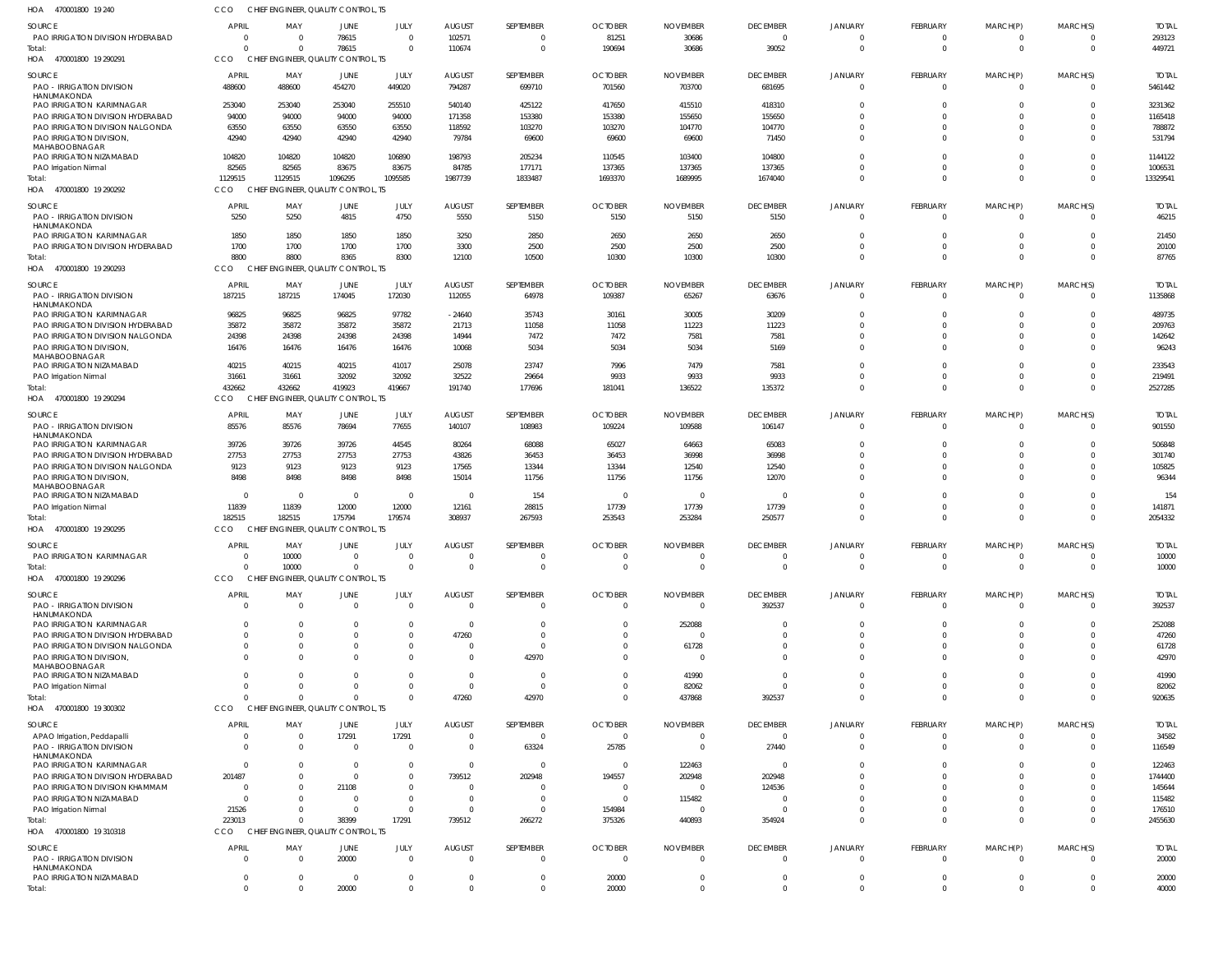| HOA 470001800 19 240                                           | CCO                   | CHIEF ENGINEER, QUALITY CONTROL, TS             |                 |                         |                         |                            |                          |                           |                           |                            |                            |                               |                      |                        |
|----------------------------------------------------------------|-----------------------|-------------------------------------------------|-----------------|-------------------------|-------------------------|----------------------------|--------------------------|---------------------------|---------------------------|----------------------------|----------------------------|-------------------------------|----------------------|------------------------|
| <b>SOURCE</b>                                                  | <b>APRIL</b>          | MAY                                             | JUNE            | JULY                    | <b>AUGUST</b>           | <b>SEPTEMBER</b>           | <b>OCTOBER</b>           | <b>NOVEMBER</b>           | <b>DECEMBER</b>           | <b>JANUARY</b>             | FEBRUARY                   | MARCH(P)                      | MARCH(S)             | <b>TOTAL</b>           |
| PAO IRRIGATION DIVISION HYDERABAD                              | $\Omega$              | $\overline{0}$                                  | 78615           | $\Omega$                | 102571                  | 0                          | 81251                    | 30686                     | $\overline{0}$            | $\Omega$                   | 0                          | 0                             | $\overline{0}$       | 293123                 |
| Total:<br>HOA<br>470001800 19 290291                           | $\Omega$<br>CCO       | $\Omega$<br>CHIEF ENGINEER, QUALITY CONTROL, TS | 78615           | $\Omega$                | 110674                  | $\mathbf 0$                | 190694                   | 30686                     | 39052                     | $\Omega$                   | $\mathbf 0$                | $\mathbf 0$                   | $\overline{0}$       | 449721                 |
| SOURCE                                                         | <b>APRIL</b>          | MAY                                             | JUNE            | JULY                    | <b>AUGUST</b>           | <b>SEPTEMBER</b>           | <b>OCTOBER</b>           | <b>NOVEMBER</b>           | <b>DECEMBER</b>           | <b>JANUARY</b>             | FEBRUARY                   | MARCH(P)                      | MARCH(S)             | <b>TOTAL</b>           |
| <b>PAO - IRRIGATION DIVISION</b><br>HANUMAKONDA                | 488600                | 488600                                          | 454270          | 449020                  | 794287                  | 699710                     | 701560                   | 703700                    | 681695                    | $\overline{0}$             | $\overline{0}$             | $\overline{0}$                | $\overline{0}$       | 5461442                |
| PAO IRRIGATION KARIMNAGAR                                      | 253040                | 253040                                          | 253040          | 255510                  | 540140                  | 425122                     | 417650                   | 415510                    | 418310                    | $\Omega$                   | $\mathbf 0$                | $\mathbf 0$                   | $\Omega$             | 3231362                |
| PAO IRRIGATION DIVISION HYDERABAD                              | 94000                 | 94000                                           | 94000           | 94000                   | 171358                  | 153380                     | 153380                   | 155650                    | 155650                    | $\Omega$                   | $\Omega$                   | $\mathbf 0$                   | $\Omega$             | 1165418                |
| PAO IRRIGATION DIVISION NALGONDA                               | 63550                 | 63550                                           | 63550           | 63550                   | 118592                  | 103270                     | 103270                   | 104770                    | 104770                    | $\Omega$                   | $\mathbf 0$                | $\overline{0}$                | $\Omega$             | 788872                 |
| PAO IRRIGATION DIVISION,<br>MAHABOOBNAGAR                      | 42940                 | 42940                                           | 42940           | 42940                   | 79784                   | 69600                      | 69600                    | 69600                     | 71450                     | $\Omega$                   | $\mathbf 0$                | $\mathbf 0$                   | $\Omega$             | 531794                 |
| PAO IRRIGATION NIZAMABAD                                       | 104820                | 104820                                          | 104820          | 106890                  | 198793                  | 205234                     | 110545                   | 103400                    | 104800                    | $\Omega$                   | $\mathbf 0$                | $\overline{0}$                | $\Omega$             | 1144122                |
| PAO Irrigation Nirmal                                          | 82565                 | 82565                                           | 83675           | 83675                   | 84785                   | 177171                     | 137365                   | 137365                    | 137365                    | $\Omega$                   | $\mathbf 0$                | $\mathbf 0$                   | $\Omega$             | 1006531                |
| Total:                                                         | 1129515               | 1129515                                         | 1096295         | 1095585                 | 1987739                 | 1833487                    | 1693370                  | 1689995                   | 1674040                   | $\Omega$                   | $\Omega$                   | $\mathbf 0$                   | $\Omega$             | 13329541               |
| HOA 470001800 19 290292                                        | CCO                   | CHIEF ENGINEER, QUALITY CONTROL, TS             |                 |                         |                         |                            |                          |                           |                           |                            |                            |                               |                      |                        |
| SOURCE                                                         | <b>APRIL</b>          | MAY                                             | JUNE            | JULY                    | <b>AUGUST</b>           | SEPTEMBER                  | <b>OCTOBER</b>           | <b>NOVEMBER</b>           | <b>DECEMBER</b>           | <b>JANUARY</b>             | FEBRUARY                   | MARCH(P)                      | MARCH(S)             | <b>TOTAL</b>           |
| <b>PAO - IRRIGATION DIVISION</b>                               | 5250                  | 5250                                            | 4815            | 4750                    | 5550                    | 5150                       | 5150                     | 5150                      | 5150                      | $\Omega$                   | $\overline{0}$             | $\overline{0}$                | $\Omega$             | 46215                  |
| HANUMAKONDA<br>PAO IRRIGATION KARIMNAGAR                       | 1850                  | 1850                                            | 1850            | 1850                    | 3250                    | 2850                       | 2650                     | 2650                      | 2650                      | $\mathbf 0$                | $\mathbf 0$                | $\mathbf 0$                   | $\Omega$             | 21450                  |
| PAO IRRIGATION DIVISION HYDERABAD                              | 1700                  | 1700                                            | 1700            | 1700                    | 3300                    | 2500                       | 2500                     | 2500                      | 2500                      | $\Omega$                   | $\mathbf 0$                | $\overline{0}$                | $\Omega$             | 20100                  |
| Total:                                                         | 8800                  | 8800                                            | 8365            | 8300                    | 12100                   | 10500                      | 10300                    | 10300                     | 10300                     | $\Omega$                   | $\mathbf 0$                | $\mathbf 0$                   | $\Omega$             | 87765                  |
| HOA 470001800 19 290293                                        | CCO                   | CHIEF ENGINEER, QUALITY CONTROL, TS             |                 |                         |                         |                            |                          |                           |                           |                            |                            |                               |                      |                        |
| SOURCE                                                         | <b>APRIL</b>          | MAY                                             | JUNE            | JULY                    | <b>AUGUST</b>           | SEPTEMBER                  | <b>OCTOBER</b>           | <b>NOVEMBER</b>           | <b>DECEMBER</b>           | <b>JANUARY</b>             | FEBRUARY                   | MARCH(P)                      | MARCH(S)             | <b>TOTAL</b>           |
| <b>PAO - IRRIGATION DIVISION</b>                               | 187215                | 187215                                          | 174045          | 172030                  | 112055                  | 64978                      | 109387                   | 65267                     | 63676                     | $\overline{0}$             | $\overline{0}$             | $\overline{0}$                | $\Omega$             | 1135868                |
| HANUMAKONDA                                                    |                       |                                                 |                 |                         |                         |                            |                          |                           |                           |                            |                            |                               | $\Omega$             |                        |
| PAO IRRIGATION KARIMNAGAR<br>PAO IRRIGATION DIVISION HYDERABAD | 96825<br>35872        | 96825<br>35872                                  | 96825<br>35872  | 97782<br>35872          | $-24640$<br>21713       | 35743<br>11058             | 30161<br>11058           | 30005<br>11223            | 30209<br>11223            | $\Omega$<br>$\Omega$       | $\mathbf 0$<br>$\Omega$    | $\overline{0}$<br>$\mathbf 0$ | $\Omega$             | 489735<br>209763       |
| PAO IRRIGATION DIVISION NALGONDA                               | 24398                 | 24398                                           | 24398           | 24398                   | 14944                   | 7472                       | 7472                     | 7581                      | 7581                      | $\Omega$                   | $\mathbf 0$                | $\mathbf 0$                   | $\Omega$             | 142642                 |
| PAO IRRIGATION DIVISION,                                       | 16476                 | 16476                                           | 16476           | 16476                   | 10068                   | 5034                       | 5034                     | 5034                      | 5169                      | $\Omega$                   | $\Omega$                   | $\mathbf 0$                   | $\Omega$             | 96243                  |
| MAHABOOBNAGAR                                                  |                       |                                                 |                 |                         |                         |                            |                          |                           |                           |                            |                            |                               |                      |                        |
| PAO IRRIGATION NIZAMABAD                                       | 40215                 | 40215                                           | 40215           | 41017                   | 25078                   | 23747                      | 7996                     | 7479                      | 7581                      | $\Omega$<br>$\Omega$       | $\mathbf 0$<br>$\mathbf 0$ | $\mathbf 0$<br>$\mathbf 0$    | $\Omega$<br>$\Omega$ | 233543                 |
| PAO Irrigation Nirmal<br>Total:                                | 31661<br>432662       | 31661<br>432662                                 | 32092<br>419923 | 32092<br>419667         | 32522<br>191740         | 29664<br>177696            | 9933<br>181041           | 9933<br>136522            | 9933<br>135372            | $\Omega$                   | $\mathbf 0$                | $\mathbf 0$                   | $\Omega$             | 219491<br>2527285      |
| HOA 470001800 19 290294                                        | CCO                   | CHIEF ENGINEER, QUALITY CONTROL, TS             |                 |                         |                         |                            |                          |                           |                           |                            |                            |                               |                      |                        |
|                                                                |                       |                                                 |                 |                         |                         |                            |                          |                           |                           |                            |                            |                               |                      |                        |
| SOURCE<br><b>PAO - IRRIGATION DIVISION</b>                     | <b>APRIL</b><br>85576 | MAY<br>85576                                    | JUNE<br>78694   | JULY<br>77655           | <b>AUGUST</b><br>140107 | <b>SEPTEMBER</b><br>108983 | <b>OCTOBER</b><br>109224 | <b>NOVEMBER</b><br>109588 | <b>DECEMBER</b><br>106147 | <b>JANUARY</b><br>$\Omega$ | FEBRUARY<br>$\overline{0}$ | MARCH(P)<br>$\overline{0}$    | MARCH(S)<br>$\Omega$ | <b>TOTAL</b><br>901550 |
| HANUMAKONDA                                                    |                       |                                                 |                 |                         |                         |                            |                          |                           |                           |                            |                            |                               |                      |                        |
| PAO IRRIGATION KARIMNAGAR                                      | 39726                 | 39726                                           | 39726           | 44545                   | 80264                   | 68088                      | 65027                    | 64663                     | 65083                     | $\Omega$                   | $\Omega$                   | $\Omega$                      | $\Omega$             | 506848                 |
| PAO IRRIGATION DIVISION HYDERABAD                              | 27753                 | 27753                                           | 27753           | 27753                   | 43826                   | 36453                      | 36453                    | 36998                     | 36998                     | $\Omega$                   | $\Omega$                   | $\Omega$                      | $\Omega$             | 301740                 |
| PAO IRRIGATION DIVISION NALGONDA                               | 9123                  | 9123                                            | 9123            | 9123                    | 17565                   | 13344                      | 13344                    | 12540                     | 12540                     | $\Omega$                   | $\Omega$<br>$\Omega$       | $\mathbf 0$<br>$\Omega$       | $\Omega$             | 105825                 |
| PAO IRRIGATION DIVISION,<br>MAHABOOBNAGAR                      | 8498                  | 8498                                            | 8498            | 8498                    | 15014                   | 11756                      | 11756                    | 11756                     | 12070                     | $\Omega$                   |                            |                               | $\Omega$             | 96344                  |
| PAO IRRIGATION NIZAMABAD                                       | $\Omega$              | $\overline{\mathbf{0}}$                         | $\Omega$        | $\Omega$                | - 0                     | 154                        | $\overline{0}$           | $\overline{0}$            | - 0                       | $\Omega$                   | $\Omega$                   | $\Omega$                      | $\Omega$             | 154                    |
| PAO Irrigation Nirmal                                          | 11839                 | 11839                                           | 12000           | 12000                   | 12161                   | 28815                      | 17739                    | 17739                     | 17739                     | $\Omega$                   | $\mathbf 0$                | $\mathbf 0$                   | $\overline{0}$       | 141871                 |
| Total:                                                         | 182515                | 182515                                          | 175794          | 179574                  | 308937                  | 267593                     | 253543                   | 253284                    | 250577                    | $\Omega$                   | $\Omega$                   | $\Omega$                      | $\Omega$             | 2054332                |
| HOA 470001800 19 290295                                        | CCO                   | CHIEF ENGINEER, QUALITY CONTROL, TS             |                 |                         |                         |                            |                          |                           |                           |                            |                            |                               |                      |                        |
| SOURCE                                                         | <b>APRIL</b>          | MAY                                             | JUNE            | JULY                    | <b>AUGUST</b>           | <b>SEPTEMBER</b>           | <b>OCTOBER</b>           | <b>NOVEMBER</b>           | <b>DECEMBER</b>           | <b>JANUARY</b>             | FEBRUARY                   | MARCH(P)                      | MARCH(S)             | <b>TOTAL</b>           |
| PAO IRRIGATION KARIMNAGAR                                      |                       | 10000                                           |                 |                         |                         |                            |                          |                           | $\cap$                    |                            |                            |                               |                      | 10000                  |
| Total:<br>470001800 19 290296                                  | $\Omega$<br>CCO       | 10000                                           |                 | $\Omega$                | $\Omega$                | $\mathbf 0$                | $\Omega$                 | $\Omega$                  | $\overline{0}$            | $\Omega$                   | $\mathbf 0$                | $\mathbf 0$                   | $\overline{0}$       | 10000                  |
| HOA                                                            |                       | CHIEF ENGINEER, QUALITY CONTROL, TS             |                 |                         |                         |                            |                          |                           |                           |                            |                            |                               |                      |                        |
| SOURCE                                                         | <b>APRIL</b>          | MAY                                             | JUNE            | JULY                    | <b>AUGUST</b>           | <b>SEPTEMBER</b>           | <b>OCTOBER</b>           | <b>NOVEMBER</b>           | <b>DECEMBER</b>           | <b>JANUARY</b>             | FEBRUARY                   | MARCH(P)                      | MARCH(S)             | <b>TOTAL</b>           |
| <b>PAO - IRRIGATION DIVISION</b><br>HANUMAKONDA                | $\Omega$              | $\overline{0}$                                  | $\Omega$        | $\Omega$                | $\overline{0}$          | $\mathbf{0}$               | $\mathbf 0$              | $\overline{0}$            | 392537                    | $\overline{0}$             | $\overline{0}$             | 0                             | $\overline{0}$       | 392537                 |
| PAO IRRIGATION KARIMNAGAR                                      |                       | $\Omega$                                        |                 | <sup>0</sup>            | 0                       |                            | $\Omega$                 | 252088                    | $\Omega$                  | $\Omega$                   | $\Omega$                   | $\Omega$                      | $\Omega$             | 252088                 |
| PAO IRRIGATION DIVISION HYDERABAD                              |                       | $\Omega$                                        |                 | $\Omega$                | 47260                   | $\Omega$                   | -0                       | $\Omega$                  | $\Omega$                  | $\Omega$                   | $\Omega$                   | $\Omega$                      | $\Omega$             | 47260                  |
| PAO IRRIGATION DIVISION NALGONDA                               |                       | $\Omega$                                        |                 | 0                       | 0                       | $\Omega$                   | -0                       | 61728                     | $\Omega$                  | $\Omega$                   | $\Omega$                   | $\Omega$                      | $\Omega$             | 61728                  |
| PAO IRRIGATION DIVISION,<br>MAHABOOBNAGAR                      |                       | $\Omega$                                        |                 | $\Omega$                | $\Omega$                | 42970                      | $\Omega$                 | $\Omega$                  | $\Omega$                  | $\Omega$                   | $\Omega$                   | $\Omega$                      | $\Omega$             | 42970                  |
| PAO IRRIGATION NIZAMABAD                                       |                       | $\Omega$                                        |                 | <sup>0</sup>            | $\Omega$                | $\Omega$                   | -0                       | 41990                     | $\Omega$                  | $\Omega$                   | $\Omega$                   | $\Omega$                      | $\Omega$             | 41990                  |
| PAO Irrigation Nirmal                                          |                       | $\Omega$                                        |                 | $\Omega$                | $\mathbf 0$             | $\Omega$                   | $\Omega$                 | 82062                     | $\Omega$                  | $\Omega$                   | $\Omega$                   | $\Omega$                      | $\overline{0}$       | 82062                  |
| Total:                                                         | $\Omega$              | $\Omega$                                        |                 | $\Omega$                | 47260                   | 42970                      | $^{\circ}$               | 437868                    | 392537                    | $\Omega$                   | $\Omega$                   | $\Omega$                      | $\overline{0}$       | 920635                 |
| HOA 470001800 19 300302                                        | CCO                   | CHIEF ENGINEER, QUALITY CONTROL, TS             |                 |                         |                         |                            |                          |                           |                           |                            |                            |                               |                      |                        |
| SOURCE                                                         | <b>APRIL</b>          | MAY                                             | JUNE            | JULY                    | <b>AUGUST</b>           | SEPTEMBER                  | <b>OCTOBER</b>           | <b>NOVEMBER</b>           | <b>DECEMBER</b>           | <b>JANUARY</b>             | <b>FEBRUARY</b>            | MARCH(P)                      | MARCH(S)             | <b>TOTAL</b>           |
| APAO Irrigation, Peddapalli                                    | $\Omega$              | $\overline{0}$                                  | 17291           | 17291                   | 0                       | $\overline{0}$             | $\overline{0}$           | -0                        | $\overline{\phantom{0}}$  | $\mathbf 0$                | $\overline{0}$             | 0                             | $\overline{0}$       | 34582                  |
| <b>PAO - IRRIGATION DIVISION</b>                               | $\Omega$              | $\overline{0}$                                  | $\Omega$        | $\overline{\mathbf{0}}$ | $\overline{0}$          | 63324                      | 25785                    | - 0                       | 27440                     | $\overline{0}$             | $\overline{0}$             | $\overline{0}$                | $\Omega$             | 116549                 |
| HANUMAKONDA<br>PAO IRRIGATION KARIMNAGAR                       | $\Omega$              | $\overline{0}$                                  | $\Omega$        | $\overline{0}$          | 0                       | $\overline{0}$             | 0                        | 122463                    | - 0                       | $\overline{0}$             | 0                          | 0                             | $\overline{0}$       | 122463                 |
| PAO IRRIGATION DIVISION HYDERABAD                              | 201487                | $\Omega$                                        | $\Omega$        | $\Omega$                | 739512                  | 202948                     | 194557                   | 202948                    | 202948                    | $\Omega$                   | $\Omega$                   | $\Omega$                      | $\Omega$             | 1744400                |
| PAO IRRIGATION DIVISION KHAMMAM                                | $\overline{0}$        | 0                                               | 21108           | $\Omega$                | $\Omega$                | 0                          | -0                       | - 0                       | 124536                    |                            | $\Omega$                   | $\Omega$                      | $\Omega$             | 145644                 |
| PAO IRRIGATION NIZAMABAD                                       | $\Omega$              | $\Omega$                                        |                 | $\Omega$                | 0                       | $\overline{0}$             | - 0                      | 115482                    | - 0                       | $\Omega$                   | $\Omega$                   | $\Omega$                      | $\Omega$             | 115482                 |
| PAO Irrigation Nirmal                                          | 21526                 | $\Omega$                                        | $\Omega$        | $\Omega$                | 0                       | $\mathbf{0}$               | 154984                   | - 0                       | - 0                       | $\Omega$                   | $\Omega$                   | 0                             | $\Omega$             | 176510                 |
| Total:                                                         | 223013                | $\Omega$                                        | 38399           | 17291                   | 739512                  | 266272                     | 375326                   | 440893                    | 354924                    | $\Omega$                   | $\Omega$                   | $\mathbf 0$                   | $\Omega$             | 2455630                |
| HOA 470001800 19310318                                         | CCO                   | CHIEF ENGINEER, QUALITY CONTROL, TS             |                 |                         |                         |                            |                          |                           |                           |                            |                            |                               |                      |                        |
| SOURCE                                                         | <b>APRIL</b>          | MAY                                             | JUNE            | JULY                    | <b>AUGUST</b>           | SEPTEMBER                  | <b>OCTOBER</b>           | <b>NOVEMBER</b>           | <b>DECEMBER</b>           | <b>JANUARY</b>             | FEBRUARY                   | MARCH(P)                      | MARCH(S)             | <b>TOTAL</b>           |
| <b>PAO - IRRIGATION DIVISION</b>                               | $\Omega$              | $\Omega$                                        | 20000           | $\Omega$                | $\Omega$                | $\mathbf{0}$               | $\Omega$                 | $\Omega$                  | $\overline{0}$            | $\Omega$                   | $\mathbf{0}$               | $\Omega$                      | $\overline{0}$       | 20000                  |
| HANUMAKONDA<br>PAO IRRIGATION NIZAMABAD                        | 0                     | $\overline{0}$                                  | - 0             | $\Omega$                | -0                      | $\mathbf{0}$               | 20000                    | -0                        | 0                         | 0                          | 0                          | 0                             | $\overline{0}$       | 20000                  |
| Total:                                                         | $\Omega$              | $\Omega$                                        | 20000           | $\Omega$                | $\Omega$                | $\Omega$                   | 20000                    | $\Omega$                  | $\Omega$                  | $\Omega$                   | $\Omega$                   | $\Omega$                      | $\mathbf{0}$         | 40000                  |
|                                                                |                       |                                                 |                 |                         |                         |                            |                          |                           |                           |                            |                            |                               |                      |                        |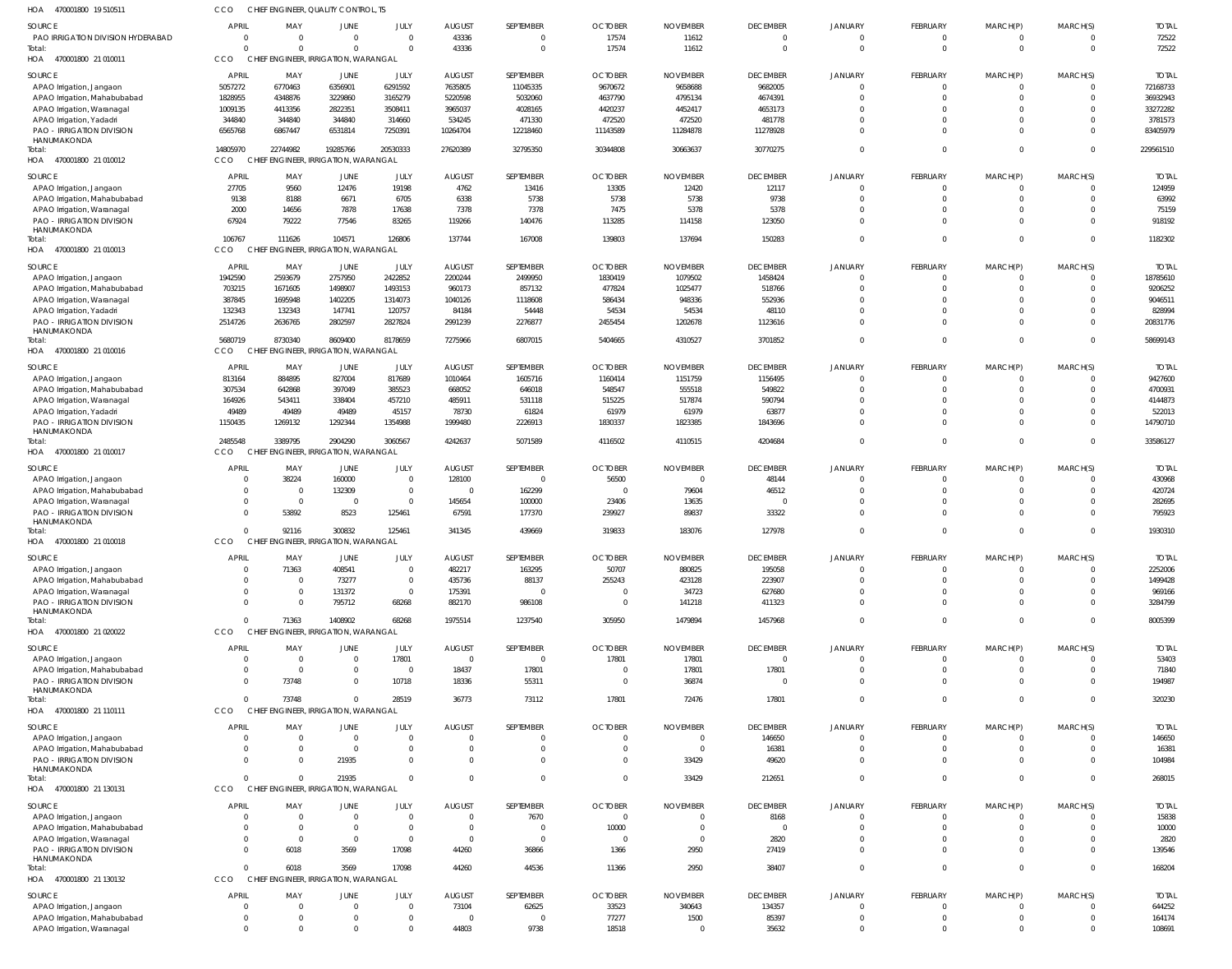| HOA 470001800 19 510511                                  | CCO                            | CHIEF ENGINEER, QUALITY CONTROL, TS             |                               |                            |                           |                             |                         |                          |                                   |                               |                         |                         |                      |                       |
|----------------------------------------------------------|--------------------------------|-------------------------------------------------|-------------------------------|----------------------------|---------------------------|-----------------------------|-------------------------|--------------------------|-----------------------------------|-------------------------------|-------------------------|-------------------------|----------------------|-----------------------|
| SOURCE<br>PAO IRRIGATION DIVISION HYDERABAD              | <b>APRIL</b><br>$\overline{0}$ | MAY<br>$\Omega$                                 | <b>JUNE</b><br>$\overline{0}$ | JULY<br>$\mathbf 0$        | <b>AUGUST</b><br>43336    | SEPTEMBER<br>$\overline{0}$ | <b>OCTOBER</b><br>17574 | <b>NOVEMBER</b><br>11612 | <b>DECEMBER</b><br>$\overline{0}$ | <b>JANUARY</b><br>$\mathbf 0$ | FEBRUARY<br>$\mathbf 0$ | MARCH(P)<br>$\mathbf 0$ | MARCH(S)<br>$\Omega$ | <b>TOTAL</b><br>72522 |
| Total:<br>HOA 470001800 21 010011                        | $\Omega$<br><b>CCO</b>         | CHIEF ENGINEER, IRRIGATION, WARANGAL            | $\Omega$                      | $\Omega$                   | 43336                     | $\overline{0}$              | 17574                   | 11612                    | $\overline{0}$                    | $\Omega$                      | $\mathbf{0}$            | $\mathbf{0}$            | $\Omega$             | 72522                 |
|                                                          |                                |                                                 |                               |                            |                           |                             |                         |                          |                                   |                               |                         |                         |                      |                       |
| SOURCE                                                   | <b>APRIL</b>                   | MAY                                             | JUNE                          | JULY                       | <b>AUGUST</b>             | SEPTEMBER                   | <b>OCTOBER</b>          | <b>NOVEMBER</b>          | <b>DECEMBER</b>                   | <b>JANUARY</b>                | <b>FEBRUARY</b>         | MARCH(P)                | MARCH(S)             | <b>TOTAI</b>          |
| APAO Irrigation, Jangaon                                 | 5057272                        | 6770463                                         | 6356901                       | 6291592                    | 7635805                   | 11045335                    | 9670672                 | 9658688                  | 9682005                           | $\Omega$<br>$\Omega$          | $\mathbf 0$<br>$\Omega$ | $\mathbf 0$<br>$\Omega$ | $\Omega$<br>$\Omega$ | 72168733              |
| APAO Irrigation, Mahabubabad                             | 1828955                        | 4348876                                         | 3229860                       | 3165279                    | 5220598                   | 5032060                     | 4637790                 | 4795134                  | 4674391                           | $\Omega$                      | $\Omega$                | $\Omega$                | $\Omega$             | 36932943              |
| APAO Irrigation, Waranagal                               | 1009135                        | 4413356                                         | 2822351                       | 3508411                    | 3965037                   | 4028165                     | 4420237                 | 4452417                  | 4653173                           | $\Omega$                      | $\Omega$                | $\Omega$                |                      | 33272282              |
| APAO Irrigation, Yadadri                                 | 344840                         | 344840                                          | 344840                        | 314660                     | 534245                    | 471330                      | 472520                  | 472520                   | 481778                            |                               | $\Omega$                |                         | $\Omega$<br>$\Omega$ | 3781573               |
| PAO - IRRIGATION DIVISION<br>HANUMAKONDA<br>Total:       | 6565768<br>14805970            | 6867447<br>22744982                             | 6531814<br>19285766           | 7250391<br>20530333        | 10264704<br>27620389      | 12218460<br>32795350        | 11143589<br>30344808    | 11284878<br>30663637     | 11278928<br>30770275              | $\Omega$<br>$\Omega$          | $\Omega$                | $\Omega$<br>$\Omega$    | $\Omega$             | 83405979<br>229561510 |
| HOA 470001800 21 010012                                  | <b>CCO</b>                     | CHIEF ENGINEER, IRRIGATION, WARANGAL            |                               |                            |                           |                             |                         |                          |                                   |                               |                         |                         |                      |                       |
| SOURCE                                                   | <b>APRIL</b>                   | MAY                                             | <b>JUNE</b>                   | JULY                       | <b>AUGUST</b>             | SEPTEMBER                   | <b>OCTOBER</b>          | <b>NOVEMBER</b>          | <b>DECEMBER</b>                   | <b>JANUARY</b>                | <b>FEBRUARY</b>         | MARCH(P)                | MARCH(S)             | <b>TOTAL</b>          |
| APAO Irrigation, Jangaon                                 | 27705                          | 9560                                            | 12476                         | 19198                      | 4762                      | 13416                       | 13305                   | 12420                    | 12117                             | $\overline{0}$                | $\mathbf 0$             | $\mathbf 0$             | $\Omega$             | 124959                |
| APAO Irrigation, Mahabubabad                             | 9138                           | 8188                                            | 6671                          | 6705                       | 6338                      | 5738                        | 5738                    | 5738                     | 9738                              | $\Omega$                      | $\mathbf 0$             | $\mathbf 0$             | $\Omega$             | 63992                 |
| APAO Irrigation, Waranagal                               | 2000                           | 14656                                           | 7878                          | 17638                      | 7378                      | 7378                        | 7475                    | 5378                     | 5378                              | $\Omega$                      | $\Omega$                | $\mathbf 0$             | $\Omega$             | 75159                 |
| PAO - IRRIGATION DIVISION<br>HANUMAKONDA                 | 67924                          | 79222                                           | 77546                         | 83265                      | 119266                    | 140476                      | 113285                  | 114158                   | 123050                            | $\Omega$                      | $\Omega$                | $\mathbf 0$             | $\Omega$             | 918192                |
| Total:<br>HOA 470001800 21 010013                        | 106767<br>CCO                  | 111626<br>CHIEF ENGINEER, IRRIGATION, WARANGAL  | 104571                        | 126806                     | 137744                    | 167008                      | 139803                  | 137694                   | 150283                            | $\Omega$                      | $\mathbf 0$             | $\mathbf 0$             | $\Omega$             | 1182302               |
| SOURCE                                                   | APRIL                          | MAY                                             | <b>JUNE</b>                   | JULY                       | <b>AUGUST</b>             | SEPTEMBER                   | <b>OCTOBER</b>          | <b>NOVEMBER</b>          | <b>DECEMBER</b>                   | <b>JANUARY</b>                | <b>FEBRUARY</b>         | MARCH(P)                | MARCH(S)             | <b>TOTAI</b>          |
|                                                          | 1942590                        | 2593679                                         | 2757950                       | 2422852                    | 2200244                   | 2499950                     | 1830419                 | 1079502                  | 1458424                           | $\Omega$                      | $\mathbf 0$             | $\mathbf 0$             | $\Omega$             | 18785610              |
| APAO Irrigation, Jangaon<br>APAO Irrigation, Mahabubabad | 703215                         | 1671605                                         | 1498907                       | 1493153                    | 960173                    | 857132                      | 477824                  | 1025477                  | 518766                            | $\Omega$                      | $\Omega$                | $\Omega$                | $\Omega$             | 9206252               |
|                                                          | 387845                         | 1695948                                         | 1402205                       | 1314073                    | 1040126                   | 1118608                     | 586434                  | 948336                   | 552936                            | $\Omega$                      | $\Omega$                | $\Omega$                | $\Omega$             | 9046511               |
| APAO Irrigation, Waranagal                               | 132343                         | 132343                                          | 147741                        | 120757                     | 84184                     | 54448                       | 54534                   | 54534                    | 48110                             | $\Omega$                      | $\Omega$                | $\Omega$                | $\Omega$             | 828994                |
| APAO Irrigation, Yadadri                                 |                                |                                                 |                               |                            |                           |                             |                         |                          |                                   | $\Omega$                      | $\Omega$                | $\Omega$                | $\Omega$             |                       |
| PAO - IRRIGATION DIVISION<br>HANUMAKONDA<br>Total:       | 2514726<br>5680719             | 2636765<br>8730340                              | 2802597<br>8609400            | 2827824<br>8178659         | 2991239<br>7275966        | 2276877<br>6807015          | 2455454<br>5404665      | 1202678<br>4310527       | 1123616<br>3701852                | $\Omega$                      | $\Omega$                | $\Omega$                | $\Omega$             | 20831776<br>58699143  |
| HOA 470001800 21 010016                                  | CCO                            | CHIEF ENGINEER, IRRIGATION, WARANGAL            |                               |                            |                           |                             |                         |                          |                                   |                               |                         |                         |                      |                       |
| SOURCE                                                   | APRIL                          | MAY                                             | <b>JUNE</b>                   | JULY                       | <b>AUGUST</b>             | SEPTEMBER                   | <b>OCTOBER</b>          | <b>NOVEMBER</b>          | <b>DECEMBER</b>                   | <b>JANUARY</b>                | <b>FEBRUARY</b>         | MARCH(P)                | MARCH(S)             | <b>TOTAL</b>          |
| APAO Irrigation, Jangaon                                 | 813164                         | 884895                                          | 827004                        | 817689                     | 1010464                   | 1605716                     | 1160414                 | 1151759                  | 1156495                           | $\Omega$                      | $\mathbf 0$             | $\mathbf 0$             | $\Omega$             | 9427600               |
| APAO Irrigation, Mahabubabad                             | 307534                         | 642868                                          | 397049                        | 385523                     | 668052                    | 646018                      | 548547                  | 555518                   | 549822                            | $\Omega$                      | $\mathbf 0$             | $\mathbf 0$             | $\Omega$             | 4700931               |
| APAO Irrigation, Waranagal                               | 164926                         | 543411                                          | 338404                        | 457210                     | 485911                    | 531118                      | 515225                  | 517874                   | 590794                            | $\Omega$                      | $\Omega$                | $\Omega$                | $\Omega$             | 4144873               |
| APAO Irrigation, Yadadri                                 | 49489                          | 49489                                           | 49489                         | 45157                      | 78730                     | 61824                       | 61979                   | 61979                    | 63877                             | $\Omega$                      | $\Omega$                | 0                       | $\Omega$             | 522013                |
| PAO - IRRIGATION DIVISION                                | 1150435                        | 1269132                                         | 1292344                       | 1354988                    | 1999480                   | 2226913                     | 1830337                 | 1823385                  | 1843696                           | $\Omega$                      | $\Omega$                | $\Omega$                | $\Omega$             | 14790710              |
| HANUMAKONDA                                              |                                |                                                 |                               |                            |                           |                             |                         |                          |                                   |                               |                         |                         |                      |                       |
| Total:<br>HOA 470001800 21 010017                        | 2485548<br>CCO                 | 3389795<br>CHIEF ENGINEER, IRRIGATION, WARANGAL | 2904290                       | 3060567                    | 4242637                   | 5071589                     | 4116502                 | 4110515                  | 4204684                           | $\Omega$                      | $\mathbf 0$             | $\mathbf 0$             | $\Omega$             | 33586127              |
| SOURCE                                                   | <b>APRIL</b>                   | MAY                                             | JUNE                          | JULY                       | <b>AUGUST</b>             | SEPTEMBER                   | <b>OCTOBER</b>          | <b>NOVEMBER</b>          | <b>DECEMBER</b>                   | <b>JANUARY</b>                | <b>FEBRUARY</b>         | MARCH(P)                | MARCH(S)             | <b>TOTAI</b>          |
| APAO Irrigation, Jangaon                                 | $\overline{0}$                 | 38224                                           | 160000                        | $\mathbf 0$                | 128100                    | $\Omega$                    | 56500                   | $\overline{0}$           | 48144                             | $\Omega$                      | $\Omega$                | $\Omega$                | $\Omega$             | 430968                |
| APAO Irrigation, Mahabubabad                             | $\Omega$                       | $\Omega$                                        | 132309                        | $\mathbf 0$                | $\Omega$                  | 162299                      | - 0                     | 79604                    | 46512                             | $\Omega$                      | $\Omega$                | $\Omega$                | $\Omega$             | 420724                |
| APAO Irrigation, Waranagal                               | $\Omega$                       | $\overline{0}$                                  | $\Omega$                      | $\mathbf 0$                | 145654                    | 100000                      | 23406                   | 13635                    | $\Omega$                          | $\Omega$                      | $\Omega$                | $\Omega$                | $\Omega$             | 282695                |
| PAO - IRRIGATION DIVISION                                | $\Omega$                       | 53892                                           | 8523                          | 125461                     | 67591                     | 177370                      | 239927                  | 89837                    | 33322                             | $\Omega$                      | $\Omega$                | $\Omega$                | $\Omega$             | 795923                |
| HANUMAKONDA                                              |                                |                                                 |                               |                            |                           |                             |                         |                          |                                   |                               |                         |                         |                      |                       |
| Total:<br>HOA 470001800 21 010018                        | $\Omega$<br>CCO                | 92116<br>CHIEF ENGINEER, IRRIGATION, WARANGAL   | 300832                        | 125461                     | 341345                    | 439669                      | 319833                  | 183076                   | 127978                            | $\Omega$                      | $\Omega$                | $\Omega$                | $\Omega$             | 1930310               |
|                                                          |                                |                                                 |                               |                            |                           |                             |                         |                          |                                   |                               |                         |                         |                      |                       |
| SOURCE                                                   | APRIL                          | MAY                                             | JUNE                          | JULY                       | <b>AUGUST</b>             | SEPTEMBER                   | <b>OCTOBER</b>          | <b>NOVEMBER</b>          | <b>DECEMBER</b>                   | JANUARY                       | <b>FEBRUARY</b>         | MARCH(P)                | MARCH(S)             | <b>TOTAL</b>          |
| APAO Irrigation, Jangaon                                 | $\overline{0}$                 | 71363<br>$\Omega$                               | 408541                        | $\mathbf 0$<br>$\mathbf 0$ | 482217                    | 163295                      | 50707                   | 880825                   | 195058                            | $\Omega$<br>$\Omega$          | $\mathbf 0$<br>$\Omega$ | 0                       | $\Omega$<br>$\Omega$ | 2252006               |
| APAO Irrigation, Mahabubabad                             | $\overline{0}$<br>$\Omega$     | $\Omega$                                        | 73277                         | $\mathbf 0$                | 435736                    | 88137<br>$\overline{0}$     | 255243<br>0             | 423128                   | 223907                            | $\Omega$                      | $\Omega$                | $\Omega$<br>$\Omega$    | $\Omega$             | 1499428               |
| APAO Irrigation, Waranagal<br>PAO - IRRIGATION DIVISION  | $\Omega$                       |                                                 | 131372<br>795712              | 68268                      | 175391<br>882170          | 986108                      | $\Omega$                | 34723<br>141218          | 627680<br>411323                  | $\Omega$                      | $\Omega$                | $\Omega$                | $\Omega$             | 969166<br>3284799     |
| HANUMAKONDA                                              |                                |                                                 |                               |                            |                           |                             |                         |                          |                                   |                               |                         |                         |                      |                       |
| Total:                                                   | $\Omega$                       | 71363                                           | 1408902                       | 68268                      | 1975514                   | 1237540                     | 305950                  | 1479894                  | 1457968                           | $\Omega$                      | $\mathbf 0$             | $\mathbf 0$             | $\Omega$             | 8005399               |
| HOA 470001800 21 020022                                  | CCO                            | CHIEF ENGINEER, IRRIGATION, WARANGAL            |                               |                            |                           |                             |                         |                          |                                   |                               |                         |                         |                      |                       |
| SOURCE                                                   | <b>APRIL</b>                   | MAY                                             | JUNE                          | JULY                       | <b>AUGUST</b>             | SEPTEMBER                   | <b>OCTOBER</b>          | <b>NOVEMBER</b>          | <b>DECEMBER</b>                   | <b>JANUARY</b>                | FEBRUARY                | MARCH(P)                | MARCH(S)             | <b>TOTAL</b>          |
| APAO Irrigation, Jangaon                                 | $\Omega$                       | $\Omega$                                        | $\Omega$                      | 17801                      | $\overline{0}$            | $\overline{0}$              | 17801                   | 17801                    | $\overline{0}$                    | $\Omega$                      | $\mathbf 0$             | $\mathbf 0$             | $\Omega$             | 53403                 |
| APAO Irrigation, Mahabubabad                             | $\Omega$                       | $\Omega$                                        | $\Omega$                      | $\overline{0}$             | 18437                     | 17801                       | $\Omega$                | 17801                    | 17801                             | $\Omega$                      | $\Omega$                | $\Omega$                | $\Omega$             | 71840                 |
| PAO - IRRIGATION DIVISION                                | $\Omega$                       | 73748                                           | $\Omega$                      | 10718                      | 18336                     | 55311                       | $\mathbf 0$             | 36874                    | $\Omega$                          | $\Omega$                      | $\Omega$                | $\Omega$                | $\Omega$             | 194987                |
| HANUMAKONDA<br>Total:                                    | $\Omega$                       | 73748                                           | $\Omega$                      | 28519                      | 36773                     | 73112                       | 17801                   | 72476                    | 17801                             | $\Omega$                      | $\Omega$                | $\mathbf 0$             | $\Omega$             | 320230                |
| HOA 470001800 21 110111                                  | CCO                            | CHIEF ENGINEER, IRRIGATION, WARANGAL            |                               |                            |                           |                             |                         |                          |                                   |                               |                         |                         |                      |                       |
| SOURCE                                                   | <b>APRIL</b>                   | MAY                                             | JUNE                          | JULY                       | <b>AUGUST</b>             | SEPTEMBER                   | <b>OCTOBER</b>          | <b>NOVEMBER</b>          | <b>DECEMBER</b>                   | <b>JANUARY</b>                | <b>FEBRUARY</b>         | MARCH(P)                | MARCH(S)             | <b>TOTAL</b>          |
| APAO Irrigation, Jangaon                                 | $\overline{0}$                 |                                                 | $\Omega$                      | $\mathbf 0$                | $\Omega$                  | $\overline{0}$              | $\Omega$                | $\overline{0}$           | 146650                            | $\Omega$                      | $\mathbf 0$             | $\mathbf 0$             | $\Omega$             | 146650                |
| APAO Irrigation, Mahabubabad                             | $\Omega$                       |                                                 | $\Omega$                      | $\mathbf 0$                | $\Omega$                  | $\overline{0}$              |                         | $\overline{0}$           | 16381                             | $\Omega$                      | $\mathbf 0$             | $\mathbf 0$             | $\Omega$             | 16381                 |
| PAO - IRRIGATION DIVISION                                | $\Omega$                       | $\Omega$                                        | 21935                         | $\Omega$                   | $\Omega$                  | $\overline{0}$              | $\Omega$                | 33429                    | 49620                             | $\Omega$                      | $\mathbf 0$             | $\mathbf 0$             | $\Omega$             | 104984                |
| HANUMAKONDA                                              |                                |                                                 |                               |                            |                           |                             |                         |                          |                                   |                               |                         |                         |                      |                       |
| Total:<br>HOA 470001800 21 130131                        | $\Omega$<br>CCO                | CHIEF ENGINEER, IRRIGATION, WARANGAL            | 21935                         | $\Omega$                   | $\Omega$                  | $\Omega$                    | $\Omega$                | 33429                    | 212651                            | $\Omega$                      | $\Omega$                | $\mathbf 0$             | $\Omega$             | 268015                |
|                                                          | <b>APRIL</b>                   |                                                 |                               |                            |                           |                             |                         |                          |                                   |                               |                         |                         |                      |                       |
| SOURCE                                                   |                                | MAY<br>$\Omega$                                 | JUNE                          | JULY<br>$\Omega$           | <b>AUGUST</b><br>$\Omega$ | SEPTEMBER                   | <b>OCTOBER</b>          | <b>NOVEMBER</b>          | <b>DECEMBER</b>                   | <b>JANUARY</b><br>$\Omega$    | <b>FEBRUARY</b>         | MARCH(P)<br>$\Omega$    | MARCH(S)             | <b>TOTAL</b>          |
| APAO Irrigation, Jangaon                                 | $\Omega$                       |                                                 | $\Omega$                      |                            |                           | 7670                        | $\Omega$                | $\Omega$                 | 8168                              |                               | $\Omega$                |                         | $\Omega$             | 15838                 |
| APAO Irrigation, Mahabubabad                             | $\Omega$                       | $\Omega$                                        | $\Omega$                      | $\mathbf 0$                | $\Omega$                  | $\overline{0}$              | 10000                   | $\overline{0}$           | $\Omega$                          | $\Omega$                      | $\Omega$                | $\Omega$                | $\Omega$             | 10000                 |
| APAO Irrigation, Waranagal                               | $\Omega$                       | $\Omega$                                        | $\Omega$                      | $\Omega$                   | $\Omega$                  | $\Omega$                    | 0                       | $\overline{0}$           | 2820                              | $\Omega$                      | $\Omega$                | $\Omega$                |                      | 2820                  |
| PAO - IRRIGATION DIVISION<br>HANUMAKONDA                 | $\Omega$                       | 6018                                            | 3569                          | 17098                      | 44260                     | 36866                       | 1366                    | 2950                     | 27419                             | $\Omega$                      | $\Omega$                | $\Omega$                | $\Omega$             | 139546                |
| Total:                                                   | $\Omega$                       | 6018                                            | 3569                          | 17098                      | 44260                     | 44536                       | 11366                   | 2950                     | 38407                             | $\Omega$                      | $\Omega$                | $\Omega$                | $\Omega$             | 168204                |
| HOA 470001800 21 130132                                  | CCO                            | CHIEF ENGINEER, IRRIGATION, WARANGAL            |                               |                            |                           |                             |                         |                          |                                   |                               |                         |                         |                      |                       |
|                                                          |                                |                                                 |                               |                            |                           |                             |                         |                          |                                   |                               |                         |                         |                      |                       |
| SOURCE                                                   | <b>APRIL</b>                   | MAY                                             | JUNE                          | JULY                       | <b>AUGUST</b>             | SEPTEMBER                   | <b>OCTOBER</b>          | <b>NOVEMBER</b>          | <b>DECEMBER</b>                   | JANUARY                       | <b>FEBRUARY</b>         | MARCH(P)                | MARCH(S)             | <b>TOTAL</b>          |
| APAO Irrigation, Jangaon                                 | $\Omega$                       | $\Omega$                                        | $\Omega$                      | $\Omega$                   | 73104                     | 62625                       | 33523                   | 340643                   | 134357                            | $\Omega$                      | $\mathbf 0$             | $\Omega$                | $\Omega$             | 644252                |
| APAO Irrigation, Mahabubabad                             | $\mathbf 0$                    | $\Omega$                                        | $\Omega$                      | $\mathbf 0$                | $\Omega$                  | $\overline{0}$              | 77277                   | 1500                     | 85397                             | $\Omega$                      | $\mathbf 0$             | $\mathbf 0$             | $\Omega$             | 164174                |
| APAO Irrigation, Waranagal                               | $\Omega$                       |                                                 | $\Omega$                      | $\mathbf 0$                | 44803                     | 9738                        | 18518                   | -0                       | 35632                             | $\Omega$                      | $\mathbf 0$             | $\Omega$                | $\Omega$             | 108691                |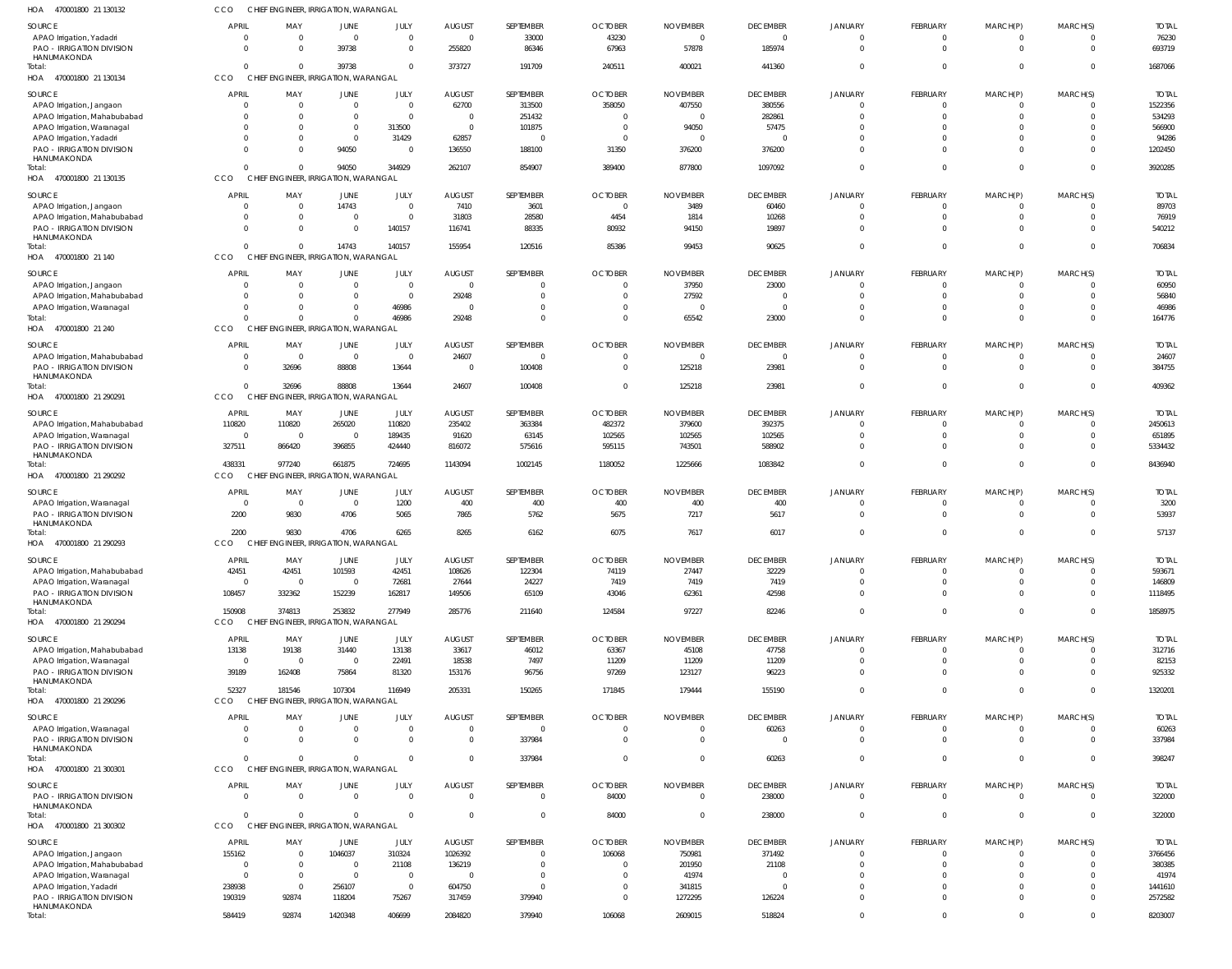470001800 21 130132 HOA CCO CHIEF ENGINEER, IRRIGATION, WARANGAL

| SOURCE                                                                      | <b>APRIL</b>             | MAY                                              | JUNE                           | JULY                             | <b>AUGUST</b>            | SEPTEMBER                | <b>OCTOBER</b>                   | <b>NOVEMBER</b>          | <b>DECEMBER</b>          | <b>JANUARY</b>       | FEBRUARY                    | MARCH(P)                       | MARCH(S)                   | <b>TOTAL</b>           |
|-----------------------------------------------------------------------------|--------------------------|--------------------------------------------------|--------------------------------|----------------------------------|--------------------------|--------------------------|----------------------------------|--------------------------|--------------------------|----------------------|-----------------------------|--------------------------------|----------------------------|------------------------|
| APAO Irrigation, Yadadri<br><b>PAO - IRRIGATION DIVISION</b><br>HANUMAKONDA | $\mathbf 0$<br>$\Omega$  | $\overline{0}$<br>$\Omega$                       | $\mathbf 0$<br>39738           | $\mathbf 0$<br>$\Omega$          | $\overline{0}$<br>255820 | 33000<br>86346           | 43230<br>67963                   | $\overline{0}$<br>57878  | $\Omega$<br>185974       | $\Omega$<br>$\Omega$ | $\mathbf{0}$<br>$\Omega$    | $\mathbf{0}$<br>$\overline{0}$ | $\mathbf{0}$<br>$\Omega$   | 76230<br>693719        |
| Total:<br>HOA 470001800 21 130134                                           | $\Omega$<br>CCO          | $\Omega$<br>CHIEF ENGINEER, IRRIGATION, WARANGAL | 39738                          | $\Omega$                         | 373727                   | 191709                   | 240511                           | 400021                   | 441360                   |                      | $\Omega$                    | $\Omega$                       | $\Omega$                   | 1687066                |
| SOURCE                                                                      | <b>APRIL</b>             | MAY                                              | JUNE                           | JULY                             | <b>AUGUST</b>            | SEPTEMBER                | <b>OCTOBER</b>                   | <b>NOVEMBER</b>          | <b>DECEMBER</b>          | JANUARY              | FEBRUARY                    | MARCH(P)                       | MARCH(S)                   | <b>TOTAL</b>           |
| APAO Irrigation, Jangaon                                                    | $\Omega$                 | $\overline{0}$                                   | $\mathbf{0}$                   | $\Omega$                         | 62700                    | 313500                   | 358050                           | 407550                   | 380556                   |                      | $\overline{0}$              | 0                              | $\mathbf{0}$               | 1522356                |
| APAO Irrigation, Mahabubabad                                                | $\Omega$                 | $\Omega$                                         | $\Omega$                       | $\Omega$                         | $\overline{0}$           | 251432                   | $\overline{0}$                   | $\overline{0}$           | 282861                   | $\Omega$             | $\Omega$                    | $\Omega$                       | $\mathbf 0$                | 534293                 |
| APAO Irrigation, Waranagal                                                  | $\Omega$                 | $\overline{0}$                                   | $\mathbf 0$                    | 313500                           | $\overline{0}$           | 101875                   | $\overline{0}$                   | 94050                    | 57475                    |                      | $\Omega$                    | $\Omega$                       | $\Omega$                   | 566900                 |
| APAO Irrigation, Yadadri<br>PAO - IRRIGATION DIVISION                       | $\Omega$<br>$\Omega$     | $\Omega$<br>$\Omega$                             | $\Omega$<br>94050              | 31429<br>$\Omega$                | 62857<br>136550          | $\overline{0}$<br>188100 | $\overline{0}$<br>31350          | $\overline{0}$<br>376200 | - 0<br>376200            | $\Omega$<br>$\Omega$ | $\Omega$<br>$\Omega$        | $\Omega$<br>$\Omega$           | $\Omega$<br>$\Omega$       | 94286<br>1202450       |
| HANUMAKONDA<br>Total:                                                       | $\Omega$                 | $\overline{0}$                                   | 94050                          | 344929                           | 262107                   | 854907                   | 389400                           | 877800                   | 1097092                  | $\Omega$             | $\Omega$                    | $\mathbf{0}$                   | $\overline{0}$             | 3920285                |
| HOA 470001800 21 130135                                                     | CCO                      | CHIEF ENGINEER, IRRIGATION, WARANGAL             |                                |                                  |                          |                          |                                  |                          |                          |                      |                             |                                |                            |                        |
| <b>SOURCE</b>                                                               | <b>APRIL</b>             | MAY                                              | JUNE                           | JULY                             | <b>AUGUST</b>            | SEPTEMBER                | <b>OCTOBER</b>                   | <b>NOVEMBER</b>          | <b>DECEMBER</b>          | JANUARY              | FEBRUARY                    | MARCH(P)                       | MARCH(S)                   | <b>TOTAL</b>           |
| APAO Irrigation, Jangaon                                                    | $\Omega$<br>$\Omega$     | $\mathbf{0}$<br>$\Omega$                         | 14743<br>$\Omega$              | $\Omega$<br>$\Omega$             | 7410<br>31803            | 3601<br>28580            | $\overline{0}$<br>4454           | 3489<br>1814             | 60460<br>10268           | $\Omega$             | $\mathbf{0}$<br>$\mathbf 0$ | $\overline{0}$<br>$\mathbf{0}$ | $^{\circ}$<br>$\mathbf 0$  | 89703<br>76919         |
| APAO Irrigation, Mahabubabad<br>PAO - IRRIGATION DIVISION                   | $\Omega$                 | $\Omega$                                         | $\Omega$                       | 140157                           | 116741                   | 88335                    | 80932                            | 94150                    | 19897                    |                      | $\Omega$                    | $\Omega$                       | $\Omega$                   | 540212                 |
| HANUMAKONDA                                                                 |                          |                                                  |                                |                                  |                          |                          |                                  |                          |                          |                      |                             |                                |                            |                        |
| Total:<br>HOA 470001800 21 140                                              | $\Omega$<br>CCO          | $\Omega$<br>CHIEF ENGINEER, IRRIGATION, WARANGAL | 14743                          | 140157                           | 155954                   | 120516                   | 85386                            | 99453                    | 90625                    | $\Omega$             | $\Omega$                    | $\mathbf{0}$                   | $\mathbf 0$                | 706834                 |
| SOURCE                                                                      | <b>APRIL</b>             | MAY                                              | JUNE                           | JULY                             | <b>AUGUST</b>            | SEPTEMBER                | <b>OCTOBER</b>                   | <b>NOVEMBER</b>          | <b>DECEMBER</b>          | JANUARY              | FEBRUARY                    | MARCH(P)                       | MARCH(S)                   | <b>TOTAL</b>           |
| APAO Irrigation, Jangaon                                                    | $\Omega$                 | $\overline{0}$                                   | $\Omega$                       | $\Omega$                         | $\overline{0}$           | $\Omega$                 | $\overline{0}$                   | 37950                    | 23000                    | $\Omega$             | $^{\circ}$                  | $\overline{0}$                 | $\mathbf{0}$               | 60950                  |
| APAO Irrigation, Mahabubabad                                                | $\Omega$                 | 0                                                |                                | $\overline{0}$                   | 29248                    | $\Omega$                 | $\overline{0}$                   | 27592                    | $\cap$                   | $\Omega$             | $\mathbf 0$                 | $\Omega$                       | $\mathbf 0$                | 56840                  |
| APAO Irrigation, Waranagal                                                  | $\Omega$                 | $\Omega$                                         |                                | 46986                            | $\overline{0}$           | $\Omega$                 | $\overline{0}$                   | $\overline{0}$           | $\Omega$                 | $\Omega$             | $\Omega$                    | $\Omega$                       | $\mathbf 0$                | 46986                  |
| Total:<br>HOA 470001800 21 240                                              | $\Omega$<br>CCO          | $\Omega$<br>CHIEF ENGINEER, IRRIGATION, WARANGAL |                                | 46986                            | 29248                    | $\Omega$                 | $\Omega$                         | 65542                    | 23000                    | $\Omega$             | $\Omega$                    | $\Omega$                       | $\Omega$                   | 164776                 |
| <b>SOURCE</b>                                                               | <b>APRIL</b>             | MAY                                              | JUNE                           | JULY                             | <b>AUGUST</b>            | SEPTEMBER                | <b>OCTOBER</b>                   | <b>NOVEMBER</b>          | <b>DECEMBER</b>          | JANUARY              | FEBRUARY                    | MARCH(P)                       | MARCH(S)                   | <b>TOTAL</b>           |
| APAO Irrigation, Mahabubabad                                                | $\mathbf 0$              | $\overline{\phantom{0}}$                         | $\Omega$                       | $\Omega$                         | 24607                    | $\Omega$                 | 0                                | $\overline{0}$           | $\Omega$                 |                      | $^{\circ}$                  | $\Omega$                       | $\Omega$                   | 24607                  |
| PAO - IRRIGATION DIVISION                                                   | $\mathbf 0$              | 32696                                            | 88808                          | 13644                            | $\overline{0}$           | 100408                   | $\overline{0}$                   | 125218                   | 23981                    | $\Omega$             | $\Omega$                    | $\Omega$                       | $\mathbf 0$                | 384755                 |
| HANUMAKONDA<br>Total:                                                       | $\Omega$                 | 32696                                            | 88808                          | 13644                            | 24607                    | 100408                   | $\overline{0}$                   | 125218                   | 23981                    | $\Omega$             | $\mathbf 0$                 | $\mathbf{0}$                   | $\mathbf 0$                | 409362                 |
| HOA 470001800 21 290291                                                     | CCO                      | CHIEF ENGINEER, IRRIGATION, WARANGAL             |                                |                                  |                          |                          |                                  |                          |                          |                      |                             |                                |                            |                        |
| SOURCE                                                                      | <b>APRIL</b>             | MAY                                              | <b>JUNE</b>                    | JULY                             | <b>AUGUST</b>            | SEPTEMBER                | <b>OCTOBER</b>                   | <b>NOVEMBER</b>          | <b>DECEMBER</b>          | <b>JANUARY</b>       | FEBRUARY                    | MARCH(P)                       | MARCH(S)                   | <b>TOTAL</b>           |
| APAO Irrigation, Mahabubabad                                                | 110820                   | 110820                                           | 265020                         | 110820                           | 235402                   | 363384                   | 482372                           | 379600                   | 392375                   | $\Omega$             | $\overline{0}$              | $\overline{0}$                 | $\overline{0}$             | 2450613                |
| APAO Irrigation, Waranagal<br>PAO - IRRIGATION DIVISION                     | $\overline{0}$<br>327511 | $\overline{\phantom{0}}$<br>866420               | $\mathbf 0$<br>396855          | 189435<br>424440                 | 91620<br>816072          | 63145<br>575616          | 102565<br>595115                 | 102565<br>743501         | 102565<br>588902         | $\Omega$<br>$\Omega$ | $\mathbf 0$<br>$\Omega$     | $\mathbf{0}$<br>$\Omega$       | $\mathbf 0$<br>$\mathbf 0$ | 651895<br>5334432      |
| HANUMAKONDA                                                                 |                          |                                                  |                                |                                  |                          |                          |                                  |                          |                          |                      |                             |                                |                            |                        |
| Total:<br>HOA 470001800 21 290292                                           | 438331<br><b>CCO</b>     | 977240<br>CHIEF ENGINEER, IRRIGATION, WARANGAL   | 661875                         | 724695                           | 1143094                  | 1002145                  | 1180052                          | 1225666                  | 1083842                  | $\Omega$             | $\mathbf{0}$                | $\mathbf{0}$                   | $\mathbf 0$                | 8436940                |
| SOURCE                                                                      | <b>APRIL</b>             | MAY                                              | JUNE                           | JULY                             | <b>AUGUST</b>            | SEPTEMBER                | <b>OCTOBER</b>                   | <b>NOVEMBER</b>          | <b>DECEMBER</b>          | JANUARY              | FEBRUARY                    | MARCH(P)                       | MARCH(S)                   | <b>TOTAL</b>           |
| APAO Irrigation, Waranagal                                                  | $\overline{0}$           | $\overline{\phantom{0}}$                         | $\Omega$                       | 1200                             | 400                      | 400                      | 400                              | 400                      | 400                      |                      | $\mathbf 0$                 | $\Omega$                       | $\Omega$                   | 3200                   |
| PAO - IRRIGATION DIVISION                                                   | 2200                     | 9830                                             | 4706                           | 5065                             | 7865                     | 5762                     | 5675                             | 7217                     | 5617                     | $\Omega$             | $\Omega$                    | $\Omega$                       | $\mathbf 0$                | 53937                  |
| HANUMAKONDA<br>Total:                                                       | 2200                     | 9830                                             | 4706                           | 6265                             | 8265                     | 6162                     | 6075                             | 7617                     | 6017                     | $\Omega$             | $\mathbf{0}$                | $\Omega$                       | $\mathbf{0}$               | 57137                  |
| HOA 470001800 21 290293                                                     | CCO                      | <b>CHIEF</b>                                     | ENGINEER, IRRIGATION, WARANGAL |                                  |                          |                          |                                  |                          |                          |                      |                             |                                |                            |                        |
| <b>SOURCE</b>                                                               | <b>APRIL</b>             | MAY                                              | JUNE                           | JULY                             | <b>AUGUST</b>            | <b>SEPTEMBER</b>         | <b>OCTOBER</b>                   | <b>NOVEMBER</b>          | <b>DECEMBER</b>          | <b>JANUARY</b>       | FEBRUARY                    | MARCH(P)                       | MARCH(S)                   | <b>TOTAL</b>           |
| APAO Irrigation, Mahabubabad                                                | 42451                    | 42451                                            | 101593                         | 42451                            | 108626                   | 122304                   | 74119                            | 27447                    | 32229                    |                      | $^{\circ}$                  | $\Omega$                       | $\mathbf 0$                | 593671                 |
| APAO Irrigation, Waranagal                                                  | $\overline{0}$           | $\overline{0}$                                   | $\Omega$                       | 72681                            | 27644                    | 24227                    | 7419                             | 7419                     | 7419                     | $\Omega$             | $\mathbf 0$                 | $\mathbf 0$                    | $\mathbf 0$                | 146809                 |
| PAO - IRRIGATION DIVISION<br>HANUMAKONDA                                    | 108457                   | 332362                                           | 152239                         | 162817                           | 149506                   | 65109                    | 43046                            | 62361                    | 42598                    | $\Omega$             | $\mathbf 0$                 | $\mathbf{0}$                   | $\mathbf{0}$               | 1118495                |
| Total:<br>HOA 470001800 21 290294                                           | 150908<br><b>CCO</b>     | 374813<br>CHIEF ENGINEER, IRRIGATION, WARANGAL   | 253832                         | 277949                           | 285776                   | 211640                   | 124584                           | 97227                    | 82246                    | $\Omega$             | $\mathbf{0}$                | $\mathbf{0}$                   | $\overline{0}$             | 1858975                |
|                                                                             |                          |                                                  |                                |                                  |                          |                          |                                  |                          |                          |                      |                             |                                |                            |                        |
| SOURCE<br>APAO Irrigation, Mahabubabad                                      | <b>APRIL</b><br>13138    | MAY<br>19138                                     | JUNE<br>31440                  | JULY<br>13138                    | <b>AUGUST</b><br>33617   | SEPTEMBER<br>46012       | <b>OCTOBER</b><br>63367          | <b>NOVEMBER</b><br>45108 | <b>DECEMBER</b><br>47758 | <b>JANUARY</b>       | FEBRUARY<br>$\mathbf 0$     | MARCH(P)<br>$\Omega$           | MARCH(S)<br>$\Omega$       | <b>TOTAL</b><br>312716 |
| APAO Irrigation, Waranagal                                                  | $\overline{0}$           | $\overline{0}$                                   | $\overline{0}$                 | 22491                            | 18538                    | 7497                     | 11209                            | 11209                    | 11209                    |                      | $\mathbf 0$                 | $\mathbf{0}$                   | $\mathbf 0$                | 82153                  |
| PAO - IRRIGATION DIVISION                                                   | 39189                    | 162408                                           | 75864                          | 81320                            | 153176                   | 96756                    | 97269                            | 123127                   | 96223                    |                      | $\Omega$                    | $\Omega$                       | $\Omega$                   | 925332                 |
| HANUMAKONDA<br>Total:                                                       | 52327                    | 181546                                           | 107304                         | 116949                           | 205331                   | 150265                   | 171845                           | 179444                   | 155190                   | $\Omega$             | $\mathbf{0}$                | $\mathbf{0}$                   | $\mathbf 0$                | 1320201                |
| HOA 470001800 21 290296                                                     | CCO                      | CHIEF ENGINEER, IRRIGATION, WARANGAL             |                                |                                  |                          |                          |                                  |                          |                          |                      |                             |                                |                            |                        |
| SOURCE                                                                      | <b>APRIL</b>             | MAY                                              | JUNE                           | JULY                             | <b>AUGUST</b>            | SEPTEMBER                | <b>OCTOBER</b>                   | <b>NOVEMBER</b>          | <b>DECEMBER</b>          | JANUARY              | FEBRUARY                    | MARCH(P)                       | MARCH(S)                   | <b>TOTAL</b>           |
| APAO Irrigation, Waranagal                                                  | $\mathbf 0$              | $\overline{0}$                                   |                                | $\Omega$                         | $\overline{0}$           | $\overline{0}$           | $\overline{0}$                   | $\overline{0}$           | 60263                    |                      | $^{\circ}$                  | 0                              | $\mathbf{0}$               | 60263                  |
| PAO - IRRIGATION DIVISION<br>HANUMAKONDA                                    | $\Omega$                 | $\mathbf{0}$                                     | $\Omega$                       | $\overline{0}$                   | $\overline{0}$           | 337984                   | $\overline{0}$                   | $\overline{0}$           | $\Omega$                 | $\Omega$             | $\overline{0}$              | $\overline{0}$                 | $\mathbf{0}$               | 337984                 |
| Total:                                                                      | $\Omega$                 | $\Omega$                                         | $\Omega$                       | $\Omega$                         | $\overline{0}$           | 337984                   | $\overline{0}$                   | $\overline{0}$           | 60263                    | $\Omega$             | $\mathbf{0}$                | $\mathbf{0}$                   | $\mathbf 0$                | 398247                 |
| HOA 470001800 21 300301                                                     | CCO                      | CHIEF ENGINEER, IRRIGATION, WARANGAL             |                                |                                  |                          |                          |                                  |                          |                          |                      |                             |                                |                            |                        |
| SOURCE                                                                      | <b>APRIL</b>             | MAY                                              | JUNE                           | JULY                             | <b>AUGUST</b>            | SEPTEMBER                | <b>OCTOBER</b>                   | <b>NOVEMBER</b>          | <b>DECEMBER</b>          | <b>JANUARY</b>       | FEBRUARY                    | MARCH(P)                       | MARCH(S)                   | <b>TOTAL</b>           |
| PAO - IRRIGATION DIVISION                                                   | $\Omega$                 | $\Omega$                                         | $\Omega$                       | $\Omega$                         | $\Omega$                 | $\Omega$                 | 84000                            | $\overline{0}$           | 238000                   |                      | $\mathbf{0}$                | $\Omega$                       | $\Omega$                   | 322000                 |
| HANUMAKONDA<br>Total:                                                       | $\Omega$                 | $\Omega$                                         |                                | $\Omega$                         | $\overline{0}$           | $\overline{0}$           | 84000                            | $\overline{0}$           | 238000                   |                      | $\overline{0}$              | $\mathbf{0}$                   | $\mathbf 0$                | 322000                 |
| HOA 470001800 21 300302                                                     | CCO                      | CHIEF ENGINEER, IRRIGATION, WARANGAL             |                                |                                  |                          |                          |                                  |                          |                          |                      |                             |                                |                            |                        |
| SOURCE                                                                      | <b>APRIL</b>             | MAY                                              | JUNE                           | JULY                             | <b>AUGUST</b>            | SEPTEMBER                | <b>OCTOBER</b>                   | <b>NOVEMBER</b>          | <b>DECEMBER</b>          | <b>JANUARY</b>       | FEBRUARY                    | MARCH(P)                       | MARCH(S)                   | <b>TOTAL</b>           |
| APAO Irrigation, Jangaon                                                    | 155162                   | $\overline{0}$                                   | 1046037                        | 310324                           | 1026392                  | 0                        | 106068                           | 750981                   | 371492                   |                      | $^{\circ}$                  |                                | $\Omega$                   | 3766456                |
| APAO Irrigation, Mahabubabad                                                | $\overline{0}$           | $\overline{0}$                                   | $\Omega$                       | 21108                            | 136219                   | $\Omega$                 | $\overline{0}$                   | 201950                   | 21108                    |                      | $\mathbf 0$                 | $\Omega$                       | $\overline{0}$             | 380385                 |
| APAO Irrigation, Waranagal<br>APAO Irrigation, Yadadri                      | $\overline{0}$<br>238938 | $\overline{0}$<br>$\overline{0}$                 | $\Omega$<br>256107             | $\overline{0}$<br>$\overline{0}$ | $\overline{0}$<br>604750 | $\mathbf 0$<br>$\Omega$  | $\overline{0}$<br>$\overline{0}$ | 41974<br>341815          | $\Omega$<br>$\Omega$     |                      | $\mathbf 0$<br>$\Omega$     | $\Omega$<br>$\Omega$           | $\Omega$<br>$\Omega$       | 41974<br>1441610       |
| PAO - IRRIGATION DIVISION                                                   | 190319                   | 92874                                            | 118204                         | 75267                            | 317459                   | 379940                   | $\overline{0}$                   | 1272295                  | 126224                   | $\Omega$             | $\mathbf 0$                 | $\Omega$                       | $\Omega$                   | 2572582                |
| HANUMAKONDA                                                                 |                          |                                                  |                                |                                  |                          |                          |                                  |                          |                          |                      |                             |                                |                            |                        |
| Total:                                                                      | 584419                   | 92874                                            | 1420348                        | 406699                           | 2084820                  | 379940                   | 106068                           | 2609015                  | 518824                   | $\Omega$             | $\mathbf{0}$                | $\mathbf{0}$                   | $\mathbf{0}$               | 8203007                |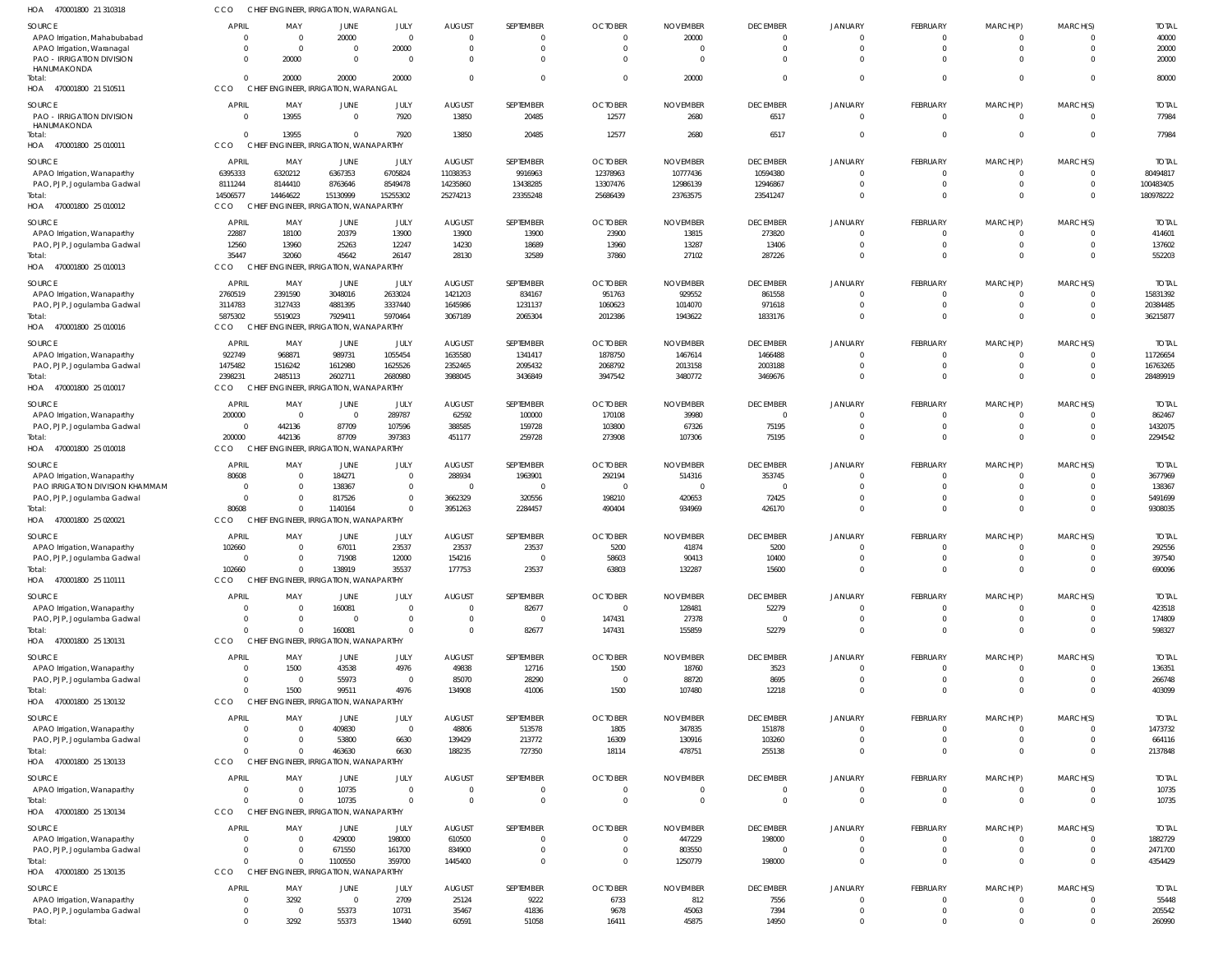| HOA 470001800 21 310318              | CCO                              | CHIEF ENGINEER, IRRIGATION, WARANGAL               |                                         |                        |                        |                     |                        |                  |                           |                      |                              |                  |                      |                         |
|--------------------------------------|----------------------------------|----------------------------------------------------|-----------------------------------------|------------------------|------------------------|---------------------|------------------------|------------------|---------------------------|----------------------|------------------------------|------------------|----------------------|-------------------------|
| <b>SOURCE</b>                        | <b>APRIL</b>                     | MAY                                                | <b>JUNE</b>                             | JULY                   | <b>AUGUST</b>          | SEPTEMBER           | <b>OCTOBER</b>         | <b>NOVEMBER</b>  | <b>DECEMBER</b>           | <b>JANUARY</b>       | <b>FEBRUARY</b>              | MARCH(P)         | MARCH(S)             | <b>TOTAI</b>            |
| APAO Irrigation, Mahabubabad         | $\Omega$                         | $\overline{0}$                                     | 20000                                   | $\overline{0}$         | $\Omega$               | $\mathbf 0$         | $\overline{0}$         | 20000            | $\overline{0}$            | $\Omega$             | $\mathbf{0}$                 | 0                | $\Omega$             | 40000                   |
| APAO Irrigation, Waranagal           | $\Omega$                         | $\overline{0}$                                     | $\Omega$                                | 20000                  | $\Omega$               | $\Omega$            | $\overline{0}$         | $\overline{0}$   | $\Omega$                  | $\Omega$             | $\mathbf 0$                  | $\mathbf 0$      | $\Omega$             | 20000                   |
| <b>PAO - IRRIGATION DIVISION</b>     | $\Omega$                         | 20000                                              | $\Omega$                                | $\overline{0}$         | $\Omega$               | $\Omega$            | $\Omega$               | $\overline{0}$   | $\Omega$                  | $\Omega$             | $\Omega$                     | $\Omega$         | $\Omega$             | 20000                   |
| HANUMAKONDA                          | $\Omega$                         | 20000                                              | 20000                                   |                        | $\Omega$               | $\mathbf 0$         | $\overline{0}$         |                  | $\overline{0}$            | $\Omega$             | $\mathbf 0$                  | $\mathbf 0$      | $\Omega$             |                         |
| Total:<br>HOA 470001800 21 510511    | CCO                              | CHIEF ENGINEER, IRRIGATION, WARANGAL               |                                         | 20000                  |                        |                     |                        | 20000            |                           |                      |                              |                  |                      | 80000                   |
|                                      |                                  |                                                    |                                         |                        |                        |                     |                        |                  |                           |                      |                              |                  |                      |                         |
| <b>SOURCE</b>                        | <b>APRIL</b>                     | MAY                                                | JUNE                                    | JULY                   | <b>AUGUST</b>          | SEPTEMBER           | <b>OCTOBER</b>         | <b>NOVEMBER</b>  | <b>DECEMBER</b>           | <b>JANUARY</b>       | <b>FEBRUARY</b>              | MARCH(P)         | MARCH(S)             | <b>TOTAL</b>            |
| <b>PAO - IRRIGATION DIVISION</b>     | $\overline{0}$                   | 13955                                              | $\Omega$                                | 7920                   | 13850                  | 20485               | 12577                  | 2680             | 6517                      | $\Omega$             | $\mathbf 0$                  | $\mathbf{0}$     | $\Omega$             | 77984                   |
| HANUMAKONDA<br>Total:                | $\Omega$                         | 13955                                              | $\Omega$                                | 7920                   | 13850                  | 20485               | 12577                  | 2680             | 6517                      | $\Omega$             | $\mathbf 0$                  | $\mathbf 0$      | $\Omega$             | 77984                   |
| HOA 470001800 25 010011              | CCO                              | CHIEF ENGINEER, IRRIGATION, WANAPARTHY             |                                         |                        |                        |                     |                        |                  |                           |                      |                              |                  |                      |                         |
|                                      |                                  |                                                    |                                         |                        |                        |                     |                        |                  |                           |                      |                              |                  |                      |                         |
| <b>SOURCE</b>                        | APRIL                            | MAY                                                | JUNE                                    | JULY                   | <b>AUGUST</b>          | SEPTEMBER           | <b>OCTOBER</b>         | <b>NOVEMBER</b>  | <b>DECEMBER</b>           | <b>JANUARY</b>       | <b>FEBRUARY</b>              | MARCH(P)         | MARCH(S)             | <b>TOTAI</b>            |
| APAO Irrigation, Wanaparthy          | 6395333                          | 6320212                                            | 6367353                                 | 6705824                | 11038353               | 9916963             | 12378963               | 10777436         | 10594380                  | $\Omega$             | $\mathbf{0}$                 | 0                | $\Omega$             | 80494817                |
| PAO, PJP, Jogulamba Gadwal           | 8111244                          | 8144410                                            | 8763646                                 | 8549478                | 14235860               | 13438285            | 13307476               | 12986139         | 12946867                  | $\Omega$             | $\mathbf 0$                  | $\mathbf 0$      | $\Omega$             | 100483405               |
| Total:                               | 14506577                         | 14464622                                           | 15130999                                | 15255302               | 25274213               | 23355248            | 25686439               | 23763575         | 23541247                  | $\Omega$             | $\Omega$                     | $\Omega$         | $\Omega$             | 180978222               |
| HOA 470001800 25 010012              | <b>CCO</b>                       | CHIEF ENGINEER, IRRIGATION, WANAPARTHY             |                                         |                        |                        |                     |                        |                  |                           |                      |                              |                  |                      |                         |
| SOURCE                               | <b>APRIL</b>                     | MAY                                                | JUNE                                    | JULY                   | <b>AUGUST</b>          | SEPTEMBER           | <b>OCTOBER</b>         | <b>NOVEMBER</b>  | <b>DECEMBER</b>           | <b>JANUARY</b>       | <b>FEBRUARY</b>              | MARCH(P)         | MARCH(S)             | <b>TOTAI</b>            |
| APAO Irrigation, Wanaparthy          | 22887                            | 18100                                              | 20379                                   | 13900                  | 13900                  | 13900               | 23900                  | 13815            | 273820                    | $\Omega$             | $\mathbf{0}$                 | $\mathbf 0$      | $\Omega$             | 414601                  |
| PAO, PJP, Jogulamba Gadwal           | 12560                            | 13960                                              | 25263                                   | 12247                  | 14230                  | 18689               | 13960                  | 13287            | 13406                     | $\Omega$             | $\mathbf{0}$                 | $\mathbf 0$      | $\Omega$             | 137602                  |
| Total:                               | 35447                            | 32060                                              | 45642                                   | 26147                  | 28130                  | 32589               | 37860                  | 27102            | 287226                    | $\Omega$             | $\mathbf 0$                  | $\mathbf 0$      | $\Omega$             | 552203                  |
| HOA 470001800 25 010013              | CCO                              | CHIEF ENGINEER, IRRIGATION, WANAPARTHY             |                                         |                        |                        |                     |                        |                  |                           |                      |                              |                  |                      |                         |
| SOURCE                               | <b>APRIL</b>                     | MAY                                                | JUNE                                    | JULY                   | <b>AUGUST</b>          | SEPTEMBER           | <b>OCTOBER</b>         | <b>NOVEMBER</b>  | <b>DECEMBER</b>           | <b>JANUARY</b>       | <b>FEBRUARY</b>              | MARCH(P)         | MARCH(S)             | <b>TOTAI</b>            |
| APAO Irrigation, Wanaparthy          | 2760519                          | 2391590                                            | 3048016                                 | 2633024                | 1421203                | 834167              | 951763                 | 929552           | 861558                    |                      | $\mathbf{0}$                 | 0                |                      | 15831392                |
| PAO, PJP, Jogulamba Gadwal           | 3114783                          | 3127433                                            | 4881395                                 | 3337440                | 1645986                | 1231137             | 1060623                | 1014070          | 971618                    | $\Omega$             | $\mathbf 0$                  | $\mathbf 0$      | $\Omega$             | 20384485                |
| Total:                               | 5875302                          | 5519023                                            | 7929411                                 | 5970464                | 3067189                | 2065304             | 2012386                | 1943622          | 1833176                   | $\Omega$             | $\mathbf 0$                  | $\mathbf 0$      | $\Omega$             | 36215877                |
| HOA 470001800 25 010016              | CCO                              | CHIEF ENGINEER, IRRIGATION, WANAPARTHY             |                                         |                        |                        |                     |                        |                  |                           |                      |                              |                  |                      |                         |
|                                      |                                  |                                                    |                                         |                        |                        |                     |                        |                  |                           |                      |                              |                  |                      |                         |
| SOURCE                               | <b>APRIL</b>                     | MAY                                                | <b>JUNE</b>                             | JULY                   | <b>AUGUST</b>          | SEPTEMBER           | <b>OCTOBER</b>         | <b>NOVEMBER</b>  | <b>DECEMBER</b>           | <b>JANUARY</b>       | <b>FEBRUARY</b>              | MARCH(P)         | MARCH(S)             | <b>TOTAI</b>            |
| APAO Irrigation, Wanaparthy          | 922749                           | 968871                                             | 989731                                  | 1055454                | 1635580                | 1341417             | 1878750                | 1467614          | 1466488                   |                      | $\Omega$                     | 0                |                      | 11726654                |
| PAO, PJP, Jogulamba Gadwal           | 1475482                          | 1516242                                            | 1612980                                 | 1625526                | 2352465                | 2095432             | 2068792                | 2013158          | 2003188                   | $\Omega$             | $\mathbf 0$                  | $\mathbf 0$      | $\Omega$             | 16763265                |
| Total:                               | 2398231                          | 2485113                                            | 2602711                                 | 2680980                | 3988045                | 3436849             | 3947542                | 3480772          | 3469676                   | $\Omega$             | $\Omega$                     | $\Omega$         | $\Omega$             | 28489919                |
| HOA 470001800 25 010017              | CCO                              | <b>CHIEF</b>                                       | ENGINEER, IRRIGATION, WANAPARTHY        |                        |                        |                     |                        |                  |                           |                      |                              |                  |                      |                         |
| SOURCE                               | APRIL                            | MAY                                                | JUNE                                    | JULY                   | <b>AUGUST</b>          | SEPTEMBER           | <b>OCTOBER</b>         | <b>NOVEMBER</b>  | <b>DECEMBER</b>           | <b>JANUARY</b>       | <b>FEBRUARY</b>              | MARCH(P)         | MARCH(S)             | <b>TOTAI</b>            |
| APAO Irrigation, Wanaparthy          | 200000                           | $\overline{0}$                                     | $\Omega$                                | 289787                 | 62592                  | 100000              | 170108                 | 39980            | $\Omega$                  | $\Omega$             | $\mathbf{0}$                 | $\Omega$         | $\Omega$             | 862467                  |
| PAO, PJP, Jogulamba Gadwal           | $\overline{0}$                   | 442136                                             | 87709                                   | 107596                 | 388585                 | 159728              | 103800                 | 67326            | 75195                     | $\Omega$             | $\mathbf 0$                  | $\mathbf 0$      | $\Omega$             | 1432075                 |
| Total:                               | 200000                           | 442136                                             | 87709                                   | 397383                 | 451177                 | 259728              | 273908                 | 107306           | 75195                     | $\Omega$             | $\Omega$                     | $\Omega$         | $\Omega$             | 2294542                 |
| HOA 470001800 25 010018              | CCO                              | CHIEF ENGINEER, IRRIGATION, WANAPARTHY             |                                         |                        |                        |                     |                        |                  |                           |                      |                              |                  |                      |                         |
| SOURCE                               | <b>APRIL</b>                     | MAY                                                | JUNE                                    | JULY                   | <b>AUGUST</b>          | SEPTEMBER           | <b>OCTOBER</b>         | <b>NOVEMBER</b>  | <b>DECEMBER</b>           | <b>JANUARY</b>       | <b>FEBRUARY</b>              | MARCH(P)         | MARCH(S)             | <b>TOTAI</b>            |
| APAO Irrigation, Wanaparthy          | 80608                            | $\overline{0}$                                     | 184271                                  | $\overline{0}$         | 288934                 | 1963901             | 292194                 | 514316           | 353745                    |                      | $\mathbf{0}$                 | $\mathbf 0$      | $\Omega$             | 3677969                 |
| PAO IRRIGATION DIVISION KHAMMAM      | $\Omega$                         | $\Omega$                                           | 138367                                  | $\overline{0}$         | $\Omega$               | $\mathbf 0$         | - 0                    | $\overline{0}$   | $\Omega$                  | $\Omega$             | $\Omega$                     | $\Omega$         |                      | 138367                  |
| PAO, PJP, Jogulamba Gadwal           | $\Omega$                         | $\mathbf{0}$                                       | 817526                                  | $\Omega$               | 3662329                | 320556              | 198210                 | 420653           | 72425                     | $\Omega$             | $\mathbf 0$                  | $\mathbf 0$      |                      | 5491699                 |
| Total:                               | 80608                            | $\Omega$                                           | 1140164                                 | $\Omega$               | 3951263                | 2284457             | 490404                 | 934969           | 426170                    | $\Omega$             | $\Omega$                     | $\Omega$         | $\Omega$             | 9308035                 |
| HOA 470001800 25 020021              | CCO                              | <b>CHIEF</b>                                       | ENGINEER, IRRIGATION, WANAPARTHY        |                        |                        |                     |                        |                  |                           |                      |                              |                  |                      |                         |
|                                      |                                  |                                                    |                                         |                        |                        |                     |                        |                  |                           |                      |                              |                  |                      |                         |
| SOURCE                               | <b>APRIL</b>                     | MAY                                                | JUNE                                    | JULY                   | <b>AUGUST</b>          | SEPTEMBER           | <b>OCTOBER</b>         | <b>NOVEMBER</b>  | <b>DECEMBER</b>           | <b>JANUARY</b>       | <b>FEBRUARY</b>              | MARCH(P)         | MARCH(S)             | <b>TOTAI</b>            |
| APAO Irrigation, Wanaparthy          | 102660                           | $\Omega$                                           | 67011                                   | 23537                  | 23537                  | 23537               | 5200                   | 41874            | 5200                      | $\Omega$             | $\Omega$                     | $\Omega$         | $\Omega$             | 292556                  |
| PAO, PJP, Jogulamba Gadwal           |                                  |                                                    | 71908                                   | 12000                  | 154216                 | 0                   | 58603                  | 90413            | 10400                     |                      |                              |                  |                      | 397540                  |
| Total:                               | 102660                           | $\Omega$<br>CHIEF ENGINEER, IRRIGATION, WANAPARTHY | 138919                                  | 35537                  | 177753                 | 23537               | 63803                  | 132287           | 15600                     | $\Omega$             | $\mathbf{0}$                 | $\mathbf 0$      | $\Omega$             | 690096                  |
| HOA 470001800 25 110111              | CCO                              |                                                    |                                         |                        |                        |                     |                        |                  |                           |                      |                              |                  |                      |                         |
| SOURCE                               | <b>APRIL</b>                     | MAY                                                | JUNE                                    | JULY                   | <b>AUGUST</b>          | SEPTEMBER           | <b>OCTOBER</b>         | <b>NOVEMBER</b>  | <b>DECEMBER</b>           | <b>JANUARY</b>       | <b>FEBRUARY</b>              | MARCH(P)         | MARCH(S)             | <b>TOTAI</b>            |
| APAO Irrigation, Wanaparthy          | $\overline{0}$                   | 0                                                  | 160081                                  | $\Omega$               | $\Omega$               | 82677               | $\overline{0}$         | 128481           | 52279                     | $\Omega$             | $\mathbf{0}$                 | 0                |                      | 423518                  |
| PAO, PJP, Jogulamba Gadwal           | $\Omega$                         | $\overline{0}$                                     | $\Omega$                                | $\Omega$               | $\Omega$               | $\mathbf 0$         | 147431                 | 27378            |                           | $\Omega$             | $\mathbf 0$                  | 0                |                      | 174809                  |
| Total:                               | $\Omega$                         | $\Omega$                                           | 160081                                  | $\Omega$               | $\Omega$               | 82677               | 147431                 | 155859           | 52279                     | $\Omega$             | $\mathbf 0$                  | $\mathbf 0$      | $\Omega$             | 598327                  |
| HOA 470001800 25 130131              | CCO                              | CHIEF ENGINEER, IRRIGATION, WANAPARTHY             |                                         |                        |                        |                     |                        |                  |                           |                      |                              |                  |                      |                         |
| <b>SOURCE</b>                        | <b>APRIL</b>                     | MAY                                                | <b>JUNE</b>                             | <b>JULY</b>            | <b>AUGUST</b>          | SEPTEMBER           | <b>OCTOBER</b>         | <b>NOVEMBER</b>  | <b>DECEMBER</b>           | <b>JANUARY</b>       | <b>FEBRUARY</b>              | MARCH(P)         | MARCH(S)             | <b>TOTAL</b>            |
| APAO Irrigation, Wanaparthy          | $\overline{0}$                   | 1500                                               | 43538                                   | 4976                   | 49838                  | 12716               | 1500                   | 18760            | 3523                      |                      | $\mathbf{0}$                 |                  |                      | 136351                  |
| PAO, PJP, Jogulamba Gadwal           | $\Omega$                         | 0                                                  | 55973                                   | $\overline{0}$         | 85070                  | 28290               | $\overline{0}$         | 88720            | 8695                      | $\Omega$             | $\mathbf 0$                  | $\mathbf 0$      | $\Omega$             | 266748                  |
| Total:                               | $\Omega$                         | 1500                                               | 99511                                   | 4976                   | 134908                 | 41006               | 1500                   | 107480           | 12218                     | $\Omega$             | $\mathbf 0$                  | $\Omega$         | $\Omega$             | 403099                  |
| HOA 470001800 25 130132              | CCO                              | CHIEF ENGINEER, IRRIGATION, WANAPARTHY             |                                         |                        |                        |                     |                        |                  |                           |                      |                              |                  |                      |                         |
|                                      |                                  |                                                    |                                         |                        |                        |                     |                        |                  |                           |                      |                              |                  |                      |                         |
| SOURCE                               | <b>APRIL</b><br>$\overline{0}$   | MAY                                                | JUNE<br>409830                          | JULY<br>$\overline{0}$ | <b>AUGUST</b><br>48806 | SEPTEMBER<br>513578 | <b>OCTOBER</b><br>1805 | <b>NOVEMBER</b>  | <b>DECEMBER</b><br>151878 | <b>JANUARY</b>       | <b>FEBRUARY</b>              | MARCH(P)<br>0    | MARCH(S)             | <b>TOTAL</b><br>1473732 |
| APAO Irrigation, Wanaparthy          | $\Omega$                         | 0<br>0                                             | 53800                                   | 6630                   | 139429                 | 213772              | 16309                  | 347835<br>130916 | 103260                    | $\Omega$             | 0<br>$\mathbf{0}$            | $\mathbf 0$      | $\Omega$             | 664116                  |
| PAO, PJP, Jogulamba Gadwal<br>Total: | $\Omega$                         |                                                    | 463630                                  | 6630                   | 188235                 | 727350              | 18114                  | 478751           | 255138                    | $\Omega$             | $\Omega$                     | $\Omega$         | $\Omega$             | 2137848                 |
| HOA 470001800 25 130133              | CCO                              | <b>CHIEF</b>                                       | <b>ENGINEER, IRRIGATION, WANAPARTHY</b> |                        |                        |                     |                        |                  |                           |                      |                              |                  |                      |                         |
|                                      |                                  |                                                    |                                         |                        |                        |                     |                        |                  |                           |                      |                              |                  |                      |                         |
| SOURCE                               | <b>APRIL</b>                     | MAY                                                | JUNE                                    | JULY                   | <b>AUGUST</b>          | SEPTEMBER           | <b>OCTOBER</b>         | <b>NOVEMBER</b>  | <b>DECEMBER</b>           | <b>JANUARY</b>       | <b>FEBRUARY</b>              | MARCH(P)         | MARCH(S)             | <b>TOTAL</b>            |
| APAO Irrigation, Wanaparthy          | $\overline{0}$                   | $\overline{0}$                                     | 10735                                   | $\overline{0}$         | $\Omega$               | 0                   | $\overline{0}$         | 0                | $\Omega$                  |                      | $\mathbf{0}$                 | 0                | $\Omega$             | 10735                   |
| Total:                               | $\Omega$                         | $\Omega$                                           | 10735                                   | $\overline{0}$         | $\Omega$               | $\mathbf 0$         | $\overline{0}$         | $\overline{0}$   | $\Omega$                  | $\Omega$             | $\mathbf 0$                  | $\mathbf 0$      | $\Omega$             | 10735                   |
| HOA 470001800 25 130134              | CCO                              | CHIEF ENGINEER, IRRIGATION, WANAPARTHY             |                                         |                        |                        |                     |                        |                  |                           |                      |                              |                  |                      |                         |
| SOURCE                               | <b>APRIL</b>                     | MAY                                                | JUNE                                    | JULY                   | <b>AUGUST</b>          | SEPTEMBER           | <b>OCTOBER</b>         | <b>NOVEMBER</b>  | <b>DECEMBER</b>           | <b>JANUARY</b>       | <b>FEBRUARY</b>              | MARCH(P)         | MARCH(S)             | <b>TOTAL</b>            |
| APAO Irrigation, Wanaparthy          | $\Omega$                         | 0                                                  | 429000                                  | 198000                 | 610500                 | 0                   | $\mathbf{0}$           | 447229           | 198000                    |                      | 0                            | 0                |                      | 1882729                 |
| PAO, PJP, Jogulamba Gadwal           | $\Omega$                         | 0                                                  | 671550                                  | 161700                 | 834900                 | $\Omega$            | $\overline{0}$         | 803550           | $\overline{0}$            | $\Omega$             | $\mathbf{0}$                 | $\mathbf 0$      |                      | 2471700                 |
| Total:                               | $\Omega$                         | $\Omega$                                           | 1100550                                 | 359700                 | 1445400                | $\Omega$            | $\overline{0}$         | 1250779          | 198000                    | $\Omega$             | $\Omega$                     | $\Omega$         | $\Omega$             | 4354429                 |
| HOA 470001800 25 130135              | CCO                              | CHIEF ENGINEER, IRRIGATION, WANAPARTHY             |                                         |                        |                        |                     |                        |                  |                           |                      |                              |                  |                      |                         |
|                                      |                                  |                                                    |                                         |                        |                        |                     |                        |                  |                           |                      |                              |                  |                      |                         |
| SOURCE                               | <b>APRIL</b>                     | MAY                                                | JUNE                                    | JULY                   | <b>AUGUST</b>          | SEPTEMBER           | <b>OCTOBER</b>         | <b>NOVEMBER</b>  | <b>DECEMBER</b>           | <b>JANUARY</b>       | <b>FEBRUARY</b>              | MARCH(P)         | MARCH(S)             | <b>TOTAL</b>            |
| APAO Irrigation, Wanaparthy          | $\overline{0}$                   | 3292                                               | $\Omega$                                | 2709                   | 25124                  | 9222                | 6733                   | 812              | 7556                      | $\Omega$<br>$\Omega$ | $\mathbf{0}$                 | 0                |                      | 55448                   |
| PAO, PJP, Jogulamba Gadwal           | $\overline{0}$<br>$\overline{0}$ | 0<br>3292                                          | 55373<br>55373                          | 10731<br>13440         | 35467<br>60591         | 41836<br>51058      | 9678<br>16411          | 45063<br>45875   | 7394<br>14950             | $\overline{0}$       | $\mathbf{0}$<br>$\mathbf{0}$ | 0<br>$\mathbf 0$ | $\Omega$<br>$\Omega$ | 205542<br>260990        |
| Total:                               |                                  |                                                    |                                         |                        |                        |                     |                        |                  |                           |                      |                              |                  |                      |                         |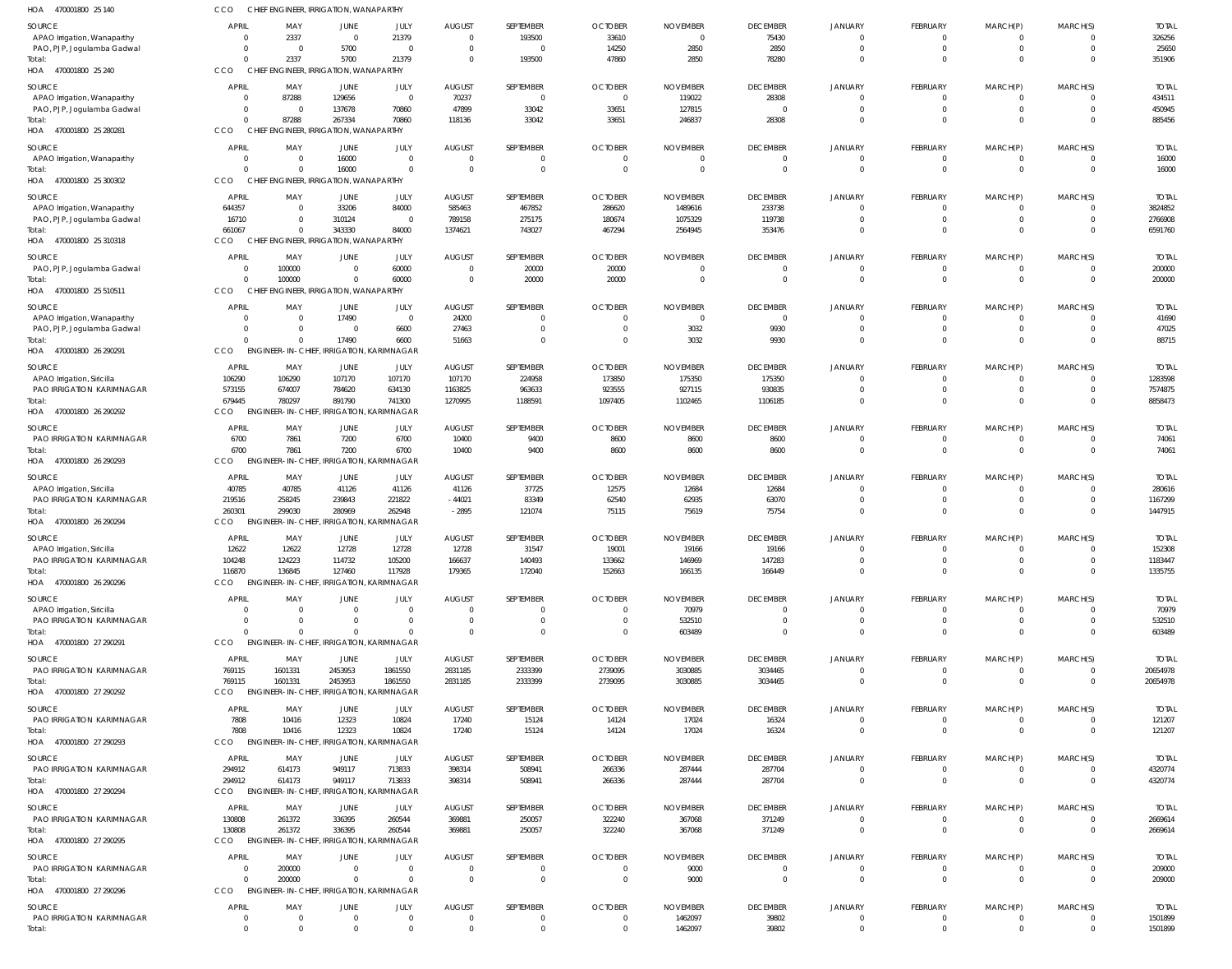| HOA<br>470001800 25 140                                   | CCO                  | CHIEF ENGINEER, IRRIGATION, WANAPARTHY              |                               |                                  |                                           |                      |                                  |                                |                                |                                  |                                   |                            |                                |                       |
|-----------------------------------------------------------|----------------------|-----------------------------------------------------|-------------------------------|----------------------------------|-------------------------------------------|----------------------|----------------------------------|--------------------------------|--------------------------------|----------------------------------|-----------------------------------|----------------------------|--------------------------------|-----------------------|
| <b>SOURCE</b>                                             | APRIL                | MAY                                                 | JUNE                          | JULY                             | <b>AUGUST</b>                             | SEPTEMBER            | <b>OCTOBER</b>                   | <b>NOVEMBER</b>                | <b>DECEMBER</b>                | JANUARY                          | <b>FEBRUARY</b>                   | MARCH(P)                   | MARCH(S)                       | <b>TOTAL</b>          |
| APAO Irrigation, Wanaparthy                               | $\Omega$             | 2337                                                | $\overline{0}$                | 21379                            | $\overline{0}$                            | 193500               | 33610                            | $\overline{0}$                 | 75430                          | $\mathbf 0$                      | $\overline{0}$                    | - 0                        | $\mathbf 0$                    | 326256                |
| PAO, PJP, Jogulamba Gadwal<br>Total:                      | $\Omega$<br>$\Omega$ | $\overline{0}$<br>2337                              | 5700<br>5700                  | $\overline{0}$<br>21379          | $\overline{0}$<br>$\overline{0}$          | $\Omega$<br>193500   | 14250<br>47860                   | 2850<br>2850                   | 2850<br>78280                  | $\mathbf 0$<br>$\mathbf 0$       | $\Omega$<br>$\Omega$              | $\Omega$<br>$\Omega$       | $\mathbf 0$<br>$\mathbf 0$     | 25650<br>351906       |
| HOA 470001800 25 240                                      | <b>CCO</b>           | CHIEF ENGINEER, IRRIGATION, WANAPARTHY              |                               |                                  |                                           |                      |                                  |                                |                                |                                  |                                   |                            |                                |                       |
| <b>SOURCE</b>                                             | APRIL                | MAY                                                 | JUNE                          | JULY                             | <b>AUGUST</b>                             | SEPTEMBER            | <b>OCTOBER</b>                   | <b>NOVEMBER</b>                | <b>DECEMBER</b>                | JANUARY                          | <b>FEBRUARY</b>                   | MARCH(P)                   | MARCH(S)                       | <b>TOTAL</b>          |
| APAO Irrigation, Wanaparthy                               | $\overline{0}$       | 87288                                               | 129656                        | $\overline{0}$                   | 70237                                     | $\overline{0}$       | $\overline{0}$                   | 119022                         | 28308                          | $\Omega$                         | $\overline{0}$                    | $\Omega$                   | $\Omega$                       | 434511                |
| PAO, PJP, Jogulamba Gadwal                                | $\Omega$             | $\overline{0}$                                      | 137678                        | 70860                            | 47899                                     | 33042                | 33651                            | 127815                         |                                | $\overline{0}$                   | $\Omega$                          | $\Omega$                   | $\mathbf{0}$                   | 450945                |
| Total:<br>HOA 470001800 25 280281                         | $\Omega$<br>CCO      | 87288<br>CHIEF ENGINEER, IRRIGATION, WANAPARTHY     | 267334                        | 70860                            | 118136                                    | 33042                | 33651                            | 246837                         | 28308                          | $\mathbf 0$                      | $\Omega$                          | $\Omega$                   | $\mathbf 0$                    | 885456                |
|                                                           | APRIL                |                                                     |                               |                                  |                                           | SEPTEMBER            |                                  |                                |                                |                                  |                                   |                            |                                |                       |
| SOURCE<br>APAO Irrigation, Wanaparthy                     | $\Omega$             | MAY<br>$\overline{0}$                               | JUNE<br>16000                 | JULY<br>$\mathsf{C}$             | <b>AUGUST</b><br>$\overline{0}$           |                      | <b>OCTOBER</b><br>$\mathbf{0}$   | <b>NOVEMBER</b><br>$\mathbf 0$ | <b>DECEMBER</b><br>$\mathbf 0$ | <b>JANUARY</b><br>$\mathbf{0}$   | <b>FEBRUARY</b><br>$\overline{0}$ | MARCH(P)                   | MARCH(S)<br>$\mathbf{0}$       | <b>TOTAL</b><br>16000 |
| Total:                                                    | $\Omega$             | $\overline{0}$                                      | 16000                         |                                  | $\overline{0}$                            | $\Omega$             | $\overline{0}$                   | $\overline{0}$                 | $\mathbf 0$                    | $\mathbf 0$                      | $\mathbf{0}$                      | $\Omega$                   | $\mathbf{0}$                   | 16000                 |
| HOA 470001800 25 300302                                   | CCO                  | CHIEF ENGINEER, IRRIGATION, WANAPARTHY              |                               |                                  |                                           |                      |                                  |                                |                                |                                  |                                   |                            |                                |                       |
| SOURCE                                                    | APRIL                | MAY                                                 | JUNE                          | JULY                             | <b>AUGUST</b>                             | SEPTEMBER            | <b>OCTOBER</b>                   | <b>NOVEMBER</b>                | <b>DECEMBER</b>                | JANUARY                          | FEBRUARY                          | MARCH(P)                   | MARCH(S)                       | <b>TOTAL</b>          |
| APAO Irrigation, Wanaparthy                               | 644357               | $\overline{0}$                                      | 33206                         | 84000                            | 585463                                    | 467852               | 286620                           | 1489616                        | 233738                         | $\overline{0}$                   | $\mathbf{0}$                      | $\overline{0}$             | $\mathbf{0}$                   | 3824852               |
| PAO, PJP, Jogulamba Gadwal<br>Total:                      | 16710<br>661067      | $\overline{0}$<br>$\mathbf 0$                       | 310124<br>343330              | $\Omega$<br>84000                | 789158<br>1374621                         | 275175<br>743027     | 180674<br>467294                 | 1075329<br>2564945             | 119738<br>353476               | $\overline{0}$<br>$\Omega$       | $\Omega$<br>$\Omega$              | $\Omega$<br>$\Omega$       | $\mathbf{0}$<br>$\Omega$       | 2766908<br>6591760    |
| HOA 470001800 25 310318                                   | CCO                  | CHIEF ENGINEER, IRRIGATION, WANAPARTHY              |                               |                                  |                                           |                      |                                  |                                |                                |                                  |                                   |                            |                                |                       |
| SOURCE                                                    | <b>APRIL</b>         | MAY                                                 | <b>JUNE</b>                   | JULY                             | <b>AUGUST</b>                             | SEPTEMBER            | <b>OCTOBER</b>                   | <b>NOVEMBER</b>                | <b>DECEMBER</b>                | JANUARY                          | <b>FEBRUARY</b>                   | MARCH(P)                   | MARCH(S)                       | <b>TOTAL</b>          |
| PAO, PJP, Jogulamba Gadwal                                | $\Omega$             | 100000                                              | $\overline{0}$                | 60000                            | $\overline{0}$                            | 20000                | 20000                            | $\mathbf 0$                    | $\overline{0}$                 | $\mathbf 0$                      | $\overline{0}$                    |                            | $\mathbf{0}$                   | 200000                |
| Total:                                                    | $\Omega$             | 100000                                              | $\overline{0}$                | 60000                            | $\overline{0}$                            | 20000                | 20000                            | $\overline{0}$                 | $\mathbf 0$                    | $\mathbf{0}$                     | $\mathbf 0$                       | $\Omega$                   | $\mathbf{0}$                   | 200000                |
| HOA 470001800 25 510511                                   | <b>CCO</b>           | CHIEF ENGINEER, IRRIGATION, WANAPARTHY              |                               |                                  |                                           |                      |                                  |                                |                                |                                  |                                   |                            |                                |                       |
| SOURCE                                                    | APRIL                | MAY                                                 | JUNE                          | JULY                             | <b>AUGUST</b>                             | SEPTEMBER            | <b>OCTOBER</b>                   | <b>NOVEMBER</b>                | <b>DECEMBER</b>                | JANUARY                          | FEBRUARY                          | MARCH(P)                   | MARCH(S)                       | <b>TOTAL</b>          |
| APAO Irrigation, Wanaparthy<br>PAO, PJP, Jogulamba Gadwal | $\Omega$<br>$\Omega$ | $\overline{0}$<br>$\overline{0}$                    | 17490<br>0                    | $\overline{0}$<br>6600           | 24200<br>27463                            | $\Omega$<br>$\Omega$ | $\overline{0}$<br>$\mathbf 0$    | $\overline{0}$<br>3032         | $\overline{0}$<br>9930         | $\overline{0}$<br>$\overline{0}$ | $\overline{0}$<br>$\Omega$        | $\Omega$<br>$\Omega$       | $\Omega$<br>$\mathbf{0}$       | 41690<br>47025        |
| Total:                                                    | $\Omega$             | $\Omega$                                            | 17490                         | 6600                             | 51663                                     | $\Omega$             | $\overline{0}$                   | 3032                           | 9930                           | $\mathbf 0$                      | $\Omega$                          | $\Omega$                   | $\mathbf 0$                    | 88715                 |
| HOA 470001800 26 290291                                   | <b>CCO</b>           | ENGINEER-IN-CHIEF, IRRIGATION, KARIMNAGAR           |                               |                                  |                                           |                      |                                  |                                |                                |                                  |                                   |                            |                                |                       |
| SOURCE                                                    | <b>APRIL</b>         | MAY                                                 | JUNE                          | JULY                             | <b>AUGUST</b>                             | SEPTEMBER            | <b>OCTOBER</b>                   | <b>NOVEMBER</b>                | <b>DECEMBER</b>                | JANUARY                          | FEBRUARY                          | MARCH(P)                   | MARCH(S)                       | <b>TOTAL</b>          |
| APAO Irrigation, Siricilla                                | 106290               | 106290                                              | 107170                        | 107170                           | 107170                                    | 224958               | 173850                           | 175350                         | 175350                         | $\Omega$                         | $\Omega$                          |                            | $\Omega$                       | 1283598               |
| PAO IRRIGATION KARIMNAGAR                                 | 573155<br>679445     | 674007                                              | 784620<br>891790              | 634130                           | 1163825                                   | 963633               | 923555                           | 927115                         | 930835                         | $\mathbf 0$<br>$\Omega$          | $\overline{0}$<br>$\Omega$        | $\Omega$<br>$\Omega$       | $\overline{0}$<br>$\Omega$     | 7574875<br>8858473    |
| Total:<br>HOA 470001800 26 290292                         | CCO                  | 780297<br><b>ENGINEER-IN-CHIEF</b>                  |                               | 741300<br>IRRIGATION, KARIMNAGAR | 1270995                                   | 1188591              | 1097405                          | 1102465                        | 1106185                        |                                  |                                   |                            |                                |                       |
| SOURCE                                                    | APRIL                | MAY                                                 | JUNE                          | JULY                             | <b>AUGUST</b>                             | SEPTEMBER            | <b>OCTOBER</b>                   | <b>NOVEMBER</b>                | <b>DECEMBER</b>                | JANUARY                          | FEBRUARY                          | MARCH(P)                   | MARCH(S)                       | <b>TOTAL</b>          |
| PAO IRRIGATION KARIMNAGAR                                 | 6700                 | 7861                                                | 7200                          | 6700                             | 10400                                     | 9400                 | 8600                             | 8600                           | 8600                           | $\overline{0}$                   | $\Omega$                          | $\Omega$                   | $\Omega$                       | 74061                 |
| Total:                                                    | 6700                 | 7861                                                | 7200                          | 6700                             | 10400                                     | 9400                 | 8600                             | 8600                           | 8600                           | $\mathbf 0$                      | $\overline{0}$                    | $\overline{0}$             | $\mathbf{0}$                   | 74061                 |
| HOA 470001800 26 290293                                   | <b>CCO</b>           | ENGINEER-IN-CHIEF, IRRIGATION, KARIMNAGAR           |                               |                                  |                                           |                      |                                  |                                |                                |                                  |                                   |                            |                                |                       |
| SOURCE                                                    | <b>APRIL</b>         | MAY                                                 | <b>JUNE</b>                   | JULY                             | <b>AUGUST</b>                             | SEPTEMBER            | <b>OCTOBER</b>                   | <b>NOVEMBER</b>                | <b>DECEMBER</b>                | JANUARY                          | <b>FEBRUARY</b>                   | MARCH(P)                   | MARCH(S)                       | <b>TOTAL</b>          |
| APAO Irrigation, Siricilla                                | 40785                | 40785                                               | 41126                         | 41126                            | 41126                                     | 37725                | 12575                            | 12684                          | 12684                          | $\mathbf 0$                      | 0                                 |                            | $\mathbf{0}$                   | 280616                |
| PAO IRRIGATION KARIMNAGAR<br>Total:                       | 219516<br>260301     | 258245<br>299030                                    | 239843<br>280969              | 221822<br>262948                 | $-44021$<br>$-2895$                       | 83349<br>121074      | 62540<br>75115                   | 62935<br>75619                 | 63070<br>75754                 | $\mathbf 0$<br>$\Omega$          | $\Omega$<br>$\Omega$              | $\Omega$<br>$\Omega$       | $\mathbf 0$<br>$\Omega$        | 1167299<br>1447915    |
| HOA 470001800 26 290294                                   | <b>CCO</b>           | <b>ENGINEER-IN-CHIEF</b>                            |                               | <b>IRRIGATION, KARIMNAGAR</b>    |                                           |                      |                                  |                                |                                |                                  |                                   |                            |                                |                       |
| SOURCE                                                    | APRIL                | MAY                                                 | <b>JUNE</b>                   | JULY                             | <b>AUGUST</b>                             | SEPTEMBER            | <b>OCTOBER</b>                   | <b>NOVEMBER</b>                | <b>DECEMBER</b>                | JANUARY                          | <b>FEBRUARY</b>                   | MARCH(P)                   | MARCH(S)                       | <b>TOTAL</b>          |
| APAO Irrigation, Siricilla                                | 12622                | 12622                                               | 12728                         | 12728                            | 12728                                     | 31547                | 19001                            | 19166                          | 19166                          | $\mathbf{0}$                     | $\overline{0}$                    |                            | $^{\circ}$                     | 152308                |
| PAO IRRIGATION KARIMNAGAR                                 | 104248               | 124223                                              | 114732                        | 105200                           | 166637                                    | 140493               | 133662                           | 146969                         | 147283                         | $\Omega$                         | $\Omega$                          |                            | $\mathbf{0}$                   | 1183447               |
| Total:<br>HOA 470001800 26 290296                         | 116870<br>CCO        | 136845<br>ENGINEER-IN-CHIEF, IRRIGATION, KARIMNAGAR | 127460                        | 117928                           | 179365                                    | 172040               | 152663                           | 166135                         | 166449                         | $\mathbf 0$                      | $\mathbf 0$                       | $\overline{0}$             | $\mathbf 0$                    | 1335755               |
|                                                           |                      |                                                     |                               |                                  |                                           |                      |                                  |                                |                                |                                  |                                   |                            |                                |                       |
| SOURCE<br>APAO Irrigation, Siricilla                      | APRIL                | MAY<br>$\Omega$                                     | JUNE<br>$\overline{0}$        | JULY<br>$\Omega$                 | <b>AUGUST</b><br>$\overline{0}$           | SEPTEMBER            | <b>OCTOBER</b><br>$\overline{0}$ | <b>NOVEMBER</b><br>70979       | <b>DECEMBER</b><br>$\mathbf 0$ | <b>JANUARY</b><br>$\mathbf 0$    | <b>FEBRUARY</b><br>$\overline{0}$ | MARCH(P)                   | MARCH(S)<br>$\mathbf{0}$       | <b>TOTAL</b><br>70979 |
| PAO IRRIGATION KARIMNAGAR                                 |                      | $\Omega$                                            | $\Omega$                      | $\Omega$                         | $\overline{0}$                            | $\Omega$             | $\overline{0}$                   | 532510                         | $\mathbf 0$                    | $\mathbf 0$                      | $\Omega$                          | $\Omega$                   | $\mathbf 0$                    | 532510                |
| Total:                                                    | $\Omega$             | $\Omega$                                            | $\mathbf 0$                   |                                  | $\overline{0}$                            | $\Omega$             | $\overline{0}$                   | 603489                         | $\Omega$                       | $\mathbf 0$                      | $\Omega$                          | $\Omega$                   | $\mathbf 0$                    | 603489                |
| HOA 470001800 27 290291                                   | <b>CCO</b>           | ENGINEER-IN-CHIEF, IRRIGATION, KARIMNAGAR           |                               |                                  |                                           |                      |                                  |                                |                                |                                  |                                   |                            |                                |                       |
| SOURCE                                                    | APRIL                | MAY                                                 | JUNE                          | JULY                             | <b>AUGUST</b>                             | SEPTEMBER            | <b>OCTOBER</b>                   | <b>NOVEMBER</b>                | <b>DECEMBER</b>                | JANUARY                          | <b>FEBRUARY</b>                   | MARCH(P)                   | MARCH(S)                       | <b>TOTAL</b>          |
| PAO IRRIGATION KARIMNAGAR<br>Total:                       | 769115<br>769115     | 1601331<br>1601331                                  | 2453953<br>2453953            | 1861550<br>1861550               | 2831185<br>2831185                        | 2333399<br>2333399   | 2739095<br>2739095               | 3030885<br>3030885             | 3034465<br>3034465             | $\overline{0}$<br>$\mathbf 0$    | $\overline{0}$<br>$\Omega$        | $\Omega$<br>$\Omega$       | $\mathbf{0}$<br>$\mathbf{0}$   | 20654978<br>20654978  |
| HOA 470001800 27 290292                                   | CCO                  | ENGINEER-IN-CHIEF, IRRIGATION, KARIMNAGAR           |                               |                                  |                                           |                      |                                  |                                |                                |                                  |                                   |                            |                                |                       |
| SOURCE                                                    | APRIL                | MAY                                                 | JUNE                          | JULY                             | <b>AUGUST</b>                             | SEPTEMBER            | <b>OCTOBER</b>                   | <b>NOVEMBER</b>                | <b>DECEMBER</b>                | <b>JANUARY</b>                   | FEBRUARY                          | MARCH(P)                   | MARCH(S)                       | <b>TOTAL</b>          |
| PAO IRRIGATION KARIMNAGAR                                 | 7808                 | 10416                                               | 12323                         | 10824                            | 17240                                     | 15124                | 14124                            | 17024                          | 16324                          | $\mathbf 0$                      | $\overline{0}$                    |                            | $\overline{0}$                 | 121207                |
| Total:                                                    | 7808                 | 10416                                               | 12323                         | 10824                            | 17240                                     | 15124                | 14124                            | 17024                          | 16324                          | $\mathbf 0$                      | $\overline{0}$                    | $\Omega$                   | $\mathbf 0$                    | 121207                |
| HOA 470001800 27 290293                                   | <b>CCO</b>           | ENGINEER-IN-CHIEF, IRRIGATION, KARIMNAGAR           |                               |                                  |                                           |                      |                                  |                                |                                |                                  |                                   |                            |                                |                       |
| SOURCE                                                    | <b>APRIL</b>         | MAY                                                 | JUNE                          | JULY                             | <b>AUGUST</b>                             | SEPTEMBER            | <b>OCTOBER</b>                   | <b>NOVEMBER</b>                | <b>DECEMBER</b>                | JANUARY                          | FEBRUARY                          | MARCH(P)                   | MARCH(S)                       | <b>TOTAL</b>          |
| PAO IRRIGATION KARIMNAGAR<br>Total:                       | 294912<br>294912     | 614173<br>614173                                    | 949117<br>949117              | 713833<br>713833                 | 398314<br>398314                          | 508941<br>508941     | 266336<br>266336                 | 287444<br>287444               | 287704<br>287704               | $\overline{0}$<br>$\mathbf 0$    | $\overline{0}$<br>$\overline{0}$  | $\Omega$<br>$\overline{0}$ | $\mathbf{0}$<br>$\mathbf{0}$   | 4320774<br>4320774    |
| HOA 470001800 27 290294                                   | CCO                  | ENGINEER-IN-CHIEF, IRRIGATION, KARIMNAGAR           |                               |                                  |                                           |                      |                                  |                                |                                |                                  |                                   |                            |                                |                       |
| SOURCE                                                    | APRIL                | MAY                                                 | JUNE                          | JULY                             | <b>AUGUST</b>                             | SEPTEMBER            | <b>OCTOBER</b>                   | <b>NOVEMBER</b>                | <b>DECEMBER</b>                | JANUARY                          | FEBRUARY                          | MARCH(P)                   | MARCH(S)                       | <b>TOTAL</b>          |
| PAO IRRIGATION KARIMNAGAR                                 | 130808               | 261372                                              | 336395                        | 260544                           | 369881                                    | 250057               | 322240                           | 367068                         | 371249                         | $\overline{0}$                   | 0                                 |                            | $\mathbf{0}$                   | 2669614               |
| Total:                                                    | 130808               | 261372                                              | 336395                        | 260544                           | 369881                                    | 250057               | 322240                           | 367068                         | 371249                         | $\mathbf 0$                      | $\overline{0}$                    | $\overline{0}$             | $\mathbf{0}$                   | 2669614               |
| HOA 470001800 27 290295                                   | CCO                  | ENGINEER-IN-CHIEF, IRRIGATION, KARIMNAGAR           |                               |                                  |                                           |                      |                                  |                                |                                |                                  |                                   |                            |                                |                       |
| SOURCE                                                    | <b>APRIL</b>         | MAY                                                 | JUNE                          | JULY                             | <b>AUGUST</b>                             | SEPTEMBER            | <b>OCTOBER</b>                   | <b>NOVEMBER</b>                | <b>DECEMBER</b>                | <b>JANUARY</b>                   | FEBRUARY                          | MARCH(P)                   | MARCH(S)                       | <b>TOTAL</b>          |
| PAO IRRIGATION KARIMNAGAR<br>Total:                       | $\Omega$<br>$\Omega$ | 200000<br>200000                                    | $\overline{0}$<br>$\mathbf 0$ | $\overline{0}$<br>$\Omega$       | $\overline{\mathbf{0}}$<br>$\overline{0}$ | $\Omega$<br>$\Omega$ | $\overline{0}$<br>$\overline{0}$ | 9000<br>9000                   | $\overline{0}$<br>$\mathbf 0$  | $\overline{0}$<br>$\mathbf 0$    | $\overline{0}$<br>$\Omega$        | $\Omega$<br>$\Omega$       | $\mathbf{0}$<br>$\overline{0}$ | 209000<br>209000      |
| HOA 470001800 27 290296                                   | <b>CCO</b>           | ENGINEER-IN-CHIEF, IRRIGATION, KARIMNAGAR           |                               |                                  |                                           |                      |                                  |                                |                                |                                  |                                   |                            |                                |                       |
| SOURCE                                                    | <b>APRIL</b>         | MAY                                                 | <b>JUNE</b>                   | JULY                             | <b>AUGUST</b>                             | SEPTEMBER            | <b>OCTOBER</b>                   | <b>NOVEMBER</b>                | <b>DECEMBER</b>                | JANUARY                          | FEBRUARY                          | MARCH(P)                   | MARCH(S)                       | <b>TOTAL</b>          |
| PAO IRRIGATION KARIMNAGAR                                 | $\overline{0}$       | $\mathbf 0$                                         | $\mathbf 0$                   | $\Omega$                         | $\overline{0}$                            | $\overline{0}$       | $\mathbf 0$                      | 1462097                        | 39802                          | $\mathbf 0$                      | $\overline{0}$                    | $\overline{0}$             | $\overline{0}$                 | 1501899               |
| Total:                                                    | $\overline{0}$       | $\Omega$                                            | $\Omega$                      | $\Omega$                         | $\overline{\mathbf{0}}$                   | $\Omega$             | $\overline{0}$                   | 1462097                        | 39802                          | $\mathbf 0$                      | $\overline{0}$                    | $\Omega$                   | $\overline{0}$                 | 1501899               |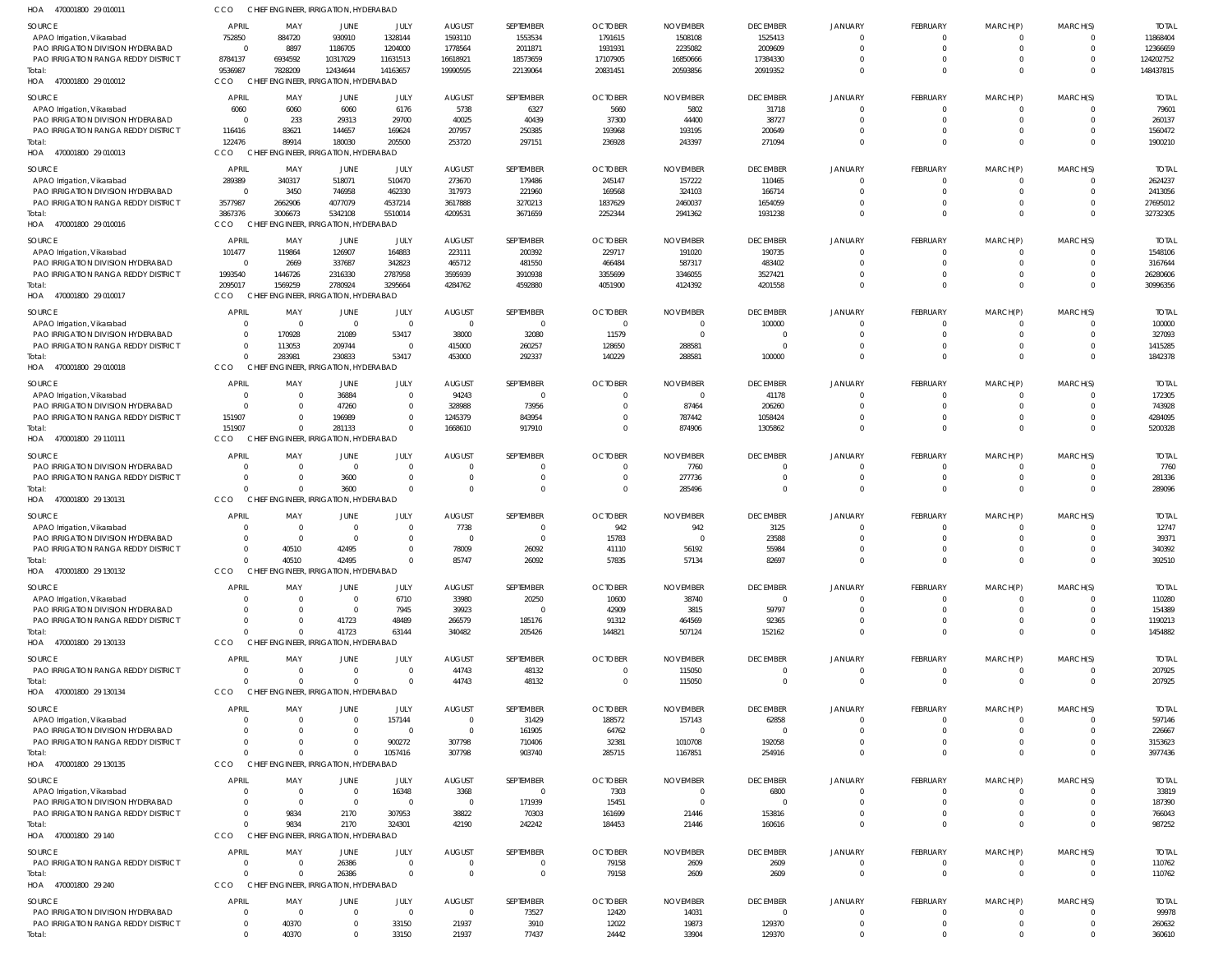| HOA<br>470001800 29 010011                                      | CCO            | CHIEF ENGINEER, IRRIGATION, HYDERABAD |                                       |                  |                |                |                            |                  |                             |                     |                             |                      |                      |                  |
|-----------------------------------------------------------------|----------------|---------------------------------------|---------------------------------------|------------------|----------------|----------------|----------------------------|------------------|-----------------------------|---------------------|-----------------------------|----------------------|----------------------|------------------|
| <b>SOURCE</b>                                                   | APRIL          | MAY                                   | JUNE                                  | JULY             | <b>AUGUST</b>  | SEPTEMBER      | <b>OCTOBER</b>             | <b>NOVEMBER</b>  | <b>DECEMBER</b>             | <b>JANUARY</b>      | <b>FEBRUARY</b>             | MARCH(P)             | MARCH(S)             | <b>TOTAI</b>     |
| APAO Irrigation, Vikarabad                                      | 752850         | 884720                                | 930910                                | 1328144          | 1593110        | 1553534        | 1791615                    | 1508108          | 1525413                     | $\Omega$            | $\mathbf 0$                 | 0                    | $\Omega$             | 11868404         |
| PAO IRRIGATION DIVISION HYDERABAD                               | $\Omega$       | 8897                                  | 1186705                               | 1204000          | 1778564        | 2011871        | 1931931                    | 2235082          | 2009609                     | $\Omega$            | $\mathbf 0$                 | $\mathbf 0$          | $\Omega$             | 12366659         |
| PAO IRRIGATION RANGA REDDY DISTRICT                             | 8784137        | 6934592                               | 10317029                              | 11631513         | 16618921       | 18573659       | 17107905                   | 16850666         | 17384330                    | $\Omega$            | $\mathbf 0$                 | $\mathbf 0$          | $\Omega$             | 124202752        |
| Total:                                                          | 9536987        | 7828209                               | 12434644                              | 14163657         | 19990595       | 22139064       | 20831451                   | 20593856         | 20919352                    | $\Omega$            | $\Omega$                    | $\mathbf{0}$         | $\Omega$             | 148437815        |
| HOA<br>470001800 29 010012                                      | CCO            | CHIFF                                 | ENGINEER, IRRIGATION, HYDERABAD       |                  |                |                |                            |                  |                             |                     |                             |                      |                      |                  |
|                                                                 | <b>APRIL</b>   |                                       |                                       |                  |                |                |                            |                  |                             |                     |                             |                      |                      | <b>TOTAI</b>     |
| <b>SOURCE</b>                                                   |                | MAY                                   | JUNE                                  | JULY             | <b>AUGUST</b>  | SEPTEMBER      | <b>OCTOBER</b>             | <b>NOVEMBER</b>  | <b>DECEMBER</b>             | JANUARY<br>$\Omega$ | <b>FEBRUARY</b><br>$\Omega$ | MARCH(P)<br>$\Omega$ | MARCH(S)<br>$\Omega$ |                  |
| APAO Irrigation, Vikarabad<br>PAO IRRIGATION DIVISION HYDERABAD | 6060           | 6060<br>233                           | 6060<br>29313                         | 6176<br>29700    | 5738<br>40025  | 6327<br>40439  | 5660<br>37300              | 5802<br>44400    | 31718<br>38727              | $\Omega$            | $\Omega$                    | $\Omega$             | $\Omega$             | 79601<br>260137  |
| PAO IRRIGATION RANGA REDDY DISTRICT                             | 116416         | 83621                                 | 144657                                | 169624           | 207957         | 250385         | 193968                     | 193195           | 200649                      | $\Omega$            | $\Omega$                    | 0                    | $\Omega$             | 1560472          |
| Total:                                                          | 122476         | 89914                                 | 180030                                | 205500           | 253720         | 297151         | 236928                     | 243397           | 271094                      | $\Omega$            | $\Omega$                    | $\Omega$             | $\Omega$             | 1900210          |
| HOA<br>470001800 29 010013                                      | CCO            | <b>CHIEF</b>                          | <b>NGINEER, IRRIGATION, HYDERABAD</b> |                  |                |                |                            |                  |                             |                     |                             |                      |                      |                  |
|                                                                 |                |                                       |                                       |                  |                |                |                            |                  |                             |                     |                             |                      |                      |                  |
| <b>SOURCE</b>                                                   | APRIL          | MAY                                   | JUNE                                  | JULY             | <b>AUGUST</b>  | SEPTEMBER      | <b>OCTOBER</b>             | <b>NOVEMBER</b>  | <b>DECEMBER</b>             | JANUARY             | <b>FEBRUARY</b>             | MARCH(P)             | MARCH(S)             | <b>TOTAI</b>     |
| APAO Irrigation, Vikarabad                                      | 289389         | 340317                                | 518071                                | 510470           | 273670         | 179486         | 245147                     | 157222           | 110465                      | $\Omega$            | $\mathbf 0$                 | $\mathbf 0$          | $\Omega$             | 2624237          |
| PAO IRRIGATION DIVISION HYDERABAD                               | $\overline{0}$ | 3450                                  | 746958                                | 462330           | 317973         | 221960         | 169568                     | 324103           | 166714                      | $\Omega$            | $\mathbf 0$                 | $\mathbf 0$          | $\Omega$             | 2413056          |
| PAO IRRIGATION RANGA REDDY DISTRICT                             | 3577987        | 2662906                               | 4077079                               | 4537214          | 3617888        | 3270213        | 1837629                    | 2460037          | 1654059                     | $\Omega$            | $\mathbf 0$                 | $\mathbf 0$          | $\Omega$             | 27695012         |
| Total:                                                          | 3867376        | 3006673                               | 5342108                               | 5510014          | 4209531        | 3671659        | 2252344                    | 2941362          | 1931238                     | $\Omega$            | $\Omega$                    | $\mathbf 0$          | $\Omega$             | 32732305         |
| HOA<br>470001800 29 010016                                      | CCO            | CHIEF ENGINEER, IRRIGATION, HYDERABAD |                                       |                  |                |                |                            |                  |                             |                     |                             |                      |                      |                  |
| SOURCE                                                          | <b>APRIL</b>   | MAY                                   | JUNE                                  | JULY             | <b>AUGUST</b>  | SEPTEMBER      | <b>OCTOBER</b>             | <b>NOVEMBER</b>  | <b>DECEMBER</b>             | JANUARY             | FEBRUARY                    | MARCH(P)             | MARCH(S)             | <b>TOTAI</b>     |
| APAO Irrigation, Vikarabad                                      | 101477         | 119864                                | 126907                                | 164883           | 223111         | 200392         | 229717                     | 191020           | 190735                      | $\Omega$            | 0                           |                      | - 0                  | 1548106          |
| PAO IRRIGATION DIVISION HYDERABAD                               | $\Omega$       | 2669                                  | 337687                                | 342823           | 465712         | 481550         | 466484                     | 587317           | 483402                      | $\Omega$            | $\Omega$                    | $\Omega$             | $\Omega$             | 3167644          |
| PAO IRRIGATION RANGA REDDY DISTRICT                             | 1993540        | 1446726                               | 2316330                               | 2787958          | 3595939        | 3910938        | 3355699                    | 3346055          | 3527421                     | $\Omega$            | $\Omega$                    | $\Omega$             | $\Omega$             | 26280606         |
| Total:                                                          | 2095017        | 1569259                               | 2780924                               | 3295664          | 4284762        | 4592880        | 4051900                    | 4124392          | 4201558                     | $\Omega$            | $\Omega$                    | $\Omega$             | $\Omega$             | 30996356         |
| HOA 470001800 29 010017                                         | CCO            | CHIEF ENGINEER, IRRIGATION, HYDERABAD |                                       |                  |                |                |                            |                  |                             |                     |                             |                      |                      |                  |
|                                                                 |                |                                       |                                       |                  |                |                |                            |                  |                             |                     |                             |                      |                      |                  |
| <b>SOURCE</b>                                                   | <b>APRIL</b>   | MAY                                   | JUNE                                  | JULY             | <b>AUGUST</b>  | SEPTEMBER      | <b>OCTOBER</b>             | <b>NOVEMBER</b>  | <b>DECEMBER</b>             | <b>JANUARY</b>      | <b>FEBRUARY</b>             | MARCH(P)             | MARCH(S)             | <b>TOTAI</b>     |
| APAO Irrigation, Vikarabad                                      | - 0            | - 0                                   | $\mathbf 0$                           | $\overline{0}$   | $\overline{0}$ | $\overline{0}$ | $\Omega$                   |                  | 100000                      | $\Omega$            | $\mathbf 0$                 | 0                    | $\Omega$             | 100000           |
| PAO IRRIGATION DIVISION HYDERABAD                               | - 0            | 170928                                | 21089                                 | 53417            | 38000          | 32080          | 11579                      | $\sqrt{ }$       | $\Omega$                    | $\Omega$            | $\mathbf 0$                 | $\mathbf 0$          | $\Omega$             | 327093           |
| PAO IRRIGATION RANGA REDDY DISTRICT                             | $\Omega$       | 113053                                | 209744                                | $\overline{0}$   | 415000         | 260257         | 128650                     | 288581           | $\Omega$                    | $\Omega$            | $\mathbf 0$                 | $\mathbf 0$          | $\Omega$             | 1415285          |
| Total:                                                          |                | 283981                                | 230833                                | 53417            | 453000         | 292337         | 140229                     | 288581           | 100000                      | $\Omega$            | $\overline{0}$              | $\mathbf{0}$         | $\Omega$             | 1842378          |
| HOA 470001800 29 010018                                         | CCO            | CHIEF ENGINEER, IRRIGATION, HYDERABAD |                                       |                  |                |                |                            |                  |                             |                     |                             |                      |                      |                  |
| <b>SOURCE</b>                                                   | <b>APRIL</b>   | MAY                                   | JUNE                                  | JULY             | <b>AUGUST</b>  | SEPTEMBER      | <b>OCTOBER</b>             | <b>NOVEMBER</b>  | <b>DECEMBER</b>             | JANUARY             | <b>FEBRUARY</b>             | MARCH(P)             | MARCH(S)             | <b>TOTAI</b>     |
| APAO Irrigation, Vikarabad                                      |                |                                       | 36884                                 | $\overline{0}$   | 94243          | 0              |                            | - 0              | 41178                       | $\Omega$            | $\Omega$                    | $\Omega$             | $\Omega$             | 172305           |
| PAO IRRIGATION DIVISION HYDERABAD                               |                | $\Omega$                              | 47260                                 | $\overline{0}$   | 328988         | 73956          |                            | 87464            | 206260                      | $\Omega$            | $\Omega$                    | $\Omega$             | $\Omega$             | 743928           |
| PAO IRRIGATION RANGA REDDY DISTRICT                             | 151907         | $\Omega$                              | 196989                                | $\Omega$         | 1245379        | 843954         |                            | 787442           | 1058424                     | $\Omega$            | $\mathbf 0$                 | 0                    | $\Omega$             | 4284095          |
| Total:                                                          | 151907         | <sup>0</sup>                          | 281133                                | $\Omega$         | 1668610        | 917910         |                            | 874906           | 1305862                     | $\Omega$            | $\Omega$                    | $\Omega$             | $\Omega$             | 5200328          |
| 470001800 29 110111<br>HOA                                      | CCO            | CHIEF ENGINEER, IRRIGATION, HYDERABAD |                                       |                  |                |                |                            |                  |                             |                     |                             |                      |                      |                  |
| SOURCE                                                          | <b>APRIL</b>   | MAY                                   | JUNE                                  | JULY             | <b>AUGUST</b>  | SEPTEMBER      | <b>OCTOBER</b>             | <b>NOVEMBER</b>  | <b>DECEMBER</b>             | JANUARY             | FEBRUARY                    | MARCH(P)             | MARCH(S)             | <b>TOTAI</b>     |
| PAO IRRIGATION DIVISION HYDERABAD                               | - 0            | $\Omega$                              | $\mathbf 0$                           | $\overline{0}$   | $\overline{0}$ | $\mathbf{0}$   | - 0                        | 7760             | $\Omega$                    | $\Omega$            | $\mathbf 0$                 | $\mathbf 0$          | $\Omega$             | 7760             |
| PAO IRRIGATION RANGA REDDY DISTRICT                             | $\Omega$       | $\Omega$                              | 3600                                  | $\overline{0}$   | $\Omega$       | $\overline{0}$ |                            | 277736           | $\overline{0}$              | $\Omega$            | $\mathbf 0$                 | $\mathbf 0$          | $\Omega$             | 281336           |
| Total:                                                          |                | $\Omega$                              | 3600                                  | $\Omega$         | $\Omega$       | $\mathbf 0$    | $\Omega$                   | 285496           | $\overline{0}$              | $\overline{0}$      | $\overline{0}$              | $\mathbf{0}$         | $\Omega$             | 289096           |
| HOA 470001800 29 130131                                         | CCO            | CHIEF ENGINEER, IRRIGATION, HYDERABAD |                                       |                  |                |                |                            |                  |                             |                     |                             |                      |                      |                  |
|                                                                 |                |                                       |                                       |                  |                |                |                            |                  |                             |                     |                             |                      |                      |                  |
| SOURCE                                                          | <b>APRIL</b>   | MAY                                   | JUNE                                  | JULY             | <b>AUGUST</b>  | SEPTEMBER      | <b>OCTOBER</b>             | <b>NOVEMBER</b>  | <b>DECEMBER</b>             | JANUARY             | FEBRUARY                    | MARCH(P)             | MARCH(S)             | <b>TOTAI</b>     |
| APAO Irrigation, Vikarabad                                      |                | $\Omega$                              | $\Omega$                              | $\Omega$         | 7738           | 0              | 942                        | 942              | 3125                        | $\Omega$            | $\Omega$                    | $\Omega$             | $\Omega$             | 12747            |
| PAO IRRIGATION DIVISION HYDERABAD                               |                | $\Omega$                              | $\Omega$                              | $\Omega$         | $\Omega$       | $\Omega$       | 15783                      | ſ                | 23588                       | $\Omega$            | $\Omega$                    | $\Omega$             | $\Omega$             | 39371            |
| PAO IRRIGATION RANGA REDDY DISTRICT                             |                | 40510                                 | 42495                                 | $\Omega$         | 78009          | 26092          | 41110                      | 56192            | 55984                       | $\Omega$            | $\Omega$                    | $\Omega$             | $\Omega$             | 340392           |
| Total:                                                          |                | 40510                                 | 42495                                 | $\Omega$         | 85747          | 26092          | 57835                      | 57134            | 82697                       | $\overline{0}$      | $\overline{0}$              | $\mathbf{0}$         | $\Omega$             | 392510           |
| HOA<br>470001800 29 130132                                      | CCO            | CHIEF ENGINEER, IRRIGATION, HYDERABAD |                                       |                  |                |                |                            |                  |                             |                     |                             |                      |                      |                  |
| SOURCE                                                          | <b>APRIL</b>   | MAY                                   | JUNE                                  | JULY             | <b>AUGUST</b>  | SEPTEMBER      | <b>OCTOBER</b>             | <b>NOVEMBER</b>  | <b>DECEMBER</b>             | <b>JANUARY</b>      | <b>FEBRUARY</b>             | MARCH(P)             | MARCH(S)             | <b>TOTAL</b>     |
| APAO Irrigation, Vikarabad                                      | $\Omega$       | $\Omega$                              | $\mathbf 0$                           | 6710             | 33980          | 20250          | 10600                      | 38740            | $\overline{0}$              | $\Omega$            | $\mathbf 0$                 | $\mathbf 0$          | $\Omega$             | 110280           |
| PAO IRRIGATION DIVISION HYDERABAD                               |                | $\Omega$                              | 0                                     | 7945             | 39923          | $\overline{0}$ | 42909                      | 3815             | 59797                       | $\Omega$            | $\mathbf 0$                 | $\mathbf 0$          | $\Omega$             | 154389           |
| PAO IRRIGATION RANGA REDDY DISTRICT                             |                |                                       | 41723                                 | 48489            | 266579         | 185176         | 91312                      | 464569           | 92365                       | $\Omega$            | $\mathbf 0$                 | $\mathbf 0$          | $\Omega$             | 1190213          |
| Total:                                                          |                | <sup>0</sup>                          | 41723                                 | 63144            | 340482         | 205426         | 144821                     | 507124           | 152162                      | $\Omega$            | $\Omega$                    | $\mathbf{0}$         | $\Omega$             | 1454882          |
| HOA<br>470001800 29 130133                                      | CCO            | CHIEF ENGINEER, IRRIGATION, HYDERABAD |                                       |                  |                |                |                            |                  |                             |                     |                             |                      |                      |                  |
|                                                                 | <b>APRIL</b>   | MAY                                   |                                       |                  |                |                |                            |                  |                             |                     |                             |                      |                      |                  |
| SOURCE<br>PAO IRRIGATION RANGA REDDY DISTRICT                   | $\Omega$       | $\Omega$                              | JUNE<br>$\Omega$                      | JULY<br>$\Omega$ | <b>AUGUST</b>  | SEPTEMBER      | <b>OCTOBER</b><br>$\Omega$ | <b>NOVEMBER</b>  | <b>DECEMBER</b><br>$\Omega$ | JANUARY<br>$\Omega$ | FEBRUARY<br>$\Omega$        | MARCH(P)<br>$\Omega$ | MARCH(S)<br>$\Omega$ | <b>TOTAL</b>     |
| Total:                                                          |                | $\Omega$                              | $\Omega$                              | $\Omega$         | 44743<br>44743 | 48132<br>48132 | $\Omega$                   | 115050<br>115050 | $\Omega$                    | $\Omega$            | $\overline{0}$              | $\mathbf{0}$         | $\Omega$             | 207925<br>207925 |
| HOA 470001800 29 130134                                         | CCO            | CHIEF ENGINEER, IRRIGATION, HYDERABAD |                                       |                  |                |                |                            |                  |                             |                     |                             |                      |                      |                  |
|                                                                 |                |                                       |                                       |                  |                |                |                            |                  |                             |                     |                             |                      |                      |                  |
| SOURCE                                                          | <b>APRIL</b>   | MAY                                   | JUNE                                  | JULY             | <b>AUGUST</b>  | SEPTEMBER      | <b>OCTOBER</b>             | <b>NOVEMBER</b>  | <b>DECEMBER</b>             | <b>JANUARY</b>      | FEBRUARY                    | MARCH(P)             | MARCH(S)             | <b>TOTAL</b>     |
| APAO Irrigation, Vikarabad                                      |                | $\Omega$                              | $\mathbf 0$                           | 157144           | $\overline{0}$ | 31429          | 188572                     | 157143           | 62858                       | $\Omega$            | -0                          | 0                    | $\Omega$             | 597146           |
| PAO IRRIGATION DIVISION HYDERABAD                               |                | $\Omega$                              | $\mathbf 0$                           | $\overline{0}$   | $\overline{0}$ | 161905         | 64762                      | - C              | $\Omega$                    | $\Omega$            | $\Omega$                    | $\mathbf 0$          | $\Omega$             | 226667           |
| PAO IRRIGATION RANGA REDDY DISTRICT                             |                | $\Omega$                              | $\mathbf 0$                           | 900272           | 307798         | 710406         | 32381                      | 1010708          | 192058                      | $\Omega$            | $\mathbf 0$                 | $\mathbf 0$          | $\Omega$             | 3153623          |
| Total:                                                          |                | $\Omega$                              | $\mathbf 0$                           | 1057416          | 307798         | 903740         | 285715                     | 1167851          | 254916                      | $\Omega$            | $\overline{0}$              | $\mathbf{0}$         | $\Omega$             | 3977436          |
| HOA 470001800 29 130135                                         | CCO            | CHIEF ENGINEER, IRRIGATION, HYDERABAD |                                       |                  |                |                |                            |                  |                             |                     |                             |                      |                      |                  |
| <b>SOURCE</b>                                                   | <b>APRIL</b>   | MAY                                   | JUNE                                  | JULY             | <b>AUGUST</b>  | SEPTEMBER      | <b>OCTOBER</b>             | <b>NOVEMBER</b>  | <b>DECEMBER</b>             | JANUARY             | <b>FEBRUARY</b>             | MARCH(P)             | MARCH(S)             | <b>TOTAL</b>     |
| APAO Irrigation, Vikarabad                                      |                | $\Omega$                              | $\Omega$                              | 16348            | 3368           | $\overline{0}$ | 7303                       | - 0              | 6800                        | $\Omega$            | $\Omega$                    | $\Omega$             | $\Omega$             | 33819            |
| PAO IRRIGATION DIVISION HYDERABAD                               |                | $\Omega$                              | $\mathbf 0$                           | $\Omega$         | $\overline{0}$ | 171939         | 15451                      | $\Omega$         | $\Omega$                    | $\Omega$            | $\Omega$                    | $\mathbf 0$          | $\Omega$             | 187390           |
| PAO IRRIGATION RANGA REDDY DISTRICT                             |                |                                       | 2170                                  | 307953           | 38822          | 70303          | 161699                     | 21446            | 153816                      | $\Omega$            | $\Omega$                    | $\mathbf 0$          | $\Omega$             | 766043           |
|                                                                 |                | 9834                                  |                                       |                  |                |                |                            |                  |                             |                     |                             |                      |                      | 987252           |
| Total:                                                          |                | 9834                                  | 2170                                  | 324301           | 42190          | 242242         | 184453                     | 21446            | 160616                      | $\Omega$            | $\Omega$                    | $\Omega$             | $\Omega$             |                  |
| HOA<br>470001800 29 140                                         | CCO            | <b>CHIEF</b>                          | ENGINEER, IRRIGATION, HYDERABAD       |                  |                |                |                            |                  |                             |                     |                             |                      |                      |                  |
|                                                                 |                |                                       |                                       |                  |                |                |                            |                  |                             |                     |                             |                      |                      |                  |
| SOURCE                                                          | <b>APRIL</b>   | MAY                                   | <b>JUNE</b>                           | JULY             | <b>AUGUST</b>  | SEPTEMBER      | <b>OCTOBER</b>             | <b>NOVEMBER</b>  | <b>DECEMBER</b>             | <b>JANUARY</b>      | <b>FEBRUARY</b>             | MARCH(P)             | MARCH(S)             | <b>TOTAL</b>     |
| PAO IRRIGATION RANGA REDDY DISTRICT                             | $\Omega$       | $\Omega$                              | 26386                                 | $\overline{0}$   | $\overline{0}$ | $\overline{0}$ | 79158                      | 2609             | 2609                        | $\overline{0}$      | $\mathbf 0$                 | $\mathbf 0$          | $\Omega$             | 110762           |
| Total:                                                          |                | $\Omega$                              | 26386                                 | $\mathbf 0$      | $\overline{0}$ | $\mathbf{0}$   | 79158                      | 2609             | 2609                        | $\Omega$            | $\overline{0}$              | $\mathbf 0$          | $\Omega$             | 110762           |
| HOA 470001800 29 240                                            | CCO            | CHIEF ENGINEER, IRRIGATION, HYDERABAD |                                       |                  |                |                |                            |                  |                             |                     |                             |                      |                      |                  |
| <b>SOURCE</b>                                                   | <b>APRIL</b>   | MAY                                   | JUNE                                  | JULY             | <b>AUGUST</b>  | SEPTEMBER      | <b>OCTOBER</b>             | <b>NOVEMBER</b>  | <b>DECEMBER</b>             | <b>JANUARY</b>      | FEBRUARY                    | MARCH(P)             | MARCH(S)             | <b>TOTAL</b>     |
| PAO IRRIGATION DIVISION HYDERABAD                               | - 0            | $\Omega$                              | $\Omega$                              | $\Omega$         | $\overline{0}$ | 73527          | 12420                      | 14031            | $\Omega$                    | $\Omega$            | $\Omega$                    | $\Omega$             |                      | 99978            |
| PAO IRRIGATION RANGA REDDY DISTRICT                             | $\Omega$       | 40370                                 | 0                                     | 33150            | 21937          | 3910           | 12022                      | 19873            | 129370                      | $\Omega$            | -0                          | 0                    |                      | 260632           |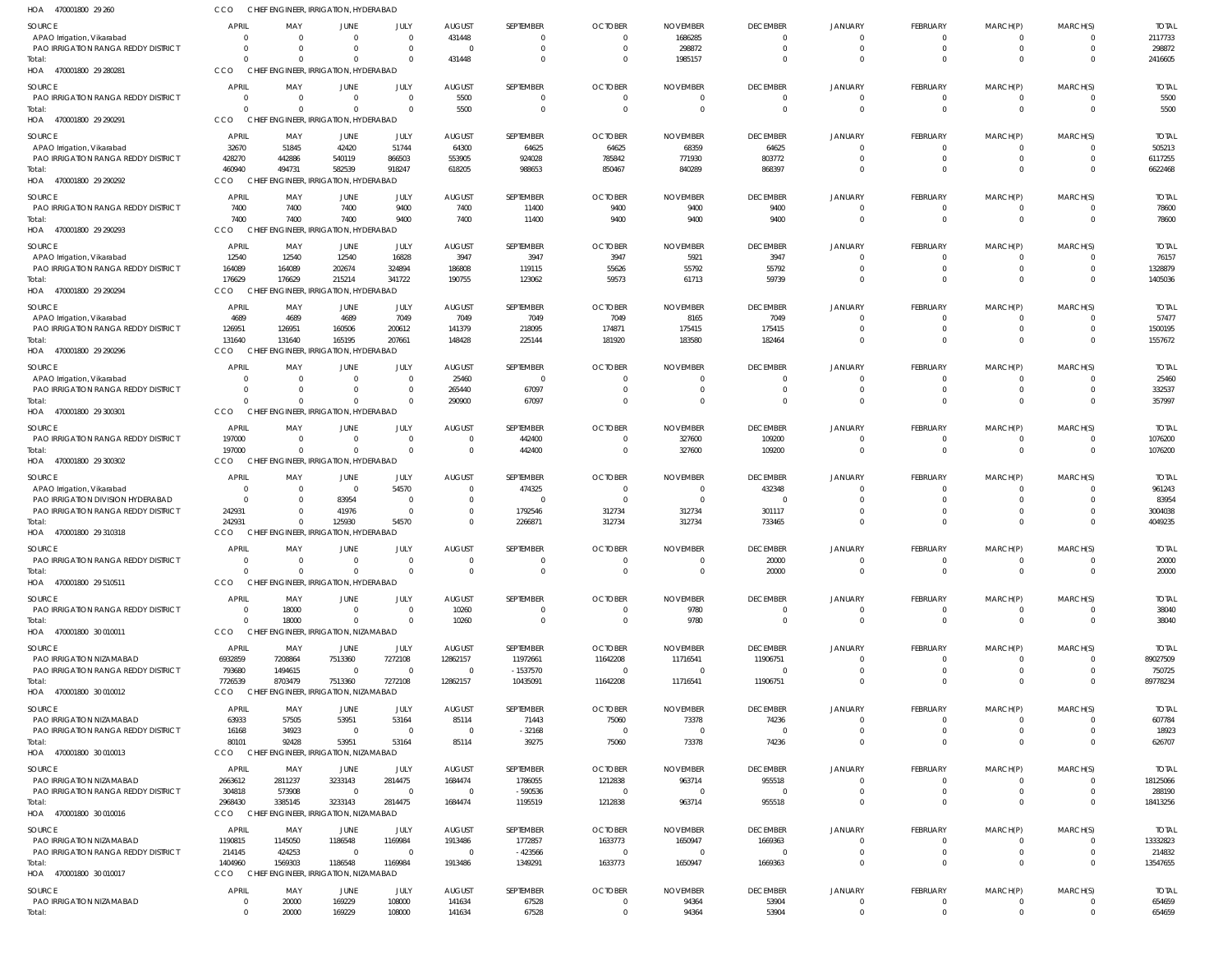| HOA<br>470001800 29 260                                           | CCO                              | CHIEF ENGINEER, IRRIGATION, HYDERABAD             |                         |                  |                                   |                           |                                  |                                |                                   |                                  |                      |                      |               |                          |
|-------------------------------------------------------------------|----------------------------------|---------------------------------------------------|-------------------------|------------------|-----------------------------------|---------------------------|----------------------------------|--------------------------------|-----------------------------------|----------------------------------|----------------------|----------------------|---------------|--------------------------|
| <b>SOURCE</b>                                                     | <b>APRIL</b>                     | MAY                                               | JUNE                    | JULY             | <b>AUGUST</b>                     | SEPTEMBER                 | <b>OCTOBER</b>                   | <b>NOVEMBER</b>                | <b>DECEMBER</b>                   | <b>JANUARY</b>                   | FEBRUARY             | MARCH(P)             | MARCH(S)      | <b>TOTAL</b>             |
| APAO Irrigation, Vikarabad                                        | $\Omega$                         | $\overline{0}$                                    | $\Omega$                | $\Omega$         | 431448                            | $\Omega$                  | $\mathbf 0$                      | 1686285                        | $\mathbf 0$                       | 0                                | $\Omega$             | $\Omega$             |               | 2117733                  |
| PAO IRRIGATION RANGA REDDY DISTRICT                               | $\Omega$                         | $\overline{0}$                                    | 0                       | $\Omega$         | $\overline{0}$                    | $\Omega$                  | $\mathbf{0}$                     | 298872                         | $\mathbf 0$                       | $\mathbf 0$                      | $\Omega$             | 0                    | 0             | 298872                   |
| Total:<br>470001800 29 280281<br>HOA                              | <b>CCO</b>                       | $\Omega$<br>CHIEF ENGINEER, IRRIGATION, HYDERABAD | $\Omega$                | $\cap$           | 431448                            | $\Omega$                  | $\overline{0}$                   | 1985157                        | $\mathbf 0$                       | $\Omega$                         | $\Omega$             | $\Omega$             | $\Omega$      | 2416605                  |
|                                                                   |                                  |                                                   |                         |                  |                                   |                           |                                  |                                |                                   |                                  |                      |                      |               |                          |
| <b>SOURCE</b><br>PAO IRRIGATION RANGA REDDY DISTRICT              | <b>APRIL</b><br>$\overline{0}$   | MAY<br>$\overline{\mathbf{0}}$                    | JUNE<br>$\overline{0}$  | JULY<br>$\Omega$ | <b>AUGUST</b><br>5500             | SEPTEMBER<br>$\Omega$     | <b>OCTOBER</b><br>$\overline{0}$ | <b>NOVEMBER</b><br>$\mathbf 0$ | <b>DECEMBER</b><br>$\overline{0}$ | <b>JANUARY</b><br>$\overline{0}$ | FEBRUARY<br>$\Omega$ | MARCH(P)<br>0        | MARCH(S)<br>0 | <b>TOTAL</b><br>5500     |
| Total:                                                            | $\Omega$                         | $\Omega$                                          | $\Omega$                | $\Omega$         | 5500                              | $\Omega$                  | $\overline{0}$                   | $\Omega$                       | $\mathbf 0$                       | $\mathbf 0$                      | $\Omega$             |                      | $\Omega$      | 5500                     |
| 470001800 29 290291<br>HOA                                        | CCO                              | CHIEF ENGINEER, IRRIGATION, HYDERABAD             |                         |                  |                                   |                           |                                  |                                |                                   |                                  |                      |                      |               |                          |
| SOURCE                                                            | <b>APRIL</b>                     | MAY                                               | JUNE                    | JULY             | <b>AUGUST</b>                     | SEPTEMBER                 | <b>OCTOBER</b>                   | <b>NOVEMBER</b>                | <b>DECEMBER</b>                   | <b>JANUARY</b>                   | FEBRUARY             | MARCH(P)             | MARCH(S)      | <b>TOTAL</b>             |
| APAO Irrigation, Vikarabad                                        | 32670                            | 51845                                             | 42420                   | 51744            | 64300                             | 64625                     | 64625                            | 68359                          | 64625                             | $\Omega$                         | $\Omega$             | -0                   |               | 505213                   |
| PAO IRRIGATION RANGA REDDY DISTRICT                               | 428270                           | 442886                                            | 540119                  | 866503           | 553905                            | 924028                    | 785842                           | 771930                         | 803772                            | $\Omega$                         | $\Omega$             | 0                    | $\Omega$      | 6117255                  |
| Total:                                                            | 460940                           | 494731                                            | 582539                  | 918247           | 618205                            | 988653                    | 850467                           | 840289                         | 868397                            | $\Omega$                         | $\Omega$             | $\Omega$             | $\Omega$      | 6622468                  |
| HOA 470001800 29 290292                                           | CCO                              | CHIEF ENGINEER, IRRIGATION, HYDERABAD             |                         |                  |                                   |                           |                                  |                                |                                   |                                  |                      |                      |               |                          |
| <b>SOURCE</b>                                                     | <b>APRIL</b>                     | MAY                                               | JUNE                    | JULY             | <b>AUGUST</b>                     | SEPTEMBER                 | <b>OCTOBER</b>                   | <b>NOVEMBER</b>                | <b>DECEMBER</b>                   | <b>JANUARY</b>                   | FEBRUARY             | MARCH(P)             | MARCH(S)      | <b>TOTAL</b>             |
| PAO IRRIGATION RANGA REDDY DISTRICT                               | 7400                             | 7400                                              | 7400                    | 9400             | 7400                              | 11400                     | 9400                             | 9400                           | 9400                              | $\overline{0}$                   | $\Omega$             | 0                    | 0             | 78600                    |
| Total:                                                            | 7400                             | 7400                                              | 7400                    | 9400             | 7400                              | 11400                     | 9400                             | 9400                           | 9400                              | $\mathbf 0$                      | $\Omega$             | $\Omega$             | $\mathbf 0$   | 78600                    |
| HOA 470001800 29 290293                                           | CCO                              | CHIEF ENGINEER, IRRIGATION, HYDERABAD             |                         |                  |                                   |                           |                                  |                                |                                   |                                  |                      |                      |               |                          |
| <b>SOURCE</b>                                                     | <b>APRIL</b>                     | MAY                                               | JUNE                    | JULY             | <b>AUGUST</b>                     | SEPTEMBER                 | <b>OCTOBER</b>                   | <b>NOVEMBER</b>                | <b>DECEMBER</b>                   | <b>JANUARY</b>                   | FEBRUARY             | MARCH(P)             | MARCH(S)      | <b>TOTAL</b>             |
| APAO Irrigation, Vikarabad<br>PAO IRRIGATION RANGA REDDY DISTRICT | 12540<br>164089                  | 12540<br>164089                                   | 12540<br>202674         | 16828<br>324894  | 3947<br>186808                    | 3947<br>119115            | 3947<br>55626                    | 5921<br>55792                  | 3947<br>55792                     | 0<br>$\Omega$                    |                      | -0<br>$\Omega$       |               | 76157<br>1328879         |
| Total:                                                            | 176629                           | 176629                                            | 215214                  | 341722           | 190755                            | 123062                    | 59573                            | 61713                          | 59739                             | $\Omega$                         | $\Omega$             | $\Omega$             | $\Omega$      | 1405036                  |
| HOA 470001800 29 290294                                           | CCO                              | CHIEF ENGINEER, IRRIGATION, HYDERABAD             |                         |                  |                                   |                           |                                  |                                |                                   |                                  |                      |                      |               |                          |
| SOURCE                                                            | <b>APRIL</b>                     | MAY                                               | JUNE                    | JULY             | <b>AUGUST</b>                     | SEPTEMBER                 | <b>OCTOBER</b>                   | <b>NOVEMBER</b>                | <b>DECEMBER</b>                   | <b>JANUARY</b>                   | FEBRUARY             | MARCH(P)             | MARCH(S)      | <b>TOTAL</b>             |
| APAO Irrigation, Vikarabad                                        | 4689                             | 4689                                              | 4689                    | 7049             | 7049                              | 7049                      | 7049                             | 8165                           | 7049                              | 0                                | $\Omega$             | -0                   | 0             | 57477                    |
| PAO IRRIGATION RANGA REDDY DISTRICT                               | 126951                           | 126951                                            | 160506                  | 200612           | 141379                            | 218095                    | 174871                           | 175415                         | 175415                            | $\mathbf 0$                      |                      |                      | $\Omega$      | 1500195                  |
| Total:                                                            | 131640                           | 131640                                            | 165195                  | 207661           | 148428                            | 225144                    | 181920                           | 183580                         | 182464                            | $\mathbf 0$                      | $\Omega$             |                      | $\Omega$      | 1557672                  |
| HOA 470001800 29 290296                                           | CCO                              | CHIEF ENGINEER, IRRIGATION, HYDERABAD             |                         |                  |                                   |                           |                                  |                                |                                   |                                  |                      |                      |               |                          |
| SOURCE                                                            | <b>APRIL</b>                     | MAY                                               | JUNE                    | JULY             | <b>AUGUST</b>                     | SEPTEMBER                 | <b>OCTOBER</b>                   | <b>NOVEMBER</b>                | <b>DECEMBER</b>                   | <b>JANUARY</b>                   | FEBRUARY             | MARCH(P)             | MARCH(S)      | <b>TOTAL</b>             |
| APAO Irrigation, Vikarabad                                        | $\Omega$                         | $\overline{\mathbf{0}}$                           | $\overline{0}$          | $\Omega$         | 25460                             | $\overline{0}$            | $\mathbf 0$                      | $\Omega$                       | $\mathbf{0}$                      | $\Omega$                         | $\Omega$             | $\Omega$             |               | 25460                    |
| PAO IRRIGATION RANGA REDDY DISTRICT                               | $\Omega$                         | - 0                                               | $\Omega$                | $\Omega$         | 265440                            | 67097                     | $\overline{0}$                   | $\mathbf 0$                    | $\mathbf 0$                       | $\Omega$                         | $\Omega$             | 0                    |               | 332537                   |
| Total:<br>HOA 470001800 29 300301                                 | $\Omega$<br>CCO                  | $\Omega$<br>CHIEF ENGINEER, IRRIGATION, HYDERABAD | $\Omega$                | $\Omega$         | 290900                            | 67097                     | $\overline{0}$                   | $\Omega$                       | $\mathbf 0$                       | $\Omega$                         | $\Omega$             | $\Omega$             | $\Omega$      | 357997                   |
|                                                                   |                                  |                                                   |                         |                  |                                   |                           |                                  |                                |                                   |                                  |                      |                      |               |                          |
| <b>SOURCE</b>                                                     | <b>APRIL</b>                     | MAY<br>$\overline{\mathbf{0}}$                    | JUNE<br>$\overline{0}$  | JULY<br>- 0      | <b>AUGUST</b><br>$\overline{0}$   | SEPTEMBER                 | <b>OCTOBER</b><br>$\overline{0}$ | <b>NOVEMBER</b>                | <b>DECEMBER</b>                   | JANUARY<br>$\Omega$              | FEBRUARY<br>- 0      | MARCH(P)             | MARCH(S)      | <b>TOTAL</b>             |
| PAO IRRIGATION RANGA REDDY DISTRICT<br>Total:                     | 197000<br>197000                 | $\overline{0}$                                    | $\mathbf 0$             | $\Omega$         | $\overline{0}$                    | 442400<br>442400          | $\overline{0}$                   | 327600<br>327600               | 109200<br>109200                  | $\mathbf 0$                      | $\Omega$             | $\Omega$             | $\mathbf 0$   | 1076200<br>1076200       |
| HOA 470001800 29 300302                                           | <b>CCO</b>                       | CHIEF ENGINEER, IRRIGATION, HYDERABAD             |                         |                  |                                   |                           |                                  |                                |                                   |                                  |                      |                      |               |                          |
| SOURCE                                                            | <b>APRIL</b>                     | MAY                                               | JUNE                    | JULY             | <b>AUGUST</b>                     | SEPTEMBER                 | <b>OCTOBER</b>                   | <b>NOVEMBER</b>                | <b>DECEMBER</b>                   | <b>JANUARY</b>                   | FEBRUARY             | MARCH(P)             | MARCH(S)      | <b>TOTAL</b>             |
| APAO Irrigation, Vikarabad                                        |                                  | $\overline{0}$                                    | $\overline{0}$          | 54570            | $\overline{0}$                    | 474325                    | $\overline{0}$                   | $\overline{0}$                 | 432348                            | $\Omega$                         | $\Omega$             | -0                   |               | 961243                   |
| PAO IRRIGATION DIVISION HYDERABAD                                 | $\Omega$                         | $\overline{0}$                                    | 83954                   | - 0              | $\overline{0}$                    | $\Omega$                  | $\overline{0}$                   | $\Omega$                       | $\Omega$                          | $\Omega$                         | $\Omega$             | $\Omega$             |               | 83954                    |
| PAO IRRIGATION RANGA REDDY DISTRICT                               | 242931                           | $\overline{0}$                                    | 41976                   | $\overline{0}$   | $\overline{0}$                    | 1792546                   | 312734                           | 312734                         | 301117                            | $\Omega$                         |                      | -0                   |               | 3004038                  |
| Total:                                                            | 242931                           | $\Omega$                                          | 125930                  | 54570            | $\Omega$                          | 2266871                   | 312734                           | 312734                         | 733465                            | $\Omega$                         |                      | $\Omega$             |               | 4049235                  |
| HOA<br>470001800 29 310318                                        | CCO                              | CHIEF ENGINEER. IRRIGATION. HYDERABAD             |                         |                  |                                   |                           |                                  |                                |                                   |                                  |                      |                      |               |                          |
| <b>SOURCE</b>                                                     | <b>APRIL</b>                     | MAY                                               | JUNE                    | JULY             | <b>AUGUST</b>                     | <b>SEPTEMBER</b>          | <b>OCTOBER</b>                   | <b>NOVEMBER</b>                | <b>DECEMBER</b>                   | <b>JANUARY</b>                   | FEBRUARY             | MARCH(P)             | MARCH(S)      | <b>TOTAL</b>             |
| PAO IRRIGATION RANGA REDDY DISTRICT                               | $\Omega$                         | $\Omega$                                          | $\overline{0}$          | $\cap$           | $\Omega$                          | $\Omega$                  | $\overline{0}$                   | $\Omega$                       | 20000                             | $\mathbf 0$                      |                      |                      | $\Omega$      | 20000                    |
| Total:<br>HOA 470001800 29 510511                                 | CCO                              | $\Omega$<br>CHIEF ENGINEER, IRRIGATION, HYDERABAD | $\Omega$                |                  | $\overline{0}$                    | $\Omega$                  | $\overline{0}$                   | $\Omega$                       | 20000                             | $\mathbf 0$                      | $\Omega$             | $\Omega$             | $\Omega$      | 20000                    |
|                                                                   |                                  |                                                   |                         |                  |                                   |                           |                                  |                                |                                   |                                  |                      |                      |               |                          |
| SOURCE<br>PAO IRRIGATION RANGA REDDY DISTRICT                     | <b>APRIL</b><br>$\overline{0}$   | MAY<br>18000                                      | JUNE<br>$\overline{0}$  | JULY<br>$\Omega$ | <b>AUGUST</b><br>10260            | SEPTEMBER<br>$\mathbf{0}$ | <b>OCTOBER</b><br>$\mathbf{0}$   | <b>NOVEMBER</b><br>9780        | <b>DECEMBER</b><br>$\mathbf 0$    | JANUARY<br>$\mathbf 0$           | FEBRUARY<br>$\Omega$ | MARCH(P)<br>$\Omega$ | MARCH(S)      | <b>TOTAL</b><br>38040    |
| Total:                                                            | $\Omega$                         | 18000                                             | $\overline{0}$          | $\Omega$         | 10260                             | $\mathbf{0}$              | $\overline{0}$                   | 9780                           | $\overline{0}$                    | $\overline{0}$                   | $\Omega$             | $\Omega$             | $\Omega$      | 38040                    |
| HOA 470001800 30 010011                                           | CCO                              | CHIEF ENGINEER, IRRIGATION, NIZAMABAD             |                         |                  |                                   |                           |                                  |                                |                                   |                                  |                      |                      |               |                          |
| SOURCE                                                            | APRIL                            | MAY                                               | JUNE                    | JULY             | <b>AUGUST</b>                     | SEPTEMBER                 | <b>OCTOBER</b>                   | <b>NOVEMBER</b>                | <b>DECEMBER</b>                   | JANUARY                          | FEBRUARY             | MARCH(P)             | MARCH(S)      | <b>TOTAL</b>             |
| PAO IRRIGATION NIZAMABAD                                          | 6932859                          | 7208864                                           | 7513360                 | 7272108          | 12862157                          | 11972661                  | 11642208                         | 11716541                       | 11906751                          | C                                |                      |                      |               | 89027509                 |
| <b>PAO IRRIGATION RANGA REDDY DISTRICT</b>                        | 793680                           | 1494615                                           | $\overline{0}$          | $\Omega$         | $\overline{\phantom{0}}$          | $-1537570$                | $\overline{0}$                   | $\overline{0}$                 | $\overline{0}$                    | $\mathbf 0$                      |                      | -0                   |               | 750725                   |
| Total:                                                            | 7726539                          | 8703479                                           | 7513360                 | 7272108          | 12862157                          | 10435091                  | 11642208                         | 11716541                       | 11906751                          | $\Omega$                         |                      |                      | $\Omega$      | 89778234                 |
| HOA 470001800 30 010012                                           | CCO                              | CHIEF ENGINEER, IRRIGATION, NIZAMABAD             |                         |                  |                                   |                           |                                  |                                |                                   |                                  |                      |                      |               |                          |
| SOURCE                                                            | <b>APRIL</b>                     | MAY                                               | JUNE                    | JULY             | <b>AUGUST</b>                     | SEPTEMBER                 | <b>OCTOBER</b>                   | <b>NOVEMBER</b>                | <b>DECEMBER</b>                   | <b>JANUARY</b>                   | FEBRUARY             | MARCH(P)             | MARCH(S)      | <b>TOTAL</b>             |
| PAO IRRIGATION NIZAMABAD                                          | 63933                            | 57505                                             | 53951                   | 53164            | 85114                             | 71443                     | 75060                            | 73378                          | 74236                             | $\Omega$                         |                      |                      |               | 607784                   |
| PAO IRRIGATION RANGA REDDY DISTRICT<br>Total:                     | 16168<br>80101                   | 34923<br>92428                                    | $\overline{0}$<br>53951 | - 0<br>53164     | $\overline{\phantom{0}}$<br>85114 | $-32168$<br>39275         | $\overline{0}$<br>75060          | $\overline{0}$<br>73378        | $\mathbf{0}$<br>74236             | $\Omega$<br>$\Omega$             | $\Omega$             | 0<br>$\Omega$        |               | 18923<br>626707          |
| HOA 470001800 30 010013                                           | CCO                              | CHIEF ENGINEER, IRRIGATION, NIZAMABAD             |                         |                  |                                   |                           |                                  |                                |                                   |                                  |                      |                      |               |                          |
|                                                                   |                                  |                                                   |                         |                  |                                   |                           |                                  |                                |                                   |                                  |                      |                      |               |                          |
| SOURCE<br>PAO IRRIGATION NIZAMABAD                                | APRIL<br>2663612                 | MAY<br>2811237                                    | JUNE<br>3233143         | JULY<br>2814475  | <b>AUGUST</b><br>1684474          | SEPTEMBER<br>1786055      | <b>OCTOBER</b><br>1212838        | <b>NOVEMBER</b><br>963714      | <b>DECEMBER</b><br>955518         | <b>JANUARY</b><br>0              | FEBRUARY<br>$\Omega$ | MARCH(P)<br>-0       | MARCH(S)      | <b>TOTAL</b><br>18125066 |
| PAO IRRIGATION RANGA REDDY DISTRICT                               | 304818                           | 573908                                            | $\overline{0}$          | $\Omega$         | $\overline{0}$                    | $-590536$                 | $\overline{0}$                   | $\overline{0}$                 | $\mathbf{0}$                      | 0                                |                      |                      |               | 288190                   |
| Total:                                                            | 2968430                          | 3385145                                           | 3233143                 | 2814475          | 1684474                           | 1195519                   | 1212838                          | 963714                         | 955518                            | $\mathbf 0$                      | $\Omega$             |                      | $\Omega$      | 18413256                 |
| HOA 470001800 30 010016                                           | CCO                              | CHIEF ENGINEER, IRRIGATION, NIZAMABAD             |                         |                  |                                   |                           |                                  |                                |                                   |                                  |                      |                      |               |                          |
| SOURCE                                                            | <b>APRIL</b>                     | MAY                                               | JUNE                    | JULY             | <b>AUGUST</b>                     | SEPTEMBER                 | <b>OCTOBER</b>                   | <b>NOVEMBER</b>                | <b>DECEMBER</b>                   | JANUARY                          | FEBRUARY             | MARCH(P)             | MARCH(S)      | <b>TOTAL</b>             |
| PAO IRRIGATION NIZAMABAD                                          | 1190815                          | 1145050                                           | 1186548                 | 1169984          | 1913486                           | 1772857                   | 1633773                          | 1650947                        | 1669363                           | $\Omega$                         | $\Omega$             |                      |               | 13332823                 |
| PAO IRRIGATION RANGA REDDY DISTRICT                               | 214145                           | 424253                                            | $\overline{0}$          | $\Omega$         | $\overline{0}$                    | $-423566$                 | $\overline{0}$                   | $\Omega$                       | 0                                 | $\Omega$                         | $\Omega$             | 0                    |               | 214832                   |
| Total:<br>HOA 470001800 30 010017                                 | 1404960<br>CCO                   | 1569303<br>CHIEF ENGINEER, IRRIGATION, NIZAMABAD  | 1186548                 | 1169984          | 1913486                           | 1349291                   | 1633773                          | 1650947                        | 1669363                           | $\Omega$                         | $\Omega$             | $\Omega$             | $\Omega$      | 13547655                 |
|                                                                   |                                  |                                                   |                         |                  |                                   |                           |                                  |                                |                                   |                                  |                      |                      |               |                          |
| <b>SOURCE</b>                                                     | <b>APRIL</b>                     | MAY                                               | JUNE                    | JULY             | <b>AUGUST</b>                     | SEPTEMBER                 | <b>OCTOBER</b>                   | <b>NOVEMBER</b>                | <b>DECEMBER</b>                   | JANUARY                          | FEBRUARY             | MARCH(P)             | MARCH(S)      | <b>TOTAL</b>             |
| PAO IRRIGATION NIZAMABAD<br>Total:                                | $\overline{0}$<br>$\overline{0}$ | 20000<br>20000                                    | 169229<br>169229        | 108000<br>108000 | 141634<br>141634                  | 67528<br>67528            | $\mathbf{0}$<br>$\overline{0}$   | 94364<br>94364                 | 53904<br>53904                    | 0<br>$\mathbf 0$                 | $\Omega$<br>$\Omega$ |                      | $\Omega$      | 654659<br>654659         |
|                                                                   |                                  |                                                   |                         |                  |                                   |                           |                                  |                                |                                   |                                  |                      |                      |               |                          |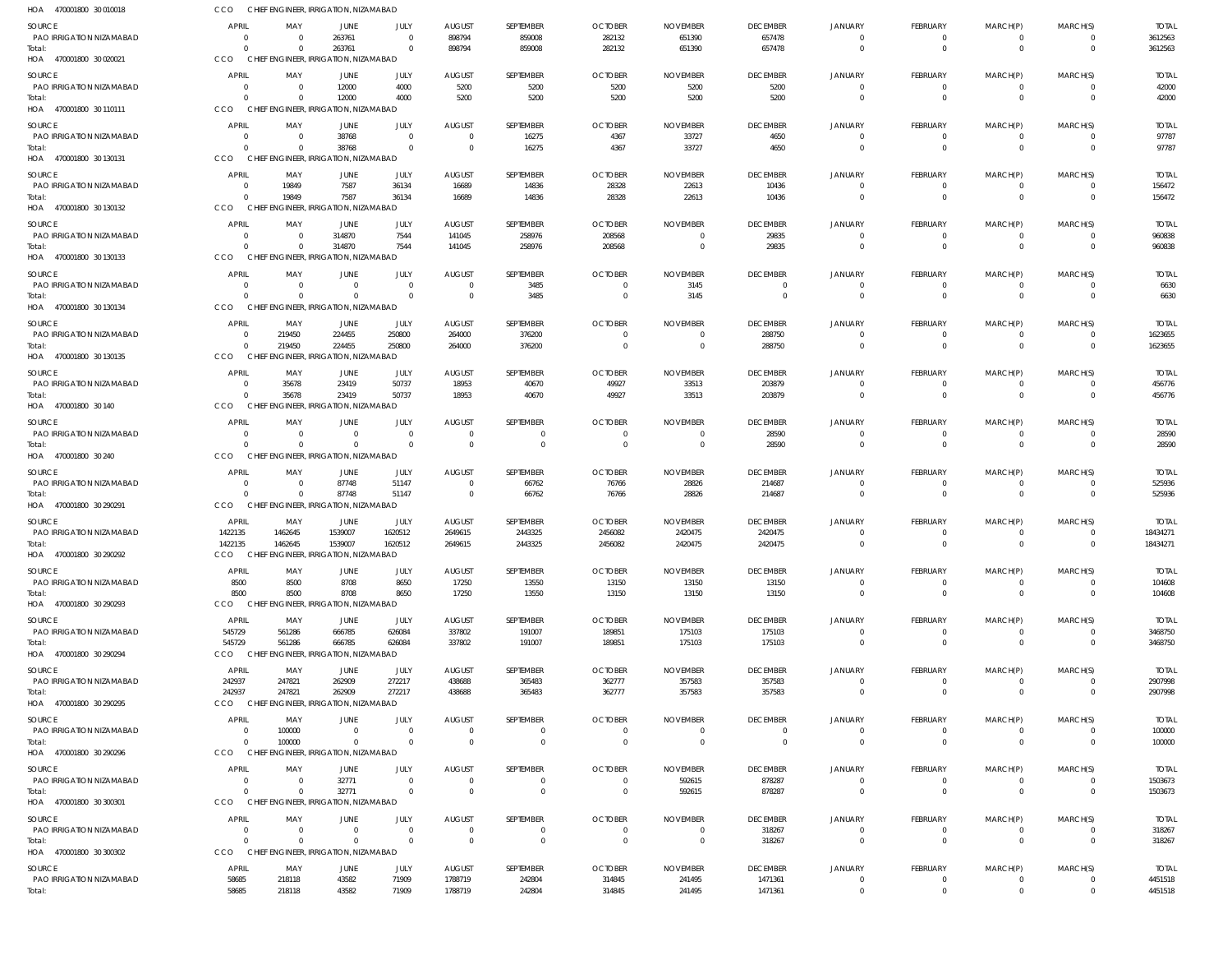| HOA 470001800 30 010018                   | <b>CCO</b>             |                         | CHIEF ENGINEER, IRRIGATION, NIZAMABAD             |                            |                                  |                    |                                  |                                   |                           |                            |                                  |                                  |                      |                        |
|-------------------------------------------|------------------------|-------------------------|---------------------------------------------------|----------------------------|----------------------------------|--------------------|----------------------------------|-----------------------------------|---------------------------|----------------------------|----------------------------------|----------------------------------|----------------------|------------------------|
| <b>SOURCE</b>                             | <b>APRIL</b>           | MAY                     | <b>JUNE</b>                                       | JULY                       | <b>AUGUST</b>                    | SEPTEMBER          | <b>OCTOBER</b>                   | <b>NOVEMBER</b>                   | <b>DECEMBER</b>           | JANUARY                    | FEBRUARY                         | MARCH(P)                         | MARCH(S)             | <b>TOTAL</b>           |
| PAO IRRIGATION NIZAMABAD                  |                        | $\Omega$                | 263761                                            | $\overline{0}$             | 898794                           | 859008             | 282132                           | 651390                            | 657478                    | $\Omega$                   | $\overline{0}$                   | $\overline{0}$                   | $\Omega$             | 3612563                |
| Total:<br>HOA 470001800 30 020021         | <b>CCO</b>             | $\Omega$                | 263761<br>CHIEF ENGINEER, IRRIGATION, NIZAMABAD   | $\overline{0}$             | 898794                           | 859008             | 282132                           | 651390                            | 657478                    | $\Omega$                   | $\Omega$                         | $\overline{0}$                   | $\Omega$             | 3612563                |
| SOURCE                                    | <b>APRIL</b>           | MAY                     | <b>JUNE</b>                                       | <b>JULY</b>                | <b>AUGUST</b>                    | SEPTEMBER          | <b>OCTOBER</b>                   | <b>NOVEMBER</b>                   | <b>DECEMBER</b>           | JANUARY                    | FEBRUARY                         | MARCH(P)                         | MARCH(S)             | <b>TOTAL</b>           |
| PAO IRRIGATION NIZAMABAD                  |                        | $\Omega$                | 12000                                             | 4000                       | 5200                             | 5200               | 5200                             | 5200                              | 5200                      |                            | $^{\circ}$                       | $^{\circ}$                       |                      | 42000                  |
| Total:                                    | $\Omega$               | $\Omega$                | 12000                                             | 4000                       | 5200                             | 5200               | 5200                             | 5200                              | 5200                      | $\Omega$                   | $\overline{0}$                   | $\overline{0}$                   | $\Omega$             | 42000                  |
| HOA 470001800 30 110111                   | <b>CCO</b>             |                         | CHIEF ENGINEER, IRRIGATION, NIZAMABAD             |                            |                                  |                    |                                  |                                   |                           |                            |                                  |                                  |                      |                        |
| <b>SOURCE</b>                             | <b>APRIL</b>           | MAY                     | <b>JUNE</b>                                       | <b>JULY</b>                | <b>AUGUST</b>                    | SEPTEMBER          | <b>OCTOBER</b>                   | <b>NOVEMBER</b>                   | <b>DECEMBER</b>           | <b>JANUARY</b>             | <b>FEBRUARY</b>                  | MARCH(P)                         | MARCH(S)             | <b>TOTAL</b>           |
| PAO IRRIGATION NIZAMABAD                  |                        | $\Omega$                | 38768                                             | $\overline{0}$             | $\overline{0}$                   | 16275              | 4367                             | 33727                             | 4650                      | - 0                        | $\overline{0}$                   | $\overline{0}$                   |                      | 97787                  |
| Total:<br>HOA 470001800 30 130131         | $\Omega$<br><b>CCO</b> | $\Omega$                | 38768<br>CHIEF ENGINEER, IRRIGATION, NIZAMABAD    | $\Omega$                   | $\overline{0}$                   | 16275              | 4367                             | 33727                             | 4650                      | $\Omega$                   | $\Omega$                         | $\overline{0}$                   | $\Omega$             | 97787                  |
|                                           |                        |                         |                                                   |                            |                                  |                    |                                  |                                   |                           |                            |                                  |                                  |                      |                        |
| <b>SOURCE</b><br>PAO IRRIGATION NIZAMABAD | <b>APRIL</b>           | MAY<br>19849            | <b>JUNE</b><br>7587                               | JULY<br>36134              | <b>AUGUST</b><br>16689           | SEPTEMBER          | <b>OCTOBER</b><br>28328          | <b>NOVEMBER</b>                   | <b>DECEMBER</b><br>10436  | <b>JANUARY</b><br>$\Omega$ | FEBRUARY<br>$\overline{0}$       | MARCH(P)                         | MARCH(S)<br>$\Omega$ | <b>TOTAL</b><br>156472 |
| Total:                                    |                        | 19849                   | 7587                                              | 36134                      | 16689                            | 14836<br>14836     | 28328                            | 22613<br>22613                    | 10436                     | $\Omega$                   | $\Omega$                         | $\overline{0}$<br>$\overline{0}$ | $\Omega$             | 156472                 |
| HOA 470001800 30 130132                   | <b>CCO</b>             | <b>CHIEF</b>            | ENGINEER, IRRIGATION, NIZAMABAD                   |                            |                                  |                    |                                  |                                   |                           |                            |                                  |                                  |                      |                        |
| <b>SOURCE</b>                             | <b>APRIL</b>           | MAY                     | <b>JUNE</b>                                       | JULY                       | <b>AUGUST</b>                    | SEPTEMBER          | <b>OCTOBER</b>                   | <b>NOVEMBER</b>                   | <b>DECEMBER</b>           | <b>JANUARY</b>             | <b>FEBRUARY</b>                  | MARCH(P)                         | MARCH(S)             | <b>TOTAL</b>           |
| PAO IRRIGATION NIZAMABAD                  | $\Omega$               | $\Omega$                | 314870                                            | 7544                       | 141045                           | 258976             | 208568                           | 0                                 | 29835                     | $\Omega$                   | $\overline{0}$                   | $\overline{0}$                   | - 0                  | 960838                 |
| Total:                                    | $\Omega$               | $\Omega$                | 314870                                            | 7544                       | 141045                           | 258976             | 208568                           | $\overline{0}$                    | 29835                     | $\Omega$                   | $\overline{0}$                   | $\overline{0}$                   | $\Omega$             | 960838                 |
| HOA 470001800 30 130133                   | <b>CCO</b>             |                         | CHIEF ENGINEER, IRRIGATION, NIZAMABAD             |                            |                                  |                    |                                  |                                   |                           |                            |                                  |                                  |                      |                        |
| <b>SOURCE</b>                             | APRIL                  | MAY                     | <b>JUNE</b>                                       | JULY                       | <b>AUGUST</b>                    | SEPTEMBER          | <b>OCTOBER</b>                   | <b>NOVEMBER</b>                   | <b>DECEMBER</b>           | <b>JANUARY</b>             | <b>FEBRUARY</b>                  | MARCH(P)                         | MARCH(S)             | <b>TOTAL</b>           |
| PAO IRRIGATION NIZAMABAD                  |                        | $\overline{\mathbf{0}}$ | $\overline{0}$                                    | $\overline{0}$             | $\overline{0}$                   | 3485               | 0                                | 3145                              |                           |                            | $\overline{0}$                   | $^{\circ}$                       |                      | 6630                   |
| Total:<br>HOA 470001800 30 130134         | <b>CCO</b>             | $\Omega$                | $\Omega$<br>CHIEF ENGINEER, IRRIGATION, NIZAMABAD | $\Omega$                   | $\overline{0}$                   | 3485               | $\overline{0}$                   | 3145                              | $\Omega$                  | $\Omega$                   | $\Omega$                         | $\Omega$                         | $\Omega$             | 6630                   |
|                                           |                        |                         |                                                   |                            |                                  |                    |                                  |                                   |                           |                            |                                  |                                  |                      |                        |
| <b>SOURCE</b>                             | <b>APRIL</b>           | MAY                     | <b>JUNE</b>                                       | JULY                       | <b>AUGUST</b>                    | SEPTEMBER          | <b>OCTOBER</b>                   | <b>NOVEMBER</b>                   | <b>DECEMBER</b>           | <b>JANUARY</b>             | FEBRUARY                         | MARCH(P)                         | MARCH(S)             | <b>TOTAL</b>           |
| PAO IRRIGATION NIZAMABAD<br>Total:        | $\Omega$               | 219450<br>219450        | 224455<br>224455                                  | 250800<br>250800           | 264000<br>264000                 | 376200<br>376200   | $\overline{0}$<br>$\overline{0}$ | $\overline{0}$<br>$\overline{0}$  | 288750<br>288750          | $\Omega$<br>$\Omega$       | $\overline{0}$<br>$\overline{0}$ | $\overline{0}$<br>$\overline{0}$ | $\Omega$             | 1623655<br>1623655     |
| HOA 470001800 30 130135                   | <b>CCO</b>             | <b>CHIEF</b>            | <b>ENGINEER, IRRIGATION, NIZAMABAD</b>            |                            |                                  |                    |                                  |                                   |                           |                            |                                  |                                  |                      |                        |
| <b>SOURCE</b>                             | APRIL                  | MAY                     | <b>JUNE</b>                                       | JULY                       | <b>AUGUST</b>                    | SEPTEMBER          | <b>OCTOBER</b>                   | <b>NOVEMBER</b>                   | <b>DECEMBER</b>           | <b>JANUARY</b>             | FEBRUARY                         | MARCH(P)                         | MARCH(S)             | <b>TOTAL</b>           |
| PAO IRRIGATION NIZAMABAD                  | $\Omega$               | 35678                   | 23419                                             | 50737                      | 18953                            | 40670              | 49927                            | 33513                             | 203879                    | $\Omega$                   | $\overline{0}$                   | $\overline{0}$                   | $\Omega$             | 456776                 |
| Total:                                    |                        | 35678                   | 23419                                             | 50737                      | 18953                            | 40670              | 49927                            | 33513                             | 203879                    | $\Omega$                   | $\Omega$                         | $\Omega$                         | $\Omega$             | 456776                 |
| HOA 470001800 30 140                      | <b>CCO</b>             |                         | CHIEF ENGINEER, IRRIGATION, NIZAMABAD             |                            |                                  |                    |                                  |                                   |                           |                            |                                  |                                  |                      |                        |
| <b>SOURCE</b>                             | <b>APRIL</b>           | MAY                     | <b>JUNE</b>                                       | JULY                       | <b>AUGUST</b>                    | SEPTEMBER          | <b>OCTOBER</b>                   | <b>NOVEMBER</b>                   | <b>DECEMBER</b>           | <b>JANUARY</b>             | <b>FEBRUARY</b>                  | MARCH(P)                         | MARCH(S)             | <b>TOTAL</b>           |
| PAO IRRIGATION NIZAMABAD                  |                        | $\Omega$                | $\overline{0}$                                    | $\overline{0}$             | $\overline{0}$                   | - 0                | 0                                | 0                                 | 28590                     | $\Omega$                   | $\overline{0}$                   | $^{\circ}$                       |                      | 28590                  |
| Total:<br>HOA 470001800 30 240            | <b>CCO</b>             | $\Omega$                | $\Omega$<br>CHIEF ENGINEER, IRRIGATION, NIZAMABAD | $\Omega$                   | $\overline{0}$                   | $\Omega$           | $\overline{0}$                   | $\overline{0}$                    | 28590                     | $\Omega$                   | $\Omega$                         | $\overline{0}$                   | $\Omega$             | 28590                  |
|                                           |                        |                         |                                                   |                            |                                  |                    |                                  |                                   |                           |                            |                                  |                                  |                      |                        |
| <b>SOURCE</b><br>PAO IRRIGATION NIZAMABAD | <b>APRIL</b>           | MAY<br>$\Omega$         | <b>JUNE</b><br>87748                              | JULY<br>51147              | <b>AUGUST</b><br>$\overline{0}$  | SEPTEMBER<br>66762 | <b>OCTOBER</b><br>76766          | <b>NOVEMBER</b><br>28826          | <b>DECEMBER</b><br>214687 | <b>JANUARY</b>             | FEBRUARY<br>$^{\circ}$           | MARCH(P)<br>0                    | MARCH(S)             | <b>TOTAL</b><br>525936 |
| Total:                                    | $\Omega$               | $\overline{0}$          | 87748                                             | 51147                      | $\overline{0}$                   | 66762              | 76766                            | 28826                             | 214687                    | $\Omega$                   | $\overline{0}$                   | $\overline{0}$                   | $\Omega$             | 525936                 |
| HOA 470001800 30 290291                   | <b>CCO</b>             |                         | CHIEF ENGINEER, IRRIGATION, NIZAMABAD             |                            |                                  |                    |                                  |                                   |                           |                            |                                  |                                  |                      |                        |
| <b>SOURCE</b>                             | <b>APRIL</b>           | MAY                     | <b>JUNE</b>                                       | <b>JULY</b>                | <b>AUGUST</b>                    | SEPTEMBER          | <b>OCTOBER</b>                   | <b>NOVEMBER</b>                   | <b>DECEMBER</b>           | <b>JANUARY</b>             | <b>FEBRUARY</b>                  | MARCH(P)                         | MARCH(S)             | <b>TOTAL</b>           |
| PAO IRRIGATION NIZAMABAD                  | 1422135                | 1462645                 | 1539007                                           | 1620512                    | 2649615                          | 2443325            | 2456082                          | 2420475                           | 2420475                   |                            | $\overline{0}$                   | $\overline{0}$                   |                      | 18434271               |
| Total:                                    | 1422135                | 1462645                 | 1539007                                           | 1620512                    | 2649615                          | 2443325            | 2456082                          | 2420475                           | 2420475                   | $\Omega$                   | $\Omega$                         | $\Omega$                         | $\Omega$             | 18434271               |
| HOA 470001800 30 290292                   | CCO                    |                         | CHIEF ENGINEER, IRRIGATION, NIZAMABAD             |                            |                                  |                    |                                  |                                   |                           |                            |                                  |                                  |                      |                        |
| SOURCE                                    | APRIL                  | MAY                     | <b>JUNE</b>                                       | JULY                       | <b>AUGUST</b>                    | SEPTEMBER          | <b>OCTOBER</b>                   | <b>NOVEMBER</b>                   | <b>DECEMBER</b>           | JANUARY                    | <b>FEBRUARY</b>                  | MARCH(P)                         | MARCH(S)             | <b>TOTAL</b>           |
| PAO IRRIGATION NIZAMABAD                  | 8500                   | 8500                    | 8708                                              | 8650                       | 17250                            | 13550              | 13150                            | 13150                             | 13150                     | $\Omega$                   | $\overline{0}$                   | $\overline{0}$                   |                      | 104608                 |
| Total:<br>HOA 470001800 30 290293         | 8500<br><b>CCO</b>     | 8500                    | 8708<br>CHIEF ENGINEER, IRRIGATION, NIZAMABAD     | 8650                       | 17250                            | 13550              | 13150                            | 13150                             | 13150                     | $\Omega$                   | $\overline{0}$                   | $\overline{0}$                   | $\Omega$             | 104608                 |
|                                           |                        |                         |                                                   |                            |                                  |                    |                                  |                                   |                           |                            |                                  |                                  |                      |                        |
| <b>SOURCE</b>                             | APRIL                  | MAY                     | <b>JUNE</b>                                       | JULY                       | <b>AUGUST</b>                    | SEPTEMBER          | <b>OCTOBER</b>                   | <b>NOVEMBER</b>                   | <b>DECEMBER</b>           | <b>JANUARY</b>             | <b>FEBRUARY</b>                  | MARCH(P)                         | MARCH(S)             | <b>TOTAL</b>           |
| PAO IRRIGATION NIZAMABAD<br>Total:        | 545729<br>545729       | 561286<br>561286        | 666785<br>666785                                  | 626084<br>626084           | 337802<br>337802                 | 191007<br>191007   | 189851<br>189851                 | 175103<br>175103                  | 175103<br>175103          | $\Omega$                   | $\overline{0}$<br>$\overline{0}$ | $^{\circ}$<br>$\overline{0}$     | $\Omega$             | 3468750<br>3468750     |
| HOA 470001800 30 290294                   | CCO                    |                         | CHIEF ENGINEER, IRRIGATION, NIZAMABAD             |                            |                                  |                    |                                  |                                   |                           |                            |                                  |                                  |                      |                        |
| <b>SOURCE</b>                             | <b>APRIL</b>           | MAY                     | <b>JUNE</b>                                       | JULY                       | <b>AUGUST</b>                    | SEPTEMBER          | <b>OCTOBER</b>                   | <b>NOVEMBER</b>                   | <b>DECEMBER</b>           | JANUARY                    | FEBRUARY                         | MARCH(P)                         | MARCH(S)             | <b>TOTAL</b>           |
| PAO IRRIGATION NIZAMABAD                  | 242937                 | 247821                  | 262909                                            | 272217                     | 438688                           | 365483             | 362777                           | 357583                            | 357583                    |                            | $\overline{0}$                   | 0                                |                      | 2907998                |
| Total:                                    | 242937                 | 247821                  | 262909                                            | 272217                     | 438688                           | 365483             | 362777                           | 357583                            | 357583                    | $\Omega$                   | $\overline{0}$                   | $\overline{0}$                   | $\Omega$             | 2907998                |
| HOA 470001800 30 290295                   | CCO                    |                         | CHIEF ENGINEER, IRRIGATION, NIZAMABAD             |                            |                                  |                    |                                  |                                   |                           |                            |                                  |                                  |                      |                        |
| <b>SOURCE</b>                             | <b>APRIL</b>           | MAY                     | JUNE                                              | JULY                       | <b>AUGUST</b>                    | SEPTEMBER          | <b>OCTOBER</b>                   | <b>NOVEMBER</b>                   | <b>DECEMBER</b>           | <b>JANUARY</b>             | FEBRUARY                         | MARCH(P)                         | MARCH(S)             | <b>TOTAL</b>           |
| PAO IRRIGATION NIZAMABAD                  |                        | 100000                  | $\overline{0}$                                    | $\overline{0}$             | $\overline{0}$                   | - 0                | $\overline{0}$                   | $\overline{0}$                    | $\Omega$                  |                            | $\overline{0}$                   | $\overline{0}$                   |                      | 100000                 |
| Total:                                    |                        | 100000                  | $\overline{0}$                                    | $\Omega$                   | $\overline{0}$                   | $\Omega$           | $\overline{0}$                   | $\overline{0}$                    | $\mathbf 0$               | $\Omega$                   | $\overline{0}$                   | $\overline{0}$                   | $\mathbf 0$          | 100000                 |
| HOA 470001800 30 290296                   | <b>CCO</b>             |                         | CHIEF ENGINEER, IRRIGATION, NIZAMABAD             |                            |                                  |                    |                                  |                                   |                           |                            |                                  |                                  |                      |                        |
| <b>SOURCE</b>                             | <b>APRIL</b>           | MAY                     | <b>JUNE</b>                                       | JULY                       | AUGUST                           | SEPTEMBER          | <b>OCTOBER</b>                   | <b>NOVEMBER</b>                   | <b>DECEMBER</b>           | <b>JANUARY</b>             | FEBRUARY                         | MARCH(P)                         | MARCH(S)             | <b>TOTAL</b>           |
| PAO IRRIGATION NIZAMABAD<br>Total:        | $\Omega$               | $\overline{\mathbf{0}}$ | 32771<br>32771                                    | $\overline{0}$<br>$\Omega$ | $\overline{0}$<br>$\overline{0}$ | - 0<br>- 0         | $\overline{0}$<br>$\overline{0}$ | 592615<br>592615                  | 878287<br>878287          | - 0<br>$\Omega$            | $\overline{0}$<br>$\overline{0}$ | $\overline{0}$<br>$\overline{0}$ | $\Omega$<br>$\Omega$ | 1503673<br>1503673     |
| HOA 470001800 30 300301                   | <b>CCO</b>             |                         | CHIEF ENGINEER, IRRIGATION, NIZAMABAD             |                            |                                  |                    |                                  |                                   |                           |                            |                                  |                                  |                      |                        |
|                                           | <b>APRIL</b>           |                         |                                                   |                            |                                  |                    | <b>OCTOBER</b>                   |                                   | <b>DECEMBER</b>           |                            |                                  |                                  |                      | <b>TOTAL</b>           |
| SOURCE<br>PAO IRRIGATION NIZAMABAD        | $\Omega$               | MAY<br>$\Omega$         | <b>JUNE</b><br>$\overline{0}$                     | JULY<br>$\overline{0}$     | <b>AUGUST</b><br>$\overline{0}$  | SEPTEMBER<br>- 0   | $\overline{0}$                   | <b>NOVEMBER</b><br>$\overline{0}$ | 318267                    | <b>JANUARY</b><br>$\Omega$ | FEBRUARY<br>$\overline{0}$       | MARCH(P)<br>$^{\circ}$           | MARCH(S)<br>$\Omega$ | 318267                 |
| Total:                                    | $\Omega$               | $\Omega$                | $\Omega$                                          | $\overline{0}$             | $\overline{0}$                   | $\Omega$           | $\overline{0}$                   | $\overline{0}$                    | 318267                    | $\Omega$                   | $\overline{0}$                   | $\overline{0}$                   | $\Omega$             | 318267                 |
| HOA 470001800 30 300302                   | CCO                    |                         | CHIEF ENGINEER, IRRIGATION, NIZAMABAD             |                            |                                  |                    |                                  |                                   |                           |                            |                                  |                                  |                      |                        |
| <b>SOURCE</b>                             | APRIL                  | MAY                     | <b>JUNE</b>                                       | <b>JULY</b>                | AUGUST                           | SEPTEMBER          | <b>OCTOBER</b>                   | <b>NOVEMBER</b>                   | <b>DECEMBER</b>           | <b>JANUARY</b>             | FEBRUARY                         | MARCH(P)                         | MARCH(S)             | <b>TOTAL</b>           |
| PAO IRRIGATION NIZAMABAD                  | 58685                  | 218118                  | 43582                                             | 71909                      | 1788719                          | 242804             | 314845                           | 241495                            | 1471361                   |                            | $^{\circ}$                       | 0                                |                      | 4451518                |
| Total:                                    | 58685                  | 218118                  | 43582                                             | 71909                      | 1788719                          | 242804             | 314845                           | 241495                            | 1471361                   | $\Omega$                   | $\overline{0}$                   | $\overline{0}$                   | $\Omega$             | 4451518                |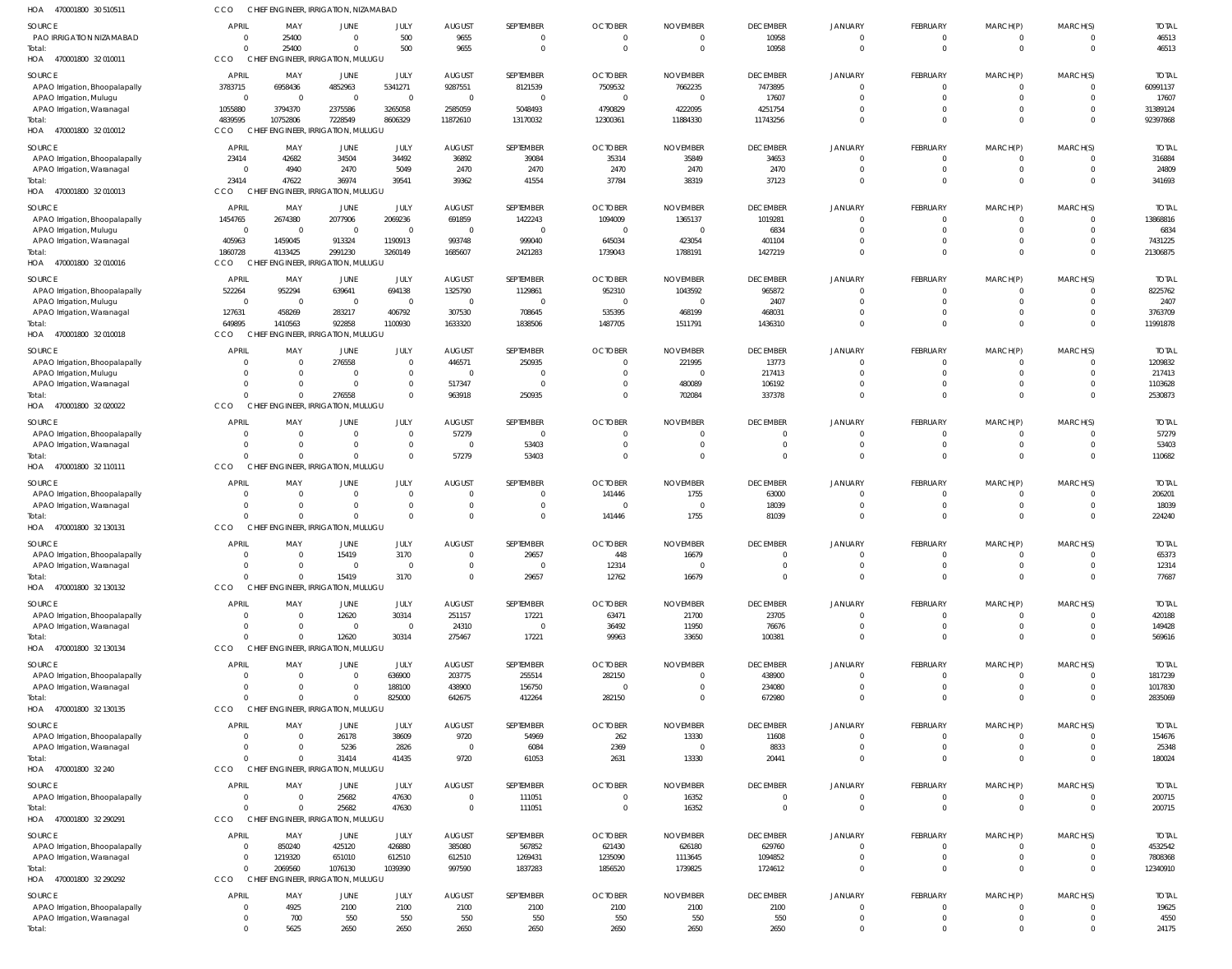| 470001800 30 510511<br>HOA                                   | CCO                       |                      | CHIEF ENGINEER, IRRIGATION, NIZAMABAD          |                           |                         |                         |                          |                          |                                  |                                |                            |                              |                      |                         |
|--------------------------------------------------------------|---------------------------|----------------------|------------------------------------------------|---------------------------|-------------------------|-------------------------|--------------------------|--------------------------|----------------------------------|--------------------------------|----------------------------|------------------------------|----------------------|-------------------------|
| SOURCE                                                       | <b>APRIL</b>              | MAY                  | <b>JUNE</b>                                    | JULY                      | <b>AUGUST</b>           | SEPTEMBER               | <b>OCTOBER</b>           | <b>NOVEMBER</b>          | <b>DECEMBER</b>                  | <b>JANUARY</b>                 | FEBRUARY                   | MARCH(P)                     | MARCH(S)             | <b>TOTAI</b>            |
| PAO IRRIGATION NIZAMABAD                                     | 0                         | 25400                | $\Omega$                                       | 500                       | 9655                    | 0                       | $\Omega$                 |                          | 10958                            | $\overline{0}$                 | 0                          | 0                            |                      | 46513                   |
| Total:                                                       | $\Omega$                  | 25400                | $\Omega$                                       | 500                       | 9655                    | $\overline{0}$          | $\Omega$                 | $\Omega$                 | 10958                            | $\Omega$                       | $\mathbf 0$                | $\mathbf{0}$                 | $\Omega$             | 46513                   |
| HOA 470001800 32 010011                                      | CCO                       |                      | CHIEF ENGINEER, IRRIGATION, MULUGU             |                           |                         |                         |                          |                          |                                  |                                |                            |                              |                      |                         |
| SOURCE                                                       | <b>APRIL</b>              | MAY                  | <b>JUNE</b>                                    | JULY                      | <b>AUGUST</b>           | SEPTEMBER               | <b>OCTOBER</b>           | <b>NOVEMBER</b>          | <b>DECEMBER</b>                  | <b>JANUARY</b>                 | FEBRUARY                   | MARCH(P)                     | MARCH(S)             | <b>TOTAI</b>            |
| APAO Irrigation, Bhoopalapally                               | 3783715                   | 6958436              | 4852963                                        | 5341271                   | 9287551                 | 8121539                 | 7509532                  | 7662235                  | 7473895                          | $\Omega$                       | $\mathbf 0$                | 0                            |                      | 60991137                |
| APAO Irrigation, Mulugu                                      | $\overline{0}$<br>1055880 | $\Omega$<br>3794370  | $\overline{0}$<br>2375586                      | $\overline{0}$<br>3265058 | $\Omega$<br>2585059     | $\overline{0}$          | - 0<br>4790829           | C<br>4222095             | 17607<br>4251754                 | $\Omega$<br>$\Omega$           | $\mathbf 0$<br>$\mathbf 0$ | $\mathbf{0}$<br>$\mathbf{0}$ | $\Omega$<br>$\Omega$ | 17607<br>31389124       |
| APAO Irrigation, Waranagal<br>Total:                         | 4839595                   | 10752806             | 7228549                                        | 8606329                   | 11872610                | 5048493<br>13170032     | 12300361                 | 11884330                 | 11743256                         | $\Omega$                       | $\mathbf 0$                | $\mathbf 0$                  | $\Omega$             | 92397868                |
| HOA 470001800 32 010012                                      | CCO                       |                      | CHIEF ENGINEER, IRRIGATION, MULUGU             |                           |                         |                         |                          |                          |                                  |                                |                            |                              |                      |                         |
|                                                              | <b>APRIL</b>              |                      |                                                |                           |                         |                         |                          |                          |                                  |                                |                            |                              |                      | <b>TOTAI</b>            |
| SOURCE<br>APAO Irrigation, Bhoopalapally                     | 23414                     | MAY<br>42682         | JUNE<br>34504                                  | JULY<br>34492             | <b>AUGUST</b><br>36892  | SEPTEMBER<br>39084      | <b>OCTOBER</b><br>35314  | <b>NOVEMBER</b><br>35849 | <b>DECEMBER</b><br>34653         | JANUARY<br>$\Omega$            | FEBRUARY<br>$\mathbf 0$    | MARCH(P)<br>$\mathbf{0}$     | MARCH(S)             | 316884                  |
| APAO Irrigation, Waranagal                                   | $\Omega$                  | 4940                 | 2470                                           | 5049                      | 2470                    | 2470                    | 2470                     | 2470                     | 2470                             | $\Omega$                       | $\mathbf 0$                | $\mathbf{0}$                 | $\Omega$             | 24809                   |
| Total:                                                       | 23414                     | 47622                | 36974                                          | 39541                     | 39362                   | 41554                   | 37784                    | 38319                    | 37123                            | $\Omega$                       | $\mathbf 0$                | $\mathbf{0}$                 | $\Omega$             | 341693                  |
| HOA 470001800 32 010013                                      | CCO                       |                      | CHIEF ENGINEER, IRRIGATION, MULUGU             |                           |                         |                         |                          |                          |                                  |                                |                            |                              |                      |                         |
| SOURCE                                                       | <b>APRIL</b>              | MAY                  | JUNE                                           | JULY                      | <b>AUGUST</b>           | SEPTEMBER               | <b>OCTOBER</b>           | <b>NOVEMBER</b>          | <b>DECEMBER</b>                  | <b>JANUARY</b>                 | FEBRUARY                   | MARCH(P)                     | MARCH(S)             | <b>TOTAI</b>            |
| APAO Irrigation, Bhoopalapally                               | 1454765                   | 2674380              | 2077906                                        | 2069236                   | 691859                  | 1422243                 | 1094009                  | 1365137                  | 1019281                          | $\Omega$                       | $\mathbf 0$                | $\mathbf{0}$                 | $\Omega$             | 13868816                |
| APAO Irrigation, Mulugu                                      | $\mathbf 0$               | $\Omega$             | $\overline{0}$                                 | $\overline{0}$            | $\Omega$                | $\overline{0}$          | - 0                      | - 0                      | 6834                             | $\Omega$                       | $\mathbf 0$                | $\mathbf{0}$                 | $\Omega$             | 6834                    |
| APAO Irrigation, Waranagal                                   | 405963                    | 1459045              | 913324                                         | 1190913                   | 993748                  | 999040                  | 645034                   | 423054                   | 401104                           | $\Omega$                       | $\mathbf 0$                | $\mathbf{0}$                 | $\Omega$             | 7431225                 |
| Total:                                                       | 1860728                   | 4133425              | 2991230                                        | 3260149                   | 1685607                 | 2421283                 | 1739043                  | 1788191                  | 1427219                          | $\Omega$                       | $\mathbf 0$                | $\mathbf{0}$                 | $\Omega$             | 21306875                |
| HOA 470001800 32 010016                                      | CCO                       |                      | CHIEF ENGINEER, IRRIGATION, MULUGU             |                           |                         |                         |                          |                          |                                  |                                |                            |                              |                      |                         |
| SOURCE                                                       | <b>APRIL</b>              | MAY                  | JUNE                                           | JULY                      | <b>AUGUST</b>           | SEPTEMBER               | <b>OCTOBER</b>           | <b>NOVEMBER</b>          | <b>DECEMBER</b>                  | JANUARY                        | FEBRUARY                   | MARCH(P)                     | MARCH(S)             | <b>TOTAI</b>            |
| APAO Irrigation, Bhoopalapally                               | 522264                    | 952294               | 639641                                         | 694138                    | 1325790                 | 1129861                 | 952310                   | 1043592                  | 965872                           | $\Omega$                       | $\Omega$                   | $\Omega$                     | - 0                  | 8225762                 |
| APAO Irrigation, Mulugu                                      | $\overline{0}$            | - 0                  | $\Omega$                                       | $\mathbf{0}$              |                         | $\overline{0}$          |                          |                          | 2407                             | $\Omega$                       | $\Omega$                   | $\Omega$                     |                      | 2407                    |
| APAO Irrigation, Waranagal                                   | 127631                    | 458269               | 283217                                         | 406792                    | 307530                  | 708645                  | 535395                   | 468199                   | 468031                           | $\Omega$                       | $\mathbf 0$                | $\mathbf{0}$                 | $\Omega$             | 3763709                 |
| Total:                                                       | 649895                    | 1410563              | 922858                                         | 1100930                   | 1633320                 | 1838506                 | 1487705                  | 1511791                  | 1436310                          | $\Omega$                       | $\Omega$                   | $\Omega$                     | $\Omega$             | 11991878                |
| HOA 470001800 32 010018                                      | CCO                       |                      | CHIEF ENGINEER, IRRIGATION, MULUGU             |                           |                         |                         |                          |                          |                                  |                                |                            |                              |                      |                         |
| SOURCE                                                       | <b>APRIL</b>              | MAY                  | JUNE                                           | JULY                      | <b>AUGUST</b>           | SEPTEMBER               | <b>OCTOBER</b>           | <b>NOVEMBER</b>          | <b>DECEMBER</b>                  | JANUARY                        | FEBRUARY                   | MARCH(P)                     | MARCH(S)             | <b>TOTAL</b>            |
| APAO Irrigation, Bhoopalapally                               | 0                         | $\Omega$             | 276558                                         | $\mathbf{0}$              | 446571                  | 250935                  | $\Omega$                 | 221995                   | 13773                            | $\overline{0}$                 | $\mathbf 0$                | $\mathbf{0}$                 | $\Omega$             | 1209832                 |
| APAO Irrigation, Mulugu                                      | $\Omega$                  | $\Omega$             | $\Omega$                                       | $\mathbf{0}$              |                         | $\overline{0}$          |                          |                          | 217413                           | $\Omega$                       | $\mathbf 0$                | $\mathbf{0}$                 | $\Omega$             | 217413                  |
| APAO Irrigation, Waranagal                                   | $\Omega$<br>$\Omega$      | $\Omega$<br>$\Omega$ | $\overline{0}$                                 | $\mathbf{0}$              | 517347                  | $\overline{0}$          | $\Omega$<br>$\Omega$     | 480089                   | 106192                           | $\Omega$<br>$\Omega$           | $\mathbf 0$<br>$\Omega$    | $\mathbf{0}$                 | $\Omega$<br>$\Omega$ | 1103628                 |
| Total:<br>HOA 470001800 32 020022                            | CCO                       |                      | 276558<br>CHIEF ENGINEER, IRRIGATION, MULUGU   | $\mathbf{0}$              | 963918                  | 250935                  |                          | 702084                   | 337378                           |                                |                            | $\mathbf{0}$                 |                      | 2530873                 |
|                                                              |                           |                      |                                                |                           |                         |                         |                          |                          |                                  |                                |                            |                              |                      |                         |
| SOURCE                                                       | <b>APRIL</b>              | MAY                  | JUNE                                           | JULY                      | <b>AUGUST</b>           | SEPTEMBER               | <b>OCTOBER</b>           | <b>NOVEMBER</b>          | <b>DECEMBER</b>                  | <b>JANUARY</b>                 | FEBRUARY                   | MARCH(P)                     | MARCH(S)             | <b>TOTAI</b>            |
| APAO Irrigation, Bhoopalapally                               | $\Omega$                  | $\Omega$             | $\Omega$                                       | $\Omega$                  | 57279                   | $\overline{0}$          |                          |                          | $\Omega$                         | $\Omega$<br>$\Omega$           | $\Omega$                   | $\Omega$                     |                      | 57279                   |
| APAO Irrigation, Waranagal<br>Total:                         | $\Omega$                  | $\Omega$             | $\Omega$<br>$\Omega$                           | $\mathbf 0$<br>$\Omega$   | $\Omega$<br>57279       | 53403<br>53403          | $\Omega$                 |                          | $\overline{0}$<br>$\Omega$       | $\Omega$                       | $\mathbf 0$<br>$\Omega$    | $\mathbf{0}$<br>$\mathbf 0$  | $\Omega$             | 53403<br>110682         |
| HOA 470001800 32 110111                                      | CCO                       |                      | CHIEF ENGINEER, IRRIGATION, MULUGU             |                           |                         |                         |                          |                          |                                  |                                |                            |                              |                      |                         |
|                                                              |                           |                      |                                                |                           |                         |                         |                          |                          |                                  |                                |                            |                              |                      |                         |
|                                                              |                           |                      |                                                |                           |                         |                         |                          |                          |                                  |                                |                            |                              |                      |                         |
| SOURCE                                                       | <b>APRIL</b>              | MAY                  | JUNE                                           | JULY                      | <b>AUGUST</b>           | SEPTEMBER               | <b>OCTOBER</b>           | <b>NOVEMBER</b>          | <b>DECEMBER</b>                  | JANUARY                        | FEBRUARY                   | MARCH(P)                     | MARCH(S)             | <b>TOTAL</b>            |
| APAO Irrigation, Bhoopalapally                               | 0                         | $\Omega$             | $\overline{0}$                                 | $\mathbf{0}$              | $\Omega$                | $\overline{0}$          | 141446                   | 1755                     | 63000                            | $\overline{0}$                 | $\mathbf 0$                | $\mathbf{0}$                 | $\Omega$             | 206201                  |
| APAO Irrigation, Waranagal                                   | $\Omega$<br>$\Omega$      | $\Omega$<br>$\cap$   | $\overline{0}$                                 | $\mathbf{0}$              | $\Omega$                | $\overline{0}$          | - 0                      | - 0                      | 18039                            | $\Omega$                       | $\mathbf 0$                | $\mathbf{0}$                 | $\Omega$             | 18039                   |
| Total:<br>HOA 470001800 32 130131                            | CCO                       |                      | $\Omega$<br>CHIEF ENGINEER, IRRIGATION, MULUGU | $\Omega$                  | $\Omega$                | $\mathbf 0$             | 141446                   | 1755                     | 81039                            | $\overline{0}$                 | $\mathbf 0$                | $\mathbf{0}$                 | $\Omega$             | 224240                  |
|                                                              |                           |                      |                                                |                           |                         |                         |                          |                          |                                  |                                |                            |                              |                      |                         |
| SOURCE                                                       | <b>APRIL</b>              | MAY                  | <b>JUNE</b>                                    | JULY                      | <b>AUGUST</b>           | SEPTEMBER               | <b>OCTOBER</b>           | <b>NOVEMBER</b>          | <b>DECEMBER</b>                  | <b>JANUARY</b>                 | FEBRUARY                   | MARCH(P)                     | MARCH(S)             | <b>TOTAL</b>            |
| APAO Irrigation, Bhoopalapally                               | $\Omega$                  |                      | 15419                                          | 3170<br>$\Omega$          |                         | 2965                    | 448                      | 16679                    |                                  | $\Omega$                       | $\Omega$                   | $\Omega$                     |                      | 65373                   |
| APAO Irrigation, Waranagal<br>Total:                         | $\Omega$                  | $\Omega$             | $\mathbf{0}$<br>15419                          | 3170                      | $\Omega$                | $\overline{0}$<br>29657 | 12314<br>12762           | 16679                    | $\overline{0}$<br>$\overline{0}$ | $\Omega$                       | $\mathbf 0$                | $\mathbf 0$                  | $\Omega$             | 12314<br>77687          |
| HOA 470001800 32 130132                                      | CCO                       |                      | CHIEF ENGINEER, IRRIGATION, MULUGU             |                           |                         |                         |                          |                          |                                  |                                |                            |                              |                      |                         |
|                                                              |                           |                      |                                                |                           |                         |                         |                          |                          |                                  |                                |                            |                              |                      |                         |
| SOURCE                                                       | <b>APRIL</b><br>0         | MAY<br>$\Omega$      | <b>JUNE</b>                                    | JULY                      | <b>AUGUST</b>           | SEPTEMBER               | <b>OCTOBER</b>           | <b>NOVEMBER</b>          | <b>DECEMBER</b>                  | <b>JANUARY</b><br>$\mathbf{0}$ | FEBRUARY<br>$\mathbf 0$    | MARCH(P)<br>$\mathbf{0}$     | MARCH(S)             | <b>TOTAL</b>            |
| APAO Irrigation, Bhoopalapally<br>APAO Irrigation, Waranagal | $\Omega$                  | $\Omega$             | 12620<br>$\overline{0}$                        | 30314<br>$\overline{0}$   | 251157<br>24310         | 17221<br>$\overline{0}$ | 63471<br>36492           | 21700<br>11950           | 23705<br>76676                   | $\overline{0}$                 | $\mathbf 0$                | $\mathbf 0$                  | $\Omega$             | 420188<br>149428        |
| Total:                                                       | $\Omega$                  | $\Omega$             | 12620                                          | 30314                     | 275467                  | 17221                   | 99963                    | 33650                    | 100381                           | $\Omega$                       | $\mathbf 0$                | $\mathbf{0}$                 | $\Omega$             | 569616                  |
| HOA 470001800 32 130134                                      | CCO                       |                      | CHIEF ENGINEER, IRRIGATION, MULUGU             |                           |                         |                         |                          |                          |                                  |                                |                            |                              |                      |                         |
|                                                              |                           |                      |                                                |                           |                         |                         |                          |                          |                                  |                                |                            |                              |                      |                         |
| SOURCE<br>APAO Irrigation, Bhoopalapally                     | <b>APRIL</b><br>0         | MAY<br>$\Omega$      | JUNE<br>$\overline{0}$                         | JULY<br>636900            | <b>AUGUST</b><br>203775 | SEPTEMBER<br>255514     | <b>OCTOBER</b><br>282150 | <b>NOVEMBER</b>          | <b>DECEMBER</b><br>438900        | JANUARY<br>$\Omega$            | FEBRUARY<br>-0             | MARCH(P)<br>0                | MARCH(S)             | <b>TOTAL</b><br>1817239 |
| APAO Irrigation, Waranagal                                   | $\Omega$                  | $\Omega$             | $\overline{0}$                                 | 188100                    | 438900                  | 156750                  | $\Omega$                 |                          | 234080                           | $\Omega$                       | $\mathbf 0$                | $\mathbf{0}$                 | $\Omega$             | 1017830                 |
| Total:                                                       | $\Omega$                  |                      | $\Omega$                                       | 825000                    | 642675                  | 412264                  | 282150                   |                          | 672980                           | $\Omega$                       | $\Omega$                   | $\mathbf{0}$                 | $\Omega$             | 2835069                 |
| HOA 470001800 32 130135                                      | CCO                       |                      | CHIEF ENGINEER, IRRIGATION, MULUGU             |                           |                         |                         |                          |                          |                                  |                                |                            |                              |                      |                         |
| SOURCE                                                       | <b>APRIL</b>              | MAY                  | <b>JUNE</b>                                    | JULY                      | <b>AUGUST</b>           | SEPTEMBER               | <b>OCTOBER</b>           | <b>NOVEMBER</b>          | <b>DECEMBER</b>                  | JANUARY                        | FEBRUARY                   | MARCH(P)                     | MARCH(S)             | <b>TOTAL</b>            |
| APAO Irrigation, Bhoopalapally                               | $\overline{0}$            | $\Omega$             | 26178                                          | 38609                     | 9720                    | 54969                   | 262                      | 13330                    | 11608                            | $\overline{0}$                 | $\mathbf 0$                | $\mathbf{0}$                 | $\Omega$             | 154676                  |
| APAO Irrigation, Waranagal                                   | $\mathbf{0}$              | $\Omega$             | 5236                                           | 2826                      | $\Omega$                | 6084                    | 2369                     | - 0                      | 8833                             | $\overline{0}$                 | $\mathbf 0$                | $\mathbf 0$                  | $\Omega$             | 25348                   |
| Total:                                                       | $\Omega$                  | $\Omega$             | 31414                                          | 41435                     | 9720                    | 61053                   | 2631                     | 13330                    | 20441                            | $\overline{0}$                 | $\mathbf 0$                | $\mathbf 0$                  | $\Omega$             | 180024                  |
| HOA 470001800 32 240                                         | CCO                       |                      | CHIEF ENGINEER, IRRIGATION, MULUGU             |                           |                         |                         |                          |                          |                                  |                                |                            |                              |                      |                         |
| SOURCE                                                       | <b>APRIL</b>              | MAY                  | <b>JUNE</b>                                    | JULY                      | <b>AUGUST</b>           | SEPTEMBER               | <b>OCTOBER</b>           | <b>NOVEMBER</b>          | <b>DECEMBER</b>                  | <b>JANUARY</b>                 | <b>FEBRUARY</b>            | MARCH(P)                     | MARCH(S)             | <b>TOTAL</b>            |
| APAO Irrigation, Bhoopalapally                               | $\overline{0}$            | $\Omega$             | 25682                                          | 47630                     | $\Omega$                | 111051                  | $\Omega$                 | 16352                    | $\overline{0}$                   | $\overline{0}$                 | $\mathbf 0$                | $\mathbf{0}$                 | $\Omega$             | 200715                  |
| Total:                                                       | $\Omega$                  |                      | 25682                                          | 47630                     | $\Omega$                | 111051                  | $\Omega$                 | 16352                    | $\overline{0}$                   | $\Omega$                       | $\mathbf 0$                | $\mathbf 0$                  | $\Omega$             | 200715                  |
| HOA 470001800 32 290291                                      | CCO                       |                      | CHIEF ENGINEER, IRRIGATION, MULUGU             |                           |                         |                         |                          |                          |                                  |                                |                            |                              |                      |                         |
| SOURCE                                                       | <b>APRIL</b>              | MAY                  | JUNE                                           | JULY                      | <b>AUGUST</b>           | SEPTEMBER               | <b>OCTOBER</b>           | <b>NOVEMBER</b>          | <b>DECEMBER</b>                  | JANUARY                        | FEBRUARY                   | MARCH(P)                     | MARCH(S)             | <b>TOTAL</b>            |
| APAO Irrigation, Bhoopalapally                               | $\overline{0}$            | 850240               | 425120                                         | 426880                    | 385080                  | 567852                  | 621430                   | 626180                   | 629760                           | $\overline{0}$                 | $\mathbf 0$                | $\mathbf{0}$                 | $\Omega$             | 4532542                 |
| APAO Irrigation, Waranagal                                   | $\overline{0}$            | 1219320              | 651010                                         | 612510                    | 612510                  | 1269431                 | 1235090                  | 1113645                  | 1094852                          | $\overline{0}$                 | $\mathbf 0$                | $\mathbf 0$                  | $\Omega$             | 7808368                 |
| Total:                                                       | $\Omega$                  | 2069560              | 1076130                                        | 1039390                   | 997590                  | 1837283                 | 1856520                  | 1739825                  | 1724612                          | $\Omega$                       | $\mathbf 0$                | $\mathbf 0$                  | $\Omega$             | 12340910                |
| HOA 470001800 32 290292                                      | CCO                       |                      | CHIEF ENGINEER, IRRIGATION, MULUGU             |                           |                         |                         |                          |                          |                                  |                                |                            |                              |                      |                         |
| SOURCE                                                       | <b>APRIL</b>              | MAY                  | <b>JUNE</b>                                    | JULY                      | <b>AUGUST</b>           | SEPTEMBER               | <b>OCTOBER</b>           | <b>NOVEMBER</b>          | <b>DECEMBER</b>                  | <b>JANUARY</b>                 | <b>FEBRUARY</b>            | MARCH(P)                     | MARCH(S)             | <b>TOTAL</b>            |
| APAO Irrigation, Bhoopalapally                               | $\Omega$                  | 4925                 | 2100                                           | 2100                      | 2100                    | 2100                    | 2100                     | 2100                     | 2100                             | $\Omega$                       | 0                          | $\mathbf{0}$                 | - 0                  | 19625                   |
| APAO Irrigation, Waranagal<br>Total:                         | 0<br>$\Omega$             | 700<br>5625          | 550<br>2650                                    | 550<br>2650               | 550<br>2650             | 550<br>2650             | 550<br>2650              | 550<br>2650              | 550<br>2650                      | $\overline{0}$<br>$\mathbf{0}$ | $\mathbf 0$<br>$\Omega$    | $\mathbf{0}$<br>$\Omega$     | $\Omega$<br>$\Omega$ | 4550<br>24175           |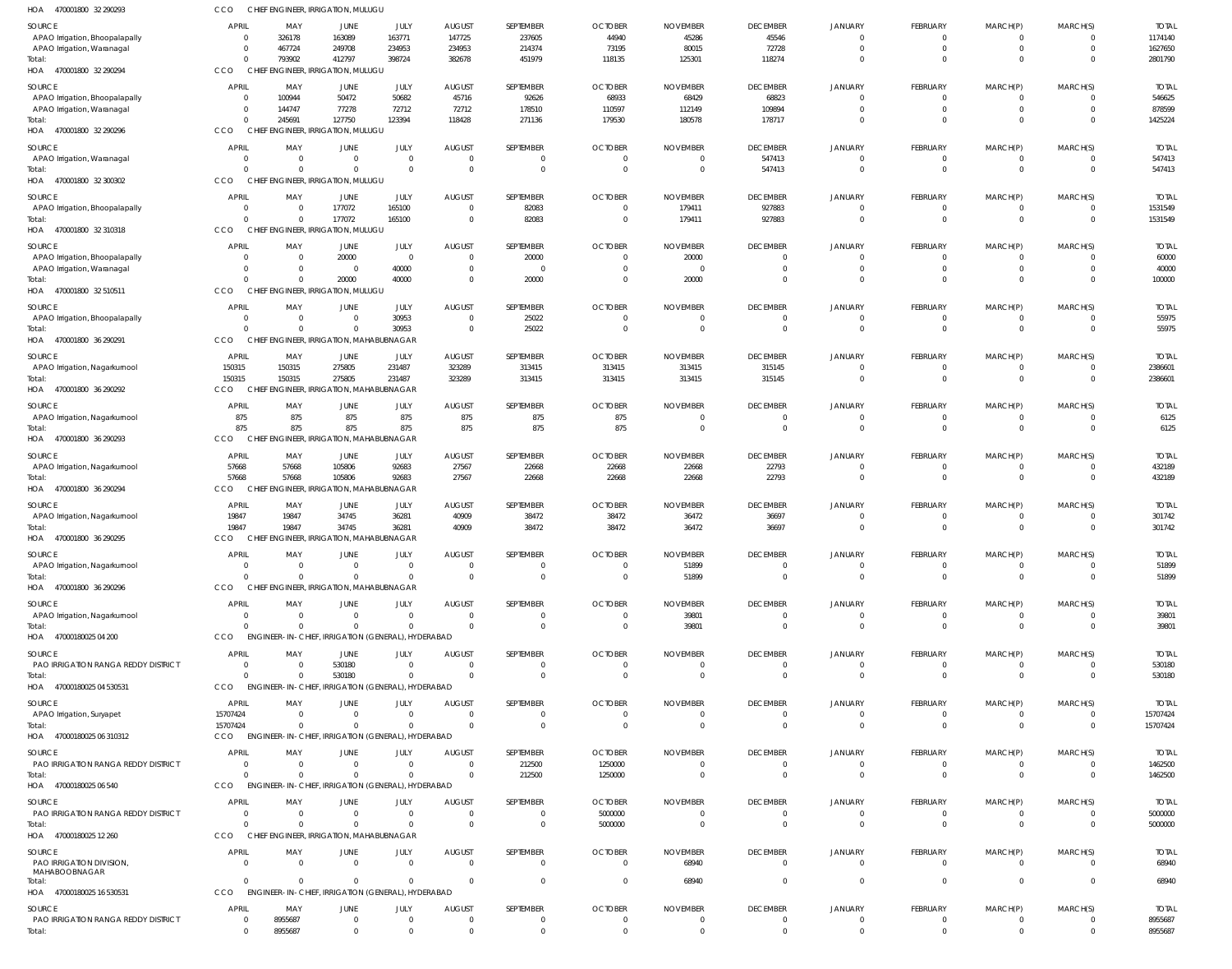| HOA<br>470001800 32 290293                    | CCO                      | CHIEF ENGINEER, IRRIGATION, MULUGU                 |                            |                      |                                     |                      |                                  |                                  |                           |                            |                                 |                               |                      |                         |
|-----------------------------------------------|--------------------------|----------------------------------------------------|----------------------------|----------------------|-------------------------------------|----------------------|----------------------------------|----------------------------------|---------------------------|----------------------------|---------------------------------|-------------------------------|----------------------|-------------------------|
| SOURCE                                        | APRIL                    | MAY                                                | <b>JUNE</b>                | JULY                 | <b>AUGUST</b>                       | SEPTEMBER            | <b>OCTOBER</b>                   | <b>NOVEMBER</b>                  | <b>DECEMBER</b>           | JANUARY                    | FEBRUARY                        | MARCH(P)                      | MARCH(S)             | <b>TOTAL</b>            |
| APAO Irrigation, Bhoopalapally                | $\Omega$                 | 326178                                             | 163089                     | 163771               | 147725                              | 237605               | 44940                            | 45286                            | 45546                     | $\Omega$                   | 0                               | 0                             |                      | 1174140                 |
| APAO Irrigation, Waranagal                    | $\Omega$                 | 467724                                             | 249708                     | 234953               | 234953                              | 214374               | 73195                            | 80015                            | 72728                     | $\Omega$                   | $\mathbf{0}$                    | $\overline{0}$                | $\Omega$             | 1627650                 |
| Total:<br>HOA 470001800 32 290294             | $\Omega$<br>CCO          | 793902<br>CHIEF ENGINEER, IRRIGATION, MULUGU       | 412797                     | 398724               | 382678                              | 451979               | 118135                           | 125301                           | 118274                    | $\Omega$                   | $\Omega$                        | $\Omega$                      | $\Omega$             | 2801790                 |
|                                               |                          |                                                    |                            |                      |                                     |                      |                                  |                                  |                           |                            |                                 |                               |                      |                         |
| SOURCE<br>APAO Irrigation, Bhoopalapally      | APRIL<br>$\Omega$        | MAY<br>100944                                      | <b>JUNE</b><br>50472       | JULY<br>50682        | <b>AUGUST</b><br>45716              | SEPTEMBER<br>92626   | <b>OCTOBER</b><br>68933          | <b>NOVEMBER</b><br>68429         | <b>DECEMBER</b><br>68823  | <b>JANUARY</b><br>$\Omega$ | <b>FEBRUARY</b><br>$\mathbf{0}$ | MARCH(P)<br>$\overline{0}$    | MARCH(S)<br>$\Omega$ | <b>TOTAL</b><br>546625  |
| APAO Irrigation, Waranagal                    | $\Omega$                 | 144747                                             | 77278                      | 72712                | 72712                               | 178510               | 110597                           | 112149                           | 109894                    | $\Omega$                   | $\mathbf{0}$                    | $\mathbf{0}$                  | $\Omega$             | 878599                  |
| lotal:                                        | $\Omega$                 | 245691                                             | 127750                     | 123394               | 118428                              | 271136               | 179530                           | 180578                           | 178717                    | $\Omega$                   | $\mathbf{0}$                    | $\mathbf{0}$                  | $\Omega$             | 1425224                 |
| HOA 470001800 32 290296                       | CCO                      | CHIEF ENGINEER, IRRIGATION, MULUGU                 |                            |                      |                                     |                      |                                  |                                  |                           |                            |                                 |                               |                      |                         |
| SOURCE                                        | <b>APRIL</b>             | MAY                                                | JUNE                       | JULY                 | <b>AUGUST</b>                       | SEPTEMBER            | <b>OCTOBER</b>                   | <b>NOVEMBER</b>                  | <b>DECEMBER</b>           | <b>JANUARY</b>             | FEBRUARY                        | MARCH(P)                      | MARCH(S)             | <b>TOTAL</b>            |
| APAO Irrigation, Waranagal                    | $\Omega$                 | $\overline{0}$                                     | $\overline{0}$             | $\mathbf 0$          | $\overline{\mathbf{0}}$             | $\mathbf{0}$         | $\overline{0}$                   | $\overline{\mathbf{0}}$          | 547413                    | $\Omega$                   | $\mathbf{0}$                    | $\overline{0}$                |                      | 547413                  |
| Total:                                        | $\Omega$                 | $\Omega$<br>CHIEF ENGINEER, IRRIGATION, MULUGU     | $\Omega$                   | $\Omega$             | $\overline{0}$                      | $\Omega$             | $\overline{0}$                   | $\overline{0}$                   | 547413                    | $\Omega$                   | $\Omega$                        | $\Omega$                      | $\Omega$             | 547413                  |
| HOA 470001800 32 300302                       | CCO                      |                                                    |                            |                      |                                     |                      |                                  |                                  |                           |                            |                                 |                               |                      |                         |
| SOURCE                                        | <b>APRIL</b><br>$\Omega$ | MAY                                                | JUNE                       | JULY                 | <b>AUGUST</b>                       | SEPTEMBER            | <b>OCTOBER</b>                   | <b>NOVEMBER</b>                  | <b>DECEMBER</b>           | <b>JANUARY</b>             | <b>FEBRUARY</b>                 | MARCH(P)                      | MARCH(S)             | <b>TOTAL</b>            |
| APAO Irrigation, Bhoopalapally<br>Total:      | $\cap$                   | $\overline{0}$<br>$\overline{0}$                   | 177072<br>177072           | 165100<br>165100     | $\overline{0}$<br>$\overline{0}$    | 82083<br>82083       | $\overline{0}$<br>$\overline{0}$ | 179411<br>179411                 | 927883<br>927883          | $\Omega$<br>$\Omega$       | $\mathbf{0}$<br>$\mathbf 0$     | $\overline{0}$<br>$\mathbf 0$ | $\Omega$<br>$\Omega$ | 1531549<br>1531549      |
| HOA 470001800 32 310318                       | CCO                      | CHIEF ENGINEER, IRRIGATION, MULUGU                 |                            |                      |                                     |                      |                                  |                                  |                           |                            |                                 |                               |                      |                         |
| SOURCE                                        | <b>APRIL</b>             | MAY                                                | <b>JUNE</b>                | JULY                 | <b>AUGUST</b>                       | SEPTEMBER            | <b>OCTOBER</b>                   | <b>NOVEMBER</b>                  | <b>DECEMBER</b>           | JANUARY                    | <b>FEBRUARY</b>                 | MARCH(P)                      | MARCH(S)             | <b>TOTAL</b>            |
| APAO Irrigation, Bhoopalapally                | $\Omega$                 | $\overline{0}$                                     | 20000                      | $\overline{0}$       | $\overline{0}$                      | 20000                | $\overline{0}$                   | 20000                            | $\Omega$                  | $\Omega$                   | 0                               |                               |                      | 60000                   |
| APAO Irrigation, Waranagal                    | $\Omega$                 | $\overline{0}$                                     | $\overline{0}$             | 40000                | $\overline{0}$                      | $\overline{0}$       | $\overline{0}$                   | $\overline{\mathbf{0}}$          | $\Omega$                  | $\Omega$                   | $\Omega$                        | $\mathbf{0}$                  |                      | 40000                   |
| Total:                                        | $\Omega$                 | $\Omega$                                           | 20000                      | 40000                | $\overline{0}$                      | 20000                | $\overline{0}$                   | 20000                            | $\Omega$                  | $\Omega$                   | $\Omega$                        | $\Omega$                      | $\Omega$             | 100000                  |
| HOA 470001800 32 510511                       | CCO                      | CHIEF ENGINEER, IRRIGATION, MULUGU                 |                            |                      |                                     |                      |                                  |                                  |                           |                            |                                 |                               |                      |                         |
| SOURCE                                        | APRIL                    | MAY                                                | JUNE                       | JULY                 | <b>AUGUST</b>                       | SEPTEMBER            | <b>OCTOBER</b>                   | <b>NOVEMBER</b>                  | <b>DECEMBER</b>           | <b>JANUARY</b>             | FEBRUARY                        | MARCH(P)                      | MARCH(S)             | <b>TOTAL</b>            |
| APAO Irrigation, Bhoopalapally                | $\Omega$<br>$\cap$       | $\overline{0}$<br>$\Omega$                         | $\overline{0}$             | 30953                | $\overline{0}$                      | 25022                | $\overline{0}$                   | $\overline{0}$                   | $\Omega$<br>$\Omega$      | $\Omega$<br>$\Omega$       | $\mathbf{0}$                    | $\overline{0}$                | $\Omega$             | 55975                   |
| Total:<br>HOA 470001800 36 290291             | CCO                      | CHIEF ENGINEER, IRRIGATION, MAHABUBNAGAR           | $\overline{0}$             | 30953                | $\overline{0}$                      | 25022                | $\overline{0}$                   | $\overline{0}$                   |                           |                            | $\mathbf 0$                     | $\overline{0}$                | $\Omega$             | 55975                   |
|                                               |                          |                                                    |                            |                      |                                     |                      |                                  |                                  |                           |                            |                                 |                               |                      |                         |
| SOURCE<br>APAO Irrigation, Nagarkurnool       | APRIL<br>150315          | MAY<br>150315                                      | <b>JUNE</b><br>275805      | JULY<br>231487       | <b>AUGUST</b><br>323289             | SEPTEMBER<br>313415  | <b>OCTOBER</b><br>313415         | <b>NOVEMBER</b><br>313415        | <b>DECEMBER</b><br>315145 | <b>JANUARY</b><br>$\Omega$ | <b>FEBRUARY</b><br>0            | MARCH(P)<br>$\Omega$          | MARCH(S)             | <b>TOTAL</b><br>2386601 |
| Total:                                        | 150315                   | 150315                                             | 275805                     | 231487               | 323289                              | 313415               | 313415                           | 313415                           | 315145                    | $\Omega$                   | $\mathbf 0$                     | $\overline{0}$                | $\Omega$             | 2386601                 |
| HOA 470001800 36 290292                       | CCO                      | CHIEF ENGINEER, IRRIGATION, MAHABUBNAGAR           |                            |                      |                                     |                      |                                  |                                  |                           |                            |                                 |                               |                      |                         |
| SOURCE                                        | <b>APRIL</b>             | MAY                                                | <b>JUNE</b>                | JULY                 | <b>AUGUST</b>                       | SEPTEMBER            | <b>OCTOBER</b>                   | <b>NOVEMBER</b>                  | <b>DECEMBER</b>           | <b>JANUARY</b>             | <b>FEBRUARY</b>                 | MARCH(P)                      | MARCH(S)             | <b>TOTAL</b>            |
| APAO Irrigation, Nagarkurnool                 | 875                      | 875                                                | 875                        | 875                  | 875                                 | 875                  | 875                              | $\overline{0}$                   | $\Omega$                  | $\Omega$                   | 0                               | 0                             |                      | 6125                    |
| Total:                                        | 875                      | 875                                                | 875                        | 875                  | 875                                 | 875                  | 875                              | $\overline{0}$                   | $\mathbf{0}$              | $\Omega$                   | $\mathbf 0$                     | $\overline{0}$                | $\Omega$             | 6125                    |
| HOA 470001800 36 290293                       | CCO                      | CHIEF ENGINEER, IRRIGATION, MAHABUBNAGAR           |                            |                      |                                     |                      |                                  |                                  |                           |                            |                                 |                               |                      |                         |
| SOURCE                                        | APRIL                    | MAY                                                | <b>JUNE</b>                | JULY                 | <b>AUGUST</b>                       | SEPTEMBER            | <b>OCTOBER</b>                   | <b>NOVEMBER</b>                  | <b>DECEMBER</b>           | <b>JANUARY</b>             | FEBRUARY                        | MARCH(P)                      | MARCH(S)             | <b>TOTAL</b>            |
| APAO Irrigation, Nagarkurnool                 | 57668                    | 57668                                              | 105806                     | 92683                | 27567                               | 22668                | 22668                            | 22668                            | 22793                     | $\Omega$<br>$\Omega$       | $\mathbf{0}$<br>$\mathbf 0$     | $\Omega$<br>$\overline{0}$    | $\Omega$             | 432189                  |
| Total:<br>HOA 470001800 36 290294             | 57668<br>CCO             | 57668<br>CHIEF ENGINEER, IRRIGATION, MAHABUBNAGAR  | 105806                     | 92683                | 27567                               | 22668                | 22668                            | 22668                            | 22793                     |                            |                                 |                               |                      | 432189                  |
|                                               |                          |                                                    |                            |                      |                                     |                      |                                  |                                  |                           |                            |                                 |                               |                      |                         |
| SOURCE<br>APAO Irrigation, Nagarkurnool       | APRIL<br>19847           | MAY<br>19847                                       | <b>JUNE</b><br>34745       | JULY<br>36281        | <b>AUGUST</b><br>40909              | SEPTEMBER<br>38472   | <b>OCTOBER</b><br>38472          | <b>NOVEMBER</b><br>36472         | <b>DECEMBER</b><br>36697  | JANUARY<br>$\Omega$        | FEBRUARY<br>$\mathbf{0}$        | MARCH(P)<br>0                 | MARCH(S)<br>$\Omega$ | <b>TOTAL</b><br>301742  |
| Total:                                        | 19847                    | 19847                                              | 34745                      | 36281                | 40909                               | 38472                | 38472                            | 36472                            | 36697                     | $\Omega$                   | $\Omega$                        | $\Omega$                      | $\Omega$             | 301742                  |
| HOA 470001800 36 290295                       | CCO                      | CHIEF ENGINEER, IRRIGATION, MAHABUBNAGAR           |                            |                      |                                     |                      |                                  |                                  |                           |                            |                                 |                               |                      |                         |
| SOURCE                                        | <b>APRIL</b>             | MAY                                                | JUNE                       | JULY                 | AUGUST                              | SEPTEMBER            | <b>OCTOBER</b>                   | <b>NOVEMBER</b>                  | <b>DECEMBER</b>           | <b>JANUARY</b>             | FEBRUARY                        | MARCH(P)                      | MARCH(S)             | <b>TOTAL</b>            |
| APAO Irrigation, Nagarkurnool                 | $\Omega$                 | $\Omega$                                           | $\Omega$                   | $\Omega$             | $\overline{0}$                      | $\Omega$             | $\overline{\mathbf{0}}$          | 51899                            | $\Omega$                  | - 0                        |                                 |                               |                      | 51899                   |
| Total:                                        | $\Omega$                 | $\Omega$                                           | $\Omega$                   | $\Omega$             | $\overline{0}$                      | $\Omega$             | $\overline{0}$                   | 51899                            | $\Omega$                  | $\Omega$                   | $\Omega$                        | $\Omega$                      | $\Omega$             | 51899                   |
| HOA 470001800 36 290296                       | CCO                      | CHIEF ENGINEER, IRRIGATION, MAHABUBNAGAR           |                            |                      |                                     |                      |                                  |                                  |                           |                            |                                 |                               |                      |                         |
| SOURCE                                        | APRIL                    | MAY                                                | JUNE                       | JULY                 | <b>AUGUST</b>                       | SEPTEMBER            | <b>OCTOBER</b>                   | <b>NOVEMBER</b>                  | <b>DECEMBER</b>           | <b>JANUARY</b>             | FEBRUARY                        | MARCH(P)                      | MARCH(S)             | <b>TOTAL</b>            |
| APAO Irrigation, Nagarkurnool<br>Total:       | $\Omega$<br>$\Omega$     | $\overline{0}$<br>$\Omega$                         | $\overline{0}$<br>$\Omega$ | $\Omega$             | $\overline{\mathbf{0}}$<br>$\Omega$ | $\Omega$<br>$\Omega$ | $\overline{0}$<br>$\overline{0}$ | 39801<br>39801                   | $\Omega$<br>$\Omega$      | $\Omega$                   | $\Omega$                        | $\Omega$                      | $\Omega$             | 39801<br>39801          |
| HOA 47000180025 04 200                        | CCO                      | ENGINEER-IN-CHIEF, IRRIGATION (GENERAL), HYDERABAD |                            |                      |                                     |                      |                                  |                                  |                           |                            |                                 |                               |                      |                         |
| SOURCE                                        | <b>APRIL</b>             | MAY                                                | JUNE                       | JULY                 | <b>AUGUST</b>                       | SEPTEMBER            | <b>OCTOBER</b>                   | <b>NOVEMBER</b>                  | <b>DECEMBER</b>           | <b>JANUARY</b>             | <b>FEBRUARY</b>                 | MARCH(P)                      | MARCH(S)             | <b>TOTAL</b>            |
| PAO IRRIGATION RANGA REDDY DISTRICT           | $\Omega$                 | $\overline{0}$                                     | 530180                     | $\Omega$             | $\overline{0}$                      | $\Omega$             | $\overline{0}$                   | $\overline{\mathbf{0}}$          | $\Omega$                  | $\Omega$                   | $\Omega$                        |                               |                      | 530180                  |
| Total:                                        | $\Omega$                 | $\Omega$                                           | 530180                     | $\Omega$             | $\Omega$                            | $\Omega$             | $\Omega$                         | $\overline{0}$                   | $\Omega$                  | $\Omega$                   | $\Omega$                        | $\Omega$                      | $\Omega$             | 530180                  |
| HOA 47000180025 04 530531                     | CCO                      | ENGINEER-IN-CHIEF, IRRIGATION (GENERAL), HYDERABAD |                            |                      |                                     |                      |                                  |                                  |                           |                            |                                 |                               |                      |                         |
| SOURCE                                        | <b>APRIL</b>             | MAY                                                | JUNE                       | JULY                 | <b>AUGUST</b>                       | SEPTEMBER            | <b>OCTOBER</b>                   | <b>NOVEMBER</b>                  | <b>DECEMBER</b>           | <b>JANUARY</b>             | <b>FEBRUARY</b>                 | MARCH(P)                      | MARCH(S)             | <b>TOTAL</b>            |
| APAO Irrigation, Suryapet                     | 15707424                 | $\overline{0}$                                     | $\overline{0}$             | - 0                  | $\overline{0}$                      | $\Omega$             | $\overline{0}$                   | $\overline{\mathbf{0}}$          | $\Omega$                  | $\Omega$                   | 0                               | 0                             | $\Omega$             | 15707424                |
| Total:                                        | 15707424                 | $\Omega$                                           | $\Omega$                   |                      | $\overline{0}$                      | $\Omega$             | $\overline{0}$                   | $\overline{\phantom{0}}$         | $\Omega$                  | $\Omega$                   | $\mathbf 0$                     | $\mathbf 0$                   | $\Omega$             | 15707424                |
| HOA 47000180025 06 310312                     | CCO                      | ENGINEER-IN-CHIEF, IRRIGATION (GENERAL), HYDERABAD |                            |                      |                                     |                      |                                  |                                  |                           |                            |                                 |                               |                      |                         |
| SOURCE                                        | <b>APRIL</b>             | MAY                                                | JUNE                       | JULY                 | <b>AUGUST</b>                       | SEPTEMBER            | <b>OCTOBER</b>                   | <b>NOVEMBER</b>                  | <b>DECEMBER</b>           | JANUARY                    | <b>FEBRUARY</b>                 | MARCH(P)                      | MARCH(S)             | <b>TOTAL</b>            |
| PAO IRRIGATION RANGA REDDY DISTRICT<br>Total: | $\cap$<br>$\Omega$       | $\Omega$<br>$\Omega$                               | $\overline{0}$<br>$\Omega$ | $\Omega$<br>$\Omega$ | $\overline{0}$<br>$\overline{0}$    | 212500<br>212500     | 1250000<br>1250000               | $\overline{0}$<br>$\overline{0}$ | $\Omega$<br>$\Omega$      | $\Omega$                   | $\Omega$                        | $\Omega$                      |                      | 1462500<br>1462500      |
| HOA 47000180025 06 540                        | CCO                      | ENGINEER-IN-CHIEF, IRRIGATION (GENERAL), HYDERABAD |                            |                      |                                     |                      |                                  |                                  |                           |                            |                                 |                               |                      |                         |
| SOURCE                                        | <b>APRIL</b>             | MAY                                                | JUNE                       | JULY                 | <b>AUGUST</b>                       | SEPTEMBER            | <b>OCTOBER</b>                   | <b>NOVEMBER</b>                  | <b>DECEMBER</b>           | <b>JANUARY</b>             | <b>FEBRUARY</b>                 | MARCH(P)                      | MARCH(S)             | <b>TOTAL</b>            |
| PAO IRRIGATION RANGA REDDY DISTRICT           | $\Omega$                 | $\overline{0}$                                     | $\overline{0}$             | $\Omega$             | $\overline{0}$                      | $\Omega$             | 5000000                          | $\overline{0}$                   | $\Omega$                  |                            |                                 |                               |                      | 5000000                 |
| Total:                                        | $\Omega$                 | $\Omega$                                           | $\overline{0}$             | $\Omega$             | $\overline{0}$                      | $\mathbf{0}$         | 5000000                          | $\overline{0}$                   | $\Omega$                  | $\Omega$                   | $\mathbf 0$                     | $\mathbf 0$                   | $\Omega$             | 5000000                 |
| HOA 47000180025 12 260                        | CCO                      | CHIEF ENGINEER, IRRIGATION, MAHABUBNAGAR           |                            |                      |                                     |                      |                                  |                                  |                           |                            |                                 |                               |                      |                         |
| SOURCE                                        | <b>APRIL</b>             | MAY                                                | JUNE                       | JULY                 | <b>AUGUST</b>                       | SEPTEMBER            | <b>OCTOBER</b>                   | <b>NOVEMBER</b>                  | <b>DECEMBER</b>           | <b>JANUARY</b>             | <b>FEBRUARY</b>                 | MARCH(P)                      | MARCH(S)             | <b>TOTAL</b>            |
| PAO IRRIGATION DIVISION                       | $\Omega$                 | $\Omega$                                           | $\overline{0}$             | $\Omega$             | $\overline{0}$                      | $\mathbf{0}$         | $\overline{\mathbf{0}}$          | 68940                            | $\Omega$                  | - 0                        | $\overline{0}$                  |                               |                      | 68940                   |
| MAHABOOBNAGAR<br>Total:                       | $\Omega$                 | $\Omega$                                           | $\mathbf 0$                | $\Omega$             | $\Omega$                            | $\Omega$             | $\overline{\mathbf{0}}$          | 68940                            | $\Omega$                  | - 0                        | $\Omega$                        | $\Omega$                      | $\Omega$             | 68940                   |
| HOA 47000180025 16 530531                     | CCO                      | ENGINEER-IN-CHIEF, IRRIGATION (GENERAL), HYDERABAD |                            |                      |                                     |                      |                                  |                                  |                           |                            |                                 |                               |                      |                         |
| SOURCE                                        | <b>APRIL</b>             | MAY                                                | JUNE                       | JULY                 | <b>AUGUST</b>                       | SEPTEMBER            | <b>OCTOBER</b>                   | <b>NOVEMBER</b>                  | <b>DECEMBER</b>           | <b>JANUARY</b>             | FEBRUARY                        | MARCH(P)                      | MARCH(S)             | <b>TOTAL</b>            |
| PAO IRRIGATION RANGA REDDY DISTRICT           | $\Omega$                 | 8955687                                            | $\overline{0}$             | $\Omega$             | $\overline{0}$                      | 0                    | $\overline{0}$                   | $\overline{0}$                   | $\Omega$                  | $\Omega$                   | 0                               | 0                             | $\Omega$             | 8955687                 |
| Total:                                        | $\Omega$                 | 8955687                                            | $\mathbf 0$                | $\Omega$             | $\overline{0}$                      | $\mathbf 0$          | $\overline{0}$                   | $\overline{0}$                   | $\Omega$                  | $\Omega$                   | $\mathbf 0$                     | $\mathbf 0$                   | $\Omega$             | 8955687                 |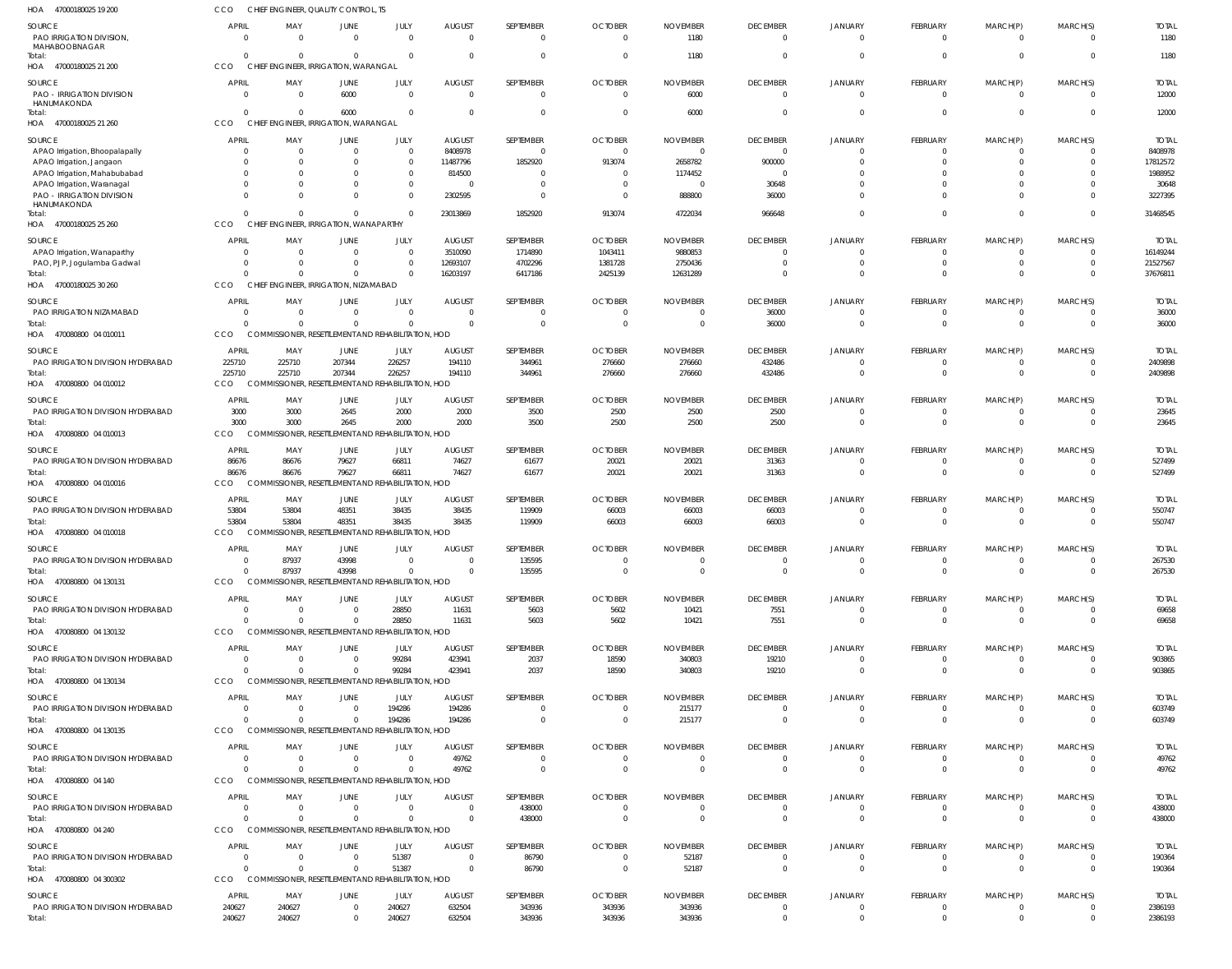| HOA<br>47000180025 19 200                                  | CCO                            |                                     | CHIEF ENGINEER, QUALITY CONTROL, TS                                  |                                           |                                 |                             |                                  |                             |                                   |                                  |                        |                      |                            |                         |
|------------------------------------------------------------|--------------------------------|-------------------------------------|----------------------------------------------------------------------|-------------------------------------------|---------------------------------|-----------------------------|----------------------------------|-----------------------------|-----------------------------------|----------------------------------|------------------------|----------------------|----------------------------|-------------------------|
| SOURCE<br>PAO IRRIGATION DIVISION,<br>MAHABOOBNAGAR        | <b>APRIL</b><br>- 0            | MAY<br>$\Omega$                     | JUNE<br>$\overline{0}$                                               | JULY<br>$\overline{0}$                    | <b>AUGUST</b><br>$\Omega$       | SEPTEMBER<br>$\mathbf 0$    | <b>OCTOBER</b><br>$\overline{0}$ | <b>NOVEMBER</b><br>1180     | <b>DECEMBER</b><br>$\mathbf 0$    | <b>JANUARY</b><br>$\overline{0}$ | FEBRUARY<br>$\Omega$   | MARCH(P)<br>$\Omega$ | MARCH(S)<br>$\overline{0}$ | <b>TOTAL</b><br>1180    |
| Total:<br>HOA 47000180025 21 200                           | $\Omega$<br>CCO                | $\cap$                              | $\Omega$<br>CHIEF ENGINEER, IRRIGATION, WARANGAL                     | $\Omega$                                  | $\Omega$                        | $\mathbf 0$                 | $\Omega$                         | 1180                        | $\overline{0}$                    | $\overline{0}$                   | $\Omega$               | $\Omega$             | $\Omega$                   | 1180                    |
| SOURCE<br><b>PAO - IRRIGATION DIVISION</b><br>HANUMAKONDA  | <b>APRIL</b><br>$\overline{0}$ | MAY<br>$\Omega$                     | JUNE<br>6000                                                         | JULY<br>$\overline{0}$                    | <b>AUGUST</b><br>$\overline{0}$ | SEPTEMBER<br>$\overline{0}$ | <b>OCTOBER</b><br>$\overline{0}$ | <b>NOVEMBER</b><br>6000     | <b>DECEMBER</b><br>$\overline{0}$ | <b>JANUARY</b><br>$\overline{0}$ | FEBRUARY<br>$\Omega$   | MARCH(P)<br>$\Omega$ | MARCH(S)<br>$\overline{0}$ | <b>TOTAL</b><br>12000   |
| Total:<br>HOA 47000180025 21 260                           | $\Omega$<br>CCO                | $\cap$                              | 6000<br>CHIEF ENGINEER, IRRIGATION, WARANGAL                         | $\Omega$                                  | $\Omega$                        | $\overline{0}$              | $\overline{0}$                   | 6000                        | $\overline{0}$                    | $\overline{0}$                   | $\Omega$               | $\Omega$             | $\overline{0}$             | 12000                   |
| SOURCE                                                     | <b>APRIL</b>                   | MAY                                 | JUNE                                                                 | JULY                                      | <b>AUGUST</b>                   | SEPTEMBER                   | <b>OCTOBER</b>                   | <b>NOVEMBER</b>             | <b>DECEMBER</b>                   | <b>JANUARY</b>                   | <b>FEBRUARY</b>        | MARCH(P)             | MARCH(S)                   | <b>TOTAL</b>            |
| APAO Irrigation, Bhoopalapally<br>APAO Irrigation, Jangaon | $\Omega$<br>0                  | $\Omega$                            | $\overline{0}$<br>$\mathbf{0}$                                       | $\mathbf 0$<br>$\mathbf 0$                | 8408978<br>11487796             | $\overline{0}$<br>1852920   | $\Omega$<br>913074               | $\Omega$<br>2658782         | $\overline{0}$<br>900000          | $\Omega$<br>$\Omega$             | $\Omega$<br>$\Omega$   | $\Omega$<br>$\Omega$ | $\Omega$<br>$\overline{0}$ | 8408978<br>17812572     |
| APAO Irrigation, Mahabubabad                               | 0                              |                                     | $\Omega$                                                             | $\Omega$                                  | 814500                          | $\overline{0}$              | $\Omega$                         | 1174452                     | 0                                 | $\Omega$                         | $\Omega$               | $\Omega$             | $\Omega$                   | 1988952                 |
| APAO Irrigation, Waranagal                                 | $\Omega$                       |                                     | $\Omega$                                                             | $\mathbf 0$                               | $\Omega$                        | $\overline{0}$              | $\Omega$                         | $\Omega$                    | 30648                             | $\Omega$                         | $\Omega$               | $\Omega$             | $\overline{0}$             | 30648                   |
| PAO - IRRIGATION DIVISION<br>HANUMAKONDA                   | $\Omega$                       |                                     | $\Omega$                                                             | $\mathbf 0$                               | 2302595                         | $\Omega$                    | $\Omega$                         | 888800                      | 36000                             | $\Omega$                         | $\Omega$               | $\Omega$             | $\Omega$                   | 3227395                 |
| Total:<br>HOA 47000180025 25 260                           | $\Omega$<br>CCO                |                                     | $\Omega$<br>CHIEF ENGINEER, IRRIGATION, WANAPARTHY                   | $\Omega$                                  | 23013869                        | 1852920                     | 913074                           | 4722034                     | 966648                            | $\overline{0}$                   | $\Omega$               | $\Omega$             | $\overline{0}$             | 31468545                |
| SOURCE                                                     | <b>APRIL</b>                   | MAY                                 | <b>JUNE</b>                                                          | JULY                                      | <b>AUGUST</b>                   | SEPTEMBER                   | <b>OCTOBER</b>                   | <b>NOVEMBER</b>             | <b>DECEMBER</b>                   | <b>JANUARY</b>                   | FEBRUARY               | MARCH(P)             | MARCH(S)                   | <b>TOTAL</b>            |
| APAO Irrigation, Wanaparthy                                | 0                              | - 0                                 | $\mathbf 0$                                                          | $\overline{0}$                            | 3510090                         | 1714890                     | 1043411                          | 9880853                     | $\overline{0}$                    | $\overline{0}$                   | $\Omega$               | $\Omega$             | $\overline{0}$             | 16149244                |
| PAO, PJP, Jogulamba Gadwal                                 | 0                              |                                     | $\Omega$                                                             | $\mathbf 0$                               | 12693107                        | 4702296                     | 1381728                          | 2750436                     | $\overline{0}$                    | $\overline{0}$                   | $\Omega$               | $\overline{0}$       | $\overline{0}$             | 21527567                |
| Total:<br>HOA 47000180025 30 260                           | $\Omega$<br><b>CCO</b>         |                                     | $\Omega$<br>CHIEF ENGINEER, IRRIGATION, NIZAMABAD                    | $\Omega$                                  | 16203197                        | 6417186                     | 2425139                          | 12631289                    | $\overline{0}$                    | $\overline{0}$                   | $\Omega$               | $\Omega$             | $\overline{0}$             | 37676811                |
|                                                            |                                |                                     |                                                                      |                                           |                                 |                             |                                  |                             |                                   |                                  |                        |                      |                            |                         |
| SOURCE<br>PAO IRRIGATION NIZAMABAD                         | <b>APRIL</b><br>- 0            | MAY<br>$\Omega$                     | <b>JUNE</b><br>$\mathbf{0}$                                          | JULY<br>$\mathbf 0$                       | <b>AUGUST</b><br>$\Omega$       | SEPTEMBER<br>$\mathbf{0}$   | <b>OCTOBER</b><br>$\Omega$       | <b>NOVEMBER</b><br>$\Omega$ | <b>DECEMBER</b><br>36000          | <b>JANUARY</b><br>$\overline{0}$ | FEBRUARY<br>$\Omega$   | MARCH(P)<br>- 0      | MARCH(S)<br>$\overline{0}$ | <b>TOTAL</b><br>36000   |
| Total:                                                     | $\Omega$                       | $\Omega$                            | $\overline{0}$                                                       | $\mathbf 0$                               | $\Omega$                        | $\overline{0}$              | $\Omega$                         | $\overline{0}$              | 36000                             | $\Omega$                         | $\overline{0}$         | $\overline{0}$       | $\overline{0}$             | 36000                   |
| HOA 470080800 04 010011                                    | CCO                            |                                     | COMMISSIONER, RESETTLEMENT AND REHABILITATION, HOD                   |                                           |                                 |                             |                                  |                             |                                   |                                  |                        |                      |                            |                         |
| SOURCE                                                     | APRIL                          | MAY                                 | JUNE                                                                 | JULY                                      | <b>AUGUST</b>                   | SEPTEMBER                   | <b>OCTOBER</b>                   | <b>NOVEMBER</b>             | <b>DECEMBER</b>                   | <b>JANUARY</b>                   | <b>FEBRUARY</b>        | MARCH(P)             | MARCH(S)                   | <b>TOTAL</b>            |
| PAO IRRIGATION DIVISION HYDERABAD                          | 225710                         | 225710                              | 207344                                                               | 226257                                    | 194110                          | 344961                      | 276660                           | 276660                      | 432486                            | $\mathbf{0}$                     | $\Omega$               | $\Omega$             | $\overline{0}$             | 2409898                 |
| Total:<br>HOA 470080800 04 010012                          | 225710<br><b>CCO</b>           | 225710<br><b>COMMISSIONER, RESE</b> | 207344                                                               | 226257<br>TLEMENT AND REHABILITATION, HOD | 194110                          | 344961                      | 276660                           | 276660                      | 432486                            | $\overline{0}$                   | $\Omega$               | $\overline{0}$       | $\overline{0}$             | 2409898                 |
| SOURCE                                                     | <b>APRIL</b>                   | MAY                                 | JUNE                                                                 | JULY                                      | <b>AUGUST</b>                   | SEPTEMBER                   | <b>OCTOBER</b>                   | <b>NOVEMBER</b>             | <b>DECEMBER</b>                   | <b>JANUARY</b>                   | FEBRUARY               | MARCH(P)             | MARCH(S)                   | <b>TOTAL</b>            |
| PAO IRRIGATION DIVISION HYDERABAD                          | 3000                           | 3000                                | 2645                                                                 | 2000                                      | 2000                            | 3500                        | 2500                             | 2500                        | 2500                              | $\overline{0}$                   | $\Omega$<br>$\Omega$   | $\Omega$<br>$\Omega$ | $\overline{0}$             | 23645                   |
| Total:<br>HOA 470080800 04 010013                          | 3000<br>CCO                    | 3000<br>COM                         | 2645<br>SIONER, RESETTLEMENT AND REHABILITATION, HOD                 | 2000                                      | 2000                            | 3500                        | 2500                             | 2500                        | 2500                              | $\Omega$                         |                        |                      | $\overline{0}$             | 23645                   |
| SOURCE                                                     | <b>APRIL</b>                   | MAY                                 | JUNE                                                                 | JULY                                      | <b>AUGUST</b>                   | SEPTEMBER                   | <b>OCTOBER</b>                   | <b>NOVEMBER</b>             | <b>DECEMBER</b>                   | <b>JANUARY</b>                   | FEBRUARY               | MARCH(P)             | MARCH(S)                   | <b>TOTAL</b>            |
| PAO IRRIGATION DIVISION HYDERABAD                          | 86676                          | 86676                               | 79627                                                                | 66811                                     | 74627                           | 61677                       | 20021                            | 20021                       | 31363                             | $\overline{0}$                   | $\Omega$               | $\Omega$             | $\overline{0}$             | 527499                  |
| Total:<br>HOA 470080800 04 010016                          | 86676<br>CCO                   | 86676<br><b>COMMISSIONER, RESET</b> | 79627                                                                | 66811<br>TLEMENT AND REHABILITATION, HOD  | 74627                           | 61677                       | 20021                            | 20021                       | 31363                             | $\overline{0}$                   | $\Omega$               | $\Omega$             | $\overline{0}$             | 527499                  |
|                                                            |                                |                                     |                                                                      |                                           |                                 |                             |                                  |                             |                                   |                                  |                        |                      |                            |                         |
| SOURCE<br>PAO IRRIGATION DIVISION HYDERABAD                | <b>APRIL</b><br>53804          | MAY<br>53804                        | JUNE<br>48351                                                        | JULY<br>38435                             | <b>AUGUST</b><br>38435          | SEPTEMBER<br>119909         | <b>OCTOBER</b><br>66003          | <b>NOVEMBER</b><br>66003    | <b>DECEMBER</b><br>66003          | <b>JANUARY</b><br>$\mathbf{0}$   | <b>FEBRUARY</b><br>- 0 | MARCH(P)<br>- 0      | MARCH(S)<br>$\overline{0}$ | <b>TOTAL</b><br>550747  |
| Total:                                                     | 53804                          | 53804                               | 48351                                                                | 38435                                     | 38435                           | 119909                      | 66003                            | 66003                       | 66003                             | $\overline{0}$                   | $\overline{0}$         | $\Omega$             | $\overline{0}$             | 550747                  |
| HOA 470080800 04 010018                                    | CCO                            |                                     | COMMISSIONER, RESETTLEMENT AND REHABILITATION, HOD                   |                                           |                                 |                             |                                  |                             |                                   |                                  |                        |                      |                            |                         |
| SOURCE                                                     | <b>APRIL</b>                   | MAY                                 | <b>JUNE</b>                                                          | JULY                                      | <b>AUGUST</b>                   | SEPTEMBER                   | <b>OCTOBER</b>                   | <b>NOVEMBER</b>             | <b>DECEMBER</b>                   | <b>JANUARY</b>                   | <b>FEBRUARY</b>        | MARCH(P)             | MARCH(S)                   | <b>TOTAL</b>            |
| PAO IRRIGATION DIVISION HYDERABAD                          | 0                              | 87937                               | 43998                                                                | $\Omega$                                  | $\Omega$                        | 135595                      | 0                                | 0                           | 0                                 | -0                               | $\Omega$               |                      | - 0                        | 267530                  |
| Total:<br>HOA 470080800 04 130131                          | $\Omega$<br>CCO                | 87937                               | 43998<br>COMMISSIONER, RESETTLEMENT AND REHABILITATION, HOD          | $\Omega$                                  | $\Omega$                        | 135595                      | $\overline{0}$                   | $\overline{0}$              | $\mathbf 0$                       | $\overline{0}$                   | $\Omega$               | $\Omega$             | $\overline{0}$             | 267530                  |
|                                                            |                                |                                     |                                                                      |                                           |                                 |                             |                                  |                             |                                   |                                  |                        |                      |                            |                         |
| SOURCE<br>PAO IRRIGATION DIVISION HYDERABAD                | <b>APRIL</b><br>- 0            | MAY<br>$\Omega$                     | <b>JUNE</b><br>$\overline{0}$                                        | JULY<br>28850                             | <b>AUGUST</b><br>11631          | SEPTEMBER<br>5603           | <b>OCTOBER</b><br>5602           | <b>NOVEMBER</b><br>10421    | <b>DECEMBER</b><br>7551           | <b>JANUARY</b><br>$\overline{0}$ | FEBRUARY<br>$\Omega$   | MARCH(P)<br>$\Omega$ | MARCH(S)<br>$\overline{0}$ | <b>TOTAL</b><br>69658   |
| Total:                                                     | $\Omega$                       |                                     | $\mathbf{0}$                                                         | 28850                                     | 11631                           | 5603                        | 5602                             | 10421                       | 7551                              | $\overline{0}$                   | $\Omega$               | $\Omega$             | $\overline{0}$             | 69658                   |
| HOA 470080800 04 130132                                    | CCO                            |                                     | COMMISSIONER, RESETTLEMENT AND REHABILITATION, HOD                   |                                           |                                 |                             |                                  |                             |                                   |                                  |                        |                      |                            |                         |
| SOURCE                                                     | <b>APRIL</b>                   | MAY                                 | <b>JUNE</b>                                                          | JULY                                      | <b>AUGUST</b>                   | SEPTEMBER                   | <b>OCTOBER</b>                   | <b>NOVEMBER</b>             | <b>DECEMBER</b>                   | <b>JANUARY</b>                   | FEBRUARY               | MARCH(P)             | MARCH(S)                   | <b>TOTAL</b>            |
| PAO IRRIGATION DIVISION HYDERABAD                          | $\overline{0}$                 | $\Omega$                            | $\overline{0}$                                                       | 99284                                     | 423941                          | 2037                        | 18590                            | 340803                      | 19210                             | $\overline{0}$                   | $\Omega$               | $\Omega$             | $\overline{0}$             | 903865                  |
| Total:<br>HOA 470080800 04 130134                          | $\Omega$<br>CCO                |                                     | $\overline{0}$<br>COMMISSIONER. RESETTLEMENT AND REHABILITATION. HOD | 99284                                     | 423941                          | 2037                        | 18590                            | 340803                      | 19210                             | $\overline{0}$                   | $\Omega$               | $\overline{0}$       | $\overline{0}$             | 903865                  |
|                                                            |                                |                                     |                                                                      |                                           |                                 |                             |                                  |                             |                                   |                                  |                        |                      |                            |                         |
| SOURCE<br>PAO IRRIGATION DIVISION HYDERABAD                | <b>APRIL</b><br>- 0            | MAY<br>$\Omega$                     | <b>JUNE</b><br>$\overline{0}$                                        | JULY<br>194286                            | <b>AUGUST</b><br>194286         | SEPTEMBER<br>$\overline{0}$ | <b>OCTOBER</b><br>$\overline{0}$ | <b>NOVEMBER</b><br>215177   | <b>DECEMBER</b><br>$\overline{0}$ | <b>JANUARY</b><br>$\overline{0}$ | FEBRUARY<br>$\Omega$   | MARCH(P)<br>- 0      | MARCH(S)<br>$\overline{0}$ | <b>TOTAL</b><br>603749  |
| Total:                                                     | $\Omega$                       | $\Omega$                            | $\overline{0}$                                                       | 194286                                    | 194286                          | $\mathbf 0$                 | $\overline{0}$                   | 215177                      | $\mathbf 0$                       | $\overline{0}$                   | $\overline{0}$         | $\overline{0}$       | $\overline{0}$             | 603749                  |
| HOA 470080800 04 130135                                    | CCO                            |                                     | COMMISSIONER, RESETTLEMENT AND REHABILITATION, HOD                   |                                           |                                 |                             |                                  |                             |                                   |                                  |                        |                      |                            |                         |
| SOURCE                                                     | <b>APRIL</b>                   | MAY                                 | <b>JUNE</b>                                                          | JULY                                      | <b>AUGUST</b>                   | SEPTEMBER                   | <b>OCTOBER</b>                   | <b>NOVEMBER</b>             | <b>DECEMBER</b>                   | <b>JANUARY</b>                   | FEBRUARY               | MARCH(P)             | MARCH(S)                   | <b>TOTAL</b>            |
| PAO IRRIGATION DIVISION HYDERABAD                          | - 0                            | $\Omega$                            | $\overline{0}$                                                       | $\overline{0}$                            | 49762                           | $\mathbf 0$                 | $\overline{0}$                   | $\overline{0}$              | $\overline{0}$                    | $\overline{0}$                   | $\Omega$               | $\Omega$             | $\overline{0}$             | 49762                   |
| Total:<br>HOA 470080800 04 140                             | $\Omega$<br>CCO                | $\Omega$                            | $\mathbf{0}$<br>COMMISSIONER, RESETTLEMENT AND REHABILITATION, HOD   | $\mathbf 0$                               | 49762                           | $\mathbf 0$                 | $\overline{0}$                   | $\overline{0}$              | $\overline{0}$                    | $\overline{0}$                   | $\overline{0}$         | $\overline{0}$       | $\overline{0}$             | 49762                   |
| SOURCE                                                     | <b>APRIL</b>                   | MAY                                 | JUNE                                                                 | JULY                                      | <b>AUGUST</b>                   | SEPTEMBER                   | <b>OCTOBER</b>                   | <b>NOVEMBER</b>             | <b>DECEMBER</b>                   | <b>JANUARY</b>                   | FEBRUARY               | MARCH(P)             | MARCH(S)                   | <b>TOTAL</b>            |
| PAO IRRIGATION DIVISION HYDERABAD                          | - 0                            | $\Omega$                            | $\overline{0}$                                                       | $\overline{0}$                            | $\Omega$                        | 438000                      | $\overline{0}$                   | $\Omega$                    | 0                                 | $\overline{0}$                   | $\overline{0}$         | $\Omega$             | $\overline{0}$             | 438000                  |
| Total:<br>HOA 470080800 04 240                             | $\Omega$<br>CCO                | $\Omega$                            | $\Omega$<br>COMMISSIONER, RESETTLEMENT AND REHABILITATION, HOD       | $\overline{0}$                            | $\overline{0}$                  | 438000                      | $\Omega$                         | $\Omega$                    | $\mathbf 0$                       | $\overline{0}$                   | $\Omega$               | $\Omega$             | $\overline{0}$             | 438000                  |
| SOURCE                                                     | <b>APRIL</b>                   | MAY                                 | <b>JUNE</b>                                                          | JULY                                      | <b>AUGUST</b>                   | SEPTEMBER                   | <b>OCTOBER</b>                   | <b>NOVEMBER</b>             | <b>DECEMBER</b>                   | <b>JANUARY</b>                   | FEBRUARY               | MARCH(P)             | MARCH(S)                   | <b>TOTAL</b>            |
| PAO IRRIGATION DIVISION HYDERABAD                          | 0                              |                                     | $\overline{0}$                                                       | 51387                                     | $\overline{0}$                  | 86790                       | $\overline{0}$                   | 52187                       | $\overline{0}$                    | $\overline{0}$                   | $\Omega$               | $\overline{0}$       | $\overline{0}$             | 190364                  |
| Total:<br>HOA 470080800 04 300302                          | $\Omega$<br>CCO                |                                     | $\overline{0}$<br>COMMISSIONER, RESETTLEMENT AND REHABILITATION, HOD | 51387                                     | $\overline{0}$                  | 86790                       | $\overline{0}$                   | 52187                       | $\overline{0}$                    | $\overline{0}$                   | $\Omega$               | $\overline{0}$       | $\overline{0}$             | 190364                  |
|                                                            |                                |                                     |                                                                      |                                           |                                 |                             |                                  |                             |                                   |                                  |                        |                      |                            |                         |
| SOURCE<br>PAO IRRIGATION DIVISION HYDERABAD                | <b>APRIL</b><br>240627         | MAY<br>240627                       | JUNE<br>$\overline{0}$                                               | JULY<br>240627                            | <b>AUGUST</b><br>632504         | SEPTEMBER<br>343936         | <b>OCTOBER</b><br>343936         | <b>NOVEMBER</b><br>343936   | <b>DECEMBER</b><br>0              | <b>JANUARY</b><br>$^{\circ}$     | <b>FEBRUARY</b><br>- 0 | MARCH(P)<br>- 0      | MARCH(S)<br>$^{\circ}$     | <b>TOTAL</b><br>2386193 |
| Total:                                                     | 240627                         | 240627                              | $\overline{0}$                                                       | 240627                                    | 632504                          | 343936                      | 343936                           | 343936                      | $\mathbf 0$                       | $\overline{0}$                   | $\overline{0}$         | $\overline{0}$       | $\overline{0}$             | 2386193                 |
|                                                            |                                |                                     |                                                                      |                                           |                                 |                             |                                  |                             |                                   |                                  |                        |                      |                            |                         |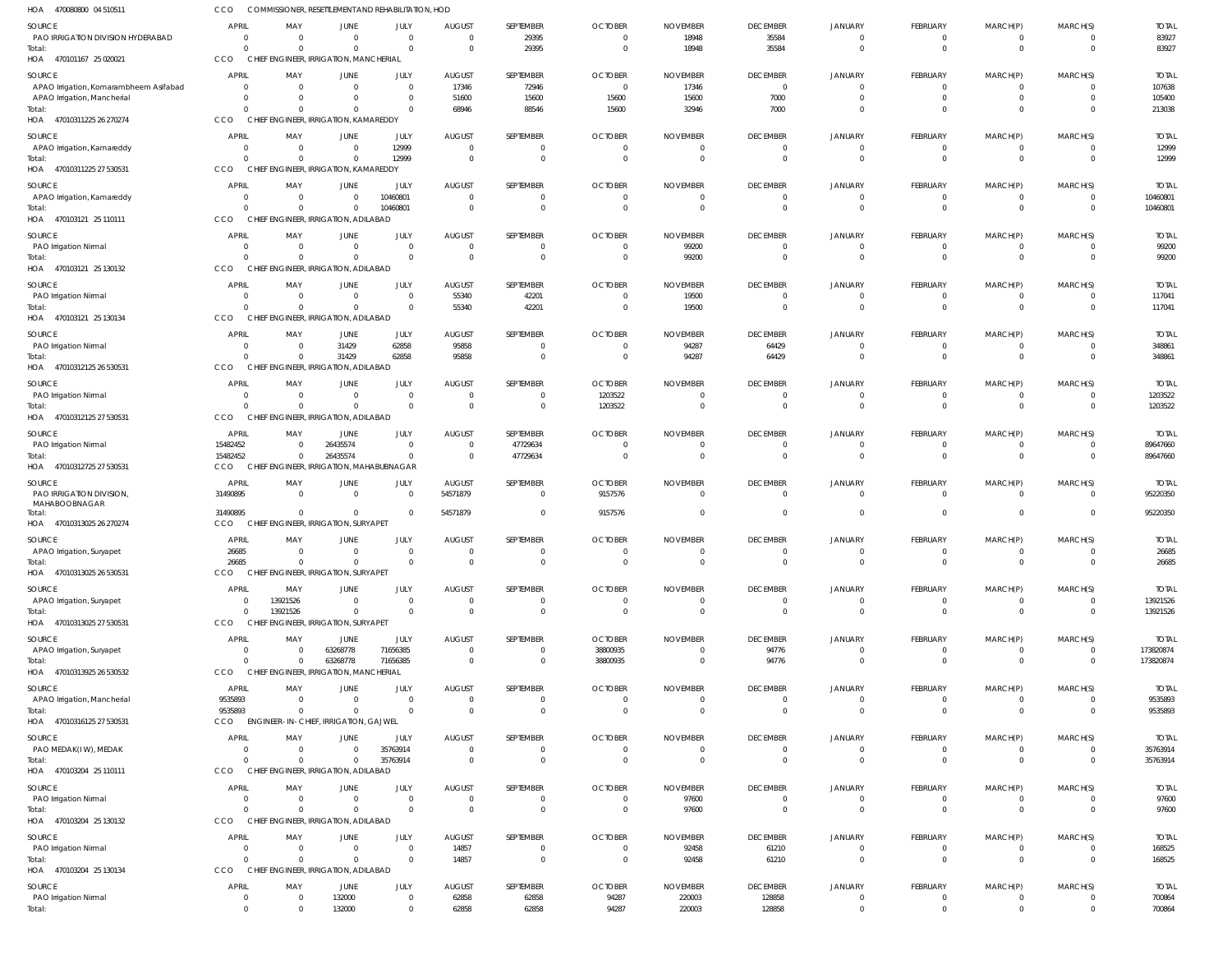| HOA 470080800 04 510511                     | CCO                      |                                              | COMMISSIONER, RESETTLEMENT AND REHABILITATION, HOD |                            |                                  |                              |                                |                                  |                                   |                                  |                                |                            |                                  |                          |
|---------------------------------------------|--------------------------|----------------------------------------------|----------------------------------------------------|----------------------------|----------------------------------|------------------------------|--------------------------------|----------------------------------|-----------------------------------|----------------------------------|--------------------------------|----------------------------|----------------------------------|--------------------------|
| SOURCE<br>PAO IRRIGATION DIVISION HYDERABAD | <b>APRIL</b><br>$\Omega$ | MAY<br>$\overline{0}$                        | JUNE<br>$\overline{0}$                             | JULY<br>$\overline{0}$     | <b>AUGUST</b><br>$\mathbf{0}$    | SEPTEMBER<br>29395           | <b>OCTOBER</b><br>$\mathbf{0}$ | <b>NOVEMBER</b><br>18948         | <b>DECEMBER</b><br>35584          | <b>JANUARY</b><br>$\overline{0}$ | <b>FEBRUARY</b><br>$\mathbf 0$ | MARCH(P)<br>$\mathbf 0$    | MARCH(S)<br>$\overline{0}$       | <b>TOTAL</b><br>83927    |
| Total:<br>HOA 470101167 25 020021           | <b>CCO</b>               | $\Omega$<br>$\Omega$                         | $\Omega$<br>CHIEF ENGINEER, IRRIGATION, MANCHERIAL | $\Omega$                   | $\mathbf{0}$                     | 29395                        | $\overline{0}$                 | 18948                            | 35584                             | $\overline{0}$                   | $\overline{0}$                 | $\mathbf 0$                | $\overline{0}$                   | 83927                    |
| SOURCE                                      | <b>APRIL</b>             | MAY                                          | JUNE                                               | JULY                       | <b>AUGUST</b>                    | SEPTEMBER                    | <b>OCTOBER</b>                 | <b>NOVEMBER</b>                  | <b>DECEMBER</b>                   | JANUARY                          | <b>FEBRUARY</b>                | MARCH(P)                   | MARCH(S)                         | <b>TOTAL</b>             |
| APAO Irrigation, Komarambheem Asifabad      | $\Omega$                 | $\overline{0}$                               | $\Omega$                                           | $\Omega$                   | 17346                            | 72946                        | $\mathbf{0}$                   | 17346                            | $\overline{0}$                    | $\Omega$                         | $\Omega$                       | 0                          | $\Omega$                         | 107638                   |
| APAO Irrigation, Mancherial                 | $\Omega$                 | $\overline{0}$                               | $\Omega$                                           | $\Omega$                   | 51600                            | 15600                        | 15600                          | 15600                            | 7000                              | $\overline{0}$                   | $\mathbf 0$                    | $\mathbf 0$                | $\overline{0}$                   | 105400                   |
| Total:<br>HOA 47010311225 26 270274         | CCO                      | $\Omega$<br>$\Omega$                         | $\Omega$<br>CHIEF ENGINEER, IRRIGATION, KAMAREDDY  | $\Omega$                   | 68946                            | 88546                        | 15600                          | 32946                            | 7000                              | $\Omega$                         | $\Omega$                       | $\mathbf 0$                | $\overline{0}$                   | 213038                   |
| SOURCE                                      | <b>APRIL</b>             | MAY                                          | JUNE                                               | JULY                       | <b>AUGUST</b>                    | SEPTEMBER                    | <b>OCTOBER</b>                 | <b>NOVEMBER</b>                  | <b>DECEMBER</b>                   | <b>JANUARY</b>                   | FEBRUARY                       | MARCH(P)                   | MARCH(S)                         | <b>TOTAL</b>             |
| APAO Irrigation, Kamareddy<br>Total:        | $\Omega$                 | $\overline{0}$<br>$\overline{0}$<br>$\Omega$ | $\overline{0}$<br>$\Omega$                         | 12999<br>12999             | $\overline{0}$<br>$\overline{0}$ | $^{\circ}$<br>$\overline{0}$ | $\mathbf{0}$<br>$\overline{0}$ | $\overline{0}$<br>$\overline{0}$ | $\overline{0}$<br>$\overline{0}$  | $\overline{0}$<br>$\overline{0}$ | $\mathbf 0$<br>$\overline{0}$  | 0<br>$\mathbf 0$           | $\overline{0}$<br>$\overline{0}$ | 12999<br>12999           |
| HOA 47010311225 27 530531                   | CCO                      |                                              | CHIEF ENGINEER, IRRIGATION, KAMAREDDY              |                            |                                  |                              |                                |                                  |                                   |                                  |                                |                            |                                  |                          |
| SOURCE<br>APAO Irrigation, Kamareddy        | <b>APRIL</b>             | MAY<br>$\overline{0}$<br>$\Omega$            | JUNE<br>$\overline{0}$                             | JULY<br>10460801           | <b>AUGUST</b><br>$\mathbf{0}$    | SEPTEMBER<br>0               | <b>OCTOBER</b><br>$\mathbf{0}$ | <b>NOVEMBER</b><br>$\mathbf{0}$  | <b>DECEMBER</b><br>$\overline{0}$ | JANUARY<br>$\overline{0}$        | <b>FEBRUARY</b><br>$\mathbf 0$ | MARCH(P)<br>$\mathbf 0$    | MARCH(S)<br>$\overline{0}$       | <b>TOTAL</b><br>10460801 |
| Total:                                      |                          | $\Omega$<br>$\Omega$                         | $\Omega$                                           | 10460801                   | $\Omega$                         | $\Omega$                     | $\Omega$                       | $\Omega$                         | $\overline{0}$                    | $\Omega$                         | $\Omega$                       | $\mathbf 0$                | $\overline{0}$                   | 10460801                 |
| HOA 470103121 25 110111                     | CCO                      |                                              | CHIEF ENGINEER, IRRIGATION, ADILABAD               |                            |                                  |                              |                                |                                  |                                   |                                  |                                |                            |                                  |                          |
| SOURCE                                      | <b>APRIL</b>             | MAY                                          | JUNE                                               | JULY                       | <b>AUGUST</b>                    | SEPTEMBER                    | <b>OCTOBER</b>                 | <b>NOVEMBER</b>                  | <b>DECEMBER</b>                   | <b>JANUARY</b>                   | <b>FEBRUARY</b>                | MARCH(P)                   | MARCH(S)                         | <b>TOTAL</b>             |
| PAO Irrigation Nirmal                       | $\Omega$                 | $\overline{0}$                               | $\overline{0}$                                     | - 0                        | $\overline{0}$                   | $^{\circ}$                   | $\mathbf{0}$                   | 99200                            | $\overline{0}$                    | $\overline{0}$                   | $\mathbf 0$                    | $\mathbf 0$                | $\overline{0}$                   | 99200                    |
| Total:                                      |                          | $\Omega$<br>$\Omega$                         | $\Omega$                                           | $\overline{0}$             | $\Omega$                         | $\mathbf{0}$                 | $\overline{0}$                 | 99200                            | $\overline{0}$                    | $\overline{0}$                   | $\mathbf 0$                    | $\mathbf 0$                | $\overline{0}$                   | 99200                    |
| HOA 470103121 25 130132                     | CCO                      |                                              | CHIEF ENGINEER, IRRIGATION, ADILABAD               |                            |                                  |                              |                                |                                  |                                   |                                  |                                |                            |                                  |                          |
| SOURCE                                      | <b>APRIL</b>             | MAY                                          | JUNE                                               | JULY                       | <b>AUGUST</b>                    | SEPTEMBER                    | <b>OCTOBER</b>                 | <b>NOVEMBER</b>                  | <b>DECEMBER</b>                   | JANUARY                          | <b>FEBRUARY</b>                | MARCH(P)                   | MARCH(S)                         | <b>TOTAL</b>             |
| PAO Irrigation Nirmal                       | $\Omega$                 | $\overline{0}$                               | $\Omega$                                           | $\Omega$                   | 55340                            | 42201                        | $\Omega$                       | 19500                            | $\overline{0}$                    | $\Omega$                         | 0                              | 0                          | $\overline{0}$                   | 117041                   |
| Total:                                      |                          | $\Omega$<br>$\mathbf{0}$                     | $\Omega$                                           | $\Omega$                   | 55340                            | 42201                        | $\overline{0}$                 | 19500                            | $\overline{0}$                    | $\Omega$                         | $\mathbf 0$                    | $\overline{0}$             | $\overline{0}$                   | 117041                   |
| HOA 470103121 25 130134                     | CCO                      |                                              | CHIEF ENGINEER, IRRIGATION, ADILABAD               |                            |                                  |                              |                                |                                  |                                   |                                  |                                |                            |                                  |                          |
| SOURCE                                      | <b>APRIL</b>             | MAY                                          | JUNE                                               | JULY                       | <b>AUGUST</b>                    | SEPTEMBER                    | <b>OCTOBER</b>                 | <b>NOVEMBER</b>                  | <b>DECEMBER</b>                   | <b>JANUARY</b>                   | FEBRUARY                       | MARCH(P)                   | MARCH(S)                         | <b>TOTAL</b>             |
| PAO Irrigation Nirmal                       |                          | $\overline{0}$<br>$\Omega$                   | 31429                                              | 62858                      | 95858                            | 0                            | - 0                            | 94287                            | 64429                             | $\overline{0}$                   | $\mathbf 0$                    | 0                          | $\overline{0}$                   | 348861                   |
| Total:<br>HOA 47010312125 26 530531         | CCO                      | $\Omega$<br>$\Omega$                         | 31429<br>CHIEF ENGINEER, IRRIGATION, ADILABAD      | 62858                      | 95858                            | $\overline{0}$               | $\overline{0}$                 | 94287                            | 64429                             | $\overline{0}$                   | $\overline{0}$                 | $\mathbf 0$                | $\overline{0}$                   | 348861                   |
|                                             | <b>APRIL</b>             |                                              |                                                    |                            |                                  | SEPTEMBER                    | <b>OCTOBER</b>                 |                                  | <b>DECEMBER</b>                   |                                  |                                |                            | MARCH(S)                         |                          |
| SOURCE<br>PAO Irrigation Nirmal             | $\Omega$                 | MAY<br>$\overline{0}$                        | JUNE<br>$\Omega$                                   | JULY<br>$\Omega$           | <b>AUGUST</b><br>$\overline{0}$  | $^{\circ}$                   | 1203522                        | <b>NOVEMBER</b><br>$\Omega$      | $\overline{0}$                    | JANUARY<br>$\overline{0}$        | <b>FEBRUARY</b><br>$\mathbf 0$ | MARCH(P)<br>0              | $\overline{0}$                   | <b>TOTAL</b><br>1203522  |
| Total:                                      |                          | $\Omega$<br>$\Omega$                         | $\Omega$                                           | $\Omega$                   | $\Omega$                         | $\Omega$                     | 1203522                        | $\overline{0}$                   | $\Omega$                          | $\Omega$                         | $\overline{0}$                 | $\overline{0}$             | $\Omega$                         | 1203522                  |
| HOA 47010312125 27 530531                   | CCO                      |                                              | CHIEF ENGINEER, IRRIGATION, ADILABAD               |                            |                                  |                              |                                |                                  |                                   |                                  |                                |                            |                                  |                          |
| SOURCE                                      | APRIL                    | MAY                                          | JUNE                                               | JULY                       | <b>AUGUST</b>                    | SEPTEMBER                    | <b>OCTOBER</b>                 | <b>NOVEMBER</b>                  | <b>DECEMBER</b>                   | <b>JANUARY</b>                   | <b>FEBRUARY</b>                | MARCH(P)                   | MARCH(S)                         | <b>TOTAL</b>             |
| PAO Irrigation Nirmal                       | 15482452                 | $\overline{0}$                               | 26435574                                           | $\overline{0}$             | $\overline{0}$                   | 47729634                     | $\overline{0}$                 | $\overline{0}$                   | $\overline{0}$                    | $\overline{0}$                   | $\mathbf 0$                    | $\mathbf 0$                | $\overline{0}$                   | 89647660                 |
| Total:                                      | 15482452                 | $\overline{0}$                               | 26435574                                           | $\overline{0}$             | $\overline{0}$                   | 47729634                     | $\overline{0}$                 | $\overline{0}$                   | $\overline{0}$                    | $\Omega$                         | $\overline{0}$                 | $\mathbf 0$                | $\overline{0}$                   | 89647660                 |
| HOA 47010312725 27 530531                   | <b>CCO</b>               |                                              | CHIEF ENGINEER, IRRIGATION, MAHABUBNAGAR           |                            |                                  |                              |                                |                                  |                                   |                                  |                                |                            |                                  |                          |
| SOURCE                                      | <b>APRIL</b>             | MAY                                          | JUNE                                               | <b>JULY</b>                | <b>AUGUST</b>                    | SEPTEMBER                    | <b>OCTOBER</b>                 | <b>NOVEMBER</b>                  | <b>DECEMBER</b>                   | <b>JANUARY</b>                   | <b>FEBRUARY</b>                | MARCH(P)                   | MARCH(S)                         | <b>TOTAL</b>             |
| PAO IRRIGATION DIVISION,                    | 31490895                 | $\overline{0}$                               | $\Omega$                                           | $\Omega$                   | 54571879                         | $\overline{0}$               | 9157576                        | $\Omega$                         | $\overline{0}$                    | $\overline{0}$                   | $\mathbf 0$                    | $\mathbf 0$                | $\overline{0}$                   | 95220350                 |
| MAHABOOBNAGAR                               |                          | $\overline{0}$                               | $\Omega$                                           | $\Omega$                   |                                  |                              |                                |                                  |                                   |                                  |                                |                            |                                  |                          |
| Total:<br>HOA 47010313025 26 270274         | 31490895<br><b>CCO</b>   |                                              | CHIEF ENGINEER, IRRIGATION, SURYAPET               |                            | 54571879                         | $\mathbf 0$                  | 9157576                        | $\mathbf{0}$                     | $\overline{0}$                    | $\overline{0}$                   | $\mathbf 0$                    | $\mathbf 0$                | $\overline{0}$                   | 95220350                 |
|                                             |                          |                                              |                                                    |                            |                                  |                              |                                |                                  |                                   |                                  |                                |                            |                                  |                          |
| SOURCE                                      | <b>APRIL</b>             | MAY<br>$\Omega$                              | JUNE<br>$\Omega$                                   | JULY<br>$\Omega$           | <b>AUGUST</b><br>$\Omega$        | SEPTEMBER<br>$\Omega$        | <b>OCTOBER</b><br>$\Omega$     | <b>NOVEMBER</b><br>$\Omega$      | <b>DECEMBER</b><br>$\Omega$       | <b>JANUARY</b><br>$\Omega$       | <b>FEBRUARY</b><br>$\Omega$    | MARCH(P)<br>$\Omega$       | MARCH(S)<br>$\Omega$             | <b>TOTAL</b>             |
| APAO Irrigation, Suryapet<br>Total:         | 26685<br>26685           | $\Omega$                                     | $\Omega$                                           | $\Omega$                   | $\Omega$                         | $\mathbf{0}$                 | $\overline{0}$                 | $\overline{0}$                   | $\overline{0}$                    | $\overline{0}$                   | $\mathbf 0$                    | $\mathbf 0$                | $\overline{0}$                   | 26685<br>26685           |
| HOA 47010313025 26 530531                   | <b>CCO</b>               |                                              | CHIEF ENGINEER, IRRIGATION, SURYAPET               |                            |                                  |                              |                                |                                  |                                   |                                  |                                |                            |                                  |                          |
| SOURCE                                      | <b>APRIL</b>             | MAY                                          |                                                    | JULY                       |                                  | SEPTEMBER                    | <b>OCTOBER</b>                 | <b>NOVEMBER</b>                  | <b>DECEMBER</b>                   | JANUARY                          | <b>FEBRUARY</b>                | MARCH(P)                   | MARCH(S)                         | <b>TOTAL</b>             |
| APAO Irrigation, Suryapet                   | $\Omega$                 | 13921526                                     | JUNE<br>$\Omega$                                   | $\Omega$                   | <b>AUGUST</b><br>$\overline{0}$  | $\overline{0}$               | $\mathbf{0}$                   | $\overline{0}$                   | $\overline{0}$                    | $\overline{0}$                   | $\mathbf 0$                    | $\mathbf 0$                | $\overline{0}$                   | 13921526                 |
| Total:                                      |                          | 13921526<br>$\Omega$                         | $\mathbf{0}$                                       | $\Omega$                   | $\overline{0}$                   | $\mathbf{0}$                 | $\overline{0}$                 | $\Omega$                         | $\overline{0}$                    | $\overline{0}$                   | $\overline{0}$                 | $\mathbf 0$                | $\overline{0}$                   | 13921526                 |
| HOA 47010313025 27 530531                   | <b>CCO</b>               |                                              | CHIEF ENGINEER, IRRIGATION, SURYAPET               |                            |                                  |                              |                                |                                  |                                   |                                  |                                |                            |                                  |                          |
| SOURCE                                      | <b>APRIL</b>             | MAY                                          | JUNE                                               | JULY                       | <b>AUGUST</b>                    | SEPTEMBER                    | <b>OCTOBER</b>                 | <b>NOVEMBER</b>                  | <b>DECEMBER</b>                   | <b>JANUARY</b>                   | <b>FEBRUARY</b>                | MARCH(P)                   | MARCH(S)                         | <b>TOTAL</b>             |
| APAO Irrigation, Suryapet                   | $\Omega$                 | $\overline{0}$                               | 63268778                                           | 71656385                   | $\mathbf 0$                      | $\overline{0}$               | 38800935                       | $\overline{0}$                   | 94776                             | $\overline{0}$                   | $\mathbf 0$                    | $\mathbf 0$                | $\overline{0}$                   | 173820874                |
| Total:                                      |                          | $\Omega$<br>$\Omega$                         | 63268778                                           | 71656385                   | $\overline{0}$                   | $\mathbf 0$                  | 38800935                       | $\overline{0}$                   | 94776                             | $\overline{0}$                   | $\overline{0}$                 | $\mathbf 0$                | $\overline{0}$                   | 173820874                |
| HOA 47010313925 26 530532                   | <b>CCO</b>               |                                              | CHIEF ENGINEER, IRRIGATION, MANCHERIAL             |                            |                                  |                              |                                |                                  |                                   |                                  |                                |                            |                                  |                          |
| SOURCE                                      | <b>APRIL</b>             | MAY                                          | JUNE                                               | JULY                       | <b>AUGUST</b>                    | SEPTEMBER                    | <b>OCTOBER</b>                 | <b>NOVEMBER</b>                  | <b>DECEMBER</b>                   | <b>JANUARY</b>                   | <b>FEBRUARY</b>                | MARCH(P)                   | MARCH(S)                         | <b>TOTAL</b>             |
| APAO Irrigation, Mancherial                 | 9535893                  | $\Omega$                                     | $\Omega$                                           | $\Omega$                   | $\overline{0}$                   | $\Omega$                     | $\overline{0}$                 | $\Omega$                         | $\overline{0}$                    | $\overline{0}$                   | 0                              | 0                          | $\overline{0}$                   | 9535893                  |
| Total:                                      | 9535893                  | $\overline{0}$                               | $\Omega$                                           | $\Omega$                   | $\overline{0}$                   | $\mathbf 0$                  | $\overline{0}$                 | $\overline{0}$                   | $\overline{0}$                    | $\overline{0}$                   | $\mathbf 0$                    | $\mathbf 0$                | $\overline{0}$                   | 9535893                  |
| HOA 47010316125 27 530531                   | <b>CCO</b>               |                                              | ENGINEER-IN-CHIEF, IRRIGATION, GAJWEL              |                            |                                  |                              |                                |                                  |                                   |                                  |                                |                            |                                  |                          |
| SOURCE                                      | <b>APRIL</b>             | MAY                                          | JUNE                                               | JULY                       | <b>AUGUST</b>                    | SEPTEMBER                    | <b>OCTOBER</b>                 | <b>NOVEMBER</b>                  | <b>DECEMBER</b>                   | <b>JANUARY</b>                   | FEBRUARY                       | MARCH(P)                   | MARCH(S)                         | <b>TOTAL</b>             |
| PAO MEDAK(IW), MEDAK                        |                          | $\overline{0}$<br>$\Omega$                   | $\overline{0}$                                     | 35763914                   | $\overline{0}$                   | $^{\circ}$                   | $\overline{0}$                 | - 0                              | $\overline{0}$                    | $\mathbf 0$                      | $\mathbf 0$                    | 0                          | $\overline{0}$                   | 35763914                 |
| Total:                                      |                          | $\Omega$<br>$\Omega$                         | $\mathbf{0}$                                       | 35763914                   | $\overline{0}$                   | $\mathbf 0$                  | $\mathbf{0}$                   | $\overline{0}$                   | $\overline{0}$                    | $\overline{0}$                   | $\overline{0}$                 | $\mathbf 0$                | $\overline{0}$                   | 35763914                 |
| HOA 470103204 25 110111                     | <b>CCO</b>               |                                              | CHIEF ENGINEER, IRRIGATION, ADILABAD               |                            |                                  |                              |                                |                                  |                                   |                                  |                                |                            |                                  |                          |
| SOURCE                                      | <b>APRIL</b>             | MAY                                          | JUNE                                               | <b>JULY</b>                | <b>AUGUST</b>                    | SEPTEMBER                    | <b>OCTOBER</b>                 | <b>NOVEMBER</b>                  | <b>DECEMBER</b>                   | <b>JANUARY</b>                   | <b>FEBRUARY</b>                | MARCH(P)                   | MARCH(S)                         | <b>TOTAL</b>             |
| PAO Irrigation Nirmal                       | $\Omega$                 | $\overline{0}$                               | $\Omega$                                           | $\Omega$                   | $\mathbf{0}$                     | $\overline{0}$               | $\mathbf{0}$                   | 97600                            | $\overline{0}$                    | $\overline{0}$                   | $\mathbf 0$                    | $\mathbf 0$                | $\overline{0}$                   | 97600                    |
| Total:                                      | CCO                      | $\Omega$<br>$\Omega$                         | $\Omega$                                           | $\Omega$                   | $\Omega$                         | $\Omega$                     | $\overline{0}$                 | 97600                            | $\overline{0}$                    | $\overline{0}$                   | $\overline{0}$                 | $\overline{0}$             | $\Omega$                         | 97600                    |
| HOA 470103204 25 130132                     |                          |                                              | CHIEF ENGINEER, IRRIGATION, ADILABAD               |                            |                                  |                              |                                |                                  |                                   |                                  |                                |                            |                                  |                          |
| SOURCE                                      | <b>APRIL</b>             | MAY                                          | JUNE                                               | JULY                       | <b>AUGUST</b>                    | SEPTEMBER                    | <b>OCTOBER</b>                 | <b>NOVEMBER</b>                  | <b>DECEMBER</b>                   | <b>JANUARY</b>                   | <b>FEBRUARY</b>                | MARCH(P)                   | MARCH(S)                         | <b>TOTAL</b>             |
| PAO Irrigation Nirmal                       | $\Omega$                 | $\overline{0}$<br>$\Omega$<br>$\Omega$       | $\overline{0}$<br>$\Omega$                         | $\Omega$<br>$\overline{0}$ | 14857                            | $\overline{0}$               | $\mathbf{0}$                   | 92458                            | 61210                             | $\overline{0}$<br>$\overline{0}$ | $\mathbf 0$<br>$\overline{0}$  | $\mathbf 0$<br>$\mathbf 0$ | $\overline{0}$<br>$\overline{0}$ | 168525                   |
| Total:<br>HOA 470103204 25 130134           | <b>CCO</b>               |                                              | CHIEF ENGINEER, IRRIGATION, ADILABAD               |                            | 14857                            | $\overline{0}$               | $\overline{0}$                 | 92458                            | 61210                             |                                  |                                |                            |                                  | 168525                   |
| SOURCE                                      | <b>APRIL</b>             | MAY                                          | JUNE                                               | JULY                       | <b>AUGUST</b>                    | SEPTEMBER                    | <b>OCTOBER</b>                 | <b>NOVEMBER</b>                  | <b>DECEMBER</b>                   | <b>JANUARY</b>                   | <b>FEBRUARY</b>                | MARCH(P)                   | MARCH(S)                         | <b>TOTAL</b>             |
| PAO Irrigation Nirmal                       | $\overline{0}$           | $\overline{0}$                               | 132000                                             | $\overline{0}$             | 62858                            | 62858                        | 94287                          | 220003                           | 128858                            | $\overline{0}$                   | 0                              | 0                          | $\overline{0}$                   | 700864                   |
| Total:                                      |                          | $\overline{0}$<br>$\mathbf{0}$               | 132000                                             | $\overline{0}$             | 62858                            | 62858                        | 94287                          | 220003                           | 128858                            | $\overline{0}$                   | $\mathbf 0$                    | $\mathbf 0$                | $\overline{0}$                   | 700864                   |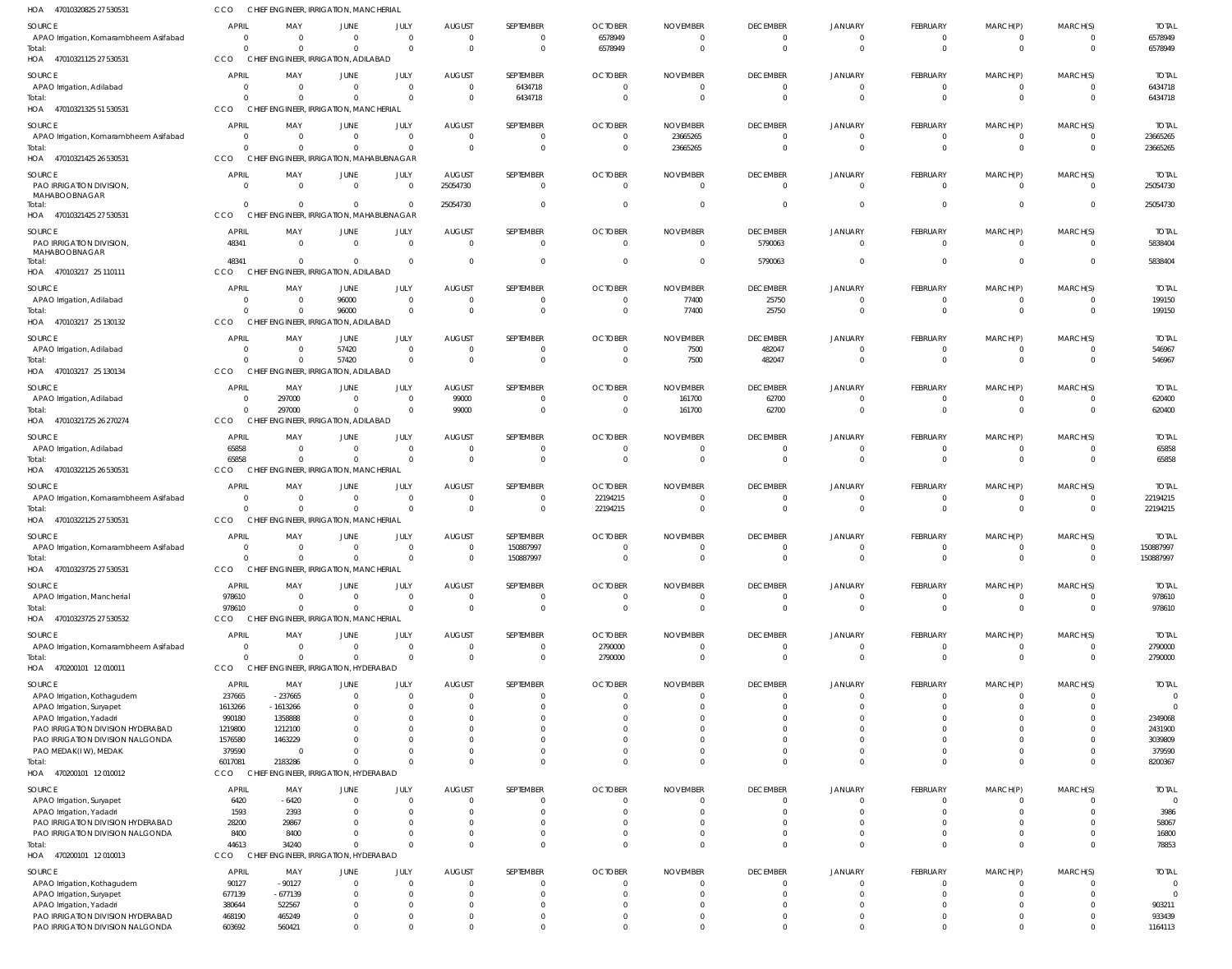| HOA 47010320825 27 530531                                     | CCO                            |                       | CHIEF ENGINEER, IRRIGATION, MANCHERIAL             |                             |                           |                            |                            |                             |                                   |                                  |                             |                               |                                  |                          |
|---------------------------------------------------------------|--------------------------------|-----------------------|----------------------------------------------------|-----------------------------|---------------------------|----------------------------|----------------------------|-----------------------------|-----------------------------------|----------------------------------|-----------------------------|-------------------------------|----------------------------------|--------------------------|
| SOURCE                                                        | APRIL                          | MAY                   | JUNE                                               | JULY                        | <b>AUGUST</b>             | SEPTEMBER                  | <b>OCTOBER</b>             | <b>NOVEMBER</b>             | <b>DECEMBER</b>                   | JANUARY                          | FEBRUARY                    | MARCH(P)                      | MARCH(S)                         | <b>TOTAL</b>             |
| APAO Irrigation, Komarambheem Asifabad                        | $\overline{0}$                 | $\Omega$              | $\overline{0}$                                     | $\mathbf{0}$                | $\overline{0}$            | $\mathbf 0$                | 6578949                    | $\Omega$                    | $\mathbf 0$                       | $\overline{0}$                   | $\mathbf 0$                 | $\mathbf 0$                   | $\overline{0}$                   | 6578949                  |
| Total:<br>HOA 47010321125 27 530531                           | $\Omega$<br>CCO                |                       | $\Omega$<br>CHIEF ENGINEER, IRRIGATION, ADILABAD   | $\mathbf 0$                 | $\Omega$                  | $\mathbf 0$                | 6578949                    | $\Omega$                    | $\overline{0}$                    | $\overline{0}$                   | $\mathbf{0}$                | $\mathbf 0$                   | $\overline{0}$                   | 6578949                  |
| SOURCE                                                        | <b>APRIL</b>                   | MAY                   | JUNE                                               | JULY                        | <b>AUGUST</b>             | SEPTEMBER                  | <b>OCTOBER</b>             | <b>NOVEMBER</b>             | <b>DECEMBER</b>                   | JANUARY                          | FEBRUARY                    | MARCH(P)                      | MARCH(S)                         | <b>TOTAL</b>             |
| APAO Irrigation, Adilabad                                     | - 0                            | $\Omega$              | $\overline{0}$                                     | $\Omega$                    | $\Omega$                  | 6434718                    | $\Omega$                   | $\Omega$                    | 0                                 | $\Omega$                         | $\Omega$                    | $\Omega$                      | $\Omega$                         | 6434718                  |
| Total:                                                        | $\Omega$                       | $\Omega$              | $\Omega$                                           | $\Omega$                    | $\Omega$                  | 6434718                    | $\Omega$                   | $\Omega$                    | $\mathbf{0}$                      | $\Omega$                         | $\overline{0}$              | $\mathbf 0$                   | $\overline{0}$                   | 6434718                  |
| HOA 47010321325 51 530531                                     | CCO                            |                       | CHIEF ENGINEER, IRRIGATION, MANCHERIAL             |                             |                           |                            |                            |                             |                                   |                                  |                             |                               |                                  |                          |
| SOURCE                                                        | <b>APRIL</b>                   | MAY                   | JUNE                                               | JULY                        | <b>AUGUST</b>             | SEPTEMBER                  | <b>OCTOBER</b>             | <b>NOVEMBER</b>             | <b>DECEMBER</b>                   | JANUARY                          | FEBRUARY                    | MARCH(P)                      | MARCH(S)                         | <b>TOTAL</b>             |
| APAO Irrigation, Komarambheem Asifabad<br>Total:              | - 0<br>$\Omega$                | $\Omega$<br>$\cap$    | $\overline{0}$<br>$\Omega$                         | $\mathbf{0}$<br>$\mathbf 0$ | $\Omega$<br>$\Omega$      | $\mathbf 0$<br>$\mathbf 0$ | $\Omega$<br>$\Omega$       | 23665265<br>23665265        | $\mathbf{0}$<br>$\mathbf 0$       | $\overline{0}$<br>$\Omega$       | $\mathbf 0$<br>$\mathbf{0}$ | 0<br>$\mathbf 0$              | $\overline{0}$<br>$\overline{0}$ | 23665265<br>23665265     |
| HOA 47010321425 26 530531                                     | CCO                            |                       | CHIEF ENGINEER, IRRIGATION, MAHABUBNAGAR           |                             |                           |                            |                            |                             |                                   |                                  |                             |                               |                                  |                          |
| SOURCE                                                        | <b>APRIL</b>                   | MAY                   | <b>JUNE</b>                                        | JULY                        | <b>AUGUST</b>             | SEPTEMBER                  | <b>OCTOBER</b>             | <b>NOVEMBER</b>             | <b>DECEMBER</b>                   | JANUARY                          | FEBRUARY                    | MARCH(P)                      | MARCH(S)                         | <b>TOTAL</b>             |
| PAO IRRIGATION DIVISION,                                      | $\Omega$                       | $\Omega$              | $\overline{0}$                                     | $\mathbf{0}$                | 25054730                  | $\mathbf{0}$               | $\Omega$                   | $\Omega$                    | $\mathbf 0$                       | $\overline{0}$                   | $\Omega$                    | $\mathbf{0}$                  | $\overline{0}$                   | 25054730                 |
| MAHABOOBNAGAR<br>Total:                                       | $\Omega$                       | $\Omega$              | $\Omega$                                           | $\Omega$                    | 25054730                  | $\Omega$                   | $\Omega$                   | $\Omega$                    | $\mathbf 0$                       | $\Omega$                         | $\Omega$                    | $\mathbf 0$                   | $\overline{0}$                   | 25054730                 |
| HOA 47010321425 27 530531                                     | <b>CCO</b>                     |                       | CHIEF ENGINEER, IRRIGATION, MAHABUBNAGAR           |                             |                           |                            |                            |                             |                                   |                                  |                             |                               |                                  |                          |
| SOURCE                                                        | <b>APRIL</b>                   | MAY                   | JUNE                                               | JULY                        | <b>AUGUST</b>             | SEPTEMBER                  | <b>OCTOBER</b>             | <b>NOVEMBER</b>             | <b>DECEMBER</b>                   | JANUARY                          | FEBRUARY                    | MARCH(P)                      | MARCH(S)                         | <b>TOTAL</b>             |
| PAO IRRIGATION DIVISION,<br>MAHABOOBNAGAR                     | 48341                          | $\Omega$              | $\overline{0}$                                     | $\mathbf{0}$                | $\Omega$                  | $\mathbf{0}$               | $\overline{0}$             | $\Omega$                    | 5790063                           | $\overline{0}$                   | $\overline{0}$              | $\mathbf 0$                   | $\overline{0}$                   | 5838404                  |
| Total:                                                        | 48341                          | $\Omega$              | $\overline{0}$                                     | $\mathbf{0}$                | $\Omega$                  | $\mathbf 0$                | $\Omega$                   | $\Omega$                    | 5790063                           | $\overline{0}$                   | $\overline{0}$              | $\mathbf 0$                   | $\Omega$                         | 5838404                  |
| HOA 470103217 25 110111                                       | CCO                            |                       | CHIEF ENGINEER, IRRIGATION, ADILABAD               |                             |                           |                            |                            |                             |                                   |                                  |                             |                               |                                  |                          |
| SOURCE                                                        | <b>APRIL</b>                   | MAY                   | JUNE                                               | JULY                        | <b>AUGUST</b>             | SEPTEMBER                  | <b>OCTOBER</b>             | <b>NOVEMBER</b>             | <b>DECEMBER</b>                   | JANUARY                          | FEBRUARY                    | MARCH(P)                      | MARCH(S)                         | <b>TOTAL</b>             |
| APAO Irrigation, Adilabad                                     | - 0                            | $\Omega$              | 96000                                              | $\Omega$                    | $\Omega$                  | $^{\circ}$                 | - 0                        | 77400                       | 25750                             | $\Omega$                         | $\Omega$                    | 0                             | $\overline{0}$                   | 199150                   |
| Total:<br>HOA 470103217 25 130132                             | $\Omega$<br>CCO                |                       | 96000<br>CHIEF ENGINEER, IRRIGATION, ADILABAD      | $\mathbf{0}$                | $\Omega$                  | $\mathbf 0$                | $\Omega$                   | 77400                       | 25750                             | $\Omega$                         | $\overline{0}$              | $\mathbf{0}$                  | $\overline{0}$                   | 199150                   |
| SOURCE                                                        | <b>APRIL</b>                   | MAY                   | JUNE                                               | JULY                        | <b>AUGUST</b>             | SEPTEMBER                  | <b>OCTOBER</b>             | <b>NOVEMBER</b>             | <b>DECEMBER</b>                   | JANUARY                          | FEBRUARY                    | MARCH(P)                      | MARCH(S)                         | <b>TOTAL</b>             |
| APAO Irrigation, Adilabad                                     | 0                              | $\Omega$              | 57420                                              | $\mathbf{0}$                | $\Omega$                  | $\mathbf 0$                | $\Omega$                   | 7500                        | 482047                            | $\overline{0}$                   | $\overline{0}$              | 0                             | $\overline{0}$                   | 546967                   |
| Total:                                                        | $\Omega$                       | $\Omega$              | 57420                                              | $\Omega$                    | $\Omega$                  | $\mathbf 0$                | $\Omega$                   | 7500                        | 482047                            | $\Omega$                         | $\mathbf{0}$                | $\mathbf 0$                   | $\overline{0}$                   | 546967                   |
| HOA 470103217 25 130134                                       | CCO                            |                       | CHIEF ENGINEER, IRRIGATION, ADILABAD               |                             |                           |                            |                            |                             |                                   |                                  |                             |                               |                                  |                          |
| SOURCE                                                        | <b>APRIL</b>                   | MAY                   | JUNE                                               | JULY                        | <b>AUGUST</b>             | SEPTEMBER                  | <b>OCTOBER</b>             | <b>NOVEMBER</b>             | <b>DECEMBER</b>                   | <b>JANUARY</b>                   | FEBRUARY                    | MARCH(P)                      | MARCH(S)                         | <b>TOTAL</b>             |
| APAO Irrigation, Adilabad<br>Total:                           | - 0<br>$\Omega$                | 297000<br>297000      | $\overline{0}$<br>$\mathbf{0}$                     | $\Omega$<br>$\Omega$        | 99000<br>99000            | $\overline{0}$<br>$\Omega$ | $\Omega$<br>$\Omega$       | 161700<br>161700            | 62700<br>62700                    | $\overline{0}$<br>$\Omega$       | $\overline{0}$<br>$\Omega$  | $\overline{0}$<br>$\mathbf 0$ | $\overline{0}$<br>$\Omega$       | 620400<br>620400         |
| HOA 47010321725 26 270274                                     | <b>CCO</b>                     |                       | CHIEF ENGINEER, IRRIGATION, ADILABAD               |                             |                           |                            |                            |                             |                                   |                                  |                             |                               |                                  |                          |
| SOURCE                                                        | <b>APRIL</b>                   | MAY                   | JUNE                                               | JULY                        | <b>AUGUST</b>             | SEPTEMBER                  | <b>OCTOBER</b>             | <b>NOVEMBER</b>             | <b>DECEMBER</b>                   | JANUARY                          | FEBRUARY                    | MARCH(P)                      | MARCH(S)                         | <b>TOTAL</b>             |
| APAO Irrigation, Adilabad                                     | 65858                          | $\Omega$              | $\overline{0}$                                     | $\mathbf{0}$                | $\Omega$                  | $\mathbf{0}$               | $\Omega$                   | $\Omega$                    | $\overline{0}$                    | $\overline{0}$                   | $\mathbf 0$                 | $\overline{0}$                | $\overline{0}$                   | 65858                    |
| Total:<br>HOA 47010322125 26 530531                           | 65858<br>CCO                   | $\Omega$              | $\Omega$<br>CHIEF ENGINEER, IRRIGATION, MANCHERIAL | $\mathbf{0}$                | $\Omega$                  | $\mathbf 0$                | $\Omega$                   | $\Omega$                    | $\mathbf 0$                       | $\Omega$                         | $\overline{0}$              | $\mathbf{0}$                  | $\Omega$                         | 65858                    |
|                                                               |                                |                       |                                                    |                             |                           |                            |                            |                             |                                   |                                  |                             |                               |                                  |                          |
| SOURCE<br>APAO Irrigation, Komarambheem Asifabad              | <b>APRIL</b><br>$\Omega$       | MAY<br>$\Omega$       | <b>JUNE</b><br>$\Omega$                            | JULY<br>$\Omega$            | <b>AUGUST</b><br>$\Omega$ | SEPTEMBER<br>$\Omega$      | <b>OCTOBER</b><br>22194215 | <b>NOVEMBER</b><br>$\Omega$ | <b>DECEMBER</b><br>$\Omega$       | JANUARY<br>$\Omega$              | FEBRUARY<br>$\Omega$        | MARCH(P)<br>$\Omega$          | MARCH(S)<br>$\Omega$             | <b>TOTAL</b><br>22194215 |
| Total:                                                        | $\Omega$                       | $\Omega$              | $\Omega$                                           | $\mathbf{0}$                | $\Omega$                  | $\mathbf 0$                | 22194215                   | $\Omega$                    | $\mathbf 0$                       | $\Omega$                         | $\mathbf{0}$                | $\mathbf 0$                   | $\overline{0}$                   | 22194215                 |
| HOA 47010322125 27 530531                                     | CCO                            |                       | CHIEF ENGINEER, IRRIGATION, MANCHERIAL             |                             |                           |                            |                            |                             |                                   |                                  |                             |                               |                                  |                          |
| SOURCE                                                        | <b>APRIL</b>                   | MAY                   | JUNE                                               | JULY                        | <b>AUGUST</b>             | SEPTEMBER                  | <b>OCTOBER</b>             | <b>NOVEMBER</b>             | <b>DECEMBER</b>                   | JANUARY                          | FEBRUARY                    | MARCH(P)                      | MARCH(S)                         | <b>TOTAL</b>             |
| APAO Irrigation, Komarambheem Asifabad<br>Total:              | $\Omega$<br>$\Omega$           | $\Omega$<br>$\Omega$  | $\overline{0}$<br>$\Omega$                         | $\Omega$<br>$\Omega$        | $\Omega$<br>$\Omega$      | 150887997<br>150887997     | $\Omega$<br>$\Omega$       | $\Omega$<br>$\Omega$        | $\Omega$<br>$\mathbf{0}$          | $\Omega$<br>$\Omega$             | $\Omega$<br>$\overline{0}$  | $\Omega$<br>$\mathbf 0$       | $\Omega$<br>$\overline{0}$       | 150887997<br>150887997   |
| HOA 47010323725 27 530531                                     | CCO                            |                       | CHIEF ENGINEER, IRRIGATION, MANCHERIAL             |                             |                           |                            |                            |                             |                                   |                                  |                             |                               |                                  |                          |
| SOURCE                                                        | <b>APRIL</b>                   | MAY                   | <b>JUNE</b>                                        | JULY                        | <b>AUGUST</b>             | SEPTEMBER                  | <b>OCTOBER</b>             | <b>NOVEMBER</b>             | <b>DECEMBER</b>                   | <b>JANUARY</b>                   | FEBRUARY                    | MARCH(P)                      | MARCH(S)                         | <b>TOTAL</b>             |
| APAO Irrigation, Mancherial                                   | 978610                         | $\Omega$              | $\Omega$                                           | $\Omega$                    | $\Omega$                  | $\overline{0}$             | $\Omega$                   | $\Omega$                    | $\mathbf{0}$                      | $\Omega$                         | $\overline{0}$              | $\overline{0}$                | $\Omega$                         | 978610                   |
| Total:                                                        | 978610<br>CCO                  | $\Omega$              | $\Omega$                                           | $\Omega$                    | $\Omega$                  | $\Omega$                   | $\Omega$                   | $\Omega$                    | $\Omega$                          | $\Omega$                         | $\Omega$                    | $\mathbf 0$                   | $\overline{0}$                   | 978610                   |
| HOA 47010323725 27 530532                                     |                                |                       | CHIEF ENGINEER, IRRIGATION, MANCHERIAL             |                             |                           |                            |                            |                             |                                   |                                  |                             |                               |                                  |                          |
| SOURCE<br>APAO Irrigation, Komarambheem Asifabad              | <b>APRIL</b><br>$\overline{0}$ | MAY<br>- 0            | JUNE<br>$\overline{0}$                             | JULY<br>$\mathbf{0}$        | <b>AUGUST</b><br>$\Omega$ | SEPTEMBER<br>$\mathbf 0$   | <b>OCTOBER</b><br>2790000  | <b>NOVEMBER</b><br>$\Omega$ | <b>DECEMBER</b><br>$\overline{0}$ | <b>JANUARY</b><br>$\overline{0}$ | FEBRUARY<br>$\mathbf 0$     | MARCH(P)<br>$\overline{0}$    | MARCH(S)<br>$\Omega$             | <b>TOTAL</b><br>2790000  |
| Total:                                                        | $\Omega$                       |                       | $\Omega$                                           | $\mathbf 0$                 | $\Omega$                  | $\mathbf 0$                | 2790000                    | - 0                         | $\Omega$                          | $\Omega$                         | $\mathbf{0}$                | $\mathbf 0$                   | $\Omega$                         | 2790000                  |
| HOA 470200101 12 010011                                       | CCO                            |                       | CHIEF ENGINEER, IRRIGATION, HYDERABAD              |                             |                           |                            |                            |                             |                                   |                                  |                             |                               |                                  |                          |
| SOURCE                                                        | <b>APRIL</b>                   | MAY                   | JUNE                                               | JULY                        | <b>AUGUST</b>             | SEPTEMBER                  | <b>OCTOBER</b>             | <b>NOVEMBER</b>             | <b>DECEMBER</b>                   | <b>JANUARY</b>                   | FEBRUARY                    | MARCH(P)                      | MARCH(S)                         | <b>TOTAL</b>             |
| APAO Irrigation, Kothagudem                                   | 237665                         | $-237665$             | $\Omega$<br>$\Omega$                               | $\Omega$<br>$\Omega$        | $\Omega$                  | $\Omega$<br>$\Omega$       | - 0<br>- 0                 |                             | $\Omega$                          | $\Omega$<br>$\Omega$             | $\Omega$<br>$\Omega$        | $\Omega$<br>$\Omega$          | $\Omega$<br>$\Omega$             | $\Omega$<br>$\Omega$     |
| APAO Irrigation, Suryapet<br>APAO Irrigation, Yadadri         | 1613266<br>990180              | $-1613266$<br>1358888 | <sup>0</sup>                                       | $\Omega$                    |                           | $\Omega$                   |                            |                             |                                   | $\Omega$                         | $\Omega$                    | $\Omega$                      | $\Omega$                         | 2349068                  |
| PAO IRRIGATION DIVISION HYDERABAD                             | 1219800                        | 1212100               |                                                    |                             |                           | $\Omega$                   |                            |                             |                                   | $\Omega$                         | $\Omega$                    | $\Omega$                      | $\Omega$                         | 2431900                  |
| PAO IRRIGATION DIVISION NALGONDA                              | 1576580                        | 1463229               | <sup>0</sup>                                       | $\Omega$                    |                           | $\Omega$                   | - 0                        |                             |                                   | $\Omega$                         | $\Omega$                    | $\Omega$                      | $\Omega$                         | 3039809                  |
| PAO MEDAK(IW), MEDAK<br>Total:                                | 379590<br>6017081              | 2183286               | <sup>0</sup><br>$\Omega$                           | $\Omega$                    |                           | $\Omega$<br>$\Omega$       | $\Omega$<br>$\Omega$       | $\cap$                      | $\Omega$                          | $\Omega$<br>$\Omega$             | $\Omega$<br>$\Omega$        | $\Omega$<br>$\Omega$          | $\Omega$<br>$\Omega$             | 379590<br>8200367        |
| HOA 470200101 12010012                                        | CCO                            |                       | CHIEF ENGINEER, IRRIGATION, HYDERABAD              |                             |                           |                            |                            |                             |                                   |                                  |                             |                               |                                  |                          |
| SOURCE                                                        | <b>APRIL</b>                   | MAY                   | JUNE                                               | JULY                        | <b>AUGUST</b>             | SEPTEMBER                  | <b>OCTOBER</b>             | <b>NOVEMBER</b>             | <b>DECEMBER</b>                   | <b>JANUARY</b>                   | FEBRUARY                    | MARCH(P)                      | MARCH(S)                         | <b>TOTAL</b>             |
| APAO Irrigation, Suryapet                                     | 6420                           | $-6420$               | $\overline{0}$                                     | $\mathbf{0}$                |                           | $\overline{0}$             | $\Omega$                   | - 0                         | $\mathbf{0}$                      | $\Omega$                         | $\overline{0}$              | $\overline{0}$                | $\Omega$                         | $\Omega$                 |
| APAO Irrigation, Yadadri<br>PAO IRRIGATION DIVISION HYDERABAD | 1593<br>28200                  | 2393<br>29867         | $\Omega$<br><sup>0</sup>                           | $\Omega$<br>$\Omega$        |                           | $\mathbf{0}$<br>$\Omega$   | - 0<br>$\Omega$            | - 0                         | $\Omega$<br>$\Omega$              | $\Omega$<br>$\Omega$             | $\overline{0}$<br>$\Omega$  | $\mathbf{0}$<br>$\Omega$      | $\Omega$<br>$\Omega$             | 3986<br>58067            |
| PAO IRRIGATION DIVISION NALGONDA                              | 8400                           | 8400                  | $\Omega$                                           | $\Omega$                    | $\Omega$                  | $\mathbf{0}$               | $\Omega$                   | $\Omega$                    | $\Omega$                          | $\Omega$                         | $\overline{0}$              | $\mathbf{0}$                  | $\Omega$                         | 16800                    |
| Total:                                                        | 44613                          | 34240                 | $\Omega$                                           | $\Omega$                    | $\Omega$                  | $\mathbf 0$                | $\Omega$                   | $\Omega$                    | $\Omega$                          | $\Omega$                         | $\mathbf{0}$                | $\mathbf{0}$                  | $\Omega$                         | 78853                    |
| HOA 470200101 12 010013                                       | CCO                            |                       | CHIEF ENGINEER, IRRIGATION, HYDERABAD              |                             |                           |                            |                            |                             |                                   |                                  |                             |                               |                                  |                          |
| SOURCE                                                        | <b>APRIL</b>                   | MAY                   | <b>JUNE</b>                                        | JULY                        | <b>AUGUST</b>             | SEPTEMBER                  | <b>OCTOBER</b>             | <b>NOVEMBER</b>             | <b>DECEMBER</b>                   | <b>JANUARY</b>                   | FEBRUARY                    | MARCH(P)                      | MARCH(S)                         | <b>TOTAL</b>             |
| APAO Irrigation, Kothagudem<br>APAO Irrigation, Suryapet      | 90127<br>677139                | $-90127$<br>$-677139$ | $\Omega$<br>$\Omega$                               | $\Omega$<br>$\Omega$        |                           | $\Omega$<br>$\Omega$       | $\Omega$                   | - 0                         | $\Omega$<br>$\Omega$              | $\Omega$<br>$\Omega$             | $\Omega$<br>$\Omega$        | $\Omega$<br>$\Omega$          | $\Omega$<br>$\Omega$             | $\Omega$<br>$\Omega$     |
| APAO Irrigation, Yadadri                                      | 380644                         | 522567                | <sup>0</sup>                                       | $\Omega$                    |                           | $\Omega$                   | - 0                        | $\cap$                      |                                   | $\Omega$                         | $\Omega$                    | $\Omega$                      | $\Omega$                         | 903211                   |
| PAO IRRIGATION DIVISION HYDERABAD                             | 468190                         | 465249                | $\Omega$                                           | $\Omega$                    |                           | $\Omega$                   |                            |                             | $\Omega$                          | $\Omega$                         | $\Omega$                    | $\Omega$                      | $\Omega$                         | 933439                   |
| PAO IRRIGATION DIVISION NALGONDA                              | 603692                         | 560421                | $\Omega$                                           | $\Omega$                    | $\Omega$                  | $\Omega$                   | $\Omega$                   | $\Omega$                    | $\Omega$                          | $\Omega$                         | $\Omega$                    | $\Omega$                      | $\Omega$                         | 1164113                  |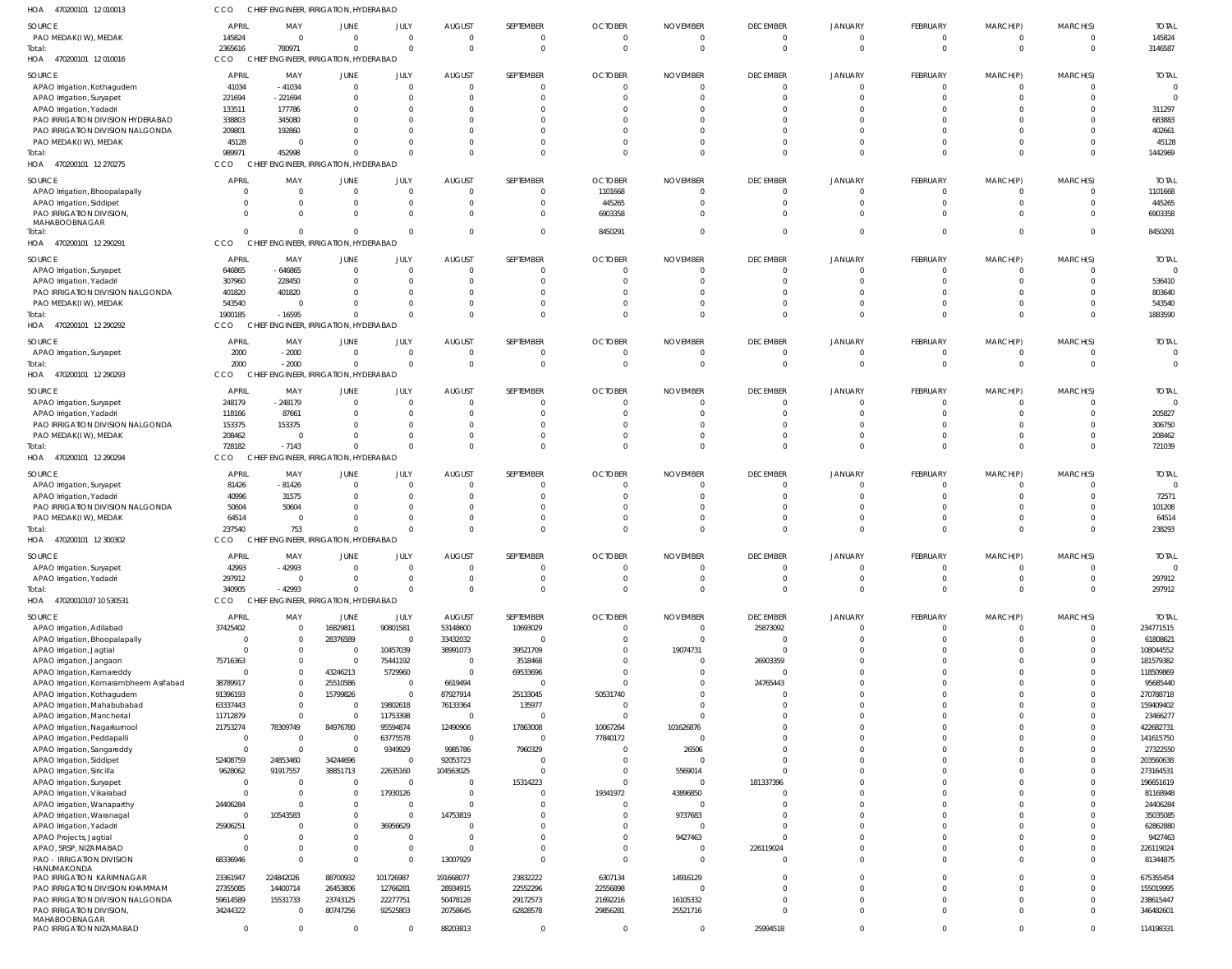470200101 12 010013 HOA 470200101 12 010016 HOA 470200101 12 270275 HOA 470200101 12 290291 HOA 470200101 12 290292 HOA 470200101 12 290293 HOA 470200101 12 290294 HOA 470200101 12 300302 HOA 47020010107 10 530531 HOA CHIEF ENGINEER, IRRIGATION, HYDERABAD CHIEF ENGINEER, IRRIGATION, HYDERABAD CHIEF ENGINEER, IRRIGATION, HYDERABAD CHIEF ENGINEER, IRRIGATION, HYDERABAD CHIEF ENGINEER, IRRIGATION, HYDERABAD CHIEF ENGINEER, IRRIGATION, HYDERABAD CHIEF ENGINEER, IRRIGATION, HYDERABAD CHIEF ENGINEER, IRRIGATION, HYDERABAD CHIEF ENGINEER, IRRIGATION, HYDERABAD CCO CCO. **CCO CCO CCO** CCO CCO CCO CCO 2365616 989971 0 1900185 2000 728182 237540 340905 780971 452998 0 -16595 -2000 -7143 753 -42993 0  $\Omega$ 0  $\cap$  $\Omega$  $\Omega$ 0  $\Omega$ 0  $\sqrt{2}$ 0 0 0 0 0  $\Omega$ 0  $\Omega$ 0  $\Omega$ 0 0 0 0 0  $\Omega$ 0 0  $\Omega$  $\Omega$ 0  $\Omega$ 0  $\Omega$ 8450291  $\Omega$  $\Omega$ 0 0  $\Omega$ 0  $\Omega$ 0  $\cap$  $\Omega$ 0 0  $\Omega$ 0  $\Omega$ 0  $\Omega$  $\Omega$ 0 0  $\Omega$ 0  $\Omega$ 0  $\Omega$ 0 0 0  $\theta$ 0  $\sqrt{2}$ 0 0  $\Omega$  $\Omega$ 0  $\Omega$ 0  $\Omega$ 0  $\Omega$ 0 0 0 0 0  $\Omega$ 0  $\cap$  $\Omega$ 0 0  $\Omega$ 3146587 1442969 8450291 1883590 0 721039 238293 297912 PAO MEDAK(I W), MEDAK APAO Irrigation, Kothagudem APAO Irrigation, Suryapet APAO Irrigation, Yadadri PAO IRRIGATION DIVISION HYDERABAD PAO IRRIGATION DIVISION NALGONDA PAO MEDAK(I W), MEDAK APAO Irrigation, Bhoopalapally APAO Irrigation, Siddipet PAO IRRIGATION DIVISION, MAHABOOBNAGAR APAO Irrigation, Suryapet APAO Irrigation, Yadadri PAO IRRIGATION DIVISION NALGONDA PAO MEDAK(I W), MEDAK APAO Irrigation, Suryapet APAO Irrigation, Suryapet APAO Irrigation, Yadadri PAO IRRIGATION DIVISION NALGONDA PAO MEDAK(I W), MEDAK APAO Irrigation, Suryapet APAO Irrigation, Yadadri PAO IRRIGATION DIVISION NALGONDA PAO MEDAK(I W), MEDAK APAO Irrigation, Suryapet APAO Irrigation, Yadadri APAO Irrigation, Adilabad APAO Irrigation, Bhoopalapally APAO Irrigation, Jagtial APAO Irrigation, Jangaon APAO Irrigation, Kamareddy APAO Irrigation, Komarambheem Asifabad APAO Irrigation, Kothagudem APAO Irrigation, Mahabubabad APAO Irrigation, Mancherial APAO Irrigation, Nagarkurnool APAO Irrigation, Peddapalli APAO Irrigation, Sangareddy APAO Irrigation, Siddipet APAO Irrigation, Siricilla APAO Irrigation, Survapet APAO Irrigation, Vikarabad APAO Irrigation, Wanaparthy APAO Irrigation, Waranagal APAO Irrigation, Yadadri APAO Projects, Jagtial APAO, SRSP, NIZAMABAD PAO - IRRIGATION DIVISION HANUMAKONDA PAO IRRIGATION KARIMNAGAR PAO IRRIGATION DIVISION KHAMMAM PAO IRRIGATION DIVISION NALGONDA PAO IRRIGATION DIVISION, MAHABOOBNAGAR PAO IRRIGATION NIZAMABAD SOURCE SOURCE SOURCE SOURCE SOURCE **SOURCE** SOURCE SOURCE SOURCE 145824 41034 221694 133511 338803 209801 45128 0 0 0 646865 307960 401820 543540 2000 248179 118166 153375 208462 81426 40996 50604 64514 42993 297912 37425402 0  $\Omega$ 75716363  $\Omega$ 38789917 91396193 63337443 11712879 21753274 0 0 52408759 9628062 0  $\Omega$ 24406284  $\Omega$ 25906251 0  $\mathfrak{g}$ 68336946 23361947 27355085 59614589 34244322 0 APRIL APRIL APRIL APRIL APRIL APRIL APRIL **APRIL** APRIL 0 -41034 -221694 177786 345080 192860 0 0 0 0 -646865 228450 401820 0 -2000 -248179 87661 153375 0 -81426 31575 50604  $\Omega$ -42993 0 0 0  $\Omega$ 0 0 0 0  $\Omega$ 0 78309749  $\Omega$ 0 24853460 91917557  $\Omega$  $\Omega$ 0 10543583 0 0 0  $\Omega$ 224842026 14400714 15531733 0 0 MAY MAY MAY MAY MAY MAY MAY MAY MAY 0 0 0 0  $\Omega$  $\Omega$ 0 0 0 0 0  $\Omega$  $\Omega$ 0 0  $\Omega$ 0  $\Omega$ 0 0  $\Omega$ 0  $\Omega$ 0 0 16829811 28376589  $\Omega$  $\mathbf 0$ 43246213 25510586 15799826  $\Omega$ 0 84976780 0 0 34244696 38851713 0  $\Omega$ 0  $\Omega$ 0 0 0  $\Omega$ 88700932 26453806 23743125 80747256 0 JUNE **JUNE** JUNE JUNE JUNE JUNE JUNE **JUNE** JUNE  $\Omega$ 0  $\Omega$ 0 0  $\bigcap$ 0  $\Omega$  $\bigcap$  $\Omega$ 0 0  $\Omega$ 0  $\Omega$ 0 0  $\Omega$ 0  $\Omega$ 0 0  $\Omega$ 0  $\Omega$ 90801581 0 10457039 75441192 5729960  $\Omega$ 0 19802618 11753398 95594874 63775578 9349929 0 22635160  $\Omega$ 17930126 0  $\Omega$ 36956629 0 0  $\Omega$ 101726987 12766281 22277751 92525803 0 JULY JULY JULY JULY JULY JULY JULY JULY JULY 0 0 0  $\,$  0  $\,$ 0 0 0 0 0 0 0 0  $\Omega$ 0 0 0 0  $\Omega$ 0 0 0 0  $\Omega$ 0 0 53148600 33432032 38991073 0  $\Omega$ 6619494 87927914 76133364 0 12490906 0 9985786 92053723 104563025 0 0 0 14753819 0 0  $\Omega$ 13007929 191668077 28934915 50478128 20758645 88203813 AUGUST AUGUST AUGUST AUGUST AUGUST AUGUST AUGUST **AUGUST** AUGUST  $\Omega$ 0  $\Omega$ 0 0  $\Omega$ 0  $\Omega$  $\Omega$  $\Omega$ 0 0  $\Omega$ 0  $\Omega$  $\bigcap$ 0  $\Omega$ 0  $\Omega$  $\bigcap$ 0  $\Omega$ 0  $\Omega$ 10693029 0 39521709 3518468 69533696  $\Omega$ 25133045 135977 0 17863008 0 7960329  $\Omega$ 0 15314223  $\sqrt{2}$ 0  $\sqrt{2}$ 0  $\Omega$ 0 0 23832222 22552296 29172573 62828578 0 SEPTEMBER SEPTEMBER SEPTEMBER SEPTEMBER SEPTEMBER SEPTEMBER SEPTEMBER **SEPTEMBER** SEPTEMBER  $\Omega$ 0  $\Omega$ 0 0  $\Omega$ 0 1101668 445265 6903358 0 0  $\Omega$ 0 0  $\Omega$ 0  $\Omega$ 0  $\Omega$  $\Omega$ 0  $\Omega$ 0  $\Omega$  $\Omega$ 0 0 0 0 0 50531740  $\sqrt{2}$ 0 10067264 77840172 0  $\cap$ 0 0 19341972 0  $\cap$ 0  $\Omega$  $\Omega$ 0 6307134 22556898 21692216 29856281 0 OCTOBER **OCTOBER** OCTOBER **OCTOBER** OCTOBER OCTOBER OCTOBER OCTOBER OCTOBER  $\Omega$ 0 0  $\Omega$ 0  $\Omega$ 0  $\Omega$ 0  $\Omega$ 0 0  $\Omega$ 0  $\Omega$ 0 0  $\Omega$ 0  $\Omega$  $\bigcap$ 0  $\Omega$ 0  $\Omega$  $\Omega$ 0 19074731 0  $\Omega$  $\Omega$ 0  $\bigcap$ 0 101626876 0 26506  $\sqrt{2}$ 5569014  $\Omega$ 43896850 0 9737683 0 9427463 0  $\Omega$ 14916129  $\Omega$ 16105332 25521716 0 NOVEMBER NOVEMBER NOVEMBER NOVEMBER NOVEMBER NOVEMBER NOVEMBER NOVEMBER NOVEMBER  $\Omega$ 0 0 0  $\Omega$  $\Omega$ 0  $\Omega$  $\Omega$ 0 0  $\Omega$  $\Omega$ 0  $\Omega$ 0 0  $\Omega$ 0 0  $\Omega$ 0  $\Omega$ 0  $\Omega$ 25873092 0  $\Omega$ 26903359  $\Omega$ 24765443 0  $\Omega$ 0 0 0 0  $\bigcap$ 0 181337396 0 0  $\bigcap$ 0  $\Omega$ 226119024  $\Omega$ 0  $\Omega$  $\bigcap$ 0 25994518 DECEMBER **DECEMBER** DECEMBER DECEMBER DECEMBER DECEMBER DECEMBER DECEMBER DECEMBER 0 0 0 0  $\Omega$  $\Omega$ 0 0 0 0 0 0  $\Omega$ 0 0  $\mathfrak{g}$ 0  $\Omega$ 0 0 0 0  $\Omega$ 0 0 0 0  $\Omega$ 0  $\Omega$  $\Omega$ 0  $\Omega$ 0  $\Omega$ 0 0  $\Omega$ 0  $\Omega$  $\Omega$ 0  $\cap$ 0 0  $\Omega$  $\Omega$ 0 0  $\Omega$ 0 0 JANUARY JANUARY JANUARY JANUARY JANUARY JANUARY JANUARY JANUARY JANUARY  $\Omega$ 0  $\Omega$ 0 0  $\sqrt{2}$ 0  $\Omega$ 0  $\Omega$ 0  $\Omega$  $\Omega$ 0  $\Omega$  $\sqrt{2}$ 0  $\Omega$ 0  $\Omega$  $\bigcap$ 0  $\sqrt{2}$ 0  $\Omega$  $\Omega$ 0  $\Omega$ 0 0 0 0  $\sqrt{2}$ 0 0 0 0  $\sqrt{2}$ 0  $\Omega$ 0 0 0 0  $\Omega$ 0  $\Omega$ 0  $\Omega$  $\bigcap$ 0  $\Omega$ FEBRUARY FEBRUARY FEBRUARY FEBRUARY FEBRUARY FEBRUARY FEBRUARY FEBRUARY FEBRUARY 0 0 0 0  $\Omega$  $\Omega$ 0 0 0 0 0 0 0 0 0 0 0  $\Omega$ 0 0 0 0  $\Omega$ 0 0  $\Omega$ 0  $\Omega$ 0  $\Omega$  $\Omega$ 0  $\Omega$ 0  $\Omega$  $\Omega$ 0  $\Omega$ 0 0  $\Omega$ 0  $\Omega$ 0 0 0 0 0 0  $\Omega$ 0 0 MARCH(P) MARCH(P) MARCH(P) MARCH(P) MARCH(P) MARCH(P) MARCH(P) MARCH(P) MARCH(P) 0 0 0  $\Omega$ 0  $\Omega$ 0  $\Omega$  $\Omega$  $\Omega$ 0  $\Omega$  $\Omega$ 0  $\Omega$ 0 0  $\Omega$ 0  $\Omega$  $\bigcap$ 0  $\Omega$ 0  $\Omega$  $\Omega$ 0  $\Omega$ 0  $\Omega$  $\Omega$ 0  $\Omega$ 0  $\Omega$  $\bigcap$ 0  $\Omega$ 0  $\Omega$  $\bigcap$ 0  $\cap$ 0  $\Omega$  $\Omega$  $\Omega$ 0  $\Omega$  $\Omega$ 0 0 MARCH(S) MARCH(S) MARCH(S) MARCH(S) MARCH(S) MARCH(S) MARCH(S) MARCH(S) MARCH(S) 145824 0 0 311297 683883 402661 45128 1101668 445265 6903358  $\Omega$ 536410 803640 543540  $\Omega$  $\Omega$ 205827 306750 208462  $\Omega$ 72571 101208 64514 0 297912 234771515 61808621 108044552 181579382 118509869 95685440 270788718 159409402 23466277 422682731 141615750 27322550 203560638 273164531 196651619 81168948 24406284 35035085 62862880 9427463 226119024 81344875 675355454 155019995 238615447 346482601 114198331 TOTAL TOTAL TOTAL TOTAL TOTAL TOTAL TOTAL TOTAL TOTAL Total: Total: Total: Total: Total: Total: **Total** Total: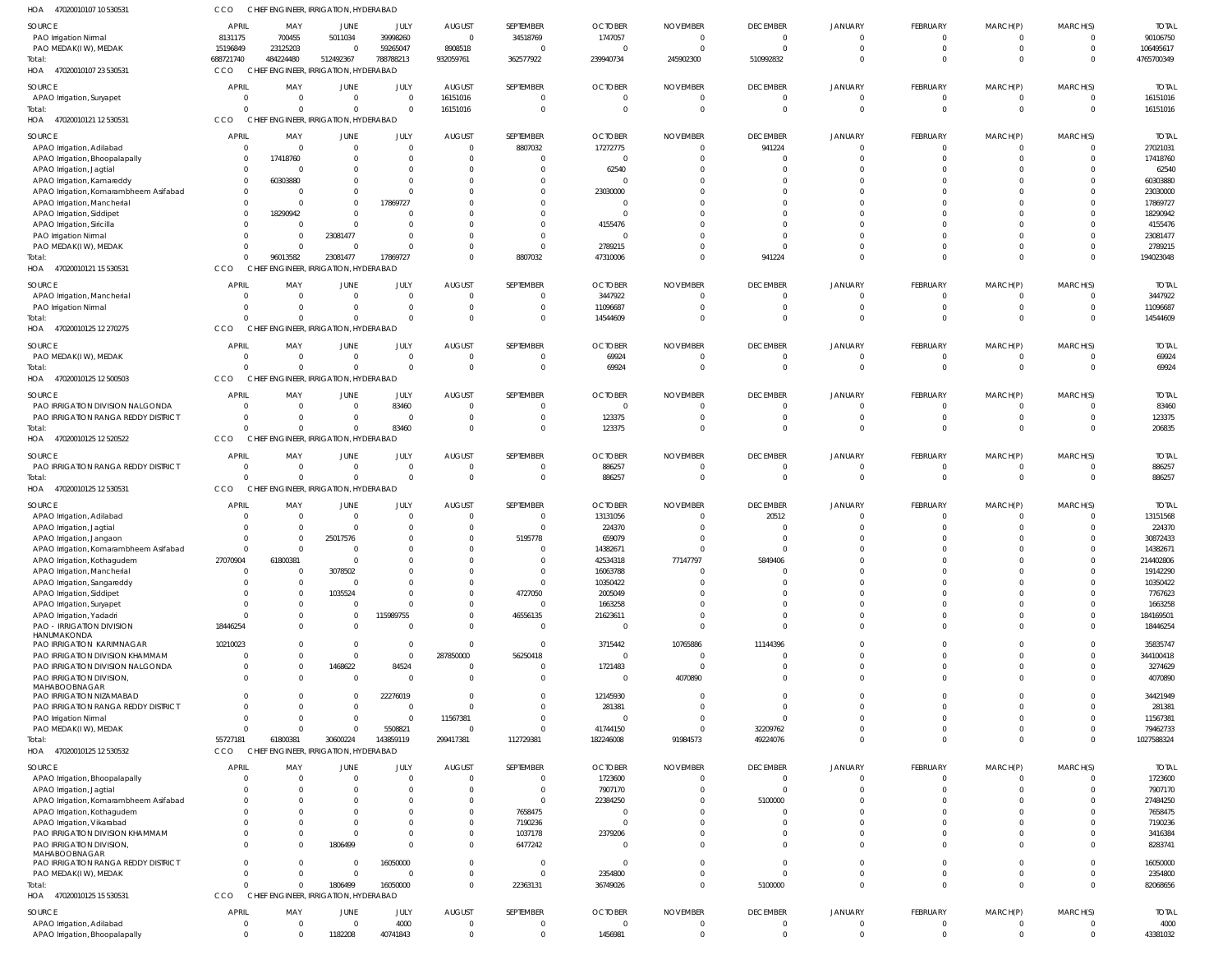| 47020010107 10 530531<br>HOA                                         | CCO                              | CHIEF ENGINEER, IRRIGATION, HYDERABAD              |                                |                       |                                  |                            |                                |                                   |                              |                            |                                   |                            |                                  |                          |
|----------------------------------------------------------------------|----------------------------------|----------------------------------------------------|--------------------------------|-----------------------|----------------------------------|----------------------------|--------------------------------|-----------------------------------|------------------------------|----------------------------|-----------------------------------|----------------------------|----------------------------------|--------------------------|
| SOURCE                                                               | <b>APRIL</b>                     | MAY                                                | JUNE                           | JULY                  | <b>AUGUST</b>                    | SEPTEMBER                  | <b>OCTOBER</b>                 | <b>NOVEMBER</b>                   | <b>DECEMBER</b>              | JANUARY                    | FEBRUARY                          | MARCH(P)                   | MARCH(S)                         | <b>TOTAL</b>             |
| PAO Irrigation Nirmal                                                | 8131175                          | 700455                                             | 5011034                        | 39998260              | $\overline{0}$                   | 34518769                   | 1747057                        | $\mathbf{0}$                      | $\mathbf 0$                  | $\mathbf 0$                | $\overline{0}$                    | $\Omega$                   | $\overline{0}$                   | 90106750                 |
| PAO MEDAK(IW), MEDAK                                                 | 15196849                         | 23125203                                           | $\Omega$                       | 59265047              | 8908518                          | $\Omega$                   | $\Omega$                       | $\Omega$                          | $\Omega$                     | $\Omega$                   | $\Omega$                          | $\Omega$                   | $\Omega$                         | 106495617                |
| Total:<br>HOA 47020010107 23 530531                                  | 688721740<br>CCO                 | 484224480<br>CHIEF ENGINEER, IRRIGATION, HYDERABAD | 512492367                      | 788788213             | 932059761                        | 362577922                  | 239940734                      | 245902300                         | 510992832                    | $\Omega$                   | $\Omega$                          | $\Omega$                   | $\overline{0}$                   | 4765700349               |
|                                                                      |                                  |                                                    |                                |                       |                                  |                            |                                |                                   |                              |                            |                                   |                            |                                  |                          |
| SOURCE<br>APAO Irrigation, Suryapet                                  | <b>APRIL</b><br>$\Omega$         | MAY<br>$\mathbf 0$                                 | <b>JUNE</b><br>$\overline{0}$  | JULY<br>$\Omega$      | <b>AUGUST</b><br>16151016        | SEPTEMBER<br>$\Omega$      | <b>OCTOBER</b><br>$\mathbf{0}$ | <b>NOVEMBER</b><br>$\overline{0}$ | <b>DECEMBER</b><br>- 0       | <b>JANUARY</b><br>0        | <b>FEBRUARY</b><br>$\overline{0}$ | MARCH(P)<br>$\Omega$       | MARCH(S)<br>0                    | <b>TOTAL</b><br>16151016 |
| Total:                                                               |                                  | $\Omega$<br><sup>0</sup>                           | $\mathbf{0}$                   | $\Omega$              | 16151016                         | $\Omega$                   | $\mathbf 0$                    | $\overline{0}$                    | $\Omega$                     | $\Omega$                   | $\overline{0}$                    | $\Omega$                   | $\overline{0}$                   | 16151016                 |
| HOA 47020010121 12 530531                                            | CCO                              | CHIEF ENGINEER, IRRIGATION, HYDERABAD              |                                |                       |                                  |                            |                                |                                   |                              |                            |                                   |                            |                                  |                          |
| SOURCE                                                               | <b>APRIL</b>                     | MAY                                                | JUNE                           | JULY                  | <b>AUGUST</b>                    | SEPTEMBER                  | <b>OCTOBER</b>                 | <b>NOVEMBER</b>                   | <b>DECEMBER</b>              | <b>JANUARY</b>             | FEBRUARY                          | MARCH(P)                   | MARCH(S)                         | <b>TOTAL</b>             |
| APAO Irrigation, Adilabad                                            | $\Omega$                         | $\Omega$                                           | $\overline{0}$                 | $\Omega$              | $\overline{0}$                   | 8807032                    | 17272775                       | $\Omega$                          | 941224                       | $\mathbf 0$                | $\Omega$                          | $\Omega$                   | $\overline{0}$                   | 27021031                 |
| APAO Irrigation, Bhoopalapally                                       | $\Omega$                         | 17418760                                           | $\Omega$                       | $\Omega$              | $\Omega$                         | $\Omega$                   | $\Omega$                       | $\Omega$                          | $\Omega$                     | $\Omega$                   | $\Omega$                          | $\Omega$                   | $\Omega$                         | 17418760                 |
| APAO Irrigation, Jagtial                                             | $\Omega$<br>$\Omega$             | 0<br>60303880                                      | $\Omega$<br>$\Omega$           | $\Omega$<br>$\Omega$  | $\Omega$<br>$\Omega$             | $\Omega$<br>$\Omega$       | 62540                          |                                   |                              | -0<br>$\Omega$             | $\Omega$                          |                            | -C<br>$\Omega$                   | 62540<br>60303880        |
| APAO Irrigation, Kamareddy<br>APAO Irrigation, Komarambheem Asifabad | $\Omega$                         |                                                    | $\mathbf 0$                    | $\cap$                | $\Omega$                         | $\Omega$                   | 23030000                       |                                   |                              | $\Omega$                   | $\Omega$                          | $\Omega$                   | $\Omega$                         | 23030000                 |
| APAO Irrigation, Mancherial                                          | $\Omega$                         |                                                    | $\mathbf{0}$                   | 17869727              | $\Omega$                         | $\Omega$                   | $\Omega$                       |                                   | $\Omega$                     | $\Omega$                   | $\Omega$                          | $\Omega$                   | $\Omega$                         | 17869727                 |
| APAO Irrigation, Siddipet                                            | $\Omega$                         | 18290942                                           | $\Omega$                       |                       | $\Omega$                         | $\Omega$                   | $\Omega$                       |                                   |                              | $\Omega$                   | $\Omega$                          | $\Omega$                   | $\Omega$                         | 18290942                 |
| APAO Irrigation, Siricilla                                           |                                  | $\Omega$                                           | $\mathbf 0$                    |                       | $\Omega$                         | $\Omega$                   | 4155476                        |                                   | - 0                          | $\Omega$                   | $\Omega$                          | $\Omega$                   | $\Omega$                         | 4155476                  |
| PAO Irrigation Nirmal<br>PAO MEDAK(IW), MEDAK                        |                                  | $\Omega$<br>0<br>$\Omega$<br>$\Omega$              | 23081477<br>$\mathbf 0$        | $\cap$                | $\Omega$<br>$\Omega$             | $\Omega$<br>$\Omega$       | $\Omega$<br>2789215            | $\Omega$                          | -0                           | $\Omega$<br>$\Omega$       | $\Omega$<br>$\Omega$              | $\Omega$<br>$\Omega$       | $\Omega$<br>$\Omega$             | 23081477<br>2789215      |
| Total:                                                               |                                  | 96013582<br>$\Omega$                               | 23081477                       | 17869727              | $\Omega$                         | 8807032                    | 47310006                       | $\Omega$                          | 941224                       | $\Omega$                   | $\Omega$                          | $\Omega$                   | $\Omega$                         | 194023048                |
| HOA 47020010121 15 530531                                            | CCO                              | CHIEF ENGINEER, IRRIGATION, HYDERABAD              |                                |                       |                                  |                            |                                |                                   |                              |                            |                                   |                            |                                  |                          |
| SOURCE                                                               | <b>APRIL</b>                     | MAY                                                | JUNE                           | JULY                  | <b>AUGUST</b>                    | SEPTEMBER                  | <b>OCTOBER</b>                 | <b>NOVEMBER</b>                   | <b>DECEMBER</b>              | <b>JANUARY</b>             | <b>FEBRUARY</b>                   | MARCH(P)                   | MARCH(S)                         | <b>TOTAL</b>             |
| APAO Irrigation, Mancherial                                          |                                  | $\mathbf 0$                                        | $\overline{0}$                 | $\Omega$              | $\overline{0}$                   | $\overline{0}$             | 3447922                        | $\mathbf 0$                       | - 0                          | 0                          | $\overline{0}$                    | - 0                        | 0                                | 3447922                  |
| PAO Irrigation Nirmal                                                |                                  | $\Omega$<br>0                                      | $\overline{0}$                 | $\Omega$              | $\overline{0}$                   | $\Omega$                   | 11096687                       | $\Omega$                          | $\Omega$                     | 0                          | $\Omega$                          | $\Omega$                   | 0                                | 11096687                 |
| Total:<br>47020010125 12 270275                                      | CCO                              | $\Omega$<br>CHIEF ENGINEER, IRRIGATION, HYDERABAD  | $\mathbf 0$                    | $\Omega$              | $\Omega$                         | $\Omega$                   | 14544609                       | $\Omega$                          | $\Omega$                     | $\Omega$                   | $\Omega$                          | $\Omega$                   | $\Omega$                         | 14544609                 |
| HOA                                                                  |                                  |                                                    |                                |                       |                                  |                            |                                |                                   |                              |                            |                                   |                            |                                  |                          |
| SOURCE                                                               | <b>APRIL</b>                     | MAY                                                | JUNE                           | JULY                  | <b>AUGUST</b>                    | SEPTEMBER                  | <b>OCTOBER</b>                 | <b>NOVEMBER</b>                   | <b>DECEMBER</b>              | JANUARY                    | <b>FEBRUARY</b>                   | MARCH(P)                   | MARCH(S)                         | <b>TOTAL</b>             |
| PAO MEDAK(IW), MEDAK<br>Total:                                       | $\Omega$                         | $\mathbf 0$<br>$\Omega$<br>$\Omega$                | $\overline{0}$<br>$\Omega$     | $\Omega$<br>$\Omega$  | $\overline{0}$<br>$\Omega$       | $\Omega$<br>$\Omega$       | 69924<br>69924                 | $\overline{0}$<br>$\Omega$        | $^{\circ}$<br>$\Omega$       | 0<br>$\Omega$              | $\Omega$<br>$\Omega$              | - 0<br>$\Omega$            | $\overline{0}$<br>$\Omega$       | 69924<br>69924           |
| 47020010125 12 500503<br>HOA                                         | CCO                              | CHIEF ENGINEER, IRRIGATION, HYDERABAD              |                                |                       |                                  |                            |                                |                                   |                              |                            |                                   |                            |                                  |                          |
| SOURCE                                                               | <b>APRIL</b>                     | MAY                                                | JUNE                           | JULY                  | <b>AUGUST</b>                    | SEPTEMBER                  | <b>OCTOBER</b>                 | <b>NOVEMBER</b>                   | <b>DECEMBER</b>              | <b>JANUARY</b>             | <b>FEBRUARY</b>                   | MARCH(P)                   | MARCH(S)                         | <b>TOTAL</b>             |
| PAO IRRIGATION DIVISION NALGONDA                                     | $\overline{0}$                   | $\mathbf 0$                                        | $\overline{0}$                 | 83460                 | $\overline{0}$                   | $\Omega$                   | $\mathbf{0}$                   | $\mathbf 0$                       | - 0                          | 0                          | $\Omega$                          |                            | 0                                | 83460                    |
| PAO IRRIGATION RANGA REDDY DISTRICT                                  | $\Omega$                         | $\Omega$                                           | $\overline{0}$                 | $\Omega$              | $\overline{0}$                   | $\overline{0}$             | 123375                         | $\mathbf 0$                       | - 0                          | 0                          | $\overline{0}$                    | $\Omega$                   | $\overline{0}$                   | 123375                   |
| Total:                                                               |                                  | $\Omega$<br>$\Omega$                               | $\mathbf 0$                    | 83460                 | $\Omega$                         | $\Omega$                   | 123375                         | $\Omega$                          | $\Omega$                     | $\Omega$                   | $\Omega$                          | $\Omega$                   | $\Omega$                         | 206835                   |
| HOA<br>47020010125 12 520522                                         | CCO                              | CHIEF ENGINEER, IRRIGATION, HYDERABAD              |                                |                       |                                  |                            |                                |                                   |                              |                            |                                   |                            |                                  |                          |
| SOURCE                                                               | <b>APRIL</b>                     | MAY                                                | <b>JUNE</b>                    | JULY                  | <b>AUGUST</b>                    | SEPTEMBER                  | <b>OCTOBER</b>                 | <b>NOVEMBER</b>                   | <b>DECEMBER</b>              | <b>JANUARY</b>             | <b>FEBRUARY</b>                   | MARCH(P)                   | MARCH(S)                         | <b>TOTAL</b>             |
| PAO IRRIGATION RANGA REDDY DISTRICT<br>Total:                        | $\Omega$                         | $\mathbf 0$<br>$\Omega$<br>$\Omega$                | $\overline{0}$<br>$\mathbf{0}$ | - 0<br>$\Omega$       | $\overline{0}$<br>$\overline{0}$ | $\Omega$<br>$\overline{0}$ | 886257<br>886257               | $\Omega$<br>$\Omega$              | -0<br>$\overline{0}$         | $\Omega$<br>$\Omega$       | $\Omega$<br>$\overline{0}$        | $\Omega$<br>$\Omega$       | $\Omega$<br>$\overline{0}$       | 886257<br>886257         |
| 47020010125 12 530531<br>HOA                                         | CCO                              | CHIEF ENGINEER, IRRIGATION, HYDERABAD              |                                |                       |                                  |                            |                                |                                   |                              |                            |                                   |                            |                                  |                          |
| SOURCE                                                               | <b>APRIL</b>                     | MAY                                                | JUNE                           | JULY                  | <b>AUGUST</b>                    | SEPTEMBER                  | <b>OCTOBER</b>                 | <b>NOVEMBER</b>                   | <b>DECEMBER</b>              | <b>JANUARY</b>             | FEBRUARY                          | MARCH(P)                   | MARCH(S)                         | <b>TOTAL</b>             |
| APAO Irrigation, Adilabad                                            |                                  | $\mathbf 0$                                        | $\overline{0}$                 | $\Omega$              | $\overline{0}$                   | $\Omega$                   | 13131056                       | $\mathbf 0$                       | 20512                        | 0                          | $\Omega$                          |                            | 0                                | 13151568                 |
| APAO Irrigation, Jagtial                                             |                                  | $\mathbf 0$                                        | $\mathbf{0}$                   | $\Omega$              | $\Omega$                         | $\Omega$                   | 224370                         |                                   | $\Omega$                     |                            | $\Omega$                          |                            |                                  | 224370                   |
| APAO Irrigation, Jangaon                                             | $\Omega$                         | $\mathbf 0$                                        | 25017576                       | $\Omega$              | $\mathbf 0$                      | 5195778                    | 659079                         | $\Omega$                          | $\Omega$                     | $\Omega$                   | $\Omega$                          | $\Omega$                   | $\Omega$                         | 30872433                 |
| APAO Irrigation, Komarambheem Asifabad                               |                                  |                                                    |                                | $\cap$                | $\cap$                           |                            | 14382671                       |                                   |                              |                            | $\Omega$                          |                            | $\cap$                           | 14382671                 |
| APAO Irrigation, Kothagudem<br>APAO Irrigation, Mancherial           | 27070904<br>$\overline{0}$       | 61800381<br>0                                      | $\overline{0}$<br>3078502      |                       | $\Omega$<br>$\Omega$             | $\Omega$<br>$\Omega$       | 42534318<br>16063788           | 77147797<br>$\Omega$              | 5849406<br>$\Omega$          | $\Omega$<br>$\Omega$       | $\overline{0}$                    | $\Omega$                   | $\Omega$<br>$\Omega$             | 214402806<br>19142290    |
| APAO Irrigation, Sangareddy                                          | $\Omega$                         | $\Omega$                                           | $\overline{0}$                 |                       | $\Omega$                         | $\Omega$                   | 10350422                       |                                   |                              | $\Omega$                   | $\Omega$                          | $\Omega$                   | $\Omega$                         | 10350422                 |
| APAO Irrigation, Siddipet                                            |                                  | 0                                                  | 1035524                        | $\cap$                | $\Omega$                         | 4727050                    | 2005049                        |                                   |                              | $\Omega$                   | $\Omega$                          | $\Omega$                   | $\Omega$                         | 7767623                  |
| APAO Irrigation, Suryapet                                            | $\Omega$                         | 0                                                  | 0                              | $\Omega$              | $\mathbf 0$                      | $\overline{0}$             | 1663258                        |                                   |                              | $\Omega$                   | $\Omega$                          | $\Omega$                   | $\Omega$                         | 1663258                  |
| APAO Irrigation, Yadadri<br>PAO - IRRIGATION DIVISION                | 18446254                         | $\Omega$<br><sup>0</sup><br>$\Omega$               | $\overline{0}$<br>$\mathbf{0}$ | 115989755<br>$\Omega$ | $\Omega$<br>$\Omega$             | 46556135<br>$\Omega$       | 21623611<br>$\Omega$           | $\Omega$                          | - 0<br>$\Omega$              | $\Omega$<br>$\Omega$       | $\Omega$<br>$\Omega$              | $\Omega$<br>$\Omega$       | $\Omega$<br>$\Omega$             | 184169501<br>18446254    |
| HANUMAKONDA                                                          |                                  |                                                    |                                |                       |                                  |                            |                                |                                   |                              |                            |                                   |                            |                                  |                          |
| PAO IRRIGATION KARIMNAGAR                                            | 10210023                         | $\Omega$                                           | $\overline{0}$                 | $\Omega$              | $\overline{0}$                   | $\overline{0}$             | 3715442                        | 10765886                          | 11144396                     | $\Omega$                   | $\Omega$                          | $\Omega$                   | $\Omega$                         | 35835747                 |
| PAO IRRIGATION DIVISION KHAMMAM<br>PAO IRRIGATION DIVISION NALGONDA  | $\Omega$                         | 0<br>0<br>0                                        | $\mathbf{0}$<br>1468622        | $\Omega$<br>84524     | 287850000<br>$\overline{0}$      | 56250418<br>$\Omega$       | $\mathbf{0}$<br>1721483        | $\Omega$<br>$\Omega$              | $\Omega$<br>$\Omega$         | $\Omega$<br>$\mathbf 0$    | $\Omega$<br>$\Omega$              | $\Omega$<br>$\Omega$       | $\Omega$<br>$\Omega$             | 344100418<br>3274629     |
| PAO IRRIGATION DIVISION,                                             |                                  | $\Omega$<br>$\Omega$                               | $\overline{0}$                 | $\Omega$              | $\overline{0}$                   | $\Omega$                   | $\mathbf{0}$                   | 4070890                           |                              | $\Omega$                   | $\Omega$                          | $\Omega$                   | $\Omega$                         | 4070890                  |
| MAHABOOBNAGAR                                                        |                                  |                                                    |                                |                       |                                  |                            |                                |                                   |                              |                            |                                   |                            |                                  |                          |
| PAO IRRIGATION NIZAMABAD<br>PAO IRRIGATION RANGA REDDY DISTRICT      | $\Omega$                         | 0<br>$\Omega$<br>0                                 | $\overline{0}$<br>$\mathbf{0}$ | 22276019<br>$\Omega$  | $\Omega$<br>$\Omega$             | $\Omega$<br>$\Omega$       | 12145930<br>281381             | $\Omega$                          | $\Omega$<br>$\Omega$         | $\Omega$<br>$\Omega$       | $\Omega$<br>$\Omega$              | $\Omega$<br>$\Omega$       | $\Omega$<br>$\Omega$             | 34421949<br>281381       |
| PAO Irrigation Nirmal                                                |                                  | $\Omega$<br>$\Omega$                               | $\mathbf 0$                    | $\Omega$              | 11567381                         | $\Omega$                   | 0                              | $\Omega$                          | $\Omega$                     | $\Omega$                   | $\Omega$                          | $\Omega$                   | $\Omega$                         | 11567381                 |
| PAO MEDAK(IW), MEDAK                                                 | $\Omega$                         | $\Omega$                                           | $\mathbf{0}$                   | 5508821               | $\overline{0}$                   | $\Omega$                   | 41744150                       | $\Omega$                          | 32209762                     | $\Omega$                   | $\Omega$                          | $\Omega$                   | $\Omega$                         | 79462733                 |
| Total:                                                               | 55727181                         | 61800381                                           | 30600224                       | 143859119             | 299417381                        | 112729381                  | 182246008                      | 91984573                          | 49224076                     | $\Omega$                   | $\Omega$                          | $\Omega$                   | $\overline{0}$                   | 1027588324               |
| HOA 47020010125 12 530532                                            | CCO                              | CHIEF ENGINEER, IRRIGATION, HYDERABAD              |                                |                       |                                  |                            |                                |                                   |                              |                            |                                   |                            |                                  |                          |
| SOURCE                                                               | <b>APRIL</b>                     | MAY                                                | <b>JUNE</b>                    | JULY                  | <b>AUGUST</b>                    | SEPTEMBER                  | <b>OCTOBER</b>                 | <b>NOVEMBER</b>                   | <b>DECEMBER</b>              | JANUARY                    | FEBRUARY                          | MARCH(P)                   | MARCH(S)                         | <b>TOTAL</b>             |
| APAO Irrigation, Bhoopalapally                                       | $\Omega$<br>$\Omega$             | $\Omega$<br>$\Omega$                               | $\overline{0}$<br>$\mathbf 0$  | $\Omega$<br>$\Omega$  | $\overline{0}$<br>$\Omega$       | $\Omega$<br>$\overline{0}$ | 1723600                        | $\Omega$<br>$\Omega$              | $\overline{0}$<br>$\circ$    | $\mathbf 0$<br>$\Omega$    | $\Omega$<br>$\Omega$              | $\Omega$<br>$\Omega$       | $\overline{0}$<br>$\Omega$       | 1723600<br>7907170       |
| APAO Irrigation, Jagtial<br>APAO Irrigation, Komarambheem Asifabad   |                                  | <sup>0</sup>                                       | $\Omega$                       |                       | $\Omega$                         | $\Omega$                   | 7907170<br>22384250            |                                   | 5100000                      | $\Omega$                   | $\Omega$                          | $\Omega$                   | $\Omega$                         | 27484250                 |
| APAO Irrigation, Kothagudem                                          |                                  | $\Omega$                                           | $\Omega$                       |                       | $\overline{0}$                   | 7658475                    | $\Omega$                       |                                   | $\Omega$                     | $\Omega$                   | $\Omega$                          | $\Omega$                   | $\Omega$                         | 7658475                  |
| APAO Irrigation, Vikarabad                                           |                                  | $\Omega$                                           | $\Omega$                       |                       | $\mathbf{0}$                     | 7190236                    | $\Omega$                       |                                   | $\Omega$                     | $\Omega$                   | $\Omega$                          | $\Omega$                   | $\Omega$                         | 7190236                  |
| PAO IRRIGATION DIVISION KHAMMAM                                      |                                  | $\Omega$                                           | $\Omega$                       |                       | $\mathbf 0$                      | 1037178                    | 2379206                        |                                   | $\Omega$                     | $\Omega$                   | $\Omega$                          | $\Omega$                   | $\Omega$                         | 3416384                  |
| PAO IRRIGATION DIVISION,<br>MAHABOOBNAGAR                            |                                  | $\Omega$<br>$\Omega$                               | 1806499                        | $\Omega$              | $\mathbf 0$                      | 6477242                    | $\Omega$                       |                                   | $\Omega$                     | $\Omega$                   | $\Omega$                          | $\Omega$                   | $\Omega$                         | 8283741                  |
| PAO IRRIGATION RANGA REDDY DISTRICT                                  | $\Omega$                         | $\Omega$                                           | $\mathbf 0$                    | 16050000              | $\mathbf{0}$                     | $\Omega$                   | $\Omega$                       | $\Omega$                          | $\overline{0}$               | $\mathbf 0$                | $\Omega$                          | $\Omega$                   | $\Omega$                         | 16050000                 |
| PAO MEDAK(IW), MEDAK                                                 | $\Omega$                         | $\Omega$                                           | $\mathbf{0}$                   | $\cap$                | $\mathbf{0}$                     | $\Omega$                   | 2354800                        | $\Omega$                          | $\Omega$                     | $\mathbf 0$                | $\overline{0}$                    | $\Omega$                   | $\mathbf 0$                      | 2354800                  |
| Total:                                                               |                                  | $\Omega$<br>$\Omega$                               | 1806499                        | 16050000              | $\mathbf{0}$                     | 22363131                   | 36749026                       | $\Omega$                          | 5100000                      | $\Omega$                   | $\Omega$                          | $\Omega$                   | $\Omega$                         | 82068656                 |
| HOA 47020010125 15 530531                                            | CCO                              | CHIEF ENGINEER, IRRIGATION, HYDERABAD              |                                |                       |                                  |                            |                                |                                   |                              |                            |                                   |                            |                                  |                          |
| SOURCE                                                               | <b>APRIL</b>                     | MAY                                                | JUNE                           | JULY                  | <b>AUGUST</b>                    | SEPTEMBER                  | <b>OCTOBER</b>                 | <b>NOVEMBER</b>                   | <b>DECEMBER</b>              | JANUARY                    | FEBRUARY                          | MARCH(P)                   | MARCH(S)                         | <b>TOTAL</b>             |
| APAO Irrigation, Adilabad<br>APAO Irrigation, Bhoopalapally          | $\overline{0}$<br>$\overline{0}$ | 0<br>$\Omega$                                      | $\overline{0}$<br>1182208      | 4000<br>40741843      | $\overline{0}$<br>$\overline{0}$ | $\overline{0}$<br>$\Omega$ | $\mathbf 0$<br>1456981         | $\mathbf 0$<br>$\mathbf 0$        | $^{\circ}$<br>$\overline{0}$ | $\mathbf 0$<br>$\mathbf 0$ | $\overline{0}$<br>$\Omega$        | $\overline{0}$<br>$\Omega$ | $\overline{0}$<br>$\overline{0}$ | 4000<br>43381032         |
|                                                                      |                                  |                                                    |                                |                       |                                  |                            |                                |                                   |                              |                            |                                   |                            |                                  |                          |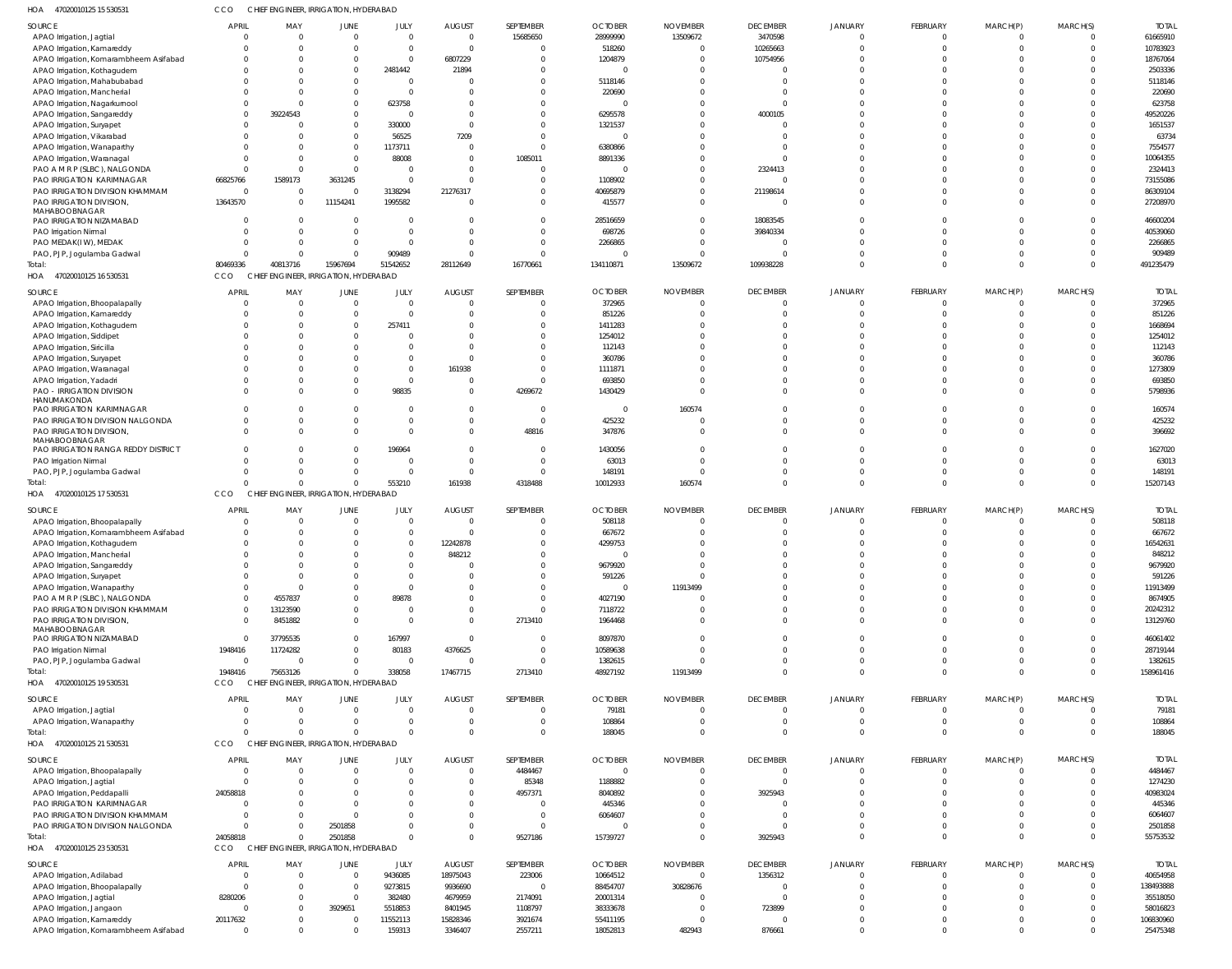| 47020010125 15 530531<br>HOA                                    | cco          | CHIEF ENGINEER, IRRIGATION, HYDERABAD |                                        |                   |                      |               |                |                 |                      |                      |                      |                      |          |                     |
|-----------------------------------------------------------------|--------------|---------------------------------------|----------------------------------------|-------------------|----------------------|---------------|----------------|-----------------|----------------------|----------------------|----------------------|----------------------|----------|---------------------|
| SOURCE                                                          | APRIL        | MAY                                   | <b>JUNE</b>                            | JULY              | <b>AUGUST</b>        | SEPTEMBER     | <b>OCTOBER</b> | <b>NOVEMBER</b> | <b>DECEMBER</b>      | <b>JANUARY</b>       | FEBRUARY             | MARCH(P)             | MARCH(S) | <b>TOTAL</b>        |
| APAO Irrigation, Jagtial                                        |              | $\overline{0}$                        | $\overline{0}$                         | $\Omega$          | $\overline{0}$       | 15685650      | 28999990       | 13509672        | 3470598              | 0                    | $\overline{0}$       | $\overline{0}$       |          | 61665910            |
| APAO Irrigation, Kamareddy                                      |              | $\overline{0}$                        | $\Omega$                               | $\Omega$          | $\overline{0}$       | 0             | 518260         |                 | 10265663             | $\Omega$             | $\Omega$             | $\Omega$             |          | 10783923            |
| APAO Irrigation, Komarambheem Asifabad                          |              | $\overline{0}$                        | $\overline{0}$                         | $\Omega$          | 6807229              | 0             | 1204879        |                 | 10754956             |                      |                      |                      |          | 18767064            |
| APAO Irrigation, Kothagudem                                     |              | $\Omega$                              | $\overline{0}$                         | 2481442           | 21894                |               |                |                 | $\Omega$             |                      | $\Omega$             | $\Omega$             |          | 2503336             |
| APAO Irrigation, Mahabubabad                                    |              | - 0                                   | $\mathbf{0}$                           | - 0               | 0                    |               | 5118146        |                 | $\Omega$             |                      | $\cap$               | $\Omega$             |          | 5118146             |
| APAO Irrigation, Mancherial                                     |              | $\Omega$<br>$\Omega$                  | $\Omega$                               | $\Omega$          | $\Omega$             |               | 220690         |                 | $\Omega$<br>$\Omega$ |                      |                      | $\Omega$<br>$\Omega$ |          | 220690              |
| APAO Irrigation, Nagarkurnool                                   |              | 39224543                              | $\overline{0}$<br>$\overline{0}$       | 623758            | 0<br>$\Omega$        |               | 6295578        |                 | 4000105              |                      |                      | $\Omega$             |          | 623758<br>49520226  |
| APAO Irrigation, Sangareddy<br>APAO Irrigation, Suryapet        |              | - 0                                   | $\overline{0}$                         | 330000            | $\overline{0}$       |               | 1321537        |                 | $\Omega$             |                      |                      | $\Omega$             |          | 1651537             |
| APAO Irrigation, Vikarabad                                      |              | $\Omega$                              | $\overline{0}$                         | 56525             | 7209                 |               |                |                 | $\Omega$             |                      |                      | $\Omega$             |          | 63734               |
| APAO Irrigation, Wanaparthy                                     |              | - 0                                   | $\overline{0}$                         | 1173711           | 0                    | $\Omega$      | 6380866        |                 | $\Omega$             |                      |                      | $\Omega$             |          | 7554577             |
| APAO Irrigation, Waranagal                                      |              | $\Omega$                              | $\overline{0}$                         | 88008             | $\mathbf 0$          | 1085011       | 8891336        |                 | $\Omega$             |                      | $\Omega$             | $\Omega$             |          | 10064355            |
| PAO A M R P (SLBC), NALGONDA                                    |              | $\overline{\mathbf{0}}$               | $\overline{0}$                         | - 0               | $\Omega$             | $\Omega$      |                |                 | 2324413              |                      |                      | $\Omega$             |          | 2324413             |
| PAO IRRIGATION KARIMNAGAR                                       | 66825766     | 1589173                               | 3631245                                | $\mathsf{C}$      | $\Omega$             | $\Omega$      | 1108902        |                 | $\Omega$             |                      | $\Omega$             | $\Omega$             |          | 73155086            |
| PAO IRRIGATION DIVISION KHAMMAM                                 | $\Omega$     | $\overline{\mathbf{0}}$               | $\overline{0}$                         | 3138294           | 21276317             |               | 40695879       |                 | 21198614             |                      | $\Omega$             | $\Omega$             |          | 86309104            |
| PAO IRRIGATION DIVISION,                                        | 13643570     | $\overline{\mathbf{0}}$               | 11154241                               | 1995582           | $\overline{0}$       | $\Omega$      | 415577         |                 | $\Omega$             | $\Omega$             | $\Omega$             | $\Omega$             |          | 27208970            |
| MAHABOOBNAGAR<br>PAO IRRIGATION NIZAMABAD                       |              | $\overline{0}$                        | $\overline{0}$                         | - 0               | $\Omega$             |               | 28516659       |                 | 18083545             | $\Omega$             |                      | $\Omega$             |          | 46600204            |
| PAO Irrigation Nirmal                                           |              | $\Omega$                              | $\Omega$                               | $\Omega$          | $\Omega$             |               | 698726         |                 | 39840334             | $\Omega$             | $\cap$               | $\Omega$             |          | 40539060            |
| PAO MEDAK(IW), MEDAK                                            |              | $\Omega$                              | $\overline{0}$                         | $\Omega$          | $\Omega$             | 0             | 2266865        |                 | $\circ$              |                      | $\Omega$             | $\Omega$             |          | 2266865             |
| PAO, PJP, Jogulamba Gadwal                                      |              | $\Omega$                              | $\Omega$                               | 909489            | $\Omega$             | $\Omega$      |                |                 | $\Omega$             | $\Omega$             | $\Omega$             | $\Omega$             |          | 909489              |
| Total:                                                          | 80469336     | 40813716                              | 15967694                               | 51542652          | 28112649             | 16770661      | 134110871      | 13509672        | 109938228            | $\Omega$             | $\Omega$             | $\Omega$             | $\Omega$ | 491235479           |
| HOA<br>47020010125 16 530531                                    | <b>CCO</b>   | CHIEF ENGINEER, IRRIGATION, HYDERABAD |                                        |                   |                      |               |                |                 |                      |                      |                      |                      |          |                     |
| SOURCE                                                          | APRIL        | MAY                                   | JUNE                                   | JULY              | <b>AUGUST</b>        | SEPTEMBER     | <b>OCTOBER</b> | <b>NOVEMBER</b> | <b>DECEMBER</b>      | JANUARY              | FEBRUARY             | MARCH(P)             | MARCH(S) | <b>TOTAL</b>        |
| APAO Irrigation, Bhoopalapally                                  |              | $\overline{0}$                        | $\overline{0}$                         | $\mathsf{C}$      | 0                    | 0             | 372965         |                 | $\overline{0}$       | 0                    | $\Omega$             | $\overline{0}$       | $\Omega$ | 372965              |
| APAO Irrigation, Kamareddy                                      |              | $\overline{0}$                        | $\overline{0}$                         | $\Omega$          | 0                    | $\Omega$      | 851226         |                 | $\Omega$             | -C                   | $\Omega$             | $\Omega$             |          | 851226              |
| APAO Irrigation, Kothagudem                                     |              | $\overline{0}$                        | $\overline{0}$                         | 257411            | 0                    | 0             | 1411283        |                 | $\Omega$             |                      |                      | $\Omega$             |          | 1668694             |
| APAO Irrigation, Siddipet                                       |              | $\Omega$                              | $\Omega$                               |                   | -0                   | 0             | 1254012        |                 | $\Omega$             | -C                   |                      | $\Omega$             |          | 1254012             |
| APAO Irrigation, Siricilla                                      |              | $\Omega$                              | $\Omega$                               |                   | $\Omega$             | $\Omega$      | 112143         |                 | $\Omega$             |                      |                      | $\Omega$             |          | 112143              |
| APAO Irrigation, Suryapet                                       |              | $\Omega$                              | C                                      |                   | 0                    | $\Omega$      | 360786         |                 | $\Omega$             |                      |                      | $\Omega$             |          | 360786              |
| APAO Irrigation, Waranagal                                      |              | $\Omega$                              | 0                                      | $\Omega$          | 161938               | 0             | 1111871        |                 | $\Omega$             |                      |                      | $\Omega$             |          | 1273809             |
| APAO Irrigation, Yadadri                                        |              | $\Omega$                              | $\Omega$                               | $\Omega$          | $\mathbf 0$          | $\Omega$      | 693850         |                 | $\Omega$             | $\Omega$             |                      | $\Omega$             |          | 693850              |
| PAO - IRRIGATION DIVISION                                       |              | $\Omega$                              | $\Omega$                               | 98835             | $\mathbf 0$          | 4269672       | 1430429        |                 | $\Omega$             | $\Omega$             | $\Omega$             | $\Omega$             |          | 5798936             |
| HANUMAKONDA<br>PAO IRRIGATION KARIMNAGAR                        |              | $\overline{0}$                        | $\Omega$                               | - 0               | 0                    | $\mathbf 0$   | - 0            | 160574          | $\Omega$             | $\Omega$             | $\Omega$             | $\Omega$             | $\Omega$ | 160574              |
| PAO IRRIGATION DIVISION NALGONDA                                |              | $\overline{0}$                        | $\overline{0}$                         | - 0               | 0                    | $\mathbf 0$   | 425232         |                 | $\Omega$             | $\Omega$             | $\Omega$             | $\Omega$             |          | 425232              |
| PAO IRRIGATION DIVISION,                                        |              | $\Omega$                              | $\Omega$                               |                   | 0                    | 48816         | 347876         |                 | $\Omega$             | $\Omega$             | $\Omega$             | $\Omega$             |          | 396692              |
| MAHABOOBNAGAR                                                   |              |                                       |                                        |                   |                      |               |                |                 |                      |                      |                      |                      |          |                     |
| PAO IRRIGATION RANGA REDDY DISTRICT                             |              | $\overline{0}$                        | $\mathbf 0$                            | 196964            | 0                    | $\mathbf 0$   | 1430056        |                 | $\Omega$             | $\Omega$             |                      | $\overline{0}$       |          | 1627020             |
| PAO Irrigation Nirmal                                           |              | $\Omega$                              | $\overline{0}$                         | - 0               | $\mathbf 0$          | $\mathbf 0$   | 63013          |                 | $\Omega$             | $\Omega$             | $\Omega$             | $\Omega$             |          | 63013               |
| PAO, PJP, Jogulamba Gadwal                                      |              | $\Omega$                              | $\overline{0}$                         | $\Omega$          | $\mathbf 0$          | $\mathbf 0$   | 148191         |                 | $\Omega$             | $\Omega$             | $\Omega$             | $\Omega$             |          | 148191              |
| Total                                                           |              | $\overline{0}$                        | $\mathbf 0$                            | 553210            | 161938               | 4318488       | 10012933       | 160574          | $\Omega$             | $\Omega$             | $\Omega$             | $\Omega$             |          | 15207143            |
| 47020010125 17 530531<br>HOA                                    | CCO          | <b>CHIEF</b>                          | <b>ENGINEER, IRRIGATION, HYDERABAD</b> |                   |                      |               |                |                 |                      |                      |                      |                      |          |                     |
| SOURCE                                                          | <b>APRIL</b> | MAY                                   | JUNE                                   | JULY              | <b>AUGUST</b>        | SEPTEMBER     | <b>OCTOBER</b> | <b>NOVEMBER</b> | <b>DECEMBER</b>      | <b>JANUARY</b>       | FEBRUARY             | MARCH(P)             | MARCH(S) | <b>TOTAL</b>        |
| APAO Irrigation, Bhoopalapally                                  |              | $\overline{0}$                        | $\overline{0}$                         | $\Omega$          | - 0                  | 0             | 508118         |                 | $\overline{0}$       | $\Omega$             | $\Omega$             | $\Omega$             |          | 508118              |
| APAO Irrigation, Komarambheem Asifabad                          |              | $\Omega$                              | $\Omega$                               | $\Omega$          | $\Omega$             | $\Omega$      | 667672         |                 | $\Omega$             |                      | $\Omega$             |                      |          | 667672              |
| APAO Irrigation, Kothagudem                                     | $\Omega$     | $\Omega$                              | $\Omega$                               | $\Omega$          | 12242878             | $\Omega$      | 4299753        |                 | $\Omega$             |                      |                      |                      |          | 16542631            |
| APAO Irrigation, Mancherial                                     |              | $\overline{0}$<br>$^{\circ}$          | $\overline{0}$                         | $\overline{0}$    | 848212               | $\Omega$      |                |                 | $\cap$               |                      |                      |                      |          | 848212              |
| APAO Irrigation, Sangareddy                                     |              | $\overline{0}$                        | $\Omega$                               |                   | $\Omega$             | $\Omega$      | 9679920        |                 | $\Omega$             | $\Omega$             | $\Omega$             | $\Omega$             |          | 9679920             |
| APAO Irrigation, Suryapet                                       |              | $\overline{\mathbf{0}}$               | $\Omega$                               | $\Omega$          | $\Omega$             | $\Omega$      | 591226         |                 | $\Omega$             | $\Omega$             | $\Omega$             | $\Omega$             |          | 591226              |
| APAO Irrigation, Wanaparthy                                     |              | - 0<br>4557837                        | $\Omega$<br>$\Omega$                   | $\Omega$<br>89878 | $\Omega$<br>$\Omega$ | 0<br>$\Omega$ | - 0<br>4027190 | 11913499        | $\Omega$<br>$\Omega$ | $\Omega$<br>$\Omega$ | $\Omega$<br>$\Omega$ | $\Omega$<br>$\Omega$ |          | 11913499<br>8674905 |
| PAO A M R P (SLBC), NALGONDA<br>PAO IRRIGATION DIVISION KHAMMAM |              | 13123590                              | $\overline{0}$                         | $\Omega$          | 0                    | 0             | 7118722        |                 | $\Omega$             | $\Omega$             | $\Omega$             | $\overline{0}$       |          | 20242312            |
| PAO IRRIGATION DIVISION,                                        |              | 8451882                               | $\mathbf{0}$                           | $\Omega$          | $\mathbf 0$          | 2713410       | 1964468        |                 | $\Omega$             | $\Omega$             | $\Omega$             | $\Omega$             |          | 13129760            |
| MAHABOOBNAGAR                                                   |              |                                       |                                        |                   |                      |               |                |                 |                      |                      |                      |                      |          |                     |
| PAO IRRIGATION NIZAMABAD                                        | $\Omega$     | 37795535                              | $\Omega$                               | 167997            | $\overline{0}$       | $\Omega$      | 8097870        |                 | $\Omega$             | $\Omega$             | $\Omega$             | $\Omega$             |          | 46061402            |
| PAO Irrigation Nirmal                                           | 1948416      | 11724282                              | $\overline{0}$                         | 80183             | 4376625              | $\Omega$      | 10589638       |                 | $\Omega$             | $\Omega$             | $\Omega$             | $\Omega$             |          | 28719144            |
| PAO, PJP, Jogulamba Gadwal                                      | $\Omega$     | $\Omega$                              | $\mathbf 0$                            | $\Omega$          | 0                    | 0             | 1382615        |                 | $\Omega$             | $\Omega$             | $\Omega$             | $\overline{0}$       |          | 1382615             |
| Total:                                                          | 1948416      | 75653126                              | $\Omega$                               | 338058            | 17467715             | 2713410       | 48927192       | 11913499        | $\Omega$             | $\Omega$             | $\Omega$             | $\Omega$             | $\Omega$ | 158961416           |
| HOA<br>47020010125 19 530531                                    | <b>CCO</b>   | CHIEF ENGINEER, IRRIGATION, HYDERABAD |                                        |                   |                      |               |                |                 |                      |                      |                      |                      |          |                     |
| SOURCE                                                          | APRIL        | MAY                                   | <b>JUNE</b>                            | JULY              | <b>AUGUST</b>        | SEPTEMBER     | <b>OCTOBER</b> | <b>NOVEMBER</b> | <b>DECEMBER</b>      | <b>JANUARY</b>       | FEBRUARY             | MARCH(P)             | MARCH(S) | <b>TOTAL</b>        |
| APAO Irrigation, Jagtial                                        | $\Omega$     | $\overline{0}$                        | $\overline{0}$                         | $\Omega$          | $\overline{0}$       | $\mathbf 0$   | 79181          |                 | $\overline{0}$       | 0                    | $\overline{0}$       | $\overline{0}$       |          | 79181               |
| APAO Irrigation, Wanaparthy                                     | $\Omega$     | $\overline{\mathbf{0}}$               | $\overline{0}$                         | $\Omega$          | $\mathbf 0$          | 0             | 108864         |                 | $\overline{0}$       | $\Omega$             | $\Omega$             | $\Omega$             |          | 108864              |
| Total:                                                          |              | $\Omega$                              | $\overline{0}$                         |                   | $\overline{0}$       | $\mathbf 0$   | 188045         |                 | $\overline{0}$       | 0                    | $\overline{0}$       | $\Omega$             |          | 188045              |
| HOA<br>47020010125 21 530531                                    | <b>CCO</b>   | CHIEF ENGINEER, IRRIGATION, HYDERABAD |                                        |                   |                      |               |                |                 |                      |                      |                      |                      |          |                     |
| SOURCE                                                          | <b>APRIL</b> | MAY                                   | <b>JUNE</b>                            | JULY              | <b>AUGUST</b>        | SEPTEMBER     | <b>OCTOBER</b> | <b>NOVEMBER</b> | <b>DECEMBER</b>      | <b>JANUARY</b>       | FEBRUARY             | MARCH(P)             | MARCH(S) | <b>TOTAL</b>        |
| APAO Irrigation, Bhoopalapally                                  | $\Omega$     | $\overline{\mathbf{0}}$               | $\overline{0}$                         | $\Omega$          | 0                    | 4484467       | $\Omega$       |                 | $\overline{0}$       | $\mathbf 0$          | $\Omega$             | $\Omega$             |          | 4484467             |
| APAO Irrigation, Jagtial                                        |              | $\Omega$                              | $\Omega$                               | $\Omega$          | 0                    | 85348         | 1188882        |                 | $\circ$              | $\Omega$             | $\Omega$             | $\Omega$             |          | 1274230             |
| APAO Irrigation, Peddapalli                                     | 24058818     | $\Omega$                              | $\Omega$                               |                   | 0                    | 4957371       | 8040892        |                 | 3925943              | -C                   | $\Omega$             | $\Omega$             |          | 40983024            |
| PAO IRRIGATION KARIMNAGAR                                       |              | $\Omega$                              | $\Omega$                               |                   | $\Omega$             |               | 445346         |                 | $\Omega$             | $\Omega$             | $\Omega$             | $\Omega$             |          | 445346              |
| PAO IRRIGATION DIVISION KHAMMAM                                 |              | $\overline{0}$                        | $\Omega$                               |                   | 0                    | 0             | 6064607        |                 | $\Omega$             | $\Omega$             | $\Omega$             | $\Omega$             |          | 6064607             |
| PAO IRRIGATION DIVISION NALGONDA                                |              | $\Omega$                              | 2501858                                |                   | $\Omega$             | $\Omega$      |                |                 | $\Omega$             | $\Omega$             | $\Omega$             | $\Omega$             |          | 2501858             |
| Total                                                           | 24058818     | $\Omega$                              | 2501858                                |                   | $\Omega$             | 9527186       | 15739727       | $\Omega$        | 3925943              | $\mathbf 0$          | $\Omega$             | $\Omega$             | $\Omega$ | 55753532            |
| HOA<br>47020010125 23 530531                                    | <b>CCO</b>   | CHIEF ENGINEER, IRRIGATION, HYDERABAD |                                        |                   |                      |               |                |                 |                      |                      |                      |                      |          |                     |
| SOURCE                                                          | APRIL        | MAY                                   | JUNE                                   | JULY              | <b>AUGUST</b>        | SEPTEMBER     | <b>OCTOBER</b> | <b>NOVEMBER</b> | <b>DECEMBER</b>      | JANUARY              | FEBRUARY             | MARCH(P)             | MARCH(S) | <b>TOTAL</b>        |
| APAO Irrigation, Adilabad                                       | $\Omega$     | $\overline{\mathbf{0}}$               | $\overline{0}$                         | 9436085           | 18975043             | 223006        | 10664512       | $\Omega$        | 1356312              | 0                    | $\Omega$             | $\Omega$             |          | 40654958            |
| APAO Irrigation, Bhoopalapally                                  | $\Omega$     | $\Omega$                              | $\overline{0}$                         | 9273815           | 9936690              | $\mathbf 0$   | 88454707       | 30828676        | $\overline{0}$       | $\Omega$             | $\Omega$             | $\Omega$             |          | 138493888           |
| APAO Irrigation, Jagtial                                        | 8280206      | - 0                                   | $\overline{0}$                         | 382480            | 4679959              | 2174091       | 20001314       |                 | $\circ$              | $\Omega$             | $\Omega$             | $\Omega$             |          | 35518050            |
| APAO Irrigation, Jangaon                                        |              | $\overline{0}$                        | 3929651                                | 5518853           | 8401945              | 1108797       | 38333678       |                 | 723899               | $\Omega$             | $\Omega$             | $\Omega$             |          | 58016823            |
| APAO Irrigation, Kamareddy                                      | 20117632     | $\overline{0}$                        | $\overline{0}$                         | 11552113          | 15828346             | 3921674       | 55411195       |                 | $\circ$              | $\mathbf 0$          | $\Omega$             | $\Omega$             |          | 106830960           |
| APAO Irrigation, Komarambheem Asifabad                          | $\Omega$     | $\mathbf{0}$                          | $\mathbf 0$                            | 159313            | 3346407              | 2557211       | 18052813       | 482943          | 876661               | $\overline{0}$       | $\overline{0}$       | $\overline{0}$       | $\Omega$ | 25475348            |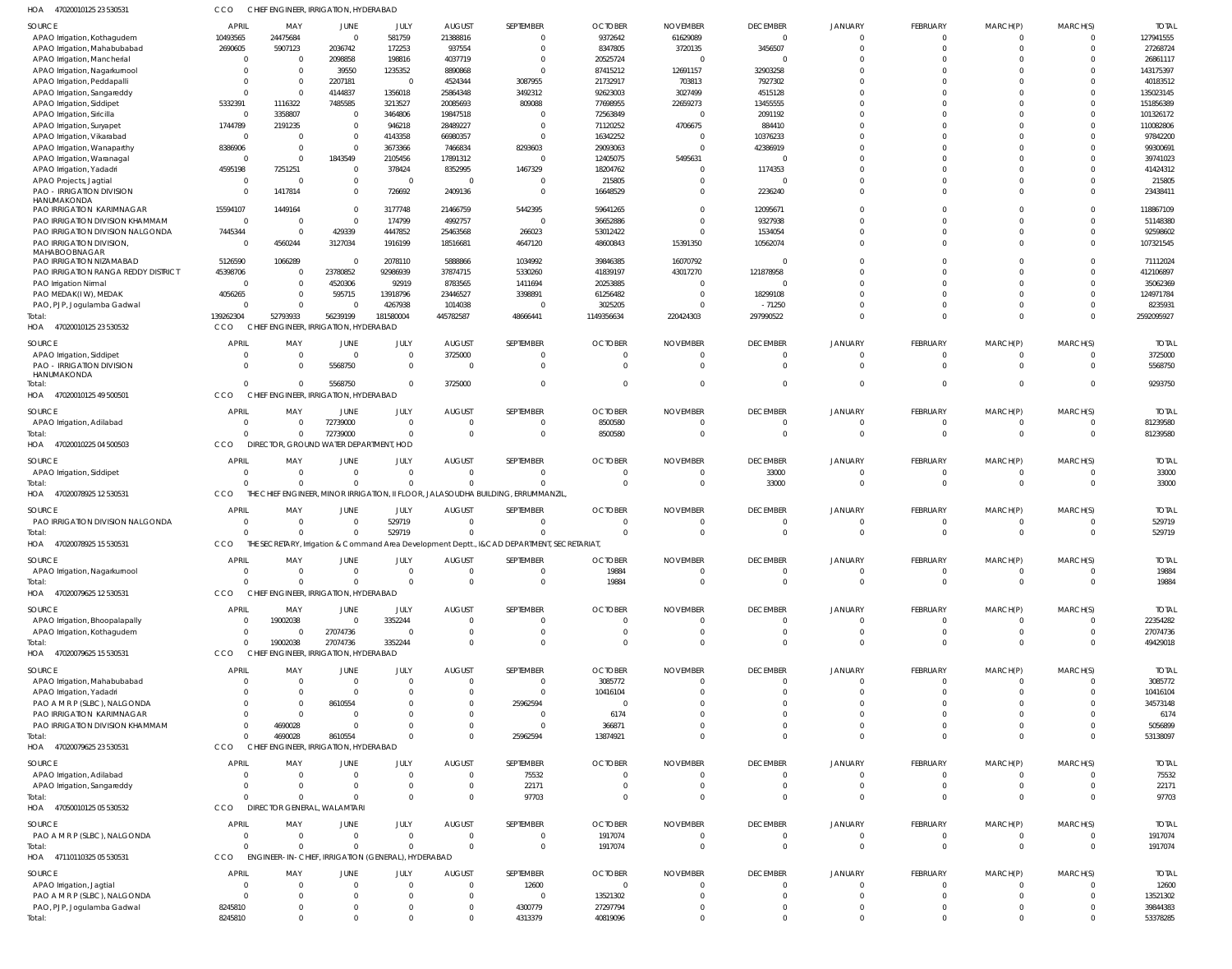| HOA<br>47020010125 23 530531                                 | ссо                        | CHIEF ENGINEER, IRRIGATION, HYDERABAD              |                                        |                                  |                                  |                                                                                             |                       |                              |                         |                            |                               |                      |                         |                        |
|--------------------------------------------------------------|----------------------------|----------------------------------------------------|----------------------------------------|----------------------------------|----------------------------------|---------------------------------------------------------------------------------------------|-----------------------|------------------------------|-------------------------|----------------------------|-------------------------------|----------------------|-------------------------|------------------------|
| SOURCE                                                       | <b>APRIL</b>               | MAY                                                | JUNE                                   | JULY                             | <b>AUGUST</b>                    | SEPTEMBER                                                                                   | <b>OCTOBER</b>        | <b>NOVEMBER</b>              | <b>DECEMBER</b>         | JANUARY                    | FEBRUARY                      | MARCH(P)             | MARCH(S)                | <b>TOTAL</b>           |
| APAO Irrigation, Kothagudem                                  | 10493565                   | 24475684                                           | $\overline{0}$                         | 581759                           | 21388816                         | $\Omega$                                                                                    | 9372642               | 61629089                     | $\overline{0}$          | $\Omega$                   | $^{\circ}$                    | -0                   | $\overline{0}$          | 127941555              |
| APAO Irrigation, Mahabubabad                                 | 2690605                    | 5907123                                            | 2036742                                | 172253                           | 937554                           | $\Omega$                                                                                    | 8347805               | 3720135                      | 3456507                 | $\Omega$                   | $\mathbf 0$                   | $\Omega$             | $\overline{0}$          | 27268724               |
| APAO Irrigation, Mancherial                                  | -0                         | $\Omega$                                           | 2098858                                | 198816                           | 4037719                          | $\Omega$                                                                                    | 20525724              | - 0                          | $\overline{0}$          |                            | $^{\circ}$                    |                      | $\Omega$                | 26861117               |
| APAO Irrigation, Nagarkurnool                                | $\Omega$                   | $\Omega$                                           | 39550                                  | 1235352                          | 8890868                          | $\Omega$                                                                                    | 87415212              | 12691157                     | 32903258                |                            | $\Omega$                      | -0                   | $\Omega$                | 143175397              |
| APAO Irrigation, Peddapalli                                  | -0                         | $\Omega$                                           | 2207181                                | $\overline{0}$                   | 4524344                          | 3087955                                                                                     | 21732917              | 703813                       | 7927302                 |                            | $\Omega$                      | $\Omega$             | $\Omega$                | 40183512               |
| APAO Irrigation, Sangareddy                                  | $\Omega$                   | $\Omega$                                           | 4144837                                | 1356018                          | 25864348                         | 3492312                                                                                     | 92623003              | 3027499                      | 4515128                 |                            | $\Omega$<br>$\Omega$          | $\Omega$             | $\Omega$                | 135023145              |
| APAO Irrigation, Siddipet<br>APAO Irrigation, Siricilla      | 5332391<br>$\Omega$        | 1116322<br>3358807                                 | 7485585<br>$\overline{0}$              | 3213527<br>3464806               | 20085693<br>19847518             | 809088<br>$\Omega$                                                                          | 77698955<br>72563849  | 22659273<br>$\mathcal{L}$    | 13455555<br>2091192     |                            | $\Omega$                      | $\Omega$<br>$\Omega$ | $\Omega$<br>$\Omega$    | 151856389<br>101326172 |
| APAO Irrigation, Suryapet                                    | 1744789                    | 2191235                                            | $\overline{0}$                         | 946218                           | 28489227                         | $\Omega$                                                                                    | 71120252              | 4706675                      | 884410                  |                            | $\Omega$                      | $\Omega$             | $\Omega$                | 110082806              |
| APAO Irrigation, Vikarabad                                   | $\mathbf{0}$               | $\Omega$                                           | $\overline{0}$                         | 4143358                          | 66980357                         | $\Omega$                                                                                    | 16342252              | $\Omega$                     | 10376233                |                            | $\Omega$                      | $\Omega$             | $\Omega$                | 97842200               |
| APAO Irrigation, Wanaparthy                                  | 8386906                    | $\Omega$                                           | $\overline{0}$                         | 3673366                          | 7466834                          | 8293603                                                                                     | 29093063              | $\Omega$                     | 42386919                |                            | $\Omega$                      | $\Omega$             | $\Omega$                | 99300691               |
| APAO Irrigation, Waranaga                                    | $\Omega$                   | $\Omega$                                           | 1843549                                | 2105456                          | 17891312                         | $\Omega$                                                                                    | 12405075              | 5495631                      | $\Omega$                |                            | $\Omega$                      | $\Omega$             | $\Omega$                | 39741023               |
| APAO Irrigation, Yadadri                                     | 4595198                    | 7251251                                            | $\overline{0}$                         | 378424                           | 8352995                          | 1467329                                                                                     | 18204762              | $\Omega$                     | 1174353                 |                            | $\Omega$                      | $\Omega$             | $\Omega$                | 41424312               |
| APAO Projects, Jagtial                                       | $\Omega$                   | $\Omega$                                           | $\overline{0}$                         | $\overline{0}$                   | $\overline{0}$                   | $\Omega$                                                                                    | 215805                | $\Omega$                     | $\Omega$                |                            | $\Omega$                      | $\Omega$             | $\Omega$                | 215805                 |
| PAO - IRRIGATION DIVISION                                    | $\Omega$                   | 1417814                                            | $\overline{0}$                         | 726692                           | 2409136                          | $\Omega$                                                                                    | 16648529              | $\Omega$                     | 2236240                 |                            | $\Omega$                      | $\Omega$             | $\Omega$                | 23438411               |
| HANUMAKONDA                                                  |                            |                                                    |                                        |                                  |                                  |                                                                                             |                       |                              |                         |                            |                               |                      |                         |                        |
| PAO IRRIGATION KARIMNAGAR                                    | 15594107                   | 1449164                                            | $\overline{0}$                         | 3177748                          | 21466759                         | 5442395                                                                                     | 59641265              | $\Omega$                     | 12095671                |                            | $\Omega$                      | $\Omega$             | $\Omega$                | 118867109              |
| PAO IRRIGATION DIVISION KHAMMAN                              | $\overline{0}$             | $\Omega$<br>$\Omega$                               | $\overline{0}$                         | 174799                           | 4992757                          | $\overline{0}$                                                                              | 36652886              | $\Omega$                     | 9327938                 |                            | $\Omega$                      | -0                   | $\Omega$<br>$\Omega$    | 51148380               |
| PAO IRRIGATION DIVISION NALGONDA<br>PAO IRRIGATION DIVISION, | 7445344<br>$\Omega$        | 4560244                                            | 429339<br>3127034                      | 4447852<br>1916199               | 25463568<br>18516681             | 266023<br>4647120                                                                           | 53012422<br>48600843  | $\Omega$<br>15391350         | 1534054<br>10562074     |                            | $\mathbf 0$<br>$\Omega$       | $\Omega$<br>$\Omega$ | $\Omega$                | 92598602<br>107321545  |
| MAHABOOBNAGAR                                                |                            |                                                    |                                        |                                  |                                  |                                                                                             |                       |                              |                         |                            |                               |                      |                         |                        |
| PAO IRRIGATION NIZAMABAD                                     | 5126590                    | 1066289                                            | $\Omega$                               | 2078110                          | 5888866                          | 1034992                                                                                     | 39846385              | 16070792                     | $\Omega$                |                            | $\Omega$                      | $\Omega$             | $\Omega$                | 71112024               |
| PAO IRRIGATION RANGA REDDY DISTRICT                          | 45398706                   | $\Omega$                                           | 23780852                               | 92986939                         | 37874715                         | 5330260                                                                                     | 41839197              | 43017270                     | 121878958               |                            | $\Omega$                      |                      | $\Omega$                | 412106897              |
| PAO Irrigation Nirmal                                        | $\Omega$                   | $\Omega$                                           | 4520306                                | 92919                            | 8783565                          | 1411694                                                                                     | 20253885              | $\Omega$                     | - 0                     |                            | $\Omega$                      |                      | $\Omega$                | 35062369               |
| PAO MEDAK(IW), MEDAK                                         | 4056265                    | $\Omega$                                           | 595715                                 | 13918796                         | 23446527                         | 3398891                                                                                     | 61256482              | $\Omega$                     | 18299108                |                            | $\Omega$                      | $\Omega$             | $\mathbf 0$             | 124971784              |
| PAO, PJP, Jogulamba Gadwal                                   | -0                         | $\Omega$                                           | $\Omega$                               | 4267938                          | 1014038                          | $\Omega$                                                                                    | 3025205               | $\Omega$                     | $-71250$                |                            | $\Omega$                      | -0                   | $\Omega$                | 8235931                |
| Total                                                        | 139262304                  | 52793933                                           | 56239199                               | 181580004                        | 445782587                        | 48666441                                                                                    | 1149356634            | 220424303                    | 297990522               | $\Omega$                   | $\Omega$                      | $\Omega$             | $\overline{0}$          | 2592095927             |
| 47020010125 23 530532<br>HOA                                 | CCO                        | CHIEF ENGINEER, IRRIGATION, HYDERABAD              |                                        |                                  |                                  |                                                                                             |                       |                              |                         |                            |                               |                      |                         |                        |
| SOURCE                                                       | <b>APRIL</b>               | MAY                                                | JUNE                                   | JULY                             | <b>AUGUST</b>                    | SEPTEMBER                                                                                   | <b>OCTOBER</b>        | <b>NOVEMBER</b>              | <b>DECEMBER</b>         | JANUARY                    | FEBRUARY                      | MARCH(P)             | MARCH(S)                | <b>TOTAL</b>           |
| APAO Irrigation, Siddipet                                    | $\Omega$                   | $\overline{0}$                                     | $\overline{0}$                         | $\overline{0}$                   | 3725000                          | $\mathbf{0}$                                                                                | 0                     | $\Omega$                     | $\overline{0}$          | $\Omega$                   | $\mathbf 0$                   | -0                   | $\overline{0}$          | 3725000                |
| <b>PAO - IRRIGATION DIVISION</b>                             | $\Omega$                   | $\Omega$                                           | 5568750                                | $\overline{0}$                   | $\overline{\mathbf{0}}$          | $\mathbf{0}$                                                                                | $\overline{0}$        | - 0                          | - 0                     | $\Omega$                   | $\mathbf 0$                   | $\mathbf{0}$         | $\overline{\mathbf{0}}$ | 5568750                |
| HANUMAKONDA                                                  |                            |                                                    |                                        |                                  |                                  |                                                                                             |                       |                              |                         |                            |                               |                      |                         |                        |
| otal:<br>47020010125 49 500501                               | $\Omega$<br>CCO            | $\Omega$                                           | 5568750                                | $\Omega$                         | 3725000                          | $\mathbf{0}$                                                                                | $\Omega$              | $\Omega$                     | $\Omega$                | $\Omega$                   | $\mathbf 0$                   | $\Omega$             | $\overline{0}$          | 9293750                |
| HOA                                                          |                            | CHIEF ENGINEER, IRRIGATION, HYDERABAD              |                                        |                                  |                                  |                                                                                             |                       |                              |                         |                            |                               |                      |                         |                        |
| SOURCE                                                       | <b>APRIL</b>               | MAY                                                | JUNE                                   | JULY                             | <b>AUGUST</b>                    | SEPTEMBER                                                                                   | <b>OCTOBER</b>        | <b>NOVEMBER</b>              | <b>DECEMBER</b>         | JANUARY                    | FEBRUARY                      | MARCH(P)             | MARCH(S)                | <b>TOTAL</b>           |
| APAO Irrigation, Adilabad                                    | $\mathbf{0}$               | $\Omega$                                           | 72739000                               | $\overline{0}$                   | $\overline{0}$                   | $\mathbf{0}$                                                                                | 8500580               | 0                            | $\overline{0}$          |                            | $^{\circ}$                    |                      | $\overline{0}$          | 81239580               |
| Total:                                                       | $\Omega$                   | $\Omega$                                           | 72739000                               | $\overline{0}$                   | $\Omega$                         | $\mathbf{0}$                                                                                | 8500580               | $\Omega$                     | $\overline{0}$          | $\Omega$                   | $\overline{0}$                | $\Omega$             | $\overline{0}$          | 81239580               |
| HOA<br>47020010225 04 500503                                 | CCO                        | DIRECTOR, GROUND WATER DEPARTMENT, HOD             |                                        |                                  |                                  |                                                                                             |                       |                              |                         |                            |                               |                      |                         |                        |
| SOURCE                                                       | <b>APRIL</b>               | MAY                                                | JUNE                                   | JULY                             | <b>AUGUST</b>                    | SEPTEMBER                                                                                   | <b>OCTOBER</b>        | <b>NOVEMBER</b>              | <b>DECEMBER</b>         | JANUARY                    | FEBRUARY                      | MARCH(P)             | MARCH(S)                | <b>TOTAL</b>           |
| APAO Irrigation, Siddipet                                    | $\Omega$                   | $\overline{0}$                                     | $\overline{0}$                         | $\overline{0}$                   | $\overline{0}$                   | $\Omega$                                                                                    | $\Omega$              | $\Omega$                     | 33000                   | $\Omega$                   | $\mathbf 0$                   | $\Omega$             | $\mathbf 0$             | 33000                  |
| Total                                                        | $\Omega$                   | $\Omega$                                           | $\overline{0}$                         | $\overline{0}$                   | $\overline{0}$                   | $\mathbf 0$                                                                                 | $\overline{0}$        | 0                            | 33000                   | $\Omega$                   | $\mathbf 0$                   | $\mathbf{0}$         | $\overline{\mathbf{0}}$ | 33000                  |
| 47020078925 12 530531<br>HOA                                 | CCO                        |                                                    |                                        |                                  |                                  | THE CHIEF ENGINEER, MINOR IRRIGATION, II FLOOR, JALASOUDHA BUILDING, ERRUMMANZIL            |                       |                              |                         |                            |                               |                      |                         |                        |
| SOURCE                                                       | <b>APRIL</b>               | MAY                                                | JUNE                                   | JULY                             | <b>AUGUST</b>                    | SEPTEMBER                                                                                   | <b>OCTOBER</b>        | <b>NOVEMBER</b>              | <b>DECEMBER</b>         | JANUARY                    | FEBRUARY                      | MARCH(P)             | MARCH(S)                | <b>TOTAL</b>           |
| PAO IRRIGATION DIVISION NALGONDA                             | $\overline{0}$             | - 0                                                | $\overline{0}$                         | 529719                           | $\overline{\mathbf{0}}$          | $\mathbf{0}$                                                                                | $\overline{0}$        | - 0                          | $\overline{0}$          |                            | $^{\circ}$                    | -0                   | 0                       | 529719                 |
| Total                                                        | $\cap$                     | $\Omega$                                           | $\Omega$                               | 529719                           | $\Omega$                         | $\Omega$                                                                                    | $\Omega$              | $\Omega$                     | $\Omega$                | $\Omega$                   | $\Omega$                      | $\Omega$             | $\Omega$                | 529719                 |
| 47020078925 15 530531<br>HOA                                 | CCO                        |                                                    |                                        |                                  |                                  | THE SECRETARY, Irrigation & Command Area Development Deptt., I&CAD DEPARTMENT, SECRETARIAT, |                       |                              |                         |                            |                               |                      |                         |                        |
|                                                              |                            |                                                    |                                        |                                  |                                  |                                                                                             |                       |                              |                         |                            |                               |                      |                         |                        |
| SOURCE                                                       | <b>APRIL</b>               | MAY                                                | JUNE                                   | JULY                             | AUGUST                           | SEPTEMBER                                                                                   | <b>OCTOBER</b>        | <b>NOVEMBER</b>              | <b>DECEMBER</b>         | JANUARY                    | FEBRUARY                      | MARCH(P)             | MARCH(S)                | <b>TOTAL</b>           |
| APAO Irrigation, Nagarkurnool                                | $\overline{0}$<br>$\Omega$ | $\Omega$<br>$\Omega$                               | $\overline{0}$<br>$\overline{0}$       | $\overline{0}$<br>$\overline{0}$ | $\overline{0}$<br>$\overline{0}$ | $\overline{0}$<br>$\overline{0}$                                                            | 19884<br>19884        | $^{\circ}$<br>$\overline{0}$ | - 0<br>$\Omega$         | $\overline{0}$<br>$\Omega$ | $\overline{0}$<br>$\mathbf 0$ | 0<br>$\Omega$        | - 0<br>$\Omega$         | 19884<br>19884         |
| Total:<br>47020079625 12 530531<br>HOA                       | CCO                        | CHIEF ENGINEER, IRRIGATION, HYDERABAD              |                                        |                                  |                                  |                                                                                             |                       |                              |                         |                            |                               |                      |                         |                        |
|                                                              |                            |                                                    |                                        |                                  |                                  |                                                                                             |                       |                              |                         |                            |                               |                      |                         |                        |
| SOURCE                                                       | <b>APRIL</b>               | MAY                                                | JUNE                                   | JULY                             | <b>AUGUST</b>                    | SEPTEMBER                                                                                   | <b>OCTOBER</b>        | <b>NOVEMBER</b>              | <b>DECEMBER</b>         | JANUARY                    | FEBRUARY                      | MARCH(P)             | MARCH(S)                | <b>TOTAL</b>           |
| APAO Irrigation, Bhoopalapally                               | - 0                        | 19002038                                           | $\overline{0}$                         | 3352244                          | $\overline{0}$                   | $\Omega$                                                                                    | $\Omega$              | $^{\circ}$                   | - 0                     | $\Omega$                   | $^{\circ}$                    |                      | $\Omega$                | 22354282               |
| APAO Irrigation, Kothagudem                                  | $\mathbf{0}$               | - 0                                                | 27074736                               | $\Omega$                         | $\overline{0}$                   | $\mathbf{0}$                                                                                | $\overline{0}$        | $^{\circ}$                   | 0                       | $\Omega$                   | $^{\circ}$                    | -0                   | 0                       | 27074736               |
| Total:                                                       | $\Omega$                   | 19002038                                           | 27074736                               | 3352244                          | $\Omega$                         | $\Omega$                                                                                    | $\Omega$              | $\Omega$                     | $\Omega$                | $\Omega$                   | $\Omega$                      | $\Omega$             | $\overline{0}$          | 49429018               |
| 47020079625 15 530531<br>HOA                                 | CCO                        | CHIEF ENGINEER, IRRIGATION, HYDERABAD              |                                        |                                  |                                  |                                                                                             |                       |                              |                         |                            |                               |                      |                         |                        |
| SOURCE                                                       | <b>APRIL</b>               | MAY                                                | JUNE                                   | JULY                             | <b>AUGUST</b>                    | SEPTEMBER                                                                                   | <b>OCTOBER</b>        | <b>NOVEMBER</b>              | <b>DECEMBER</b>         | JANUARY                    | FEBRUARY                      | MARCH(P)             | MARCH(S)                | <b>TOTAL</b>           |
| APAO Irrigation, Mahabubabad                                 | $\overline{0}$             | $\overline{0}$                                     | $\overline{0}$                         | $\circ$                          | $\overline{0}$                   | $\overline{0}$                                                                              | 3085772               | $\overline{0}$               | $\overline{0}$          | $\Omega$                   | $\overline{0}$                | 0                    | $\mathbf 0$             | 3085772                |
| APAO Irrigation, Yadadri                                     | $\Omega$                   | - 0                                                | $\overline{0}$                         | $\overline{0}$                   | $\overline{0}$                   | $\Omega$                                                                                    | 10416104              | $\Omega$                     | - 0                     |                            | $\mathbf 0$                   | $\Omega$             | 0                       | 10416104               |
| PAO A M R P (SLBC), NALGONDA                                 | $\Omega$                   | - 0                                                | 8610554                                | -0                               | $\overline{0}$                   | 25962594                                                                                    | 0                     | $\Omega$                     | $\Omega$                |                            | $\mathbf 0$                   |                      | $\Omega$                | 34573148               |
| PAO IRRIGATION KARIMNAGAR                                    | $\Omega$                   | $\Omega$                                           | 0                                      | -0                               | $\overline{0}$                   | $\overline{0}$                                                                              | 6174                  |                              | $\Omega$                |                            | $\Omega$                      |                      | $\Omega$                | 6174                   |
| PAO IRRIGATION DIVISION KHAMMAM                              | $\Omega$                   | 4690028                                            | $\overline{0}$                         |                                  | $\overline{0}$                   | $\mathbf{0}$                                                                                | 366871                | $\Omega$                     | $\Omega$                |                            | $\mathbf 0$                   | $\Omega$             | $\Omega$                | 5056899                |
| otal:                                                        | $\Omega$                   | 4690028                                            | 8610554                                | - 0                              | $\overline{0}$                   | 25962594                                                                                    | 13874921              | $\Omega$                     | $\Omega$                | $\Omega$                   | $\Omega$                      | $\Omega$             | $\Omega$                | 53138097               |
| HOA<br>47020079625 23 530531                                 | CCO                        | <b>CHIEF</b>                                       | <b>ENGINEER, IRRIGATION, HYDERABAD</b> |                                  |                                  |                                                                                             |                       |                              |                         |                            |                               |                      |                         |                        |
| SOURCE                                                       | <b>APRIL</b>               | MAY                                                | JUNE                                   | JULY                             | <b>AUGUST</b>                    | SEPTEMBER                                                                                   | <b>OCTOBER</b>        | <b>NOVEMBER</b>              | <b>DECEMBER</b>         | JANUARY                    | FEBRUARY                      | MARCH(P)             | MARCH(S)                | <b>TOTAL</b>           |
| APAO Irrigation, Adilabad                                    | $\Omega$                   | $\Omega$                                           | $\overline{0}$                         | $\overline{0}$                   | $\overline{0}$                   | 75532                                                                                       | $\Omega$              | $\Omega$                     | 0                       | $\Omega$                   | $^{\circ}$                    |                      | $\Omega$                | 75532                  |
| APAO Irrigation, Sangareddy                                  | $\Omega$                   | - 0                                                | $\overline{0}$                         | $\overline{0}$                   | $\overline{\mathbf{0}}$          | 22171                                                                                       | 0                     | - 0                          | $\overline{0}$          | $\Omega$                   | $\overline{0}$                | 0                    | $\overline{0}$          | 22171                  |
| Total:                                                       |                            | $\Omega$                                           | $\Omega$                               | $\Omega$                         | $\Omega$                         | 97703                                                                                       | $\Omega$              | $\Omega$                     | $\Omega$                | $\Omega$                   | $\Omega$                      | $\Omega$             | $\Omega$                | 97703                  |
| HOA 47050010125 05 530532                                    | CCO                        | DIRECTOR GENERAL, WALAMTARI                        |                                        |                                  |                                  |                                                                                             |                       |                              |                         |                            |                               |                      |                         |                        |
| SOURCE                                                       | APRIL                      | MAY                                                | JUNE                                   | JULY                             | <b>AUGUST</b>                    | SEPTEMBER                                                                                   | <b>OCTOBER</b>        | <b>NOVEMBER</b>              | <b>DECEMBER</b>         | JANUARY                    | FEBRUARY                      | MARCH(P)             | MARCH(S)                | <b>TOTAL</b>           |
| PAO A M R P (SLBC), NALGONDA                                 | $\mathbf 0$                | $\overline{0}$                                     | $\overline{0}$                         | $\overline{0}$                   | $\overline{0}$                   | $\overline{0}$                                                                              | 1917074               | $\overline{0}$               | $\overline{\mathbf{0}}$ | $\mathbf{0}$               | $\overline{0}$                | 0                    | $\overline{0}$          | 1917074                |
| otal                                                         | $\Omega$                   | $\Omega$                                           | $\overline{0}$                         | $\circ$                          | $\overline{0}$                   | $\overline{0}$                                                                              | 1917074               | $\overline{0}$               | $\overline{0}$          | $\Omega$                   | $\mathbf 0$                   | $\mathbf 0$          | $\overline{0}$          | 1917074                |
| 47110110325 05 530531<br>HOA                                 | CCO                        | ENGINEER-IN-CHIEF, IRRIGATION (GENERAL), HYDERABAD |                                        |                                  |                                  |                                                                                             |                       |                              |                         |                            |                               |                      |                         |                        |
|                                                              | <b>APRIL</b>               |                                                    |                                        |                                  |                                  |                                                                                             |                       |                              |                         |                            |                               |                      |                         |                        |
| SOURCE                                                       | - 0                        | MAY<br>$\Omega$                                    | JUNE<br>$\overline{0}$                 | JULY<br>$\overline{0}$           | <b>AUGUST</b><br>$\overline{0}$  | SEPTEMBER<br>12600                                                                          | <b>OCTOBER</b><br>- 0 | <b>NOVEMBER</b><br>$\Omega$  | <b>DECEMBER</b><br>- 0  | JANUARY                    | FEBRUARY<br>$^{\circ}$        | MARCH(P)             | MARCH(S)<br>$\Omega$    | <b>TOTAL</b><br>12600  |
| APAO Irrigation, Jagtial<br>PAO A M R P (SLBC), NALGONDA     | $\Omega$                   | $\Omega$                                           | $\mathbf{0}$                           | $\overline{0}$                   | $\overline{0}$                   | $\overline{0}$                                                                              | 13521302              | $\Omega$                     | - 0                     |                            | $^{\circ}$                    |                      | $\Omega$                | 13521302               |
| PAO, PJP, Jogulamba Gadwal                                   | 8245810                    | $\mathbf{0}$                                       | $\mathbf{0}$                           | $\overline{0}$                   | $\overline{0}$                   | 4300779                                                                                     | 27297794              | $\Omega$                     | $\overline{0}$          | $\Omega$                   | $\mathbf 0$                   |                      | 0                       | 39844383               |
| Total:                                                       | 8245810                    | $\Omega$                                           | $\Omega$                               | $\Omega$                         | $\overline{0}$                   | 4313379                                                                                     | 40819096              | $\Omega$                     | $\Omega$                | $\Omega$                   | $\Omega$                      | $\Omega$             | $\overline{0}$          | 53378285               |
|                                                              |                            |                                                    |                                        |                                  |                                  |                                                                                             |                       |                              |                         |                            |                               |                      |                         |                        |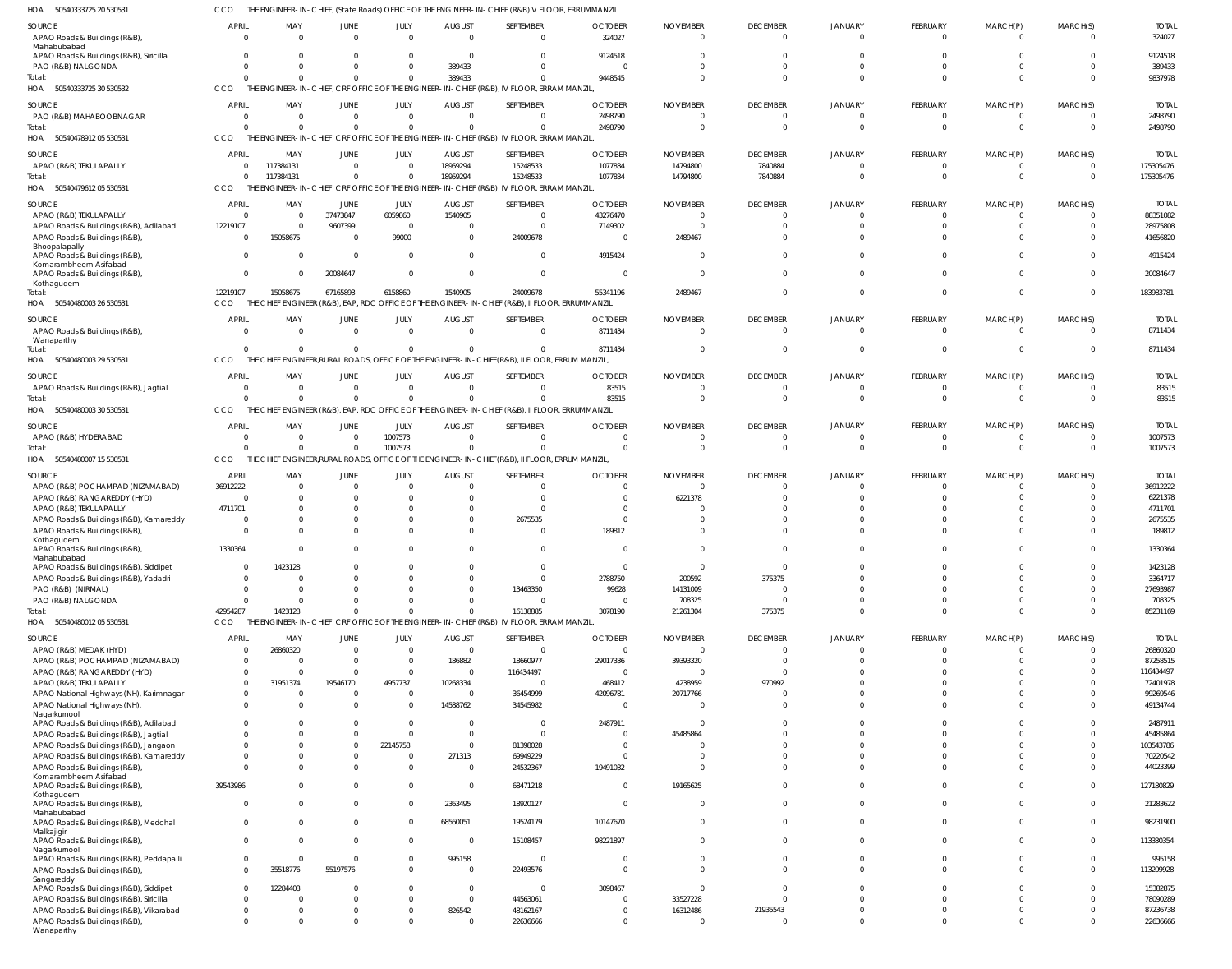| HOA<br>50540333725 20 530531                                                      |                               |                        |                                  |                              |                           | THE ENGINEER-IN-CHIEF, (State Roads) OFFICE OF THE ENGINEER-IN-CHIEF (R&B) V FLOOR, ERRUMMANZIL            |                            |                             |                             |                            |                             |                                  |                                  |                          |
|-----------------------------------------------------------------------------------|-------------------------------|------------------------|----------------------------------|------------------------------|---------------------------|------------------------------------------------------------------------------------------------------------|----------------------------|-----------------------------|-----------------------------|----------------------------|-----------------------------|----------------------------------|----------------------------------|--------------------------|
| SOURCE<br>APAO Roads & Buildings (R&B),                                           | <b>APRIL</b><br>$\Omega$      | MAY<br>$\Omega$        | JUNE<br>$\Omega$                 | JULY<br>$\Omega$             | <b>AUGUST</b><br>$\Omega$ | SEPTEMBER<br>$\overline{0}$                                                                                | <b>OCTOBER</b><br>324027   | <b>NOVEMBER</b><br>$\Omega$ | <b>DECEMBER</b><br>$\Omega$ | <b>JANUARY</b><br>$\Omega$ | <b>FEBRUARY</b><br>$\Omega$ | MARCH(P)<br>$\overline{0}$       | MARCH(S)<br>$\mathbf 0$          | <b>TOTAL</b><br>324027   |
| Mahabubabad<br>APAO Roads & Buildings (R&B), Siricilla                            | $\Omega$                      | $\Omega$               | $\Omega$                         | $\mathbf{0}$                 | $\Omega$                  | $\Omega$                                                                                                   | 9124518                    | $\Omega$                    | $\Omega$                    | $\cap$                     |                             | $\Omega$                         | $\Omega$                         | 9124518                  |
| PAO (R&B) NALGONDA                                                                | $\Omega$                      | $\Omega$               | $\Omega$                         | $\mathbf 0$                  | 389433                    | $\overline{0}$                                                                                             |                            | $\Omega$                    | $\Omega$                    | $\Omega$                   |                             | $\Omega$                         | $\mathbf 0$                      | 389433                   |
| Total:<br>50540333725 30 530532<br>HOA                                            | $\Omega$<br>CCO               |                        | $\Omega$                         | $\Omega$                     | 389433                    | $\Omega$<br>THE ENGINEER-IN-CHIEF, CRF OFFICE OF THE ENGINEER-IN-CHIEF (R&B), IV FLOOR, ERRAM MANZIL,      | 9448545                    | $\Omega$                    | $\Omega$                    | $\Omega$                   |                             | $\Omega$                         | $\Omega$                         | 9837978                  |
| SOURCE                                                                            | <b>APRIL</b>                  | MAY                    | JUNE                             | JULY                         | <b>AUGUST</b>             | SEPTEMBER                                                                                                  | <b>OCTOBER</b>             | <b>NOVEMBER</b>             | <b>DECEMBER</b>             | <b>JANUARY</b>             | <b>FEBRUARY</b>             | MARCH(P)                         | MARCH(S)                         | <b>TOTAL</b>             |
| PAO (R&B) MAHABOOBNAGAR<br>Total:                                                 | $\overline{0}$<br>$\Omega$    | $\Omega$               | $\overline{0}$<br>$\Omega$       | $\mathbf 0$<br>$\mathbf 0$   | $\Omega$                  | $\overline{0}$<br>$\Omega$                                                                                 | 2498790<br>2498790         | $\overline{0}$<br>$\Omega$  | $\Omega$<br>$\Omega$        | $\Omega$<br>$\Omega$       | $\mathbf{0}$<br>$\Omega$    | $\overline{0}$<br>$\overline{0}$ | $\overline{0}$<br>$\overline{0}$ | 2498790<br>2498790       |
| 50540478912 05 530531<br>HOA                                                      | CCO                           | THE ENGINEER-IN-CHIEF, |                                  | CRF OFFICE OF                |                           | THE ENGINEER-IN-CHIEF (R&B), IV FLOOR, ERRAM MANZIL,                                                       |                            |                             |                             |                            |                             |                                  |                                  |                          |
| SOURCE                                                                            | <b>APRIL</b>                  | MAY                    | <b>JUNE</b>                      | JULY                         | <b>AUGUST</b>             | SEPTEMBER                                                                                                  | <b>OCTOBER</b>             | <b>NOVEMBER</b>             | <b>DECEMBER</b>             | <b>JANUARY</b>             | <b>FEBRUARY</b>             | MARCH(P)                         | MARCH(S)                         | <b>TOTAL</b>             |
| APAO (R&B) TEKULAPALLY<br>Total:                                                  | $\overline{0}$<br>$\mathbf 0$ | 117384131<br>117384131 | $\overline{0}$<br>$\overline{0}$ | $\mathbf{0}$<br>$\mathbf{0}$ | 18959294<br>18959294      | 15248533<br>15248533                                                                                       | 1077834<br>1077834         | 14794800<br>14794800        | 7840884<br>7840884          | $\Omega$<br>$\Omega$       | $\Omega$                    | $\Omega$<br>$\overline{0}$       | $\mathbf 0$<br>$\overline{0}$    | 175305476<br>175305476   |
| HOA 50540479612 05 530531                                                         | CCO                           |                        |                                  |                              |                           | THE ENGINEER-IN-CHIEF, CRF OFFICE OF THE ENGINEER-IN-CHIEF (R&B), IV FLOOR, ERRAM MANZIL,                  |                            |                             |                             |                            |                             |                                  |                                  |                          |
| SOURCE                                                                            | <b>APRIL</b><br>- 0           | MAY<br>$\Omega$        | <b>JUNE</b><br>37473847          | JULY<br>6059860              | <b>AUGUST</b><br>1540905  | SEPTEMBER<br>$\overline{0}$                                                                                | <b>OCTOBER</b><br>43276470 | <b>NOVEMBER</b><br>$\Omega$ | <b>DECEMBER</b><br>$\Omega$ | <b>JANUARY</b><br>- 0      | <b>FEBRUARY</b>             | MARCH(P)<br>0                    | MARCH(S)<br>$^{\circ}$           | <b>TOTAL</b><br>88351082 |
| APAO (R&B) TEKULAPALLY<br>APAO Roads & Buildings (R&B), Adilabad                  | 12219107                      | $\Omega$               | 9607399                          | $\mathbf{0}$                 | $\Omega$                  | $\overline{0}$                                                                                             | 7149302                    | $\Omega$                    | $\Omega$                    | $\cap$                     |                             | $\Omega$                         | $\mathbf 0$                      | 28975808                 |
| APAO Roads & Buildings (R&B),                                                     | $\overline{0}$                | 15058675               | $\overline{0}$                   | 99000                        | $\Omega$                  | 24009678                                                                                                   |                            | 2489467                     |                             | $\Omega$                   |                             | $\Omega$                         | $\Omega$                         | 41656820                 |
| Bhoopalapally<br>APAO Roads & Buildings (R&B),                                    | $\overline{0}$                | - 0                    | $\overline{0}$                   | $\mathbf{0}$                 | $\Omega$                  | $\overline{0}$                                                                                             | 4915424                    | $\Omega$                    | $\Omega$                    | $\Omega$                   |                             | $\Omega$                         | $\mathbf 0$                      | 4915424                  |
| Komarambheem Asifabad                                                             | $\overline{0}$                |                        | 20084647                         | $\mathbf{0}$                 |                           | $\overline{0}$                                                                                             |                            | - 0                         | $\Omega$                    | $\Omega$                   | $\Omega$                    | $\mathbf 0$                      | $\mathbf 0$                      | 20084647                 |
| APAO Roads & Buildings (R&B),<br>Kothagudem                                       |                               |                        |                                  |                              |                           |                                                                                                            |                            |                             |                             |                            |                             |                                  |                                  |                          |
| Total:<br>HOA<br>50540480003 26 530531                                            | 12219107<br>CCO               | 15058675<br>THE        | 67165893                         | 6158860                      | 1540905                   | 24009678<br>CHIEF ENGINEER (R&B), EAP, RDC OFFICE OF THE ENGINEER-IN-CHIEF (R&B), II FLOOR, ERRUMMANZIL    | 55341196                   | 2489467                     | $\Omega$                    | $\Omega$                   | $\Omega$                    | $\mathbf{0}$                     | $\overline{0}$                   | 183983781                |
| SOURCE                                                                            | <b>APRIL</b>                  | MAY                    | JUNE                             | JULY                         | <b>AUGUST</b>             | SEPTEMBER                                                                                                  | <b>OCTOBER</b>             | <b>NOVEMBER</b>             | <b>DECEMBER</b>             | <b>JANUARY</b>             | <b>FEBRUARY</b>             | MARCH(P)                         | MARCH(S)                         | <b>TOTAL</b>             |
| APAO Roads & Buildings (R&B),                                                     | $\Omega$                      | $\Omega$               | $\Omega$                         | $\Omega$                     | $\Omega$                  | $\overline{0}$                                                                                             | 8711434                    | $\Omega$                    | $\Omega$                    | $\Omega$                   | $\Omega$                    | $\Omega$                         | $\mathbf 0$                      | 8711434                  |
| Wanaparthy<br>Total:                                                              | $\Omega$                      |                        | $\mathbf{0}$                     | $\mathbf{0}$                 |                           | $\Omega$                                                                                                   | 8711434                    | $\Omega$                    | $\Omega$                    | $\Omega$                   | $\Omega$                    | $\overline{0}$                   | $\mathbf 0$                      | 8711434                  |
| 50540480003 29 530531<br>HOA                                                      | CCO                           | <b>THE</b>             |                                  |                              |                           | iief engineer,rural roads, office of the engineer-in-chief(r&b), ii floor, errum manzil                    |                            |                             |                             |                            |                             |                                  |                                  |                          |
| SOURCE                                                                            | <b>APRIL</b>                  | MAY                    | <b>JUNE</b>                      | JULY                         | <b>AUGUST</b>             | SEPTEMBER                                                                                                  | <b>OCTOBER</b>             | <b>NOVEMBER</b>             | <b>DECEMBER</b>             | <b>JANUARY</b>             | <b>FEBRUARY</b>             | MARCH(P)                         | MARCH(S)                         | <b>TOTAL</b>             |
| APAO Roads & Buildings (R&B), Jagtial<br>Total:                                   | $\overline{0}$<br>$\Omega$    | $\Omega$               | $\overline{0}$<br>$\mathbf{0}$   | $\mathbf{0}$<br>$\mathbf{0}$ | $\Omega$                  | $\overline{0}$<br>$\Omega$                                                                                 | 83515<br>83515             | $\Omega$<br>$\Omega$        | $\Omega$<br>$\Omega$        | $\Omega$<br>$\Omega$       | $\mathbf 0$<br>$\Omega$     | $\overline{0}$<br>$\overline{0}$ | $\overline{0}$<br>$\mathbf 0$    | 83515<br>83515           |
| 50540480003 30 530531<br>HOA                                                      | CCO                           |                        |                                  |                              |                           | THE CHIEF ENGINEER (R&B), EAP, RDC OFFICE OF THE ENGINEER-IN-CHIEF (R&B), II FLOOR, ERRUMMANZIL            |                            |                             |                             |                            |                             |                                  |                                  |                          |
| SOURCE                                                                            | <b>APRIL</b>                  | MAY                    | <b>JUNE</b>                      | JULY                         | <b>AUGUST</b>             | SEPTEMBER                                                                                                  | <b>OCTOBER</b>             | <b>NOVEMBER</b>             | <b>DECEMBER</b>             | JANUARY                    | FEBRUARY                    | MARCH(P)                         | MARCH(S)                         | <b>TOTAL</b>             |
| APAO (R&B) HYDERABAD                                                              | - 0                           | $\Omega$               | $\overline{0}$                   | 1007573                      | $\Omega$                  | $\overline{0}$                                                                                             |                            | $\Omega$                    | $\Omega$                    | - 0                        | 0                           | $\Omega$                         | $\mathbf{0}$                     | 1007573                  |
| Total:<br>50540480007 15 530531<br>HOA                                            | $\Omega$<br>CCO               | $\Omega$               | $\mathbf{0}$                     | 1007573                      | $\Omega$                  | $\Omega$<br>THE CHIEF ENGINEER, RURAL ROADS, OFFICE OF THE ENGINEER-IN-CHIEF (R&B), II FLOOR, ERRUM MANZIL |                            | $\Omega$                    | $\Omega$                    | $\Omega$                   |                             | $\Omega$                         | $\mathbf 0$                      | 1007573                  |
| SOURCE                                                                            | <b>APRIL</b>                  | MAY                    | <b>JUNE</b>                      | JULY                         | <b>AUGUST</b>             | SEPTEMBER                                                                                                  | <b>OCTOBER</b>             | <b>NOVEMBER</b>             | <b>DECEMBER</b>             | <b>JANUARY</b>             | <b>FEBRUARY</b>             | MARCH(P)                         | MARCH(S)                         | <b>TOTAL</b>             |
| APAO (R&B) POCHAMPAD (NIZAMABAD)                                                  | 36912222                      | - 0                    | $\overline{0}$                   | $\overline{0}$               |                           | - 0                                                                                                        |                            | $\overline{0}$              | $\Omega$                    | - 0                        |                             | $\Omega$                         | $\Omega$                         | 36912222                 |
| APAO (R&B) RANGAREDDY (HYD)                                                       | $\overline{0}$                | $\cap$                 | $\Omega$                         | $\Omega$                     |                           | $\overline{0}$                                                                                             |                            | 6221378                     | $\Omega$                    | $\Omega$                   |                             | $\Omega$                         | $\mathbf 0$                      | 6221378                  |
| APAO (R&B) TEKULAPALLY                                                            | 4711701                       |                        | $\Omega$                         | $\Omega$                     |                           | $\Omega$                                                                                                   |                            | - 0                         |                             | $\Omega$                   |                             |                                  | $\Omega$                         | 4711701                  |
| APAO Roads & Buildings (R&B), Kamareddy<br>APAO Roads & Buildings (R&B),          | - 0<br>$\Omega$               |                        | $\Omega$<br>$\Omega$             | $\Omega$<br>$\Omega$         |                           | 2675535<br>$\Omega$                                                                                        | 189812                     | - 0<br>$\Omega$             | $\Omega$                    | $\cap$<br>$\Omega$         |                             | $\Omega$                         | $\Omega$<br>$\Omega$             | 2675535<br>189812        |
| Kothagudem<br>APAO Roads & Buildings (R&B),                                       | 1330364                       |                        | $\Omega$                         | $\Omega$                     |                           | $\Omega$                                                                                                   |                            |                             | $\Omega$                    |                            |                             | $\Omega$                         | $\Omega$                         | 1330364                  |
| Mahabubabad                                                                       |                               |                        |                                  |                              |                           |                                                                                                            |                            |                             |                             |                            |                             |                                  |                                  |                          |
| APAO Roads & Buildings (R&B), Siddipet<br>APAO Roads & Buildings (R&B), Yadadri   | $\mathbf{0}$<br>$\Omega$      | 1423128<br>$\Omega$    | $\Omega$<br>$\Omega$             | $\Omega$<br>$\Omega$         | $\Omega$                  | $\overline{0}$<br>$\overline{0}$                                                                           | $\Omega$<br>2788750        | $\overline{0}$<br>200592    | $\overline{0}$<br>375375    | $\Omega$<br>$\Omega$       | $\Omega$                    | $\Omega$<br>$\mathbf 0$          | $\Omega$<br>$\Omega$             | 1423128<br>3364717       |
| PAO (R&B) (NIRMAL)                                                                | $\overline{0}$                | $\Omega$               | $\Omega$                         | $\Omega$                     | $\Omega$                  | 13463350                                                                                                   | 99628                      | 14131009                    | $\Omega$                    | $\Omega$                   | $\Omega$                    | $\Omega$                         | $\Omega$                         | 27693987                 |
| PAO (R&B) NALGONDA                                                                | $\Omega$                      | $\Omega$               | $\Omega$                         | $\Omega$                     |                           | $\overline{0}$                                                                                             |                            | 708325                      | $\Omega$                    | $\Omega$                   | $\Omega$                    | $\Omega$                         | $\mathbf 0$                      | 708325                   |
| Total:<br>50540480012 05 530531<br>HOA                                            | 42954287<br>CCO               | 1423128                | $\Omega$                         | $\Omega$                     |                           | 16138885<br>THE ENGINEER-IN-CHIEF, CRF OFFICE OF THE ENGINEER-IN-CHIEF (R&B), IV FLOOR, ERRAM MANZIL       | 3078190                    | 21261304                    | 375375                      | $\Omega$                   | $\Omega$                    | $\Omega$                         | $\mathbf 0$                      | 85231169                 |
|                                                                                   |                               |                        |                                  |                              |                           |                                                                                                            |                            |                             |                             |                            |                             |                                  |                                  |                          |
| SOURCE<br>APAO (R&B) MEDAK (HYD)                                                  | <b>APRIL</b><br>$\Omega$      | MAY<br>26860320        | JUNE<br>$\Omega$                 | JULY<br>$\Omega$             | <b>AUGUST</b><br>$\Omega$ | SEPTEMBER<br>$\overline{0}$                                                                                | <b>OCTOBER</b>             | <b>NOVEMBER</b><br>$\Omega$ | <b>DECEMBER</b><br>$\Omega$ | <b>JANUARY</b><br>$\Omega$ | <b>FEBRUARY</b><br>0        | MARCH(P)<br>$\Omega$             | MARCH(S)<br>$\Omega$             | <b>TOTAL</b><br>26860320 |
| APAO (R&B) POCHAMPAD (NIZAMABAD)                                                  | $\Omega$                      | - 6                    | $\Omega$                         | $\Omega$                     | 186882                    | 18660977                                                                                                   | 29017336                   | 39393320                    | $\Omega$                    | $\Omega$                   |                             | $\Omega$                         | $\Omega$                         | 87258515                 |
| APAO (R&B) RANGAREDDY (HYD)                                                       | $\Omega$                      | $\cap$                 | $\Omega$                         | $\Omega$                     | $\Omega$                  | 116434497                                                                                                  |                            | $\Omega$                    | $\Omega$                    | $\Omega$                   |                             | $\Omega$                         | $\Omega$                         | 116434497                |
| APAO (R&B) TEKULAPALLY                                                            | $\mathbf 0$                   | 31951374               | 19546170<br>$\Omega$             | 4957737<br>$\mathbf 0$       | 10268334<br>$\Omega$      | $\overline{0}$                                                                                             | 468412                     | 4238959                     | 970992<br>$\Omega$          | $\Omega$<br>$\Omega$       |                             | $\Omega$<br>$\Omega$             | $\Omega$<br>$\Omega$             | 72401978<br>99269546     |
| APAO National Highways (NH), Karimnagar<br>APAO National Highways (NH),           | $\mathbf 0$<br>$\Omega$       | $\Omega$<br>$\cap$     | $\Omega$                         | $\Omega$                     | 14588762                  | 36454999<br>34545982                                                                                       | 42096781<br>-C             | 20717766<br>$\Omega$        | $\Omega$                    | $\Omega$                   |                             | $\Omega$                         | $\Omega$                         | 49134744                 |
| Nagarkurnool                                                                      | $\Omega$                      | $\Omega$               | $\Omega$                         | $\Omega$                     | $\Omega$                  | $\Omega$                                                                                                   |                            |                             | $\Omega$                    | $\Omega$                   |                             | $\Omega$                         | $\Omega$                         |                          |
| APAO Roads & Buildings (R&B), Adilabad<br>APAO Roads & Buildings (R&B), Jagtial   | $\Omega$                      |                        | $\Omega$                         | $\Omega$                     | $\Omega$                  | $\overline{0}$                                                                                             | 2487911                    | $\Omega$<br>45485864        | $\Omega$                    | $\Omega$                   |                             | $\Omega$                         | $\Omega$                         | 2487911<br>45485864      |
| APAO Roads & Buildings (R&B), Jangaon                                             | $\Omega$                      |                        | $\Omega$                         | 22145758                     |                           | 81398028                                                                                                   | $\Omega$                   | $\Omega$                    | $\Omega$                    | $\Omega$                   |                             | $\Omega$                         | $\Omega$                         | 103543786                |
| APAO Roads & Buildings (R&B), Kamareddy                                           | $\Omega$                      |                        | $\Omega$                         | $\Omega$                     | 271313                    | 69949229                                                                                                   | $\Omega$                   | $\Omega$                    | $\Omega$                    | $\Omega$                   |                             | $\Omega$                         | $\Omega$                         | 70220542                 |
| APAO Roads & Buildings (R&B),<br>Komarambheem Asifabad                            | $\Omega$                      | $\cap$                 | $\Omega$                         | $\Omega$                     | $\Omega$                  | 24532367                                                                                                   | 19491032                   | $\Omega$                    | $\Omega$                    | $\Omega$                   | $\Omega$                    | $\Omega$                         | $\Omega$                         | 44023399                 |
| APAO Roads & Buildings (R&B),                                                     | 39543986                      |                        | $\Omega$                         | $\Omega$                     | $\Omega$                  | 68471218                                                                                                   | $\Omega$                   | 19165625                    | $\Omega$                    | $\Omega$                   | $\Omega$                    | $\Omega$                         | $\Omega$                         | 127180829                |
| Kothagudem<br>APAO Roads & Buildings (R&B),                                       | $\overline{0}$                | $\Omega$               | $\Omega$                         | $\Omega$                     | 2363495                   | 18920127                                                                                                   | $\Omega$                   | $\Omega$                    | $\Omega$                    | $\Omega$                   | $\Omega$                    | $\Omega$                         | $\Omega$                         | 21283622                 |
| Mahabubabad<br>APAO Roads & Buildings (R&B), Medchal                              | $\mathbf 0$                   | $\Omega$               | $\Omega$                         | $\mathbf 0$                  | 68560051                  | 19524179                                                                                                   | 10147670                   | $\Omega$                    | $\Omega$                    | $\Omega$                   | $\Omega$                    | $\Omega$                         | $\mathbf{0}$                     | 98231900                 |
| Malkajigiri                                                                       |                               |                        |                                  |                              |                           |                                                                                                            |                            | $\Omega$                    |                             | $\Omega$                   |                             |                                  |                                  |                          |
| APAO Roads & Buildings (R&B),<br>Nagarkurnool                                     | $\mathbf 0$                   | $\Omega$               | $\Omega$                         | $\mathbf{0}$                 |                           | 15108457                                                                                                   | 98221897                   |                             | $\Omega$                    |                            | $\Omega$                    | $\Omega$                         | $\Omega$                         | 113330354                |
| APAO Roads & Buildings (R&B), Peddapalli<br>APAO Roads & Buildings (R&B),         | $\mathbf 0$<br>$\mathbf 0$    | $\Omega$<br>35518776   | $\Omega$<br>55197576             | $\Omega$<br>$\Omega$         | 995158<br>$\Omega$        | $\overline{0}$<br>22493576                                                                                 | - 0<br>$\Omega$            | $\overline{0}$<br>$\Omega$  | $\Omega$<br>$\Omega$        | $\Omega$<br>$\Omega$       | $\Omega$<br>$\Omega$        | $\Omega$<br>$\Omega$             | $\Omega$<br>$\Omega$             | 995158<br>113209928      |
| Sangareddy                                                                        | $\mathbf 0$                   |                        | <sup>0</sup>                     | $\Omega$                     | $\Omega$                  | $\overline{0}$                                                                                             | 3098467                    | $\Omega$                    | $\Omega$                    | $\Omega$                   |                             | $\Omega$                         | $\Omega$                         | 15382875                 |
| APAO Roads & Buildings (R&B), Siddipet<br>APAO Roads & Buildings (R&B), Siricilla | $\mathbf 0$                   | 12284408<br>- 0        | $\Omega$                         | $\Omega$                     | $\Omega$                  | 44563061                                                                                                   |                            | 33527228                    | $\Omega$                    | $\Omega$                   | $\Omega$                    | $\Omega$                         | $\Omega$                         | 78090289                 |
| APAO Roads & Buildings (R&B), Vikarabad                                           | $\overline{0}$                |                        | $\Omega$                         | $\Omega$                     | 826542                    | 48162167                                                                                                   |                            | 16312486                    | 21935543                    | $\Omega$                   | $\Omega$                    | $\Omega$                         | $\Omega$                         | 87236738                 |
| APAO Roads & Buildings (R&B),<br>Wanaparthy                                       | $\Omega$                      |                        | $\Omega$                         | $\Omega$                     |                           | 22636666                                                                                                   |                            | $\Omega$                    | $\Omega$                    | $\Omega$                   | $\Omega$                    | $\Omega$                         | $\Omega$                         | 22636666                 |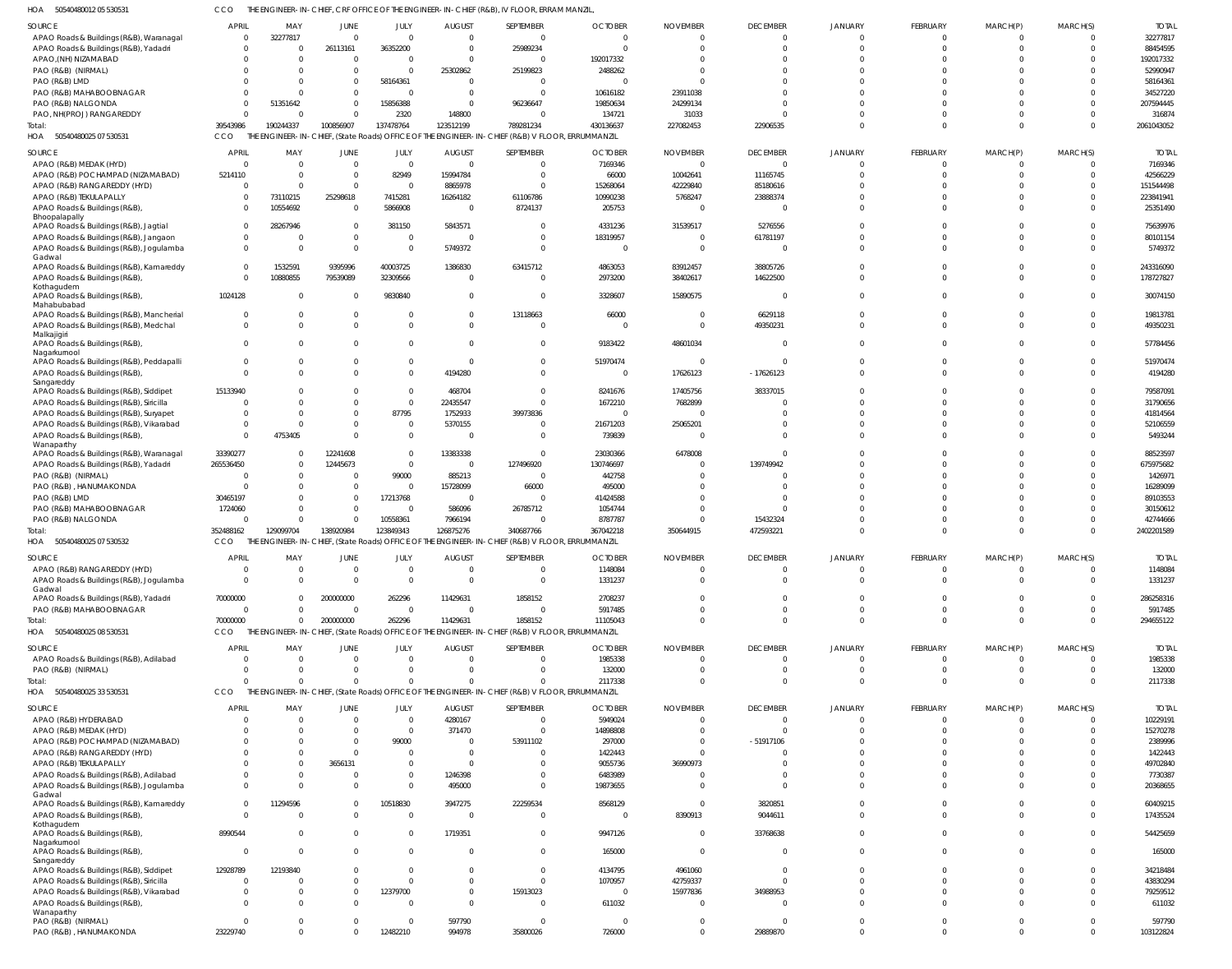50540480012 05 530531 HOA CCO THE ENGINEER-IN-CHIEF, CRF OFFICE OF THE ENGINEER-IN-CHIEF (R&B), IV FLOOR, ERRAM MANZIL,

| .<br>$300 + 0 + 000 + 200000000$                                 |                |                 |                  |                  |                | OTHER, ONE OF THE ENGINEER THE OTHER (NOD), IV TEOCH, END WITH WELL                             |                |                 |                             |                            |                 |                |                      |              |
|------------------------------------------------------------------|----------------|-----------------|------------------|------------------|----------------|-------------------------------------------------------------------------------------------------|----------------|-----------------|-----------------------------|----------------------------|-----------------|----------------|----------------------|--------------|
| SOURCE                                                           | <b>APRIL</b>   | MAY             | JUNE             | JULY             | <b>AUGUST</b>  | SEPTEMBER                                                                                       | <b>OCTOBER</b> | <b>NOVEMBER</b> | <b>DECEMBER</b>             | JANUARY                    | FEBRUARY        | MARCH(P)       | MARCH(S)             | <b>TOTAL</b> |
| APAO Roads & Buildings (R&B), Waranagal                          | $\Omega$       | 32277817        | $\Omega$         | $\Omega$         | $\Omega$       | $\Omega$                                                                                        | $\Omega$       |                 | $\Omega$                    | $\Omega$                   | $\Omega$        |                | $\Omega$             | 32277817     |
| APAO Roads & Buildings (R&B), Yadadri                            | $\Omega$       | $\Omega$        | 26113161         | 36352200         | $\Omega$       | 25989234                                                                                        | $\Omega$       |                 | $\Omega$                    | $\Omega$                   | $\Omega$        |                |                      | 88454595     |
| APAO, (NH) NIZAMABAD                                             |                | $\Omega$        | - 0              | $\Omega$         | $\Omega$       | $\Omega$                                                                                        | 192017332      |                 | $\Omega$                    | $\Omega$                   |                 |                |                      | 192017332    |
| PAO (R&B) (NIRMAL)                                               |                | $\Omega$        | $\Omega$         | $\Omega$         | 25302862       | 25199823                                                                                        | 2488262        |                 | $\Omega$                    | $\Omega$                   |                 |                |                      | 52990947     |
| PAO (R&B) LMD                                                    |                | $\Omega$        | $\Omega$         | 58164361         | $\Omega$       | - 0                                                                                             |                |                 | ſ                           | $\Omega$                   |                 |                |                      | 58164361     |
| PAO (R&B) MAHABOOBNAGAR                                          |                |                 | $\Omega$         | $\Omega$         | $\Omega$       | $\Omega$                                                                                        | 10616182       | 23911038        | ſ                           | $\Omega$                   |                 |                |                      | 34527220     |
| PAO (R&B) NALGONDA                                               | $\Omega$       | 51351642        | $\Omega$         | 15856388         | $\Omega$       | 96236647                                                                                        | 19850634       | 24299134        | ſ                           | $\Omega$                   |                 |                |                      | 207594445    |
| PAO, NH(PROJ) RANGAREDDY                                         | $\Omega$       | $\Omega$        | $\Omega$         | 2320             | 148800         | $\Omega$                                                                                        | 134721         | 31033           | -C                          | $\Omega$                   |                 |                |                      | 316874       |
| Total:                                                           | 39543986       | 190244337       | 100856907        | 137478764        | 123512199      | 789281234                                                                                       | 430136637      | 227082453       | 22906535                    | $\Omega$                   |                 | $\Omega$       |                      | 2061043052   |
| 50540480025 07 530531<br>HOA                                     | CCO            |                 |                  |                  |                | THE ENGINEER-IN-CHIEF, (State Roads) OFFICE OF THE ENGINEER-IN-CHIEF (R&B) V FLOOR, ERRUMMANZIL |                |                 |                             |                            |                 |                |                      |              |
|                                                                  |                |                 |                  |                  |                |                                                                                                 |                |                 |                             |                            |                 |                |                      |              |
| <b>SOURCE</b>                                                    | <b>APRIL</b>   | MAY             | JUNE             | JULY             | <b>AUGUST</b>  | SEPTEMBER                                                                                       | <b>OCTOBER</b> | <b>NOVEMBER</b> | <b>DECEMBER</b>             | <b>JANUARY</b>             | FEBRUARY        | MARCH(P)       | MARCH(S)             | <b>TOTAL</b> |
| APAO (R&B) MEDAK (HYD)                                           | $\overline{0}$ | $\Omega$        | $\overline{0}$   | $\Omega$         | $\overline{0}$ | $\Omega$                                                                                        | 7169346        | $\Omega$        | $\overline{0}$              | $\circ$                    | $\Omega$        | $\overline{0}$ | $\overline{0}$       | 7169346      |
| APAO (R&B) POCHAMPAD (NIZAMABAD)                                 | 5214110        | $\Omega$        | $\overline{0}$   | 82949            | 15994784       | $\Omega$                                                                                        | 66000          | 10042641        | 11165745                    | $\Omega$                   | $\Omega$        | $\Omega$       | $\Omega$             | 42566229     |
| APAO (R&B) RANGAREDDY (HYD)                                      | $\overline{0}$ | $\Omega$        | $\overline{0}$   | - 0              | 8865978        | $\Omega$                                                                                        | 15268064       | 42229840        | 85180616                    | $\Omega$                   | $\Omega$        | $\Omega$       | $\Omega$             | 151544498    |
| APAO (R&B) TEKULAPALLY                                           | $\overline{0}$ | 73110215        | 25298618         | 7415281          | 16264182       | 61106786                                                                                        | 10990238       | 5768247         | 23888374                    | $\Omega$                   | $\Omega$        | $\Omega$       | $\Omega$             | 223841941    |
| APAO Roads & Buildings (R&B)                                     | $\Omega$       | 10554692        | $\overline{0}$   | 5866908          | $\overline{0}$ | 8724137                                                                                         | 205753         |                 | 0                           | $\Omega$                   | $\Omega$        | $\Omega$       | $\Omega$             | 25351490     |
| Bhoopalapally<br>APAO Roads & Buildings (R&B), Jagtial           | $\mathbf 0$    | 28267946        | $\overline{0}$   | 381150           | 5843571        | $\Omega$                                                                                        | 4331236        | 31539517        | 5276556                     | $\Omega$                   | $\cap$          | $\Omega$       | $\Omega$             | 75639976     |
|                                                                  | $\overline{0}$ | $\Omega$        | $\overline{0}$   | $\Omega$         | $\overline{0}$ | $\Omega$                                                                                        | 18319957       |                 | 61781197                    | $\Omega$                   | $\Omega$        | $\Omega$       | $\Omega$             | 80101154     |
| APAO Roads & Buildings (R&B), Jangaon                            | $\overline{0}$ | $\Omega$        | $\mathbf{0}$     | $\Omega$         | 5749372        | $\Omega$                                                                                        | $\overline{0}$ |                 | $\Omega$                    | $\Omega$                   | $\Omega$        | $\Omega$       | $\Omega$             | 5749372      |
| APAO Roads & Buildings (R&B), Jogulamba<br>Gadwal                |                |                 |                  |                  |                |                                                                                                 |                |                 |                             |                            |                 |                |                      |              |
| APAO Roads & Buildings (R&B), Kamareddy                          | $\overline{0}$ | 1532591         | 9395996          | 40003725         | 1386830        | 63415712                                                                                        | 4863053        | 83912457        | 38805726                    | $\Omega$                   |                 | $\Omega$       | $\Omega$             | 243316090    |
| APAO Roads & Buildings (R&B)                                     | $\Omega$       | 10880855        | 79539089         | 32309566         | $\overline{0}$ | $\Omega$                                                                                        | 2973200        | 38402617        | 14622500                    | $\Omega$                   | $\Omega$        | $\Omega$       | $\Omega$             | 178727827    |
| Kothagudem                                                       |                |                 |                  |                  |                |                                                                                                 |                |                 |                             |                            |                 |                |                      |              |
| APAO Roads & Buildings (R&B)                                     | 1024128        | $\Omega$        | $\overline{0}$   | 9830840          | $\overline{0}$ | $\Omega$                                                                                        | 3328607        | 15890575        | - 0                         | $\Omega$                   | $\Omega$        | $\Omega$       | $\Omega$             | 30074150     |
| Mahabubabad                                                      |                |                 |                  |                  |                |                                                                                                 |                |                 |                             |                            |                 |                |                      |              |
| APAO Roads & Buildings (R&B), Mancherial                         | $\Omega$       | $\Omega$        | $\mathbf 0$      | $\Omega$         | $\mathbf 0$    | 13118663                                                                                        | 66000          |                 | 6629118                     | $\Omega$                   | $\Omega$        | $\Omega$       | $\Omega$             | 19813781     |
| APAO Roads & Buildings (R&B), Medchal<br>Malkajigiri             | $\Omega$       | $\Omega$        | $\Omega$         | $\Omega$         | $\Omega$       | $\Omega$                                                                                        | $\overline{0}$ | $\Omega$        | 49350231                    | $\Omega$                   | $\Omega$        | $\Omega$       | $\Omega$             | 49350231     |
| APAO Roads & Buildings (R&B),                                    | $\overline{0}$ | $\Omega$        | $\Omega$         | $\Omega$         | $\Omega$       | $\Omega$                                                                                        | 9183422        | 48601034        | $\Omega$                    | $\Omega$                   | $\Omega$        | $\Omega$       | $\Omega$             | 57784456     |
| Nagarkurnool                                                     |                |                 |                  |                  |                |                                                                                                 |                |                 |                             |                            |                 |                |                      |              |
| APAO Roads & Buildings (R&B), Peddapalli                         | $\Omega$       | $\Omega$        | $\Omega$         | $\Omega$         | $\overline{0}$ | $\Omega$                                                                                        | 51970474       |                 | $\Omega$                    | $\Omega$                   | $\Omega$        | $\Omega$       | $\Omega$             | 51970474     |
| APAO Roads & Buildings (R&B)                                     | $\Omega$       | $\Omega$        | $\Omega$         | $\Omega$         | 4194280        | $\Omega$                                                                                        | $\overline{0}$ | 17626123        | $-17626123$                 | $\Omega$                   | $\Omega$        | $\Omega$       | $\Omega$             | 4194280      |
| Sangareddy                                                       |                |                 |                  |                  |                |                                                                                                 |                |                 |                             |                            |                 |                |                      |              |
| APAO Roads & Buildings (R&B), Siddipet                           | 15133940       | $\Omega$        | $\Omega$         | $\Omega$         | 468704         | $\Omega$                                                                                        | 8241676        | 17405756        | 38337015                    | $\Omega$                   |                 | $\Omega$       | $\Omega$             | 79587091     |
| APAO Roads & Buildings (R&B), Siricilla                          | $\Omega$       | $\Omega$        | $\Omega$         | $\Omega$         | 22435547       | $\Omega$                                                                                        | 1672210        | 7682899         | $\Omega$                    | $\Omega$                   |                 |                | $\Omega$             | 31790656     |
| APAO Roads & Buildings (R&B), Suryapet                           | $\Omega$       | $\Omega$        | $\Omega$         | 87795            | 1752933        | 39973836                                                                                        | $\mathbf{0}$   |                 | $\Omega$                    | $\Omega$                   |                 | $\Omega$       | $\Omega$             | 41814564     |
| APAO Roads & Buildings (R&B), Vikarabad                          | $\overline{0}$ | $\Omega$        | $\mathbf 0$      | $\Omega$         | 5370155        | $\Omega$                                                                                        | 21671203       | 25065201        | $\Omega$                    | $\Omega$                   |                 | $\Omega$       | $\Omega$             | 52106559     |
| APAO Roads & Buildings (R&B)                                     | $\Omega$       | 4753405         | $\Omega$         | $\Omega$         | $\mathbf 0$    | $\Omega$                                                                                        | 739839         |                 | $\Omega$                    | $\Omega$                   | $\Omega$        | $\Omega$       | $\Omega$             | 5493244      |
| Wanaparthy<br>APAO Roads & Buildings (R&B), Waranagal            | 33390277       | $\Omega$        | 12241608         | $\Omega$         | 13383338       | $\Omega$                                                                                        | 23030366       | 6478008         | $\Omega$                    | $\Omega$                   |                 | $\Omega$       | $\Omega$             | 88523597     |
| APAO Roads & Buildings (R&B), Yadadri                            | 265536450      | $\Omega$        | 12445673         | $\Omega$         | $\overline{0}$ | 127496920                                                                                       | 130746697      |                 | 139749942                   | $\Omega$                   | $\cap$          | $\Omega$       | $\Omega$             | 675975682    |
| PAO (R&B) (NIRMAL)                                               | $\Omega$       | 0               | $\mathbf{0}$     | 99000            | 885213         | $\Omega$                                                                                        | 442758         |                 | $\Omega$                    | $\Omega$                   |                 | $\Omega$       | $\Omega$             | 1426971      |
| PAO (R&B), HANUMAKONDA                                           | $\Omega$       | $\Omega$        | $\overline{0}$   | $\Omega$         | 15728099       | 66000                                                                                           | 495000         |                 | $\Omega$                    | $\Omega$                   |                 | $\Omega$       |                      | 16289099     |
| PAO (R&B) LMD                                                    | 30465197       | $\Omega$        | $\overline{0}$   | 17213768         | $\overline{0}$ | $\Omega$                                                                                        | 41424588       |                 | -C                          | $\Omega$                   |                 |                |                      | 89103553     |
| PAO (R&B) MAHABOOBNAGAR                                          | 1724060        | $\Omega$        | $\Omega$         | $\Omega$         | 586096         | 26785712                                                                                        | 1054744        |                 | -C                          | $\Omega$                   |                 | $\Omega$       | $\Omega$             | 30150612     |
| PAO (R&B) NALGONDA                                               | $\Omega$       | $\Omega$        | $\overline{0}$   | 10558361         | 7966194        | $\Omega$                                                                                        | 8787787        |                 | 15432324                    | $\Omega$                   | $\Omega$        | $\Omega$       | $\Omega$             | 42744666     |
| Total:                                                           | 352488162      | 129099704       | 138920984        | 123849343        | 126875276      | 340687766                                                                                       | 367042218      | 350644915       | 472593221                   | $\Omega$                   | $\Omega$        | $\Omega$       | $\Omega$             | 2402201589   |
| HOA 50540480025 07 530532                                        | CCO            |                 |                  |                  |                | THE ENGINEER-IN-CHIEF, (State Roads) OFFICE OF THE ENGINEER-IN-CHIEF (R&B) V FLOOR, ERRUMMANZIL |                |                 |                             |                            |                 |                |                      |              |
|                                                                  |                |                 |                  |                  |                |                                                                                                 |                |                 |                             |                            |                 |                |                      |              |
| <b>SOURCE</b>                                                    | <b>APRI</b>    | MAY             | JUNE             | JULY             | <b>AUGUST</b>  | <b>SEPTEMBER</b>                                                                                | <b>OCTOBER</b> | <b>NOVEMBER</b> | <b>DECEMBER</b>             | <b>JANUARY</b>             | <b>FEBRUARY</b> | MARCH(P)       | MARCH(S)             | <b>TOTAL</b> |
| APAO (R&B) RANGAREDDY (HYD)                                      | $\Omega$       |                 | $\Omega$         | $\Omega$         | $\Omega$       | $\Omega$                                                                                        | 1148084        |                 | $\Omega$                    | $\Omega$                   |                 |                |                      | 1148084      |
| APAO Roads & Buildings (R&B), Jogulamba                          | $\Omega$       | $\Omega$        | $\Omega$         | $\Omega$         | $\Omega$       | $\Omega$                                                                                        | 1331237        |                 | $\Omega$                    | $\Omega$                   | $\Omega$        | $\Omega$       | $\Omega$             | 1331237      |
| Gadwal                                                           | 70000000       | $\Omega$        |                  | 262296           |                | 1858152                                                                                         | 2708237        |                 | $\Omega$                    | $\Omega$                   |                 |                |                      | 286258316    |
| APAO Roads & Buildings (R&B), Yadadri<br>PAO (R&B) MAHABOOBNAGAR | $\Omega$       |                 | 200000000        |                  | 11429631       |                                                                                                 |                |                 |                             |                            | $\Omega$        | $\Omega$       |                      |              |
|                                                                  |                | $\Omega$        | $\Omega$         | $\Omega$         | $\Omega$       | $\Omega$                                                                                        | 5917485        |                 | $\Omega$                    | $\Omega$                   |                 | $\Omega$       | $\Omega$             | 5917485      |
| Total:                                                           | 70000000       | $\Omega$        | 200000000        | 262296           | 11429631       | 1858152                                                                                         | 11105043       |                 | $\Omega$                    | $\Omega$                   | $\Omega$        |                | $\Omega$             | 294655122    |
| HOA 50540480025 08 530531                                        | CCO            |                 |                  |                  |                | THE ENGINEER-IN-CHIEF, (State Roads) OFFICE OF THE ENGINEER-IN-CHIEF (R&B) V FLOOR, ERRUMMANZIL |                |                 |                             |                            |                 |                |                      |              |
| <b>SOURCE</b>                                                    | <b>APRIL</b>   | MAY             | JUNE             | JULY             | <b>AUGUST</b>  | SEPTEMBER                                                                                       | <b>OCTOBER</b> | <b>NOVEMBER</b> | <b>DECEMBER</b>             | <b>JANUARY</b>             | FEBRUARY        | MARCH(P)       | MARCH(S)             | <b>TOTAL</b> |
| APAO Roads & Buildings (R&B), Adilabad                           | $\overline{0}$ | $\Omega$        | $\overline{0}$   | $\Omega$         | $\overline{0}$ | $\Omega$                                                                                        | 1985338        |                 | $\overline{0}$              | $\overline{0}$             | $\Omega$        | $\Omega$       | $\Omega$             | 1985338      |
| PAO (R&B) (NIRMAL)                                               | $\Omega$       | $\Omega$        | $\Omega$         | $\Omega$         | $\Omega$       | $\Omega$                                                                                        | 132000         |                 | $\Omega$                    | $\Omega$                   | $\Omega$        | $\mathbf 0$    | $\Omega$             | 132000       |
| Total:                                                           | $\Omega$       | $\Omega$        | $\Omega$         | $\Omega$         | $\Omega$       | $\Omega$                                                                                        | 2117338        |                 | $\Omega$                    | $\Omega$                   | $\Omega$        | $\Omega$       | $\Omega$             | 2117338      |
| HOA 50540480025 33 530531                                        | <b>CCO</b>     |                 |                  |                  |                | THE ENGINEER-IN-CHIEF, (State Roads) OFFICE OF THE ENGINEER-IN-CHIEF (R&B) V FLOOR, ERRUMMANZIL |                |                 |                             |                            |                 |                |                      |              |
|                                                                  | <b>APRIL</b>   |                 |                  |                  |                |                                                                                                 |                |                 |                             |                            |                 |                |                      |              |
| SOURCE                                                           |                | MAY<br>$\Omega$ | JUNE<br>$\Omega$ | JULY<br>$\Omega$ | <b>AUGUST</b>  | SEPTEMBER<br>$\Omega$                                                                           | <b>OCTOBER</b> | <b>NOVEMBER</b> | <b>DECEMBER</b><br>$\Omega$ | <b>JANUARY</b><br>$\Omega$ | FEBRUARY        | MARCH(P)       | MARCH(S)<br>$\Omega$ | <b>TOTAL</b> |
| APAO (R&B) HYDERABAD                                             | $\Omega$       |                 |                  |                  | 4280167        |                                                                                                 | 5949024        |                 |                             |                            | - 0             |                |                      | 10229191     |
| APAO (R&B) MEDAK (HYD)                                           | U              | $\Omega$        | $\Omega$         | $\Omega$         | 371470         | $\Omega$                                                                                        | 14898808       |                 | $\Omega$                    | $\Omega$                   | - 0             |                |                      | 15270278     |
| APAO (R&B) POCHAMPAD (NIZAMABAD)                                 | $\Omega$       | $\Omega$        | $\Omega$         | 99000            | $\Omega$       | 53911102                                                                                        | 297000         |                 | $-51917106$                 | $\Omega$                   |                 |                |                      | 2389996      |
| APAO (R&B) RANGAREDDY (HYD)                                      |                | $\Omega$        | $\Omega$         | $\Omega$         | $\Omega$       | $\Omega$                                                                                        | 1422443        |                 | $\Omega$                    | $\Omega$                   |                 |                |                      | 1422443      |
| APAO (R&B) TEKULAPALLY                                           |                | $\Omega$        | 3656131          | $\Omega$         | $\Omega$       | $\Omega$                                                                                        | 9055736        | 36990973        | -C                          | $\Omega$                   |                 |                |                      | 49702840     |
| APAO Roads & Buildings (R&B), Adilabad                           | $\Omega$       | $\Omega$        | $\Omega$         | $\Omega$         | 1246398        | $\Omega$                                                                                        | 6483989        |                 | $\Omega$                    | $\Omega$                   |                 |                |                      | 7730387      |
| APAO Roads & Buildings (R&B), Jogulamba<br>Gadwal                | $\Omega$       | $\Omega$        | $\Omega$         | $\Omega$         | 495000         | $\Omega$                                                                                        | 19873655       |                 | $\Omega$                    | $\Omega$                   |                 |                |                      | 20368655     |
| APAO Roads & Buildings (R&B), Kamareddy                          | $\Omega$       | 11294596        | $\Omega$         | 10518830         | 3947275        | 22259534                                                                                        | 8568129        |                 | 3820851                     | $\Omega$                   |                 |                |                      | 60409215     |
| APAO Roads & Buildings (R&B),                                    | $\Omega$       | $\Omega$        | $\Omega$         | $\Omega$         | $\Omega$       | $\Omega$                                                                                        | 0              | 8390913         | 9044611                     | $\Omega$                   | $\Omega$        | $\Omega$       | $\Omega$             | 17435524     |
| Kothagudem                                                       |                |                 |                  |                  |                |                                                                                                 |                |                 |                             |                            |                 |                |                      |              |
| APAO Roads & Buildings (R&B),                                    | 8990544        | $\Omega$        | $\Omega$         | $\Omega$         | 1719351        | $\Omega$                                                                                        | 9947126        |                 | 33768638                    | $\Omega$                   | $\Omega$        | $\Omega$       | $\Omega$             | 54425659     |
| Nagarkurnool                                                     |                |                 |                  |                  |                |                                                                                                 |                |                 |                             |                            |                 |                |                      |              |
| APAO Roads & Buildings (R&B),                                    | $\Omega$       | $\Omega$        | $\Omega$         | $\Omega$         | $\Omega$       | $\Omega$                                                                                        | 165000         |                 | $\Omega$                    | $\Omega$                   | $\Omega$        | $\Omega$       | $\Omega$             | 165000       |
| Sangareddy<br>APAO Roads & Buildings (R&B), Siddipet             | 12928789       | 12193840        | $\Omega$         |                  | $\Omega$       | $\Omega$                                                                                        | 4134795        | 4961060         | $\Omega$                    | $\Omega$                   |                 |                |                      | 34218484     |
| APAO Roads & Buildings (R&B), Siricilla                          | $\Omega$       | $\Omega$        | $\Omega$         | $\Omega$         | $\Omega$       | $\Omega$                                                                                        | 1070957        | 42759337        | $\Omega$                    | $\Omega$                   |                 |                |                      | 43830294     |
| APAO Roads & Buildings (R&B), Vikarabad                          | $\Omega$       | $\Omega$        | $\Omega$         | 12379700         | $\Omega$       | 15913023                                                                                        | $\mathbf{0}$   | 15977836        | 34988953                    | $\Omega$                   | $\Omega$        |                |                      | 79259512     |
| APAO Roads & Buildings (R&B)                                     | $\Omega$       | $\Omega$        | $\Omega$         | $\Omega$         | $\Omega$       | $\Omega$                                                                                        | 611032         |                 | $\Omega$                    | $\Omega$                   | $\Omega$        |                |                      | 611032       |
| Wanaparthy                                                       |                |                 |                  |                  |                |                                                                                                 |                |                 |                             |                            |                 |                |                      |              |
| PAO (R&B) (NIRMAL)                                               | $\Omega$       | $\Omega$        | $\Omega$         | $\Omega$         | 597790         | $\Omega$                                                                                        | $\Omega$       |                 | $\Omega$                    | $\overline{0}$             | $\Omega$        | $\Omega$       |                      | 597790       |
| PAO (R&B), HANUMAKONDA                                           | 23229740       | $\Omega$        | $\Omega$         | 12482210         | 994978         | 35800026                                                                                        | 726000         | $\Omega$        | 29889870                    | $\Omega$                   | $\Omega$        | $\Omega$       | $\Omega$             | 103122824    |
|                                                                  |                |                 |                  |                  |                |                                                                                                 |                |                 |                             |                            |                 |                |                      |              |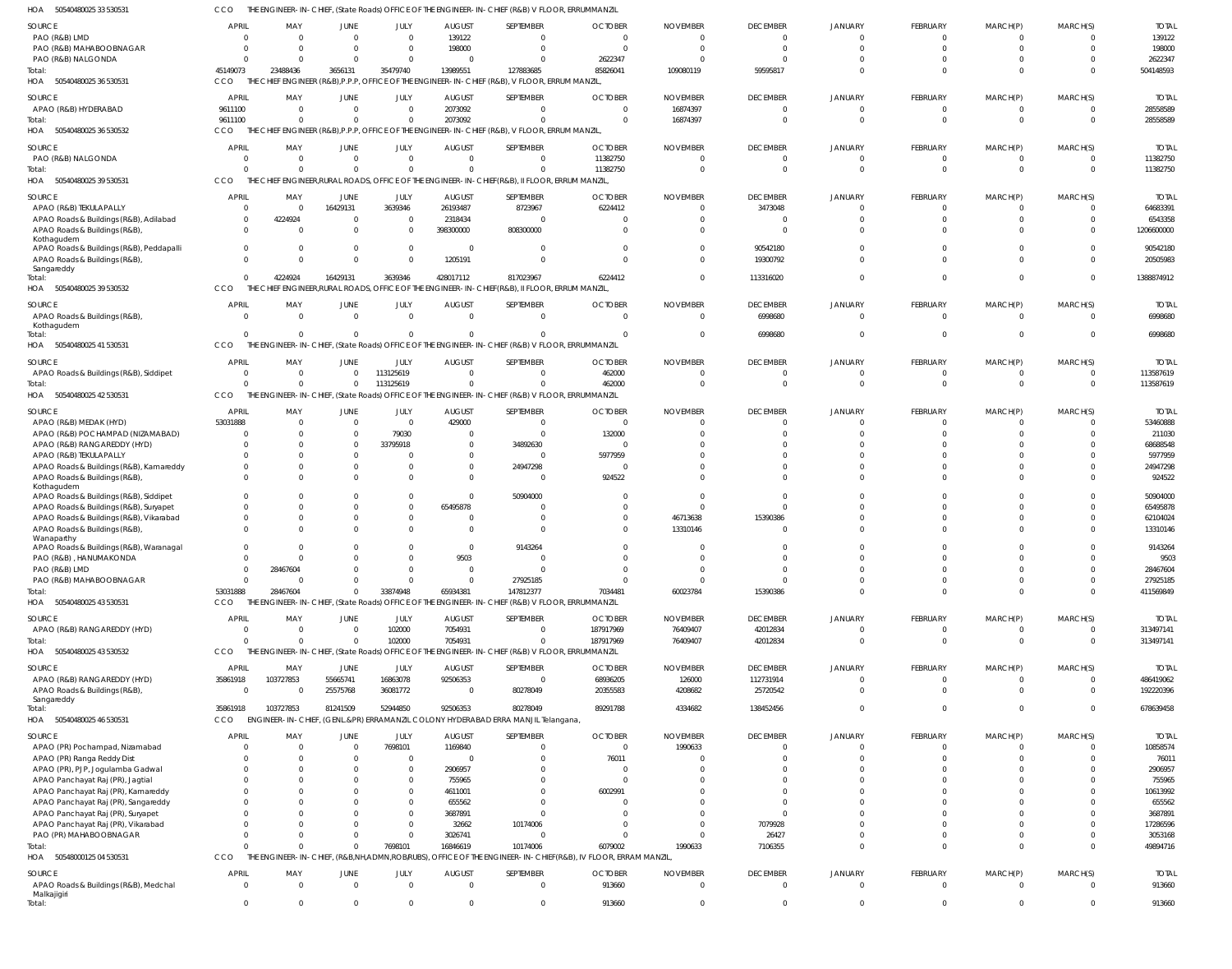50540480025 33 530531 HOA CCO THE ENGINEER-IN-CHIEF, (State Roads) OFFICE OF THE ENGINEER-IN-CHIEF (R&B) V FLOOR, ERRUMMANZIL

| HUA<br>DUD4U48UUZD 33 D3UD3                                               |                      | <b>GINEER-IN</b>                               |                      |                      |                     | CHIEF, (STATE ROADS) OFFICE OF THE ENGINEER-IN-CHIEF (R&B) V FLOOR, ERRUMMANZIL                 |                                                               |                 |                      |                |                      |                      |                         |                    |
|---------------------------------------------------------------------------|----------------------|------------------------------------------------|----------------------|----------------------|---------------------|-------------------------------------------------------------------------------------------------|---------------------------------------------------------------|-----------------|----------------------|----------------|----------------------|----------------------|-------------------------|--------------------|
| SOURCE                                                                    | <b>APRIL</b>         | MAY                                            | JUNE                 | JULY                 | <b>AUGUST</b>       | SEPTEMBER                                                                                       | <b>OCTOBER</b>                                                | <b>NOVEMBER</b> | <b>DECEMBER</b>      | <b>JANUARY</b> | FEBRUARY             | MARCH(P)             | MARCH(S)                | <b>TOTAL</b>       |
| PAO (R&B) LMD                                                             | $\mathsf{C}$         |                                                | $\Omega$             | $\mathbf 0$          | 139122              | $\overline{0}$                                                                                  | $\Omega$                                                      | $\Omega$        | $\mathbf 0$          | $\mathbf 0$    | $\mathbf 0$          | $\overline{0}$       | $\Omega$                | 139122             |
| PAO (R&B) MAHABOOBNAGAR                                                   | - 0                  |                                                | $\Omega$             | $\mathbf 0$          | 198000              | $\mathbf 0$                                                                                     | - 0                                                           | - C             | $\Omega$             |                | $\mathbf 0$          | $\mathbf 0$          | $\Omega$                | 198000             |
| PAO (R&B) NALGONDA                                                        | - 0                  |                                                | $\Omega$             | $\mathbf 0$          | - 0                 | $\Omega$                                                                                        | 2622347                                                       |                 | $\Omega$             |                | $\mathbf 0$          | $\Omega$             | $\Omega$                | 2622347            |
| Total:                                                                    | 45149073             | 23488436                                       | 3656131              | 35479740             | 13989551            | 127883685                                                                                       | 85826041                                                      | 109080119       | 59595817             | $\Omega$       | $\Omega$             | $\mathbf{0}$         | $\Omega$                | 504148593          |
| HOA 50540480025 36 530531                                                 | <b>CCO</b>           |                                                |                      |                      |                     | THE CHIEF ENGINEER (R&B), P.P.P. OFFICE OF THE ENGINEER-IN-CHIEF (R&B), V FLOOR, ERRUM MANZIL,  |                                                               |                 |                      |                |                      |                      |                         |                    |
|                                                                           |                      |                                                |                      |                      |                     |                                                                                                 |                                                               |                 |                      |                |                      |                      |                         |                    |
| SOURCE                                                                    | <b>APRIL</b>         | MAY<br>$\Omega$                                | JUNE                 | JULY                 | <b>AUGUST</b>       | SEPTEMBER                                                                                       | <b>OCTOBER</b>                                                | <b>NOVEMBER</b> | <b>DECEMBER</b>      | <b>JANUARY</b> | FEBRUARY             | MARCH(P)             | MARCH(S)                | <b>TOTAL</b>       |
| APAO (R&B) HYDERABAD                                                      | 9611100              |                                                | $\Omega$             | $\Omega$             | 2073092             | $\Omega$                                                                                        | $\Omega$                                                      | 16874397        | $\Omega$             |                | $\Omega$             | $\Omega$             | - 0                     | 28558589           |
| Total:                                                                    | 9611100              | $\Omega$                                       | $\Omega$             | $\mathbf 0$          | 2073092             | $\Omega$                                                                                        | $\Omega$                                                      | 16874397        | $\Omega$             | $\Omega$       | $\mathbf 0$          | $\overline{0}$       | $\overline{\mathbf{0}}$ | 28558589           |
| HOA 50540480025 36 530532                                                 | CCO                  |                                                |                      |                      |                     | THE CHIEF ENGINEER (R&B), P.P.P, OFFICE OF THE ENGINEER-IN-CHIEF (R&B), V FLOOR, ERRUM MANZIL,  |                                                               |                 |                      |                |                      |                      |                         |                    |
| SOURCE                                                                    | <b>APRIL</b>         | MAY                                            | JUNE                 | JULY                 | <b>AUGUST</b>       | SEPTEMBER                                                                                       | <b>OCTOBER</b>                                                | <b>NOVEMBER</b> | <b>DECEMBER</b>      | JANUARY        | FEBRUARY             | MARCH(P)             | MARCH(S)                | <b>TOTAL</b>       |
| PAO (R&B) NALGONDA                                                        | C                    | -C                                             | 0                    | $\mathbf 0$          | $\Omega$            | $\mathbf 0$                                                                                     | 11382750                                                      | $\Omega$        | $\mathbf 0$          | $\mathbf 0$    | $\mathbf 0$          | 0                    | 0                       | 11382750           |
| Total:                                                                    | $\sqrt{2}$           |                                                | $\Omega$             | $\mathbf 0$          |                     | $\Omega$                                                                                        | 11382750                                                      | $\Omega$        | $\mathbf 0$          | $\Omega$       | $\mathbf{0}$         | $\mathbf{0}$         | $\overline{0}$          | 11382750           |
| HOA 50540480025 39 530531                                                 | <b>CCO</b>           |                                                |                      |                      |                     | THE CHIEF ENGINEER, RURAL ROADS, OFFICE OF THE ENGINEER-IN-CHIEF (R&B), II FLOOR, ERRUM MANZIL  |                                                               |                 |                      |                |                      |                      |                         |                    |
| SOURCE                                                                    | <b>APRIL</b>         | MAY                                            | JUNE                 | JULY                 | <b>AUGUST</b>       | SEPTEMBER                                                                                       | <b>OCTOBER</b>                                                | <b>NOVEMBER</b> | <b>DECEMBER</b>      | <b>JANUARY</b> | FEBRUARY             | MARCH(P)             | MARCH(S)                | <b>TOTAL</b>       |
| APAO (R&B) TEKULAPALLY                                                    | $\overline{0}$       | $\Omega$                                       | 16429131             | 3639346              | 26193487            | 8723967                                                                                         | 6224412                                                       | $\Omega$        | 3473048              | 0              | $\mathbf 0$          | $\Omega$             | $\Omega$                | 64683391           |
| APAO Roads & Buildings (R&B), Adilabad                                    | $\Omega$             | 4224924                                        | $\Omega$             | 0                    | 2318434             | C                                                                                               |                                                               |                 | 0                    |                | $\Omega$             | $\Omega$             | $\Omega$                | 6543358            |
| APAO Roads & Buildings (R&B)                                              | $\Omega$             |                                                | $\Omega$             | $\Omega$             | 398300000           | 808300000                                                                                       |                                                               |                 | $\Omega$             |                | $\Omega$             | $\Omega$             | $\Omega$                | 1206600000         |
| Kothagudem                                                                |                      |                                                |                      |                      |                     |                                                                                                 |                                                               |                 |                      |                |                      |                      |                         |                    |
| APAO Roads & Buildings (R&B), Peddapalli                                  | $\overline{0}$       |                                                | $\Omega$             | $\mathbf 0$          | - 0                 | $\Omega$                                                                                        | $\Omega$                                                      |                 | 90542180             |                | $\Omega$             | $\Omega$             | $\Omega$                | 90542180           |
| APAO Roads & Buildings (R&B)                                              | $\Omega$             |                                                | $\Omega$             | $\Omega$             | 1205191             | $\Omega$                                                                                        |                                                               |                 | 19300792             |                | $\Omega$             | $\Omega$             | $\Omega$                | 20505983           |
| Sangareddy<br>Total:                                                      | $\Omega$             | 4224924                                        | 16429131             | 3639346              | 428017112           | 817023967                                                                                       | 6224412                                                       |                 | 113316020            | $\Omega$       | $\Omega$             | $\Omega$             | $\Omega$                | 1388874912         |
| 50540480025 39 530532<br>HOA                                              | CCO                  | THF                                            |                      |                      |                     | ENGINEER, RURAL ROADS, OFFICE OF THE ENGINEER-IN-CHIEF (R&B), II FLOOR, ERRUM MANZIL            |                                                               |                 |                      |                |                      |                      |                         |                    |
|                                                                           |                      |                                                |                      |                      |                     |                                                                                                 |                                                               |                 |                      |                |                      |                      |                         |                    |
| SOURCE                                                                    | <b>APRIL</b>         | MAY                                            | JUNE                 | JULY                 | <b>AUGUST</b>       | SEPTEMBER                                                                                       | <b>OCTOBER</b>                                                | <b>NOVEMBER</b> | <b>DECEMBER</b>      | JANUARY        | FEBRUARY             | MARCH(P)             | MARCH(S)                | <b>TOTAL</b>       |
| APAO Roads & Buildings (R&B),                                             | $\Omega$             | $\Omega$                                       | $\Omega$             | $\mathbf 0$          | $\Omega$            | $\overline{0}$                                                                                  | $\Omega$                                                      | $\Omega$        | 6998680              | $\mathbf 0$    | $\overline{0}$       | $\overline{0}$       | $\overline{\mathbf{0}}$ | 6998680            |
| Kothagudem                                                                | $\Omega$             |                                                | $\Omega$             | $\Omega$             |                     | $\Omega$                                                                                        |                                                               |                 | 6998680              | $\Omega$       | $\overline{0}$       | $\overline{0}$       | $\Omega$                | 6998680            |
| Total:<br>HOA 50540480025 41 530531                                       | CCO                  |                                                |                      |                      |                     | THE ENGINEER-IN-CHIEF, (State Roads) OFFICE OF THE ENGINEER-IN-CHIEF (R&B) V FLOOR, ERRUMMANZIL |                                                               |                 |                      |                |                      |                      |                         |                    |
|                                                                           |                      |                                                |                      |                      |                     |                                                                                                 |                                                               |                 |                      |                |                      |                      |                         |                    |
| SOURCE                                                                    | <b>APRIL</b>         | MAY                                            | JUNE                 | JULY                 | <b>AUGUST</b>       | SEPTEMBER                                                                                       | <b>OCTOBER</b>                                                | <b>NOVEMBER</b> | <b>DECEMBER</b>      | JANUARY        | FEBRUARY             | MARCH(P)             | MARCH(S)                | <b>TOTAL</b>       |
| APAO Roads & Buildings (R&B), Siddipet                                    | $\overline{0}$       | $\Omega$                                       | $\Omega$             | 113125619            | $\Omega$            | $\Omega$                                                                                        | 462000                                                        |                 | 0                    |                | $\Omega$             | $\Omega$             | $\overline{0}$          | 113587619          |
| Total:                                                                    | $\Omega$             | $\Omega$                                       | $\mathbf{0}$         | 113125619            | $\Omega$            | $\Omega$                                                                                        | 462000                                                        |                 | $\Omega$             | $\Omega$       | $\mathbf 0$          | $\mathbf 0$          | $\overline{0}$          | 113587619          |
| HOA 50540480025 42 530531                                                 | CCO                  |                                                |                      |                      |                     | THE ENGINEER-IN-CHIEF, (State Roads) OFFICE OF THE ENGINEER-IN-CHIEF (R&B) V FLOOR, ERRUMMANZIL |                                                               |                 |                      |                |                      |                      |                         |                    |
| SOURCE                                                                    | APRIL                | MAY                                            | JUNE                 | JULY                 | <b>AUGUST</b>       | SEPTEMBER                                                                                       | <b>OCTOBER</b>                                                | <b>NOVEMBER</b> | <b>DECEMBER</b>      | JANUARY        | FEBRUARY             | MARCH(P)             | MARCH(S)                | <b>TOTAL</b>       |
| APAO (R&B) MEDAK (HYD)                                                    | 53031888             |                                                | 0                    | $\mathbf 0$          | 429000              | $\overline{0}$                                                                                  | $\Omega$                                                      | $\Omega$        | $\mathbf 0$          | 0              | $\mathbf 0$          | $\mathbf{0}$         | - 0                     | 53460888           |
| APAO (R&B) POCHAMPAD (NIZAMABAD)                                          | $\mathsf{C}$         |                                                | $\Omega$             | 79030                | $\Omega$            | $\overline{0}$                                                                                  | 132000                                                        |                 | $\Omega$             |                | $\Omega$             | $\Omega$             | $\Omega$                | 211030             |
| APAO (R&B) RANGAREDDY (HYD)                                               | C                    |                                                | $\Omega$             | 33795918             | $\Omega$            | 34892630                                                                                        | - 0                                                           |                 |                      |                | $\Omega$             | $\Omega$             | $\Omega$                | 68688548           |
| APAO (R&B) TEKULAPALLY                                                    | C                    |                                                | $\Omega$             |                      | $\Omega$            | $\overline{0}$                                                                                  | 5977959                                                       |                 |                      |                | $\Omega$             | $\Omega$             | $\Omega$                | 5977959            |
| APAO Roads & Buildings (R&B), Kamareddy                                   | $\Omega$             |                                                | $\Omega$             | 0                    | $\Omega$            | 24947298                                                                                        | - 0                                                           |                 | $\Omega$             |                | $\Omega$             | $\Omega$             | $\Omega$                | 24947298           |
| APAO Roads & Buildings (R&B)                                              | $\Omega$             |                                                | <sup>0</sup>         | $\Omega$             | $\Omega$            | $\overline{0}$                                                                                  | 924522                                                        |                 | $\Omega$             |                | $\Omega$             | $\Omega$             | $\Omega$                | 924522             |
| Kothagudem                                                                |                      |                                                |                      |                      |                     |                                                                                                 |                                                               |                 | $\Omega$             |                | $\Omega$             | $\Omega$             | $\Omega$                |                    |
| APAO Roads & Buildings (R&B), Siddipet                                    | $\Omega$<br>C        |                                                | <sup>0</sup>         | 0<br>$\Omega$        |                     | 50904000<br>$\Omega$                                                                            | $\Omega$                                                      | - 0<br>$\Omega$ | $\Omega$             |                | $\Omega$             | $\Omega$             | $\Omega$                | 50904000           |
| APAO Roads & Buildings (R&B), Suryapet                                    |                      |                                                |                      |                      | 65495878            |                                                                                                 |                                                               |                 |                      |                | $\Omega$             | $\Omega$             |                         | 65495878           |
| APAO Roads & Buildings (R&B), Vikarabad                                   | $\Omega$<br>$\Omega$ |                                                | <sup>0</sup>         | 0<br>$\Omega$        |                     | $\mathbf 0$<br>$\Omega$                                                                         | - 0                                                           | 46713638        | 15390386<br>$\Omega$ |                | $\Omega$             | $\Omega$             | $\Omega$<br>$\Omega$    | 62104024           |
| APAO Roads & Buildings (R&B)<br>Wanaparthy                                |                      |                                                |                      |                      |                     |                                                                                                 |                                                               | 13310146        |                      |                |                      |                      |                         | 13310146           |
| APAO Roads & Buildings (R&B), Waranagal                                   | $\Omega$             |                                                | 0                    | $\Omega$             | $\Omega$            | 9143264                                                                                         |                                                               |                 | <sup>0</sup>         |                | $\Omega$             | $\Omega$             | $\Omega$                | 9143264            |
| PAO (R&B), HANUMAKONDA                                                    |                      |                                                |                      |                      | 9503                |                                                                                                 |                                                               |                 |                      |                |                      |                      |                         | 9503               |
| PAO (R&B) LMD                                                             | C                    | 28467604                                       |                      | $\Omega$             | $\Omega$            | $\mathbf 0$                                                                                     |                                                               |                 |                      |                | $\Omega$             | $\Omega$             | $\Omega$                | 28467604           |
| PAO (R&B) MAHABOOBNAGAR                                                   | $\Omega$             |                                                |                      | $\Omega$             | - 0                 | 27925185                                                                                        | - 0                                                           | $\Omega$        | $\Omega$             | $\Omega$       | 0                    | $\mathbf 0$          | $\Omega$                | 27925185           |
| Total:                                                                    | 53031888             | 28467604                                       | $\Omega$             | 33874948             | 65934381            | 147812377                                                                                       | 7034481                                                       | 60023784        | 15390386             | $\Omega$       | $\mathbf 0$          | $\mathbf{0}$         | $\Omega$                | 411569849          |
| HOA 50540480025 43 530531                                                 | <b>CCO</b>           |                                                |                      |                      |                     | THE ENGINEER-IN-CHIEF, (State Roads) OFFICE OF THE ENGINEER-IN-CHIEF (R&B) V FLOOR, ERRUMMANZIL |                                                               |                 |                      |                |                      |                      |                         |                    |
| SOURCE                                                                    | <b>APRIL</b>         | MAY                                            | JUNE                 | JULY                 | <b>AUGUST</b>       | SEPTEMBER                                                                                       | <b>OCTOBER</b>                                                | <b>NOVEMBER</b> | <b>DECEMBER</b>      | <b>JANUARY</b> | FEBRUARY             | MARCH(P)             | MARCH(S)                | <b>TOTAL</b>       |
| APAO (R&B) RANGAREDDY (HYD)                                               | $\Omega$             | $\Omega$                                       | $\Omega$             | 102000               | 7054931             | $\Omega$                                                                                        | 187917969                                                     | 76409407        | 42012834             | $\Omega$       | 0                    | $\mathbf{0}$         | $\overline{0}$          | 313497141          |
| Total:                                                                    | $\Omega$             |                                                | $\Omega$             | 102000               | 7054931             | $\Omega$                                                                                        | 187917969                                                     | 76409407        | 42012834             | $\Omega$       | $\overline{0}$       | $\mathbf{0}$         | $\overline{0}$          | 313497141          |
| HOA 50540480025 43 530532                                                 | CCO                  |                                                |                      |                      |                     | THE ENGINEER-IN-CHIEF, (State Roads) OFFICE OF THE ENGINEER-IN-CHIEF (R&B) V FLOOR, ERRUMMANZIL |                                                               |                 |                      |                |                      |                      |                         |                    |
|                                                                           |                      |                                                |                      |                      |                     |                                                                                                 |                                                               |                 |                      |                |                      |                      |                         |                    |
| SOURCE                                                                    | APRIL                | MAY                                            | JUNE                 | JULY                 | <b>AUGUST</b>       | SEPTEMBER                                                                                       | <b>OCTOBER</b>                                                | <b>NOVEMBER</b> | <b>DECEMBER</b>      | JANUARY        | FEBRUARY             | MARCH(P)             | MARCH(S)                | <b>TOTAL</b>       |
| APAO (R&B) RANGAREDDY (HYD)                                               | 35861918             | 103727853                                      | 55665741             | 16863078             | 92506353            | $\overline{0}$                                                                                  | 68936205                                                      | 126000          | 112731914            | 0              | $\mathbf 0$          | $\mathbf 0$          | $\overline{0}$          | 486419062          |
| APAO Roads & Buildings (R&B)<br>Sangareddy                                | $\overline{0}$       | -C                                             | 25575768             | 36081772             | $\Omega$            | 80278049                                                                                        | 20355583                                                      | 4208682         | 25720542             | $\Omega$       | $\mathbf 0$          | $\overline{0}$       | $\overline{0}$          | 192220396          |
| Total:                                                                    | 35861918             | 103727853                                      | 81241509             | 52944850             | 92506353            | 80278049                                                                                        | 89291788                                                      | 4334682         | 138452456            | $\Omega$       | $\mathbf 0$          | $\mathbf 0$          | $\overline{0}$          | 678639458          |
| HOA 50540480025 46 530531                                                 | <b>CCO</b>           |                                                |                      |                      |                     | ENGINEER-IN-CHIEF, (GENL.&PR) ERRAMANZIL COLONY HYDERABAD ERRA MANJIL Telangana,                |                                                               |                 |                      |                |                      |                      |                         |                    |
|                                                                           |                      |                                                |                      |                      |                     |                                                                                                 |                                                               |                 |                      |                |                      |                      |                         |                    |
| SOURCE                                                                    | APRIL                | MAY                                            | JUNE                 | JULY                 | <b>AUGUST</b>       | SEPTEMBER                                                                                       | <b>OCTOBER</b>                                                | <b>NOVEMBER</b> | <b>DECEMBER</b>      | JANUARY        | FEBRUARY             | MARCH(P)             | MARCH(S)                | <b>TOTAL</b>       |
| APAO (PR) Pochampad, Nizamabad                                            | $\Omega$<br>C        | $\Omega$                                       | $\Omega$<br>$\Omega$ | 7698101<br>$\Omega$  | 1169840<br>$\Omega$ | $\Omega$<br>$\Omega$                                                                            | $\Omega$                                                      | 1990633         | 0                    |                | $\Omega$<br>$\Omega$ | 0                    | - 0<br>$\Omega$         | 10858574           |
| APAO (PR) Ranga Reddy Dist                                                |                      |                                                |                      |                      |                     |                                                                                                 | 76011                                                         |                 |                      |                |                      | $\Omega$             |                         | 76011              |
| APAO (PR), PJP, Jogulamba Gadwal                                          | C                    |                                                |                      | $\Omega$<br>$\Omega$ | 2906957             | $\Omega$<br>$\Omega$                                                                            | $\Omega$                                                      |                 |                      |                | $\Omega$<br>$\Omega$ | $\Omega$             |                         | 2906957            |
| APAO Panchayat Raj (PR), Jagtial                                          |                      |                                                |                      | $\Omega$             | 755965<br>4611001   | $\Omega$                                                                                        | 6002991                                                       |                 |                      |                | $\Omega$             | $\Omega$<br>$\Omega$ |                         | 755965<br>10613992 |
| APAO Panchayat Raj (PR), Kamareddy<br>APAO Panchayat Raj (PR), Sangareddy |                      |                                                |                      | $\Omega$             | 655562              | $\Omega$                                                                                        |                                                               |                 |                      |                | $\Omega$             | $\Omega$             |                         | 655562             |
| APAO Panchayat Raj (PR), Suryapet                                         |                      |                                                |                      | $\Omega$             | 3687891             | $\Omega$                                                                                        |                                                               |                 |                      |                | $\Omega$             | $\Omega$             |                         | 3687891            |
| APAO Panchayat Raj (PR), Vikarabad                                        |                      |                                                |                      |                      | 32662               | 10174006                                                                                        |                                                               |                 | 7079928              |                | $\Omega$             | $\Omega$             |                         | 17286596           |
| PAO (PR) MAHABOOBNAGAR                                                    | C                    |                                                | <sup>0</sup>         | $\Omega$             | 3026741             | $\Omega$                                                                                        |                                                               |                 | 26427                |                | $\Omega$             | $\Omega$             | $\Omega$                | 3053168            |
| Total:                                                                    | $\sqrt{2}$           |                                                | $\Omega$             | 7698101              | 16846619            | 10174006                                                                                        | 6079002                                                       | 1990633         | 7106355              |                | $\Omega$             | $\Omega$             | $\Omega$                | 49894716           |
| HOA 50548000125 04 530531                                                 | CCO                  | THE ENGINEER-IN-CHIEF, (R&B,NH,ADMN,ROB/RUBS), |                      |                      |                     |                                                                                                 | OFFICE OF THE ENGINEER-IN-CHIEF(R&B), IV FLOOR, ERRAM MANZIL, |                 |                      |                |                      |                      |                         |                    |
|                                                                           |                      |                                                |                      |                      |                     |                                                                                                 |                                                               |                 |                      |                |                      |                      |                         |                    |
| SOURCE                                                                    | <b>APRIL</b>         | MAY                                            | JUNE                 | JULY                 | <b>AUGUST</b>       | SEPTEMBER                                                                                       | <b>OCTOBER</b>                                                | <b>NOVEMBER</b> | <b>DECEMBER</b>      | JANUARY        | FEBRUARY             | MARCH(P)             | MARCH(S)                | <b>TOTAL</b>       |
| APAO Roads & Buildings (R&B), Medchal<br>Malkajigiri                      | $\mathsf{C}$         |                                                | $\Omega$             | $\mathbf 0$          | $\Omega$            | $\mathbf 0$                                                                                     | 913660                                                        | $\Omega$        | $\mathbf 0$          | $\mathbf{0}$   | $\mathbf 0$          | $\mathbf 0$          | $\overline{0}$          | 913660             |
| Total:                                                                    | $\mathbf 0$          |                                                | $\Omega$             | $\Omega$             | $\Omega$            | $\mathbf 0$                                                                                     | 913660                                                        | $\Omega$        | $\Omega$             | $\Omega$       | $\mathbf 0$          | $\mathbf 0$          | $\Omega$                | 913660             |
|                                                                           |                      |                                                |                      |                      |                     |                                                                                                 |                                                               |                 |                      |                |                      |                      |                         |                    |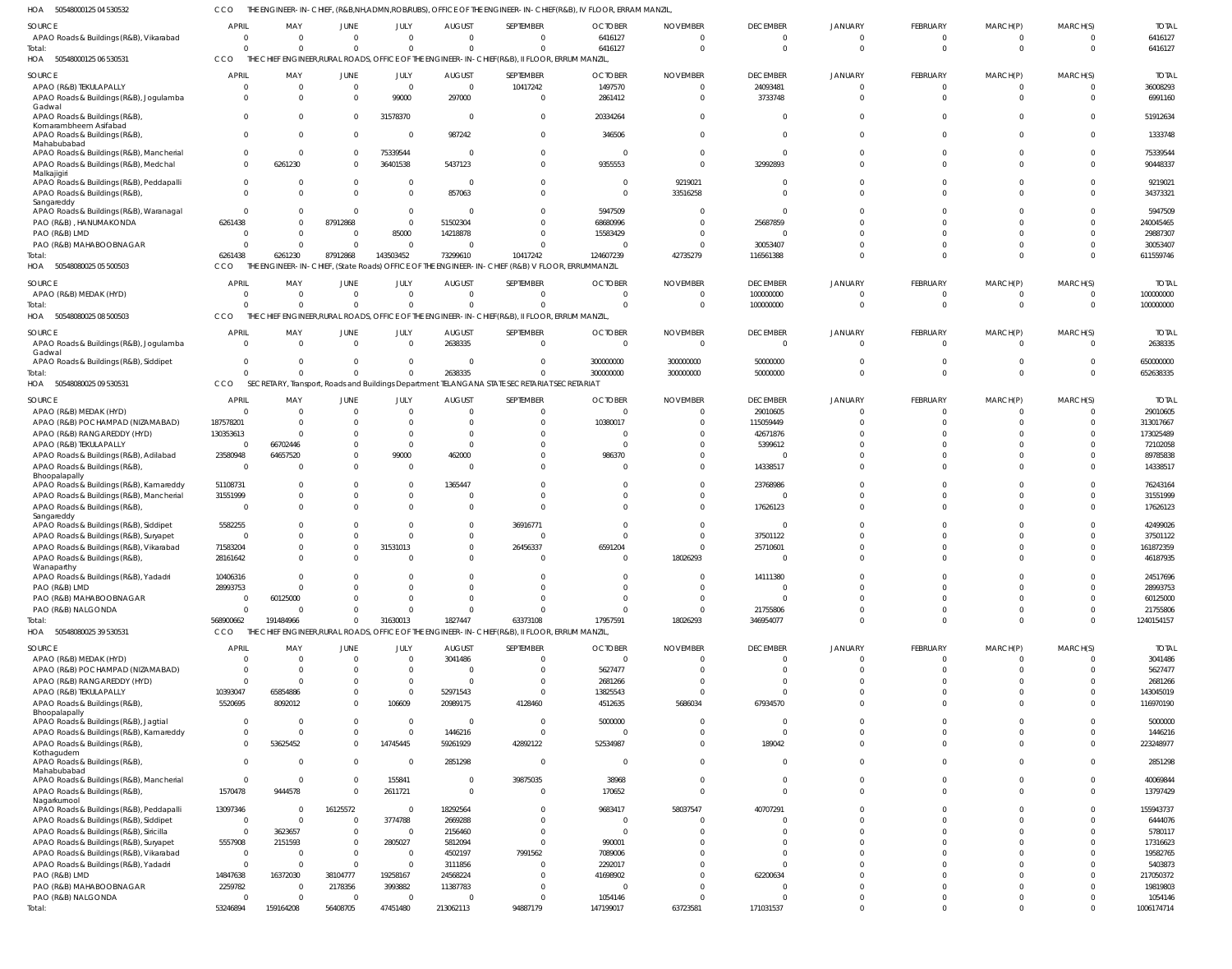CCO THE ENGINEER-IN-CHIEF, (R&B,NH,ADMN,ROB/RUBS), OFFICE OF THE ENGINEER-IN-CHIEF(R&B), IV FLOOR, ERRAM MANZIL,

|                                                         |                     |                 |                            |                            |                       |                                                                                                 | THE ENGINEER-IN-CHIEF, (R&B,NH,ADMN,ROB/RUBS), OFFICE OF THE ENGINEER-IN-CHIEF(R&B), IV FLOOR, ERRAM MANZIL |                 |                       |                               |                              |                            |                      |                       |
|---------------------------------------------------------|---------------------|-----------------|----------------------------|----------------------------|-----------------------|-------------------------------------------------------------------------------------------------|-------------------------------------------------------------------------------------------------------------|-----------------|-----------------------|-------------------------------|------------------------------|----------------------------|----------------------|-----------------------|
| <b>SOURCE</b>                                           | <b>APRIL</b>        | MAY             | <b>JUNE</b>                | JULY                       | <b>AUGUST</b>         | SEPTEMBER                                                                                       | <b>OCTOBER</b>                                                                                              | <b>NOVEMBER</b> | <b>DECEMBER</b>       | <b>JANUARY</b>                | FEBRUARY                     | MARCH(P)                   | MARCH(S)             | <b>TOTAL</b>          |
| APAO Roads & Buildings (R&B), Vikarabad                 | $\Omega$            | $\Omega$        | $\overline{0}$             | $\overline{0}$             | $\Omega$              | $\mathbf 0$                                                                                     | 6416127                                                                                                     |                 | $\mathbf{0}$          | $\Omega$                      | $^{\circ}$                   | $^{\circ}$                 | $\Omega$             | 6416127               |
| Total:                                                  | $\Omega$            | $\Omega$        | $\Omega$                   | $\overline{0}$             | $\Omega$              | $\mathbf 0$                                                                                     | 6416127                                                                                                     | $\Omega$        | $\overline{0}$        | $\Omega$                      | $\overline{0}$               | $\overline{0}$             | $\Omega$             | 6416127               |
| 50548000125 06 530531<br>HOA                            | CCO                 |                 |                            |                            |                       | THE CHIEF ENGINEER, RURAL ROADS, OFFICE OF THE ENGINEER-IN-CHIEF (R&B), II FLOOR, ERRUM MANZIL, |                                                                                                             |                 |                       |                               |                              |                            |                      |                       |
|                                                         |                     |                 |                            |                            |                       |                                                                                                 |                                                                                                             |                 |                       |                               |                              |                            |                      |                       |
| SOURCE                                                  | <b>APRIL</b>        | MAY             | <b>JUNE</b>                | JULY                       | <b>AUGUST</b>         | SEPTEMBER                                                                                       | <b>OCTOBER</b>                                                                                              | <b>NOVEMBER</b> | <b>DECEMBER</b>       | JANUARY                       | <b>FEBRUARY</b>              | MARCH(P)                   | MARCH(S)             | <b>TOTAL</b>          |
| APAO (R&B) TEKULAPALLY                                  | $\circ$             |                 | $\overline{0}$             | $\overline{0}$             | $\overline{0}$        | 10417242                                                                                        | 1497570                                                                                                     |                 | 24093481              | $\overline{0}$                | $\overline{0}$               | $\overline{0}$             | $\overline{0}$       | 36008293              |
| APAO Roads & Buildings (R&B), Jogulamba                 | $^{\circ}$          | $\Omega$        | $\Omega$                   | 99000                      | 297000                | $\mathbf{0}$                                                                                    | 2861412                                                                                                     |                 | 3733748               | $\Omega$                      | $\mathbf 0$                  | $\overline{0}$             | $\Omega$             | 6991160               |
| Gadwal                                                  |                     |                 |                            |                            |                       |                                                                                                 |                                                                                                             |                 |                       |                               |                              |                            |                      |                       |
| APAO Roads & Buildings (R&B),                           | $\Omega$            |                 | $\Omega$                   | 31578370                   | $\Omega$              | $\overline{0}$                                                                                  | 20334264                                                                                                    |                 | $\overline{0}$        | $\Omega$                      | $\Omega$                     | $\mathbf 0$                | $\Omega$             | 51912634              |
| Komarambheem Asifabad                                   |                     |                 |                            |                            |                       |                                                                                                 |                                                                                                             |                 |                       |                               |                              |                            |                      |                       |
| APAO Roads & Buildings (R&B),<br>Mahabubabad            | $\Omega$            |                 | $\Omega$                   | $\Omega$                   | 987242                | $\mathbf 0$                                                                                     | 346506                                                                                                      |                 | $\Omega$              | $\Omega$                      | $\mathbf 0$                  | $\mathbf{0}$               | $\Omega$             | 1333748               |
| APAO Roads & Buildings (R&B), Mancherial                | $\mathbf 0$         | $\Omega$        | $\Omega$                   | 75339544                   | $\Omega$              | $\mathbf 0$                                                                                     | $\Omega$                                                                                                    |                 | $\overline{0}$        | $\Omega$                      | $\Omega$                     | $\mathbf 0$                | $\Omega$             | 75339544              |
| APAO Roads & Buildings (R&B), Medchal                   | $\mathbf 0$         | 6261230         | $\Omega$                   | 36401538                   | 5437123               | $\mathbf 0$                                                                                     | 9355553                                                                                                     |                 | 32992893              | $\Omega$                      | $\Omega$                     | $\mathbf 0$                | $\Omega$             | 90448337              |
| Malkajigiri                                             |                     |                 |                            |                            |                       |                                                                                                 |                                                                                                             |                 |                       |                               |                              |                            |                      |                       |
| APAO Roads & Buildings (R&B), Peddapalli                | $\mathbf 0$         |                 | $\Omega$                   | $\overline{0}$             | $\Omega$              | $\mathbf{0}$                                                                                    | $\Omega$                                                                                                    | 9219021         | $\Omega$              | $\Omega$                      | $\Omega$                     | $\mathbf 0$                | $\Omega$             | 9219021               |
| APAO Roads & Buildings (R&B),                           | $\Omega$            |                 | $\Omega$                   | $\overline{0}$             | 857063                | $\mathbf 0$                                                                                     | $\Omega$                                                                                                    | 33516258        | $\Omega$              | $\Omega$                      | $\Omega$                     | $\mathbf 0$                | $\Omega$             | 34373321              |
| Sangareddy                                              |                     |                 |                            |                            |                       |                                                                                                 |                                                                                                             |                 |                       |                               |                              |                            |                      |                       |
| APAO Roads & Buildings (R&B), Waranagal                 | $\Omega$            |                 | $\Omega$                   | $\overline{0}$             | $\Omega$              | $\mathbf 0$                                                                                     | 5947509                                                                                                     |                 | $\Omega$              | $\Omega$                      | $\Omega$                     | $\Omega$                   | $\Omega$             | 5947509               |
| PAO (R&B), HANUMAKONDA                                  | 6261438             |                 | 87912868                   | $\overline{0}$             | 51502304              | $\mathbf 0$                                                                                     | 68680996                                                                                                    |                 | 25687859              | $\Omega$                      | $\Omega$                     | $\Omega$                   | $\Omega$             | 240045465             |
| PAO (R&B) LMD                                           | $\circ$             |                 | $\overline{0}$             | 85000                      | 14218878              | $\mathbf 0$                                                                                     | 15583429                                                                                                    |                 | $\overline{0}$        | $\Omega$                      | $\Omega$                     | $\Omega$                   | $\Omega$             | 29887307              |
| PAO (R&B) MAHABOOBNAGAR                                 | $\Omega$            | - 0             | $\Omega$                   | $\overline{0}$             | $\Omega$              | $\overline{0}$                                                                                  |                                                                                                             |                 | 30053407              | $\Omega$                      | $\Omega$                     | $\mathbf 0$                | $\Omega$             | 30053407              |
| Total:                                                  | 6261438             | 6261230         | 87912868                   | 143503452                  | 73299610              | 10417242                                                                                        | 124607239                                                                                                   | 42735279        | 116561388             | $\Omega$                      | $\Omega$                     | $\mathbf 0$                | $\Omega$             | 611559746             |
| 50548080025 05 500503<br>HOA                            | CCO                 |                 |                            |                            |                       | THE ENGINEER-IN-CHIEF, (State Roads) OFFICE OF THE ENGINEER-IN-CHIEF (R&B) V FLOOR, ERRUMMANZIL |                                                                                                             |                 |                       |                               |                              |                            |                      |                       |
|                                                         |                     |                 |                            |                            |                       |                                                                                                 |                                                                                                             |                 |                       |                               |                              |                            |                      |                       |
| SOURCE                                                  | <b>APRIL</b>        | MAY             | <b>JUNE</b>                | JULY                       | <b>AUGUST</b>         | SEPTEMBER                                                                                       | <b>OCTOBER</b>                                                                                              | <b>NOVEMBER</b> | <b>DECEMBER</b>       | JANUARY                       | FEBRUARY                     | MARCH(P)                   | MARCH(S)             | <b>TOTAL</b>          |
| APAO (R&B) MEDAK (HYD)                                  | $\Omega$            | $\Omega$        | $\overline{0}$             | $\overline{0}$             | $\Omega$              | $\mathbf 0$                                                                                     | $\Omega$                                                                                                    |                 | 100000000             | $\Omega$                      | $\overline{0}$               | $\overline{0}$             | $\Omega$             | 100000000             |
| Total:                                                  | $\Omega$            | $\Omega$        | $\Omega$                   | $\overline{0}$             | $\Omega$              | $\mathbf 0$                                                                                     | $\Omega$                                                                                                    |                 | 100000000             | $\Omega$                      | $\mathbf 0$                  | $\overline{0}$             | $\overline{0}$       | 100000000             |
| 50548080025 08 500503<br>HOA                            | <b>CCO</b>          | THE             |                            |                            |                       | CHIEF ENGINEER, RURAL ROADS, OFFICE OF THE ENGINEER-IN-CHIEF (R&B), II FLOOR, ERRUM MANZIL,     |                                                                                                             |                 |                       |                               |                              |                            |                      |                       |
|                                                         |                     |                 |                            |                            |                       |                                                                                                 |                                                                                                             |                 |                       |                               |                              |                            |                      |                       |
| SOURCE                                                  | <b>APRIL</b>        | MAY             | <b>JUNE</b>                | JULY                       | <b>AUGUST</b>         | SEPTEMBER                                                                                       | <b>OCTOBER</b>                                                                                              | <b>NOVEMBER</b> | <b>DECEMBER</b>       | JANUARY                       | FEBRUARY                     | MARCH(P)                   | MARCH(S)             | <b>TOTAL</b>          |
| APAO Roads & Buildings (R&B), Jogulamba                 | $\overline{0}$      | $\Omega$        | $\overline{0}$             | $\overline{0}$             | 2638335               | $\overline{0}$                                                                                  | $\overline{0}$                                                                                              | $\Omega$        | $\overline{0}$        | $\mathbf 0$                   | $\overline{0}$               | $\overline{0}$             | $\overline{0}$       | 2638335               |
| Gadwal                                                  |                     |                 |                            |                            |                       |                                                                                                 |                                                                                                             |                 |                       |                               |                              |                            |                      |                       |
| APAO Roads & Buildings (R&B), Siddipet                  | $\overline{0}$      | - 0             | $\overline{0}$             | $\overline{0}$             | $\Omega$              | $\overline{0}$                                                                                  | 300000000                                                                                                   | 300000000       | 50000000              | $\overline{0}$                | $\overline{0}$               | $\overline{0}$             | $\Omega$             | 650000000             |
| Total:                                                  | $\Omega$            |                 | $\Omega$                   | $\Omega$                   | 2638335               | $\mathbf 0$                                                                                     | 300000000                                                                                                   | 300000000       | 50000000              | $\overline{0}$                | $\mathbf 0$                  | $\overline{0}$             | $\Omega$             | 652638335             |
| HOA<br>50548080025 09 530531                            | CCO                 |                 |                            |                            |                       | SECRETARY, Transport, Roads and Buildings Department TELANGANA STATE SECRETARIAT SECRETARIAT    |                                                                                                             |                 |                       |                               |                              |                            |                      |                       |
| SOURCE                                                  | <b>APRIL</b>        | MAY             | <b>JUNE</b>                | JULY                       | <b>AUGUST</b>         | SEPTEMBER                                                                                       | <b>OCTOBER</b>                                                                                              | <b>NOVEMBER</b> | <b>DECEMBER</b>       | JANUARY                       | FEBRUARY                     | MARCH(P)                   | MARCH(S)             | <b>TOTAL</b>          |
| APAO (R&B) MEDAK (HYD)                                  | $\circ$             | $\cap$          | $\Omega$                   | $\overline{0}$             | $\Omega$              | $\mathbf 0$                                                                                     | $\Omega$                                                                                                    |                 | 29010605              | $\Omega$                      | $\overline{0}$               | $\mathbf 0$                | $\Omega$             | 29010605              |
| APAO (R&B) POCHAMPAD (NIZAMABAD)                        | 187578201           | $\Omega$        |                            | $\Omega$                   | $\Omega$              | $\mathbf 0$                                                                                     | 10380017                                                                                                    |                 | 115059449             | $\Omega$                      | $\Omega$                     | $\Omega$                   | $\Omega$             | 313017667             |
|                                                         |                     |                 |                            |                            |                       |                                                                                                 |                                                                                                             |                 |                       |                               |                              |                            |                      |                       |
| APAO (R&B) RANGAREDDY (HYD)                             | 130353613           |                 |                            | $\overline{0}$             | $\Omega$              | $\mathbf 0$                                                                                     |                                                                                                             |                 | 42671876              |                               | $\Omega$                     | $\Omega$                   |                      | 173025489             |
| APAO (R&B) TEKULAPALLY                                  | $\overline{0}$      | 66702446        |                            | $\overline{0}$             | $\Omega$              | $\Omega$                                                                                        |                                                                                                             |                 | 5399612               |                               | $\Omega$                     | $\Omega$                   | $\Omega$             | 72102058              |
| APAO Roads & Buildings (R&B), Adilabad                  | 23580948            | 64657520        | $\Omega$                   | 99000                      | 462000                | $\mathbf 0$                                                                                     | 986370                                                                                                      |                 | $\Omega$              |                               | $\Omega$                     | $\Omega$                   |                      | 89785838              |
| APAO Roads & Buildings (R&B),                           | $\Omega$            |                 | $\Omega$                   | $\overline{0}$             | $\Omega$              | $\Omega$                                                                                        | $\Omega$                                                                                                    |                 | 14338517              | $\Omega$                      | $\Omega$                     | $\Omega$                   | $\Omega$             | 14338517              |
| Bhoopalapally                                           |                     |                 |                            |                            |                       |                                                                                                 |                                                                                                             |                 |                       |                               |                              |                            |                      |                       |
| APAO Roads & Buildings (R&B), Kamareddy                 | 51108731            |                 |                            | $\overline{0}$             | 1365447               | $\mathbf 0$                                                                                     |                                                                                                             |                 | 23768986              |                               | $\Omega$                     | $\Omega$                   | $\Omega$             | 76243164              |
| APAO Roads & Buildings (R&B), Mancherial                | 31551999            | $\Omega$        | $\Omega$                   | $\overline{0}$             | $\Omega$              | $\mathbf 0$                                                                                     | $\Omega$                                                                                                    |                 | $\Omega$              | $\Omega$                      | $\Omega$                     | $\Omega$                   | $\Omega$             | 31551999              |
| APAO Roads & Buildings (R&B)                            | - 0                 |                 | $\Omega$                   | $\Omega$                   | $\Omega$              | $\mathbf 0$                                                                                     | $\Omega$                                                                                                    |                 | 17626123              |                               | $\Omega$                     | $\Omega$                   | $\Omega$             | 17626123              |
| Sangareddy<br>APAO Roads & Buildings (R&B), Siddipet    |                     |                 |                            |                            | $\Omega$              | 36916771                                                                                        |                                                                                                             |                 | $\Omega$              |                               | $\Omega$                     | $\Omega$                   | $\Omega$             | 42499026              |
|                                                         |                     |                 |                            |                            |                       |                                                                                                 |                                                                                                             |                 |                       |                               |                              |                            |                      |                       |
|                                                         | 5582255             |                 | $\Omega$                   | $\Omega$                   |                       |                                                                                                 |                                                                                                             |                 |                       |                               |                              |                            |                      |                       |
| APAO Roads & Buildings (R&B), Suryapet                  | $\Omega$            |                 |                            | $\Omega$                   | <sup>0</sup>          | $\Omega$                                                                                        |                                                                                                             |                 | 37501122              |                               | $\Omega$                     |                            |                      | 37501122              |
| APAO Roads & Buildings (R&B), Vikarabad                 | 71583204            |                 | $\Omega$                   | 31531013                   | $\Omega$              | 26456337                                                                                        | 6591204                                                                                                     |                 | 25710601              | $\Omega$                      | $\Omega$                     | $\Omega$                   | $\Omega$             | 161872359             |
| APAO Roads & Buildings (R&B),                           | 28161642            |                 |                            |                            |                       |                                                                                                 |                                                                                                             | 18026293        |                       |                               |                              |                            |                      | 46187935              |
| Wanaparthy                                              |                     |                 |                            |                            |                       |                                                                                                 |                                                                                                             |                 |                       |                               |                              |                            |                      |                       |
| APAO Roads & Buildings (R&B), Yadadri                   | 10406316            | - 0             | $\Omega$                   | $\Omega$                   | $\Omega$              | $\mathbf 0$                                                                                     | $\Omega$                                                                                                    | $\Omega$        | 14111380              | $\overline{0}$                | $\mathbf 0$                  | $\Omega$                   | $\Omega$             | 24517696              |
| PAO (R&B) LMD                                           | 28993753            |                 |                            | $\Omega$                   | $\Omega$              | $\Omega$                                                                                        |                                                                                                             |                 | $\overline{0}$        | $\Omega$                      | $\Omega$                     | $\Omega$                   |                      | 28993753              |
| PAO (R&B) MAHABOOBNAGAR                                 | $\Omega$            | 60125000        |                            | $\Omega$                   | <sup>0</sup>          | $\Omega$                                                                                        | $\Omega$                                                                                                    |                 | $\Omega$              | $\Omega$                      | $\Omega$                     | $\Omega$                   | <sup>0</sup>         | 60125000              |
| PAO (R&B) NALGONDA                                      | $\Omega$            |                 | $\Omega$                   | $\Omega$                   | $\Omega$              | $\Omega$                                                                                        | $\Omega$                                                                                                    |                 | 21755806              | $\Omega$                      | $\mathbf 0$                  | $\mathbf 0$                |                      | 21755806              |
| Total:                                                  | 568900662           | 191484966       | $\Omega$                   | 31630013                   | 1827447               | 63373108                                                                                        | 17957591                                                                                                    | 18026293        | 346954077             | $\Omega$                      | $\Omega$                     | $\mathbf 0$                | $\Omega$             | 1240154157            |
| HOA<br>50548080025 39 530531                            | CCO                 |                 |                            |                            |                       | THE CHIEF ENGINEER, RURAL ROADS, OFFICE OF THE ENGINEER-IN-CHIEF (R&B), II FLOOR, ERRUM MANZIL, |                                                                                                             |                 |                       |                               |                              |                            |                      |                       |
|                                                         |                     |                 |                            |                            |                       |                                                                                                 |                                                                                                             |                 |                       |                               |                              |                            |                      |                       |
| SOURCE                                                  | <b>APRIL</b>        | MAY<br>$\Omega$ | <b>JUNE</b>                | JULY                       | <b>AUGUST</b>         | SEPTEMBER                                                                                       | <b>OCTOBER</b>                                                                                              | <b>NOVEMBER</b> | <b>DECEMBER</b>       | JANUARY                       | FEBRUARY                     | MARCH(P)                   | MARCH(S)             | <b>TOTAL</b>          |
| APAO (R&B) MEDAK (HYD)                                  | $\circ$             |                 | $\overline{0}$             | $\overline{0}$             | 3041486               | $\overline{0}$                                                                                  | $\Omega$                                                                                                    |                 | $\overline{0}$        | $\overline{0}$                | $\overline{0}$               | $\overline{0}$             | $\overline{0}$       | 3041486               |
| APAO (R&B) POCHAMPAD (NIZAMABAD)                        | -0                  |                 |                            | $\overline{0}$             | $\Omega$              | $\mathbf 0$                                                                                     | 5627477                                                                                                     |                 | $\mathbf{0}$          | $\Omega$                      | $\mathbf 0$                  | $\mathbf 0$                | $\Omega$             | 5627477               |
| APAO (R&B) RANGAREDDY (HYD)                             | - 0                 |                 |                            | $\overline{0}$             | $\Omega$              | $\mathbf 0$                                                                                     | 2681266                                                                                                     |                 | $\overline{0}$        | $\overline{0}$                | $\mathbf 0$                  | $\mathbf 0$                | $\Omega$             | 2681266               |
| APAO (R&B) TEKULAPALLY                                  | 10393047            | 65854886        | $\Omega$                   | $\overline{0}$             | 52971543              | $\overline{0}$                                                                                  | 13825543                                                                                                    |                 | $\Omega$              | $\overline{0}$                | $\mathbf 0$                  | $\mathbf 0$                | $\Omega$             | 143045019             |
| APAO Roads & Buildings (R&B),                           | 5520695             | 8092012         | $\Omega$                   | 106609                     | 20989175              | 4128460                                                                                         | 4512635                                                                                                     | 5686034         | 67934570              | $\mathbf{0}$                  | $\mathbf{0}$                 | $\mathbf 0$                | $\Omega$             | 116970190             |
| Bhoopalapally                                           |                     |                 |                            |                            |                       |                                                                                                 |                                                                                                             |                 |                       |                               |                              |                            |                      |                       |
| APAO Roads & Buildings (R&B), Jagtial                   | - 0                 | - 0             | $\overline{0}$             | $\overline{0}$             | $\Omega$              | $\mathbf 0$                                                                                     | 5000000                                                                                                     |                 | $\overline{0}$        | $\mathbf{0}$                  | $\mathbf 0$                  | $\mathbf{0}$               | $\Omega$             | 5000000               |
| APAO Roads & Buildings (R&B), Kamareddy                 | $\overline{0}$      | $\Omega$        | $\Omega$                   | $\Omega$                   | 1446216               | $\overline{0}$                                                                                  | $\Omega$                                                                                                    |                 | $\overline{0}$        | $\mathbf 0$                   | $\mathbf{0}$                 | $\mathbf{0}$               | $\overline{0}$       | 1446216               |
| APAO Roads & Buildings (R&B),                           | $\mathbf 0$         | 53625452        | $\mathbf{0}$               | 14745445                   | 59261929              | 42892122                                                                                        | 52534987                                                                                                    |                 | 189042                | $\Omega$                      | $\mathbf{0}$                 | $\mathbf{0}$               | $\Omega$             | 223248977             |
| Kothagudem                                              |                     |                 |                            |                            |                       |                                                                                                 |                                                                                                             |                 |                       |                               |                              |                            |                      |                       |
| APAO Roads & Buildings (R&B),                           | $\overline{0}$      | - 0             | $\overline{0}$             | $\overline{0}$             | 2851298               | $\mathbf 0$                                                                                     | $\Omega$                                                                                                    |                 | $\Omega$              | $\mathbf{0}$                  | $\mathbf{0}$                 | $\mathbf{0}$               | $\Omega$             | 2851298               |
| Mahabubabad<br>APAO Roads & Buildings (R&B), Mancherial | $\overline{0}$      | - 0             | $\overline{0}$             | 155841                     | $\overline{0}$        | 39875035                                                                                        | 38968                                                                                                       |                 | $\overline{0}$        | $\mathbf{0}$                  | $\overline{0}$               | $\overline{0}$             | $\overline{0}$       | 40069844              |
|                                                         |                     |                 | $\overline{0}$             |                            | $\overline{0}$        |                                                                                                 |                                                                                                             |                 | $\overline{0}$        | $\mathbf 0$                   | $\mathbf 0$                  | $\mathbf 0$                | $\Omega$             |                       |
| APAO Roads & Buildings (R&B),<br>Nagarkurnool           | 1570478             | 9444578         |                            | 2611721                    |                       | $\mathbf 0$                                                                                     | 170652                                                                                                      |                 |                       |                               |                              |                            |                      | 13797429              |
| APAO Roads & Buildings (R&B), Peddapalli                | 13097346            | - 0             | 16125572                   | $\Omega$                   | 18292564              | $\mathbf 0$                                                                                     | 9683417                                                                                                     | 58037547        | 40707291              | $\Omega$                      | $\mathbf 0$                  | $\mathbf 0$                | $\Omega$             | 155943737             |
| APAO Roads & Buildings (R&B), Siddipet                  | $\overline{0}$      | $\Omega$        | $\overline{0}$             | 3774788                    | 2669288               | $\overline{0}$                                                                                  | $\Omega$                                                                                                    |                 | $\overline{0}$        | $\Omega$                      | $\Omega$                     | $\Omega$                   | $\Omega$             | 6444076               |
| APAO Roads & Buildings (R&B), Siricilla                 | $\overline{0}$      | 3623657         | $\overline{0}$             | $\overline{0}$             | 2156460               | $\mathbf 0$                                                                                     | $\Omega$                                                                                                    |                 | $\Omega$              | $\Omega$                      | $\mathbf 0$                  | $\mathbf 0$                | $\Omega$             | 5780117               |
|                                                         |                     |                 | $\overline{0}$             |                            |                       | $\mathbf{0}$                                                                                    |                                                                                                             |                 | $\Omega$              | $\overline{0}$                | $\Omega$                     | $\Omega$                   | $\Omega$             |                       |
| APAO Roads & Buildings (R&B), Suryapet                  | 5557908             | 2151593<br>- 0  |                            | 2805027                    | 5812094               |                                                                                                 | 990001                                                                                                      |                 | $\Omega$              | $\Omega$                      | $\Omega$                     | $\Omega$                   | $\Omega$             | 17316623              |
| APAO Roads & Buildings (R&B), Vikarabad                 | - 0                 |                 | $\overline{0}$             | $\overline{0}$             | 4502197               | 7991562                                                                                         | 7089006                                                                                                     |                 |                       |                               |                              |                            |                      | 19582765              |
| APAO Roads & Buildings (R&B), Yadadri                   | $\overline{0}$      | $\Omega$        | $\Omega$                   | $\overline{0}$             | 3111856               | $\overline{0}$                                                                                  | 2292017                                                                                                     |                 | $\Omega$              | $\Omega$                      | $\Omega$                     | $\Omega$                   | $\Omega$             | 5403873               |
| PAO (R&B) LMD                                           | 14847638            | 16372030        | 38104777                   | 19258167                   | 24568224              | $\mathbf 0$                                                                                     | 41698902                                                                                                    |                 | 62200634              | $\Omega$                      | $\Omega$                     | $\Omega$                   | $\Omega$             | 217050372             |
| PAO (R&B) MAHABOOBNAGAR                                 | 2259782             | - 0             | 2178356                    | 3993882                    | 11387783              | $\mathbf 0$                                                                                     |                                                                                                             |                 | $\overline{0}$        | $\Omega$                      | $\mathbf 0$                  | $\Omega$                   | $\Omega$             | 19819803              |
| PAO (R&B) NALGONDA<br>Total:                            | $\circ$<br>53246894 | 159164208       | $\overline{0}$<br>56408705 | $\overline{0}$<br>47451480 | $\Omega$<br>213062113 | $\mathbf 0$<br>94887179                                                                         | 1054146<br>147199017                                                                                        | 63723581        | $\Omega$<br>171031537 | $\overline{0}$<br>$\mathbf 0$ | $\mathbf{0}$<br>$\mathbf{0}$ | $\mathbf 0$<br>$\mathbf 0$ | $\Omega$<br>$\Omega$ | 1054146<br>1006174714 |